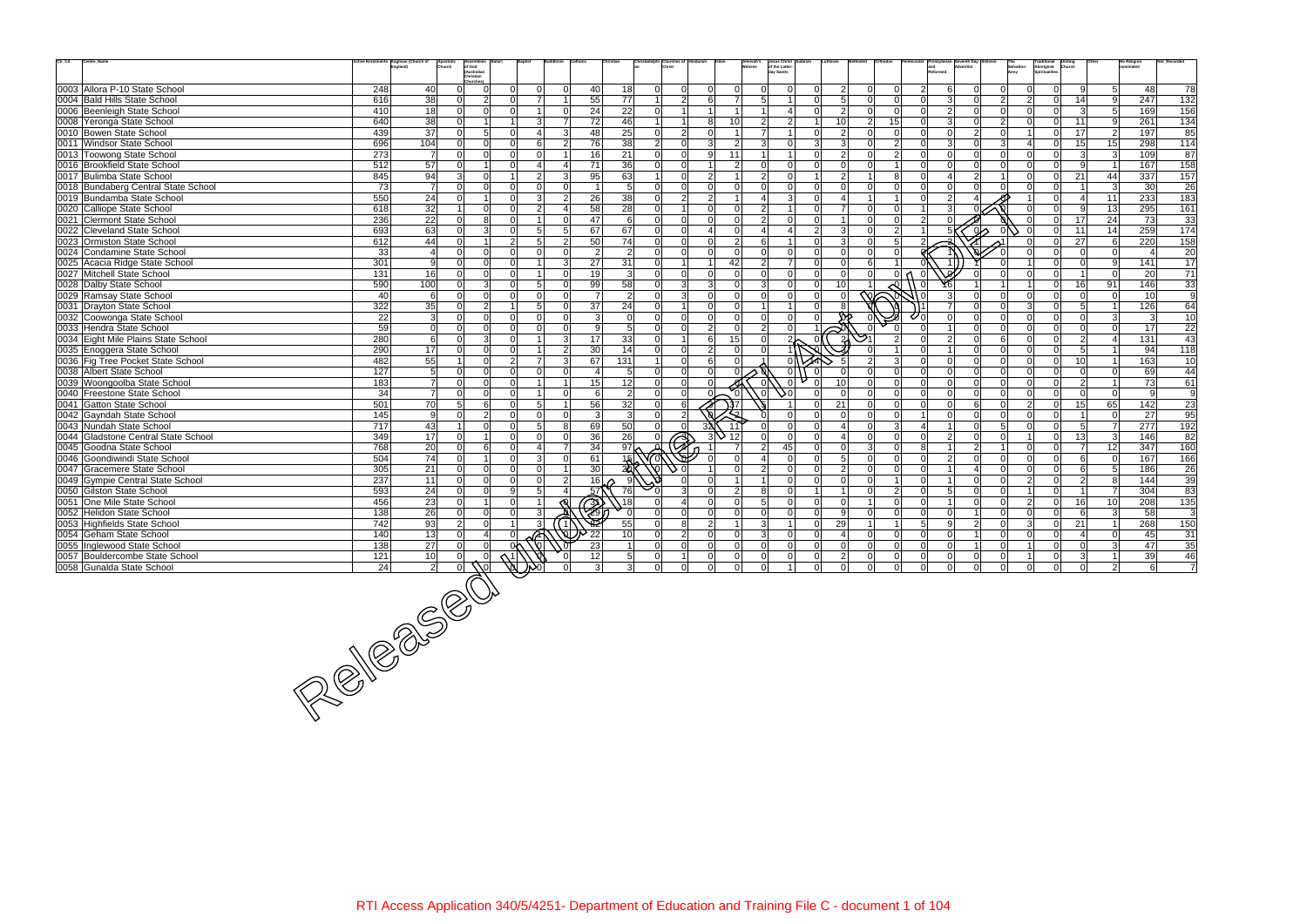| Ctr_Cd | Centre_Name                                                   |     | 1ts Anglican (Church of<br>Apostolio<br>Church | of God<br>(Australian            |                |                 |                 |                |                       | hristadelphi Churches of          |                |                | Jehovah's        | Jesus Christ<br>of the Latter-<br>lay Saints |               |                         |                |                |                |                   |                |                |                | Traditional<br>Aboriginal<br>Spiritualities<br>Church |                       | No Religion                     | Not Reco         |
|--------|---------------------------------------------------------------|-----|------------------------------------------------|----------------------------------|----------------|-----------------|-----------------|----------------|-----------------------|-----------------------------------|----------------|----------------|------------------|----------------------------------------------|---------------|-------------------------|----------------|----------------|----------------|-------------------|----------------|----------------|----------------|-------------------------------------------------------|-----------------------|---------------------------------|------------------|
|        |                                                               |     |                                                | Christian<br>Churches            |                |                 |                 |                |                       |                                   |                |                |                  |                                              |               |                         |                |                |                |                   |                |                |                |                                                       |                       |                                 |                  |
|        | 0003 Allora P-10 State School                                 | 248 | 40                                             | ΩI                               |                |                 | $\Omega$        | 40             | 18                    | $\Omega$<br>$\Omega$              |                | $\Omega$       |                  |                                              |               | $\overline{2}$          | $\Omega$       | $\Omega$       | 2              | 6                 |                |                |                | $\overline{0}$                                        | 91                    | 5 <sup>1</sup><br>48            | 78               |
|        | 0004 Bald Hills State School                                  | 616 | 38                                             | $\overline{2}$<br>$\Omega$       | ΩI             |                 |                 | 55             | $\overline{77}$       | 2 <br>1 <sup>1</sup>              | 61             | $\overline{7}$ | 5                | $\overline{1}$                               |               | 5                       | $\Omega$       | $\overline{0}$ | ΩI             | $\vert$ 3         | ΩI             | $\overline{2}$ | $\mathcal{P}$  | $\Omega$                                              | 14                    | 9<br>247                        | 132              |
|        | 0006 Beenleigh State School                                   | 410 | 18                                             | $\Omega$<br>$\Omega$             |                |                 | $\Omega$        | 24             | $\overline{22}$       | $\overline{0}$<br>$\overline{1}$  |                | $\overline{1}$ |                  |                                              |               | 2                       | $\Omega$       | $\Omega$       |                | $\overline{2}$    | $\Omega$       | $\Omega$       |                | $\Omega$                                              | $\overline{3}$        | 169<br>5 <sup>1</sup>           | 156              |
|        | 0008 Yeronga State School                                     | 640 | 38                                             |                                  |                | 3               | $\overline{7}$  | 72             | 46                    | $\mathbf{1}$<br>$\mathbf{1}$      | 8 <sup>1</sup> | 10             | $\mathcal{P}$    | $\overline{2}$                               |               | 10                      | $\overline{2}$ | 15             |                | $\vert$ 3         | $\Omega$       | $2 \vert$      |                | $\overline{0}$                                        | 11                    | 261<br>-91                      | $\overline{134}$ |
|        | 0010 Bowen State School                                       | 439 | 37                                             | 5 <sup>1</sup>                   | ΩI             | Δ               | 3               | 48             | 25                    | $\overline{2}$<br> 0              | $\Omega$       | $\overline{1}$ | $\overline{7}$   |                                              |               | 2                       | $\Omega$       | $\overline{0}$ |                | $\Omega$          | 2 <sup>1</sup> | $\Omega$       |                | $\overline{0}$                                        | 17                    | 197<br>2 <sup>1</sup>           | 85               |
|        | 0011 Windsor State School                                     | 696 | 104                                            | $\Omega$<br>$\Omega$             | $\Omega$       | 6               | $\overline{2}$  | 76             | $\overline{38}$       | $\vert$ 2<br>-ol                  | $\mathbf{B}$   | $\overline{2}$ | 3                | <sup>0</sup>                                 | $\mathcal{R}$ | $\mathbf{3}$            | $\Omega$       | $\overline{2}$ | U              | $\vert$ 3 $\vert$ | <sup>0</sup>   | 3 <sup>l</sup> |                | $\overline{0}$                                        | 15<br>15              | 298                             | 114              |
|        | 0013 Toowong State School                                     | 273 | $\overline{7}$                                 | $\Omega$<br>$\overline{0}$       | $\Omega$       | $\Omega$        |                 | 16             | 21                    | 0 <br>-ol                         | 9 <sup>1</sup> | 11             |                  |                                              | $\cap$        | $\overline{2}$          | $\Omega$       | $\overline{2}$ | U              | 0l                | $\Omega$       | $\Omega$       | $\Omega$       | $\overline{0}$                                        | $\overline{3}$        | 109<br> 3                       | 87               |
|        | 0016 Brookfield State School                                  | 512 | 57                                             |                                  |                |                 | $\Delta$        | 71             | 36                    | $\overline{0}$<br>$\Omega$        |                | $\overline{2}$ |                  | $\Omega$                                     |               | $\Omega$                | U              |                |                | $\Omega$          | <sup>n</sup>   | $\Omega$       |                | $\overline{0}$                                        | 9                     | 167                             | 158              |
|        | 0017 Bulimba State School                                     | 845 | 94                                             | $\Omega$<br>$\mathcal{E}$        |                | $\mathcal{P}$   | $\mathbf{3}$    | 95             | 63                    | 1 <sup>1</sup><br>-ol             | $\overline{2}$ | $\overline{1}$ | $\mathcal{D}$    | $\Omega$                                     |               | 2                       |                | 8              |                |                   | 2 <sup>1</sup> |                |                | $\overline{0}$                                        | 21<br>44              | 337                             | 157              |
|        | 0018 Bundaberg Central State School                           | 73  | $\overline{7}$                                 | $\Omega$<br>$\cap$               | ΩI             |                 | $\Omega$        |                | .5                    | $\Omega$<br>$\Omega$              | ΩI             | $\Omega$       |                  | $\Omega$                                     |               | $\Omega$                | $\Omega$       | $\Omega$       |                | $\Omega$          |                |                |                | $\overline{0}$                                        |                       | 30<br>-3                        | 26               |
|        | 0019 Bundamba State School                                    | 550 | 24                                             |                                  |                | 3               | 2               | 26             | 38                    | 2 <sup>1</sup><br>$\Omega$        | $\mathcal{P}$  |                |                  | 3                                            |               |                         |                |                |                | $\overline{2}$    |                |                |                | $\overline{0}$                                        | $\vert$ 4<br>11       | 233                             | 183              |
|        | 0020 Calliope State School                                    | 618 | 32                                             | $\overline{0}$                   | ΩI             | $\mathcal{P}$   | $\mathbf 4$     | 58             | 28                    | 0 <br>$\vert$ 1                   | $\Omega$       | 0l             | $\mathcal{P}$    |                                              |               | $\overline{7}$          | $\Omega$       | $\overline{0}$ |                | $\vert$ 3 $\vert$ |                |                |                | $\overline{0}$                                        | 13<br>-91             | 295                             | 161              |
|        | 0021 Clermont State School                                    | 236 | 22                                             | 8<br>$\Omega$                    | ΩI             |                 | $\Omega$        | 47             | 6                     | $\Omega$<br>$\Omega$              | ΩI             | $\Omega$       | っ                | $\Omega$                                     |               |                         | $\Omega$       | $\Omega$       | $\overline{2}$ |                   |                |                |                | $\overline{0}$                                        | $\overline{24}$<br>17 | 73                              | 33               |
|        | 0022 Cleveland State School                                   | 693 | 63                                             | 3 <sup>1</sup>                   | ΩI             | $5\overline{5}$ | $5\overline{5}$ | 67             | 67                    | $\Omega$<br>$\Omega$              |                | $\Omega$       |                  |                                              | $\mathcal{P}$ | 3                       |                | $\overline{2}$ |                |                   | പറ             |                |                | $\overline{0}$                                        | 11<br>14              | 259                             | 174              |
|        | 0023 Ormiston State School                                    | 612 | 44                                             | $\Omega$                         | $\overline{2}$ | 5               | $\overline{2}$  | 50             | 74                    | 0 <br>$\Omega$                    | $\Omega$       | 2              | $6 \overline{6}$ |                                              | $\cap$        | $\mathbf{3}$            | $\Omega$       | 5              | $\mathcal{P}$  |                   |                |                |                | $\overline{0}$                                        | 27                    | 220<br>- 6 I                    | 158              |
|        | 0024 Condamine State School                                   | 33  | $\overline{4}$                                 | $\Omega$<br>$\Omega$             | ΩI             | $\cap$          | $\Omega$        | $\mathcal{P}$  | $\overline{2}$        | $\Omega$<br>$\Omega$              | $\Omega$       | n l            |                  | <sup>0</sup>                                 |               | - 0                     |                | $\Omega$       |                |                   |                |                |                | $\Omega$                                              | $\Omega$              | $\Omega$<br>Δ                   | 20               |
|        | 0025 Acacia Ridge State School                                | 301 | 9                                              | $\Omega$<br>$\Omega$             | ΩI             |                 | $\mathbf{3}$    | 27             | 31                    | $\Omega$                          |                | 42             | $\mathcal{P}$    | $\overline{7}$                               | C.            | $\Omega$                | 6              |                |                |                   |                |                |                | $\overline{0}$                                        | $\Omega$              | -91<br>141                      | 17               |
|        | 0027 Mitchell State School                                    | 131 | 16                                             | 0 <br>$\Omega$                   |                |                 | $\Omega$        | 19             | $\mathbf{3}$          | $\overline{0}$<br> 0              | $\Omega$       | 0l             |                  | $\Omega$                                     |               | $\Omega$                | $\Omega$       | $\Omega$       |                |                   |                | $\Omega$       |                | $\overline{0}$                                        |                       | $\overline{20}$<br><sup>0</sup> | 71               |
|        | 0028 Dalby State School                                       | 590 | 100                                            | 3 <sup>1</sup><br>$\Omega$       | ΩI             | $\overline{5}$  | $\Omega$        | 99             | 58                    | 3 <br>$\Omega$                    | $\overline{3}$ | 0l             |                  | $\Omega$                                     |               | 10                      |                |                |                |                   |                |                |                | $\overline{0}$                                        | 16<br>91              | 146                             | 33               |
|        | 0029 Ramsay State School                                      | 40  | 6                                              | $\Omega$<br>$\cap$               | ΩI             |                 | $\Omega$        | $\overline{7}$ | $\overline{2}$        | 3 <sup>1</sup><br>$\Omega$        | ΩI             | 0l             |                  | $\Omega$                                     |               | $\Omega$                |                |                |                | 3                 | ΩI             | $\Omega$       | $\cap$         | $\Omega$                                              | $\Omega$              | 10<br>nl                        | 9                |
|        | 0031 Drayton State School                                     | 322 | 35                                             | 2 <br>$\Omega$                   |                | 5               | $\Omega$        | 37             | 24                    | $\Omega$                          | $\Omega$       | $\Omega$       |                  |                                              |               |                         |                |                |                |                   |                | $\Omega$       |                | $\Omega$                                              | 5 <sup>1</sup>        | 126                             | 64               |
|        | 0032 Coowonga State School                                    | 22  | $\mathbf{3}$                                   | $\Omega$<br>$\Omega$             | $\Omega$       | $\Omega$        | $\Omega$        | $\mathcal{E}$  | $\Omega$              | -ol<br>$\Omega$                   | $\Omega$       | $\Omega$       | $\Omega$         | n l                                          |               |                         |                |                |                |                   |                | $\Omega$       | $\Omega$       | $\Omega$                                              | $\Omega$              | 3<br>3                          | 10               |
|        | 0033 Hendra State School                                      | 59  | $\mathbf 0$                                    | $\overline{0}$<br>$\Omega$       | ΩI             | $\Omega$        | $\Omega$        | 9              | 5                     | $\overline{0}$<br>-ol             | $\overline{2}$ | 0l             | $\mathcal{P}$    | $\Omega$                                     |               |                         |                |                |                |                   | $\Omega$       | $\Omega$       | $\cap$         | $\Omega$                                              | $\Omega$              | 17<br>$\Omega$                  | $\overline{22}$  |
|        | 0034 Eight Mile Plains State School                           | 280 | $6 \overline{6}$                               | 3 <sup>1</sup><br>$\Omega$       | $\Omega$       |                 | 3               | 17             | 33                    | $\Omega$<br>$\mathbf{1}$          | 6 <sup>1</sup> | 15             | $\Omega$         |                                              |               |                         |                | $\overline{2}$ |                | $\overline{2}$    | $\Omega$       | 6              | $\Omega$       | $\overline{0}$                                        | $\overline{2}$        | 131                             | 43               |
|        | 0035 Enoggera State School                                    | 290 | 17                                             | $\Omega$<br>$\Omega$             | ΩI             |                 | $\overline{2}$  | 30             | 14                    | 0 <br>$\overline{0}$              | $\overline{2}$ | n l            |                  |                                              |               |                         |                |                |                |                   | $\Omega$       | $\Omega$       | $\Omega$       | $\overline{0}$                                        | 5 <sup>1</sup>        | 94                              | 118              |
|        |                                                               | 482 | 55                                             | $\Omega$                         | 2 <sup>1</sup> |                 | 3               | 67             | $\overline{131}$      | -ol<br>$\mathbf{1}$               | 6 <sup>1</sup> | $\Omega$       |                  |                                              |               |                         | $\overline{2}$ | 3              |                | $\Omega$          | $\Omega$       | $\Omega$       |                | $\Omega$                                              | 10 <sup>1</sup>       | 163<br>$\overline{1}$           |                  |
|        | 0036 Fig Tree Pocket State School<br>0038 Albert State School | 127 | $5\overline{)}$                                | $\Omega$<br>$\Omega$             | ΩI             | $\Omega$        | $\Omega$        |                | -5                    | -ol<br>$\overline{0}$             | ΩI             |                |                  | $\Omega$                                     |               |                         |                | $\Omega$       | U              | n l               | $\Omega$       | $\Omega$       | $\Omega$       | $\overline{0}$                                        | $\Omega$              | 69<br>$\Omega$                  | 10<br>44         |
|        |                                                               | 183 | $\overline{7}$                                 | $\Omega$                         |                |                 |                 |                |                       | $\Omega$<br>$\Omega$              |                |                |                  |                                              |               | 10                      |                |                |                | $\Omega$          |                |                |                |                                                       | $\overline{2}$        |                                 |                  |
|        | 0039 Woongoolba State School                                  |     |                                                |                                  |                |                 | $\Omega$        | 15             | 12                    |                                   |                |                |                  |                                              |               |                         |                | $\Omega$       | ΩI             |                   |                | $\Omega$       |                | $\overline{0}$                                        |                       | 73                              | 61               |
|        | 0040 Freestone State School                                   | 34  | $\overline{7}$                                 | 0 <br>$\Omega$                   | $\Omega$<br>ΩI |                 |                 | $6 \mid$       | $\overline{2}$        | 0 <br>-ol                         |                |                | $\Omega$         | 0د                                           |               | $\Omega$                | $\Omega$       | $\overline{0}$ | U              | 0l                | $\Omega$       | $\overline{0}$ | $\Omega$       | $\overline{0}$                                        | $\overline{0}$        | - Ol<br>9                       | 9                |
|        | 0041 Gatton State School                                      | 501 | 70                                             | 5 <sup>1</sup><br>6              |                | 5               |                 | 56             | 32                    | $\overline{0}$<br>6               |                |                |                  |                                              |               | 21                      | $\Omega$       | $\Omega$       |                | nl                | $6 \mid$       | 0l             | $\mathcal{D}$  | $\overline{0}$                                        | 15<br>65              | 142                             | $\overline{23}$  |
|        | 0042 Gayndah State School                                     | 145 | 9                                              | 2 <sup>1</sup>                   |                |                 | $\Omega$        | 3              | 3                     | $\overline{0}$<br>$\overline{2}$  |                |                |                  |                                              |               |                         |                | $\Omega$       |                |                   |                | $\Omega$       |                | $\overline{0}$                                        |                       | 27                              | 95               |
|        | 0043 Nundah State School                                      | 717 | 43                                             | $\Omega$                         | ΩI             | $\overline{5}$  | 8               | 69             | 50                    | $\Omega$<br>$\Omega$              | 32,            |                |                  | $\Omega$                                     | $\cap$        | $\overline{\mathbf{A}}$ | $\Omega$       | 3 <sup>l</sup> |                |                   | $\Omega$       | 5 <sup>1</sup> | $\Omega$       | $\overline{0}$                                        | -5                    | 277<br><sup>7</sup>             | 192              |
|        | 0044 Gladstone Central State School                           | 349 | 17                                             | $\Omega$                         | $\Omega$       | $\cap$          | $\Omega$        | 36             | 26                    | $\partial\!\!\!\!\!2$<br>$\Omega$ |                | 12             |                  | $\Omega$                                     |               | $\overline{4}$          |                | $\Omega$       |                | $\overline{2}$    |                | 0l             |                | $\overline{0}$                                        | 13 <sup>1</sup>       | 146<br> 3                       | 82               |
|        | 0045 Goodna State School                                      | 768 | 20                                             | 6 <sup>1</sup>                   | Ωl             |                 | $\overline{7}$  | 34             | 97                    |                                   |                |                | $\mathcal{P}$    | 45                                           | $\Omega$      | $\Omega$                | 3              | $\Omega$       |                |                   | $\overline{2}$ |                | $\Omega$       | $\overline{0}$                                        | 12<br>$\overline{7}$  | 347                             | 160              |
|        | 0046 Goondiwindi State School                                 | 504 | 74                                             | $\Omega$<br>$\overline{1}$       | $\Omega$       | 3               | $\Omega$        | 61             | 1反                    |                                   |                | $\Omega$       |                  | n l                                          | $\Omega$      | -5                      | $\Omega$       | $\overline{0}$ | ΩI             | $\overline{2}$    | $\Omega$       | $\overline{0}$ | $\Omega$       | $\overline{0}$                                        | 6                     | 167<br>$\Omega$                 | 166              |
|        | 0047 Gracemere State School                                   | 305 | 21                                             | $\Omega$                         | ΩI             | $\Omega$        |                 | 30             | $\overrightarrow{20}$ |                                   |                | $\Omega$       |                  | $\Omega$                                     |               | 2                       |                | $\Omega$       |                |                   |                | 0l             |                | $\Omega$                                              | 6                     | 5 <sup>1</sup><br>186           | 26               |
|        | 0049 Gympie Central State School                              | 237 | 11                                             | $\overline{0}$                   | ΩI             | $\Omega$        | $\overline{2}$  | 16             | 9                     |                                   |                |                |                  | $\Omega$                                     |               | $\Omega$                | $\Omega$       |                |                |                   | $\Omega$       | $\Omega$       | $\mathcal{P}$  | $\overline{0}$                                        | $\overline{2}$        | 144<br>8                        | 39               |
|        | 0050 Gilston State School                                     | 593 | 24                                             | $\overline{0}$                   | 9l             | 5               |                 | 57             | 76                    | $\mathbf{B}$                      | ΩI             | $\overline{2}$ | 8                | $\Omega$                                     |               |                         | $\Omega$       | 2              |                | 5 <sup>1</sup>    | 0              | $\Omega$       |                | $\mathbf 0$                                           | $\overline{1}$        | $\overline{7}$<br>304           | 83               |
|        | 0051 One Mile State School                                    | 456 | 23                                             | $\Omega$                         | $\Omega$       |                 |                 | Z)             | $\sqrt{18}$           | $\Omega$                          | $\Omega$       | 0l             | 5                | $\Omega$                                     |               | $\Omega$                |                | $\overline{0}$ | $\Omega$       |                   | $\Omega$       | 0              | $\mathcal{P}$  | $\overline{0}$                                        | 16<br>10 <sup>1</sup> | 208                             | 135              |
|        | 0052 Helidon State School                                     | 138 | 26                                             | $\overline{0}$<br>$\Omega$       |                |                 |                 |                |                       | $\Omega$<br>$\Omega$              | ΩI             | n l            | $\cap$           | $\Omega$                                     |               | -9                      | $\Omega$       | $\Omega$       | U              | 0l                |                | $\Omega$       |                | $\Omega$                                              | 6                     | 58<br> 3                        | 3                |
|        | 0053 Highfields State School                                  | 742 | 93                                             | $\overline{2}$<br>$\overline{0}$ |                |                 |                 |                | 55                    | 8<br>$\Omega$                     | $\overline{2}$ |                | 3                |                                              |               | 29                      |                |                | 5              | 9                 | 2 <sup>1</sup> | $\Omega$       |                | $\overline{0}$                                        | 21                    | 268                             | 150              |
|        | 0054 Geham State School                                       | 140 | 13                                             | $\Omega$<br>4                    | ΩI             |                 |                 | 22             | 10                    | 2 <br>$\Omega$                    | $\Omega$       | -Ol            | $\mathcal{B}$    | n l                                          |               | 4                       | $\Omega$       | $\overline{0}$ | ΩI             | $\Omega$          |                | $\Omega$       | $\Omega$       | $\overline{0}$                                        | $\vert$               | 45<br>0l                        | 31               |
|        | 0055 Inglewood State School                                   | 138 | 27                                             | ΩI<br>ΩI                         | 0٨             |                 |                 | 23             | $\overline{1}$        | $\Omega$<br>$\Omega$              | $\Omega$       | n l            | $\Omega$         | $\Omega$                                     |               | $\Omega$                | $\cap$         | $\Omega$       | ∩              | $\Omega$          |                | $\cap$         |                | $\Omega$                                              | $\Omega$              | 47<br>$\mathcal{R}$             | 35               |
|        | 0057 Bouldercombe State School                                | 121 | 10 <sub>l</sub>                                |                                  |                |                 |                 | $\frac{12}{3}$ | $\overline{5}$        |                                   | 0              | $\overline{0}$ | $\overline{0}$   |                                              |               | $\mathbf{2}$            |                | $\overline{0}$ |                |                   |                |                |                | $\mathbf 0$                                           | $\mathbf{3}$          | 39                              | 46               |
|        | 0058 Gunalda State School                                     | 24  | $\overline{2}$                                 |                                  |                |                 |                 |                | $\overline{3}$        | $\overline{0}$<br> 0              | $\overline{0}$ | 0              | $\Omega$         |                                              | $\Omega$      | $\overline{0}$          | $\Omega$       | $\overline{0}$ | $\Omega$       | 0l                | $\Omega$       | $\overline{0}$ | $\overline{0}$ | $\overline{0}$                                        | $\overline{0}$        | 6<br>$\overline{2}$             | $\overline{7}$   |
|        |                                                               |     |                                                |                                  |                |                 |                 |                |                       |                                   |                |                |                  |                                              |               |                         |                |                |                |                   |                |                |                |                                                       |                       |                                 |                  |
|        |                                                               |     |                                                |                                  |                |                 |                 |                |                       |                                   |                |                |                  |                                              |               |                         |                |                |                |                   |                |                |                |                                                       |                       |                                 |                  |
|        |                                                               |     |                                                |                                  |                |                 |                 |                |                       |                                   |                |                |                  |                                              |               |                         |                |                |                |                   |                |                |                |                                                       |                       |                                 |                  |
|        |                                                               |     |                                                |                                  |                |                 |                 |                |                       |                                   |                |                |                  |                                              |               |                         |                |                |                |                   |                |                |                |                                                       |                       |                                 |                  |
|        |                                                               |     |                                                |                                  |                |                 |                 |                |                       |                                   |                |                |                  |                                              |               |                         |                |                |                |                   |                |                |                |                                                       |                       |                                 |                  |
|        |                                                               |     |                                                |                                  |                |                 |                 |                |                       |                                   |                |                |                  |                                              |               |                         |                |                |                |                   |                |                |                |                                                       |                       |                                 |                  |
|        |                                                               |     |                                                |                                  |                |                 |                 |                |                       |                                   |                |                |                  |                                              |               |                         |                |                |                |                   |                |                |                |                                                       |                       |                                 |                  |
|        |                                                               |     |                                                |                                  |                |                 |                 |                |                       |                                   |                |                |                  |                                              |               |                         |                |                |                |                   |                |                |                |                                                       |                       |                                 |                  |
|        |                                                               |     |                                                |                                  |                |                 |                 |                |                       |                                   |                |                |                  |                                              |               |                         |                |                |                |                   |                |                |                |                                                       |                       |                                 |                  |
|        |                                                               |     |                                                |                                  |                |                 |                 |                |                       |                                   |                |                |                  |                                              |               |                         |                |                |                |                   |                |                |                |                                                       |                       |                                 |                  |
|        |                                                               |     |                                                |                                  |                |                 |                 |                |                       |                                   |                |                |                  |                                              |               |                         |                |                |                |                   |                |                |                |                                                       |                       |                                 |                  |
|        |                                                               |     |                                                |                                  |                |                 |                 |                |                       |                                   |                |                |                  |                                              |               |                         |                |                |                |                   |                |                |                |                                                       |                       |                                 |                  |
|        |                                                               |     |                                                |                                  |                |                 |                 |                |                       |                                   |                |                |                  |                                              |               |                         |                |                |                |                   |                |                |                |                                                       |                       |                                 |                  |
|        |                                                               |     |                                                |                                  |                |                 |                 |                |                       |                                   |                |                |                  |                                              |               |                         |                |                |                |                   |                |                |                |                                                       |                       |                                 |                  |

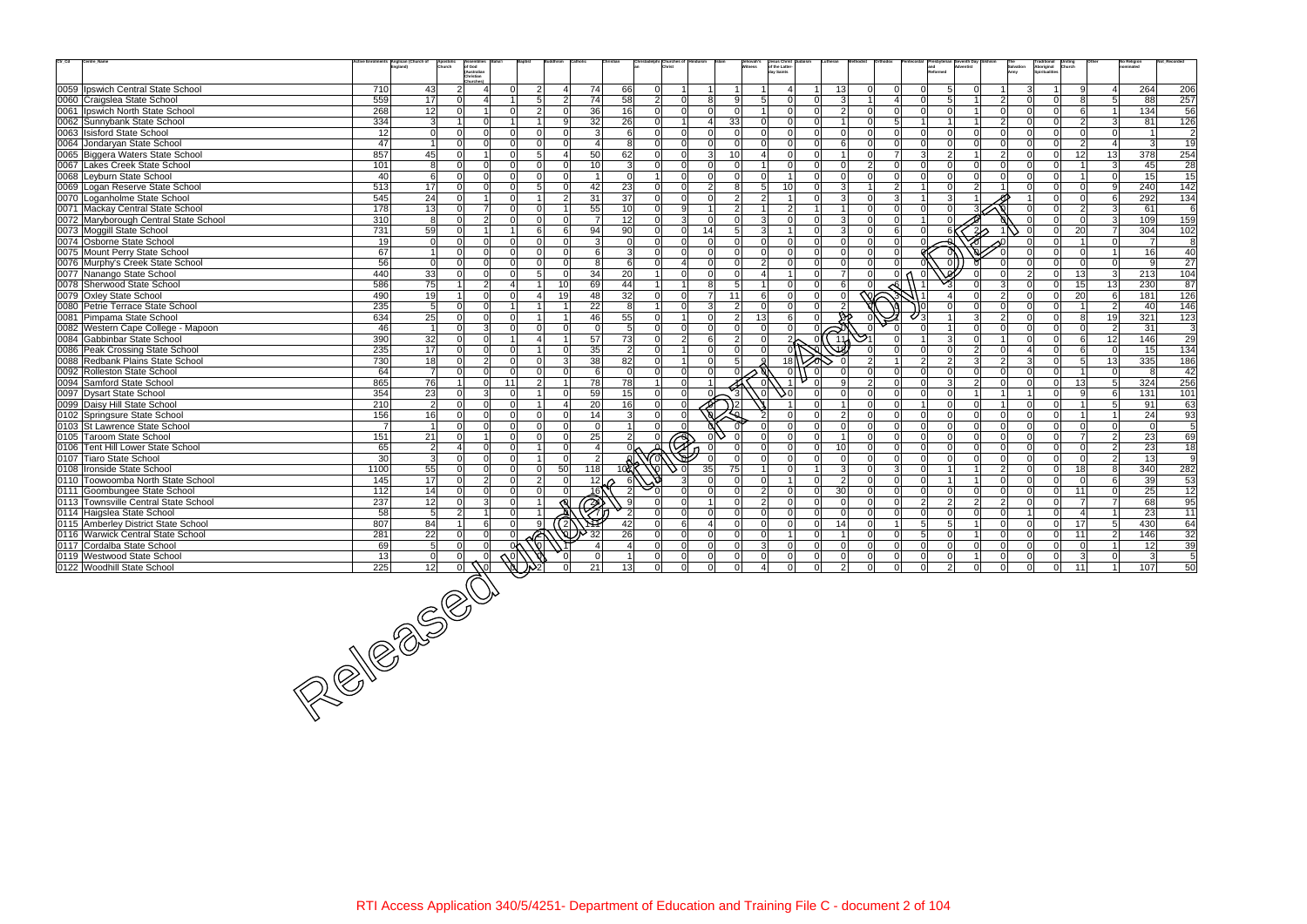| $\mathrm{Ctr}\_ \mathrm{Cd}$<br>Centre_Name              |                 | ctive Enrolments Anglican (Church of<br>Apostoli<br>Church | Assemblies<br>of God<br>(Australian |              |                |                     |                                               | ristadelphi Churches of |                            |                            | Jehovah's<br>Witness             | Jesus Christ<br>of the Latter-<br>dav Saints |                            |                           |                         |                            |                     |                            | Salvation<br>Army          | Traditional<br>Aboriginal<br>Spiritualities | <b>Uniting</b><br>Church | No Religion                 |                | Not Recorde             |
|----------------------------------------------------------|-----------------|------------------------------------------------------------|-------------------------------------|--------------|----------------|---------------------|-----------------------------------------------|-------------------------|----------------------------|----------------------------|----------------------------------|----------------------------------------------|----------------------------|---------------------------|-------------------------|----------------------------|---------------------|----------------------------|----------------------------|---------------------------------------------|--------------------------|-----------------------------|----------------|-------------------------|
|                                                          |                 |                                                            | Christian<br>Churches)              |              |                |                     |                                               |                         |                            |                            |                                  |                                              |                            |                           |                         |                            |                     |                            |                            |                                             |                          |                             |                |                         |
| 0059 Ipswich Central State School                        | 710             | 43                                                         | $\overline{2}$<br>4                 |              | $\overline{2}$ | Δ                   | 74<br>66                                      | $\overline{0}$          |                            |                            |                                  |                                              | 13                         | $\Omega$                  | $\Omega$                |                            | $5\overline{)}$     | $\Omega$                   |                            |                                             | <sub>9</sub>             | 4                           | 264            | 206                     |
| 0060 Craigslea State School                              | 559             | 17                                                         | $\Omega$<br>4                       |              | 5              | $\overline{2}$      | 74<br>58                                      | $\overline{2}$          | 0                          | 8                          | 9 <sup>1</sup>                   | 5 <sup>1</sup><br>$\Omega$                   | ΩI                         |                           | $\overline{\mathbf{A}}$ |                            | .5                  |                            | 2                          |                                             |                          | 5 <sup>1</sup>              | 88             | 257                     |
| 0061   Ipswich North State School                        | 268             | 12                                                         | $\Omega$                            | <sup>n</sup> | 2              | <sup>0</sup>        | 16<br>36                                      | $\overline{0}$          | $\Omega$                   | $\Omega$                   | $\Omega$                         | 0l                                           | $\Omega$                   | 2<br>$\Omega$             | $\Omega$                | $\Omega$                   | $\Omega$            |                            | - Ol<br>∩                  | $\Omega$                                    | -61                      | $\vert$ 1                   | 134            | 56                      |
| 0062 Sunnybank State School                              | $\frac{1}{334}$ | $\overline{3}$                                             | $\Omega$                            |              |                | 9                   | 32<br>26                                      | $\Omega$                | 11                         | 41                         | 33                               | $\Omega$<br>$\Omega$                         | ΩI                         |                           | 5                       |                            |                     |                            | $\overline{2}$             |                                             | $\overline{2}$           | $\overline{3}$              | 81             | 126                     |
| 0063 Isisford State School                               | 12              | $\Omega$                                                   | 0<br>$\Omega$                       |              |                | <sup>0</sup>        | 3<br>6                                        | $\Omega$                | 0                          | $\Omega$                   | $\Omega$                         | $\Omega$<br>$\Omega$                         | $\Omega$<br>$\Omega$       |                           | $\Omega$                | $\Omega$                   | $\Omega$            | $\Omega$                   | $\Omega$<br>n              | $\Omega$                                    | $\Omega$                 | $\overline{0}$              |                | $\overline{\mathbf{c}}$ |
| 0064 Jondaryan State School                              | 47              | $\overline{1}$                                             | $\Omega$<br>$\Omega$                | ΩI           | $\Omega$       | $\Omega$            | 8<br>$\boldsymbol{\Delta}$                    | $\Omega$                | $\Omega$                   | $\Omega$                   | $\Omega$                         | 0l<br>$\Omega$                               | $\Omega$<br>6              |                           | $\Omega$                | $\Omega$                   | $\Omega$            | $\Omega$                   | $\Omega$                   | $\Omega$                                    | $\overline{2}$           | $\overline{4}$              | $\mathcal{R}$  | 19                      |
| 0065 Biggera Waters State School                         | 857             | 45                                                         | $\Omega$                            | ΩI           | 5              | $\lambda$           | 50<br>62                                      | $\Omega$                | 0                          | $\overline{3}$             | 10 <sup>1</sup>                  | $\Omega$                                     | ΩI                         |                           | $\overline{7}$          | $\mathcal{E}$              | $\overline{2}$      |                            | $\overline{2}$<br>∩I       | n l                                         | 12                       | 13                          | 378            | 254                     |
| 0067 Lakes Creek State School                            | 101             | 8                                                          | 0<br>$\Omega$                       |              |                | $\Omega$            | 10 <sup>1</sup><br>3                          | $\Omega$                | $\Omega$                   | $\Omega$                   | $\Omega$                         | $\Omega$                                     | $\Omega$                   |                           | $\Omega$                |                            | $\Omega$            |                            | $\Omega$                   | $\cap$                                      |                          | $\overline{3}$              | 45             | 28                      |
| 0068 Leyburn State School                                | 40              | 6                                                          | $\Omega$<br>$\Omega$                | ΩI           |                | $\Omega$            | $\mathbf 0$<br>$\vert$ 1                      |                         | $\Omega$                   | $\Omega$                   | $\Omega$                         | $\Omega$                                     | $\Omega$                   | $\Omega$                  | $\Omega$                | ΩI                         | $\Omega$            | $\Omega$                   | $\Omega$                   | $\Omega$                                    |                          | $\Omega$                    | 15             | 15                      |
| 0069 Logan Reserve State School                          | 513             | 17                                                         | 0<br>$\Omega$                       |              | 5              | $\Omega$            | 42<br>23                                      | $\Omega$                | -ol                        | 2 <sup>1</sup>             | 8                                | 5 <sup>1</sup><br>10 <sup>1</sup>            |                            |                           | $\mathcal{P}$           |                            | $\Omega$            | 2                          |                            | $\Omega$                                    | $\Omega$                 | 9                           | 240            | 142                     |
| 0070 Loganholme State School                             | 545             | 24                                                         | $\Omega$                            |              |                | $\mathfrak{p}$      | $\overline{37}$<br>31                         | $\Omega$                | $\Omega$                   | $\Omega$                   | $\overline{2}$                   | $\mathcal{P}$                                |                            |                           | 3                       |                            | 3                   |                            |                            |                                             | $\Omega$                 | $6 \overline{6}$            | 292            | 134                     |
| 0071 Mackay Central State School                         | 178             | 13                                                         | $\overline{7}$<br>$\Omega$          |              |                |                     | 55<br>10                                      | $\overline{0}$          | 9                          | 11                         | $\overline{2}$                   | $\overline{2}$                               |                            |                           | $\Omega$                |                            | $\Omega$            |                            |                            |                                             | $\overline{2}$           | $\mathbf{3}$                | 61             | 6                       |
| 0072 Maryborough Central State School                    | 310             | 8                                                          | $\overline{2}$<br>0                 | <sup>n</sup> | $\Omega$       | $\Omega$            | 12<br><b>7</b>                                | $\Omega$                | 3 <sup>l</sup>             | $\Omega$                   | $\Omega$                         | $\Omega$<br>$\mathbf{3}$                     | $\Omega$                   |                           | $\Omega$                |                            |                     |                            |                            |                                             | $\Omega$                 | $\mathbf{3}$                | 109            | 159                     |
| 0073 Moggill State School                                | 731             | 59                                                         | $\Omega$                            |              |                | $6 \sqrt{2}$        | $\overline{90}$<br>94                         | $\Omega$                | 0                          | 14                         | 5 <sup>1</sup>                   | $\mathcal{R}$                                | ΩI                         | $\mathcal{R}$             | 6                       |                            |                     | $2\triangle$               |                            | $\Omega$                                    | 20                       | $\overline{7}$              | 304            | 102                     |
| 0074 Osborne State School                                | 19              | $\overline{0}$                                             | $\Omega$<br>$\Omega$                |              |                | $\Omega$            | 3<br>$\Omega$                                 | $\Omega$                | $\Omega$                   | $\Omega$                   | $\Omega$                         | $\Omega$<br>$\Omega$                         | $\Omega$                   | $\Omega$                  | $\Omega$                |                            |                     |                            |                            |                                             |                          | $\overline{0}$              | $\overline{7}$ | 8                       |
| 0075 Mount Perry State School                            | 67              | $\overline{1}$                                             | $\Omega$<br>$\Omega$                | ΩI           |                | $\Omega$            | 6<br>3                                        | $\Omega$                | $\Omega$                   | $\Omega$                   | $\Omega$                         | $\Omega$<br>- Ol                             | ΩI                         |                           | $\Omega$                |                            |                     |                            |                            |                                             | $\Omega$                 | $\vert$ 1                   | 16             | 40                      |
| 0076 Murphy's Creek State School                         | 56              | $\mathbf 0$                                                | $\Omega$<br>$\Omega$                |              |                | $\Omega$            | 8<br>6                                        | $\Omega$                | 4                          | $\Omega$                   | $\Omega$                         | $\overline{2}$<br>$\Omega$                   | ΩI<br>$\Omega$             |                           |                         |                            | $\Omega$            |                            |                            | $\Omega$                                    | $\Omega$                 | $\overline{0}$              | $\mathbf{Q}$   | 27                      |
| 0077 Nanango State School                                | 440             | 33                                                         | $\overline{0}$<br>$\Omega$          | $\Omega$     | 5              | <sup>0</sup>        | 34<br>20                                      |                         | 0                          | $\Omega$                   | $\Omega$                         |                                              | $\Omega$                   | 0                         |                         |                            |                     |                            | $\overline{2}$             | $\Omega$                                    | 13                       | $\mathbf{3}$                | 213            | 104                     |
| 0078 Sherwood State School                               | 586             | 75                                                         | 2 <sup>1</sup>                      |              |                | 10                  | 69<br>44                                      | $\overline{1}$          | $1\vert$                   | 8                          | 5 <sub>5</sub>                   | 0l                                           | $\Omega$                   |                           |                         |                            |                     |                            | 3                          | $\Omega$                                    | 15                       | 13                          | 230            | 87                      |
| 0079 Oxley State School                                  | 490             | 19                                                         | $\Omega$                            |              |                | 19                  | 32<br>48                                      | $\overline{0}$          | 0                          | $\overline{7}$             | 11                               | $\Omega$<br>6                                | $\Omega$                   | $\Omega$                  | $\overline{\text{S}}$   |                            |                     | $\Omega$                   | $\overline{2}$<br>∩        | $\Omega$                                    | 20                       | 6                           | 181            | 126                     |
| 0080 Petrie Terrace State School                         | 235             | $\overline{5}$                                             | $\Omega$<br>$\Omega$                |              |                |                     | 22<br>8                                       |                         | $\Omega$                   | 3 <sup>1</sup>             | $\overline{2}$                   | $\Omega$<br>$\overline{0}$                   | ΩI                         |                           |                         |                            |                     |                            | $\Omega$                   | $\Omega$                                    |                          | $\overline{2}$              | 40             | 146                     |
| 0081 Pimpama State School                                | 634             | 25                                                         | $\Omega$<br>0                       |              |                |                     | 55<br>46                                      | $\Omega$                | 1 <sup>1</sup>             | $\Omega$                   | $\overline{2}$                   | 6 <br>13                                     | ΩI                         |                           |                         |                            |                     |                            | $\mathcal{P}$              | $\Omega$                                    | 8                        | 19                          | 321            | 123                     |
| 0082 Western Cape College - Mapoon                       | 46              | $\overline{1}$                                             | $\overline{3}$<br>$\Omega$          | $\Omega$     |                | $\Omega$            | -ol<br>5                                      | $\overline{0}$          | 0                          | $\Omega$                   | $\Omega$                         | -ol<br>$\Omega$                              | $\Omega$                   |                           |                         |                            |                     | $\Omega$                   | -OI<br>ΩI                  | $\Omega$                                    | <sup>0</sup>             | $\overline{2}$              | 31             | 3                       |
| 0084 Gabbinbar State School                              | 390             | 32                                                         | $\Omega$<br>$\Omega$                |              |                |                     | 73<br>57                                      | $\overline{0}$          | $\overline{2}$             | 6                          | $\overline{2}$                   | $\Omega$                                     | $\frac{\Delta p}{1}$       |                           |                         |                            | 3                   | $\Omega$                   | U                          | $\Omega$                                    | 6                        | 12                          | 146            | 29                      |
| 0086 Peak Crossing State School                          | 235             | 17                                                         | $\Omega$<br>0                       |              |                | $\Omega$            | 35<br>$\overline{2}$                          | $\Omega$                |                            | $\Omega$                   | $\Omega$                         |                                              |                            |                           |                         |                            | $\Omega$            | 2                          | $\Omega$                   | $\Omega$                                    | 6                        | $\Omega$                    | 15             | 134                     |
| 0088 Redbank Plains State School                         | 730             | 18                                                         | 2 <sup>1</sup><br>$\Omega$          | ΩI           |                | $\mathcal{E}$       | 82<br>38                                      | $\Omega$                | 1                          | $\Omega$                   | 5 <sup>1</sup>                   | 18                                           |                            |                           |                         | $\mathcal{P}$              | $\overline{2}$      | $\overline{3}$             | $\overline{2}$<br>વ        | $\Omega$                                    | 5 <sup>1</sup>           | 13                          | 335            | 186                     |
| 0092 Rolleston State School                              | 64              | $\overline{7}$                                             | $\Omega$<br><sup>n</sup>            | $\cap$       |                | $\Omega$            | 6<br>$\Omega$                                 | $\overline{0}$          | 0                          | $\Omega$                   | ∩                                | 0                                            | - Ol                       |                           | $\Omega$                |                            | $\Omega$            | $\Omega$                   | $\Omega$                   | $\cap$                                      |                          | $\Omega$                    | 8              | 42                      |
| 0094 Samford State School                                | 865             | 76                                                         | $\Omega$                            | 11           | $\mathfrak{p}$ |                     | 78<br>78                                      |                         | $\Omega$                   |                            |                                  |                                              |                            |                           |                         |                            | 3                   | $\mathcal{P}$              | $\Omega$                   | $\Omega$                                    | 13                       | 5 <sup>1</sup>              | 324            | 256                     |
| 0097 Dysart State School                                 | 354             | 23                                                         | 3 <sup>l</sup><br>$\overline{0}$    | $\Omega$     |                | $\Omega$            | 59<br>15                                      | $\overline{0}$          | 0                          |                            | $\overline{3}$                   | . Ol<br>J٥                                   | $\Omega$                   |                           | $\Omega$                | $\Omega$                   | $\overline{0}$      |                            |                            | $\Omega$                                    | -91                      | 6                           | 131            | 101                     |
| 0099 Daisy Hill State School                             | 210             | $\overline{2}$                                             | $\Omega$<br>0                       | $\Omega$     |                | Δ                   | 20<br>16                                      | $\overline{0}$          | $\overline{0}$             | $\frac{9}{9}$              | 2                                |                                              |                            |                           | $\Omega$                |                            | $\Omega$            | $\Omega$                   | <sup>n</sup>               | $\Omega$                                    |                          | 5 <sup>1</sup>              | 91             | 63                      |
| 0102 Springsure State School                             | 156             | 16                                                         | $\Omega$                            |              |                | $\Omega$            | 3<br>14                                       | $\Omega$                | $\Omega$                   |                            |                                  |                                              |                            |                           | $\Omega$                |                            | $\Omega$            |                            | $\Omega$                   | $\Omega$                                    |                          | $\overline{1}$              | 24             |                         |
| 0103 St Lawrence State School                            | $\overline{7}$  | $\overline{1}$                                             | $\Omega$<br>0                       |              |                | U                   | -ol<br>$\overline{1}$                         | $\Omega$                | $\Omega$                   |                            |                                  | $\Omega$                                     | ΩI                         | $\Omega$                  | $\Omega$                | ΩI                         | $\Omega$            | $\Omega$                   | $\Omega$                   |                                             | $\Omega$                 | $\overline{0}$              | $\Omega$       | 93<br>5                 |
|                                                          | 151             |                                                            | 0<br>$\overline{1}$                 | $\cap$       |                | $\Omega$            |                                               |                         |                            |                            |                                  |                                              | nΙ                         |                           | $\Omega$                |                            | $\Omega$            |                            | $\Omega$                   |                                             | $\overline{7}$           | $\overline{2}$              |                |                         |
| 0105 Taroom State School                                 |                 | $\overline{21}$                                            | Δ                                   |              |                | $\Omega$            | 25<br>$\overline{2}$<br>$\boldsymbol{\Delta}$ |                         | $\bigcirc$                 |                            |                                  | $\Omega$                                     | $\Omega$                   |                           | $\Omega$                |                            | $\Omega$            |                            | $\Omega$                   |                                             | $\Omega$                 |                             | 23             | 69                      |
| 0106 Tent Hill Lower State School                        | 65              | $\overline{2}$                                             | $\Omega$                            |              |                | $\Omega$            |                                               |                         |                            |                            | $\Omega$                         | $\Omega$                                     | 10<br>$\Omega$<br>$\Omega$ |                           | $\Omega$                |                            |                     |                            | $\Omega$                   |                                             |                          | $\overline{2}$              | 23             | 18<br>$\overline{9}$    |
| 0107 Tiaro State School                                  | 30              | $\overline{3}$                                             | $\overline{0}$<br>0                 | $\Omega$     | $\Omega$       |                     | $\vert$ 2<br>10 <sub>z</sub>                  |                         | ۰n۱                        |                            |                                  | $\Omega$                                     | 3                          |                           |                         |                            | $\Omega$            | $\Omega$                   | ΩI                         | $\Omega$                                    | $\Omega$                 | $\overline{2}$              | 13             |                         |
| 0108 Ironside State School                               | 1100            | 55<br>17                                                   | $\Omega$<br>$\Omega$<br>$\Omega$    | $\Omega$     | $\mathcal{P}$  | 50<br>118<br>$\cap$ |                                               |                         |                            | 35 <sup>1</sup><br>$\cap$  | 75<br>$\Omega$                   | $\Omega$<br>$\overline{1}$                   | ΩI                         | $\mathcal{P}$<br>$\Omega$ | 3<br>$\Omega$           |                            |                     |                            | $\overline{2}$<br>$\Omega$ | $\cap$                                      | 18<br>$\Omega$           | 8                           | 340            | 282                     |
| 0110 Toowoomba North State School                        | 145             |                                                            | $\overline{2}$                      |              |                |                     | 12 <sup>1</sup>                               |                         |                            | $\Omega$                   |                                  |                                              |                            |                           |                         |                            |                     |                            | $\Omega$                   |                                             |                          | $6 \overline{6}$            | 39             | 53                      |
| 0111 Goombungee State School                             | 112             | 14                                                         | $\Omega$<br>0                       |              |                |                     | 16ľ                                           |                         |                            | 1 <sup>1</sup>             | $\Omega$                         | 2 <sup>1</sup><br>$\Omega$                   | 30<br>$\Omega$<br>$\Omega$ |                           | $\Omega$                |                            | $\Omega$            | $\Omega$                   | ΩI                         | $\Omega$<br>$\Omega$                        | 11<br>$\overline{7}$     | $\Omega$                    | 25             | 12                      |
| 0113 Townsville Central State School                     | 237             | 12                                                         | 3 <sup>l</sup><br>$\Omega$          |              |                | $\mathcal{O}$       |                                               | $\Omega$                | $\Omega$<br>$\Omega$       | $\Omega$                   | $\overline{0}$<br>$\overline{0}$ | 2 <sup>1</sup><br>0l<br>$\Omega$<br>$\Omega$ | $\Omega$<br>$\Omega$       | $\Omega$                  | $\Omega$                | 2 <sup>1</sup><br>$\Omega$ | $\overline{2}$      | $\overline{2}$<br>$\Omega$ | $\overline{2}$<br>$\Omega$ | $\Omega$                                    | $\overline{4}$           | $\overline{7}$<br>$\vert$ 1 | 68             | 95                      |
| 0114 Haigslea State School                               | 58              | $\overline{5}$                                             | $\overline{2}$                      |              |                |                     |                                               |                         |                            | ΔI                         | $\Omega$                         | $\Omega$                                     | $\Omega$                   | $\Omega$                  | $\Omega$                | 5 <sup>5</sup>             | $\overline{0}$<br>5 |                            | $\Omega$                   | $\Omega$                                    |                          |                             | 23             | 11                      |
| 0115 Amberley District State School                      | 807<br>281      | 84                                                         | 6 <sup>1</sup><br>$\Omega$          |              |                | $^{^{\prime}2)}$    | 42<br>26                                      |                         | 6                          |                            | $\overline{0}$                   | $\Omega$                                     | 14<br>$\Omega$             |                           | $\Omega$                | $5\overline{5}$            | $\Omega$            |                            | $\Omega$                   | $\Omega$                                    | 17                       | 5 <sup>5</sup>              | 430            | 64                      |
| 0116 Warwick Central State School                        |                 | $\overline{22}$<br>5 <sup>1</sup>                          | $\Omega$<br>ΩI<br>$\Omega$          |              |                |                     | $\Delta$                                      | n.                      | $\overline{0}$<br>$\Omega$ | $\overline{0}$<br>$\Omega$ | $\Omega$                         | $\mathcal{E}$                                |                            |                           | $\Omega$                | $\cap$                     | $\Omega$            | $\Omega$                   |                            | $\Omega$                                    | 11<br>$\Omega$           | $\overline{2}$<br>11        | 146            | $\overline{32}$         |
| 0117 Cordalba State School                               | 69              |                                                            |                                     | 0٨           |                |                     |                                               |                         |                            |                            |                                  |                                              | $\Omega$                   | $\Omega$<br>$\Omega$      |                         |                            |                     |                            |                            |                                             |                          |                             | 12             | 39                      |
| 0119 Westwood State School<br>0122 Woodhill State School | 13              |                                                            |                                     |              |                |                     | $\frac{0}{21}$                                |                         |                            | $\frac{0}{0}$              | $\overline{0}$                   | $\overline{0}$                               |                            |                           |                         |                            |                     |                            |                            |                                             | 11                       | 0                           | 3              | 5                       |
|                                                          | 225             | 12                                                         |                                     |              |                |                     | 13                                            |                         |                            |                            |                                  |                                              |                            |                           |                         |                            | $\overline{2}$      |                            | $\overline{0}$             | $\overline{0}$                              |                          | $\overline{1}$              | 107            | 50                      |
|                                                          |                 |                                                            |                                     |              |                |                     |                                               |                         |                            |                            |                                  |                                              |                            |                           |                         |                            |                     |                            |                            |                                             |                          |                             |                |                         |
|                                                          |                 |                                                            |                                     |              |                |                     |                                               |                         |                            |                            |                                  |                                              |                            |                           |                         |                            |                     |                            |                            |                                             |                          |                             |                |                         |
|                                                          |                 |                                                            |                                     |              |                |                     |                                               |                         |                            |                            |                                  |                                              |                            |                           |                         |                            |                     |                            |                            |                                             |                          |                             |                |                         |
|                                                          |                 |                                                            |                                     |              |                |                     |                                               |                         |                            |                            |                                  |                                              |                            |                           |                         |                            |                     |                            |                            |                                             |                          |                             |                |                         |
|                                                          |                 |                                                            |                                     |              |                |                     |                                               |                         |                            |                            |                                  |                                              |                            |                           |                         |                            |                     |                            |                            |                                             |                          |                             |                |                         |
|                                                          |                 |                                                            |                                     |              |                |                     |                                               |                         |                            |                            |                                  |                                              |                            |                           |                         |                            |                     |                            |                            |                                             |                          |                             |                |                         |
|                                                          |                 |                                                            |                                     |              |                |                     |                                               |                         |                            |                            |                                  |                                              |                            |                           |                         |                            |                     |                            |                            |                                             |                          |                             |                |                         |
|                                                          |                 |                                                            |                                     |              |                |                     |                                               |                         |                            |                            |                                  |                                              |                            |                           |                         |                            |                     |                            |                            |                                             |                          |                             |                |                         |
|                                                          |                 |                                                            |                                     |              |                |                     |                                               |                         |                            |                            |                                  |                                              |                            |                           |                         |                            |                     |                            |                            |                                             |                          |                             |                |                         |
|                                                          |                 |                                                            |                                     |              |                |                     |                                               |                         |                            |                            |                                  |                                              |                            |                           |                         |                            |                     |                            |                            |                                             |                          |                             |                |                         |
|                                                          |                 |                                                            |                                     |              |                |                     |                                               |                         |                            |                            |                                  |                                              |                            |                           |                         |                            |                     |                            |                            |                                             |                          |                             |                |                         |
|                                                          |                 |                                                            |                                     |              |                |                     |                                               |                         |                            |                            |                                  |                                              |                            |                           |                         |                            |                     |                            |                            |                                             |                          |                             |                |                         |
|                                                          |                 |                                                            |                                     |              |                |                     |                                               |                         |                            |                            |                                  |                                              |                            |                           |                         |                            |                     |                            |                            |                                             |                          |                             |                |                         |
|                                                          |                 |                                                            |                                     |              |                |                     |                                               |                         |                            |                            |                                  |                                              |                            |                           |                         |                            |                     |                            |                            |                                             |                          |                             |                |                         |

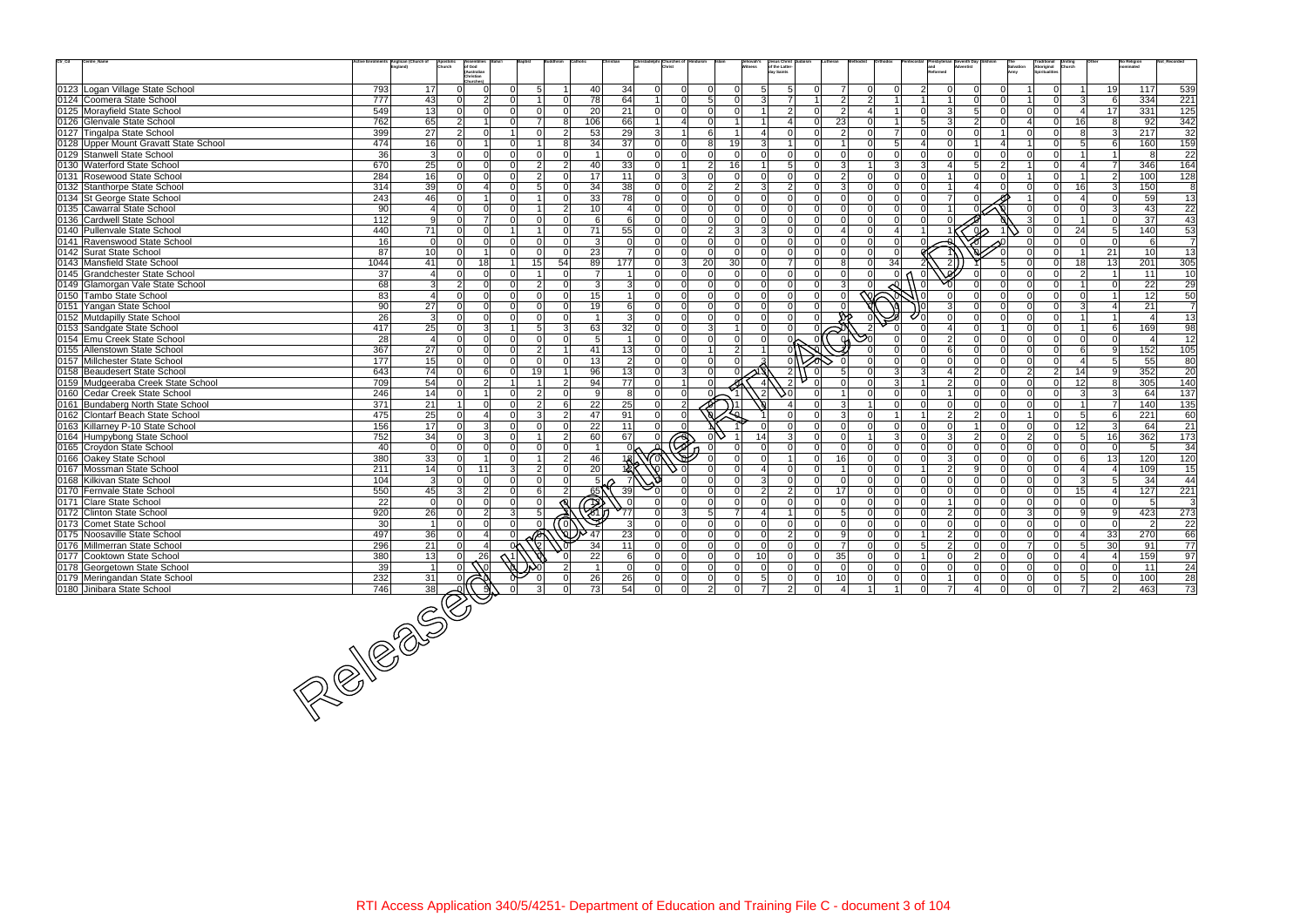| 0123 Logan Village State School                                      | 793                                            |                         | .<br>Christian                       |                |                 |                     |                           |                          |                                              |                                        |                      |                                |                                 |                                 |                           |                      |                |                       |                                              |                |                |                |                                |                 |                  |
|----------------------------------------------------------------------|------------------------------------------------|-------------------------|--------------------------------------|----------------|-----------------|---------------------|---------------------------|--------------------------|----------------------------------------------|----------------------------------------|----------------------|--------------------------------|---------------------------------|---------------------------------|---------------------------|----------------------|----------------|-----------------------|----------------------------------------------|----------------|----------------|----------------|--------------------------------|-----------------|------------------|
|                                                                      |                                                |                         |                                      |                |                 |                     |                           |                          |                                              |                                        |                      |                                |                                 |                                 |                           |                      |                |                       |                                              |                |                |                |                                |                 |                  |
|                                                                      |                                                | 17 <sup>1</sup>         | $\Omega$<br>$\Omega$<br><sup>n</sup> |                | 5               | U                   | 40                        | 34                       | $\Omega$<br>$\Omega$                         | $\Omega$                               | $\Omega$<br>$\Omega$ | $\overline{5}$<br>$\mathbf{B}$ | 5<br>ΩI                         |                                 | $\Omega$<br>$\mathcal{P}$ | $\Omega$             | $\mathcal{P}$  | $\Omega$              | $\Omega$<br>$\Omega$                         |                | $\Omega$       | $\mathcal{R}$  | 19                             | 117             | 539              |
| 0124 Coomera State School<br>0125 Morayfield State School            | 777<br>549                                     | 43<br>13                | 2<br>$\Omega$<br>ΩI                  |                |                 | $\Omega$            | 78<br>20                  | 64<br>21                 | $\overline{0}$<br> 0                         | 5 <sup>1</sup><br>$\Omega$<br>$\Omega$ | $\Omega$             |                                | 7<br>$\overline{2}$<br>$\Omega$ | $\overline{2}$<br>$\mathcal{P}$ |                           |                      | $\Omega$       | $\mathbf{3}$          | 5<br>$\Omega$                                |                |                | $\vert$ 4      | 6<br>17                        | 334<br>331      | 221<br>125       |
| 0126 Glenvale State School                                           | 762                                            | 65                      | $\overline{2}$                       |                |                 | 8                   | 106                       | 66                       | $\overline{4}$                               | $\Omega$                               |                      |                                | ΩI                              | 23                              |                           |                      | 5              | $\mathbf{3}$          | $\mathcal{P}$<br>$\Omega$                    |                | $\Omega$       | 16             | 8                              | $\overline{92}$ | 342              |
| 0127 Tingalpa State School                                           | 399                                            | 27                      | $\overline{2}$<br>$\Omega$           |                |                 | $\mathcal{P}$       | 53                        | 29                       | 3<br>$\mathbf{1}$                            | 6                                      |                      |                                | $\Omega$<br>ΩI                  |                                 |                           |                      |                | $\Omega$              |                                              |                |                |                | 3                              | 217             | $\overline{32}$  |
| 0128 Upper Mount Gravatt State School                                | 474                                            | 16                      | $\Omega$                             |                |                 | $\mathsf{R}$        | 34                        | 37                       | 0 <br>$\Omega$                               | 8                                      | 19                   | $\mathcal{R}$                  | $\overline{1}$<br>ΩI            |                                 |                           | 5                    | 4              | $\Omega$              |                                              |                | $\Omega$       | 5              | 6                              | 160             | 159              |
| 0129 Stanwell State School                                           | 36                                             | $\mathbf{3}$            | $\Omega$<br>0                        | $\cap$         | $\Omega$        | $\Omega$            | -1                        | $\Omega$                 | $\Omega$<br>$\Omega$                         | $\Omega$                               | $\Omega$             |                                | $\Omega$<br>ΩI                  |                                 |                           | $\Omega$             |                | $\Omega$              | $\Omega$<br>$\Omega$                         |                |                |                | $\overline{1}$                 | -8              | 22               |
| 0130 Waterford State School                                          | 670                                            | 25                      | $\Omega$                             |                | $\mathcal{D}$   | $\mathcal{P}$       | 40                        | 33                       | $\Omega$<br>11                               | 2 <sup>1</sup>                         | 16                   |                                | 5 <sup>1</sup><br>ΩI            |                                 |                           | $\mathcal{R}$        |                |                       | 5 <sup>1</sup><br>$\mathcal{P}$              |                |                |                | $\overline{7}$                 | 346             | 164              |
| 0131 Rosewood State School                                           | 284                                            | 16                      | $\Omega$<br>ΩI                       |                |                 | $\Omega$            | 17                        | 11                       | 3 <sup>l</sup><br>$\Omega$                   | $\Omega$                               | $\mathbf 0$          | $\Omega$                       | $\Omega$<br>ΩI                  |                                 |                           | $\Omega$             |                |                       | $\Omega$                                     |                |                |                | $\overline{2}$                 | 100             | 128              |
| 0132 Stanthorpe State School                                         | 314                                            | 39                      | $\boldsymbol{\Delta}$<br>0           |                | 5               | $\Omega$            | 34                        | 38                       | $\Omega$<br>$\Omega$                         | 2 <sup>1</sup>                         | $\mathcal{P}$        |                                | $\overline{2}$<br>ΩI            | 3                               |                           | $\Omega$             |                |                       |                                              |                | $\Omega$       | 16             | $\overline{3}$                 | 150             | 8                |
| 0134 St George State School                                          | 243                                            | 46                      | $\Omega$                             | $\cap$         |                 | $\Omega$            | 33                        | 78                       | $\Omega$<br>$\Omega$                         | $\Omega$                               | $\Omega$             | $\Omega$                       | $\Omega$<br>ΩI                  | $\Omega$                        | $\Omega$                  | $\Omega$             | ∩              | ᄀ                     |                                              |                | $\Omega$       |                | $\Omega$                       | 59              | $\overline{13}$  |
| 0135 Cawarral State School                                           | 90 <sub>l</sub>                                | $\overline{4}$          | $\Omega$<br>0                        |                |                 | $\overline{2}$      | 10 <sup>1</sup>           | $\overline{\mathcal{A}}$ | $\Omega$<br>$\Omega$                         | $\Omega$                               | $\Omega$             | $\Omega$                       | $\Omega$<br>$\Omega$            |                                 |                           | $\Omega$             |                |                       |                                              |                |                |                | $\mathbf{3}$                   | 43              | 22               |
| 0136 Cardwell State School                                           | 112                                            | 9                       | $\Omega$<br>$\overline{7}$           | $\cap$         |                 |                     | 6                         | 6                        | 0 <br>$\Omega$                               | $\Omega$                               | $\Omega$             | $\Omega$                       | $\Omega$<br>ΩI                  |                                 |                           | $\Omega$             |                |                       |                                              |                |                |                | $\Omega$                       | 37              | 43               |
| 0140 Pullenvale State School                                         | 440                                            | $\overline{71}$         | $\Omega$<br>$\Omega$                 |                |                 | $\Omega$            | 71                        | $\overline{55}$          | $\Omega$<br>$\Omega$                         | 2 <sup>1</sup>                         | $\mathbf{3}$         | $\mathcal{R}$                  | $\Omega$<br>ΩI                  |                                 | $\Omega$                  |                      |                |                       | ഗ                                            |                | $\Omega$       | 24             | 5 <sup>1</sup>                 | 140             | 53               |
| 0141 Ravenswood State School                                         | 16                                             | $\mathbf 0$             | $\Omega$<br>0                        |                |                 | $\Omega$            | $\vert$ 3                 | $\Omega$                 | $\Omega$<br>$\Omega$                         | $\Omega$                               | $\Omega$             | $\Omega$                       | $\Omega$<br>$\Omega$            |                                 |                           |                      |                |                       |                                              |                |                | $\Omega$       | $\overline{0}$                 | 6               | $\overline{7}$   |
| 0142 Surat State School                                              | 87                                             | 10                      | $\Omega$                             |                |                 | $\Omega$            | 23                        | $\overline{7}$           | $\Omega$<br>$\Omega$                         | $\Omega$                               | $\Omega$             | $\Omega$                       | - Ol<br>ΩI                      | $\Omega$                        |                           | $\Omega$             |                |                       |                                              |                |                |                | 21                             | 10              | 13               |
| 0143 Mansfield State School                                          | 1044                                           | 41                      | 18<br>$\Omega$                       |                | 15 <sup>1</sup> | 54                  | 89                        | 177                      | $\Omega$                                     | 3 <sup>l</sup><br>20                   | 30                   | $\Omega$                       | $\overline{7}$<br>$\Omega$      | 8                               | $\Omega$                  | 34                   |                | $\overline{2}$        | 5                                            |                | $\Omega$       | 18             | 13                             | 201             | 305              |
| 0145 Grandchester State School                                       | 37                                             | $\overline{\mathbf{4}}$ | $\Omega$<br>$\Omega$                 |                |                 | $\Omega$            | $\overline{7}$            |                          | $\Omega$<br>$\Omega$                         | $\Omega$                               | $\Omega$             | $\cap$                         | $\Omega$<br>ΩI                  |                                 |                           |                      |                |                       |                                              |                |                | $\mathcal{P}$  | $\overline{1}$                 | 11              | 10               |
| 0149 Glamorgan Vale State School                                     | 68                                             | 3                       | $\overline{2}$<br>$\Omega$           |                | $\mathcal{P}$   |                     | 3                         | 3                        | $\Omega$<br> 0                               | $\Omega$                               | $\Omega$             | $\Omega$                       | $\Omega$<br>ΩI                  |                                 |                           |                      |                |                       |                                              |                |                |                | $\Omega$                       | 22              | 29               |
| 0150 Tambo State School                                              | 83                                             | $\overline{4}$          | $\Omega$<br>$\Omega$                 | ΩI             | ∩               | $\Omega$            | 15                        | $\overline{1}$           | $\Omega$<br>$\Omega$                         | $\Omega$                               | $\Omega$             | $\Omega$                       | - Ol<br>$\Omega$                | $\Omega$                        |                           |                      |                |                       | $\Omega$<br>∩                                |                | $\Omega$       | $\Omega$       | $\overline{1}$                 | 12              | 50               |
| 0151 Yangan State School                                             | 90                                             | 27                      | $\Omega$<br>$\Omega$                 | $\Omega$       |                 | $\Omega$            | 19                        | 6                        | 0 <br>$\Omega$                               | $\Omega$                               | $\Omega$             | $\Omega$                       | -Ol<br>ΩI                       |                                 |                           |                      |                | 3                     | $\Omega$                                     |                | $\Omega$       | $\mathcal{R}$  | 4                              | 21              | $\overline{7}$   |
| 0152 Mutdapilly State School                                         | 26                                             | $\overline{3}$          | $\Omega$<br><sup>n</sup>             | $\cap$         |                 | ∩                   |                           | $\mathbf{3}$             | $\Omega$<br>$\Omega$                         | $\Omega$                               | $\Omega$             | ΩI                             | 0 <br>ΩI                        |                                 |                           |                      |                |                       | $\Omega$                                     |                | $\Omega$       |                |                                |                 | $\overline{13}$  |
| 0153 Sandgate State School                                           | 417                                            | 25                      | 3 <sup>1</sup><br>$\Omega$           |                | 5               | $\mathcal{E}$       | 63                        | 32                       | 0 <br>$\overline{0}$                         | 3 <sup>1</sup>                         | $\mathbf{1}$         | $\Omega$                       | $\Omega$<br>ΩI                  |                                 |                           |                      |                | $\overline{4}$        | $\Omega$                                     | n              | $\Omega$       |                | 6                              | 169             | 98               |
| 0154 Emu Creek State School                                          | 28                                             | $\overline{4}$          | $\Omega$<br><sup>n</sup>             |                |                 | $\Omega$            | 5                         |                          | $\Omega$<br>$\Omega$                         | $\Omega$                               | $\Omega$             |                                |                                 |                                 |                           |                      |                | $\mathcal{P}$         | $\Omega$<br>$\Omega$                         |                | $\Omega$       | $\Omega$       | $\Omega$                       |                 | $\overline{12}$  |
| 0155 Allenstown State School                                         | 367                                            | 27                      | $\Omega$                             |                | 2               |                     | 41                        | 13                       | $\Omega$<br>$\Omega$                         |                                        | $\overline{2}$       |                                |                                 |                                 |                           |                      |                | 6                     | $\Omega$                                     |                |                | 6              | 9                              | 152             | 105              |
| 0157 Millchester State School                                        | 177                                            | 15                      | $\Omega$<br>$\Omega$                 | $\cap$         | $\Omega$        | $\Omega$            | 13                        | $\overline{2}$           | $\Omega$<br> 0                               | $\Omega$                               | $\Omega$             |                                | $\Omega$                        |                                 |                           | $\Omega$             | $\cap$         | $\Omega$              | $\Omega$<br>$\Omega$                         | ΩI             | $\Omega$       | $\overline{4}$ | 5 <sup>1</sup>                 | 55              | 80               |
| 0158 Beaudesert State School                                         | 643                                            | 74                      | $6 \mid$<br>0                        | ΩI             | 19              |                     | 96                        | 13                       | 3 <sup>l</sup><br>$\Omega$                   | $\Omega$                               |                      |                                | $\vert$ 2<br>$\Omega$           |                                 |                           | 3                    | 3              | $\boldsymbol{\Delta}$ | $\overline{2}$<br>$\Omega$                   | $\overline{2}$ | $\overline{2}$ | 14             | 9                              | 352             | 20               |
| 0159 Mudgeeraba Creek State School                                   | 709                                            | $\overline{54}$         | $\overline{2}$                       |                |                 | $\mathfrak{p}$      | 94                        | $\overline{77}$          | $\Omega$                                     |                                        |                      |                                | $\mathcal{P}$                   |                                 |                           | 3                    |                | $\overline{2}$        |                                              |                |                | 12             | 8                              | 305             | 140              |
| 0160 Cedar Creek State School                                        | 246                                            | 14                      | $\Omega$                             |                | $\mathcal{P}$   | $\Omega$            | -91                       | 8                        | 0 <br>$\overline{0}$                         |                                        |                      |                                | 0د<br>ΩI                        |                                 | $\Omega$                  | $\Omega$<br>$\Omega$ |                | $\Omega$              | $\Omega$<br>$\Omega$<br>$\Omega$<br>$\Omega$ |                | $\Omega$       | -31            | $\mathbf{3}$<br>$\overline{7}$ | 64              | $\frac{137}{2}$  |
| 0161 Bundaberg North State School                                    | 371<br>475                                     | $\overline{21}$<br>25   | $\Omega$<br>$\Omega$<br>4            | ΩI             | $\mathcal{B}$   | 6<br>$\overline{2}$ | 22<br>47                  | $\overline{25}$<br>91    | $\overline{2}$<br>$\Omega$<br>-ol            |                                        |                      |                                | $\Omega$<br>ΩI                  | 3                               | $\Omega$                  |                      |                |                       | 2<br>$\Omega$                                |                | $\Omega$       | 5 <sup>1</sup> | 6                              | 140<br>221      | 135              |
| 0162 Clontarf Beach State School<br>0163 Killarney P-10 State School | 156                                            | 17                      | 3 <sup>l</sup><br>$\Omega$           |                |                 | $\Omega$            | 22                        | 11                       | $\overline{0}$<br>$\overline{0}$<br>$\Omega$ |                                        |                      |                                | $\Omega$<br>$\Omega$            | $\Omega$                        | $\Omega$                  | $\Omega$             | Ωl             | 2<br>$\Omega$         | $\Omega$                                     |                | $\Omega$       | 12             | $\mathbf{3}$                   | 64              | 60<br>21         |
| 0164 Humpybong State School                                          | 752                                            | 34                      | 3 <sup>1</sup><br>0                  | $\cap$         |                 | $\overline{2}$      | 60                        | 67                       | $\Omega$                                     |                                        |                      |                                | $\mathcal{E}$<br>ΩI             | $\Omega$                        |                           | 3                    |                | 3                     | $\mathcal{P}$<br>$\Omega$                    | $\mathcal{P}$  | $\Omega$       | 5 <sup>1</sup> | 16                             | 362             | 173              |
| 0165 Croydon State School                                            | 40                                             | $\overline{0}$          | $\Omega$<br>$\Omega$                 |                |                 | $\Omega$            | $\overline{1}$            |                          | ᢓ                                            |                                        | $\cap$               |                                | $\cap$<br>ΩI                    | $\Omega$                        | $\Omega$                  | $\Omega$             |                | $\Omega$              | $\Omega$<br>$\Omega$                         |                | $\Omega$       | $\Omega$       | $\Omega$                       |                 | 34               |
| 0166 Oakey State School                                              | 380                                            | 33                      | 0                                    |                |                 | 2                   | 46                        | 18                       |                                              |                                        |                      |                                | $\Omega$                        | 16                              |                           | $\Omega$             |                | 3                     | $\Omega$<br>$\Omega$                         |                |                | $6 \mid$       | 13                             | 120             | 120              |
| 0167 Mossman State School                                            | 211                                            | 14                      | 11<br>$\Omega$                       | $\overline{3}$ | $\mathfrak{p}$  | $\Omega$            | 20                        | 1ই                       |                                              | $\cap$                                 | $\Omega$             |                                | - Ol<br>ΩI                      |                                 |                           | $\Omega$             |                | $\overline{2}$        | q<br>$\Omega$                                |                | $\Omega$       |                | 4                              | 109             | 15               |
| 0168 Kilkivan State School                                           | 104                                            | $\overline{3}$          | 0l<br>$\Omega$                       | ΩI             | $\cap$          | $\Omega$            | 5 <sup>1</sup>            |                          |                                              | $\Omega$                               | $\Omega$             | $\overline{3}$                 | 0l<br>$\Omega$                  | $\Omega$                        | ി                         | $\Omega$             | ΩI             | $\Omega$              | $\Omega$<br>$\Omega$                         |                | $\Omega$       | -31            | 5 <sup>1</sup>                 | 34              | 44               |
| 0170 Fernvale State School                                           | 550                                            | 45                      | 2 <br>$\overline{3}$                 | $\Omega$       |                 | $\overline{2}$      | 65                        | 39                       |                                              | $\Omega$                               | $\Omega$             | $\mathcal{P}$                  | $\overline{2}$<br>$\Omega$      | 17                              | $\Omega$                  | $\Omega$             |                | $\Omega$              | $\Omega$<br>$\Omega$                         |                | $\Omega$       | 15             | $\overline{4}$                 | 127             | $\overline{221}$ |
| 0171 Clare State School                                              | 22                                             | $\mathbf 0$             | $\Omega$<br>$\Omega$                 |                |                 |                     |                           |                          |                                              | $\Omega$                               | $\overline{0}$       | $\Omega$                       | $\Omega$<br>ΩI                  | $\Omega$                        |                           | $\Omega$             |                |                       | $\Omega$<br>$\Omega$                         |                | $\Omega$       |                | $\Omega$                       |                 | 3                |
| 0172 Clinton State School                                            | 920                                            | 26                      | $\overline{2}$<br>$\Omega$           | 31             | 5               |                     | $\widehat{\mathscr{B}}_0$ | 77                       | 3 <sup>l</sup><br>$\Omega$                   | 5 <sup>1</sup>                         | $\overline{7}$       |                                | $\Omega$<br>$\overline{1}$      | -5                              | $\Omega$                  | $\Omega$             | വ              | $\overline{2}$        | $\Omega$<br>$\Omega$                         | વા             | $\Omega$       | -91            | 9                              | 423             | 273              |
| 0173 Comet State School                                              | 30                                             | $\overline{1}$          | $\Omega$<br>$\Omega$                 |                |                 | $\alpha$            |                           |                          | $\Omega$                                     | $\Omega$                               | $\Omega$             |                                | $\cap$<br>ΩI                    |                                 |                           | $\Omega$             |                | $\Omega$              |                                              |                | $\Omega$       |                | $\Omega$                       | 2               | $\overline{22}$  |
| 0175 Noosaville State School                                         | 497                                            | 36                      | 4<br>$\Omega$                        |                |                 |                     | 47                        | 23                       | $\Omega$<br>$\overline{0}$                   | $\Omega$                               | $\Omega$             | $\Omega$                       | $\overline{2}$<br>$\Omega$      | $\mathbf{Q}$                    |                           | $\Omega$             |                | $\overline{2}$        | ∩<br><sup>n</sup>                            |                |                |                | 33                             | 270             | 66               |
| 0176 Millmerran State School                                         | 296                                            | 21                      | $\Omega$                             | 0٨             |                 |                     | 34                        | 11                       | $\Omega$<br>$\Omega$                         | $\Omega$                               | $\Omega$             | $\Omega$                       | $\Omega$                        | $\overline{7}$                  | $\Omega$                  | $\Omega$             | 5              | 2                     | $\Omega$                                     |                | $\Omega$       | 5              | 30 <sup>1</sup>                | 91              | 77               |
| 0177 Cooktown State School                                           | 380                                            | 13                      |                                      |                |                 |                     | 22                        | 6                        | 0 <br>0                                      | $\overline{0}$                         | 0                    | 10 <sup>1</sup>                | Οl<br> 0                        | 35                              | $\Omega$                  | 0                    |                | $\mathbf 0$           | $\overline{2}$<br>-OI                        |                | $\Omega$       |                | 4 <sup>1</sup>                 | 159             | 97               |
| 0178 Georgetown State School                                         | 39                                             |                         |                                      |                |                 |                     | $\overline{1}$            | $\overline{0}$           | 0 <br>$\overline{0}$                         | 0                                      | 0                    | -ol                            | 0 <br>$\overline{0}$            | $\mathbf 0$                     | $\overline{0}$            | 0                    |                | $\mathbf 0$           | $\mathbf 0$<br>$\mathbf 0$                   |                |                | $\Omega$       | $\mathbf 0$                    | 11              | 24               |
| 0179 Meringandan State School                                        | 232                                            | $\frac{31}{38}$         |                                      |                |                 | $\Omega$            | 26                        | 26                       | $\overline{0}$<br>$\overline{0}$             | $\overline{0}$                         | $\overline{0}$       | 5 <sub>l</sub>                 | 0 <br>$\overline{0}$            | 10                              | $\overline{0}$            | $\overline{0}$       | $\overline{0}$ | $\overline{1}$        | $\overline{0}$<br> 0                         | $\overline{0}$ | 0              | 5 <sub>l</sub> | $\overline{0}$                 | 100             | 28               |
| 0180 Jinibara State School                                           |                                                |                         |                                      |                |                 |                     | 73                        | 54                       | 0 <br>$\overline{0}$                         | $2^{\mid}$                             | $\Omega$             |                                | $\overline{2}$<br>$\Omega$      |                                 |                           |                      | $\Omega$       | $\overline{7}$        | -Ol<br>4                                     | $\Omega$       | <sup>ol</sup>  | $\overline{7}$ | $\overline{2}$                 | 463             | 73               |
|                                                                      | $\frac{2}{146}$ $\frac{38}{38}$ $\frac{1}{20}$ |                         |                                      |                |                 |                     |                           |                          |                                              |                                        |                      |                                |                                 |                                 |                           |                      |                |                       |                                              |                |                |                |                                |                 |                  |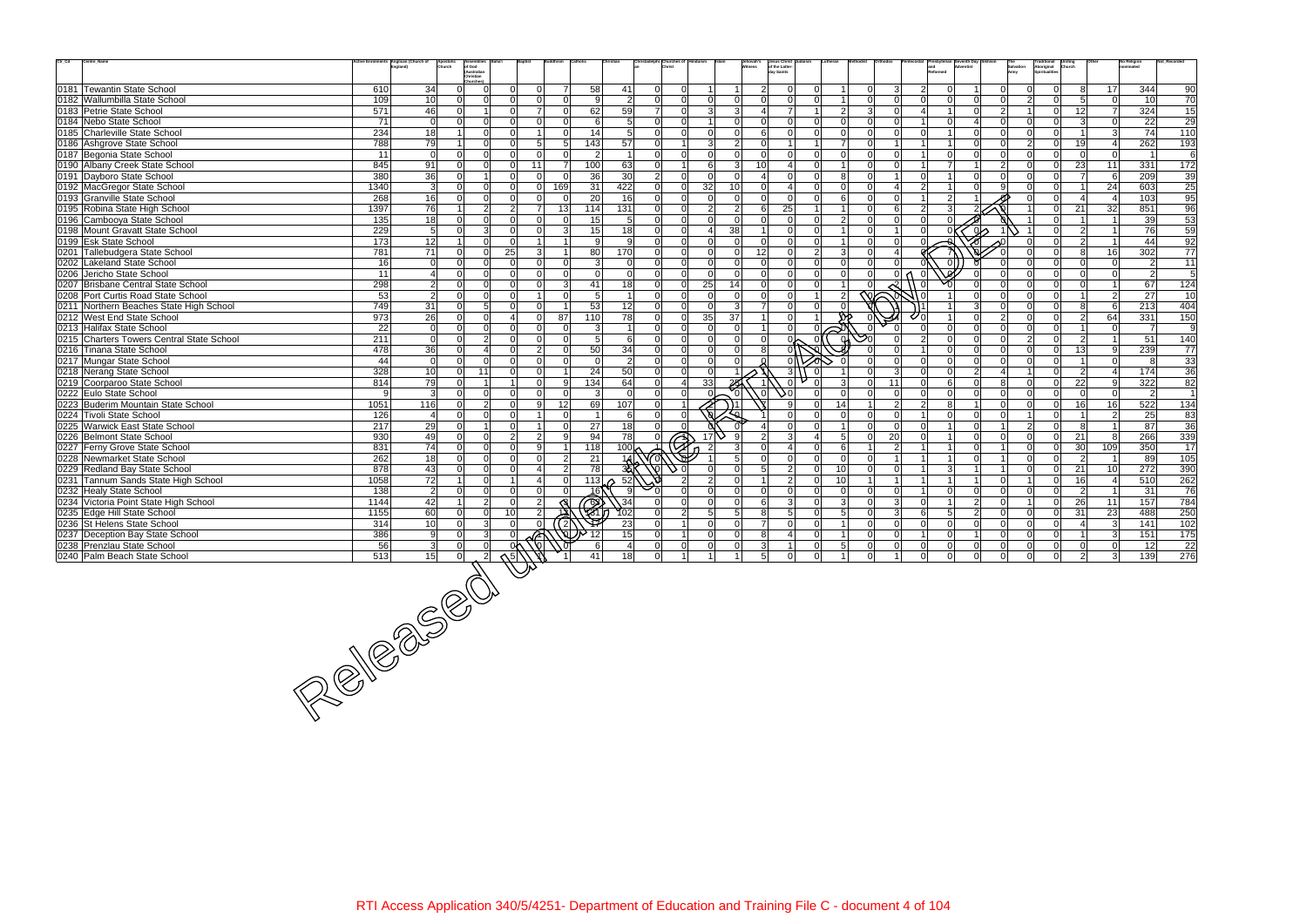| $\mathrm{Ctr}\_ \mathrm{Cd}$ | Centre_Name                                                                                                                                                                                                                                                                                                                                                                                                                                                                          |                  | Anglican (Church of | Assemblies<br>Apostolic<br>Church   |                                  |     |                             |                         | hristadelphi Churches of         |                            |                             | Jehovah's<br>Witness | Jesus Christ<br>of the Latter-<br>Lutheran |                     |                       |                               |                 |                                  |                   | Traditional<br>Aboriginal<br><b>Uniting</b><br>Church |                                  | No Religion      | Not Recorde     |
|------------------------------|--------------------------------------------------------------------------------------------------------------------------------------------------------------------------------------------------------------------------------------------------------------------------------------------------------------------------------------------------------------------------------------------------------------------------------------------------------------------------------------|------------------|---------------------|-------------------------------------|----------------------------------|-----|-----------------------------|-------------------------|----------------------------------|----------------------------|-----------------------------|----------------------|--------------------------------------------|---------------------|-----------------------|-------------------------------|-----------------|----------------------------------|-------------------|-------------------------------------------------------|----------------------------------|------------------|-----------------|
|                              |                                                                                                                                                                                                                                                                                                                                                                                                                                                                                      |                  |                     | of God<br>(Australian<br>Christian  |                                  |     |                             |                         |                                  |                            |                             |                      | dav Saints                                 |                     |                       |                               |                 |                                  | Salvation<br>Army | <b>Spiritualities</b>                                 |                                  |                  |                 |
|                              |                                                                                                                                                                                                                                                                                                                                                                                                                                                                                      |                  |                     | Churches <sup>®</sup>               |                                  |     |                             |                         |                                  |                            |                             |                      |                                            |                     |                       |                               |                 |                                  |                   |                                                       |                                  |                  |                 |
|                              | 0181 Tewantin State School                                                                                                                                                                                                                                                                                                                                                                                                                                                           | 610              | 34                  | $\Omega$                            | $\Omega$<br>$\Omega$             |     | $\overline{7}$<br>58        | 41                      | $\Omega$<br>$\Omega$             |                            |                             | 2 <sup>1</sup>       | $\Omega$                                   | $\Omega$            | 3                     | 2                             | $\Omega$        | $\Omega$                         |                   | $\overline{0}$                                        | 17<br>8                          | 344              | 90              |
|                              | 0182 Wallumbilla State School                                                                                                                                                                                                                                                                                                                                                                                                                                                        | 109              | 10                  | $\Omega$<br>$\Omega$                | ΩI<br><sup>n</sup>               |     | 9<br>$\Omega$               | $\overline{2}$          | $\Omega$<br>$\overline{0}$       | $\Omega$                   | $\Omega$                    | ΩI                   | $\Omega$<br>ΩI                             | U                   | $\Omega$              |                               | $\Omega$        | $\Omega$<br>$\Omega$             | $\mathcal{P}$     | $\overline{0}$                                        | 5 <sup>1</sup><br>$\Omega$       | 10               | 70              |
|                              | 0183 Petrie State School                                                                                                                                                                                                                                                                                                                                                                                                                                                             | 571              | 46                  | $\Omega$<br>-1                      | 7<br>$\Omega$                    |     | 62<br>$\Omega$              | 59                      | $\Omega$<br>71                   | 3 <sup>l</sup>             | $\mathbf{3}$                |                      | $\overline{7}$<br>$\overline{2}$<br>1      | $\overline{3}$      | $\Omega$              | 4                             | -1              | $\Omega$<br>$\overline{2}$       |                   | $\overline{0}$                                        | 12<br><b>7</b>                   | 324              | 15              |
|                              | 0184 Nebo State School                                                                                                                                                                                                                                                                                                                                                                                                                                                               | 71               | $\overline{0}$      | $\Omega$<br>$\Omega$                | $\Omega$<br>$\Omega$             |     | 6<br>U                      | 5                       | $\Omega$                         | $\overline{0}$             | $\Omega$                    | $\Omega$             | $\Omega$<br>ΩI                             |                     |                       |                               | $\Omega$        | $\Omega$                         |                   | $\Omega$                                              | 3<br>$\Omega$                    | 22               | $\overline{29}$ |
|                              | 0185 Charleville State School                                                                                                                                                                                                                                                                                                                                                                                                                                                        | 234              | 18                  | $\Omega$                            | $\Omega$                         |     | 14<br>O                     | 5                       | $\Omega$<br>$\overline{0}$       | $\Omega$                   | $\Omega$                    | 6 <sup>1</sup>       | $\Omega$<br>ΩI<br>$\Omega$                 |                     | $\Omega$              | $\Omega$                      |                 | $\Omega$<br>$\Omega$             |                   | $\overline{0}$                                        | 3                                | 74               | 110             |
|                              | 0186 Ashgrove State School                                                                                                                                                                                                                                                                                                                                                                                                                                                           | 788              | 79                  | $\Omega$                            | $5\overline{5}$<br>ΩI            |     | 143 <br>5 <sup>1</sup>      | 57                      | $\Omega$<br>$\mathbf 1$          | $\overline{3}$             | 2                           | $\Omega$             | $\overline{7}$<br>$\mathbf 1$              |                     |                       |                               |                 | $\Omega$<br>$\Omega$             | $\mathcal{P}$     | $\Omega$                                              | 19<br>$\vert$ 4                  | 262              | 193             |
|                              | 0187 Begonia State School                                                                                                                                                                                                                                                                                                                                                                                                                                                            | 11               | $\Omega$            | $\Omega$<br>$\Omega$                | $\Omega$<br>$\Omega$             |     | $\overline{2}$<br>$\Omega$  | $\overline{\mathbf{1}}$ | $\Omega$<br>$\overline{0}$       | $\Omega$                   | $\Omega$                    | $\Omega$             | $\Omega$<br>ΩI<br>$\Omega$                 |                     | $\Omega$              |                               | $\Omega$        | $\Omega$<br>$\cap$               | ΩI                | $\Omega$                                              | 0 <br>$\Omega$                   |                  | 6               |
|                              | 0190 Albany Creek State School                                                                                                                                                                                                                                                                                                                                                                                                                                                       | 845              | 91                  | $\Omega$                            | 11<br>$\Omega$                   |     | 100<br>$\overline{7}$       | 63                      | $\Omega$                         | 6                          | $\mathbf{3}$                | 10 <sup>1</sup>      | $\Omega$                                   |                     | $\Omega$              |                               | $\overline{7}$  | $\mathcal{P}$                    |                   | $\overline{0}$                                        | 23<br>11                         | 331              | 172             |
|                              | 0191 Dayboro State School                                                                                                                                                                                                                                                                                                                                                                                                                                                            | 380              | 36                  | $\Omega$<br>$\overline{1}$          | ΩI<br>0                          |     | 36<br>$\Omega$              | 30                      | $\Omega$<br>$\overline{2}$       | $\Omega$                   | $\Omega$                    |                      | $\Omega$<br>$\Omega$<br>8                  | $\Omega$            | $\overline{1}$        | $\Omega$                      |                 | $\Omega$<br>$\Omega$             |                   | $\overline{0}$                                        | - 6 I<br>$\overline{7}$          | 209              | 39              |
|                              | 0192 MacGregor State School                                                                                                                                                                                                                                                                                                                                                                                                                                                          | 1340             | $\mathbf{3}$        | $\Omega$<br>$\Omega$                | ΩI<br>$\Omega$                   | 169 | 31                          | 422                     | $\Omega$<br>$\Omega$             | 32 <sup>°</sup>            | 10                          | $\Omega$             | ΩI                                         |                     | 4                     | $\overline{2}$                |                 | $\alpha$                         |                   | $\Omega$                                              | 24                               | 603              | $\overline{25}$ |
|                              | 0193 Granville State School                                                                                                                                                                                                                                                                                                                                                                                                                                                          | 268              | 16                  | $\Omega$<br>$\Omega$                | ΩI<br>$\Omega$                   |     | 20                          | 16                      | $\Omega$                         | $\Omega$<br>ΩI             | $\Omega$                    | $\Omega$             | $\Omega$<br>ΩI                             |                     | $\Omega$              |                               | $\overline{2}$  |                                  |                   | $\Omega$                                              | $\vert$ 4                        | 103              | 95              |
|                              | 0195 Robina State High School                                                                                                                                                                                                                                                                                                                                                                                                                                                        | 1397             | $\overline{76}$     | $\overline{2}$                      | $\overline{2}$<br>$\overline{7}$ | 13  | 114                         | $\overline{131}$        | $\overline{0}$<br>$\overline{0}$ | 2                          | $\overline{2}$              | 6                    | 25                                         |                     | 6                     | $\mathcal{P}$                 | 3               |                                  |                   | $\overline{0}$                                        | 32<br>21                         | 851              | 96              |
|                              | 0196 Cambooya State School                                                                                                                                                                                                                                                                                                                                                                                                                                                           | 135              | 18                  | $\Omega$<br>0                       | $\Omega$<br>$\Omega$             |     | 15<br>$\Omega$              | 5                       | $\Omega$<br>$\Omega$             | $\Omega$                   | $\Omega$                    | $\Omega$             | 0l<br>$\Omega$                             |                     | $\Omega$              | $\Omega$                      |                 |                                  |                   | $\Omega$                                              | $\overline{1}$<br>$\overline{1}$ | 39               | 53              |
|                              | 0198 Mount Gravatt State School                                                                                                                                                                                                                                                                                                                                                                                                                                                      | 229              | $5\phantom{.0}$     | $\overline{3}$<br>$\Omega$          | ΩI<br>$\Omega$                   |     | 15<br>3 <sup>1</sup>        | 18                      | $\Omega$<br>$\Omega$             | $\overline{4}$             | 38                          |                      | $\Omega$<br>ΩI                             |                     |                       |                               |                 | ω۸                               |                   | $\overline{0}$                                        | $\overline{2}$<br>$\overline{1}$ | 76               | 59              |
|                              | 0199 Esk State School                                                                                                                                                                                                                                                                                                                                                                                                                                                                | $\overline{173}$ | 12                  | $\Omega$                            | $\Omega$                         |     | 9                           | 9                       | $\Omega$                         | $\overline{0}$<br>$\Omega$ | $\Omega$                    | $\Omega$             | 0 <br>$\Omega$                             |                     | $\Omega$              |                               |                 |                                  |                   | $\mathbf 0$                                           | $\overline{2}$<br>$\overline{1}$ | 44               | 92              |
|                              | 0201 Tallebudgera State School                                                                                                                                                                                                                                                                                                                                                                                                                                                       | 781              | 71                  | $\Omega$<br>$\Omega$                | 25<br>3 <sup>l</sup>             |     | 80                          | 170                     | $\Omega$<br>$\Omega$             | $\Omega$                   | $\Omega$                    | 12                   | 0l<br>$\mathcal{P}$<br>3                   |                     | $\boldsymbol{\Delta}$ |                               |                 |                                  |                   | $\Omega$                                              | 16<br>8l                         | 302              | 77              |
|                              | 0202 Lakeland State School                                                                                                                                                                                                                                                                                                                                                                                                                                                           | 16               | - 0                 | $\Omega$<br>$\Omega$                | $\Omega$<br>$\Omega$             |     | $\mathbf{3}$<br>$\Omega$    | $\Omega$                | $\overline{0}$<br>$\Omega$       | $\Omega$                   | $\Omega$                    | $\Omega$             | $\Omega$<br>ΩI                             |                     |                       |                               | $\Omega$        |                                  |                   | $\Omega$                                              | $\Omega$<br>$\Omega$             | $\overline{2}$   | 11              |
|                              | 0206 Jericho State School                                                                                                                                                                                                                                                                                                                                                                                                                                                            | 11               |                     | $\Omega$                            |                                  |     | $\overline{0}$<br>O         | $\mathbf 0$             | $\Omega$                         | $\overline{0}$<br>$\Omega$ | $\Omega$                    | $\Omega$             | $\Omega$<br>$\Omega$                       |                     |                       |                               |                 |                                  |                   | $\Omega$                                              | $\overline{0}$<br><sup>0</sup>   | $\overline{2}$   | 5               |
|                              | 0207 Brisbane Central State School                                                                                                                                                                                                                                                                                                                                                                                                                                                   | 298              | $\overline{2}$      | $\Omega$<br>$\Omega$                | $\Omega$<br>ΩI                   |     | 41<br>3                     | 18                      | 0 <br> 0                         | 25                         | 14                          | $\Omega$             | 0l<br>ΩI                                   |                     |                       |                               |                 |                                  |                   | $\Omega$                                              | $\Omega$<br>$\overline{1}$       | 67               | 124             |
|                              | 0208 Port Curtis Road State School                                                                                                                                                                                                                                                                                                                                                                                                                                                   | 53               | $\overline{2}$      | $\Omega$<br>$\Omega$                | $\Omega$                         |     | $5\overline{)}$<br>$\Omega$ | $\overline{1}$          | $\Omega$<br>$\Omega$             | $\Omega$                   | $\Omega$                    | -ol                  | $\Omega$<br>$\overline{2}$                 | $\overline{\infty}$ |                       |                               |                 | $\Omega$<br>$\cap$               |                   | $\Omega$                                              | $\overline{2}$<br>$\overline{1}$ | 27               |                 |
|                              |                                                                                                                                                                                                                                                                                                                                                                                                                                                                                      | 749              | $\overline{31}$     | 5 <sup>1</sup><br>$\Omega$          | $\Omega$<br>$\Omega$             |     |                             |                         | $\Omega$                         | $\overline{0}$<br>$\Omega$ | 3                           | $\overline{7}$       |                                            |                     |                       |                               |                 | $\Omega$<br>3                    |                   | $\Omega$                                              | 8 <sup>1</sup><br><sup>6</sup>   | $\overline{213}$ | 10<br>404       |
|                              | 0211 Northern Beaches State High School                                                                                                                                                                                                                                                                                                                                                                                                                                              |                  |                     |                                     |                                  |     | 53                          | 12                      |                                  |                            |                             |                      | 0                                          |                     |                       |                               |                 | $\Omega$                         | $\cap$            |                                                       |                                  |                  |                 |
|                              | 0212 West End State School                                                                                                                                                                                                                                                                                                                                                                                                                                                           | 973              | 26                  | $\Omega$<br>$\Omega$                | $\Delta$<br>$\Omega$             | 87  | 110                         | 78                      | $\Omega$                         | 35<br> 0                   | 37                          |                      | $\overline{0}$                             |                     |                       |                               |                 | $\overline{2}$                   |                   | $\overline{0}$                                        | $\overline{2}$<br>64             | 331              | 150             |
|                              | 0213 Halifax State School                                                                                                                                                                                                                                                                                                                                                                                                                                                            | 22               | $\Omega$            | $\Omega$<br>$\Omega$                | $\Omega$<br>$\Omega$             |     | $\mathbf{3}$<br>$\Omega$    | $\overline{\mathbf{1}}$ | $\overline{0}$<br>$\Omega$       | $\Omega$                   | $\Omega$                    | $\overline{1}$       | $\Omega$<br>$\Omega$<br>$\approx$          |                     |                       |                               | $\Omega$        | $\Omega$<br>$\Omega$             | $\Omega$          | $\overline{0}$                                        | $\Omega$<br>$\overline{1}$       | - 71             | 9               |
|                              | 0215 Charters Towers Central State School                                                                                                                                                                                                                                                                                                                                                                                                                                            | 211              | $\overline{0}$      | $\overline{2}$<br>$\Omega$          | $\Omega$<br>$\Omega$             |     | 5 <sup>1</sup><br>$\Omega$  | 6                       | $\Omega$<br>$\Omega$             | $\Omega$                   | $\Omega$                    | $\Omega$             | ଦା<br>∿<br>$\Omega$                        | $\mathcal{S}^0$     |                       | 2                             | $\Omega$        | $\Omega$<br>$\Omega$             | $\overline{2}$    | $\overline{0}$                                        | $\overline{2}$<br>$\overline{1}$ | 51               | 140             |
|                              | 0216 Tinana State School                                                                                                                                                                                                                                                                                                                                                                                                                                                             | 478              | 36                  | $\overline{\mathbf{A}}$<br>$\Omega$ | $\overline{2}$<br>ΩI             |     | 50<br>0                     | 34                      | $\Omega$                         | $\overline{0}$<br>$\Omega$ | $\Omega$                    | 8                    |                                            |                     |                       |                               | $\Omega$        | $\Omega$<br>$\Omega$             | $\Omega$          | $\overline{0}$                                        | 13<br>-91                        | 239              | 77              |
|                              | 0217 Mungar State School                                                                                                                                                                                                                                                                                                                                                                                                                                                             | 44               | $\overline{0}$      | $\Omega$<br>$\Omega$                | $\Omega$<br>$\Omega$             |     | $\Omega$<br>$\Omega$        | $\overline{2}$          | $\Omega$<br>$\Omega$             | $\Omega$                   | $\Omega$                    |                      | $\Omega$                                   |                     | $\Omega$              |                               | $\Omega$        | $\Omega$<br>$\Omega$             |                   | $\Omega$                                              | 0 <br>$\overline{1}$             | 8                | 33              |
|                              | 0218 Nerang State School                                                                                                                                                                                                                                                                                                                                                                                                                                                             | 328              | 10                  | 11<br>$\Omega$                      | $\Omega$<br>$\Omega$             |     | 24                          | 50                      | $\Omega$<br>$\Omega$             | $\cap$                     |                             |                      | 3 <br>$\Omega$                             |                     | 3                     |                               | $\Omega$        | 2 <sup>1</sup><br>$\Delta$       |                   | $\Omega$                                              | $\overline{2}$<br>4              | 174              | $\overline{36}$ |
|                              | 0219 Coorparoo State School                                                                                                                                                                                                                                                                                                                                                                                                                                                          | 814              | 79                  |                                     | <sup>n</sup>                     |     | 134<br>9                    | 64                      | $\Omega$<br>41                   | 33                         |                             |                      | $\Omega$                                   |                     | 11                    |                               | 6               | $\Omega$<br>8                    |                   | $\overline{0}$                                        | 22<br>-91                        | 322              | 82              |
|                              | 0222 Eulo State School                                                                                                                                                                                                                                                                                                                                                                                                                                                               | - 9              | $\mathbf{3}$        | $\Omega$<br>$\Omega$                | $\Omega$<br>$\Omega$             |     | $\mathbf{3}$<br>$\Omega$    | $\Omega$                | $\overline{0}$<br>$\Omega$       |                            | $\Omega$                    | ا0 ،                 | J٥<br>$\Omega$<br>$\Omega$                 | $\Omega$            | $\mathbf 0$           | $\Omega$                      | $\Omega$        | 0 <br>$\Omega$                   | $\Omega$          | $\overline{0}$                                        | 0 <br>$\Omega$                   | $\overline{2}$   | $\overline{1}$  |
|                              | 0223 Buderim Mountain State School                                                                                                                                                                                                                                                                                                                                                                                                                                                   | 1051             | 116                 | $\overline{2}$<br>$\Omega$          | 9 <sup>1</sup><br>$\Omega$       | 12  | 69                          | 107                     | $\Omega$                         |                            |                             |                      | 9<br>14<br>$\Omega$                        |                     | $\overline{2}$        | 2 <sup>1</sup>                | 8               | $\Omega$                         | $\Omega$          | $\overline{0}$                                        | 16<br>16                         | 522              | 134             |
|                              | 0224 Tivoli State School                                                                                                                                                                                                                                                                                                                                                                                                                                                             | 126              | $\overline{4}$      | $\Omega$                            |                                  |     | $\Omega$                    | 6                       | $\Omega$                         |                            |                             |                      | $\Omega$                                   |                     | $\Omega$              |                               | $\Omega$        | $\Omega$<br>$\Omega$             |                   | $\Omega$                                              | $\overline{2}$                   | 25               | 83              |
|                              | 0225 Warwick East State School                                                                                                                                                                                                                                                                                                                                                                                                                                                       | 217              | 29                  | $\Omega$<br>$\overline{1}$          | $\Omega$                         |     | 27<br>$\Omega$              | 18                      | $\Omega$<br>$\Omega$             |                            |                             |                      | $\Omega$<br>$\Omega$                       | $\Omega$            | $\Omega$              | $\Omega$                      |                 | $\Omega$                         | $\mathcal{P}$     | $\overline{0}$                                        | 8<br>$\overline{1}$              | 87               | 36              |
|                              | 0226 Belmont State School                                                                                                                                                                                                                                                                                                                                                                                                                                                            | 930              | 49                  | $\Omega$<br>∩                       | $\overline{2}$<br>$\overline{2}$ |     | 94<br>$\mathbf{Q}$          | 78                      | €                                | 17                         |                             |                      | 3<br>5                                     |                     | 20                    |                               | $\overline{1}$  | $\Omega$<br>$\Omega$             |                   | $\Omega$                                              | 21<br>8                          | 266              | 339             |
|                              | 0227 Ferny Grove State School                                                                                                                                                                                                                                                                                                                                                                                                                                                        | 831              | $\overline{74}$     | $\Omega$<br>$\Omega$                | ΩI<br>9 <sup>1</sup>             |     | 118                         | 100                     |                                  |                            |                             |                      | $\Omega$<br>6                              |                     | 2                     |                               |                 | $\Omega$                         |                   | $\overline{0}$                                        | 30 <sup>1</sup><br>109           | 350              | 17              |
|                              | 0228 Newmarket State School                                                                                                                                                                                                                                                                                                                                                                                                                                                          | 262              | 18                  | $\Omega$<br>$\Omega$                | $\Omega$<br>$\Omega$             |     | 21<br>$\overline{2}$        |                         |                                  |                            | 5                           | $\Omega$             | -Ol<br>$\Omega$<br>$\Omega$                | $\Omega$            |                       |                               |                 | $\Omega$                         |                   | $\overline{0}$                                        | $\overline{2}$<br>$\overline{1}$ | 89               | 105             |
|                              | 0229 Redland Bay State School                                                                                                                                                                                                                                                                                                                                                                                                                                                        | 878              | 43                  | $\Omega$<br>$\Omega$                | ΩI                               |     | 78<br>$\overline{2}$        |                         |                                  |                            | $\Omega$                    |                      | $\overline{2}$<br>ΩI<br>10                 |                     | $\Omega$              |                               | $\mathbf{3}$    |                                  |                   | $\overline{0}$                                        | 10 <sup>1</sup><br>21            | 272              | 390             |
|                              | 0231 Tannum Sands State High School                                                                                                                                                                                                                                                                                                                                                                                                                                                  | 1058             | 72                  | $\Omega$<br>-1                      |                                  |     | 113<br>$\Omega$             | 52                      |                                  | $\overline{2}$             | $\Omega$                    |                      | $\overline{2}$<br>10<br>$\Omega$           |                     |                       |                               |                 | $\Omega$                         |                   | 0                                                     | 16 <sup>1</sup><br>$\vert$ 4     | 510              | 262             |
|                              | 0232 Healy State School                                                                                                                                                                                                                                                                                                                                                                                                                                                              | 138              | $\vert$ 2           | $\Omega$<br>∩                       | 0                                |     | 16)                         |                         |                                  | ΩI                         | $\Omega$                    | $\Omega$             | $\Omega$<br>n١<br>$\Omega$                 |                     | 0                     |                               | $\Omega$        | $\Omega$<br>$\Omega$             |                   | $\overline{0}$                                        | $\overline{2}$                   | 31               | 76              |
|                              | 0234 Victoria Point State High School                                                                                                                                                                                                                                                                                                                                                                                                                                                | 1144             | 42                  | 2 <sup>1</sup><br>$\overline{1}$    | $\overline{2}$<br>$\Omega$       |     |                             | 34                      | $\Omega$                         | $\Omega$                   | $\Omega$                    | $6 \mid$             | 3 <sup>1</sup><br>$\Omega$<br>3            |                     | 3                     | $\Omega$                      |                 | $\overline{2}$<br>$\Omega$       |                   | $\overline{0}$                                        | 26<br>11                         | 157              | 784             |
|                              | 0235 Edge Hill State School                                                                                                                                                                                                                                                                                                                                                                                                                                                          | 1155             | 60                  | $\Omega$<br>$\Omega$                | $\overline{2}$<br>101            |     | $\binom{3}{2}$              | $Y_{02}$                | $\overline{2}$<br>$\Omega$       | 5 <sup>1</sup>             | 5 <sup>5</sup>              | 81                   | 5 <sup>1</sup><br>$\Omega$<br>.5           | $\Omega$            | $\overline{3}$        | 6                             | $5\overline{)}$ | 2 <sup>1</sup><br>$\Omega$       |                   | 31<br>$\overline{0}$                                  | 23                               | 488              | 250             |
|                              | 0236 St Helens State School                                                                                                                                                                                                                                                                                                                                                                                                                                                          | 314              | 10                  | $\overline{3}$                      |                                  |     |                             | 23                      |                                  | $\Omega$                   | $\Omega$                    | $\overline{7}$       | $\Omega$                                   |                     |                       |                               | $\Omega$        | $\Omega$<br>$\Omega$             |                   | $\overline{0}$                                        | $\vert$ 3 $\vert$<br>$\Delta$    | 141              | 102             |
|                              | 0237 Deception Bay State School                                                                                                                                                                                                                                                                                                                                                                                                                                                      |                  |                     |                                     |                                  |     | 12                          | 15                      | 11                               | $\Omega$                   | $\overline{0}$              | 8                    | ΩI                                         |                     | $\Omega$              |                               | $\Omega$        | $\Omega$                         |                   | $\overline{0}$                                        | $\vert$ 3 $\vert$<br>-1          | 151              | $\frac{175}{2}$ |
|                              | 0238 Prenzlau State School<br>$\frac{1}{\frac{1}{3} \cdot \frac{1}{3} \cdot \frac{1}{3} \cdot \frac{1}{3} \cdot \frac{1}{3} \cdot \frac{1}{3} \cdot \frac{1}{3} \cdot \frac{1}{3} \cdot \frac{1}{3} \cdot \frac{1}{3} \cdot \frac{1}{3} \cdot \frac{1}{3} \cdot \frac{1}{3} \cdot \frac{1}{3} \cdot \frac{1}{3} \cdot \frac{1}{3} \cdot \frac{1}{3} \cdot \frac{1}{3} \cdot \frac{1}{3} \cdot \frac{1}{3} \cdot \frac{1}{3} \cdot \frac{1}{3} \cdot \frac{1}{3} \cdot \frac{1}{3} \$ |                  |                     |                                     |                                  |     | 6                           | $\overline{\mathbf{4}}$ | $\Omega$<br>$\Omega$             | $\Omega$                   | $\Omega$                    | $\mathbf{3}$         | 5 <sup>1</sup><br>$\Omega$                 | $\Omega$            | $\Omega$              |                               | $\Omega$        | ΩI<br>$\cap$                     |                   | $\Omega$                                              | $\Omega$<br>n.                   | 12 <sup>1</sup>  | 22              |
|                              | 0240 Palm Beach State School                                                                                                                                                                                                                                                                                                                                                                                                                                                         |                  |                     |                                     |                                  |     | $\overline{41}$             | $\overline{18}$         | $\overline{0}$ 1                 |                            | $\frac{1}{1}$ $\frac{1}{1}$ | $\overline{5}$       | $\overline{0}$<br>$\ddot{\circ}$           | $\frac{1}{1}$ 0     | $\frac{1}{1}$         | $\overline{0}$ $\overline{0}$ |                 | $\overline{0}$<br>$\overline{0}$ | $\overline{0}$    | $\overline{0}$                                        | $\frac{1}{2}$<br>$\overline{3}$  | 139              | 276             |
|                              |                                                                                                                                                                                                                                                                                                                                                                                                                                                                                      |                  |                     |                                     |                                  |     |                             |                         |                                  |                            |                             |                      |                                            |                     |                       |                               |                 |                                  |                   |                                                       |                                  |                  |                 |
|                              |                                                                                                                                                                                                                                                                                                                                                                                                                                                                                      |                  |                     |                                     |                                  |     |                             |                         |                                  |                            |                             |                      |                                            |                     |                       |                               |                 |                                  |                   |                                                       |                                  |                  |                 |
|                              |                                                                                                                                                                                                                                                                                                                                                                                                                                                                                      |                  |                     |                                     |                                  |     |                             |                         |                                  |                            |                             |                      |                                            |                     |                       |                               |                 |                                  |                   |                                                       |                                  |                  |                 |
|                              |                                                                                                                                                                                                                                                                                                                                                                                                                                                                                      |                  |                     |                                     |                                  |     |                             |                         |                                  |                            |                             |                      |                                            |                     |                       |                               |                 |                                  |                   |                                                       |                                  |                  |                 |
|                              |                                                                                                                                                                                                                                                                                                                                                                                                                                                                                      |                  |                     |                                     |                                  |     |                             |                         |                                  |                            |                             |                      |                                            |                     |                       |                               |                 |                                  |                   |                                                       |                                  |                  |                 |
|                              |                                                                                                                                                                                                                                                                                                                                                                                                                                                                                      |                  |                     |                                     |                                  |     |                             |                         |                                  |                            |                             |                      |                                            |                     |                       |                               |                 |                                  |                   |                                                       |                                  |                  |                 |
|                              |                                                                                                                                                                                                                                                                                                                                                                                                                                                                                      |                  |                     |                                     |                                  |     |                             |                         |                                  |                            |                             |                      |                                            |                     |                       |                               |                 |                                  |                   |                                                       |                                  |                  |                 |
|                              |                                                                                                                                                                                                                                                                                                                                                                                                                                                                                      |                  |                     |                                     |                                  |     |                             |                         |                                  |                            |                             |                      |                                            |                     |                       |                               |                 |                                  |                   |                                                       |                                  |                  |                 |
|                              |                                                                                                                                                                                                                                                                                                                                                                                                                                                                                      |                  |                     |                                     |                                  |     |                             |                         |                                  |                            |                             |                      |                                            |                     |                       |                               |                 |                                  |                   |                                                       |                                  |                  |                 |
|                              |                                                                                                                                                                                                                                                                                                                                                                                                                                                                                      |                  |                     |                                     |                                  |     |                             |                         |                                  |                            |                             |                      |                                            |                     |                       |                               |                 |                                  |                   |                                                       |                                  |                  |                 |
|                              |                                                                                                                                                                                                                                                                                                                                                                                                                                                                                      |                  |                     |                                     |                                  |     |                             |                         |                                  |                            |                             |                      |                                            |                     |                       |                               |                 |                                  |                   |                                                       |                                  |                  |                 |
|                              |                                                                                                                                                                                                                                                                                                                                                                                                                                                                                      |                  |                     |                                     |                                  |     |                             |                         |                                  |                            |                             |                      |                                            |                     |                       |                               |                 |                                  |                   |                                                       |                                  |                  |                 |
|                              |                                                                                                                                                                                                                                                                                                                                                                                                                                                                                      |                  |                     |                                     |                                  |     |                             |                         |                                  |                            |                             |                      |                                            |                     |                       |                               |                 |                                  |                   |                                                       |                                  |                  |                 |
|                              |                                                                                                                                                                                                                                                                                                                                                                                                                                                                                      |                  |                     |                                     |                                  |     |                             |                         |                                  |                            |                             |                      |                                            |                     |                       |                               |                 |                                  |                   |                                                       |                                  |                  |                 |
|                              |                                                                                                                                                                                                                                                                                                                                                                                                                                                                                      |                  |                     |                                     |                                  |     |                             |                         |                                  |                            |                             |                      |                                            |                     |                       |                               |                 |                                  |                   |                                                       |                                  |                  |                 |
|                              |                                                                                                                                                                                                                                                                                                                                                                                                                                                                                      |                  |                     |                                     |                                  |     |                             |                         |                                  |                            |                             |                      |                                            |                     |                       |                               |                 |                                  |                   |                                                       |                                  |                  |                 |

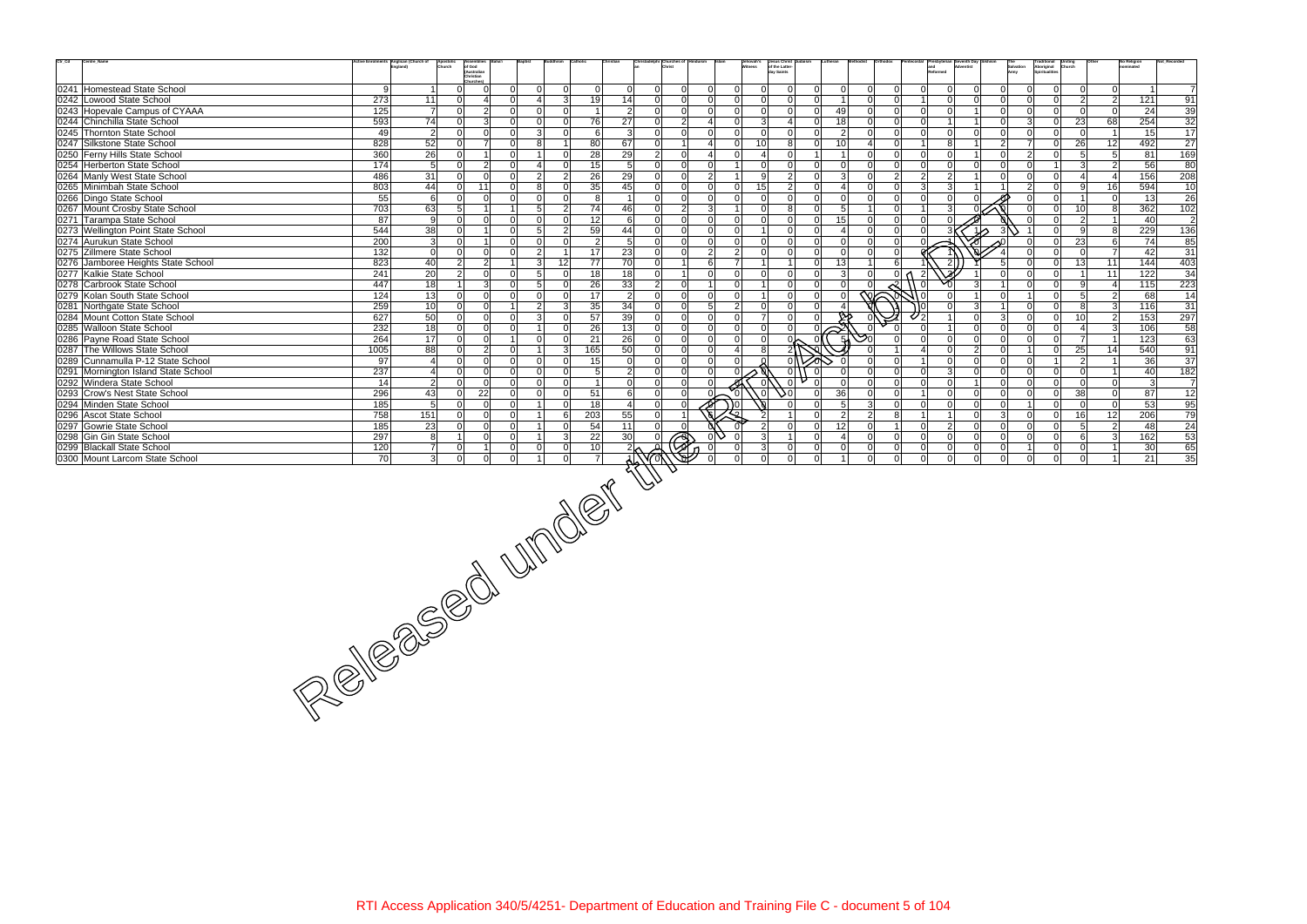| $\mathrm{Ctr}\_ \mathrm{Cd}$ | Centre_Name                         | Anglican (Church of | Apostolic<br>Church      | Assemblies                                       |                                  |                |                             |                             | hristadelphi Churches of |                |                                  | Jehovah's<br>Witness | Jesus Christ<br>of the Latter-<br>day Saints<br>Judaism | Lutheran       |                     |                |                                | and<br>and<br>Reformed |                |                | Salvation<br>Army | Traditional Uniting<br>Aboriginal Church<br>Spiritualities |                                  | <b>No Religion</b><br>ominated | Not_Recorded    |
|------------------------------|-------------------------------------|---------------------|--------------------------|--------------------------------------------------|----------------------------------|----------------|-----------------------------|-----------------------------|--------------------------|----------------|----------------------------------|----------------------|---------------------------------------------------------|----------------|---------------------|----------------|--------------------------------|------------------------|----------------|----------------|-------------------|------------------------------------------------------------|----------------------------------|--------------------------------|-----------------|
|                              |                                     |                     |                          | of God<br>(Australian<br>Christian               |                                  |                |                             |                             |                          |                |                                  |                      |                                                         |                |                     |                |                                |                        |                |                |                   |                                                            |                                  |                                |                 |
|                              | 0241 Homestead State School         | 9                   |                          | Churches)<br>$\overline{0}$<br>$\Omega$<br>0     | $\overline{0}$                   |                | $\Omega$                    | $\overline{0}$<br> 0        | $\overline{0}$           | 0              | $\Omega$<br>$\overline{0}$       | -ol                  | 0 <br>$\Omega$                                          | $\overline{0}$ | $\Omega$            | $\overline{0}$ | $\Omega$                       | $\mathbf 0$            | $\Omega$       | 0              |                   | $\overline{0}$<br>$\overline{0}$                           | 0                                |                                | $\overline{7}$  |
|                              | 0242 Lowood State School            | 273                 | 11                       | $\Omega$<br>$\overline{\mathbf{A}}$<br>$\Omega$  | 4                                |                | 19<br>$\overline{3}$        | 14                          | $\Omega$                 | $\overline{0}$ | $\Omega$<br>$\overline{0}$       | $\Omega$             | -ol<br>$\Omega$                                         |                | $\Omega$            | $\overline{0}$ |                                | $\Omega$               | $\Omega$       | $\Omega$       | $\Omega$          | $\overline{0}$                                             | $\overline{2}$<br>$\overline{2}$ | 121                            | 91              |
|                              | 0243 Hopevale Campus of CYAAA       | 125                 | $\overline{7}$           | $\overline{2}$<br>$\overline{0}$                 | $\Omega$<br>$\Omega$             |                | $\Omega$<br>$\overline{1}$  | $\overline{2}$              | $\overline{0}$           | $\overline{0}$ | $\Omega$<br>$\overline{0}$       | -Ol                  | 0 <br>$\overline{0}$                                    | 49             | $\overline{0}$      | $\overline{0}$ | $\Omega$                       | $\mathbf 0$            | 11             | 0              | $\Omega$          | $\overline{0}$<br>$\overline{0}$                           | - 0 I                            | 24                             | 39              |
|                              | 0244 Chinchilla State School        | 593                 | 74                       | $\overline{3}$<br>$\Omega$<br>$\Omega$           | $\Omega$                         |                | 76<br>$\Omega$              | 27                          | 0                        | $\overline{2}$ | $\overline{0}$<br>$\overline{4}$ | 3                    | $\overline{0}$<br>$\overline{4}$                        | 18             | $\Omega$            | $\overline{0}$ | $\Omega$                       |                        |                | 0              | $\mathcal{E}$     | 23<br>$\overline{0}$                                       | 68                               | 254                            | $\overline{32}$ |
|                              | 0245 Thornton State School          | 49                  | $\overline{2}$           | $\Omega$<br>$\Omega$<br>$\Omega$                 | 3 <sup>l</sup>                   |                | 0                           | $6 \,$<br>$\mathbf{3}$      | 0                        | $\overline{0}$ | $\Omega$<br>$\overline{0}$       | $\Omega$             | 0 <br>$\Omega$                                          | $\overline{2}$ | $\Omega$            | $\overline{0}$ | $\Omega$                       | $\mathbf 0$            | $\Omega$       | $\Omega$       | $\Omega$          | $\overline{0}$<br>$\overline{0}$                           |                                  | 15                             | 17              |
|                              | 0247 Silkstone State School         | 828                 | 52                       | $\overline{7}$<br>$\Omega$                       | 8<br>$\Omega$                    |                | 80<br>$\overline{1}$        | 67                          | $\overline{0}$           | $1\vert$       | $\overline{0}$<br>$\overline{4}$ | 10 <sup>°</sup>      | 8<br>$\Omega$                                           | 10             | $\overline{4}$      | $\overline{0}$ | 1 <sup>1</sup>                 | 8                      | 1              | $\overline{2}$ | $\overline{7}$    | $\overline{0}$<br>26                                       | 12                               | 492                            | 27              |
|                              | 0250 Ferny Hills State School       | 360                 | $\overline{26}$          | $\Omega$<br>$\overline{1}$<br>$\Omega$           |                                  |                | 28<br>$\Omega$              | 29                          | $\overline{2}$           | 0              | $\overline{0}$<br>$\overline{4}$ |                      | -Ol                                                     | $\overline{1}$ | $\Omega$            | $\overline{0}$ | $\Omega$                       | $\Omega$               | $\vert$ 1      | $\Omega$       | $\overline{2}$    | 5<br>$\overline{0}$                                        | 5 <sup>1</sup>                   | 81                             | 169             |
|                              | 0254 Herberton State School         | 174                 | 5                        | $\overline{2}$<br>$\Omega$<br>$\Omega$           | 4                                |                | 15<br>$\Omega$              | 5                           | 0                        | 0              | $\Omega$<br>$\mathbf{1}$         | $\Omega$             | 0 <br>$\overline{0}$                                    | $\Omega$       |                     | $\overline{0}$ | $\Omega$                       | $\Omega$               | $\Omega$       | $\Omega$       | $\Omega$          | $\overline{3}$                                             | $\overline{2}$                   | 56                             | 80              |
|                              | 0264 Manly West State School        | 486                 | $\overline{31}$          | $\Omega$<br>$\Omega$<br>$\Omega$                 | $\overline{2}$                   |                | 26<br>$\overline{2}$        | 29                          | $\overline{0}$           | $\overline{0}$ | 2 <br>$\vert$ 1                  | -91                  | 2 <br>$\overline{0}$                                    | 3              | $\Omega$            | $\overline{2}$ | 2 <sup>1</sup>                 | $\overline{2}$         | 1              | $\Omega$       | ΩI                | 0 <br>$\vert$ 4                                            | $\vert$ 4                        | 156                            | 208             |
|                              | 0265 Minimbah State School          | 803                 | 44                       | 11<br>$\Omega$<br>$\Omega$                       | 8                                |                | 35<br>$\Omega$              | 45                          | 0                        | $\overline{0}$ | $\Omega$<br>$\overline{0}$       | 15                   | $\vert$ 2<br>$\overline{0}$                             |                | $\Omega$            | $\overline{0}$ | 3 <sup>l</sup>                 | $\mathbf{3}$           | 11             |                | 2 <sup>1</sup>    | $\overline{0}$<br>9                                        | 16                               | 594                            | 10              |
|                              | 0266 Dingo State School             | 55                  | 6                        | $\Omega$<br>$\Omega$<br>$\Omega$                 | $\Omega$                         |                | 8<br>$\Omega$               |                             | $\Omega$                 | $\overline{0}$ | $\Omega$<br>$\Omega$             | - Ol                 | 0 <br>$\overline{0}$                                    | $\Omega$       | $\Omega$            | $\overline{0}$ |                                | $\Omega$               | ΩI             |                |                   | $\overline{0}$<br>$\overline{1}$                           | 0                                | 13                             | 26              |
|                              | 0267 Mount Crosby State School      | 703                 | 63                       | 5 <sup>1</sup><br>$\vert$ 1                      | 5 <sup>1</sup>                   |                | 74<br>$\overline{2}$        | 46                          | 0                        | 2              | 3 <sup>1</sup><br>11             | $\Omega$             | 8 <br>$\Omega$                                          | 5              |                     | $\overline{0}$ |                                | 3                      |                |                |                   | 10<br>$\overline{0}$                                       | 8                                | 362                            | 102             |
|                              | 0271 Tarampa State School           | 87                  | -9                       | $\Omega$<br>$\Omega$<br>$\Omega$                 | $\Omega$                         |                | 12<br>$\Omega$              | 6                           | 0                        | 0              | $\Omega$<br>$\Omega$             | $\Omega$             | -Ol<br>$\overline{0}$                                   | 15             | $\Omega$            | $\overline{0}$ | $\Omega$                       | $\Omega$               |                |                |                   | $\overline{0}$<br>$\overline{2}$                           | $\vert$ 1                        | 40                             | $\overline{2}$  |
|                              | 0273 Wellington Point State School  | 544                 | $\overline{38}$          | $\Omega$<br>$\Omega$<br>$\overline{1}$           | 5 <sup>1</sup>                   |                | 59<br>2                     | 44                          | 0                        | $\overline{0}$ | $\Omega$<br>$\Omega$             | $\overline{1}$       | 0 <br>$\Omega$                                          | $\overline{4}$ | $\Omega$            | $\overline{0}$ | n١                             |                        |                | $1\lambda$     |                   | $\overline{0}$<br>9                                        | 8                                | 229                            | 136             |
|                              | 0274 Aurukun State School           | 200                 | $\overline{3}$           | $\overline{0}$<br>$\mathbf{1}$<br>$\Omega$       | $\overline{0}$                   |                | $\Omega$                    | $\overline{2}$<br>5         | 0                        | 0              | $\Omega$<br>$\overline{0}$       | -ol                  | 0 <br>$\overline{0}$                                    | $\mathbf 0$    | $\Omega$            | $\mathbf 0$    |                                |                        |                |                |                   | 23<br>$\overline{0}$                                       | 6 <sup>1</sup>                   | 74                             | 85              |
|                              | 0275 Zillmere State School          | 132                 | 0                        | $\Omega$<br>$\Omega$<br>$\Omega$                 | $\overline{2}$                   | $\overline{1}$ | 17                          | 23                          | 0                        | $\Omega$       | 2 <sup>1</sup><br>$\overline{2}$ | $\Omega$             | 0 <br>$\overline{0}$                                    | $\Omega$       | $\Omega$            | $\mathbf 0$    |                                |                        |                |                |                   | $\overline{0}$<br>$\Omega$                                 | <b>7</b>                         | 42                             | 31              |
|                              | 0276 Jamboree Heights State School  | 823                 | 40                       | $\overline{2}$<br>$\overline{2}$                 | $\overline{3}$                   | 12             | 77                          | 70                          | 0                        | 11             | 6<br>$\overline{7}$              |                      | 1 <sup>1</sup><br>$\Omega$                              | 13             |                     | 6              |                                | $\overline{2}$         |                | 5 <sup>1</sup> |                   | 13<br>$\overline{0}$                                       | 11                               | 144                            | 403             |
|                              | 0277 Kalkie State School            | 241                 | 20                       | $\overline{2}$<br>$\overline{0}$<br>$\Omega$     | 5 <sup>1</sup>                   |                | 18<br>$\Omega$              | $\frac{1}{8}$               | 0                        | $\mathbf{1}$   | $\Omega$<br>$\overline{0}$       | $\Omega$             | -ol<br>$\Omega$                                         | 3              | $\Omega$            |                | $\mathbf{2}$<br>0 <sub>0</sub> |                        |                | $\Omega$       |                   | $\overline{0}$<br>$\overline{1}$                           | 11                               | 122                            | 34              |
|                              | 0278 Carbrook State School          | 447                 | 18                       | $\mathbf{3}$<br>$\blacktriangleleft$<br>$\Omega$ | 5 <sup>1</sup>                   |                | 26<br>$\Omega$              | 33                          | $\overline{2}$           | 0              | $\overline{0}$<br>1 <sup>1</sup> | $\overline{1}$       | 0 <br>$\Omega$                                          |                |                     | $\mathcal{R}$  | $\Omega$                       |                        | 3 <sup>l</sup> |                |                   | 9<br>$\overline{0}$                                        | $\vert$ 4                        | 115                            | 223             |
|                              | 0279 Kolan South State School       | 124                 | 13                       | $\overline{0}$<br>$\overline{0}$<br>$\Omega$     | $\Omega$                         |                | 17<br>$\Omega$              | $\overline{2}$              | $\overline{0}$           | $\overline{0}$ | $\Omega$<br>$\overline{0}$       | $\sim$ 1             | 0 <br>$\overline{0}$                                    | $\Omega$       | $\overline{\infty}$ |                | 11 O                           | $\Omega$               | $\overline{1}$ | 0              |                   | $\overline{0}$<br>5                                        | $\overline{2}$                   | 68                             | $\overline{14}$ |
|                              | 0281 Northgate State School         | 259                 | 10                       | $\overline{0}$<br>$\overline{0}$                 | 2                                |                | 35<br>$\overline{3}$        | 34                          | 0                        | $\overline{0}$ | 5 <sup>1</sup><br>$\overline{2}$ | -ol                  | 0 <br>$\Omega$                                          |                |                     |                |                                | $\Omega$               | 3 <sup>l</sup> |                | $\Omega$          | $\overline{0}$<br>8                                        | 3 <sup>l</sup>                   | 116                            | 31              |
|                              | 0284 Mount Cotton State School      | 627                 | 50                       | $\Omega$<br>$\Omega$<br>$\Omega$                 | $\overline{3}$                   |                | 57<br>$\Omega$              | 39                          | 0                        | 0              | $\overline{0}$<br>$\overline{0}$ | $\overline{7}$       | 0 <br>$\Omega$                                          |                |                     |                |                                |                        | $\Omega$       | 3 <sup>l</sup> | $\Omega$          | 0 <br>10 <sup>1</sup>                                      | $\overline{2}$                   | 153                            | 297             |
|                              | 0285 Walloon State School           | 232                 | 18                       | $\overline{0}$<br>$\overline{0}$<br>$\Omega$     |                                  |                | 26<br>$\Omega$              | 13                          | $\overline{0}$           | $\overline{0}$ | $\Omega$<br>$\overline{0}$       | -ol                  | 0 <br>$\Omega$                                          |                |                     |                | $\Omega$                       | -1 I                   | 0              | 0              | $\Omega$          | $\overline{0}$<br>$\overline{4}$                           | 3                                | 106                            | 58              |
|                              | 0286 Payne Road State School        | 264                 | 17                       | $\overline{0}$<br>$\Omega$                       | $\overline{0}$                   |                | 21<br>$\Omega$              | 26                          | $\overline{0}$           | $\overline{0}$ | $\overline{0}$<br>$\overline{0}$ | -ol                  | ∿0<br>$\Omega$                                          |                | $\mathcal{S}^0$     | $\overline{0}$ | $\Omega$                       | $\mathbf 0$            | $\Omega$       | $\overline{0}$ | $\Omega$          | $\overline{7}$<br>$\overline{0}$                           | $\vert$ 1                        | $\overline{123}$               | 63              |
|                              | 0287 The Willows State School       | 1005                | 88                       | $2 \vert$<br>$\Omega$<br>$\overline{0}$          |                                  |                | 165<br>$\overline{3}$       | 50                          | 0                        | 0              | $\Omega$<br>$\vert$              | 8 <sup>1</sup>       |                                                         |                |                     |                | $\overline{4}$                 | $\mathbf 0$            | 2              | $\mathbf{0}$   |                   | 25<br>$\overline{0}$                                       | 14                               | 540                            | 91              |
|                              | 0289 Cunnamulla P-12 State School   | 97                  | $\overline{4}$           | $\overline{0}$<br>$\Omega$<br>$\Omega$           | $\Omega$                         |                | 15<br>$\Omega$              | $\mathbf 0$                 | $\overline{0}$           | $\Omega$       | $\Omega$<br>$\Omega$             |                      | -Ol                                                     |                |                     | $\Omega$       |                                | $\mathbf 0$            | $\Omega$       | 0              | $\Omega$          | $\overline{2}$                                             | $\vert$ 1                        | 36                             | 37              |
|                              | 0291 Mornington Island State School | 237                 | $\overline{\mathcal{A}}$ | $\overline{0}$<br>$\Omega$<br>$\Omega$           | $\Omega$                         |                | $\Omega$                    | 5 <sub>5</sub><br>$\vert$ 2 | $\overline{0}$           | 0              | $\Omega$<br>$\Omega$             |                      | 0 <br>- Ol                                              |                | $\Omega$            | $\Omega$       | $\Omega$                       | $\mathbf{3}$           | $\Omega$       | 0              | $\Omega$          | $\overline{0}$<br>$\overline{0}$                           | $\overline{1}$                   | 40                             | 182             |
|                              | 0292 Windera State School           | 14                  | $\vert$ 2                | $\Omega$<br>$\Omega$<br>$\Omega$                 | $\Omega$                         |                | $\overline{1}$<br>O         | $\mathbf 0$                 | $\overline{0}$           | 0              |                                  |                      | $\Omega$                                                |                |                     | $\overline{0}$ | $\Omega$                       | $\mathbf 0$            | $\mathbf{1}$   | Οl             | $\Omega$          | $\overline{0}$<br>$\overline{0}$                           | 0                                | $\mathbf{3}$                   | $\overline{7}$  |
|                              | 0293 Crow's Nest State School       | 296                 | 43                       | 22<br>$\overline{0}$<br>$\overline{0}$           | $\Omega$                         |                | 51<br>$\overline{0}$        | 6                           | $\overline{0}$           | 0              | $\sim$<br>$\frac{9}{6}$          | $\sqrt{0}$           | $\gamma_0$<br>$\overline{0}$                            | 36             | $\Omega$            | $\mathbf 0$    |                                | $\mathbf 0$            | 0              | $\overline{0}$ | $\Omega$          | 38<br>$\overline{0}$                                       | 0                                | 87                             | 12              |
|                              | 0294 Minden State School            | 185                 | 5                        | $\overline{0}$<br>$\overline{0}$<br>$\Omega$     |                                  |                | 18<br>$\Omega$              | $\overline{4}$              | $\overline{0}$           | 0              | 0 (                              |                      | $\overline{0}$<br>-Ol                                   | 5              | $\overline{3}$      | $\mathbf 0$    | $\Omega$                       | $\mathbf 0$            | $\Omega$       | 0              |                   | $\overline{0}$<br>$\overline{0}$                           | 0                                | 53                             | 95              |
|                              | 0296 Ascot State School             | 758                 | 151                      | $\Omega$<br>$\Omega$<br>$\Omega$                 |                                  |                | 203<br>6                    | 55                          | $\overline{0}$           |                | ص                                |                      | $\Omega$                                                | $\overline{2}$ | $\overline{2}$      | 8              |                                |                        | $\Omega$       | 3 <sup>1</sup> | $\Omega$          | $\overline{0}$<br>16                                       | 12                               | 206                            | 79              |
|                              | 0297 Gowrie State School            | 185                 | 23                       | $\Omega$<br>$\overline{0}$<br>$\Omega$           |                                  |                | 54<br>$\Omega$              | 11                          | $\overline{0}$           | $\overline{0}$ |                                  | $\overline{2}$       | 0 <br>$\overline{0}$                                    | 12             | $\Omega$            | $\overline{1}$ | $\Omega$                       | $\overline{2}$         | 0              | $\overline{0}$ | $\Omega$          | $\overline{0}$<br>-5                                       | $\vert$ 2                        | 48                             | 24              |
|                              | 0298 Gin Gin State School           | 297                 | 8                        | $\Omega$<br>-1<br>$\Omega$                       |                                  |                | 22<br>$\overline{3}$        | 30                          |                          |                |                                  |                      | $\Omega$<br>$\blacktriangleleft$                        |                | $\Omega$            | $\overline{0}$ | $\Omega$                       | $\mathbf 0$            | $\Omega$       | $\Omega$       | $\cap$            | 6 <sup>1</sup><br>$\overline{0}$                           | 3 <sup>l</sup>                   | 162                            | 53              |
|                              | 0299 Blackall State School          | 120                 | $\overline{7}$           | $\Omega$<br>1                                    | $\overline{0}$<br>$\overline{0}$ |                | 10 <sup>1</sup><br>$\Omega$ |                             |                          | R              | $\Omega$                         | 3 <sup>1</sup>       | $\overline{0}$<br>$\Omega$                              | $\Omega$       | $\Omega$            | $\overline{0}$ | n١                             | $\mathbf 0$            | $\Omega$       | 0              |                   | $\overline{0}$                                             | $\overline{0}$<br>$\overline{1}$ | 30 <sup>°</sup>                | 65              |
|                              | 0300 Mount Larcom State School      |                     |                          |                                                  |                                  |                |                             |                             |                          |                | $\Omega$                         | $\Omega$             | $\Omega$<br>$\Omega$                                    |                |                     | $\Omega$       | $\Omega$                       | $\Omega$               | $\Omega$       | $\Omega$       | $\Omega$          | $\overline{0}$                                             | $\overline{0}$<br>$\overline{1}$ | 21                             | 35              |
|                              |                                     |                     |                          |                                                  |                                  |                |                             |                             |                          |                |                                  |                      |                                                         |                |                     |                |                                |                        |                |                |                   |                                                            |                                  |                                |                 |
|                              |                                     |                     |                          |                                                  |                                  |                |                             |                             |                          |                |                                  |                      |                                                         |                |                     |                |                                |                        |                |                |                   |                                                            |                                  |                                |                 |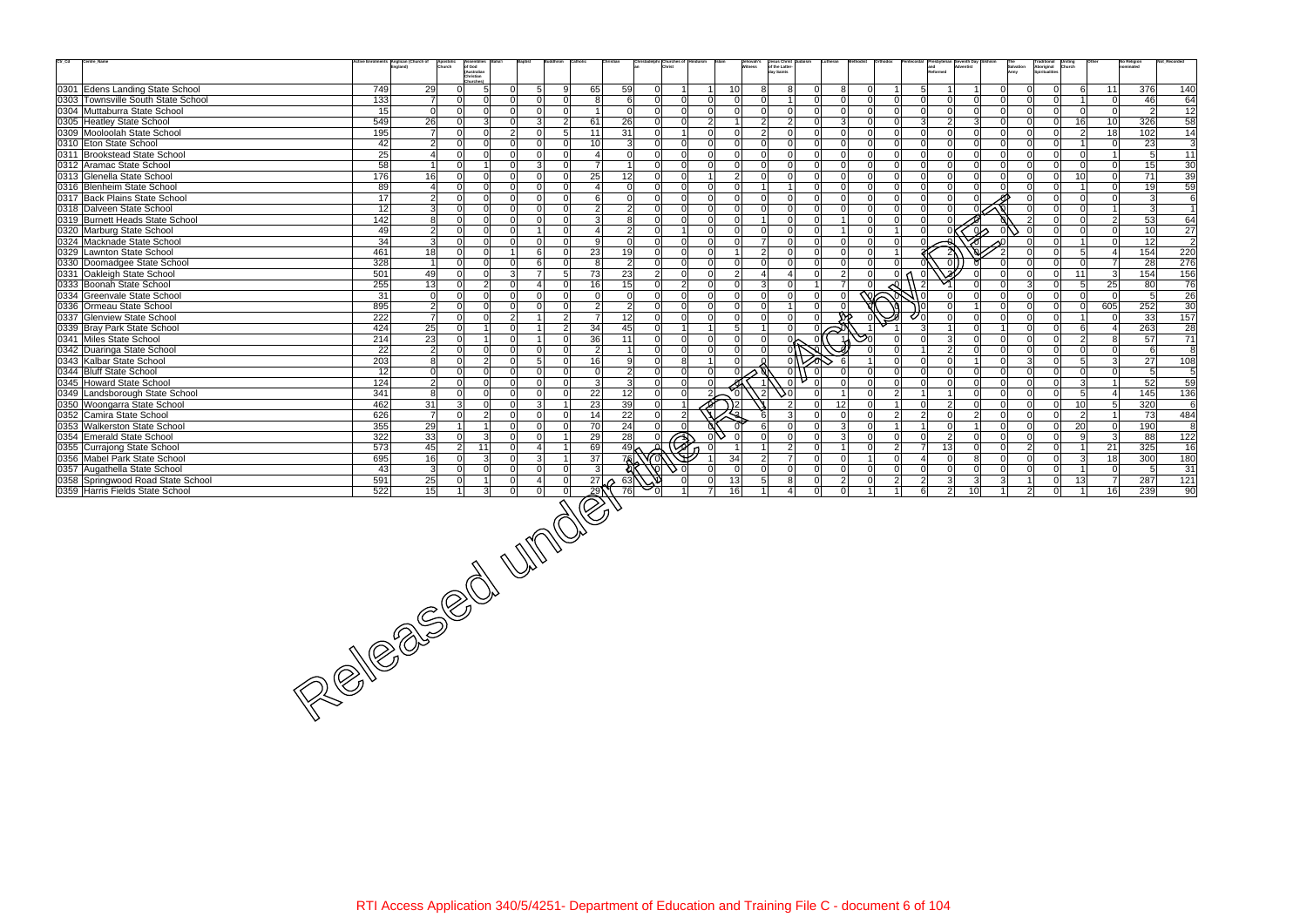| $\mathrm{Ctr}\_ \mathrm{Cd}$<br>Centre_Name                  |           | ctive Enrolments Anglican (Church of<br>Apostoli<br>Church | Assemblies                                           |                                      |                |                                                                                                     |                          | hristadelphi Churches of         |                | Jehovah's<br>Witness | Jesus Christ<br>of the Latter-<br>day Saints |                                               |                         |                            |                                  | and<br>Reformed            |                             |                                                    |                      | Traditional Uniting<br>Aboriginal Church<br>Spiritualities |                                  |                      | <b>No Religion</b><br>ominated | Not_Recorded           |
|--------------------------------------------------------------|-----------|------------------------------------------------------------|------------------------------------------------------|--------------------------------------|----------------|-----------------------------------------------------------------------------------------------------|--------------------------|----------------------------------|----------------|----------------------|----------------------------------------------|-----------------------------------------------|-------------------------|----------------------------|----------------------------------|----------------------------|-----------------------------|----------------------------------------------------|----------------------|------------------------------------------------------------|----------------------------------|----------------------|--------------------------------|------------------------|
|                                                              |           |                                                            | of God<br>(Australian<br>Christian                   |                                      |                |                                                                                                     |                          |                                  |                |                      |                                              |                                               |                         |                            |                                  |                            |                             |                                                    | Salvation<br>Army    |                                                            |                                  |                      |                                |                        |
| 0301 Edens Landing State School                              | 749       | 29                                                         | <b>Churches)</b><br>$\overline{0}$<br>5 <sup>1</sup> | 5<br>$\Omega$                        | 9              | 65                                                                                                  | 59                       | $\overline{0}$<br>$\mathbf{1}$   |                | 10 <sup>1</sup>      | 81                                           | 8                                             | 8                       | $\Omega$                   |                                  | 5 <sup>1</sup>             |                             | 0                                                  |                      | $\overline{0}$                                             | 6                                | 11                   | 376                            | 140                    |
| 0303 Townsville South State School                           | 133       | $\overline{7}$                                             | $\Omega$<br>$\Omega$                                 |                                      | $\Omega$       | 8                                                                                                   | 6                        | $\overline{0}$<br> 0             | $\overline{0}$ | -ol                  | $\Omega$                                     | ΩI<br>$\overline{1}$                          | $\Omega$                | $\Omega$                   | $\mathbf 0$                      |                            | $\Omega$                    | $\Omega$<br>$\Omega$                               | $\Omega$             | $\overline{0}$                                             | $\mathbf{1}$                     | 0                    | 46                             | 64                     |
| 0304 Muttaburra State School                                 | 15        | $\overline{0}$                                             | $\overline{0}$<br>$\overline{0}$                     | $\Omega$<br>$\Omega$                 | <sup>0</sup>   | $\vert$ 1                                                                                           | $\mathbf 0$              | 0 <br>$\overline{0}$             | $\overline{0}$ | 0l                   | $\Omega$                                     | 0 <br>$\Omega$                                | $\mathbf 0$             | $\Omega$                   | $\overline{0}$                   | $\Omega$                   | $\mathbf 0$                 | $\Omega$<br> 0                                     | $\Omega$             | $\overline{0}$                                             | $\overline{0}$                   | - Ol                 | $\overline{2}$                 | 12                     |
| 0305 Heatley State School                                    | 549       | $\overline{26}$                                            | 3 <sup>l</sup><br>$\Omega$                           | $\Omega$<br>3                        | 2              | 61                                                                                                  | $\overline{26}$          | $\overline{0}$<br> 0             | 2              | $\overline{1}$       | 2                                            | $\overline{2}$<br>$\Omega$                    | 3                       | $\Omega$                   | $\overline{0}$                   | $\overline{3}$             | $\overline{2}$              | $\overline{3}$<br> 0                               | $\Omega$             | $\overline{0}$                                             | 16                               | 10 <sup>1</sup>      | 326                            | 58                     |
| 0309 Mooloolah State School                                  | 195       | $\overline{7}$                                             | $\Omega$<br>$\Omega$                                 | 2 <sup>1</sup><br>$\Omega$           | 5 <sup>5</sup> | 11                                                                                                  | 31                       | $\overline{0}$<br>1 <sup>1</sup> | $\overline{0}$ | -ol                  | $\mathcal{P}$                                | $\Omega$<br>$\Omega$                          | $\Omega$                | $\Omega$                   | $\overline{0}$                   | $\Omega$                   | $\Omega$                    | $\Omega$<br> 0                                     | $\Omega$             | $\overline{0}$                                             | 2 <sup>1</sup>                   | 18                   | 102                            | 14                     |
| 0310 Eton State School                                       | 42        | 2                                                          | $\Omega$<br>$\Omega$                                 | ΩI<br>$\Omega$                       | $\Omega$       | 10 <sup>1</sup>                                                                                     | 3                        | $\Omega$<br> 0                   | $\Omega$       | $\Omega$             | $\Omega$                                     | $\Omega$<br>ΩI                                | $\Omega$                | $\Omega$                   | $\overline{0}$                   | $\Omega$                   | $\Omega$                    | $\overline{0}$<br>$\Omega$                         | $\Omega$             | $\overline{0}$                                             | $\overline{1}$                   | 0                    | 23                             | $\overline{3}$         |
| 0311 Brookstead State School                                 | 25        | $\overline{4}$                                             | $\Omega$<br>$\Omega$                                 | $\Omega$<br>$\Omega$                 | $\Omega$       | 4                                                                                                   | $\mathbf 0$              | 0 <br>$\overline{0}$             | $\overline{0}$ | 0                    | $\Omega$                                     | n l<br>ΩI                                     | $\Omega$                | $\Omega$                   | $\overline{0}$                   | $\Omega$                   | $\Omega$                    | $\Omega$<br>$\Omega$                               | $\Omega$             | $\overline{0}$                                             | $\Omega$                         | $\overline{1}$       | $5\overline{)}$                | $\overline{11}$        |
| 0312 Aramac State School                                     | 58        |                                                            | $\Omega$                                             | 3<br>$\Omega$                        | $\Omega$       | $\overline{7}$                                                                                      |                          | $\Omega$<br>$\Omega$             | $\Omega$       | -ol                  |                                              | $\Omega$<br>$\Omega$                          | $\Omega$                |                            | $\Omega$                         |                            | $\Omega$                    | $\Omega$<br>$\Omega$                               | n١                   | $\overline{0}$                                             | $\Omega$                         | $\Omega$             | 15                             | 30                     |
| 0313 Glenella State School                                   | 176       | 16                                                         | $\overline{0}$<br>$\Omega$                           | $\Omega$<br>$\Omega$                 | $\Omega$       | 25                                                                                                  | 12                       | $\overline{0}$<br> 0             | 1 <sup>1</sup> | $\overline{2}$       | $\Omega$                                     | $\Omega$<br>ΩI                                | $\Omega$                | $\Omega$                   | $\overline{0}$                   | ΩI                         | $\Omega$                    | $\Omega$<br>$\Omega$                               | ΩI                   | $\overline{0}$                                             | 10 <sup>1</sup>                  | 0                    | 71                             | 39                     |
| 0316 Blenheim State School                                   | 89        | $\overline{4}$                                             | $\Omega$<br>$\Omega$                                 | ΩI<br>$\Omega$                       | $\Omega$       |                                                                                                     | $\Omega$                 | 0 <br>$\Omega$                   | $\Omega$       | $\Omega$             |                                              | ΩI                                            | $\Omega$                | $\Omega$                   | $\overline{0}$                   | $\Omega$                   | $\Omega$                    | $\Omega$<br>$\Omega$                               |                      | $\overline{0}$                                             |                                  | $\overline{0}$       | 19                             | 59                     |
| 0317 Back Plains State School                                | 17        | 2                                                          | $\Omega$<br>$\Omega$                                 | ΩI                                   | $\Omega$       | 6                                                                                                   | $\mathbf 0$              | $\Omega$<br>$\Omega$             | $\Omega$       | 0                    | $\Omega$                                     | $\Omega$                                      | $\Omega$                | $\Omega$                   | $\overline{0}$                   |                            | $\Omega$                    |                                                    |                      | $\overline{0}$                                             | $\overline{0}$                   | $\overline{0}$       | $\overline{3}$                 | 6                      |
| 0318 Dalveen State School                                    | 12        | 3                                                          | $\overline{0}$<br>$\Omega$                           | $\Omega$<br>$\Omega$                 | $\Omega$       | 2                                                                                                   | $\overline{2}$           | 0 <br>$\overline{0}$             | $\overline{0}$ | 0                    | $\Omega$                                     | $\Omega$<br>ΩI                                | $\Omega$                | $\Omega$                   | $\overline{0}$                   |                            | $\Omega$                    |                                                    |                      | $\overline{0}$                                             | $\mathbf 0$                      | 11                   | $\mathbf{3}$                   | $\mathbf{1}$           |
| 0319 Burnett Heads State School                              | 142       | 8                                                          | $\Omega$<br>$\overline{0}$                           | $\Omega$<br>$\Omega$                 | $\Omega$       | 3                                                                                                   | 8                        | $\Omega$<br> 0                   | $\overline{0}$ | -ol                  |                                              | $\Omega$                                      | $\overline{1}$          | $\Omega$                   | $\overline{0}$                   | ΩI                         |                             |                                                    |                      | $\overline{0}$                                             | $\Omega$                         | $\overline{2}$       | 53                             | 64                     |
| 0320 Marburg State School                                    | 49        | $\overline{2}$                                             | $\overline{0}$<br>$\Omega$                           | ΩI                                   | $\Omega$       | $\overline{4}$                                                                                      | 2                        | $\overline{0}$<br>1 <sup>1</sup> | $\Omega$       | 0                    | $\Omega$                                     | $\Omega$<br>ΩI                                |                         | $\Omega$                   |                                  | ΩI                         |                             | $\infty$                                           |                      | $\overline{0}$                                             | $\overline{0}$                   | 0                    | 10 <sup>1</sup>                | 27                     |
| 0324 Macknade State School                                   | 34        | $\overline{3}$                                             | $\Omega$<br>$\overline{0}$                           | ΩI                                   | $\Omega$       | 9                                                                                                   | $\mathbf 0$              | $\overline{0}$<br>$\overline{0}$ | $\overline{0}$ | 0                    | $\overline{7}$                               | $\Omega$<br>$\Omega$                          | $\Omega$                | $\Omega$                   | $\mathbf 0$                      |                            |                             |                                                    |                      | $\mathbf 0$                                                | $\overline{1}$                   | 0                    | 12                             | $\overline{2}$         |
| 0329 Lawnton State School                                    | 461       | 18                                                         | $\Omega$<br>$\Omega$                                 | 6                                    | $\Omega$       | 23                                                                                                  | 19                       | 0 <br>$\Omega$                   | $\Omega$       | $\overline{1}$       | $\mathcal{P}$                                | $\Omega$<br>ΩI                                | $\Omega$                | $\Omega$                   |                                  |                            |                             | $\overline{2}$                                     |                      | $\overline{0}$                                             | 5 <sup>1</sup>                   | $\vert$ 4            | 154                            | 220                    |
| 0330 Doomadgee State School                                  | 328       | $\overline{\mathbf{1}}$                                    | $\Omega$<br>$\Omega$                                 | $\Omega$<br>6                        | $\Omega$       | 8 <sup>°</sup>                                                                                      | $\overline{2}$           | 0 <br>$\overline{0}$             | $\Omega$       | 0                    | $\Omega$                                     | $\Omega$<br>ΩI                                | $\Omega$                | $\Omega$                   | $\Omega$                         |                            | $\overline{0}$              | $\Omega$                                           |                      | $\overline{0}$                                             | $\Omega$                         | $\overline{7}$       | 28                             | 276                    |
| 0331 Oakleigh State School                                   | 501       | 49                                                         | $\overline{0}$<br>$\Omega$                           | 3 <sup>l</sup><br>$\overline{7}$     | 5 <sup>1</sup> | 73                                                                                                  | 23                       | 0 <br>$\overline{2}$             | $\Omega$       | $\overline{2}$       |                                              |                                               | $\overline{2}$          | $\Omega$                   | 0 <sub>0</sub>                   |                            |                             | $\Omega$                                           |                      | $\mathbf 0$                                                | 11                               | 3                    | 154                            | 156                    |
| 0333 Boonah State School                                     | 255       | 13                                                         | $2 \vert$<br>$\overline{0}$                          | $\Omega$<br>$\boldsymbol{\varDelta}$ | $\Omega$       | 16                                                                                                  | 15                       | 2 <br>$\overline{0}$             | $\overline{0}$ | -ol                  | 3 <sup>l</sup>                               | $\Omega$                                      |                         |                            |                                  | $\overline{2}$             |                             | $\Omega$<br>$\Omega$                               | $\mathcal{R}$        | $\overline{0}$                                             | 5 <sup>1</sup>                   | 25                   | 80                             | 76                     |
| 0334 Greenvale State School                                  | 31        | $\overline{0}$                                             | $\Omega$<br>$\Omega$                                 | $\Omega$<br>$\Omega$                 | $\Omega$       | $\Omega$                                                                                            | $\mathbf 0$              | 0 <br>$\overline{0}$             | $\overline{0}$ | 0                    | $\Omega$                                     | $\Omega$<br>$\Omega$                          | $\Omega$                | $\overline{\mathbb{Q}}$    |                                  | 1/ OI                      | $\Omega$                    | $\Omega$<br>$\Omega$                               | $\Omega$             | $\overline{0}$                                             | $\Omega$                         | $\Omega$             | 5                              | $\overline{26}$        |
| 0336 Ormeau State School                                     | 895       | $\overline{2}$                                             | $\Omega$<br>$\Omega$                                 | ΩI                                   | $\Omega$       | $\overline{2}$                                                                                      | $\overline{2}$           | 0 <br>$\overline{0}$             | $\overline{0}$ | -ol                  | 0                                            | $\Omega$                                      |                         |                            |                                  |                            |                             | 0                                                  | $\Omega$             | $\overline{0}$                                             | $\overline{0}$                   | 605                  | 252                            | 30                     |
| 0337 Glenview State School                                   | 222       | $\overline{7}$                                             | $\Omega$<br>$\Omega$                                 | 2 <sup>1</sup>                       | $\overline{2}$ | <b>7</b>                                                                                            | 12                       | $\overline{0}$<br> 0             | $\overline{0}$ | 0                    | $\Omega$                                     | $\overline{0}$                                |                         |                            |                                  |                            | $\Omega$                    | $\Omega$<br>$\Omega$                               | $\Omega$             | $\overline{0}$                                             | 11                               | 0l                   | 33                             | 157                    |
| 0339 Bray Park State School                                  | 424       | 25                                                         | $\overline{0}$<br>$1\vert$                           | $\Omega$                             | $\overline{2}$ | 34                                                                                                  | 45                       | 1<br>$\overline{0}$              | 1 <sup>1</sup> | 5 <sup>1</sup>       | $\overline{1}$                               | $\Omega$                                      | $\approx$               |                            |                                  | 3                          |                             | 0 <br>11                                           | $\Omega$             | $\overline{0}$                                             | 6 <sup>1</sup>                   | $\vert 4 \vert$      | 263                            | 28                     |
| 0341 Miles State School                                      | 214       | 23                                                         | $\Omega$<br>11                                       | $\Omega$                             | $\Omega$       | 36                                                                                                  | $\overline{11}$          | 0 <br>$\overline{0}$             | $\overline{0}$ | 0                    | $\Omega$                                     | $\Omega$                                      |                         | $\infty$                   | $\overline{0}$                   | $\Omega$                   | 3 <sup>l</sup>              | $\Omega$<br>$\overline{0}$                         | $\Omega$             | $\overline{0}$                                             | $\overline{2}$                   | 8 <sup>°</sup>       | 57                             | $\overline{71}$        |
| 0342 Duaringa State School                                   | 22        | $\overline{2}$                                             | $\overline{0}$<br>$\overline{0}$                     | $\Omega$<br>$\Omega$                 | $\Omega$       | $\overline{2}$                                                                                      |                          | $\overline{0}$<br>$\overline{0}$ | $\overline{0}$ | 0                    | $\Omega$                                     |                                               |                         |                            | $\Omega$                         |                            | $\overline{2}$              | $\Omega$<br> 0                                     | $\Omega$             | $\overline{0}$                                             | $\overline{0}$                   | $\overline{0}$       | 6                              | 8                      |
| 0343 Kalbar State School                                     | 203       | 8                                                          | 2 <sup>1</sup><br>$\Omega$                           | 5<br>$\Omega$                        | $\Omega$       | 16                                                                                                  | 9                        | $\overline{0}$<br>8 <sup>1</sup> | 1 <sup>1</sup> | $\Omega$             |                                              | $\Omega$                                      |                         |                            | $\Omega$                         | $\Omega$                   | $\Omega$                    | $\Omega$                                           | $\overline{3}$       | $\overline{0}$                                             | 5 <sup>1</sup>                   | 3                    | 27                             | 108                    |
| 0344 Bluff State School                                      | 12        | $\mathbf 0$                                                | $\overline{0}$<br>$\Omega$                           | $\Omega$<br>$\Omega$                 | $\Omega$       | -Ol                                                                                                 | $\overline{2}$           | $\overline{0}$<br> 0             | $\Omega$       | $\Omega$             |                                              | $\Omega$<br> 0                                |                         | $\Omega$                   | $\Omega$                         | ΩI                         | $\Omega$                    | $\Omega$<br>$\Omega$                               | $\Omega$             | $\overline{0}$                                             | $\Omega$                         | $\Omega$             | 5                              | 5                      |
| 0345 Howard State School                                     | 124       | $\overline{2}$                                             | $\Omega$<br>$\Omega$                                 | $\Omega$                             | $\Omega$       | 3                                                                                                   | $\mathbf{3}$             | $\overline{0}$<br>$\overline{0}$ | $\Omega$       |                      |                                              | $\Omega$                                      |                         |                            | $\Omega$                         | nl                         | $\Omega$                    | $\Omega$<br>$\Omega$                               | $\Omega$             | $\overline{0}$                                             | $\overline{3}$                   | $\overline{1}$       | 52                             | 59                     |
| 0349 Landsborough State School                               | 341       | 8                                                          | $\overline{0}$<br>$\overline{0}$                     | $\Omega$<br>$\Omega$                 | $\Omega$       | 22                                                                                                  | $\overline{12}$          | 0 <br>$\overline{0}$             | er<br>D        | 'ol                  | ៶ 2                                          | J٥l<br>$\Omega$                               |                         | $\Omega$                   | $\overline{2}$                   |                            |                             | 0 <br>$\overline{0}$                               | $\Omega$             | $\overline{0}$                                             | 5                                | $\vert 4 \vert$      | $\overline{145}$               | 136                    |
| 0350 Woongarra State School                                  | 462       | 31                                                         | 3 <sup>l</sup><br>$\Omega$                           | $\Omega$<br>-31                      |                | 23                                                                                                  | 39                       | $\overline{0}$<br>11             |                | 2                    |                                              | $\overline{2}$<br>$\Omega$                    | 12                      | $\Omega$                   | $\overline{1}$                   | $\Omega$                   | $\overline{2}$              | $\overline{0}$<br><sup>0</sup>                     | $\Omega$             | $\mathbf{O}$                                               | 10 <sup>1</sup>                  | 5 <sup>1</sup>       | 320                            | 6                      |
| 0352 Camira State School                                     | 626       | $\overline{7}$                                             | $\Omega$<br>2                                        | ΩI                                   | $\Omega$       | 14                                                                                                  | $\overline{22}$          | $\vert$ 2<br>$\overline{0}$      |                |                      |                                              |                                               | $\Omega$                |                            | $\overline{2}$                   | $\overline{2}$             | $\Omega$                    | $\overline{2}$<br>$\Omega$                         |                      | $\overline{0}$                                             | $\overline{2}$                   |                      | 73                             | 484                    |
| 0353 Walkerston State School                                 | 355       | 29                                                         | $1\vert$<br>$1\vert$                                 | $\Omega$<br>$\Omega$                 | $\Omega$       | 70                                                                                                  | 24                       | 0 <br>$\overline{0}$             |                | ିଠ                   |                                              | $\Omega$<br>$\Omega$                          | $\mathbf{3}$            | $\Omega$                   | $\overline{1}$                   |                            | $\mathbf 0$                 | $\overline{0}$                                     | $\Omega$             | $\overline{0}$                                             | 20                               | - Ol                 | 190                            | 8                      |
| 0354 Emerald State School                                    | 322       | 33                                                         | 3 <br>$\Omega$                                       | ΩI<br>$\Omega$                       |                | 29                                                                                                  | $\overline{28}$          | <b>AS</b><br>$\Omega$            | $0\vee$        | $\Omega$             |                                              | $\Omega$<br>ΩI                                | $\mathbf{3}$            | $\Omega$                   | $\overline{0}$                   | ΩI                         | $\overline{2}$              | $\overline{0}$<br>$\Omega$                         | $\Omega$             | $\overline{0}$                                             | 9                                | $\vert$ 3            | 88                             | 122                    |
| 0355 Currajong State School                                  | 573       | 45                                                         | $2 \vert$<br>11                                      | $\Omega$                             |                | 69                                                                                                  | 49 $\sim$                | $\Omega$                         |                |                      |                                              | $\overline{2}$<br>ΩI                          |                         | $\Omega$                   | $\overline{2}$                   | 71                         | 13                          | $\Omega$<br>$\Omega$                               | 2 <sup>1</sup>       | $\overline{0}$                                             | $\blacktriangleleft$             | 21                   | 325                            | 16                     |
| 0356 Mabel Park State School<br>0357 Augathella State School | 695       | $\overline{16}$                                            | 3 <sup>1</sup><br>$\overline{0}$<br>$\Omega$         | 3<br>$\Omega$<br>$\Omega$<br>0l      | $\Omega$       | 37                                                                                                  | $\overline{\mathcal{L}}$ | ∖∩l<br>N O                       | $\Omega$       | 34<br>$\Omega$       | $\overline{2}$<br>$\Omega$                   | 7 <sup>1</sup><br>$\Omega$<br> 0 <br>$\Omega$ | $\mathbf 0$<br>$\Omega$ | $\overline{1}$<br>$\Omega$ | $\overline{0}$                   | $\overline{4}$<br>$\Omega$ | $\mathbf 0$                 | 0 <br>81<br>$\Omega$                               | $\Omega$<br>$\Omega$ | $\overline{0}$                                             | 3 <sup>l</sup><br>$\overline{1}$ | 18                   | 300                            | 180<br>$\overline{31}$ |
| 0358 Springwood Road State School                            | 43<br>591 | $\mathbf{3}$<br>25                                         | $\Omega$<br>$\overline{0}$<br>1 <sup>1</sup>         | $\Omega$<br>4                        | 0              | 3 <br>27                                                                                            | 63                       |                                  | $\Omega$       |                      | 5 <sup>1</sup>                               | 8<br>$\Omega$                                 | $\overline{2}$          | $\Omega$                   | $\overline{0}$<br>$\overline{2}$ | 2 <sup>1</sup>             | $\mathbf 0$<br>$\mathbf{3}$ | $\overline{0}$<br>3 <sup>l</sup><br>3 <sup>1</sup> |                      | $\overline{0}$<br> 0                                       | 13                               | 0 <br>$\overline{7}$ | 5 <sup>5</sup><br>287          | 121                    |
| 0359 Harris Fields State School                              | 522       | 15                                                         | 3 <sup>l</sup>                                       | $\Omega$<br>$\Omega$                 | $\Omega$       |                                                                                                     | 76                       |                                  | $\overline{7}$ | 13<br>16             |                                              |                                               | $\Omega$                |                            |                                  | $6 \mid$                   | $\overline{2}$              | 10 <sup>1</sup>                                    | 2 <sup>1</sup>       | $\overline{0}$                                             |                                  | 16                   | 239                            | 90                     |
|                                                              |           |                                                            |                                                      |                                      |                | $\overline{\widehat{\mathcal{O}}}^{\overline{\mathcal{Z}}^{\text{max}}}_{\mathcal{Z}^{\text{max}}}$ |                          |                                  |                |                      |                                              |                                               |                         |                            |                                  |                            |                             |                                                    |                      |                                                            |                                  |                      |                                |                        |
|                                                              |           |                                                            |                                                      |                                      |                |                                                                                                     |                          |                                  |                |                      |                                              |                                               |                         |                            |                                  |                            |                             |                                                    |                      |                                                            |                                  |                      |                                |                        |
|                                                              |           |                                                            |                                                      |                                      |                |                                                                                                     |                          |                                  |                |                      |                                              |                                               |                         |                            |                                  |                            |                             |                                                    |                      |                                                            |                                  |                      |                                |                        |
|                                                              |           |                                                            |                                                      |                                      |                |                                                                                                     |                          |                                  |                |                      |                                              |                                               |                         |                            |                                  |                            |                             |                                                    |                      |                                                            |                                  |                      |                                |                        |
|                                                              |           |                                                            |                                                      |                                      |                |                                                                                                     |                          |                                  |                |                      |                                              |                                               |                         |                            |                                  |                            |                             |                                                    |                      |                                                            |                                  |                      |                                |                        |
|                                                              |           |                                                            |                                                      |                                      |                |                                                                                                     |                          |                                  |                |                      |                                              |                                               |                         |                            |                                  |                            |                             |                                                    |                      |                                                            |                                  |                      |                                |                        |
|                                                              |           |                                                            |                                                      |                                      |                |                                                                                                     |                          |                                  |                |                      |                                              |                                               |                         |                            |                                  |                            |                             |                                                    |                      |                                                            |                                  |                      |                                |                        |
|                                                              |           |                                                            |                                                      |                                      |                |                                                                                                     |                          |                                  |                |                      |                                              |                                               |                         |                            |                                  |                            |                             |                                                    |                      |                                                            |                                  |                      |                                |                        |
|                                                              |           |                                                            |                                                      |                                      |                |                                                                                                     |                          |                                  |                |                      |                                              |                                               |                         |                            |                                  |                            |                             |                                                    |                      |                                                            |                                  |                      |                                |                        |
|                                                              |           |                                                            |                                                      |                                      |                |                                                                                                     |                          |                                  |                |                      |                                              |                                               |                         |                            |                                  |                            |                             |                                                    |                      |                                                            |                                  |                      |                                |                        |
|                                                              |           |                                                            |                                                      |                                      |                |                                                                                                     |                          |                                  |                |                      |                                              |                                               |                         |                            |                                  |                            |                             |                                                    |                      |                                                            |                                  |                      |                                |                        |
|                                                              |           |                                                            |                                                      |                                      |                |                                                                                                     |                          |                                  |                |                      |                                              |                                               |                         |                            |                                  |                            |                             |                                                    |                      |                                                            |                                  |                      |                                |                        |
|                                                              |           |                                                            |                                                      |                                      |                |                                                                                                     |                          |                                  |                |                      |                                              |                                               |                         |                            |                                  |                            |                             |                                                    |                      |                                                            |                                  |                      |                                |                        |
|                                                              |           |                                                            |                                                      |                                      |                |                                                                                                     |                          |                                  |                |                      |                                              |                                               |                         |                            |                                  |                            |                             |                                                    |                      |                                                            |                                  |                      |                                |                        |
|                                                              |           |                                                            |                                                      |                                      |                |                                                                                                     |                          |                                  |                |                      |                                              |                                               |                         |                            |                                  |                            |                             |                                                    |                      |                                                            |                                  |                      |                                |                        |
|                                                              |           |                                                            |                                                      |                                      |                |                                                                                                     |                          |                                  |                |                      |                                              |                                               |                         |                            |                                  |                            |                             |                                                    |                      |                                                            |                                  |                      |                                |                        |
|                                                              |           |                                                            |                                                      |                                      |                |                                                                                                     |                          |                                  |                |                      |                                              |                                               |                         |                            |                                  |                            |                             |                                                    |                      |                                                            |                                  |                      |                                |                        |
|                                                              |           |                                                            |                                                      |                                      |                |                                                                                                     |                          |                                  |                |                      |                                              |                                               |                         |                            |                                  |                            |                             |                                                    |                      |                                                            |                                  |                      |                                |                        |
|                                                              |           |                                                            |                                                      |                                      |                |                                                                                                     |                          |                                  |                |                      |                                              |                                               |                         |                            |                                  |                            |                             |                                                    |                      |                                                            |                                  |                      |                                |                        |
| REAGES CONTINUES                                             |           |                                                            |                                                      |                                      |                |                                                                                                     |                          |                                  |                |                      |                                              |                                               |                         |                            |                                  |                            |                             |                                                    |                      |                                                            |                                  |                      |                                |                        |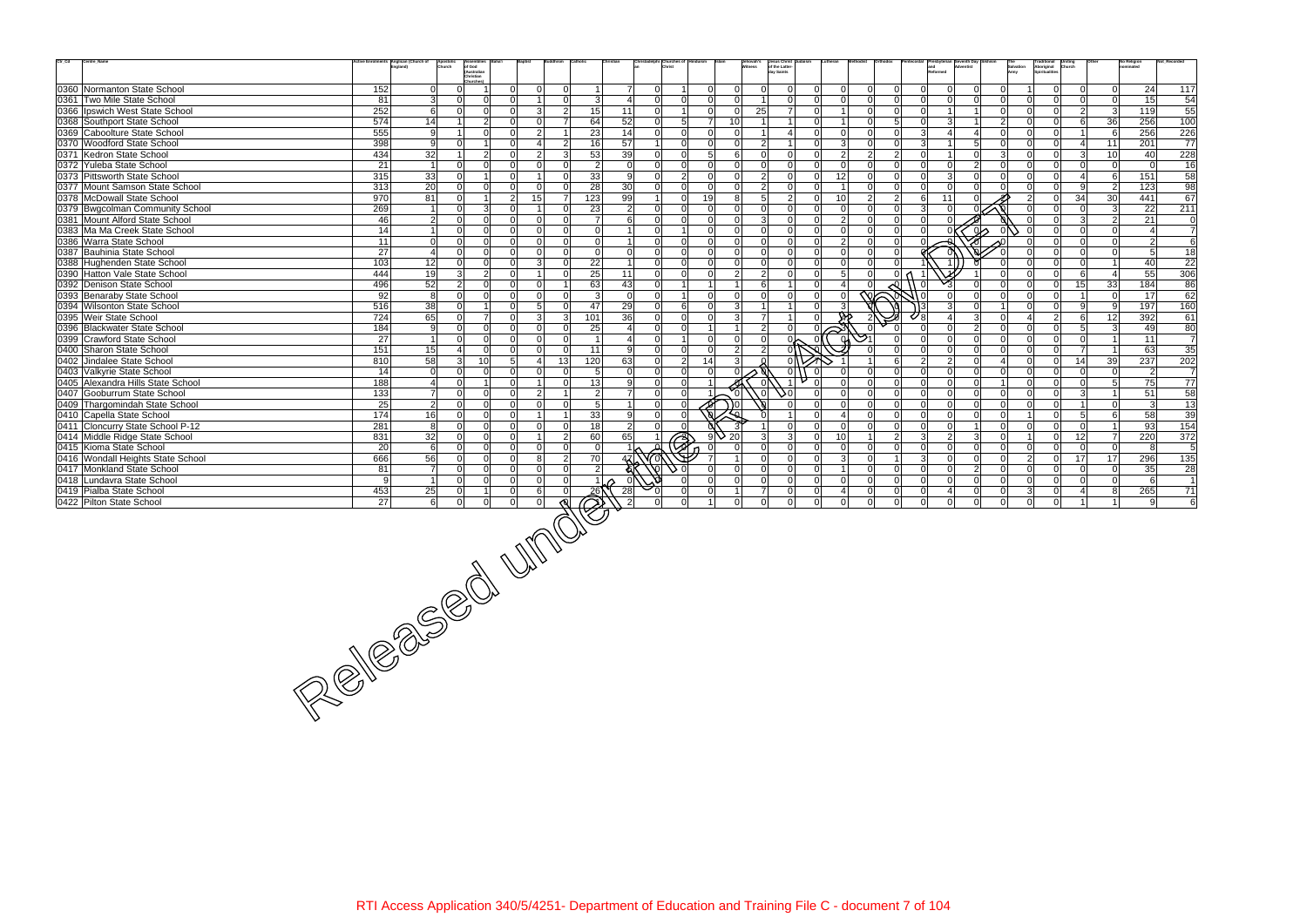| $\text{Ctr}\_ \text{Cd}$<br>Centre_Name                         |                 | tive Enrolments Anglican (Church of | Apostoli<br>Church       | <b>Assemblies</b>                                              |                                       |    |                            |                                                  |                          | hristadelphi Churches of |                |                                   | Jehovah's<br>Witness | Jesus Christ<br>of the Latter-<br>day Saints |                |                                        |                            |                                      |                | and<br>Reformed            |                         |                         | Salvation<br>Army    |                            | Traditional Uniting<br>Aboriginal Church<br>Spiritualities |                 | <b>No Religion</b><br>ominated | Not_Recorded    |
|-----------------------------------------------------------------|-----------------|-------------------------------------|--------------------------|----------------------------------------------------------------|---------------------------------------|----|----------------------------|--------------------------------------------------|--------------------------|--------------------------|----------------|-----------------------------------|----------------------|----------------------------------------------|----------------|----------------------------------------|----------------------------|--------------------------------------|----------------|----------------------------|-------------------------|-------------------------|----------------------|----------------------------|------------------------------------------------------------|-----------------|--------------------------------|-----------------|
|                                                                 |                 |                                     |                          | of God<br>(Australian<br>Christian<br><b>Churches)</b>         |                                       |    |                            |                                                  |                          |                          |                |                                   |                      |                                              |                |                                        |                            |                                      |                |                            |                         |                         |                      |                            |                                                            |                 |                                |                 |
| 0360 Normanton State School                                     | 152             |                                     | $\Omega$                 | $\overline{0}$                                                 | $\Omega$<br>$\Omega$                  |    | $\Omega$                   | $\mathbf{1}$                                     | $\overline{7}$           | $\Omega$                 | 11             | $\overline{0}$                    | 0                    | $\Omega$                                     | $\Omega$       |                                        | $\mathbf 0$                | $\Omega$<br>$\overline{0}$           |                | <sup>n</sup>               | $\mathbf 0$             | $\Omega$                | $\Omega$             |                            | $\overline{0}$<br>$\overline{0}$                           | 0               | 24                             | 117             |
| 0361 Two Mile State School                                      | 81              |                                     | 3                        | $\Omega$<br>$\Omega$                                           |                                       |    | $\Omega$                   | 3                                                | $\overline{4}$           | $\Omega$                 | 0              | $\Omega$                          | -ol                  |                                              | $\Omega$       | ΩI                                     | $\Omega$                   | $\Omega$<br>$\overline{0}$           |                |                            | $\Omega$                | ΩI                      | $\Omega$             | $\Omega$                   | $\overline{0}$<br>$\overline{0}$                           | 0               | 15                             | 54              |
| 0366 Ipswich West State School                                  | 252             |                                     | 6                        | $\Omega$<br>$\overline{0}$                                     | 3<br>$\Omega$                         |    | $\overline{2}$             | 15                                               | 11                       | $\overline{0}$           | $1\vert$       | $\Omega$                          | 25<br> 0             |                                              | $\overline{7}$ | $\Omega$<br>$\overline{1}$             |                            | $\overline{0}$<br>$\Omega$           |                | U.                         | -1                      |                         | $\overline{0}$       | $\Omega$                   | $\overline{0}$<br>$\overline{2}$                           | 3               | 119                            | 55              |
| 0368 Southport State School                                     | 574             |                                     | 14                       | $\overline{2}$                                                 | ΩI<br>$\Omega$                        |    | $\overline{7}$             | 64                                               | 52                       | $\overline{0}$           | 5 <sup>1</sup> | 10 <sup>1</sup><br>$\overline{7}$ |                      |                                              | $\Omega$       |                                        |                            | $5\overline{)}$<br>$\Omega$          |                | U                          | $\mathbf{3}$            |                         | $\overline{2}$       | $\Omega$                   | $\overline{0}$<br>6                                        | 36              | 256                            | 100             |
| 0369 Caboolture State School                                    | 555             |                                     | 9                        | $\Omega$                                                       | $\overline{2}$<br>ΩI                  |    |                            | 23                                               | 14                       | $\overline{0}$           | 0              | $\overline{0}$                    | -ol                  |                                              |                | $\Omega$                               | $\Omega$                   | $\overline{0}$<br>$\Omega$           |                | $\mathcal{E}$              | $\overline{a}$          | $\overline{\mathbf{A}}$ | $\Omega$             | $\Omega$                   | $\overline{0}$                                             | 6               | 256                            | 226             |
| 0370 Woodford State School                                      | 398             |                                     | 9                        | $\Omega$<br>1 <sup>1</sup>                                     | ΩI<br>Δ                               |    | $\overline{2}$             | 16                                               | 57                       | 1                        | 0              | $\Omega$                          | $\Omega$             | $\mathcal{P}$                                |                | ΩI                                     | 3                          | $\Omega$<br>$\overline{0}$           |                | $\mathbf{3}$               | $\mathbf 1$             | 5 <sup>1</sup>          | 0                    | $\Omega$                   | $\overline{0}$<br>$\vert 4 \vert$                          | 11              | 201                            | 77              |
| 0371 Kedron State School                                        | 434             |                                     | 32                       | 2 <br>$\overline{1}$                                           | $\Omega$<br>$\overline{2}$            |    | -31                        | 53                                               | 39                       | $\overline{0}$           | 0              | 5 <sup>1</sup>                    | 6 <sup>1</sup>       | $\Omega$                                     | $\Omega$       | $\cap$                                 | $\overline{2}$             | $\overline{2}$<br>$\overline{2}$     |                | ΩI                         | $\vert$ 1               | $\Omega$                | $\overline{3}$       | $\Omega$                   | $\overline{0}$<br>$\overline{3}$                           | 10 <sup>1</sup> | 40                             | 228             |
| 0372 Yuleba State School                                        | 21              |                                     | $\overline{1}$           | $\Omega$<br>$\Omega$                                           | $\Omega$<br>$\Omega$                  |    | $\Omega$                   | $\overline{2}$                                   | $\Omega$                 | $\Omega$                 | $\Omega$       | $\Omega$                          | $\Omega$             | $\Omega$                                     | $\Omega$       | $\Omega$                               |                            | $\Omega$                             |                |                            | $\Omega$                | 2                       | $\Omega$             | $\Omega$                   | $\overline{0}$<br>$\overline{0}$                           | 0l              | $\Omega$                       | 16              |
| 0373 Pittsworth State School                                    | 315             |                                     | 33                       | $\overline{0}$<br>$1 \vert$                                    | $\Omega$                              |    | $\Omega$                   | 33                                               | 9                        | $\overline{0}$           | $\overline{2}$ | $\Omega$                          | -ol                  | $\overline{2}$                               | $\Omega$       | 12<br>ΩI                               |                            | $\overline{0}$<br>$\Omega$           |                | $\Omega$                   | $\mathbf{3}$            | $\Omega$                | $\overline{0}$       | ΩI                         | $\overline{0}$<br>$\vert$ 4                                | - 6             | 151                            | 58              |
| 0377 Mount Samson State School                                  | 313             |                                     | 20                       | $\Omega$<br>$\Omega$                                           | ΩI                                    |    | $\Omega$                   | 28                                               | 30                       | $\overline{0}$           | 0              | $\Omega$                          | $\Omega$             |                                              | $\Omega$       |                                        |                            | $\overline{0}$<br>$\Omega$           |                |                            | $\Omega$                |                         | $\Omega$             |                            | $\overline{0}$<br>9                                        | $\vert$ 2       | 123                            | $\overline{98}$ |
| 0378 McDowall State School                                      | 970             |                                     | 81                       | $\Omega$<br>1 <sup>1</sup>                                     | 2 <sup>1</sup><br>15                  |    | $\overline{7}$             | 123                                              | 99                       | 1                        | $\Omega$       | 19                                | 81                   | $5\overline{5}$                              | $\overline{2}$ | 10 <sup>1</sup>                        |                            | $\overline{2}$<br>$\overline{2}$     |                | 11<br>6                    |                         |                         |                      | $\mathcal{P}$              | $\overline{0}$<br>34                                       | 30              | 441                            | 67              |
| 0379 Bwgcolman Community School                                 | 269             |                                     | $\overline{\mathbf{1}}$  | 3 <sup>l</sup><br>$\overline{0}$                               | ΩI                                    |    | $\Omega$                   | 23                                               | $\overline{2}$           | $\overline{0}$           | 0              | $\Omega$                          | 0                    | $\Omega$                                     | $\Omega$       | ΩI                                     | $\Omega$                   | $\Omega$<br>$\overline{0}$           |                | $\mathcal{E}$              | $\Omega$                |                         |                      |                            | $\mathbf 0$<br>$\overline{0}$                              | $\vert$ 3       | 22                             | 211             |
| 0381 Mount Alford State School                                  | 46              |                                     | $\overline{2}$           | $\overline{0}$<br>$\Omega$                                     | $\Omega$<br>$\Omega$                  |    | $\Omega$                   | $\overline{7}$                                   | 6                        | $\overline{0}$           | 0              | $\overline{0}$                    | -ol                  | 3                                            | $\Omega$       | $\Omega$                               | $\overline{2}$<br>$\Omega$ | $\overline{0}$                       |                | <sup>n</sup>               |                         |                         |                      |                            | $\mathbf{3}$<br>$\overline{0}$                             | $\overline{2}$  | 21                             | 0               |
| 0383 Ma Ma Creek State School                                   | 14              |                                     |                          | $\overline{0}$<br>$\Omega$                                     | $\Omega$<br>$\Omega$                  |    | $\Omega$                   | $\Omega$                                         | $\overline{1}$           | $\Omega$                 | 1 <sup>1</sup> | $\Omega$                          | 0                    | nl                                           | $\Omega$       | ΩI                                     | $\mathbf 0$                | $\overline{0}$<br>$\Omega$           |                | n١                         |                         | $\infty$                |                      |                            | $\overline{0}$<br>$\overline{0}$                           | $\overline{0}$  | $\vert$ 4                      | $\overline{7}$  |
| 0386 Warra State School                                         | 11              |                                     | $\Omega$                 | $\Omega$<br>$\overline{0}$                                     | ΩI                                    |    | $\Omega$                   | $\Omega$                                         | $\overline{1}$           | $\overline{0}$           | $\overline{0}$ | $\overline{0}$                    | -ol                  | $\Omega$                                     | $\Omega$       | $\Omega$                               | $\overline{2}$             | $\mathbf 0$<br>$\Omega$              |                |                            |                         |                         |                      |                            | $\mathbf 0$<br>$\overline{0}$                              | 0               | $\overline{2}$                 | $\overline{6}$  |
| 0387 Bauhinia State School                                      | 27              |                                     | $\overline{4}$           | $\Omega$<br>$\Omega$                                           | ΩI<br>$\Omega$                        |    | $\Omega$                   | -ol                                              | $\mathbf 0$              | $\Omega$                 | $\Omega$       | $\Omega$                          | $\Omega$             | $\Omega$                                     | $\Omega$       | ΩI                                     | $\Omega$                   | $\overline{0}$<br>$\Omega$           |                |                            |                         |                         | $\Omega$             |                            | $\Omega$<br>$\Omega$                                       | $\overline{0}$  | 5 <sup>1</sup>                 | 18              |
| 0388 Hughenden State School                                     | 103             |                                     | $\overline{12}$          | $\overline{0}$<br>$\Omega$                                     | $\mathcal{E}$<br>ΩI                   |    | $\Omega$                   | 22                                               | $\overline{1}$           | $\overline{0}$           | 0              | $\Omega$                          | 0                    | $\Omega$                                     | $\Omega$       | ΩI                                     | $\Omega$<br>$\Omega$       | $\Omega$                             |                |                            |                         |                         | $\cap$               |                            | $\overline{0}$<br>$\Omega$                                 | $\overline{1}$  | 40                             | 22              |
| 0390 Hatton Vale State School                                   | 444             |                                     | 19                       | 3 <sup>l</sup><br>$\overline{2}$                               | $\Omega$                              |    | $\Omega$                   | 25                                               | 11                       | $\overline{0}$           | 0              | $\Omega$                          | $\overline{2}$       | 2 <sup>1</sup>                               | <sup>0</sup>   |                                        | 5                          | $\Omega$                             | 0 <sub>0</sub> |                            |                         |                         | $\Omega$             |                            | $\overline{0}$<br>6                                        | $\overline{4}$  | 55                             | 306             |
| 0392 Denison State School                                       | 496             |                                     | 52                       | 2 <br>$\Omega$                                                 | $\Omega$<br>$\Omega$                  |    |                            | 63                                               | 43                       | $\overline{0}$           | 1              | 1 <sup>1</sup>                    | 1                    | 6 <sup>1</sup>                               | $\overline{1}$ | $\Omega$                               |                            |                                      |                | $\Omega$                   |                         | $\Omega$                | $\Omega$             |                            | 15<br>$\overline{0}$                                       | 33              | 184                            | 86              |
| 0393 Benaraby State School                                      | 92              |                                     | 8                        | $\Omega$<br>$\Omega$                                           | ΩI<br>$\Omega$                        |    | $\Omega$                   | $\overline{3}$                                   | $\Omega$                 | $\overline{0}$           | 1 <sup>1</sup> | $\overline{0}$                    | 0                    | $\Omega$                                     | $\Omega$       | ΩI                                     | $\Omega$                   | $\overline{\infty}$                  | 11 U           |                            | $\Omega$                | $\Omega$                | $\Omega$             | $\cap$                     | $\overline{0}$<br>$\overline{1}$                           | $\Omega$        | 17                             | 62              |
| 0394 Wilsonton State School                                     | 516             |                                     | $\overline{38}$          | $\Omega$                                                       | $\Omega$<br>5                         |    | $\Omega$                   | 47                                               | 29                       | $\overline{0}$           | $6 \mid$       | $\overline{0}$                    | 3 <sup>l</sup>       |                                              |                |                                        |                            |                                      |                |                            | 3                       | $\Omega$                |                      |                            | $\overline{0}$<br>9 <sup>1</sup>                           | -91             | 197                            | 160             |
| 0395 Weir State School                                          | 724             |                                     | 65                       | $\overline{7}$<br>$\Omega$                                     | 3<br>$\Omega$                         |    | 3                          | 101                                              | 36                       | $\overline{0}$           | 0              | $\overline{0}$                    | 3                    | $\overline{7}$                               | 11             |                                        |                            |                                      |                |                            | $\overline{\mathbf{A}}$ | 3 <sup>l</sup>          | $\overline{0}$       | $\Delta$                   | $\overline{2}$<br>6 <sup>1</sup>                           | 12              | 392                            | 61              |
| 0396 Blackwater State School                                    | 184             |                                     | 9                        | $\overline{0}$<br>$\overline{0}$                               | $\Omega$<br>$\Omega$                  |    | $\Omega$                   | 25                                               | $\overline{\mathcal{A}}$ | $\overline{0}$           | 0              | 1 <sup>1</sup>                    | 11                   | $\overline{2}$                               | 0              | $\approx$                              |                            |                                      |                | $\Omega$                   | $\Omega$                | 2                       | $\overline{0}$       | $\Omega$                   | $\overline{0}$<br>5 <sup>1</sup>                           | $\vert$ 3       | 49                             | 80              |
| 0399 Crawford State School                                      | 27              |                                     | $\overline{\mathbf{1}}$  | $\overline{0}$<br>$\overline{0}$                               | $\Omega$<br>$\Omega$                  |    | $\Omega$                   | $\overline{1}$                                   | $\overline{4}$           | $\overline{0}$           | 1 <sup>1</sup> | $\overline{0}$                    | 0                    | $\Omega$                                     |                |                                        | ୍ୟ                         | $\overline{0}$                       |                | $\Omega$                   | $\Omega$                | n l                     | $\overline{0}$       | $\Omega$                   | $\overline{0}$<br>$\overline{0}$                           | $\overline{1}$  | 11                             | $\overline{7}$  |
| 0400 Sharon State School                                        | 151             |                                     | 15                       | $\Omega$<br>$\vert$                                            | $\Omega$<br>$\Omega$                  |    | $\Omega$                   | 11                                               | 9                        | $\overline{0}$           | 0              | $\Omega$                          | $\vert$ 2            | $\overline{2}$                               |                |                                        |                            | $\Omega$                             |                | ΩI                         | $\mathbf 0$             | $\Omega$                | 0                    | $\Omega$                   | $\overline{0}$<br>$\overline{7}$                           | $\overline{1}$  | 63                             | 35              |
| 0402 Jindalee State School                                      | 810             |                                     | 58                       | 3 <sup>l</sup><br>10 <sup>1</sup>                              | 5 <sup>1</sup><br>Δ                   | 13 |                            | 120                                              | 63                       | $\overline{0}$           | 2              | 14                                | 3                    |                                              |                |                                        |                            | 6                                    |                | 2 <sup>1</sup>             | $\overline{2}$          | $\Omega$                | $\overline{4}$       | $\Omega$                   | $\overline{0}$<br>14                                       | 39              | 237                            | 202             |
| 0403 Valkyrie State School                                      | 14              |                                     | $\overline{0}$           | $\Omega$<br>$\Omega$                                           | $\Omega$<br>$\Omega$                  |    | $\Omega$                   | -51                                              | $\Omega$                 | $\overline{0}$           | 0              | $\Omega$                          | $\Omega$             |                                              | 0 <br>$\Omega$ |                                        |                            | $\overline{0}$<br>$\Omega$           |                | $\Omega$                   | $\Omega$                | $\Omega$                | $\Omega$             | $\Omega$                   | $\overline{0}$<br>$\Omega$                                 | $\Omega$        | $\overline{2}$                 | $\overline{7}$  |
| 0405 Alexandra Hills State School                               | 188             |                                     | $\overline{4}$           | $\Omega$                                                       |                                       |    | $\Omega$                   | 13                                               | 9                        | $\overline{0}$           | $\overline{0}$ |                                   |                      |                                              |                |                                        |                            | $\Omega$                             |                | U                          | $\Omega$                | $\Omega$                |                      |                            | $\overline{0}$<br>$\overline{0}$                           | 5 <sup>1</sup>  | 75                             | 77              |
| 0407 Gooburrum State School                                     | 133             |                                     | $\overline{7}$           | $\overline{0}$<br>$\overline{0}$                               | $\overline{2}$<br>$\Omega$            |    |                            | $\overline{2}$                                   | $\overline{7}$           | $\overline{0}$           | 0              | $\overleftrightarrow{\delta}$     | 'ol                  | ol.                                          | J٥l            | $\Omega$                               | $\Omega$                   | $\mathbf 0$<br>$\Omega$              |                | $\Omega$                   | $\mathbf 0$             | 0                       | $\overline{0}$       | $\Omega$                   | $\overline{0}$<br>$\overline{3}$                           | $\overline{1}$  | 51                             | 58              |
| 0409 Thargomindah State School                                  | 25              |                                     | <sub>2</sub>             | $\Omega$<br>$\Omega$                                           | $\Omega$<br>$\Omega$                  |    | $\Omega$                   | 5 <sub>l</sub>                                   | $\overline{1}$           | $\overline{0}$           | 0              | ∽                                 | ) 이                  |                                              |                | ΩI                                     | $\Omega$<br>$\Omega$       | $\overline{0}$                       |                | $\Omega$                   | $\Omega$                | $\Omega$                | $\overline{0}$       | $\Omega$                   | $\overline{0}$<br>$\mathbf{1}$                             | 0               | $\mathbf{3}$                   | $\overline{13}$ |
| 0410 Capella State School                                       | $\frac{1}{174}$ |                                     | $\overline{16}$          | $\Omega$<br>$\Omega$                                           | $\Omega$                              |    |                            | 33                                               | 9                        | $\overline{0}$           | $\Omega$       |                                   |                      |                                              |                |                                        | $\Omega$                   | $\Omega$                             |                |                            | $\Omega$                | $\Omega$                | $\Omega$             |                            | $\overline{0}$<br>5 <sup>1</sup>                           | <sup>6</sup>    | 58                             | 39              |
| 0411 Cloncurry State School P-12                                | 281             |                                     | 8                        | $\Omega$<br>$\overline{0}$                                     | $\Omega$<br>$\Omega$                  |    | $\Omega$                   | 18                                               | $\overline{2}$           | $\overline{0}$           | 0              | ্ত                                |                      |                                              | $\Omega$       | $\Omega$                               | $\Omega$                   | $\Omega$<br>$\overline{0}$           |                | $\Omega$                   | $\mathbf 0$             |                         | $\overline{0}$       | $\Omega$                   | $\overline{0}$<br>$\overline{0}$                           | $\overline{1}$  | 93                             | 154             |
| 0414 Middle Ridge State School                                  | 831             |                                     | $\overline{32}$          | $\Omega$<br>$\Omega$                                           | ΩI                                    |    | $\overline{2}$             | 60                                               | 65                       |                          | €              | 20<br>9                           |                      |                                              | $\overline{3}$ | 10 <sup>1</sup><br>$\Omega$            |                            | $\overline{2}$                       |                | $\mathbf{3}$               | $\overline{2}$          | 3 <sup>1</sup>          | $\Omega$             |                            | 12<br>$\overline{0}$                                       | $\overline{7}$  | 220                            | 372             |
| 0415 Kioma State School                                         | 20 <sup>1</sup> |                                     | 6                        | $\overline{0}$<br>$\Omega$                                     | ΩI<br>$\Omega$                        |    | $\Omega$                   | -ol                                              |                          |                          |                |                                   | n l                  | $\Omega$                                     | $\Omega$       | ΩI                                     | $\Omega$                   | $\overline{0}$<br>$\Omega$           |                | ΩI                         | $\Omega$                | $\Omega$                | $\Omega$             | $\Omega$                   | $\overline{0}$<br>$\Omega$                                 | 0               | 8                              | 5               |
| 0416 Wondall Heights State School<br>0417 Monkland State School | 666<br>81       |                                     | 56<br>$\overline{7}$     | $\overline{0}$<br>$\overline{0}$<br>$\Omega$<br>$\overline{0}$ | $\Omega$<br>8<br>$\Omega$<br>$\Omega$ |    | $\overline{2}$<br>$\Omega$ | 70                                               | 47                       |                          | ۰n۱            | $\Omega$                          | 11<br>$\Omega$       | $\Omega$<br>$\Omega$                         | 0 <br> 0       | $\Omega$<br>$\overline{1}$<br>$\Omega$ | $\mathbf{3}$<br>$\Omega$   | $\Omega$<br>$\vert$ 1<br>$\mathbf 0$ |                | 3 <sup>l</sup><br>$\Omega$ | $\mathbf 0$<br>$\Omega$ | 0 <br>2 <sup>1</sup>    | 0 <br>$\overline{0}$ | 2 <sup>1</sup><br>$\Omega$ | $\mathbf{O}$<br>17<br>$\overline{0}$<br>$\Omega$           | 17<br> 0        | 296<br>35                      | 135<br>28       |
| 0418 Lundavra State School                                      | 9               |                                     | $\overline{\phantom{0}}$ | $\Omega$<br>$\Omega$                                           | $\Omega$<br>$\Omega$                  |    | $\Omega$                   | $\mathbf{2}$<br>$1 \vert$                        |                          |                          |                | $\Omega$                          | 0l                   | $\Omega$                                     | $\Omega$       | $\Omega$                               | $\Omega$                   | $\overline{0}$<br>$\Omega$           |                | $\Omega$                   | $\Omega$                | $\Omega$                | $\Omega$             | $\Omega$                   | $\overline{0}$<br>$\Omega$                                 | 0               | 6                              | $\overline{1}$  |
| 0419 Pialba State School                                        | 453             |                                     | 25                       | 0                                                              | $\Omega$<br>6                         |    | $\Omega$                   |                                                  | 28                       |                          |                | $\Omega$                          |                      |                                              | $\Omega$       |                                        |                            | $\overline{0}$<br>0                  |                |                            | $\overline{a}$          | 0                       | $\mathbf{0}$         |                            | $\overline{0}$                                             | 81              | 265                            | 71              |
| 0422 Pilton State School                                        | 27              |                                     | 6                        | 0 <br>$\overline{0}$                                           | 0 <br>$\Omega$                        |    |                            | $\overline{\widehat{\mathcal{O}}}^{\mathcal{E}}$ |                          |                          | $\overline{0}$ | $1\vert$                          | 0                    | $\Omega$                                     | 0              | $\Omega$                               | $\Omega$                   | $\mathbf 0$<br>$\Omega$              |                | $\overline{0}$             | $\mathbf 0$             | $\overline{0}$          | $\overline{0}$       | 0                          | $\overline{0}$<br>$\blacktriangleleft$                     | 11              | -91                            | $\,6\,$         |
|                                                                 |                 |                                     |                          |                                                                |                                       |    |                            |                                                  |                          |                          |                |                                   |                      |                                              |                |                                        |                            |                                      |                |                            |                         |                         |                      |                            |                                                            |                 |                                |                 |
| REAGES CONTINUES                                                |                 |                                     |                          |                                                                |                                       |    |                            |                                                  |                          |                          |                |                                   |                      |                                              |                |                                        |                            |                                      |                |                            |                         |                         |                      |                            |                                                            |                 |                                |                 |
|                                                                 |                 |                                     |                          |                                                                |                                       |    |                            |                                                  |                          |                          |                |                                   |                      |                                              |                |                                        |                            |                                      |                |                            |                         |                         |                      |                            |                                                            |                 |                                |                 |
|                                                                 |                 |                                     |                          |                                                                |                                       |    |                            |                                                  |                          |                          |                |                                   |                      |                                              |                |                                        |                            |                                      |                |                            |                         |                         |                      |                            |                                                            |                 |                                |                 |
|                                                                 |                 |                                     |                          |                                                                |                                       |    |                            |                                                  |                          |                          |                |                                   |                      |                                              |                |                                        |                            |                                      |                |                            |                         |                         |                      |                            |                                                            |                 |                                |                 |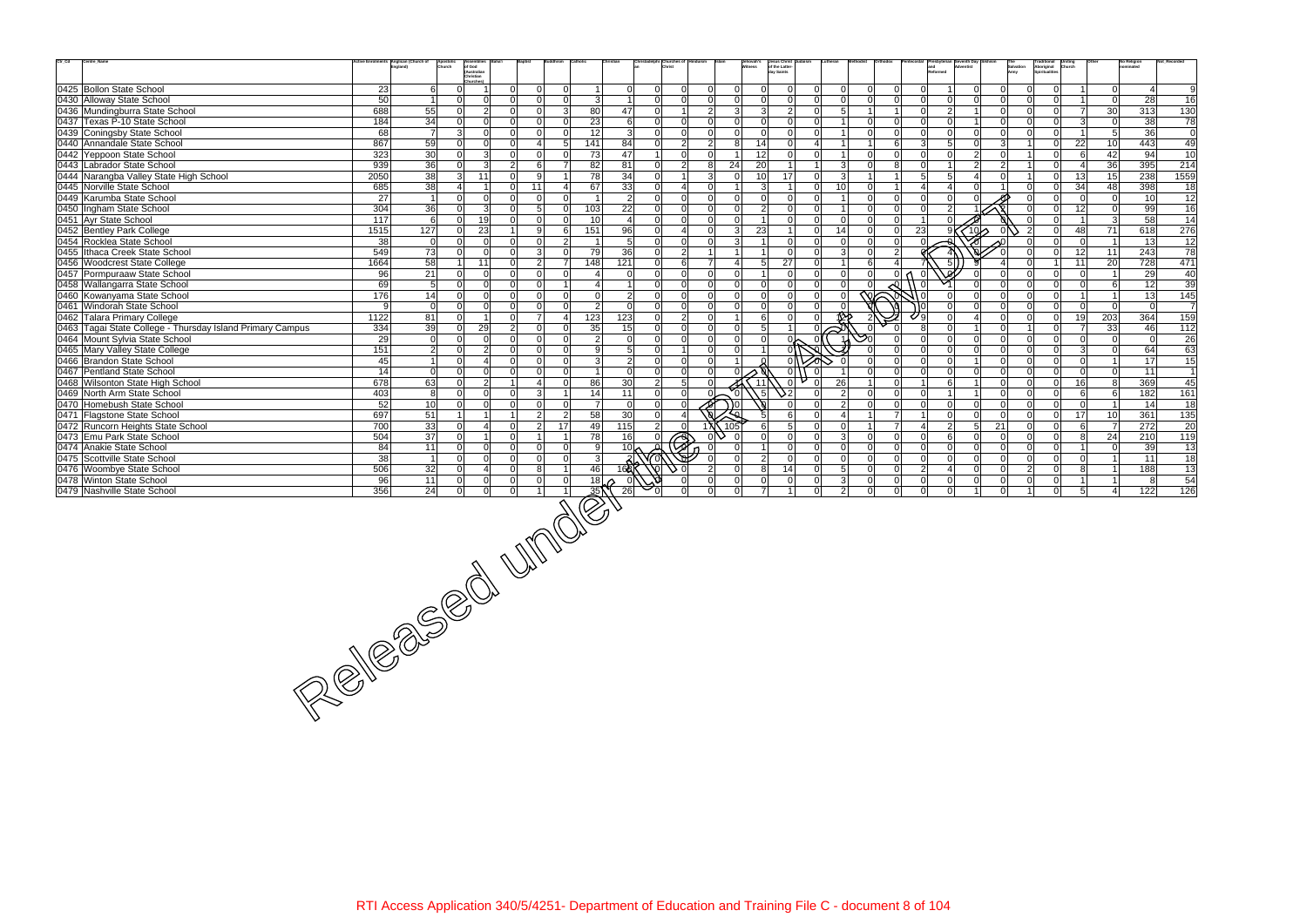| $\mathrm{Ctr}\_ \mathrm{Cd}$ | Centre_Name                                               | Anglican (Church of    | Apostolio<br>Church | <b>Assemblies</b><br>of God<br>(Australian |                                  |                         |                                  |                                   |                |                       | Jesus Christ<br>of the Latter-<br>day Saints<br>ehovah's<br>itness |                |                     |                |                |                 |                 |                   | Traditional<br>Aboriginal<br>Spiritualities<br><b>Uniting</b><br>Church |                                  | <b>No Religion</b><br>ominated | Not_Recorded     |
|------------------------------|-----------------------------------------------------------|------------------------|---------------------|--------------------------------------------|----------------------------------|-------------------------|----------------------------------|-----------------------------------|----------------|-----------------------|--------------------------------------------------------------------|----------------|---------------------|----------------|----------------|-----------------|-----------------|-------------------|-------------------------------------------------------------------------|----------------------------------|--------------------------------|------------------|
|                              |                                                           |                        |                     | Christian                                  |                                  |                         |                                  |                                   |                |                       |                                                                    |                |                     |                |                |                 |                 | Salvation<br>Army |                                                                         |                                  |                                |                  |
|                              | 0425 Bollon State School                                  | 23                     | $6 \mid$            | Churches)<br>$\Omega$                      | $\Omega$<br>$\Omega$             | $\Omega$                | 0                                | $\overline{0}$<br>$\Omega$        | $\Omega$       | $\overline{0}$        | $\Omega$<br>-Ol<br>$\overline{0}$                                  | <sup>0</sup>   | $\Omega$            | -Ol            |                |                 | $\Omega$        | $\Omega$          | $\overline{0}$                                                          | 0                                | $\overline{4}$                 | 9                |
|                              | 0430 Alloway State School                                 | 50                     | $\vert$ 1           | $\Omega$<br>$\Omega$                       | $\Omega$<br>$\Omega$             | $\Omega$                | 3<br>11                          | $\Omega$<br>$\overline{0}$        | $\Omega$       | $\overline{0}$        | $\overline{0}$<br> 0 <br>$\overline{0}$                            | $\Omega$       | $\Omega$            | $\Omega$       |                | $\overline{0}$  | $\Omega$        | $\Omega$          | $\overline{0}$                                                          | 0                                | 28                             | 16               |
|                              | 0436 Mundingburra State School                            | 55<br>688              |                     | $\overline{2}$<br>-OI                      | $\Omega$<br>$\Omega$             | $\mathbf{3}$            | 47<br>80                         | $\overline{0}$<br>1               | 2 <sup>1</sup> | 3                     | 3 <sup>l</sup><br>$\overline{2}$<br>$\overline{0}$                 | 5              |                     | $\overline{1}$ | $\Omega$       | $\overline{2}$  | -1              | $\Omega$          | $\overline{0}$<br>ΩI                                                    | 30<br>$\overline{7}$             | 313                            | 130              |
|                              | 0437 Texas P-10 State School                              | 34<br>184              |                     | $\Omega$<br>n l                            | $\Omega$<br>$\Omega$             | $\Omega$                | 23<br>$6 \mid$                   | $\Omega$<br> 0                    | $\Omega$       | $\Omega$              | 0 <br> 0 <br>$\overline{0}$                                        |                | $\Omega$            | $\Omega$       | $\Omega$       | $\mathbf 0$     |                 | $\Omega$          | $\Omega$<br>$\overline{0}$                                              | $\mathbf{3}$<br><sup>0</sup>     | 38                             | 78               |
|                              | 0439 Coningsby State School                               | 68                     | $\overline{7}$      | $\mathcal{E}$<br>n l                       | $\Omega$<br>$\Omega$             | $\Omega$                | $\overline{3}$<br>12             | $\overline{0}$<br>$\Omega$        | $\Omega$       | $\mathbf 0$           | -ol<br>$\overline{0}$<br>$\overline{0}$                            |                | $\Omega$            | $\Omega$       | $\Omega$       | $\overline{0}$  | $\Omega$        | $\Omega$          | $\Omega$<br>$\overline{0}$                                              | 5 <sub>l</sub><br>$\overline{1}$ | 36                             | $\boldsymbol{0}$ |
|                              | 0440 Annandale State School                               | 59<br>867              |                     | $\Omega$<br>$\Omega$                       | $\Omega$<br>$\overline{4}$       | 5 <sup>1</sup>          | $\frac{1}{141}$<br>84            | $\overline{2}$<br>$\Omega$        | 2 <sup>1</sup> | 8                     | 14<br> 0 <br>$\overline{4}$                                        |                |                     | 6              | 3 <sup>l</sup> | $5\overline{5}$ | $\Omega$        | $\overline{3}$    | $\overline{0}$                                                          | 22<br>10 <sup>1</sup>            | 443                            | 49               |
|                              | 0442 Yeppoon State School                                 | 30 <sup>1</sup><br>323 |                     | $\vert$ 3<br>$\Omega$                      | $\Omega$<br>$\Omega$             | $\Omega$                | 73<br>47                         | $\overline{0}$<br>$\overline{1}$  | $\Omega$       | -1                    | 12<br> 0 <br>$\overline{0}$                                        |                | U                   | $\Omega$       | $\Omega$       | $\mathbf 0$     | $\overline{2}$  | n l               | $\overline{0}$                                                          | 42<br>$6 \mid$                   | 94                             | 10               |
|                              | 0443 Labrador State School                                | 36<br>939              |                     | $\overline{3}$<br>$\Omega$                 | $\overline{2}$<br>6 <sup>1</sup> | $\overline{7}$          | 82<br>81                         | 2 <sup>1</sup><br>$\Omega$        | 8 <sup>1</sup> | 24                    | 20<br>1<br>1 <sup>1</sup>                                          | 3              |                     | 8              |                |                 | $\overline{2}$  | $\overline{2}$    | $\Omega$                                                                | 36<br>$\overline{4}$             | 395                            | 214              |
|                              | 0444 Narangba Valley State High School                    | 38<br>2050             |                     | $\overline{3}$<br>11                       | $\Omega$<br>9                    | $\overline{1}$          | 78<br>34                         | $\overline{0}$<br>$\vert$ 1       | 3 <sup>l</sup> | $\Omega$              | 10<br>17<br>$\overline{0}$                                         | 3              |                     | $\overline{1}$ | 5 <sup>1</sup> | 5               | $\overline{4}$  | $\Omega$          | $\overline{0}$                                                          | 15<br>13                         | 238                            | 1559             |
|                              | 0445 Norville State School                                | 38<br>685              |                     | $\overline{1}$                             | 11<br>$\Omega$                   | $\overline{4}$          | 67<br>33                         | $\Omega$<br>$\boldsymbol{\Delta}$ | ΩI             |                       | 0l<br>$\overline{3}$<br>1                                          | 10             | $\Omega$            | $\overline{1}$ | 4              | $\overline{4}$  | $\Omega$        |                   | $\overline{0}$                                                          | 34<br>48                         | 398                            | $\overline{18}$  |
|                              | 0449 Karumba State School                                 | 27                     | $\vert$ 1           | 0l<br>n l                                  | $\Omega$<br>$\Omega$             | $\Omega$                | $\vert$ 2                        | $\Omega$<br>$\Omega$              | $\Omega$       | $\Omega$              | $\Omega$<br> 0 <br>$\Omega$                                        |                | $\Omega$            | $\Omega$       |                | $\Omega$        |                 |                   | $\Omega$                                                                | $\overline{0}$<br> 0             | 10                             | 12               |
|                              | 0450 Ingham State School                                  | 36<br>304              |                     | -3 I<br>$\Omega$                           | 5 <sup>1</sup><br>$\Omega$       | $\Omega$                | $\overline{22}$<br>103           | $\overline{0}$<br>$\overline{0}$  | $\Omega$       | $\overline{0}$        | $\overline{2}$<br> 0 <br>$\overline{0}$                            |                | $\Omega$            | 0              | $\Omega$       | 2               |                 |                   | $\overline{0}$                                                          | 12<br> 0                         | 99                             | 16               |
|                              | 0451 Ayr State School                                     | 117                    | 6                   | 19<br>$\Omega$                             | $\Omega$<br>$\Omega$             | $\Omega$                | 10<br>$\vert$                    | $\overline{0}$<br>$\Omega$        | $\Omega$       | $\Omega$              | 0 <br>1<br>$\overline{0}$                                          | $\Omega$       | $\Omega$            | $\Omega$       |                |                 |                 |                   | $\overline{0}$                                                          | 3 <br>$\overline{1}$             | 58                             | 14               |
|                              | 0452 Bentley Park College                                 | 127 <br>1515           |                     | 23<br>$\Omega$                             | 9                                | 6                       | 151<br>96                        | $\overline{0}$<br>4               | $\Omega$       | $\mathbf{3}$          | 23<br>$\overline{0}$<br>$1\vert$                                   | 14             | n l                 | $\overline{0}$ | 23             |                 | 10 <sub>0</sub> |                   | $\overline{2}$<br>$\overline{0}$                                        | 71<br>48                         | 618                            | 276              |
|                              | 0454 Rocklea State School                                 | 38                     | 0                   | 0l<br>$\Omega$                             | $\Omega$<br>$\Omega$             | $\overline{2}$          | $\overline{5}$<br>-1             | $\overline{0}$<br>$\overline{0}$  | ΩI             | 3                     | 0 <br>$\overline{0}$<br>$\mathbf{1}$                               | $\Omega$       | $\Omega$            | 0              |                |                 |                 |                   | $\mathbf 0$                                                             | $\overline{0}$<br>$\vert$ 1      | 13                             | $\overline{12}$  |
|                              | 0455 Ithaca Creek State School                            | 549<br>73              |                     | $\Omega$<br>0l                             | $\overline{3}$<br>$\Omega$       | $\Omega$                | 79<br>36                         | $\overline{2}$<br>$\Omega$        |                | $\overline{1}$        | 0 <br>$\overline{0}$<br>1                                          | 3              | $\Omega$            | $\overline{2}$ |                |                 |                 |                   | $\overline{0}$                                                          | 12<br>11                         | $\overline{243}$               | 78               |
|                              | 0456 Woodcrest State College                              | 58<br>1664             |                     | 11                                         | $\overline{2}$<br>$\Omega$       | $\overline{7}$          | 148<br>$\frac{1}{121}$           | $\overline{0}$<br>6 <sup>1</sup>  | $\overline{7}$ | 4                     | 27<br>5 <sup>1</sup><br>$\overline{0}$                             |                | 6                   |                |                | $5\overline{)}$ |                 |                   |                                                                         | 20<br>11                         | 728                            | 471              |
|                              | 0457 Pormpuraaw State School                              | 21<br>96               |                     | <sup>0</sup><br>$\Omega$                   | $\Omega$<br>$\Omega$             | $\Omega$                | 0l<br>$\overline{\mathcal{A}}$   | $\overline{0}$<br>$\Omega$        | ΩI             | $\Omega$              | 0 <br>$\overline{0}$<br>$\overline{1}$                             |                | $\Omega$            |                |                | Â               |                 | $\Omega$          | $\Omega$                                                                | $\overline{0}$<br>$\overline{1}$ | 29                             | 40               |
|                              | 0458 Wallangarra State School                             | 69                     | 5 <sup>1</sup>      | 0l<br>$\Omega$                             | $\Omega$<br>$\Omega$             | $\overline{1}$          | 11<br>$\overline{4}$             | $\overline{0}$<br>$\Omega$        | $\Omega$       | $\overline{0}$        | 0 <br> 0 <br>$\overline{0}$                                        |                |                     |                | $\Omega$       |                 | $\Omega$        | $\Omega$          | $\overline{0}$                                                          | 6 <sup>1</sup><br>$\Omega$       | 12                             | 39               |
|                              | 0460 Kowanyama State School                               | 176<br>14              |                     | $\Omega$<br>$\Omega$                       | $\Omega$<br>$\Omega$             | $\Omega$                | $\overline{2}$<br>$\overline{0}$ | $\overline{0}$<br>$\overline{0}$  | ΩL             | $\Omega$              | 0 <br> 0 <br>$\overline{0}$                                        | $\Omega$       | $\overline{\infty}$ |                | 11 O           | $\Omega$        | $\Omega$        | $\Omega$          | $\Omega$                                                                | $\vert$ 1<br>$\overline{1}$      | 13                             | $\overline{145}$ |
|                              | 0461 Windorah State School                                | 9                      | 0                   | 0 <br> 0                                   | $\overline{0}$<br>$\Omega$       | $\Omega$                | $\overline{2}$<br>$\overline{0}$ | $\Omega$<br>$\overline{0}$        | $\Omega$       | $\mathbf 0$           | 0 <br> 0 <br>$\overline{0}$                                        |                |                     |                |                | $\Omega$        | $\Omega$        | $\Omega$          | $\overline{0}$                                                          | $\overline{0}$<br> 0             | $\Omega$                       | $\overline{7}$   |
|                              | 0462 Talara Primary College                               | 81<br>1122             |                     | $\Omega$<br>$\overline{1}$                 | $\Omega$<br>$\overline{7}$       | $\vert$                 | 123<br>123                       | 2 <sup>1</sup><br>$\Omega$        | $\Omega$       | $\overline{1}$        | $6 \mid$<br> 0 <br>$\Omega$                                        |                |                     |                |                | $\Omega$        | $\vert$ 4       | $\Omega$          | $\Omega$<br>$\overline{0}$                                              | 203<br>19                        | 364                            | 159              |
|                              | 0463 Tagai State College - Thursday Island Primary Campus | 334<br>39              |                     | 29<br><sup>0</sup>                         | $\overline{2}$<br>$\Omega$       | $\Omega$                | 35<br>15                         | $\overline{0}$<br>$\overline{0}$  | $\Omega$       | $\Omega$              | 5 <sup>1</sup><br>1<br>$\Omega$                                    |                |                     |                | 8              | $\Omega$        | $\overline{1}$  | $\Omega$          | $\overline{0}$                                                          | 33<br>$\overline{7}$             | 46                             | 112              |
|                              | 0464 Mount Sylvia State School                            | 29                     | 0                   | $\Omega$<br>0l                             | $\Omega$<br>$\Omega$             | $\Omega$                | $\overline{2}$<br> 0             | $\overline{0}$<br>$\Omega$        | $\Omega$       | $\overline{0}$        | 0 <br>ው $\sim$<br>ΟK                                               |                | $\mathcal{S}^0$     | -Ol            | $\Omega$       | $\mathbf 0$     | $\Omega$        | $\overline{0}$    | $\overline{0}$<br>$\Omega$                                              | $\Omega$<br>- Ol                 | $\Omega$                       | $\overline{26}$  |
|                              | 0465 Mary Valley State College                            | 151                    | $\overline{2}$      | $\overline{2}$<br>$\Omega$                 | $\Omega$<br>$\Omega$             | $\Omega$                | 9<br>5 <sup>2</sup>              | $\overline{0}$                    | $\Omega$       | $\Omega$              | 0 <sup>l</sup>                                                     |                |                     | $\Omega$       | $\Omega$       | $\mathbf 0$     | $\Omega$        | $\overline{0}$    | $\Omega$<br>$\mathbf 0$                                                 | $\mathbf{3}$                     | $\overline{0}$<br>64           | 63               |
|                              | 0466 Brandon State School                                 | 45                     | 11                  | $\Omega$<br>$\overline{\mathbf{4}}$        | $\Omega$<br>$\Omega$             | $\Omega$                | $\overline{2}$<br>$\mathbf{3}$   | $\overline{0}$<br>$\overline{0}$  | $\Omega$       |                       | -oľ                                                                |                |                     | $\Omega$       | $\Omega$       | $\mathbf 0$     |                 | $\Omega$          | ΩI<br>$\overline{0}$                                                    | $\overline{0}$<br>$\vert$ 1      | 17                             | 15               |
|                              | 0467 Pentland State School                                | 14                     | 0                   | $\Omega$<br>$\Omega$                       | $\Omega$<br>$\Omega$             | $\Omega$                | 0 <br>$\overline{1}$             | $\Omega$<br>$\overline{0}$        | $\Omega$       |                       | $\overline{0}$<br>- Ol                                             |                |                     | $\Omega$       | $\Omega$       | $\Omega$        | $\Omega$        | $\Omega$          | $\Omega$<br>ΩI                                                          | 0 <br>$\overline{0}$             | 11                             | $\overline{1}$   |
|                              | 0468 Wilsonton State High School                          | 63<br>678              |                     | $\overline{2}$<br>$\Omega$                 | 1<br>4                           | $\Omega$                | 86<br>30                         | 5 <sup>1</sup><br>2               |                |                       | $\mathbf 0$<br>$\Omega$                                            | 26             |                     | $\Omega$       |                | 6               |                 | $\Omega$          | $\mathbf 0$                                                             | 16<br>8 <sup>°</sup>             | 369                            | 45               |
|                              | 0469 North Arm State School                               | 403                    | 8                   | $\Omega$<br>$\Omega$                       | $\mathbf{3}$<br>$\overline{0}$   | $\overline{1}$          | 14<br>11                         | $\overline{0}$<br>$\overline{0}$  |                | 0                     | $\sqrt{5}$<br>>2∣<br>$\overline{0}$                                | $\overline{2}$ | $\Omega$            | $\overline{0}$ | $\Omega$       | $\overline{1}$  | $\vert$ 1       | -Ol               | $\Omega$<br>$\mathbf 0$                                                 | - 6  <br>6                       | 182                            | 161              |
|                              | 0470 Homebush State School                                | 52<br>10 <sup>1</sup>  |                     | $\Omega$<br>$\Omega$                       | $\Omega$<br>$\Omega$             | $\Omega$                | $\overline{0}$<br>$\overline{7}$ | $\overline{0}$<br>$\Omega$        |                | $\frac{9}{20}$<br>) 0 | $\overline{0}$<br> 0                                               | $\mathcal{P}$  |                     | 0              | $\Omega$       | $\mathbf 0$     | $\Omega$        | 0l                | $\overline{0}$<br>$\Omega$                                              | $\Omega$<br>$\overline{1}$       | 14                             | $\overline{18}$  |
|                              | 0471 Flagstone State School                               | 51<br>697              |                     | $\overline{ }$                             | $\overline{2}$                   | $\overline{2}$          | 58<br>30                         | 0                                 |                |                       | 6 <sup>1</sup><br>$\overline{0}$                                   |                |                     | $\overline{7}$ |                | $\Omega$        | $\Omega$        | $\Omega$          | $\overline{0}$                                                          | 17<br>10 <sup>1</sup>            | 361                            | $\overline{135}$ |
|                              | 0472 Runcorn Heights State School                         | 33<br>700              |                     | $\Omega$<br>$\overline{4}$                 | $\overline{2}$<br>$\Omega$       | 17                      | 115<br>49                        | 2 <sup>1</sup><br>$\overline{0}$  |                | 105                   | 5 <sup>1</sup><br>$\overline{0}$<br>6                              | $\Omega$       |                     | $\overline{7}$ | $\vert$        | $\overline{2}$  | 5 <sup>1</sup>  | 21                | $\Omega$<br>$\mathbf 0$                                                 | 6<br><b>7</b>                    | 272                            | $\overline{20}$  |
|                              | 0473 Emu Park State School                                | 37<br>504              |                     | $\Omega$<br>- 1                            | $\Omega$                         | $\overline{\mathbf{1}}$ | 78<br>16                         |                                   |                |                       | 0 <br>$\overline{0}$<br>$\Omega$                                   | 3              | $\Omega$            | $\Omega$       | $\Omega$       | 6               | $\Omega$        | 0l                | $\Omega$<br>$\Omega$                                                    | 24<br>8                          | 210                            | 119              |
|                              | 0474 Anakie State School                                  | 11<br>84               |                     | $\Omega$<br>n l                            | $\Omega$<br>$\Omega$             | $\Omega$                | 9<br>$10\sim$                    | €                                 |                |                       | 0 <br>$\overline{0}$<br>$\vert$ 1                                  | $\Omega$       | n l                 | -Ol            | $\Omega$       | $\mathbf 0$     | $\Omega$        | $\Omega$          | ΩI<br>$\overline{0}$                                                    | $\Omega$                         | 39                             | 13               |
|                              | 0475 Scottville State School                              | 38                     | $\vert$ 1           | <sup>0</sup><br>$\Omega$                   | $\Omega$<br>$\overline{0}$       | $\overline{0}$          | $\mathbf{3}$                     |                                   |                | $\mathbf{0}$          | $\overline{2}$<br> 0 <br>$\overline{0}$                            | <sup>0</sup>   | $\Omega$            | $\overline{0}$ | $\Omega$       | $\overline{0}$  | 0               | 0                 | $\Omega$<br>$\overline{0}$                                              | $\overline{0}$<br>$\vert$ 1      | 11                             | $\overline{18}$  |
|                              | 0476 Woombye State School                                 | 32<br>506              |                     | $\Omega$<br>$\overline{\mathbf{A}}$        | $\Omega$<br>8                    | $\overline{1}$          | $\frac{2}{168}$<br>46            |                                   | $\mathcal{P}$  | $\Omega$              | 8 <br>14<br>$\overline{0}$                                         | 5              | $\Omega$            | 0              | 2 <sup>1</sup> | $\overline{4}$  | $\Omega$        | 0                 | $\overline{2}$<br>$\overline{0}$                                        | 8<br>1                           | 188                            | 13               |
|                              | 0478 Winton State School                                  | 96<br>11               |                     | $\Omega$<br>$\Omega$                       | $\Omega$<br>$\Omega$             | $\overline{0}$          | 18<br>- Ol                       |                                   | $\Omega$       | $\overline{0}$        | 0 <br>$\overline{0}$<br>$\overline{0}$                             | 3              | $\Omega$            | 0              | $\Omega$       | $\mathbf 0$     | $\Omega$        | $\overline{0}$    | $\overline{0}$<br>$\Omega$                                              | $\vert$ 1<br>$\overline{1}$      | 8                              | 54               |
|                              | 0479 Nashville State School                               | 24<br>356              |                     | $\Omega$<br>$\Omega$                       | $\overline{0}$<br>11             |                         | 26                               |                                   | $\Omega$       | $\Omega$              | $\overline{7}$<br>$\overline{0}$<br>$1 \vert$                      | $\mathcal{P}$  | <sup>0</sup>        | $\Omega$       | Ωl             | $\mathbf 0$     |                 | $\Omega$          | $\overline{0}$                                                          | 5 <sup>1</sup><br>$\vert$ 4      | 122                            | 126              |
|                              |                                                           |                        |                     |                                            |                                  |                         | $\overline{\bigotimes}$          |                                   |                |                       |                                                                    |                |                     |                |                |                 |                 |                   |                                                                         |                                  |                                |                  |
|                              |                                                           |                        |                     |                                            |                                  |                         |                                  |                                   |                |                       |                                                                    |                |                     |                |                |                 |                 |                   |                                                                         |                                  |                                |                  |
|                              |                                                           |                        |                     |                                            |                                  |                         |                                  |                                   |                |                       |                                                                    |                |                     |                |                |                 |                 |                   |                                                                         |                                  |                                |                  |
|                              |                                                           |                        |                     |                                            |                                  |                         |                                  |                                   |                |                       |                                                                    |                |                     |                |                |                 |                 |                   |                                                                         |                                  |                                |                  |
|                              |                                                           |                        |                     |                                            |                                  |                         |                                  |                                   |                |                       |                                                                    |                |                     |                |                |                 |                 |                   |                                                                         |                                  |                                |                  |
|                              |                                                           |                        |                     |                                            |                                  |                         |                                  |                                   |                |                       |                                                                    |                |                     |                |                |                 |                 |                   |                                                                         |                                  |                                |                  |
|                              |                                                           |                        |                     |                                            |                                  |                         |                                  |                                   |                |                       |                                                                    |                |                     |                |                |                 |                 |                   |                                                                         |                                  |                                |                  |
|                              |                                                           |                        |                     |                                            |                                  |                         |                                  |                                   |                |                       |                                                                    |                |                     |                |                |                 |                 |                   |                                                                         |                                  |                                |                  |
|                              |                                                           |                        |                     |                                            |                                  |                         |                                  |                                   |                |                       |                                                                    |                |                     |                |                |                 |                 |                   |                                                                         |                                  |                                |                  |
|                              |                                                           |                        |                     |                                            |                                  |                         |                                  |                                   |                |                       |                                                                    |                |                     |                |                |                 |                 |                   |                                                                         |                                  |                                |                  |
|                              |                                                           |                        |                     |                                            |                                  |                         |                                  |                                   |                |                       |                                                                    |                |                     |                |                |                 |                 |                   |                                                                         |                                  |                                |                  |
|                              |                                                           |                        |                     |                                            |                                  |                         |                                  |                                   |                |                       |                                                                    |                |                     |                |                |                 |                 |                   |                                                                         |                                  |                                |                  |
|                              |                                                           |                        |                     |                                            |                                  |                         |                                  |                                   |                |                       |                                                                    |                |                     |                |                |                 |                 |                   |                                                                         |                                  |                                |                  |
|                              |                                                           |                        |                     |                                            |                                  |                         |                                  |                                   |                |                       |                                                                    |                |                     |                |                |                 |                 |                   |                                                                         |                                  |                                |                  |
|                              |                                                           |                        |                     |                                            |                                  |                         |                                  |                                   |                |                       |                                                                    |                |                     |                |                |                 |                 |                   |                                                                         |                                  |                                |                  |
|                              |                                                           |                        |                     |                                            |                                  |                         |                                  |                                   |                |                       |                                                                    |                |                     |                |                |                 |                 |                   |                                                                         |                                  |                                |                  |
|                              |                                                           |                        |                     |                                            |                                  |                         |                                  |                                   |                |                       |                                                                    |                |                     |                |                |                 |                 |                   |                                                                         |                                  |                                |                  |
|                              |                                                           |                        |                     |                                            |                                  |                         |                                  |                                   |                |                       |                                                                    |                |                     |                |                |                 |                 |                   |                                                                         |                                  |                                |                  |
|                              |                                                           |                        |                     |                                            |                                  |                         |                                  |                                   |                |                       |                                                                    |                |                     |                |                |                 |                 |                   |                                                                         |                                  |                                |                  |
|                              | ROVERS CONTINUES                                          |                        |                     |                                            |                                  |                         |                                  |                                   |                |                       |                                                                    |                |                     |                |                |                 |                 |                   |                                                                         |                                  |                                |                  |
|                              |                                                           |                        |                     |                                            |                                  |                         |                                  |                                   |                |                       |                                                                    |                |                     |                |                |                 |                 |                   |                                                                         |                                  |                                |                  |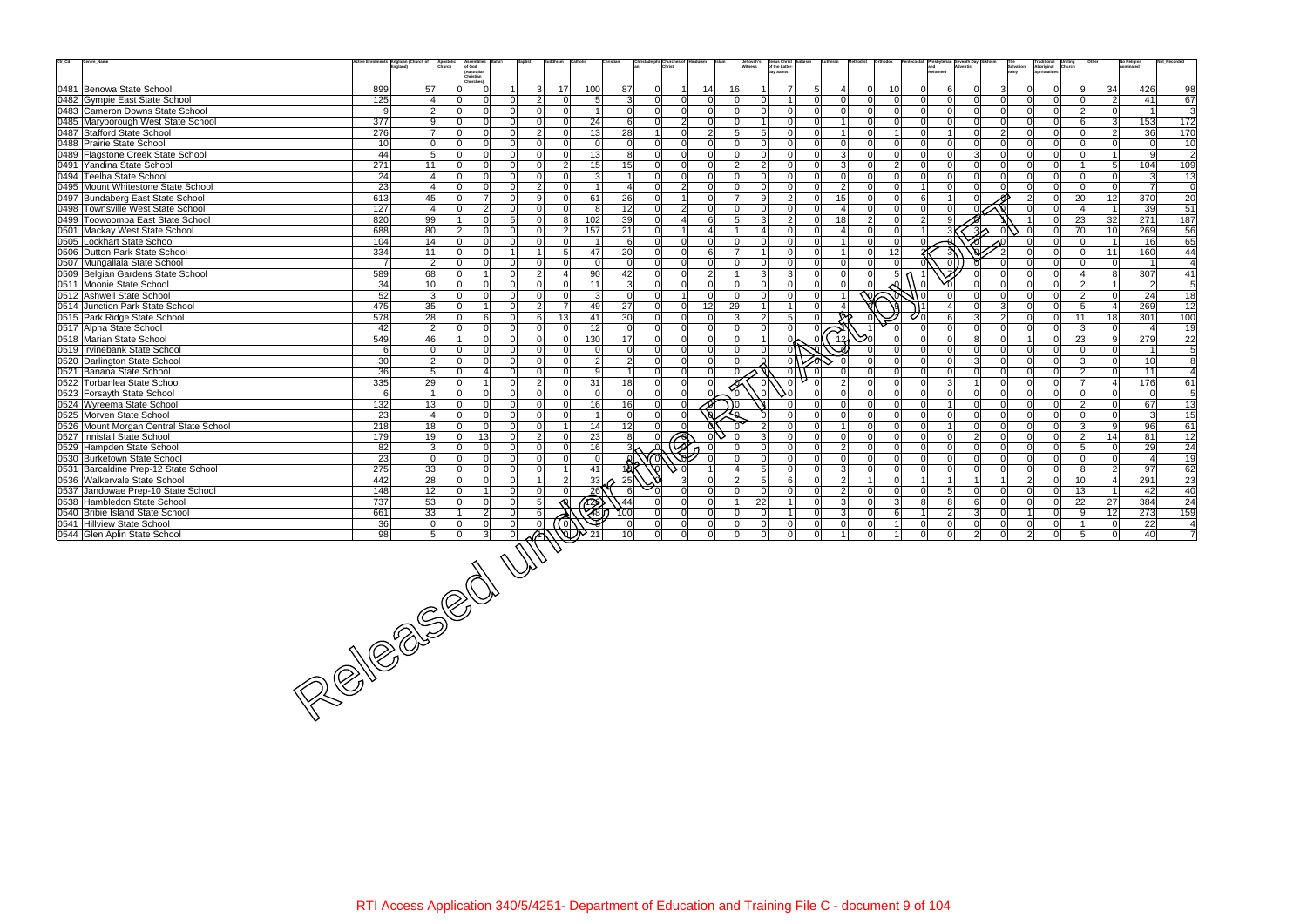| $\mathrm{Ctr}\_ \mathrm{Cd}$<br>Centre_Name                           |                 | nts Anglican (Church of<br>Apostoli<br>Church<br>ingland) | <b>Assemblies</b><br>of God<br>(Australian<br>Christian |                                |                 |                                                                                                                                                                                                                                      |                 |                                       |                | Jehovah's<br>itness | Jesus Christ<br>of the Latter-<br>day Saints |                            |               |                      |                |                |                                              | Army          | Traditional<br>Aboriginal<br>Spiritualities |                |                         | No Religion<br>nominated |                 |
|-----------------------------------------------------------------------|-----------------|-----------------------------------------------------------|---------------------------------------------------------|--------------------------------|-----------------|--------------------------------------------------------------------------------------------------------------------------------------------------------------------------------------------------------------------------------------|-----------------|---------------------------------------|----------------|---------------------|----------------------------------------------|----------------------------|---------------|----------------------|----------------|----------------|----------------------------------------------|---------------|---------------------------------------------|----------------|-------------------------|--------------------------|-----------------|
| 0481 Benowa State School                                              | 899             | 57                                                        | $\Omega$<br>$\Omega$                                    | 3                              | 17 <sup>1</sup> | 100                                                                                                                                                                                                                                  | 87              | $\overline{0}$<br>$1\vert$            | 14             | 16                  | 7                                            |                            | $\Omega$      | 10                   | ΩI             | 6              | 3 <sup>1</sup><br>$\Omega$                   |               |                                             | $\mathbf{Q}$   | 34                      | 426                      | 98              |
| 0482 Gympie East State School                                         | 125             | $\overline{\mathbf{4}}$                                   | $\Omega$<br>ΩI                                          | $\mathcal{P}$<br>ΩI            | $\Omega$        | 5                                                                                                                                                                                                                                    | 3               | $\Omega$<br>$\Omega$                  | $\Omega$       | $\Omega$            | $\Omega$<br>$\overline{1}$                   | $\Omega$<br>$\Omega$       | $\Omega$      | -Ol                  | $\Omega$       | $\Omega$       | $\Omega$<br>$\Omega$                         | U             | $\Omega$                                    | $\Omega$       | $\overline{2}$          | 41                       | 67              |
| 0483 Cameron Downs State School                                       | 9               | $\overline{2}$                                            | $\Omega$<br>$\Omega$                                    | ΩI<br>$\Omega$                 | $\Omega$        | $\vert$ 1                                                                                                                                                                                                                            | $\Omega$        | $\overline{0}$<br> 0                  | $\Omega$       | $\Omega$            | $\Omega$<br>- Ol                             | $\Omega$<br>$\Omega$       | ി             | $\Omega$             | $\Omega$       | $\Omega$       | $\Omega$<br>$\Omega$                         | ∩             | $\Omega$                                    | $\overline{2}$ | $\overline{0}$          |                          | 3               |
| 0485 Maryborough West State School                                    | 377             | 9                                                         | 0<br>$\Omega$                                           |                                | $\Omega$        | 24                                                                                                                                                                                                                                   | 6               | 2 <sup>1</sup><br>$\overline{0}$      | $\Omega$       | $\Omega$            | $\Omega$                                     |                            |               | $\Omega$             |                | $\Omega$       | $\Omega$<br>$\Omega$                         |               |                                             | 6              | $\mathbf{3}$            | 153                      | $\frac{1}{172}$ |
| 0487 Stafford State School                                            | 276             | $\overline{7}$                                            | $\Omega$<br>$\Omega$                                    | $\mathcal{P}$<br>$\Omega$      | $\Omega$        | 13                                                                                                                                                                                                                                   | 28              | 0 <br>$\overline{1}$                  | 2 <sup>1</sup> | 5 <sup>1</sup>      | 5<br>- Ol                                    | ΩI                         |               |                      | $\cap$         |                | $\Omega$<br>$\overline{2}$                   | ΩI            | $\Omega$                                    |                | 2 <sup>1</sup>          | 36                       | 170             |
| 0488 Prairie State School                                             | 10 <sup>1</sup> | $\overline{0}$                                            | $\Omega$<br>$\Omega$                                    | ΩI<br>$\Omega$                 | $\Omega$        | 0l                                                                                                                                                                                                                                   | $\Omega$        | $\overline{0}$<br> 0                  | $\Omega$       | $\Omega$            | $\Omega$<br>$\Omega$                         | ΩI<br>$\Omega$             |               | $\Omega$             |                | $\Omega$       | $\Omega$<br>$\Omega$                         | ∩I            | $\Omega$                                    | $\Omega$       | $\Omega$                | $\Omega$                 | 10              |
| 0489 Flagstone Creek State School                                     | 44              | $5\overline{)}$                                           | $\Omega$<br>$\Omega$                                    | $\Omega$<br>$\Omega$           | $\Omega$        | 13                                                                                                                                                                                                                                   | 8               | $\Omega$<br> 0                        | $\Omega$       | $\overline{0}$      | $\Omega$<br>$\Omega$                         | $\Omega$<br>3              |               |                      |                | $\Omega$       | 3<br>$\Omega$                                |               | $\Omega$                                    | $\Omega$       | $\overline{1}$          | q                        | $\overline{2}$  |
| 0491 Yandina State School                                             | 271             | 11                                                        | $\Omega$<br>0                                           | ΩI                             | $\overline{2}$  | 15                                                                                                                                                                                                                                   | 15              | $\Omega$<br> 0                        | $\Omega$       | $\overline{2}$      | $\mathcal{D}$<br>$\Omega$                    | ΩI<br>$\mathcal{R}$        |               | $\overline{2}$       |                | $\Omega$       | $\Omega$                                     |               | $\Omega$                                    |                | 5 <sub>5</sub>          | 104                      | 109             |
| 0494 Teelba State School                                              | 24              | $\overline{4}$                                            | $\Omega$<br><sup>n</sup>                                | $\cap$                         | $\Omega$        | $\vert$ 3 $\vert$                                                                                                                                                                                                                    | $\overline{1}$  | $\Omega$<br>$\Omega$                  | $\Omega$       | $\Omega$            | - Ol<br>$\Omega$                             | ΩI<br>$\Omega$             |               | $\Omega$             |                | $\Omega$       | $\Omega$<br>$\Omega$                         |               | $\Omega$                                    | <sup>0</sup>   | $\overline{0}$          | 3                        | 13              |
| 0495 Mount Whitestone State School                                    | 23              | $\boldsymbol{\Delta}$                                     | $\Omega$                                                | $\mathcal{P}$<br>$\cap$        | $\Omega$        | $\blacktriangleleft$                                                                                                                                                                                                                 | $\overline{4}$  | $\overline{2}$<br>$\Omega$            | $\Omega$       | $\Omega$            | $\Omega$                                     | ΩI<br>$\overline{2}$       |               |                      |                | $\Omega$       |                                              |               | $\Omega$                                    | $\Omega$       | $\Omega$                |                          | $\overline{0}$  |
| 0497 Bundaberg East State School                                      | 613             | 45                                                        | $\overline{7}$<br>$\Omega$                              | <sub>9</sub><br>ΩI             | $\Omega$        | 61                                                                                                                                                                                                                                   | 26              | $\Omega$<br>1 <sup>1</sup>            | $\Omega$       | $\overline{7}$      | 2 <sup>1</sup><br>αl                         | 15<br>ΩI                   |               | $\Omega$             | 6              |                |                                              |               | $\Omega$                                    | 20             | 12                      | 370                      | 20              |
| 0498 Townsville West State School                                     | 127             | $\overline{4}$                                            | $\overline{2}$<br>$\Omega$                              | $\Omega$<br>$\Omega$           | $\Omega$        | 81                                                                                                                                                                                                                                   | 12              | $\overline{2}$<br>$\overline{0}$      | $\Omega$       | $\Omega$            | 0l<br>$\Omega$                               | $\Omega$                   | $\Omega$      | $\Omega$             | $\Omega$       | $\Omega$       |                                              |               | $\Omega$                                    | $\overline{4}$ | $\overline{1}$          | 39                       | 51              |
| 0499 Toowoomba East State School                                      | 820             | 99                                                        | $\Omega$                                                | 5 <sup>1</sup><br><sup>0</sup> | 81              | 102                                                                                                                                                                                                                                  | 39              | $\Omega$<br>$\overline{4}$            | 6              | 5 <sup>1</sup>      | $\overline{2}$<br>$\mathcal{B}$              | 18<br>$\Omega$             | $\mathcal{P}$ | $\Omega$             | 2 <sup>1</sup> | q              |                                              |               | $\Omega$                                    | 23             | 32                      | 271                      | 187             |
| 0501 Mackay West State School                                         | 688             | 80                                                        | $\overline{2}$<br>0                                     |                                | $\overline{2}$  | 157                                                                                                                                                                                                                                  | 21              | $\Omega$<br>11                        | 41             |                     | $\Omega$                                     | ΩI                         |               |                      |                |                | د∕ا⊗                                         |               |                                             | 70             | 10                      | 269                      | 56              |
| 0505 Lockhart State School                                            | 104             | 14                                                        | $\Omega$<br>$\Omega$                                    | $\Omega$                       | $\Omega$        | $\overline{1}$                                                                                                                                                                                                                       | 6               | 0 <br>$\overline{0}$                  | $\Omega$       | $\Omega$            | $\Omega$<br>$\Omega$                         | $\Omega$                   | $\Omega$      | $\Omega$             |                |                |                                              |               | $\Omega$                                    | n l            | $\overline{1}$          | 16                       | 65              |
| 0506 Dutton Park State School                                         | $\frac{1}{334}$ | 11                                                        | $\Omega$<br>$\Omega$                                    |                                | $5 \square$     | 47                                                                                                                                                                                                                                   | 20              | $\Omega$<br>$\Omega$                  | 6              | $\overline{7}$      | $\Omega$                                     | ΩI                         |               | 12                   |                |                |                                              |               |                                             | $\Omega$       | 11                      | 160                      | 44              |
| 0507 Mungallala State School                                          | $\overline{7}$  | $\overline{2}$                                            | $\Omega$                                                |                                | $\Omega$        | $\Omega$                                                                                                                                                                                                                             | $\Omega$        | $\Omega$<br>$\Omega$                  | $\Omega$       | $\Omega$            | $\Omega$                                     | ΩI                         |               |                      |                |                |                                              |               |                                             |                | $\Omega$                |                          | 4               |
| 0509 Belgian Gardens State School                                     | 589             | 68                                                        | $\Omega$<br>1 <sup>1</sup>                              | $\overline{2}$<br>$\Omega$     | $\mathbf 4$     | 90                                                                                                                                                                                                                                   | 42              | 0 <br>$\overline{0}$                  | 2              | $\overline{1}$      | $\overline{3}$<br>3 <sup>1</sup>             | $\Omega$<br>$\Omega$       | $\Omega$      | 5                    |                |                | $\Omega$                                     |               | $\Omega$                                    | $\vert$ 4      | 8                       | 307                      | 41              |
| 0511 Moonie State School                                              | 34              | 10                                                        | $\Omega$<br>$\Omega$                                    | $\cap$<br>$\Omega$             | $\Omega$        | 11                                                                                                                                                                                                                                   | $\mathbf{3}$    | $\Omega$<br>$\Omega$                  | $\Omega$       | $\Omega$            | $\Omega$                                     | $\Omega$                   |               |                      |                |                |                                              |               |                                             | $\overline{2}$ | $\blacktriangleleft$    | $\mathcal{P}$            | $\overline{5}$  |
| 0512 Ashwell State School                                             | 52              | $\overline{3}$                                            | $\Omega$                                                | $\cap$                         | $\Omega$        | 3                                                                                                                                                                                                                                    | $\mathbf 0$     | $\overline{0}$<br>11                  | $\Omega$       | $\Omega$            | $\Omega$<br>- Ol                             | ΩI                         | 的             |                      |                |                |                                              |               | $\Omega$                                    | $\overline{2}$ | $\Omega$                | 24                       | 18              |
| 0514 Junction Park State School                                       | 475             | 35                                                        | $\Omega$                                                | $\mathcal{P}$                  | $\overline{7}$  | 49                                                                                                                                                                                                                                   | $\overline{27}$ | 0 <br>$\overline{0}$                  | 12             | 29                  | $\overline{1}$                               | ΩI                         |               |                      |                |                | $\overline{3}$<br>$\Omega$                   |               | $\Omega$                                    | 5 <sup>1</sup> | $\overline{4}$          | 269                      | $\overline{12}$ |
| 0515 Park Ridge State School                                          | 578             | 28                                                        | 6<br>$\Omega$                                           | 6<br>$\Omega$                  | 13              | 41                                                                                                                                                                                                                                   | 30              | $\Omega$<br>$\Omega$                  | $\Omega$       | $\mathbf{3}$        | 5 <sup>1</sup><br>$\mathcal{P}$              |                            |               |                      |                | 6              | $\overline{2}$                               |               | $\Omega$                                    | 11             | 18                      | 301                      | 100             |
| 0517 Alpha State School                                               | 42              | $\overline{2}$                                            | $\Omega$<br>$\Omega$                                    | ΩI<br>$\Omega$                 | $\Omega$        | 12                                                                                                                                                                                                                                   | $\Omega$        | $\overline{0}$<br> 0                  | $\Omega$       | 0                   | 0l<br>$\Omega$                               | ΩI<br>$\Rightarrow$        |               |                      |                | $\Omega$       | $\Omega$<br>$\Omega$                         | ΩI            | $\Omega$                                    | -31            | $\Omega$                |                          | 19              |
| 0518 Marian State School                                              | 549             | 46                                                        | $\Omega$                                                |                                | $\Omega$        | 130                                                                                                                                                                                                                                  | 17              | $\Omega$<br>$\overline{0}$            | $\Omega$       | $\overline{0}$      |                                              | 13 <sub>0</sub>            |               | $\Omega$             |                | $\Omega$       | 8<br>$\Omega$                                |               | $\Omega$                                    | 23             | 9                       | 279                      | 22              |
| 0519   Irvinebank State School                                        | 6               | $\Omega$                                                  | $\Omega$<br>$\Omega$                                    | $\Omega$<br>$\Omega$           | $\Omega$        | $\Omega$                                                                                                                                                                                                                             | $\Omega$        | 0 <br>$\Omega$                        | $\Omega$       | $\Omega$            | $\Omega$                                     |                            |               |                      |                | $\Omega$       | $\Omega$<br>$\Omega$                         | ΩI            | $\Omega$                                    | $\Omega$       | $\Omega$                |                          | 5               |
| 0520 Darlington State School                                          | 30              | $\overline{2}$                                            | $\Omega$<br>ΩI                                          | $\Omega$                       | $\Omega$        | $\overline{2}$                                                                                                                                                                                                                       | $\overline{2}$  | 0 <br>$\Omega$                        | $\Omega$       | $\Omega$            |                                              |                            |               |                      |                | $\Omega$       | $\mathcal{E}$<br>$\Omega$                    |               | $\Omega$                                    | -31            | $\Omega$                | 10                       | 8               |
| 0521 Banana State School                                              | 36              | $5\overline{)}$                                           | $\Omega$<br>4                                           |                                | $\Omega$        | 9                                                                                                                                                                                                                                    |                 | $\Omega$<br>$\Omega$                  | $\Omega$       |                     | $\Omega$                                     |                            |               |                      |                | $\Omega$       | $\Omega$<br>$\Omega$                         |               |                                             | $\overline{2}$ | $\overline{0}$          | 11                       |                 |
| 0522 Torbanlea State School                                           | 335             | 29                                                        | $\Omega$<br>$\overline{1}$                              | ΩI<br>$\mathfrak{D}$           | $\Omega$        | 31                                                                                                                                                                                                                                   | 18              | $\Omega$<br> 0                        | $\Omega$       |                     | $\Omega$                                     | $\Omega$                   |               | $\Omega$             |                | $\mathbf{3}$   | $\Omega$                                     |               | $\Omega$                                    | $\overline{7}$ | 4                       | 176                      | 61              |
| 0523 Forsayth State School                                            | 6               | $\overline{1}$                                            | $\Omega$<br>$\Omega$                                    | $\Omega$<br>$\Omega$<br>ΩI     | $\Omega$        | 0l                                                                                                                                                                                                                                   | $\mathbf{0}$    | $\Omega$<br>$\overline{0}$            | $\frac{9}{6}$  | $\Omega$            | ا0ًد.<br>. ol                                | $\Omega$<br>$\Omega$<br>ΩI |               | $\Omega$<br>$\Omega$ | വ              | $\Omega$       | $\Omega$<br>$\Omega$<br>$\Omega$<br>$\Omega$ |               | $\Omega$<br>$\Omega$                        | <sup>0</sup>   | $\overline{0}$          | $\Omega$                 | 5               |
| 0524 Wyreema State School                                             | 132             | 13<br>$\overline{4}$                                      | $\Omega$<br>$\Omega$<br><sup>n</sup>                    |                                | $\Omega$        | 16<br>$\mathbf{1}$                                                                                                                                                                                                                   | 16              | $\overline{0}$<br>$\overline{0}$      |                | 0 (                 |                                              |                            |               | $\Omega$             |                | $\Omega$       | $\Omega$                                     |               |                                             | $\overline{2}$ | $\Omega$<br>$\Omega$    | 67<br>$\mathcal{B}$      | 13              |
| 0525 Morven State School                                              | 23<br>218       | 18                                                        | $\Omega$<br>$\Omega$<br>$\Omega$                        | $\Omega$<br>ΩI                 |                 | 14                                                                                                                                                                                                                                   | $\Omega$<br>12  | $\Omega$<br>$\Omega$<br>$\Omega$<br>ി |                |                     | 0l                                           | $\Omega$                   | $\Omega$      | $\Omega$             | $\Omega$       | $\overline{1}$ | $\Omega$<br>$\Omega$                         | ∩             | $\Omega$                                    | -31            | 9                       | 96                       | 15<br>61        |
| 0526 Mount Morgan Central State School<br>0527 Innisfail State School | 179             | 19                                                        | 13<br>$\Omega$                                          | ΩI<br>$\mathcal{D}$            | $\Omega$        | 23                                                                                                                                                                                                                                   | 8               | $\Omega$                              |                |                     | $\Omega$                                     | ΩI<br>$\Omega$             |               | $\Omega$             | U              | $\Omega$       | $\mathcal{P}$<br>$\Omega$                    | U             | $\Omega$                                    | $\mathcal{P}$  | 14                      | 81                       | 12              |
| 0529 Hampden State School                                             | 82              | $\mathbf{3}$                                              | 0<br>$\Omega$                                           |                                | O               | 16                                                                                                                                                                                                                                   |                 | $\bigoplus$                           |                |                     |                                              | ΩI<br>$\mathcal{P}$        |               | $\Omega$             |                | $\Omega$       | $\Omega$                                     |               |                                             | 5              | $\Omega$                | 29                       | 24              |
| 0530 Burketown State School                                           | 23              | $\overline{0}$                                            | $\overline{0}$<br>$\Omega$                              | $\Omega$<br>$\Omega$           | $\Omega$        | -Ol                                                                                                                                                                                                                                  |                 |                                       |                | $\Omega$            | 0l<br>$\Omega$                               | $\Omega$<br>$\Omega$       | $\Omega$      | $\Omega$             | $\Omega$       | $\overline{0}$ | $\Omega$<br>$\Omega$                         | ΩI            | $\Omega$                                    | n l            | $\overline{0}$          | $\overline{a}$           | 19              |
| 0531 Barcaldine Prep-12 State School                                  | 275             | 33                                                        | $\Omega$<br>$\Omega$                                    | ΩI                             |                 | 41                                                                                                                                                                                                                                   | $18^\circ$      |                                       |                |                     | $\Omega$                                     | ΩI<br>3                    |               | $\Omega$             |                | $\Omega$       | $\Omega$<br>$\Omega$                         |               | $\Omega$                                    | <b>R</b>       | $\overline{2}$          | 97                       | 62              |
| 0536 Walkervale State School                                          | 442             | 28                                                        | $\Omega$                                                |                                | $\overline{2}$  | 33                                                                                                                                                                                                                                   | 25              |                                       | $\cap$         | $\overline{2}$      | $5 \square$<br>6                             | $\mathcal{P}$<br>ΩI        |               | $\Omega$             |                |                |                                              | $\mathcal{P}$ | $\Omega$                                    | 10             | $\overline{\mathbf{4}}$ | 291                      | 23              |
| 0537 Jandowae Prep-10 State School                                    | 148             | 12                                                        | $\Omega$<br>1 <sup>1</sup>                              | ΩI                             | $\cap$          | $26^{\circ}$                                                                                                                                                                                                                         | -6              | $\Omega$                              | $\Omega$       | $\Omega$            | - Ol<br>- Ol                                 | $\Omega$<br>$\mathcal{P}$  | $\Omega$      | $\Omega$             | $\Omega$       | -5             | $\Omega$<br>$\Omega$                         | ΩI            | n l                                         | 13             | $\overline{1}$          | 42                       | 40              |
| 0538 Hambledon State School                                           | 737             | 53                                                        | $\Omega$<br>0                                           | 5<br><sup>n</sup>              |                 |                                                                                                                                                                                                                                      | $\sqrt{44}$     | $\Omega$                              | $\Omega$       | $\overline{1}$      | 22                                           | $\Omega$<br>3              |               | 3                    | 8              | 8              | 6<br>$\Omega$                                |               | $\Omega$                                    | 22             | 27                      | 384                      | 24              |
| 0540 Bribie Island State School                                       | 661             | 33                                                        | $\overline{2}$                                          |                                |                 | to the control of the control of the control of the control of the control of the control of the control of th<br>The control of the control of the control of the control of the control of the control of the control of the c<br> | 100             | $\Omega$<br>$\overline{0}$            | $\Omega$       | $\overline{0}$      | $\Omega$                                     | ΩI                         |               | 6                    |                | $\overline{2}$ | 3                                            |               |                                             | $\mathbf{Q}$   | 12                      | 273                      | 159             |
| 0541 Hillview State School                                            |                 |                                                           |                                                         |                                |                 |                                                                                                                                                                                                                                      | -0              | 0 <br>$\overline{0}$                  | $\overline{0}$ | $\mathbf 0$         | $\Omega$<br>-Ol                              | $\Omega$<br>$\Omega$       | $\Omega$      |                      | $\Omega$       | $\mathbf 0$    | $\Omega$<br>$\Omega$                         | U             | $\Omega$                                    |                | $\mathbf 0$             | 22                       | 4               |
| 0544 Glen Aplin State School                                          |                 |                                                           |                                                         |                                |                 |                                                                                                                                                                                                                                      | 10              | $\Omega$<br>$\Omega$                  | $\Omega$       | $\Omega$            | $\Omega$<br>$\Omega$                         | ΩI                         |               |                      |                | $\Omega$       | $\mathcal{P}$                                |               |                                             |                | $\Omega$                | 40                       | $\overline{7}$  |
|                                                                       |                 |                                                           |                                                         |                                |                 |                                                                                                                                                                                                                                      |                 |                                       |                |                     |                                              |                            |               |                      |                |                |                                              |               |                                             |                |                         |                          |                 |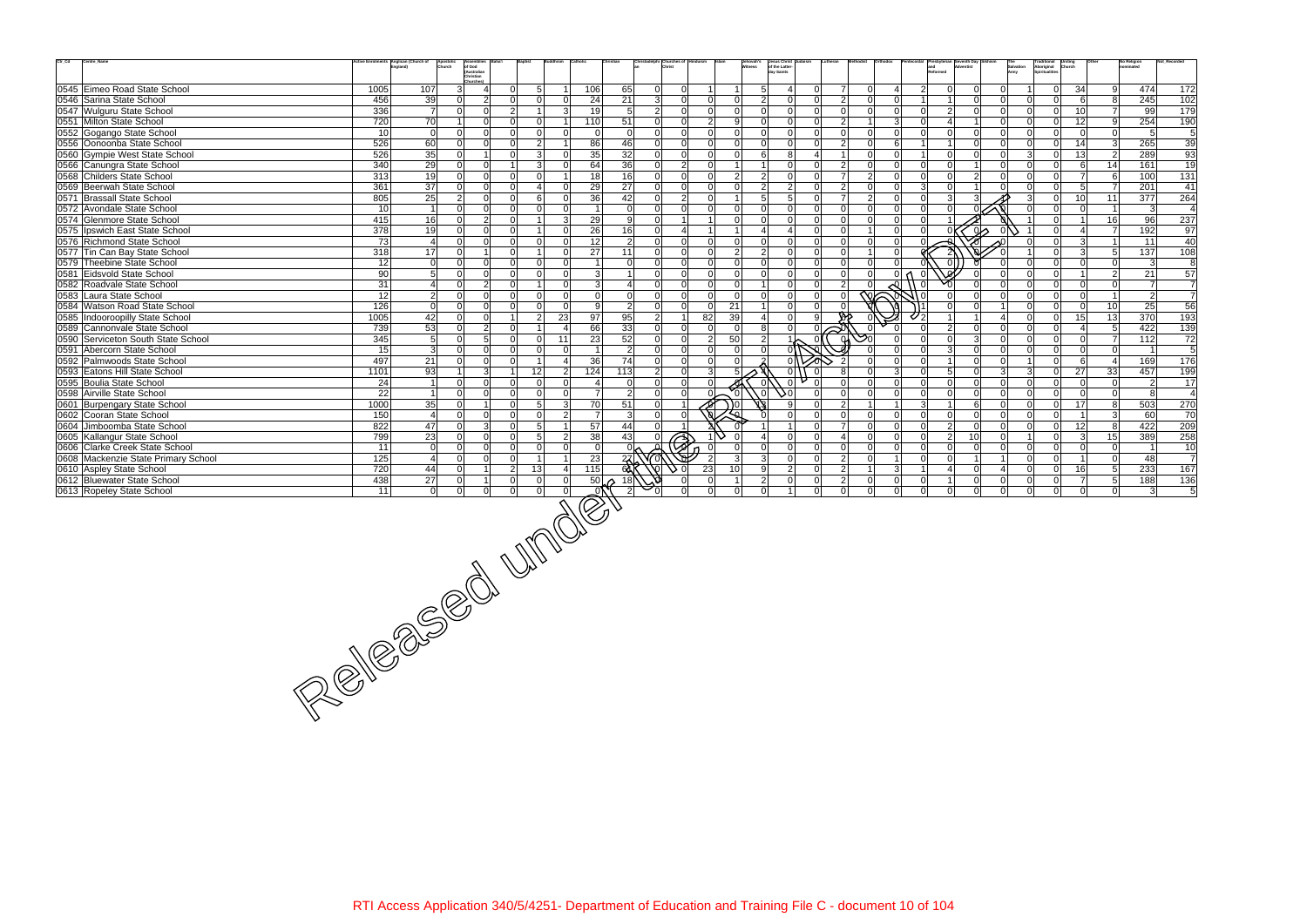| $\mathrm{Ctr}\_ \mathrm{Cd}$<br>Centre_Name                           |                 | Anglican (Church of<br>Apostoli<br>Church | Assemblies                                         |                                             |                            |                                                                |                |                |                |                          | Jehovah's<br>Witness         | Jesus Christ<br>of the Latter-<br>day Saints                          |                            |                         |                      |                      |                                                    |                            | The<br>Salvation<br>Army | <b>Traditional</b><br>Aboriginal<br>Spiritualities<br><b>Uniting</b><br>Church |                          | No Religion<br>nominated         |                 | Not_Recorded         |
|-----------------------------------------------------------------------|-----------------|-------------------------------------------|----------------------------------------------------|---------------------------------------------|----------------------------|----------------------------------------------------------------|----------------|----------------|----------------|--------------------------|------------------------------|-----------------------------------------------------------------------|----------------------------|-------------------------|----------------------|----------------------|----------------------------------------------------|----------------------------|--------------------------|--------------------------------------------------------------------------------|--------------------------|----------------------------------|-----------------|----------------------|
|                                                                       |                 |                                           | of God<br>(Australian<br>Christian<br>Churches)    |                                             |                            |                                                                |                |                |                |                          |                              |                                                                       |                            |                         |                      |                      |                                                    |                            |                          |                                                                                |                          |                                  |                 |                      |
| 0545 Eimeo Road State School                                          | 1005            | 107                                       | 3 <sup>l</sup><br>4                                | 5 <sup>1</sup><br>$\Omega$                  |                            | 106                                                            | 65             | $\overline{0}$ | $\overline{0}$ |                          |                              | 5 <sup>1</sup><br>$\Omega$<br>$\frac{4}{ }$                           | $\overline{7}$             | $\Omega$                | 4                    | $\overline{2}$       | $\overline{0}$<br>$\Omega$                         | -ol                        |                          | $\Omega$                                                                       | 34                       | 9                                | 474             | 172                  |
| 0546 Sarina State School                                              | 456             | 39                                        | $\overline{2}$<br>$\overline{0}$                   | $\Omega$<br>$\Omega$                        | $\Omega$                   | 24                                                             | 21             | 3 <sup>1</sup> | $\overline{0}$ | $\overline{0}$           | $\mathbf 0$                  | $2 \vert$<br> 0 <br>$\overline{0}$                                    | $\overline{2}$             | $\Omega$                | $\overline{0}$       |                      | $\Omega$                                           | $\overline{0}$             | $\Omega$                 | $\Omega$                                                                       | 6                        | 8 <sup>8</sup>                   | 245             | 102                  |
| 0547 Wulguru State School                                             | 336             | $\overline{7}$                            | $\overline{0}$<br>$\overline{0}$                   | $\overline{2}$                              | 3                          | 19                                                             | 5              | $\overline{2}$ | $\overline{0}$ | $\Omega$                 | $\Omega$                     | 0 <br>$\overline{0}$<br> 0                                            | <sup>0</sup>               | $\Omega$                | 0                    | $\Omega$             | $\overline{2}$<br>$\Omega$                         | $\overline{0}$             | ΩI                       | $\Omega$                                                                       | 10 <sup>1</sup>          | $\overline{7}$                   | 99              | 179                  |
| 0551 Milton State School                                              | 720             | $\overline{70}$                           | $\Omega$<br>$\mathbf{1}$                           | $\Omega$<br>$\Omega$                        |                            | 110                                                            | 51             | 0              | $\overline{0}$ | 2 <sup>1</sup>           | 9<br>-ol                     | 0 <br>$\overline{0}$                                                  | $\overline{2}$             |                         | $\overline{3}$       |                      | $\overline{4}$                                     | $\Omega$                   | $\Omega$                 | $\Omega$                                                                       | 12                       | 9                                | 254             | 190                  |
| 0552 Gogango State School                                             | 10              | $\overline{0}$                            | $\overline{0}$<br>$\Omega$                         | $\Omega$<br>$\overline{0}$                  | $\Omega$                   | $\mathbf 0$                                                    | $\mathbf 0$    | $\Omega$       | $\overline{0}$ | $\Omega$                 | $\overline{0}$               | $\Omega$<br> 0 <br>$\overline{0}$                                     | $\Omega$                   | $\Omega$                | $\Omega$             | $\Omega$             | $\overline{0}$<br>$\Omega$                         | $\overline{0}$             | $\Omega$                 | $\Omega$                                                                       | $\Omega$                 | $\overline{0}$                   | -5              | 5                    |
| 0556 Oonoonba State School                                            | 526             | 60                                        | $\Omega$<br>$\overline{0}$                         | 2 <sup>1</sup><br>$\Omega$                  |                            | 86                                                             | 46             | $\overline{0}$ | $\overline{0}$ | $\Omega$                 | $\Omega$                     | $\Omega$<br> 0 <br>$\overline{0}$                                     | $\overline{2}$             | $\Omega$                | $6 \mid$             |                      | $\overline{1}$<br>$\Omega$                         | $\overline{0}$             | $\Omega$                 | <sup>ol</sup>                                                                  | 14                       | $\vert$ 3                        | 265             | 39                   |
| 0560 Gympie West State School                                         | 526             | 35                                        | $\Omega$<br>$\overline{1}$                         | 3 <br>$\Omega$                              | $\Omega$                   | 35                                                             | 32             | 0              | $\overline{0}$ | $\Omega$                 | $\overline{0}$               | 6 <sup>1</sup><br> 8 <br>$\overline{4}$                               |                            | $\Omega$                | $\Omega$             |                      | $\Omega$<br>$\Omega$                               | 0l                         | 3 <sup>l</sup>           | <sup>ol</sup>                                                                  | 13                       | $\overline{2}$                   | 289             | 93                   |
| 0566 Canungra State School                                            | 340             | 29                                        | $\overline{0}$<br>$\Omega$                         | 3 <sup>1</sup>                              | $\Omega$                   | 64                                                             | 36             | 0              | $2 \vert$      | $\Omega$                 | $\mathbf{1}$                 | $\overline{0}$<br>$\overline{0}$                                      | $\overline{2}$             |                         | 0                    | Ωl                   | $\Omega$                                           | $\Omega$                   | <sup>n</sup>             | $\Omega$                                                                       | $6 \mid$                 | 14                               | 161             | 19                   |
| 0568 Childers State School                                            | 313             | 19                                        | $\Omega$<br>$\overline{0}$                         | $\Omega$<br>$\Omega$                        |                            | 18                                                             | 16             | $\overline{0}$ | $\overline{0}$ | $\Omega$                 | $\overline{2}$               | $\overline{2}$<br> 0 <br>$\overline{0}$                               | $\overline{7}$             | $\mathcal{P}$           | 0                    | $\Omega$             | 2 <sup>1</sup><br>$\overline{0}$                   | $\Omega$                   | $\Omega$                 | $\Omega$                                                                       | $\overline{7}$           | 6                                | 100             | 131                  |
| 0569 Beerwah State School                                             | 361             | 37                                        | $\Omega$<br>$\overline{0}$                         | $\Omega$                                    | $\Omega$                   | 29                                                             | 27             | 0              | $\overline{0}$ | $\Omega$                 | $\Omega$                     | $2 \vert$<br>$2 \vert$<br>$\overline{0}$                              | $\mathcal{P}$              |                         | 0                    | $\mathcal{E}$        | $\Omega$                                           | $\Omega$                   | ΩI                       | $\Omega$                                                                       | 5 <sup>1</sup>           | $\overline{7}$                   | 201             | 41                   |
| 0571 Brassall State School                                            | 805             | 25                                        | $\overline{2}$<br>$\Omega$                         | $\Omega$<br>6                               | $\Omega$                   | 36                                                             | 42             | 0              | $2 \vert$      | $\Omega$                 | $\overline{1}$               | 5 <sup>1</sup><br>5 <sup>1</sup><br>$\overline{0}$                    | $\overline{7}$             | $\mathcal{P}$           | $\Omega$             |                      | 3                                                  |                            | $\overline{3}$           | $\Omega$                                                                       | 10 <sup>1</sup>          | 11                               | 377             | 264                  |
| 0572 Avondale State School                                            | 10 <sup>1</sup> | $\overline{1}$                            | $\overline{0}$<br>$\overline{0}$                   | $\Omega$<br>$\Omega$                        | $\Omega$                   | $\overline{1}$                                                 | $\mathbf 0$    | 0              | $\overline{0}$ | $\Omega$                 | $\mathbf 0$                  | 0 <br> 0 <br>$\overline{0}$                                           | $\Omega$                   | $\Omega$                | 0                    | $\Omega$             | $\Omega$                                           |                            | $\Omega$                 | $\Omega$                                                                       | <sup>0</sup>             | $\overline{1}$                   | 3               | $\overline{4}$       |
| 0574 Glenmore State School                                            | 415             | 16                                        | $\overline{2}$<br>$\overline{0}$                   | $\Omega$                                    | $\overline{3}$             | 29                                                             | 9              | 0              | $\mathbf 1$    | 11                       | $\Omega$<br>-ol              | 0 <br>$\overline{0}$                                                  | $\Omega$                   | $\Omega$                | - Ol                 | $\Omega$             |                                                    |                            |                          | $\Omega$                                                                       |                          | 16                               | 96              | 237                  |
| 0575   Ipswich East State School                                      | 378             | 19                                        | $\Omega$<br>$\Omega$                               | $\Omega$                                    | $\Omega$                   | 26                                                             | 16             | 0              | $\overline{4}$ |                          | $\overline{1}$               | $\overline{0}$<br>$\Delta$<br>$\vert$                                 | $\Omega$                   |                         | $\Omega$             | ΩI                   | ೲ                                                  |                            |                          | $\Omega$                                                                       | $\boldsymbol{\varDelta}$ | $\overline{7}$                   | 192             | 97                   |
| 0576 Richmond State School                                            | 73              | $\overline{4}$                            | $\Omega$<br>$\overline{0}$                         | $\Omega$<br>$\Omega$                        | $\Omega$                   | 12                                                             | <sub>2</sub>   | 0              | 0              | $\Omega$                 | $\overline{0}$               | 0 <br> 0 <br>$\overline{0}$                                           | $\Omega$                   | $\Omega$                | 0                    |                      |                                                    |                            |                          | $\Omega$                                                                       | $\overline{3}$           | $\overline{1}$                   | 11              | 40                   |
| 0577 Tin Can Bay State School                                         | 318             | 17                                        | $\Omega$<br>$\mathbf{1}$                           | $\Omega$                                    | $\Omega$                   | 27                                                             | 11             | $\Omega$       | $\Omega$       | ΩI                       | $\overline{2}$               | $\overline{2}$<br> 0 <br>$\overline{0}$                               | $\Omega$                   |                         | $\Omega$             |                      |                                                    |                            |                          | $\Omega$                                                                       | $\vert$ 3                | 5 <sup>5</sup>                   | $\frac{137}{2}$ | 108                  |
| 0579 Theebine State School                                            | 12              | $\overline{0}$                            | $\Omega$<br>$\overline{0}$                         | $\Omega$<br>$\Omega$                        | $\Omega$                   | $\mathbf{1}$                                                   | $\Omega$       | 0              | 0              | $\Omega$                 | -ol<br>$\overline{0}$        | 0 <br>$\overline{0}$                                                  | $\Omega$                   | $\Omega$                | $\Omega$             |                      | $\mathbf 0$                                        | $\Omega$                   |                          | n l                                                                            | n l                      | $\overline{0}$                   | -3              | 8                    |
| 0581 Eidsvold State School                                            | 90              | 5                                         | $\overline{0}$<br>$\overline{0}$                   | $\Omega$<br>$\Omega$                        | $\Omega$                   | 3 <sup>1</sup>                                                 |                | 0              | $\overline{0}$ | 0                        | $\overline{0}$               | 0 <br> 0 <br>$\overline{0}$                                           | $\Omega$                   | $\Omega$                | $0\vert$ d           | 0                    | œ,                                                 | $\Omega$                   | 0                        | $\Omega$                                                                       |                          | $\overline{2}$                   | 21              | 57                   |
| 0582 Roadvale State School                                            | 31              | $\overline{4}$                            | $\overline{2}$<br>$\overline{0}$                   | $\Omega$                                    | $\Omega$                   | 3 <sup>1</sup>                                                 | $\overline{4}$ | 0              | $\overline{0}$ | 0                        | $\overline{0}$<br>11         | 0 <br>$\overline{0}$                                                  |                            |                         |                      | $\Omega$             | $\Omega$                                           | $\Omega$                   | $\Omega$                 | $\Omega$                                                                       | $\Omega$                 | $\mathbf 0$                      | $\overline{7}$  | $\overline{7}$       |
| 0583 Laura State School                                               | 12              | $\overline{2}$                            | $\Omega$<br>$\overline{0}$                         | $\Omega$<br>$\Omega$                        | $\Omega$                   | $\overline{0}$                                                 | $\mathbf 0$    | $\overline{0}$ | $\overline{0}$ | $\Omega$                 | $\mathbf 0$                  | 0 <br> 0 <br>$\overline{0}$                                           | $\Omega$                   | $\overline{\mathbb{Q}}$ |                      |                      | $\Omega$<br>$\Omega$                               | $\Omega$                   | $\Omega$                 | $\Omega$                                                                       | $\Omega$                 | $\vert$ 1                        | $\overline{2}$  | $\overline{7}$       |
| 0584 Watson Road State School                                         | 126             | $\overline{0}$                            | $\overline{0}$<br>$\Omega$                         | $\Omega$<br>$\Omega$                        | $\Omega$                   | 9                                                              | $\overline{2}$ | 0              | $\overline{0}$ | 21<br>$\Omega$           |                              | 0 <br>$\overline{0}$<br>1 <sup>1</sup>                                |                            |                         |                      |                      |                                                    |                            | $\Omega$                 | $\Omega$                                                                       | 0                        | 10                               | 25              | 56                   |
| 0585 Indooroopilly State School                                       | 1005            | 42                                        | $\overline{0}$<br>$\Omega$                         | 2                                           | 23                         | 97                                                             | 95             | 2 <sup>1</sup> | 1 <sup>1</sup> | 39<br>82                 |                              | 0 <br>91<br>$\overline{4}$                                            |                            |                         |                      |                      |                                                    | $\vert$ 4                  | ΩI                       | <sup>ol</sup>                                                                  | 15                       | 13                               | 370             | 193                  |
| 0589 Cannonvale State School                                          | 739             | 53                                        | $\overline{2}$<br>$\overline{0}$                   | $\Omega$                                    | $\boldsymbol{4}$           | 66                                                             | 33             | $\overline{0}$ | 0              | $\Omega$                 | $\overline{0}$               | 0 <br>8<br>0 <sup>1</sup>                                             | $\approx$                  |                         |                      | $\Omega$             | $\overline{2}$<br>$\overline{0}$                   | 0                          | $\Omega$                 | $\Omega$                                                                       | 41                       | $5\overline{5}$                  | 422             | 139                  |
| 0590 Serviceton South State School                                    | 345             | 5                                         | 5 <sup>1</sup><br>$\Omega$                         | $\Omega$<br>$\overline{0}$                  | 11                         | 23                                                             | 52             | 0              | $\overline{0}$ | 50<br>2 <sup>1</sup>     |                              | $\overline{2}$<br>$\Omega$                                            | $\mathbf{Q}$               |                         | 0                    |                      | $\mathbf 0$<br>$\mathbf{3}$                        | $\Omega$                   | $\Omega$                 | $\Omega$                                                                       | n l                      | $\overline{7}$                   | $\frac{11}{2}$  | $\overline{72}$      |
| 0591 Abercorn State School                                            | 15              | 3 <sup>1</sup>                            | $\Omega$<br>$\Omega$                               | $\overline{0}$<br>$\Omega$                  | $\Omega$                   | $\mathbf{1}$                                                   | $\overline{2}$ | 0              | $\overline{0}$ | $\Omega$                 | $\overline{0}$<br>-ol        | 0V                                                                    |                            |                         | $\Omega$             |                      | 3<br>$\Omega$                                      | $\overline{0}$             | $\Omega$                 | $\Omega$                                                                       | $\Omega$                 | $\overline{0}$                   |                 | $\overline{5}$       |
| 0592 Palmwoods State School                                           | 497             | $\overline{21}$                           | $\Omega$<br>$\overline{0}$                         | $\Omega$                                    | $\boldsymbol{\varDelta}$   | 36                                                             | 74             | 0              | $\overline{0}$ | $\Omega$                 | $\Omega$                     | 0ľ                                                                    |                            |                         | $\Omega$             | $\Omega$             | $\overline{1}$<br>$\Omega$                         | $\overline{0}$             | 1 <sup>1</sup>           | <sup>ol</sup>                                                                  | $6 \mid$                 | $\overline{4}$                   | 169             | 176                  |
| 0593 Eatons Hill State School                                         | 1101            | 93                                        | $\mathbf{3}$<br>$\overline{1}$                     | 12                                          | 2                          | 124                                                            | 113            | 2 <sup>1</sup> | $\overline{0}$ | 3 <sup>l</sup>           |                              | 0 <br>$\overline{0}$                                                  |                            |                         | $\overline{3}$       |                      | $5\overline{)}$<br>$\Omega$                        | 3                          | 3 <sup>l</sup>           | n l                                                                            | 27                       | 33                               | 457             | 199                  |
| 0595 Boulia State School                                              | 24              | - 1                                       | $\Omega$<br>$\Omega$                               | $\Omega$<br>$\Omega$                        | 0                          | 4                                                              | $\Omega$       | $\Omega$       | $\overline{0}$ |                          |                              | $\Omega$<br>$\Omega$                                                  |                            |                         | $\Omega$             |                      | $\Omega$                                           | $\Omega$                   | n١                       | $\Omega$                                                                       | $\Omega$                 | $\overline{0}$                   | $\overline{2}$  | 17                   |
| 0598 Airville State School                                            | 22              | $\overline{1}$                            | $\overline{0}$<br>$\overline{0}$                   | $\Omega$<br>$\Omega$                        | $\Omega$                   | $\overline{7}$                                                 | $\overline{2}$ | 0              | $\overline{0}$ | $\overline{\mathscr{L}}$ | $\sqrt{0}$<br>$\overline{0}$ | ر (<br>$\overline{0}$                                                 | <sup>ol</sup>              | $\Omega$                | 0 <br>$\overline{1}$ | $\Omega$             | $\overline{0}$<br>$\Omega$                         | $\overline{0}$             | $\Omega$                 | $\Omega$                                                                       | $\Omega$                 | $\overline{0}$                   | 8               | $\overline{4}$       |
| 0601 Burpengary State School                                          | 1000            | 35                                        | $\overline{0}$<br>$\overline{1}$                   | 5 <sup>1</sup><br>$\Omega$                  | 3                          | 70                                                             | 51             | 0              |                |                          | 0 (                          | 9 <sup>1</sup><br>$\overline{0}$                                      | $\mathcal{P}$              |                         |                      | $\mathcal{A}$        | 6<br>$\overline{1}$                                | $\overline{0}$             | $\Omega$<br>ΩI           | <sup>0</sup>                                                                   | 17                       | 8                                | 503             | 270                  |
| 0602 Cooran State School                                              | 150             | $\overline{4}$                            | $\Omega$<br>$\Omega$                               | $\Omega$<br>$\Omega$                        | 2                          | $\overline{7}$                                                 | $\mathbf{3}$   | 0              | $\Omega$       |                          |                              | $\Omega$<br>$\overline{0}$                                            | $\Omega$<br>$\overline{7}$ | $\Omega$                | 0                    |                      | $\mathbf 0$<br>$\Omega$                            | $\Omega$                   |                          | $\Omega$                                                                       |                          | $\mathbf{3}$                     | 60              | 70                   |
| 0604 Jimboomba State School                                           | 822             | 47                                        | 3 <sup>l</sup><br>$\overline{0}$                   | 5 <sup>1</sup><br>$\Omega$<br>5<br>$\Omega$ |                            | 57                                                             | 44             | $\Omega$       |                |                          |                              | $\overline{0}$<br>$1\vert$                                            |                            | $\Omega$<br>$\Omega$    | 0                    | $\Omega$<br>$\Omega$ | $\overline{2}$<br>$\Omega$<br>10 <sup>1</sup>      | $\overline{0}$             | $\Omega$                 | <sup>0</sup>                                                                   | 12                       | 8                                | 422             | 209                  |
| 0605 Kallangur State School                                           | 799             | 23<br>$\Omega$                            | $\Omega$<br>$\Omega$<br>$\Omega$                   | $\Omega$<br>$\Omega$                        | $\overline{2}$<br>$\Omega$ | 38                                                             | 43             |                | €              |                          | $\Omega$                     | $\overline{0}$<br>$\overline{0}$<br>$\Omega$<br> 0 <br>$\overline{0}$ | $\Omega$                   | $\Omega$                | $\Omega$<br> 0       | n١                   | $\overline{2}$<br>$\Omega$                         | $\overline{0}$<br>$\Omega$ | $\Omega$                 | $\Omega$<br>$\Omega$                                                           | $\vert$ 3<br>$\Omega$    | 15                               | 389             | 258                  |
| 0606 Clarke Creek State School<br>0608 Mackenzie State Primary School | 11<br> 125      | $\overline{4}$                            | $\overline{0}$<br>$\overline{0}$<br>$\overline{0}$ | $\Omega$                                    |                            | $\overline{0}$<br>23                                           | $0\sim$        |                |                |                          | $\mathbf{3}$                 | 3 <sup>l</sup><br> 0 <br>$\overline{0}$                               | $\overline{2}$             | $\Omega$                | $\overline{1}$       | $\Omega$             | $\overline{0}$<br>$\overline{0}$<br>$\overline{1}$ | $1\vert$                   | $\Omega$                 | <sup>0</sup>                                                                   | 11                       | $\overline{0}$<br>$\overline{0}$ | 48              | 10<br>$\overline{7}$ |
| 0610 Aspley State School                                              | 720             | 44                                        | $\overline{0}$<br>$\mathbf{1}$                     | 2 <sup>1</sup><br>13                        | $\overline{a}$             | 115                                                            | 歌              | ∖∩l            | $\cdot$ 0      | 23 <sup>1</sup>          | 10                           | -91<br>$\vert$ 2<br>$\overline{0}$                                    | $\mathcal{P}$              | $\overline{1}$          | 3 <sup>1</sup>       |                      | $\overline{4}$<br>$\Omega$                         | $\vert$                    | $\Omega$                 | 0                                                                              | 16                       | 5 <sub>5</sub>                   | 233             | 167                  |
| 0612 Bluewater State School                                           | 438             | 27                                        | $\overline{0}$<br>11                               | $\Omega$<br>-Ol                             | $\Omega$                   | 50                                                             | 18N            |                |                | $\cap$                   | $\overline{1}$               | $\overline{2}$<br> 0 <br>$\overline{0}$                               | $\overline{2}$             | $\Omega$                | 0                    | Ωl                   | $\overline{1}$<br>$\Omega$                         | 0                          | $\overline{0}$           | -OI                                                                            | $\overline{7}$           | 5 <sub>5</sub>                   | 188             | 136                  |
| 0613 Ropeley State School                                             | 11              | $\Omega$                                  | $\Omega$<br>$\Omega$                               | $\overline{0}$<br>$\overline{0}$            | $\Omega$                   |                                                                | $\overline{2}$ | 40             | $\Omega$       | $\Omega$                 | $\Omega$                     | $\Omega$<br>$\overline{0}$<br>1                                       | $\Omega$                   | $\Omega$                | $\Omega$             |                      | $\Omega$<br>$\Omega$                               | $\Omega$                   | 0                        | $\Omega$                                                                       | $\Omega$                 | $\Omega$                         | -31             | 5                    |
|                                                                       |                 |                                           |                                                    |                                             |                            |                                                                |                |                |                |                          |                              |                                                                       |                            |                         |                      |                      |                                                    |                            |                          |                                                                                |                          |                                  |                 |                      |
|                                                                       |                 |                                           |                                                    |                                             |                            | $\overline{\mathbb{Q}}^{\mathbb{Z}^{\mathbb{N}^{\mathbb{N}}}}$ |                |                |                |                          |                              |                                                                       |                            |                         |                      |                      |                                                    |                            |                          |                                                                                |                          |                                  |                 |                      |
|                                                                       |                 |                                           |                                                    |                                             |                            |                                                                |                |                |                |                          |                              |                                                                       |                            |                         |                      |                      |                                                    |                            |                          |                                                                                |                          |                                  |                 |                      |
|                                                                       |                 |                                           |                                                    |                                             |                            |                                                                |                |                |                |                          |                              |                                                                       |                            |                         |                      |                      |                                                    |                            |                          |                                                                                |                          |                                  |                 |                      |
|                                                                       |                 |                                           |                                                    |                                             |                            |                                                                |                |                |                |                          |                              |                                                                       |                            |                         |                      |                      |                                                    |                            |                          |                                                                                |                          |                                  |                 |                      |
|                                                                       |                 |                                           |                                                    |                                             |                            |                                                                |                |                |                |                          |                              |                                                                       |                            |                         |                      |                      |                                                    |                            |                          |                                                                                |                          |                                  |                 |                      |
|                                                                       |                 |                                           |                                                    |                                             |                            |                                                                |                |                |                |                          |                              |                                                                       |                            |                         |                      |                      |                                                    |                            |                          |                                                                                |                          |                                  |                 |                      |
|                                                                       |                 |                                           |                                                    |                                             |                            |                                                                |                |                |                |                          |                              |                                                                       |                            |                         |                      |                      |                                                    |                            |                          |                                                                                |                          |                                  |                 |                      |
|                                                                       |                 |                                           |                                                    |                                             |                            |                                                                |                |                |                |                          |                              |                                                                       |                            |                         |                      |                      |                                                    |                            |                          |                                                                                |                          |                                  |                 |                      |
|                                                                       |                 |                                           |                                                    |                                             |                            |                                                                |                |                |                |                          |                              |                                                                       |                            |                         |                      |                      |                                                    |                            |                          |                                                                                |                          |                                  |                 |                      |
|                                                                       |                 |                                           |                                                    |                                             |                            |                                                                |                |                |                |                          |                              |                                                                       |                            |                         |                      |                      |                                                    |                            |                          |                                                                                |                          |                                  |                 |                      |
|                                                                       |                 |                                           |                                                    |                                             |                            |                                                                |                |                |                |                          |                              |                                                                       |                            |                         |                      |                      |                                                    |                            |                          |                                                                                |                          |                                  |                 |                      |
| ROVERS CONTINUE                                                       |                 |                                           |                                                    |                                             |                            |                                                                |                |                |                |                          |                              |                                                                       |                            |                         |                      |                      |                                                    |                            |                          |                                                                                |                          |                                  |                 |                      |
|                                                                       |                 |                                           |                                                    |                                             |                            |                                                                |                |                |                |                          |                              |                                                                       |                            |                         |                      |                      |                                                    |                            |                          |                                                                                |                          |                                  |                 |                      |
|                                                                       |                 |                                           |                                                    |                                             |                            |                                                                |                |                |                |                          |                              |                                                                       |                            |                         |                      |                      |                                                    |                            |                          |                                                                                |                          |                                  |                 |                      |
|                                                                       |                 |                                           |                                                    |                                             |                            |                                                                |                |                |                |                          |                              |                                                                       |                            |                         |                      |                      |                                                    |                            |                          |                                                                                |                          |                                  |                 |                      |
|                                                                       |                 |                                           |                                                    |                                             |                            |                                                                |                |                |                |                          |                              |                                                                       |                            |                         |                      |                      |                                                    |                            |                          |                                                                                |                          |                                  |                 |                      |
|                                                                       |                 |                                           |                                                    |                                             |                            |                                                                |                |                |                |                          |                              |                                                                       |                            |                         |                      |                      |                                                    |                            |                          |                                                                                |                          |                                  |                 |                      |
|                                                                       |                 |                                           |                                                    |                                             |                            |                                                                |                |                |                |                          |                              |                                                                       |                            |                         |                      |                      |                                                    |                            |                          |                                                                                |                          |                                  |                 |                      |
|                                                                       |                 |                                           |                                                    |                                             |                            |                                                                |                |                |                |                          |                              |                                                                       |                            |                         |                      |                      |                                                    |                            |                          |                                                                                |                          |                                  |                 |                      |
|                                                                       |                 |                                           |                                                    |                                             |                            |                                                                |                |                |                |                          |                              |                                                                       |                            |                         |                      |                      |                                                    |                            |                          |                                                                                |                          |                                  |                 |                      |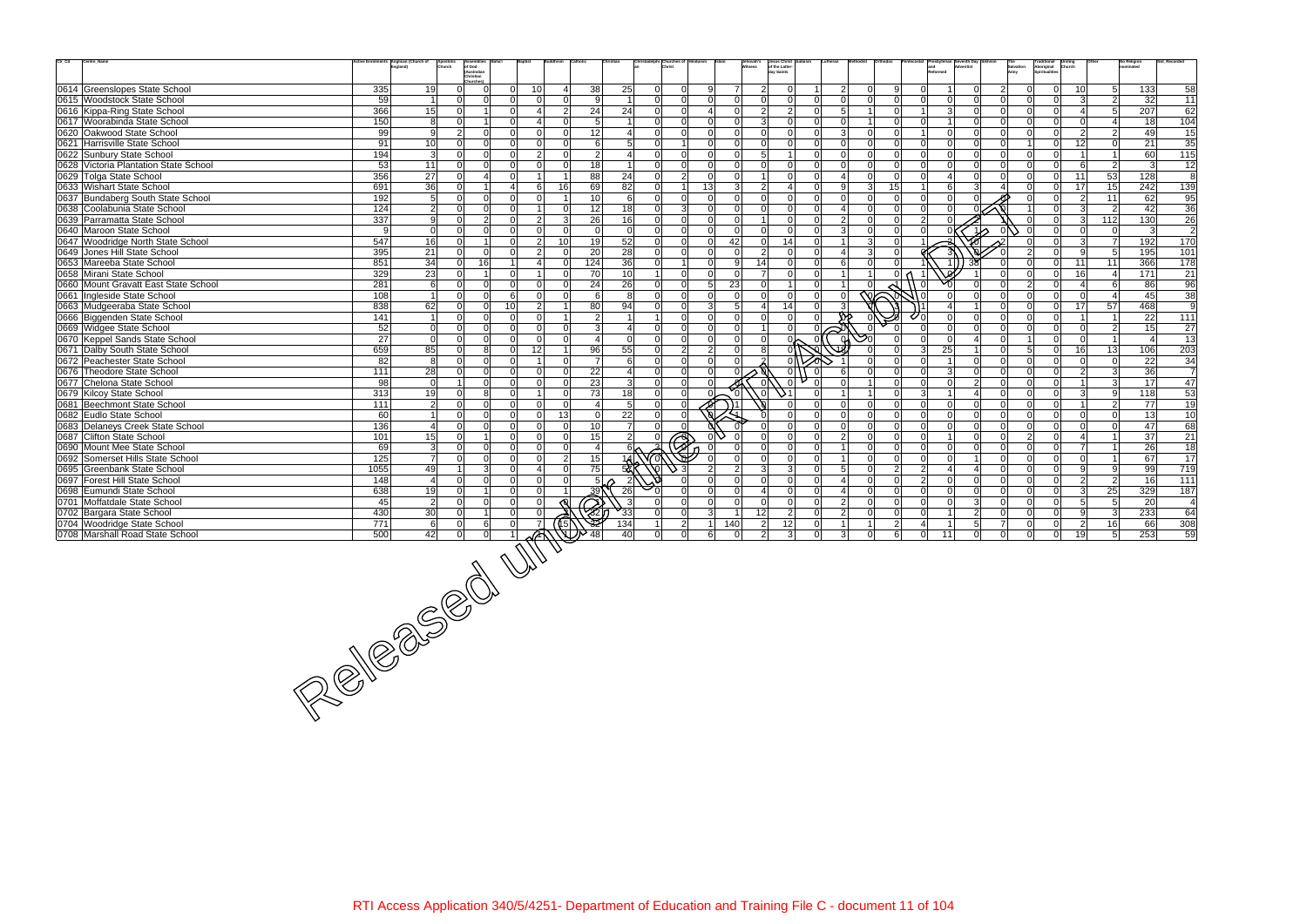| Ctr_Cd | Centre_Name                                                | Anglican (Church of |                      | Apostolic<br>Church            |                 |                       |                 |                          |                         | Christ                           |                 |                            |                 | Jesus Christ<br>of the Latter-                          |               |                |                |                       |                                     |                   | Church                                     |                                  | No Religion                    | Not Re            |
|--------|------------------------------------------------------------|---------------------|----------------------|--------------------------------|-----------------|-----------------------|-----------------|--------------------------|-------------------------|----------------------------------|-----------------|----------------------------|-----------------|---------------------------------------------------------|---------------|----------------|----------------|-----------------------|-------------------------------------|-------------------|--------------------------------------------|----------------------------------|--------------------------------|-------------------|
|        |                                                            |                     |                      | of God<br>(Australian          |                 |                       |                 |                          |                         |                                  |                 |                            | itness          | day Saints                                              |               |                |                |                       |                                     | Salvation<br>Army | Traditional<br>Aboriginal<br>Spiritualitie |                                  |                                |                   |
|        |                                                            |                     |                      | Christian                      |                 |                       |                 |                          |                         |                                  |                 |                            |                 |                                                         |               |                |                |                       |                                     |                   |                                            |                                  |                                |                   |
|        | 0614 Greenslopes State School                              | 335                 | 19                   | $\Omega$<br>$\Omega$           | $\Omega$        | 10                    | 4               | 38                       | 25                      | $\Omega$<br>$\Omega$             |                 | 7                          |                 | 2 <sup>1</sup><br>$\Omega$<br>2                         | $\Omega$      | 9              |                |                       | $\overline{2}$<br>$\Omega$          |                   | $\Omega$                                   | 10l                              | 5 <sup>1</sup><br>133          | 58                |
|        | 0615 Woodstock State School                                | 59                  | $\overline{1}$       | n l<br>$\Omega$                | $\Omega$        | $\Omega$              | $\Omega$        | 9                        | $\overline{1}$          | $\Omega$<br> 0                   |                 | $\Omega$<br>$\Omega$       |                 | $\Omega$<br> 0 <br>$\Omega$<br>$\Omega$                 | $\Omega$      | $\Omega$       | $\cap$         | $\Omega$              | $\Omega$<br>$\Omega$                |                   | $\Omega$                                   | 3                                | $\overline{2}$<br>32           | 11                |
|        | 0616 Kippa-Ring State School                               | 366                 | 15                   | $\Omega$                       | $\Omega$        | Δ                     | $\overline{2}$  | 24                       | 24                      | $\Omega$<br>$\Omega$             | Δ               | $\Omega$                   |                 | 2 <sup>1</sup><br>2 <sup>1</sup><br>$\overline{0}$<br>5 |               | $\Omega$       |                | $\mathbf{3}$          | $\Omega$<br>$\Omega$                |                   | $\Omega$                                   | $\boldsymbol{\varDelta}$         | 207<br>5 <sup>1</sup>          | 62                |
|        | 0617 Woorabinda State School                               | 150                 | 8 <sup>1</sup>       | $\Omega$                       | $\Omega$        | $\boldsymbol{\Delta}$ | $\Omega$        | 5                        | $\overline{1}$          | $\Omega$<br>$\Omega$             | $\Omega$        | $\Omega$                   |                 | 3 <sup>l</sup><br> 0 <br>$\overline{0}$<br>$\Omega$     |               | $\Omega$       |                |                       | $\Omega$<br>$\Omega$                |                   | $\Omega$                                   | $\Omega$                         | 18                             | 104               |
|        | 0620 Oakwood State School                                  | 99                  | -91                  | $\overline{2}$<br><sup>0</sup> | $\Omega$        | $\Omega$              | $\Omega$        | 12                       | $\overline{4}$          | $\Omega$<br> 0                   |                 | $\Omega$<br>$\Omega$       |                 | $\Omega$<br> 0 <br>$\Omega$<br>3                        | $\Omega$      | $\Omega$       |                | $\Omega$              | $\Omega$<br>$\Omega$                | $\Omega$          | $\Omega$                                   | $\overline{2}$                   | 2 <sup>1</sup><br>49           | 15                |
|        | 0621 Harrisville State School                              | 91                  | 10 <sup>1</sup>      | $\Omega$<br>$\Omega$           | $\Omega$        | $\Omega$              | $\Omega$        | 6                        | 5 <sup>1</sup>          | $\Omega$                         |                 | $\Omega$<br>$\Omega$       |                 | $\Omega$<br>$\Omega$<br>n l<br>$\Omega$                 | $\Omega$      | $\Omega$       | $\cap$         | $\Omega$              | $\Omega$<br>$\Omega$                |                   | $\overline{0}$                             | 12                               | 0 <br>21                       | 35                |
|        |                                                            |                     |                      |                                |                 |                       |                 |                          |                         |                                  |                 |                            |                 |                                                         | $\Omega$      |                |                |                       |                                     |                   |                                            |                                  |                                |                   |
|        | 0622 Sunbury State School                                  | 194                 | 3                    | $\Omega$<br>$\Omega$           | $\Omega$        | $\overline{2}$        | $\Omega$        | $\overline{2}$           | $\vert$ 4               | $\Omega$<br>$\Omega$             |                 | $\Omega$<br>$\Omega$       |                 | 5 <sup>1</sup><br>$\overline{0}$<br>1<br>$\Omega$       |               | $\Omega$       | $\Omega$       | $\Omega$              | - Ol<br>$\Omega$                    | ΩI                | $\overline{0}$                             | $\overline{1}$                   | 60                             | $\frac{115}{115}$ |
|        | 0628 Victoria Plantation State School                      | 53                  | 11                   | $\Omega$<br>$\Omega$           | $\Omega$        | $\Omega$              | $\Omega$        | 18                       | $\vert$ 1               | $\Omega$<br>$\Omega$             |                 | $\Omega$<br>$\Omega$       |                 | $\Omega$<br> 0 <br>$\overline{0}$<br>$\Omega$           | U             | $\Omega$       | U              | $\Omega$              | $\Omega$<br>$\Omega$                |                   | $\overline{0}$                             | 6                                | $\overline{2}$<br>$\mathbf{3}$ | 12                |
|        | 0629 Tolga State School                                    | 356                 | 27                   | $\Omega$                       | $\Omega$        |                       | -1              | 88                       | 24                      | $\overline{2}$<br>$\Omega$       |                 | $\Omega$<br>$\Omega$       |                 | $\Omega$<br>$\overline{0}$<br>$\overline{1}$            | $\Omega$      | $\Omega$       | $\Omega$       | $\overline{4}$        | $\Omega$<br>$\Omega$                |                   | $\overline{0}$                             | 53<br>11                         | 128                            | 8                 |
|        | 0633 Wishart State School                                  | 691                 | 36                   | $\Omega$                       | $\overline{4}$  | 6                     | 16              | 69                       | 82                      | $\Omega$                         | 13 <sup>1</sup> | 3                          |                 | $\overline{2}$<br>$\Omega$<br>$\mathbf{4}$              | $\mathcal{B}$ | 15             |                | 6                     | 3                                   |                   | $\overline{0}$                             | 15<br>17 <sup>1</sup>            | 242                            | 139               |
|        | 0637 Bundaberg South State School                          | 192                 | 5 <sup>1</sup>       | $\Omega$<br>$\Omega$           | $\Omega$        | $\Omega$              |                 | 10                       | $6 \mid$                | $\Omega$<br>$\Omega$             | $\Omega$        | $\Omega$                   |                 | $\Omega$<br>$\overline{0}$<br>$\Omega$                  |               | $\Omega$       |                | $\Omega$              |                                     |                   | $\Omega$                                   | 11<br>$\overline{2}$             | 62                             | 95                |
|        | 0638 Coolabunia State School                               | 124                 | $\overline{2}$       | $\Omega$<br>$\Omega$           | $\Omega$        |                       | $\Omega$        | 12                       | 18                      | $\overline{3}$<br>$\overline{0}$ |                 | $\Omega$<br>$\Omega$       |                 | 0 <br>$\Omega$<br> 0                                    | $\Omega$      | $\Omega$       | $\Omega$       | $\Omega$              |                                     |                   | $\overline{0}$                             | 3 <sup>l</sup>                   | $\vert$ 2<br>42                | 36                |
|        | 0639 Parramatta State School                               | 337                 | -91                  | $\mathcal{P}$<br>$\Omega$      | $\Omega$        | $\overline{2}$        | $\overline{3}$  | 26                       | 16                      | $\overline{0}$<br>$\Omega$       |                 | $\Omega$<br>$\Omega$       |                 | $\Omega$<br>$\overline{0}$<br>11<br>$\mathcal{P}$       |               | $\Omega$       | 2 <sup>1</sup> | $\Omega$              |                                     |                   | $\Omega$                                   | 112<br>$\overline{3}$            | 130                            | 26                |
|        | 0640 Maroon State School                                   | 9                   | $\Omega$             | $\Omega$                       | $\Omega$        |                       | $\Omega$        | $\Omega$                 | $\mathbf 0$             | $\Omega$<br>$\Omega$             | $\Omega$        | $\Omega$                   |                 | $\Omega$<br>$\Omega$<br>$\Omega$                        |               |                |                |                       | 1/2                                 |                   | $\Omega$                                   | $\Omega$<br>$\Omega$             | $\mathbf{3}$                   | $\overline{c}$    |
|        |                                                            |                     |                      | $\mathbf 1$                    | $\Omega$        |                       |                 |                          |                         |                                  |                 |                            |                 | $\Omega$                                                | $\mathcal{B}$ | $\Omega$       |                |                       |                                     |                   |                                            |                                  | <b>7</b>                       |                   |
|        | 0647 Woodridge North State School                          | 547                 | 16                   | $\Omega$                       |                 | $\overline{2}$        | 10 <sup>1</sup> | 19                       | 52                      | $\Omega$<br> 0                   |                 | 42<br>$\Omega$             |                 | 0 <br>14                                                |               |                |                |                       |                                     |                   | $\overline{0}$                             | $\overline{3}$                   | 192                            | 170               |
|        | 0649 Jones Hill State School                               | 395                 | 21                   | $\Omega$<br>$\Omega$           | <sup>n</sup>    | $\mathfrak{D}$        | $\Omega$        | 20                       | 28                      | $\Omega$<br>$\Omega$             | $\cap$          | $\Omega$                   |                 | 2 <sup>1</sup><br> 0 <br>$\Omega$                       |               | $\Omega$       |                |                       |                                     |                   | $\Omega$                                   | $\mathbf{Q}$                     | 5 <sup>1</sup><br>195          | 101               |
|        | 0653 Mareeba State School                                  | 851                 | 34                   | 16<br>$\Omega$                 |                 | Δ                     | $\Omega$        | 124                      | 36                      | $\Omega$                         |                 | $\Omega$<br>9              | 14              | 0 <br>$\Omega$<br>6                                     |               |                |                |                       |                                     |                   | $\Omega$                                   | 11<br>11                         | 366                            | 178               |
|        | 0658 Mirani State School                                   | 329                 | 23                   | $\Omega$                       | $\Omega$        |                       | $\Omega$        | 70                       | 10                      | $\Omega$                         |                 | $\Omega$<br>$\overline{0}$ |                 | 0 <br>7 <sup>1</sup><br>$\Omega$                        |               | $\Omega$       |                |                       | $\Omega$                            |                   | $\overline{0}$                             | 16 <sup>1</sup>                  | 171<br>-41                     | 21                |
|        | 0660 Mount Gravatt East State School                       | 281                 | - 6 I                | $\Omega$<br>$\Omega$           | $\Omega$        | $\Omega$              | $\Omega$        | 24                       | 26                      | $\overline{0}$<br>$\Omega$       |                 | 23<br>5 <sup>1</sup>       |                 | -ol<br>1<br>$\overline{0}$                              |               |                |                |                       |                                     |                   | $\Omega$                                   | $\overline{\mathbf{4}}$          | - 6 I<br>86                    | 96                |
|        | 0661 Ingleside State School                                | 108                 | 11                   | $\Omega$<br>$\Omega$           | 6               | $\Omega$              | $\Omega$        | 6                        | 8                       | 0 <br>$\Omega$                   |                 | $\Omega$<br>$\Omega$       |                 | 0 <br>$\Omega$<br>$\Omega$<br>$\Omega$                  | 的             |                |                |                       | $\Omega$<br>$\Omega$                |                   | $\Omega$                                   | $\Omega$                         | 45<br>$\vert$ 4                | 38                |
|        | 0663 Mudgeeraba State School                               | 838                 | 62                   | $\Omega$<br>$\Omega$           | 10 <sup>1</sup> | $\overline{2}$        | -1              | 80                       | 94                      | $\Omega$<br>$\Omega$             | $\mathcal{E}$   | 5                          |                 | 14<br>$\overline{0}$<br>$\overline{4}$                  |               |                |                |                       | $\Omega$                            |                   | $\overline{0}$                             | 57<br>17                         | 468                            | 9                 |
|        | 0666 Biggenden State School                                | 141                 | 11                   | $\Omega$<br>n l                | $\Omega$        | $\Omega$              | 1               | $\overline{2}$           | $\overline{1}$          | $\Omega$                         |                 | $\Omega$<br>$\Omega$       |                 | $\Omega$<br> 0 <br>$\Omega$                             |               |                |                | $\Omega$              | $\Omega$<br>$\Omega$                |                   | $\Omega$                                   | $\overline{1}$                   | 22                             | 111               |
|        | 0669 Widgee State School                                   | 52                  | 0                    | $\Omega$<br>$\Omega$           | $\Omega$        | $\Omega$              | $\Omega$        | $\mathbf{3}$             | $\overline{4}$          | $\overline{0}$<br> 0             |                 | $\Omega$<br>$\Omega$       |                 | $\Omega$<br>1 <sup>1</sup><br>$\Omega$                  |               |                |                | $\Omega$              | $\Omega$<br>$\Omega$                |                   | $\Omega$                                   | $\overline{0}$                   | 15<br>$\vert$ 2                | 27                |
|        | 0670 Keppel Sands State School                             | 27                  | 0                    | $\Omega$                       | $\Omega$        | $\Omega$              | $\Omega$        | $\overline{4}$           | 0                       | $\Omega$<br>$\Omega$             | $\Omega$        | $\Omega$                   |                 | $\Omega$<br>$\Omega$                                    |               |                |                | $\Omega$              | $\Omega$<br>$\overline{\mathbf{A}}$ |                   | $\overline{0}$                             | $\overline{0}$                   | $\vert$ 1<br>$\overline{a}$    | 13                |
|        |                                                            |                     |                      | 8<br>$\Omega$                  | $\Omega$        |                       | $\overline{1}$  |                          |                         | $\overline{2}$<br>$\Omega$       | $\overline{2}$  | $\Omega$                   |                 | 8                                                       |               | $\Omega$       | 3              | 25                    | $\Omega$                            | 5                 |                                            |                                  |                                |                   |
|        | 0671 Dalby South State School                              | 659                 | 85                   |                                |                 | 12 <sub>l</sub>       |                 | 96                       | 55                      |                                  |                 |                            |                 |                                                         |               |                |                |                       |                                     |                   | $\overline{0}$                             | 13<br>16                         | 106                            | 203               |
|        | 0672 Peachester State School                               | 82                  | 8                    | $\Omega$<br>$\Omega$           | $\Omega$        |                       | $\Omega$        | $\overline{7}$           | 6                       | $\Omega$<br>$\Omega$             | $\cap$          | $\Omega$                   |                 | $\Omega$                                                |               | $\Omega$       |                |                       | $\Omega$<br>$\Omega$                |                   | $\Omega$                                   | $\Omega$                         | 22<br> 0                       | 34                |
|        | 0676 Theodore State School                                 | 111                 | 28                   | $\Omega$<br>$\Omega$           | $\Omega$        | $\Omega$              | $\Omega$        | 22                       | $\overline{\mathbf{4}}$ | $\Omega$<br>$\Omega$             |                 |                            |                 | 0 <br>$\mathbf 0$                                       |               |                |                | $\mathbf{3}$          | $\Omega$<br>$\Omega$                |                   | $\Omega$                                   | $\overline{2}$                   | 36<br>$\vert$ 3                | $\overline{7}$    |
|        | 0677 Chelona State School                                  | 98                  | $\Omega$             | $\Omega$                       | $\Omega$        | $\Omega$              | $\Omega$        | 23                       | $\vert$ 3               |                                  |                 |                            |                 | $\Omega$                                                |               | $\Omega$       |                | $\Omega$              | $\mathfrak{p}$<br>$\Omega$          |                   | $\Omega$                                   |                                  | $\overline{3}$<br>17           | 47                |
|        | 0679 Kilcoy State School                                   | 313                 | 19                   | <sup>0</sup><br>8              | $\Omega$        | -1                    | $\Omega$        | 73                       | 18                      | $\overline{0}$<br>$\Omega$       |                 |                            |                 | . ol<br>$\Omega$                                        |               | $\Omega$       | $\mathcal{A}$  | $\overline{1}$        | $\overline{\mathbf{A}}$<br>$\Omega$ | ΩI                | $\overline{0}$                             | $\mathbf{3}$                     | -9<br>118                      | 53                |
|        | 0681 Beechmont State School                                | 111                 | $\overline{2}$       | $\Omega$<br>$\Omega$           | $\Omega$        | $\Omega$              | $\Omega$        | $\boldsymbol{\varDelta}$ | 5 <sub>5</sub>          | $\Omega$                         |                 |                            |                 | $\Omega$<br>$\Omega$<br>$\Omega$                        |               | $\Omega$       | U              | $\Omega$              | $\Omega$<br>$\Omega$                |                   | $\Omega$                                   |                                  | 77<br>2 <sup>1</sup>           | 19                |
|        | 0682 Eudlo State School                                    | 60                  | $\blacktriangleleft$ | $\Omega$<br>$\Omega$           | $\Omega$        | $\Omega$              | 13              | $\mathbf 0$              | 22                      | $\Omega$                         |                 |                            |                 | $\Omega$<br>$\Omega$                                    |               | $\Omega$       |                | $\Omega$              | $\Omega$<br>$\Omega$                |                   | $\Omega$                                   | $\Omega$                         | $\Omega$<br>13                 | 10                |
|        | 0683 Delaneys Creek State School                           | 136                 | 4 <sup>1</sup>       | $\Omega$<br><sup>0</sup>       | $\Omega$        | $\Omega$              | $\Omega$        | 10 <sup>1</sup>          | <b>7</b>                | $\Omega$                         |                 |                            |                 | $\overline{0}$<br>$\Omega$<br>$\Omega$<br>$\Omega$      | $\Omega$      | $\Omega$       | $\Omega$       | $\Omega$              | $\Omega$<br>$\Omega$                | ΩI                | $\Omega$                                   | $\Omega$                         | 0 <br>47                       | 68                |
|        | 0687 Clifton State School                                  | 101                 | 15                   | $\Omega$                       | $\Omega$        | $\Omega$              | $\Omega$        | 15                       | $\overline{2}$          |                                  |                 |                            |                 | $\Omega$<br>$\Omega$<br>$\mathcal{P}$<br>$\Omega$       | $\Omega$      | $\Omega$       |                |                       | $\Omega$<br>$\Omega$                | $\mathcal{P}$     | $\Omega$                                   | $\overline{1}$                   | 37                             | 21                |
|        | 0690 Mount Mee State School                                | 69                  | 3 <sup>l</sup>       | $\Omega$<br>$\Omega$           | $\Omega$        | $\Omega$              | $\Omega$        | $\overline{4}$           |                         | λÞ                               |                 |                            |                 | $\Omega$<br>$\Omega$<br>$\overline{0}$                  | $\Omega$      | $\Omega$       | U              | $\Omega$              | $\Omega$<br>$\Omega$                |                   | $\Omega$                                   | $\overline{1}$<br>$\overline{7}$ | 26                             | 18                |
|        | 0692 Somerset Hills State School                           | 125                 | 7 <sup>1</sup>       | $\Omega$<br><sup>0</sup>       | $\Omega$        | $\Omega$              | $\overline{2}$  | 15                       | 1A                      |                                  |                 |                            |                 | $\Omega$<br> 0 <br>$\overline{0}$                       | $\Omega$      | $\Omega$       | $\Omega$       | $\Omega$              | $\Omega$                            | $\Omega$          | $\Omega$                                   | $\Omega$                         | 67<br>$\vert$ 1                | 17                |
|        | 0695 Greenbank State School                                | 1055                | 49                   | $\mathcal{R}$                  | $\Omega$        |                       | $\Omega$        | 75                       | 52                      |                                  | $\mathcal{P}$   | $\mathcal{P}$              |                 | 3 <sup>l</sup><br>$\overline{3}$<br>$\overline{0}$<br>5 |               | $\overline{2}$ | 2 <sup>1</sup> | $\boldsymbol{\Delta}$ | $\Omega$                            | $\Omega$          | $\Omega$                                   | 9                                | -91<br>99                      | 719               |
|        |                                                            |                     |                      | $\Omega$<br>$\Omega$           | $\Omega$        | $\Omega$              | $\Omega$        |                          |                         |                                  | $\Omega$        | $\Omega$                   |                 | $\Omega$<br>$\Omega$<br>$\Omega$                        | $\Omega$      | $\Omega$       | $\overline{2}$ | $\Omega$              | $\Omega$<br>$\Omega$                |                   | $\Omega$                                   |                                  |                                |                   |
|        | 0697 Forest Hill State School                              | 148                 | $\overline{4}$       |                                |                 |                       |                 | 5 <sup>1</sup>           | $\overline{2}$          |                                  |                 |                            |                 |                                                         |               |                |                |                       |                                     |                   |                                            | $\overline{2}$                   | $\overline{2}$<br>16           | 111               |
|        | 0698 Eumundi State School                                  | 638                 | 19                   | $\Omega$<br>-1                 | $\Omega$        | $\Omega$              |                 | <u>39</u>                | 26                      | $\Omega$                         |                 | $\mathbf 0$                |                 | 0 <br>$\overline{0}$<br>$\overline{4}$                  | $\Omega$      | $\Omega$       | $\Omega$       | $\overline{0}$        | $\Omega$<br>$\Omega$                |                   | $\Omega$                                   | 25<br>$\mathbf{3}$               | 329                            | 187               |
|        | 0701 Moffatdale State School                               | 45                  | $\overline{2}$       | $\Omega$<br>$\Omega$           | $\Omega$        |                       |                 | B                        | $\mathbf{3}$            | $\Omega$                         |                 | $\Omega$<br>$\Omega$       |                 | 0 <br>$\Omega$<br>$\overline{0}$<br>$\mathcal{P}$       | $\Omega$      | $\mathbf 0$    | $\Omega$       | $\Omega$              | $\overline{3}$<br>$\Omega$          | $\Omega$          | $\Omega$                                   | 5 <sup>1</sup>                   | -51<br>20                      | $\overline{4}$    |
|        | 0702 Bargara State School                                  | 430                 | 30 <sup>°</sup>      | $\Omega$                       |                 |                       |                 |                          | $\sqrt{33}$             | $\Omega$<br>$\Omega$             | $\mathcal{R}$   |                            | 12 <sup>1</sup> | 2 <sup>1</sup><br>$\Omega$<br>$\mathcal{P}$             |               | $\Omega$       | ΩI             |                       | $\overline{2}$<br>$\Omega$          |                   | $\Omega$                                   | 9                                | 233<br> 3                      | 64                |
|        | 0704 Woodridge State School                                |                     |                      |                                |                 |                       | (ऽ)             | ঔঠ                       | $\overline{134}$        | $\overline{2}$                   |                 | 140                        |                 | 12<br>$2 \vert$<br>$\Omega$                             |               | $\overline{2}$ | 4              | -1                    | 5<br>$\overline{7}$                 |                   | 0                                          | $\overline{2}$<br>16             | 66                             | 308               |
|        | 0708 Marshall Road State School                            |                     |                      |                                |                 |                       |                 | 48                       | 40                      | $\Omega$<br>$\Omega$             |                 | 6 <sup>1</sup><br>$\Omega$ |                 | $\overline{2}$<br>3 <sup>l</sup><br>$\Omega$<br>3       | $\Omega$      | 6              | $\Omega$       | 11                    | $\Omega$<br>$\Omega$                | ΩI                | $\Omega$                                   | 19 <sup>1</sup>                  | 253<br>5 <sup>1</sup>          | 59                |
|        |                                                            |                     |                      |                                |                 |                       |                 |                          |                         |                                  |                 |                            |                 |                                                         |               |                |                |                       |                                     |                   |                                            |                                  |                                |                   |
|        |                                                            |                     |                      |                                |                 |                       |                 |                          |                         |                                  |                 |                            |                 |                                                         |               |                |                |                       |                                     |                   |                                            |                                  |                                |                   |
|        |                                                            |                     |                      |                                |                 |                       |                 |                          |                         |                                  |                 |                            |                 |                                                         |               |                |                |                       |                                     |                   |                                            |                                  |                                |                   |
|        |                                                            |                     |                      |                                |                 |                       |                 |                          |                         |                                  |                 |                            |                 |                                                         |               |                |                |                       |                                     |                   |                                            |                                  |                                |                   |
|        |                                                            |                     |                      |                                |                 |                       |                 |                          |                         |                                  |                 |                            |                 |                                                         |               |                |                |                       |                                     |                   |                                            |                                  |                                |                   |
|        |                                                            |                     |                      |                                |                 |                       |                 |                          |                         |                                  |                 |                            |                 |                                                         |               |                |                |                       |                                     |                   |                                            |                                  |                                |                   |
|        |                                                            |                     |                      |                                |                 |                       |                 |                          |                         |                                  |                 |                            |                 |                                                         |               |                |                |                       |                                     |                   |                                            |                                  |                                |                   |
|        |                                                            |                     |                      |                                |                 |                       |                 |                          |                         |                                  |                 |                            |                 |                                                         |               |                |                |                       |                                     |                   |                                            |                                  |                                |                   |
|        |                                                            |                     |                      |                                |                 |                       |                 |                          |                         |                                  |                 |                            |                 |                                                         |               |                |                |                       |                                     |                   |                                            |                                  |                                |                   |
|        |                                                            |                     |                      |                                |                 |                       |                 |                          |                         |                                  |                 |                            |                 |                                                         |               |                |                |                       |                                     |                   |                                            |                                  |                                |                   |
|        |                                                            |                     |                      |                                |                 |                       |                 |                          |                         |                                  |                 |                            |                 |                                                         |               |                |                |                       |                                     |                   |                                            |                                  |                                |                   |
|        |                                                            |                     |                      |                                |                 |                       |                 |                          |                         |                                  |                 |                            |                 |                                                         |               |                |                |                       |                                     |                   |                                            |                                  |                                |                   |
|        |                                                            |                     |                      |                                |                 |                       |                 |                          |                         |                                  |                 |                            |                 |                                                         |               |                |                |                       |                                     |                   |                                            |                                  |                                |                   |
|        |                                                            |                     |                      |                                |                 |                       |                 |                          |                         |                                  |                 |                            |                 |                                                         |               |                |                |                       |                                     |                   |                                            |                                  |                                |                   |
|        |                                                            |                     |                      |                                |                 |                       |                 |                          |                         |                                  |                 |                            |                 |                                                         |               |                |                |                       |                                     |                   |                                            |                                  |                                |                   |
|        |                                                            |                     |                      |                                |                 |                       |                 |                          |                         |                                  |                 |                            |                 |                                                         |               |                |                |                       |                                     |                   |                                            |                                  |                                |                   |
|        |                                                            |                     |                      |                                |                 |                       |                 |                          |                         |                                  |                 |                            |                 |                                                         |               |                |                |                       |                                     |                   |                                            |                                  |                                |                   |
|        | $\frac{\frac{430}{771}}{\frac{500}{500} + \frac{42}{100}}$ |                     |                      |                                |                 |                       |                 |                          |                         |                                  |                 |                            |                 |                                                         |               |                |                |                       |                                     |                   |                                            |                                  |                                |                   |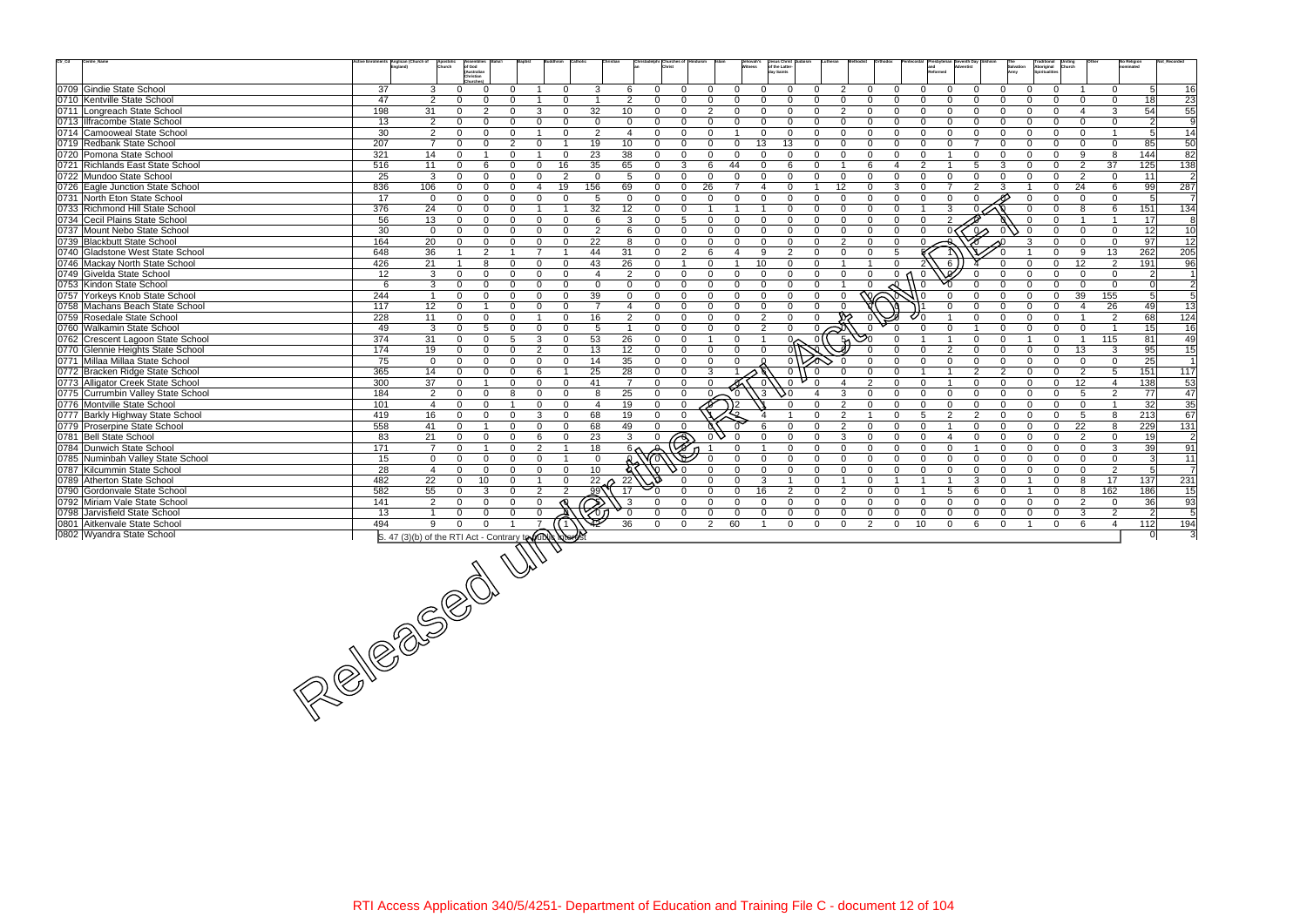| $\text{Ctr}\_ \text{Cd}$<br>Centre_Name                                                                                                                                                                                                                                                                                                                                                                                                                | tive Enrolments Anglican (Church of | hurch          | of God                                                     |                                              |                         |                      |                                             | adelphi  Churches of |                            | ehovah's<br>tness                 | Jesus Christ Judaism<br>of the Latter-             |                         |                                  |                                        |                             |                | Salvation                  | <b>Traditional<br/>Aboriginal<br/>Spiritualities</b> |                                            | No Religion          |                 |
|--------------------------------------------------------------------------------------------------------------------------------------------------------------------------------------------------------------------------------------------------------------------------------------------------------------------------------------------------------------------------------------------------------------------------------------------------------|-------------------------------------|----------------|------------------------------------------------------------|----------------------------------------------|-------------------------|----------------------|---------------------------------------------|----------------------|----------------------------|-----------------------------------|----------------------------------------------------|-------------------------|----------------------------------|----------------------------------------|-----------------------------|----------------|----------------------------|------------------------------------------------------|--------------------------------------------|----------------------|-----------------|
|                                                                                                                                                                                                                                                                                                                                                                                                                                                        |                                     |                | (Australian<br>Christian                                   |                                              |                         |                      |                                             |                      |                            |                                   | day Saints                                         |                         |                                  |                                        |                             |                |                            |                                                      |                                            |                      |                 |
| 0709 Gindie State School                                                                                                                                                                                                                                                                                                                                                                                                                               | 37                                  | 3              | $\mathbf{0}$<br>$\Omega$                                   | 0                                            | $\Omega$                | 3                    | 6<br>$\Omega$                               | $\Omega$             | $\Omega$                   | $\Omega$<br>$\Omega$              | $\Omega$<br>0                                      | 2                       | $\Omega$                         | $\Omega$<br>$\Omega$                   | $\Omega$                    | $\Omega$       | $\Omega$<br>$\Omega$       | $\Omega$                                             | $\Omega$                                   | 5                    | 16              |
| 0710 Kentville State School                                                                                                                                                                                                                                                                                                                                                                                                                            | 47                                  | $\overline{2}$ | $\Omega$<br>$\Omega$                                       | 0                                            | $\Omega$                | -1                   | 2<br>$\Omega$                               | $\Omega$             | $\Omega$                   | $\Omega$<br>$\Omega$              | $\Omega$<br>0                                      | $\Omega$                | 0                                | $\Omega$<br>$\Omega$                   | $\Omega$                    | $\Omega$       | $\Omega$<br>$\cap$         | $\Omega$                                             | $\mathbf{0}$<br>$\Omega$                   | 18                   | 23              |
| 0711 Longreach State School                                                                                                                                                                                                                                                                                                                                                                                                                            | 198                                 | 31             | $\Omega$<br>2                                              | 3<br>0                                       | $\Omega$                | 32                   | 10<br>0                                     | $\Omega$             | $\overline{2}$             | $\Omega$<br>$\Omega$              | $\Omega$<br>$\Omega$                               | $\overline{2}$          | $\Omega$                         | $\Omega$<br>$\Omega$                   | $\Omega$                    | $\Omega$       | $\Omega$<br>∩              | $\Omega$                                             | 3                                          | 54                   | 55              |
| 0713 Ilfracombe State School                                                                                                                                                                                                                                                                                                                                                                                                                           | 13                                  | 2              | $\mathbf{0}$<br>$\Omega$                                   | $\Omega$<br>$\Omega$                         | $\Omega$                | $\Omega$             | $\mathbf 0$<br>$\Omega$                     | $\Omega$             | $\Omega$                   | $\overline{0}$<br>$\Omega$        | $\Omega$<br>$\Omega$                               | $\overline{0}$          | $\Omega$                         | $\Omega$<br>$\Omega$                   | $\Omega$                    | $\Omega$       | $\Omega$<br>$\Omega$       | $\Omega$                                             | $\Omega$<br>$\Omega$                       | $\mathcal{P}$        | 9               |
| 0714 Camooweal State School                                                                                                                                                                                                                                                                                                                                                                                                                            | 30                                  | 2              | $\Omega$<br>$\Omega$                                       | $\Omega$<br>$\overline{1}$                   | $\Omega$                | 2                    | $\overline{4}$<br>$\Omega$                  | $\Omega$             | $\Omega$                   | $\Omega$<br>-1                    | $\Omega$<br>$\Omega$                               | $\Omega$                | 0                                | $\Omega$<br>$\Omega$                   | $\Omega$                    | $\Omega$       | $\Omega$<br>$\Omega$       | $\Omega$                                             | $\Omega$<br>$\overline{\mathbf{1}}$        |                      | 14              |
| 0719 Redbank State School                                                                                                                                                                                                                                                                                                                                                                                                                              | 207                                 | $\overline{7}$ | $\Omega$<br>$\Omega$                                       | $\overline{2}$<br>$\Omega$                   |                         | 19                   | 10<br>$\Omega$                              | $\Omega$             | $\Omega$                   | $\Omega$<br>13                    | 13<br>$\Omega$                                     | $\Omega$                | $\Omega$                         | $\Omega$<br>$\Omega$                   | $\Omega$                    | $\overline{7}$ | $\Omega$<br>$\Omega$       | $\Omega$                                             | $\Omega$<br>$\mathbf 0$                    | 85                   | 50              |
| 0720 Pomona State School                                                                                                                                                                                                                                                                                                                                                                                                                               | 321                                 | 14             | $\mathbf{0}$                                               | $\Omega$                                     | $\Omega$                | 23                   | 38<br>$\Omega$                              | $\Omega$             | $\Omega$                   | $\overline{0}$<br>$\Omega$        | $\Omega$<br>0                                      | $\overline{0}$          | $\Omega$                         | $\Omega$<br>$\Omega$                   |                             | $\Omega$       | $\Omega$<br>$\Omega$       | $\Omega$                                             | 8<br>9                                     | 144                  | 82              |
| 0721 Richlands East State School                                                                                                                                                                                                                                                                                                                                                                                                                       | 516                                 | 11             | 6<br>$\mathbf{0}$                                          | $\mathbf{0}$<br>$\Omega$                     | 16                      | 35                   | 65<br>$\Omega$                              | 3                    | 6                          | 44<br>$\mathbf{0}$                | 6<br>$\mathbf{0}$                                  | $\overline{1}$          | 6                                | $\overline{4}$<br>2                    |                             | 5              | 3<br>$\Omega$              | $\Omega$                                             | 37<br>2                                    | 125                  | 138             |
| 0722 Mundoo State School                                                                                                                                                                                                                                                                                                                                                                                                                               | 25                                  | $\mathbf{3}$   | $\Omega$<br>$\Omega$                                       | $\Omega$<br>$\Omega$                         | $\overline{2}$          | $\Omega$             | 5<br>$\Omega$                               | $\mathbf 0$          | $\Omega$                   | $\Omega$<br>$\Omega$              | $\Omega$<br>$\Omega$                               | $\overline{0}$          | $\Omega$                         | $\mathbf 0$<br>$\Omega$                | $\Omega$                    | $\Omega$       | $\Omega$<br>$\Omega$       | $\Omega$                                             | 2<br>$\Omega$                              | 11                   | $\overline{c}$  |
| 0726 Eagle Junction State School                                                                                                                                                                                                                                                                                                                                                                                                                       | 836                                 | 106            | $\Omega$<br>$\mathbf{0}$                                   | $\Omega$<br>$\overline{\mathcal{A}}$         | 19                      | 156                  | 69<br>$\Omega$                              | $\Omega$             | 26                         | 4                                 | $\Omega$                                           | 12                      | $\Omega$                         | 3<br>$\Omega$                          |                             | 2              | 3                          | $\Omega$                                             | 24<br>6                                    | 99                   | 287             |
| 0731 North Eton State School                                                                                                                                                                                                                                                                                                                                                                                                                           | 17                                  | $\overline{0}$ | $\Omega$<br>$\Omega$                                       | $\Omega$<br>$\Omega$                         | $\Omega$                | 5                    | $\mathbf 0$<br>$\Omega$                     | $\Omega$             | $\Omega$                   | $\Omega$<br>$\Omega$              | $\Omega$<br>$\overline{0}$                         | $\Omega$                | $\Omega$                         | $\Omega$<br>$\Omega$                   | $\Omega$                    | $\Omega$       | ∩                          | $\Omega$                                             | $\Omega$<br>$\Omega$                       | 5                    | $\overline{7}$  |
| 0733 Richmond Hill State School                                                                                                                                                                                                                                                                                                                                                                                                                        | 376                                 | 24             | $\mathbf{0}$<br>$\mathbf{0}$                               | $\Omega$<br>$\overline{1}$                   | - 1                     | 32                   | 12<br>$\Omega$                              | $\mathbf 0$          |                            |                                   | $\mathbf 0$<br>$\Omega$                            | $\Omega$                | $\Omega$                         | $\mathbf 0$                            | 3                           |                | $\Omega$                   | $\Omega$                                             | 6<br>-8                                    | 151                  | $\frac{1}{134}$ |
| 0734 Cecil Plains State School                                                                                                                                                                                                                                                                                                                                                                                                                         | 56                                  | 13             | $\mathbf 0$<br>$\Omega$                                    | $\Omega$<br>$\Omega$                         | $\Omega$                | 6                    | 3<br>$\Omega$                               | 5                    | $\Omega$                   | $\Omega$<br>$\Omega$              | $\Omega$<br>$\Omega$                               | $\Omega$                | $\Omega$                         | $\Omega$<br>$\Omega$                   | $\mathcal{P}$               |                |                            |                                                      | $\overline{\mathbf{1}}$                    | 17                   | 8               |
| 0737 Mount Nebo State School                                                                                                                                                                                                                                                                                                                                                                                                                           | 30                                  | $\overline{0}$ | $\mathbf 0$<br>$\Omega$                                    | $\mathbf{0}$<br>$\Omega$                     | $\Omega$                | 2                    | 6<br>$\Omega$                               | $\Omega$             | $\Omega$                   | $\mathbf 0$<br>$\mathbf{0}$       | $\Omega$<br>$\mathbf 0$                            | $\overline{0}$          | $\Omega$                         | $\mathbf 0$<br>$\Omega$                |                             | $\infty$       |                            | $\Omega$                                             | $\mathbf 0$<br>$\Omega$                    | 12                   | 10              |
| 0739 Blackbutt State School                                                                                                                                                                                                                                                                                                                                                                                                                            | 164                                 | 20             | $\mathbf 0$<br>$\Omega$                                    | $\Omega$<br>$\Omega$                         | $\Omega$                | 22                   | 8<br>$\Omega$                               | $\Omega$             | $\Omega$                   | $\Omega$<br>$\Omega$              | $\mathbf 0$<br>$\Omega$                            | 2                       | $\Omega$                         | $\Omega$<br>∩                          |                             |                |                            | $\Omega$                                             | $\mathbf 0$<br>$\Omega$                    | 97                   | 12              |
| 0740 Gladstone West State School                                                                                                                                                                                                                                                                                                                                                                                                                       | 648                                 | 36             | 2<br>- 1                                                   | $\overline{ }$                               |                         | 44                   | 31<br>$\Omega$                              | $\overline{2}$       | 6                          | 9<br>$\boldsymbol{\Delta}$        | $\overline{2}$<br>$\Omega$                         | $\Omega$                | $\Omega$                         | 5                                      |                             |                |                            | $\cap$                                               | 13<br>9                                    | 262                  | 205             |
| 0746 Mackay North State School                                                                                                                                                                                                                                                                                                                                                                                                                         | 426                                 | 21             | 8<br>-1                                                    | $\Omega$<br>$\mathbf{0}$                     | $\Omega$                | 43                   | 26<br>0                                     |                      | $\Omega$                   | 10<br>$\overline{1}$              | $\mathbf 0$<br>$\Omega$                            |                         |                                  | $\Omega$                               | -6                          |                |                            | $\Omega$                                             | 12<br>$\overline{2}$                       | 191                  | 96              |
| 0749 Givelda State School                                                                                                                                                                                                                                                                                                                                                                                                                              | 12                                  | $\mathbf{3}$   | $\mathbf 0$<br>$\mathbf{0}$                                | $\mathbf{0}$<br>$\mathbf{0}$                 | $\Omega$                | $\overline{4}$       | 2<br>$\Omega$                               | $\Omega$             | $\Omega$                   | $\Omega$<br>$\Omega$              | $\Omega$<br>0                                      | $\Omega$                | $\overline{0}$                   | 0 <sub>0</sub><br>$\mathbf 0$          |                             |                | $\Omega$                   | $\Omega$<br>$\Omega$                                 | $\Omega$<br>$\overline{0}$                 | $\overline{2}$       | $\overline{1}$  |
| 0753 Kindon State School                                                                                                                                                                                                                                                                                                                                                                                                                               | 6                                   | 3              | $\Omega$<br>$\Omega$                                       | $\Omega$<br>$\Omega$                         | $\Omega$                | $\Omega$             | $\overline{0}$<br>$\Omega$                  | $\Omega$             | $\Omega$<br>$\Omega$       | $\Omega$<br>$\Omega$<br>$\Omega$  | $\Omega$<br>$\Omega$                               |                         | $\Omega$                         |                                        |                             |                | $\Omega$<br>U              | $\Omega$                                             | $\Omega$<br>$\Omega$                       | $\Omega$             | $\overline{2}$  |
| 0757 Yorkeys Knob State School<br>0758 Machans Beach State School                                                                                                                                                                                                                                                                                                                                                                                      | 244<br>117                          | - 1<br>12      | $\mathbf{0}$<br>$\Omega$<br>$\mathbf{0}$<br>$\overline{1}$ | $\Omega$<br>$\Omega$<br>$\Omega$<br>$\Omega$ | $\Omega$<br>$\Omega$    | 39<br>$\overline{7}$ | $\Omega$<br>0<br>$\overline{4}$<br>$\Omega$ | 0<br>$\Omega$        | $\Omega$                   | $\Omega$<br>$\Omega$<br>$\Omega$  | $\Omega$<br>0<br>$\Omega$<br>$\Omega$              | $\Omega$                | ∾∕                               |                                        | $\Omega$                    | $\Omega$       | $\Omega$<br>$\Omega$       | $\Omega$                                             | 39<br>155<br>26<br>$\overline{\mathbf{4}}$ | 49                   | 5<br>13         |
| 0759 Rosedale State School                                                                                                                                                                                                                                                                                                                                                                                                                             | 228                                 | 11             | $\mathbf{0}$<br>$\Omega$                                   | $\Omega$<br>$\overline{\mathbf{1}}$          | $\Omega$                | 16                   | $\overline{2}$<br>$\Omega$                  | $\Omega$             | $\Omega$                   | $\Omega$<br>2                     | $\Omega$<br>$\Omega$                               |                         |                                  |                                        |                             |                | $\Omega$<br>$\Omega$       | $\Omega$                                             | $\overline{2}$                             | 68                   | 124             |
| 0760 Walkamin State School                                                                                                                                                                                                                                                                                                                                                                                                                             | 49                                  | 3              | $\Omega$<br>5                                              | $\Omega$<br>$\Omega$                         | $\Omega$                | 5                    | $\overline{1}$<br>0                         | $\Omega$             | $\Omega$                   | $\overline{2}$<br>$\Omega$        | $\Omega$<br>0                                      |                         |                                  |                                        |                             |                | $\Omega$<br>$\Omega$       | $\Omega$                                             | $\Omega$<br>- 1                            | 15                   | 16              |
| 0762 Crescent Lagoon State School                                                                                                                                                                                                                                                                                                                                                                                                                      | 374                                 | 31             | $\mathbf{0}$<br>$\mathbf{0}$                               | 5<br>3                                       | $\Omega$                | 53                   | 26<br>$\Omega$                              | $\Omega$             |                            | $\Omega$                          | $0\sim$<br>$\overline{0}$                          |                         | ౨౧                               | $\Omega$                               |                             | $\Omega$       | $\Omega$                   | $\Omega$                                             | $\frac{115}{115}$                          | 81                   | 49              |
| 0770 Glennie Heights State School                                                                                                                                                                                                                                                                                                                                                                                                                      | 174                                 | 19             | $\mathbf{0}$<br>$\Omega$                                   | $\overline{2}$<br>$\Omega$                   | $\Omega$                | 13                   | 12<br>$\Omega$                              | $\Omega$             | $\Omega$                   | $\Omega$<br>$\Omega$              |                                                    |                         |                                  | $\Omega$<br>O                          | 2                           | $\Omega$       | $\Omega$<br>$\Omega$       | $\Omega$                                             | 13<br>3                                    | 95                   | $\overline{15}$ |
| 0771 Millaa Millaa State School                                                                                                                                                                                                                                                                                                                                                                                                                        | 75                                  | $\mathbf 0$    | $\mathbf{0}$<br>$\Omega$                                   | $\Omega$<br>$\Omega$                         | $\Omega$                | 14                   | 35<br>$\Omega$                              | $\mathbf 0$          | $\Omega$                   | $\Omega$                          | $\Omega$                                           |                         | $\Omega$                         | $\Omega$<br>$\Omega$                   | $\Omega$                    |                | $\Omega$<br>$\Omega$       | $\Omega$                                             | $\Omega$<br>$\overline{0}$                 | 25                   | $\overline{1}$  |
| 0772 Bracken Ridge State School                                                                                                                                                                                                                                                                                                                                                                                                                        | 365                                 | 14             | $\mathbf 0$<br>$\mathbf{0}$                                | $\Omega$<br>6                                |                         | 25                   | 28<br>$\mathbf{0}$                          | $\mathbf{0}$         | 3                          |                                   | $\overline{0}$<br>$\overline{0}$                   | $\Omega$                | $\Omega$                         | $\Omega$                               |                             | $\overline{2}$ | $\overline{2}$<br>$\Omega$ | $\Omega$                                             | 5<br>$\overline{2}$                        | 151                  | 117             |
| 0773 Alligator Creek State School                                                                                                                                                                                                                                                                                                                                                                                                                      | 300                                 | 37             | $\mathbf 0$<br>$\overline{1}$                              | $\Omega$<br>$\Omega$                         | $\Omega$                | 41                   | $\overline{7}$<br>$\Omega$                  | $\mathbf 0$          | <sup>n</sup>               |                                   | $\Omega$<br>$\Omega$                               |                         | $\mathcal{P}$                    | $\Omega$<br>$\Omega$                   | $\overline{1}$              | $\Omega$       | $\Omega$<br>$\Omega$       | $\Omega$                                             | 12<br>$\overline{4}$                       | 138                  | 53              |
| 0775 Currumbin Valley State School                                                                                                                                                                                                                                                                                                                                                                                                                     | 184                                 | $\overline{2}$ | $\Omega$<br>$\Omega$                                       | 8<br>$\Omega$                                | $\Omega$                | 8                    | 25<br>$\mathbf{0}$                          | $\Omega$             | $\overline{\mathscr{L}}$   | $3^{\circ}$                       | J٥                                                 | 3                       | $\Omega$                         | $\overline{0}$<br>$\Omega$             | $\Omega$                    | $\Omega$       | $\Omega$<br>$\Omega$       | $\Omega$                                             | $\overline{2}$<br>-5                       | 77                   | 47              |
| 0776 Montville State School                                                                                                                                                                                                                                                                                                                                                                                                                            | 101                                 | $\overline{4}$ | $\mathbf 0$<br>$\Omega$                                    | $\Omega$                                     | $\Omega$                | $\overline{4}$       | 19<br>$\mathbf 0$                           | $\mathbf{0}$         |                            | $^{\prime}$ 2                     | $\Omega$<br>$\Omega$                               | $\overline{2}$          | $\Omega$                         | $\Omega$<br>$\Omega$                   | $\mathbf 0$                 | $\Omega$       | $\Omega$<br><sup>n</sup>   | $\Omega$                                             | $\Omega$<br>-1                             | 32                   | 35              |
| 0777 Barkly Highway State School                                                                                                                                                                                                                                                                                                                                                                                                                       | 419                                 | 16             | $\mathbf 0$<br>$\Omega$                                    | $\mathbf 0$<br>3                             | $\Omega$                | 68                   | 19<br>$\mathbf{0}$                          | $\Omega$             |                            |                                   | $\Omega$                                           | $\overline{2}$          |                                  | 5<br>$\Omega$                          | 2                           | $\mathcal{P}$  | $\Omega$<br>$\Omega$       | $\Omega$                                             | 5<br>8                                     | 213                  | 67              |
| 0779 Proserpine State School                                                                                                                                                                                                                                                                                                                                                                                                                           | 558                                 | 41             | $\mathbf{0}$<br>-1                                         | $\Omega$<br>$\Omega$                         | $\Omega$                | 68                   | 49<br>$\overline{0}$                        | $\Omega$             |                            | 6                                 | $\mathbf 0$<br>$\Omega$                            | $\overline{2}$          | $\Omega$                         | $\overline{0}$<br>$\Omega$             |                             | $\Omega$       | $\Omega$<br>$\Omega$       | $\Omega$                                             | 22<br>8                                    | 229                  | 131             |
| 0781 Bell State School                                                                                                                                                                                                                                                                                                                                                                                                                                 | 83                                  | 21             | $\Omega$<br>$\Omega$                                       | 6<br>$\Omega$                                | $\Omega$                | 23                   | 3<br>0                                      | ᢓ                    |                            |                                   | $\Omega$<br>$\Omega$                               | 3                       | $\Omega$                         | $\Omega$<br>$\Omega$                   | $\overline{4}$              | $\Omega$       | $\Omega$<br>$\Omega$       | $\Omega$                                             | $\Omega$<br>$\mathcal{P}$                  | 19                   | $\overline{2}$  |
| 0784 Dunwich State School                                                                                                                                                                                                                                                                                                                                                                                                                              | 171                                 | $\overline{7}$ | $\Omega$<br>-1                                             | 2<br>$\mathbf{0}$                            | $\overline{1}$          | 18                   |                                             |                      |                            |                                   | $\Omega$<br>$\mathbf{0}$                           | $\Omega$                | $\Omega$                         | $\Omega$<br>$\mathbf{0}$               | $\mathbf{0}$                |                | $\Omega$<br>$\Omega$       | $\Omega$                                             | 3<br>$\Omega$                              | 39                   | 91              |
| 0785 Numinbah Valley State School                                                                                                                                                                                                                                                                                                                                                                                                                      | 15                                  | $\mathbf 0$    | $\mathbf{0}$<br>$\Omega$                                   | $\Omega$<br>$\Omega$                         | $\overline{\mathbf{1}}$ | $\mathbf 0$          |                                             |                      |                            | $\Omega$<br>$\Omega$              | $\mathbf 0$<br>$\Omega$                            | $\Omega$                | $\Omega$                         | $\Omega$<br>$\Omega$                   | $\Omega$                    | $\Omega$       | $\Omega$<br>$\Omega$       | $\Omega$                                             | $\Omega$<br>$\mathbf 0$                    | -31                  | 11              |
| 0787 Kilcummin State School                                                                                                                                                                                                                                                                                                                                                                                                                            | 28                                  | $\overline{4}$ | $\mathbf{0}$<br>$\Omega$                                   | $\Omega$<br>$\Omega$                         | $\Omega$                | 10                   |                                             |                      |                            | $\Omega$                          | $\Omega$<br>$\Omega$                               | $\Omega$                | $\Omega$                         | $\Omega$<br>$\Omega$                   | $\Omega$                    | $\Omega$       | $\Omega$<br>$\Omega$       | $\Omega$                                             | $\overline{2}$<br>$\Omega$                 | 5                    | $\overline{7}$  |
| 0789 Atherton State School                                                                                                                                                                                                                                                                                                                                                                                                                             | 482                                 | 22             | 10 <sup>°</sup><br>$\Omega$                                | $\Omega$<br>$\overline{1}$                   | $\Omega$                | 22                   | 22                                          |                      |                            | $\Omega$<br>3                     | $\Omega$<br>$\overline{1}$                         | $\overline{1}$          | $\Omega$                         |                                        | $\overline{1}$              | 3              | $\Omega$                   | $\Omega$                                             | 17<br>8                                    | 137                  | 231             |
| 0790 Gordonvale State School                                                                                                                                                                                                                                                                                                                                                                                                                           | 582                                 | 55             | 3<br>$\mathbf{0}$                                          | 2<br>$\Omega$                                | $\mathcal{P}$           | 99                   | 17                                          | $\Omega$             | <sup>n</sup>               | 16<br>$\Omega$                    | 2<br>$\Omega$                                      | $\mathcal{P}$           | $\Omega$                         | $\Omega$                               | -5                          | 6              | $\Omega$                   | $\Omega$                                             | 162<br>8                                   | 186                  | 15              |
| 0792 Miriam Vale State School                                                                                                                                                                                                                                                                                                                                                                                                                          | 141                                 | $\overline{2}$ | $\Omega$<br>$\Omega$                                       | $\Omega$<br>$\Omega$                         |                         | $\mathcal{D}$        | $\overline{3}$                              | $\Omega$             | $\Omega$                   | $\Omega$<br>$\Omega$              | $\Omega$<br>$\Omega$                               | $\Omega$                | $\Omega$                         | $\Omega$<br>$\Omega$                   | $\Omega$                    | $\Omega$       | $\Omega$<br>$\Omega$       | $\Omega$                                             | $\overline{2}$<br>$\overline{0}$           | 36                   | 93              |
| 0798 Jarvisfield State School<br>0801 Aitkenvale State School                                                                                                                                                                                                                                                                                                                                                                                          | 13                                  | -1             | $\Omega$<br>$\Omega$                                       | $\Omega$                                     |                         |                      | 0<br>36<br>$\mathbf{0}$                     | 0<br>$\Omega$        | $\Omega$<br>$\overline{2}$ | $\mathbf 0$<br>$\mathbf{0}$<br>60 | $\mathbf 0$<br>$\mathbf 0$<br>$\Omega$<br>$\Omega$ | $\mathbf 0$<br>$\Omega$ | $\Omega$<br>$\mathbf{2}^{\circ}$ | 0<br>$\mathbf{0}$<br>$\mathbf 0$<br>10 | $\mathbf 0$<br>$\mathbf{0}$ | 0<br>6         | 0<br>$\Omega$<br>$\Omega$  | $\Omega$<br>$\Omega$                                 | $\overline{2}$<br>3<br>6<br>$\overline{4}$ | $\mathcal{P}$<br>112 | 5<br>194        |
| 0802 Wyandra State School                                                                                                                                                                                                                                                                                                                                                                                                                              |                                     |                |                                                            |                                              |                         |                      |                                             |                      |                            |                                   |                                                    |                         |                                  |                                        |                             |                |                            |                                                      |                                            |                      | 3               |
|                                                                                                                                                                                                                                                                                                                                                                                                                                                        |                                     |                |                                                            |                                              |                         |                      |                                             |                      |                            |                                   |                                                    |                         |                                  |                                        |                             |                |                            |                                                      |                                            |                      |                 |
|                                                                                                                                                                                                                                                                                                                                                                                                                                                        |                                     |                |                                                            |                                              |                         |                      |                                             |                      |                            |                                   |                                                    |                         |                                  |                                        |                             |                |                            |                                                      |                                            |                      |                 |
|                                                                                                                                                                                                                                                                                                                                                                                                                                                        |                                     |                |                                                            |                                              |                         |                      |                                             |                      |                            |                                   |                                                    |                         |                                  |                                        |                             |                |                            |                                                      |                                            |                      |                 |
|                                                                                                                                                                                                                                                                                                                                                                                                                                                        |                                     |                |                                                            |                                              |                         |                      |                                             |                      |                            |                                   |                                                    |                         |                                  |                                        |                             |                |                            |                                                      |                                            |                      |                 |
|                                                                                                                                                                                                                                                                                                                                                                                                                                                        |                                     |                |                                                            |                                              |                         |                      |                                             |                      |                            |                                   |                                                    |                         |                                  |                                        |                             |                |                            |                                                      |                                            |                      |                 |
|                                                                                                                                                                                                                                                                                                                                                                                                                                                        |                                     |                |                                                            |                                              |                         |                      |                                             |                      |                            |                                   |                                                    |                         |                                  |                                        |                             |                |                            |                                                      |                                            |                      |                 |
|                                                                                                                                                                                                                                                                                                                                                                                                                                                        |                                     |                |                                                            |                                              |                         |                      |                                             |                      |                            |                                   |                                                    |                         |                                  |                                        |                             |                |                            |                                                      |                                            |                      |                 |
|                                                                                                                                                                                                                                                                                                                                                                                                                                                        |                                     |                |                                                            |                                              |                         |                      |                                             |                      |                            |                                   |                                                    |                         |                                  |                                        |                             |                |                            |                                                      |                                            |                      |                 |
|                                                                                                                                                                                                                                                                                                                                                                                                                                                        |                                     |                |                                                            |                                              |                         |                      |                                             |                      |                            |                                   |                                                    |                         |                                  |                                        |                             |                |                            |                                                      |                                            |                      |                 |
|                                                                                                                                                                                                                                                                                                                                                                                                                                                        |                                     |                |                                                            |                                              |                         |                      |                                             |                      |                            |                                   |                                                    |                         |                                  |                                        |                             |                |                            |                                                      |                                            |                      |                 |
|                                                                                                                                                                                                                                                                                                                                                                                                                                                        |                                     |                |                                                            |                                              |                         |                      |                                             |                      |                            |                                   |                                                    |                         |                                  |                                        |                             |                |                            |                                                      |                                            |                      |                 |
|                                                                                                                                                                                                                                                                                                                                                                                                                                                        |                                     |                |                                                            |                                              |                         |                      |                                             |                      |                            |                                   |                                                    |                         |                                  |                                        |                             |                |                            |                                                      |                                            |                      |                 |
|                                                                                                                                                                                                                                                                                                                                                                                                                                                        |                                     |                |                                                            |                                              |                         |                      |                                             |                      |                            |                                   |                                                    |                         |                                  |                                        |                             |                |                            |                                                      |                                            |                      |                 |
|                                                                                                                                                                                                                                                                                                                                                                                                                                                        |                                     |                |                                                            |                                              |                         |                      |                                             |                      |                            |                                   |                                                    |                         |                                  |                                        |                             |                |                            |                                                      |                                            |                      |                 |
|                                                                                                                                                                                                                                                                                                                                                                                                                                                        |                                     |                |                                                            |                                              |                         |                      |                                             |                      |                            |                                   |                                                    |                         |                                  |                                        |                             |                |                            |                                                      |                                            |                      |                 |
| $\frac{1}{\frac{1}{2} \cdot \frac{1}{2} \cdot \frac{1}{2} \cdot \frac{1}{2} \cdot \frac{1}{2} \cdot \frac{1}{2} \cdot \frac{1}{2} \cdot \frac{1}{2} \cdot \frac{1}{2} \cdot \frac{1}{2} \cdot \frac{1}{2} \cdot \frac{1}{2} \cdot \frac{1}{2} \cdot \frac{1}{2} \cdot \frac{1}{2} \cdot \frac{1}{2} \cdot \frac{1}{2} \cdot \frac{1}{2} \cdot \frac{1}{2} \cdot \frac{1}{2} \cdot \frac{1}{2} \cdot \frac{1}{2} \cdot \frac{1}{2} \cdot \frac{1}{2} \$ |                                     |                |                                                            |                                              |                         |                      |                                             |                      |                            |                                   |                                                    |                         |                                  |                                        |                             |                |                            |                                                      |                                            |                      |                 |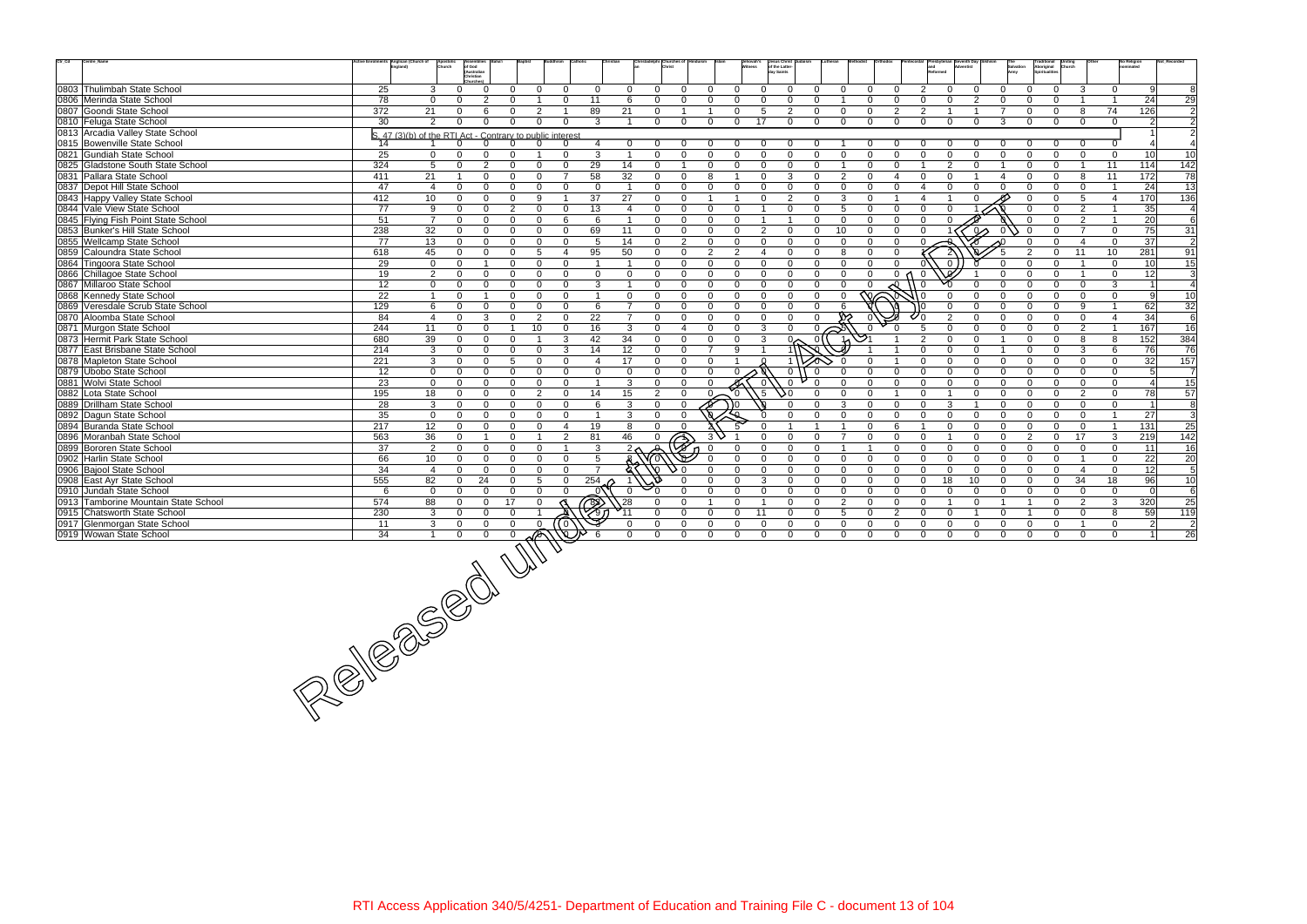| $\mathrm{Ctr}\_ \mathrm{Cd}$<br>Centre_Name                                                                                                                                                                                                                                                                                                                                           | Anglican (Church of |                 |                                                           |                                     |                         |                |                            |                                |                |                                         | Jesus Christ<br>of the Latter-        |                |              |                         |                                  |                |                            |                               |                          | <b>No Religion</b>       |                                   |
|---------------------------------------------------------------------------------------------------------------------------------------------------------------------------------------------------------------------------------------------------------------------------------------------------------------------------------------------------------------------------------------|---------------------|-----------------|-----------------------------------------------------------|-------------------------------------|-------------------------|----------------|----------------------------|--------------------------------|----------------|-----------------------------------------|---------------------------------------|----------------|--------------|-------------------------|----------------------------------|----------------|----------------------------|-------------------------------|--------------------------|--------------------------|-----------------------------------|
|                                                                                                                                                                                                                                                                                                                                                                                       |                     | Church          | of God<br>(Australian                                     |                                     |                         |                |                            |                                |                |                                         | day Saints                            |                |              |                         |                                  |                |                            | Aboriginal                    |                          |                          |                                   |
|                                                                                                                                                                                                                                                                                                                                                                                       |                     |                 | Christian                                                 |                                     |                         |                |                            |                                |                |                                         |                                       |                |              |                         |                                  |                |                            |                               |                          |                          |                                   |
| 0803 Thulimbah State School                                                                                                                                                                                                                                                                                                                                                           | 25                  | 3               | $\Omega$<br>$\Omega$                                      | $\Omega$<br>$\Omega$                | $\Omega$                | $\mathbf 0$    | $\Omega$                   | $\Omega$<br>$\Omega$           | $\Omega$       | $\overline{0}$<br>$\mathbf{0}$          | $\Omega$<br>$\Omega$                  | $\mathbf{0}$   | $\Omega$     | $\Omega$                | 2<br>$\Omega$                    | $\Omega$       | $\Omega$                   | $\Omega$<br>$\overline{0}$    | 3                        | $\Omega$                 | - Ql<br>8                         |
| 0806 Merinda State School                                                                                                                                                                                                                                                                                                                                                             | 78                  | $\Omega$        | $\mathcal{P}$<br>$\Omega$                                 | 0                                   | $\Omega$                | 11             | -6                         | $\Omega$<br>$\Omega$           | $\Omega$       | $\Omega$<br>$\Omega$                    | $\Omega$<br>$\Omega$                  |                | $\Omega$     | $\Omega$                | $\Omega$<br>$\Omega$             | $\mathcal{P}$  | $\Omega$                   | $\Omega$                      |                          |                          | 29<br>24                          |
| 0807 Goondi State School                                                                                                                                                                                                                                                                                                                                                              | 372                 | 21              | $\mathbf{0}$<br>6                                         | $\overline{2}$<br>$\mathbf{0}$      | $\overline{\mathbf{1}}$ | 89             | 21                         | $\Omega$                       |                | $\mathbf 0$                             | 5<br>$\overline{2}$<br>$\overline{0}$ | $\mathbf 0$    | $\mathbf{0}$ | $\overline{2}$          | $\overline{2}$                   |                | 7                          | $\mathbf 0$<br>$\Omega$       | 8                        | 74<br>126                | $\overline{2}$                    |
| 0810 Feluga State School                                                                                                                                                                                                                                                                                                                                                              | 30                  | $\mathcal{P}$   | $\Omega$<br>$\Omega$                                      | $\Omega$<br>$\Omega$                | $\Omega$                | 3              |                            | $\Omega$<br>$\Omega$           | $\Omega$       | $\mathbf 0$<br>17                       | $\Omega$<br>$\overline{0}$            | $\mathbf 0$    | $\Omega$     | $\Omega$                | $\Omega$<br>$\Omega$             | $\Omega$       | 3                          | $\Omega$<br>$\Omega$          | $\Omega$                 | $\Omega$                 | $\overline{2}$<br>2 <sup>1</sup>  |
| 0813 Arcadia Valley State School                                                                                                                                                                                                                                                                                                                                                      |                     |                 | S. 47 (3)(b) of the RTI Act - Contrary to public interest |                                     |                         |                |                            |                                |                |                                         |                                       |                |              |                         |                                  |                |                            |                               |                          |                          | $\overline{2}$                    |
| 0815 Bowenville State School                                                                                                                                                                                                                                                                                                                                                          | 14                  |                 | $\Omega$                                                  | 0<br>$\Omega$                       | $\Omega$                | 4              | $\mathbf 0$                |                                |                | - 0                                     |                                       |                |              |                         |                                  |                |                            |                               | $\overline{0}$           |                          |                                   |
| 0821 Gundiah State School                                                                                                                                                                                                                                                                                                                                                             | 25                  | $\mathbf{0}$    | $\Omega$<br>$\Omega$                                      | $\Omega$<br>$\overline{\mathbf{1}}$ | $\Omega$                | 3              | $\overline{\mathbf{1}}$    | $\Omega$<br>$\Omega$           | $\Omega$       | $\Omega$<br>$\Omega$                    | $\Omega$<br>$\Omega$                  | $\Omega$       | $\Omega$     | $\Omega$                | $\Omega$<br>$\Omega$             | $\Omega$       | $\Omega$                   | $\Omega$<br>$\Omega$          | $\Omega$                 | $\mathbf 0$              | 10 <sup>1</sup><br>10             |
| 0825 Gladstone South State School                                                                                                                                                                                                                                                                                                                                                     | 324                 | 5               | 2<br>$\Omega$                                             | $\Omega$<br>$\Omega$                | $\Omega$                | 29             | 14                         | $\Omega$                       | $\Omega$       | $\overline{0}$<br>$\Omega$              | $\Omega$<br>$\Omega$                  | $\overline{1}$ | $\Omega$     | $\Omega$                | 2                                | $\Omega$       |                            | $\Omega$<br>$\Omega$          | $\overline{1}$           | 11<br>114                | 142                               |
| 0831 Pallara State School                                                                                                                                                                                                                                                                                                                                                             | 411                 | 21              | $\Omega$<br>-1                                            | $\Omega$<br>$\Omega$                | $\overline{7}$          | 58             | 32                         | $\Omega$<br>$\Omega$           | 8              | $\Omega$                                | 3<br>$\Omega$                         | $\overline{2}$ | $\Omega$     | $\overline{\mathbf{A}}$ | $\Omega$<br>$\Omega$             |                |                            | $\Omega$                      | 8                        | 11<br>172                | 78                                |
| 0837 Depot Hill State School                                                                                                                                                                                                                                                                                                                                                          | 47                  | $\overline{4}$  | $\mathbf 0$<br>$\Omega$                                   | $\Omega$<br>$\Omega$                | $\Omega$                | $\Omega$       | $\overline{\mathbf{1}}$    | $\mathbf 0$<br>$\Omega$        | $\Omega$       | $\mathbf 0$<br>$\mathbf{0}$             | $\mathbf{0}$<br>$\mathbf 0$           | $\mathbf 0$    | $\mathbf{0}$ | $\Omega$                | $\overline{4}$<br>$\Omega$       | $\Omega$       | $\Omega$                   | $\mathbf 0$<br>$\Omega$       | $\overline{0}$           |                          | 13<br>24                          |
| 0843 Happy Valley State School                                                                                                                                                                                                                                                                                                                                                        | 412                 | 10              | $\Omega$<br>$\Omega$                                      | $\Omega$<br>9                       | $\overline{\mathbf{1}}$ | 37             | 27                         | $\Omega$<br>$\Omega$           |                | $\Omega$<br>- 1                         | 2<br>$\Omega$                         | 3              | $\Omega$     | $\overline{1}$          | $\overline{1}$<br>$\overline{4}$ |                |                            | $\Omega$                      | 5                        | 170<br>$\overline{4}$    | $\frac{136}{ }$                   |
| 0844 Vale View State School                                                                                                                                                                                                                                                                                                                                                           | 77                  | 9               | $\Omega$<br>$\Omega$                                      | $\overline{2}$<br>$\Omega$          | $\Omega$                | 13             | $\overline{4}$             | $\Omega$<br>$\Omega$           | $\Omega$       | $\Omega$                                | $\Omega$<br>$\Omega$                  | -5             | $\Omega$     | $\Omega$                | $\Omega$<br>$\Omega$             |                |                            | $\Omega$                      | 2                        |                          | 35<br>$\overline{4}$              |
| 0845 Flying Fish Point State School                                                                                                                                                                                                                                                                                                                                                   | 51                  | $\overline{7}$  | $\Omega$<br>$\Omega$                                      | $\Omega$<br>$\Omega$                | 6                       | 6              | $\overline{\mathbf{1}}$    | $\Omega$<br>$\Omega$           | $\Omega$       | $\mathbf{0}$                            | $\Omega$                              | $\Omega$       | $\Omega$     | $\Omega$                | $\Omega$<br>$\Omega$             |                |                            | $\Omega$                      | 2                        | $\overline{\mathbf{1}}$  | $\overline{6}$<br>20              |
| 0853 Bunker's Hill State School                                                                                                                                                                                                                                                                                                                                                       | 238                 | 32              | $\mathbf 0$<br>$\Omega$                                   | $\Omega$<br>$\Omega$                | $\Omega$                | 69             | 11                         | $\Omega$<br>$\mathbf{0}$       | $\Omega$       | $\Omega$                                | 2<br>$\mathbf{0}$<br>$\mathbf{0}$     | 10             | $\Omega$     | $\Omega$                |                                  | $\infty$       |                            | $\Omega$                      | $\overline{7}$           | $\mathbf{0}$             | 75<br>31                          |
| 0855 Wellcamp State School                                                                                                                                                                                                                                                                                                                                                            | 77                  | 13              | $\mathbf 0$<br>$\Omega$                                   | $\Omega$<br>$\mathbf{0}$            | $\Omega$                | 5              | 14                         | $\overline{2}$<br>$\mathbf{0}$ | $\mathbf{0}$   | $\mathbf{0}$<br>$\mathbf{0}$            | $\Omega$<br>$\Omega$                  | $\Omega$       | $\Omega$     | $\Omega$                | $\Omega$                         |                |                            | $\Omega$                      | $\overline{4}$           | $\overline{0}$           | 37<br>$\overline{2}$              |
| 0859 Caloundra State School                                                                                                                                                                                                                                                                                                                                                           | 618                 | 45              | $\Omega$<br>$\Omega$                                      | $5\overline{5}$<br>$\Omega$         | $\overline{4}$          | 95             | 50                         | $\Omega$<br>$\Omega$           | 2              | $\overline{2}$<br>$\boldsymbol{\Delta}$ | $\Omega$<br>$\Omega$                  | 8              | $\Omega$     | $\Omega$                |                                  |                |                            | $\Omega$                      | 11                       | 10<br>281                | 91                                |
|                                                                                                                                                                                                                                                                                                                                                                                       |                     | $\mathbf 0$     | $\overline{1}$                                            | $\Omega$                            | $\Omega$                | $\overline{1}$ | $\overline{1}$             | $\Omega$<br>$\Omega$           | $\Omega$       | $\Omega$                                | $\Omega$<br>$\overline{0}$            | $\Omega$       | $\Omega$     | $\Omega$                | $\Omega$                         |                |                            | $\Omega$                      | $\overline{1}$           | $\Omega$                 |                                   |
| 0864 Tingoora State School                                                                                                                                                                                                                                                                                                                                                            | 29                  |                 | $\mathbf 0$                                               | $\mathbf{0}$                        |                         |                |                            |                                |                |                                         | $\mathbf{0}$                          |                |              |                         |                                  |                | $\Omega$                   |                               | $\overline{1}$           |                          | 10<br>15                          |
| 0866 Chillagoe State School                                                                                                                                                                                                                                                                                                                                                           | 19                  | 2               | $\Omega$<br>$\Omega$                                      | $\Omega$<br>$\Omega$                | $\Omega$                | $\Omega$       | $\Omega$<br>$\overline{1}$ | $\Omega$<br>$\Omega$           | $\Omega$       | $\Omega$<br>$\Omega$                    | $\Omega$<br>$\Omega$                  | $\Omega$       | $\Omega$     | 0 <sub>0</sub>          | - 0                              |                |                            | $\Omega$<br>$\Omega$          |                          | $\mathbf 0$              | $\overline{3}$<br>12              |
| 0867 Millaroo State School                                                                                                                                                                                                                                                                                                                                                            | 12                  | $\mathbf 0$     | $\mathbf 0$<br>$\Omega$                                   | $\Omega$<br>$\Omega$                | $\Omega$                | 3              |                            | $\Omega$<br>$\Omega$           | $\Omega$       | $\Omega$<br>$\Omega$                    | $\Omega$<br>$\Omega$                  | $\overline{0}$ | $\Omega$     |                         |                                  |                |                            |                               | $\Omega$                 | 3                        | $\overline{4}$<br>$\overline{1}$  |
| 0868 Kennedy State School                                                                                                                                                                                                                                                                                                                                                             | 22                  | $\overline{1}$  | $\mathbf 0$<br>-1                                         | $\mathbf{0}$<br>$\Omega$            | $\Omega$                | $\overline{1}$ | $\mathbf 0$                | $\Omega$<br>$\Omega$           | $\Omega$       | $\Omega$                                | $\Omega$<br>$\Omega$<br>$\Omega$      | $\Omega$       | 的∕⊂          |                         |                                  |                | $\Omega$                   | $\Omega$<br>∩                 | $\Omega$                 | $\Omega$                 | $\mathbf{Q}$<br>10                |
| 0869 Veresdale Scrub State School                                                                                                                                                                                                                                                                                                                                                     | 129                 | 6               | $\mathbf 0$<br>$\Omega$                                   | $\mathbf{0}$<br>$\Omega$            | $\Omega$                | 6              | $\overline{7}$             | $\Omega$<br>$\Omega$           | $\Omega$       | $\Omega$                                | $\mathbf 0$<br>$\Omega$<br>$\Omega$   |                |              |                         | $\Omega$                         | $\Omega$       | $\Omega$                   | $\Omega$<br>$\Omega$          | 9                        | $\overline{\mathbf{1}}$  | 62<br>32                          |
| 0870 Aloomba State School                                                                                                                                                                                                                                                                                                                                                             | 84                  | $\overline{4}$  | $\mathbf 0$<br>3                                          | 2<br>$\Omega$                       | $\Omega$                | 22             | $\overline{7}$             | $\Omega$<br>$\Omega$           | $\Omega$       | $\Omega$<br>$\Omega$                    | $\Omega$<br>$\Omega$                  |                |              |                         | $\overline{2}$                   |                | $\Omega$                   | $\Omega$<br>$\Omega$          | $\Omega$                 | $\boldsymbol{\varDelta}$ | 6<br>34                           |
| 0871 Murgon State School                                                                                                                                                                                                                                                                                                                                                              | 244                 | 11              | $\mathbf 0$<br>$\Omega$                                   | 10<br>-1                            | $\mathbf{0}$            | 16             | 3                          | $\Omega$<br>$\overline{4}$     | $\Omega$       | $\Omega$<br>$\mathbf{3}$                | $\Omega$<br>$\Omega$                  | Ķ              |              |                         | $\Omega$                         | $\Omega$       | $\Omega$                   | $\Omega$<br>$\Omega$          | 2                        | 167<br>$\overline{1}$    | 16                                |
| 0873 Hermit Park State School                                                                                                                                                                                                                                                                                                                                                         | 680                 | 39              | $\mathbf 0$<br>$\mathbf 0$                                | $\mathbf{0}$<br>$\overline{1}$      | $\mathbf{3}$            | 42             | 34                         | $\mathbf{0}$<br>$\mathbf{0}$   | $\Omega$       | $\Omega$<br>$\mathbf{3}$                | $\sim$<br>$\Omega$                    |                | জ            |                         | $\mathcal{P}$<br>$\Omega$        | $\Omega$       | $\overline{1}$             | $\Omega$<br>$\Omega$          | 8                        | 152<br>8                 | 384                               |
| 0877 East Brisbane State School                                                                                                                                                                                                                                                                                                                                                       | 214                 | 3               | $\mathbf 0$<br>$\Omega$                                   | $\Omega$<br>$\Omega$                | 3                       | 14             | 12                         | $\Omega$<br>$\Omega$           | $\overline{7}$ | 9                                       |                                       |                |              |                         | $\Omega$<br>$\Omega$             | $\Omega$       |                            | $\Omega$<br>$\Omega$          | 3                        | 6                        | 76<br>76                          |
| 0878 Mapleton State School                                                                                                                                                                                                                                                                                                                                                            | 221                 | 3               | $\mathbf 0$<br>$\Omega$                                   | 5<br>$\mathbf{0}$                   | $\Omega$                | 4              | 17                         | $\Omega$<br>$\mathbf{0}$       | $\Omega$       |                                         |                                       |                | $\Omega$     |                         | $\Omega$<br>$\Omega$             | $\Omega$       | $\mathbf 0$                | $\Omega$<br>$\Omega$          | $\Omega$                 | $\mathbf 0$              | 32<br>157                         |
| 0879 Ubobo State School                                                                                                                                                                                                                                                                                                                                                               | 12                  | $\mathbf 0$     | $\mathbf{0}$<br>$\Omega$                                  | $\Omega$<br>$\Omega$                | $\Omega$                | $\Omega$       | $\Omega$                   | $\Omega$<br>$\Omega$           | $\Omega$       |                                         | $\Omega$<br>$\Omega$                  | $\Omega$       | $\Omega$     | $\Omega$                | $\Omega$<br>$\Omega$             | $\Omega$       | $\Omega$                   | $\Omega$<br>$\Omega$          | $\Omega$                 | $\mathbf{0}$             | 5<br>$\overline{7}$               |
| 0881 Wolvi State School                                                                                                                                                                                                                                                                                                                                                               | 23                  | $\mathbf{0}$    | $\mathbf 0$<br>$\Omega$                                   | $\Omega$<br>$\Omega$                | $\Omega$                | $\overline{1}$ | 3                          | $\Omega$<br>$\Omega$           | $\Omega$       |                                         | $\Omega$<br>$\Omega$                  | $\Omega$       | $\Omega$     | $\Omega$                | $\Omega$<br>$\Omega$             | $\Omega$       | $\Omega$                   | $\Omega$<br>$\Omega$          | $\Omega$                 | $\Omega$                 | $\overline{15}$<br>$\overline{4}$ |
| 0882 Lota State School                                                                                                                                                                                                                                                                                                                                                                | 195                 | 18              | $\mathbf 0$<br>$\Omega$                                   | $\overline{2}$<br>$\Omega$          | $\Omega$                | 14             | 15                         | 2<br>$\Omega$                  |                | .5<br>$\Omega$                          | 50<br>$\Omega$                        | $\mathbf 0$    | $\Omega$     |                         | $\Omega$                         | $\Omega$       | $\Omega$                   | $\Omega$<br>$\Omega$          | $\mathcal{P}$            | $\Omega$                 | 78<br>57                          |
| 0889 Drillham State School                                                                                                                                                                                                                                                                                                                                                            | 28                  | $\mathbf{3}$    | $\mathbf 0$<br>$\Omega$                                   | $\Omega$<br>$\Omega$                | $\Omega$                | 6              | 3                          | $\mathbf{0}$<br>$\Omega$       |                | 0 ا                                     | $\Omega$<br>$\Omega$                  | 3              | $\Omega$     | $\Omega$                | 3<br>$\Omega$                    | $\overline{1}$ | $\Omega$                   | $\Omega$<br>$\Omega$          | $\Omega$                 | $\mathbf 0$              | 8<br>$\vert$ 1                    |
| 0892 Dagun State School                                                                                                                                                                                                                                                                                                                                                               | 35                  | $\mathbf{0}$    | $\Omega$<br>$\Omega$                                      | $\Omega$<br>$\Omega$                | $\Omega$                | $\overline{1}$ | 3                          | $\Omega$<br>$\Omega$           |                |                                         | $\Omega$<br>$\Omega$                  | $\Omega$       | $\Omega$     | $\Omega$                | $\Omega$<br>$\Omega$             | $\Omega$       | $\Omega$                   | $\Omega$<br>$\Omega$          | $\Omega$                 | $\overline{\mathbf{1}}$  | $\overline{3}$<br>27              |
| 0894 Buranda State School                                                                                                                                                                                                                                                                                                                                                             | 217                 | 12              | $\mathbf 0$<br>$\Omega$                                   | $\Omega$<br>$\Omega$                | $\overline{4}$          | 19             | 8                          | $\Omega$<br>$\Omega$           |                |                                         |                                       |                | $\Omega$     | 6                       | $\Omega$                         | $\Omega$       | $\Omega$                   | $\Omega$<br>$\Omega$          | $\Omega$                 | 131                      | 25                                |
| 0896 Moranbah State School                                                                                                                                                                                                                                                                                                                                                            | 563                 | $\overline{36}$ | $\mathbf 0$<br>-1                                         | $\Omega$<br>$\overline{1}$          | $\overline{2}$          | 81             | 46                         | ₹<br>$\Omega$                  |                | $\Omega$                                | $\mathbf{0}$<br>$\Omega$              | $\overline{7}$ | $\mathbf{0}$ | $\Omega$                | $\Omega$                         | $\mathbf 0$    | $\mathbf 0$                | $\mathfrak{p}$<br>$\mathbf 0$ | 17                       | 219<br>3                 | 142                               |
| 0899 Bororen State School                                                                                                                                                                                                                                                                                                                                                             | 37                  | $\overline{2}$  | $\mathbf 0$<br>$\mathbf 0$                                | $\Omega$<br>$\Omega$                | $\overline{1}$          | 3              |                            |                                |                | $\Omega$                                | $\Omega$<br>$\Omega$                  |                |              | $\Omega$                | $\Omega$<br>$\Omega$             | $\Omega$       | $\Omega$                   | $\Omega$<br>$\Omega$          | $\Omega$                 | $\mathbf 0$              | 11<br>16                          |
| 0902 Harlin State School                                                                                                                                                                                                                                                                                                                                                              | 66                  | 10 <sup>1</sup> | $\mathbf{0}$<br>$\Omega$                                  | $\Omega$<br>$\Omega$                | $\Omega$                | 5              |                            |                                |                | $\Omega$<br>$\Omega$                    | $\Omega$<br>$\Omega$                  | $\Omega$       | $\Omega$     | $\Omega$                | $\Omega$<br>$\Omega$             | $\Omega$       | $\Omega$                   | $\Omega$<br>$\Omega$          | $\overline{\phantom{0}}$ | $\Omega$                 | 22<br>20                          |
| 0906 Bajool State School                                                                                                                                                                                                                                                                                                                                                              | 34                  | $\overline{4}$  | $\mathbf{0}$<br>$\Omega$                                  | $\Omega$<br>$\Omega$                | $\Omega$                | $\overline{7}$ |                            |                                | $\Omega$       | $\Omega$<br>$\Omega$                    | $\mathbf 0$<br>$\Omega$               | $\mathbf 0$    | $\Omega$     | $\Omega$                | $\Omega$<br>$\Omega$             | $\Omega$       | $\Omega$                   | $\Omega$<br>$\Omega$          | $\overline{4}$           | $\mathbf 0$              | 12<br>5                           |
| 0908 East Ayr State School                                                                                                                                                                                                                                                                                                                                                            | 555                 | 82              | 24<br>$\Omega$                                            | $\Omega$<br>5                       | $\Omega$                | 254            |                            |                                | $\Omega$       | $\Omega$<br>3                           | $\Omega$<br>$\Omega$                  | $\Omega$       | $\Omega$     | $\Omega$                | 18<br>$\Omega$                   | 10             | $\Omega$                   | $\Omega$<br>$\Omega$          | 34                       | 18                       | 96<br>10                          |
| 0910 Jundah State School                                                                                                                                                                                                                                                                                                                                                              | 6                   | $\overline{0}$  | $\Omega$<br>$\Omega$                                      | $\Omega$<br>$\Omega$                | $\Omega$                | 0              | $\overline{0}$             | $\Omega$                       | $\Omega$       | $\Omega$<br>$\Omega$                    | $\Omega$<br>$\Omega$                  | $\overline{0}$ | $\Omega$     | $\Omega$                | $\Omega$<br>$\Omega$             | $\Omega$       | $\Omega$                   | $\Omega$<br>$\Omega$          | $\Omega$                 | $\Omega$                 | $\,6\,$<br>$\Omega$               |
| 0913 Tamborine Mountain State School                                                                                                                                                                                                                                                                                                                                                  | 574                 | 88              | $\mathbf{0}$<br>17<br>$\mathbf{0}$                        | $\Omega$                            |                         |                | $\sqrt{28}$                |                                |                | $\Omega$                                | $\Omega$<br>$\Omega$                  | $\overline{2}$ | $\Omega$     | $\Omega$                | $\Omega$                         | $\Omega$       |                            | $\Omega$                      | $\overline{2}$           | 320<br>3                 | $\overline{25}$                   |
| 0915 Chatsworth State School                                                                                                                                                                                                                                                                                                                                                          | 230                 | 3               | $\Omega$<br>$\Omega$                                      | $\Omega$                            |                         | Ø              |                            |                                | $\Omega$       | $\overline{0}$<br>11                    | $\Omega$<br>$\Omega$                  | 5              | $\Omega$     | 2                       | $\Omega$<br>$\Omega$             | $\overline{1}$ | $\Omega$<br>$\overline{1}$ | $\Omega$                      | $\Omega$                 | 8                        | 59<br>119                         |
| 0917 Glenmorgan State School                                                                                                                                                                                                                                                                                                                                                          |                     |                 |                                                           |                                     |                         |                | - 0                        | $\Omega$<br>$\Omega$           | $\Omega$       | $\Omega$<br>$\Omega$                    | $\mathbf{0}$<br>$\Omega$              | $\overline{0}$ | $\Omega$     | $\Omega$                | $\Omega$<br>$\Omega$             | $\Omega$       | $\Omega$                   | $\Omega$<br>$\Omega$          | $\overline{1}$           | $\mathbf 0$              | $\overline{2}$<br>$\overline{c}$  |
| 0919 Wowan State School                                                                                                                                                                                                                                                                                                                                                               |                     |                 |                                                           |                                     |                         |                | $\Omega$                   | $\Omega$                       | $\Omega$       | $\Omega$<br>$\Omega$                    | $\Omega$<br>$\Omega$                  | $\Omega$       | $\Omega$     | $\Omega$                | $\Omega$<br>$\Omega$             | $\Omega$       | $\Omega$                   | $\Omega$                      | $\Omega$                 | $\Omega$                 | 26                                |
|                                                                                                                                                                                                                                                                                                                                                                                       |                     |                 |                                                           |                                     |                         |                |                            |                                |                |                                         |                                       |                |              |                         |                                  |                |                            |                               |                          |                          |                                   |
|                                                                                                                                                                                                                                                                                                                                                                                       |                     |                 |                                                           |                                     |                         |                |                            |                                |                |                                         |                                       |                |              |                         |                                  |                |                            |                               |                          |                          |                                   |
|                                                                                                                                                                                                                                                                                                                                                                                       |                     |                 |                                                           |                                     |                         |                |                            |                                |                |                                         |                                       |                |              |                         |                                  |                |                            |                               |                          |                          |                                   |
|                                                                                                                                                                                                                                                                                                                                                                                       |                     |                 |                                                           |                                     |                         |                |                            |                                |                |                                         |                                       |                |              |                         |                                  |                |                            |                               |                          |                          |                                   |
|                                                                                                                                                                                                                                                                                                                                                                                       |                     |                 |                                                           |                                     |                         |                |                            |                                |                |                                         |                                       |                |              |                         |                                  |                |                            |                               |                          |                          |                                   |
|                                                                                                                                                                                                                                                                                                                                                                                       |                     |                 |                                                           |                                     |                         |                |                            |                                |                |                                         |                                       |                |              |                         |                                  |                |                            |                               |                          |                          |                                   |
|                                                                                                                                                                                                                                                                                                                                                                                       |                     |                 |                                                           |                                     |                         |                |                            |                                |                |                                         |                                       |                |              |                         |                                  |                |                            |                               |                          |                          |                                   |
|                                                                                                                                                                                                                                                                                                                                                                                       |                     |                 |                                                           |                                     |                         |                |                            |                                |                |                                         |                                       |                |              |                         |                                  |                |                            |                               |                          |                          |                                   |
|                                                                                                                                                                                                                                                                                                                                                                                       |                     |                 |                                                           |                                     |                         |                |                            |                                |                |                                         |                                       |                |              |                         |                                  |                |                            |                               |                          |                          |                                   |
|                                                                                                                                                                                                                                                                                                                                                                                       |                     |                 |                                                           |                                     |                         |                |                            |                                |                |                                         |                                       |                |              |                         |                                  |                |                            |                               |                          |                          |                                   |
|                                                                                                                                                                                                                                                                                                                                                                                       |                     |                 |                                                           |                                     |                         |                |                            |                                |                |                                         |                                       |                |              |                         |                                  |                |                            |                               |                          |                          |                                   |
|                                                                                                                                                                                                                                                                                                                                                                                       |                     |                 |                                                           |                                     |                         |                |                            |                                |                |                                         |                                       |                |              |                         |                                  |                |                            |                               |                          |                          |                                   |
|                                                                                                                                                                                                                                                                                                                                                                                       |                     |                 |                                                           |                                     |                         |                |                            |                                |                |                                         |                                       |                |              |                         |                                  |                |                            |                               |                          |                          |                                   |
|                                                                                                                                                                                                                                                                                                                                                                                       |                     |                 |                                                           |                                     |                         |                |                            |                                |                |                                         |                                       |                |              |                         |                                  |                |                            |                               |                          |                          |                                   |
|                                                                                                                                                                                                                                                                                                                                                                                       |                     |                 |                                                           |                                     |                         |                |                            |                                |                |                                         |                                       |                |              |                         |                                  |                |                            |                               |                          |                          |                                   |
| $\frac{\frac{1}{11} - \frac{3}{11} - \frac{3}{11} - \frac{1}{11} - \frac{3}{11} - \frac{1}{11} - \frac{1}{11} - \frac{1}{11} - \frac{1}{11} - \frac{1}{11} - \frac{1}{11} - \frac{1}{11} - \frac{1}{11} - \frac{1}{11} - \frac{1}{11} - \frac{1}{11} - \frac{1}{11} - \frac{1}{11} - \frac{1}{11} - \frac{1}{11} - \frac{1}{11} - \frac{1}{11} - \frac{1}{11} - \frac{1}{11} - \frac$ |                     |                 |                                                           |                                     |                         |                |                            |                                |                |                                         |                                       |                |              |                         |                                  |                |                            |                               |                          |                          |                                   |
|                                                                                                                                                                                                                                                                                                                                                                                       |                     |                 |                                                           |                                     |                         |                |                            |                                |                |                                         |                                       |                |              |                         |                                  |                |                            |                               |                          |                          |                                   |
|                                                                                                                                                                                                                                                                                                                                                                                       |                     |                 |                                                           |                                     |                         |                |                            |                                |                |                                         |                                       |                |              |                         |                                  |                |                            |                               |                          |                          |                                   |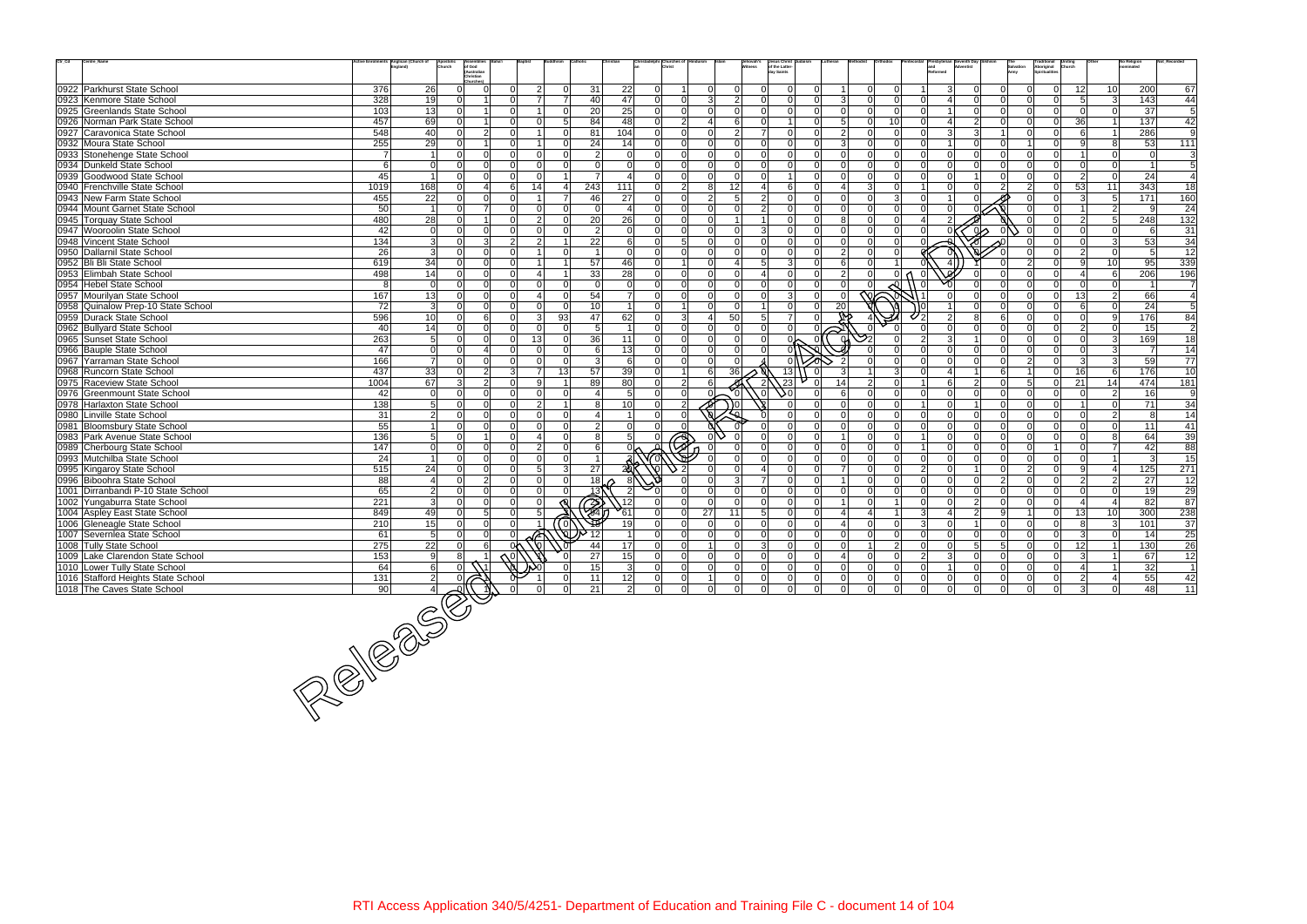| $\mathrm{Ctr}\_ \mathrm{Cd}$ | Centre_Name                        |                  | ctive Enrolments Anglican (Church of<br>Apostolio<br>Church | <b>\ssemblie:</b><br>of God<br>(Australian |                |                |                       |                                  |                | hristadelphi Churches of |                            |                | Jehovah's<br>Witness | <b>Jesus Christ</b><br>of the Latter-<br>ludaism<br>lav Saints |                |                |                |                           |                     |                       |                     | Salvation<br>Army |               | Traditional<br>Aboriginal<br>Spiritualitie<br><b>Uniting</b><br>Church |                | No Religion     |                  | Not_Recorded                                 |
|------------------------------|------------------------------------|------------------|-------------------------------------------------------------|--------------------------------------------|----------------|----------------|-----------------------|----------------------------------|----------------|--------------------------|----------------------------|----------------|----------------------|----------------------------------------------------------------|----------------|----------------|----------------|---------------------------|---------------------|-----------------------|---------------------|-------------------|---------------|------------------------------------------------------------------------|----------------|-----------------|------------------|----------------------------------------------|
|                              |                                    |                  |                                                             | Christian<br>Churches                      |                |                |                       |                                  |                |                          |                            |                |                      |                                                                |                |                |                |                           |                     |                       |                     |                   |               |                                                                        |                |                 |                  |                                              |
|                              | 0922 Parkhurst State School        | 376              | 26                                                          | 0                                          | ΩI             | $\overline{2}$ | $\Omega$<br>31        | 22                               | $\overline{0}$ |                          | $\Omega$                   | 0l             | $\Omega$             |                                                                |                |                | $\Omega$       | $\Omega$                  |                     | 3                     |                     | $\Omega$          |               | $\Omega$                                                               | 12             | 10 <sup>1</sup> | 200              | 67                                           |
|                              | 0923 Kenmore State School          | 328              | 19                                                          |                                            |                |                | 40<br>$\overline{7}$  | 47                               | $\Omega$       | -ol                      | $\overline{3}$             | 2              | $\Omega$             | $\Omega$                                                       |                | 3              |                | $\Omega$                  |                     |                       | $\Omega$            | <sup>n</sup>      |               |                                                                        |                | $\overline{3}$  | 143              | 44                                           |
|                              | 0925 Greenlands State School       | 103              | 13                                                          | $\Omega$                                   | ΩI             |                | 20<br>$\Omega$        | 25                               | $\overline{0}$ | -Ol                      | $\Omega$                   | $\Omega$       | $\Omega$             | <sup>0</sup>                                                   | ΩI             | $\Omega$       | 0I             | $\mathbf{0}$              | U                   |                       | $\Omega$            | $\Omega$          |               | $\Omega$                                                               | .OI            | $\Omega$        | 37               | $\overline{5}$                               |
|                              | 0926 Norman Park State School      | 457              | 69                                                          |                                            | $\Omega$       |                | 5 <sup>1</sup><br>84  | 48                               | $\Omega$       | 2 <sup>1</sup>           |                            | $6 \mid$       |                      |                                                                |                | 5              |                | 10                        |                     | $\overline{4}$        | 2                   | $\Omega$          |               | $\Omega$                                                               | 36             | $\overline{1}$  | $\overline{137}$ | 42                                           |
|                              | 0927 Caravonica State School       | 548              | 40                                                          | 2 <br>$\Omega$                             | $\Omega$       |                | 81<br>$\Omega$        | 104                              | $\Omega$       | $\overline{0}$           | $\Omega$                   | $\overline{2}$ |                      | $\Omega$                                                       |                | $\overline{2}$ |                | $\Omega$                  | $\Omega$            | $\mathbf{3}$          | 3                   |                   |               | $\Omega$                                                               |                | $\overline{1}$  | 286              | 9                                            |
|                              | 0932 Moura State School            | 255              | 29                                                          | $\Omega$                                   | $\Omega$       |                | 24<br>$\Omega$        | 14                               | $\Omega$       | -ol                      | $\Omega$                   | n l            | $\cap$               | $\Omega$                                                       |                | 3              | ി              | $\Omega$                  |                     | $\overline{1}$        | $\Omega$            | <sup>n</sup>      |               | $\Omega$                                                               | -91            | 8               | 53               | 111                                          |
|                              | 0933 Stonehenge State School       | 7                | $\overline{1}$                                              | $\Omega$<br>$\Omega$                       | ΩI             | $\Omega$       | $\Omega$              | $\mathcal{P}$<br>$\Omega$        | $\Omega$       | -ol                      | ΩI                         | $\Omega$       |                      | $\Omega$                                                       |                | $\Omega$       |                | $\Omega$                  | U                   | $\Omega$              | $\Omega$            | $\Omega$          | <sup>n</sup>  | $\Omega$                                                               |                | $\Omega$        |                  | 3                                            |
|                              | 0934 Dunkeld State School          | 6                | 0                                                           | $\Omega$                                   | ΩI             | $\Omega$       | $\Omega$              | $\Omega$<br>$\Omega$             | $\Omega$       | $\Omega$                 | $\Omega$                   | $\Omega$       |                      |                                                                |                |                |                | $\Omega$                  |                     | $\Omega$              |                     |                   |               | $\Omega$                                                               | $\Omega$       | $\overline{0}$  |                  | 5                                            |
|                              | 0939 Goodwood State School         | 45               | $\overline{1}$                                              | $\Omega$<br>$\Omega$                       | $\Omega$       | $\Omega$       |                       | $\overline{7}$<br>$\overline{4}$ | $\Omega$       | $\Omega$                 | $\Omega$                   | $\Omega$       | $\cap$               |                                                                | ΩI             | $\Omega$       | $\Omega$       | $\Omega$                  | n١                  | $\Omega$              |                     | $\Omega$          |               | $\Omega$                                                               | $\overline{2}$ | $\Omega$        | 24               |                                              |
|                              | 0940 Frenchville State School      | 1019             | 168                                                         | $\Omega$<br>4                              | 61             | 14             | 243<br>$\overline{4}$ | 111                              | $\Omega$       | 2 <sup>1</sup>           | 8 <sup>1</sup>             | 12             |                      | 6                                                              |                |                |                | $\Omega$                  |                     | $\Omega$              | <sup>o</sup>        | 2                 | $\mathcal{P}$ | $\Omega$                                                               | 53             | 11              | 343              | $\overline{18}$                              |
|                              | 0943 New Farm State School         | 455              | 22                                                          | $\Omega$<br>$\Omega$                       | Ωl             |                | 46<br>$\overline{7}$  | 27                               | $\Omega$       | $\Omega$                 | 2 <sup>1</sup>             | 5 <sup>1</sup> |                      |                                                                |                |                |                | 3                         |                     |                       |                     |                   |               |                                                                        | 3              | 5 <sup>5</sup>  | 171              | 160                                          |
|                              | 0944 Mount Garnet State School     | 50               | $\overline{1}$                                              | $\overline{7}$                             | ΩI             | $\Omega$       | $\Omega$              | $\Omega$<br>$\overline{4}$       | $\Omega$       | -ol                      | $\Omega$                   | $\Omega$       |                      | $\Omega$                                                       |                | $\Omega$       | $\Omega$       | $\Omega$                  |                     | $\Omega$              |                     |                   |               |                                                                        |                | $\overline{2}$  | q                | 24                                           |
|                              | 0945 Torquay State School          | 480              | 28                                                          | $\Omega$                                   | $\Omega$       | $\mathcal{P}$  | 20<br>$\Omega$        | 26                               | $\Omega$       | -ol                      | $\Omega$                   | $\mathbf{1}$   |                      | $\Omega$                                                       |                |                |                | $\Omega$                  | 4                   | 2                     |                     |                   |               |                                                                        | $\overline{2}$ | 5 <sup>5</sup>  | 248              | 132                                          |
|                              | 0947 Wooroolin State School        | 42               | 0                                                           | $\Omega$                                   | $\Omega$       | n n            | $\Omega$              | $\overline{2}$<br>$\Omega$       | $\Omega$       | $\Omega$                 | ΩI                         | $\Omega$       | $\mathbf{z}$         |                                                                |                |                |                |                           |                     |                       | ω۸                  |                   |               |                                                                        | $\Omega$       | $\Omega$        | 6                | 31                                           |
|                              | 0948 Vincent State School          | 134              | 3 <sup>l</sup>                                              | 3                                          | 2 <sup>1</sup> | $\overline{2}$ |                       | 22<br>6                          | $\overline{0}$ | 5 <sup>1</sup>           | $\Omega$                   | $\Omega$       |                      | $\Omega$                                                       |                | $\Omega$       | $\Omega$       | $\Omega$                  |                     |                       |                     |                   |               |                                                                        | $\Omega$       | $\mathbf{3}$    | 53               | 34                                           |
|                              | 0950 Dallarnil State School        | 26               | 3                                                           | $\Omega$<br>$\Omega$                       | ΩI             |                | $\Omega$              | $\Omega$                         | $\Omega$       | - Ol                     | $\Omega$                   | n l            |                      | $\Omega$                                                       |                | $\mathcal{P}$  |                | $\Omega$                  |                     |                       |                     |                   |               |                                                                        | $\mathcal{P}$  | $\Omega$        | 5                | 12                                           |
|                              | 0952 Bli Bli State School          | 619              | 34                                                          | $\Omega$<br>$\Omega$                       | ΩI             |                | 57                    | 46                               | $\overline{0}$ | 1                        | $\Omega$                   | $\mathbf 4$    | 5                    | -31                                                            | n.             | 6              | $\Omega$       |                           |                     |                       |                     |                   |               | $\Omega$                                                               | $\mathbf{Q}$   | 10 <sup>1</sup> | 95               | 339                                          |
|                              | 0953 Elimbah State School          | 498              | 14                                                          | $\overline{0}$<br>$\Omega$                 | $\Omega$       |                |                       | 33<br>28                         | $\overline{0}$ | -ol                      | $\Omega$                   | $\Omega$       |                      |                                                                |                |                |                |                           |                     |                       |                     |                   |               | $\Omega$                                                               | 4              | 6               | 206              | 196                                          |
|                              | 0954 Hebel State School            | 8                | - Ol                                                        | $\Omega$<br>$\Omega$                       | $\Omega$       | n n            | $\Omega$              | $\Omega$<br>$\Omega$             | $\Omega$       | $\Omega$                 | $\Omega$                   | $\Omega$       |                      | $\Omega$                                                       |                |                |                |                           |                     |                       |                     |                   |               |                                                                        | n l            | $\overline{0}$  |                  | $\overline{7}$                               |
|                              | 0957 Mourilyan State School        | 167              | 13                                                          | $\Omega$<br>$\Omega$                       | $\Omega$       |                | 54<br>$\Omega$        | $\overline{7}$                   | $\Omega$       | $\Omega$                 | $\Omega$                   | $\Omega$       | $\Omega$             | $\mathcal{B}$                                                  |                | $\Omega$       | ∾∩             |                           |                     |                       | <sup>n</sup>        | 0                 |               | $\Omega$                                                               | 13             | $\overline{2}$  | 66               | $\overline{4}$                               |
|                              | 0958 Quinalow Prep-10 State School | 72               | 3                                                           | $\Omega$<br>$\Omega$                       | $\Omega$       |                | 10<br>$\Omega$        |                                  | $\Omega$       |                          | $\Omega$                   | $\mathbf 0$    |                      |                                                                |                | 20             |                |                           |                     |                       |                     |                   |               |                                                                        | 6              | $\Omega$        | 24               | 5                                            |
|                              | 0959 Durack State School           | 596              | 10                                                          | 6                                          | ΩI             | 3              | 47<br>93              | 62                               | $\Omega$       | 3 <sup>1</sup>           | $\Delta$                   | 50             |                      | $\overline{7}$                                                 |                |                |                |                           |                     | $\overline{2}$        |                     |                   |               | $\Omega$                                                               |                | 9               | 176              | 84                                           |
|                              | 0962 Bullyard State School         | 40               | 14                                                          | 0 <br> 0                                   | $\Omega$       | $\Omega$       | $\Omega$              | 5 <sup>1</sup><br>$\overline{1}$ | $\Omega$       | -ol                      | $\Omega$                   | -ol            | $\Omega$             | $\overline{0}$                                                 |                |                |                |                           | <sup>n</sup>        | $\Omega$              | $\Omega$            | $\Omega$          | <sup>n</sup>  | $\Omega$                                                               | $\overline{2}$ | $\overline{0}$  | 15               | $\overline{2}$                               |
|                              | 0965 Sunset State School           | 263              | 5 <sup>1</sup>                                              | $\cap$<br>$\Omega$                         | $\Omega$       | 13             | 36<br>$\Omega$        | 11                               | $\Omega$       | 0                        | ΩI                         | $\Omega$       |                      |                                                                |                |                |                |                           | 2                   | $\mathbf{3}$          |                     | $\Omega$          |               | $\Omega$                                                               | $\Omega$       | $\mathbf{3}$    | 169              | $\overline{18}$                              |
|                              | 0966 Bauple State School           | 47               | 0                                                           | 4                                          | ΩI             | $\Omega$       | $\Omega$              | 13<br>6                          | $\Omega$       | $\Omega$                 | $\Omega$                   | $\Omega$       |                      |                                                                |                |                |                |                           |                     | $\Omega$              | $\Omega$            | <sup>n</sup>      |               |                                                                        | $\Omega$       | 3               |                  | $\overline{14}$                              |
|                              | 0967 Yarraman State School         | 166              | $\overline{7}$                                              | $\Omega$<br>$\Omega$                       | ΩI             | $\Omega$       | $\Omega$              | 6<br>$\vert$ 3                   | $\Omega$       | $\Omega$                 | $\Omega$                   | $\Omega$       |                      |                                                                |                |                |                |                           |                     | $\Omega$              | $\Omega$            | $\Omega$          | $\mathcal{D}$ | $\Omega$                                                               | -31            | $\mathbf{3}$    | 59               | $\overline{77}$                              |
|                              | 0968 Runcorn State School          | 437              | 33                                                          | $\overline{2}$<br>$\Omega$                 | 3 <sup>1</sup> |                | 57<br>13              | 39                               | $\overline{0}$ | 1                        | 6                          | 36             |                      | 13                                                             | $\mathbf 0$    |                |                | 3                         |                     | $\boldsymbol{\Delta}$ |                     | 6                 |               | $\Omega$                                                               | 16             | 6               | 176              | 10                                           |
|                              | 0975 Raceview State School         | 1004             | 67                                                          | 2 <sup>1</sup><br>3                        | ΩI             | 9.             |                       | 80<br>89                         | $\Omega$       | 2 <sup>1</sup>           | 61                         |                |                      | 23                                                             |                | 14             |                |                           |                     | 6                     | $\mathcal{P}$       | $\Omega$          | 5.            |                                                                        | 21             | 14              | 474              | 181                                          |
|                              | 0976 Greenmount State School       | 42               | 0                                                           | $\overline{0}$<br>$\Omega$                 | $\Omega$       | $\Omega$       | $\Omega$              | $5\overline{)}$                  | $\overline{0}$ | $\Omega$                 |                            |                |                      |                                                                |                | 6              | $\Omega$       | $\Omega$                  | $\Omega$            | $\Omega$              | $\Omega$            | $\Omega$          | nΙ            | $\Omega$                                                               | n l            | $\overline{2}$  | 16               | 9                                            |
|                              | 0978 Harlaxton State School        | 138              | 5 <sup>1</sup>                                              | $\Omega$<br>$\Omega$                       | $\Omega$       | $\mathcal{P}$  |                       | 10<br>8                          | $\overline{0}$ | 2                        | $\frac{9}{9}$              | ۱0             |                      |                                                                |                |                |                | $\Omega$                  |                     | $\Omega$              |                     | $\Omega$          |               | $\Omega$                                                               |                | $\Omega$        | 71               | 34                                           |
|                              | 0980 Linville State School         | 31               | 2                                                           | $\Omega$                                   | ΩI             |                | $\Omega$              |                                  | $\Omega$       |                          |                            |                |                      |                                                                |                |                |                | $\Omega$                  |                     | $\Omega$              |                     |                   |               |                                                                        | $\Omega$       | $\overline{2}$  | 8                |                                              |
|                              |                                    | 55               |                                                             | $\Omega$                                   |                |                | $\Omega$              | $\mathcal{P}$<br>$\overline{0}$  | $\Omega$       | $\Omega$                 |                            |                |                      | $\Omega$                                                       |                | $\Omega$       |                | $\Omega$                  |                     | $\Omega$              | $\Omega$            | <sup>n</sup>      |               |                                                                        | $\Omega$       | $\overline{0}$  |                  | 14<br>41                                     |
|                              | 0981 Bloomsbury State School       | 136              |                                                             | U                                          | $\cap$         |                | $\Omega$              | 5                                |                |                          |                            |                |                      |                                                                |                |                |                | $\Omega$                  |                     | $\Omega$              | $\cap$              | $\Omega$          |               |                                                                        |                | 8               | 11<br>64         |                                              |
|                              | 0983 Park Avenue State School      |                  | 5 <sup>1</sup>                                              | $\Omega$<br>$\Omega$                       | ΩI             |                | $\Omega$              | 8                                | $\Omega$       | $\Rightarrow$            |                            |                |                      |                                                                |                |                |                |                           |                     | $\Omega$              | $\cap$              | $\Omega$          |               |                                                                        | $\Omega$       | $\overline{7}$  |                  | 39                                           |
|                              | 0989 Cherbourg State School        | 147              | $\overline{0}$                                              |                                            | ΩI             | $\overline{2}$ |                       | 6                                |                |                          |                            |                |                      | $\Omega$                                                       |                | $\Omega$       |                |                           | $\Omega$            |                       |                     | 0                 |               |                                                                        | $\Omega$       | $\overline{1}$  | 42               | 88                                           |
|                              | 0993 Mutchilba State School        | 24               |                                                             | $\overline{0}$                             | ΩI             | $\Omega$       | $\Omega$              |                                  |                |                          |                            | $\Omega$       |                      | $\Omega$                                                       |                | $\overline{7}$ |                | $\Omega$                  |                     | $\Omega$<br>$\Omega$  | $\Omega$            | $\Omega$          | $\mathcal{P}$ | $\Omega$                                                               | -91            | $\overline{4}$  | 3                | $\overline{15}$                              |
|                              | 0995 Kingaroy State School         | 515              | 24                                                          | $\Omega$<br>$\Omega$<br>$\Omega$           |                | -5             | 27<br>$\mathbf{3}$    | 2a                               |                |                          | ΩI                         |                |                      | nl                                                             |                |                | $\Omega$       | $\Omega$                  | $\overline{2}$<br>U |                       |                     |                   |               | $\Omega$                                                               |                |                 | $\overline{125}$ | 271                                          |
|                              | 0996 Biboohra State School         | 88               | $\overline{a}$                                              | $\overline{2}$                             | $\Omega$       | n.             | $\Omega$              | 18 <sup>1</sup>                  |                |                          |                            | 3              |                      |                                                                |                |                |                | $\Omega$                  |                     | $\Omega$              | $\Omega$            | $\overline{2}$    |               |                                                                        | $\mathcal{P}$  | $\overline{2}$  | 27               | $\overline{12}$                              |
|                              | 1001 Dirranbandi P-10 State School | 65               | $\overline{2}$                                              | $\Omega$<br>U                              |                |                | $\Omega$              | 13)                              |                |                          | $\Omega$                   | $\Omega$       |                      |                                                                |                |                |                | $\Omega$                  |                     | $\Omega$              | $\Omega$            | <sup>n</sup>      |               |                                                                        | $\Omega$       | $\overline{0}$  | 19               | 29                                           |
|                              | 1002 Yungaburra State School       | $\overline{221}$ | 3                                                           | 0 <br>$\Omega$                             | $\Omega$       | $\Omega$       | <b>R</b>              | $\sqrt{12}$                      | $\Omega$       | $\Omega$                 | $\Omega$                   | 0l             | $\Omega$             | n l                                                            |                |                |                |                           | $\Omega$            | $\Omega$              | $\overline{2}$      | $\Omega$          | <sup>n</sup>  | $\Omega$                                                               | $\overline{4}$ | 4               | 82               | 87                                           |
|                              | 1004 Aspley East State School      | 849              | 49                                                          | 5 <sup>1</sup><br>$\Omega$                 | ΩI             | 5              |                       | 61                               | $\Omega$       | 0                        | 27                         | 11             | 5 <sup>1</sup>       | $\Omega$                                                       |                |                |                |                           | $\mathcal{R}$       | $\overline{4}$        | $\overline{2}$      | 9                 |               | $\Omega$                                                               | 13             | 10              | 300              | 238                                          |
|                              | 1006 Gleneagle State School        | 210              | 15                                                          | $\Omega$                                   |                |                | 0)                    | 19                               |                | $\Omega$                 | $\Omega$                   | $\Omega$       |                      | $\Omega$                                                       |                |                |                |                           | 3                   | $\Omega$              |                     |                   |               |                                                                        | 8              | $\mathbf{3}$    | 101              | 37                                           |
|                              | 1007 Severnlea State School        | 61               | 5 <sup>1</sup>                                              | $\Omega$<br>$\cap$                         |                |                |                       | 17                               | $\Omega$       | $\overline{0}$           | $\Omega$<br>1 <sup>1</sup> | 0l             |                      |                                                                |                |                |                | $\Omega$<br>$\mathcal{P}$ |                     | $\Omega$              | 0<br>5 <sup>1</sup> | 5                 |               | $\Omega$                                                               | $\mathcal{E}$  | $\Omega$        | 14               | $\overline{25}$                              |
|                              | 1008 Tully State School            | 275              | 22                                                          | 6                                          | 0٨             |                | 44                    |                                  | $\Omega$       | $\Omega$                 |                            | $\Omega$       | $\overline{3}$       |                                                                | $\Omega$       | $\Omega$       |                |                           |                     | $\Omega$              |                     |                   |               | $\Omega$                                                               | 12             | 1 <sup>1</sup>  | 130              | 26                                           |
|                              | 1009 Lake Clarendon State School   | 153              | 9                                                           |                                            |                |                | 27                    | 15                               | $\overline{0}$ | 0                        | $\overline{0}$             | 0              |                      |                                                                |                |                |                |                           | $\overline{2}$      | $\mathbf{3}$          |                     |                   |               |                                                                        | -31            |                 | 67               | 12                                           |
|                              | 1010 Lower Tully State School      | 64               | $6 \mid$                                                    |                                            |                |                | 15                    | $\overline{3}$                   | 0              | $\overline{0}$           | $\overline{0}$             | $\overline{0}$ | $\overline{0}$       | $\overline{0}$                                                 | $\overline{0}$ | $\mathbf 0$    | $\overline{0}$ | 0                         | $\overline{0}$      | $\vert$ 1             | $\mathbf 0$         | 0                 |               | $\overline{0}$                                                         | $\vert$        | $\vert$ 1       | 32               |                                              |
|                              | 1016 Stafford Heights State School | $\overline{131}$ | $\overline{2}$                                              |                                            |                |                | 11<br>$\overline{0}$  | $\frac{12}{2}$                   | 0              | $\overline{0}$           | $1\vert$                   | 0              | $\overline{0}$       | $\overline{0}$                                                 | $\Omega$       | $\mathbf 0$    | $\overline{0}$ | 0                         | $\overline{0}$      | $\overline{0}$        | $\overline{0}$      | 0                 | 0             | $\overline{0}$                                                         | $2\vert$       | $\vert 4 \vert$ | 55               | $\begin{array}{r} 1 \\ 42 \\ 11 \end{array}$ |
|                              | 1018 The Caves State School        |                  |                                                             |                                            |                |                | 21                    |                                  | $\overline{0}$ | 0                        | $\overline{0}$             |                |                      |                                                                |                |                |                | $\mathbf 0$               |                     |                       |                     | $\Omega$          |               |                                                                        | $\overline{3}$ | 0               | 48               |                                              |
|                              |                                    |                  | $\frac{\frac{1}{131}}{90}$                                  |                                            |                |                |                       |                                  |                |                          |                            |                |                      |                                                                |                |                |                |                           |                     |                       |                     |                   |               |                                                                        |                |                 |                  |                                              |
|                              |                                    |                  |                                                             |                                            |                |                |                       |                                  |                |                          |                            |                |                      |                                                                |                |                |                |                           |                     |                       |                     |                   |               |                                                                        |                |                 |                  |                                              |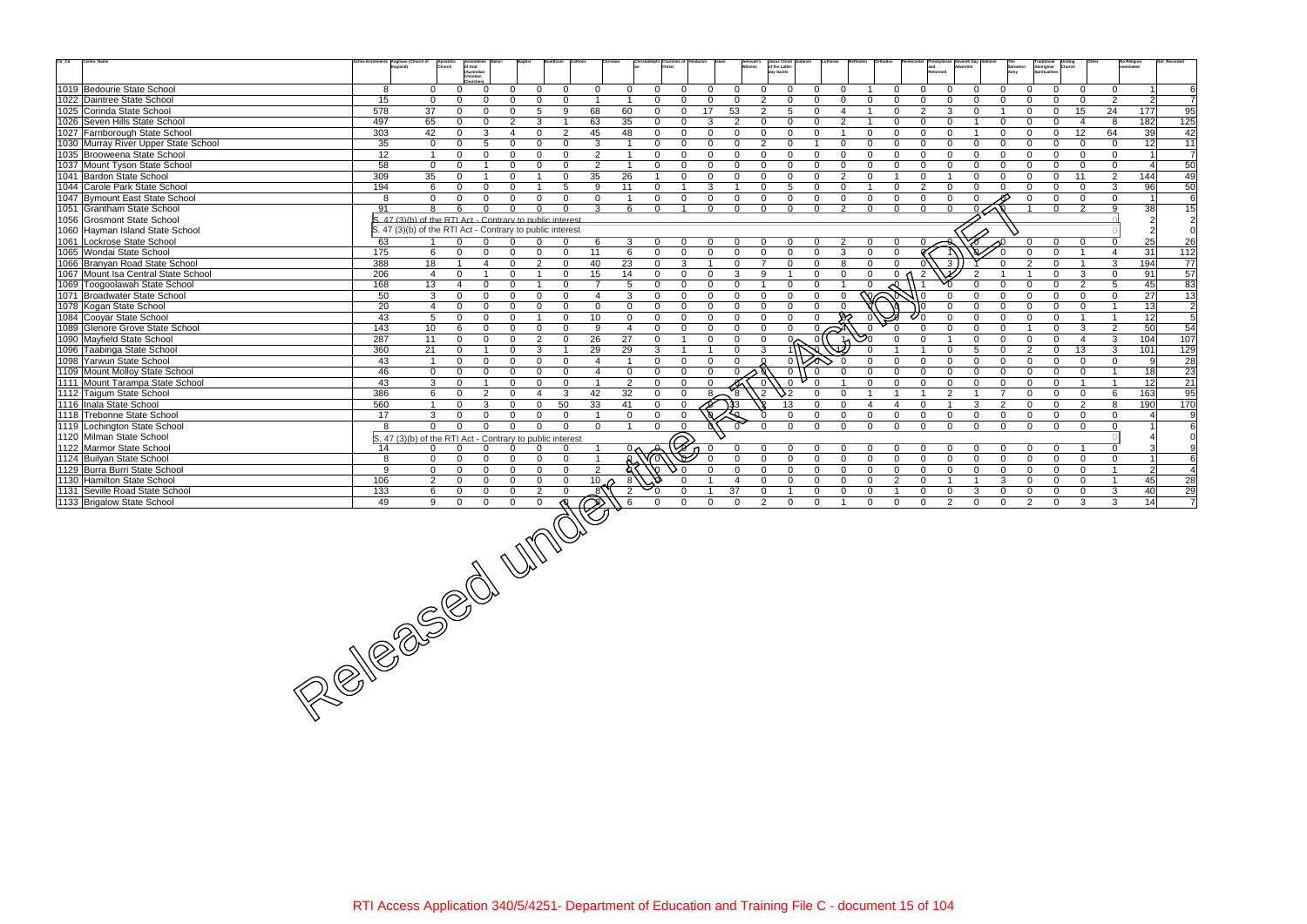| $\mathrm{Ctr}\_ \mathrm{Cd}$<br>Centre_Name                |                  | tive Enrolments Anglican (Church of                       | Apostoli<br>Church             | <b>Assemblies</b><br>of God<br>(Australian |                              |                         |                                     |                      |                |                |                               |                            | Jehovah's<br>Witness    | dav Saints     | Jesus Christ<br>of the Latter- |                             |                 |          |                |                |                |               | Salvation<br>Army                        | Traditional Uniting<br>Aboriginal Church<br>Spiritualities |                                |                         | <b>No Religion</b> | Not Record       |
|------------------------------------------------------------|------------------|-----------------------------------------------------------|--------------------------------|--------------------------------------------|------------------------------|-------------------------|-------------------------------------|----------------------|----------------|----------------|-------------------------------|----------------------------|-------------------------|----------------|--------------------------------|-----------------------------|-----------------|----------|----------------|----------------|----------------|---------------|------------------------------------------|------------------------------------------------------------|--------------------------------|-------------------------|--------------------|------------------|
|                                                            |                  |                                                           |                                | Christian<br>Churches                      |                              |                         |                                     |                      |                |                |                               |                            |                         |                |                                |                             |                 |          |                |                |                |               |                                          |                                                            |                                |                         |                    |                  |
| 1019 Bedourie State School                                 | 8                |                                                           | $\mathbf{0}$<br>$\mathbf{0}$   | $\Omega$                                   | $\Omega$                     | $\overline{0}$          | $\Omega$                            | $\mathbf{0}$         | $\mathbf 0$    | $\Omega$       | $\Omega$                      | $\Omega$                   | $\overline{0}$          | $\Omega$       | $\Omega$                       | O                           | $\Omega$        |          | $\Omega$       | $\Omega$       | $\Omega$       | $\Omega$      | $\Omega$                                 | $\Omega$                                                   | $\Omega$                       | $\mathbf 0$             |                    | 6                |
| 1022 Daintree State School                                 | 15               |                                                           | $\mathbf{0}$<br>$\mathbf{0}$   | $\Omega$                                   | 0                            | $\Omega$                | $\Omega$                            | $\overline{1}$       | $\overline{1}$ | $\Omega$       | $\mathbf 0$                   | $\mathbf{0}$               | $\overline{0}$          | $\mathbf{2}$   | $\Omega$                       | $\Omega$                    | $\Omega$        | $\Omega$ | $\Omega$       | $\Omega$       | $\Omega$       | $\cap$        | $\Omega$<br>$\Omega$                     | $\Omega$                                                   | $\Omega$                       | $\overline{2}$          | $\overline{2}$     | $\overline{7}$   |
| 1025 Corinda State School                                  | 578              | 37                                                        | $\mathbf{0}$                   | $\mathbf{0}$                               | $\mathbf{0}$                 | 5                       | 9                                   | 68                   | 60             | $\mathbf{0}$   | $\mathbf 0$                   | 17                         | 53                      | $\mathbf{2}$   | 5                              | 0                           | $\overline{4}$  |          | $\Omega$       | 2              | 3              | $\Omega$      | $\Omega$                                 | $\overline{0}$                                             | 15                             | 24                      | 177                | 95               |
| 1026 Seven Hills State School                              | 497              | 65                                                        | $\Omega$                       | $\Omega$                                   | $\overline{2}$               | 3                       |                                     | 63                   | 35             | $\mathbf{0}$   | $\Omega$                      | 3                          | $\overline{2}$          | $\Omega$       | $\Omega$                       | $\Omega$                    | $\overline{2}$  |          | $\Omega$       | $\Omega$       | $\Omega$       |               | $\Omega$                                 | $\Omega$                                                   | $\overline{4}$                 | 8                       | 182                | $\overline{125}$ |
| 1027 Farnborough State School                              | 303              | 42                                                        | $\Omega$                       | 3                                          | 4                            | $\Omega$                | $\overline{2}$                      | 45                   | 48             | $\mathbf{0}$   | $\mathbf 0$                   | $\mathbf{0}$               | $\overline{0}$          | $\Omega$       | $\mathbf 0$                    | $\Omega$                    |                 | $\Omega$ | $\mathbf{0}$   | $\Omega$       | $\Omega$       |               | $\Omega$<br>$\Omega$                     | $\mathbf 0$                                                | 12                             | 64                      | 39                 | 42               |
| 1030 Murray River Upper State School                       | 35               |                                                           | $\overline{0}$<br>$\Omega$     | $5\overline{)}$                            | $\Omega$                     | $\Omega$                | $\Omega$                            | 3                    | $\overline{1}$ | $\Omega$       | $\Omega$                      | $\Omega$                   | $\Omega$                | $\overline{2}$ | $\Omega$                       |                             | $\Omega$        | $\Omega$ | $\Omega$       | $\Omega$       | $\Omega$       | $\Omega$      | $\Omega$<br>$\Omega$                     | $\Omega$                                                   | $\Omega$                       | $\mathbf 0$             | 12 <sup>1</sup>    | 11               |
| 1035 Brooweena State School                                | $\overline{12}$  | $\overline{1}$                                            | $\mathbf{0}$                   | $\Omega$                                   | $\Omega$                     | $\Omega$                | $\Omega$                            | $\overline{2}$       | $\overline{1}$ | $\mathbf 0$    | $\overline{0}$                | $\Omega$                   | $\Omega$                | $\Omega$       | $\Omega$                       | $\Omega$                    | $\Omega$        | $\Omega$ | $\Omega$       | $\Omega$       | $\Omega$       | $\Omega$      | $\Omega$<br>$\Omega$                     | $\Omega$                                                   | $\Omega$                       | $\overline{0}$          |                    | $\overline{7}$   |
| 1037 Mount Tyson State School                              | 58               |                                                           | $\mathbf 0$<br>$\Omega$        |                                            | 0                            | $\mathbf 0$             | $\Omega$                            | $\overline{2}$       |                | $\Omega$       | $\mathbf 0$                   | $\Omega$                   | $\overline{0}$          | $\Omega$       | $\Omega$                       | $\Omega$                    | $\mathbf 0$     | $\Omega$ | $\Omega$       | $\Omega$       | $\Omega$       |               | $\Omega$                                 | $\Omega$                                                   | $\mathbf{0}$                   | $\mathbf 0$             | $\overline{4}$     | 50               |
| 1041 Bardon State School                                   | 309              | 35                                                        | $\mathbf{0}$                   | $\overline{1}$                             | 0                            | -1                      | $\Omega$                            | 35                   | 26             |                | $\Omega$                      | $\Omega$                   | $\Omega$                | $\Omega$       | $\mathbf 0$                    | $\Omega$                    | $\overline{2}$  | $\Omega$ | $\overline{1}$ | $\Omega$       |                | $\Omega$      | $\Omega$                                 | $\Omega$                                                   | 11                             | 2                       | 144                | 49               |
| 1044 Carole Park State School                              | 194              |                                                           | 6<br>$\Omega$                  | $\Omega$                                   | $\Omega$                     |                         | 5                                   | 9                    | 11             | $\Omega$       |                               | 3                          | $\overline{1}$          | $\Omega$       | 5                              | $\Omega$                    | $\Omega$        |          | $\Omega$       | 2              | $\Omega$       | $\Omega$      | $\Omega$                                 | $\Omega$                                                   | $\Omega$                       | 3                       | 96                 | 50               |
| 1047 Bymount East State School                             | 8                |                                                           | $\Omega$<br>$\Omega$           | $\Omega$                                   | $\Omega$                     | $\Omega$                | $\Omega$                            | $\Omega$             |                | $\Omega$       | $\Omega$                      | $\Omega$                   | $\mathbf{0}$            | $\Omega$       | $\mathbf{0}$                   | $\Omega$                    | $\Omega$        | $\Omega$ | $\Omega$       | $\Omega$       | $\Omega$       | $\Omega$      |                                          | $\Omega$                                                   | $\overline{0}$                 | $\Omega$                |                    | 6                |
| 1051 Grantham State School                                 | 91               |                                                           | 8<br>R.                        |                                            |                              |                         |                                     |                      | $\epsilon$     |                |                               | $\Omega$                   | $\Omega$                | $\Omega$       | $\Omega$                       | $\Omega$                    | ົ               |          | $\Omega$       | ∩              | $\cap$         |               |                                          |                                                            |                                |                         | 38                 | 15               |
| 1056 Grosmont State School                                 |                  | S 47 (3)(b) of the RTI Act - Contrary to public interest  |                                |                                            |                              |                         |                                     |                      |                |                |                               |                            |                         |                |                                |                             |                 |          |                |                |                |               |                                          |                                                            |                                |                         | $2 \vert$          |                  |
| 1060 Hayman Island State School                            |                  | S. 47 (3)(b) of the RTI Act - Contrary to public interest |                                |                                            |                              |                         |                                     |                      |                |                |                               |                            |                         |                |                                |                             |                 |          |                |                |                |               |                                          |                                                            |                                |                         | $\overline{2}$     |                  |
| 1061 Lockrose State School                                 | 63               |                                                           |                                |                                            |                              |                         |                                     | 6                    |                |                |                               |                            |                         |                |                                |                             |                 |          |                |                |                |               |                                          |                                                            |                                |                         | 25                 | 26               |
| 1065 Wondai State School                                   | 175              |                                                           | 6<br>$\Omega$                  | $\Omega$                                   | $\Omega$                     | $\Omega$                | $\Omega$                            | 11                   | 6              | $\Omega$       | $\Omega$                      | $\Omega$                   | $\Omega$                | $\Omega$       | $\Omega$                       | $\Omega$                    | $\mathbf{3}$    | $\Omega$ | $\Omega$       |                |                | $\Omega$      |                                          | $\Omega$                                                   | $\overline{1}$                 | $\overline{\mathbf{4}}$ | 31                 | $\frac{11}{2}$   |
| 1066 Branyan Road State School                             | 388              | 18                                                        |                                | $\overline{4}$                             | $\Omega$                     | 2                       | $\Omega$                            | 40                   | 23             | $\Omega$       | 3                             |                            | $\Omega$                | $\overline{7}$ | $\Omega$                       | $\Omega$                    | 8               | $\Omega$ | $\Omega$       |                | 3              | $\Omega$      |                                          | $\Omega$                                                   |                                | 3                       | 194                | 77               |
| 1067 Mount Isa Central State School                        | 206              |                                                           | $\overline{4}$<br>$\mathbf{0}$ |                                            | 0                            |                         | $\Omega$                            | 15                   | 14             | $\mathbf 0$    | $\Omega$                      | $\Omega$                   | 3                       | 9              |                                | $\Omega$                    | $\Omega$        | $\Omega$ | 0 <sub>0</sub> | $\overline{2}$ |                |               |                                          | $\Omega$                                                   | 3                              | $\mathbf 0$             | 91                 | 57               |
| 1069 Toogoolawah State School                              | 168              | 13                                                        | $\overline{4}$                 | $\mathbf{0}$                               | $\mathbf{0}$                 | $\overline{\mathbf{1}}$ | $\Omega$                            | $\overline{7}$       | 5              | $\mathbf 0$    | $\mathbf{0}$                  | $\Omega$                   | $\Omega$                | $\overline{1}$ | $\mathbf 0$                    | $\Omega$                    |                 | $\Omega$ |                |                |                |               | $\Omega$                                 | $\Omega$                                                   | 2                              | 5                       | 45                 | 83               |
| 1071 Broadwater State School                               | 50               |                                                           | $\mathbf{3}$<br>$\mathbf{0}$   | $\Omega$                                   | $\Omega$                     | $\Omega$                | $\Omega$                            | 4                    | 3              | $\mathbf 0$    | $\mathbf{0}$                  | $\Omega$                   | $\Omega$                | $\mathbf 0$    | $\mathbf 0$                    | $\Omega$                    | $\Omega$        | $\infty$ |                |                |                |               | $\Omega$                                 | $\Omega$                                                   | $\Omega$                       | $\Omega$                | 27                 | 13               |
| 1078 Kogan State School                                    | 20               |                                                           | $\overline{4}$<br>$\Omega$     | $\Omega$                                   | $\mathbf{0}$                 | $\mathbf 0$             | $\Omega$                            | $\mathbf 0$          | $\mathbf 0$    | $\Omega$       | $\Omega$                      | $\Omega$                   | $\overline{0}$          | $\mathbf 0$    | $\mathbf 0$                    | $\Omega$                    |                 |          |                |                |                |               | $\Omega$<br>$\Omega$                     | $\Omega$                                                   | $\mathbf 0$                    |                         | 13                 | $\overline{2}$   |
| 1084 Cooyar State School                                   | 43               |                                                           | 5<br>$\mathbf{0}$              | $\mathbf{0}$                               | $\mathbf{0}$                 | $\overline{1}$          | $\Omega$                            | 10                   | $\mathbf 0$    | $\mathbf{0}$   | $\overline{0}$                | $\overline{0}$             | $\overline{0}$          | $\mathbf{0}$   | $\mathbf 0$                    | $\Omega$                    |                 |          |                |                | $\cap$         | $\Omega$      | $\Omega$                                 | $\Omega$<br>$\Omega$                                       | $\overline{1}$                 | $\overline{\mathbf{1}}$ | 12                 | 5                |
| 1089 Glenore Grove State School                            | $\overline{143}$ | 10                                                        | 6                              | $\mathbf{0}$                               | $\Omega$                     | $\mathbf 0$             | $\Omega$                            | 9                    | $\overline{4}$ | $\mathbf{0}$   | $\mathbf 0$<br>$\overline{1}$ | $\Omega$                   | $\overline{0}$          | $\mathbf 0$    | $\Omega$                       | $\mathbf{0}$ .<br>$\approx$ | $\mathcal{S}^0$ |          |                |                | $\Omega$       | $\Omega$      | $\Omega$                                 | $\Omega$                                                   | 3                              | $\overline{2}$          | 50                 | 54               |
| 1090 Mayfield State School                                 | 287              | 11                                                        | $\mathbf{0}$                   | $\Omega$                                   | $\Omega$                     | 2                       | $\mathbf 0$                         | 26                   | 27             | $\overline{0}$ |                               | $\overline{0}$             | $\Omega$                | $\mathbf 0$    | 0                              | $\overline{0}$              |                 |          | $\Omega$       | $\Omega$       |                | $\Omega$      | $\Omega$<br>$\Omega$                     | $\Omega$                                                   | $\overline{4}$                 | 3                       | 104                | 107              |
| 1096 Taabinga State School                                 | 360              | 21<br>$\overline{\mathbf{1}}$                             | $\mathbf 0$<br>$\mathbf 0$     | $\overline{1}$<br>$\mathbf{0}$             | $\mathbf{0}$<br>$\mathbf{0}$ | 3<br>$\Omega$           | $\overline{\mathbf{1}}$<br>$\Omega$ | 29<br>$\overline{4}$ | 29             | 3<br>$\Omega$  | $\overline{1}$<br>$\mathbf 0$ | $\overline{1}$<br>$\Omega$ | $\mathbf 0$<br>$\Omega$ | 3              |                                |                             |                 |          | $\Omega$       | $\Omega$       | 0<br>$\Omega$  | 5<br>$\Omega$ | 2<br>$\mathbf 0$<br>$\Omega$<br>$\Omega$ | $\mathbf 0$<br>$\Omega$                                    | 13                             | 3<br>$\mathbf 0$        | 101<br>9           | 129              |
| 1098 Yarwun State School<br>1109 Mount Molloy State School | 43<br>46         |                                                           | $\mathbf 0$<br>$\mathbf{0}$    | $\Omega$                                   | $\Omega$                     | $\Omega$                | $\Omega$                            | $\overline{4}$       | $\mathbf 0$    | $\mathbf{0}$   | $\Omega$                      | $\Omega$                   | $\Omega$                |                | $\mathbf 0$<br>$\overline{0}$  | $\overline{0}$              |                 |          | $\Omega$       | $\Omega$       | $\Omega$       | $\Omega$      | $\Omega$<br>$\Omega$                     | $\Omega$                                                   | $\mathbf{0}$<br>$\overline{0}$ |                         | 18                 | 28<br>23         |
| 1111 Mount Tarampa State School                            | 43               |                                                           | 3<br>$\Omega$                  | $\overline{1}$                             | $\mathbf{0}$                 | $\Omega$                | $\Omega$                            | $\overline{1}$       | $\overline{2}$ | 0              | $\mathbf 0$                   | $\Omega$                   |                         | $\mathbf{0}$   | $\Omega$                       | $\Omega$                    |                 | $\Omega$ | $\mathbf 0$    | $\Omega$       | 0              | $\Omega$      | $\Omega$<br>$\Omega$                     | $\Omega$                                                   | $\overline{1}$                 | $\overline{1}$          | 12                 | 21               |
| 1112 Taigum State School                                   | 386              |                                                           | 6<br>$\mathbf 0$               | 2                                          | $\Omega$                     | $\boldsymbol{\Delta}$   | 3                                   | 42                   | 32             | $\overline{0}$ | $\Omega$                      |                            | 8                       | $2^{\circ}$    | >2                             | $\Omega$                    | $\mathbf 0$     |          | $\overline{1}$ |                | $\overline{2}$ |               | $\overline{7}$<br>$\Omega$               | $\Omega$                                                   | $\Omega$                       | 6                       | 163                | 95               |
| 1116 Inala State School                                    | 560              | $\overline{1}$                                            | $\Omega$                       | 3                                          | $\Omega$                     | $\Omega$                | 50                                  | 33                   | 41             | $\mathbf 0$    | $\overline{0}$                | $\sqrt[3]{\frac{8}{3}}$    |                         |                | 13                             | 0                           | $\Omega$        | 4        | $\overline{4}$ | $\Omega$       | $\overline{1}$ | 3             | 2<br>$\Omega$                            | $\Omega$                                                   | $\mathcal{P}$                  | 8                       | 190                | 170              |
| 1118 Trebonne State School                                 | 17               |                                                           | 3<br>$\Omega$                  | $\Omega$                                   | $\Omega$                     | $\Omega$                | $\Omega$                            | $\overline{1}$       | $\mathbf 0$    | $\mathbf 0$    | $\Omega$                      |                            |                         |                | $\Omega$                       | $\Omega$                    | $\Omega$        |          | $\Omega$       | $\Omega$       | $\Omega$       | $\Omega$      | $\Omega$                                 | $\Omega$                                                   | $\Omega$                       | $\mathbf 0$             | $\overline{4}$     | 9                |
| 1119 Lochington State School                               | -8               |                                                           | $\Omega$<br>$\Omega$           | $\Omega$                                   | $\Omega$                     | $\Omega$                | $\Omega$                            | $\Omega$             | $\overline{1}$ | $\Omega$       | $\mathbf 0$                   |                            |                         | $\Omega$       | $\mathbf 0$                    | $\Omega$                    | $\mathbf 0$     | $\Omega$ | $\Omega$       | $\Omega$       | $\Omega$       | $\Omega$      | $\Omega$<br>$\Omega$                     | $\mathbf{0}$                                               | $\Omega$                       | $\Omega$                |                    |                  |
| 1120 Milman State School                                   |                  | S. 47 (3)(b) of the RTI Act - Contrary to public interest |                                |                                            |                              |                         |                                     |                      |                |                |                               |                            |                         |                |                                |                             |                 |          |                |                |                |               |                                          |                                                            |                                |                         |                    |                  |
| 1122 Marmor State School                                   | 14               |                                                           |                                |                                            |                              |                         |                                     |                      | ◡へ             |                |                               |                            |                         |                |                                |                             |                 |          |                |                |                |               |                                          |                                                            |                                |                         |                    |                  |
| 1124 Builyan State School                                  | 8                |                                                           | $\Omega$<br>$\Omega$           | $\Omega$                                   | $\Omega$                     | $\Omega$                | $\Omega$                            | $\overline{1}$       |                |                |                               |                            | $\Omega$                | $\Omega$       | $\Omega$                       | $\Omega$                    | $\Omega$        | $\Omega$ | $\Omega$       | $\Omega$       | $\Omega$       | $\Omega$      | $\Omega$<br><sup>n</sup>                 | $\Omega$                                                   | $\Omega$                       | $\Omega$                |                    | 6                |
| 1129 Burra Burri State School                              | 9                |                                                           | $\mathbf 0$<br>$\mathbf 0$     | $\Omega$                                   | $\Omega$                     | $\Omega$                | $\Omega$                            | $\overline{2}$       |                |                |                               | $\Omega$                   | $\Omega$                | $\Omega$       | $\Omega$                       | $\Omega$                    | $\Omega$        | $\Omega$ | $\mathbf 0$    | $\Omega$       | $\Omega$       | $\Omega$      | $\Omega$<br>$\Omega$                     | $\Omega$                                                   | $\Omega$                       | $\overline{\mathbf{1}}$ | 2 <sup>1</sup>     | $\overline{4}$   |
| 1130 Hamilton State School                                 | 106              |                                                           | 2<br>$\Omega$                  | $\Omega$                                   | $\Omega$                     | $\Omega$                | $\Omega$                            | 10 <sub>1</sub>      | -8             |                |                               |                            | $\overline{4}$          | $\Omega$       | $\Omega$                       | $\Omega$                    | $\Omega$        | $\Omega$ | 2              | $\Omega$       |                |               | 3<br>$\Omega$                            | $\Omega$                                                   | $\Omega$                       | $\overline{1}$          | 45                 | 28               |
| 1131 Seville Road State School                             | 133              |                                                           | 6<br>$\Omega$                  | $\overline{0}$                             | $\mathbf{0}$                 | $\mathbf{2}$            | $\Omega$                            |                      | $\overline{2}$ |                |                               |                            | 37                      | $\Omega$       |                                | $\Omega$                    | $\mathbf 0$     | $\Omega$ |                | $\Omega$       | 0              | 3             | $\Omega$<br>0                            | 0                                                          | $\mathbf 0$                    | 3                       | 40                 | 29               |
| 1133 Brigalow State School                                 | 49               |                                                           | 9<br>$\mathbf{0}$              | $\overline{0}$                             | $\overline{0}$               | $\overline{0}$          | P,                                  |                      | 6              |                | $\Omega$                      | $\overline{0}$             | $\Omega$                | 2              | $\Omega$                       | $\mathbf{0}$                | $\overline{1}$  | $\Omega$ | $\mathbf 0$    | $\Omega$       | 2              | $\Omega$      | $\mathbf 0$                              | 2<br>$\Omega$                                              | 3                              | $\mathbf{3}$            | 14                 | $\overline{7}$   |
|                                                            |                  |                                                           |                                |                                            |                              |                         |                                     |                      |                |                |                               |                            |                         |                |                                |                             |                 |          |                |                |                |               |                                          |                                                            |                                |                         |                    |                  |
|                                                            |                  |                                                           |                                |                                            |                              |                         |                                     |                      |                |                |                               |                            |                         |                |                                |                             |                 |          |                |                |                |               |                                          |                                                            |                                |                         |                    |                  |
|                                                            |                  |                                                           |                                |                                            |                              |                         |                                     |                      |                |                |                               |                            |                         |                |                                |                             |                 |          |                |                |                |               |                                          |                                                            |                                |                         |                    |                  |
|                                                            |                  |                                                           |                                |                                            |                              |                         |                                     |                      |                |                |                               |                            |                         |                |                                |                             |                 |          |                |                |                |               |                                          |                                                            |                                |                         |                    |                  |
|                                                            |                  |                                                           |                                |                                            |                              |                         |                                     |                      |                |                |                               |                            |                         |                |                                |                             |                 |          |                |                |                |               |                                          |                                                            |                                |                         |                    |                  |
|                                                            |                  |                                                           |                                |                                            |                              |                         |                                     |                      |                |                |                               |                            |                         |                |                                |                             |                 |          |                |                |                |               |                                          |                                                            |                                |                         |                    |                  |
|                                                            |                  |                                                           |                                |                                            |                              |                         |                                     |                      |                |                |                               |                            |                         |                |                                |                             |                 |          |                |                |                |               |                                          |                                                            |                                |                         |                    |                  |
|                                                            |                  |                                                           |                                |                                            |                              |                         |                                     |                      |                |                |                               |                            |                         |                |                                |                             |                 |          |                |                |                |               |                                          |                                                            |                                |                         |                    |                  |
|                                                            |                  |                                                           |                                |                                            |                              |                         |                                     |                      |                |                |                               |                            |                         |                |                                |                             |                 |          |                |                |                |               |                                          |                                                            |                                |                         |                    |                  |
|                                                            |                  |                                                           |                                |                                            |                              |                         |                                     |                      |                |                |                               |                            |                         |                |                                |                             |                 |          |                |                |                |               |                                          |                                                            |                                |                         |                    |                  |
|                                                            |                  |                                                           |                                |                                            |                              |                         |                                     |                      |                |                |                               |                            |                         |                |                                |                             |                 |          |                |                |                |               |                                          |                                                            |                                |                         |                    |                  |
|                                                            |                  |                                                           |                                |                                            |                              |                         |                                     |                      |                |                |                               |                            |                         |                |                                |                             |                 |          |                |                |                |               |                                          |                                                            |                                |                         |                    |                  |
|                                                            |                  |                                                           |                                |                                            |                              |                         |                                     |                      |                |                |                               |                            |                         |                |                                |                             |                 |          |                |                |                |               |                                          |                                                            |                                |                         |                    |                  |
|                                                            |                  |                                                           |                                |                                            |                              |                         |                                     |                      |                |                |                               |                            |                         |                |                                |                             |                 |          |                |                |                |               |                                          |                                                            |                                |                         |                    |                  |
|                                                            |                  |                                                           |                                |                                            |                              |                         |                                     |                      |                |                |                               |                            |                         |                |                                |                             |                 |          |                |                |                |               |                                          |                                                            |                                |                         |                    |                  |
|                                                            |                  |                                                           |                                |                                            |                              |                         |                                     |                      |                |                |                               |                            |                         |                |                                |                             |                 |          |                |                |                |               |                                          |                                                            |                                |                         |                    |                  |
|                                                            |                  |                                                           |                                |                                            |                              |                         |                                     |                      |                |                |                               |                            |                         |                |                                |                             |                 |          |                |                |                |               |                                          |                                                            |                                |                         |                    |                  |
| REAGES CONTINUES                                           |                  |                                                           |                                |                                            |                              |                         |                                     |                      |                |                |                               |                            |                         |                |                                |                             |                 |          |                |                |                |               |                                          |                                                            |                                |                         |                    |                  |
|                                                            |                  |                                                           |                                |                                            |                              |                         |                                     |                      |                |                |                               |                            |                         |                |                                |                             |                 |          |                |                |                |               |                                          |                                                            |                                |                         |                    |                  |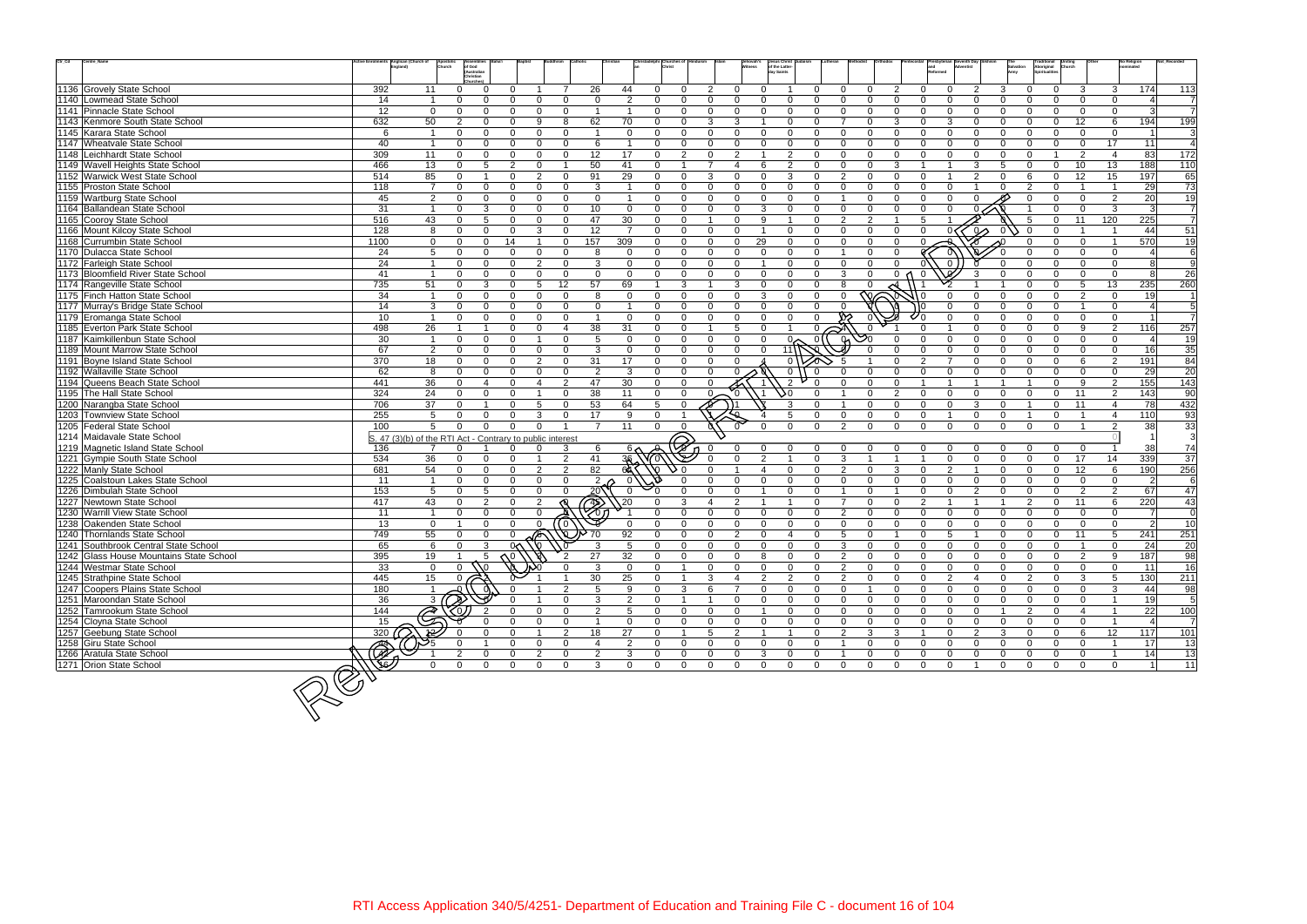| $\mathrm{Ctr}\_ \mathrm{Cd}$<br>Centre_Name                    |           | tive Enrolments Anglican (Church of<br>England)           | of God<br>(Australian    |                            |                                        |                            |                      |                         |                |                                                  |                                  | Jehovah's<br>itness | Jesus Christ<br>of the Latter-<br>day Saints |                           |                |                 |                            |                            |                      |                      |                      | Traditional<br>Aboriginal<br>Spiritualities      |                      |                                  | No Religion<br>nominated |                 |
|----------------------------------------------------------------|-----------|-----------------------------------------------------------|--------------------------|----------------------------|----------------------------------------|----------------------------|----------------------|-------------------------|----------------|--------------------------------------------------|----------------------------------|---------------------|----------------------------------------------|---------------------------|----------------|-----------------|----------------------------|----------------------------|----------------------|----------------------|----------------------|--------------------------------------------------|----------------------|----------------------------------|--------------------------|-----------------|
|                                                                |           |                                                           | Christian                |                            |                                        |                            |                      |                         |                |                                                  |                                  |                     |                                              |                           |                |                 |                            |                            |                      |                      |                      |                                                  |                      |                                  |                          |                 |
| 1136 Grovely State School                                      | 392       | 11                                                        | $\Omega$                 | $\Omega$                   | <sup>n</sup>                           |                            |                      | 26                      | 44             | $\Omega$<br>$\Omega$                             | $\mathcal{P}$                    | $\Omega$            | $\Omega$                                     | 0                         | $\Omega$       | $\Omega$        | 2                          | $\Omega$                   | $\Omega$             | $\mathcal{P}$        | 3                    | $\Omega$                                         | 3                    | 3                                | 174                      | 113             |
| 1140 Lowmead State School                                      | 14        | $\overline{1}$                                            | $\Omega$                 | $\Omega$                   | 0<br>$\Omega$                          |                            | $\Omega$             | $\Omega$                | 2              | $\Omega$<br>$\Omega$                             | $\Omega$<br>$\Omega$             |                     | $\Omega$<br>$\Omega$                         | $\Omega$                  | $\Omega$       | $\Omega$        | $\Omega$                   | $\Omega$                   | $\Omega$             | $\Omega$             | $\Omega$             | $\Omega$<br>∩                                    | $\Omega$             | $\Omega$                         |                          | $\overline{7}$  |
| 1141 Pinnacle State School                                     | 12        | $\mathbf 0$                                               | $\Omega$                 | $\Omega$                   | <sup>n</sup><br>$\Omega$               |                            | $\Omega$             | $\overline{1}$          | $\overline{1}$ | $\Omega$<br>$\mathbf{0}$                         | $\Omega$<br>$\Omega$             |                     | $\Omega$<br>$\Omega$                         | $\Omega$                  | $\overline{0}$ | $\Omega$        | $\Omega$                   | $\Omega$                   | $\Omega$             | $\Omega$             | $\Omega$             | $\Omega$                                         | $\Omega$             | $\mathbf{0}$                     |                          | $\overline{7}$  |
| 1143 Kenmore South State School                                | 632       | 50                                                        | 2                        | $\Omega$                   | 9<br>0                                 | 8                          |                      | 62                      | 70             | $\Omega$<br>$\Omega$                             | 3<br>3                           |                     | $\Omega$                                     | $\Omega$                  |                | $\Omega$        | 3                          | 0                          | 3                    | $\Omega$             | $\Omega$             | $\Omega$                                         | 12                   | 6                                | 194                      | 199             |
| 1145 Karara State School                                       | 6         | $\overline{1}$                                            | $\Omega$                 | $\Omega$                   | $\Omega$<br>$\Omega$                   |                            | $\Omega$             | $\overline{1}$          | $\Omega$       | $\Omega$<br>$\Omega$                             | $\Omega$<br>$\Omega$             |                     | $\Omega$<br>$\Omega$                         | $\Omega$                  | $\Omega$       | $\Omega$        | $\Omega$                   | $\Omega$                   | $\Omega$             | $\Omega$             | $\Omega$             | $\Omega$<br>$\Omega$                             | $\Omega$             | $\Omega$                         |                          | 3               |
| 1147 Wheatvale State School                                    | 40        | $\overline{1}$                                            | $\Omega$                 | $\Omega$                   | $\Omega$                               | $\Omega$                   | $\Omega$             | 6                       | $\overline{1}$ | $\Omega$<br>$\Omega$                             | $\Omega$                         | $\Omega$            | $\Omega$<br>$\Omega$                         | $\Omega$                  | $\Omega$       | $\Omega$        | $\Omega$                   | $\Omega$                   | $\Omega$             | $\Omega$             | $\Omega$             | $\Omega$<br>$\cap$                               | $\Omega$             | 17                               | 11                       | $\overline{4}$  |
| 1148 Leichhardt State School                                   | 309       | 11                                                        | $\Omega$                 | $\Omega$                   | $\Omega$<br>$\Omega$                   |                            | $\Omega$             | 12                      | 17             | $\mathbf 0$<br>$\overline{2}$                    | $\mathcal{P}$<br>$\Omega$        |                     | $\overline{2}$                               | $\Omega$                  | $\Omega$       | $\Omega$        | $\Omega$                   | $\Omega$                   | $\Omega$             | $\Omega$             | $\Omega$             | $\Omega$                                         | $\mathcal{P}$        | $\overline{\mathbf{4}}$          | 83                       | $\frac{1}{172}$ |
| 1149 Wavell Heights State School                               | 466       | 13                                                        | $\mathbf{0}$             | 5                          | $\mathbf{2}$<br>$\Omega$               | $\overline{\mathbf{1}}$    |                      | 50                      | 41             | $\Omega$<br>$\overline{1}$                       | $\overline{7}$<br>$\overline{4}$ |                     | 6<br>$\overline{2}$                          | $\mathbf 0$               | $\mathbf 0$    | $\Omega$        | 3                          |                            |                      | 3                    | 5                    | $\mathbf 0$<br>$\Omega$                          | 10                   | 13                               | 188                      | 110             |
| 1152 Warwick West State School                                 | 514       | 85                                                        | $\Omega$                 |                            | 2<br>$\Omega$                          |                            | $\Omega$             | 91                      | 29             | $\Omega$<br>$\Omega$                             | 3<br>$\Omega$                    |                     | 3<br>$\Omega$                                | $\Omega$                  | $\overline{2}$ | $\Omega$        | $\Omega$                   | $\Omega$                   | $\overline{1}$       | 2                    | $\Omega$             | $\Omega$                                         | 12                   | 15                               | 197                      | 65              |
| 1155 Proston State School                                      | 118       | $\overline{7}$                                            | $\Omega$                 | $\Omega$                   | 0<br>$\Omega$                          |                            | $\Omega$             | 3                       |                | $\Omega$<br>$\Omega$                             | $\Omega$<br>$\Omega$             |                     | $\Omega$<br>$\Omega$                         | $\Omega$                  | $\Omega$       | $\Omega$        | $\Omega$                   |                            | $\Omega$             |                      | $\Omega$             | $\Omega$                                         |                      |                                  | 29                       | $\overline{73}$ |
| 1159 Wartburg State School                                     | 45        | $\overline{2}$                                            | $\Omega$                 | $\Omega$                   | $\Omega$                               | $\Omega$                   | $\Omega$             | $\Omega$                | $\mathbf{1}$   | $\Omega$<br>$\Omega$                             | $\Omega$                         | $\Omega$            | $\Omega$<br>$\Omega$                         | $\Omega$                  | $\overline{1}$ | $\Omega$        | $\Omega$                   | $\Omega$                   | $\Omega$             | U                    |                      | $\Omega$                                         | $\Omega$             | 2                                | 20                       | 19              |
| 1164 Ballandean State School                                   | 31        | $\overline{1}$                                            | $\Omega$                 | 3                          | 0<br>$\Omega$                          |                            | $\Omega$             | 10                      | $\Omega$       | $\Omega$<br>$\Omega$                             | $\Omega$<br>$\Omega$             |                     | $\Omega$<br>3<br>$\overline{1}$              | $\Omega$                  | $\Omega$       | $\Omega$        | $\Omega$<br>$\overline{1}$ | $\Omega$                   | $\Omega$             |                      |                      | $\Omega$                                         | $\Omega$             | $\mathbf{3}$                     | 3                        | $\overline{7}$  |
| 1165 Cooroy State School                                       | 516       | 43                                                        | $\Omega$                 | 5                          | $\Omega$<br>$\Omega$                   |                            | $\Omega$             | 47                      | 30             | $\Omega$<br>$\Omega$                             |                                  | $\Omega$            | 9                                            | $\Omega$                  | $\overline{2}$ | 2               |                            | 5                          |                      |                      |                      | $\Omega$                                         | 11                   | 120                              | 225                      | $\overline{7}$  |
| 1166 Mount Kilcoy State School                                 | 128       | 8                                                         | $\Omega$                 | $\Omega$                   | 3<br>$\Omega$                          |                            | $\Omega$             | 12                      | $\overline{7}$ | $\Omega$<br>$\mathbf{0}$                         | $\Omega$<br>$\Omega$             |                     | $\Omega$                                     | $\Omega$                  | $\Omega$       | $\Omega$        | $\Omega$                   |                            |                      | $\infty$             |                      |                                                  |                      |                                  | 44                       | $\overline{51}$ |
| 1168 Currumbin State School                                    | 1100      | $\mathbf 0$                                               | $\mathbf{0}$             | $\mathbf{0}$               | 14                                     |                            | 157<br>$\Omega$      |                         | 309            | $\Omega$<br>$\mathbf{0}$                         | $\Omega$                         | 29<br>$\Omega$      | $\Omega$                                     | $\Omega$                  | $\Omega$       | $\Omega$        | $\Omega$                   | $\Omega$                   |                      |                      |                      | $\Omega$                                         | $\Omega$             | $\overline{1}$                   | 570                      | 19              |
| 1170 Dulacca State School                                      | 24        | 5                                                         | $\Omega$                 | $\Omega$                   | $\Omega$<br>$\Omega$                   |                            | $\Omega$             | 8                       | $\Omega$       | $\Omega$<br>$\Omega$                             | $\Omega$<br>$\Omega$             |                     | $\Omega$<br>$\Omega$                         | $\Omega$                  |                | $\Omega$        | $\Omega$                   |                            |                      |                      |                      | $\cap$<br>$\cap$                                 | $\Omega$<br>$\Omega$ | $\Omega$                         |                          | 6               |
| 1172 Farleigh State School                                     | 24        | $\overline{\mathbf{1}}$                                   | $\Omega$                 | $\Omega$                   | $\mathfrak{p}$<br>$\Omega$             |                            | $\Omega$             | 3                       | $\Omega$       | $\Omega$<br>$\Omega$                             | $\Omega$<br>$\Omega$             |                     | $\Omega$                                     | $\Omega$                  | $\Omega$       | $\Omega$        | $\Omega$                   |                            |                      |                      |                      |                                                  |                      | $\mathbf 0$                      |                          | 9               |
| 1173 Bloomfield River State School                             | 41        | $\overline{1}$                                            | $\Omega$                 | $\Omega$                   | 0<br>$\Omega$                          |                            | $\Omega$             | $\Omega$                | $\Omega$       | $\Omega$<br>$\Omega$                             | $\Omega$                         | $\Omega$            | $\Omega$<br>$\Omega$                         | $\Omega$                  | 3              | $\Omega$        |                            | 0 <sub>0</sub><br>$\Omega$ |                      | 3                    | $\Omega$             | $\Omega$<br><sup>n</sup>                         | $\Omega$             | $\Omega$                         | <b>R</b>                 | $\overline{26}$ |
| 1174 Rangeville State School                                   | 735       | 51                                                        | $\mathbf{0}$             | 3                          | 5<br>$\Omega$                          | 12                         |                      | 57                      | 69             | 3<br>-1                                          | 3                                |                     | $\Omega$<br>$\Omega$                         | $\Omega$                  | 8              | U               |                            |                            |                      |                      |                      | $\Omega$<br>∩                                    | $\overline{5}$       | 13                               | 235                      | 260             |
| 1175 Finch Hatton State School                                 | 34        | $\overline{1}$                                            | $\mathbf{0}$             | $\Omega$                   | $\Omega$<br>$\Omega$                   | $\Omega$                   |                      | 8                       | $\Omega$       | $\mathbf{0}$<br>$\Omega$                         | $\Omega$<br>$\Omega$             |                     | 3<br>$\Omega$                                | $\Omega$                  | $\Omega$       | ′∩∼             |                            |                            |                      |                      | $\Omega$             | $\Omega$                                         | $\mathcal{P}$        | $\Omega$                         | 19 <sup>°</sup>          | $\mathbf{1}$    |
| 1177 Murray's Bridge State School                              | 14        | $\mathbf{3}$                                              | $\Omega$                 | $\Omega$<br>$\Omega$       | <sup>n</sup><br>$\Omega$               | $\Omega$                   | $\Omega$             | $\Omega$                | $\overline{1}$ | $\Omega$<br>$\Omega$                             | $\Omega$<br>$\Omega$             |                     | $\Omega$<br>$\Omega$                         | $\Omega$                  |                |                 |                            |                            |                      |                      | $\Omega$<br>$\Omega$ | <sup>n</sup><br>$\Omega$<br>$\Omega$<br>$\Omega$ | $\Omega$             | $\Omega$                         |                          | $\overline{5}$  |
| 1179 Eromanga State School                                     | 10        | $\overline{1}$                                            | $\Omega$                 |                            | $\Omega$<br>$\Omega$                   |                            |                      | $\overline{1}$          | $\Omega$       | $\Omega$<br>$\Omega$                             | $\Omega$<br>$\Omega$             |                     | $\Omega$<br>$\Omega$<br>$\overline{1}$       | $\Omega$                  |                |                 |                            |                            |                      |                      |                      | $\Omega$                                         |                      | $\mathbf 0$                      |                          | $\overline{7}$  |
| 1185 Everton Park State School                                 | 498       | 26                                                        | $\overline{1}$           |                            | $\Omega$                               | $\Omega$<br>$\overline{4}$ |                      | 38                      | 31             | $\Omega$<br>$\Omega$                             |                                  | -5                  | $\Omega$                                     | $\Omega$ .                |                | $\mathcal{S}^0$ |                            |                            |                      | $\Omega$             | $\Omega$<br>$\Omega$ | $\Omega$                                         | $\mathbf{Q}$         | $\overline{2}$                   | 116                      | 257             |
| 1187 Kaimkillenbun State School                                | 30        | $\overline{1}$                                            | $\Omega$                 | $\Omega$                   | <sup>n</sup>                           |                            | $\Omega$             | 5                       | $\mathbf 0$    | $\Omega$<br>$\Omega$                             | $\Omega$                         | $\Omega$            | $\Omega$                                     | $0\sim$<br>$\overline{0}$ |                |                 | $\Omega$<br>$\Omega$       | $\Omega$                   | $\Omega$<br>$\Omega$ | $\Omega$<br>$\Omega$ | $\Omega$             | $\Omega$<br>$\Omega$<br>$\Omega$<br>$\Omega$     | $\Omega$             | $\mathbf 0$                      |                          | 19              |
| 1189 Mount Marrow State School                                 | 67        | 2                                                         | $\Omega$                 | $\Omega$                   | $\Omega$                               | $\Omega$                   | $\Omega$             | 3                       | $\Omega$       | $\Omega$<br>$\Omega$                             | $\Omega$                         | $\Omega$            | $\Omega$<br>11                               |                           |                |                 | $\Omega$                   |                            | $\overline{7}$       | $\Omega$             | $\Omega$             | $\Omega$<br>$\cap$                               | $\Omega$             | $\mathbf{0}$                     | 16                       | 35              |
| 1191 Boyne Island State School                                 | 370       | 18                                                        | $\mathbf{0}$<br>$\Omega$ | $\Omega$                   | 2<br>$\Omega$<br>$\Omega$              |                            | $\Omega$<br>$\Omega$ | 31<br>2                 | 17<br>3        | $\Omega$<br>$\Omega$<br>$\Omega$<br>$\Omega$     | $\Omega$<br>$\Omega$             | $\Omega$            | $\Omega$                                     |                           |                |                 | O                          | $\mathcal{P}$              | $\Omega$             |                      | $\Omega$<br>$\Omega$ | $\Omega$                                         | 6                    | 2                                | 191                      | 84              |
| 1192 Wallaville State School<br>1194 Queens Beach State School | 62<br>441 | 8<br>36                                                   |                          | $\Omega$<br>$\overline{4}$ | $\Omega$<br>$\Omega$<br>$\overline{4}$ |                            | 2                    | 47                      |                |                                                  | $\Omega$                         |                     | $\mathbf 0$<br>$\mathcal{P}$                 | $\Omega$                  | $\Omega$       | U               | $\Omega$                   |                            | $\overline{1}$       |                      |                      | $\Omega$                                         | $\Omega$<br>9        | $\Omega$                         | 29                       | 20              |
| 1195 The Hall State School                                     | 324       | 24                                                        | $\Omega$<br>$\mathbf{0}$ | $\Omega$                   | $\Omega$                               |                            | $\Omega$             | 38                      | 30<br>11       | $\Omega$<br>$\Omega$<br>$\mathbf{0}$<br>$\Omega$ | $\Omega$                         |                     | 50                                           | $\Omega$                  |                | $\Omega$        | $\overline{2}$             | $\Omega$                   | $\Omega$             | $\Omega$             | $\Omega$             | $\Omega$                                         | 11                   | 2                                | 155<br>143               | 143             |
|                                                                | 706       |                                                           | $\Omega$                 |                            | $\Omega$<br>5                          |                            | $\Omega$             | 53                      | 64             | 5<br>$\Omega$                                    | $\overline{\mathfrak{S}}$        |                     | 3                                            |                           |                | $\Omega$        | $\Omega$                   | $\Omega$                   | $\Omega$             | 3                    | $\Omega$             | $\Omega$                                         | 11                   | $\overline{2}$<br>$\overline{4}$ |                          | 90<br>432       |
| 1200 Narangba State School<br>1203 Townview State School       | 255       | 37<br>5                                                   | $\Omega$                 | $\Omega$                   | 3<br>$\Omega$                          |                            | $\Omega$             | 17                      | 9              | $\Omega$                                         |                                  |                     | 5                                            | $\Omega$                  | $\mathbf 0$    | $\Omega$        | $\Omega$                   | $\mathbf 0$                | $\overline{1}$       | $\Omega$             | $\mathbf{0}$         | $\Omega$                                         |                      | $\overline{4}$                   | 78<br>110                | 93              |
| 1205 Federal State School                                      | 100       | 5                                                         | $\Omega$                 | $\Omega$                   | $\Omega$<br>$\Omega$                   |                            |                      | $\overline{7}$          | 11             | $\Omega$<br>$\Omega$                             |                                  |                     | $\Omega$<br>$\Omega$                         | $\Omega$                  | $\mathcal{P}$  | $\Omega$        | $\Omega$                   | $\Omega$                   | $\Omega$             | $\Omega$             | $\Omega$<br>$\Omega$ | $\Omega$                                         |                      | 2                                | 38                       | 33              |
| 1214 Maidavale State School                                    |           |                                                           |                          |                            |                                        |                            |                      |                         |                |                                                  |                                  |                     |                                              |                           |                |                 |                            |                            |                      |                      |                      |                                                  |                      |                                  |                          | 3               |
| 1219 Magnetic Island State School                              | 136       | S. 47 (3)(b) of the RTI Act - Contrary to public interest |                          |                            | 0                                      |                            | 3                    |                         |                |                                                  |                                  | $\Omega$            | 0<br>$\Omega$                                |                           |                |                 |                            |                            |                      |                      |                      |                                                  | $\Omega$             |                                  | 38                       | 74              |
| 1221 Gympie South State School                                 | 534       | 36                                                        | $\Omega$                 | $\Omega$                   | 0                                      |                            | 2                    | 6<br>41                 | 6 ∧            |                                                  | $\Omega$                         |                     | $\mathcal{P}$                                | $\Omega$                  | 3              |                 |                            |                            | $\Omega$             | $\Omega$             | $\Omega$             | $\Omega$<br>$\Omega$                             | 17                   | 14                               | 339                      | $\overline{37}$ |
| 1222 Manly State School                                        | 681       | 54                                                        | $\Omega$                 | $\Omega$                   | $\overline{2}$<br>$\Omega$             |                            | 2                    | 82                      |                |                                                  |                                  |                     | $\Omega$                                     | $\Omega$                  | $\mathcal{P}$  | $\Omega$        | 3                          | U                          | $\mathcal{P}$        |                      | $\Omega$             | $\Omega$<br>U                                    | 12                   | 6                                | 190                      | 256             |
| 1225 Coalstoun Lakes State School                              | 11        | $\overline{\mathbf{1}}$                                   | $\Omega$                 | $\Omega$                   | $\Omega$<br>$\Omega$                   |                            | $\Omega$             | $\overline{2}$          |                |                                                  | $\Omega$                         |                     | $\Omega$<br>$\Omega$                         | $\Omega$                  | $\Omega$       | $\Omega$        | $\Omega$                   | $\Omega$                   | $\Omega$             | $\Omega$             | $\Omega$             | $\Omega$                                         | $\Omega$             | $\mathbf 0$                      | 2                        | 6               |
| 1226 Dimbulah State School                                     | 153       | $5\overline{5}$                                           | $\mathbf{0}$             | $5\overline{5}$            | $\Omega$                               | $\Omega$                   | $\Omega$             | $20\sqrt{ }$            | $\overline{0}$ | $\Omega$                                         | $\Omega$<br>$\Omega$             |                     | $\Omega$                                     | $\Omega$                  |                | $\Omega$        | $\overline{1}$             | $\Omega$                   | $\Omega$             | $\overline{2}$       | $\Omega$             | $\Omega$<br>$\Omega$                             | $\mathcal{P}$        | 2                                | 67                       | 47              |
| 1227 Newtown State School                                      | 417       | 43                                                        | $\mathbf{0}$             | $\overline{2}$             | $\Omega$<br>2                          |                            |                      |                         | $\sqrt{20}$    | 3                                                | $\mathcal{P}$<br>4               |                     | $\overline{1}$                               | $\Omega$                  | $\overline{7}$ | $\Omega$        | $\Omega$                   | 2                          | $\overline{1}$       |                      | $\overline{1}$       | $\Omega$<br>2                                    | 11                   | 6                                | 220                      | 43              |
| 1230 Warrill View State School                                 | 11        | $\overline{\mathbf{1}}$                                   | $\Omega$                 | $\Omega$                   | $\Omega$<br>$\Omega$                   |                            |                      | Z)                      |                | $\Omega$                                         | $\Omega$<br>$\Omega$             |                     | $\Omega$<br>$\Omega$                         | $\Omega$                  | $\overline{2}$ | $\Omega$        | $\Omega$                   | $\Omega$                   | $\Omega$             | $\Omega$             | $\Omega$             | $\Omega$                                         | $\Omega$             | $\Omega$                         |                          | $\mathbf 0$     |
| 1238 Oakenden State School                                     | 13        | $\overline{0}$                                            | $\overline{1}$           | $\Omega$                   | $\Omega$<br>$\Omega$                   | (0)                        |                      |                         | - 0            | $\Omega$<br>$\Omega$                             | $\Omega$                         | $\mathbf 0$         | $\Omega$<br>$\Omega$                         | $\Omega$                  | $\Omega$       | $\Omega$        | $\Omega$                   | $\Omega$                   | $\Omega$             | $\Omega$             | $\Omega$             | $\Omega$<br>$\Omega$                             | $\Omega$             | $\Omega$                         | $\mathcal{P}$            | 10              |
| 1240 Thornlands State School                                   | 749       | 55                                                        | $\Omega$                 | $\Omega$                   | 0                                      |                            | W.                   | 70                      | 92             | $\Omega$<br>$\Omega$                             | $\overline{2}$<br>$\Omega$       |                     | $\Omega$<br>$\overline{4}$                   | $\mathbf{0}$              | 5              | $\Omega$        | $\overline{1}$             | $\Omega$                   | -5                   |                      | $\Omega$             | $\mathbf 0$<br>$\Omega$                          | 11                   | 5                                | 241                      | 251             |
| 1241 Southbrook Central State School                           | 65        | 6                                                         | $\Omega$                 | 3                          | $0<\lambda$<br>∖∩                      |                            |                      | 3                       | 5              | $\Omega$<br>$\Omega$                             | $\Omega$                         | $\Omega$            | $\Omega$<br>$\Omega$                         | $\Omega$                  | 3              | 0               | $\mathbf 0$                | $\mathbf{0}$               | $\Omega$             | $\Omega$             | $\Omega$             | $\Omega$<br>$\Omega$                             |                      | $\Omega$                         | 24                       | 20              |
| 1242 Glass House Mountains State School                        | 395       | 19                                                        |                          |                            |                                        | $\overline{2}$             |                      | 27                      | 32             | $\mathbf{0}$<br>$\mathbf{0}$                     | $\mathbf{0}$                     | 0                   | 8<br>0                                       | 0                         | $\overline{2}$ | $\mathbf{0}$    | 0                          | $\Omega$                   | $\mathbf 0$          | $\Omega$             | $\Omega$             | $\mathbf 0$                                      | $\overline{2}$       | 9                                | 187                      | 98              |
| 1244 Westmar State School                                      | 33        | $\overline{0}$                                            |                          |                            |                                        |                            |                      | 3                       | $\Omega$       | $\Omega$                                         | $\mathbf{0}$                     | $\overline{0}$      | $\mathbf 0$<br>$\mathbf 0$                   | $\mathbf{0}$              | 2              | $\Omega$        | $\mathbf 0$                | $\Omega$                   | $\mathbf 0$          | $\Omega$             | $\Omega$             | $\Omega$<br>$\Omega$                             | $\mathbf 0$          | $\mathbf 0$                      | 11                       | 16              |
| 1245 Strathpine State School                                   | 445       | 15                                                        | $\Omega$                 |                            |                                        |                            |                      | 30                      | 25             | $\Omega$                                         | 3<br>$\overline{4}$              |                     | $\overline{2}$<br>$\overline{2}$             | $\mathbf 0$               | $\overline{2}$ | $\mathbf{0}$    | $\mathbf 0$                | $\mathbf{0}$               | $\overline{2}$       | 4                    | $\mathbf{0}$         | $\overline{2}$<br>$\mathbf 0$                    | 3                    | 5                                | 130                      | 211             |
| 1247 Coopers Plains State School                               | 180       |                                                           |                          |                            |                                        |                            | 2                    | 5                       | -9             | 3<br>0                                           | 6                                |                     | $\Omega$<br>$\mathbf{0}$                     | 0                         | $\mathbf 0$    |                 | $\mathbf 0$                | $\Omega$                   | $\mathbf 0$          | $\Omega$             | $\Omega$             | $\Omega$<br>$\Omega$                             | $\Omega$             | 3                                | 44                       | 98              |
| 1251 Maroondan State School                                    | 36        | 3 <sub>1</sub>                                            |                          |                            |                                        |                            | $\Omega$             | 3                       | $\overline{2}$ | $\Omega$<br>$\overline{1}$                       |                                  | $\mathbf 0$         | $\mathbf 0$<br>$\mathbf{0}$                  | 0                         | $\mathbf 0$    | $\mathbf{0}$    | $\mathbf 0$                | $\mathbf{0}$               | $\mathbf 0$          | $\Omega$             | $\mathbf 0$          | $\mathbf{0}$<br>$\Omega$                         | $\Omega$             | $\overline{\mathbf{1}}$          | 19                       | 5               |
| 1252 Tamrookum State School                                    | 144       | े                                                         |                          |                            | $\Omega$<br>0                          |                            | $\mathbf{0}$         | $\overline{2}$          | 5              | $\mathbf 0$<br>$\Omega$                          | $\mathbf 0$                      | $\overline{0}$      | $\mathbf 0$<br>$\overline{1}$                | 0                         | $\mathbf 0$    | 0               | $\mathbf 0$                | $\mathbf{0}$               | $\mathbf 0$          | $\mathbf 0$          | $\overline{1}$       | 2<br>$\mathbf 0$                                 | -4                   | - 1                              | 22                       | 100             |
| 1254 Cloyna State School                                       | 15        |                                                           |                          |                            |                                        |                            | $\Omega$             | $\overline{\mathbf{1}}$ | $\Omega$       | $\Omega$<br>$\Omega$                             | $\Omega$                         | $\mathbf 0$         | $\mathbf 0$<br>$\Omega$                      | $\Omega$                  | $\mathbf 0$    | $\Omega$        | $\Omega$                   | $\Omega$                   | $\Omega$             | $\Omega$             | $\Omega$             | $\Omega$<br>$\Omega$                             | $\Omega$             |                                  |                          | $\overline{7}$  |
| 1257 Geebung State School                                      | 320       |                                                           |                          |                            | $\mathbf{0}$                           |                            | 2                    | 18                      | 27             | 0<br>$\overline{1}$                              | 5                                | $\overline{2}$      | $\overline{1}$<br>$\overline{1}$             | 0                         | $\overline{2}$ | 3               | $\mathbf{3}$               |                            | $\mathbf 0$          | $\overline{2}$       | 3                    | $\mathbf{0}$<br>0                                | 6                    | 12                               | 117                      | 101             |
| 1258 Giru State School                                         |           |                                                           |                          |                            | 0<br>$\Omega$                          | $\Omega$                   |                      | $\overline{4}$          | $\overline{2}$ | $\Omega$<br>0                                    | $\Omega$<br>$\mathbf 0$          |                     | $\mathbf 0$<br>0                             | 0                         |                | $\mathbf 0$     | $\mathbf 0$                | $\Omega$                   | $\overline{0}$       | $\Omega$             | $\mathbf 0$          | $\Omega$<br>$\Omega$                             | $\mathbf{0}$         | $\overline{\mathbf{1}}$          | 17                       | 13              |
| 1266 Aratula State School                                      |           |                                                           | 2                        | $\Omega$                   | $\mathbf{0}$<br>$\overline{2}$         | $\Omega$                   |                      | $\overline{2}$          | $\mathbf{3}$   | $\mathbf 0$<br>$\mathbf 0$                       | $\overline{0}$<br>0              |                     | $\mathbf 0$<br>3                             | $\mathbf 0$               |                | $\Omega$        | $\mathbf 0$                | $\mathbf 0$                | $\mathbf 0$          | $\mathbf{0}$         | $\mathbf 0$          | $\mathbf 0$<br>$\Omega$                          | $\mathbf 0$          | $\overline{1}$                   | 14                       | 13              |
| 1271 Orion State School                                        |           | $\Omega$                                                  | $\Omega$                 | $\Omega$                   | $\mathbf 0$                            | $\mathbf{0}$               | $\Omega$             | 3                       | $\mathbf 0$    | $\mathbf 0$<br>$\mathbf 0$                       | $\overline{0}$                   | $\mathbf 0$         | $\overline{0}$<br>$\overline{0}$             | $\overline{0}$            | $\mathbf 0$    | $\overline{0}$  | $\mathbf 0$                | $\overline{0}$             | $\mathbf 0$          | $\overline{1}$       | $\mathbf 0$          | $\overline{0}$<br>$\mathbf 0$                    | $\mathbf 0$          | $\mathbf 0$                      | $\vert$ 1                | 11              |
|                                                                |           |                                                           |                          |                            |                                        |                            |                      |                         |                |                                                  |                                  |                     |                                              |                           |                |                 |                            |                            |                      |                      |                      |                                                  |                      |                                  |                          |                 |
|                                                                |           |                                                           |                          |                            |                                        |                            |                      |                         |                |                                                  |                                  |                     |                                              |                           |                |                 |                            |                            |                      |                      |                      |                                                  |                      |                                  |                          |                 |
|                                                                |           |                                                           |                          |                            |                                        |                            |                      |                         |                |                                                  |                                  |                     |                                              |                           |                |                 |                            |                            |                      |                      |                      |                                                  |                      |                                  |                          |                 |
|                                                                |           |                                                           |                          |                            |                                        |                            |                      |                         |                |                                                  |                                  |                     |                                              |                           |                |                 |                            |                            |                      |                      |                      |                                                  |                      |                                  |                          |                 |
|                                                                |           |                                                           |                          |                            |                                        |                            |                      |                         |                |                                                  |                                  |                     |                                              |                           |                |                 |                            |                            |                      |                      |                      |                                                  |                      |                                  |                          |                 |
|                                                                |           |                                                           |                          |                            |                                        |                            |                      |                         |                |                                                  |                                  |                     |                                              |                           |                |                 |                            |                            |                      |                      |                      |                                                  |                      |                                  |                          |                 |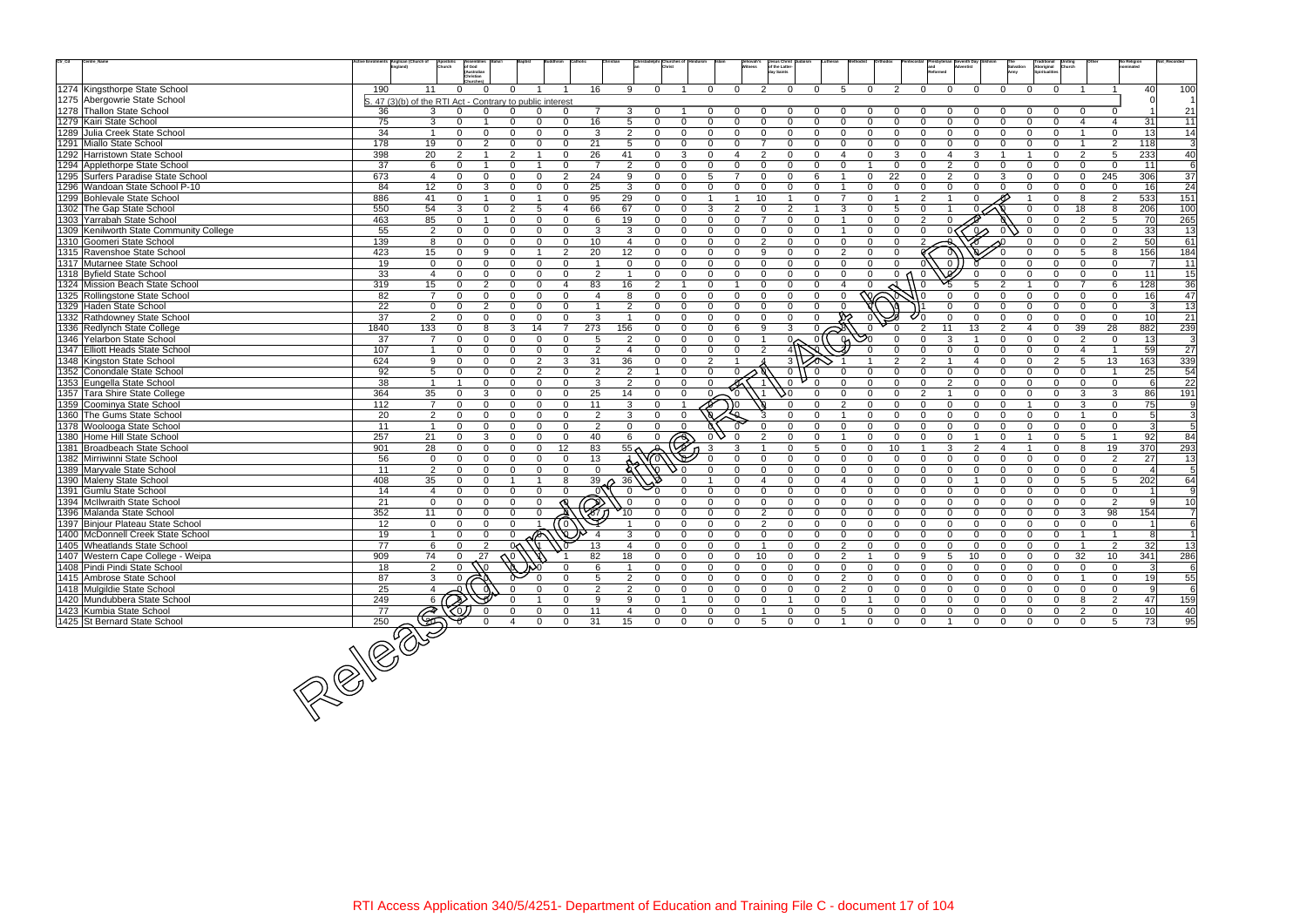| $\mathsf{Ctr}\_ \mathsf{Cd}$ | Centre_Name                                                        |                  | Active Enrolments Anglican (Church of<br>Church           | of God<br>(Australian            |                         |                         |                       |                         |                                  | Christadelphi Churches of                           |                          |                         | Jehovah's<br>Witness<br>day Saints | Jesus Christ Judaism<br>of the Latter- |                                                   |                      |                      |                |                |                |                          | Traditional<br>Aboriginal     |                            |                             | No Religion<br>nominated |                       |
|------------------------------|--------------------------------------------------------------------|------------------|-----------------------------------------------------------|----------------------------------|-------------------------|-------------------------|-----------------------|-------------------------|----------------------------------|-----------------------------------------------------|--------------------------|-------------------------|------------------------------------|----------------------------------------|---------------------------------------------------|----------------------|----------------------|----------------|----------------|----------------|--------------------------|-------------------------------|----------------------------|-----------------------------|--------------------------|-----------------------|
|                              |                                                                    |                  |                                                           | hristian <sup>*</sup>            |                         |                         |                       |                         |                                  |                                                     |                          |                         |                                    |                                        |                                                   |                      |                      |                |                |                |                          |                               |                            |                             |                          |                       |
|                              | 1274 Kingsthorpe State School                                      | 190              | 11                                                        | $\Omega$                         | $\Omega$                |                         |                       | 16                      | $\mathsf{Q}$                     | $\Omega$                                            | $\Omega$                 | $\Omega$                | $\mathcal{P}$                      | $\Omega$                               | 5<br>$\Omega$                                     | $\Omega$             | $\mathcal{P}$        | $\Omega$       | $\Omega$       | $\Omega$       | $\Omega$                 | $\Omega$<br>$\Omega$          |                            |                             | 40                       | 100                   |
|                              | 1275 Abergowrie State School                                       |                  | S. 47 (3)(b) of the RTI Act - Contrary to public interest |                                  |                         |                         |                       |                         |                                  |                                                     |                          |                         |                                    |                                        |                                                   |                      |                      |                |                |                |                          |                               |                            |                             |                          |                       |
|                              | 1278 Thallon State School                                          | 36               | 3                                                         |                                  | $\Omega$                | $\Omega$                |                       |                         | 3                                | 0                                                   |                          | $\Omega$                |                                    | $\Omega$                               | $\Omega$                                          |                      |                      |                |                |                |                          | $\mathbf{0}$                  | $\Omega$                   |                             |                          | 21                    |
|                              | 1279 Kairi State School                                            | 75               | 3                                                         | $\Omega$                         | $\Omega$                | $\Omega$                | $\Omega$              | 16                      | 5                                | $\Omega$<br>$\Omega$                                | 0                        | $\Omega$                | $\Omega$                           | $\Omega$                               | $\Omega$<br>$\Omega$                              | $\Omega$             | $\Omega$             | $\Omega$       | $\Omega$       | $\Omega$       | $\Omega$                 | $\Omega$<br>$\Omega$          | 4                          | $\overline{4}$              | 31                       | 11                    |
|                              | 1289 Julia Creek State School                                      | 34               | $\overline{1}$                                            | $\Omega$<br>$\Omega$             | $\Omega$                | $\Omega$                | $\Omega$              | 3                       | 2                                | $\Omega$<br>$\Omega$                                | $\Omega$                 | $\Omega$                | $\Omega$                           | $\Omega$                               | $\Omega$<br>$\Omega$                              | $\Omega$             | $\Omega$             | $\Omega$       | $\Omega$       | $\Omega$       | $\Omega$<br>$\Omega$     | $\Omega$                      | $\overline{1}$             | $\Omega$                    | 13                       | 14                    |
|                              | 1291 Miallo State School                                           | $\overline{178}$ | 19                                                        | $\overline{2}$<br>$\Omega$       | $\Omega$                | $\Omega$                | $\Omega$              | 21                      | 5                                | $\Omega$<br>$\Omega$                                | $\Omega$                 | $\Omega$                | $\overline{7}$                     | $\Omega$                               | $\Omega$<br>$\Omega$                              | $\Omega$             | $\Omega$             | $\Omega$       | $\Omega$       |                | $\Omega$                 | $\Omega$                      | $\overline{1}$             | 2                           | 118                      | $\overline{3}$        |
|                              | 1292 Harristown State School                                       | 398              | 20                                                        | $\overline{2}$                   | 2                       | -1                      | $\mathbf{0}$          | 26                      | 41                               | 3<br>$\Omega$                                       | $\Omega$                 | $\overline{4}$          | 2                                  | $\Omega$                               | O<br>$\overline{\mathcal{A}}$                     | $\Omega$             | 3                    | <sup>n</sup>   | $\overline{4}$ |                |                          | $\Omega$                      | $\mathcal{P}$              | 5                           | 233                      | 40                    |
|                              | 1294 Applethorpe State School                                      | 37               | 6                                                         | $\Omega$                         | $\Omega$                | -1                      | $\mathbf{0}$          | $\overline{7}$          | 2                                | $\Omega$<br>$\Omega$                                | 0                        | $\Omega$                | $\Omega$                           | $\Omega$                               | $\Omega$<br>$\Omega$                              |                      | $\Omega$             | $\Omega$       | 2              | $\Omega$       | $\Omega$<br>$\Omega$     | $\Omega$                      | $\Omega$                   | $\overline{0}$              | 11                       | 6                     |
|                              | 1295 Surfers Paradise State School                                 | 673              | $\overline{4}$                                            | $\Omega$<br>$\Omega$             | $\Omega$                | $\Omega$                | 2                     | 24                      | 9                                | $\Omega$<br>$\Omega$                                | 5                        | $\overline{7}$          | $\Omega$                           | $\Omega$                               | 6                                                 | $\Omega$             | 22                   | $\Omega$       | $\mathcal{P}$  | $\Omega$       | 3                        | $\Omega$                      | $\mathbf 0$                | 245                         | 306                      | $\overline{37}$       |
|                              | 1296 Wandoan State School P-10                                     | 84               | 12                                                        | 3<br>0                           | $\Omega$                | $\Omega$                | $\mathbf{0}$          | 25                      | 3                                | $\Omega$<br>$\Omega$                                | $\Omega$                 | $\Omega$                | $\Omega$                           | $\Omega$                               | $\Omega$                                          | $\Omega$             | $\Omega$             | U              | $\Omega$       |                | $\Omega$                 | $\Omega$                      | $\Omega$                   | $\Omega$                    | 16                       | 24                    |
|                              | 1299 Bohlevale State School                                        | 886              | 41                                                        | $\overline{1}$<br>$\Omega$       | $\Omega$                | $\overline{\mathbf{1}}$ | $\Omega$              | 95                      | 29                               | $\Omega$<br>$\Omega$                                |                          | $\overline{1}$          | 10                                 | $\overline{1}$                         | $\overline{7}$<br>$\Omega$                        | $\Omega$             | $\overline{1}$       | $\mathcal{P}$  |                |                |                          | $\Omega$                      | 8                          | 2                           | 533                      | 151                   |
|                              | 1302 The Gap State School                                          | 550              | 54                                                        | $\Omega$<br>3                    | 2                       | 5                       | $\boldsymbol{\Delta}$ | 66                      | 67                               | $\Omega$<br>$\Omega$                                | 3                        | $\overline{2}$          | $\Omega$                           | $\overline{2}$                         | 3                                                 | $\Omega$             | 5                    | $\cap$         |                |                |                          | $\Omega$                      | 18                         | 8                           | 206                      | 100                   |
|                              | 1303 Yarrabah State School                                         | 463              | 85                                                        | $\Omega$                         | $\Omega$                | $\Omega$                | $\Omega$              | 6                       | 19                               | $\mathbf 0$<br>$\Omega$                             | $\Omega$                 | $\Omega$                |                                    | $\Omega$                               | $\Omega$                                          | $\Omega$             | $\Omega$             | $\mathfrak{p}$ |                |                |                          | $\Omega$                      | 2                          | 5                           | 70                       | 265                   |
|                              | 1309 Kenilworth State Community College                            | 55               | 2                                                         | $\Omega$<br>$\Omega$<br>$\Omega$ | $\Omega$<br>$\Omega$    | $\Omega$                | $\Omega$              | 3                       | 3                                | $\mathbf 0$<br>$\mathbf{0}$                         | $\mathbf{0}$             | $\Omega$                | $\Omega$                           | $\Omega$                               | $\Omega$<br>$\overline{1}$                        | $\Omega$             | $\Omega$             | $\Omega$       |                | $\sim$         |                          | $\Omega$                      | $\Omega$                   | $\Omega$                    | 33                       | 13                    |
|                              | 1310 Goomeri State School                                          | 139              | 8                                                         | O<br>$\mathbf{Q}$                | $\Omega$                | $\Omega$                | $\Omega$              | 10 <sup>1</sup>         | $\overline{4}$                   | $\Omega$<br>$\Omega$<br>$\Omega$                    | $\Omega$<br>$\Omega$     | $\Omega$<br>$\Omega$    | 2<br>9                             | $\Omega$<br>$\Omega$                   | $\Omega$<br>$\Omega$<br>$\mathcal{P}$<br>$\Omega$ | $\Omega$<br>$\Omega$ | $\Omega$<br>$\Omega$ | $\mathcal{P}$  |                |                |                          | $\Omega$                      | $\mathbf{0}$               | $\overline{2}$              | 50                       | 61                    |
|                              | 1315 Ravenshoe State School                                        | 423              | 15<br>$\overline{0}$                                      | $\Omega$<br>$\Omega$<br>$\Omega$ | $\Omega$                | $\Omega$                | 2<br>$\Omega$         | 20<br>-1                | 12<br>$\Omega$                   | $\mathbf 0$<br>$\Omega$                             |                          |                         | $\Omega$                           | $\Omega$                               | $\Omega$<br>$\Omega$                              | $\Omega$             | $\cap$               |                |                |                |                          | $\Omega$                      | $\overline{5}$<br>$\Omega$ | 8<br>$\Omega$               | 156<br>$\overline{7}$    | 184                   |
|                              | 1317 Mutarnee State School                                         | 19<br>33         | $\overline{4}$                                            | $\Omega$<br>$\Omega$             | $\Omega$                | $\Omega$                | $\Omega$              | 2                       | $\overline{1}$                   | $\mathbf 0$<br>$\Omega$<br>$\overline{0}$           | $\mathbf{0}$<br>$\Omega$ | $\mathbf 0$<br>$\Omega$ | $\Omega$                           | $\Omega$                               | $\Omega$<br>$\Omega$                              | $\Omega$             | 0 <sub>0</sub>       | $\Omega$       |                |                | $\Omega$                 | $\Omega$                      | $\Omega$                   | $\mathbf 0$                 | 11                       | 11                    |
|                              | 1318 Byfield State School<br>1324 Mission Beach State School       | 319              | 15                                                        | 2<br>$\Omega$                    | $\Omega$                | $\Omega$                | $\overline{4}$        | 83                      | 16                               | $\overline{2}$<br>$\overline{1}$                    | $\Omega$                 |                         | $\Omega$                           | $\Omega$                               | $\Omega$<br>$\overline{4}$                        |                      |                      |                |                |                | $\mathcal{D}$            | $\Omega$                      | $\overline{7}$             | 6                           | 128                      | 15<br>36              |
|                              | 1325 Rollingstone State School                                     | 82               | $\overline{7}$                                            | $\Omega$<br>$\Omega$             | $\Omega$                | $\mathbf{0}$            | $\Omega$              | $\overline{\mathbf{4}}$ | 8                                | $\Omega$<br>$\mathbf 0$                             | $\Omega$                 | $\overline{0}$          | $\Omega$                           | $\Omega$                               | $\Omega$<br>$\Omega$                              |                      |                      |                |                |                | $\Omega$                 | $\Omega$                      | $\mathbf 0$                | $\Omega$                    | 16                       | 47                    |
|                              | 1329 Haden State School                                            | 22               | $\mathbf 0$                                               | 2<br>$\Omega$                    | $\Omega$                | $\Omega$                | $\Omega$              | $\overline{1}$          | $\mathcal{P}$                    | $\mathbf{0}$<br>$\Omega$                            | $\Omega$                 | $\Omega$                | $\Omega$                           | $\mathbf 0$                            | $\Omega$                                          |                      |                      |                |                |                | $\Omega$                 | $\Omega$                      | $\Omega$                   | $\mathbf 0$                 | $\mathbf{3}$             | 13                    |
|                              | 1332 Rathdowney State School                                       | 37               | $\overline{2}$                                            | $\Omega$<br>$\Omega$             | $\Omega$                | $\Omega$                | $\Omega$              | 3                       | $\overline{1}$                   | $\Omega$<br>$\Omega$                                | $\Omega$                 | $\Omega$                | $\Omega$                           | $\Omega$                               |                                                   |                      |                      |                |                |                |                          | $\Omega$                      | $\Omega$                   | $\Omega$                    | 10                       | 21                    |
|                              | 1336 Redlynch State College                                        | 1840             | $\overline{133}$                                          | 8<br>0                           | 3                       | 14                      | $\overline{7}$        | 273                     | 156                              | $\Omega$<br>$\Omega$                                | $\Omega$                 | 6                       | 9                                  | 3                                      | $\Omega$<br>$\approx$                             |                      |                      |                | 11             | 13             | $\overline{2}$           | $\mathbf 0$                   | 39                         | 28                          | 882                      | 239                   |
|                              | 1346 Yelarbon State School                                         | 37               | $\overline{7}$                                            | $\Omega$<br>$\Omega$             | $\Omega$                | $\Omega$                | $\Omega$              | 5                       | $\overline{2}$                   | $\Omega$<br>$\overline{0}$                          | $\Omega$                 | $\Omega$                |                                    | $\infty$                               | $\overline{0}$                                    | $\infty$<br>ଜ        | $\Omega$             | $\Omega$       | 3              |                | $\Omega$                 | $\Omega$<br>$\Omega$          | 2                          | $\mathbf{0}$                | 13                       | 3                     |
|                              | 1347 Elliott Heads State School                                    | 107              | $\overline{1}$                                            | $\Omega$<br>$\Omega$             | $\Omega$                | $\Omega$                | $\Omega$              | 2                       | $\overline{4}$                   | $\Omega$<br>$\Omega$                                | $\Omega$                 | $\Omega$                | 2                                  |                                        |                                                   |                      | $\Omega$             | ∩              | $\Omega$       | $\Omega$       | $\Omega$<br>$\Omega$     | $\Omega$                      | $\mathbf 4$                |                             | 59                       | $\overline{27}$       |
|                              | 1348 Kingston State School                                         | 624              | 9                                                         | $\Omega$<br>$\Omega$             | $\Omega$                | 2                       | $\mathbf{3}$          | 31                      | 36                               | $\mathbf{0}$<br>$\mathbf 0$                         | 2                        |                         |                                    | $3^{\circ}$                            |                                                   |                      | $\overline{2}$       | $\overline{2}$ |                |                | $\Omega$                 | 2                             | 5                          | 13                          | 163                      | 339                   |
|                              | 1352 Conondale State School                                        | 92               | $5\phantom{.0}$                                           | $\Omega$<br>$\Omega$             | $\Omega$                | 2                       | $\Omega$              | 2                       | $\overline{2}$                   | $\Omega$                                            | $\Omega$                 | $\Omega$                |                                    | $\overline{0}$                         | $\Omega$                                          |                      | $\Omega$             | $\Omega$       | $\Omega$       | $\Omega$       | $\Omega$                 | $\Omega$<br>$\Omega$          | $\Omega$                   |                             | 25                       | 54                    |
|                              | 1353 Eungella State School                                         | 38               | $\overline{1}$                                            | $\Omega$                         | $\Omega$                | $\Omega$                | $\Omega$              | 3                       | 2                                | $\Omega$<br>$\Omega$                                | $\Omega$                 |                         |                                    | $\Omega$                               |                                                   |                      | $\Omega$             | $\Omega$       | 2              | $\Omega$       | $\Omega$<br>$\Omega$     | $\Omega$                      | $\Omega$                   | $\Omega$                    | 6                        | 22                    |
|                              | 1357 Tara Shire State College                                      | 364              | 35                                                        | 3<br>$\Omega$                    | $\Omega$                | $\Omega$                | $\Omega$              | 25                      | 14                               | $\Omega$<br>$\mathbf{0}$                            | $0 -$                    |                         |                                    | ١Λ                                     | $\Omega$                                          | $\Omega$             | $\Omega$             | 2              |                | $\Omega$       | $\Omega$<br>$\Omega$     | $\Omega$                      | 3                          | 3                           | 86                       | 191                   |
|                              | 1359 Coominya State School                                         | $\frac{11}{2}$   | $\overline{7}$                                            | $\Omega$<br>$\Omega$             | $\Omega$                | $\Omega$                | $\Omega$              | 11                      | 3                                | $\Omega$                                            |                          | 0 (                     |                                    | $\Omega$                               | $\overline{2}$                                    | $\Omega$             | $\Omega$             | $\Omega$       | $\Omega$       | $\Omega$       | $\Omega$                 | $\Omega$                      | 3                          | $\Omega$                    | 75                       | 9                     |
|                              | 1360 The Gums State School                                         | 20               | $\overline{2}$                                            | $\Omega$<br>$\Omega$             | $\Omega$                | $\Omega$                | $\Omega$              | 2                       | 3                                | $\mathbf{0}$<br>$\Omega$                            |                          |                         |                                    | $\Omega$                               |                                                   | $\Omega$             | $\Omega$             | $\Omega$       | $\Omega$       | $\Omega$       | $\Omega$                 | $\Omega$<br>$\Omega$          | $\overline{1}$             | $\mathbf 0$                 | 5 <sup>1</sup>           | 3                     |
|                              | 1378 Woolooga State School                                         | 11               | $\overline{1}$                                            | $\Omega$<br>$\Omega$             | $\Omega$                | $\Omega$                | $\Omega$              | $\overline{2}$          | $\Omega$                         | $\Omega$<br>$\Omega$                                |                          |                         |                                    | $\Omega$                               | $\Omega$<br>U                                     | $\Omega$             | $\Omega$             | $\Omega$       | $\Omega$       | $\Omega$       | $\Omega$                 | $\Omega$<br>$\Omega$          | $\mathbf{0}$               | $\Omega$                    | 3 <sup>l</sup>           | $\overline{5}$        |
|                              | 1380 Home Hill State School                                        | 257              | 21                                                        | 3<br>$\Omega$                    | U                       | $\Omega$                | $\Omega$              | 40                      | 6                                | $\bigcirc$<br>$\Omega$                              |                          | $_{0}$ $\vee$<br>- 0    |                                    | $\Omega$                               | $\Omega$                                          | $\Omega$             | $\Omega$             | $\Omega$       | $\Omega$       |                | $\Omega$                 | $\Omega$                      | 5                          |                             | 92                       | 84                    |
|                              | 1381 Broadbeach State School                                       | 901              | 28                                                        | $\Omega$<br>$\Omega$             | $\Omega$                | $\mathbf 0$             | 12                    | 83                      | 55 <sub>2</sub>                  | $\Omega$                                            | 3                        | 3                       |                                    | $\Omega$                               | 5<br>$\Omega$                                     | $\Omega$             | 10                   |                | 3              | $\mathcal{P}$  | $\overline{4}$           | $\Omega$                      | 8                          | 19                          | 370                      | 293                   |
|                              | 1382 Mirriwinni State School                                       | 56               | $\mathbf 0$                                               | $\Omega$<br>$\Omega$             | $\Omega$                | $\Omega$                | $\overline{0}$        | 13                      |                                  | ⋒                                                   |                          | $\Omega$                | $\Omega$                           | $\Omega$                               | $\Omega$<br>$\Omega$                              | $\Omega$             | $\Omega$             | $\Omega$       | $\Omega$       | $\Omega$       | $\Omega$                 | $\mathbf 0$<br>$\Omega$       | $\Omega$                   | $\overline{2}$              | 27                       | 13                    |
|                              | 1389 Maryvale State School                                         | 11               | 2                                                         | $\Omega$<br>$\Omega$             | $\Omega$                | $\Omega$                | $\Omega$              | $\mathbf 0$             |                                  | ♦ ٥                                                 | $\Omega$                 | $\Omega$                | $\Omega$                           | $\Omega$                               | $\Omega$<br>$\Omega$                              | $\Omega$             | $\Omega$             | $\Omega$       | $\Omega$       | $\Omega$       | $\Omega$                 | $\Omega$<br>$\Omega$          | $\Omega$                   | $\Omega$                    | $\overline{a}$           | 5                     |
|                              | 1390 Maleny State School                                           | 408              | 35                                                        | $\Omega$<br>$\Omega$             | $\overline{\mathbf{1}}$ | $\overline{1}$          | 8                     | 39                      | 36                               | $\Omega$                                            |                          | $\Omega$                | 4                                  | $\Omega$                               | $\overline{4}$<br>$\Omega$                        | $\Omega$             | $\mathbf 0$          | $\Omega$       | $\Omega$       |                | $\Omega$                 | $\Omega$<br>$\Omega$          | -5                         | 5                           | 202                      | 64                    |
|                              | 1391 Gumlu State School                                            | 14               | $\overline{4}$                                            | $\Omega$<br>$\Omega$             | $\Omega$                | $\Omega$                | $\Omega$              | $_{0}$                  | $\Omega$                         | $\Omega$<br>$\Omega$                                | 0                        | $\overline{0}$          | $\Omega$                           | $\Omega$                               | $\Omega$<br>$\Omega$                              | $\Omega$             | $\Omega$             | $\Omega$       | $\Omega$       | $\Omega$       | $\Omega$                 | $\Omega$<br>$\Omega$          | $\Omega$                   | $\mathbf{0}$                |                          | 9                     |
|                              | 1394 McIlwraith State School                                       | 21               | $\mathbf 0$                                               | $\Omega$<br>$\Omega$             | $\Omega$                | $\Omega$                |                       | Z<br>K1                 |                                  | $\Omega$                                            | $\Omega$                 | $\Omega$                | $\Omega$                           | $\Omega$                               | $\Omega$<br>$\Omega$                              | $\Omega$             | $\Omega$             | $\Omega$       | $\Omega$       | $\Omega$       | $\Omega$                 | $\Omega$<br>$\Omega$          | $\Omega$                   | $\overline{2}$              | 9                        | 10                    |
|                              | 1396 Malanda State School                                          | 352              | 11                                                        | $\Omega$<br>$\Omega$             | $\Omega$                | $\Omega$                |                       |                         |                                  | $\Omega$<br>$\Omega$                                | $\Omega$                 | $\overline{0}$          | 2                                  | $\mathbf 0$                            | $\Omega$<br>$\Omega$                              | $\Omega$             | $\Omega$             | $\Omega$       | $\Omega$       | $\Omega$       | $\Omega$                 | $\Omega$<br>$\Omega$          | 3                          | 98                          | 154                      | $\overline{7}$        |
|                              | 1397 Binjour Plateau State School                                  | 12               | $\mathbf 0$                                               | $\Omega$<br>$\Omega$             | $\Omega$                |                         | (0)                   |                         |                                  | $\mathbf 0$<br>$\Omega$                             | $\mathbf 0$              | $\overline{0}$          | 2                                  | $\Omega$                               | $\Omega$<br>$\Omega$                              | $\Omega$             | $\Omega$             | $\Omega$       | $\Omega$       | $\Omega$       | $\Omega$                 | $\Omega$<br>$\Omega$          | $\Omega$                   | $\overline{0}$              |                          | 6                     |
|                              | 1400   McDonnell Creek State School                                | 19               |                                                           | $\Omega$<br>າ                    |                         |                         | n.                    | 13                      | 3                                | $\Omega$<br>$\Omega$                                | $\Omega$                 | $\overline{0}$          | $\Omega$                           | $\Omega$                               | $\Omega$<br>$\Omega$                              | $\Omega$             | $\Omega$             | $\Omega$       | $\Omega$       | $\Omega$       | $\Omega$                 | $\Omega$<br>$\Omega$          |                            |                             | 8 <sup>1</sup>           | $\overline{1}$        |
|                              | 1405 Wheatlands State School                                       | 77               |                                                           |                                  |                         | 0 <sub>0</sub><br>м     |                       |                         |                                  | $\Omega$<br>$\Omega$                                | $\Omega$                 | $\Omega$                |                                    | $\Omega$                               | 2<br>$\Omega$                                     | $\Omega$             | $\Omega$             | $\Omega$       | $\cap$         | $\Omega$       | $\Omega$                 | $\Omega$<br>$\Omega$          |                            | $\mathcal{P}$               | 32                       | 13                    |
|                              | 1407 Western Cape College - Weipa<br>1408 Pindi Pindi State School | 909              | 74<br>$\overline{2}$                                      | 27<br>$\mathbf{0}$               |                         |                         |                       | 82<br>6                 | 18                               | $\mathbf 0$<br>$\mathbf{0}$<br>$\Omega$<br>$\Omega$ | $\mathbf{0}$<br>$\Omega$ | $\mathbf 0$<br>$\Omega$ | 10<br>$\Omega$                     | $\Omega$<br>$\Omega$                   | $\mathbf{0}$<br>2<br>$\Omega$                     | $\Omega$             | $\Omega$             | 9<br>$\Omega$  | 5<br>$\Omega$  | 10<br>$\Omega$ | $\mathbf{0}$<br>$\Omega$ | $\mathbf{0}$<br>$\mathbf 0$   | 32                         | 10 <sup>°</sup><br>$\Omega$ | 341<br>$\overline{3}$    | 286<br>$\overline{6}$ |
|                              | 1415 Ambrose State School                                          | 18               |                                                           |                                  |                         |                         |                       |                         |                                  | $\mathbf 0$                                         |                          |                         | $\mathbf 0$                        |                                        | 0                                                 |                      |                      | $\Omega$       | $\Omega$       |                | $\mathbf 0$              |                               | $\mathbf 0$                |                             |                          |                       |
|                              | 1418 Mulgildie State School                                        | 87<br>25         | $\mathbf{3}$<br>$\overline{4}$                            |                                  |                         |                         | $\Omega$              | 5<br>$\overline{2}$     | $\overline{2}$<br>$\overline{2}$ | $\mathbf 0$<br>$\Omega$<br>$\Omega$                 | 0<br>0                   | $\mathbf 0$<br>0        | $\Omega$                           | $\mathbf 0$<br>$\Omega$                | $\overline{c}$<br>$\overline{2}$<br>0             | $\Omega$             | 0<br>$\Omega$        | $\Omega$       | $\Omega$       | $\Omega$       | $\Omega$                 | 0<br>$\Omega$<br>$\mathbf{0}$ | $\mathbf 0$                | $\mathbf 0$<br>$\mathbf 0$  | 19<br>-91                | 55<br>6               |
|                              | 1420 Mundubbera State School                                       | 249              | 6(                                                        |                                  |                         |                         | $\Omega$              | 9                       | 9                                | $\mathbf 0$                                         | 0                        | $\mathbf 0$             | 0                                  |                                        | $\mathbf 0$<br>0                                  |                      | $\mathbf 0$          | $\Omega$       | $\Omega$       | $\Omega$       | $\mathbf{0}$             | $\Omega$                      | 8                          | $\overline{2}$              | 47                       | 159                   |
|                              | 1423 Kumbia State School                                           | 77               |                                                           |                                  |                         | 0                       | 0                     | 11                      | $\overline{4}$                   | 0<br>0                                              | 0                        | $\mathbf 0$             |                                    | $\mathbf 0$                            | 0<br>5                                            |                      | 0                    | $\Omega$       | $\mathbf 0$    |                | 0                        | 0                             | 2                          | $\mathbf 0$                 | 10                       | 40                    |
|                              | 1425 St Bernard State School                                       | 250              |                                                           |                                  | $\boldsymbol{\Delta}$   | $\Omega$                | $\Omega$              | 31                      | 15                               | $\mathbf 0$<br>$\mathbf{0}$                         | $\overline{0}$           | $\mathbf 0$             | 5                                  | $\mathbf 0$                            | $\overline{0}$                                    | $\Omega$             | $\Omega$             | $\mathbf{0}$   |                | $\Omega$       | $\mathbf{0}$             | $\Omega$<br>0                 | $\mathbf{0}$               | 5                           | 73                       | 95                    |
|                              |                                                                    |                  | \$                                                        |                                  |                         |                         |                       |                         |                                  |                                                     |                          |                         |                                    |                                        |                                                   |                      |                      |                |                |                |                          |                               |                            |                             |                          |                       |
|                              | 250                                                                |                  |                                                           |                                  |                         |                         |                       |                         |                                  |                                                     |                          |                         |                                    |                                        |                                                   |                      |                      |                |                |                |                          |                               |                            |                             |                          |                       |
|                              |                                                                    |                  |                                                           |                                  |                         |                         |                       |                         |                                  |                                                     |                          |                         |                                    |                                        |                                                   |                      |                      |                |                |                |                          |                               |                            |                             |                          |                       |
|                              |                                                                    |                  |                                                           |                                  |                         |                         |                       |                         |                                  |                                                     |                          |                         |                                    |                                        |                                                   |                      |                      |                |                |                |                          |                               |                            |                             |                          |                       |
|                              |                                                                    |                  |                                                           |                                  |                         |                         |                       |                         |                                  |                                                     |                          |                         |                                    |                                        |                                                   |                      |                      |                |                |                |                          |                               |                            |                             |                          |                       |
|                              |                                                                    |                  |                                                           |                                  |                         |                         |                       |                         |                                  |                                                     |                          |                         |                                    |                                        |                                                   |                      |                      |                |                |                |                          |                               |                            |                             |                          |                       |
|                              |                                                                    |                  |                                                           |                                  |                         |                         |                       |                         |                                  |                                                     |                          |                         |                                    |                                        |                                                   |                      |                      |                |                |                |                          |                               |                            |                             |                          |                       |
|                              |                                                                    |                  |                                                           |                                  |                         |                         |                       |                         |                                  |                                                     |                          |                         |                                    |                                        |                                                   |                      |                      |                |                |                |                          |                               |                            |                             |                          |                       |
|                              |                                                                    |                  |                                                           |                                  |                         |                         |                       |                         |                                  |                                                     |                          |                         |                                    |                                        |                                                   |                      |                      |                |                |                |                          |                               |                            |                             |                          |                       |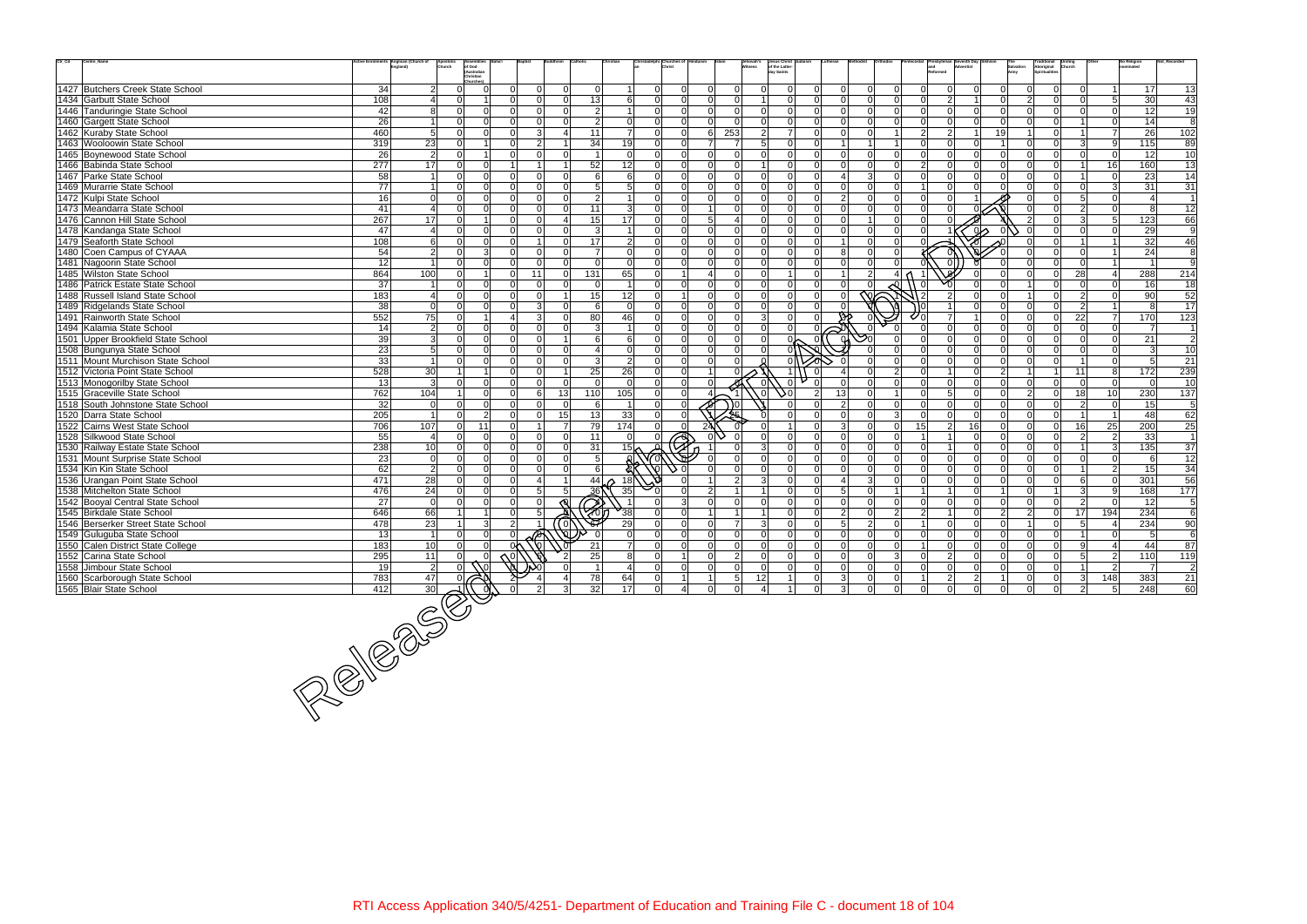| $\mathrm{Ctr}\_ \mathrm{Cd}$ | Centre_Name                        | ctive Enrolments Anglican (Church of | Apostolic<br>Church                 | of God                                 |                |                                        |                               | Christadelphi Churches of       |          | Jehovah's<br>Witness          | Jesus Christ<br>of the Latter- |               |                         |                     |                                  |                      |              | Salvation      |                | Traditional Uniting<br>Aboriginal Church<br>Spiritualities |                                            | <b>No Religion</b> | Not Recorde             |
|------------------------------|------------------------------------|--------------------------------------|-------------------------------------|----------------------------------------|----------------|----------------------------------------|-------------------------------|---------------------------------|----------|-------------------------------|--------------------------------|---------------|-------------------------|---------------------|----------------------------------|----------------------|--------------|----------------|----------------|------------------------------------------------------------|--------------------------------------------|--------------------|-------------------------|
|                              |                                    |                                      |                                     | (Australian<br>Christian               |                |                                        |                               |                                 |          |                               | dav Saints                     |               |                         |                     |                                  |                      |              | Army           |                |                                                            |                                            |                    |                         |
|                              | 1427 Butchers Creek State School   | 34                                   | 2 <sup>1</sup>                      | Churches <sup>®</sup><br>$\Omega$      | $\Omega$       | $\Omega$<br>$\Omega$<br>$\Omega$       |                               | $\overline{0}$<br>$\Omega$      |          | $\Omega$<br>$\Omega$          |                                |               | $\Omega$                | $\Omega$            | $\Omega$                         | $\Omega$             | $\Omega$     | $\Omega$       |                | $\overline{0}$                                             | $\Omega$                                   | 17                 | 13                      |
|                              | 1434 Garbutt State School          | 108                                  | Δ                                   | $\Omega$                               | nΙ             | $\Omega$<br>13<br>$\Omega$             | 6                             | $\Omega$<br>$\Omega$            | ΩI       | $\Omega$                      | $\Omega$                       |               |                         | $\Omega$            | $\Omega$                         | $\overline{2}$       |              | $\overline{0}$ | $\mathcal{D}$  | $\overline{0}$                                             | 5<br>$\Omega$                              | 30                 | 43                      |
|                              | 1446 Tanduringie State School      | 42                                   | 81                                  | $\Omega$<br>$\Omega$                   | $\Omega$       | $\Omega$<br>$\Omega$                   | $\overline{2}$<br>$\vert$ 1   | $\overline{0}$<br><sup>ol</sup> | $\Omega$ | $\Omega$<br>$\Omega$          | $\Omega$                       |               | $\Omega$                | $\Omega$            | $\Omega$                         | $\Omega$             | $\Omega$     | $\overline{0}$ | $\Omega$       | $\Omega$                                                   | $\Omega$<br>$\Omega$                       | 12                 | 19                      |
|                              | 1460 Gargett State School          | $\overline{26}$                      |                                     | $\Omega$<br>$\Omega$                   | $\Omega$       | $\Omega$<br>$\Omega$                   | $\overline{2}$<br>$\mathbf 0$ | $\Omega$<br>$\Omega$            |          | $\Omega$                      | $\Omega$                       |               | $\Omega$                |                     | $\Omega$                         | $\Omega$             |              | $\Omega$       |                | $\Omega$                                                   | $\Omega$                                   | 14                 | 8                       |
|                              | 1462 Kuraby State School           | 460                                  | 5 <sup>1</sup>                      | $\Omega$<br>$\Omega$                   | $\Omega$       | $\overline{3}$<br>11<br>$\overline{a}$ | $\overline{7}$                | $\Omega$<br>$\Omega$            | 61       | 253<br>$\overline{2}$         | $\overline{7}$                 | $\Omega$      | $\Omega$                | $\Omega$            | $\overline{2}$<br>11             | $\vert$ 2            |              | 19             |                | $\overline{0}$                                             | $\overline{7}$<br>-11                      | 26                 | 102                     |
|                              |                                    | 319                                  |                                     | $\Omega$                               | $\Omega$       | 34<br>$\overline{2}$<br>-1             |                               | $\overline{0}$<br>$\Omega$      |          | $\overline{7}$<br>$5^{\circ}$ | $\Omega$                       |               | $\overline{1}$          | $\overline{1}$      | 11<br>$\cap$                     | 0l                   | $\Omega$     |                | $\Omega$       | $\Omega$                                                   | $\overline{3}$<br>-91                      | 115                |                         |
|                              | 1463 Wooloowin State School        |                                      | 23<br>$\overline{2}$                | $\Omega$                               | $\Omega$       | $\Omega$<br>$\Omega$                   | 19<br>$\Omega$                | $\Omega$<br>$\Omega$            | $\cap$   | $\Omega$                      | $\Omega$                       |               | $\Omega$                | $\Omega$            | $\Omega$<br>$\Omega$             | n l                  | $\Omega$     | $\Omega$       | $\Omega$       | $\Omega$                                                   | $\Omega$<br>$\Omega$                       |                    | 89                      |
|                              | 1465 Boynewood State School        | 26                                   |                                     | $\Omega$                               |                |                                        |                               | $\Omega$                        |          | $\Omega$                      |                                |               | $\Omega$                | $\Omega$            | $\Omega$<br>$\mathcal{P}$        | $\Omega$             |              | $\Omega$       |                |                                                            |                                            | 12                 | 10                      |
|                              | 1466 Babinda State School          | 277                                  | 17                                  | $\Omega$                               |                | 52<br>1                                | 12                            | $\Omega$                        | ΩI       |                               | $\Omega$                       |               |                         |                     |                                  |                      |              |                | $\cap$         | $\overline{0}$                                             | 16<br>-1                                   | 160                | 13                      |
|                              | 1467 Parke State School            | 58                                   | $\overline{1}$                      | $\Omega$<br>$\Omega$                   | $\Omega$       | $\Omega$<br>$\Omega$                   | 6<br>6                        | $\Omega$<br>$\Omega$            |          | $\Omega$<br>$\Omega$          | $\Omega$                       | $\cap$        | $\overline{\mathbf{A}}$ | $\overline{3}$      | $\Omega$<br>U.                   | n l                  | $\Omega$     | $\Omega$       |                | $\overline{0}$                                             | $\Omega$<br>$\mathbf{1}$                   | 23                 | 14                      |
|                              | 1469 Murarrie State School         | 77                                   |                                     | $\Omega$<br>$\Omega$                   | $\Omega$       | $\Omega$<br>$\Omega$                   | $5\overline{)}$<br>5          | $\Omega$<br>$\Omega$            |          |                               | $\Omega$                       |               | $\Omega$                |                     | $\Omega$                         | $\Omega$             |              | $\Omega$       |                | $\Omega$                                                   | 3 <br>$\Omega$                             | 31                 | 31                      |
|                              | 1472 Kulpi State School            | 16                                   | 0                                   | $\Omega$<br>$\Omega$                   | ΩL             | $\Omega$<br>$\Omega$                   | $\mathcal{P}$                 | $\Omega$                        |          |                               | $\Omega$                       |               | $\overline{2}$          |                     | $\Omega$                         | $\Omega$             |              |                |                | $\Omega$                                                   | 5 <sup>1</sup><br>$\Omega$                 |                    | $\overline{1}$          |
|                              | 1473 Meandarra State School        | 41                                   | $\overline{4}$                      | $\overline{0}$<br>$\Omega$             | $\Omega$       | 11<br>$\Omega$<br>$\Omega$             | $\mathbf{3}$                  | $\overline{0}$<br>$\Omega$      |          | $\Omega$                      | $\Omega$                       |               | $\Omega$                | $\Omega$            | $\Omega$                         |                      |              |                |                | $\overline{0}$                                             | $\overline{2}$<br>$\Omega$                 | 8                  | $\overline{12}$         |
|                              | 1476 Cannon Hill State School      | 267                                  | 17                                  | $\Omega$                               | $\Omega$       | 15<br>$\Omega$<br>4                    | 17                            | $\Omega$<br>$\Omega$            |          |                               | $\Omega$                       |               | $\Omega$                |                     | $\Omega$                         |                      |              |                |                | $\Omega$                                                   | 5<br>3                                     | 123                | 66                      |
|                              | 1478 Kandanga State School         | 47                                   | $\overline{4}$                      | $\Omega$<br>$\Omega$                   | $\Omega$       | ി<br>$\Omega$                          | 3                             | $\Omega$<br>$\Omega$            |          |                               | $\Omega$                       |               | $\Omega$                | $\Omega$            | $\Omega$                         |                      | $\sim$       |                |                | $\Omega$                                                   | $\Omega$<br>$\Omega$                       | 29                 | $\overline{9}$          |
|                              | 1479 Seaforth State School         | 108                                  | 6                                   | $\Omega$<br>$\Omega$                   | $\Omega$       | 17<br>$\Omega$                         | $\overline{2}$                | $\overline{0}$<br>$\Omega$      |          | $\Omega$<br>$\Omega$          | $\Omega$                       |               |                         | $\Omega$            | $\Omega$                         |                      |              |                |                | $\Omega$                                                   |                                            | 32                 | 46                      |
|                              | 1480 Coen Campus of CYAAA          | 54                                   | $\overline{2}$                      | $\mathbf{3}$<br>$\Omega$               | $\Omega$       | $\Omega$<br>$\Omega$<br>$\overline{7}$ | $\Omega$                      | $\Omega$<br>$\Omega$            |          | $\Omega$                      | $\Omega$                       |               | 8                       |                     | $\Omega$                         |                      |              |                |                | $\Omega$                                                   | $\Omega$<br>$\overline{1}$                 | 24                 | 8                       |
|                              | 1481 Nagoorin State School         | 12                                   |                                     | $\Omega$<br>$\Omega$                   | $\Omega$       | $\Omega$<br>$\Omega$<br>$\Omega$       | $\Omega$                      | $\overline{0}$<br>$\Omega$      |          | $\Omega$<br>$\Omega$          | $\Omega$                       |               | $\Omega$                | $\Omega$            |                                  |                      |              | $\Omega$       |                | $\Omega$                                                   | $\Omega$<br>$\overline{1}$                 |                    | 9                       |
|                              | 1485 Wilston State School          | 864                                  | 100                                 | $\Omega$                               | $\Omega$       | 11<br>131<br>$\overline{0}$            | 65                            | $\overline{0}$                  |          | $\Omega$<br>$\Omega$          |                                |               |                         | $\overline{2}$      | $\overline{a}$                   |                      |              | $\Omega$       |                | $\overline{0}$                                             | 28<br>$\overline{4}$                       | 288                | 214                     |
|                              | 1486 Patrick Estate State School   | 37                                   | $\overline{1}$                      | $\Omega$<br>$\overline{0}$             | $\Omega$       | $\Omega$<br>$\Omega$<br>$\Omega$       |                               | $\overline{0}$<br>n l           |          | $\Omega$                      | $\Omega$                       |               |                         |                     |                                  |                      |              |                |                | $\overline{0}$                                             | $\Omega$<br>$\Omega$                       | 16                 | 18                      |
|                              | 1488 Russell Island State School   | 183                                  | $\overline{\mathcal{A}}$            | $\Omega$<br>$\Omega$                   | $\Omega$       | 15<br>$\Omega$<br>1                    | 12                            | $\overline{0}$                  |          | $\Omega$<br>$\Omega$          | $\Omega$                       |               | $\Omega$                | $\overline{\infty}$ |                                  | $\mathcal{P}$        |              | $\Omega$       |                | $\Omega$                                                   | $\overline{2}$<br>$\Omega$                 | 90                 | 52                      |
|                              | 1489 Ridgelands State School       | 38                                   | 0                                   | $\Omega$<br>$\Omega$                   | $\Omega$       | 3<br>$\Omega$                          | $\Omega$<br>6                 | $\Omega$<br>$\Omega$            |          | $\Omega$                      | $\Omega$                       |               |                         |                     |                                  |                      |              | $\Omega$       |                | $\overline{0}$                                             | $\overline{2}$                             | 8                  | 17                      |
|                              | 1491 Rainworth State School        | 552                                  | 75                                  | $\Omega$<br>$\overline{1}$             | $\overline{4}$ | $\overline{3}$<br>80<br>$\Omega$       | 46                            | $\Omega$<br>$\Omega$            | $\Omega$ | $\mathcal{R}$<br>$\Omega$     | $\Omega$                       |               |                         |                     |                                  |                      |              | $\Omega$       | $\cap$         | $\overline{0}$                                             | 22<br>$\overline{7}$                       | 170                | 123                     |
|                              | 1494 Kalamia State School          | 14                                   | $\vert$ 2                           | $\overline{0}$<br>$\Omega$             | $\Omega$       | $\Omega$<br>$\Omega$                   | $\overline{3}$<br>-1          | $\overline{0}$<br><sup>0</sup>  | $\Omega$ | $\Omega$<br>$\Omega$          | $\overline{0}$                 |               |                         |                     |                                  | $\Omega$             | $\Omega$     | $\overline{0}$ | $\Omega$       | $\overline{0}$                                             | <sup>0</sup><br>$\Omega$                   | 7                  | $\overline{1}$          |
|                              | 1501 Upper Brookfield State School | 39                                   | 3                                   | $\cap$<br>$\Omega$                     | $\Omega$       | ി<br>$\overline{1}$                    | 6<br>6                        | $\Omega$<br>$\Omega$            |          | $\Omega$                      |                                |               |                         |                     |                                  | $\Omega$             | $\Omega$     | $\Omega$       | $\cap$         | $\overline{0}$                                             | $\Omega$<br>$\Omega$                       | 21                 | $\overline{2}$          |
|                              | 1508 Bungunya State School         | 23                                   | 5 <sup>1</sup>                      | $\Omega$                               | $\Omega$       | $\Omega$<br>$\Omega$                   | $\mathbf 0$                   | $\Omega$<br>$\Omega$            |          |                               |                                |               |                         |                     |                                  | $\Omega$             | $\Omega$     | $\overline{0}$ | $\Omega$       | $\overline{0}$                                             | $\Omega$<br>$\Omega$                       | 3                  | 10                      |
|                              | 1511 Mount Murchison State School  | 33                                   | $\overline{1}$                      | $\Omega$<br>$\Omega$                   | $\Omega$       | $\Omega$<br>ി                          | $\overline{2}$<br>3           | $\overline{0}$<br>$\Omega$      |          |                               |                                |               |                         |                     | $\Omega$                         | n l                  | $\Omega$     | $\overline{0}$ | $\cap$         | $\Omega$                                                   | n l<br>$\overline{1}$                      | 5 <sup>1</sup>     | 21                      |
|                              | 1512 Victoria Point State School   | 528                                  | 30 <sup>°</sup>                     |                                        | $\Omega$       | 25<br>$\Omega$<br>$\overline{1}$       | 26                            | $\overline{0}$<br>$\Omega$      |          |                               |                                |               |                         |                     | 2                                |                      | $\Omega$     | $\mathcal{P}$  |                | $\overline{1}$                                             | 11<br>8                                    | 172                | 239                     |
|                              | 1513 Monogorilby State School      | 13                                   | 3                                   | $\Omega$                               | $\Omega$       | $\Omega$<br>$\Omega$                   | $\Omega$                      | $\Omega$                        |          |                               |                                |               |                         |                     | $\Omega$                         | $\Omega$             |              | $\Omega$       | $\Omega$       | $\overline{0}$                                             | $\Omega$<br>$\Omega$                       | $\Omega$           | 10                      |
|                              | 1515 Graceville State School       | 762                                  | 104                                 | $\overline{0}$                         | $\Omega$       | 13<br>110<br>6                         | 105                           | $\overline{0}$<br>n l           |          | $\overline{0}$                | 50                             | $\mathcal{P}$ | 13                      | $\Omega$            | $1\vert$                         | 5 <sup>1</sup><br>n١ | $\Omega$     | $\overline{0}$ | $\mathcal{P}$  | $\overline{0}$                                             | 18 <sup>1</sup><br>10 <sup>1</sup>         | 230                | 137                     |
|                              | 1518 South Johnstone State School  | 32                                   | 0                                   | $\Omega$<br>$\Omega$                   | $\Omega$       | $\Omega$<br>$\Omega$                   | $\overline{1}$<br>6           | $\overline{0}$                  |          |                               |                                |               | $\overline{2}$          |                     | $\Omega$<br>n١                   | nl                   | $\Omega$     | $\Omega$       | $\Omega$       | $\Omega$                                                   | $\overline{2}$<br>$\Omega$                 | 15                 | 5                       |
|                              | 1520 Darra State School            | 205                                  |                                     | 2 <sup>1</sup>                         | $\Omega$       | 13<br>$\Omega$<br>15 <sup>1</sup>      | 33                            | $\Omega$                        |          |                               |                                |               | $\Omega$                |                     | $\overline{3}$                   |                      | <sup>n</sup> | $\Omega$       |                | $\Omega$                                                   |                                            | 48                 | 62                      |
|                              | 1522 Cairns West State School      | 706                                  | 107                                 | 11<br>$\overline{0}$                   | $\Omega$       | 79<br>$\overline{7}$                   | 174                           | $\overline{0}$<br>$\Omega$      |          |                               |                                |               | 3                       | $\Omega$            | $\overline{0}$<br>15             | $\vert$ 2            | 16           | $\overline{0}$ | $\Omega$       | $\overline{0}$                                             | 25<br>16                                   | 200                | $\overline{25}$         |
|                              | 1528 Silkwood State School         | 55                                   | $\overline{\mathcal{A}}$            | $\Omega$<br>$\Omega$                   | $\Omega$       | $\Omega$<br>11<br>$\Omega$             | $\Omega$                      | $\overline{0}$                  |          |                               |                                |               | $\Omega$                | $\Omega$            | $\Omega$                         |                      | $\Omega$     | $\Omega$       | n l            | $\Omega$                                                   | $\overline{2}$<br>$\overline{2}$           | 33                 | $\overline{1}$          |
|                              |                                    |                                      |                                     | $\Omega$<br>$\Omega$                   | $\Omega$       | $\Omega$<br>$\Omega$                   |                               | $\triangle$<br>$\Omega$         |          |                               | $\Omega$                       |               | $\Omega$                | $\Omega$            | $\Omega$                         |                      | $\Omega$     | $\Omega$       | $\cap$         | $\overline{0}$                                             | $\vert$ 3 $\vert$                          |                    | 37                      |
|                              | 1530 Railway Estate State School   | 238                                  | 10                                  |                                        | $\Omega$       | 31                                     | $15\sigma$                    |                                 |          |                               | $\Omega$                       |               |                         | $\Omega$            | $\Omega$                         |                      | $\Omega$     |                |                |                                                            |                                            | 135                |                         |
|                              | 1531 Mount Surprise State School   | 23                                   | 0                                   | $\overline{0}$<br>$\Omega$<br>$\Omega$ | $\Omega$       | $\Omega$<br>$\Omega$<br>$\Omega$       | 5 <sup>1</sup>                |                                 |          |                               |                                |               | $\Omega$<br>$\Omega$    | $\Omega$            |                                  |                      |              | $\overline{0}$ | $\Omega$       | $\overline{0}$                                             | $\overline{0}$<br>$\Omega$<br>$\mathbf{1}$ | 6                  | $\overline{12}$         |
|                              | 1534 Kin Kin State School          | 62                                   | $\vert$ 2                           | $\Omega$                               |                | $\Omega$<br>$\overline{1}$             | 6                             |                                 |          | $\Omega$                      | $\Omega$                       |               |                         |                     | $\Omega$                         | n l                  | $\Omega$     | $\overline{0}$ | $\Omega$       | $\Omega$                                                   | $\overline{2}$                             | 15                 | 34                      |
|                              | 1536 Urangan Point State School    | 471                                  | 28                                  | $\overline{0}$<br>$\Omega$             | $\Omega$       | 44<br>Δ                                | 18                            |                                 |          | ৰে                            | $\Omega$                       |               | $\overline{4}$          | 3                   | $\Omega$                         | n l                  | $\Omega$     | $\Omega$       | $\cap$         | $\Omega$                                                   | $\Omega$<br>6 <sup>1</sup>                 | 301                | 56                      |
|                              | 1538 Mitchelton State School       | 476                                  | 24                                  | $\Omega$<br>$\Omega$                   | $\Omega$       | 5 <sup>1</sup><br>36<br>5 <sup>1</sup> | 35                            |                                 |          |                               | $\Omega$                       |               | 5                       | $\Omega$            |                                  |                      |              |                |                |                                                            | $\overline{3}$<br>9                        | 168                | 177                     |
|                              | 1542 Booyal Central State School   | 27                                   | - Ol                                | $\overline{0}$<br>$\Omega$             | $\Omega$       | $\mathbb{Z}$<br>$\Omega$               |                               | $\Omega$                        |          | $\Omega$                      | $\Omega$                       |               | $\Omega$                | $\Omega$            | $\overline{0}$<br>ΩI             | 0l                   | $\Omega$     | $\overline{0}$ | $\Omega$       | $\overline{0}$                                             | $\overline{2}$<br>$\Omega$                 | 12                 | 5                       |
|                              | 1545 Birkdale State School         | 646                                  | 66                                  |                                        | $\Omega$       | 5 <sup>1</sup>                         | $\frac{1}{38}$                | $\Omega$<br>$\Omega$            |          |                               | $\Omega$                       |               | 2                       | $\Omega$            | $\overline{2}$<br>$\overline{2}$ |                      | $\Omega$     | $\overline{2}$ | $\mathcal{P}$  | $\overline{0}$                                             | 194<br>17                                  | 234                | $\,6\,$                 |
|                              | 1546 Berserker Street State School | 478                                  | 23                                  | 3 <sup>l</sup>                         | 2 <sup>1</sup> | (ol                                    | 29                            | $\Omega$                        |          |                               |                                |               | 5                       | $\mathfrak{p}$      | $\Omega$                         | $\Omega$             |              | $\Omega$       |                | $\overline{0}$                                             | 5 <sup>1</sup>                             | 234                | 90                      |
|                              | 1549 Guluguba State School         | 13                                   | $\overline{1}$                      | $\overline{0}$<br>$\Omega$             | $\Omega$       | Ø.                                     |                               | $\Omega$<br>$\Omega$            | ΩI       | $\Omega$                      | $\Omega$                       |               | $\Omega$                |                     | $\Omega$                         | $\Omega$             |              | $\overline{0}$ | $\Omega$       | $\overline{0}$                                             | $\Omega$<br>$\mathbf{1}$                   | 5 <sup>5</sup>     | 6                       |
|                              | 1550 Calen District State College  | 183                                  | 10 <sup>1</sup>                     | $\cap$<br>$\Omega$                     | 0 <sup>k</sup> | 21                                     | $\overline{7}$                | $\Omega$<br>$\Omega$            | ΩI       | n l<br>$\Omega$               | $\Omega$                       |               | $\Omega$                | $\cap$              | $\Omega$                         | $\Omega$             |              | $\Omega$       |                | $\Omega$                                                   | $\mathsf{Q}$<br>$\Delta$                   | 44                 | 87                      |
|                              | 1552 Carina State School           | 295                                  | 11                                  |                                        |                | 25<br>$\overline{2}$                   | 8                             | $\overline{0}$                  |          |                               |                                |               |                         |                     | 3                                |                      |              |                |                | $\overline{0}$                                             | 5 <sup>1</sup><br>$\overline{2}$           | 110                | 119                     |
|                              | 1558 Jimbour State School          | $\overline{19}$                      | $\overline{2}$                      |                                        |                |                                        | $\overline{4}$                | $\overline{0}$<br> 0            | $\Omega$ | $\mathbf 0$<br>$\overline{0}$ | $\mathbf{0}$                   | $\Omega$      | $\mathbf 0$             | $\overline{0}$      | $\overline{0}$<br>$\overline{0}$ | 0                    | 0            | $\overline{0}$ | $\overline{0}$ | $\overline{0}$                                             | $\overline{2}$                             | $\overline{7}$     | $\overline{\mathbf{c}}$ |
|                              | 1560 Scarborough State School      | 783                                  | 47                                  |                                        |                | 78<br>4 <sup>1</sup>                   | 64                            | 0 <br>$\overline{1}$            |          | 5 <sub>5</sub><br>12          | $\overline{1}$                 |               | 3                       | 0                   | $\overline{0}$                   | $\vert$ 2            | $2 \vert$    | 1              | $\overline{0}$ | $\overline{0}$                                             | 148<br>$\vert$ 3                           | 383                | 21                      |
|                              | 1565 Blair State School            |                                      |                                     |                                        |                | 32<br>3                                | 17                            | $\overline{0}$                  |          |                               |                                |               | $\overline{3}$          |                     | $\mathbf 0$                      | $\Omega$             |              | $\overline{0}$ | $\overline{0}$ | $\overline{0}$                                             | $2^{\mid}$<br>$\overline{5}$               | 248                | 60                      |
|                              |                                    |                                      |                                     |                                        |                |                                        |                               |                                 |          |                               |                                |               |                         |                     |                                  |                      |              |                |                |                                                            |                                            |                    |                         |
|                              |                                    |                                      |                                     |                                        |                |                                        |                               |                                 |          |                               |                                |               |                         |                     |                                  |                      |              |                |                |                                                            |                                            |                    |                         |
|                              |                                    |                                      |                                     |                                        |                |                                        |                               |                                 |          |                               |                                |               |                         |                     |                                  |                      |              |                |                |                                                            |                                            |                    |                         |
|                              |                                    |                                      |                                     |                                        |                |                                        |                               |                                 |          |                               |                                |               |                         |                     |                                  |                      |              |                |                |                                                            |                                            |                    |                         |
|                              |                                    |                                      |                                     |                                        |                |                                        |                               |                                 |          |                               |                                |               |                         |                     |                                  |                      |              |                |                |                                                            |                                            |                    |                         |
|                              |                                    |                                      |                                     |                                        |                |                                        |                               |                                 |          |                               |                                |               |                         |                     |                                  |                      |              |                |                |                                                            |                                            |                    |                         |
|                              |                                    |                                      |                                     |                                        |                |                                        |                               |                                 |          |                               |                                |               |                         |                     |                                  |                      |              |                |                |                                                            |                                            |                    |                         |
|                              |                                    |                                      |                                     |                                        |                |                                        |                               |                                 |          |                               |                                |               |                         |                     |                                  |                      |              |                |                |                                                            |                                            |                    |                         |
|                              |                                    |                                      |                                     |                                        |                |                                        |                               |                                 |          |                               |                                |               |                         |                     |                                  |                      |              |                |                |                                                            |                                            |                    |                         |
|                              |                                    |                                      | $\frac{\frac{783}{412}}{\sqrt{30}}$ |                                        |                |                                        |                               |                                 |          |                               |                                |               |                         |                     |                                  |                      |              |                |                |                                                            |                                            |                    |                         |
|                              |                                    |                                      |                                     |                                        |                |                                        |                               |                                 |          |                               |                                |               |                         |                     |                                  |                      |              |                |                |                                                            |                                            |                    |                         |
|                              |                                    |                                      |                                     |                                        |                |                                        |                               |                                 |          |                               |                                |               |                         |                     |                                  |                      |              |                |                |                                                            |                                            |                    |                         |

120 Blanch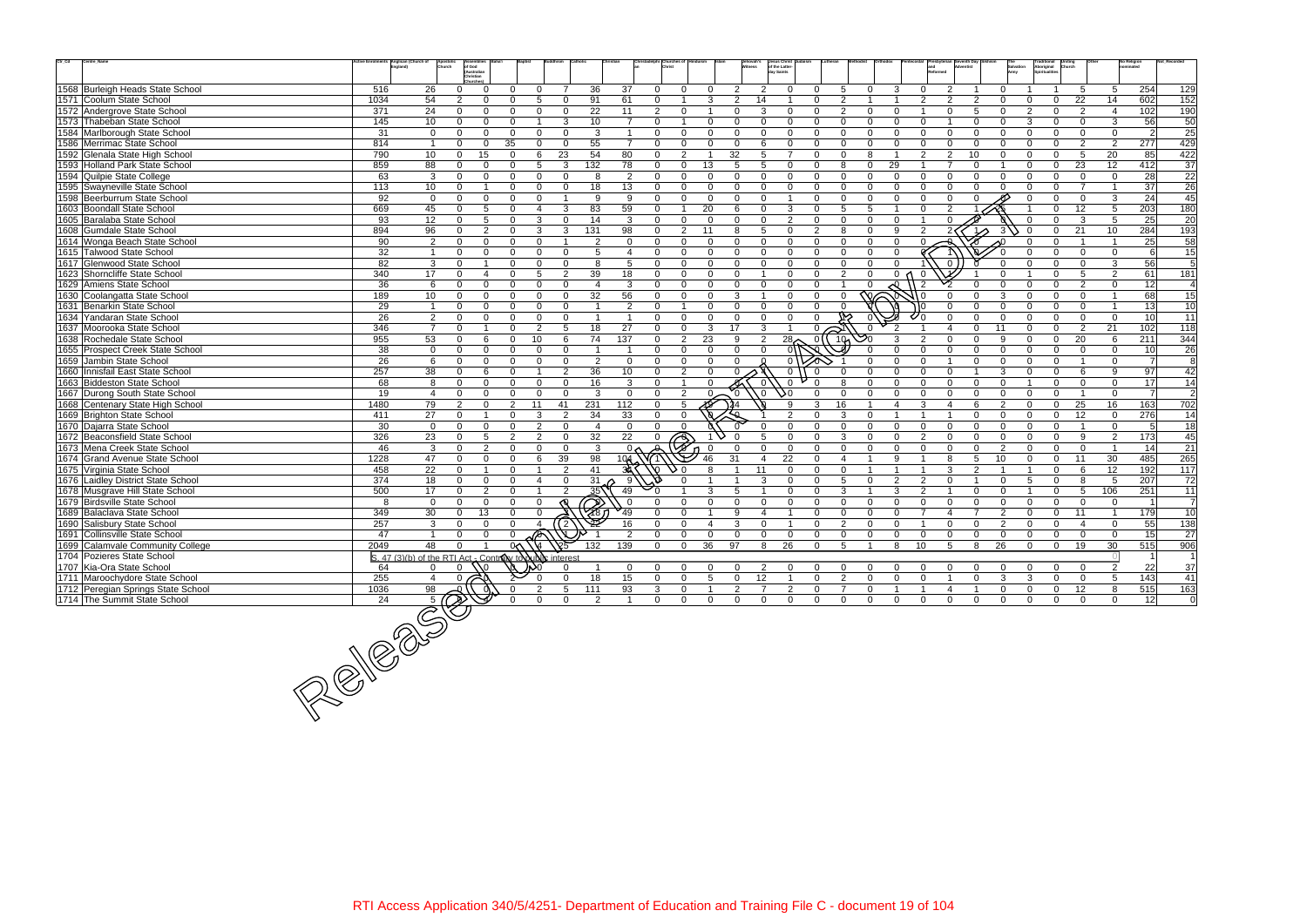| $\mathrm{Ctr}\_ \mathrm{Cd}$<br>Centre_Name | tive Enrolments Anglican (Church of | Apostoli<br>Church                                      | Assembli<br>of God<br>(Australian<br>Christian |                |                |                                     |                                                    |                |                                |                |                | hovah's        | Jesus Christ<br>of the Latter-<br>day Saints |                |                            |                |                |                |               |                            | Traditional<br>Aboriginal<br>Spiritualities | <b>Uniting</b><br>Church |                | No Religion<br>nominated |                  |
|---------------------------------------------|-------------------------------------|---------------------------------------------------------|------------------------------------------------|----------------|----------------|-------------------------------------|----------------------------------------------------|----------------|--------------------------------|----------------|----------------|----------------|----------------------------------------------|----------------|----------------------------|----------------|----------------|----------------|---------------|----------------------------|---------------------------------------------|--------------------------|----------------|--------------------------|------------------|
| 1568 Burleigh Heads State School            | 516                                 | 26                                                      | $\Omega$<br>$\Omega$                           | 0              | $\Omega$       | 36<br>$\overline{7}$                | 37                                                 |                | $\Omega$<br>$\Omega$           |                | 2              | 2              | $\Omega$                                     | $\Omega$       | -5<br>$\Omega$             | 3              |                |                |               |                            |                                             | 5                        | 5              | 254                      | 129              |
| 1571 Coolum State School                    | 1034                                | 54                                                      | $\Omega$<br>$\mathfrak{p}$                     | $\Omega$       | 5              | 91<br>$\Omega$                      | 61                                                 |                | $\Omega$                       | 3              | 2              | 14             |                                              | $\Omega$       | $\mathcal{P}$              |                | $\mathcal{P}$  | $\mathcal{P}$  |               | $\Omega$                   | $\Omega$                                    | 22                       | 14             | 602                      | 152              |
| 1572 Andergrove State School                | 371                                 | 24                                                      | $\Omega$<br>$\Omega$                           | $\Omega$       | $\Omega$       | 22<br>$\Omega$                      | 11                                                 |                | 2<br>$\Omega$                  |                | $\Omega$       | 3              | $\mathbf 0$                                  | $\Omega$       | 2<br>$\Omega$              | $\Omega$       |                | $\Omega$       | .5            | $\Omega$<br>$\mathcal{P}$  | $\mathbf{0}$                                | $\overline{2}$           | $\overline{4}$ | 102                      | 190              |
| 1573 Thabeban State School                  | 145                                 | 10                                                      | $\Omega$<br>$\Omega$                           | $\Omega$       |                | 10<br>3                             |                                                    | $\overline{7}$ | $\Omega$                       |                | $\Omega$       | $\Omega$       | $\Omega$                                     | $\Omega$       | $\Omega$<br>$\Omega$       | $\Omega$       |                |                | $\Omega$      | $\Omega$                   | $\Omega$                                    | $\Omega$                 | 3              | 56                       | 50               |
| 1584 Marlborough State School               | 31                                  | $\mathbf{0}$                                            | $\Omega$<br>$\Omega$                           | $\mathbf 0$    | $\Omega$       | $\Omega$                            | 3<br>$\overline{1}$                                |                | $\Omega$<br>$\Omega$           | $\Omega$       | $\Omega$       | $\Omega$       | $\Omega$                                     | $\Omega$       | $\Omega$<br>$\Omega$       | $\Omega$       | $\Omega$       | $\Omega$       | $\Omega$      | $\Omega$                   | $\Omega$<br>$\Omega$                        | $\Omega$                 | $\mathbf 0$    | 2                        | 25               |
| 1586 Merrimac State School                  | 814                                 | $\overline{1}$                                          | $\mathbf 0$<br>$\Omega$                        | 35             | $\Omega$       | 55<br>$\Omega$                      |                                                    | $\overline{7}$ | $\Omega$<br>$\Omega$           | $\Omega$       | $\overline{0}$ | 6              | $\Omega$                                     | $\Omega$       | $\Omega$<br>$\Omega$       | $\Omega$       | $\Omega$       | $\Omega$       | $\Omega$      | $\Omega$<br>$\Omega$       | $\Omega$                                    | 2                        | $\overline{2}$ | 277                      | 429              |
| 1592 Glenala State High School              | 790                                 | 10                                                      | 15<br>$\Omega$                                 | $\Omega$       | 6              | 23<br>54                            | 80                                                 |                | $\overline{2}$<br>$\Omega$     |                | 32             | 5              | $\overline{7}$                               | $\Omega$       | $\Omega$<br>8              |                | $\mathcal{P}$  | 2              | 10            | $\Omega$                   | $\Omega$                                    | 5                        | 20             | 85                       | 422              |
| 1593 Holland Park State School              | 859                                 | 88                                                      | $\Omega$<br>$\Omega$                           | $\overline{0}$ | 5              | 132<br>$\mathbf{3}$                 | 78                                                 |                | $\mathbf 0$<br>$\Omega$        | 13             | 5              | 5              | $\mathbf 0$                                  | $\Omega$       | 8<br>$\Omega$              | 29             |                | $\overline{7}$ | ∩             |                            | $\Omega$<br>$\mathbf{0}$                    | 23                       | 12             | 412                      | 37               |
| 1594 Quilpie State College                  | 63                                  | $\mathbf{3}$                                            | $\Omega$<br>$\Omega$                           | $\Omega$       | $\Omega$       | $\Omega$                            | 8                                                  | $\overline{2}$ | $\Omega$<br>$\Omega$           | $\Omega$       | $\Omega$       | $\Omega$       | $\Omega$                                     | $\cap$         | $\Omega$                   | $\Omega$       |                | $\Omega$       | $\Omega$      | $\Omega$                   | $\Omega$                                    | $\Omega$                 | $\Omega$       | 28                       | $\overline{22}$  |
| 1595 Swayneville State School               | 113                                 | 10                                                      | $\Omega$                                       | $\Omega$       | $\Omega$       | 18<br>$\Omega$                      | 13                                                 |                | $\Omega$<br>$\Omega$           | $\Omega$       | $\Omega$       |                | $\Omega$                                     | $\Omega$       | $\Omega$                   | $\Omega$       |                | $\Omega$       |               | $\Omega$                   | $\Omega$                                    | 7                        |                | 37                       | $\overline{26}$  |
| 1598 Beerburrum State School                | 92                                  | $\overline{0}$                                          | $\mathbf 0$<br>$\Omega$                        | $\Omega$       | $\Omega$       | $\overline{\mathbf{1}}$             | 9                                                  | 9              | $\Omega$<br>$\Omega$           | $\Omega$       | $\Omega$       | $\Omega$       | $\overline{1}$                               | $\Omega$       | $\Omega$<br>$\Omega$       | $\Omega$       | $\Omega$       | $\Omega$       |               |                            | $\Omega$                                    | $\Omega$                 | 3              | 24                       | 45               |
| 1603 Boondall State School                  | 669                                 | 45                                                      | 5<br>$\Omega$                                  | $\Omega$       | $\overline{4}$ | 83<br>3                             | 59                                                 |                | $\Omega$<br>$\overline{1}$     | 20             | 6              | $\Omega$       | 3                                            | $\Omega$       | .5<br>-5                   |                |                | $\mathcal{P}$  |               |                            | $\Omega$                                    | 12                       | 5              | 203                      | 180              |
| 1605 Baralaba State School                  | 93                                  | 12                                                      | $5\overline{5}$<br>$\Omega$                    | $\Omega$       | 3              | 14<br>$\Omega$                      |                                                    | 3              | $\Omega$<br>$\Omega$           | $\Omega$       | $\Omega$       | $\Omega$       | 2                                            | $\Omega$       | $\Omega$<br>$\Omega$       | $\Omega$       |                | $\Omega$       |               |                            | $\Omega$                                    | 3                        | 5              | 25                       | $\overline{20}$  |
| 1608 Gumdale State School                   | 894                                 | 96                                                      | $\overline{2}$<br>$\Omega$                     | $\Omega$       | 3              | 131<br>3                            | 98                                                 |                | $\overline{2}$<br>$\Omega$     | 11             | -8             | 5              | $\Omega$                                     | 2              | 8<br>$\Omega$              | 9              |                |                | $1\triangle$  |                            | $\mathbf 0$                                 | 21                       | 10             | 284                      | 193              |
| 1614 Wonga Beach State School               | 90                                  | $\overline{2}$                                          | $\Omega$<br>$\mathbf{0}$                       | $\Omega$       | $\Omega$       |                                     | $\overline{2}$                                     | $\Omega$       | $\mathbf 0$<br>$\Omega$        | $\Omega$       | $\Omega$       | $\Omega$       | $\Omega$                                     | $\Omega$       | $\Omega$<br>$\Omega$       | $\Omega$       | n.             |                |               |                            | $\Omega$                                    | $\overline{1}$           | $\overline{1}$ | 25                       | 58               |
| 1615 Talwood State School                   | 32                                  | $\overline{1}$                                          | $\Omega$<br>$\Omega$                           | $\Omega$       | $\Omega$       | $\Omega$                            | 5                                                  | $\overline{4}$ | $\Omega$<br>$\Omega$           | $\Omega$       | $\Omega$       | $\Omega$       | $\Omega$                                     | $\Omega$       | $\Omega$<br>$\Omega$       | $\Omega$       |                |                |               |                            | $\Omega$                                    | $\Omega$                 | $\Omega$       | 6                        | 15               |
| 1617 Glenwood State School                  | 82                                  | $\mathbf{3}$                                            | $\Omega$                                       | $\Omega$       | $\Omega$       | $\Omega$                            | 8                                                  | 5              | $\Omega$<br>$\Omega$           | $\Omega$       | $\Omega$       |                | $\Omega$                                     | $\Omega$       | $\Omega$<br>$\Omega$       |                |                |                |               |                            | $\Omega$                                    | $\Omega$                 | 3              | 56                       | 5                |
| 1623 Shorncliffe State School               | 340                                 | 17                                                      | $\Omega$<br>4                                  | $\Omega$       | $\overline{5}$ | 2                                   | 39<br>18                                           |                | $\Omega$<br>$\Omega$           | $\Omega$       | $\Omega$       |                | $\Omega$                                     | $\Omega$       | 2<br>$\Omega$              | 0 <sub>0</sub> | 0              |                |               | $\Omega$                   | $\Omega$                                    | 5                        | 2              | 61                       | 181              |
| 1629 Amiens State School                    | 36                                  | 6                                                       | $\Omega$<br>$\Omega$                           | $\Omega$       | $\Omega$       | $\Omega$                            | $\overline{4}$                                     | 3              | $\Omega$<br>$\Omega$           | $\Omega$       | $\Omega$       | $\Omega$       | $\Omega$                                     | $\cap$         |                            |                |                |                |               |                            | $\Omega$                                    | $\mathcal{P}$            | $\Omega$       | 12                       | $\overline{4}$   |
| 1630 Coolangatta State School               | 189                                 | 10                                                      | $\Omega$<br>$\Omega$                           | $\Omega$       | $\Omega$       | $\Omega$                            | 32<br>56                                           |                | $\Omega$<br>$\Omega$           | $\Omega$       | 3              |                | $\Omega$                                     |                | $\Omega$                   |                |                |                |               |                            | $\Omega$                                    | $\Omega$                 |                | 68                       | $\overline{15}$  |
| 1631 Benarkin State School                  | 29                                  | $\overline{1}$                                          | $\Omega$<br>$\Omega$                           | $\Omega$       | $\Omega$       | $\Omega$                            | $\overline{\mathbf{1}}$                            | $\mathcal{P}$  | $\Omega$                       | $\Omega$       | $\Omega$       | $\Omega$       | $\Omega$                                     | $\Omega$       |                            |                |                |                |               |                            | $\Omega$                                    | $\Omega$                 |                | 13                       | 10               |
| 1634 Yandaran State School                  | 26                                  | $\overline{2}$                                          | $\Omega$<br>$\Omega$                           | $\Omega$       | $\Omega$       | $\Omega$<br>$\overline{\mathbf{1}}$ | $\overline{1}$                                     |                | $\Omega$<br>$\Omega$           | $\Omega$       | $\Omega$       | $\Omega$       | $\Omega$                                     |                |                            |                |                |                |               | $\Omega$<br>$\Omega$       | $\Omega$                                    | $\Omega$                 | $\Omega$       | 10 <sup>1</sup>          | 11               |
| 1637 Moorooka State School                  | 346                                 | $\overline{7}$                                          | $\Omega$<br>$\overline{1}$                     | $\Omega$       | $\overline{2}$ | 18<br>5                             | 27                                                 |                | $\Omega$<br>$\Omega$           | 3              | 17             | 3              | $\overline{1}$                               | $\Omega$       |                            |                |                |                |               | 11<br>$\Omega$             | $\Omega$                                    | 2                        | 21             | 102                      | $\overline{118}$ |
| 1638 Rochedale State School                 | 955                                 | 53                                                      | 6<br>$\Omega$                                  | $\Omega$       | 10             | 6                                   | 74<br>137                                          |                | $\overline{2}$<br>$\Omega$     | 23             | 9              | $\overline{2}$ | 28 <sub>2</sub>                              | $\overline{0}$ |                            | 3              |                |                |               | 9                          | $\Omega$                                    | 20                       | 6              | 211                      | 344              |
| 1655 Prospect Creek State School            | 38                                  | $\overline{0}$                                          | $\Omega$<br>$\Omega$                           | $\Omega$       | $\Omega$       | $\Omega$                            | $\overline{\mathbf{1}}$<br>$\overline{\mathbf{1}}$ |                | $\Omega$<br>$\Omega$           | $\Omega$       | $\Omega$       | $\Omega$       |                                              | $\frac{10}{2}$ |                            |                |                |                | $\Omega$      | $\Omega$<br>$\Omega$       | $\Omega$                                    | $\Omega$                 | $\mathbf{0}$   | 10 <sup>1</sup>          | $\overline{26}$  |
| 1659 Jambin State School                    | 26                                  | 6                                                       | $\Omega$<br>$\Omega$                           | $\Omega$       | $\Omega$       | $\Omega$                            | $\overline{2}$                                     | $\mathbf 0$    | $\Omega$<br>$\Omega$           | $\Omega$       | $\Omega$       |                | $\Omega$                                     |                |                            | $\Omega$       |                |                | ∩             | $\Omega$                   | $\Omega$                                    | $\overline{1}$           | $\Omega$       | $\overline{7}$           | 8                |
| 1660 Innisfail East State School            | 257                                 | $\overline{38}$                                         | 6<br>$\Omega$                                  | $\Omega$       |                | 36<br>$\overline{2}$                | 10                                                 |                | $\overline{2}$<br>$\mathbf 0$  |                |                |                |                                              |                |                            |                |                |                |               | 3                          | $\Omega$                                    | 6                        | 9              | 97                       | 42               |
| 1663 Biddeston State School                 | 68                                  | 8                                                       | $\Omega$<br>$\Omega$                           | $\Omega$       | $\Omega$       | 16<br>$\Omega$                      |                                                    | 3              | $\Omega$<br>$\overline{1}$     |                |                |                |                                              |                |                            | $\Omega$       | $\Omega$       | $\Omega$       | $\cap$        | $\Omega$                   | $\Omega$                                    | $\Omega$                 | $\Omega$       | 17                       | 14               |
| 1667 Durong South State School              | 19                                  | $\overline{4}$                                          | $\Omega$<br>$\Omega$                           | $\Omega$       | $\overline{0}$ | $\Omega$                            | 3                                                  | $\mathbf 0$    | 2<br>$\mathbf 0$               |                |                | $\Omega$       |                                              |                | $\Omega$<br>$\Omega$       | $\Omega$       | $\Omega$       | $\Omega$       | $\Omega$      | $\Omega$                   | $\mathbf 0$                                 | $\overline{\mathbf{1}}$  | $\overline{0}$ | $\overline{7}$           | $\overline{2}$   |
| 1668 Centenary State High School            | 1480                                | 79                                                      | $\overline{2}$<br>$\Omega$                     | $\mathcal{P}$  | 11             | 231<br>41                           | $\frac{11}{2}$                                     |                | $\mathbf 0$<br>5               |                |                |                |                                              | 16             |                            |                |                |                |               | $\mathcal{P}$              | $\Omega$                                    | $\overline{25}$          | 16             | $\frac{163}{ }$          | 702              |
| 1669 Brighton State School                  | 411                                 | 27                                                      | $\Omega$<br>$\mathbf{1}$                       | $\Omega$       | 3              | 34<br>$\overline{2}$                | 33                                                 |                | $\mathbf{0}$<br>$\Omega$       |                |                |                | $\mathfrak{p}$                               | $\Omega$       | 3<br>U                     |                |                |                |               | $\Omega$                   | $\mathbf{0}$                                | 12                       | $\mathbf{0}$   | 276                      | 14               |
| 1670 Dajarra State School                   | 30                                  | $\overline{0}$                                          | $\mathbf 0$<br>$\Omega$                        | $\Omega$       | $\mathcal{P}$  | $\Omega$                            | $\overline{4}$                                     | $\Omega$       | $\mathbf 0$<br>$\Omega$        |                |                |                | $\Omega$                                     |                | $\Omega$                   | $\Omega$       |                | $\Omega$       |               | $\Omega$                   | $\Omega$                                    | $\overline{1}$           | $\Omega$       | 5                        | 18               |
| 1672 Beaconsfield State School              | 326                                 | 23                                                      | 5<br>$\Omega$                                  | 2              | $\overline{2}$ | $\Omega$                            | 32<br>22                                           |                | $\mathbf 0$                    |                |                |                | $\Omega$                                     | $\Omega$       | 3<br>$\Omega$              | $\Omega$       | $\mathcal{P}$  | $\Omega$       | $\Omega$      | $\Omega$                   | $\Omega$                                    | 9                        | 2              | 173                      | 45               |
| 1673 Mena Creek State School                | 46                                  | $\mathbf{3}$                                            | 2<br>$\Omega$                                  | $\mathbf{0}$   | $\mathbf 0$    | $\mathbf 0$                         | 3                                                  |                | ᢙ                              |                |                |                | $\Omega$                                     | $\Omega$       | $\Omega$<br>U              | $\Omega$       | $\Omega$       | $\Omega$       |               | $\overline{2}$<br>$\Omega$ | $\mathbf 0$                                 | $\mathbf{0}$             |                | 14                       | 21               |
| 1674 Grand Avenue State School              | 1228                                | 47                                                      | $\mathbf 0$<br>$\mathbf{0}$                    | $\Omega$       | 6              | 39<br>98                            | 10A                                                |                |                                |                | 31             | $\overline{4}$ | 22                                           | $\Omega$       |                            | q              |                | 8              | 5             | 10 <sup>°</sup>            | $\mathbf 0$<br>$\Omega$                     | 11                       | 30             | 485                      | 265              |
| 1675 Virginia State School                  | 458                                 | $\overline{22}$                                         | $\Omega$<br>$\overline{1}$                     | $\Omega$       |                | 2<br>41                             |                                                    |                |                                |                |                | 11             | $\Omega$                                     | $\Omega$       | $\Omega$                   |                |                | $\mathcal{B}$  | $\mathcal{D}$ |                            | $\Omega$                                    | 6                        | 12             | 192                      | 117              |
| 1676 Laidley District State School          | $\overline{374}$                    | 18                                                      | $\mathbf{0}$<br>$\Omega$                       | $\Omega$       | $\overline{4}$ | 31<br>$\mathbf 0$                   |                                                    |                |                                |                |                | 3              | $\Omega$                                     | $\Omega$       | -5                         | $\overline{2}$ | $\mathcal{P}$  |                |               | $\Omega$<br>.5             | $\Omega$                                    | 8                        | 5              | 207                      | 72               |
| 1678 Musgrave Hill State School             | 500                                 | 17                                                      | 2<br>$\Omega$                                  | $\Omega$       |                | $\mathcal{P}$                       | $35^{\circ}$<br>49                                 |                | $^{\circ}$ 0                   | 3              | 5              |                | $\Omega$                                     | $\Omega$       | 3                          | 3              | 2              |                | $\Omega$      | $\Omega$                   | $\Omega$                                    | 5                        | 106            | 251                      | 11               |
| 1679 Birdsville State School                | 8                                   | $\overline{0}$                                          | $\mathbf 0$<br>$\Omega$                        | $\Omega$       | $\Omega$       | $\bigcirc$                          | $\overline{0}$                                     |                | $\Omega$                       | $\Omega$       | $\Omega$       | $\Omega$       | $\Omega$                                     | $\Omega$       | $\Omega$<br>$\Omega$       | $\Omega$       | $\Omega$       | $\Omega$       | $\Omega$      | $\Omega$<br>$\Omega$       | $\Omega$                                    | $\Omega$                 | $\Omega$       | $\overline{1}$           | $\overline{7}$   |
| 1689 Balaclava State School                 | 349                                 | 30                                                      | 13<br>$\mathbf 0$                              | $\Omega$       | $\Omega$       |                                     | $\mathcal{R}(8)$<br>49                             |                | $\Omega$<br>$\Omega$           |                | -9             | Δ              |                                              |                | $\Omega$<br>$\Omega$       | $\Omega$       |                |                |               | $\overline{2}$             | $\Omega$                                    | 11                       |                | 179                      | 10               |
| 1690 Salisbury State School                 | 257                                 | $\mathbf{3}$                                            | $\Omega$<br>$\Omega$                           | $\Omega$       |                | (2)                                 | 16                                                 |                | $\Omega$<br>$\Omega$           | 4              | 3              | $\Omega$       |                                              | $\Omega$       | $\mathcal{P}$<br>$\Omega$  | $\Omega$       |                | $\Omega$       | $\Omega$      | $\mathcal{P}$              | $\Omega$                                    | $\overline{4}$           | $\mathbf 0$    | 55                       | 138              |
| 1691 Collinsville State School              | 47                                  | $\overline{1}$                                          | $\Omega$<br>$\Omega$                           | $\Omega$       |                |                                     |                                                    | $\mathcal{P}$  | $\overline{0}$<br>$\Omega$     | $\Omega$       | $\mathbf 0$    | $\Omega$       | $\mathbf 0$                                  | $\Omega$       | $\Omega$<br>$\Omega$       | $\Omega$       | $\Omega$       | $\Omega$       | $\Omega$      | $\Omega$                   | $\Omega$<br>$\Omega$                        | $\Omega$                 | $\Omega$       | 15                       | 27               |
| 1699 Calamvale Community College            | 2049                                | 48                                                      | $\Omega$                                       | 0 <sub>0</sub> | M.             | 132                                 | 139                                                |                | $\Omega$<br>$\mathbf 0$        | 36             | 97             | 8              | 26                                           | $\overline{0}$ | -5                         | 8              | 10             | 5              | 8             | 26                         | $\Omega$<br>$\overline{0}$                  | 19                       | 30             | 515                      | 906              |
| 1704 Pozieres State School                  |                                     | S. 47 (3)(b) of the RTI Act Contrary to bublic interest |                                                |                |                |                                     |                                                    |                |                                |                |                |                |                                              |                |                            |                |                |                |               |                            |                                             |                          |                |                          | $\mathbf 1$      |
| 1707 Kia-Ora State School                   | 64                                  | $\mathbf 0$                                             | ∖∩<br>$\Omega$                                 |                |                | $\Omega$                            |                                                    | $\Omega$       | $\Omega$<br>$\Omega$           |                |                | 2              | $\Omega$                                     | $\Omega$       | $\Omega$                   | $\Omega$       | $\Omega$       |                |               | $\mathbf{0}$               | $\overline{0}$<br>$\Omega$                  | $\mathbf 0$              | 2              | 22                       | 37               |
| 1711 Maroochydore State School              | 255                                 | $\overline{4}$                                          | $\Omega$                                       |                |                | 18<br>$\mathbf 0$                   | 15                                                 |                | $\Omega$<br>$\Omega$           | 5              | $\mathbf 0$    | 12             |                                              | $\Omega$       | $\overline{2}$<br>$\Omega$ | $\mathbf{0}$   | $\Omega$       |                | $\Omega$      | $\mathbf{3}$               | 3<br>$\mathbf 0$                            | $\mathbf 0$              | 5              | 143                      | 41               |
| 1712 Peregian Springs State School          |                                     |                                                         |                                                |                | $\overline{2}$ | 111<br>5                            | 93                                                 |                | 3<br>0                         |                | $\overline{2}$ |                | $\overline{2}$                               | 0              | $\Omega$                   |                |                | 4              |               | $\mathbf 0$                | $\mathbf{0}$<br>$\mathbf{0}$                | 12                       | 8              | 515                      | 163              |
| 1714 The Summit State School                |                                     |                                                         |                                                | 0              | $\Omega$       | $\overline{0}$                      | $\overline{2}$                                     |                | $\mathbf{0}$<br>$\overline{0}$ | $\overline{0}$ | $\mathbf 0$    | $\overline{0}$ | $\overline{0}$                               | $\overline{0}$ | $\Omega$<br>$\Omega$       | $\overline{0}$ | $\overline{0}$ | $\mathbf 0$    | $\Omega$      | $\mathbf{0}$               | $\overline{0}$<br>$\overline{0}$            | $\overline{0}$           | $\mathbf 0$    | 12                       | $\mathbf 0$      |
| $\frac{\frac{1}{1036} - \frac{98}{96}}{24}$ |                                     |                                                         |                                                |                |                |                                     |                                                    |                |                                |                |                |                |                                              |                |                            |                |                |                |               |                            |                                             |                          |                |                          |                  |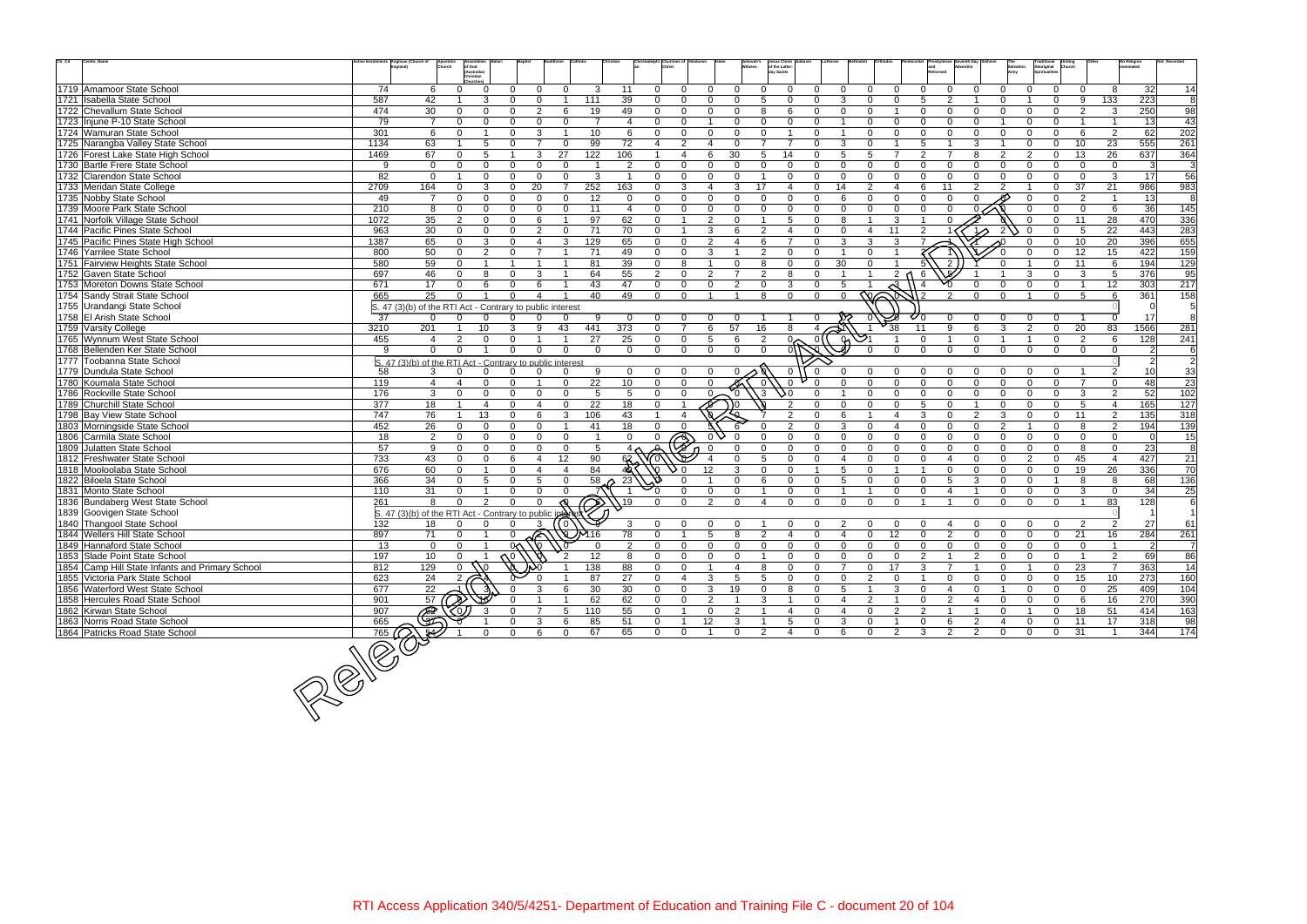| $\mathrm{Ctr}\_ \mathrm{Cd}$ | Centre_Name                                     | Active Enrolments Anglican (Church of<br>England) | Apostoli<br>Church                                             | of God<br>(Australian<br>hristian |                                     |                       |                         |                 |                               |                          | Jehovah's<br>Witness | Jesus Christ<br>of the Latter-<br>lay Saints |                                      |                         |                          |                          |              |                                     |                |                | Traditional<br>Aboriginal<br>Spiritualities<br><b>Uniting</b><br>Church |                                   | No Religion<br>nominated |                  |
|------------------------------|-------------------------------------------------|---------------------------------------------------|----------------------------------------------------------------|-----------------------------------|-------------------------------------|-----------------------|-------------------------|-----------------|-------------------------------|--------------------------|----------------------|----------------------------------------------|--------------------------------------|-------------------------|--------------------------|--------------------------|--------------|-------------------------------------|----------------|----------------|-------------------------------------------------------------------------|-----------------------------------|--------------------------|------------------|
|                              | 1719 Amamoor State School                       | 74                                                | 6                                                              | $\Omega$                          | $\Omega$<br>$\Omega$                | $\Omega$              | 3                       | 11              | $\Omega$<br>$\Omega$          | 0                        | $\Omega$             | $\Omega$                                     | $\Omega$<br>U                        | $\Omega$                | $\Omega$                 | $\Omega$                 | $\Omega$     | $\Omega$                            |                |                | $\Omega$                                                                | 8<br>$\Omega$                     | 32                       | 14               |
|                              | 1721 Isabella State School                      | 587                                               | 42                                                             | 3                                 | $\Omega$<br>$\Omega$                |                       | 111                     | 39              | $\Omega$<br>0                 | $\Omega$                 | $\Omega$             | 5                                            | $\Omega$<br>U                        | 3                       |                          | $\Omega$                 | 5            | $\mathcal{P}$                       | $\Omega$       |                | $\Omega$                                                                | 9<br>133                          | $\overline{223}$         | 8                |
|                              | 1722 Chevallum State School                     | 474                                               | 30                                                             | $\Omega$<br>$\Omega$              | $\overline{2}$<br>$\Omega$          | 6                     | 19                      | 49              | $\Omega$<br>$\Omega$          | $\Omega$                 | $\Omega$             | 8                                            | 6<br>$\Omega$                        | $\Omega$                | $\Omega$                 |                          | $\Omega$     | $\Omega$<br>∩                       | $\Omega$       | $\Omega$       | $\mathbf 0$                                                             | -3<br>2                           | 250                      | 98               |
|                              | 1723 Injune P-10 State School                   | 79                                                | $\overline{7}$                                                 | $\Omega$<br>$\Omega$              | $\Omega$<br>$\mathbf 0$             | $\Omega$              | $\overline{7}$          | $\overline{4}$  | $\Omega$<br>$\Omega$          |                          | $\Omega$             | $\Omega$                                     | $\Omega$<br>O                        |                         | $\Omega$                 | $\Omega$                 |              |                                     |                |                | $\Omega$                                                                |                                   | 13                       | 43               |
|                              | 1724 Wamuran State School                       | 301                                               | 6                                                              | $\overline{\mathbf{1}}$<br>0      | 3<br>$\Omega$                       | -1                    | 10 <sup>°</sup>         | 6               | $\Omega$<br>$\overline{0}$    | $\Omega$                 | $\Omega$             | $\Omega$<br>$\overline{1}$                   | $\Omega$                             | $\overline{1}$          | $\Omega$                 | $\Omega$                 | $\Omega$     | $\Omega$<br>$\Omega$                | $\Omega$       | $\Omega$       | $\Omega$                                                                | 2<br>6                            | 62                       | 202              |
|                              | 1725 Narangba Valley State School               | 1134                                              | 63                                                             | 5                                 | $\overline{7}$<br>$\Omega$          | $\Omega$              | 99                      | 72              | 2<br>4                        |                          | $\Omega$             | $\overline{7}$                               | $\overline{7}$<br>$\Omega$           | 3                       | $\Omega$                 | $\overline{1}$           | 5            | 3                                   |                | $\Omega$       | 10<br>$\mathbf 0$                                                       | 23                                | 555                      | $\overline{261}$ |
|                              | 1726 Forest Lake State High School              | 1469                                              | 67                                                             | 5<br>$\Omega$                     | 3                                   | 27                    | 122                     | 106             | $\overline{\mathbf{A}}$       | 6                        | 30                   | 14<br>5                                      | $\Omega$                             | .5                      | 5                        | $\overline{ }$           |              |                                     | $\mathcal{P}$  |                | $\Omega$<br>13                                                          | 26                                | 637                      | 364              |
|                              | 1730 Bartle Frere State School                  | 9                                                 | $\overline{0}$                                                 | 0<br>$\Omega$                     | $\Omega$<br>$\Omega$                | $\mathbf{0}$          | - 1                     | $\overline{2}$  | $\mathbf{0}$<br>$\mathbf 0$   | $\Omega$                 | $\Omega$             | $\Omega$                                     | $\mathbf{0}$<br>$\Omega$             | $\Omega$                | $\Omega$                 | $\Omega$                 | $\Omega$     | $\Omega$                            | $\Omega$       | $\Omega$       | $\Omega$                                                                | $\Omega$<br>$\overline{0}$        | $\mathbf{3}$             | 3                |
|                              | 1732 Clarendon State School                     | 82                                                | $\overline{0}$                                                 | $\Omega$                          | $\Omega$<br>$\Omega$                | $\Omega$              | 3                       | $\overline{1}$  | $\Omega$<br>$\Omega$          | $\Omega$                 | $\Omega$             |                                              | $\Omega$<br>$\Omega$                 | $\Omega$                |                          | $\Omega$                 |              | $\Omega$                            | $\Omega$       |                | $\Omega$                                                                | $\Omega$<br>-3                    | 17                       | 56               |
|                              | 1733 Meridan State College                      | 2709                                              | 164                                                            | 3<br>0                            | 20<br>$\Omega$                      | -7                    | 252                     | 163             | $\Omega$<br>3                 |                          | 3                    | 17                                           | $\boldsymbol{\Delta}$<br>$\Omega$    | 14                      | 2                        | $\boldsymbol{\Delta}$    |              | 11                                  |                |                | 37<br>$\Omega$                                                          | 21                                | 986                      | 983              |
|                              | 1735 Nobby State School                         | 49                                                | $\overline{7}$                                                 | $\Omega$<br><sup>n</sup>          | $\Omega$<br>$\Omega$                | $\Omega$              | 12                      | $\Omega$        | $\Omega$<br>$\Omega$          | $\Omega$                 | $\Omega$             | $\Omega$                                     | $\Omega$<br>$\Omega$                 | 6                       | $\Omega$                 | $\Omega$                 | $\Omega$     | $\Omega$                            |                |                | $\Omega$                                                                | 2                                 | 13                       | 8                |
|                              | 1739 Moore Park State School                    | 210                                               | 8                                                              | $\Omega$<br>$\Omega$              | $\Omega$<br>$\Omega$                | $\Omega$              | 11                      | $\overline{4}$  | $\Omega$<br>$\Omega$          | $\Omega$                 | $\Omega$             | $\Omega$                                     | $\Omega$<br>$\Omega$                 | $\Omega$                | $\Omega$                 | $\Omega$                 | $\Omega$     | $\Omega$                            |                |                | $\Omega$                                                                | $\mathbf{0}$<br>6                 | 36                       | 145              |
|                              | 1741 Norfolk Village State School               | 1072                                              | 35                                                             | 2<br>$\Omega$                     | 6<br>$\Omega$                       |                       | 97                      | 62              | $\Omega$<br>$\overline{1}$    | $\mathfrak{D}$           | $\Omega$             |                                              | 5<br>$\Omega$                        | $\mathsf{R}$            |                          | 3                        |              | $\Omega$                            |                |                | 11<br>$\Omega$                                                          | 28                                | 470                      | 336              |
|                              | 1744 Pacific Pines State School                 | 963                                               | 30                                                             | $\Omega$                          | 2<br>$\Omega$                       | $\mathbf 0$           | 71                      | 70              | 0                             | 3                        | 6                    | 2                                            | $\Omega$<br>$\boldsymbol{A}$         | $\Omega$                | $\overline{4}$           | 11                       |              |                                     | $1\triangle$   |                | $\Omega$                                                                | 22<br>5                           | 443                      | 283              |
|                              | 1745 Pacific Pines State High School            | 1387                                              | 65                                                             | 3<br>$\Omega$                     | $\Omega$                            | 3                     | 129                     | 65              | $\Omega$<br>$\mathbf{0}$      | $\overline{2}$           | $\overline{4}$       | 6                                            | $\Omega$                             | 3                       | 3                        | 3                        |              |                                     |                |                | 10<br>$\Omega$                                                          | 20                                | 396                      | 655              |
|                              | 1746 Yarrilee State School                      | 800                                               | 50                                                             | $\overline{2}$<br>$\Omega$        | $\overline{7}$<br>$\Omega$          | -1                    | 71                      | 49              | $\Omega$<br>$\Omega$          | 3                        |                      | $\mathfrak{D}$                               | $\Omega$<br>$\Omega$                 |                         | $\Omega$                 |                          |              |                                     |                |                | 12<br>$\Omega$                                                          | 15                                | 422                      | 159              |
|                              | 1751 Fairview Heights State School              | 580                                               | 59                                                             |                                   |                                     |                       | 81                      | 39              | $\Omega$<br>8                 |                          | $\Omega$             |                                              | $\Omega$<br>$\Omega$                 | 30                      | $\Omega$                 |                          |              |                                     |                |                | 11<br>$\Omega$                                                          | 6                                 | 194                      | 129              |
|                              | 1752 Gaven State School                         | 697                                               | 46                                                             | $\Omega$                          | 3                                   |                       | 64                      | 55              | 2<br>$\Omega$                 | $\mathcal{P}$            |                      | $\mathcal{P}$                                | 8<br>$\Omega$                        |                         | $\overline{1}$           | 2 <sub>0</sub>           | -6           |                                     |                |                | $\Omega$                                                                | 3<br>5                            | 376                      | 95               |
|                              | 1753 Moreton Downs State School                 | 671                                               | 17                                                             | 6<br>$\Omega$                     | $\Omega$<br>6                       |                       | 43                      | 47              | $\mathbf 0$<br>$\Omega$       | $\Omega$                 | 2                    | $\Omega$                                     | 3<br>$\Omega$                        | 5                       |                          | ત્વ                      |              |                                     |                |                | $\Omega$                                                                | 12<br>$\overline{1}$              | 303                      | $\overline{217}$ |
|                              | 1754 Sandy Strait State School                  | 665                                               | 25                                                             |                                   |                                     |                       | 40                      | 49              | $\Omega$<br>$\Omega$          |                          |                      | 8                                            | $\Omega$<br>$\Omega$                 | $\Omega$                | $\overline{\mathcal{N}}$ |                          |              |                                     | $\Omega$       |                | $\Omega$                                                                | -5                                | 361                      | 158              |
|                              | 1755 Urandangi State School                     |                                                   | S. 47 (3)(b) of the RTI Act - Contrary to public interest      |                                   |                                     |                       |                         |                 |                               |                          |                      |                                              |                                      |                         |                          |                          |              |                                     |                |                |                                                                         |                                   |                          |                  |
|                              | 1758 El Arish State School                      | $\overline{37}$                                   |                                                                |                                   |                                     |                       | 9                       |                 |                               |                          |                      |                                              |                                      |                         |                          |                          |              |                                     |                |                |                                                                         |                                   | 17                       |                  |
|                              | 1759 Varsity College                            | 3210                                              | 201                                                            | 10                                | 3<br>9                              | 43                    | 441                     | 373             | $\overline{7}$<br>$\Omega$    | 6                        | 57                   | 16                                           | 8<br>4                               |                         |                          | 38                       | 11           | Q                                   | 3              |                | 20<br>$\Omega$                                                          | 83                                | 1566                     | 281              |
|                              | 1765 Wynnum West State School                   | 455                                               | $\overline{4}$                                                 |                                   |                                     |                       | 27                      | 25              | $\mathbf 0$<br>$\Omega$       | 5                        | 6                    | $\overline{2}$                               | 9<br>$\overline{0}$                  | ଜ                       |                          | $\mathbf 1$              |              | $\Omega$                            |                |                | $\mathbf 0$                                                             | 2<br>6                            | 128                      | 241              |
|                              | 1768 Bellenden Ker State School                 | 9                                                 | $\Omega$                                                       | $\Omega$                          | $\Omega$<br>$\Omega$                | $\Omega$              | $\Omega$                | $\Omega$        | $\Omega$<br>$\Omega$          | $\overline{0}$           | $\Omega$             | $\mathbf 0$                                  | 0/f                                  |                         |                          | $\Omega$                 | $\Omega$     | $\Omega$<br>$\Omega$                | $\Omega$       | $\Omega$       | $\Omega$                                                                | $\Omega$<br>$\Omega$              | 2 <sup>1</sup>           | 6                |
|                              | 1777 Toobanna State School                      |                                                   | S. 47 (3)(b) of the RTI Act - Contrary to public interest      |                                   |                                     |                       |                         |                 |                               |                          |                      |                                              |                                      |                         |                          |                          |              |                                     |                |                |                                                                         |                                   | 2 <sup>1</sup>           | $\overline{2}$   |
|                              | 1779 Dundula State School                       | 58                                                | 3                                                              |                                   | $\Omega$                            |                       | 9                       | $\Omega$        | $\mathbf 0$<br>$\Omega$       |                          |                      |                                              | $\mathbf 0$                          |                         |                          |                          |              |                                     |                |                |                                                                         | $\mathcal{P}$                     | 10                       | 33               |
|                              | 1780 Koumala State School                       | 119                                               | $\overline{4}$                                                 | $\Omega$<br>Δ                     | $\Omega$<br>$\overline{\mathbf{1}}$ | $\Omega$              | 22                      | 10              | $\Omega$<br>$\Omega$          | $\Omega$                 |                      |                                              | $\Omega$                             |                         |                          | $\Omega$                 | $\Omega$     | $\Omega$<br>$\Omega$                | $\Omega$       | $\Omega$       | $\Omega$                                                                | $\overline{7}$<br>$\Omega$        | 48                       | 23               |
|                              | 1786 Rockville State School                     | 176                                               | 3                                                              | $\Omega$<br>U                     | $\Omega$<br>$\Omega$                | $\Omega$              | 5                       | 5               | $\Omega$<br>$\mathbf{0}$      |                          | $\Omega$             | $3^{\circ}$<br>50                            |                                      |                         | $\Omega$                 | $\Omega$                 | $\Omega$     | $\Omega$<br>$\Omega$                | $\Omega$       |                | $\Omega$                                                                | $\overline{2}$<br>3               | 52                       | 102              |
|                              | 1789 Churchill State School                     | 377                                               | $\overline{18}$                                                | $\Delta$                          |                                     | $\Omega$              | 22                      | 18              | $\Omega$                      | $\overline{\mathscr{D}}$ | 0 (                  |                                              |                                      |                         |                          | $\Omega$                 |              | $\Omega$                            | $\Omega$       |                | $\Omega$                                                                | $5\overline{5}$<br>$\overline{4}$ | 165                      | 127              |
|                              | 1798 Bay View State School                      | 747                                               | 76                                                             | 13                                | 6<br>$\Omega$                       | 3                     | 106                     | 43              |                               |                          |                      |                                              | $\mathcal{P}$                        | 6                       |                          | $\boldsymbol{\varDelta}$ | 3            | $\mathcal{P}$<br>$\cap$             | 3              |                | $\Omega$<br>11                                                          | 2                                 | $\overline{135}$         | 318              |
|                              | 1803 Morningside State School                   | 452                                               | 26                                                             | $\Omega$<br>$\Omega$              | U<br>$\Omega$                       |                       | 41                      | 18              | $\Omega$<br>$\Omega$          |                          |                      |                                              | $\mathcal{P}$                        | 3                       |                          | $\Delta$                 | $\Omega$     | $\Omega$                            | $\mathcal{P}$  |                | $\Omega$                                                                | 2<br>8                            | 194                      | 139              |
|                              | 1806 Carmila State School                       | 18                                                | 2                                                              | $\Omega$<br>$\Omega$              | $\Omega$<br>$\Omega$                | $\Omega$              | $\overline{\mathbf{1}}$ | $\Omega$        | $\mathbf{0}$<br>$\mathcal{P}$ |                          | $\Omega$             |                                              | $\Omega$<br>$\Omega$                 | $\Omega$                | $\Omega$                 | $\Omega$                 | $\Omega$     | $\Omega$<br>$\Omega$                | $\Omega$       |                | $\Omega$                                                                | $\Omega$<br>$\Omega$              | $\Omega$                 | $\overline{15}$  |
|                              | 1809 Julatten State School                      | 57                                                | 9                                                              | $\Omega$<br>0                     | $\Omega$<br>$\mathbf 0$             | $\mathbf{0}$          | 5                       |                 |                               |                          |                      | 0                                            | $\Omega$<br>$\Omega$                 | $\Omega$                | $\Omega$                 | $\Omega$                 | $\Omega$     | $\Omega$                            | $\Omega$       |                | $\Omega$                                                                | 8<br>$\Omega$                     | 23                       | 8                |
|                              | 1812 Freshwater State School                    | 733                                               | 43                                                             | $\Omega$<br>$\Omega$              | 6<br>$\overline{4}$                 | 12                    | 90                      | $68 -$          |                               |                          | $\Omega$             | 5                                            | $\Omega$<br>$\Omega$                 | $\overline{\mathbf{A}}$ | $\Omega$                 | $\Omega$                 | $\Omega$     | $\overline{\mathbf{4}}$<br>$\Omega$ | $\Omega$       | $\mathfrak{D}$ | 45<br>$\Omega$                                                          | $\overline{4}$                    | 427                      | 21               |
|                              | 1818 Mooloolaba State School                    | 676                                               | 60                                                             | $\Omega$                          | $\Omega$<br>Δ                       | $\boldsymbol{\Delta}$ | 84                      |                 |                               | 12                       | 3                    | U                                            | $\Omega$                             | 5                       | $\Omega$                 |                          |              | $\Omega$<br>$\Omega$                | $\Omega$       |                | 19<br>$\Omega$                                                          | 26                                | 336                      | 70               |
|                              | 1822 Biloela State School                       | 366                                               | 34                                                             | 5                                 | 5<br>$\Omega$                       | $\Omega$              | 58                      | 23              |                               |                          | $\Omega$             |                                              | $\Omega$<br>$\Omega$                 | .5                      |                          | $\Omega$                 | $\Omega$     | .5                                  |                |                |                                                                         | 8<br>8                            | 68                       | 136              |
|                              | 1831 Monto State School                         | 110                                               | 31                                                             | $\Omega$                          | $\Omega$<br>$\Omega$                | $\Omega$              |                         |                 | $\Omega$<br>$^{\circ}$ 0      | $\Omega$                 | $\Omega$             |                                              | $\Omega$<br>$\Omega$                 |                         |                          | $\Omega$                 | $\Omega$     |                                     | $\Omega$       | $\cap$         | $\Omega$                                                                | 3<br>$\Omega$                     | 34                       | 25               |
|                              | 1836 Bundaberg West State School                | 261                                               | $\mathbf{R}$                                                   | $\mathcal{D}$<br>∩                |                                     |                       | $\bigcirc$              | $\sqrt{19}$     | $\Omega$<br>$\Omega$          | $\Omega$                 | $\Omega$             |                                              | $\Omega$<br>$\Omega$                 | $\cap$                  | $\Omega$                 | $\cap$                   |              |                                     | $\Omega$       |                | $\cap$                                                                  | 83                                | 128                      | 6                |
|                              | 1839 Goovigen State School                      |                                                   | $\vert$ S. 47 (3)(b) of the RTI Act - Contrary to public inter |                                   |                                     |                       |                         |                 |                               |                          |                      |                                              |                                      |                         |                          |                          |              |                                     |                |                |                                                                         |                                   |                          |                  |
|                              | 1840 Thangool State School                      | 132                                               | 18                                                             |                                   |                                     | ( 0 )                 |                         | 3               | $\Omega$<br>$\Omega$          | <sup>o</sup>             | $\Omega$             |                                              |                                      |                         |                          |                          |              |                                     |                |                | $\Omega$                                                                | 2<br>2                            | 27                       | 61               |
|                              | 1844 Wellers Hill State School                  | 897                                               | 71                                                             | $\Omega$                          | ⋒<br>$\Omega$                       |                       | <b>QUM16</b>            | $\overline{78}$ | $\Omega$<br>$\overline{1}$    | 5                        | 8                    | 2                                            | $\overline{4}$<br>$\Omega$           | $\overline{4}$          | $\Omega$                 | 12                       | $\Omega$     | 2<br>$\Omega$                       | $\Omega$       | $\Omega$       | 21<br>$\Omega$                                                          | 16                                | 284                      | 261              |
|                              | 1849 Hannaford State School                     | 13                                                | $\Omega$                                                       | $\Omega$                          | 0<<br>: VO                          |                       | $\Omega$                | $\mathcal{P}$   | $\Omega$<br>$\Omega$          | $\Omega$                 | $\Omega$             | $\Omega$                                     | $\Omega$<br>$\overline{0}$           | $\mathbf 0$             | $\Omega$                 | $\Omega$                 | $\Omega$     | $\Omega$<br>$\Omega$                | $\Omega$       | $\Omega$       | $\Omega$                                                                | $\Omega$                          | $\overline{2}$           | $\overline{7}$   |
|                              | 1853 Slade Point State School                   | 197                                               | 10                                                             |                                   |                                     | $\frac{1}{2}$         | 12                      | 8               | $\mathbf{0}$<br>0             | 0                        | 0                    |                                              | $\Omega$<br>0                        | 0                       | 0                        | 0                        | 2            |                                     |                |                | 0                                                                       | $\overline{2}$                    | 69                       | 86               |
|                              | 1854 Camp Hill State Infants and Primary School | 812                                               | 129                                                            |                                   |                                     |                       | 138                     | 88              | $\Omega$<br>$\Omega$          |                          |                      | 8                                            | $\Omega$<br>$\Omega$                 | $\overline{7}$          | $\Omega$                 | 17                       | 3            |                                     | $\Omega$       |                | 23<br>$\mathbf 0$                                                       | $\overline{7}$                    | 363                      | 14               |
|                              | 1855 Victoria Park State School                 | 623                                               | 24                                                             | 2                                 |                                     |                       | 87                      | 27              | 0<br>$\overline{4}$           | 3                        | -5                   | 5                                            | $\mathbf 0$<br>$\Omega$              | $\mathbf{0}$            | $\overline{2}$           | $\mathbf 0$              |              | $\Omega$<br>0                       | $\mathbf 0$    |                | 15<br>0                                                                 | 10                                | 273                      | 160              |
|                              | 1856 Waterford West State School                | 677                                               | 22                                                             |                                   |                                     |                       | 30                      | 30              | $\Omega$<br>0                 | 3                        | 19                   | $\Omega$                                     | 8<br>$\Omega$                        | -5                      |                          | 3                        |              | -4                                  |                |                | 0                                                                       | 25<br>$\mathbf 0$                 | 409                      | 104              |
|                              | 1858 Hercules Road State School                 | 901                                               |                                                                |                                   |                                     |                       | 62                      | 62              | $\mathbf 0$<br>$\mathbf 0$    | $\overline{2}$           |                      | 3<br>$\overline{1}$                          | $\mathbf{0}$                         | $\overline{4}$          | $\overline{2}$           |                          | $\mathbf{0}$ | $\overline{2}$                      | $\mathbf 0$    | $\Omega$       | $\mathbf 0$                                                             | 16<br>6                           | 270                      | 390              |
|                              | 1862 Kirwan State School                        | 907                                               |                                                                |                                   | U.                                  | 5                     | 110                     | 55              | $\mathbf 0$<br>$\overline{1}$ | $\mathbf 0$              | $\overline{2}$       |                                              | $\Omega$<br>$\overline{\mathcal{A}}$ | $\overline{4}$          | $\Omega$                 | $\overline{2}$           | 2            |                                     | $\mathbf 0$    |                | 18<br>0                                                                 | 51                                | 414                      | 163              |
|                              | 1863 Norris Road State School                   | 665                                               | 57<br>2002                                                     |                                   | 3                                   | 6                     | 85                      | 51              | $\Omega$                      | 12                       | 3                    |                                              | 5<br>$\Omega$                        | 3                       | $\Omega$                 |                          | $\Omega$     |                                     | $\overline{4}$ |                | $\mathbf 0$<br>11                                                       | 17                                | 318                      | 98               |
|                              | 1864 Patricks Road State School                 | 765                                               |                                                                | $\mathbf{0}$                      | 6<br>$\mathbf{0}$                   | $\overline{0}$        | 67                      | 65              | $\mathbf 0$<br>$\mathbf{0}$   | $\overline{1}$           | $\mathbf 0$          | $\overline{2}$                               | $\overline{4}$<br>$\overline{0}$     | 6                       | $\mathbf{0}$             | $\overline{2}$           | $\mathbf{3}$ | 2<br>$\overline{2}$                 | $\mathbf 0$    | $\overline{0}$ | $\overline{0}$<br>31                                                    | $\overline{1}$                    | 344                      | 174              |
|                              |                                                 | $200 - 760$                                       |                                                                |                                   |                                     |                       |                         |                 |                               |                          |                      |                                              |                                      |                         |                          |                          |              |                                     |                |                |                                                                         |                                   |                          |                  |
|                              |                                                 |                                                   |                                                                |                                   |                                     |                       |                         |                 |                               |                          |                      |                                              |                                      |                         |                          |                          |              |                                     |                |                |                                                                         |                                   |                          |                  |

765 641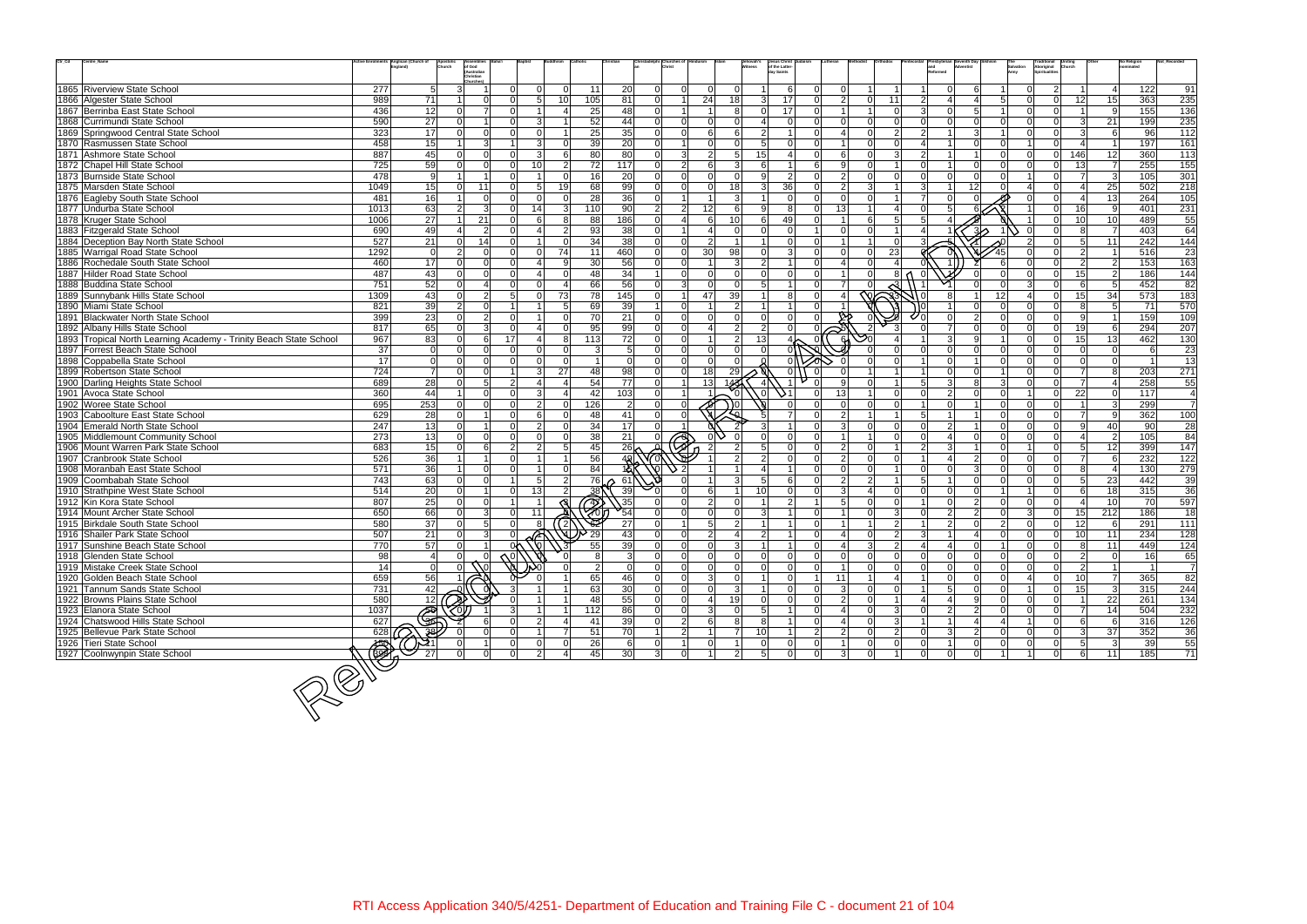| $\mathsf{Ctr}\_ \mathsf{Cd}$ | Centre_Name                                                       |                  | Anglican (Church of<br>Apostoli<br>Church | of God                         |                 |                 |                        |                         |                | Christadelphi Churches c         |                 | Jehovah's<br>Witness | Jesus Christ<br>of the Latter-   |                |                  |                |                 |                |                           |                                  |                | Traditional<br>Aboriginal | Church          |                   | No Religion     | Not Record     |
|------------------------------|-------------------------------------------------------------------|------------------|-------------------------------------------|--------------------------------|-----------------|-----------------|------------------------|-------------------------|----------------|----------------------------------|-----------------|----------------------|----------------------------------|----------------|------------------|----------------|-----------------|----------------|---------------------------|----------------------------------|----------------|---------------------------|-----------------|-------------------|-----------------|----------------|
|                              |                                                                   |                  |                                           | (Australian<br>Christian       |                 |                 |                        |                         |                |                                  |                 |                      | lav Saints                       |                |                  |                |                 |                |                           |                                  |                | Spiritualities            |                 |                   |                 |                |
|                              | 1865 Riverview State School                                       | 277              | 5 <sup>1</sup>                            | Churches)<br>$\mathcal{E}$     | n١              | $\Omega$        | $\Omega$<br>11         |                         | 20             | $\overline{0}$<br>$\Omega$       |                 | $\mathbf 0$          | 6                                |                | $\Omega$         |                |                 |                |                           |                                  |                | $\overline{2}$            |                 | $\overline{a}$    | 122             | 91             |
|                              | 1866 Algester State School                                        | 989              | 71                                        | $\Omega$                       | nl              | 5 <sup>1</sup>  | 10 <sup>1</sup><br>105 |                         | 81             | $\Omega$                         | 24              | 18                   | $\mathcal{E}$<br>17              |                | $\overline{2}$   | $\Omega$       | 11              | $\mathcal{P}$  |                           | 5 <sup>1</sup>                   |                | $\overline{0}$            | 12              | 15                | 363             | 235            |
|                              | 1867 Berrinba East State School                                   | 436              | 12                                        | 7<br>$\Omega$                  | ΩL              |                 | 4                      | 25                      | 48             | $\overline{0}$                   |                 | 8                    | 17<br>$\Omega$                   |                | -1               |                | $\Omega$        | વ્ય            | $\Omega$                  | 5                                | $\Omega$       | $\overline{0}$            | -11             | -9                | 155             | 136            |
|                              |                                                                   |                  |                                           | $\Omega$                       | $\cap$          |                 |                        |                         |                | $\Omega$                         |                 |                      | $\Omega$                         |                |                  | $\Omega$       | $\Omega$        |                | $\Omega$                  |                                  |                |                           |                 |                   |                 |                |
|                              | 1868 Currimundi State School                                      | 590              | $\overline{27}$                           |                                |                 | 3               |                        | 52                      | 44             | $\overline{0}$                   |                 |                      |                                  |                |                  |                |                 |                |                           | $\Omega$                         |                | $\overline{0}$            | $\overline{3}$  | 21                | 199             | 235            |
|                              | 1869 Springwood Central State School                              | 323              | 17                                        | $\overline{0}$<br>$\Omega$     | $\Omega$        | $\Omega$        |                        | 25                      | 35             | $\Omega$<br>$\Omega$             | 6               | 6                    | $\overline{2}$                   |                | $\overline{4}$   | $\Omega$       | $\overline{2}$  | $\overline{2}$ |                           | 3 <sup>1</sup>                   | $\Omega$       | $\overline{0}$            | $\overline{3}$  | 6                 | 96              | 112            |
|                              | 1870 Rasmussen State School                                       | 458              | 15                                        | $\mathbf{3}$                   |                 | $\overline{3}$  | $\Omega$               | 39                      | 20             | $\overline{0}$<br>$\overline{1}$ |                 | $\Omega$             | 5 <sup>5</sup><br>$\Omega$       |                |                  | $\Omega$       | $\Omega$        |                |                           | $\overline{0}$<br>$\Omega$       |                | $\Omega$                  | $\vert$         | $\overline{1}$    | 197             | 161            |
|                              | 1871 Ashmore State School                                         | 887              | 45                                        | $\Omega$<br>$\Omega$           | $\Omega$        | $\mathbf{3}$    | 6 <sup>1</sup>         | 80                      | 80             | $\overline{0}$<br>3              | າ               | 5                    | 15 <sup>1</sup>                  |                | 6                | $\Omega$       | $\mathbf{3}$    | $\mathcal{D}$  |                           | $\Omega$                         | $\Omega$       | $\overline{0}$            | 146             | 12                | 360             | 113            |
|                              | 1872 Chapel Hill State School                                     | 725              | 59                                        | ΩI<br>$\Omega$                 | $\Omega$        | 10 <sup>1</sup> | $\overline{2}$         | 72<br>117               |                | $\Omega$<br>$\overline{2}$       |                 |                      |                                  |                | 9                |                |                 |                |                           | $\Omega$                         |                | $\overline{0}$            | 13              | $\overline{7}$    | 255             | 155            |
|                              | 1873 Burnside State School                                        | 478              | -91                                       |                                | $\Omega$        |                 | $\Omega$               | 16                      | 20             | $\overline{0}$<br>$\Omega$       |                 | $\Omega$             | Ωl<br>$\overline{2}$             | $\cap$         | 2                | $\Omega$       | $\Omega$        |                | $\Omega$                  | $\Omega$<br>$\Omega$             |                | $\overline{0}$            | $\overline{7}$  | 3                 | $\frac{105}{2}$ | 301            |
|                              | 1875 Marsden State School                                         | 1049             | 15                                        | 11<br>$\Omega$                 | $\Omega$        | 5 <sup>1</sup>  | 19 <sup>1</sup>        | 68                      | 99             | $\Omega$<br>$\Omega$             |                 | 18                   | 36 <sup>1</sup><br>$\mathcal{E}$ |                | 2                | 3              |                 | 3              | 12 <sup>1</sup>           | $\Omega$                         |                | $\Omega$                  |                 | 25                | 502             | 218            |
|                              | 1876 Eagleby South State School                                   | 481              | 16                                        | $\Omega$                       | $\Omega$        | $\Omega$        | $\Omega$               | 28                      | 36             | $\overline{0}$                   |                 | 3                    | $\Omega$                         |                | $\Omega$         |                |                 |                |                           |                                  |                | $\overline{0}$            | $\vert$         | 13                | 264             | 105            |
|                              | 1877 Undurba State School                                         | 1013             | 63                                        | $\overline{2}$<br>$\mathbf{3}$ | $\Omega$        | $\overline{1}4$ | $\mathbf{3}$<br>110    |                         | 90             | $2 \vert$<br>$\overline{2}$      | 12              | -6                   | Ωl<br>8                          |                | 13               |                | 4               |                | $5 \mid$                  |                                  |                | $\overline{0}$            | 16              | -91               | 401             | 231            |
|                              | 1878 Kruger State School                                          | 1006             | 27                                        | 21                             | $\Omega$        | 6               | 88<br>8                | 186                     |                | $\Omega$                         | 6               | 10                   | 49<br>6                          |                | $\overline{1}$   | 6              | $5\overline{)}$ |                |                           |                                  |                | $\overline{0}$            | 10 <sup>1</sup> | 10                | 489             | 55             |
|                              | 1883 Fitzgerald State School                                      | 690              | 49                                        | $\overline{2}$                 | $\Omega$        |                 | $\overline{2}$<br>93   |                         | 38             | $\Omega$                         |                 |                      | $\Omega$                         |                |                  |                |                 |                |                           | طح                               |                | $\Omega$                  |                 | $\overline{7}$    | 403             | 64             |
|                              | 1884 Deception Bay North State School                             | 527              | 21                                        | 14<br>$\Omega$                 | $\Omega$        |                 | $\Omega$               | 34                      | 38             | $\overline{0}$<br>$\Omega$       |                 |                      | $\Omega$                         |                |                  |                | $\Omega$        |                |                           |                                  |                | $\overline{0}$            | 5               | 11                | 242             | 144            |
|                              | 1885 Warrigal Road State School                                   | 1292             | - Ol                                      | 2 <sup>1</sup><br>$\Omega$     | $\Omega$        | $\Omega$        | 74<br>11               | 460                     |                | $\Omega$<br>$\Omega$             | 30 <sup>1</sup> | 98                   | 3                                |                | $\Omega$         | $\Omega$       | 23              |                |                           |                                  |                | $\Omega$                  | $\overline{2}$  | $\overline{1}$    | 516             | 23             |
|                              | 1886 Rochedale South State School                                 | 460              | 17                                        | $\Omega$<br>$\Omega$           | ΩL              |                 | 9                      | 30                      | 56             | $\Omega$<br>$\Omega$             |                 | 3                    | $\mathcal{P}$                    |                | Δ                |                |                 |                |                           |                                  |                | $\Omega$                  | $\overline{2}$  | $\overline{2}$    | 153             | 163            |
|                              | 1887 Hilder Road State School                                     | 487              | 43                                        | $\Omega$<br>$\Omega$           | $\Omega$        |                 | $\Omega$               | 48                      | 34             | $1\vert$<br><sup>0</sup>         |                 | $\Omega$             | $\Omega$<br>$\Omega$             |                |                  | $\Omega$       | 8               |                |                           |                                  |                | $\overline{0}$            | 15              | $\overline{2}$    | 186             | 144            |
|                              | 1888 Buddina State School                                         | 751              | 52                                        | 4<br>$\Omega$                  | $\Omega$        | $\Omega$        | $\overline{4}$         | 66                      | 56             | $\overline{0}$<br>3              |                 | $\Omega$             | $\overline{1}$                   |                |                  |                |                 |                |                           |                                  |                | $\Omega$                  | 6               |                   | 452             | 82             |
|                              | 1889 Sunnybank Hills State School                                 | 1309             | 43                                        | 2 <sup>1</sup><br>$\Omega$     | 5 <sup>1</sup>  | $\Omega$        | 73                     | 145<br>78               |                | $\overline{0}$                   | 47              | 39                   | 8                                |                | $\overline{4}$   |                |                 |                |                           | 12                               |                | $\overline{0}$            | 15              | 34                | 573             | 183            |
|                              | 1890 Miami State School                                           | 821              | 39                                        | $\overline{2}$<br>$\Omega$     |                 |                 | 5 <sup>1</sup>         | 69                      | 39<br>1        | $\Omega$                         |                 | 2                    |                                  |                |                  |                |                 |                |                           | $\Omega$                         |                | $\overline{0}$            | 8               | 5                 | 71              | 570            |
|                              | 1891 Blackwater North State School                                | 399              | 23                                        | $\overline{2}$                 | $\Omega$        |                 | 70<br>$\Omega$         |                         | 21             | $\Omega$<br>$\Omega$             | $\Omega$        |                      | $\Omega$                         |                |                  |                |                 |                |                           | $\Omega$                         |                | $\overline{0}$            | 9               |                   | 159             | 109            |
|                              | 1892 Albany Hills State School                                    | 817              | 65                                        | $\overline{3}$<br>$\Omega$     | $\Omega$        |                 | 95<br>$\Omega$         |                         | 99             | $\overline{0}$<br><sup>0</sup>   |                 | 2                    | $\overline{2}$<br>$\Omega$       |                |                  |                |                 |                |                           | $\overline{0}$<br>$\Omega$       | $\Omega$       | $\overline{0}$            | 19              | - 6 I             | 294             | 207            |
|                              | 1893 Tropical North Learning Academy - Trinity Beach State School | 967              | 83                                        | $\Omega$<br>6 <sup>1</sup>     | 17 <sup>1</sup> |                 | 8<br>113               |                         | 72             | $\overline{0}$<br>$\Omega$       |                 | $\mathcal{P}$        | 13 <sup>1</sup>                  |                | ≫                |                |                 |                | $\vert$ 3 $\vert$         | g                                | $\cap$         | $\overline{0}$            | 15              | 13                | 462             | 130            |
|                              | 1897 Forrest Beach State School                                   | 37               | $\Omega$                                  | $\Omega$                       | $\Omega$        | $\Omega$        | $\Omega$               | 3                       | 5              | $\Omega$<br>$\Omega$             |                 |                      |                                  |                |                  |                |                 |                |                           | $\overline{0}$                   |                | $\overline{0}$            | $\Omega$        |                   | 6               |                |
|                              | 1898 Coppabella State School                                      | 17               | $\Omega$                                  | $\Omega$<br>$\Omega$           | $\Omega$        | $\Omega$        | $\Omega$               | $\overline{\mathbf{1}}$ | $\Omega$       | $\overline{0}$<br>n l            |                 |                      |                                  |                |                  |                |                 |                | $\Omega$                  | $\Omega$                         |                | $\Omega$                  | $\Omega$        | n l               |                 | 23             |
|                              |                                                                   | 724              | $\overline{7}$                            | $\Omega$<br>$\cap$             |                 |                 | $\overline{27}$        | 48                      |                | $\Omega$                         |                 |                      |                                  |                |                  |                |                 |                | $\Omega$                  | <sup>n</sup>                     |                | $\Omega$                  | 7               | 8                 |                 | 13<br>271      |
|                              | 1899 Robertson State School                                       |                  |                                           |                                |                 | $\overline{3}$  |                        |                         | 98             | $\overline{0}$                   | 18 <sup>1</sup> | 29                   | $\Omega$                         |                |                  |                |                 |                |                           |                                  |                |                           |                 |                   | 203             |                |
|                              | 1900 Darling Heights State School                                 | 689              | 28                                        | 5                              | $\overline{2}$  |                 |                        | 54                      | 77             | $\Omega$                         | 13 <sup>1</sup> |                      |                                  |                |                  |                |                 |                | $\vert$ 3 $\vert$         | $\overline{3}$<br>8              |                | $\Omega$                  | $\overline{7}$  |                   | 258             | 55             |
|                              | 1901 Avoca State School                                           | 360              | 44                                        | $\overline{0}$                 | $\Omega$        | $\overline{3}$  | $\overline{4}$         | 103<br>42               |                | $\overline{0}$                   |                 |                      |                                  |                | 13               |                | $\overline{0}$  | U.             | $\overline{2}$            | $\Omega$<br>$\overline{0}$       |                | $\overline{0}$            | 22              | $\Omega$          | 117             | $\overline{4}$ |
|                              | 1902 Woree State School                                           | 695              | 253                                       | $\Omega$<br>$\Omega$           | $\Omega$        | $\overline{2}$  | 126<br>$\Omega$        |                         | $\overline{2}$ | $\Omega$                         |                 |                      |                                  |                | $\Omega$         |                | $\Omega$        |                | $\Omega$                  | $\Omega$                         | n l            | $\Omega$                  | $\overline{1}$  | $\vert$ 3 $\vert$ | 299             | $\overline{7}$ |
|                              | 1903 Caboolture East State School                                 | 629              | 28                                        |                                | nl              | 6 <sup>1</sup>  | $\cap$                 | 48                      | 41             | $\Omega$                         |                 |                      |                                  |                | $\overline{2}$   |                |                 |                |                           | $\Omega$                         |                | $\Omega$                  | $\overline{7}$  | 9                 | 362             | 100            |
|                              | 1904 Emerald North State School                                   | 247              | 13                                        | $\Omega$                       | $\Omega$        | 2               | $\Omega$               | 34                      | 17             | $\Omega$                         |                 |                      |                                  |                | 3                | $\Omega$       | $\Omega$        |                | $\mathcal{P}$             | $\Omega$                         |                | $\overline{0}$            | 9 <sup>1</sup>  | 40                | 90              | 28             |
|                              | 1905 Middlemount Community School                                 | $\overline{273}$ | 13                                        | $\Omega$<br>$\Omega$           | $\Omega$        | $\Omega$        | $\Omega$               | 38                      | 21             | $\Omega$                         |                 |                      |                                  |                | $\overline{1}$   |                | $\Omega$        |                | $\boldsymbol{\varLambda}$ | $\Omega$<br>$\Omega$             |                | $\Omega$                  |                 | $\overline{2}$    | 105             | 84             |
|                              | 1906 Mount Warren Park State School                               | 683              | 15                                        | 6 <sup>1</sup><br>$\Omega$     | $\overline{2}$  | 2 <sup>1</sup>  | -5                     | 45                      | 26<br>$\Omega$ |                                  |                 |                      | $\Omega$                         |                | $\overline{2}$   |                |                 | $\mathcal{D}$  | -31                       | $\Omega$                         |                | $\Omega$                  | 5 <sup>1</sup>  | 12 <sup>1</sup>   | 399             | 147            |
|                              | 1907 Cranbrook State School                                       | 526              | 36                                        |                                | $\Omega$        |                 |                        | 56                      | 40             |                                  |                 |                      | $\Omega$                         |                | $\overline{2}$   | $\Omega$       | $\Omega$        |                |                           | $\overline{2}$<br>$\Omega$       |                | $\overline{0}$            | $\overline{7}$  | 6                 | 232             | 122            |
|                              | 1908 Moranbah East State School                                   | 571              | 36                                        | $\Omega$                       | $\Omega$        |                 | $\Omega$               | 84                      | 18             |                                  |                 |                      | $\overline{1}$                   |                | $\Omega$         | $\Omega$       | $\mathbf{1}$    |                | $\Omega$                  | 3 <br>$\Omega$                   |                | $\Omega$                  | 8 <sup>1</sup>  |                   | 130             | 279            |
|                              | 1909 Coombabah State School                                       | 743              | 63                                        | $\Omega$<br>$\Omega$           | $\vert$ 1       | 5 <sub>5</sub>  | $\overline{2}$         | 76                      | 61             |                                  |                 |                      | 5<br>6                           |                | 2                | $\overline{2}$ |                 |                |                           | $\Omega$<br>$\Omega$             |                | $\Omega$                  | 5 <sup>1</sup>  | 23                | 442             | 39             |
|                              | 1910 Strathpine West State School                                 | 514              | 20                                        | $\Omega$                       | $\Omega$        | 13              | $\overline{2}$         | 38                      | 39             |                                  |                 |                      | 10 <sup>1</sup><br>$\Omega$      |                | 3                |                | $\Omega$        |                |                           |                                  |                | $\overline{0}$            | 6 <sup>1</sup>  | 18                | 315             | 36             |
|                              | 1912 Kin Kora State School                                        | 807              | 25                                        | $\overline{0}$<br>$\Omega$     |                 | $\mathbf{1}$    | Z                      |                         | 35             | $\Omega$                         |                 | $\Omega$             | $\mathcal{P}$                    |                | 5                | $\Omega$       | $\Omega$        |                | 0l                        | 2 <sup>1</sup><br>$\overline{0}$ | $\Omega$       | $\overline{0}$            | $\vert$ 4       | 10                | 70              | 597            |
|                              | 1914 Mount Archer State School                                    | 650              | 66                                        | $\overline{3}$<br>$\Omega$     | $\Omega$        | 11              |                        | $\frac{1}{54}$          |                | $\Omega$<br>$\Omega$             |                 | $\Omega$             | $\overline{3}$                   |                |                  | $\Omega$       | $\overline{3}$  |                | $\overline{2}$            | $\overline{0}$<br>2 <sup>1</sup> | .3I            | $\overline{0}$            | 15              | 212               | 186             | 18             |
|                              | 1915 Birkdale South State School                                  | 580              | 37                                        | 5 <sup>1</sup>                 | n١              |                 |                        |                         | 27             |                                  |                 |                      |                                  |                |                  |                | 2               |                | $\overline{2}$            | $\overline{2}$                   |                | $\overline{0}$            | 12              | 6                 | 291             | 111            |
|                              | 1916 Shailer Park State School                                    | 507              | $\overline{21}$                           | 3                              |                 |                 |                        |                         | 43             | $\Omega$<br>$\Omega$             |                 |                      | っ                                |                | $\boldsymbol{4}$ |                | 2               | $\mathcal{R}$  |                           | $\Omega$                         |                | $\overline{0}$            | 10 <sup>1</sup> | 11                | 234             | 128            |
|                              | 1917 Sunshine Beach State School                                  | 770              | 57                                        | $\cap$                         | 0 <sup>0</sup>  |                 |                        | 55                      | 39             | $\Omega$<br>$\cap$               | ΩI              | $\mathcal{R}$        |                                  |                |                  | 3              | $\mathcal{P}$   |                |                           |                                  |                | $\Omega$                  | 8               | 11                | 449             | 124            |
|                              | 1918 Glenden State School                                         | 98               | 4                                         |                                |                 |                 | $\Omega$               | 8                       | $\mathbf{3}$   | $\overline{0}$<br><sup>0</sup>   | $\Omega$        | <sup>0</sup>         | $\Omega$<br>$\Omega$             |                | $\Omega$         |                | $\mathbf 0$     |                | -Ol                       | $\overline{0}$<br>$\Omega$       | $\overline{0}$ | 0                         | $\overline{2}$  | 0l                | 16              | 65             |
|                              | 1919 Mistake Creek State School                                   | 14               | $\overline{0}$                            |                                |                 |                 |                        |                         | $\mathbf 0$    | $\Omega$<br>$\Omega$             |                 | $\Omega$             | $\Omega$                         |                |                  | $\Omega$       | $\Omega$        |                | $\Omega$                  | $\overline{0}$                   | $\Omega$       | 0                         | $\vert$ 2       |                   |                 | 7              |
|                              | 1920 Golden Beach State School                                    | 659              | 56                                        |                                |                 |                 |                        | 65                      | 46             | $\overline{0}$<br><sup>0</sup>   | $\overline{3}$  | $\mathbf 0$          | $\overline{0}$                   |                | 11               | -1             | 4               |                | 0                         | $\overline{0}$<br>$\overline{0}$ |                | $\overline{0}$            | 10              | 7 <sup>1</sup>    | 365             | 82             |
|                              | 1921 Tannum Sands State School                                    | 731              | 42                                        |                                |                 |                 |                        | 63                      | 30             | $\overline{0}$<br>$\Omega$       |                 | 3                    | $\Omega$                         |                | $\mathbf{3}$     |                | $\Omega$        |                | 5 <sup>1</sup>            | $\overline{0}$<br>$\Omega$       |                | 0                         | 15              | 3                 | 315             | 244            |
|                              | 1922 Browns Plains State School                                   | 580              | 12                                        |                                |                 |                 |                        | 48                      | 55             | 0 <br>$\Omega$                   |                 | 19                   | $\Omega$                         |                | $\overline{2}$   |                |                 |                |                           | 9<br>$\overline{0}$              | $\Omega$       | $\overline{0}$            | $1 \vert$       | 22                | 261             | 134            |
|                              | 1923 Elanora State School                                         | 1037             |                                           |                                | 31              |                 | 112<br>11              |                         | 86             | 0 <br><sup>0</sup>               |                 | $\Omega$             | 5                                | $\Omega$       | 4                | $\overline{0}$ | 3               |                | $\vert$ 2                 | 2 <br>$\overline{0}$             | $\Omega$       | $\mathbf 0$               | $\overline{7}$  | 14                | 504             | 232            |
|                              | 1924 Chatswood Hills State School                                 | 627              | <b>REAR</b>                               |                                | $\cap$          | $\mathfrak{p}$  | 41                     |                         | 39             | $\overline{0}$<br>$2 \vert$      |                 | 8                    | 8                                |                | $\overline{4}$   | $\Omega$       | $\overline{3}$  |                |                           | $\overline{4}$<br>4              |                | $\overline{0}$            | 6               | - 6               | 316             | 126            |
|                              | 1925 Bellevue Park State School                                   | 628              |                                           |                                | $\Omega$        |                 | 51<br>$\overline{7}$   |                         | 70             | 1 <sup>1</sup><br>$\overline{2}$ |                 | $\overline{7}$       | 10 <sup>1</sup>                  | 2 <sup>1</sup> | $\overline{2}$   |                | $\mathbf{2}$    |                | 3                         | 2 <br>$\overline{0}$             | $\Omega$       | $\mathbf 0$               | 3               | 37                | 352             | 36             |
|                              | 1926 Tieri State School                                           |                  |                                           | $\mathbf{1}$                   | $\overline{0}$  | $\overline{0}$  | $\overline{0}$         | $\overline{26}$         | 6              | $\overline{0}$                   |                 | -1                   | $\overline{0}$<br>$\overline{0}$ | $\Omega$       |                  | $\overline{0}$ | $\overline{0}$  | Ωl             |                           | $\overline{0}$<br>$\overline{0}$ | $\overline{0}$ | $\overline{0}$            | 5 <sup>1</sup>  | 3                 | 39              | 55             |
|                              | 1927 Coolnwynpin State School                                     |                  |                                           | $\Omega$                       | $\Omega$        | $\overline{2}$  |                        | 45                      | 30             | 3 <sup>l</sup><br>$\Omega$       |                 | $\overline{2}$       | 5 <sup>5</sup><br>$\overline{0}$ |                | 3                | $\Omega$       |                 | $\Omega$       | -Ol                       | $\Omega$                         |                | 0                         | 6               | 11                | 185             | 71             |
|                              |                                                                   | E                |                                           |                                |                 |                 |                        |                         |                |                                  |                 |                      |                                  |                |                  |                |                 |                |                           |                                  |                |                           |                 |                   |                 |                |
|                              |                                                                   |                  |                                           |                                |                 |                 |                        |                         |                |                                  |                 |                      |                                  |                |                  |                |                 |                |                           |                                  |                |                           |                 |                   |                 |                |
|                              |                                                                   |                  |                                           |                                |                 |                 |                        |                         |                |                                  |                 |                      |                                  |                |                  |                |                 |                |                           |                                  |                |                           |                 |                   |                 |                |
|                              |                                                                   |                  |                                           |                                |                 |                 |                        |                         |                |                                  |                 |                      |                                  |                |                  |                |                 |                |                           |                                  |                |                           |                 |                   |                 |                |
|                              |                                                                   |                  |                                           |                                |                 |                 |                        |                         |                |                                  |                 |                      |                                  |                |                  |                |                 |                |                           |                                  |                |                           |                 |                   |                 |                |
|                              |                                                                   |                  |                                           |                                |                 |                 |                        |                         |                |                                  |                 |                      |                                  |                |                  |                |                 |                |                           |                                  |                |                           |                 |                   |                 |                |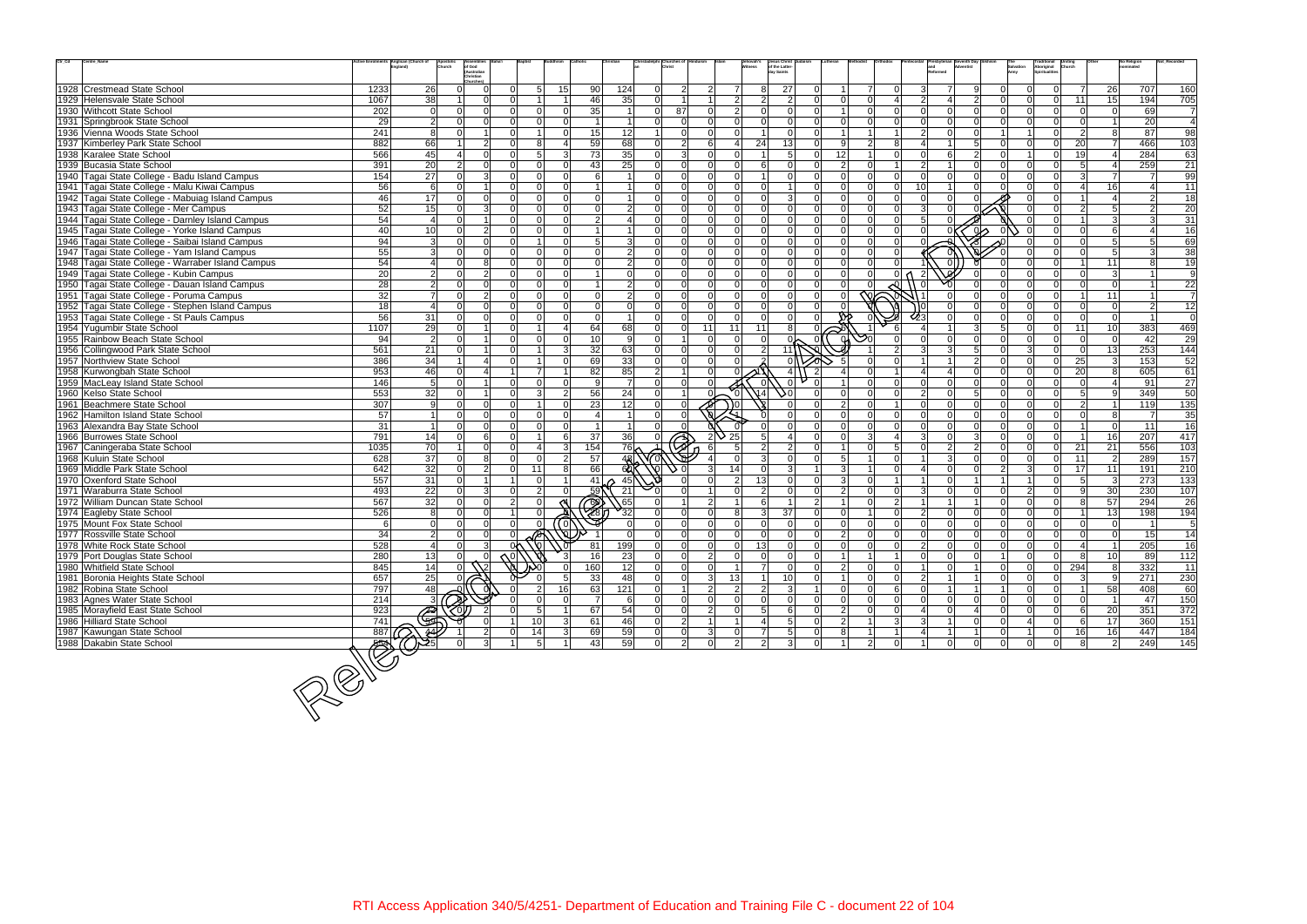| $\mathrm{Ctr}\_ \mathrm{Cd}$<br>Centre_Name       | Anglican (Church of     |                                                             | postoli <sup>,</sup><br>hurch | Assemblies<br>of God<br>(Australian |               |                      |                             |                 |                |                      |                | Jehovah' <mark>s</mark><br>Witness | Jesus Christ<br>of the Latter-     |                |                 |                |                       |                 |                                |                                        |          | Traditional<br>Aboriginal | <b>Uniting</b><br>Church |                     | No Religior     |                  |
|---------------------------------------------------|-------------------------|-------------------------------------------------------------|-------------------------------|-------------------------------------|---------------|----------------------|-----------------------------|-----------------|----------------|----------------------|----------------|------------------------------------|------------------------------------|----------------|-----------------|----------------|-----------------------|-----------------|--------------------------------|----------------------------------------|----------|---------------------------|--------------------------|---------------------|-----------------|------------------|
|                                                   |                         |                                                             |                               | Christian                           |               |                      |                             |                 |                |                      |                |                                    | dav Saints                         |                |                 |                |                       |                 |                                |                                        |          | Spiritualitie             |                          |                     |                 |                  |
| 1928 Crestmead State School                       | 1233                    | 26                                                          | 0                             | $\mathbf 0$                         |               | 5 <sup>1</sup><br>15 | 90                          | 124             | -ol            | $\overline{2}$       |                | $\overline{7}$                     | 27<br>8                            |                |                 | $\overline{7}$ | $\Omega$              | 3               | $\overline{7}$<br>$\mathbf{Q}$ | $\Omega$                               |          | $\Omega$                  | $\overline{7}$           | 26                  | 707             | 160              |
| 1929 Helensvale State School                      | 1067                    | 38                                                          | 11                            | $\overline{0}$                      |               |                      | 46                          | 35              | $\Omega$       |                      |                | $\overline{2}$                     | $\overline{2}$<br>$\overline{2}$   |                | $\Omega$        | $\Omega$       | $\boldsymbol{\Delta}$ | $\mathcal{D}$   | $\boldsymbol{\Delta}$          | $\overline{2}$<br>$\Omega$             |          | $\overline{0}$            | 11                       | 15 <sup>1</sup>     | 194             | 705              |
| 1930 Withcott State School                        | 202                     | $\overline{0}$                                              | $\Omega$                      | 0                                   | ΩI            | - Ol                 | 35 <sub>1</sub><br>0l       | $\sim$ 1        |                | $\overline{0}$<br>87 |                | $\mathcal{P}$                      | $\Omega$<br>$\Omega$               |                | $\overline{1}$  | $\Omega$       | $\Omega$              | ΩI              | $\Omega$                       | $\Omega$<br>$\Omega$                   |          | $\Omega$                  | $\Omega$                 | $\overline{0}$      | 69              | $\overline{7}$   |
| 1931 Springbrook State School                     |                         |                                                             | $\Omega$                      | $\Omega$                            |               | $\Omega$             | $\Omega$                    |                 | $\Omega$       | $\Omega$             |                |                                    | $\Omega$                           |                | $\Omega$        |                | $\Omega$              |                 | $\Omega$                       |                                        |          |                           | $\Omega$                 |                     | $\overline{20}$ | $\overline{4}$   |
|                                                   | 29                      | $\overline{2}$                                              | $\Omega$                      | 1 <sup>1</sup>                      | ΩI            |                      | $\Omega$                    |                 | -1             | $\Omega$             |                |                                    | $\Omega$                           |                |                 |                |                       |                 | $\Omega$<br>$\Omega$           |                                        |          | $\Omega$                  | $\overline{2}$           | 8                   |                 | 98               |
| 1936 Vienna Woods State School                    | 241                     | 8                                                           |                               |                                     |               |                      | 15                          | 12              |                |                      |                |                                    |                                    |                |                 |                |                       | $\overline{2}$  |                                |                                        |          |                           |                          |                     | 87              |                  |
| 1937 Kimberley Park State School                  | 882                     | 66                                                          | $\overline{1}$                | 2 <sup>1</sup>                      | ΩI            | 8                    | 59                          | 68              | $\Omega$       | $\overline{2}$       |                | $\Omega$                           | 13<br>24                           |                | 9               | $\overline{2}$ | 8                     | U               |                                | 5 <sup>1</sup><br>$\Omega$<br>$\Omega$ |          | $\Omega$                  | 20                       | $\overline{7}$<br>4 | 466             | 103              |
| 1938 Karalee State School                         | 566                     | 45                                                          | $\mathbf{4}$                  | 0                                   | ΩI            | 5                    | 73<br>$\overline{3}$        | 35              | $\Omega$       | 3                    |                |                                    | -5                                 |                | 12              |                | $\Omega$              |                 | 6                              | $\mathcal{P}$                          |          | $\Omega$                  | 19                       |                     | 284             | 63               |
| 1939 Bucasia State School                         | 391                     | 20                                                          | 2 <sup>1</sup>                | 0                                   |               |                      | 43 <sub>l</sub><br>$\Omega$ | 25              | $\Omega$       | $\Omega$             |                |                                    | 6<br>$\Omega$                      |                | $\overline{2}$  | $\Omega$       |                       | $\overline{2}$  |                                |                                        |          | $\Omega$                  |                          |                     | 259             | 21               |
| 1940 Tagai State College - Badu Island Campus     | 154                     | $\overline{27}$                                             | $\Omega$                      | 3                                   | ΩI            | $\Omega$             | $\Omega$<br>6               |                 | $\Omega$       | $\Omega$             |                | $\Omega$                           | $\Omega$                           |                | $\Omega$        | $\Omega$       | $\Omega$              |                 | $\Omega$                       | $\Omega$<br>$\Omega$                   |          | $\Omega$                  | $\mathcal{E}$            | $\overline{7}$      |                 | 99               |
| 1941 Tagai State College - Malu Kiwai Campus      | 56                      | 6                                                           | $\Omega$                      | 1 <sup>1</sup>                      |               |                      | 0                           |                 |                | $\Omega$             |                |                                    |                                    |                |                 |                | $\Omega$              | 10 <sup>1</sup> |                                |                                        |          | $\Omega$                  |                          | 16 <sup>1</sup>     |                 | 11               |
| 1942 Tagai State College - Mabuiag Island Campus  | 46                      | 17                                                          | $\Omega$                      | 0                                   |               | $\Omega$             | $\Omega$<br>$\Omega$        |                 | $\Omega$       |                      |                |                                    | $\mathcal{A}$                      |                |                 |                | $\Omega$              |                 | $\Omega$                       |                                        |          |                           |                          | 4                   |                 | 18               |
| 1943 Tagai State College - Mer Campus             | 52                      | $\overline{15}$                                             | 0                             | 3                                   | ΩI            | $\Omega$             | $\Omega$<br>$\Omega$        | $\vert$ 2       | $\Omega$       | $\Omega$             |                | $\Omega$                           | $\Omega$                           |                | $\Omega$        | $\Omega$       | $\overline{0}$        |                 |                                |                                        |          |                           | $\overline{2}$           | 5 <sup>1</sup>      |                 | 20               |
| 1944 Tagai State College - Darnley Island Campus  | 54                      | $\overline{a}$                                              | $\Omega$                      | 1                                   | ΩI            | $\Omega$             | $\Omega$<br>$\overline{2}$  | 4               | $\Omega$       | $\Omega$             |                |                                    | $\Omega$                           |                |                 |                | $\Omega$              | 5               |                                |                                        |          |                           |                          | $\overline{3}$      |                 | 31               |
| 1945 Tagai State College - Yorke Island Campus    | 40                      | 10                                                          | $\Omega$                      | $\vert$ 2                           |               | $\Omega$             | $\Omega$                    |                 | $\Omega$       |                      |                |                                    | $\Omega$                           |                |                 |                | $\Omega$              |                 |                                |                                        |          |                           | $\Omega$                 | 6                   |                 | 16               |
| 1946 Tagai State College - Saibai Island Campus   | 94                      | $\mathbf{3}$                                                | $\Omega$                      | 0                                   |               |                      | 5 <sup>1</sup><br>$\Omega$  | 3               | $\Omega$       | $\Omega$             |                | $\Omega$                           | $\Omega$<br>$\Omega$               |                | $\Omega$        | $\Omega$       | $\Omega$              |                 |                                |                                        |          |                           | $\Omega$                 | 5 <sup>1</sup>      |                 | 69               |
| 1947 Tagai State College - Yam Island Campus      | 55                      | $\mathbf{3}$                                                | $\Omega$                      | $\Omega$                            |               | $\Omega$             | $\Omega$<br>$\Omega$        | $\overline{2}$  | $\Omega$       | $\Omega$             |                |                                    | $\Omega$                           |                | $\Omega$        |                | $\Omega$              |                 |                                |                                        |          |                           |                          | 5 <sup>1</sup>      |                 | 38               |
| 1948 Tagai State College - Warraber Island Campus | 54                      | $\overline{4}$                                              | $\overline{0}$                | 8                                   | ΩI            | nl                   | $\Omega$<br>$\Omega$        | $\overline{2}$  | $\Omega$       | $\Omega$             |                | $\Omega$                           | $\Omega$<br>$\Omega$               |                | $\Omega$        | $\Omega$       |                       |                 |                                |                                        |          | $\Omega$                  |                          | 11                  |                 | 19               |
| 1949 Tagai State College - Kubin Campus           | 20                      | $\overline{2}$                                              | 0                             | $\overline{2}$                      | $\Omega$      | $\Omega$             | $\Omega$                    | -Ol             | $\Omega$       | $\Omega$             |                | $\Omega$                           | $\Omega$                           |                |                 | $\Omega$       | 0                     | 2               |                                |                                        |          | $\Omega$                  | $\Omega$                 | 3 <sup>l</sup>      |                 | 9                |
| 1950 Tagai State College - Dauan Island Campus    | 28                      | $\overline{2}$                                              | $\Omega$                      | 0                                   | ΩI            | $\Omega$             | $\Omega$                    | $\overline{2}$  |                | $\Omega$             |                |                                    | $\Omega$                           |                |                 |                |                       |                 |                                |                                        |          | $\Omega$                  | $\Omega$                 | $\Omega$            |                 | 22               |
| 1951 Tagai State College - Poruma Campus          | 32                      | $\overline{7}$                                              | $\Omega$                      | 2 <sup>1</sup>                      | ΩI            | $\Omega$             | $\Omega$<br>$\Omega$        | $\overline{2}$  | $\Omega$       | $\Omega$             |                | $\Omega$                           | $\Omega$<br>$\Omega$               |                | $\Omega$        |                |                       |                 |                                | $\Omega$                               |          | $\Omega$                  |                          | 11                  |                 | $\overline{7}$   |
| 1952 Tagai State College - Stephen Island Campus  | 18                      | $\overline{4}$                                              | $\Omega$                      | 0                                   |               | $\Omega$             | $\Omega$<br>$\Omega$        | 0l              | $\Omega$       | $\Omega$             |                |                                    | $\Omega$                           |                |                 |                |                       |                 |                                |                                        |          | $\Omega$                  | $\Omega$                 | $\Omega$            |                 | 12               |
| 1953 Tagai State College - St Pauls Campus        | 56                      | 31                                                          | $\Omega$                      | $\Omega$                            | ΩI            | $\Omega$             | $\Omega$<br>$\Omega$        |                 | $\Omega$       | $\Omega$             |                |                                    | $\Omega$                           |                |                 |                |                       |                 |                                |                                        |          | $\Omega$                  |                          | $\Omega$            |                 | 0                |
| 1954 Yugumbir State School                        | 1107                    | 29                                                          | 0                             | 1                                   | ΩI            |                      | 64<br>4                     | 68              | $\overline{0}$ | $\overline{0}$       | 11             | 11<br>11                           | 8                                  |                |                 |                |                       |                 |                                | 5 <sup>1</sup><br>3 <sup>1</sup>       |          | $\overline{0}$            | 11                       | 10 <sup>1</sup>     | 383             | 469              |
| 1955 Rainbow Beach State School                   | 94                      | $\overline{2}$                                              | $\Omega$                      | 1 <sup>1</sup>                      |               | $\Omega$             | 10<br>$\Omega$              | 9               | $\Omega$       |                      |                |                                    |                                    |                |                 |                |                       |                 | $\Omega$                       | $\Omega$                               |          | $\Omega$                  | $\Omega$                 | $\Omega$            | 42              | 29               |
| 1956 Collingwood Park State School                | 561                     | 21                                                          | $\Omega$                      | 1 <sup>1</sup>                      |               |                      | 32<br>3                     | 63              | $\Omega$       | $\Omega$             |                |                                    | $\overline{2}$<br>11\              |                |                 |                |                       |                 | 5<br>3                         | $\Omega$                               |          | $\Omega$                  | $\overline{0}$           | 13                  | 253             | 144              |
| 1957 Northview State School                       | 386                     | $\overline{34}$                                             | 1                             | $\overline{4}$                      |               |                      | 69<br>$\Omega$              | 33              | $\Omega$       | $\Omega$             |                |                                    |                                    |                |                 |                |                       |                 |                                | $\mathcal{P}$<br>$\Omega$              |          | $\Omega$                  | 25                       | $\overline{3}$      | 153             | $\overline{52}$  |
| 1958 Kurwongbah State School                      | 953                     | 46                                                          | $\overline{0}$                | $\Delta$                            |               |                      | 82                          | 85              | 2              |                      |                |                                    | $\overline{4}$                     |                |                 |                |                       |                 |                                | $\cap$                                 |          | $\Omega$                  | 20                       | 8                   | 605             | 61               |
| 1959 MacLeay Island State School                  | 146                     | 5                                                           | $\Omega$                      | 11                                  | ΩI            |                      | $\Omega$<br>$\mathbf{Q}$    | $\overline{7}$  |                |                      |                |                                    |                                    |                |                 |                |                       |                 | $\Omega$                       |                                        |          |                           |                          |                     | 91              | 27               |
| 1960 Kelso State School                           | 553                     | $\overline{32}$                                             | 0                             | 1                                   | ΩI            | 3                    | 56<br>$\overline{2}$        | 24              | 0              |                      |                |                                    |                                    |                |                 | $\Omega$       | $\Omega$              | $\mathcal{D}$   | $\Omega$                       | 5 <sup>1</sup><br>$\Omega$             |          | $\Omega$                  | 5 <sub>l</sub>           | 9                   | 349             | 50               |
| 1961 Beachmere State School                       | 307                     | 9                                                           | $\Omega$                      | $\Omega$                            |               |                      | 23<br>$\Omega$              | 12              | $\Omega$       |                      |                |                                    |                                    |                | $\mathcal{P}$   |                |                       | $\Omega$        | $\Omega$<br>$\Omega$           | $\Omega$                               |          | $\Omega$                  | $\overline{2}$           | $\overline{1}$      | 119             | 135              |
| 1962 Hamilton Island State School                 | 57                      | $\overline{1}$                                              | $\Omega$                      | $\Omega$                            |               | nl                   | $\Omega$                    |                 | $\Omega$       |                      |                |                                    |                                    |                |                 |                | $\Omega$              |                 |                                |                                        |          |                           |                          | 8                   |                 | 35               |
| 1963 Alexandra Bay State School                   | 31                      | $\overline{1}$                                              | $\overline{0}$                | 0                                   |               | $\Omega$             | $\Omega$                    |                 | $\Omega$       |                      |                |                                    | $\cap$                             |                |                 |                | $\Omega$              |                 | $\Omega$<br>$\Omega$           | $\Omega$                               |          | $\Omega$                  |                          | $\overline{0}$      | 11              | 16               |
| 1966 Burrowes State School                        | 791                     | 14                                                          | $\Omega$                      | $6 \overline{6}$                    |               |                      | 37<br>6 <sup>1</sup>        | 36              |                |                      |                | 25                                 |                                    |                |                 | 3              |                       | ર               | $\Omega$                       | $\mathcal{E}$<br>$\Omega$              |          | $\Omega$                  |                          | 16                  | 207             | 417              |
| 1967 Caningeraba State School                     | 1035                    | 70                                                          | 1                             | 0                                   | ΩI            |                      | 3 <br>154                   | 76 <sub>2</sub> |                |                      |                |                                    | $\mathcal{P}$                      |                |                 |                | 5                     |                 | $\overline{2}$                 | $\overline{2}$<br>$\cap$               |          | $\Omega$                  | 21                       | 21                  | 556             | 103              |
| 1968 Kuluin State School                          | 628                     | 37                                                          | -ol                           | 8 <sup>1</sup>                      |               | $\Omega$             | 2 <br>57                    |                 |                |                      |                | - 0                                | 3<br>$\Omega$                      |                | $5\overline{5}$ |                | $\Omega$              |                 | $\mathbf{3}$<br>$\Omega$       | $\Omega$                               |          | $\Omega$                  | 11                       | $\overline{2}$      | 289             | 157              |
| 1969 Middle Park State School                     | 642                     | 32                                                          | $\Omega$                      | $\vert$ 2                           | ΩI            | 11                   | 66<br>8 <sup>1</sup>        | 60              |                |                      |                | 14                                 | 3                                  |                | $\mathbf{3}$    |                | $\Omega$              |                 | $\Omega$                       | $\overline{2}$                         |          | $\Omega$                  | 17                       | 11                  | 191             | $\overline{210}$ |
| 1970 Oxenford State School                        | 557                     | 31                                                          | $\Omega$                      | 1                                   |               | - Ol                 | $\overline{1}$<br>41        | 45              |                |                      |                | $\mathcal{P}$                      | 13<br>$\Omega$                     |                | $\mathbf{3}$    | $\Omega$       |                       |                 | $\Omega$                       |                                        |          | $\Omega$                  | 5                        | $\mathbf{3}$        | 273             | 133              |
| 1971 Waraburra State School                       | 493                     | 22                                                          | $\Omega$                      | 3 <sup>1</sup>                      |               | $\mathcal{P}$        | 59<br>$\Omega$              | 21              |                |                      |                |                                    | $\overline{2}$<br>$\Omega$         |                | $\overline{2}$  | $\Omega$       | $\Omega$              | 3               | $\cap$                         |                                        |          |                           | 9                        | 30                  | 230             | 107              |
| 1972 William Duncan State School                  | 567                     | 32                                                          | 0                             | 0                                   | $\mathcal{D}$ | $\Omega$             |                             | 65              |                |                      |                |                                    | 6<br>$\overline{1}$                | $\mathcal{D}$  |                 | $\Omega$       | 2                     |                 |                                | $\Omega$                               |          | $\Omega$                  | 8                        | 57                  | 294             | 26               |
| 1974 Eagleby State School                         | 526                     | 8                                                           | $\overline{0}$                | 0                                   |               |                      | 28                          | $\frac{1}{32}$  | $\Omega$       | $\Omega$             |                | 8                                  | 37 <sup>1</sup><br>$\overline{3}$  |                | $\Omega$        |                | $\Omega$              | $\mathcal{P}$   | $\Omega$                       | $\Omega$<br>$\Omega$                   |          | $\Omega$                  |                          | 13                  | 198             | 194              |
| 1975 Mount Fox State School                       | 6                       | $\Omega$                                                    | $\Omega$                      | 0                                   |               |                      | ര്                          |                 |                |                      |                |                                    | $\Omega$                           |                |                 |                | $\Omega$              |                 |                                |                                        |          |                           |                          | $\Omega$            |                 | 5                |
| 1977 Rossville State School                       | 34                      | $\overline{2}$                                              | $\Omega$                      | $\overline{0}$                      |               |                      |                             |                 |                |                      |                |                                    | $\Omega$                           |                | $\overline{2}$  |                | $\Omega$              |                 |                                |                                        |          |                           |                          | $\Omega$            | 15              | 14               |
| 1978 White Rock State School                      | 528                     | $\Delta$                                                    | $\Omega$                      | $\overline{3}$                      | 0٨            |                      | 81                          | 199             | ΩI             | $\Omega$             | ΩI             | <sup>0</sup>                       | 13                                 |                | $\Omega$        | $\cap$         | $\Omega$              | $\mathcal{D}$   | $\cap$                         |                                        |          | $\cap$                    |                          | 1 <sup>1</sup>      | 205             | 16               |
| 1979 Port Douglas State School                    | 280                     |                                                             | $\overline{0}$                | $\overline{0}$                      |               |                      | 3 <sup>l</sup><br>16        | 23              | 0              | $\overline{0}$       | $\overline{2}$ | $\mathbf 0$                        | $\mathbf{0}$<br>$\overline{0}$     |                |                 |                |                       |                 | $\Omega$                       | $\Omega$                               | $\Omega$ | $\overline{0}$            | 8                        | 10 <sup>1</sup>     | 89              | 112              |
| 1980 Whitfield State School                       | 845                     | $\begin{array}{r} 13 \\ \hline 14 \\ \hline 25 \end{array}$ |                               |                                     |               |                      | 160                         | 12              | οl             | $\overline{0}$       |                |                                    | $\overline{7}$<br>$\overline{0}$   |                | $\overline{2}$  | $\overline{0}$ | $\overline{0}$        |                 | $\mathbf 0$                    | 0                                      |          | $\overline{0}$            | 294                      | 8                   | 332             | $\overline{11}$  |
| 1981 Boronia Heights State School                 | 657                     |                                                             |                               |                                     |               |                      | 33<br>5 <sup>1</sup>        | 48              | 0              | $\overline{0}$       | 31             | 13                                 | 10<br>$\overline{1}$               | $\Omega$       | $\vert$ 1       | $\overline{0}$ | $\overline{0}$        | 2 <sup>1</sup>  | $\overline{1}$                 | 0                                      |          | $\overline{0}$            | $\mathbf{3}$             | 9                   | 271             | 230              |
| 1982 Robina State School                          | 797                     | 48                                                          |                               |                                     |               | 16                   | 63                          | 121             | 0              |                      | $\mathcal{D}$  | $\overline{2}$                     | $\overline{3}$<br>$\overline{2}$   |                | $\Omega$        | $\Omega$       | $6 \overline{6}$      | $\Omega$        |                                |                                        |          | $\overline{0}$            |                          | 58                  | 408             | 60               |
|                                                   | 214                     |                                                             |                               |                                     |               |                      | $\overline{7}$<br>0         |                 | 0              | $\mathbf 0$          |                |                                    | $\Omega$                           |                |                 | $\Omega$       |                       | $\Omega$        | $\mathbf 0$                    | $\Omega$                               |          | $\overline{0}$            |                          |                     |                 |                  |
| 1983 Agnes Water State School                     | 923                     | $\mathbf{3}$                                                |                               |                                     |               |                      | 11                          | $6 \mid$        |                |                      |                | $\Omega$                           | $\overline{0}$                     | $\Omega$       | 0               |                | $\overline{0}$        | $\vert$         |                                | 0                                      | $\Omega$ |                           | $\overline{0}$           |                     | 47              | 150              |
| 1985 Morayfield East State School                 |                         |                                                             |                               |                                     |               | 5 <sup>1</sup>       | 67                          | 54              | 0              | $\overline{0}$       |                |                                    | $6 \overline{6}$<br>5 <sup>1</sup> |                | $\overline{2}$  | $\overline{0}$ | $\overline{0}$        |                 | $\mathbf 0$<br>$\vert$ 4       | 0                                      |          | $\overline{0}$            | 6                        | 20                  | 351             | 372              |
| 1986 Hilliard State School                        | 741                     | $\mathbb{G}$                                                |                               |                                     |               | 10                   | 61<br> 3                    | 46              | 0              | $\overline{2}$       |                |                                    | 5<br>4                             |                | $\overline{2}$  |                | $\overline{3}$        | 3 <sup>1</sup>  | $\Omega$<br>11                 | 0                                      |          | $\overline{0}$            | $6 \overline{6}$         | 17                  | 360             | 151              |
| 1987 Kawungan State School                        |                         |                                                             |                               | 2                                   |               | 14                   | 3 <sup>2</sup><br>69        | 59              | Οl             | $\mathbf 0$          |                |                                    | $5\phantom{.0}$<br>$\overline{7}$  |                | 8               |                |                       |                 |                                | $\mathbf 0$                            |          | $\overline{0}$            | 16                       | 16                  | 447             | 184              |
| 1988 Dakabin State School                         |                         |                                                             | $\overline{0}$                | 3 <sup>l</sup>                      |               | 5 <sup>1</sup>       | 43<br>$1\vert$              | 59              | 0              | $\overline{2}$       | Οl             | $\overline{2}$                     | $\overline{2}$<br>$\mathbf{3}$     | $\overline{0}$ |                 | $2 \vert$      | $\mathbf 0$           |                 | $\mathbf 0$                    | $\overline{0}$<br> 0                   | 0        | $\overline{0}$            | $8 \mid$                 | $\vert$ 2           | 249             | 145              |
|                                                   | $\overline{\text{max}}$ |                                                             |                               |                                     |               |                      |                             |                 |                |                      |                |                                    |                                    |                |                 |                |                       |                 |                                |                                        |          |                           |                          |                     |                 |                  |
|                                                   |                         |                                                             |                               |                                     |               |                      |                             |                 |                |                      |                |                                    |                                    |                |                 |                |                       |                 |                                |                                        |          |                           |                          |                     |                 |                  |
|                                                   |                         |                                                             |                               |                                     |               |                      |                             |                 |                |                      |                |                                    |                                    |                |                 |                |                       |                 |                                |                                        |          |                           |                          |                     |                 |                  |
|                                                   |                         |                                                             |                               |                                     |               |                      |                             |                 |                |                      |                |                                    |                                    |                |                 |                |                       |                 |                                |                                        |          |                           |                          |                     |                 |                  |
|                                                   |                         |                                                             |                               |                                     |               |                      |                             |                 |                |                      |                |                                    |                                    |                |                 |                |                       |                 |                                |                                        |          |                           |                          |                     |                 |                  |
|                                                   |                         |                                                             |                               |                                     |               |                      |                             |                 |                |                      |                |                                    |                                    |                |                 |                |                       |                 |                                |                                        |          |                           |                          |                     |                 |                  |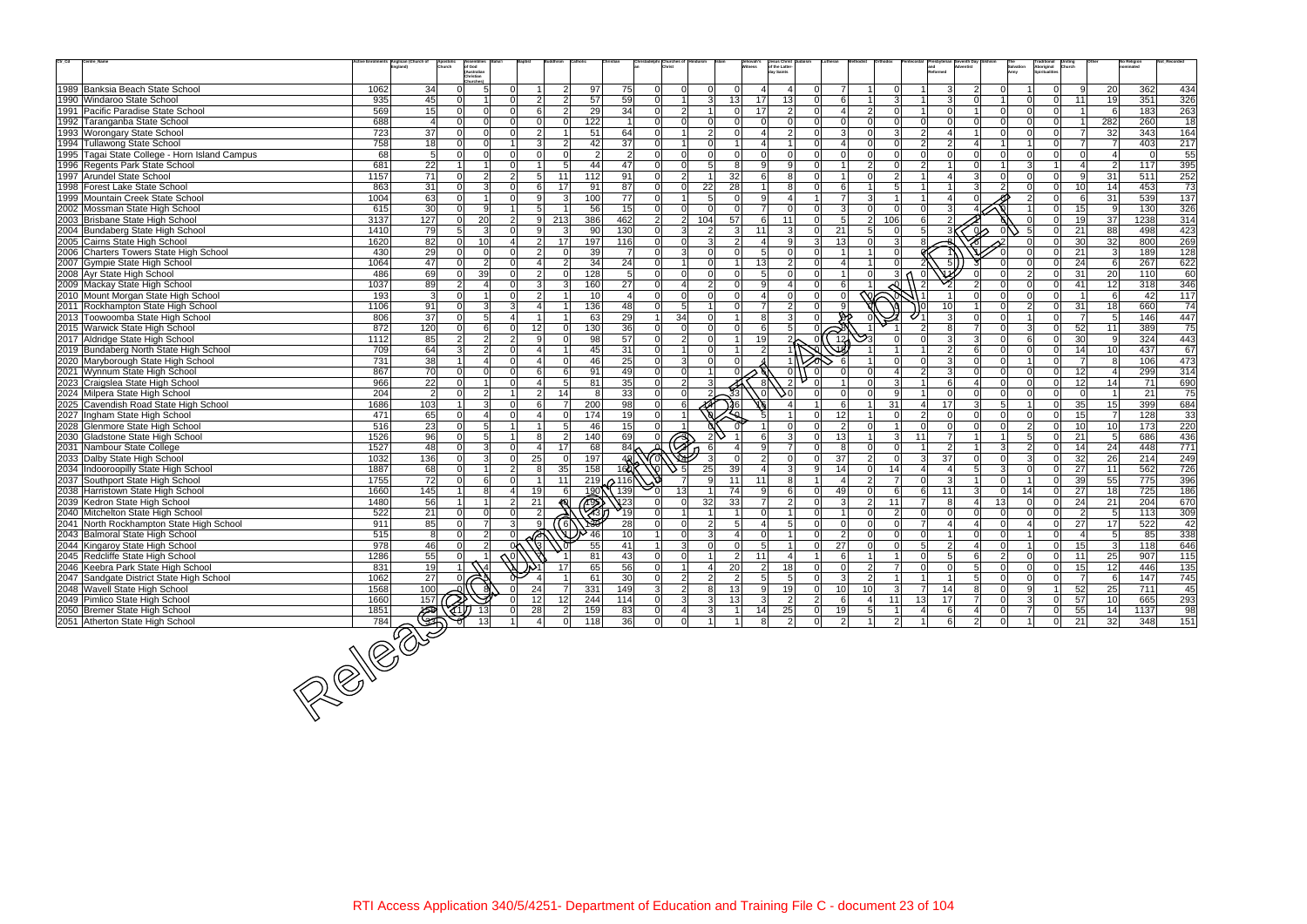| $\mathrm{Ctr}\_ \mathrm{Cd}$<br>Centre_Name                               |             | ctive Enrolments Anglican (Church of<br>England)<br>Apostolio<br>Church | of God<br>(Australian                  |                |                                 |                                        |                                   |                         |                      |                                | lehovah's                 | Jesus Christ<br>of the Latter<br>ay Saints |                |                          |                 |                |                |                               |                                  |                | Traditiona <mark>l</mark><br>Aboriginal<br>Spiritualities |                      |                                | No Religion |                        |
|---------------------------------------------------------------------------|-------------|-------------------------------------------------------------------------|----------------------------------------|----------------|---------------------------------|----------------------------------------|-----------------------------------|-------------------------|----------------------|--------------------------------|---------------------------|--------------------------------------------|----------------|--------------------------|-----------------|----------------|----------------|-------------------------------|----------------------------------|----------------|-----------------------------------------------------------|----------------------|--------------------------------|-------------|------------------------|
|                                                                           |             |                                                                         | Christian<br>Churches)                 |                |                                 |                                        |                                   |                         |                      |                                |                           |                                            |                |                          |                 |                |                |                               |                                  |                |                                                           |                      |                                |             |                        |
| 1989 Banksia Beach State School                                           | 1062        | 34                                                                      | $\Omega$<br>5                          |                |                                 | $\overline{2}$<br>97                   | 75                                | $\Omega$                | $\Omega$             |                                | 0 I                       |                                            |                | $\overline{7}$           |                 | $\Omega$       |                | 3                             | $\overline{2}$<br>$\Omega$       |                | $\overline{0}$                                            | 9                    | 20                             | 362         | 434                    |
| 1990 Windaroo State School                                                | 935         | 45                                                                      | $\Omega$                               | ΩI             | $\mathcal{P}$                   | $\mathcal{P}$<br>57                    | 59                                | $\Omega$                | $\vert$ 1            | $\overline{3}$                 | 13<br>17                  | 13                                         |                | 6                        |                 | 3              |                | $\vert$ 3 $\vert$<br>$\Omega$ |                                  | $\Omega$       | $\Omega$                                                  | 11                   | 19                             | 351         | 326                    |
| 1991 Pacific Paradise State School                                        | 569         | 15                                                                      | $\Omega$<br>$\Omega$                   | ΩI             | 6                               | 29<br>$\overline{2}$                   | 34                                | $\Omega$                | $\overline{2}$       |                                | 17<br>$\Omega$            | $\overline{2}$                             |                | $\overline{4}$           | $\overline{2}$  | $\Omega$       |                | $\Omega$                      | $\Omega$                         | $\Omega$       | $\overline{0}$                                            |                      | -61                            | 183         | 263                    |
| 1992 Taranganba State School                                              | 688         | $\overline{4}$                                                          | $\Omega$                               |                |                                 | 122<br>$\Omega$                        | $\mathbf 1$                       | $\Omega$                | $\Omega$             | $\Omega$                       | $\Omega$                  |                                            |                | $\Omega$                 | $\Omega$        | $\Omega$       |                |                               | ΩI<br>$\Omega$                   |                | $\overline{0}$                                            | 11                   | 282                            | 260         | 18                     |
| 1993 Worongary State School                                               | 723         | 37                                                                      | $\Omega$<br>$\Omega$                   | ΩI             | $\mathcal{P}$                   | 51                                     | 64                                | $\Omega$                | $\blacktriangleleft$ | $\mathcal{D}$                  | $\Omega$                  | $\mathcal{P}$                              |                | 3                        |                 | 3              | $\mathcal{D}$  | $\Delta$                      | n l                              | $\Omega$       | $\Omega$                                                  | $\overline{7}$       | 32                             | 343         | 164                    |
| 1994 Tullawong State School                                               | 758         | 18                                                                      | $\Omega$<br>$\Omega$                   |                | $\mathcal{R}$                   | 42<br>$\overline{2}$                   | $\overline{37}$                   | $\Omega$                |                      | ∩                              |                           |                                            |                | $\boldsymbol{\varDelta}$ | $\Omega$        | $\Omega$       | $\mathcal{P}$  | $\mathcal{P}$                 |                                  |                | $\Omega$                                                  | $\overline{7}$       | $\overline{7}$                 | 403         | $\overline{217}$       |
| 1995 Tagai State College - Horn Island Campus                             | 68          | $5\overline{)}$                                                         | $\Omega$<br>$\Omega$                   | Ωl             |                                 | $\overline{2}$<br>$\Omega$             | $\overline{2}$                    | $\Omega$                | $\Omega$             | $\Omega$                       | $\Omega$                  |                                            |                | $\Omega$                 | $\Omega$        | $\Omega$       |                | $\Omega$                      | 0 <br>0                          |                | $\overline{0}$                                            | $\Omega$             |                                | $\Omega$    | 55                     |
| 1996 Regents Park State School                                            | 681         | 22                                                                      |                                        |                |                                 | $5\overline{5}$<br>44                  | 47                                | $\Omega$                | $\Omega$             | 5                              | 8                         | q                                          |                |                          | $\mathfrak{p}$  | $\Omega$       | $\mathfrak{p}$ | $\Omega$                      |                                  |                | $\overline{1}$                                            | $\vert$ 4            | $\overline{2}$                 | 117         | 395                    |
| 1997 Arundel State School                                                 | 1157        | $\overline{71}$                                                         | 2 <sup>1</sup><br>$\Omega$             | 2 <sup>1</sup> | 11<br>.5                        | $\frac{11}{2}$                         | 91                                | $\Omega$                | $\overline{2}$       |                                | 32                        | $\epsilon$<br>8                            |                |                          | $\Omega$        | 2              |                |                               | $\overline{3}$<br>$\Omega$       |                | $\Omega$                                                  | 9                    | 31                             | 511         | 252                    |
| 1998 Forest Lake State School                                             | 863         | 31                                                                      | 3 <sup>1</sup>                         | Ωl             | 17                              | 91                                     | 87                                | $\Omega$                | $\overline{0}$       | 22                             | 28                        | 8                                          |                | -6                       |                 | 5              |                |                               | $\mathcal{P}$<br>$\overline{3}$  |                | $\overline{0}$                                            | 10 <sup>1</sup>      | 14                             | 453         | $\overline{73}$        |
| 1999 Mountain Creek State School                                          | 1004        | 63                                                                      |                                        | ΩI             | $\mathbf{Q}$                    | 100<br>3                               | 77                                | $\Omega$                | $\vert$ 1            | 5                              | $\Omega$                  |                                            |                | $\overline{7}$           | 3               |                |                |                               |                                  |                | $\overline{0}$                                            | 6                    | 31                             | 539         | $\overline{137}$       |
| 2002 Mossman State High School                                            | 615         | 30                                                                      | 9 <sup>1</sup><br>$\Omega$             |                | $\overline{5}$                  | 56                                     | 15                                | 0                       | -ol                  | $\Omega$                       | $\Omega$                  | $\Omega$                                   |                | $\mathbf{3}$             | $\Omega$        | $\Omega$       |                | $\vert$ 3 $\vert$             |                                  |                | $\overline{0}$                                            | 15 <sup>1</sup>      | -91                            | 130         | 326                    |
| 2003 Brisbane State High School                                           | 3137        | 127                                                                     | 20<br>$\Omega$                         | 2 <sup>1</sup> | 213<br>9                        | 386                                    | 462                               | $\overline{2}$          | $2^{\degree}$        | 104                            | 57                        | 11<br>$\epsilon$                           |                | $5\overline{)}$          | $\overline{2}$  | 106            | 6              | $\mathcal{P}$                 |                                  |                | $\overline{0}$                                            | 19                   | 37                             | 1238        | 314                    |
| 2004 Bundaberg State High School                                          | 1410        | 79                                                                      | 5 <sup>1</sup><br>3                    |                |                                 | 90<br>3                                | 130                               | $\overline{0}$          | $\overline{3}$       | $\overline{2}$<br>$\mathbf{B}$ | 3<br>11                   | 3                                          |                | 21                       | 5 <sup>5</sup>  | $\mathbf 0$    | 51             |                               | $\infty$                         |                | $\mathbf 0$                                               | 21                   | 88                             | 498         | 423                    |
| 2005 Cairns State High School                                             | 1620        | 82                                                                      | 10 <sup>1</sup><br>$\Omega$            |                | 17<br>$\overline{2}$            | 197                                    | 116                               | $\Omega$                | -ol                  | ΩI                             | $\mathcal{P}$             | 9                                          |                | 13                       | $\Omega$        | $\mathbf{3}$   |                |                               |                                  |                | $\overline{0}$                                            | 30 <sup>1</sup>      | 32                             | 800         | 269                    |
| 2006 Charters Towers State High School<br>2007 Gympie State High School   | 430<br>1064 | 29<br>47                                                                | $\Omega$<br>$\Omega$<br>2 <br>$\Omega$ |                | $\mathcal{P}$                   | 39<br>$\Omega$<br>$\overline{2}$<br>34 | $\overline{7}$<br>$\overline{24}$ | $\Omega$<br>$\Omega$    | $\overline{3}$       | ΩI                             | U<br>13<br>$\overline{1}$ | $\mathcal{P}$                              |                |                          |                 | $\Omega$       |                |                               |                                  |                | $\Omega$<br>$\overline{0}$                                | 21<br>24             | $\overline{3}$<br><sup>6</sup> | 189         | 128<br>622             |
|                                                                           | 486         |                                                                         |                                        | ΩI             |                                 |                                        | 5                                 |                         | -ol                  | $\Omega$                       | $\Omega$                  | $\Omega$                                   |                |                          | $\Omega$        |                |                |                               | $\Omega$                         |                |                                                           |                      |                                | 267         |                        |
| 2008 Ayr State High School<br>2009 Mackay State High School               | 1037        | 69<br>89                                                                | 39<br>$\Omega$<br>Δ                    | ΩI             | $\overline{2}$<br>$\mathcal{R}$ | 128<br>$\overline{0}$<br>$\mathcal{E}$ |                                   | 0 <br>$\Omega$          |                      | $\mathcal{D}$                  | $\Omega$                  |                                            |                |                          |                 | 3              | -2             |                               |                                  |                | $\overline{0}$                                            | 31<br>41             | $\overline{20}$                | 110         | 60<br>346              |
|                                                                           |             |                                                                         | $\overline{2}$                         | ΩI             | $\mathfrak{p}$                  | 160<br>10                              | 27<br>$\overline{4}$              | $\Omega$                | $\Omega$             | ΩI                             | $\Omega$                  |                                            |                |                          |                 |                |                |                               | $\cap$                           |                | $\overline{0}$<br>$\Omega$                                |                      | 12<br>6                        | 318         |                        |
| 2010 Mount Morgan State High School<br>2011 Rockhampton State High School | 193<br>1106 | $\mathbf{3}$<br>91                                                      | 3 <sup>1</sup><br>$\Omega$             |                |                                 | $\frac{136}{ }$                        | 48                                | 0                       | 5 <sup>1</sup>       |                                | $\Omega$                  | $\overline{2}$                             |                |                          |                 |                |                |                               | $\Omega$                         |                | $\overline{0}$                                            |                      | 18                             | 42<br>660   | 117<br>$\overline{74}$ |
| 2013 Toowoomba State High School                                          | 806         | 37                                                                      | 5 <sup>5</sup><br>$\Omega$             |                |                                 | 63                                     | 29                                | 1 <sup>1</sup>          | 34                   | ΩI                             | $\overline{1}$            | 3                                          |                |                          |                 |                |                | 10<br>3                       | $\Omega$                         |                | $\Omega$                                                  | 31<br>$\overline{7}$ | $\overline{5}$                 | 146         | 447                    |
| 2015 Warwick State High School                                            | 872         | 120                                                                     | 6<br>$\Omega$                          | $\Omega$       | 12                              | 130<br>$\Omega$                        | 36                                | $\Omega$                | -ol                  | ΩI                             | $\Omega$                  | 6<br>$\overline{5}$                        |                |                          |                 |                |                | 8                             | n l                              | $\mathbf{R}$   | $\overline{0}$                                            | 52                   | 11                             | 389         | 75                     |
| 2017 Aldridge State High School                                           | 1112        | 85                                                                      | 2 <br>2                                | $\overline{2}$ |                                 | 98<br>$\Omega$                         | 57                                | $\overline{0}$          | 2                    |                                | 19                        |                                            |                | $\frac{28}{130}$         |                 |                |                | 3                             | $\overline{3}$<br>$\Omega$       |                | $\overline{0}$                                            | 30                   | -91                            | 324         | 443                    |
| 2019 Bundaberg North State High School                                    | 709         | 64                                                                      | 2 <sup>1</sup><br>$\overline{3}$       | $\Omega$       |                                 | 45                                     | 31                                | $\Omega$                | $\vert$ 1            | ΩI                             | $\overline{1}$            |                                            |                |                          |                 |                |                | $\overline{2}$<br>6           | $\Omega$                         |                | $\overline{0}$                                            | 14                   | 10 <sup>1</sup>                | 437         | 67                     |
| 2020 Maryborough State High School                                        | 731         | 38                                                                      |                                        |                |                                 | 46<br>$\Omega$                         | $\overline{25}$                   | $\Omega$                | 3 <sup>1</sup>       | nΙ                             | $\cap$                    |                                            |                |                          |                 | $\Omega$       |                | $\vert$ 3 $\vert$<br>$\cap$   | n l                              |                | $\Omega$                                                  | $\overline{7}$       | 8                              | 106         | 473                    |
| 2021 Wynnum State High School                                             | 867         | 70                                                                      | $\Omega$                               |                |                                 | 6<br>91                                | 49                                | $\overline{0}$          | $\Omega$             |                                |                           |                                            |                |                          |                 | 4              | 2              | $\vert$ 3 $\vert$<br>$\Omega$ | $\Omega$                         |                | $\overline{0}$                                            | 12                   | $\overline{\mathcal{A}}$       | 299         | 314                    |
| 2023 Craigslea State High School                                          | 966         | 22                                                                      |                                        | ΩI             |                                 | 81<br>5 <sup>1</sup>                   | 35                                | $\Omega$                | 2 <sup>1</sup>       |                                |                           |                                            |                |                          |                 | 3              |                | 6                             | $\Omega$                         |                | $\Omega$                                                  | 12 <sup>1</sup>      | 14                             | 71          | 690                    |
| 2024 Milpera State High School                                            | 204         | $\overline{2}$                                                          | 2 <sup>1</sup>                         |                | $\mathcal{P}$<br>14             | 8                                      | 33                                | $\overline{0}$          | - Ol                 |                                |                           | $\Omega$                                   |                | $\Omega$                 | $\Omega$        | 9              |                | 0l                            | $\Omega$<br>$\Omega$             |                | $\Omega$                                                  | $\Omega$             | $\overline{1}$                 | 21          | 75                     |
| 2025 Cavendish Road State High School                                     | 1686        | 103                                                                     | $\overline{3}$                         | ΩI             | $\overline{7}$                  | 200                                    | 98                                | $\overline{0}$          | 6                    |                                | Þ6                        |                                            |                | 6                        |                 | 31             |                | 17                            | 5 <sup>1</sup><br>3 <sup>1</sup> |                | $\overline{0}$                                            | 35                   | 15                             | 399         | 684                    |
| 2027 Ingham State High School                                             | 471         | 65                                                                      | Δ                                      |                |                                 | 174<br>$\Omega$                        | 19                                | $\Omega$                |                      |                                |                           |                                            |                | 12                       |                 | $\Omega$       | $\mathfrak{p}$ |                               | $\Omega$                         |                | $\overline{0}$                                            | 15                   | $\overline{7}$                 | 128         | 33                     |
| 2028 Glenmore State High School                                           | 516         | 23                                                                      | $5\overline{)}$<br>$\Omega$            |                |                                 | 5 <sup>1</sup><br>46                   | 15                                | $\Omega$                |                      |                                |                           | $\Omega$                                   |                | 2                        | $\Omega$        | $\mathbf{1}$   | $\Omega$       | $\Omega$                      | $\Omega$<br>$\Omega$             | $\mathcal{D}$  | $\overline{0}$                                            | 10 <sup>1</sup>      | 10                             | 173         | 220                    |
| 2030 Gladstone State High School                                          | 1526        | 96                                                                      | 5 <sup>1</sup><br>$\Omega$             |                |                                 | $\overline{2}$<br>140                  | 69                                | $\Omega$                | ్య                   |                                |                           | 3                                          |                | 13                       |                 | $\mathbf{3}$   | 11             | $\overline{7}$                |                                  |                | $\Omega$                                                  | 21                   | 5                              | 686         | 436                    |
| 2031 Nambour State College                                                | 1527        | 48                                                                      | 3                                      |                | 17<br>4                         | 68                                     | 84                                |                         |                      |                                |                           |                                            |                | -8                       |                 | $\Omega$       |                | $\overline{2}$                | $\vert$ 3                        |                | $\overline{0}$                                            | 14                   | 24                             | 448         | 771                    |
| 2033 Dalby State High School                                              | 1032        | 136                                                                     | $\overline{3}$<br>$\Omega$             | $\Omega$       | 25                              | 197<br>$\overline{0}$                  | 48                                |                         |                      |                                | 0l                        | $\mathcal{P}$<br>$\Omega$                  |                | 37                       | 2 <sup>1</sup>  | $\overline{0}$ | 31             | 37 <sup>1</sup>               | 0 <br>$\Omega$                   | $\mathcal{R}$  | $\overline{0}$                                            | 32                   | 26                             | 214         | 249                    |
| 2034 Indooroopilly State High School                                      | 1887        | 68                                                                      |                                        | 2 <sup>1</sup> | 35<br>8                         | 158                                    | 160                               |                         | -51                  | 25                             | 39                        | 3                                          |                | 14                       | $\Omega$        | 14             |                |                               | $\overline{3}$<br>5 <sup>1</sup> |                | $\overline{0}$                                            | 27                   | 11                             | 562         | 726                    |
| 2037 Southport State High School                                          | 1755        | 72                                                                      | 61                                     |                | 11                              | 219                                    | $\Omega$ 116                      |                         |                      |                                | 11<br>11                  | 8                                          |                | $\Delta$                 | $\overline{2}$  | $\overline{7}$ |                | $\vert$ 3 $\vert$             | $\Omega$                         |                | $\overline{0}$                                            | 39                   | 55                             | 775         | 396                    |
| 2038 Harristown State High School                                         | 1660        | 145                                                                     | 8 <sup>1</sup>                         | Δ              | 19                              | 190<br>$6 \sqrt{2}$                    | 139                               | ั 0 l                   | 13                   |                                | 74                        | q<br>6                                     | $\Omega$       | 49                       | $\Omega$        | 6              | 11             |                               | 3 <sup>1</sup><br>$\Omega$       | 14             | $\overline{0}$                                            | 27                   | 18                             | 725         | 186                    |
| 2039 Kedron State High School                                             | 1480        | 56                                                                      |                                        | $\overline{2}$ | 21                              | B                                      | 123                               | $\Omega$                | $\Omega$             | 32                             | 33<br>-7                  | $\overline{2}$                             |                | $\mathbf{3}$             | $\overline{2}$  | 11             | $\overline{7}$ | 8<br>Δ                        | 13                               |                | $\overline{0}$                                            | 24                   | 21                             | 204         | 670                    |
| 2040 Mitchelton State High School                                         | 522         | 21                                                                      |                                        |                |                                 |                                        | 19                                | $\Omega$                |                      |                                | $\overline{ }$            | $\Omega$                                   |                |                          |                 | 2              |                | $\Omega$                      | $\Omega$                         |                | $\Omega$                                                  | $\overline{2}$       | 5                              | 113         | 309                    |
| 2041 North Rockhampton State High School                                  | 911         | 85                                                                      | $\overline{7}$                         | ЗI             | (6)                             |                                        | 28                                | $\Omega$                | $\Omega$             | $\overline{2}$                 | 5                         |                                            |                | $\Omega$                 | $\Omega$        | $\Omega$       |                | $\Delta$                      | $\Omega$                         |                | $\overline{0}$                                            | 27                   | 17                             | 522         | 42                     |
| 2043 Balmoral State High School                                           | 515         | 8                                                                       | 2 <sup>1</sup>                         |                |                                 | 46                                     | 10                                |                         | $\Omega$             | $\overline{3}$                 |                           |                                            |                | $\overline{2}$           |                 | $\Omega$       |                |                               | <sup>n</sup><br>$\Omega$         |                | $\overline{0}$                                            | $\overline{4}$       | 5                              | 85          | 338                    |
| 2044 Kingaroy State High School                                           | 978         | 46                                                                      | $\mathcal{D}$<br>$\Omega$              | 0 <sup>k</sup> | ์ไ3                             | 55                                     | 41                                | $\overline{1}$          | $\mathcal{R}$        | $\Omega$                       | nl                        | 5 <sup>1</sup>                             | $\Omega$       | 27                       | $\Omega$        | $\Omega$       | 5 <sup>1</sup> | $\mathcal{P}$                 | $\cap$<br>$\overline{4}$         |                | $\Omega$                                                  | 15 <sup>1</sup>      | $\mathcal{R}$                  | 118         | 646                    |
| 2045 Redcliffe State High School                                          | 1286        | 55                                                                      |                                        |                |                                 | 81                                     | 43                                | $\overline{0}$          | 0                    |                                | $\mathbf{2}$<br>11        |                                            |                | 6                        |                 |                |                | 5 <sub>l</sub><br>$6 \mid$    | $\vert$ 2                        |                | 0                                                         | 11                   | 25                             | 907         | 115                    |
| 2046 Keebra Park State High School                                        | 831         | $\frac{19}{27}$                                                         |                                        |                | 17                              | 65                                     | 56                                | $\overline{0}$          | 1                    | $\overline{4}$                 | 20                        | 18<br>$\overline{2}$                       |                | $\mathbf 0$              | $\overline{2}$  | $\overline{7}$ | n١             | 0                             | 5 <sup>1</sup><br>$\overline{0}$ | $\Omega$       | 0                                                         | 15                   | 12                             | 446         | 135                    |
| 2047 Sandgate District State High School                                  | 1062        |                                                                         |                                        |                |                                 | 61                                     | 30                                | 0                       | $\overline{2}$       | 2                              | $\vert$ 2                 | 5 <sup>1</sup><br>5 <sub>l</sub>           |                | $\mathbf{3}$             | $\overline{2}$  |                |                |                               | 5 <sup>1</sup><br>$\overline{0}$ |                | $\overline{0}$                                            | $\overline{7}$       | $6 \mid$                       | 147         | 745                    |
| 2048 Wavell State High School                                             |             |                                                                         |                                        |                | 24                              | 331<br>$\overline{7}$                  | 149                               | $\overline{\mathbf{3}}$ | $\overline{2}$       | 8                              | 13                        | 19<br>9                                    |                | 10                       | 10              | $\mathbf{3}$   |                | 14                            | $\overline{0}$<br> 8             |                |                                                           | 52                   | 25                             | 711         | 45                     |
| 2049 Pimlico State High School                                            |             |                                                                         |                                        |                | 12<br>12                        | 244                                    | 114                               | 0                       | 3                    | 3 <sup>1</sup>                 | 13                        | $\vert$ 2<br>$\overline{3}$                | 2 <sup>1</sup> | 6                        | $\overline{4}$  | 11             | 13<br>17       |                               | 7 <sup>1</sup><br>$\overline{0}$ | 3 <sup>l</sup> | $\overline{0}$                                            | 57                   | 10                             | 665         | 293                    |
| 2050 Bremer State High School                                             |             |                                                                         |                                        | $\Omega$       | $\overline{28}$                 | 159<br>$\overline{2}$                  | 83                                | 0                       | $\overline{4}$       | 3                              | 14<br>11                  | 25                                         |                | 19                       | $5\overline{)}$ | $\vert$ 1      |                | 6                             | $\overline{0}$<br> 4             |                | $\overline{0}$                                            | 55                   | $\frac{14}{32}$                | 1137        | 98                     |
| 2051 Atherton State High School                                           |             |                                                                         |                                        |                |                                 | 118<br>$\Omega$                        | 36                                | $\Omega$                | $\Omega$             |                                |                           | $\overline{2}$                             |                | $\overline{2}$           |                 | $\overline{2}$ |                | <sup>6</sup>                  | 2 <sup>1</sup><br>$\Omega$       |                | $\overline{0}$                                            | 21                   |                                | 348         | 151                    |
|                                                                           |             | $\frac{\frac{27}{100}}{\frac{351}{784}}$                                |                                        |                |                                 |                                        |                                   |                         |                      |                                |                           |                                            |                |                          |                 |                |                |                               |                                  |                |                                                           |                      |                                |             |                        |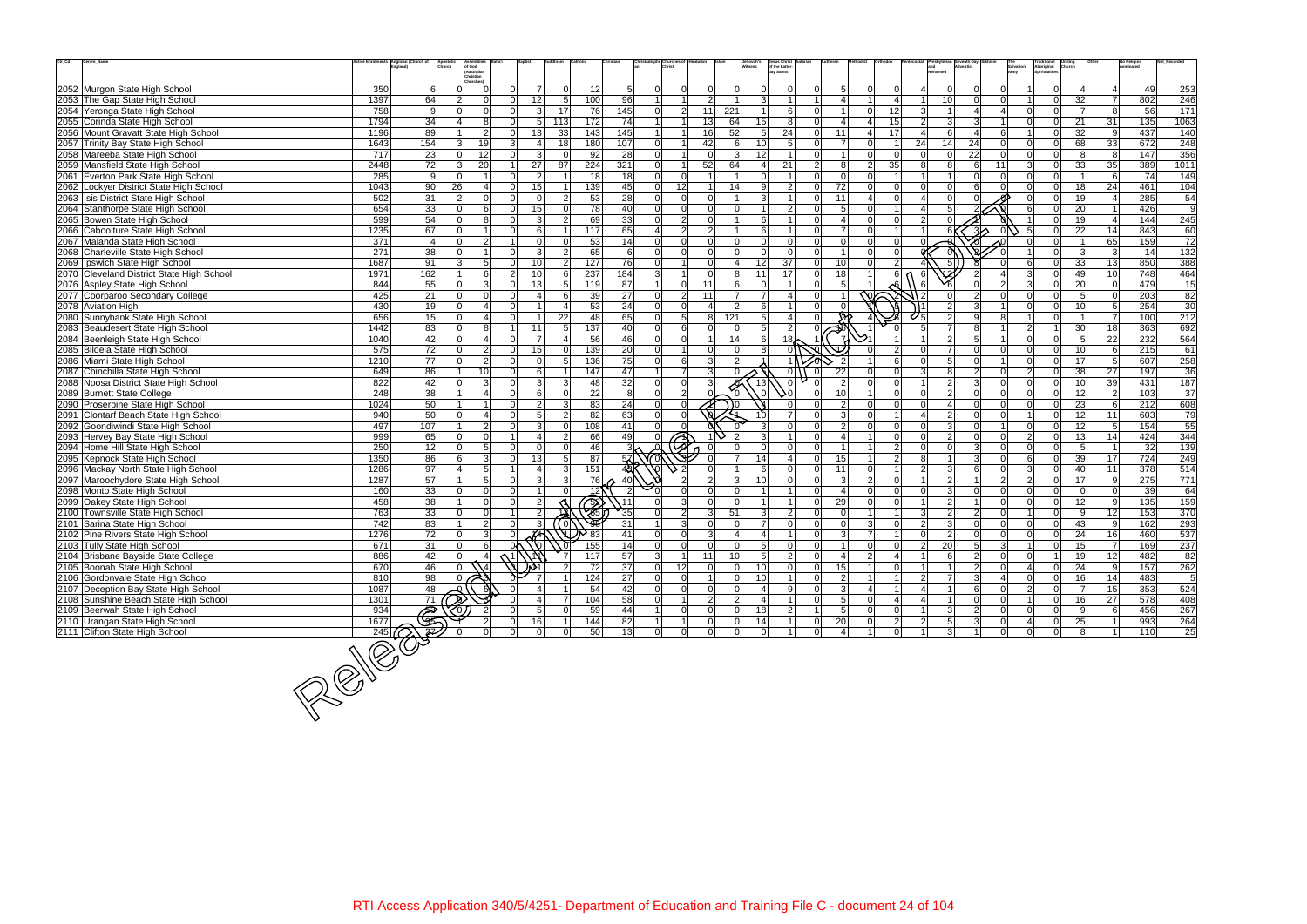| Ctr_Cd<br>Centre_Name                                                   |                  | its Anglican (Church of<br>Apostoli<br>Church | of God                   |                    |                       |                               |                    |                      |                      |                                  |                   | Jesus Christ<br>of the Latter-         |                     |                     |                         |                           |                 |                                  |                | <b>Aboriginal</b><br>Spiritualitie |                 |                     | No Religior      |                       |
|-------------------------------------------------------------------------|------------------|-----------------------------------------------|--------------------------|--------------------|-----------------------|-------------------------------|--------------------|----------------------|----------------------|----------------------------------|-------------------|----------------------------------------|---------------------|---------------------|-------------------------|---------------------------|-----------------|----------------------------------|----------------|------------------------------------|-----------------|---------------------|------------------|-----------------------|
|                                                                         |                  |                                               | (Australian<br>Christian |                    |                       |                               |                    |                      |                      |                                  |                   | <b>Jav Saints</b>                      |                     |                     |                         |                           |                 |                                  |                |                                    |                 |                     |                  |                       |
| 2052 Murgon State High School                                           | 350              | 0<br>6                                        |                          |                    |                       | 12 <sup>1</sup><br>$\Omega$   | 5                  | $\Omega$             | $\Omega$             | $\Omega$<br>$\Omega$             | $\Omega$          |                                        | 5                   |                     | $\Omega$                |                           | $\Omega$        | $\Omega$                         |                |                                    |                 | 4                   | 49               | 253                   |
| 2053 The Gap State High School                                          | 1397             | 64<br>$\overline{2}$                          | $\Omega$                 | 12<br>$\cap$       |                       | 5 <sup>1</sup><br>100         | 96                 |                      | 1                    | 2 <sup>1</sup><br>$\overline{1}$ | 3 <sup>1</sup>    | $\overline{1}$                         |                     |                     | $\overline{4}$          |                           | 10 <sup>1</sup> | $\Omega$<br>$\Omega$             |                | $\Omega$                           | 32              | $\overline{7}$      | 802              | 246                   |
| 2054 Yeronga State High School                                          | 758              | 9<br>$\Omega$                                 | $\Omega$                 |                    | 17<br>3               | 76                            | 145                | $\overline{0}$       | $\overline{2}$<br>11 | 221                              | $\overline{1}$    | 6 <sup>1</sup><br>n١                   |                     | $\Omega$            | 12                      | 3                         |                 | $\mathbf 4$<br>$\overline{4}$    |                | $\Omega$                           | $\overline{7}$  | 8                   | 56               | 171                   |
| 2055 Corinda State High School                                          | 1794             | 34                                            | 8 <sup>1</sup>           | $\Omega$           | 113<br>5 <sup>1</sup> | $\overline{172}$              | 74                 |                      | 13                   | 64                               | 15                | 8 <sup>1</sup>                         |                     |                     | 15                      | $\overline{2}$            | 3               | 3                                |                | $\Omega$                           | 21              | 31                  | $\overline{135}$ | 1063                  |
| 2056 Mount Gravatt State High School                                    | 1196             | 89                                            | 2                        | 13<br>$\Omega$     | 33                    | 143                           | 145                | 1                    | 16<br>$1\vert$       | 52                               | 5 <sup>1</sup>    | 24<br>$\Omega$                         | 11                  | 4                   | 17                      | $\Delta$                  | 6               | 4<br>6                           |                | $\Omega$                           | 32              | 9                   | 437              | 140                   |
| 2057 Trinity Bay State High School                                      | 1643             | $\frac{154}{ }$<br>$\vert$ 3                  | 19                       | વ                  | 18                    | 180                           | 107                | $\overline{0}$       | 42<br>1              | 6                                | 10 <sup>1</sup>   | 5 <sup>1</sup><br>$\Omega$             | -7                  | $\Omega$            | $\overline{1}$          | 24                        | 14              | 24<br>$\Omega$                   |                | $\Omega$                           | 68              | 33                  | 672              | 248                   |
| 2058 Mareeba State High School                                          | 717              | 23<br>$\Omega$                                | 12                       | ΩI                 | 3                     | 92<br>$\Omega$                | 28                 | $\overline{0}$       | 1 <sup>1</sup>       | $\Omega$<br>$\mathbf{3}$         | 12                | $\Omega$                               |                     | $\Omega$            | $\Omega$                | $\Omega$                  | $\Omega$        | 22<br>$\Omega$                   |                | $\Omega$                           | 81              | 8                   | 147              | 356                   |
| 2059 Mansfield State High School                                        | 2448             | 72<br>3 <sup>l</sup>                          | 20                       | 27                 | 87                    | 224                           | 321                | $\Omega$             | 52<br>1 <sup>1</sup> | 64                               |                   | 21<br>$\mathcal{D}$                    | 8                   | $\mathcal{P}$       | 35                      | 8                         | 8               | 6<br>11                          | વ              | $\Omega$                           | 33              | 35                  | 389              | 1011                  |
| 2061 Everton Park State High School                                     | 285              | -9<br>$\Omega$                                |                          | $\cap$             | 2                     | 18                            | 18                 | $\Omega$             | $\Omega$             | $\overline{1}$                   | $\Omega$          | $\Omega$<br>$\overline{1}$             | $\Omega$            | $\Omega$            | $\overline{1}$          |                           |                 | $\Omega$<br>$\Omega$             |                |                                    |                 | 6                   | 74               | 149                   |
| 2062 Lockyer District State High School                                 | 1043             | 90<br>26                                      | $\overline{a}$           | 15<br>ΩI           |                       | 139                           | 45                 | 12<br>$\overline{0}$ |                      | 14                               | $\mathsf{Q}$      | $\overline{2}$<br>ΩI                   | 72                  |                     | $\Omega$                |                           | $\Omega$        |                                  |                | $\Omega$                           | 18              | 24                  | 461              | 104                   |
| 2063 Isis District State High School                                    | 502              | 31<br>$\overline{2}$                          | $\Omega$                 |                    | 2                     | 53                            | 28                 | $\Omega$             | $\Omega$             | ΩI<br>$\overline{1}$             |                   | ΩI                                     | 11                  |                     | $\Omega$                |                           |                 |                                  |                |                                    | 19              |                     | 285              | 54                    |
| 2064 Stanthorpe State High School                                       | 654              | 33<br>$\Omega$                                | $6 \mid$                 | 15<br>ΩI           |                       | 78<br>$\Omega$                | 40                 | $\overline{0}$       | 0                    | $\Omega$<br>$\Omega$             |                   | $\overline{2}$<br>ΩI                   | 5                   |                     | $\overline{\mathbf{1}}$ |                           | 5               |                                  |                | $\Omega$                           | 20              | $\vert$ 1           | 426              | 9                     |
| 2065 Bowen State High School                                            | 599              | 54<br>0                                       | 8 <sup>1</sup>           | $\Omega$           | 3                     | 69<br>$\mathcal{P}$           | 33                 | $\Omega$             | $\overline{2}$       | $\Omega$                         | 6                 | ΩI                                     |                     |                     | $\Omega$                | $\mathcal{D}$             |                 |                                  |                | $\Omega$                           | 19              | $\overline{4}$      | 144              | 245                   |
| 2066 Caboolture State High School                                       | 1235             | 67<br>$\Omega$                                |                          | ΩI                 |                       | 117                           | 65                 |                      | $2 \vert$            | 2 <sup>1</sup>                   | 6                 | ΩI                                     |                     |                     |                         |                           |                 | 3٨                               |                |                                    | 22              | 14                  | 843              | 60                    |
| 2067 Malanda State High School                                          | $\overline{371}$ | $\overline{4}$<br>$\Omega$                    | 2 <sup>1</sup>           |                    |                       | 53<br>$\Omega$                | 14                 | $\overline{0}$       | 0                    | $\Omega$<br>$\Omega$             | $\Omega$          | 0l<br>$\Omega$                         | $\Omega$            | $\Omega$            | $\Omega$                | U                         |                 |                                  |                | $\Omega$                           |                 | 65                  | 159              | 72                    |
| 2068 Charleville State High School                                      | 271              | 38<br>$\Omega$                                |                          | ΩI                 | 3                     | 65<br>$\mathcal{P}$           | 6                  | $\Omega$             | nl                   | $\Omega$<br>$\Omega$             |                   | nl                                     |                     |                     | $\Omega$                |                           |                 |                                  |                |                                    | -31             | $\mathbf{3}$        | 14               | $\frac{1}{132}$       |
| 2069   Ipswich State High School                                        | 1687             | 91<br>$\overline{3}$                          | 5 <sup>1</sup>           | ΩI<br>10           |                       | 2 <sup>1</sup><br>127         | 76                 | $\Omega$             | 11                   | $\Omega$<br>4                    | 12                | 37<br>$\Omega$                         | 10                  |                     | $\overline{2}$          |                           | 5               |                                  |                | $\Omega$                           | 33              | 13 <sup>1</sup>     | 850              | 388                   |
| 2070 Cleveland District State High School                               | 1971             | 162                                           | 6 <sup>1</sup>           | $\mathsf{2}$<br>10 |                       | 237<br>6                      | 184                | $\mathbf{3}$         | $\mathbf{1}$         | $\Omega$<br>8                    | 11                | 17<br>$\Omega$                         | 18                  |                     | 6                       | 6                         |                 |                                  |                |                                    | 49              | 10                  | 748              | 464                   |
| 2076 Aspley State High School                                           | 844              | 55<br>$\Omega$                                | 3 <sup>1</sup>           | 13<br>$\Omega$     |                       | 119<br>5 <sup>1</sup>         | 87                 |                      | 0 <br>11             | 6                                | $\Omega$          | $\Omega$                               |                     |                     |                         | 6                         |                 |                                  |                | $\Omega$                           | 20              | $\overline{0}$      | 479              | 15                    |
| 2077 Coorparoo Secondary College                                        | 425              | 21<br>$\Omega$                                | $\Omega$                 |                    |                       | 39<br>6                       | 27                 | $\overline{0}$       | 2 <br>11             | $\overline{7}$                   | $\overline{7}$    | ΩI                                     |                     | $\overline{\infty}$ |                         | $\sqrt{2}$                |                 | $\mathcal{P}$<br>$\Omega$        |                |                                    | 5               | $\Omega$            | 203              | $\overline{82}$       |
| 2078 Aviation High                                                      | 430              | 19<br>0                                       | $\overline{a}$           |                    |                       | 53                            | 24                 | $\Omega$             | $\Omega$             | 2                                | 6                 | 0                                      |                     |                     |                         |                           | $\overline{2}$  | 3                                |                |                                    | 10              | 5 <sup>5</sup>      | 254              | 30                    |
| 2080 Sunnybank State High School                                        | 656              | 15<br>ΩI                                      | $\overline{\mathbf{A}}$  | $\Omega$           | 22                    | 48                            | 65                 | $\Omega$             | 5 <sup>1</sup>       | 121<br>8                         | 5 <sup>1</sup>    | $\vert$<br>ΩI                          |                     |                     |                         |                           | $\overline{2}$  | 8                                |                | $\Omega$                           |                 | $\overline{7}$      | 100              | 212                   |
| 2083 Beaudesert State High School                                       | 1442             | 83<br>$\Omega$                                | 8 <sup>1</sup>           | 11                 | -51                   | 137                           | 40                 | $\Omega$             | $6 \mid$             | $\Omega$<br>$\Omega$             | 5 <sup>1</sup>    | $\overline{2}$<br>ΩI                   |                     |                     |                         | $\sqrt{2}$                | $\overline{7}$  | 8<br>$\overline{1}$              | $\mathcal{P}$  |                                    | 30              | 18                  | 363              | 692                   |
| 2084 Beenleigh State High School                                        | 1040             | 42<br>$\Omega$                                | 4                        |                    |                       | 56                            | 46                 | $\overline{0}$       | $\Omega$             | 14                               | 6 <sup>1</sup>    | ∤18                                    |                     |                     |                         |                           | $\overline{2}$  | 5                                |                |                                    | 5 <sup>1</sup>  | 22                  | 232              | 564                   |
| 2085 Biloela State High School                                          | 575              | 72<br>$\Omega$                                | $\overline{2}$           | 15<br>$\Omega$     |                       | 139<br>$\Omega$               | 20                 | $\overline{0}$       | $1\vert$             | $\Omega$<br>$\overline{0}$       | $\mathsf{R}$      |                                        |                     |                     | $\overline{2}$          |                           | $\overline{7}$  | $\Omega$<br>$\Omega$             |                | $\Omega$                           | 10 <sub>l</sub> | 6                   | 215              | 61                    |
| 2086 Miami State High School                                            | 1210             | $\overline{77}$<br>0                          | $\overline{2}$           | $\Omega$           | $\Omega$              | 136<br>5 <sup>1</sup>         | 75                 | $\Omega$             | $6 \mid$             | 3 <sup>1</sup><br>$\mathcal{P}$  |                   |                                        |                     |                     | 6                       | $\Omega$                  | -5              | $\Omega$                         |                | $\Omega$                           | 17              | $5\overline{)}$     | 607              | 258                   |
| 2087 Chinchilla State High School                                       | 649              | 86                                            | 10 <sup>1</sup>          | ΩI                 |                       | 147                           | 47                 |                      | $\overline{7}$       | 3 <sup>1</sup>                   |                   | - Ol<br>-Ol                            | 22                  |                     | $\Omega$                | $\mathcal{R}$             | 8               | 2<br>$\Omega$                    | $\mathcal{D}$  | $\Omega$                           | 38              | 27                  | 197              | $\overline{36}$       |
| 2088 Noosa District State High School                                   | 822              | 42<br><sup>n</sup>                            | 3 <sup>1</sup>           |                    |                       | 48<br>3                       | $\overline{32}$    | $\overline{0}$       | 0                    | 31                               | 13                | $\Omega$                               |                     |                     | $\Omega$                |                           | $\overline{2}$  | 3<br>$\Omega$                    |                |                                    | 10              | 39                  | 431              | 187                   |
| 2089 Burnett State College                                              | 248              | 38                                            | $\overline{4}$           | ΩI                 | 6                     | 22<br>$\Omega$                | 8                  | $\overline{0}$       | $\vert$ 2            | $\Omega$                         | اo ،              | ۵d<br>$\Omega$                         | 10                  |                     | $\mathbf 0$             | $\Omega$                  | $\overline{2}$  | $\Omega$<br>$\Omega$             |                | $\Omega$                           | 12              | $\overline{2}$      | 103              | 37                    |
| 2090 Proserpine State High School                                       | 1024             | 50                                            |                          | ΩI                 |                       | 83<br>-31                     | 24                 | $\overline{0}$       | $\overline{0}$       | $\overline{\mathcal{F}}$         |                   | ΩI                                     | $\mathcal{P}$       |                     | $\cap$                  |                           | $\overline{4}$  | $\Omega$<br>$\Omega$             |                | $\Omega$                           | 23              | $6 \overline{6}$    | 212              | 608                   |
| 2091 Clontarf Beach State High School                                   | 940              | 50                                            | 4                        |                    | $\overline{2}$        | 82                            | 63                 | $\Omega$<br>$\Omega$ |                      |                                  |                   |                                        |                     |                     |                         |                           | $\overline{2}$  |                                  |                |                                    |                 | 11                  | 603              | 79                    |
|                                                                         | 497              | 107                                           | 2 <sup>1</sup>           | $\Omega$           |                       | 108<br>$\Omega$               | 41                 | $\Omega$             | n l                  |                                  | $\mathcal{R}$     | $\Omega$<br>$\Omega$                   | $\overline{2}$      | $\Omega$            | $\Omega$                | $\Omega$                  | $\mathbf{3}$    | $\Omega$                         |                | $\Omega$                           | 12<br>12        | $5\overline{5}$     | 154              | 55                    |
| 2092 Goondiwindi State High School<br>2093 Hervey Bay State High School | 999              | 65<br><sup>n</sup>                            | $\Omega$                 |                    |                       | 66<br>$\mathcal{P}$           | 49                 | $\Omega$             |                      |                                  |                   | ΩI                                     |                     |                     | $\Omega$                |                           | $\overline{2}$  | $\Omega$                         | $\mathcal{D}$  | $\Omega$                           | 13              | 14                  | 424              | 344                   |
| 2094 Home Hill State High School                                        | 250              | 12<br>$\Omega$                                | 5 <sup>1</sup>           | $\Omega$           | $\Omega$              | 46                            |                    | $\rightarrow$        |                      |                                  | $\Omega$          | ΩI                                     |                     |                     | $\overline{2}$          |                           | $\Omega$        | 3<br>$\Omega$                    |                |                                    |                 |                     | 32               | 139                   |
| 2095 Kepnock State High School                                          | 1350             | 86<br>6                                       | 3 <sup>l</sup>           | 13<br>$\Omega$     |                       | 87<br>5 <sup>1</sup>          | 57                 |                      |                      | $\overline{7}$                   | 14                | $\Delta$<br>$\Omega$                   | 15                  |                     | $\overline{2}$          | 8                         | $\overline{1}$  | $\overline{3}$<br>$\Omega$       | 6 <sup>1</sup> | $\Omega$                           | 39              | 17                  | 724              | 249                   |
| 2096 Mackay North State High School                                     | 1286             | $\overline{97}$                               | 5 <sup>1</sup>           |                    | 3                     | $\frac{151}{151}$             | 48 <sup>1</sup>    | $\cdot$ 2            |                      |                                  |                   | ΩI                                     | 11                  |                     |                         | $\overline{2}$            | $\mathbf{3}$    | $\Omega$                         | $\mathcal{R}$  | $\Omega$                           | 40              | 11                  | 378              | 514                   |
|                                                                         | 1287             | 57                                            | 5 <sup>1</sup>           | $\Omega$           | 3                     | $\mathcal{E}$<br>76           |                    |                      | $\mathcal{P}$        | 2 <sup>1</sup><br>3 <sup>l</sup> | 10 <sup>1</sup>   | $\Omega$<br>ΩI                         | 3                   | $\mathcal{P}$       | $\Omega$                |                           | 2               | $\overline{2}$                   | $\mathcal{D}$  | $\Omega$                           | 17              | 9                   | 275              | 771                   |
| 2097 Maroochydore State High School<br>2098 Monto State High School     | 160              | 33<br>0                                       | $\overline{0}$           |                    |                       |                               | 40                 |                      | $\overline{0}$       | $\Omega$<br>$\mathbf 0$          |                   | $\Omega$                               |                     |                     | $\Omega$                |                           | $\mathbf{3}$    | $\Omega$<br>$\Omega$             |                |                                    | $\Omega$        | $\overline{0}$      | 39               | 64                    |
|                                                                         | 458              | 38                                            | $\overline{0}$           | $\Omega$           | $\overline{2}$        |                               | $\sqrt{11}$        |                      | 3                    | $\Omega$<br>$\Omega$             |                   | $\Omega$                               | 29                  |                     | $\Omega$                |                           | $\overline{2}$  | $\Omega$                         |                | $\Omega$                           | 12              | 9                   | 135              | 159                   |
| 2099 Oakey State High School<br>2100 Townsville State High School       | 763              | 33<br>$\Omega$                                | $\Omega$                 |                    | 2                     | B                             | $\mathcal{L}_{35}$ | $\Omega$             | $\overline{2}$       | 51<br>3 <sup>l</sup>             | $\vert$ 3 $\vert$ | $\overline{2}$<br>ΩI                   |                     |                     |                         | $\mathcal{R}$             | $\overline{2}$  | 2<br>$\Omega$                    |                | $\Omega$                           | $\mathbf{Q}$    | 12 <sup>1</sup>     | 153              | 370                   |
|                                                                         |                  | 83                                            |                          |                    |                       |                               |                    |                      |                      | $\Omega$<br>$\mathbf 0$          | $\overline{7}$    | $\Omega$                               |                     |                     |                         | $\overline{2}$            | 3               | $\Omega$                         |                |                                    |                 | 9                   | 162              |                       |
| 2101 Sarina State High School<br>2102 Pine Rivers State High School     | 742<br>1276      | 72<br>$\Omega$                                | 2 <br>3 <sup>1</sup>     | $\Omega$           | $\left( 0 \right)$    | 83                            | 31<br>41           | $\Omega$             | 3 <sup>l</sup><br> 0 | 3 <sup>1</sup><br>4              |                   | $\Omega$                               | 3                   | $\overline{7}$      |                         | $\Omega$                  | $\overline{2}$  | $\Omega$<br>$\Omega$             |                | $\Omega$                           | 43<br>24        | 16 <sup>1</sup>     | 460              | 293<br>537            |
| 2103 Tully State High School                                            | 671              | 31<br>$\Omega$                                | 6                        | 0 <sup>k</sup>     | 1AF<br>Ⅵ              | 155                           | $\overline{14}$    | $\Omega$             | $\Omega$             | $\Omega$<br>$\Omega$             | 5 <sup>1</sup>    | $\Omega$<br>ΩI                         |                     | $\Omega$            | $\Omega$                | $\mathcal{P}$             | 20 <sup>1</sup> | $5\overline{5}$<br>3             |                | $\Omega$                           | 15 <sup>1</sup> | $\overline{7}$      | 169              | 237                   |
| 2104 Brisbane Bayside State College                                     | 886              |                                               |                          |                    |                       | $117$                         | 57                 | $\mathbf{3}$         | 11<br>$\mathbf{1}$   | 10                               | 5 <sup>1</sup>    | $\vert$ 2<br> 0                        |                     | $\overline{2}$      | 4                       |                           | $6\phantom{.}6$ | $\overline{2}$<br>$\Omega$       |                |                                    | 19              | 12                  | 482              | 82                    |
| 2105 Boonah State High School                                           | 670              | 42<br>46                                      |                          |                    |                       | 72                            | 37                 | 12<br>$\overline{0}$ |                      | $\overline{0}$<br> 0             | 10                | 0 <br> 0                               | 15                  |                     | -Ol                     |                           | $\overline{1}$  | $\overline{2}$<br>$\overline{0}$ |                | $\Omega$                           | 24              | 9                   | 157              |                       |
| 2106 Gordonvale State High School                                       | 810              |                                               |                          |                    |                       | 124                           | 27                 |                      | $\overline{0}$       | 1                                | 10                | 1<br> 0                                |                     |                     | $\overline{1}$          |                           | $\overline{7}$  | $\mathbf{3}$<br>$\vert$          | $\Omega$       |                                    | 16              | 14                  |                  | 262<br>$\overline{5}$ |
| 2107 Deception Bay State High School                                    | 1087             | $\frac{98}{48}$                               |                          |                    |                       |                               | 42                 | $\overline{0}$       |                      | $\overline{0}$<br>$\overline{0}$ |                   | 9 <sup>1</sup><br>$\overline{0}$       | $\overline{2}$<br>3 |                     |                         | $2 \vert$<br>$\mathbf{4}$ |                 | 6<br>$\overline{0}$              | $\overline{2}$ | 0 <br>$\mathbf 0$                  | $\overline{7}$  | 15                  | 483<br>353       | 524                   |
| 2108 Sunshine Beach State High School                                   |                  |                                               |                          |                    |                       | 54                            |                    | $\overline{0}$       | 0                    | $\overline{0}$                   |                   |                                        |                     | $\Omega$            | $\overline{4}$          | $\overline{4}$            |                 |                                  |                |                                    |                 |                     |                  |                       |
| 2109 Beerwah State High School                                          | 1301<br>934      | $\frac{71}{3}$                                |                          |                    | -5                    | $\frac{104}{104}$<br>59<br> 0 | 58                 | 0 <br>1              | 1<br>$\overline{0}$  | $2 \vert$<br>$2 \vert$           | $\vert$ 4<br>18   | $\overline{0}$<br>$\overline{2}$<br>11 | 5                   | $\overline{0}$      |                         |                           | $\overline{1}$  | $\mathbf 0$<br>$\overline{0}$    |                | 0 <br>$\Omega$<br>$\Omega$         | 16              | 27                  | 578<br>456       | 408<br>267            |
|                                                                         |                  |                                               |                          |                    |                       |                               | 44<br>82           | 1                    | 1                    | 0 <br>$\overline{0}$             |                   |                                        | $\sqrt{5}$          |                     | 0                       |                           | $\mathbf{3}$    | $\mathbf{2}$<br> 0               |                |                                    | 9               | 6                   |                  |                       |
| 2110 Urangan State High School                                          |                  |                                               |                          | 16                 |                       | 144<br>$\Omega$               |                    |                      | 0                    | 0 <br> 0 <br> 0 <br> 0           | 14<br>-ol         | 0<br> 0                                | 20                  |                     | 2<br>$\overline{0}$     | 2                         | $5\overline{)}$ | $\mathbf{3}$<br> 0 <br> 0        | $\overline{0}$ | $\mathbf 0$<br> 0                  | 25              | 1<br>$\overline{1}$ | 993<br>110       | 264<br>25             |
| 2111 Clifton State High School                                          |                  |                                               |                          | 01                 | <sup>0</sup>          | 50                            | 13                 | $\overline{0}$       |                      |                                  |                   |                                        |                     |                     |                         |                           | $\mathbf{3}$    |                                  |                |                                    | 8 <sup>°</sup>  |                     |                  |                       |
| $\frac{\frac{-\frac{934}{1677}}{245}}{\sqrt{245}}$                      |                  |                                               |                          |                    |                       |                               |                    |                      |                      |                                  |                   |                                        |                     |                     |                         |                           |                 |                                  |                |                                    |                 |                     |                  |                       |
|                                                                         |                  |                                               |                          |                    |                       |                               |                    |                      |                      |                                  |                   |                                        |                     |                     |                         |                           |                 |                                  |                |                                    |                 |                     |                  |                       |

 $245 |Q\rangle$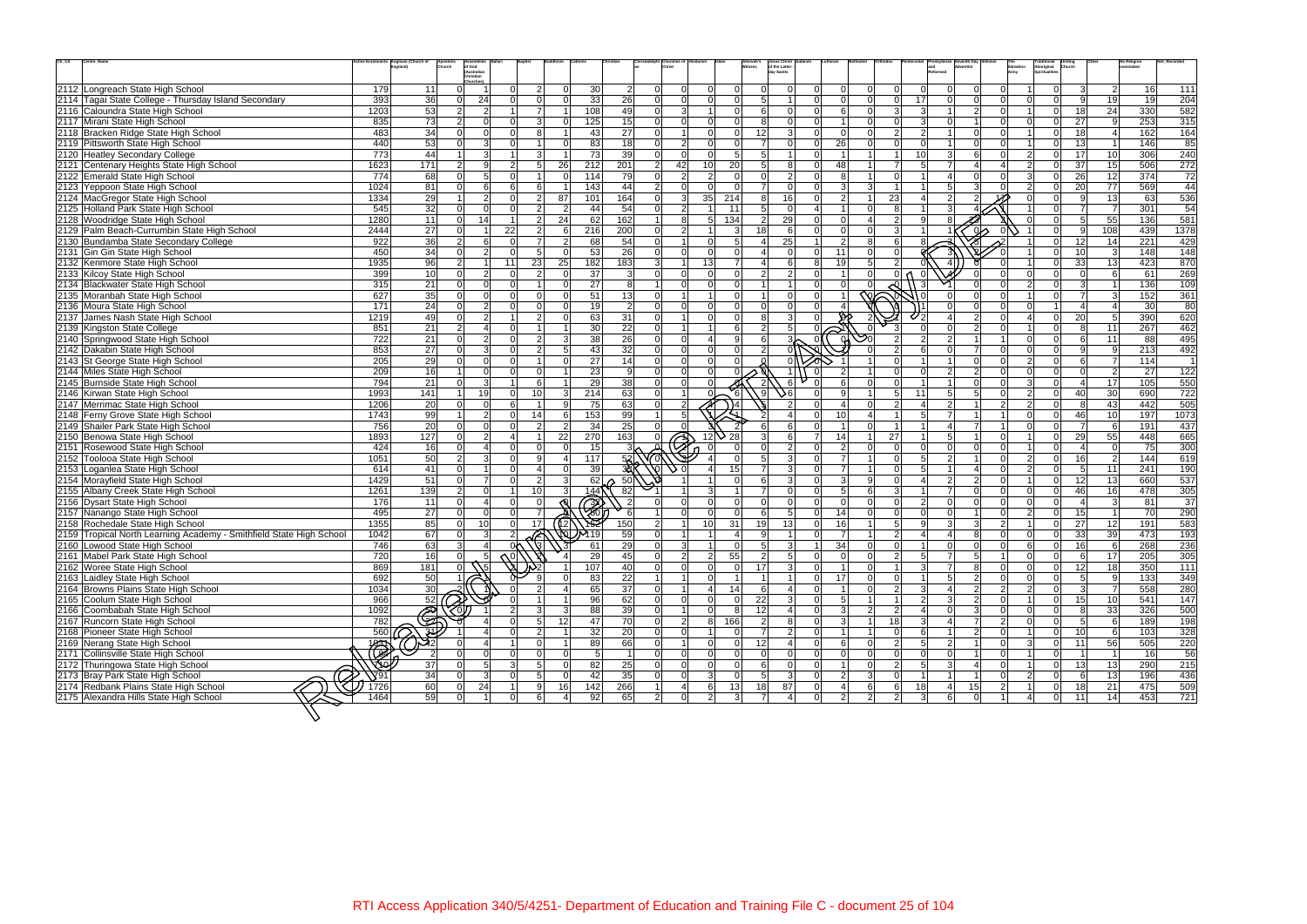| $\mathrm{Ctr}\_ \mathrm{Cd}$ | Centre_Name                                                         |                         | ents Anglican (Church of<br>Apostoli<br>Church | of God<br>(Australian                   |                |                      |                |                 |                 |                                  |                 | lehovah's      | Jesus Christ<br>of the Latter<br>ay Saints |                |          |                |                                  |                 |                   |                |                                  | ------------<br>Aboriginal<br>Spiritualities |                 |                 | No Religion |                  |
|------------------------------|---------------------------------------------------------------------|-------------------------|------------------------------------------------|-----------------------------------------|----------------|----------------------|----------------|-----------------|-----------------|----------------------------------|-----------------|----------------|--------------------------------------------|----------------|----------|----------------|----------------------------------|-----------------|-------------------|----------------|----------------------------------|----------------------------------------------|-----------------|-----------------|-------------|------------------|
|                              |                                                                     |                         |                                                | Christian                               |                |                      |                |                 |                 |                                  |                 |                |                                            |                |          |                |                                  |                 |                   |                |                                  |                                              |                 |                 |             |                  |
|                              | 2112 Longreach State High School                                    | 179                     | 11                                             | ΩI                                      |                | 2                    | $\Omega$       | 30              | $\overline{2}$  | $\Omega$<br>$\Omega$             |                 | $\Omega$       |                                            |                |          | $\Omega$       | $\Omega$<br>$\Omega$             |                 | $\Omega$          | $\Omega$       | $\Omega$                         | $\overline{0}$                               | $\overline{3}$  | 2 <sup>1</sup>  | <b>16</b>   | 111              |
|                              | 2114 Tagai State College - Thursday Island Secondary                | 393                     | 36                                             | 24<br>$\Omega$                          | ΩI             | $\Omega$             | $\Omega$       | 33              | 26              | $\Omega$<br>-ol                  | $\Omega$        | 0l             |                                            |                |          | $\Omega$       | $\overline{0}$<br>$\Omega$       | 17              | $\Omega$          | $\Omega$       | $\Omega$                         | $\Omega$                                     | 9 <sup>1</sup>  | 19              | 19          | 204              |
|                              | 2116 Caloundra State High School                                    | 1203                    | 53                                             | $\overline{2}$<br>$\overline{2}$        |                |                      |                | 108             | 49              | $\Omega$<br>3                    |                 | $\Omega$       | ĥ                                          | $\Omega$       |          | 6              | $\overline{3}$<br>$\Omega$       | 3               |                   | $\overline{2}$ | $\Omega$                         | $\Omega$                                     | 18 <sup>1</sup> | 24              | 330         | 582              |
|                              | 2117 Mirani State High School                                       | 835                     | 73                                             | 2 <br>$\overline{0}$                    |                |                      |                | 125             | 15              | $\Omega$<br>$\Omega$             |                 | $\Omega$       |                                            |                |          |                | $\Omega$                         |                 |                   |                | $\Omega$                         | $\mathbf 0$                                  | 27              | -91             | 253         | 315              |
|                              | 2118 Bracken Ridge State High School                                | 483                     | 34                                             | $\Omega$                                | ΩI             |                      |                | 43              | 27              | $\Omega$<br>$\blacktriangleleft$ | ΩI              | $\Omega$       | 12                                         | 3              |          | $\Omega$       | 2                                | $\mathcal{D}$   |                   | <sup>n</sup>   | $\Omega$                         | $\overline{0}$                               | 18 <sup>l</sup> | $\overline{4}$  | 162         | 164              |
|                              | 2119 Pittsworth State High School                                   | 440                     | 53                                             | $\overline{3}$<br>$\Omega$              |                |                      | $\Omega$       | 83              | $\overline{18}$ | 2 <sup>1</sup><br>$\Omega$       | nΙ              | $\Omega$       |                                            | $\Omega$       | 26       |                | $\Omega$                         |                 |                   | $\Omega$       | $\Omega$                         | $\Omega$                                     | 13              |                 | 146         | 85               |
|                              | 2120 Heatley Secondary College                                      | 773                     | 44                                             | 3 <sup>1</sup>                          |                |                      |                | 73              | 39              | 0 <br>-ol                        | $\Omega$        | 5              |                                            |                |          |                |                                  | 10 <sup>1</sup> | 3                 | 6 <sup>1</sup> | $\Omega$                         | $\overline{0}$                               | 17              | 10 <sup>1</sup> | 306         | 240              |
|                              | 2121 Centenary Heights State High School                            | 1623                    | 171                                            | $\overline{2}$<br>9                     | 21             | 5 <sup>1</sup>       | 26             | 212             | 201             | 42<br>2                          | 10 <sup>1</sup> | 20             |                                            | 8              |          | 48             | $\overline{7}$                   |                 | $\overline{7}$    |                | $\Delta$                         | $\overline{0}$                               | 37              | 15              | 506         | 272              |
|                              | 2122 Emerald State High School                                      | 774                     | 68                                             | 5 <sup>1</sup>                          |                |                      | $\Omega$       | 114             | 79              | $\overline{2}$<br>$\Omega$       | $\mathcal{D}$   | $\Omega$       |                                            | $\mathcal{P}$  |          | -8             | $\Omega$                         |                 |                   | $\Omega$       | $\Omega$                         | $\Omega$                                     | 26              | 12              | 374         | 72               |
|                              | 2123 Yeppoon State High School                                      | 1024                    | 81                                             | 6                                       | ٢l             |                      |                | 143             | 44              | $\overline{2}$<br>$\Omega$       | ΩI              | $\Omega$       |                                            | $\Omega$       |          | 3              |                                  |                 | 5                 | $\overline{3}$ |                                  | $\overline{0}$                               | 20              | 77              | 569         | 44               |
|                              | 2124 MacGregor State High School                                    | 1334                    | 29                                             | 2 <sup>1</sup>                          |                | $\mathfrak{p}$       | 87             | 101             | 164             | $\Omega$<br>$\overline{3}$       | 35 <sup>1</sup> | 214            | 8                                          | 16             |          | $\overline{2}$ | 23                               |                 | $\mathcal{P}$     | $\mathcal{D}$  |                                  | $\Omega$                                     | 9               | 13              | 63          | 536              |
|                              | 2125 Holland Park State High School                                 | 545                     | 32                                             | $\Omega$<br>$\Omega$                    | ΩI             | $\mathfrak{p}$       | $\overline{2}$ | 44              | 54              | 0 <br>2 <sup>1</sup>             |                 | 11             | $5^{\circ}$                                | $\Omega$       |          |                | 8<br>$\Omega$                    |                 | $\vert$ 3 $\vert$ |                |                                  | $\overline{0}$                               | $\overline{7}$  | $\overline{7}$  | 301         | 54               |
|                              | 2128 Woodridge State High School                                    | 1280                    | 11                                             | 14<br>$\Omega$                          |                | $\mathcal{P}$        | 24             | 62              | 162             | 81<br>1 <sup>1</sup>             | 5 <sup>1</sup>  | 134            | $\overline{2}$                             | 29             |          | $\Omega$       | $\overline{2}$<br>4              | a               | 8                 |                |                                  | $\overline{0}$                               | 5 <sup>1</sup>  | 55              | 136         | 581              |
|                              | 2129 Palm Beach-Currumbin State High School                         | 2444                    | 27                                             |                                         | 22             | $\overline{2}$       | 6              | 216             | 200             | $\overline{2}$<br>$\Omega$       |                 | 3              | 18                                         | 6              |          |                | 3                                |                 |                   | $\infty$       |                                  | $\mathbf 0$                                  | 9               | 108             | 439         | 1378             |
|                              | 2130 Bundamba State Secondary College                               | 922                     | 36                                             | $\overline{2}$<br>6                     | $\Omega$       |                      | $\overline{2}$ | 68              | 54              | $\Omega$<br>$\overline{1}$       | $\Omega$        | 5 <sub>l</sub> |                                            | 25             |          | $\overline{2}$ | 6<br>8                           |                 |                   |                |                                  | $\overline{0}$                               | 12              | 14              | 221         | 429              |
|                              | 2131 Gin Gin State High School                                      | 450                     | $\overline{34}$                                | $\overline{2}$<br>$\Omega$              |                |                      | $\Omega$       | 53              | $\overline{26}$ | $\Omega$<br>$\Omega$             | $\Omega$        | $\Omega$       |                                            | $\Omega$       | 11       |                | $\Omega$                         |                 |                   |                |                                  | $\Omega$                                     | 10 <sup>1</sup> | $\vert$ 3       | 148         | 148              |
|                              | 2132 Kenmore State High School                                      | 1935                    | 96                                             | 2                                       | 11             | 23                   | 25             | 182             | 183             | $\overline{3}$<br>$\mathbf{1}$   | 13 <sup>1</sup> | $\overline{7}$ |                                            |                |          | 19             | $5\overline{5}$                  |                 |                   |                |                                  | $\Omega$                                     | 33              | 13              | 423         | 870              |
|                              | 2133 Kilcoy State High School                                       | 399                     | 10                                             | $\overline{2}$<br>$\Omega$              |                |                      | $\Omega$       | 37              | 3               | 0 <br>-ol                        | $\Omega$        | $\Omega$       |                                            | 2              |          |                | $\Omega$<br>$\Omega$             |                 |                   |                | $\Omega$                         | $\overline{0}$                               | $\Omega$        | - 6 I           | 61          | 269              |
|                              | 2134 Blackwater State High School                                   | 315                     | 21                                             | $\Omega$                                | ΩI             |                      | $\Omega$       | 27              | 8               | $\Omega$                         | $\Omega$        |                |                                            |                |          |                |                                  |                 |                   |                |                                  | $\Omega$                                     | $\overline{3}$  |                 | 136         | 109              |
|                              | 2135 Moranbah State High School                                     | 627                     | 35                                             |                                         |                |                      | $\Omega$       | 51              | 13              | $\Omega$                         |                 |                |                                            |                |          |                |                                  |                 |                   |                |                                  | $\Omega$                                     |                 | 3               | 152         | 361              |
|                              | 2136 Moura State High School                                        | $\frac{1}{171}$         | $\overline{24}$                                | 2 <sup>1</sup>                          |                |                      | $\Omega$       | 19              | $\overline{2}$  | $\Omega$<br>$\Omega$             |                 | $\Omega$       |                                            | $\Omega$       |          |                |                                  |                 |                   |                |                                  |                                              | $\overline{4}$  | $\overline{4}$  | 30          | 80               |
|                              | 2137 James Nash State High School                                   | 1219                    | 49                                             | $\mathcal{P}$                           |                |                      | $\Omega$       | 63              | 31              | $\Omega$<br>$\blacktriangleleft$ | ΩI              | $\Omega$       |                                            | 3              |          |                |                                  |                 |                   | $\mathcal{P}$  | $\Omega$                         | $\Omega$                                     | <b>20</b>       | 5               | 390         | 620              |
|                              | 2139 Kingston State College                                         | 851                     | 21                                             | $\mathcal{P}$<br>$\boldsymbol{\Lambda}$ | ΩI             |                      |                | 30              | 22              | $\Omega$                         |                 | 6              | っ                                          | $\overline{5}$ |          |                |                                  |                 |                   | $\mathcal{P}$  | $\Omega$                         | $\Omega$                                     | 8               | 11              | 267         | 462              |
|                              | 2140 Springwood State High School                                   | 722                     | 21                                             | 2                                       |                |                      | 3              | 38              | 26              | $\Omega$<br>$\Omega$             |                 | 9              |                                            |                |          |                | 2                                |                 | $\overline{2}$    |                |                                  | $\overline{0}$                               | 6               | 11              | 88          | 495              |
|                              | 2142 Dakabin State High School                                      | 853                     | 27                                             | 3 <sup>1</sup>                          | ΩI             |                      | $5 \square$    | 43              | 32              | -ol<br>$\Omega$                  | ΩI              |                |                                            |                |          |                |                                  |                 | $\Omega$          | $\overline{7}$ | n l                              | $\Omega$                                     | 9 <sup>1</sup>  | 9               | 213         | 492              |
|                              | 2143 St George State High School                                    | 205                     | 29                                             | $\Omega$                                |                |                      | $\Omega$       | 27              | 14              | $\Omega$<br>$\Omega$             |                 |                |                                            |                |          |                |                                  |                 |                   | $\Omega$       | $\Omega$                         | $\Omega$                                     | 6 <sup>1</sup>  | $\overline{7}$  | 114         | $\overline{1}$   |
|                              | 2144 Miles State High School                                        | 209                     | 16                                             | $\Omega$                                |                |                      |                | 23              | 9               | $\Omega$<br>$\Omega$             |                 |                |                                            |                |          |                | $\Omega$                         |                 | 2                 | $\overline{2}$ | $\Omega$                         | $\Omega$                                     | $\Omega$        | $\overline{2}$  | 27          | 122              |
|                              | 2145 Burnside State High School                                     | 794                     | 21                                             | 3                                       |                |                      |                | 29              | 38              | $\Omega$<br>$\Omega$             |                 |                |                                            |                |          |                | $\Omega$                         |                 |                   |                | $\Omega$                         | $\Omega$                                     | $\overline{4}$  | 17              | 105         | 550              |
|                              | 2146 Kirwan State High School                                       | 1993                    | $\overline{141}$                               | 19                                      | ΩI             | 10                   | $\overline{3}$ | 214             | 63              | $\overline{0}$                   |                 |                | q                                          | 56             |          | <b>q</b>       | 5 <sup>1</sup>                   | 11              | 5 <sup>1</sup>    | 5 <sup>1</sup> | $\Omega$<br>$\mathcal{D}$        | $\overline{0}$                               | 40              | 30              | 690         | 722              |
|                              | 2147 Merrimac State High School                                     | 1206                    | 20                                             | $\Omega$                                |                |                      | $\mathbf{Q}$   | 75              | 63              | $\overline{0}$<br>$\overline{2}$ |                 |                |                                            |                |          |                | $\overline{2}$                   |                 | $\overline{2}$    |                | $\overline{2}$<br>$\mathcal{D}$  | $\Omega$                                     | 8               | 43              | 442         | 505              |
|                              | 2148 Ferny Grove State High School                                  | 1743                    | 99                                             | 2 <sup>1</sup>                          |                | 14                   | 6              | $\frac{153}{ }$ | 99              |                                  |                 |                |                                            |                |          | 10             |                                  |                 |                   |                |                                  | $\overline{0}$                               | 46              | 10              | 197         | 1073             |
|                              | 2149 Shailer Park State High School                                 | 756                     | 20                                             | $\Omega$<br>$\Omega$                    | ΩI             | -2                   | $\overline{2}$ | 34              | 25              | $\Omega$                         |                 |                |                                            | 6              |          | $\overline{1}$ | $\Omega$                         |                 | Δ                 | $\overline{7}$ |                                  | $\Omega$                                     | $\overline{7}$  | - 6 I           | 191         | 437              |
|                              | 2150 Benowa State High School                                       | 1893                    | 127                                            | $\mathcal{P}$<br>$\cap$                 |                |                      | 22             | 270             | 163             | $\Omega$<br>$\rightarrow$        |                 | 28             |                                            | 6              |          | 14             | 27                               |                 | $\sqrt{2}$        |                | $\cap$                           | $\Omega$                                     | 29              | $\overline{55}$ | 448         | 665              |
|                              | 2151 Rosewood State High School                                     | 424                     | 16                                             |                                         |                |                      |                | 15              |                 |                                  |                 |                |                                            |                |          | $\mathcal{P}$  | $\Omega$                         |                 |                   |                | $\Omega$                         | $\overline{0}$                               |                 |                 | 75          | 300              |
|                              | 2152 Toolooa State High School                                      | 1051                    | 50                                             | $\overline{2}$<br>$\overline{3}$        | ΩI             | 9.                   | 4              | 117             |                 |                                  |                 | 0l             |                                            | 3              |          | $\overline{7}$ | $\overline{0}$                   |                 | $\overline{2}$    |                | <sup>0</sup><br>$\mathcal{P}$    | $\overline{0}$                               | 16              | $\vert$ 2       | 144         | 619              |
|                              | 2153 Loganlea State High School                                     | 614                     | 41                                             |                                         |                |                      | $\Omega$       | 39              | 52              |                                  |                 | 15             |                                            | 3              |          |                | $\Omega$                         |                 |                   |                | $\cap$<br>$\overline{2}$         | $\Omega$                                     | 5 <sup>1</sup>  | 11              | 241         | 190              |
|                              | 2154 Morayfield State High School                                   | 1429                    | 51                                             |                                         |                |                      | $\mathcal{R}$  | 62              | 50              |                                  |                 |                |                                            |                |          | 3              | $\Omega$                         |                 | 2                 | $\mathcal{P}$  |                                  | $\overline{0}$                               | 12              | 13              | 660         | 537              |
|                              | 2155 Albany Creek State High School                                 | 1261                    | 139                                            | $\overline{2}$<br>$\Omega$              |                | 10                   | $\mathcal{R}$  | 144             | 82              |                                  |                 | $\overline{1}$ |                                            | $\Omega$       |          | 5              | 6<br>3                           |                 | $\overline{7}$    | $\Omega$       | $\Omega$                         | $\overline{0}$                               | 46              | 16              | 478         | 305              |
|                              | 2156 Dysart State High School                                       | 176                     | 11                                             | 4                                       | ΩI             |                      |                |                 | $\overline{2}$  |                                  | ΩI              | $\Omega$       |                                            | $\Omega$       |          | - 0            | $\Omega$                         | $\mathfrak{p}$  | $\Omega$          | $\Omega$       | $\Omega$                         | $\Omega$                                     |                 | 3               | 81          | 37               |
|                              | 2157 Nanango State High School                                      | 495                     | 27                                             | $\Omega$                                |                |                      |                | ශී              |                 |                                  | ΩI              | 0l             | $\epsilon$                                 | $\overline{5}$ |          | 14             | $\Omega$                         |                 |                   |                | $\cap$                           | $\overline{0}$                               | 15              |                 | 70          | 290              |
|                              | 2158 Rochedale State High School                                    | 1355                    | 85                                             | 10<br>$\Omega$                          |                | 17                   | $\sqrt{2}$     |                 | 150             | $\overline{2}$                   | 10 <sup>°</sup> | 31             | 19                                         | 13             |          | 16             | 5                                |                 | 3                 | 3 <sup>1</sup> | $\overline{2}$                   | $\overline{0}$                               | 27              | 12              | 191         | 583              |
|                              | 2159 Tropical North Learning Academy - Smithfield State High School | 1042                    | 67                                             | $\mathcal{E}$                           | $\mathcal{P}$  |                      |                | ሳ19             | 59              | $\Omega$                         |                 |                |                                            |                |          | $\overline{7}$ | 2                                |                 |                   | 8              | $\Omega$                         | $\overline{0}$                               | 33              | 39              | 473         | 193              |
|                              | 2160 Lowood State High School                                       | 746                     | 63                                             | $\mathcal{R}$                           | 0 <sup>k</sup> | $\mathcal{B}$        |                | 61              | 29              | $\Omega$<br>$\mathcal{R}$        | 1 <sup>1</sup>  | nl             | 5 <sup>1</sup>                             | ়              |          | 34             | $\Omega$<br>$\Omega$             |                 | nl                | ΩL             | $\Omega$                         | 6I<br>$\Omega$                               | 16 <sup>1</sup> | -61             | 268         | 236              |
|                              | 2161   Mabel Park State High School                                 | 720                     | 16                                             | 5 <sup>1</sup><br>$\Omega$              |                | $\frac{1}{\sqrt{2}}$ | $\overline{4}$ | 29              | 45              | 2 <br>$\overline{0}$             | $\mathbf{2}$    | 55             | $\overline{2}$                             | 5              |          | $\mathbf 0$    | $\mathbf{2}$<br>$\overline{0}$   | $5^{\circ}$     | 71                | 5 <sup>1</sup> |                                  | 0                                            | $6 \mid$        | 17              | 205         | 305              |
|                              | 2162 Woree State High School                                        | 869                     | 181                                            | $\sqrt{5}$                              |                |                      |                | 107             | 40              | 0 <br>$\overline{0}$             | $\overline{0}$  | $\overline{0}$ | 17                                         | $\overline{3}$ |          | $\overline{1}$ | $\Omega$<br>$\mathbf{1}$         | $\overline{3}$  | 7 <sup>1</sup>    | 8 <sup>1</sup> | $\overline{0}$                   | 0 <br>$\Omega$                               | 12              | 18              | 350         | 111              |
|                              | 2163 Laidley State High School                                      | 692                     | 50                                             |                                         |                |                      |                | 83              | $\overline{22}$ | $\mathbf{1}$<br>$\overline{1}$   | $\Omega$        | $\overline{1}$ |                                            |                |          | 17             | $\overline{0}$                   |                 | 5 <sup>1</sup>    | 2              | $\overline{0}$                   | $\overline{0}$                               | $5\overline{)}$ | -91             | 133         | 349              |
|                              | 2164 Browns Plains State High School                                | 1034                    | 30                                             |                                         |                |                      |                | 65              | 37              | $\overline{0}$                   |                 | 14             | 6                                          |                |          |                | $\overline{2}$                   | 3 <sup>l</sup>  |                   | 2              | $\overline{2}$<br>$\overline{2}$ | $\mathbf 0$                                  | 3               |                 | 558         | 280              |
|                              | 2165 Coolum State High School                                       | 966                     |                                                | $\curvearrowright$                      |                |                      |                | 96              | 62              | 0 <br>$\overline{0}$             | $\Omega$        | 0              | 22                                         | $\overline{3}$ |          | 5              |                                  | 2 <sup>1</sup>  | $\vert$ 3         | $\overline{2}$ | 0                                | $\overline{0}$                               | 15              | 10              | 541         | 147              |
|                              | 2166 Coombabah State High School                                    | 1092                    |                                                | ′⊘                                      | 21             | 3                    | 3              | 88              | 39              | 0 <br>$\vert$                    | $\overline{0}$  | 8 <sup>°</sup> | 12                                         |                |          | 3              | $\mathbf{2}$<br>$2 \vert$        |                 | $\Omega$          | 3              | $\overline{0}$                   | $\mathbf 0$<br>ΩI                            | 8               | 33              | 326         | 500              |
|                              | 2167 Runcorn State High School                                      | 782                     |                                                |                                         |                | $5\overline{5}$      | 12             | 47              | 70              | $\mathbf 0$<br>$\vert$ 2         | 8 <sup>1</sup>  | 166            | $\overline{2}$                             | 8              |          | $\mathbf{3}$   | 18                               | 3 <sup>1</sup>  | $\overline{4}$    | 7 <sup>1</sup> | $\overline{2}$<br>$\Omega$       | $\overline{0}$                               | 5 <sub>5</sub>  | 6               | 189         | 198              |
|                              | 2168 Pioneer State High School                                      | 560                     | RSBE                                           |                                         |                |                      |                | $\overline{32}$ | $\overline{20}$ | $\overline{0}$<br> 0             |                 | $\Omega$       |                                            | $\overline{2}$ |          |                | $\overline{0}$                   | 6               |                   | 2              | 0                                | $\overline{0}$                               | 10              |                 | 103         | 328              |
|                              | 2169 Nerang State High School                                       | $\overline{\mathbb{Z}}$ | $\overline{\mathcal{X}^{2}}$                   |                                         |                |                      |                | 89              | 66              | $\mathbf 0$<br>1                 | $\overline{0}$  | 0              | 12                                         |                |          | 6              | $\overline{2}$                   | 5 <sup>1</sup>  | $\vert$ 2         |                | $\overline{0}$                   | $\overline{0}$                               | 11              | 56              | 505         | 220              |
|                              | 2171 Collinsville State High School                                 |                         | $\overline{2}$                                 | $\Omega$                                | $\Omega$       |                      | $\overline{0}$ | 5               |                 | 0 <br>$\overline{0}$             | $\overline{0}$  | 0              |                                            | $\Omega$       |          | $\mathbf 0$    | $\overline{0}$                   | $\Omega$        | 0                 |                | $\overline{0}$                   | $\mathbf 0$                                  |                 |                 | 16          | 56               |
|                              | 2172 Thuringowa State High School                                   | ≪তি∕                    | 37                                             | 5                                       | 3 <sup>l</sup> | 5 <sub>5</sub>       | $\overline{0}$ | 82              | 25              | $\overline{0}$<br>$\overline{0}$ | 0               | 0              | 6 <sup>1</sup>                             | $\Omega$       | $\Omega$ |                | $\overline{2}$<br>$\Omega$       | 5 <sup>1</sup>  | 3                 | $\vert$ 4      | 0                                | $\overline{0}$                               | 13              | 13              | 290         | 215              |
|                              | 2173 Bray Park State High School                                    | $\lambda$ 91            | 34                                             | 3 <sup>l</sup><br>$\Omega$              | $\Omega$       | 5 <sup>1</sup>       | $\overline{0}$ | 42              | 35              | 0 <br> 0                         | $\overline{3}$  | 0              | 5 <sup>1</sup>                             | $\overline{3}$ | $\Omega$ | 2              | 3 <sup>l</sup><br>$\overline{0}$ |                 |                   |                | $\overline{0}$                   | $\overline{0}$<br>2 <sup>1</sup>             | 6               | 13              | 196         | 436              |
|                              | 2174 Redbank Plains State High School                               | 1726                    | 60                                             | 24<br>$\overline{0}$                    |                | 9                    | 16             | 142             | 266             | 1 <sup>1</sup><br>$\vert$        | 6               | 13             | 18                                         | 87             | $\Omega$ | 4              | 6<br>6                           | 18              | $\vert 4 \vert$   | 15             | $2 \vert$                        | $\overline{0}$                               | 18              | 21              | 475         | 509              |
|                              | 2175 Alexandra Hills State High School                              | 1464                    | 59                                             | $\overline{0}$                          | $\Omega$       | $6 \mid$             | 4              | 92              | 65              | $\overline{2}$<br>-ol            | 2 <sup>1</sup>  | 3              |                                            |                | $\Omega$ | $\overline{2}$ | 2 <sub>l</sub><br>$\overline{2}$ | 3               | $6 \mid$          | $\Omega$       |                                  | 0 <br>$\vert$ 4                              | 11              | 14              | 453         | $\overline{721}$ |
|                              |                                                                     |                         |                                                |                                         |                |                      |                |                 |                 |                                  |                 |                |                                            |                |          |                |                                  |                 |                   |                |                                  |                                              |                 |                 |             |                  |
|                              |                                                                     |                         |                                                |                                         |                |                      |                |                 |                 |                                  |                 |                |                                            |                |          |                |                                  |                 |                   |                |                                  |                                              |                 |                 |             |                  |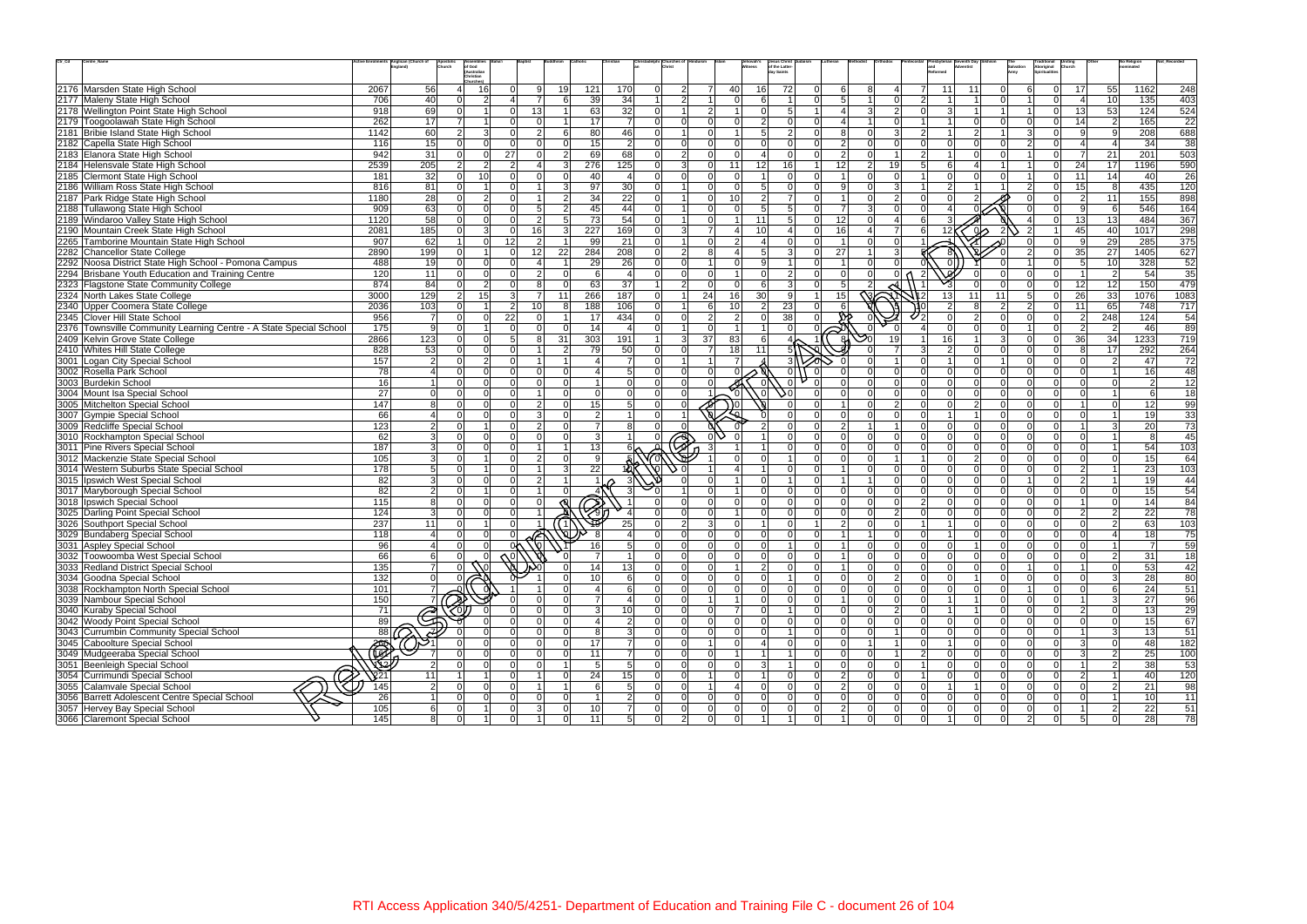| $\mathsf{Ctr}\_ \mathsf{Cd}$ | Centre_Name                                                        |                  | Anglican (Church of      | Apostolic<br>Church | of God                  |                 |                |                |                         |                         |                                  |                 |                 |                  | Jesus Christ<br>of the Latter-   |                           |                |                         |                           |                               |                | Traditional<br>Aboriginal<br>Spiritualitie |                 |                 | lo Religior     |                  |
|------------------------------|--------------------------------------------------------------------|------------------|--------------------------|---------------------|-------------------------|-----------------|----------------|----------------|-------------------------|-------------------------|----------------------------------|-----------------|-----------------|------------------|----------------------------------|---------------------------|----------------|-------------------------|---------------------------|-------------------------------|----------------|--------------------------------------------|-----------------|-----------------|-----------------|------------------|
|                              |                                                                    |                  |                          |                     | (Australian<br>hristian |                 |                |                |                         |                         |                                  |                 |                 |                  | day Saints                       |                           |                |                         |                           |                               |                |                                            |                 |                 |                 |                  |
|                              | 2176 Marsden State High School                                     | 2067             | 56                       |                     | -16                     | ∩               | $\mathbf{Q}$   | 19             | 170<br>121              |                         | $\Omega$<br>$\overline{2}$       |                 | 40              | 16               | 72<br>$\Omega$                   | 6                         | 8              | 4                       | 11                        | 11                            | $\Omega$       | $\Omega$                                   | 17 <sup>1</sup> | 55              | 1162            | 248              |
|                              | 2177 Maleny State High School                                      | 706              | 40                       | $\Omega$            | $\mathcal{P}$           |                 | $\overline{7}$ | 6              | 39                      | 34                      | 2 <sup>1</sup><br>1 <sup>1</sup> |                 | n l             | 6                | ΩL<br>$\overline{1}$             | 5 <sup>1</sup>            | $\vert$ 1      | 0                       | $\mathcal{D}$             |                               | $\Omega$       | $\Omega$                                   | $\vert$ 4       | 10 <sup>1</sup> | 135             | 403              |
|                              | 2178 Wellington Point State High School                            | 918              | 69                       | $\Omega$            |                         | $\Omega$        | 13             |                | 63                      | 32                      | $\Omega$                         | $\mathcal{D}$   |                 | $\Omega$         | 5 <sup>1</sup><br>$\vert$ 1      | $\boldsymbol{\varLambda}$ | $\overline{3}$ | 2 <sup>1</sup>          | 3                         |                               |                | $\Omega$                                   | 13              | 53              | 124             | 524              |
|                              | 2179 Toogoolawah State High School                                 | 262              | 17                       | $\overline{7}$      |                         | ∩               | $\Omega$       |                | 17                      | $\overline{7}$          | $\Omega$<br>$\Omega$             |                 |                 | $\overline{2}$   | $\Omega$<br>$\Omega$             |                           |                | $\Omega$                |                           |                               | $\Omega$       |                                            | 14              | $\overline{2}$  | 165             | 22               |
|                              | 2181 Bribie Island State High School                               | 1142             | 60                       | $\overline{2}$      | $\mathcal{E}$           | $\Omega$        | $\mathcal{P}$  | 6              | 80                      | 46                      | $\Omega$                         | ΩI              |                 | 5 <sup>1</sup>   | $\overline{2}$<br>$\Omega$       | 8                         | ΩI             | $\overline{3}$          |                           |                               |                | 3                                          |                 | 9               | 208             | 688              |
|                              | 2182 Capella State High School                                     | 116              | 15                       | n l                 | $\Omega$                | $\Omega$        |                | $\Omega$       | 15                      | $\overline{2}$          | $\Omega$<br>$\Omega$             | ΩI              | $\Omega$        | $\Omega$         | $\Omega$<br>ΩL                   | $\overline{2}$            | ΩI             | n l                     | $\Omega$                  |                               | $\Omega$       | $\mathcal{P}$<br>$\Omega$                  |                 | $\Delta$        | 34              | 38               |
|                              | 2183 Elanora State High School                                     | 942              | 31                       | $\Omega$            | $\Omega$                | 27              | $\Omega$       | $\overline{2}$ | 69                      | 68                      | $\Omega$<br>2 <sup>1</sup>       | ΩI              | $\Omega$        | $\Delta$         | $\Omega$<br>ΩL                   | $\overline{2}$            | $\Omega$       | $\mathbf{1}$            |                           |                               |                | $\Omega$                                   | $\overline{7}$  | 21              | 201             | 503              |
|                              | 2184 Helensvale State High School                                  | 2539             | 205                      | $\mathcal{P}$       | $\mathcal{D}$           | $\mathcal{D}$   |                | 3              | 276<br>125              |                         | 3<br>$\overline{0}$              |                 | 11              | 12               | 16                               | 12                        | 2 <sup>1</sup> | 19                      | 6                         |                               |                | $\Omega$                                   | 24              | 17              | 1196            | 590              |
|                              | 2185 Clermont State High School                                    | 181              | 32                       | $\Omega$            | 10 <sup>1</sup>         | ΩI              |                | O              | 40                      | $\overline{\mathbf{4}}$ | $\Omega$<br>$\Omega$             | $\cap$          | $\Omega$        |                  | $\Omega$<br>$\Omega$             |                           | $\Omega$       | $\Omega$                |                           | $\Omega$                      | $\Omega$       | $\Omega$                                   | 11              | 14              | 40              | 26               |
|                              | 2186 William Ross State High School                                | 816              | 81                       | $\Omega$            | $\overline{ }$          |                 |                | 3              | 97                      | 30                      | $\Omega$                         |                 | $\Omega$        | 5 <sup>1</sup>   | $\Omega$<br>$\Omega$             | -91                       | $\Omega$       | 3                       |                           |                               |                | $\Omega$                                   | 15 <sub>l</sub> | 8               | 435             | 120              |
|                              | 2187 Park Ridge State High School                                  | 1180             | 28                       | $\Omega$            | $\mathcal{P}$           |                 |                | $\overline{2}$ | 34                      | 22                      | $\Omega$                         |                 | 10              | $\overline{2}$   | $\overline{7}$<br>$\Omega$       |                           | ΩI             | $\overline{2}$          |                           |                               |                |                                            | $\overline{2}$  | 11              | 155             | 898              |
|                              | 2188 Tullawong State High School                                   | 909              | 63                       | $\Omega$            | $\Omega$                | $\Omega$        | .5             | $\overline{2}$ | 45                      | 44                      | $\Omega$                         | ΩI              | $\Omega$        | 5 <sup>1</sup>   | 5 <sup>1</sup><br>ΩL             | $\overline{7}$            | 3 <sup>l</sup> | $\Omega$                |                           |                               |                |                                            | -91             | 6               | 546             | 164              |
|                              | 2189 Windaroo Valley State High School                             | 1120             | 58                       | $\Omega$            | $\Omega$                | $\Omega$        | $\Omega$       | 5              | 73                      | 54                      | $\Omega$                         | ΩI              |                 | 11               | 5 <sup>1</sup><br>$\Omega$       | 12                        | $\Omega$       | $\overline{\mathbf{A}}$ |                           |                               |                |                                            | 13              | 13              | 484             | 367              |
|                              | 2190 Mountain Creek State High School                              | 2081             | 185                      | $\Omega$            | $\mathcal{E}$           | $\Omega$        | 16             | $\overline{3}$ | 227<br>169              |                         | 3 <sup>l</sup><br>$\Omega$       | $\overline{7}$  |                 | 10               | $\Omega$                         | 16                        |                | $\overline{7}$          | 12 <sup>1</sup>           | ക                             | $\mathcal{P}$  |                                            | 45              | 40              | 1017            | 298              |
|                              | 2265 Tamborine Mountain State High School                          | 907              | 62                       |                     | $\Omega$                | 12 <sub>l</sub> | $\overline{2}$ | $\overline{1}$ | 99                      | 21                      | $\Omega$                         | ΩI              | $\mathcal{P}$   | $\mathbf{4}$     | $\Omega$<br>$\Omega$             | $\overline{1}$            | $\Omega$       | $\overline{0}$          |                           |                               |                | $\Omega$                                   | -91             | 29              | 285             | 375              |
|                              | 2282 Chancellor State College                                      | 2890             | 199                      | $\Omega$            |                         | $\Omega$        | 12             | 22             | 284<br>208              |                         | $\overline{2}$<br>$\Omega$       | R               |                 | $5 \overline{5}$ | $\mathcal{E}$<br>$\Omega$        | 27                        |                | 3 <sup>1</sup>          |                           |                               |                | $\Omega$                                   | 35              | 27              | 1405            | 627              |
|                              | 2292 Noosa District State High School - Pomona Campus              | 488              | 19                       | $\Omega$            | $\Omega$                | $\Omega$        |                |                | 29                      | 26                      | $\Omega$<br>$\Omega$             |                 |                 | 9                | $\Omega$                         |                           | ΩI             |                         |                           | $\Omega$                      |                |                                            | $5\overline{5}$ | 10              | 328             | 52               |
|                              | 2294 Brisbane Youth Education and Training Centre                  | 120              | 11                       | $\Omega$            | $\Omega$                | $\Omega$        |                | $\Omega$       | 6                       | $\overline{4}$          | $\Omega$<br>$\Omega$             |                 |                 | $\Omega$         | 2 <sup>1</sup><br>$\Omega$       | n l                       | $\Omega$       | 0 <sub>0</sub>          |                           |                               | $\Omega$       | n١<br>$\Omega$                             |                 | $\overline{2}$  | 54              | 35               |
|                              | 2323 Flagstone State Community College                             | 874              | 84                       | $\Omega$            | $\overline{2}$          | $\Omega$        |                | $\Omega$       | 63                      | 37                      | $\overline{2}$<br>$\overline{1}$ | $\Omega$        | $\Omega$        | 6                | $\mathbf{3}$<br>$\Omega$         | 5                         | $\overline{2}$ |                         |                           |                               |                | $\Omega$                                   | 12              | 12              | 150             | 479              |
|                              | 2324 North Lakes State College                                     | 3000             | 129                      | $\overline{2}$      | 15 <sub>l</sub>         | $\mathcal{E}$   |                | 11             | 266<br>187              |                         | $\overline{0}$                   | 24              | 16 <sup>1</sup> | 30 <sup>1</sup>  | 9                                | 15 <sub>l</sub>           |                |                         | 13                        | 11                            | 11             | 5 <sup>1</sup><br>$\Omega$                 | 26              | 33              | 1076            | 1083             |
|                              | 2340 Upper Coomera State College                                   | 2036             | 103                      | $\Omega$            |                         | $\mathcal{P}$   | 10             | 8              | 188<br>106              |                         | $\Omega$                         |                 | 10              | $2 \vert$        | 23<br>$\Omega$                   |                           |                |                         |                           |                               | $\overline{2}$ | $\mathcal{P}$<br>$\Omega$                  | 11              | 65              | 748             | 717              |
|                              | 2345 Clover Hill State School                                      | 956              | $\overline{7}$           | $\Omega$            | $\Omega$                | 22              | $\Omega$       |                | 17<br>434               |                         | $\Omega$<br>$\Omega$             | 2 <sup>1</sup>  | $\mathcal{P}$   | $\Omega$         | 38<br>$\Omega$                   | m.                        |                |                         |                           |                               | $\Omega$       | $\Omega$                                   | $\overline{2}$  | 248             | 124             | 54               |
|                              | 2376 Townsville Community Learning Centre - A State Special School | 175              | 9                        | $\Omega$            |                         | $\Omega$        |                | $\Omega$       | 14                      | $\overline{\mathbf{4}}$ | $\Omega$                         | ΩI              |                 |                  | $\Omega$<br>$\cap$               |                           |                |                         |                           |                               | $\Omega$       | $\Omega$                                   | $\mathcal{P}$   | 2               | 46              | 89               |
|                              | 2409 Kelvin Grove State College                                    | 2866             | $\overline{123}$         | $\Omega$            | $\Omega$                | $5\overline{5}$ | 8              | 31             | 303<br>191              |                         | 3 <sup>l</sup><br>$\mathbf{1}$   | 37 <sup>1</sup> | 83              | 6 <sup>1</sup>   |                                  | ଖ                         |                | 19                      | 16                        |                               | $\mathbf{3}$   | $\Omega$                                   | 36              | 34              | 1233            | $\overline{719}$ |
|                              | 2410 Whites Hill State College                                     | 828              | 53                       | $\Omega$            | n l                     | $\Omega$        |                | $\overline{2}$ | 79                      | 50                      | $\Omega$<br>$\Omega$             |                 | 18              | 11               |                                  |                           |                | $\overline{7}$          | $\mathcal{P}$             | $\Omega$                      | $\Omega$       | $\Omega$<br>$\Omega$                       | $\mathsf{R}$    | 17              | 292             | 264              |
|                              | 3001 Logan City Special School                                     | 157              | $\overline{2}$           | n l                 | $\mathcal{D}$           | $\Omega$        |                |                |                         | $\overline{7}$          | $\Omega$                         |                 |                 |                  |                                  |                           |                |                         |                           | $\cap$                        |                | $\cap$<br>$\cap$                           | $\Omega$        | 2               | 47              | 72               |
|                              | 3002 Rosella Park School                                           | 78               | $\vert$                  | $\Omega$            | $\Omega$                | $\Omega$        |                | $\Omega$       |                         | 5 <sup>1</sup>          | $\Omega$<br>$\Omega$             |                 |                 |                  | 0                                |                           |                | $\overline{0}$          | $\Omega$                  |                               | $\Omega$       | $\Omega$                                   | $\Omega$        |                 | 16              | 48               |
|                              | 3003 Burdekin School                                               | 16               | 1 <sup>1</sup>           | $\Omega$            | n l                     | $\Omega$        | $\Omega$       | $\Omega$       |                         | $\Omega$                | $\Omega$<br>$\Omega$             |                 |                 |                  |                                  |                           | ΩI             | $\Omega$                | $\Omega$                  |                               | $\Omega$       | $\cap$                                     |                 | $\Omega$        | $\mathcal{P}$   | 12               |
|                              | 3004 Mount Isa Special School                                      | 27               | $\Omega$                 | $\Omega$            | n l                     | $\Omega$        |                | $\Omega$       | $\Omega$                | $\Omega$                | $\Omega$<br>$\Omega$             |                 |                 |                  | ۵Q<br>$\Omega$                   | $\Omega$                  | $\Omega$       | $\Omega$                |                           | $\Omega$<br>$\Omega$          | $\Omega$       | $\cap$<br>$\Omega$                         | $\Omega$        | $\overline{1}$  | $6 \sqrt{2}$    | 18               |
|                              | 3005 Mitchelton Special School                                     | 147              | 8                        | $\Omega$            | $\Omega$                | $\Omega$        | $\overline{2}$ | $\Omega$       | 15                      | 5 <sub>5</sub>          | $\Omega$                         |                 |                 |                  | $\cap$                           |                           | $\Omega$       | 2 <sup>1</sup>          | $\Omega$                  | $\overline{2}$                | $\Omega$       | $\Omega$<br>$\Omega$                       |                 | $\Omega$        | 12              | 99               |
|                              | 3007 Gympie Special School                                         | 66               |                          | $\Omega$            | $\Omega$                |                 |                |                | $\overline{2}$          | $\overline{1}$          | $\Omega$                         |                 |                 |                  |                                  | $\Omega$                  | ΩI             | $\Omega$                |                           |                               | $\Omega$       |                                            |                 |                 | 19              | 33               |
|                              | 3009 Redcliffe Special School                                      | 123              | 2 <sup>1</sup>           | $\Omega$            |                         | ΩI              | 2              | $\Omega$       | $\overline{7}$          | 8                       | $\Omega$                         |                 |                 |                  | $\Omega$<br>$\Omega$             | $\overline{2}$            | $\overline{1}$ | 11                      |                           | $\Omega$<br>$\Omega$          | $\Omega$       | <sup>n</sup><br>$\Omega$                   |                 | $\mathbf{3}$    | 20              | $\overline{73}$  |
|                              | 3010 Rockhampton Special School                                    | 62               | 3 <sup>1</sup>           | $\Omega$            | $\Omega$                | $\Omega$        |                | $\Omega$       | $\overline{3}$          |                         |                                  |                 |                 |                  | $\Omega$<br>$\Omega$             | ി                         | $\Omega$       | $\Omega$                | $\Omega$                  |                               | $\Omega$       |                                            | $\cap$          | $\overline{1}$  |                 | 45               |
|                              | 3011 Pine Rivers Special School                                    | 187              | 3 <sup>1</sup>           | $\Omega$            |                         |                 |                |                | 13                      |                         |                                  |                 |                 |                  | $\Omega$                         | $\Omega$                  | ΩI             | $\Omega$                |                           |                               | $\Omega$       |                                            |                 |                 | 54              | 103              |
|                              | 3012 Mackenzie State Special School                                | 105              | 3 <sup>l</sup>           | $\Omega$            | $\overline{1}$          | $\Omega$        | $\mathcal{P}$  | $\Omega$       | 9                       |                         |                                  |                 |                 | $\Omega$         | $\Omega$<br>11                   | n l                       | $\Omega$       | 11                      |                           | $\Omega$<br>$\overline{2}$    | $\Omega$       | $\Omega$<br>$\Omega$                       | $\Omega$        | $\Omega$        | 15              | 64               |
|                              | 3014 Western Suburbs State Special School                          | $\overline{178}$ | 5 <sup>1</sup>           | $\Omega$            |                         |                 |                | 3              | $\overline{22}$         |                         |                                  |                 |                 |                  | $\Omega$<br>$\cap$               |                           | $\Omega$       | $\Omega$                |                           |                               | $\Omega$       |                                            | $\mathcal{D}$   |                 | 23              | 103              |
|                              | 3015 Ipswich West Special School                                   | 82               | 3 <sup>1</sup>           | $\Omega$            | $\Omega$                | $\Omega$        | $\mathfrak{p}$ |                |                         |                         |                                  |                 |                 | $\Omega$         | $\cap$                           |                           |                | $\Omega$                |                           |                               | $\Omega$       |                                            |                 |                 | 19              | 44               |
|                              | 3017 Maryborough Special School                                    | 82 <sub>1</sub>  | $\mathcal{P}$            | $\Omega$            |                         | $\Omega$        |                |                |                         | 3                       |                                  |                 |                 | $\Omega$         | $\Omega$<br>ΩL                   | n l                       | $\Omega$       | $\Omega$                |                           | $\Omega$<br>$\Omega$          | $\Omega$       | $\cap$                                     | $\Omega$        | $\Omega$        | 15              | 54               |
|                              | 3018   Ipswich Special School                                      | 115              | 8 <sup>1</sup>           | $\Omega$            | $\Omega$                |                 |                |                | $\oslash$               |                         |                                  |                 | $\Omega$        | $\Omega$         | $\Omega$<br>ΩL                   | ി                         | $\Omega$       | $\Omega$                | $\mathcal{D}$<br>$\Omega$ |                               | $\Omega$       | $\Omega$                                   |                 | $\Omega$        | 14              | 84               |
|                              | 3025 Darling Point Special School                                  | 124              | 3 <sup>1</sup>           | $\Omega$            | $\cap$                  |                 |                |                |                         |                         |                                  |                 |                 | $\Omega$         | $\Omega$<br>$\Omega$             | ി                         | $\Omega$       | $\overline{2}$          |                           |                               | $\Omega$       |                                            | $\mathcal{P}$   | $\overline{2}$  | 22              | 78               |
|                              | 3026 Southport Special School                                      | 237              | 11                       | $\Omega$            |                         |                 |                |                |                         | 25                      | $\overline{2}$<br>$\Omega$       | $\mathbf{3}$    |                 |                  | $\overline{0}$                   | $\overline{2}$            | $\Omega$       | $\Omega$                |                           |                               | $\Omega$       |                                            | $\Omega$        | 2               | 63              | 103              |
|                              | 3029 Bundaberg Special School                                      | 118              | $\vert$                  | $\Omega$            |                         |                 |                |                |                         |                         |                                  |                 |                 | $\Omega$         | $\Omega$<br>$\Omega$             |                           |                | $\Omega$                |                           |                               |                |                                            |                 | 4               | 18              | 75               |
|                              | 3031 Aspley Special School                                         | -96 l            |                          | $\cap$              | $\cap$                  | ∩∧              |                |                | 16                      | 5 <sup>1</sup>          | $\Omega$<br>ΩI                   | $\cap$          | $\Omega$        | nl               | ΩL                               | $\overline{1}$            | $\Omega$       | nl                      | $\cap$                    | $\Omega$                      | $\Omega$       | $\cap$<br>$\cap$                           | ΩI              | $\overline{1}$  | $\overline{7}$  | 59               |
|                              | 3032 Toowoomba West Special School                                 | 66               | 6                        | $\Omega$            | $\Omega$                |                 |                | $\Omega$       | 7                       | $\overline{1}$          | $\overline{0}$<br>$\Omega$       | $\Omega$        | $\Omega$        | $\overline{0}$   | $\overline{0}$<br>$\Omega$       |                           | $\overline{0}$ | 0                       |                           | $\mathbf{0}$<br>$\Omega$      | 0              | $\Omega$<br>$\Omega$                       | $\Omega$        | $\overline{2}$  | 31              | 18               |
|                              | 3033 Redland District Special School                               | 135              | $\overline{7}$           | $\Omega$            | (Nol                    |                 |                |                | 14                      | 13                      | $\Omega$<br>$\Omega$             | $\Omega$        |                 | 2 <sup>1</sup>   | $\overline{0}$<br>$\Omega$       |                           | $\Omega$       | 0                       | ΩI                        | $\Omega$<br>$\Omega$          | $\overline{0}$ | $\Omega$                                   |                 | $\Omega$        | 53              | 42               |
|                              | 3034 Goodna Special School                                         | 132              | 0                        | $\Omega$            |                         |                 |                |                | 10 <sup>1</sup>         | $6 \overline{6}$        | $\Omega$<br> 0                   | ΩI              | $\Omega$        | 0                | $\Omega$                         | $\Omega$                  | $\overline{0}$ | 2                       |                           | $\Omega$                      | $\Omega$       | $\Omega$<br>$\Omega$                       | $\Omega$        | $\mathbf{3}$    | 28              | 80               |
|                              | 3038 Rockhampton North Special School                              | 101              | $\overline{7}$           |                     |                         |                 |                |                | $\overline{4}$          | 6                       | $\Omega$<br>$\Omega$             |                 |                 | $\Omega$         | $\Omega$<br>$\Omega$             | -Ol                       | $\Omega$       | 0                       |                           |                               | $\Omega$       |                                            | $\Omega$        | 6               | 24              | 51               |
|                              | 3039 Nambour Special School                                        | 150              | 7 <sup>1</sup>           | $\mathbb{Z}$        |                         |                 |                |                | $\overline{7}$          | $\overline{4}$          | $\Omega$<br>$\Omega$             |                 |                 | $\Omega$         | $\overline{0}$<br>$\Omega$       |                           | $\Omega$       | 0                       |                           |                               | $\overline{0}$ | $\Omega$                                   |                 | 3               | 27              | 96               |
|                              | 3040 Kuraby Special School                                         | 71               |                          | O)                  |                         |                 |                | $\Omega$       | 3                       | 10                      | $\overline{0}$<br> 0             | ΩI              |                 | $\overline{0}$   | $\Omega$<br>11                   | -Ol                       | $\overline{0}$ | 2                       |                           |                               | $\overline{0}$ | $\Omega$<br>$\Omega$                       | $\overline{2}$  | $\overline{0}$  | 13              | 29               |
|                              | 3042 Woody Point Special School                                    | 89               | <u>ි</u>                 |                     |                         |                 |                |                | $\overline{\mathbf{4}}$ | $\overline{2}$          | $\Omega$<br>$\Omega$             | $\Omega$        | $\Omega$        | $\Omega$         | $\overline{0}$<br>$\Omega$       | -ol                       | $\Omega$       | 0                       | $\Omega$                  |                               | $\Omega$       | $\Omega$                                   |                 | $\Omega$        | 15              | 67               |
|                              | 3043 Currumbin Community Special School                            | $\overline{88}$  | $\overline{\mathscr{F}}$ |                     |                         |                 |                |                | 8                       | $\mathbf{3}$            | $\Omega$<br>$\Omega$             |                 |                 |                  | $\Omega$                         | -ol                       | $\Omega$       | 11                      |                           |                               | $\overline{0}$ | $\Omega$                                   |                 | $\mathbf{3}$    | 13              | 51               |
|                              | 3045 Caboolture Special School                                     |                  |                          | $\Omega$            | $\Omega$                |                 |                | $\Omega$       | 17                      | $\overline{7}$          | $\overline{0}$<br>$\Omega$       |                 | $\Omega$        | $\mathbf{I}$     | $\overline{0}$<br>$\Omega$       | -Ol                       | $\sim$ 1       | 11                      | -1                        | $\Omega$                      | $\overline{0}$ | $\Omega$<br>$\Omega$                       | -31             | $\mathbf 0$     | 48              | 182              |
|                              | 3049 Mudgeeraba Special School                                     | ESSE             |                          | $\Omega$            |                         | $\Omega$        |                | $\Omega$       | 11                      | $\overline{7}$          | $\Omega$<br>$\Omega$             |                 |                 |                  | $\Omega$                         | -ol                       | $\Omega$       |                         | $\mathcal{P}$             | $\Omega$                      | $\Omega$       | $\Omega$<br>$\Omega$                       | $\mathcal{E}$   | $\overline{2}$  | 25              | 100              |
|                              | 3051 Beenleigh Special School                                      |                  | 2                        | $\Omega$            | $\Omega$                | $\Omega$        | $\Omega$       |                | 5                       | $\overline{5}$          | $\overline{0}$<br> 0             | $\Omega$        | <sup>0</sup>    | 3 <sup>l</sup>   | $\overline{0}$<br>11             | 0                         | $\overline{0}$ | 0                       |                           | $\Omega$                      | 0              | $\Omega$<br>$\Omega$                       |                 | $\overline{2}$  | 38              | 53               |
|                              | 3054 Currimundi Special School                                     | $\sqrt{21}$      | 11                       | $\vert$ 1           | $\overline{1}$          | $\Omega$        |                | $\Omega$       | 24                      | 15                      | $\overline{0}$<br> 0             |                 | n l             |                  | $\overline{0}$<br>$\Omega$       | $\overline{2}$            | $\overline{0}$ | 0                       |                           | $\Omega$<br>$\Omega$          | $\overline{0}$ | $\Omega$<br>$\Omega$                       | $\overline{2}$  | $\vert$ 1       | 40              | 120              |
|                              | 3055 Calamvale Special School                                      | 145              | $2 \vert$                | $\Omega$            | n l                     | $\Omega$        |                |                | 6                       | $\overline{5}$          | $\Omega$<br>$\Omega$             |                 |                 | $\overline{0}$   | $\overline{0}$<br>$\Omega$       | $\vert$ 2                 | $\Omega$       | 0                       |                           |                               | $\Omega$       | $\Omega$<br>nl                             | $\Omega$        | $\overline{2}$  | 21              | 98               |
|                              | 3056 Barrett Adolescent Centre Special School                      | 26               | $1\vert$                 | $\Omega$            | $\Omega$                | $\Omega$        |                |                |                         | $\overline{2}$          | $\overline{0}$<br> 0             | $\Omega$        | $\Omega$        | 0                | $\overline{0}$<br>$\Omega$       | -Ol                       | $\Omega$       | 0                       |                           | $\Omega$                      | $\overline{0}$ | $\Omega$                                   |                 |                 | 10 <sup>1</sup> | 11               |
|                              | 3057 Hervey Bay Special School                                     | 105              | 6                        | <sup>0</sup>        |                         | $\Omega$        | 3              | $\Omega$       | 10                      | $\overline{7}$          | $\overline{0}$<br> 0             | $\Omega$        | $\overline{0}$  | 0                | $\overline{0}$<br>$\overline{0}$ | $\overline{2}$            | $\overline{0}$ | 0                       | $\Omega$                  | $\mathbf 0$<br>$\overline{0}$ | 0              | $\overline{0}$<br>$\Omega$                 |                 | $\overline{2}$  | 22              | 51               |
|                              | 3066 Claremont Special School                                      | 145              | 8                        | <sup>0</sup>        |                         | $\Omega$        |                | $\Omega$       | 11                      | $5 \vert$               | 2 <sup>1</sup><br>$\overline{0}$ | 0               | 0               |                  | $\overline{0}$<br>$\overline{1}$ |                           | 0              | 0                       |                           | $\Omega$                      | $\overline{0}$ | $\overline{2}$<br>$\Omega$                 | 5 <sup>1</sup>  | $\overline{0}$  | 28              | 78               |
|                              |                                                                    |                  |                          |                     |                         |                 |                |                |                         |                         |                                  |                 |                 |                  |                                  |                           |                |                         |                           |                               |                |                                            |                 |                 |                 |                  |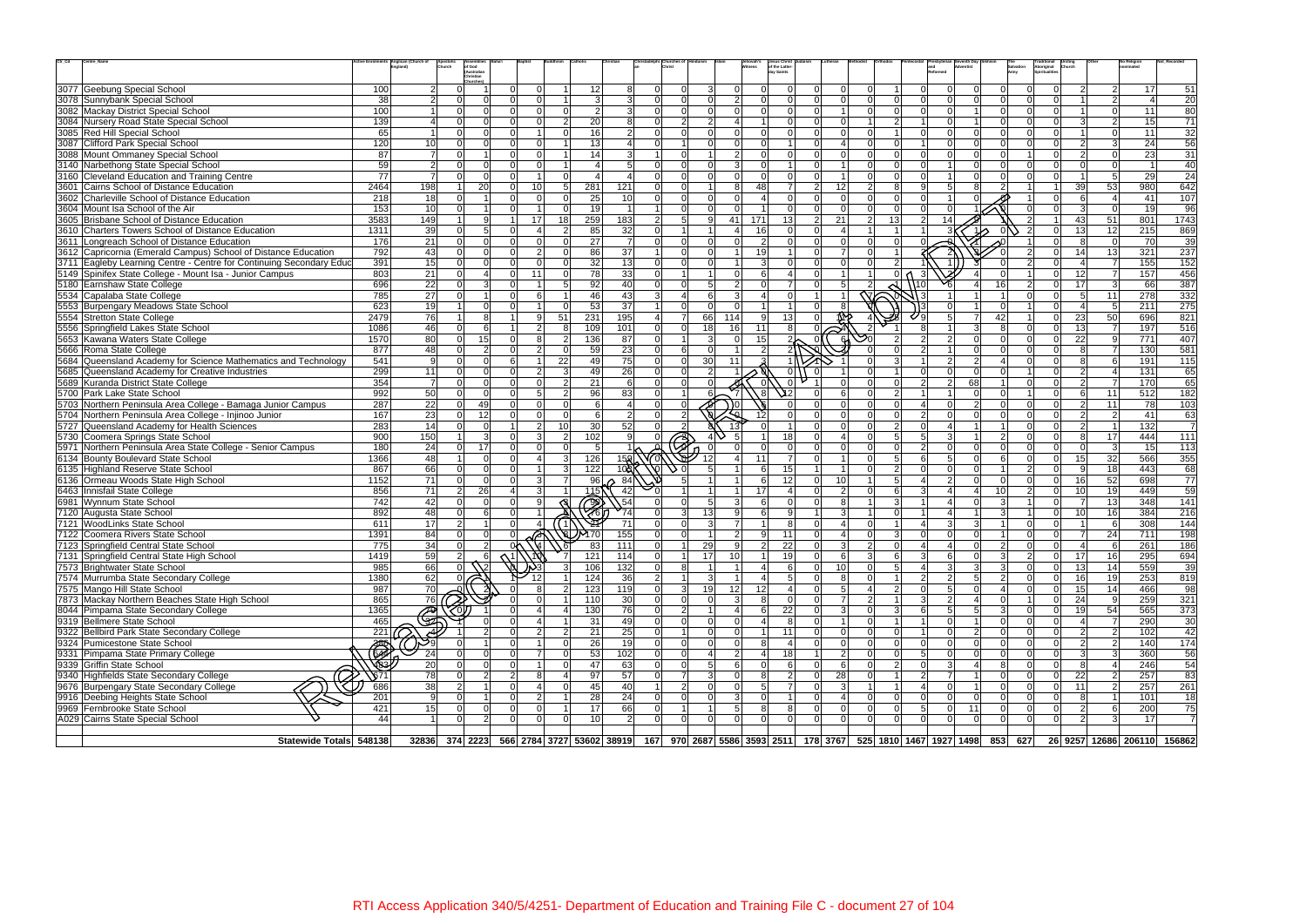| $\text{Ctr}\_ \text{Cd}$ | Centre_Name                                                         |              |                     | of God                      |          |                         |                 |                                                                                                               |                |                                  |                 |                |                        | lesus Christ<br>of the Latter- |                               |                |                      |          |                                  |                 | Aboriginal           |                 |                           | lo Religio                  |                   |
|--------------------------|---------------------------------------------------------------------|--------------|---------------------|-----------------------------|----------|-------------------------|-----------------|---------------------------------------------------------------------------------------------------------------|----------------|----------------------------------|-----------------|----------------|------------------------|--------------------------------|-------------------------------|----------------|----------------------|----------|----------------------------------|-----------------|----------------------|-----------------|---------------------------|-----------------------------|-------------------|
|                          |                                                                     |              |                     | (Australian<br>Christian    |          |                         |                 |                                                                                                               |                |                                  |                 |                |                        | dav Saints                     |                               |                |                      |          |                                  |                 | Sniritualitie        |                 |                           |                             |                   |
|                          |                                                                     |              |                     | $\Omega$                    |          |                         |                 |                                                                                                               |                | $\Omega$<br>$\Omega$             | $\mathcal{R}$   | $\Omega$       | $\Omega$               |                                | n l                           | $\Omega$       |                      |          |                                  | $\Omega$        |                      | $\mathcal{P}$   | $\overline{2}$            |                             |                   |
|                          | 3077 Geebung Special School                                         | 100          | $\overline{2}$      | $\Omega$<br>$\Omega$        |          |                         |                 | 12                                                                                                            | 8              | $\Omega$<br>$\Omega$             |                 |                | Ωl                     |                                | $\Omega$<br>$\Omega$          | ΩI             |                      |          |                                  | $\Omega$        |                      |                 |                           | 17                          | 51                |
|                          | 3078 Sunnybank Special School                                       | 38           | $\overline{2}$      |                             |          |                         |                 | 3                                                                                                             | $\overline{3}$ |                                  |                 |                |                        | $\Omega$                       |                               |                | $\Omega$             |          |                                  |                 |                      |                 | $\overline{2}$            |                             | 20                |
|                          | 3082 Mackay District Special School                                 | 100          | 1 <sup>1</sup>      | $\Omega$<br><sup>0</sup>    |          | ΩI                      | $\Omega$        | $\overline{2}$                                                                                                | 3              | $\Omega$<br>$\Omega$             | ΩI              | $\Omega$       | $\Omega$               | $\Omega$                       | $\Omega$                      | $\Omega$       | $\Omega$             |          | $\Omega$                         | $\Omega$        |                      |                 | $\Omega$                  | 11                          | 80                |
|                          | 3084 Nursery Road State Special School                              | 139          |                     | $\Omega$                    |          |                         | $\overline{2}$  | 20                                                                                                            | 8              | 2 <sup>1</sup><br>$\Omega$       | $\mathcal{D}$   |                |                        | $\Omega$                       | $\cap$<br>ി                   |                | $\overline{2}$       |          |                                  |                 |                      | $\mathcal{R}$   | $\overline{2}$            | 15                          | 71                |
|                          | 3085 Red Hill Special School                                        | 65           |                     | $\Omega$                    |          |                         |                 | 16                                                                                                            | $\overline{2}$ | $\Omega$                         |                 |                | $\Omega$               | $\Omega$                       | $\cap$<br>$\Omega$            | ΩI             |                      |          |                                  | $\Omega$        |                      |                 | $\Omega$                  | 11                          | 32                |
|                          | 3087 Clifford Park Special School                                   | 120          | 10 <sup>1</sup>     | $\Omega$<br>$\Omega$        |          |                         |                 | 13                                                                                                            | 4              | $\Omega$                         |                 |                | $\cap$                 |                                | $\cap$                        | ΩI             | $\Omega$             |          |                                  | $\Omega$        |                      | $\mathcal{P}$   | $\mathcal{A}$             | 24                          | $\overline{56}$   |
|                          | 3088 Mount Ommaney Special School                                   | 87           | $\overline{7}$      | $\Omega$                    |          |                         |                 | 14                                                                                                            | $\mathbf{3}$   | $\Omega$<br>1                    |                 | $\mathcal{D}$  | $\Omega$               | $\Omega$                       | $\Omega$<br>$\Omega$          | $\Omega$       | $\Omega$             |          |                                  |                 |                      | $\mathcal{D}$   | $\Omega$                  | 23                          | 31                |
|                          | 3140 Narbethong State Special School                                | 59           | $\overline{2}$      | $\Omega$                    |          |                         |                 |                                                                                                               | 5              | $\Omega$                         |                 |                |                        |                                | $\cap$                        | $\Omega$       |                      |          |                                  |                 |                      |                 | $\Omega$                  |                             | 40                |
|                          | 3160 Cleveland Education and Training Centre                        | 77           | $\overline{7}$      | $\Omega$<br>n l             |          |                         | $\Omega$        | $\Delta$                                                                                                      | $\Delta$       | $\Omega$<br>$\Omega$             |                 |                | $\Omega$               | $\Omega$                       | ΩL                            | $\Omega$       | $\Omega$             |          |                                  | $\Omega$        |                      |                 | 5                         | 29                          | 24                |
|                          | 3601 Cairns School of Distance Education                            | 2464         | 198                 | 20                          |          | 10<br>$\Omega$          | 5 <sup>1</sup>  | 281<br>121                                                                                                    |                | $\Omega$                         |                 | <sub>8</sub>   | 48                     | $\overline{7}$                 | 2 <sup>1</sup><br>12          | $\mathfrak{p}$ | 8                    |          |                                  |                 |                      | 39 <sup>°</sup> | 53                        | 980                         | 642               |
|                          | 3602 Charleville School of Distance Education                       | 218          | 18                  | $\Omega$                    |          | $\cap$                  |                 | 25<br>10                                                                                                      |                | $\Omega$<br>$\Omega$             |                 |                | $\boldsymbol{\Lambda}$ | ΩI                             | ΩL<br>ി                       | ΩI             | $\Omega$             |          |                                  |                 |                      |                 |                           | 41                          | 107               |
|                          | 3604 Mount Isa School of the Air                                    | 153          | 10                  |                             |          |                         | $\Omega$        | 19                                                                                                            | $\overline{1}$ | $\Omega$<br>11                   |                 |                |                        | $\Omega$                       | $\Omega$<br>$\Omega$          | $\Omega$       | $\Omega$             |          |                                  |                 |                      | $\mathcal{R}$   | $\Omega$                  | 19                          | 96                |
|                          | 3605 Brisbane School of Distance Education                          | 3583         | 149                 | $\mathbf{Q}$                |          | 17                      | 18 <sup>1</sup> | 259<br>183                                                                                                    |                | 2 <br>5                          | $\mathbf{Q}$    | 41             | 171                    | 13                             | 21<br>2 <sup>1</sup>          | 2 <sup>1</sup> | 13                   |          | 14                               |                 |                      | 43              | 51                        | 801                         | 1743              |
|                          | 3610 Charters Towers School of Distance Education                   | 1311         | 39                  | $\Omega$                    |          |                         | $\mathcal{P}$   | 32<br>85                                                                                                      |                | $\Omega$                         |                 |                | 16 <sup>1</sup>        | $\Omega$                       | $\Omega$                      |                | $\overline{1}$       |          |                                  |                 |                      | 13              | 12 <sub>l</sub>           | 215                         | 869               |
|                          | 3611 Longreach School of Distance Education                         | 176          | 21                  | $\Omega$<br>$\Omega$        |          |                         | $\Omega$        | 27                                                                                                            | $\overline{7}$ | $\Omega$                         |                 |                | $\overline{2}$         | $\Omega$                       | $\Omega$                      | $\Omega$       | $\Omega$             |          |                                  |                 |                      | 8               | $\Omega$                  | 70                          | 39                |
|                          | 3612 Capricornia (Emerald Campus) School of Distance Education      | 792          | 43 <sup>1</sup>     | $\Omega$<br>$\Omega$        |          | $\mathcal{D}$<br>$\cap$ |                 | 86<br>37                                                                                                      |                | $\Omega$<br>$\mathbf{1}$         | $\Omega$        |                | 19                     |                                | $\Omega$<br>$\overline{7}$    | ΩI             |                      |          |                                  |                 |                      | 14              | 13                        | 321                         | 237               |
|                          | 3711 Eagleby Learning Centre - Centre for Continuing Secondary Educ | 391          | 15                  | $\Omega$                    |          |                         | $\Omega$        | 32<br>13                                                                                                      |                | $\Omega$<br>$\Omega$             |                 |                | $\mathcal{E}$          | $\Omega$                       | $\cap$                        | $\Omega$       |                      |          |                                  |                 |                      |                 | $\overline{7}$            | 155                         | 152               |
|                          | 5149 Spinifex State College - Mount Isa - Junior Campus             | 803          | 21                  | $\Omega$                    |          | 11                      | $\Omega$        | 78<br>33                                                                                                      |                | $\Omega$                         |                 |                | 6                      |                                |                               |                |                      |          |                                  |                 |                      | 12              | $\overline{7}$            | 157                         | 456               |
|                          | 5180 Earnshaw State College                                         | 696          | 22                  | 3                           |          |                         | 5               | 92<br>40                                                                                                      |                | $\Omega$<br>$\Omega$             | 5               | $\mathcal{P}$  | $\Omega$               | $\overline{7}$                 | $\Omega$                      | $\mathcal{D}$  |                      |          |                                  | 16              |                      | 17              | $\mathbf{3}$              | 66                          | 387               |
|                          | 5534 Capalaba State College                                         | 785          | 27                  | $\Omega$                    |          |                         |                 | 46<br>43                                                                                                      |                | $\overline{3}$                   | 6l              | 3              | $\boldsymbol{\Lambda}$ | $\Omega$                       |                               |                |                      |          |                                  |                 | $\Omega$             | 5 <sup>1</sup>  | 11                        | $\overline{278}$            | 332               |
|                          | 5553 Burpengary Meadows State School                                | 623          | 19                  | $\Omega$                    |          |                         | $\Omega$        | $\overline{37}$<br>53                                                                                         |                | $\Omega$                         | $\Omega$        |                |                        |                                |                               |                |                      |          |                                  | $\Omega$        |                      |                 | 5 <sup>1</sup>            | $\overline{211}$            | $\overline{275}$  |
|                          | 5554 Stretton State College                                         | 2479         | 76                  | 8                           |          | q                       | 51              | 231<br>195                                                                                                    |                | $\vert$                          | 66              | 114            | 9                      | 13                             |                               |                |                      |          |                                  | 42              | $\Omega$             | 23              | 50                        | 696                         | 821               |
|                          | 5556 Springfield Lakes State School                                 | 1086         | 46                  | $\Omega$<br>6               |          | $\mathcal{P}$           | 8               | 109<br>101                                                                                                    |                | $\overline{0}$<br>$\Omega$       | 18 <sup>1</sup> | 16             | 11                     | 8 <sup>1</sup>                 |                               |                |                      |          | 3                                | 8               | $\Omega$             | 13              | $\overline{7}$            | 197                         | 516               |
|                          | 5653 Kawana Waters State College                                    | 1570         | 80                  | 15<br>$\Omega$              |          | $\Omega$                | $\overline{2}$  | 136<br>87                                                                                                     |                | $\Omega$                         | 3 <sup>1</sup>  |                | 15                     |                                | $\Omega$<br>କୋ                |                | $\overline{2}$       |          |                                  | $\Omega$        | $\Omega$             | 22              | 9                         | 771                         | 407               |
|                          | 5666 Roma State College                                             | 877          | 48                  | $\mathcal{P}$<br>$\Omega$   |          |                         | $\Omega$        | 59<br>23                                                                                                      |                | $\Omega$<br>6                    | $\Omega$        |                |                        |                                |                               |                |                      |          |                                  | $\Omega$        | $\Omega$             | $\mathsf{R}$    | $\overline{7}$            | 130                         | 581               |
|                          | 5684 Queensland Academy for Science Mathematics and Technology      | 541          | 9                   | 0l<br>$\Omega$              |          | 6 <sup>1</sup>          | 22              | 49<br>75                                                                                                      |                | $\Omega$<br>$\Omega$             | 30              | 11             |                        |                                |                               |                | 3                    |          | $\overline{2}$<br>$\mathcal{P}$  |                 |                      | 8               | 6                         | 191                         | $\frac{115}{115}$ |
|                          | 5685 Queensland Academy for Creative Industries                     | 299          | 11                  | n l<br><sup>0</sup>         |          | $\cap$                  | 3               | 49<br>26                                                                                                      |                | $\Omega$<br>$\Omega$             |                 |                |                        | $\overline{0}$                 |                               |                |                      |          |                                  |                 | $\Omega$             | $\mathcal{D}$   | $\boldsymbol{\varLambda}$ | 131                         | 65                |
|                          | 5689 Kuranda District State College                                 | 354          | $\overline{7}$      | $\Omega$                    |          |                         | 2               | 21                                                                                                            | 6              |                                  |                 |                |                        |                                |                               |                | ΩI                   |          | 68<br>$\mathcal{P}$              |                 |                      |                 | $\overline{7}$            | 170                         | 65                |
|                          | 5700 Park Lake State School                                         | 992          | 50                  | 0l<br>$\Omega$              |          | $\Omega$<br>5           | $\overline{2}$  | 96<br>83                                                                                                      |                | $\Omega$                         |                 |                |                        | 32I                            | 6<br>$\Omega$                 | $\Omega$       | 2 <sup>1</sup>       |          | $\Omega$                         | $\Omega$        |                      | 6               | 11                        | 512                         | 182               |
|                          | 5703 Northern Peninsula Area College - Bamaga Junior Campus         | 287          | 22                  | 49<br>$\Omega$              |          | $\Omega$                | $\Omega$        | 6                                                                                                             | $\overline{4}$ | $\Omega$                         |                 |                |                        |                                | $\Omega$<br>$\cap$            | ΩI             | $\Omega$             |          | $\mathcal{P}$                    | $\Omega$        | $\cap$<br>$\Omega$   | $\overline{2}$  | 11                        | 78                          | 103               |
|                          | 5704 Northern Peninsula Area College - Injinoo Junior               | 167          | 23                  | 12<br>$\Omega$              |          |                         |                 |                                                                                                               | $\overline{2}$ | $\Omega$                         |                 |                |                        |                                |                               |                | $\Omega$             |          |                                  |                 |                      |                 | $\overline{2}$            | 41                          | 63                |
|                          | 5727 Queensland Academy for Health Sciences                         | 283          | 14                  | n l<br>$\Omega$             |          |                         | 10 <sup>1</sup> | 52<br>30                                                                                                      |                | $\Omega$                         |                 |                |                        |                                | $\Omega$<br>$\Omega$          | $\Omega$       | $\overline{2}$       |          |                                  |                 |                      | $\mathcal{P}$   | $\overline{1}$            | 132                         | $\overline{7}$    |
|                          | 5730 Coomera Springs State School                                   | 900          | 150                 | $\mathcal{R}$               |          |                         | $\overline{2}$  | 102                                                                                                           | $\mathbf{Q}$   |                                  |                 |                |                        | 18 <sup>1</sup>                | $\cap$                        | $\Omega$       | 5 <sup>1</sup>       |          |                                  | $\overline{2}$  |                      | R               | 17                        | 444                         | 111               |
|                          | 5971 Northern Peninsula Area State College - Senior Campus          | 180          | 24                  | 17 <sup>1</sup><br>$\Omega$ | $\Omega$ |                         |                 |                                                                                                               |                |                                  |                 |                |                        | $\Omega$                       | $\Omega$<br>$\Omega$          | $\Omega$       | $\Omega$             |          |                                  | $\Omega$        |                      |                 | $\mathbf{3}$              | 15                          | 113               |
|                          |                                                                     |              |                     | $\Omega$                    |          |                         | 3               |                                                                                                               |                |                                  |                 |                |                        | $\overline{7}$                 | $\Omega$                      | $\Omega$       | 5 <sup>1</sup>       |          | 5<br>$\Omega$                    | 6               | $\Omega$<br>$\Omega$ |                 |                           |                             |                   |
|                          | 6134 Bounty Boulevard State School                                  | 1366         | 48                  | 0l<br>$\Omega$              |          |                         | 3               | 126<br>159                                                                                                    |                |                                  |                 |                | 11                     |                                |                               | ΩI             | $\overline{2}$       |          |                                  |                 | $\mathcal{D}$        | 15<br>-91       | 32<br>18 <sup>1</sup>     | 566                         | 355               |
|                          | 6135 Highland Reserve State School                                  | 867          | 66                  |                             |          | $\Omega$                | $\overline{7}$  | 122<br>108                                                                                                    |                |                                  |                 |                | 6 <sup>1</sup>         | 15                             | $\Omega$                      |                |                      |          |                                  | $\Omega$        |                      |                 |                           | 443                         | 68                |
|                          | 6136 Ormeau Woods State High School                                 | 1152         | 71                  | n l<br>n l                  |          |                         |                 | 96<br>84                                                                                                      |                |                                  |                 |                | 6 <sup>1</sup>         | 12 <sup>1</sup>                | 10 <sup>1</sup>               |                | 5 <sup>1</sup>       |          |                                  |                 | $\Omega$             | 16              | 52                        | 698                         | $\overline{77}$   |
|                          | 6463 Innisfail State College                                        | 856          | 71                  | 26<br>$\overline{2}$        |          |                         |                 | 115<br>42                                                                                                     |                |                                  |                 |                | 17                     |                                | $\mathfrak{p}$<br>$\cap$      | $\Omega$       | 6                    |          |                                  | 10 <sup>1</sup> |                      | 10 <sup>1</sup> | 19                        | 449                         | 59                |
|                          | 6981 Wynnum State School                                            | 742          | 42                  | $\Omega$<br>n l             |          | $\Omega$                |                 | Z<br>54                                                                                                       |                |                                  | 5 <sup>1</sup>  | 3              | 6                      | $\Omega$                       | $\Omega$<br>8                 |                | $\overline{3}$       |          |                                  | 3               | $\Omega$             | $\overline{7}$  | 13                        | 348                         | 141               |
|                          | 7120 Augusta State School                                           | 892          | 48                  | 6<br>$\Omega$               |          |                         |                 | 74                                                                                                            |                | $\Omega$<br>3 <sup>l</sup>       | 13 <sup>1</sup> | 9              | 6 <sup>1</sup>         | 9 <sup>1</sup>                 | 3<br>1 <sup>1</sup>           |                | $\Omega$             |          |                                  | 3               | $\Omega$             | 10 <sup>1</sup> | 16 <sup>1</sup>           | 384                         | 216               |
|                          | 7121 WoodLinks State School                                         | 611          | 17                  | $\mathcal{P}$               |          |                         |                 | 71                                                                                                            |                |                                  | 3               |                |                        | $\mathsf{R}$                   |                               |                |                      |          |                                  |                 |                      |                 | 6                         | 308                         | 144               |
|                          | 7122 Coomera Rivers State School                                    | 1391         | 84                  |                             |          |                         |                 | 155                                                                                                           |                |                                  |                 |                |                        | 11                             | $\cap$                        | ΩI             | $\overline{3}$       |          |                                  |                 |                      |                 | 24                        | 711                         | 198               |
|                          | 7123 Springfield Central State School                               | 775          | 34                  | $\Omega$                    |          |                         |                 | 111<br>83                                                                                                     |                | $\Omega$                         | 29              |                | $\mathcal{P}$          | 22                             | $\cap$<br>$\mathcal{R}$       | $\mathcal{P}$  | $\Omega$             |          |                                  |                 |                      |                 | 6                         | 261                         | 186               |
|                          | 7131 Springfield Central State High School                          | 1419         | 59                  | $\overline{2}$<br>-61       |          | N)                      | $\overline{7}$  | 121<br>114                                                                                                    |                | $\overline{0}$                   | 17              | 10             |                        | 19                             | $\Omega$<br>- 6 I             | 3 <sup>1</sup> | 6                    |          | 6                                | 3               | 2<br>$\Omega$        | 17              | 16                        | 295                         | 694               |
|                          | 7573 Brightwater State School                                       | 985          | 66                  | N۵<br>$\Omega$              |          |                         |                 | 106<br> 132                                                                                                   |                | 8<br>$\Omega$                    |                 |                | $\overline{4}$         | 6                              | 0 <br>10 <sup>1</sup>         | $\Omega$       | 5 <sup>1</sup>       |          | 3<br>$\overline{3}$              | 3               | $\Omega$             | 13              | 14                        | 559                         | 39                |
|                          | 7574 Murrumba State Secondary College                               | 1380         | 62                  |                             |          | $^{\prime}$ 12          |                 | 36<br>124                                                                                                     |                | 2                                | 3 <sup>l</sup>  |                | $\mathbf{I}$           | 5 <sup>1</sup>                 | $\Omega$<br>8                 | $\overline{0}$ | 11                   | 21       | $\overline{2}$<br>5 <sup>1</sup> | $\overline{2}$  | 0                    | 16              | 19                        | 253                         | 819               |
|                          | 7575 Mango Hill State School                                        | 987          | 70                  |                             |          |                         |                 | 119<br>123                                                                                                    |                | $\overline{0}$<br>3 <sup>1</sup> | 19              | 12             | 12                     | $\overline{4}$                 | ΩL<br>5                       |                | 2 <sup>1</sup>       |          |                                  | 4               | $\Omega$             | 15              | 14                        | 466                         | 98                |
|                          | 7873 Mackay Northern Beaches State High School                      | 865          | 76<br>$\mathcal{Q}$ |                             |          |                         |                 | 30<br>110                                                                                                     |                | $\Omega$<br>$\Omega$             | ΩI              |                | 8                      | $\overline{0}$                 | 0 <br>$\overline{7}$          | $\overline{2}$ |                      |          |                                  | $\Omega$        |                      | 24              |                           | 259                         | 321               |
|                          | 8044 Pimpama State Secondary College                                | 1365         | SS)                 |                             |          |                         |                 | 130<br>76                                                                                                     |                | $\overline{0}$<br>$\overline{2}$ |                 |                | $6 \mid$               | 22                             | $\Omega$<br>3                 | $\Omega$       | 3 <sup>1</sup>       |          | 5                                | $\mathbf{3}$    | $\Omega$             | 19              | 54                        | 565                         | 373               |
|                          | 9319 Bellmere State School                                          | 465          |                     |                             |          |                         |                 | 31<br>49                                                                                                      |                | $\Omega$<br>$\Omega$             | ΩI              | $\Omega$       | $\overline{4}$         | 8                              | $\Omega$                      | $\Omega$       |                      |          | $\Omega$                         | $\Omega$        | $\Omega$             |                 | $\overline{7}$            | 290                         | 30                |
|                          | 9322 Bellbird Park State Secondary College                          | 221          |                     |                             |          |                         | 2               | 25<br>21                                                                                                      |                |                                  | $\Omega$        |                |                        | 11                             | $\Omega$<br>$\Omega$          |                | 0                    |          |                                  | $\Omega$        |                      | $\overline{2}$  | $\overline{2}$            | 102                         | 42                |
|                          | 9324 Pumicestone State School                                       | ) > 9∣       |                     |                             |          |                         | $\Omega$        | 26<br>19                                                                                                      |                | $\overline{0}$<br>$\Omega$       |                 |                | 8 <sup>1</sup>         | $\overline{4}$                 | $\Omega$<br>-Ol               | $\Omega$       | $\overline{0}$       |          | $\Omega$<br>$\Omega$             | $\Omega$        | n١                   | $\overline{2}$  | $\overline{2}$            | 140                         | 174               |
|                          | 9331 Pimpama State Primary College                                  | <b>CARD</b>  | 24                  |                             |          |                         |                 | 53<br>102                                                                                                     |                | $\Omega$<br>$\Omega$             |                 | $\overline{2}$ | Δ                      | 18 <sup>1</sup>                | $\overline{2}$                |                | $\overline{0}$       |          |                                  | $\Omega$        |                      | 3               | $\mathbf{3}$              | 360                         | 56                |
|                          | 9339 Griffin State School                                           | √हुआ         | 20                  |                             |          | $\Omega$                |                 | 63<br>47                                                                                                      |                | $\Omega$                         | 5 <sup>1</sup>  | 6              | $\Omega$               | $6 \mid$                       | $\Omega$<br>6                 | $\Omega$       | 2                    |          | 3                                | 8               |                      | 8               |                           | 246                         | 54                |
|                          | 9340 Highfields State Secondary College                             | $\sqrt{671}$ | 78                  | $\mathcal{P}$<br>$\Omega$   |          | $\overline{2}$<br>8     |                 | 57<br>97                                                                                                      |                | $\overline{7}$<br>$\overline{0}$ | $\overline{3}$  |                | 8                      | $2 \vert$                      | 28<br> 0                      | $\overline{0}$ | $\blacktriangleleft$ |          | $\overline{7}$                   | $\Omega$        | $\Omega$             | 22              | $\overline{2}$            | 257                         | 83                |
|                          | 9676 Burpengary State Secondary College                             | 686          | 38                  | $\overline{2}$              |          | $\Omega$                |                 | 45<br>40                                                                                                      |                | $2 \vert$                        | $\Omega$        | $\Omega$       | 5 <sup>1</sup>         | $\overline{7}$                 | $\Omega$<br>$\vert$ 3 $\vert$ |                | 11                   |          | $\Omega$                         | $\Omega$        | $\Omega$<br>$\Omega$ | 11              | $\overline{2}$            | 257                         | 261               |
|                          | 9916 Deebing Heights State School                                   | 201          | 9 <sup>1</sup>      | $\Omega$                    |          | $\Omega$                |                 | 28<br>24                                                                                                      |                | 0 <br>$\overline{0}$             | ΩI              | 3              | $\Omega$               |                                | $\Omega$                      | $\Omega$       | $\overline{0}$       |          |                                  | $\Omega$        | n١                   | 81              |                           | 101                         | 18                |
|                          | 9969 Fernbrooke State School                                        | 421          | 15                  | $\Omega$<br>$\Omega$        | $\Omega$ |                         |                 | 17<br>66                                                                                                      |                | $\overline{0}$                   |                 | 5              |                        | 8                              | $\Omega$                      | 0              | $\overline{0}$       |          | 11<br>$\overline{0}$             | $\overline{0}$  |                      | $\overline{2}$  | 6                         | 200                         | 75                |
|                          | A029 Cairns State Special School                                    | 44           | 1                   | $\Omega$<br>$\overline{2}$  |          | $\Omega$<br>$\Omega$    | $\Omega$        | 10 <sub>l</sub>                                                                                               | 2              | $\Omega$<br>$\Omega$             | $\Omega$        | $\Omega$       | $\Omega$               | $\Omega$                       | $\Omega$<br>$\Omega$          | $\Omega$       | $\Omega$             | $\Omega$ | $\Omega$<br>$\Omega$             | $\Omega$        | $\Omega$<br>$\Omega$ | $\overline{2}$  | $\overline{3}$            | 17                          | $\overline{7}$    |
|                          |                                                                     |              |                     |                             |          |                         |                 |                                                                                                               |                |                                  |                 |                |                        |                                |                               |                |                      |          |                                  |                 |                      |                 |                           |                             |                   |
|                          | Statewide Totals 548138                                             |              |                     |                             |          |                         |                 | 32836 374 2223 566 2784 3727 53602 38919 167 970 2687 5586 3593 2511 178 3767 525 1810 1467 1927 1498 853 627 |                |                                  |                 |                |                        |                                |                               |                |                      |          |                                  |                 |                      |                 |                           | 26 9257 12686 206110 156862 |                   |
|                          |                                                                     |              |                     |                             |          |                         |                 |                                                                                                               |                |                                  |                 |                |                        |                                |                               |                |                      |          |                                  |                 |                      |                 |                           |                             |                   |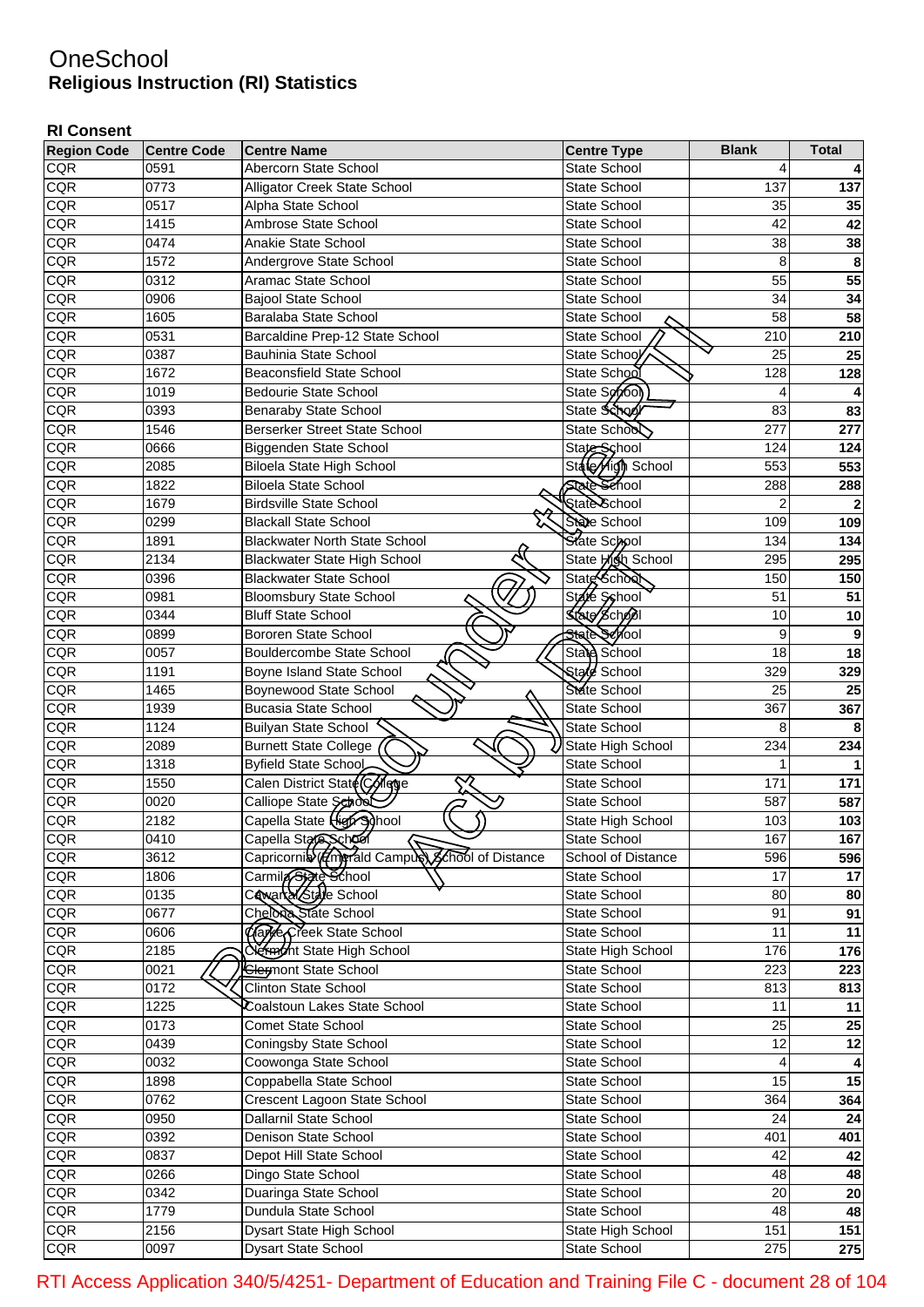## **OneSchool Religious Instruction (RI) Statistics**

## **RI Consent**

| <b>Region Code</b> | <b>Centre Code</b> | <b>Centre Name</b>                                          | <b>Centre Type</b>  | <b>Blank</b>            | <b>Total</b> |
|--------------------|--------------------|-------------------------------------------------------------|---------------------|-------------------------|--------------|
| <b>CQR</b>         | 0591               | Abercorn State School                                       | <b>State School</b> | 4                       |              |
| <b>CQR</b>         | 0773               | Alligator Creek State School                                | State School        | 137                     | 137          |
| CQR                | 0517               | Alpha State School                                          | <b>State School</b> | 35                      | 35           |
| CQR                | 1415               | Ambrose State School                                        | <b>State School</b> | 42                      | 42           |
| CQR                | 0474               | <b>Anakie State School</b>                                  | <b>State School</b> | 38                      | 38           |
| CQR                | 1572               | Andergrove State School                                     | <b>State School</b> | 8                       | 8            |
| CQR                | 0312               | Aramac State School                                         | <b>State School</b> | 55                      | 55           |
| CQR                | 0906               | <b>Bajool State School</b>                                  | <b>State School</b> | 34                      | 34           |
| CQR                | 1605               | Baralaba State School                                       | <b>State School</b> | 58                      | 58           |
| CQR                | 0531               | Barcaldine Prep-12 State School                             | State School        | 210                     | 210          |
| CQR                | 0387               | <b>Bauhinia State School</b>                                | State School        | 25                      | 25           |
| CQR                | 1672               | <b>Beaconsfield State School</b>                            | State School        | 128                     | 128          |
| CQR                | 1019               | Bedourie State School                                       | State School        | 4                       | 4            |
| CQR                | 0393               | Benaraby State School                                       | State School        | 83                      | 83           |
| CQR                | 1546               | <b>Berserker Street State School</b>                        | State School        | 277                     | 277          |
| CQR                | 0666               | Biggenden State School                                      | State School        | 124                     | 124          |
| CQR                | 2085               | <b>Biloela State High School</b>                            | State High School   | 553                     | 553          |
| CQR                | 1822               | <b>Biloela State School</b>                                 | <b>State Sehool</b> | 288                     | 288          |
| CQR                | 1679               | <b>Birdsville State School</b>                              | State School        | $\overline{\mathbf{c}}$ | $\mathbf{2}$ |
| CQR                | 0299               | <b>Blackall State School</b>                                | State School        | 109                     | 109          |
| CQR                | 1891               | <b>Blackwater North State School</b>                        | State School        | 134                     | 134          |
| CQR                | 2134               | <b>Blackwater State High School</b>                         | State Aigh School   | 295                     | 295          |
| CQR                | 0396               | Blackwater State School                                     | State School        | 150                     | 150          |
| CQR                | 0981               |                                                             | State School        | 51                      | 51           |
| CQR                | 0344               | <b>Bloomsbury State School</b><br><b>Bluff State School</b> | State School        | 10                      |              |
|                    |                    | <b>Bororen State School</b>                                 | State School        |                         | $10$         |
| CQR                | 0899               |                                                             |                     | 9<br>18                 | 9            |
| CQR                | 0057               | <b>Bouldercombe State School</b>                            | State School        |                         | 18           |
| CQR                | 1191               | Boyne Island State School                                   | Stale School        | 329                     | 329          |
| CQR                | 1465               | Boynewood State School                                      | State School        | 25                      | 25           |
| CQR                | 1939               | Bucasia State School                                        | State School        | 367                     | 367          |
| CQR                | 1124               | <b>Builyan State School</b>                                 | <b>State School</b> | 8                       | 8            |
| CQR                | 2089               | <b>Burnett State College</b>                                | State High School   | 234                     | 234          |
| CQR                | 1318               | Byfield State School                                        | State School        | 1                       |              |
| CQR                | 1550               | Calen District State Colege<br>$\propto$                    | State School        | 171                     | 171          |
| CQR                | 0020               | っ<br>Calliope State SehosÓ                                  | State School        | 587                     | 587          |
| <b>CQR</b>         | 2182               | Capella State High School                                   | State High School   | 103                     | 103          |
| <b>CQR</b>         | 0410               | Capella State Scheel                                        | State School        | 1671                    | 167          |
| <b>CQR</b>         | 3612               | Capricornib (Em) Tald Campus Conool of Distance             | School of Distance  | 596                     | 596          |
| <b>CQR</b>         | 1806               | Carmila State School                                        | State School        | 17                      | 17           |
| <b>CQR</b>         | 0135               | Cawarka/State School                                        | State School        | 80                      | 80           |
| <b>CQR</b>         | 0677               | Chelona State School                                        | State School        | 91                      | 91           |
| <b>CQR</b>         | 0606               | Clare Creek State School                                    | State School        | 11                      | 11           |
| <b>CQR</b>         | 2185               | <b>Network</b> State High School                            | State High School   | 176                     | 176          |
| CQR                | 0021               | <b>Clermont State School</b>                                | State School        | 223                     | 223          |
| CQR                | 0172               | <b>Clinton State School</b>                                 | State School        | 813                     | 813          |
| CQR                | 1225               | Coalstoun Lakes State School                                | State School        | 11                      | 11           |
| CQR                | 0173               | <b>Comet State School</b>                                   | State School        | 25                      | 25           |
| CQR                | 0439               | Coningsby State School                                      | State School        | 12                      | 12           |
| CQR                | 0032               | Coowonga State School                                       | State School        | 4                       | 4            |
| CQR                | 1898               | Coppabella State School                                     | State School        | 15                      | 15           |
| CQR                | 0762               | Crescent Lagoon State School                                | State School        | 364                     | 364          |
| CQR                | 0950               | Dallarnil State School                                      | State School        | 24                      | 24           |
| CQR                | 0392               | Denison State School                                        | State School        | 401                     | 401          |
| CQR                | 0837               | Depot Hill State School                                     | State School        | 42                      | 42           |
| CQR                | 0266               | Dingo State School                                          | State School        | 48                      | 48           |
| <b>CQR</b>         | 0342               | Duaringa State School                                       | State School        | 20                      | 20           |
| <b>CQR</b>         | 1779               | Dundula State School                                        | State School        | 48                      | 48           |
| CQR                | $\overline{2156}$  | Dysart State High School                                    | State High School   | 151                     | 151          |
| CQR                | 0097               | Dysart State School                                         | State School        | 275                     | 275          |

RTI Access Application 340/5/4251- Department of Education and Training File C - document 28 of 104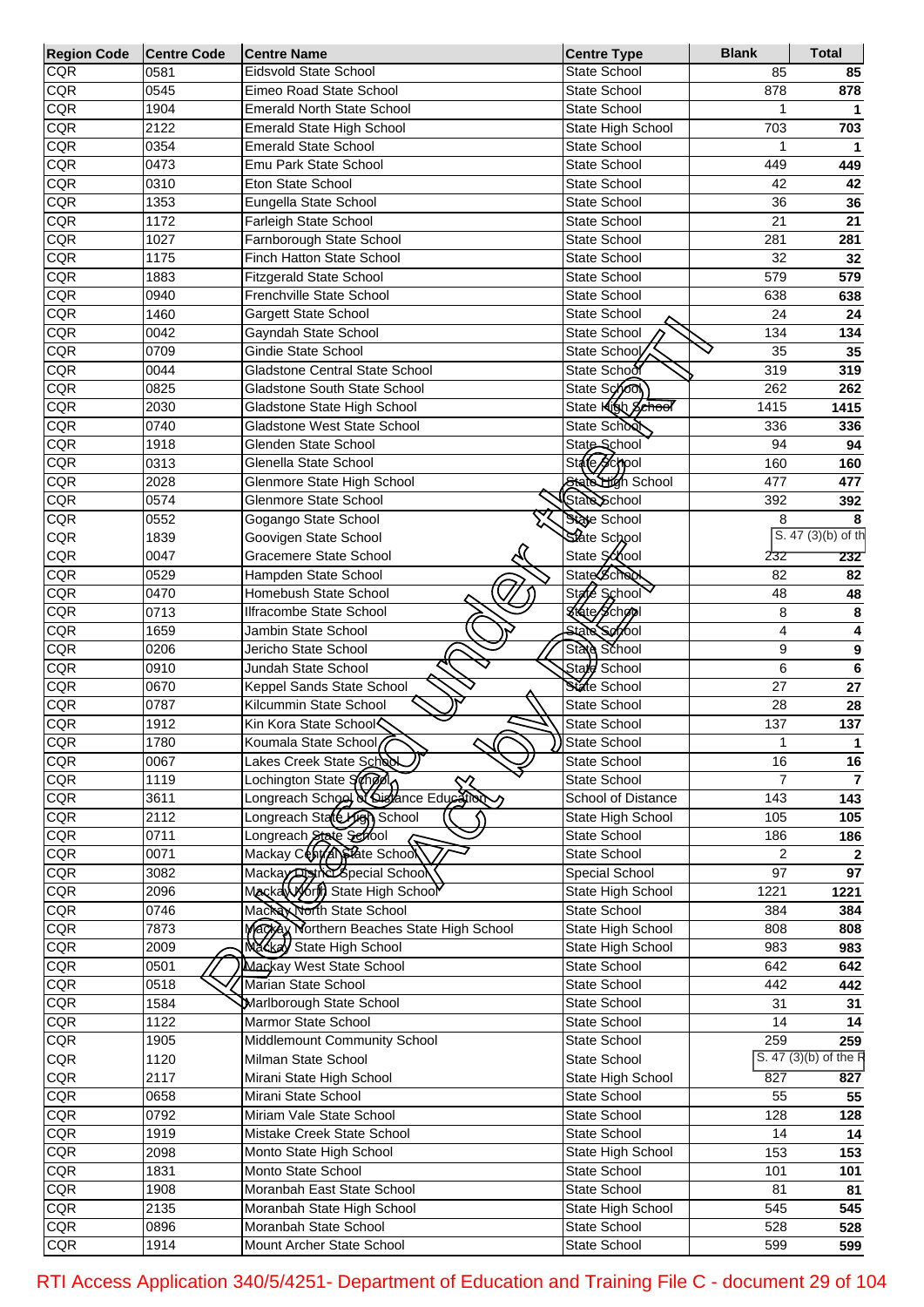| <b>Region Code</b> | <b>Centre Code</b> | <b>Centre Name</b>                               | <b>Centre Type</b>           | <b>Blank</b>    | <b>Total</b>          |
|--------------------|--------------------|--------------------------------------------------|------------------------------|-----------------|-----------------------|
| CQR                | 0581               | Eidsvold State School                            | <b>State School</b>          | 85              | 85                    |
| CQR                | 0545               | Eimeo Road State School                          | State School                 | 878             | 878                   |
| CQR                | 1904               | <b>Emerald North State School</b>                | State School                 |                 |                       |
| CQR                | 2122               | Emerald State High School                        | State High School            | 703             | 703                   |
| CQR                | 0354               | <b>Emerald State School</b>                      | State School                 |                 | 1                     |
| CQR                | 0473               | Emu Park State School                            | State School                 | 449             | 449                   |
| CQR                | 0310               | Eton State School                                | State School                 | 42              | 42                    |
| CQR                | 1353               | Eungella State School                            | <b>State School</b>          | 36              | 36                    |
| CQR                | 1172               | Farleigh State School                            | State School                 | 21              | 21                    |
| CQR                | 1027               | Farnborough State School                         | State School                 | 281             | 281                   |
| CQR                | 1175               | Finch Hatton State School                        | <b>State School</b>          | 32              | 32                    |
| CQR                | 1883               | <b>Fitzgerald State School</b>                   | State School                 | 579             | 579                   |
| CQR                | 0940               | Frenchville State School                         | State School                 | 638             | 638                   |
| CQR                | 1460               | Gargett State School                             | State School                 | 24              | 24                    |
| CQR                | 0042               | Gayndah State School                             | State School                 | 134             | 134                   |
| CQR                | 0709               | Gindie State School                              | State School                 | 35              | 35                    |
| CQR                | 0044               | Gladstone Central State School                   | State School                 | 319             | 319                   |
| CQR                | 0825               | Gladstone South State School                     | State School                 | 262             | 262                   |
| CQR                | 2030               | Gladstone State High School                      | State <b>Klob</b> School     | 1415            | 1415                  |
| CQR                | 0740               | Gladstone West State School                      | State School                 | 336             | 336                   |
| CQR                | 1918               | Glenden State School                             | State School                 | 94              | 94                    |
| CQR                | 0313               | Glenella State School                            | State School                 | 160             | 160                   |
| CQR                | 2028               | Glenmore State High School                       | State High School            | 477             | 477                   |
| CQR                | 0574               | Glenmore State School                            | State School                 | 392             | 392                   |
| CQR                | 0552               | Gogango State School                             | State School                 | 8               | 8                     |
| CQR                | 1839               | Goovigen State School                            | State School                 |                 | $S. 47(3)(b)$ of th   |
| <b>CQR</b>         | 0047               | Gracemere State School                           | State School                 | 232             | 232                   |
| CQR                | 0529               | Hampden State School                             | State School                 | 82              | 82                    |
| CQR                | 0470               | Homebush State School                            | State School                 | 48              | 48                    |
| CQR                | 0713               | Ilfracombe State School                          | Kisto School                 | 8               | 8                     |
| CQR                | 1659               | Jambin State School                              | State Servol                 | 4               | 4                     |
| CQR                | 0206               | Jericho State School                             | State School                 | 9               | 9                     |
| CQR                | 0910               | Jundah State School                              | Stard School                 | 6               | $\bf 6$               |
| CQR                | 0670               | Keppel Sands State School                        | State School                 | 27              | 27                    |
| CQR                | 0787               | Kilcummin State School                           | <b>State School</b>          | 28              | 28                    |
| CQR<br>CQR         | 1912               | Kin Kora State School <                          | <b>State School</b>          | 137             | 137                   |
|                    | 1780               | Koumala State School<br>Lakes Creek State School | State School                 | 1               |                       |
| CQR<br>CQR         | 0067<br>1119       | Lochington State Sanger                          | State School<br>State School | 16<br>7         | 16<br>$\overline{7}$  |
| CQR                | 3611               | Lochington State School Communication Locality   | School of Distance           | 143             |                       |
| CQR                | 2112               | Longreach State High School                      | State High School            | 105             | 143                   |
| CQR                | 0711               | Longreach State School                           | State School                 | 186             | 105<br>186            |
| CQR                | 0071               | Mackay Central State School                      | State School                 | $\overline{2}$  | $\mathbf{2}$          |
| CQR                | 3082               | Mackay District Special School                   | Special School               | $\overline{97}$ | $\overline{97}$       |
| CQR                | 2096               | MackaWorld State High School                     | State High School            | 1221            | 1221                  |
| CQR                | 0746               | Mackey North State School                        | State School                 | 384             | 384                   |
| CQR                | 7873               | Mackey Northern Beaches State High School        | <b>State High School</b>     | 808             | 808                   |
| CQR                | 2009               | Mackey State High School                         | State High School            | 983             | 983                   |
| CQR                | 0501               | Mackay West State School                         | State School                 | 642             | 642                   |
| CQR                | 0518               | Marian State School                              | State School                 | 442             | 442                   |
| CQR                | 1584               | Marlborough State School                         | State School                 | 31              | 31                    |
| CQR                | $\frac{1}{1122}$   | Marmor State School                              | State School                 | 14              | 14                    |
| CQR                | 1905               | Middlemount Community School                     | State School                 | 259             | 259                   |
| CQR                | 1120               | Milman State School                              | State School                 |                 | S. 47 (3)(b) of the R |
| CQR                | 2117               | Mirani State High School                         | State High School            | 827             | 827                   |
| CQR                | 0658               | Mirani State School                              | State School                 | 55              | 55                    |
| CQR                | 0792               | Miriam Vale State School                         | State School                 | 128             | 128                   |
| CQR                | 1919               | Mistake Creek State School                       | State School                 | 14              | 14                    |
| CQR                | 2098               | Monto State High School                          | State High School            | 153             | 153                   |
| CQR                | 1831               | Monto State School                               | State School                 | 101             | 101                   |
| CQR                | 1908               | Moranbah East State School                       | State School                 | 81              | 81                    |
| CQR                | 2135               | Moranbah State High School                       | State High School            | 545             | 545                   |
| <b>CQR</b>         | 0896               | Moranbah State School                            | State School                 | 528             | 528                   |
| CQR                |                    | Mount Archer State School                        | State School                 | 599             | 599                   |
|                    | 1914               |                                                  |                              |                 |                       |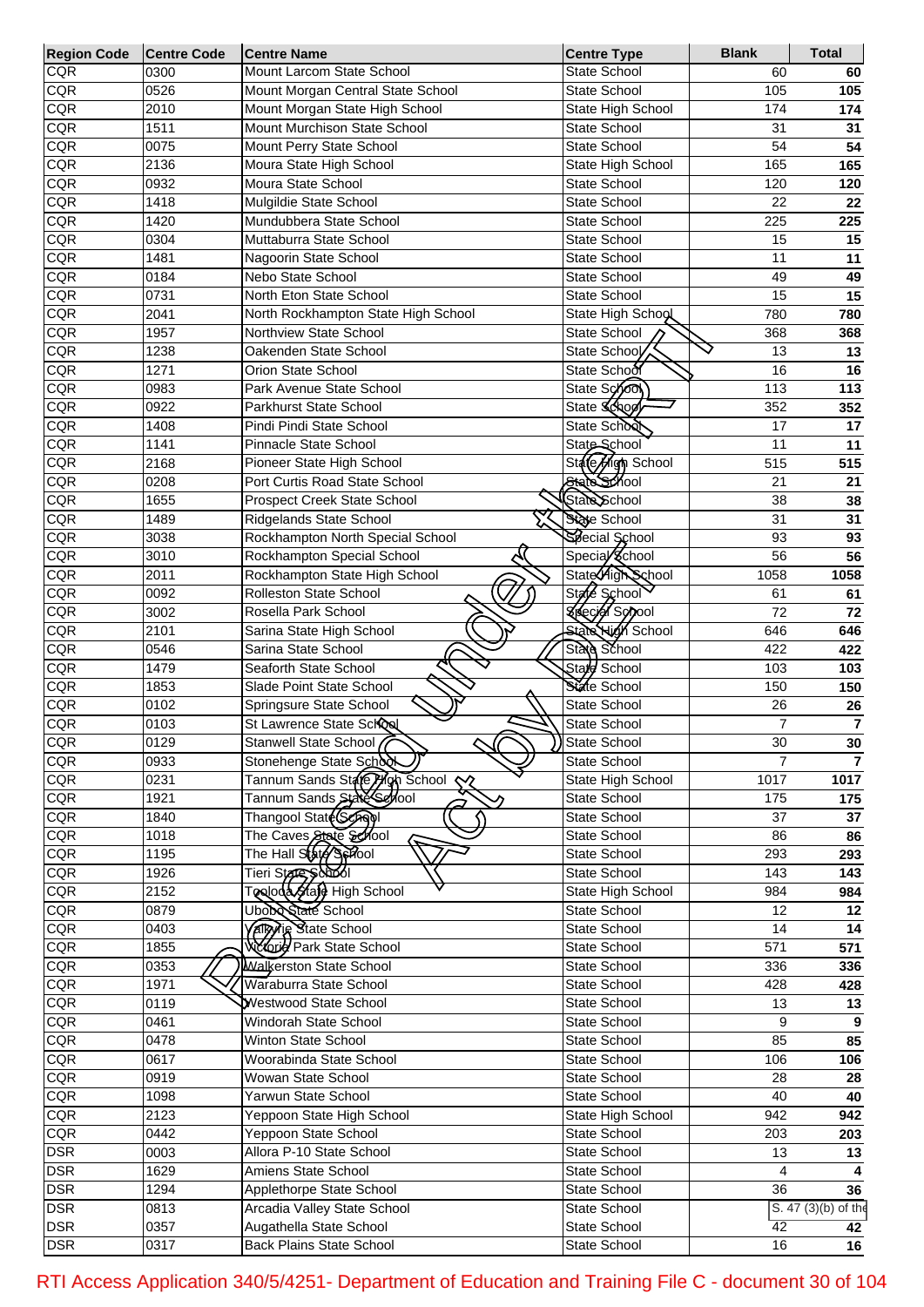| <b>Region Code</b> | <b>Centre Code</b> | <b>Centre Name</b>                                    | <b>Centre Type</b>       | <b>Blank</b>   | <b>Total</b>        |
|--------------------|--------------------|-------------------------------------------------------|--------------------------|----------------|---------------------|
| CQR                | 0300               | Mount Larcom State School                             | State School             | 60             | 60                  |
| CQR                | 0526               | Mount Morgan Central State School                     | <b>State School</b>      | 105            | 105                 |
| CQR                | 2010               | Mount Morgan State High School                        | State High School        | 174            | 174                 |
| CQR                | 1511               | Mount Murchison State School                          | <b>State School</b>      | 31             | 31                  |
| CQR                | 0075               | Mount Perry State School                              | <b>State School</b>      | 54             | 54                  |
| <b>CQR</b>         | 2136               | Moura State High School                               | State High School        | 165            | 165                 |
| CQR                | 0932               | Moura State School                                    | <b>State School</b>      | 120            | 120                 |
| CQR                | 1418               | Mulgildie State School                                | <b>State School</b>      | 22             | 22                  |
| CQR                | 1420               | Mundubbera State School                               | <b>State School</b>      | 225            | 225                 |
| CQR                | 0304               | Muttaburra State School                               | <b>State School</b>      | 15             | 15                  |
| <b>CQR</b>         | 1481               | Nagoorin State School                                 | <b>State School</b>      | 11             | 11                  |
| CQR                | 0184               | Nebo State School                                     | <b>State School</b>      | 49             | 49                  |
| CQR                | 0731               | North Eton State School                               | <b>State School</b>      | 15             | 15                  |
| CQR                | 2041               | North Rockhampton State High School                   | State High School        | 780            | 780                 |
| CQR                | 1957               | Northview State School                                | State School             | 368            | 368                 |
| CQR                | 1238               | Oakenden State School                                 | State School             | 13             | 13                  |
| CQR                | 1271               | Orion State School                                    | State School             | 16             | 16                  |
| <b>CQR</b>         | 0983               | Park Avenue State School                              | State School             | 113            | 113                 |
| CQR                | 0922               | <b>Parkhurst State School</b>                         | State School             | 352            | 352                 |
| <b>CQR</b>         | 1408               | Pindi Pindi State School                              | State School             | 17             | 17                  |
| <b>CQR</b>         | 1141               | Pinnacle State School                                 | State School             | 11             | 11                  |
| CQR                | 2168               | Pioneer State High School                             | State High School        | 515            | 515                 |
| CQR                | 0208               | Port Curtis Road State School                         | State School             | 21             | 21                  |
| CQR                | 1655               | <b>Prospect Creek State School</b>                    | State School             | 38             | 38                  |
| CQR                | 1489               | Ridgelands State School                               | State School             | 31             | 31                  |
| CQR                | 3038               | Rockhampton North Special School                      | Special School           | 93             | 93                  |
| CQR                | 3010               | Rockhampton Special School                            | Special School           | 56             | 56                  |
| CQR                | 2011               | Rockhampton State High School                         | State High School        | 1058           | 1058                |
| CQR                | 0092               | Rolleston State School                                | State School             | 61             | 61                  |
| CQR                | 3002               | Rosella Park School                                   | <b>Special School</b>    | 72             | 72                  |
| CQR                | 2101               | Sarina State High School                              | <b>State High School</b> | 646            | 646                 |
| <b>CQR</b>         | 0546               | Sarina State School                                   | State School             | 422            | 422                 |
| <b>CQR</b>         | 1479               | Seaforth State School                                 | Stale School             | 103            | 103                 |
| CQR                | 1853               | Slade Point State School                              | State School             | 150            | 150                 |
| CQR                | 0102               | Springsure State School                               | State School             | 26             | 26                  |
| CQR                | 0103               | St Lawrence State School                              | State School             | 7              | $\overline{7}$      |
| <b>CQR</b>         | 0129               | Stanwell State School                                 | State School             | 30             | 30                  |
| CQR                | 0933               | ע<br>Stonehenge State School                          | State School             | $\overline{7}$ | $\overline{7}$      |
| CQR                | 0231               | Tannum Sands State Plan School<br>$\boldsymbol{\sim}$ | State High School        | 1017           | 1017                |
| <b>CQR</b>         | 1921               | Tannum Sands State Section                            | State School             | 175            | 175                 |
| CQR                | 1840               | Thangool State (School                                | State School             | 37             | 37                  |
| CQR                | 1018               | The Caves State 801001                                | State School             | 86             | 86                  |
| CQR                | 1195               | The Hall State Sphool                                 | <b>State School</b>      | 293            | 293                 |
| CQR                | 1926               | Tieri State Şobol                                     | State School             | 143            | 143                 |
| CQR                | 2152               | Tooloda Stafe High School                             | State High School        | 984            | 984                 |
| CQR                | 0879               | Ubobe State School                                    | State School             | 12             | 12                  |
| CQR                | 0403               | <b>Valley Re State School</b>                         | State School             | 14             | 14                  |
| <b>CQR</b>         | 1855               | <b>Webuild Park State School</b>                      | State School             | 571            | 571                 |
|                    | 0353               | Walkerston State School                               | State School             |                |                     |
| CQR                |                    | Waraburra State School                                |                          | 336            | 336                 |
| <b>CQR</b>         | 1971               | Westwood State School                                 | State School             | 428            | 428                 |
| <b>CQR</b>         | 0119               |                                                       | State School             | 13             | 13                  |
| CQR                | 0461               | Windorah State School                                 | State School             | 9              | 9                   |
| <b>CQR</b>         | 0478               | Winton State School                                   | State School             | 85             | 85                  |
| CQR                | 0617               | Woorabinda State School                               | State School             | 106            | 106                 |
| CQR                | 0919               | Wowan State School                                    | State School             | 28             | 28                  |
| CQR                | 1098               | Yarwun State School                                   | State School             | 40             | 40                  |
| <b>CQR</b>         | 2123               | Yeppoon State High School                             | State High School        | 942            | 942                 |
| <b>CQR</b>         | 0442               | Yeppoon State School                                  | State School             | 203            | 203                 |
| <b>DSR</b>         | 0003               | Allora P-10 State School                              | State School             | 13             | 13                  |
| <b>DSR</b>         | 1629               | Amiens State School                                   | State School             | 4              |                     |
| <b>DSR</b>         | 1294               | Applethorpe State School                              | State School             | 36             | 36                  |
| <b>DSR</b>         | 0813               | Arcadia Valley State School                           | State School             |                | S. 47 (3)(b) of the |
| <b>DSR</b>         | 0357               | Augathella State School                               | State School             | 42             | 42                  |
| <b>DSR</b>         | 0317               | <b>Back Plains State School</b>                       | State School             | 16             | $\overline{16}$     |

RTI Access Application 340/5/4251- Department of Education and Training File C - document 30 of 104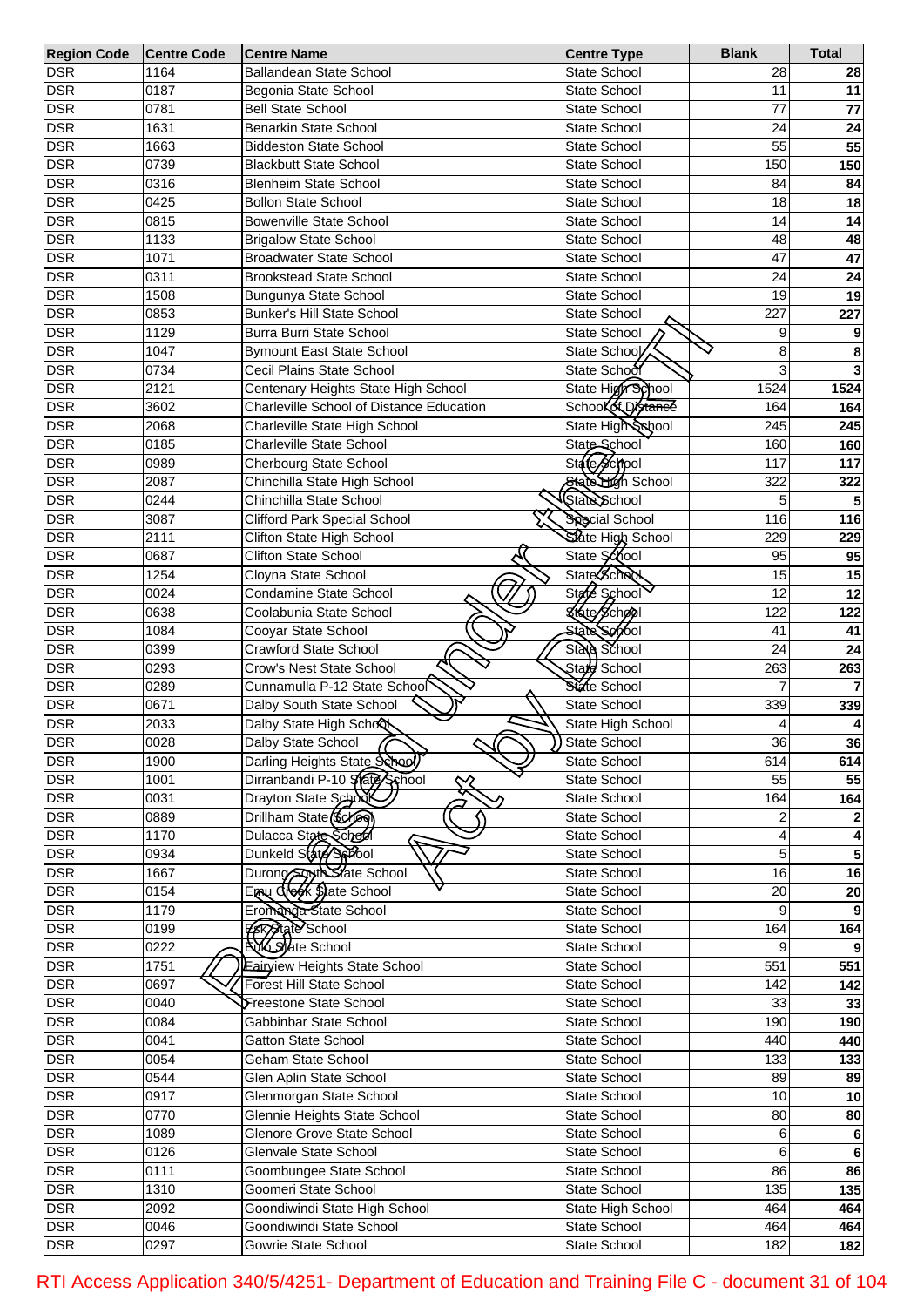| <b>Region Code</b> | <b>Centre Code</b> | <b>Centre Name</b>                       | <b>Centre Type</b>    | <b>Blank</b> | <b>Total</b>    |
|--------------------|--------------------|------------------------------------------|-----------------------|--------------|-----------------|
| <b>DSR</b>         | 1164               | Ballandean State School                  | <b>State School</b>   | 28           | 28              |
| <b>DSR</b>         | 0187               | Begonia State School                     | State School          | 11           | 11              |
| <b>DSR</b>         | 0781               | <b>Bell State School</b>                 | State School          | 77           | $\overline{77}$ |
| <b>DSR</b>         | 1631               | <b>Benarkin State School</b>             | <b>State School</b>   | 24           | 24              |
| <b>DSR</b>         | 1663               | <b>Biddeston State School</b>            | State School          | 55           | 55              |
| <b>DSR</b>         | 0739               | <b>Blackbutt State School</b>            | State School          | 150          | 150             |
| <b>DSR</b>         | 0316               | <b>Blenheim State School</b>             | State School          | 84           | 84              |
| <b>DSR</b>         | 0425               | <b>Bollon State School</b>               | State School          | 18           | 18              |
| <b>DSR</b>         | 0815               | <b>Bowenville State School</b>           | State School          | 14           | 14              |
| <b>DSR</b>         | 1133               | <b>Brigalow State School</b>             | State School          | 48           | 48              |
| <b>DSR</b>         | 1071               | <b>Broadwater State School</b>           | State School          | 47           | $\overline{47}$ |
| <b>DSR</b>         | 0311               | <b>Brookstead State School</b>           | State School          | 24           | 24              |
| <b>DSR</b>         | 1508               | Bungunya State School                    | State School          | 19           | 19              |
| <b>DSR</b>         | 0853               | <b>Bunker's Hill State School</b>        | <b>State School</b>   | 227          | 227             |
| <b>DSR</b>         | 1129               | Burra Burri State School                 | State School          | 9            | 9               |
| <b>DSR</b>         | 1047               | <b>Bymount East State School</b>         | State School          | 8            | 8               |
| <b>DSR</b>         | 0734               | Cecil Plains State School                | State School          | 3            | 3               |
| <b>DSR</b>         | 2121               | Centenary Heights State High School      | State High School     | 1524         | 1524            |
| <b>DSR</b>         | 3602               | Charleville School of Distance Education | School of Distance    | 164          |                 |
|                    |                    |                                          | State High School     |              | 164             |
| <b>DSR</b>         | 2068               | Charleville State High School            |                       | 245          | 245             |
| <b>DSR</b>         | 0185               | <b>Charleville State School</b>          | State School          | 160          | 160             |
| <b>DSR</b>         | 0989               | Cherbourg State School                   | State Sconool         | 117          | 117             |
| <b>DSR</b>         | 2087               | Chinchilla State High School             | State High School     | 322          | 322             |
| <b>DSR</b>         | 0244               | Chinchilla State School                  | State School          | 5            | 5               |
| <b>DSR</b>         | 3087               | <b>Clifford Park Special School</b>      | <b>Special School</b> | 116          | 116             |
| <b>DSR</b>         | 2111               | Clifton State High School                | State High School     | 229          | 229             |
| <b>DSR</b>         | 0687               | <b>Clifton State School</b>              | State School          | 95           | 95              |
| <b>DSR</b>         | 1254               | Cloyna State School                      | State Scheck          | 15           | 15              |
| <b>DSR</b>         | 0024               | Condamine State School                   | State School          | 12           | 12              |
| <b>DSR</b>         | 0638               | Coolabunia State School                  | State School          | 122          | 122             |
| <b>DSR</b>         | 1084               | Cooyar State School                      | State School          | 41           | 41              |
| <b>DSR</b>         | 0399               | <b>Crawford State School</b>             | State School          | 24           | 24              |
| <b>DSR</b>         | 0293               | Crow's Nest State School                 | State School          | 263          | 263             |
| <b>DSR</b>         | 0289               | Cunnamulla P-12 State School             | State School          | 7            | $\overline{7}$  |
| <b>DSR</b>         | 0671               | Dalby South State School                 | <b>State School</b>   | 339          | 339             |
| <b>DSR</b>         | 2033               | Dalby State High Schoo                   | State High School     | 4            |                 |
| <b>DSR</b>         | 0028               | Dalby State School                       | State School          | 36           | 36              |
| <b>DSR</b>         | 1900               | Darling Heights State School             | State School          | 614          | 614             |
| <b>DSR</b>         | 1001               | Dirranbandi P-10 State School<br>⇖       | <b>State School</b>   | 55           | 55              |
| <b>DSR</b>         | 0031               | Drayton State School                     | State School          | 164          | 164             |
| DSR                | 0889               | Drillham State (School                   | State School          | 2            | $\mathbf{2}$    |
| <b>DSR</b>         | 1170               | Dulacca State School                     | State School          | 4            | 4               |
| DSR                | 0934               | Ļ<br>Dunkeld State/Sprool                | State School          | 5            | 5               |
| <b>DSR</b>         | 1667               | Durong State School                      | State School          | 16           | $\overline{16}$ |
| DSR                | 0154               | Egny Crook State School                  | State School          | 20           | 20              |
| <b>DSR</b>         | 1179               | Eromanga State School                    | State School          | 9            | قا              |
| DSR                | 0199               | <b>F&amp;RState School</b>               | <b>State School</b>   | 164          | 164             |
| <b>DSR</b>         | 0222               | EVIC State School                        | State School          | 9            | 9               |
| DSR                | 1751               | <b>Eairyiew Heights State School</b>     | State School          | 551          | 551             |
| <b>DSR</b>         | 0697               | Forest Hill State School                 | State School          | 142          |                 |
| DSR                |                    |                                          |                       |              | 142             |
|                    | 0040               | Freestone State School                   | State School          | 33           | 33              |
| <b>DSR</b>         | 0084               | Gabbinbar State School                   | State School          | 190          | 190             |
| <b>DSR</b>         | 0041               | Gatton State School                      | State School          | 440          | 440             |
| <b>DSR</b>         | 0054               | Geham State School                       | State School          | 133          | 133             |
| <b>DSR</b>         | 0544               | Glen Aplin State School                  | State School          | 89           | 89              |
| DSR                | 0917               | Glenmorgan State School                  | State School          | 10           | 10              |
| <b>DSR</b>         | 0770               | Glennie Heights State School             | State School          | 80           | 80              |
| DSR                | 1089               | Glenore Grove State School               | State School          | 6            | 6               |
| <b>DSR</b>         | 0126               | Glenvale State School                    | State School          | 6            | $\bf 6$         |
| DSR                | 0111               | Goombungee State School                  | State School          | 86           | 86              |
| <b>DSR</b>         | 1310               | Goomeri State School                     | State School          | 135          | $135$           |
| DSR                | 2092               | Goondiwindi State High School            | State High School     | 464          | 464             |
| <b>DSR</b>         | 0046               | Goondiwindi State School                 | State School          | 464          | 464             |
| <b>DSR</b>         | 0297               | Gowrie State School                      | <b>State School</b>   | 182          | 182             |
|                    |                    |                                          |                       |              |                 |

RTI Access Application 340/5/4251- Department of Education and Training File C - document 31 of 104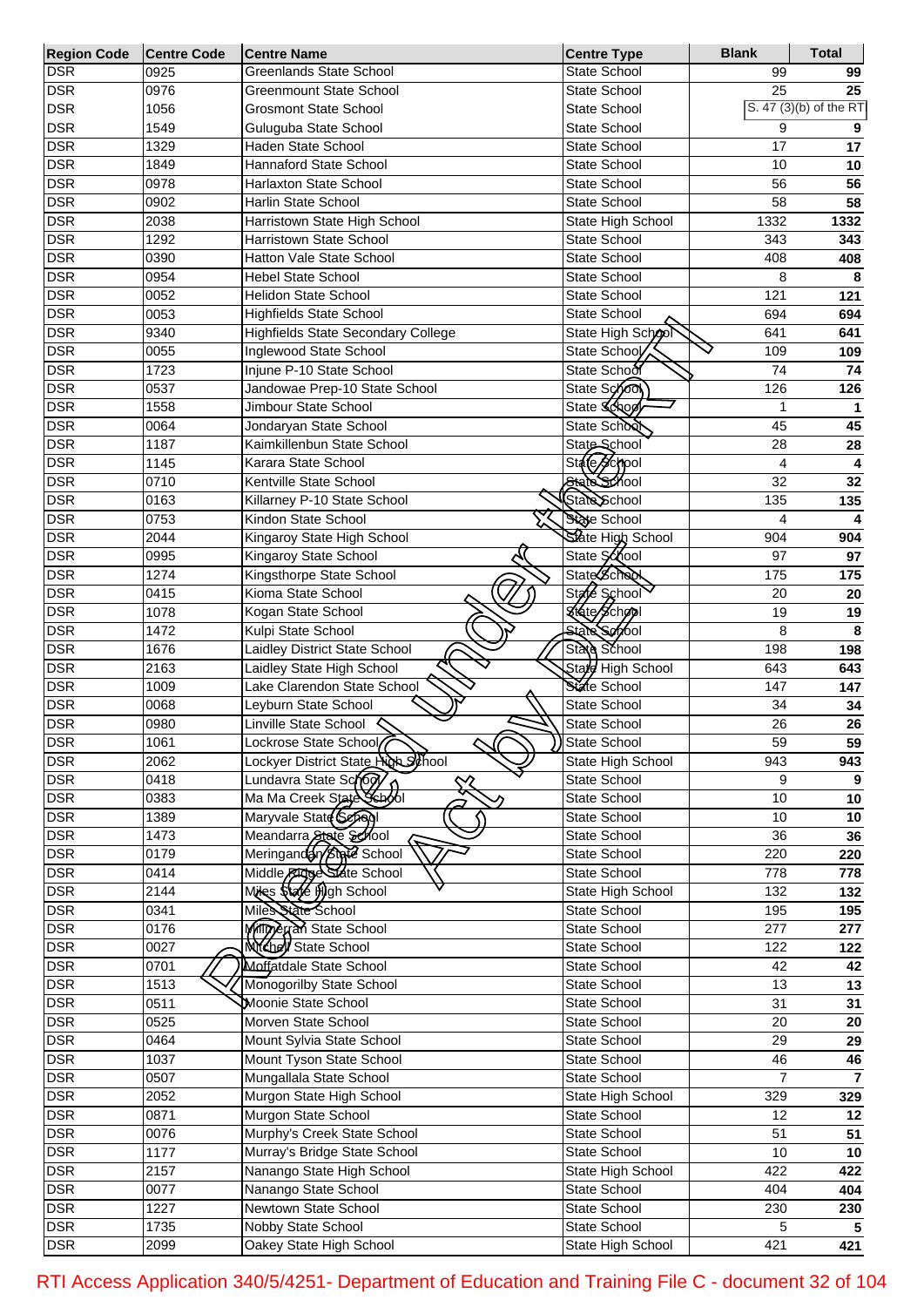| Region Code Centre Code |      | <b>Centre Name</b>                          | <b>Centre Type</b>  | <b>Blank</b>            | <b>Total</b>           |
|-------------------------|------|---------------------------------------------|---------------------|-------------------------|------------------------|
| <b>DSR</b>              | 0925 | <b>Greenlands State School</b>              | State School        | 99                      | 99                     |
| <b>DSR</b>              | 0976 | <b>Greenmount State School</b>              | State School        | 25                      | 25                     |
| <b>DSR</b>              | 1056 | <b>Grosmont State School</b>                | State School        |                         | S. 47 (3)(b) of the RT |
| <b>DSR</b>              | 1549 | Guluguba State School                       | State School        | 9                       | 9                      |
| <b>DSR</b>              | 1329 | <b>Haden State School</b>                   | State School        | 17                      | 17                     |
| <b>DSR</b>              | 1849 | Hannaford State School                      | State School        | 10                      | 10                     |
| <b>DSR</b>              | 0978 | Harlaxton State School                      | State School        | 56                      | 56                     |
| <b>DSR</b>              | 0902 | <b>Harlin State School</b>                  | State School        | 58                      | 58                     |
| <b>DSR</b>              | 2038 | Harristown State High School                | State High School   | 1332                    | 1332                   |
| <b>DSR</b>              | 1292 | Harristown State School                     | State School        | 343                     | 343                    |
| <b>DSR</b>              | 0390 | Hatton Vale State School                    | State School        | 408                     | 408                    |
| <b>DSR</b>              | 0954 | <b>Hebel State School</b>                   | State School        | 8                       | 8                      |
| <b>DSR</b>              | 0052 | <b>Helidon State School</b>                 | State School        | 121                     | 121                    |
| <b>DSR</b>              | 0053 | <b>Highfields State School</b>              | State School        | 694                     | 694                    |
| <b>DSR</b>              | 9340 | Highfields State Secondary College          | State High School   | 641                     | 641                    |
| <b>DSR</b>              | 0055 | Inglewood State School                      | State School        | 109                     | 109                    |
| <b>DSR</b>              | 1723 | Injune P-10 State School                    | State School        | 74                      | 74                     |
| <b>DSR</b>              | 0537 | Jandowae Prep-10 State School               | State School        | 126                     | 126                    |
| <b>DSR</b>              | 1558 | Jimbour State School                        | State Scho          | $\overline{\mathbf{1}}$ | $\mathbf{1}$           |
| <b>DSR</b>              | 0064 |                                             | State School        | 45                      |                        |
| <b>DSR</b>              |      | Jondaryan State School                      | State School        |                         | 45                     |
|                         | 1187 | Kaimkillenbun State School                  |                     | 28                      | 28                     |
| <b>DSR</b>              | 1145 | Karara State School                         | State School        | 4                       | 4                      |
| <b>DSR</b>              | 0710 | Kentville State School                      | State School        | 32                      | 32                     |
| <b>DSR</b>              | 0163 | Killarney P-10 State School                 | State School        | 135                     | 135                    |
| <b>DSR</b>              | 0753 | Kindon State School                         | State School        | 4                       | 4                      |
| <b>DSR</b>              | 2044 | Kingaroy State High School                  | State High School   | 904                     | 904                    |
| <b>DSR</b>              | 0995 | Kingaroy State School                       | State School        | 97                      | 97                     |
| <b>DSR</b>              | 1274 | Kingsthorpe State School                    | <b>State School</b> | 175                     | 175                    |
| <b>DSR</b>              | 0415 | Kioma State School                          | State School        | 20                      | 20                     |
| <b>DSR</b>              | 1078 | Kogan State School                          | Krate School        | 19                      | 19                     |
| <b>DSR</b>              | 1472 | Kulpi State School                          | <b>State Servol</b> | 8                       | 8                      |
| <b>DSR</b>              | 1676 | Laidley District State School               | State School        | 198                     | 198                    |
| <b>DSR</b>              | 2163 | Laidley State High School                   | State High School   | 643                     | 643                    |
| <b>DSR</b>              | 1009 | Lake Clarendon State School                 | State School        | 147                     | 147                    |
| <b>DSR</b>              | 0068 | Leyburn State School                        | State School        | 34                      | 34                     |
| <b>DSR</b>              | 0980 | Linville State School                       | State School        | 26                      | 26                     |
| <b>DSR</b>              | 1061 | Lockrose State School                       | State School        | 59                      | 59                     |
| <b>DSR</b>              | 2062 | Lockyer District State High School          | State High School   | 943                     | 943                    |
| <b>DSR</b>              | 0418 | Lundavra State School<br>$\rightsquigarrow$ | State School        | 9                       | 9                      |
| <b>DSR</b>              | 0383 | Ma Ma Creek State School                    | State School        | 10                      | 10                     |
| <b>DSR</b>              | 1389 | Maryvale State Sepaql                       | State School        | 10                      | 10                     |
| <b>DSR</b>              | 1473 | Meandarra State School                      | <b>State School</b> | 36                      | 36                     |
| <b>DSR</b>              | 0179 | Meringandar/state School                    | State School        | 220                     | 220                    |
| <b>DSR</b>              | 0414 | Middle Ridge State School                   | State School        | 778                     | 778                    |
| <b>DSR</b>              | 2144 | Miles Stafe High School                     | State High School   | 132                     | 132                    |
| <b>DSR</b>              | 0341 | Miles State School                          | State School        | 195                     | 195                    |
| <b>DSR</b>              | 0176 | Milling Award State School                  | State School        | 277                     | 277                    |
| <b>DSR</b>              | 0027 | <b>NYChell</b> State School                 | State School        | 122                     | 122                    |
| <b>DSR</b>              | 0701 | Moffatdale State School                     | State School        | 42                      | 42                     |
| <b>DSR</b>              | 1513 | Monogorilby State School                    | State School        | 13                      | 13                     |
| <b>DSR</b>              | 0511 | Moonie State School                         | State School        | 31                      | 31                     |
| <b>DSR</b>              | 0525 | Morven State School                         | State School        | 20                      |                        |
| <b>DSR</b>              | 0464 | Mount Sylvia State School                   | State School        | 29                      | 20<br>29               |
| <b>DSR</b>              | 1037 | Mount Tyson State School                    | State School        | 46                      |                        |
|                         |      | Mungallala State School                     |                     |                         | 46<br>$\overline{7}$   |
| <b>DSR</b>              | 0507 |                                             | State School        | $\overline{7}$          |                        |
| <b>DSR</b>              | 2052 | Murgon State High School                    | State High School   | 329                     | 329                    |
| <b>DSR</b>              | 0871 | Murgon State School                         | State School        | 12                      | 12                     |
| <b>DSR</b>              | 0076 | Murphy's Creek State School                 | State School        | 51                      | 51                     |
| <b>DSR</b>              | 1177 | Murray's Bridge State School                | State School        | 10                      | 10                     |
| <b>DSR</b>              | 2157 | Nanango State High School                   | State High School   | 422                     | 422                    |
| <b>DSR</b>              | 0077 | Nanango State School                        | State School        | 404                     | 404                    |
| <b>DSR</b>              | 1227 | Newtown State School                        | State School        | 230                     | 230                    |
| <b>DSR</b>              | 1735 | Nobby State School                          | State School        | 5                       | 5                      |
| <b>DSR</b>              | 2099 | Oakey State High School                     | State High School   | 421                     | 421                    |

RTI Access Application 340/5/4251- Department of Education and Training File C - document 32 of 104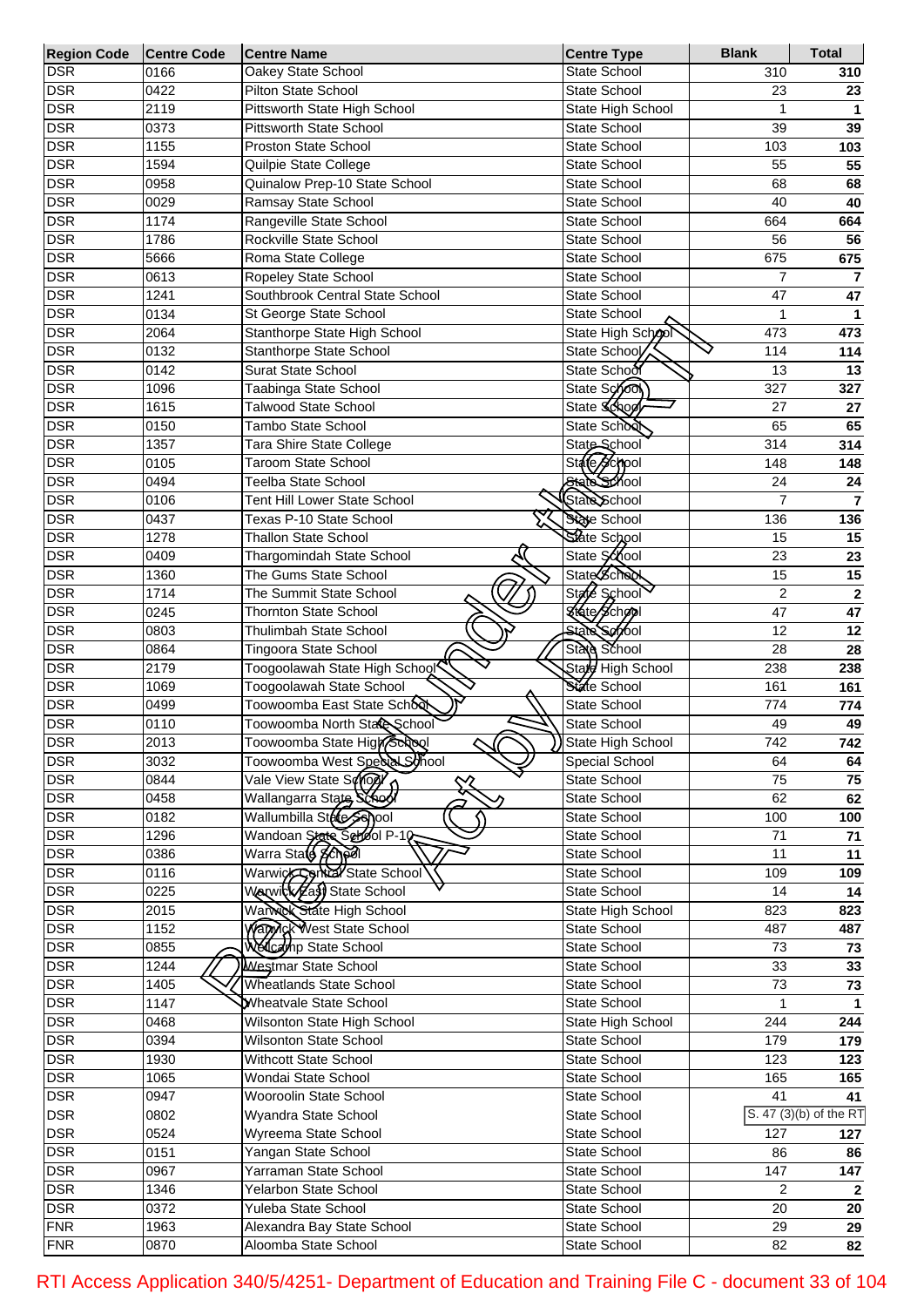| <b>Region Code</b>       | <b>Centre Code</b> | <b>Centre Name</b>                                           | <b>Centre Type</b>                  | <b>Blank</b>       | <b>Total</b>            |
|--------------------------|--------------------|--------------------------------------------------------------|-------------------------------------|--------------------|-------------------------|
| <b>DSR</b>               | 0166               | Oakey State School                                           | State School                        | 310                | 310                     |
| <b>DSR</b>               | 0422               | <b>Pilton State School</b>                                   | State School                        | 23                 | 23                      |
| <b>DSR</b>               | 2119               | Pittsworth State High School                                 | State High School                   | $\mathbf{1}$       | 1                       |
| <b>DSR</b>               | 0373               | <b>Pittsworth State School</b>                               | <b>State School</b>                 | 39                 | 39                      |
| <b>DSR</b>               | 1155               | <b>Proston State School</b>                                  | <b>State School</b>                 | 103                | 103                     |
| <b>DSR</b>               | 1594               | Quilpie State College                                        | State School                        | 55                 | 55                      |
| <b>DSR</b>               | 0958               | Quinalow Prep-10 State School                                | State School                        | 68                 | 68                      |
| <b>DSR</b>               | 0029               | Ramsay State School                                          | State School                        | 40                 | 40                      |
| <b>DSR</b>               | 1174               | Rangeville State School                                      | State School                        | 664                | 664                     |
| <b>DSR</b>               | 1786               | Rockville State School                                       | State School                        | 56                 | 56                      |
| <b>DSR</b>               | 5666               | Roma State College                                           | State School                        | 675                | 675                     |
| <b>DSR</b>               | 0613               | Ropeley State School                                         | State School                        | $\overline{7}$     | $\overline{\mathbf{r}}$ |
| <b>DSR</b>               | 1241               | Southbrook Central State School                              | State School                        | 47                 | 47                      |
| <b>DSR</b>               | 0134               | St George State School                                       | State School                        | $\overline{1}$     | 1                       |
| <b>DSR</b>               | 2064               | Stanthorpe State High School                                 | State High School                   | 473                | 473                     |
| <b>DSR</b>               | 0132               | Stanthorpe State School                                      | State School                        | 114                | 114                     |
| <b>DSR</b>               | 0142               | <b>Surat State School</b>                                    | State School                        | 13                 | 13                      |
| <b>DSR</b>               | 1096               | Taabinga State School                                        | State School                        | 327                | 327                     |
| <b>DSR</b>               | 1615               | <b>Talwood State School</b>                                  | State School                        | 27                 | ${\bf 27}$              |
| <b>DSR</b>               | 0150               | Tambo State School                                           | State School                        | 65                 | 65                      |
| <b>DSR</b>               | 1357               | Tara Shire State College                                     | State School                        | 314                | 314                     |
| <b>DSR</b>               | 0105               | <b>Taroom State School</b>                                   | State School                        | 148                | 148                     |
| <b>DSR</b>               | 0494               | Teelba State School                                          | State School                        | 24                 | 24                      |
| <b>DSR</b>               | 0106               | Tent Hill Lower State School                                 | State School                        | $\overline{7}$     | $\overline{7}$          |
| <b>DSR</b>               | 0437               | Texas P-10 State School                                      | State School                        | 136                | 136                     |
| <b>DSR</b>               | 1278               | <b>Thallon State School</b>                                  | State School                        | 15                 | 15                      |
| <b>DSR</b>               | 0409               | Thargomindah State School                                    | State School                        | 23                 | 23                      |
| <b>DSR</b>               | 1360               | The Gums State School                                        | <b>State School</b>                 | 15                 | 15                      |
| <b>DSR</b>               | 1714               | The Summit State School                                      | State School                        | $\overline{2}$     | $\mathbf 2$             |
| <b>DSR</b>               | 0245               | <b>Thornton State School</b>                                 | <b>Khato School</b>                 | 47                 | 47                      |
| <b>DSR</b>               | 0803               | Thulimbah State School                                       | State Servol                        | 12                 | 12                      |
| <b>DSR</b>               | 0864               | Tingoora State School                                        | State School                        | 28                 | 28                      |
| <b>DSR</b>               | 2179               | Toogoolawah State High School                                | State High School                   | 238                | 238                     |
| <b>DSR</b>               | 1069               | Toogoolawah State School                                     | State School                        | 161                | 161                     |
| <b>DSR</b>               | 0499               | Toowoomba East State School                                  | <b>State School</b>                 | 774                | 774                     |
| <b>DSR</b>               | 0110               | Toowoomba North Stare School                                 | State School                        | 49                 | 49                      |
| <b>DSR</b>               | 2013               |                                                              | State High School                   | 742                | 742                     |
| <b>DSR</b>               | 3032               | Toowoomba State High Scrool<br>Toowoomba West Special School | Special School                      | 64                 | 64                      |
| <b>DSR</b>               | 0844               | Vale View State Some<br>$\rightsquigarrow$                   | State School                        | 75                 | 75                      |
| <b>DSR</b>               | 0458               | Wallangarra State School                                     | State School                        | 62                 | 62                      |
| <b>DSR</b>               | 0182               | Wallumbilla State School                                     | State School                        | 100                | 100                     |
| <b>DSR</b>               | 1296               | Wandoan State School P-10                                    | State School                        | 71                 |                         |
| <b>DSR</b>               | 0386               | Warra State School                                           | State School                        | 11                 | 71<br>11                |
| <b>DSR</b>               | 0116               | Warwick Correct State School                                 | State School                        | 109                | 109                     |
| <b>DSR</b>               | 0225               | Warwick Zast State School                                    | <b>State School</b>                 | 14                 | 14                      |
| <b>DSR</b>               | 2015               | Warwok State High School                                     | State High School                   | 823                | 823                     |
| <b>DSR</b>               | 1152               | Warmak West State School                                     | <b>State School</b>                 | 487                |                         |
| <b>DSR</b>               | 0855               | <b>Wellcamp State School</b>                                 | State School                        | 73                 | 487                     |
| <b>DSR</b>               | 1244               | <b>Westmar State School</b>                                  |                                     | 33                 | 73                      |
|                          |                    | <b>Wheatlands State School</b>                               | <b>State School</b>                 |                    | 33                      |
| <b>DSR</b><br><b>DSR</b> | 1405<br>1147       | Wheatvale State School                                       | <b>State School</b><br>State School | 73<br>$\mathbf{1}$ | 73<br>$\mathbf{1}$      |
|                          |                    |                                                              |                                     |                    |                         |
| <b>DSR</b>               | 0468               | Wilsonton State High School                                  | State High School                   | 244                | 244                     |
| <b>DSR</b>               | 0394               | Wilsonton State School                                       | <b>State School</b>                 | 179                | 179                     |
| <b>DSR</b>               | 1930               | Withcott State School                                        | <b>State School</b>                 | 123                | 123                     |
| <b>DSR</b>               | 1065               | Wondai State School                                          | <b>State School</b>                 | 165                | 165                     |
| <b>DSR</b>               | 0947               | Wooroolin State School                                       | State School                        | 41                 | 41                      |
| <b>DSR</b>               | 0802               | Wyandra State School                                         | <b>State School</b>                 |                    | S. 47 (3)(b) of the RT  |
| <b>DSR</b>               | 0524               | Wyreema State School                                         | <b>State School</b>                 | 127                | 127                     |
| <b>DSR</b>               | 0151               | Yangan State School                                          | <b>State School</b>                 | 86                 | 86                      |
| <b>DSR</b>               | 0967               | Yarraman State School                                        | State School                        | 147                | 147                     |
| <b>DSR</b>               | 1346               | Yelarbon State School                                        | <b>State School</b>                 | 2                  | $\mathbf{2}$            |
| <b>DSR</b>               | 0372               | Yuleba State School                                          | <b>State School</b>                 | 20                 | 20                      |
| <b>FNR</b>               | 1963               | Alexandra Bay State School                                   | <b>State School</b>                 | 29                 | 29                      |
| <b>FNR</b>               | 0870               | Aloomba State School                                         | State School                        | 82                 | 82                      |

RTI Access Application 340/5/4251- Department of Education and Training File C - document 33 of 104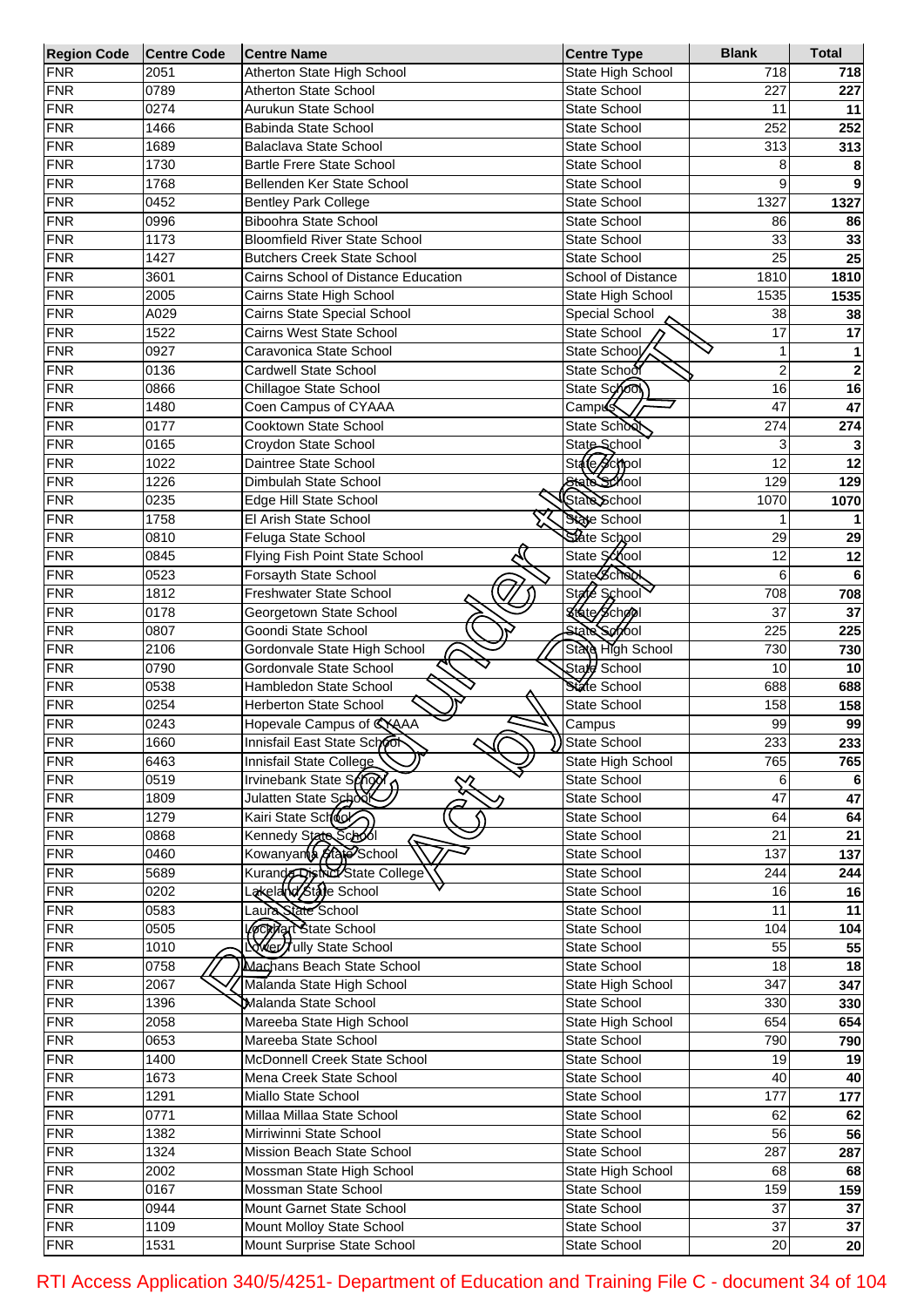| <b>Region Code</b> | <b>Centre Code</b> | <b>Centre Name</b>                   | <b>Centre Type</b>       | <b>Blank</b>     | <b>Total</b>    |
|--------------------|--------------------|--------------------------------------|--------------------------|------------------|-----------------|
| <b>FNR</b>         | 2051               | Atherton State High School           | State High School        | 718              | 718             |
| <b>FNR</b>         | 0789               | <b>Atherton State School</b>         | <b>State School</b>      | 227              | 227             |
| <b>FNR</b>         | 0274               | Aurukun State School                 | <b>State School</b>      | 11               | 11              |
| <b>FNR</b>         | 1466               | Babinda State School                 | <b>State School</b>      | 252              | 252             |
| <b>FNR</b>         | 1689               | Balaclava State School               | <b>State School</b>      | 313              | 313             |
| <b>FNR</b>         | 1730               | <b>Bartle Frere State School</b>     | <b>State School</b>      | 8                |                 |
| <b>FNR</b>         | 1768               | Bellenden Ker State School           | <b>State School</b>      | 9                |                 |
| <b>FNR</b>         | 0452               | <b>Bentley Park College</b>          | <b>State School</b>      | 1327             | 1327            |
| <b>FNR</b>         | 0996               | <b>Biboohra State School</b>         | <b>State School</b>      | 86               | 86              |
| <b>FNR</b>         | 1173               | <b>Bloomfield River State School</b> | <b>State School</b>      | 33               | 33              |
| <b>FNR</b>         | 1427               | <b>Butchers Creek State School</b>   | <b>State School</b>      | 25               | 25              |
| <b>FNR</b>         | 3601               | Cairns School of Distance Education  | School of Distance       | 1810             | 1810            |
| <b>FNR</b>         | 2005               | Cairns State High School             | State High School        | 1535             | 1535            |
| <b>FNR</b>         | A029               | Cairns State Special School          | Special School           | 38               | 38              |
| <b>FNR</b>         | 1522               | Cairns West State School             | <b>State School</b>      | 17               | 17              |
| <b>FNR</b>         | 0927               | Caravonica State School              | State School             |                  |                 |
|                    |                    |                                      | State School             |                  |                 |
| <b>FNR</b>         | 0136               | Cardwell State School                |                          | $\overline{c}$   | 2               |
| <b>FNR</b>         | 0866               | Chillagoe State School               | State Schoo              | 16               | 16              |
| <b>FNR</b>         | 1480               | Coen Campus of CYAAA                 | Camp <sup>65</sup>       | 47               | 47              |
| <b>FNR</b>         | 0177               | Cooktown State School                | State Schoo              | 274              | 274             |
| <b>FNR</b>         | 0165               | Croydon State School                 | State School             | 3                |                 |
| <b>FNR</b>         | 1022               | Daintree State School                | State School             | 12               | 12              |
| <b>FNR</b>         | 1226               | Dimbulah State School                | State School             | 129              | 129             |
| <b>FNR</b>         | 0235               | Edge Hill State School               | State School             | 1070             | 1070            |
| <b>FNR</b>         | 1758               | El Arish State School                | State School             |                  |                 |
| <b>FNR</b>         | 0810               | Feluga State School                  | State School             | 29               | 29              |
| <b>FNR</b>         | 0845               | Flying Fish Point State School       | State School             | 12               | 12              |
| <b>FNR</b>         | 0523               | Forsayth State School                | State Scheen             | 6                |                 |
| <b>FNR</b>         | 1812               | Freshwater State School              | <b>State</b><br>School   | 708              | 708             |
| <b>FNR</b>         | 0178               | Georgetown State School              | Ktate School             | 37               | 37              |
| <b>FNR</b>         | 0807               | Goondi State School                  | State School             | 225              | 225             |
| <b>FNR</b>         | 2106               | Gordonvale State High School         | State High School        | 730              | 730             |
| <b>FNR</b>         | 0790               | Gordonvale State School              | Stard School             | 10               | 10              |
| <b>FNR</b>         | 0538               | Hambledon State School               | State School             | 688              | 688             |
| <b>FNR</b>         | 0254               | <b>Herberton State School</b>        | State School             | 158              | 158             |
| <b>FNR</b>         | 0243               | Hopevale Campus of CYAAA             | Campus                   | 99               | 99              |
| <b>FNR</b>         | 1660               | Innisfail East State School          | State School             | 233              | 233             |
| <b>FNR</b>         | 6463               | U<br>Innisfail State College         | State High School        | 765              | 765             |
| <b>FNR</b>         | 0519               |                                      |                          |                  |                 |
|                    |                    | Irvinebank State School              | State School             | 6<br>47          |                 |
| <b>FNR</b>         | 1809               |                                      | <b>State School</b>      |                  | 47              |
| <b>FNR</b>         | 1279               | Kairi State School                   | State School             | 64               | 64              |
| <b>FNR</b>         | 0868               | Kennedy State Saboli                 | State School             | $\overline{21}$  | $\overline{21}$ |
| <b>FNR</b>         | 0460               | Kowanyants <b>Adje</b> School        | State School             | 137              | 137             |
| <b>FNR</b>         | 5689               | Kurande District State College       | State School             | 244              | 244             |
| <b>FNR</b>         | 0202               | Lakelarid staje School               | State School             | 16               | 16              |
| <b>FNR</b>         | 0583               | Laura State School                   | State School             | $\overline{11}$  | 11              |
| <b>FNR</b>         | 0505               | Vecelar State School                 | State School             | 104              | 104             |
| <b>FNR</b>         | 1010               | Never Jully State School             | State School             | 55               | 55              |
| <b>FNR</b>         | 0758               | Machans Beach State School           | State School             | $\frac{1}{8}$    | 18              |
| <b>FNR</b>         | 2067               | Malanda State High School            | <b>State High School</b> | $\overline{347}$ | 347             |
| <b>FNR</b>         | 1396               | Malanda State School                 | State School             | 330              | 330             |
| <b>FNR</b>         | 2058               | Mareeba State High School            | <b>State High School</b> | 654              | 654             |
| <b>FNR</b>         | 0653               | Mareeba State School                 | State School             | 790              | 790             |
| <b>FNR</b>         | 1400               | McDonnell Creek State School         | State School             | $\overline{19}$  | 19              |
| <b>FNR</b>         | 1673               | Mena Creek State School              | State School             | 40               | 40              |
| <b>FNR</b>         | 1291               | Miallo State School                  | State School             | 177              | 177             |
| <b>FNR</b>         | 0771               | Millaa Millaa State School           | State School             | 62               | 62              |
| <b>FNR</b>         | 1382               | Mirriwinni State School              | State School             | 56               | 56              |
| <b>FNR</b>         | 1324               | Mission Beach State School           | State School             | 287              | 287             |
| <b>FNR</b>         | 2002               | Mossman State High School            | State High School        | 68               | 68              |
| <b>FNR</b>         | 0167               | Mossman State School                 | <b>State School</b>      | 159              | 159             |
| <b>FNR</b>         | 0944               | Mount Garnet State School            | State School             | $\overline{37}$  | 37              |
| <b>FNR</b>         | 1109               | Mount Molloy State School            | State School             | $\overline{37}$  |                 |
|                    |                    |                                      |                          |                  | 37              |
| <b>FNR</b>         | 1531               | Mount Surprise State School          | State School             | 20               | 20              |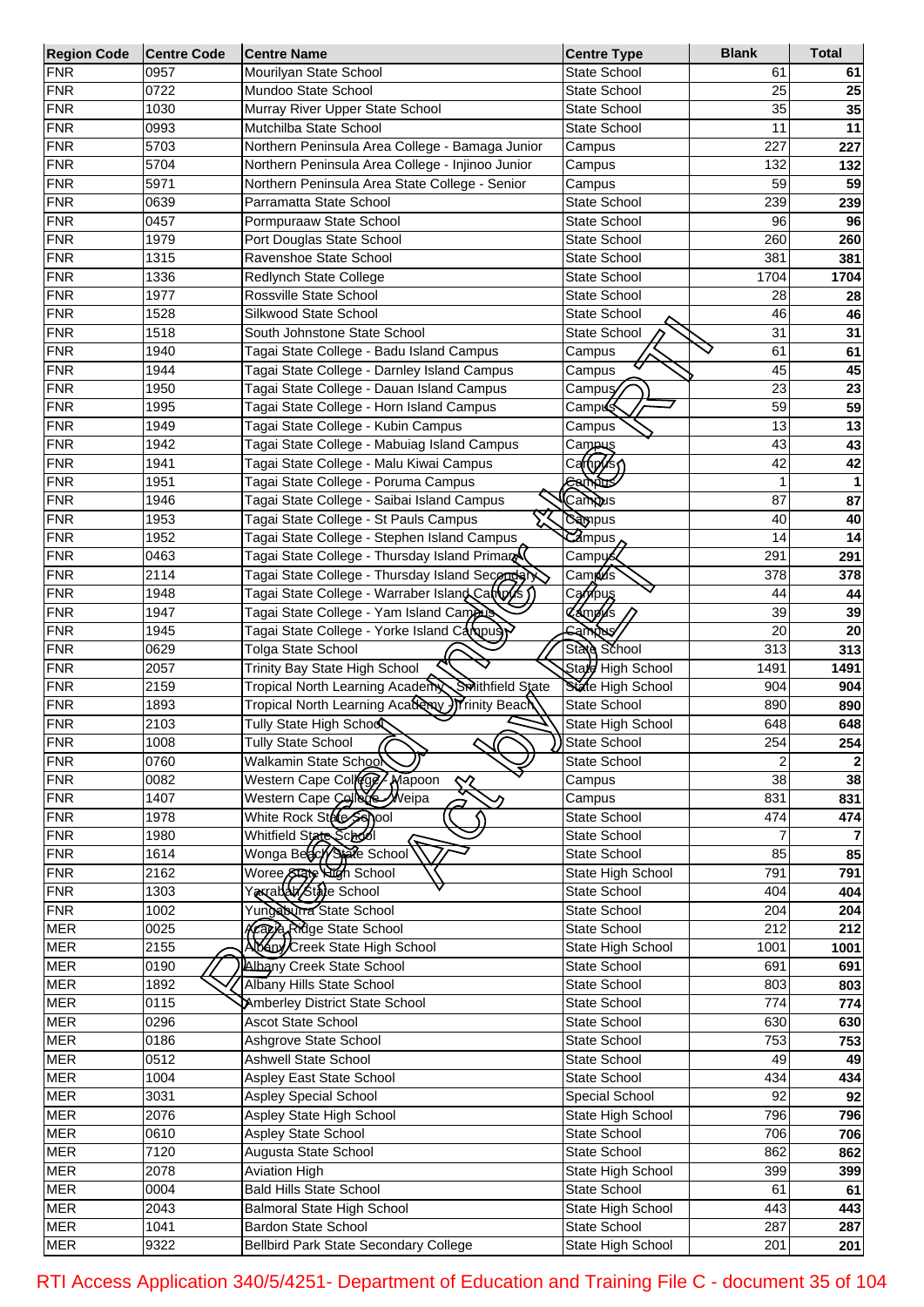| <b>Region Code</b>       | <b>Centre Code</b> | <b>Centre Name</b>                                         | <b>Centre Type</b>                                      | <b>Blank</b>     | <b>Total</b> |
|--------------------------|--------------------|------------------------------------------------------------|---------------------------------------------------------|------------------|--------------|
| <b>FNR</b>               | 0957               | Mourilyan State School                                     | <b>State School</b>                                     | 61               | 61           |
| <b>FNR</b>               | 0722               | Mundoo State School                                        | <b>State School</b>                                     | 25               | 25           |
| <b>FNR</b>               | 1030               | Murray River Upper State School                            | <b>State School</b>                                     | 35               | 35           |
| <b>FNR</b>               | 0993               | Mutchilba State School                                     | <b>State School</b>                                     | 11               | 11           |
| <b>FNR</b>               | 5703               | Northern Peninsula Area College - Bamaga Junior            | Campus                                                  | 227              | 227          |
| <b>FNR</b>               | 5704               | Northern Peninsula Area College - Injinoo Junior           | Campus                                                  | 132              | 132          |
| <b>FNR</b>               | 5971               | Northern Peninsula Area State College - Senior             | Campus                                                  | 59               | 59           |
| <b>FNR</b>               | 0639               | Parramatta State School                                    | <b>State School</b>                                     | 239              | 239          |
| <b>FNR</b>               | 0457               | Pormpuraaw State School                                    | <b>State School</b>                                     | 96               | 96           |
| <b>FNR</b>               | 1979               | Port Douglas State School                                  | <b>State School</b>                                     | 260              | 260          |
| <b>FNR</b>               | 1315               | Ravenshoe State School                                     | <b>State School</b>                                     | 381              | 381          |
| <b>FNR</b>               | 1336               | Redlynch State College                                     | <b>State School</b>                                     | 1704             | 1704         |
| <b>FNR</b>               | 1977               | Rossville State School                                     | <b>State School</b>                                     | 28               | 28           |
| <b>FNR</b>               | 1528               | Silkwood State School                                      | <b>State School</b>                                     | 46               | 46           |
| <b>FNR</b>               | 1518               | South Johnstone State School                               | State School                                            | 31               | 31           |
| <b>FNR</b>               | 1940               | Tagai State College - Badu Island Campus                   | Campus                                                  | 61               | 61           |
| <b>FNR</b>               | 1944               | Tagai State College - Darnley Island Campus                | Campus                                                  | 45               | 45           |
| <b>FNR</b>               | 1950               | Tagai State College - Dauan Island Campus                  | Campuy                                                  | 23               | 23           |
| <b>FNR</b>               | 1995               | Tagai State College - Horn Island Campus                   | Camp <b>6</b> iई                                        | 59               | 59           |
| <b>FNR</b>               | 1949               | Tagai State College - Kubin Campus                         | Campus                                                  | 13               | 13           |
| <b>FNR</b>               | 1942               | Tagai State College - Mabuiag Island Campus                | Campus                                                  | 43               | 43           |
| <b>FNR</b>               | 1941               | Tagai State College - Malu Kiwai Campus                    | Cam(py/s                                                | 42               | 42           |
| <b>FNR</b>               | 1951               | Tagai State College - Poruma Campus                        | Gampus                                                  |                  |              |
| <b>FNR</b>               | 1946               | Tagai State College - Saibai Island Campus                 | Campus                                                  | 87               | 87           |
| <b>FNR</b>               | 1953               | Tagai State College - St Pauls Campus                      | <b>Sampus</b>                                           | 40               | 40           |
| <b>FNR</b>               | 1952               | Tagai State College - Stephen Island Campus                | $\overline{\mathcal{C}}$ ampus $\overline{\mathcal{C}}$ | 14               | 14           |
| <b>FNR</b>               | 0463               | Tagai State College - Thursday Island Primar               | Camp <b>y</b> ś≾                                        | 291              | 291          |
| <b>FNR</b>               | 2114               | Tagai State College - Thursday Island Secondar             | Cam <b>p</b> us                                         | 378              |              |
| <b>FNR</b>               | 1948               |                                                            |                                                         | 44               | 378          |
|                          |                    | Tagai State College - Warraber Island Campus               | Campus                                                  |                  | 44           |
| <b>FNR</b>               | 1947               | Tagai State College - Yam Island Cameus                    | <b>Cámpus</b>                                           | 39               | 39           |
| <b>FNR</b>               | 1945               | Tagai State College - Yorke Island Carpus                  | bas<br>Sam                                              | 20               | 20           |
| <b>FNR</b>               | 0629               | <b>Tolga State School</b><br>Trinity Bay State High School | State School                                            | 313              | 313          |
| <b>FNR</b>               | 2057               | Swithfield State                                           | State High School                                       | 1491             | 1491         |
| <b>FNR</b><br><b>FNR</b> | 2159               | Tropical North Learning Academy                            | State High School                                       | 904              | 904          |
| <b>FNR</b>               | 1893               | Tropical North Learning Academy ) Trinity Beach            | State School                                            | 890              | 890          |
|                          | 2103               | Tully State High Schoo                                     | State High School                                       | 648              | 648          |
| <b>FNR</b>               | 1008               | <b>Tully State School</b>                                  | State School                                            | 254              | 254          |
| <b>FNR</b>               | 0760               | Walkamin State School                                      | <b>State School</b>                                     | $\overline{2}$   |              |
| <b>FNR</b>               | 0082               | Western Cape College / Mapoon<br>╳                         | Campus                                                  | $\overline{38}$  | 38           |
| <b>FNR</b>               | 1407               | Western Cape College Weipa                                 | Campus                                                  | 831              | 831          |
| <b>FNR</b>               | 1978               | White Rock State School                                    | State School                                            | 474              | 474          |
| <b>FNR</b>               | 1980               | Whitfield State School                                     | State School                                            |                  |              |
| <b>FNR</b>               | 1614               | Wonga Beach/State School                                   | <b>State School</b>                                     | 85               | 85           |
| <b>FNR</b>               | $\frac{1}{2162}$   | Woree State High School                                    | State High School                                       | 791              | 791          |
| <b>FNR</b>               | 1303               | Yaxrabab/State School                                      | State School                                            | 404              | 404          |
| <b>FNR</b>               | 1002               | Yungaburra State School                                    | <b>State School</b>                                     | 204              | 204          |
| <b>MER</b>               | 0025               | Krazje Ridge State School                                  | <b>State School</b>                                     | 212              | 212          |
| <b>MER</b>               | 2155               | Abany Creek State High School                              | State High School                                       | 1001             | 1001         |
| <b>MER</b>               | 0190               | Albany Creek State School                                  | State School                                            | 691              | 691          |
| <b>MER</b>               | 1892               | Albany Hills State School                                  | State School                                            | 803              | 803          |
| <b>MER</b>               | 0115               | Amberley District State School                             | State School                                            | $\overline{774}$ | 774          |
| <b>MER</b>               | 0296               | <b>Ascot State School</b>                                  | State School                                            | 630              | 630          |
| <b>MER</b>               | 0186               | Ashgrove State School                                      | State School                                            | 753              | 753          |
| <b>MER</b>               | 0512               | <b>Ashwell State School</b>                                | State School                                            | 49               | 49           |
| <b>MER</b>               | 1004               | Aspley East State School                                   | State School                                            | 434              | 434          |
| <b>MER</b>               | 3031               | <b>Aspley Special School</b>                               | Special School                                          | $\overline{92}$  | 92           |
| <b>MER</b>               | 2076               | Aspley State High School                                   | State High School                                       | 796              | 796          |
| <b>MER</b>               | 0610               | <b>Aspley State School</b>                                 | State School                                            | 706              | 706          |
| <b>MER</b>               | 7120               | Augusta State School                                       | <b>State School</b>                                     | 862              | 862          |
| <b>MER</b>               | 2078               | <b>Aviation High</b>                                       | State High School                                       | 399              | 399          |
| <b>MER</b>               | 0004               | <b>Bald Hills State School</b>                             | State School                                            | 61               | 61           |
| <b>MER</b>               | 2043               | <b>Balmoral State High School</b>                          | State High School                                       | 443              | 443          |
| <b>MER</b>               | 1041               | <b>Bardon State School</b>                                 | State School                                            | 287              | 287          |
| <b>MER</b>               | 9322               | Bellbird Park State Secondary College                      | State High School                                       | 201              | 201          |

RTI Access Application 340/5/4251- Department of Education and Training File C - document 35 of 104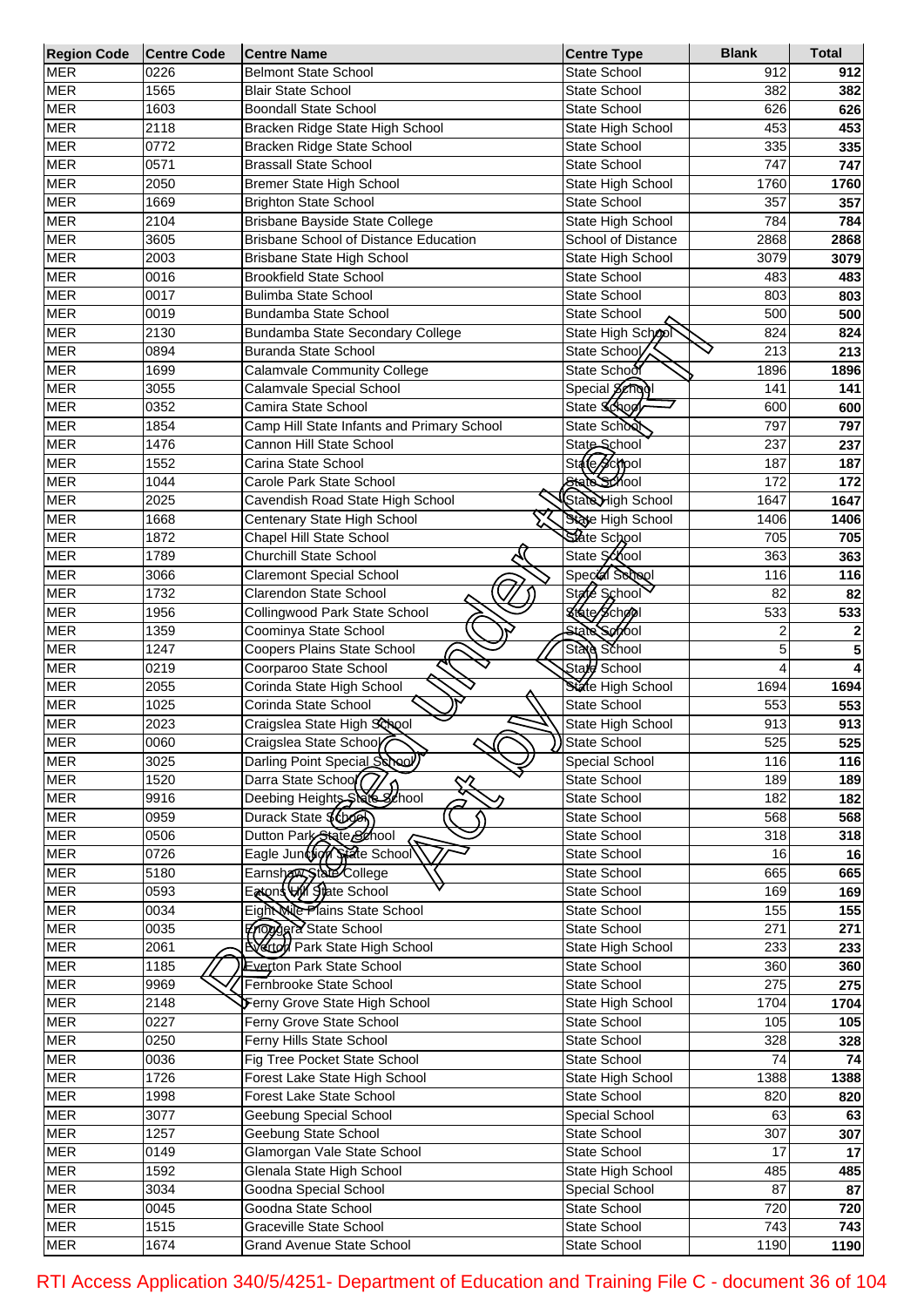| <b>Region Code</b> | <b>Centre Code</b> | <b>Centre Name</b>                           | <b>Centre Type</b>        | <b>Blank</b> | <b>Total</b> |
|--------------------|--------------------|----------------------------------------------|---------------------------|--------------|--------------|
| <b>MER</b>         | 0226               | Belmont State School                         | <b>State School</b>       | 912          | 912          |
| <b>MER</b>         | 1565               | <b>Blair State School</b>                    | <b>State School</b>       | 382          | 382          |
| <b>MER</b>         | 1603               | <b>Boondall State School</b>                 | <b>State School</b>       | 626          | 626          |
| <b>MER</b>         | 2118               | Bracken Ridge State High School              | State High School         | 453          | 453          |
| <b>MER</b>         | 0772               | Bracken Ridge State School                   | <b>State School</b>       | 335          | 335          |
| <b>MER</b>         | 0571               | <b>Brassall State School</b>                 | State School              | 747          | 747          |
| <b>MER</b>         | 2050               | Bremer State High School                     | State High School         | 1760         | 1760         |
| <b>MER</b>         | 1669               | <b>Brighton State School</b>                 | <b>State School</b>       | 357          | 357          |
| <b>MER</b>         | 2104               | Brisbane Bayside State College               | State High School         | 784          | 784          |
| <b>MER</b>         | 3605               | <b>Brisbane School of Distance Education</b> | <b>School of Distance</b> | 2868         | 2868         |
| <b>MER</b>         | 2003               | <b>Brisbane State High School</b>            | State High School         | 3079         | 3079         |
| <b>MER</b>         | 0016               | <b>Brookfield State School</b>               | <b>State School</b>       | 483          | 483          |
| <b>MER</b>         | 0017               | <b>Bulimba State School</b>                  | <b>State School</b>       | 803          |              |
|                    |                    |                                              |                           |              | 803          |
| <b>MER</b>         | 0019               | Bundamba State School                        | <b>State School</b>       | 500          | 500          |
| <b>MER</b>         | 2130               | Bundamba State Secondary College             | State High School         | 824          | 824          |
| <b>MER</b>         | 0894               | <b>Buranda State School</b>                  | State School              | 213          | 213          |
| <b>MER</b>         | 1699               | <b>Calamvale Community College</b>           | State School              | 1896         | 1896         |
| <b>MER</b>         | 3055               | Calamvale Special School                     | Special Schopl            | 141          | 141          |
| <b>MER</b>         | 0352               | Camira State School                          | State School              | 600          | 600          |
| <b>MER</b>         | 1854               | Camp Hill State Infants and Primary School   | State School              | 797          | 797          |
| <b>MER</b>         | 1476               | Cannon Hill State School                     | State School              | 237          | 237          |
| <b>MER</b>         | 1552               | Carina State School                          | State School              | 187          | 187          |
| <b>MER</b>         | 1044               | Carole Park State School                     | State School              | 172          | 172          |
| <b>MER</b>         | 2025               | Cavendish Road State High School             | State High School         | 1647         | 1647         |
| <b>MER</b>         | 1668               | Centenary State High School                  | State High School         | 1406         | 1406         |
| <b>MER</b>         | 1872               | Chapel Hill State School                     | State School              | 705          | 705          |
| <b>MER</b>         | 1789               | Churchill State School                       | State School              | 363          | 363          |
| <b>MER</b>         | 3066               | <b>Claremont Special School</b>              | Special School            | 116          | 116          |
| <b>MER</b>         | 1732               | Clarendon State School                       | State School              | 82           | 82           |
| <b>MER</b>         | 1956               | Collingwood Park State School                | Ktate School              | 533          | 533          |
| <b>MER</b>         | 1359               | Coominya State School                        | State School              | 2            | 2            |
| <b>MER</b>         | 1247               | Coopers Plains State School                  | State School              | 5            | 5            |
| <b>MER</b>         | 0219               | Coorparoo State School                       | Stale School              | 4            |              |
| <b>MER</b>         |                    |                                              |                           |              |              |
|                    | 2055               | Corinda State High School                    | State High School         | 1694         | 1694         |
| <b>MER</b>         | 1025               | Corinda State School                         | <b>State School</b>       | 553          | 553          |
| <b>MER</b>         | 2023               | Craigslea State High School                  | State High School         | 913          | 913          |
| <b>MER</b>         | 0060               | Craigslea State School<br>୰                  | <b>State School</b>       | 525          | 525          |
| <b>MER</b>         | 3025               | Darling Point Special School)                | <b>Special School</b>     | 116          | 116          |
| <b>MER</b>         | 1520               | Darra State School <sup>7</sup>              | State School              | 189          | 189          |
| <b>MER</b>         | 9916               | Deebing Heights State 3thool                 | State School              | 182          | 182          |
| <b>MER</b>         | 0959               | Durack State \$6book                         | State School              | 568          | 568          |
| <b>MER</b>         | 0506               | Dutton Park State School                     | State School              | 318          | 318          |
| <b>MER</b>         | 0726               | Eagle Junction State School                  | <b>State School</b>       | 16           | 16           |
| <b>MER</b>         | 5180               | Earnsham State College                       | State School              | 665          | 665          |
| <b>MER</b>         | 0593               | Eatons W/ State School                       | State School              | 169          | 169          |
| <b>MER</b>         | 0034               | Eight Mie Plains State School                | State School              | 155          | 155          |
| <b>MER</b>         | 0035               | Froggera State School                        | State School              | 271          | 271          |
| <b>MER</b>         | 2061               | <b>EVector Park State High School</b>        | State High School         | 233          | 233          |
| <b>MER</b>         | 1185               | <b>Everton Park State School</b>             | State School              | 360          | 360          |
| <b>MER</b>         | 9969               | Fernbrooke State School                      | State School              | 275          | 275          |
| <b>MER</b>         | 2148               | Ferny Grove State High School                | State High School         | 1704         | 1704         |
| <b>MER</b>         | 0227               | Ferny Grove State School                     | State School              | 105          | 105          |
| <b>MER</b>         | 0250               | Ferny Hills State School                     | State School              | 328          | 328          |
| <b>MER</b>         | 0036               | Fig Tree Pocket State School                 | State School              | 74           | 74           |
| <b>MER</b>         | 1726               |                                              |                           | 1388         |              |
|                    |                    | Forest Lake State High School                | State High School         |              | 1388         |
| <b>MER</b>         | 1998               | Forest Lake State School                     | State School              | 820          | 820          |
| <b>MER</b>         | 3077               | Geebung Special School                       | Special School            | 63           | 63           |
| <b>MER</b>         | 1257               | Geebung State School                         | State School              | 307          | 307          |
| <b>MER</b>         | 0149               | Glamorgan Vale State School                  | State School              | 17           | 17           |
| <b>MER</b>         | 1592               | Glenala State High School                    | State High School         | 485          | 485          |
| <b>MER</b>         | 3034               | Goodna Special School                        | Special School            | 87           | 87           |
| <b>MER</b>         | 0045               | Goodna State School                          | State School              | 720          | 720          |
| <b>MER</b>         | 1515               | Graceville State School                      | State School              | 743          | 743          |
| <b>MER</b>         | 1674               | <b>Grand Avenue State School</b>             | State School              | 1190         | 1190         |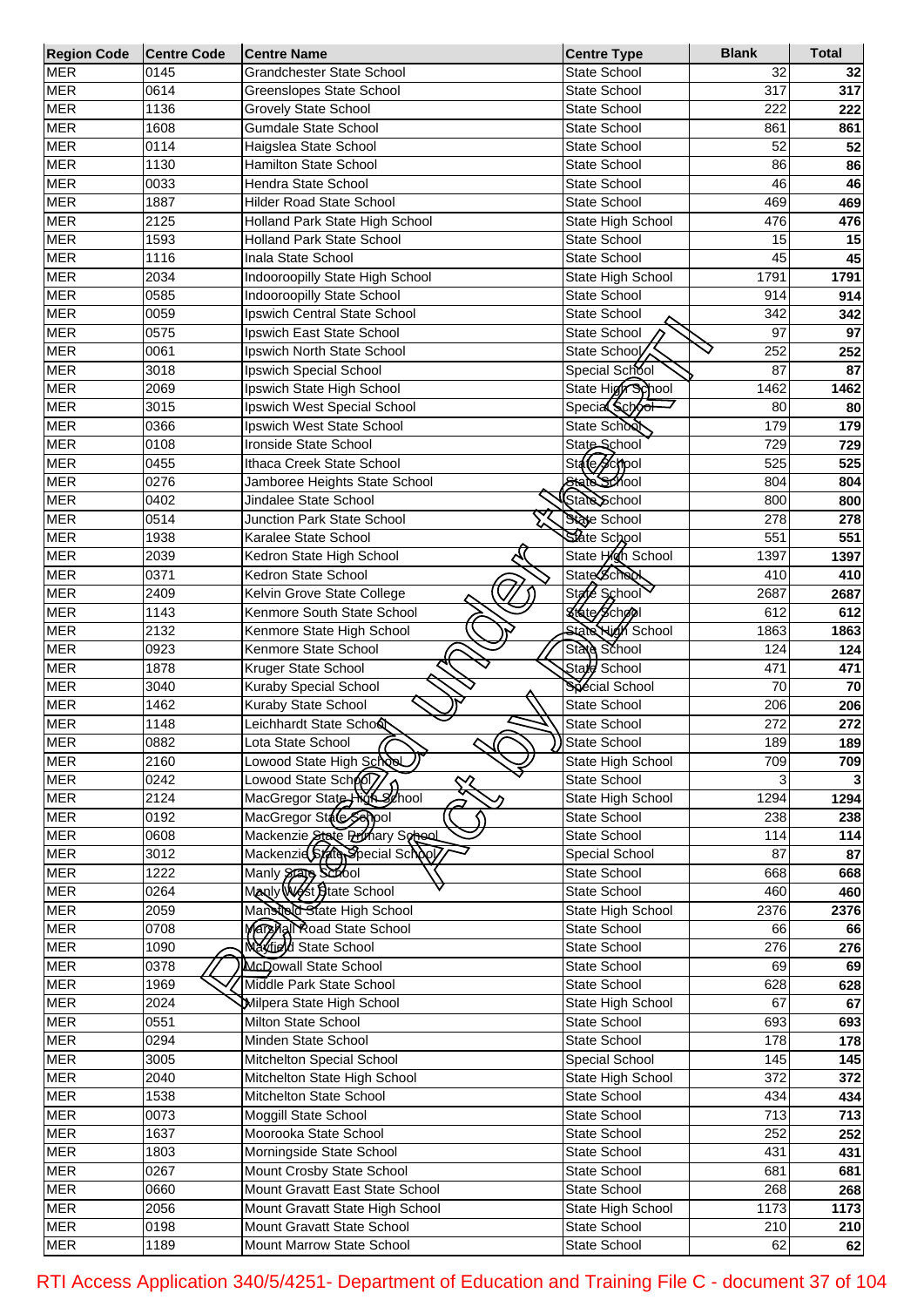| <b>Region Code</b> | <b>Centre Code</b> | <b>Centre Name</b>               | <b>Centre Type</b>       | <b>Blank</b> | <b>Total</b> |
|--------------------|--------------------|----------------------------------|--------------------------|--------------|--------------|
| <b>MER</b>         | 0145               | <b>Grandchester State School</b> | <b>State School</b>      | 32           | 32           |
| <b>MER</b>         | 0614               | <b>Greenslopes State School</b>  | <b>State School</b>      | 317          | 317          |
| <b>MER</b>         | 1136               | <b>Grovely State School</b>      | <b>State School</b>      | 222          | 222          |
| <b>MER</b>         | 1608               | <b>Gumdale State School</b>      | <b>State School</b>      | 861          | 861          |
| <b>MER</b>         | 0114               | Haigslea State School            | <b>State School</b>      | 52           | 52           |
| <b>MER</b>         | 1130               | Hamilton State School            | <b>State School</b>      | 86           | 86           |
| <b>MER</b>         | 0033               | Hendra State School              | <b>State School</b>      | 46           | 46           |
| <b>MER</b>         | 1887               | <b>Hilder Road State School</b>  | <b>State School</b>      | 469          | 469          |
| <b>MER</b>         | 2125               | Holland Park State High School   | State High School        | 476          | 476          |
| <b>MER</b>         | 1593               | <b>Holland Park State School</b> | <b>State School</b>      | 15           |              |
| <b>MER</b>         | 1116               | Inala State School               | <b>State School</b>      | 45           | 15           |
|                    |                    |                                  |                          |              | 45           |
| <b>MER</b>         | 2034               | Indooroopilly State High School  | State High School        | 1791         | 1791         |
| <b>MER</b>         | 0585               | Indooroopilly State School       | <b>State School</b>      | 914          | 914          |
| <b>MER</b>         | 0059               | Ipswich Central State School     | <b>State School</b>      | 342          | 342          |
| <b>MER</b>         | 0575               | Ipswich East State School        | State School             | 97           | 97           |
| <b>MER</b>         | 0061               | Ipswich North State School       | State School             | 252          | 252          |
| <b>MER</b>         | 3018               | Ipswich Special School           | Special School           | 87           | 87           |
| <b>MER</b>         | 2069               | Ipswich State High School        | State High School        | 1462         | 1462         |
| <b>MER</b>         | 3015               | Ipswich West Special School      | Special School           | 80           | 80           |
| <b>MER</b>         | 0366               | Ipswich West State School        | State School             | 179          | 179          |
| <b>MER</b>         | 0108               | Ironside State School            | State School             | 729          | 729          |
| <b>MER</b>         | 0455               | Ithaca Creek State School        | State School             | 525          | 525          |
| <b>MER</b>         | 0276               | Jamboree Heights State School    | State School             | 804          | 804          |
| <b>MER</b>         | 0402               | Jindalee State School            | State School             | 800          | 800          |
|                    |                    |                                  |                          |              |              |
| <b>MER</b>         | 0514               | Junction Park State School       | State School             | 278          | 278          |
| <b>MER</b>         | 1938               | Karalee State School             | State School             | 551          | 551          |
| <b>MER</b>         | 2039               | Kedron State High School         | State High School        | 1397         | 1397         |
| <b>MER</b>         | 0371               | Kedron State School              | State School             | 410          | 410          |
| <b>MER</b>         | 2409               | Kelvin Grove State College       | State School             | 2687         | 2687         |
| <b>MER</b>         | 1143               | Kenmore South State School       | <b>Kfate School</b>      | 612          | 612          |
| <b>MER</b>         | 2132               | Kenmore State High School        | <b>State High School</b> | 1863         | 1863         |
| <b>MER</b>         | 0923               | Kenmore State School             | State School             | 124          | 124          |
| <b>MER</b>         | 1878               | Kruger State School              | Stard School             | 471          | 471          |
| <b>MER</b>         | 3040               | Kuraby Special School            | Special School           | 70           | 70           |
| <b>MER</b>         | 1462               | Kuraby State School              | <b>State School</b>      | 206          | 206          |
| <b>MER</b>         | 1148               | Leichhardt State Scho&           | State School             | 272          | 272          |
| <b>MER</b>         | 0882               |                                  | <b>State School</b>      | 189          |              |
|                    |                    | Lota State School<br>୰           |                          |              | 189          |
| <b>MER</b>         | 2160               | Lowood State High School         | State High School        | 709          | 709          |
| <b>MER</b>         | 0242               | Lowood State School              | State School             | 3            |              |
| <b>MER</b>         | 2124               | MacGregor State high school      | State High School        | 1294         | 1294         |
| <b>MER</b>         | 0192               | MacGregor State Seriod           | State School             | 238          | 238          |
| <b>MER</b>         | 0608               | Mackenzie State Primary School   | State School             | 114          | 114          |
| <b>MER</b>         | 3012               | Mackenzid State Special School   | Special School           | 87           | 87           |
| <b>MER</b>         | 1222               | Manly State Scool                | State School             | 668          | 668          |
| <b>MER</b>         | 0264               | Manly West State School          | <b>State School</b>      | 460          | 460          |
| <b>MER</b>         | 2059               | Mansteld State High School       | <b>State High School</b> | 2376         | 2376         |
| <b>MER</b>         | 0708               | Marzhal Road State School        | State School             | 66           | 66           |
| <b>MER</b>         | 1090               | <b>Navield State School</b>      | State School             | 276          | 276          |
| <b>MER</b>         | 0378               | McDowall State School            | State School             | 69           | 69           |
| <b>MER</b>         | 1969               | Middle Park State School         | State School             | 628          | 628          |
| <b>MER</b>         | 2024               | Milpera State High School        | State High School        | 67           | 67           |
|                    |                    |                                  |                          |              |              |
| <b>MER</b>         | 0551               | Milton State School              | State School             | 693          | 693          |
| <b>MER</b>         | 0294               | Minden State School              | State School             | 178          | 178          |
| <b>MER</b>         | 3005               | Mitchelton Special School        | Special School           | 145          | 145          |
| <b>MER</b>         | 2040               | Mitchelton State High School     | State High School        | 372          | 372          |
| <b>MER</b>         | 1538               | Mitchelton State School          | State School             | 434          | 434          |
| <b>MER</b>         | 0073               | Moggill State School             | State School             | 713          | 713          |
| <b>MER</b>         | 1637               | Moorooka State School            | State School             | 252          | 252          |
| <b>MER</b>         | 1803               | Morningside State School         | State School             | 431          | 431          |
| <b>MER</b>         | 0267               | Mount Crosby State School        | State School             | 681          | 681          |
| <b>MER</b>         | 0660               | Mount Gravatt East State School  | State School             | 268          | 268          |
| <b>MER</b>         | 2056               | Mount Gravatt State High School  | State High School        | 1173         | 1173         |
| <b>MER</b>         | 0198               | Mount Gravatt State School       | State School             | 210          | 210          |
| <b>MER</b>         | 1189               | Mount Marrow State School        | State School             | 62           | 62           |
|                    |                    |                                  |                          |              |              |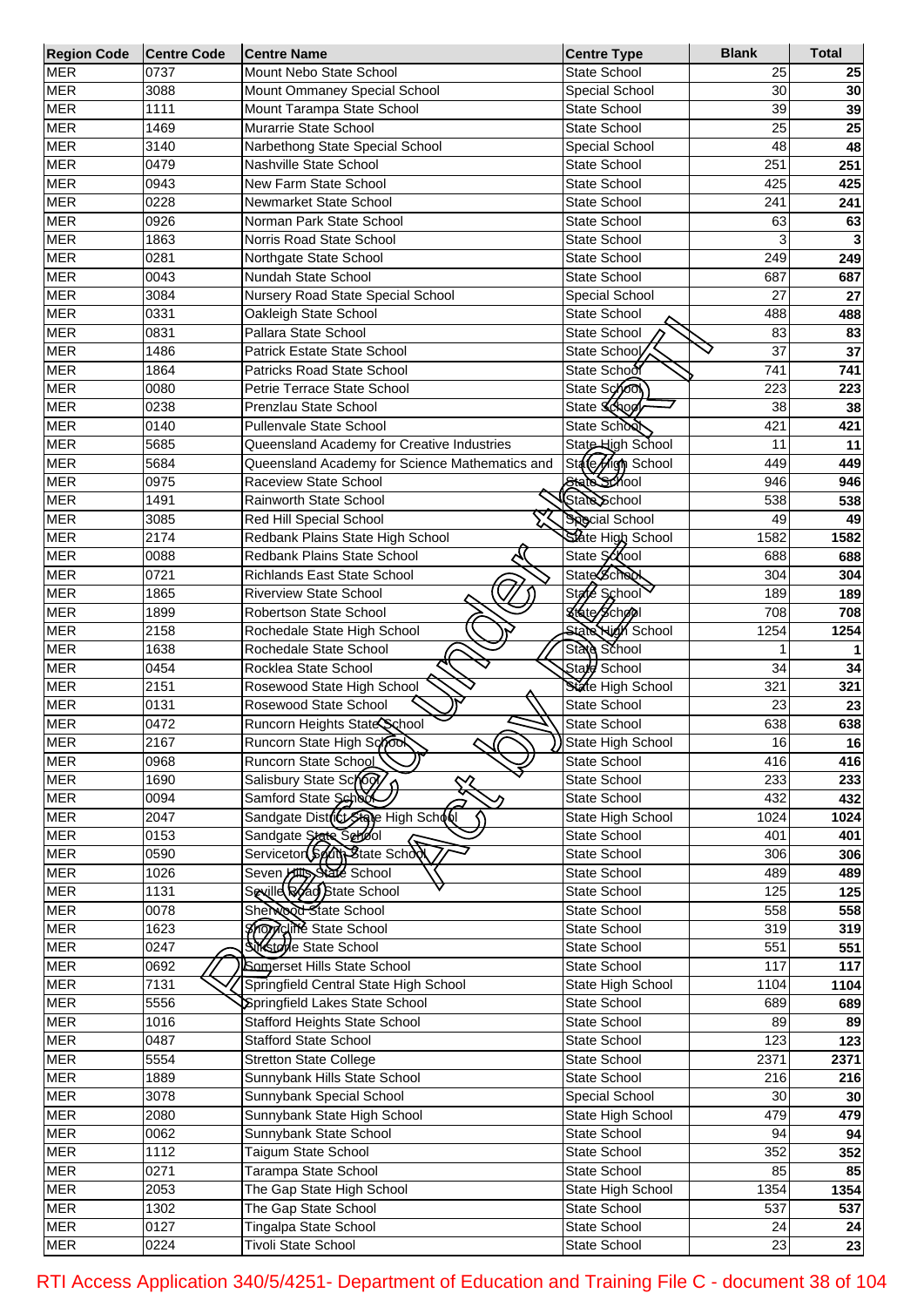| <b>Region Code</b> | <b>Centre Code</b> | <b>Centre Name</b>                             | <b>Centre Type</b>       | <b>Blank</b> | <b>Total</b> |
|--------------------|--------------------|------------------------------------------------|--------------------------|--------------|--------------|
| <b>MER</b>         | 0737               | Mount Nebo State School                        | State School             | 25           | 25           |
| <b>MER</b>         | 3088               | Mount Ommaney Special School                   | Special School           | 30           | 30           |
| <b>MER</b>         | 1111               | Mount Tarampa State School                     | <b>State School</b>      | 39           | 39           |
| <b>MER</b>         | 1469               | Murarrie State School                          | <b>State School</b>      | 25           | 25           |
| <b>MER</b>         | 3140               | Narbethong State Special School                | Special School           | 48           | 48           |
| <b>MER</b>         | 0479               | Nashville State School                         | <b>State School</b>      | 251          | 251          |
| <b>MER</b>         | 0943               | New Farm State School                          | <b>State School</b>      | 425          | 425          |
| <b>MER</b>         | 0228               | Newmarket State School                         | State School             | 241          | 241          |
| <b>MER</b>         | 0926               | Norman Park State School                       | State School             | 63           | 63           |
| <b>MER</b>         | 1863               | Norris Road State School                       | State School             | 3            |              |
| <b>MER</b>         | 0281               | Northgate State School                         | State School             | 249          | 249          |
| <b>MER</b>         | 0043               | Nundah State School                            | <b>State School</b>      | 687          |              |
|                    |                    |                                                |                          |              | 687          |
| <b>MER</b>         | 3084               | Nursery Road State Special School              | Special School           | 27           | 27           |
| <b>MER</b>         | 0331               | Oakleigh State School                          | <b>State School</b>      | 488          | 488          |
| <b>MER</b>         | 0831               | Pallara State School                           | State School             | 83           | 83           |
| <b>MER</b>         | 1486               | <b>Patrick Estate State School</b>             | State School             | 37           | 37           |
| <b>MER</b>         | 1864               | Patricks Road State School                     | State School             | 741          | 741          |
| <b>MER</b>         | 0080               | Petrie Terrace State School                    | State School             | 223          | 223          |
| <b>MER</b>         | 0238               | Prenzlau State School                          | State School             | 38           | 38           |
| <b>MER</b>         | 0140               | <b>Pullenvale State School</b>                 | State School             | 421          | 421          |
| <b>MER</b>         | 5685               | Queensland Academy for Creative Industries     | State High School        | 11           | 11           |
| <b>MER</b>         | 5684               | Queensland Academy for Science Mathematics and | State High School        | 449          | 449          |
| <b>MER</b>         | 0975               | Raceview State School                          | State School             | 946          | 946          |
| <b>MER</b>         | 1491               | Rainworth State School                         | State School             | 538          | 538          |
| <b>MER</b>         | 3085               | Red Hill Special School                        | <b>Special School</b>    | 49           | 49           |
| <b>MER</b>         | 2174               | Redbank Plains State High School               | State High School        | 1582         | 1582         |
| <b>MER</b>         | 0088               | Redbank Plains State School                    | State School             | 688          | 688          |
| <b>MER</b>         | 0721               | <b>Richlands East State School</b>             | <b>State School</b>      | 304          | 304          |
| <b>MER</b>         | 1865               | <b>Riverview State School</b>                  | State School             | 189          | 189          |
| <b>MER</b>         | 1899               | Robertson State School                         | <b>Ktate School</b>      | 708          | 708          |
| <b>MER</b>         | 2158               | Rochedale State High School                    | <b>State High School</b> | 1254         | 1254         |
| <b>MER</b>         | 1638               | Rochedale State School                         | State School             |              |              |
| <b>MER</b>         |                    |                                                | State School             |              |              |
|                    | 0454               | Rocklea State School                           |                          | 34           | 34           |
| <b>MER</b>         | 2151               | Rosewood State High School                     | State High School        | 321          | 321          |
| <b>MER</b>         | 0131               | Rosewood State School                          | <b>State School</b>      | 23           | 23           |
| <b>MER</b>         | 0472               | Runcorn Heights State School                   | State School             | 638          | 638          |
| <b>MER</b>         | 2167               | Runcorn State High Scrook                      | State High School        | 16           | 16           |
| <b>MER</b>         | 0968               | Runcorn State School                           | State School             | 416          | 416          |
| <b>MER</b>         | 1690               | Salisbury State School                         | State School             | 233          | 233          |
| <b>MER</b>         | 0094               | Samford State School                           | <b>State School</b>      | 432          | 432          |
| <b>MER</b>         | 2047               | Sandgate District State High School            | State High School        | 1024         | 1024         |
| <b>MER</b>         | 0153               | Sandgate State School                          | State School             | 401          | 401          |
| <b>MER</b>         | 0590               | Servicetor South State School                  | State School             | 306          | 306          |
| <b>MER</b>         | 1026               | Seven Hitts State School                       | State School             | 489          | 489          |
| <b>MER</b>         | 1131               | Seville Road State School                      | <b>State School</b>      | 125          | 125          |
| <b>MER</b>         | 0078               | Sherwood State School                          | State School             | 558          | 558          |
| <b>MER</b>         | 1623               | <b>Shoppeline</b> State School                 | <b>State School</b>      | 319          | 319          |
| <b>MER</b>         | 0247               | Silkstone State School                         | State School             | 551          | 551          |
| <b>MER</b>         | 0692               | Somerset Hills State School                    | State School             | 117          | 117          |
| <b>MER</b>         | 7131               | Springfield Central State High School          | State High School        | 1104         | 1104         |
| <b>MER</b>         | 5556               | Springfield Lakes State School                 | State School             | 689          | 689          |
| <b>MER</b>         | 1016               | <b>Stafford Heights State School</b>           | State School             | 89           | 89           |
| <b>MER</b>         | 0487               | <b>Stafford State School</b>                   | State School             | 123          | 123          |
| <b>MER</b>         | 5554               | <b>Stretton State College</b>                  | State School             | 2371         | 2371         |
| <b>MER</b>         | 1889               | Sunnybank Hills State School                   | State School             | 216          |              |
| <b>MER</b>         | 3078               | Sunnybank Special School                       | Special School           | 30           | 216          |
|                    |                    |                                                |                          |              | 30           |
| <b>MER</b>         | 2080               | Sunnybank State High School                    | State High School        | 479          | 479          |
| <b>MER</b>         | 0062               | Sunnybank State School                         | State School             | 94           | 94           |
| <b>MER</b>         | 1112               | Taigum State School                            | State School             | 352          | 352          |
| <b>MER</b>         | 0271               | Tarampa State School                           | State School             | 85           | 85           |
| <b>MER</b>         | 2053               | The Gap State High School                      | State High School        | 1354         | 1354         |
| <b>MER</b>         | 1302               | The Gap State School                           | State School             | 537          | 537          |
| <b>MER</b>         | 0127               | Tingalpa State School                          | State School             | 24           | 24           |
| <b>MER</b>         | 0224               | <b>Tivoli State School</b>                     | State School             | 23           | 23           |

RTI Access Application 340/5/4251- Department of Education and Training File C - document 38 of 104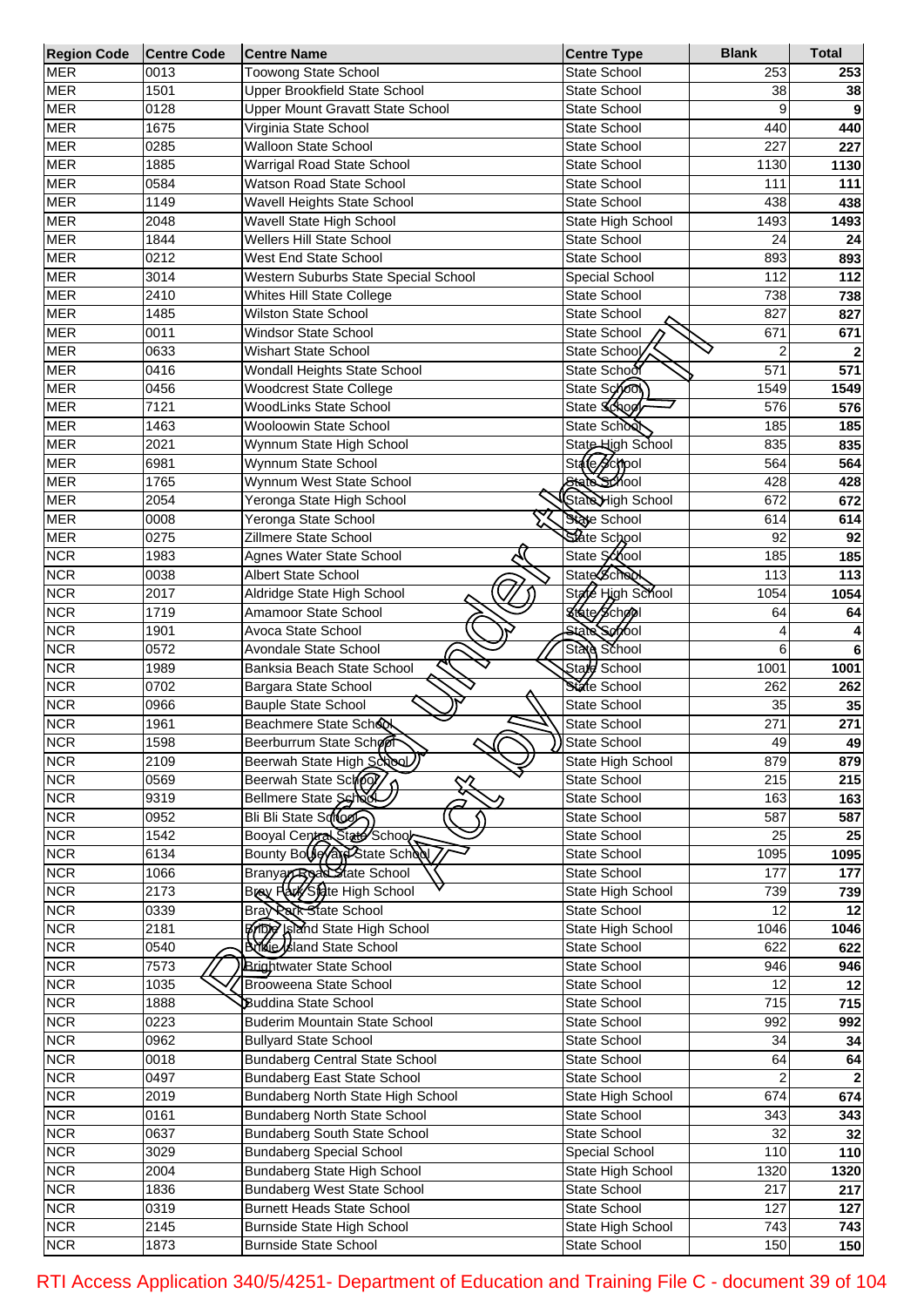| <b>Region Code</b> | <b>Centre Code</b> | <b>Centre Name</b>                     | <b>Centre Type</b>                | <b>Blank</b>   | <b>Total</b> |
|--------------------|--------------------|----------------------------------------|-----------------------------------|----------------|--------------|
| <b>MER</b>         | 0013               | Toowong State School                   | State School                      | 253            | 253          |
| <b>MER</b>         | 1501               | Upper Brookfield State School          | State School                      | 38             | 38           |
| <b>MER</b>         | 0128               | Upper Mount Gravatt State School       | State School                      | 9              | 9            |
| <b>MER</b>         | 1675               | Virginia State School                  | State School                      | 440            | 440          |
| <b>MER</b>         | 0285               | <b>Walloon State School</b>            | State School                      | 227            | 227          |
| <b>MER</b>         | 1885               | Warrigal Road State School             | State School                      | 1130           | 1130         |
| <b>MER</b>         | 0584               | Watson Road State School               | State School                      | 111            | 111          |
| <b>MER</b>         | 1149               | Wavell Heights State School            | <b>State School</b>               | 438            | 438          |
| <b>MER</b>         | 2048               | Wavell State High School               | State High School                 | 1493           | 1493         |
| <b>MER</b>         | 1844               | Wellers Hill State School              | <b>State School</b>               | 24             |              |
| <b>MER</b>         |                    | <b>West End State School</b>           | <b>State School</b>               |                | 24           |
|                    | 0212               |                                        |                                   | 893            | 893          |
| <b>MER</b>         | 3014               | Western Suburbs State Special School   | Special School                    | 112            | 112          |
| <b>MER</b>         | 2410               | Whites Hill State College              | State School                      | 738            | 738          |
| <b>MER</b>         | 1485               | <b>Wilston State School</b>            | State School                      | 827            | 827          |
| <b>MER</b>         | 0011               | <b>Windsor State School</b>            | State School                      | 671            | 671          |
| <b>MER</b>         | 0633               | <b>Wishart State School</b>            | State School                      | $\overline{2}$ |              |
| <b>MER</b>         | 0416               | Wondall Heights State School           | State School                      | 571            | 571          |
| <b>MER</b>         | 0456               | <b>Woodcrest State College</b>         | State School                      | 1549           | 1549         |
| <b>MER</b>         | 7121               | <b>WoodLinks State School</b>          | State School                      | 576            | 576          |
| <b>MER</b>         | 1463               | <b>Wooloowin State School</b>          | State School                      | 185            | 185          |
| <b>MER</b>         | 2021               | Wynnum State High School               | State High School                 | 835            | 835          |
| <b>MER</b>         | 6981               | Wynnum State School                    | State School                      | 564            | 564          |
| <b>MER</b>         | 1765               | Wynnum West State School               | State School                      | 428            | 428          |
| <b>MER</b>         | 2054               | Yeronga State High School              | StateHigh School                  | 672            | 672          |
| <b>MER</b>         | 0008               | Yeronga State School                   | State School                      | 614            | 614          |
| <b>MER</b>         | 0275               | Zillmere State School                  | State School                      | 92             | 92           |
| <b>NCR</b>         | 1983               |                                        | State School                      | 185            |              |
|                    |                    | Agnes Water State School               | <b>State Scheck</b>               |                | 185          |
| <b>NCR</b>         | 0038               | Albert State School                    |                                   | 113            | 113          |
| <b>NCR</b>         | 2017               | Aldridge State High School             | State High School                 | 1054           | 1054         |
| <b>NCR</b>         | 1719               | Amamoor State School                   | <b><i><u>Efate School</u></i></b> | 64             | 64           |
| <b>NCR</b>         | 1901               | Avoca State School                     | State School                      | 4              |              |
| <b>NCR</b>         | 0572               | Avondale State School                  | State School                      | 6              | 6            |
| <b>NCR</b>         | 1989               | Banksia Beach State School             | State School                      | 1001           | 1001         |
| <b>NCR</b>         | 0702               | Bargara State School                   | State School                      | 262            | 262          |
| <b>NCR</b>         | 0966               | Bauple State School                    | State School                      | 35             | 35           |
| <b>NCR</b>         | 1961               | Beachmere State School                 | State School                      | 271            | 271          |
| <b>NCR</b>         | 1598               | Beerburrum State School<br>ᅬ           | State School                      | 49             | 49           |
| <b>NCR</b>         | 2109               | Beerwah State High School)             | State High School                 | 879            | 879          |
| <b>NCR</b>         | 0569               | Beerwah State Schop                    | State School                      | 215            | 215          |
| <b>NCR</b>         | 9319               | ↜<br>Bellmere State Schod              | State School                      | 163            | 163          |
| <b>NCR</b>         | 0952               | Bli Bli State Solo                     | State School                      | 587            | 587          |
| <b>NCR</b>         | 1542               | Booyal Central State School            | State School                      | 25             | 25           |
| <b>NCR</b>         | 6134               | Bounty Bouleyand State School          | State School                      | 1095           | 1095         |
| <b>NCR</b>         | 1066               | Branyar Road State School              | State School                      | 177            | 177          |
| <b>NCR</b>         | 2173               | Bray Park Sidte High School            | State High School                 | 739            | 739          |
| <b>NCR</b>         | 0339               | Bray Rath State School                 | State School                      | 12             | 12           |
| <b>NCR</b>         | 2181               | <b>Bridge Island State High School</b> | State High School                 | 1046           | 1046         |
| <b>NCR</b>         | 0540               | <b>Bridge Island State School</b>      | State School                      | 622            | 622          |
| <b>NCR</b>         | 7573               | <b>Brightwater State School</b>        | State School                      | 946            | 946          |
| <b>NCR</b>         | 1035               | <b>Brooweena State School</b>          | State School                      | 12             | 12           |
|                    |                    |                                        |                                   |                |              |
| <b>NCR</b>         | 1888               | <b>Buddina State School</b>            | State School                      | 715            | 715          |
| <b>NCR</b>         | 0223               | Buderim Mountain State School          | State School                      | 992            | 992          |
| <b>NCR</b>         | 0962               | <b>Bullyard State School</b>           | State School                      | 34             | 34           |
| <b>NCR</b>         | 0018               | <b>Bundaberg Central State School</b>  | State School                      | 64             | 64           |
| <b>NCR</b>         | 0497               | Bundaberg East State School            | State School                      | $\overline{2}$ |              |
| <b>NCR</b>         | 2019               | Bundaberg North State High School      | State High School                 | 674            | 674          |
| <b>NCR</b>         | 0161               | Bundaberg North State School           | State School                      | 343            | 343          |
| <b>NCR</b>         | 0637               | Bundaberg South State School           | State School                      | 32             | 32           |
| <b>NCR</b>         | 3029               | <b>Bundaberg Special School</b>        | Special School                    | 110            | 110          |
| <b>NCR</b>         | 2004               | Bundaberg State High School            | State High School                 | 1320           | 1320         |
| <b>NCR</b>         | 1836               | <b>Bundaberg West State School</b>     | State School                      | 217            | 217          |
| <b>NCR</b>         | 0319               | <b>Burnett Heads State School</b>      | State School                      | 127            | 127          |
| <b>NCR</b>         | 2145               | Burnside State High School             | State High School                 | 743            | 743          |
| <b>NCR</b>         | 1873               | <b>Burnside State School</b>           | State School                      | 150            | 150          |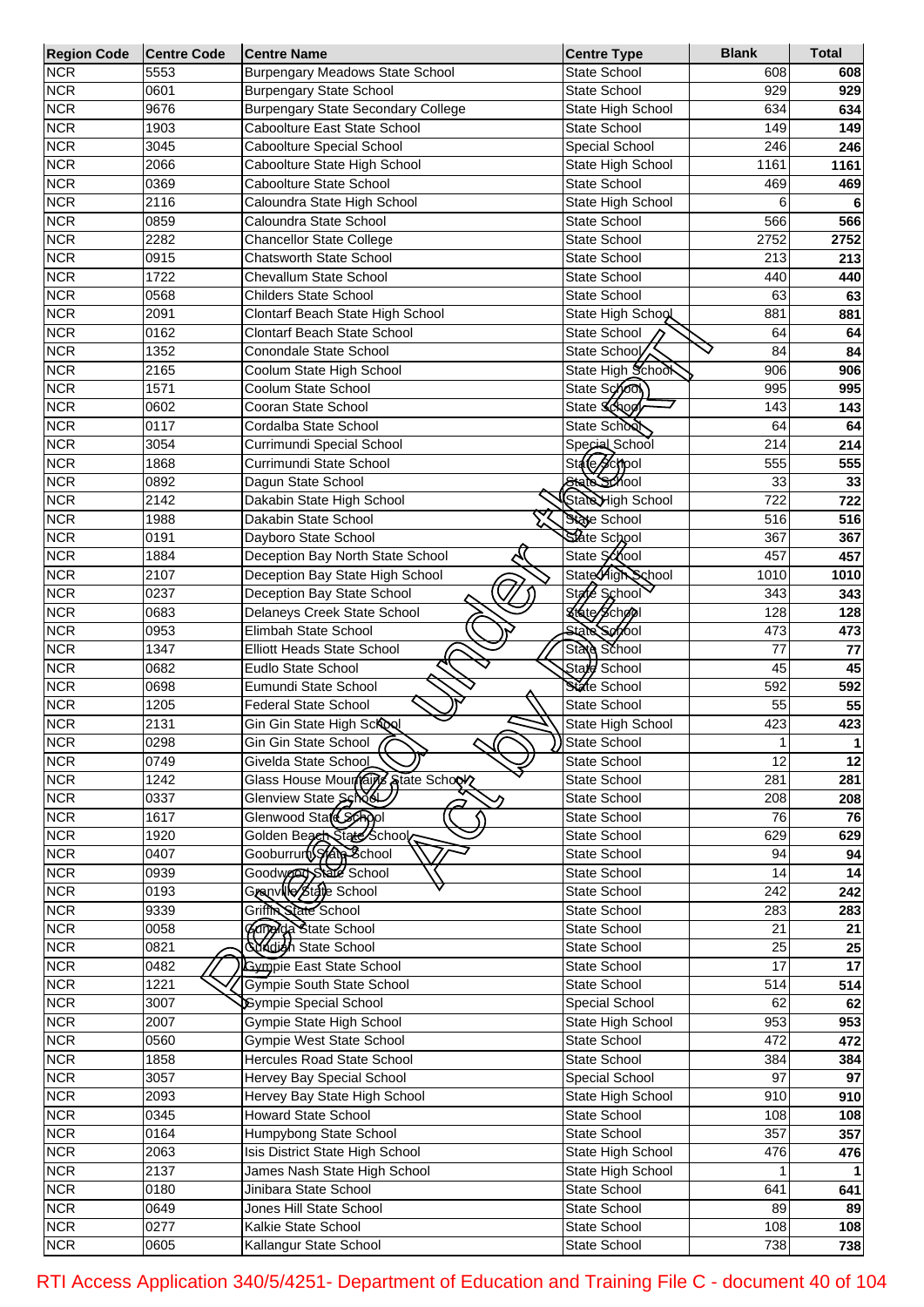| <b>Region Code</b> | Centre Code | <b>Centre Name</b>                        | <b>Centre Type</b>  | <b>Blank</b>    | <b>Total</b> |
|--------------------|-------------|-------------------------------------------|---------------------|-----------------|--------------|
| <b>NCR</b>         | 5553        | <b>Burpengary Meadows State School</b>    | <b>State School</b> | 608             | 608          |
| <b>NCR</b>         | 0601        | <b>Burpengary State School</b>            | <b>State School</b> | 929             | 929          |
| <b>NCR</b>         | 9676        | <b>Burpengary State Secondary College</b> | State High School   | 634             | 634          |
| <b>NCR</b>         | 1903        | Caboolture East State School              | <b>State School</b> | 149             | 149          |
| <b>NCR</b>         | 3045        | Caboolture Special School                 | Special School      | 246             | 246          |
| <b>NCR</b>         | 2066        | Caboolture State High School              | State High School   | 1161            | 1161         |
| <b>NCR</b>         | 0369        | Caboolture State School                   | <b>State School</b> | 469             | 469          |
| <b>NCR</b>         | 2116        | Caloundra State High School               | State High School   | 6               | 6            |
| <b>NCR</b>         | 0859        | Caloundra State School                    | <b>State School</b> | 566             | 566          |
| <b>NCR</b>         | 2282        | <b>Chancellor State College</b>           | <b>State School</b> | 2752            | 2752         |
| <b>NCR</b>         | 0915        | Chatsworth State School                   | State School        | 213             | 213          |
| <b>NCR</b>         | 1722        | <b>Chevallum State School</b>             | State School        | 440             |              |
|                    |             |                                           |                     |                 | 440          |
| <b>NCR</b>         | 0568        | <b>Childers State School</b>              | <b>State School</b> | 63              | 63           |
| <b>NCR</b>         | 2091        | Clontarf Beach State High School          | State High School   | 881             | 881          |
| <b>NCR</b>         | 0162        | Clontarf Beach State School               | State School        | 64              | 64           |
| <b>NCR</b>         | 1352        | Conondale State School                    | State School        | 84              | 84           |
| <b>NCR</b>         | 2165        | Coolum State High School                  | State High School   | 906             | 906          |
| <b>NCR</b>         | 1571        | Coolum State School                       | State School        | 995             | 995          |
| <b>NCR</b>         | 0602        | Cooran State School                       | State School        | 143             | 143          |
| <b>NCR</b>         | 0117        | Cordalba State School                     | State School        | 64              | 64           |
| <b>NCR</b>         | 3054        | Currimundi Special School                 | Special School      | 214             | 214          |
| <b>NCR</b>         | 1868        | Currimundi State School                   | State School        | 555             | 555          |
| <b>NCR</b>         | 0892        | Dagun State School                        | State School        | 33              | 33           |
| <b>NCR</b>         | 2142        | Dakabin State High School                 | StateHigh School    | 722             | 722          |
|                    |             |                                           |                     |                 |              |
| <b>NCR</b>         | 1988        | Dakabin State School                      | State School        | 516             | 516          |
| <b>NCR</b>         | 0191        | Dayboro State School                      | State School        | 367             | 367          |
| <b>NCR</b>         | 1884        | Deception Bay North State School          | State School        | 457             | 457          |
| <b>NCR</b>         | 2107        | Deception Bay State High School           | State High School   | 1010            | 1010         |
| <b>NCR</b>         | 0237        | Deception Bay State School                | State School        | 343             | 343          |
| <b>NCR</b>         | 0683        | Delaneys Creek State School               | Ktate School        | 128             | 128          |
| <b>NCR</b>         | 0953        | Elimbah State School                      | <b>State School</b> | 473             | 473          |
| <b>NCR</b>         | 1347        | Elliott Heads State School                | State School        | 77              | 77           |
| <b>NCR</b>         | 0682        | Eudlo State School                        | Stard School        | 45              | 45           |
| <b>NCR</b>         | 0698        | Eumundi State School                      | State School        | 592             | 592          |
| <b>NCR</b>         | 1205        | <b>Federal State School</b>               | <b>State School</b> | 55              | 55           |
| <b>NCR</b>         |             |                                           |                     |                 |              |
|                    | 2131        | Gin Gin State High School                 | State High School   | 423<br>1        | 423          |
| <b>NCR</b>         | 0298        | Gin Gin State School<br>୰                 | State School        |                 | 1            |
| <b>NCR</b>         | 0749        | Givelda State School                      | State School        | 12              | 12           |
| <b>NCR</b>         | 1242        | Glass House Mourreins State School        | State School        | 281             | 281          |
| <b>NCR</b>         | 0337        | Glenview State School                     | State School        | 208             | 208          |
| <b>NCR</b>         | 1617        | Glenwood State School                     | State School        | 76              | 76           |
| <b>NCR</b>         | 1920        | Golden Beach State School                 | State School        | 629             | 629          |
| <b>NCR</b>         | 0407        | Gooburrum State School                    | State School        | 94              | 94           |
| <b>NCR</b>         | 0939        | Goodward State School                     | State School        | 14              | 14           |
| <b>NCR</b>         | 0193        | Granville State School                    | State School        | 242             | 242          |
| <b>NCR</b>         | 9339        | Griffin State School                      | State School        | 283             | 283          |
| <b>NCR</b>         | 0058        | Campida State School                      | State School        | 21              | 21           |
| <b>NCR</b>         | 0821        | <b>Sundigh State School</b>               | State School        | 25              |              |
|                    |             |                                           |                     |                 | 25           |
| <b>NCR</b>         | 0482        | <b>Gympie East State School</b>           | State School        | $\overline{17}$ | 17           |
| <b>NCR</b>         | 1221        | Gympie South State School                 | State School        | 514             | 514          |
| <b>NCR</b>         | 3007        | <b>Sympie Special School</b>              | Special School      | 62              | 62           |
| <b>NCR</b>         | 2007        | Gympie State High School                  | State High School   | 953             | 953          |
| <b>NCR</b>         | 0560        | <b>Gympie West State School</b>           | State School        | 472             | 472          |
| <b>NCR</b>         | 1858        | Hercules Road State School                | State School        | 384             | 384          |
| <b>NCR</b>         | 3057        | <b>Hervey Bay Special School</b>          | Special School      | 97              | 97           |
| <b>NCR</b>         | 2093        | Hervey Bay State High School              | State High School   | 910             | 910          |
| <b>NCR</b>         | 0345        | Howard State School                       | State School        | 108             | 108          |
| <b>NCR</b>         | 0164        | Humpybong State School                    | State School        | 357             | 357          |
| <b>NCR</b>         | 2063        | <b>Isis District State High School</b>    | State High School   | 476             |              |
|                    |             |                                           |                     |                 | 476          |
| <b>NCR</b>         | 2137        | James Nash State High School              | State High School   |                 |              |
| <b>NCR</b>         | 0180        | Jinibara State School                     | State School        | 641             | 641          |
| <b>NCR</b>         | 0649        | Jones Hill State School                   | State School        | 89              | 89           |
| <b>NCR</b>         | 0277        | Kalkie State School                       | State School        | 108             | 108          |
| <b>NCR</b>         | 0605        | Kallangur State School                    | State School        | 738             | 738          |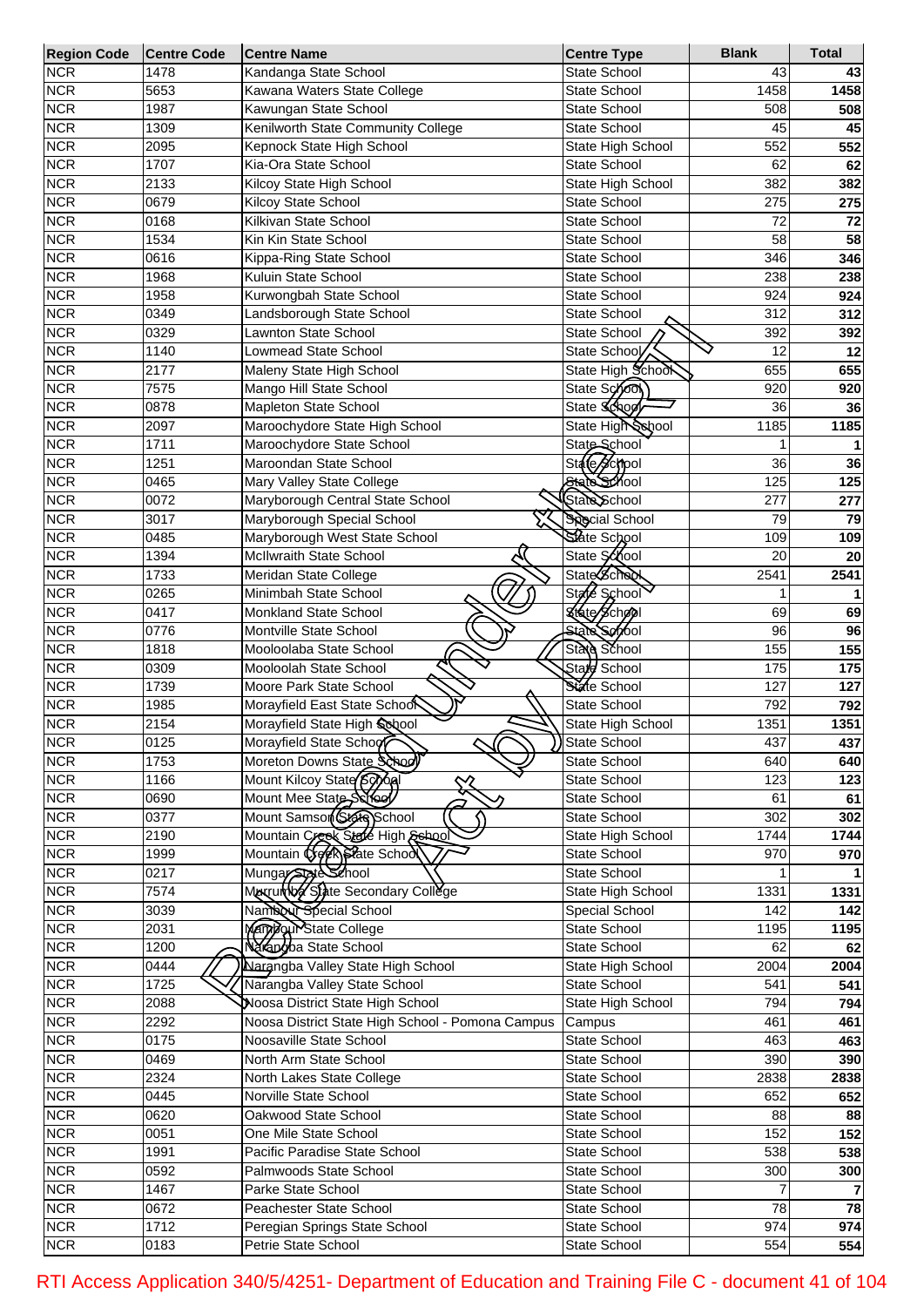| <b>Region Code</b> | <b>Centre Code</b> | <b>Centre Name</b>                               | <b>Centre Type</b>    | <b>Blank</b> | <b>Total</b> |
|--------------------|--------------------|--------------------------------------------------|-----------------------|--------------|--------------|
| <b>NCR</b>         | 1478               | Kandanga State School                            | State School          | 43           | 43           |
| <b>NCR</b>         | 5653               | Kawana Waters State College                      | State School          | 1458         | 1458         |
| <b>NCR</b>         | 1987               | Kawungan State School                            | State School          | 508          | 508          |
| <b>NCR</b>         | 1309               | Kenilworth State Community College               | <b>State School</b>   | 45           | 45           |
| <b>NCR</b>         | 2095               | Kepnock State High School                        | State High School     | 552          | 552          |
| <b>NCR</b>         | 1707               | Kia-Ora State School                             | <b>State School</b>   | 62           | 62           |
| <b>NCR</b>         | 2133               | Kilcoy State High School                         | State High School     | 382          | 382          |
| <b>NCR</b>         | 0679               | Kilcoy State School                              | <b>State School</b>   | 275          | 275          |
| <b>NCR</b>         | 0168               | Kilkivan State School                            | State School          | 72           | 72           |
| <b>NCR</b>         | 1534               | Kin Kin State School                             | State School          | 58           | 58           |
| <b>NCR</b>         | 0616               | Kippa-Ring State School                          | State School          | 346          | 346          |
| <b>NCR</b>         | 1968               | Kuluin State School                              | State School          | 238          | 238          |
| <b>NCR</b>         | 1958               | Kurwongbah State School                          | State School          | 924          |              |
|                    |                    |                                                  |                       |              | 924          |
| <b>NCR</b>         | 0349               | Landsborough State School                        | State School          | 312          | 312          |
| <b>NCR</b>         | 0329               | Lawnton State School                             | State School          | 392          | 392          |
| <b>NCR</b>         | 1140               | Lowmead State School                             | State School          | 12           | 12           |
| <b>NCR</b>         | 2177               | Maleny State High School                         | State High School     | 655          | 655          |
| <b>NCR</b>         | 7575               | Mango Hill State School                          | State School          | 920          | 920          |
| <b>NCR</b>         | 0878               | Mapleton State School                            | State School          | 36           | 36           |
| <b>NCR</b>         | 2097               | Maroochydore State High School                   | State High School     | 1185         | 1185         |
| <b>NCR</b>         | 1711               | Maroochydore State School                        | State School          | 1            |              |
| <b>NCR</b>         | 1251               | Maroondan State School                           | State School          | 36           | 36           |
| <b>NCR</b>         | 0465               | Mary Valley State College                        | State School          | 125          | 125          |
| <b>NCR</b>         | 0072               | Maryborough Central State School                 | State School          | 277          | 277          |
| <b>NCR</b>         | 3017               | Maryborough Special School                       | <b>Special School</b> | 79           | 79           |
| <b>NCR</b>         | 0485               | Maryborough West State School                    | State School          | 109          | 109          |
| <b>NCR</b>         | 1394               | McIlwraith State School                          | State School          | 20           | 20           |
| <b>NCR</b>         | 1733               | Meridan State College                            | <b>State School</b>   | 2541         | 2541         |
| <b>NCR</b>         | 0265               | Minimbah State School                            | State School          |              |              |
| <b>NCR</b>         | 0417               | Monkland State School                            | <b>Ktate School</b>   | 69           | 69           |
| <b>NCR</b>         | 0776               | Montville State School                           | state School          | 96           | 96           |
| <b>NCR</b>         | 1818               | Mooloolaba State School                          | State School          | 155          | 155          |
|                    |                    |                                                  |                       |              |              |
| <b>NCR</b>         | 0309               | Mooloolah State School                           | Stard School          | 175          | 175          |
| <b>NCR</b>         | 1739               | Moore Park State School                          | State School          | 127          | 127          |
| <b>NCR</b>         | 1985               | Morayfield East State School                     | <b>State School</b>   | 792          | 792          |
| <b>NCR</b>         | 2154               | Morayfield State High School                     | State High School     | 1351         | 1351         |
| <b>NCR</b>         | 0125               | Morayfield State School<br>↵                     | State School          | 437          | 437          |
| <b>NCR</b>         | 1753               | Moreton Downs State School                       | State School          | 640          | 640          |
| <b>NCR</b>         | 1166               | Mount Kilcoy State 60%                           | State School          | 123          | 123          |
| <b>NCR</b>         | 0690               | Mount Mee State Screet                           | State School          | 61           | 61           |
| <b>NCR</b>         | 0377               | Mount Samson State School                        | State School          | 302          | 302          |
| <b>NCR</b>         | 2190               | Mountain Creek State High School                 | State High School     | 1744         | 1744         |
| <b>NCR</b>         | 1999               | Mountain Creek) State School                     | State School          | 970          | 970          |
| <b>NCR</b>         | 0217               | Mungar State School                              | State School          |              |              |
| <b>NCR</b>         | 7574               | Murrumber State Secondary College                | State High School     | 1331         | 1331         |
| <b>NCR</b>         | 3039               | Namsour Special School                           | Special School        | 142          | 142          |
| <b>NCR</b>         | 2031               | March State College                              | State School          | 1195         | 1195         |
| <b>NCR</b>         | 1200               | Narangoa State School                            | State School          | 62           | 62           |
| <b>NCR</b>         | 0444               | Narangba Valley State High School                | State High School     | 2004         | 2004         |
| <b>NCR</b>         | 1725               | Narangba Valley State School                     | State School          | 541          | 541          |
| <b>NCR</b>         | 2088               | Noosa District State High School                 | State High School     | 794          | 794          |
| <b>NCR</b>         | 2292               | Noosa District State High School - Pomona Campus | Campus                | 461          | 461          |
| <b>NCR</b>         | 0175               | Noosaville State School                          | State School          | 463          | 463          |
|                    |                    |                                                  |                       |              |              |
| <b>NCR</b>         | 0469               | North Arm State School                           | State School          | 390          | 390          |
| <b>NCR</b>         | 2324               | North Lakes State College                        | State School          | 2838         | 2838         |
| <b>NCR</b>         | 0445               | Norville State School                            | State School          | 652          | 652          |
| <b>NCR</b>         | 0620               | Oakwood State School                             | State School          | 88           | 88           |
| <b>NCR</b>         | 0051               | One Mile State School                            | State School          | 152          | 152          |
| <b>NCR</b>         | 1991               | Pacific Paradise State School                    | State School          | 538          | 538          |
| <b>NCR</b>         | 0592               | Palmwoods State School                           | State School          | 300          | 300          |
| <b>NCR</b>         | 1467               | Parke State School                               | State School          |              |              |
| <b>NCR</b>         | 0672               | Peachester State School                          | State School          | 78           | 78           |
| <b>NCR</b>         | 1712               | Peregian Springs State School                    | State School          | 974          | 974          |
| <b>NCR</b>         | 0183               | Petrie State School                              | State School          | 554          | 554          |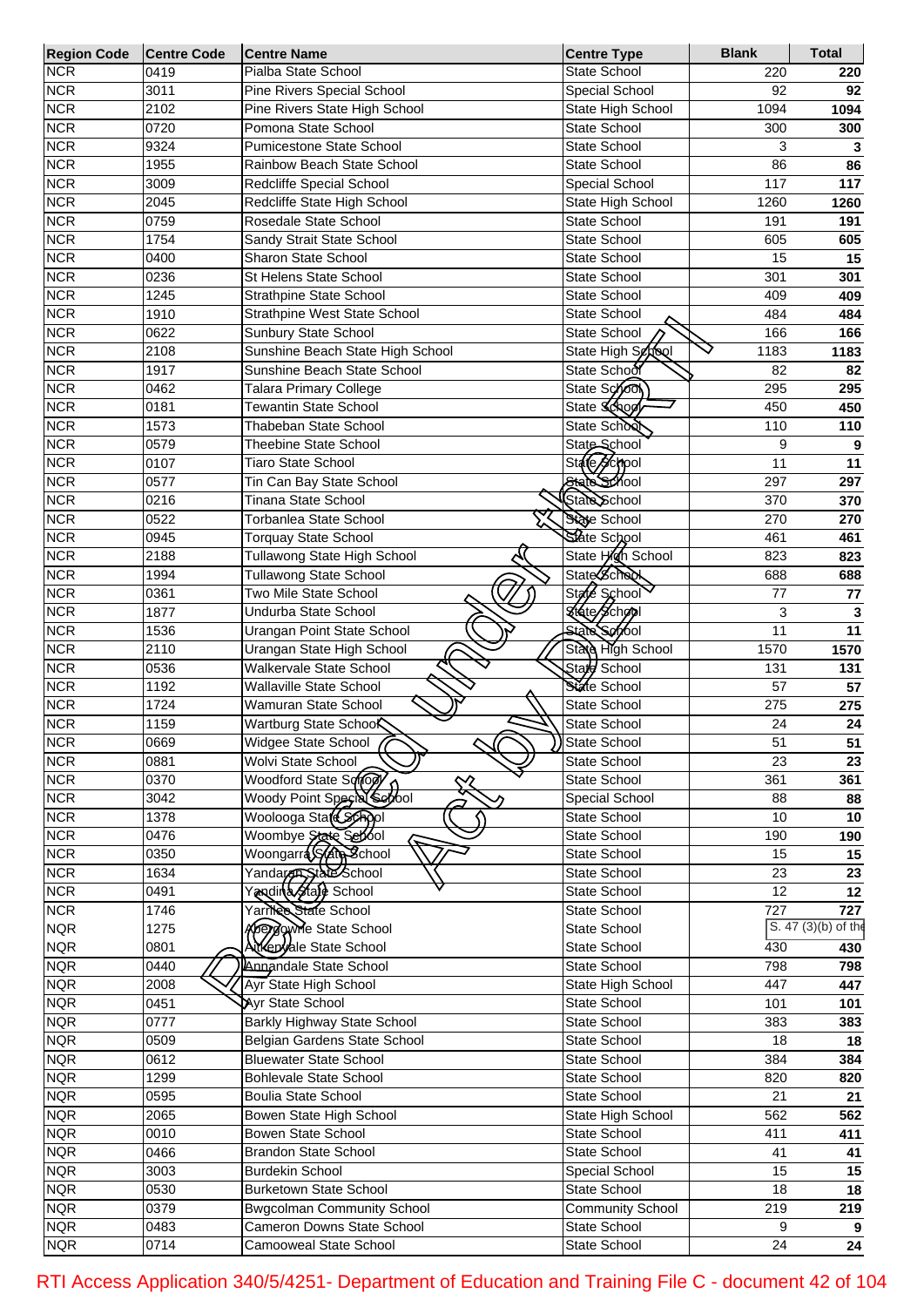| <b>Region Code</b> | <b>Centre Code</b> | <b>Centre Name</b>                 | <b>Centre Type</b>      | <b>Blank</b>     | <b>Total</b>        |
|--------------------|--------------------|------------------------------------|-------------------------|------------------|---------------------|
| <b>NCR</b>         | 0419               | Pialba State School                | State School            | 220              | 220                 |
| <b>NCR</b>         | 3011               | Pine Rivers Special School         | Special School          | 92               | 92                  |
| <b>NCR</b>         | 2102               | Pine Rivers State High School      | State High School       | 1094             | 1094                |
| <b>NCR</b>         | 0720               | Pomona State School                | <b>State School</b>     | 300              | 300                 |
| <b>NCR</b>         | 9324               | Pumicestone State School           | <b>State School</b>     | 3                | 3                   |
| <b>NCR</b>         | 1955               | Rainbow Beach State School         | <b>State School</b>     | 86               | 86                  |
| <b>NCR</b>         | 3009               | Redcliffe Special School           | Special School          | 117              | 117                 |
| <b>NCR</b>         | 2045               | Redcliffe State High School        | State High School       | 1260             | 1260                |
| <b>NCR</b>         | 0759               | Rosedale State School              | <b>State School</b>     | 191              | 191                 |
| <b>NCR</b>         | 1754               | Sandy Strait State School          | <b>State School</b>     | 605              | 605                 |
| <b>NCR</b>         | 0400               | <b>Sharon State School</b>         | <b>State School</b>     | 15               | 15                  |
| <b>NCR</b>         | 0236               | St Helens State School             | <b>State School</b>     | 301              | 301                 |
| <b>NCR</b>         | 1245               | <b>Strathpine State School</b>     | <b>State School</b>     | 409              | 409                 |
| <b>NCR</b>         | 1910               | Strathpine West State School       | State School            | 484              | 484                 |
| <b>NCR</b>         | 0622               | Sunbury State School               | State School            | 166              | 166                 |
| <b>NCR</b>         | 2108               | Sunshine Beach State High School   | State High School       | 1183             | 1183                |
| <b>NCR</b>         | 1917               | Sunshine Beach State School        | State School            | 82               | 82                  |
| <b>NCR</b>         | 0462               | Talara Primary College             | State School            | 295              | 295                 |
| <b>NCR</b>         | 0181               | <b>Tewantin State School</b>       | State Schoo             | 450              | 450                 |
| <b>NCR</b>         | 1573               | Thabeban State School              | State School            | 110              | 110                 |
| <b>NCR</b>         | 0579               | <b>Theebine State School</b>       | State School            | 9                | 9                   |
| <b>NCR</b>         | 0107               | <b>Tiaro State School</b>          | State School            | 11               | 11                  |
| <b>NCR</b>         | 0577               | Tin Can Bay State School           | State School            | 297              | 297                 |
| <b>NCR</b>         | 0216               | Tinana State School                | State School            | 370              | 370                 |
| <b>NCR</b>         | 0522               | Torbanlea State School             | State School            | 270              | 270                 |
| <b>NCR</b>         | 0945               | <b>Torquay State School</b>        | State School            | 461              | 461                 |
| <b>NCR</b>         | 2188               | Tullawong State High School        | State High School       | 823              | 823                 |
| <b>NCR</b>         | 1994               | Tullawong State School             | <b>State Scheol</b>     | 688              | 688                 |
| <b>NCR</b>         | 0361               | Two Mile State School              | State School            | 77               | 77                  |
| <b>NCR</b>         | 1877               | Undurba State School               | <b>Kisto School</b>     | 3                | 3                   |
| <b>NCR</b>         | 1536               | Urangan Point State School         | State School            | 11               | 11                  |
| <b>NCR</b>         | 2110               | Urangan State High School          | State High School       | 1570             | 1570                |
| <b>NCR</b>         | 0536               | Walkervale State School            | Stard School            | 131              | 131                 |
| <b>NCR</b>         | 1192               | <b>Wallaville State School</b>     | State School            | 57               | 57                  |
| <b>NCR</b>         | 1724               | Wamuran State School               | State School            | 275              | 275                 |
| <b>NCR</b>         | 1159               | Wartburg State SchooK              | State School            | 24               | 24                  |
| <b>NCR</b>         | 0669               | Widgee State School                | State School            | 51               | 51                  |
| <b>NCR</b>         | 0881               | עי<br>Wolvi State School           | State School            | 23               | 23                  |
| <b>NCR</b>         | 0370               | Woodford State Sonow<br>Z          | State School            | 361              | 361                 |
| <b>NCR</b>         | 3042               | Woody Point Special Sepool         | Special School          | 88               | 88                  |
| <b>NCR</b>         | 1378               | Woolooga State School              | State School            | 10               | 10                  |
| <b>NCR</b>         | 0476               | Woombye State School               | State School            | 190              | 190                 |
| <b>NCR</b>         | 0350               | Woongarra State School             | State School            | 15               | 15                  |
| <b>NCR</b>         | 1634               | Yandaran State School              | State School            | 23               | 23                  |
| <b>NCR</b>         | 0491               | Yandina Stafe School               | State School            | $\overline{12}$  | 12                  |
| <b>NCR</b>         | 1746               | Yarrica State School               | State School            | $\overline{727}$ | 727                 |
| <b>NQR</b>         | 1275               | <b>Apergovine State School</b>     | State School            |                  | S. 47 (3)(b) of the |
| <b>NQR</b>         | 0801               | Attenyale State School             | State School            | 430              | 430                 |
| <b>NQR</b>         | 0440               | Annandale State School             | State School            | 798              | 798                 |
| <b>NQR</b>         | 2008               | Ayr State High School              | State High School       | 447              | 447                 |
| <b>NQR</b>         | 0451               | Ayr State School                   | State School            | 101              | 101                 |
| <b>NQR</b>         | 0777               | <b>Barkly Highway State School</b> | State School            | 383              | 383                 |
| <b>NQR</b>         | 0509               | Belgian Gardens State School       | State School            | 18               | 18                  |
| <b>NQR</b>         | 0612               | <b>Bluewater State School</b>      | State School            | 384              | 384                 |
| <b>NQR</b>         |                    | <b>Bohlevale State School</b>      | State School            |                  |                     |
|                    | 1299               |                                    |                         | 820              | 820                 |
| <b>NQR</b>         | 0595               | <b>Boulia State School</b>         | State School            | 21               | 21                  |
| <b>NQR</b>         | 2065               | Bowen State High School            | State High School       | 562              | 562                 |
| <b>NQR</b>         | 0010               | Bowen State School                 | State School            | 411              | 411                 |
| <b>NQR</b>         | 0466               | <b>Brandon State School</b>        | State School            | 41               | 41                  |
| <b>NQR</b>         | 3003               | <b>Burdekin School</b>             | Special School          | 15               | 15                  |
| <b>NQR</b>         | 0530               | <b>Burketown State School</b>      | State School            | 18               | 18                  |
| <b>NQR</b>         | 0379               | <b>Bwgcolman Community School</b>  | <b>Community School</b> | 219              | 219                 |
| <b>NQR</b>         | 0483               | Cameron Downs State School         | State School            | 9                |                     |
| <b>NQR</b>         | 0714               | Camooweal State School             | State School            | 24               | $\overline{24}$     |

RTI Access Application 340/5/4251- Department of Education and Training File C - document 42 of 104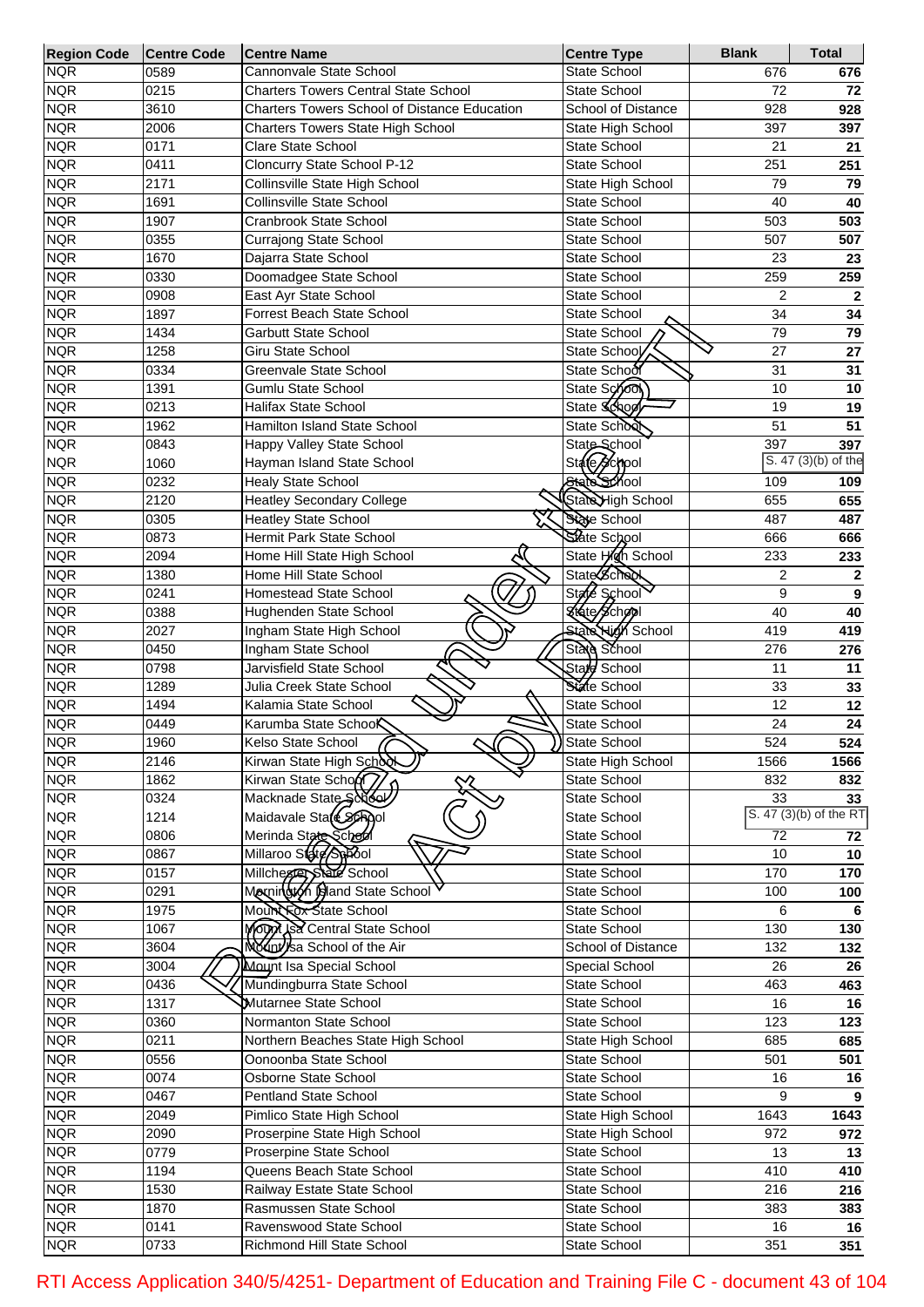| <b>Region Code</b>       | <b>Centre Code</b> | <b>Centre Name</b>                                  | <b>Centre Type</b>            | <b>Blank</b>    | <b>Total</b>           |
|--------------------------|--------------------|-----------------------------------------------------|-------------------------------|-----------------|------------------------|
| <b>NQR</b>               | 0589               | Cannonvale State School                             | State School                  | 676             | 676                    |
| <b>NQR</b>               | 0215               | <b>Charters Towers Central State School</b>         | State School                  | 72              | 72                     |
| <b>NQR</b>               | 3610               | <b>Charters Towers School of Distance Education</b> | School of Distance            | 928             | 928                    |
| <b>NQR</b>               | 2006               | Charters Towers State High School                   | State High School             | 397             | 397                    |
| <b>NQR</b>               | 0171               | Clare State School                                  | State School                  | 21              | 21                     |
| <b>NQR</b>               | 0411               | Cloncurry State School P-12                         | State School                  | 251             | 251                    |
| <b>NQR</b>               | 2171               | Collinsville State High School                      | State High School             | 79              | 79                     |
| <b>NQR</b>               | 1691               | <b>Collinsville State School</b>                    | State School                  | 40              | 40                     |
| <b>NQR</b>               | 1907               | Cranbrook State School                              | <b>State School</b>           | 503             | 503                    |
| <b>NQR</b>               | 0355               | <b>Currajong State School</b>                       | State School                  | 507             | 507                    |
| <b>NQR</b>               | 1670               | Dajarra State School                                | <b>State School</b>           | 23              | 23                     |
| <b>NQR</b>               | 0330               | Doomadgee State School                              | <b>State School</b>           | 259             | 259                    |
| <b>NQR</b>               | 0908               | East Ayr State School                               | <b>State School</b>           | $\overline{2}$  | $\mathbf{2}$           |
| <b>NQR</b>               | 1897               | Forrest Beach State School                          | State School                  | 34              | 34                     |
| <b>NQR</b>               | 1434               | <b>Garbutt State School</b>                         | State School                  | 79              | 79                     |
| <b>NQR</b>               | 1258               | Giru State School                                   | State School                  | 27              | 27                     |
| <b>NQR</b>               | 0334               | Greenvale State School                              | State School                  | 31              | 31                     |
| <b>NQR</b>               | 1391               | Gumlu State School                                  | State School                  | 10              | 10                     |
| <b>NQR</b>               | 0213               | Halifax State School                                | State Schoo                   | 19              | 19                     |
| <b>NQR</b>               | 1962               | Hamilton Island State School                        | State School                  | 51              | 51                     |
| <b>NQR</b>               | 0843               | Happy Valley State School                           | State School                  | 397             | 397                    |
| <b>NQR</b>               | 1060               | Hayman Island State School                          | State <del>/S</del> chool     |                 | $S. 47(3)(b)$ of the   |
| <b>NQR</b>               | 0232               | <b>Healy State School</b>                           | State School                  | 109             | 109                    |
| <b>NQR</b>               | 2120               | <b>Heatley Secondary College</b>                    | StateHigh School              | 655             | 655                    |
| <b>NQR</b>               | 0305               | <b>Heatley State School</b>                         | State School                  | 487             | 487                    |
| <b>NQR</b>               | 0873               | Hermit Park State School                            | State School                  | 666             | 666                    |
| <b>NQR</b>               | 2094               | Home Hill State High School                         | State High School             | 233             | 233                    |
| <b>NQR</b>               | 1380               | Home Hill State School                              | <b>State School</b>           | $\overline{2}$  | $\mathbf 2$            |
| <b>NQR</b>               | 0241               | <b>Homestead State School</b>                       | <b>State</b><br><b>School</b> | 9               | 9                      |
| <b>NQR</b>               | 0388               | Hughenden State School                              | Kikate School                 | 40              | 40                     |
| <b>NQR</b>               | 2027               | Ingham State High School                            | <b>State High School</b>      | 419             | 419                    |
| <b>NQR</b><br><b>NQR</b> | 0450<br>0798       | Ingham State School<br>Jarvisfield State School     | State School<br>State School  | 276<br>11       | 276                    |
| <b>NQR</b>               | 1289               | Julia Creek State School                            | State School                  | 33              | 11<br>33               |
| <b>NQR</b>               | 1494               | Kalamia State School                                | <b>State School</b>           | 12              | 12                     |
| <b>NQR</b>               | 0449               | Karumba State School                                | <b>State School</b>           | 24              | 24                     |
| <b>NQR</b>               | 1960               | Kelso State School                                  | State School                  | 524             | 524                    |
| <b>NQR</b>               | 2146               | Kirwan State High School                            | State High School             | 1566            | 1566                   |
| <b>NQR</b>               | 1862               | Kirwan State Schoor                                 | State School                  | 832             | 832                    |
| <b>NQR</b>               | 0324               | Macknade State School                               | State School                  | 33              | 33                     |
| <b>NQR</b>               | 1214               | Maidavale State School                              | State School                  |                 | S. 47 (3)(b) of the RT |
| <b>NQR</b>               | 0806               | Merinda State School                                | State School                  | $\overline{72}$ | 72                     |
| <b>NQR</b>               | 0867               | Millaroo Stare Spool                                | State School                  | 10              | 10                     |
| <b>NQR</b>               | 0157               | Millchester State School                            | State School                  | 170             | 170                    |
| <b>NQR</b>               | 0291               | Mornington Igland State School                      | State School                  | 100             | 100                    |
| <b>NQR</b>               | 1975               | Mount ox State School                               | State School                  | 6               | 6                      |
| <b>NQR</b>               | 1067               | Mounted Central State School                        | State School                  | 130             | 130                    |
| <b>NQR</b>               | 3604               | Mount sa School of the Air                          | School of Distance            | 132             | 132                    |
| <b>NQR</b>               | 3004               | Mount Isa Special School                            | Special School                | 26              | 26                     |
| <b>NQR</b>               | 0436               | Mundingburra State School                           | State School                  | 463             | 463                    |
| <b>NQR</b>               | 1317               | Mutarnee State School                               | State School                  | 16              | 16                     |
| <b>NQR</b>               | 0360               | Normanton State School                              | State School                  | 123             | 123                    |
| <b>NQR</b>               | 0211               | Northern Beaches State High School                  | State High School             | 685             | 685                    |
| <b>NQR</b>               | 0556               | Oonoonba State School                               | State School                  | 501             | 501                    |
| <b>NQR</b>               | 0074               | Osborne State School                                | State School                  | 16              | 16                     |
| <b>NQR</b>               | 0467               | Pentland State School                               | State School                  | 9               | 9                      |
| <b>NQR</b>               | 2049               | Pimlico State High School                           | State High School             | 1643            | 1643                   |
| <b>NQR</b>               | 2090               | Proserpine State High School                        | State High School             | 972             | 972                    |
| <b>NQR</b>               | 0779               | Proserpine State School                             | State School                  | 13              | 13                     |
| <b>NQR</b>               | 1194               | Queens Beach State School                           | State School                  | 410             | 410                    |
| <b>NQR</b>               | 1530               | Railway Estate State School                         | State School                  | 216             | 216                    |
| <b>NQR</b>               | 1870               | Rasmussen State School                              | State School                  | 383             | 383                    |
| <b>NQR</b>               | 0141               | Ravenswood State School                             | State School                  | 16              | 16                     |
| <b>NQR</b>               | 0733               | Richmond Hill State School                          | State School                  | 351             | 351                    |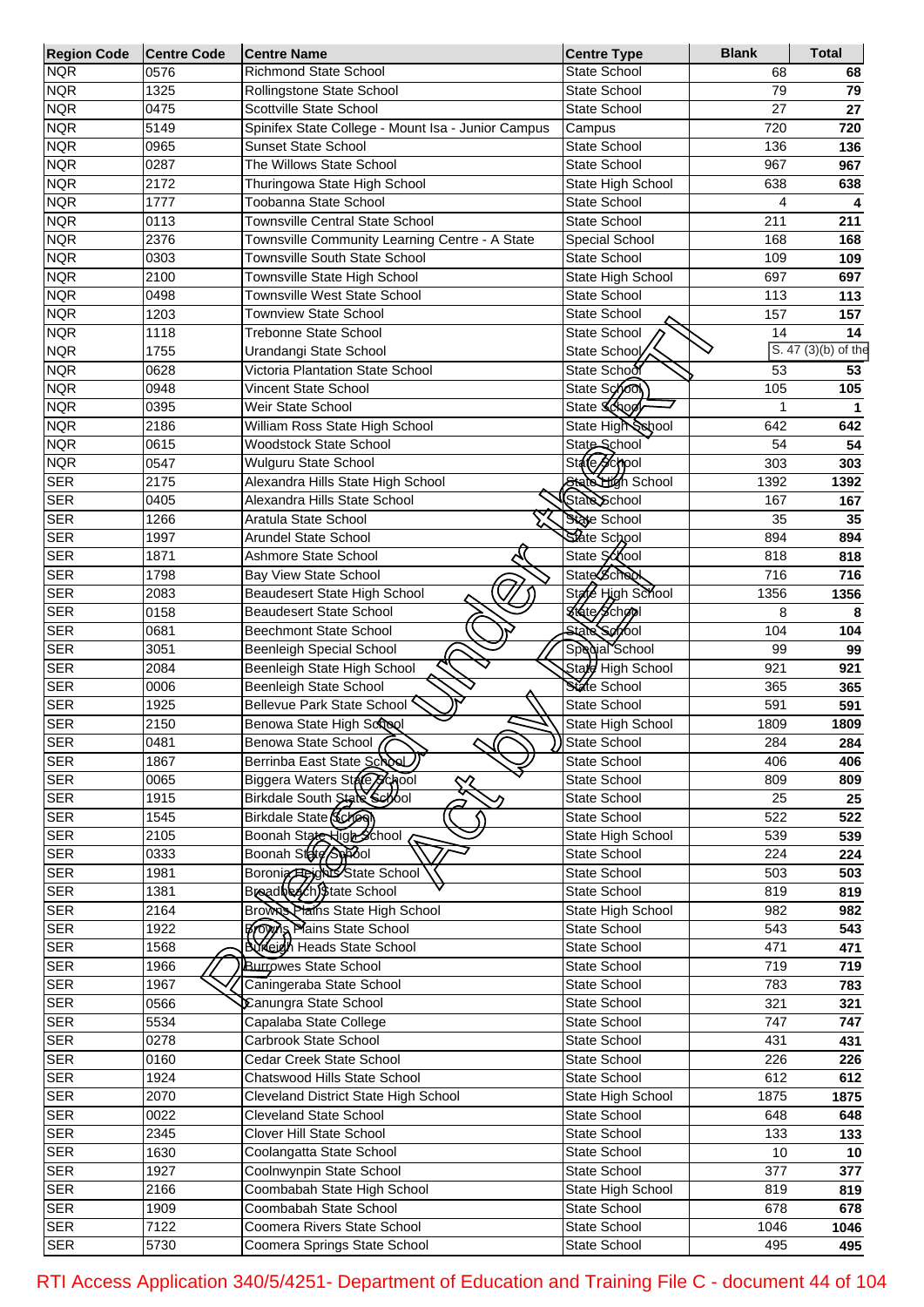| <b>Region Code</b>       | <b>Centre Code</b> | <b>Centre Name</b>                                           | <b>Centre Type</b>                  | <b>Blank</b> | <b>Total</b>        |
|--------------------------|--------------------|--------------------------------------------------------------|-------------------------------------|--------------|---------------------|
| <b>NQR</b>               | 0576               | <b>Richmond State School</b>                                 | <b>State School</b>                 | 68           | 68                  |
| <b>NQR</b>               | 1325               | Rollingstone State School                                    | <b>State School</b>                 | 79           | 79                  |
| <b>NQR</b>               | 0475               | Scottville State School                                      | State School                        | 27           | 27                  |
| <b>NQR</b>               | 5149               | Spinifex State College - Mount Isa - Junior Campus           | Campus                              | 720          | 720                 |
| <b>NQR</b>               | 0965               | <b>Sunset State School</b>                                   | <b>State School</b>                 | 136          | 136                 |
| <b>NQR</b>               | 0287               | The Willows State School                                     | State School                        | 967          | 967                 |
| <b>NQR</b>               | 2172               | Thuringowa State High School                                 | State High School                   | 638          | 638                 |
| <b>NQR</b>               | 1777               | Toobanna State School                                        | State School                        | 4            |                     |
| <b>NQR</b>               | 0113               | <b>Townsville Central State School</b>                       | State School                        | 211          | 211                 |
| <b>NQR</b>               | 2376               | Townsville Community Learning Centre - A State               | Special School                      | 168          | 168                 |
| <b>NQR</b>               | 0303               | Townsville South State School                                | <b>State School</b>                 | 109          | 109                 |
| <b>NQR</b>               | 2100               | Townsville State High School                                 | State High School                   | 697          | 697                 |
| <b>NQR</b>               | 0498               | Townsville West State School                                 | State School                        | 113          | 113                 |
| <b>NQR</b>               | 1203               | <b>Townview State School</b>                                 | State School                        | 157          | 157                 |
| <b>NQR</b>               | 1118               | <b>Trebonne State School</b>                                 | <b>State School</b>                 | 14           | 14                  |
| <b>NQR</b>               | 1755               | Urandangi State School                                       | State School                        |              | S. 47 (3)(b) of the |
| <b>NQR</b>               | 0628               | Victoria Plantation State School                             | State School                        | 53           | 53                  |
| <b>NQR</b>               | 0948               | Vincent State School                                         | State School                        | 105          | 105                 |
| <b>NQR</b>               | 0395               | <b>Weir State School</b>                                     | State School                        |              | 1                   |
| <b>NQR</b>               | 2186               | William Ross State High School                               | State High School                   | 642          | 642                 |
| <b>NQR</b>               | 0615               | <b>Woodstock State School</b>                                | State School                        | 54           | 54                  |
| <b>NQR</b>               | 0547               | Wulguru State School                                         | State School                        | 303          | 303                 |
| <b>SER</b>               | 2175               | Alexandra Hills State High School                            | State High School                   | 1392         | 1392                |
| <b>SER</b>               | 0405               | Alexandra Hills State School                                 | State School                        | 167          | 167                 |
| <b>SER</b>               | 1266               | Aratula State School                                         | State School<br>State School        | 35           | 35                  |
| <b>SER</b>               | 1997               | <b>Arundel State School</b>                                  |                                     | 894          | 894                 |
| <b>SER</b>               | 1871               | Ashmore State School                                         | State School<br><b>State School</b> | 818          | 818                 |
| <b>SER</b><br><b>SER</b> | 1798               | <b>Bay View State School</b><br>Beaudesert State High School | State High School                   | 716          | 716                 |
|                          | 2083               |                                                              | State School                        | 1356<br>8    | 1356                |
| <b>SER</b><br><b>SER</b> | 0158<br>0681       | <b>Beaudesert State School</b><br>Beechmont State School     | State School                        | 104          | 8                   |
| <b>SER</b>               | 3051               | Beenleigh Special School                                     | Special School                      | 99           | 104                 |
| <b>SER</b>               | 2084               | Beenleigh State High School                                  | Stard High School                   | 921          | 99                  |
| <b>SER</b>               | 0006               | Beenleigh State School                                       | State School                        | 365          | 921<br>365          |
| <b>SER</b>               | 1925               | Bellevue Park State School                                   | State School                        | 591          | 591                 |
| <b>SER</b>               | 2150               | Benowa State High Scrool                                     | State High School                   | 1809         | 1809                |
| <b>SER</b>               | 0481               | Benowa State School (                                        | State School                        | 284          | 284                 |
| <b>SER</b>               | 1867               | Berrinba East State School                                   | State School                        | 406          | 406                 |
| <b>SER</b>               | 0065               | Biggera Waters Stare School                                  | State School                        | 809          | 809                 |
| <b>SER</b>               | 1915               | $\sim$<br>Birkdale South State Serool                        | State School                        | 25           | 25                  |
| <b>SER</b>               | 1545               | Birkdale State (School                                       | State School                        | 522          | 522                 |
| <b>SER</b>               | 2105               | Boonah State High School                                     | <b>State High School</b>            | 539          | 539                 |
| <b>SER</b>               | 0333               | Boonah State Aspool                                          | State School                        | 224          | 224                 |
| <b>SER</b>               | 1981               | Boronia Heights State School                                 | State School                        | 503          | 503                 |
| <b>SER</b>               | 1381               | Breadbeach)\$tate School                                     | State School                        | 819          | 819                 |
| <b>SER</b>               | 2164               | Brown Plains State High School                               | State High School                   | 982          | 982                 |
| <b>SER</b>               | 1922               | <b>Brown Plains State School</b>                             | State School                        | 543          | 543                 |
| <b>SER</b>               | 1568               | <b>Burkeigh Heads State School</b>                           | State School                        | 471          | 471                 |
| <b>SER</b>               | 1966               | <b>Burrowes State School</b>                                 | State School                        | 719          | 719                 |
| <b>SER</b>               | 1967               | Caningeraba State School                                     | State School                        | 783          | 783                 |
| <b>SER</b>               | 0566               | Canungra State School                                        | State School                        | 321          | 321                 |
| <b>SER</b>               | 5534               | Capalaba State College                                       | State School                        | 747          | 747                 |
| <b>SER</b>               | 0278               | Carbrook State School                                        | State School                        | 431          | 431                 |
| <b>SER</b>               | 0160               | Cedar Creek State School                                     | State School                        | 226          | 226                 |
| <b>SER</b>               | 1924               | Chatswood Hills State School                                 | State School                        | 612          | 612                 |
| <b>SER</b>               | 2070               | Cleveland District State High School                         | State High School                   | 1875         | 1875                |
| <b>SER</b>               | 0022               | <b>Cleveland State School</b>                                | State School                        | 648          | 648                 |
| <b>SER</b>               | 2345               | <b>Clover Hill State School</b>                              | State School                        | 133          | 133                 |
| <b>SER</b>               | 1630               | Coolangatta State School                                     | State School                        | 10           | 10                  |
| <b>SER</b>               | 1927               | Coolnwynpin State School                                     | State School                        | 377          | 377                 |
| <b>SER</b>               | 2166               | Coombabah State High School                                  | State High School                   | 819          | 819                 |
| <b>SER</b>               | 1909               | Coombabah State School                                       | State School                        | 678          | 678                 |
| <b>SER</b>               | 7122               | Coomera Rivers State School                                  | State School                        | 1046         | 1046                |
| <b>SER</b>               | 5730               | Coomera Springs State School                                 | State School                        | 495          | 495                 |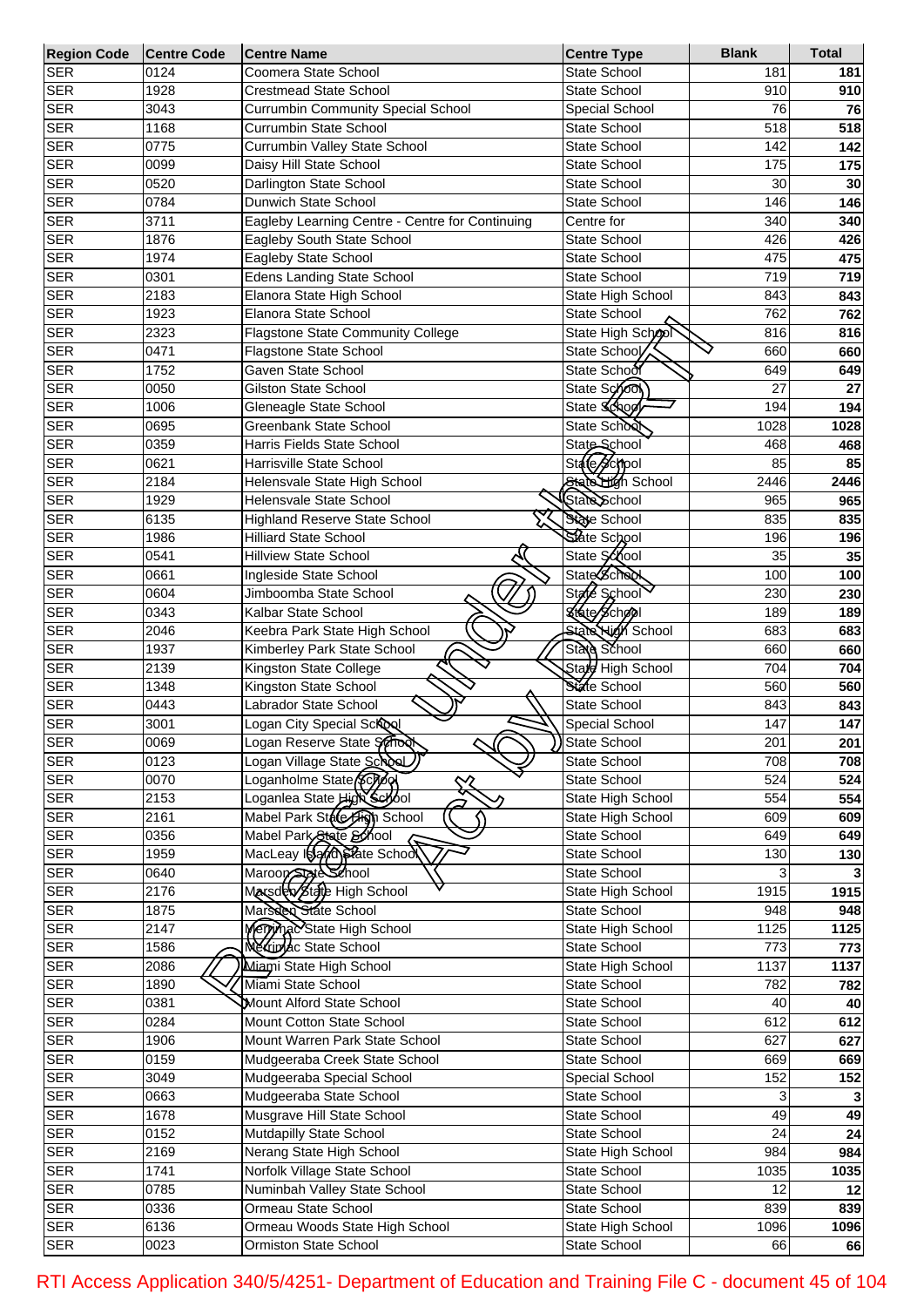| <b>Region Code</b> | Centre Code | <b>Centre Name</b>                              | <b>Centre Type</b>       | <b>Blank</b> | <b>Total</b> |
|--------------------|-------------|-------------------------------------------------|--------------------------|--------------|--------------|
| <b>SER</b>         | 0124        | Coomera State School                            | <b>State School</b>      | 181          | 181          |
| <b>SER</b>         | 1928        | <b>Crestmead State School</b>                   | State School             | 910          | 910          |
| <b>SER</b>         | 3043        | <b>Currumbin Community Special School</b>       | Special School           | 76           | 76           |
| <b>SER</b>         | 1168        | <b>Currumbin State School</b>                   | <b>State School</b>      | 518          | 518          |
| <b>SER</b>         | 0775        | Currumbin Valley State School                   | State School             | 142          | 142          |
| <b>SER</b>         | 0099        | Daisy Hill State School                         | State School             | 175          | 175          |
| <b>SER</b>         | 0520        | Darlington State School                         | State School             | 30           | 30           |
| <b>SER</b>         | 0784        | Dunwich State School                            | State School             | 146          | 146          |
| <b>SER</b>         | 3711        | Eagleby Learning Centre - Centre for Continuing | Centre for               | 340          | 340          |
| <b>SER</b>         | 1876        | Eagleby South State School                      | <b>State School</b>      | 426          | 426          |
| <b>SER</b>         | 1974        | Eagleby State School                            | State School             | 475          | 475          |
| <b>SER</b>         | 0301        | <b>Edens Landing State School</b>               | <b>State School</b>      | 719          | 719          |
| <b>SER</b>         | 2183        | Elanora State High School                       | State High School        | 843          | 843          |
| <b>SER</b>         | 1923        | Elanora State School                            | State School             | 762          | 762          |
| <b>SER</b>         | 2323        | <b>Flagstone State Community College</b>        | State High School        | 816          | 816          |
| <b>SER</b>         | 0471        | Flagstone State School                          | State School             | 660          | 660          |
| <b>SER</b>         | 1752        | Gaven State School                              | State School             | 649          | 649          |
| <b>SER</b>         | 0050        | Gilston State School                            | State School             | 27           | 27           |
| <b>SER</b>         | 1006        | Gleneagle State School                          | State Schoo              | 194          | 194          |
|                    |             |                                                 |                          |              |              |
| <b>SER</b>         | 0695        | Greenbank State School                          | State School             | 1028         | 1028         |
| <b>SER</b>         | 0359        | Harris Fields State School                      | State School             | 468          | 468          |
| <b>SER</b>         | 0621        | Harrisville State School                        | State School             | 85           | 85           |
| <b>SER</b>         | 2184        | Helensvale State High School                    | State High School        | 2446         | 2446         |
| <b>SER</b>         | 1929        | Helensvale State School                         | State School             | 965          | 965          |
| <b>SER</b>         | 6135        | <b>Highland Reserve State School</b>            | State School             | 835          | 835          |
| <b>SER</b>         | 1986        | <b>Hilliard State School</b>                    | State School             | 196          | 196          |
| <b>SER</b>         | 0541        | <b>Hillview State School</b>                    | State School             | 35           | 35           |
| <b>SER</b>         | 0661        | Ingleside State School                          | <b>State School</b>      | 100          | 100          |
| <b>SER</b>         | 0604        | Jimboomba State School                          | State School             | 230          | 230          |
| <b>SER</b>         | 0343        | Kalbar State School                             | State School             | 189          | 189          |
| <b>SER</b>         | 2046        | Keebra Park State High School                   | <b>State High School</b> | 683          | 683          |
| <b>SER</b>         | 1937        | Kimberley Park State School                     | State School             | 660          | 660          |
| <b>SER</b>         | 2139        | Kingston State College                          | State High School        | 704          | 704          |
| <b>SER</b>         | 1348        | Kingston State School                           | State School             | 560          | 560          |
| <b>SER</b>         | 0443        | Labrador State School                           | <b>State School</b>      | 843          | 843          |
| <b>SER</b>         | 3001        | Logan City Special School                       | Special School           | 147          | 147          |
| <b>SER</b>         | 0069        | Logan Reserve State School                      | State School             | 201          | 201          |
| <b>SER</b>         | 0123        | ↵<br>Logan Village State School                 | State School             | 708          | 708          |
| <b>SER</b>         | 0070        | Loganholme State School                         | State School             | 524          | 524          |
| <b>SER</b>         | 2153        | ╳<br>Loganlea State High School                 | State High School        | 554          | 554          |
| <b>SER</b>         | 2161        | Mabel Park State Figh School                    | State High School        | 609          | 609          |
| <b>SER</b>         | 0356        | Mabel Park State School                         | <b>State School</b>      | 649          |              |
| <b>SER</b>         | 1959        | MacLeay IS and State School                     | <b>State School</b>      | 130          | 649          |
|                    |             |                                                 |                          |              | 130          |
| <b>SER</b>         | 0640        | Maroop State School                             | State School             | 3            |              |
| <b>SER</b>         | 2176        | Marsdew State High School                       | State High School        | 1915         | 1915         |
| <b>SER</b>         | 1875        | Marsden State School                            | State School             | 948          | 948          |
| <b>SER</b>         | 2147        | Merrina State High School                       | State High School        | 1125         | 1125         |
| <b>SER</b>         | 1586        | Mexinhac State School                           | State School             | 773          | 773          |
| <b>SER</b>         | 2086        | Miami State High School                         | State High School        | 1137         | 1137         |
| <b>SER</b>         | 1890        | Miami State School                              | State School             | 782          | 782          |
| <b>SER</b>         | 0381        | Mount Alford State School                       | State School             | 40           | 40           |
| <b>SER</b>         | 0284        | Mount Cotton State School                       | State School             | 612          | 612          |
| <b>SER</b>         | 1906        | Mount Warren Park State School                  | State School             | 627          | 627          |
| <b>SER</b>         | 0159        | Mudgeeraba Creek State School                   | State School             | 669          | 669          |
| <b>SER</b>         | 3049        | Mudgeeraba Special School                       | Special School           | 152          | 152          |
| <b>SER</b>         | 0663        | Mudgeeraba State School                         | State School             | 3            |              |
| <b>SER</b>         | 1678        | Musgrave Hill State School                      | State School             | 49           | 49           |
| <b>SER</b>         | 0152        | Mutdapilly State School                         | State School             | 24           | 24           |
| <b>SER</b>         | 2169        | Nerang State High School                        | State High School        | 984          | 984          |
| <b>SER</b>         | 1741        | Norfolk Village State School                    | State School             | 1035         | 1035         |
| <b>SER</b>         | 0785        | Numinbah Valley State School                    | State School             | 12           | 12           |
| <b>SER</b>         | 0336        | Ormeau State School                             | State School             | 839          | 839          |
| <b>SER</b>         | 6136        | Ormeau Woods State High School                  | State High School        | 1096         | 1096         |
| <b>SER</b>         | 0023        | Ormiston State School                           | State School             | 66           | 66           |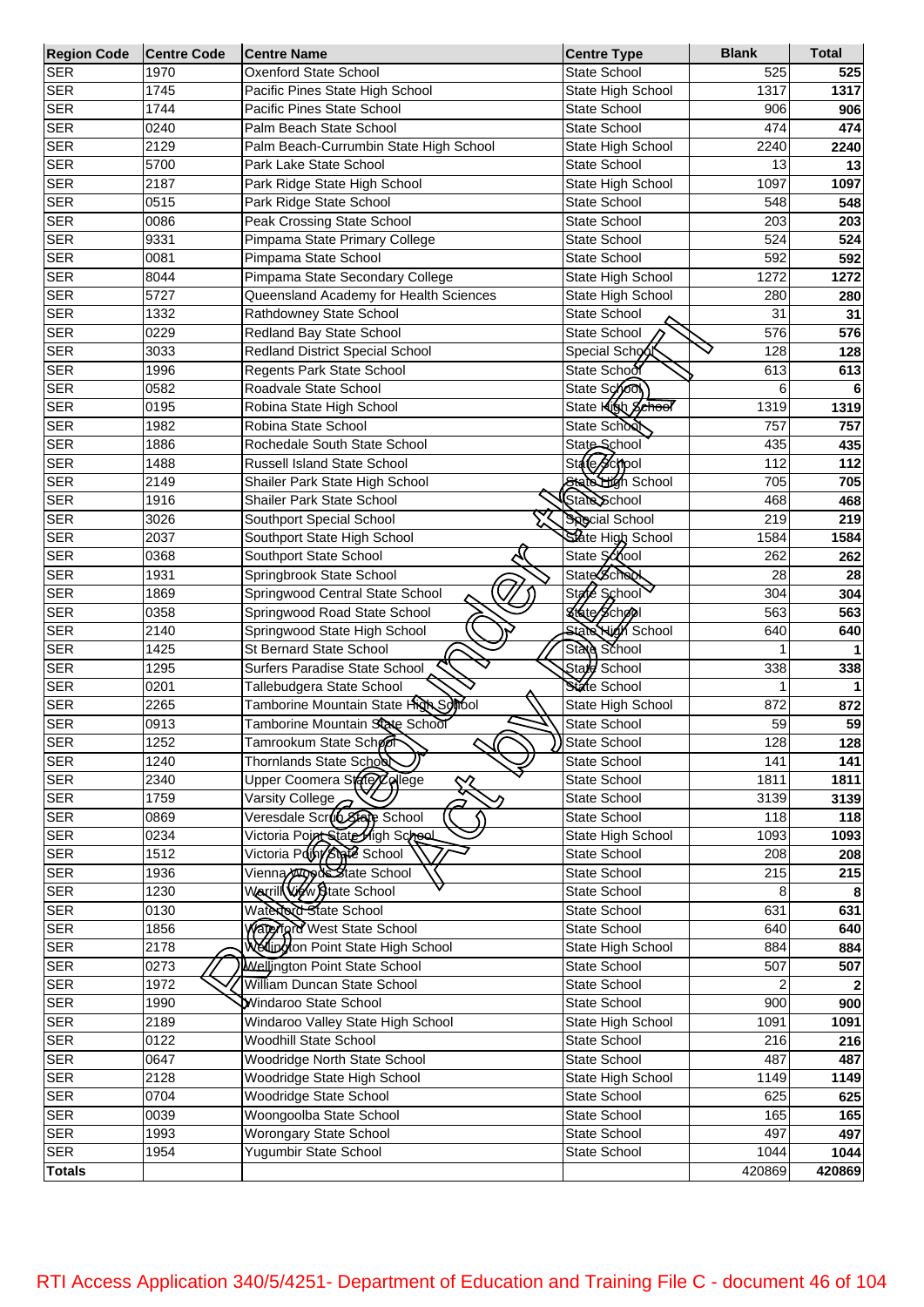| <b>Region Code</b> | <b>Centre Code</b> | <b>Centre Name</b>                                | <b>Centre Type</b>       | <b>Blank</b> | <b>Total</b> |
|--------------------|--------------------|---------------------------------------------------|--------------------------|--------------|--------------|
| <b>SER</b>         | 1970               | <b>Oxenford State School</b>                      | <b>State School</b>      | 525          | 525          |
| <b>SER</b>         | 1745               | Pacific Pines State High School                   | State High School        | 1317         | 1317         |
| <b>SER</b>         | 1744               | Pacific Pines State School                        | <b>State School</b>      | 906          | 906          |
| <b>SER</b>         | 0240               | Palm Beach State School                           | State School             | 474          | 474          |
| <b>SER</b>         | 2129               | Palm Beach-Currumbin State High School            | State High School        | 2240         | 2240         |
| <b>SER</b>         | 5700               | Park Lake State School                            | State School             | 13           | 13           |
| <b>SER</b>         | 2187               | Park Ridge State High School                      | State High School        | 1097         | 1097         |
| <b>SER</b>         | 0515               | Park Ridge State School                           | <b>State School</b>      | 548          | 548          |
| <b>SER</b>         | 0086               | Peak Crossing State School                        | State School             | 203          | 203          |
| <b>SER</b>         | 9331               | Pimpama State Primary College                     | State School             | 524          | 524          |
| <b>SER</b>         | 0081               | Pimpama State School                              | State School             | 592          | 592          |
| <b>SER</b>         | 8044               | Pimpama State Secondary College                   | State High School        | 1272         | 1272         |
| <b>SER</b>         | 5727               | Queensland Academy for Health Sciences            | State High School        | 280          | 280          |
| <b>SER</b>         | 1332               | Rathdowney State School                           | State School             | 31           | 31           |
| <b>SER</b>         | 0229               | Redland Bay State School                          | <b>State School</b>      | 576          | 576          |
| <b>SER</b>         | 3033               | Redland District Special School                   | Special School           | 128          | 128          |
| <b>SER</b>         | 1996               | Regents Park State School                         | State School             | 613          | 613          |
| <b>SER</b>         | 0582               | Roadvale State School                             | State School             | 6            | 6            |
| <b>SER</b>         | 0195               | Robina State High School                          | State <b>Klob</b> School | 1319         | 1319         |
| <b>SER</b>         | 1982               | Robina State School                               | State School             | 757          | 757          |
| <b>SER</b>         | 1886               | Rochedale South State School                      | State School             | 435          | 435          |
| <b>SER</b>         | 1488               | Russell Island State School                       | State School             | 112          | 112          |
| <b>SER</b>         | 2149               | Shailer Park State High School                    | State High School        | 705          | 705          |
| <b>SER</b>         | 1916               | Shailer Park State School                         | State School             | 468          | 468          |
| <b>SER</b>         | 3026               | Southport Special School                          | <b>Special School</b>    | 219          | 219          |
| <b>SER</b>         | 2037               | Southport State High School                       | State High School        | 1584         | 1584         |
| <b>SER</b>         | 0368               | Southport State School                            | State School             | 262          | 262          |
| <b>SER</b>         | 1931               | Springbrook State School                          | <b>State Scheck</b>      | 28           | 28           |
| <b>SER</b>         | 1869               | Springwood Central State School                   | State School             | 304          | 304          |
| <b>SER</b>         | 0358               | Springwood Road State School                      | Kikato School            | 563          | 563          |
| <b>SER</b>         | 2140               | Springwood State High School                      | <b>State Nigh School</b> | 640          | 640          |
| <b>SER</b>         | 1425               | St Bernard State School                           | State School             |              |              |
| <b>SER</b>         | 1295               | Surfers Paradise State School                     | State School             | 338          |              |
| <b>SER</b>         | 0201               | Tallebudgera State School                         | State School             |              | 338          |
| <b>SER</b>         | 2265               | Tamborine Mountain State High Solfool             | State High School        | 872          |              |
| <b>SER</b>         | 0913               | Tamborine Mountain State School                   | State School             | 59           | 872<br>59    |
| <b>SER</b>         | 1252               | $\widehat{\phantom{m}}$<br>́                      | State School             | 128          | 128          |
| <b>SER</b>         |                    | Tamrookum State School<br>Thornlands State School |                          |              |              |
|                    | 1240               |                                                   | State School             | 141          | 141          |
| <b>SER</b>         | 2340               | Upper Coomera Stare Zollege<br>╳                  | State School             | 1811         | 1811         |
| <b>SER</b>         | 1759               | Varsity College<br>Veresdale Scrub State School   | State School             | 3139         | 3139         |
| <b>SER</b>         | 0869               |                                                   | State School             | 118          | 118          |
| <b>SER</b>         | 0234               | Victoria Point State High Scheol                  | State High School        | 1093         | 1093         |
| <b>SER</b>         | 1512               | Victoria Point State School                       | State School             | 208          | 208          |
| <b>SER</b>         | 1936               | Vienna httpsys State School                       | State School             | 215          | 215          |
| <b>SER</b>         | 1230               | Warrill Wew State School                          | State School             | 8            | 8            |
| <b>SER</b>         | 0130               | Waterord State School                             | State School             | 631          | 631          |
| <b>SER</b>         | 1856               | Waterford West State School                       | State School             | 640          | 640          |
| <b>SER</b>         | 2178               | Wellington Point State High School                | State High School        | 884          | 884          |
| <b>SER</b>         | 0273               | Wellington Point State School                     | State School             | 507          | 507          |
| <b>SER</b>         | 1972               | William Duncan State School                       | State School             |              | $\mathbf{2}$ |
| <b>SER</b>         | 1990               | Windaroo State School                             | State School             | 900          | 900          |
| <b>SER</b>         | 2189               | Windaroo Valley State High School                 | State High School        | 1091         | 1091         |
| <b>SER</b>         | 0122               | Woodhill State School                             | State School             | 216          | 216          |
| <b>SER</b>         | 0647               | Woodridge North State School                      | State School             | 487          | 487          |
| <b>SER</b>         | 2128               | Woodridge State High School                       | State High School        | 1149         | 1149         |
| <b>SER</b>         | 0704               | Woodridge State School                            | State School             | 625          | 625          |
| <b>SER</b>         | 0039               | Woongoolba State School                           | State School             | 165          | 165          |
| <b>SER</b>         | 1993               | Worongary State School                            | State School             | 497          | 497          |
| <b>SER</b>         | 1954               | Yugumbir State School                             | State School             | 1044         | 1044         |
| <b>Totals</b>      |                    |                                                   |                          | 420869       | 420869       |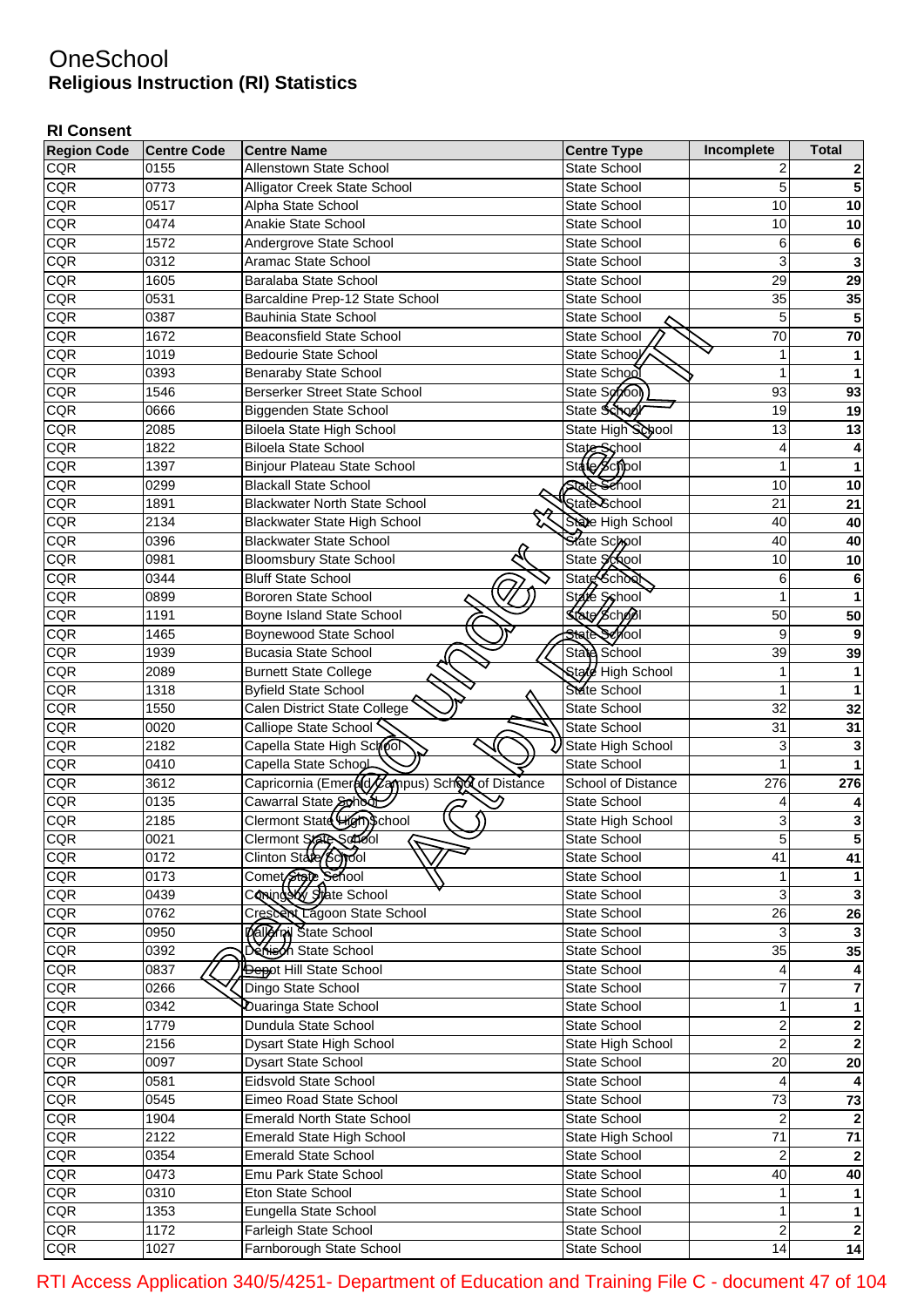## **OneSchool Religious Instruction (RI) Statistics**

## **RI Consent**

| <b>Region Code</b> | <b>Centre Code</b> | <b>Centre Name</b>                                               | <b>Centre Type</b>  | Incomplete       | <b>Total</b> |
|--------------------|--------------------|------------------------------------------------------------------|---------------------|------------------|--------------|
| <b>CQR</b>         | 0155               | Allenstown State School                                          | State School        | 2                |              |
| CQR                | 0773               | Alligator Creek State School                                     | <b>State School</b> | 5                | 5            |
| CQR                | 0517               | Alpha State School                                               | <b>State School</b> | 10               | 10           |
| CQR                | 0474               | Anakie State School                                              | <b>State School</b> | 10               | 10           |
| CQR                | 1572               | Andergrove State School                                          | <b>State School</b> | 6                | 6            |
| CQR                | 0312               | Aramac State School                                              | <b>State School</b> | 3                | 3            |
| CQR                | 1605               | Baralaba State School                                            | <b>State School</b> | 29               | 29           |
| CQR                | 0531               | Barcaldine Prep-12 State School                                  | <b>State School</b> | 35               | 35           |
| CQR                | 0387               | <b>Bauhinia State School</b>                                     | <b>State School</b> | 5                | 5            |
| CQR                | 1672               | <b>Beaconsfield State School</b>                                 | State School        | 70               | 70           |
| CQR                | 1019               | <b>Bedourie State School</b>                                     | State School        | 1                |              |
| CQR                | 0393               | <b>Benaraby State School</b>                                     | State School        | 1                |              |
| CQR                | 1546               | <b>Berserker Street State School</b>                             | State School        | 93               | 93           |
| CQR                | 0666               | Biggenden State School                                           | State School        | 19               | 19           |
| CQR                | 2085               | Biloela State High School                                        | State High School   | 13               | 13           |
| CQR                | 1822               | <b>Biloela State School</b>                                      | State School        | 4                |              |
| CQR                | 1397               | Binjour Plateau State School                                     | State School        | 1                |              |
| CQR                | 0299               | <b>Blackall State School</b>                                     | <b>State Sehool</b> | 10               | 10           |
| CQR                | 1891               | <b>Blackwater North State School</b>                             | State School        | 21               | 21           |
|                    |                    |                                                                  | State High School   |                  |              |
| CQR                | 2134               | Blackwater State High School                                     |                     | 40               | 40           |
| CQR                | 0396               | <b>Blackwater State School</b>                                   | State School        | 40               | 40           |
| CQR                | 0981               | <b>Bloomsbury State School</b>                                   | State School        | 10               | 10           |
| CQR                | 0344               | <b>Bluff State School</b>                                        | State School        | 6                | 6            |
| CQR                | 0899               | <b>Bororen State School</b>                                      | State Syshool       | 1                |              |
| CQR                | 1191               | Boyne Island State School                                        | State School        | 50               | 50           |
| CQR                | 1465               | Boynewood State School                                           | State School        | 9                | 9            |
| CQR                | 1939               | <b>Bucasia State School</b>                                      | State School        | 39               | 39           |
| CQR                | 2089               | <b>Burnett State College</b>                                     | Stald High School   | 1                |              |
| CQR                | 1318               | <b>Byfield State School</b>                                      | State School        | 1                |              |
| CQR                | 1550               | Calen District State College                                     | State School        | 32               | 32           |
| CQR                | 0020               | Calliope State School                                            | State School        | 31               | 31           |
| CQR                | 2182               | Capella State High School                                        | State High School   | 3                | 3            |
| CQR                | 0410               | Capella State School                                             | <b>State School</b> | 1                |              |
| CQR                | 3612               | Capricornia (Emer <b>a(d/Zam</b> pus) Sch <b>oot</b> of Distance | School of Distance  | 276              | 276          |
| CQR                | 0135               | Cawarral State School                                            | <b>State School</b> | 4                |              |
| <b>CQR</b>         | 2185               | Clermont State High School                                       | State High School   | 3                |              |
| <b>CQR</b>         | 0021               | Clermont State School                                            | <b>State School</b> | 5                | $\mathbf{5}$ |
| <b>CQR</b>         | 0172               | Clinton State (8c) rool                                          | State School        | 41               | 41           |
| <b>CQR</b>         | 0173               | Comet State Sehool                                               | <b>State School</b> | 1                |              |
| <b>CQR</b>         | 0439               | Coning by State School                                           | State School        | 3                | 3            |
| CQR                | 0762               | Crescent Lagoon State School                                     | State School        | 26               | 26           |
| CQR                | 0950               | Daller will State School                                         | State School        | 3                | 3            |
| CQR                | 0392               | Deriech State School                                             | State School        | 35               | 35           |
| CQR                | 0837               | <b>Depot Hill State School</b>                                   | State School        | 4                |              |
| CQR                | 0266               | Dingo State School                                               | State School        | 7                | 7            |
| CQR                | 0342               | Duaringa State School                                            | State School        | 1                |              |
| CQR                | 1779               | Dundula State School                                             | State School        | 2                | $\mathbf{2}$ |
| CQR                | 2156               | Dysart State High School                                         | State High School   | $\mathbf 2$      | $\mathbf{2}$ |
| CQR                | 0097               | Dysart State School                                              | State School        | 20               | 20           |
| CQR                | 0581               | <b>Eidsvold State School</b>                                     | State School        | 4                |              |
| CQR                | 0545               | Eimeo Road State School                                          | State School        | 73               | 73           |
| CQR                | 1904               | <b>Emerald North State School</b>                                | State School        | 2                | $\mathbf{2}$ |
| CQR                | 2122               | <b>Emerald State High School</b>                                 | State High School   | 71               | 71           |
| CQR                | 0354               | <b>Emerald State School</b>                                      | State School        | 2                | $\mathbf{2}$ |
| CQR                | 0473               | Emu Park State School                                            | State School        | 40               | 40           |
| <b>CQR</b>         | 0310               | Eton State School                                                | State School        | 1                |              |
| <b>CQR</b>         | 1353               | Eungella State School                                            | State School        | 1                | 1            |
| CQR                | $\frac{1}{1172}$   | Farleigh State School                                            | State School        | $\boldsymbol{2}$ | $\mathbf{2}$ |
| <b>CQR</b>         | 1027               | Farnborough State School                                         | State School        | 14               | 14           |

RTI Access Application 340/5/4251- Department of Education and Training File C - document 47 of 104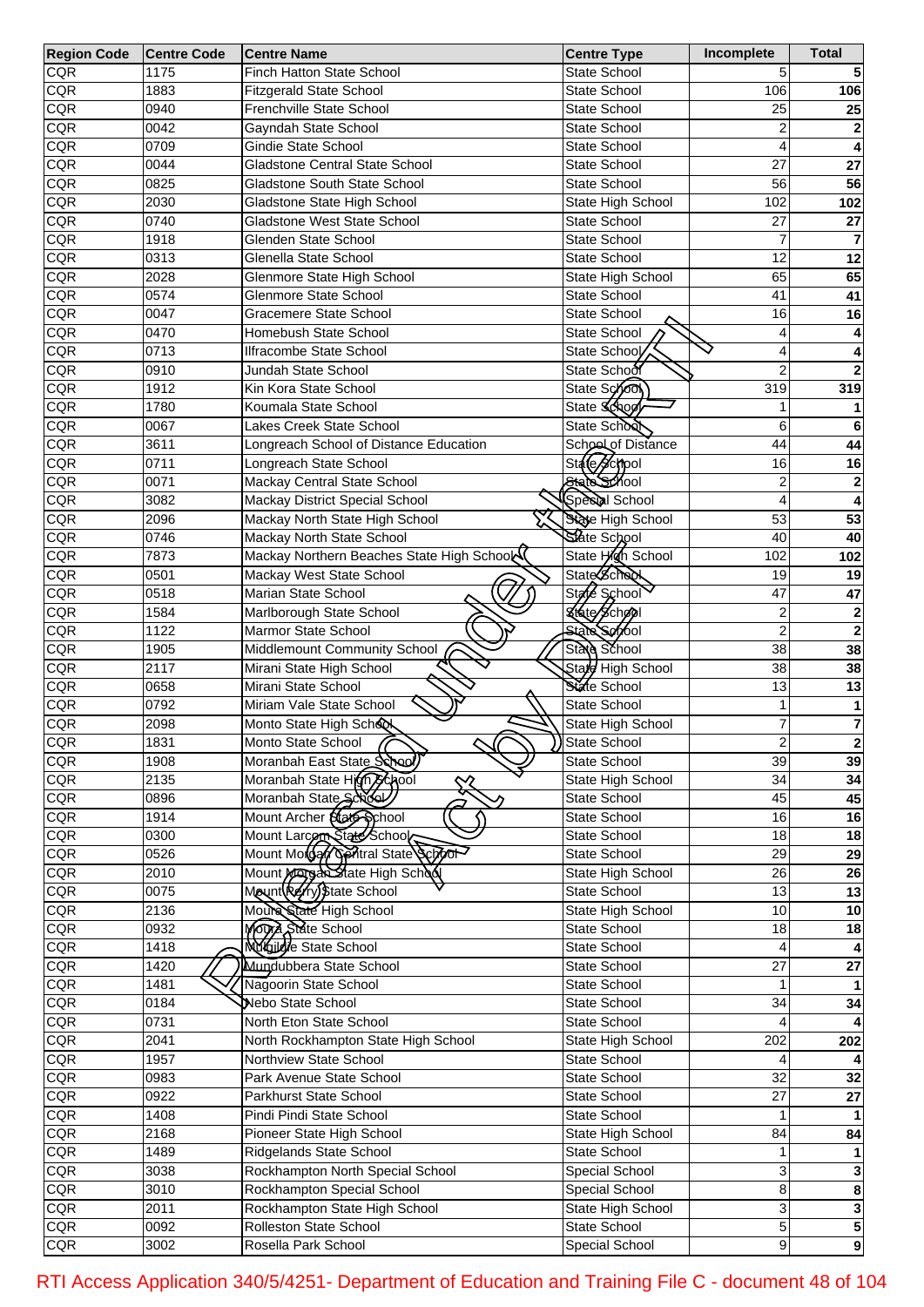| <b>Region Code</b> | <b>Centre Code</b> | <b>Centre Name</b>                        | <b>Centre Type</b>  | Incomplete              | <b>Total</b>   |
|--------------------|--------------------|-------------------------------------------|---------------------|-------------------------|----------------|
| <b>CQR</b>         | 1175               | <b>Finch Hatton State School</b>          | <b>State School</b> | 5                       |                |
| <b>CQR</b>         | 1883               | <b>Fitzgerald State School</b>            | State School        | 106                     | 106            |
| CQR                | 0940               | Frenchville State School                  | <b>State School</b> | 25                      | 25             |
| CQR                | 0042               | Gayndah State School                      | <b>State School</b> | 2                       |                |
| CQR                | 0709               | Gindie State School                       | <b>State School</b> |                         |                |
| CQR                | 0044               | <b>Gladstone Central State School</b>     | <b>State School</b> | 27                      | 27             |
| CQR                | 0825               | Gladstone South State School              | <b>State School</b> | 56                      | 56             |
| <b>CQR</b>         | 2030               | Gladstone State High School               | State High School   | 102                     | 102            |
| <b>CQR</b>         | 0740               | <b>Gladstone West State School</b>        | <b>State School</b> | 27                      | 27             |
| <b>CQR</b>         | 1918               | <b>Glenden State School</b>               | <b>State School</b> | 7                       |                |
| <b>CQR</b>         | 0313               | Glenella State School                     | <b>State School</b> | 12                      | 12             |
|                    |                    |                                           |                     |                         |                |
| <b>CQR</b>         | 2028               | Glenmore State High School                | State High School   | 65                      | 65             |
| <b>CQR</b>         | 0574               | <b>Glenmore State School</b>              | <b>State School</b> | 41                      | 41             |
| <b>CQR</b>         | 0047               | Gracemere State School                    | <b>State School</b> | 16                      | 16             |
| <b>CQR</b>         | 0470               | Homebush State School                     | State School        | 4                       |                |
| <b>CQR</b>         | 0713               | Ilfracombe State School                   | State School        |                         |                |
| <b>CQR</b>         | 0910               | Jundah State School                       | State School        | $\overline{2}$          |                |
| <b>CQR</b>         | 1912               | Kin Kora State School                     | State School        | 319                     | 319            |
| <b>CQR</b>         | 1780               | Koumala State School                      | State School        |                         |                |
| <b>CQR</b>         | 0067               | Lakes Creek State School                  | State School        | 6                       | 6              |
| <b>CQR</b>         | 3611               | Longreach School of Distance Education    | School of Distance  | 44                      | 44             |
| <b>CQR</b>         | 0711               | Longreach State School                    | State School        | 16                      | 16             |
| <b>CQR</b>         | 0071               | Mackay Central State School               | State School        | 2                       | $\mathbf{2}$   |
| <b>CQR</b>         | 3082               | Mackay District Special School            | Speed School        |                         |                |
| <b>CQR</b>         | 2096               | Mackay North State High School            | State High School   | 53                      | 53             |
| <b>CQR</b>         | 0746               | Mackay North State School                 | State School        | 40                      | 40             |
| <b>CQR</b>         | 7873               | Mackay Northern Beaches State High School | State High School   | 102                     | 102            |
| <b>CQR</b>         | 0501               | Mackay West State School                  | State School        | 19                      | 19             |
| <b>CQR</b>         | 0518               | Marian State School                       | State School        | 47                      | 47             |
| <b>CQR</b>         | 1584               | Marlborough State School                  | State School        | $\overline{c}$          |                |
|                    |                    |                                           | <b>State School</b> | $\overline{2}$          | $\mathbf{2}$   |
| <b>CQR</b>         | 1122               | <b>Marmor State School</b>                |                     |                         | $\mathbf{2}$   |
| <b>CQR</b>         | 1905               | Middlemount Community School              | State School        | 38                      | 38             |
| CQR                | 2117               | Mirani State High School                  | State High School   | 38                      | 38             |
| <b>CQR</b>         | 0658               | Mirani State School                       | State School        | 13                      | 13             |
| <b>CQR</b>         | 0792               | Miriam Vale State School                  | State School        | 1                       |                |
| <b>CQR</b>         | 2098               | Monto State High School                   | State High School   | 7                       | 7              |
| CQR                | 1831               | Monto State School<br>υ                   | State School        | $\overline{\mathbf{c}}$ |                |
| <b>CQR</b>         | 1908               | Moranbah East State School)               | State School        | 39                      | 39             |
| CQR                | 2135               | Moranbah State High School<br>╳           | State High School   | 34                      | 34             |
| <b>CQR</b>         | 0896               | Moranbah State School                     | State School        | 45                      | 45             |
| <b>CQR</b>         | 1914               | Mount Archer State School                 | State School        | 16                      | 16             |
| <b>CQR</b>         | 0300               | Mount Larcon State School                 | State School        | 18                      | 18             |
| <b>CQR</b>         | 0526               | Mount Motoary Gentral State School        | State School        | 29                      | 29             |
| <b>CQR</b>         | 2010               | Mount Margen State High School            | State High School   | 26                      | 26             |
| <b>CQR</b>         | 0075               | Mount(Refry) State School                 | State School        | 13                      | 13             |
| <b>CQR</b>         | 2136               | Moure State High School                   | State High School   | 10                      | 10             |
| <b>CQR</b>         | 0932               | Mora State School                         | State School        | 18                      | 18             |
| <b>CQR</b>         | $\overline{1418}$  | Muglicie State School                     | State School        |                         |                |
| <b>CQR</b>         | 1420               | Mundubbera State School                   | State School        | $\overline{27}$         | 27             |
| <b>CQR</b>         | 1481               | Nagoorin State School                     | State School        |                         |                |
| <b>CQR</b>         | 0184               | Nebo State School                         | State School        | 34                      | 34             |
| <b>CQR</b>         | 0731               | North Eton State School                   | State School        |                         |                |
| <b>CQR</b>         | 2041               | North Rockhampton State High School       | State High School   | 202                     | 202            |
| <b>CQR</b>         |                    | Northview State School                    |                     |                         |                |
|                    | 1957               |                                           | State School        | $\overline{32}$         |                |
| <b>CQR</b>         | 0983               | Park Avenue State School                  | State School        |                         | 32             |
| <b>CQR</b>         | 0922               | Parkhurst State School                    | State School        | $\overline{27}$         | 27             |
| <b>CQR</b>         | 1408               | Pindi Pindi State School                  | State School        |                         |                |
| <b>CQR</b>         | 2168               | Pioneer State High School                 | State High School   | 84                      | 84             |
| <b>CQR</b>         | 1489               | Ridgelands State School                   | State School        |                         |                |
| <b>CQR</b>         | 3038               | Rockhampton North Special School          | Special School      | 3                       |                |
| <b>CQR</b>         | 3010               | Rockhampton Special School                | Special School      | 8                       | 8              |
| <b>CQR</b>         | 2011               | Rockhampton State High School             | State High School   | 3                       | 3              |
| <b>CQR</b>         | 0092               | Rolleston State School                    | State School        | 5                       | 5              |
| <b>CQR</b>         | 3002               | Rosella Park School                       | Special School      | $\overline{9}$          | $\overline{9}$ |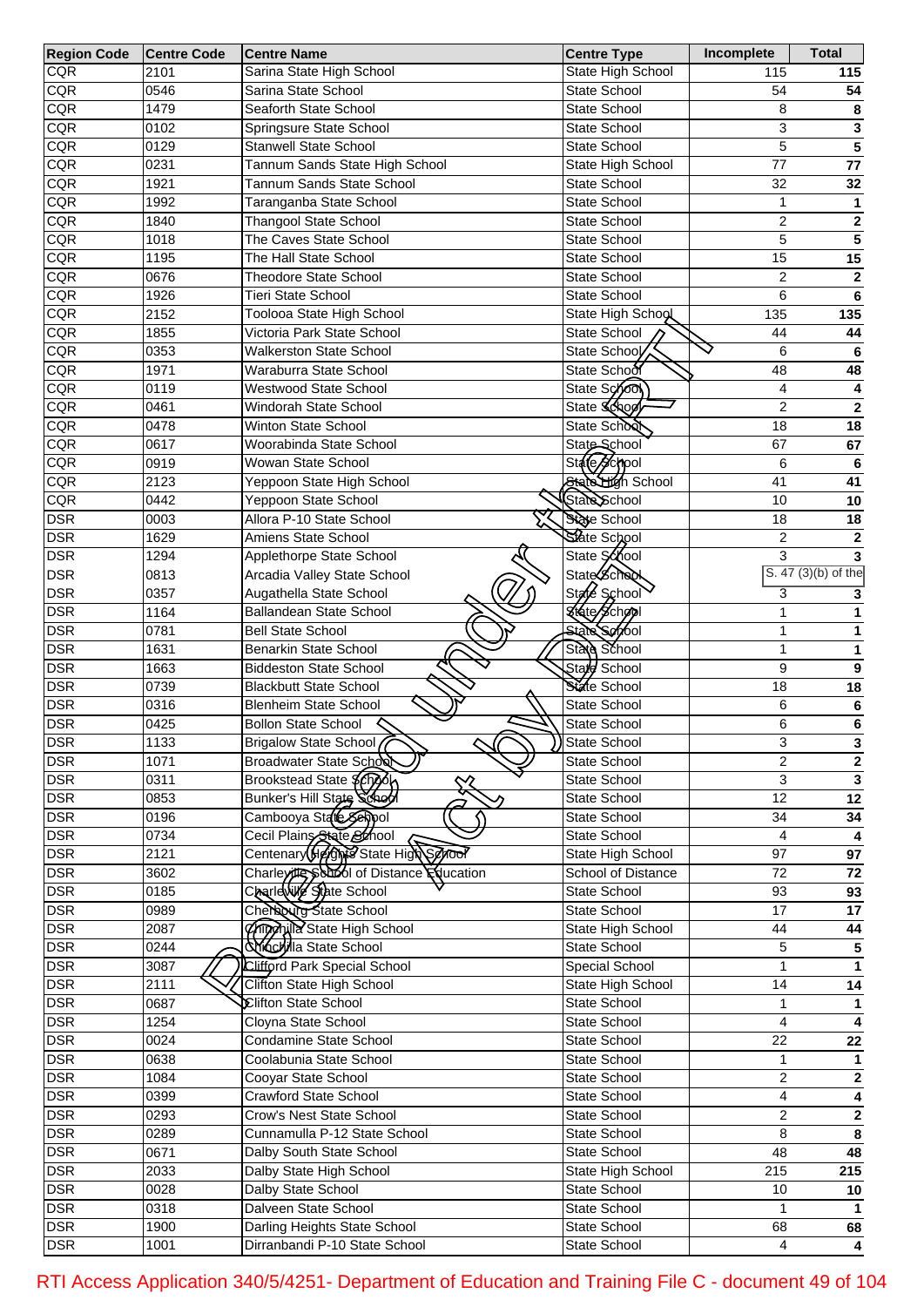| <b>Region Code</b> | <b>Centre Code</b> | <b>Centre Name</b>                       | <b>Centre Type</b>  | Incomplete                | <b>Total</b>                      |
|--------------------|--------------------|------------------------------------------|---------------------|---------------------------|-----------------------------------|
| <b>CQR</b>         | 2101               | Sarina State High School                 | State High School   | 115                       | 115                               |
| <b>CQR</b>         | 0546               | Sarina State School                      | State School        | 54                        | 54                                |
| <b>CQR</b>         | 1479               | Seaforth State School                    | State School        | 8                         | 8                                 |
| <b>CQR</b>         | 0102               | Springsure State School                  | State School        | $\ensuremath{\mathsf{3}}$ | 3                                 |
| <b>CQR</b>         | 0129               | <b>Stanwell State School</b>             | State School        | 5                         | $\overline{\mathbf{5}}$           |
| <b>CQR</b>         | 0231               | Tannum Sands State High School           | State High School   | 77                        | 77                                |
| <b>CQR</b>         | 1921               | Tannum Sands State School                | State School        | 32                        | 32                                |
| <b>CQR</b>         | 1992               | Taranganba State School                  | State School        | 1                         | 1                                 |
| <b>CQR</b>         | 1840               | <b>Thangool State School</b>             | State School        | $\boldsymbol{2}$          | 2                                 |
| <b>CQR</b>         | 1018               | The Caves State School                   | State School        | 5                         | $\overline{5}$                    |
| <b>CQR</b>         | 1195               | The Hall State School                    | <b>State School</b> | 15                        | 15                                |
| <b>CQR</b>         | 0676               | <b>Theodore State School</b>             | State School        | $\boldsymbol{2}$          | $\overline{\mathbf{2}}$           |
| <b>CQR</b>         | 1926               | <b>Tieri State School</b>                | State School        | 6                         | 6                                 |
| <b>CQR</b>         | 2152               | Toolooa State High School                | State High School   | 135                       | 135                               |
| <b>CQR</b>         | 1855               | Victoria Park State School               | State School        | 44                        | 44                                |
| <b>CQR</b>         | 0353               | <b>Walkerston State School</b>           | State School        | 6                         | 6                                 |
| <b>CQR</b>         | 1971               | Waraburra State School                   | State School        | 48                        | 48                                |
| <b>CQR</b>         | 0119               | Westwood State School                    | State School        | 4                         | 4                                 |
| <b>CQR</b>         | 0461               | Windorah State School                    | State Schoo         | $\sqrt{2}$                | $\mathbf 2$                       |
| <b>CQR</b>         | 0478               | <b>Winton State School</b>               | State School        | 18                        | 18                                |
| <b>CQR</b>         | 0617               | Woorabinda State School                  | State School        | 67                        | 67                                |
| <b>CQR</b>         | 0919               | Wowan State School                       | State School        | 6                         | 6                                 |
| <b>CQR</b>         | 2123               | Yeppoon State High School                | State High School   | 41                        | 41                                |
| <b>CQR</b>         | 0442               | Yeppoon State School                     | State School        | 10                        | 10                                |
| <b>DSR</b>         | 0003               | Allora P-10 State School                 | State School        | 18                        | 18                                |
| <b>DSR</b>         | 1629               | Amiens State School                      | State School        | $\overline{c}$            | $\mathbf 2$                       |
| <b>DSR</b>         | 1294               | Applethorpe State School                 | State School        | 3                         | 3                                 |
| <b>DSR</b>         | 0813               | Arcadia Valley State School              | State School        |                           | $\overline{(S. 47(3)(b))}$ of the |
|                    | 0357               |                                          | State School        |                           |                                   |
| <b>DSR</b>         |                    | Augathella State School                  | State School        | 3                         |                                   |
| <b>DSR</b>         | 1164               | Ballandean State School                  |                     | 1                         |                                   |
| <b>DSR</b>         | 0781               | <b>Bell State School</b>                 | <b>State School</b> | 1                         |                                   |
| <b>DSR</b>         | 1631               | <b>Benarkin State School</b>             | State School        | $\mathbf{1}$              |                                   |
| <b>DSR</b>         | 1663               | <b>Biddeston State School</b>            | Stale School        | 9                         | 9                                 |
| <b>DSR</b>         | 0739               | <b>Blackbutt State School</b>            | State School        | 18                        | 18                                |
| <b>DSR</b>         | 0316               | <b>Blenheim State School</b>             | State School        | 6                         | 6                                 |
| <b>DSR</b>         | 0425               | <b>Bollon State School</b>               | State School        | 6                         | 6                                 |
| <b>DSR</b>         | 1133               | Brigalow State School                    | State School        | 3                         | 3                                 |
| <b>DSR</b>         | 1071               | Broadwater State School                  | State School        | 2                         | $\overline{2}$                    |
| <b>DSR</b>         | 0311               | Brookstead State \$6000<br>Z             | State School        | 3                         | 3                                 |
| <b>DSR</b>         | 0853               | Bunker's Hill State School               | State School        | $\overline{12}$           | $\overline{12}$                   |
| <b>DSR</b>         | 0196               | Cambooya State Seppol                    | State School        | 34                        | 34                                |
| <b>DSR</b>         | 0734               | Cecil Plains State School                | State School        | $\overline{4}$            |                                   |
| <b>DSR</b>         | 2121               | Centenary Heights State High School      | State High School   | $\overline{97}$           | 97                                |
| <b>DSR</b>         | 3602               | Charley the Sandol of Distance Education | School of Distance  | 72                        | ${\bf 72}$                        |
| <b>DSR</b>         | 0185               | Charlewy State School                    | State School        | 93                        | 93                                |
| <b>DSR</b>         | 0989               | Chelleving State School                  | State School        | 17                        | 17                                |
| <b>DSR</b>         | 2087               | Chippilla State High School              | State High School   | 44                        | 44                                |
| <b>DSR</b>         | 0244               | <b>Chicchilla State School</b>           | State School        | 5                         | 5                                 |
| <b>DSR</b>         | 3087               | <b>Clifford Park Special School</b>      | Special School      | $\mathbf{1}$              |                                   |
| <b>DSR</b>         | 2111               | <b>Clifton State High School</b>         | State High School   | 14                        | 14                                |
| <b>DSR</b>         | 0687               | <b>Clifton State School</b>              | State School        | 1                         |                                   |
| <b>DSR</b>         | 1254               | Cloyna State School                      | State School        | 4                         |                                   |
| <b>DSR</b>         | 0024               | Condamine State School                   | State School        | 22                        | 22                                |
| <b>DSR</b>         | 0638               | Coolabunia State School                  | State School        | $\mathbf{1}$              |                                   |
| <b>DSR</b>         | 1084               | Cooyar State School                      | State School        | $\overline{2}$            | $\overline{\mathbf{2}}$           |
| <b>DSR</b>         | 0399               | Crawford State School                    | State School        | 4                         | $\overline{\mathbf{4}}$           |
| <b>DSR</b>         | 0293               | Crow's Nest State School                 | State School        | 2                         | $\overline{2}$                    |
| <b>DSR</b>         | 0289               | Cunnamulla P-12 State School             | State School        | 8                         | $\overline{\mathbf{8}}$           |
| <b>DSR</b>         | 0671               | Dalby South State School                 | State School        | 48                        | 48                                |
| <b>DSR</b>         | 2033               | Dalby State High School                  | State High School   | 215                       | 215                               |
| <b>DSR</b>         | 0028               | Dalby State School                       | State School        | 10                        | 10                                |
| <b>DSR</b>         | 0318               | Dalveen State School                     | State School        | $\mathbf{1}$              |                                   |
| <b>DSR</b>         | 1900               | Darling Heights State School             | State School        | 68                        | 68                                |
| <b>DSR</b>         | 1001               | Dirranbandi P-10 State School            | State School        | $\overline{\mathbf{4}}$   | 4                                 |
|                    |                    |                                          |                     |                           |                                   |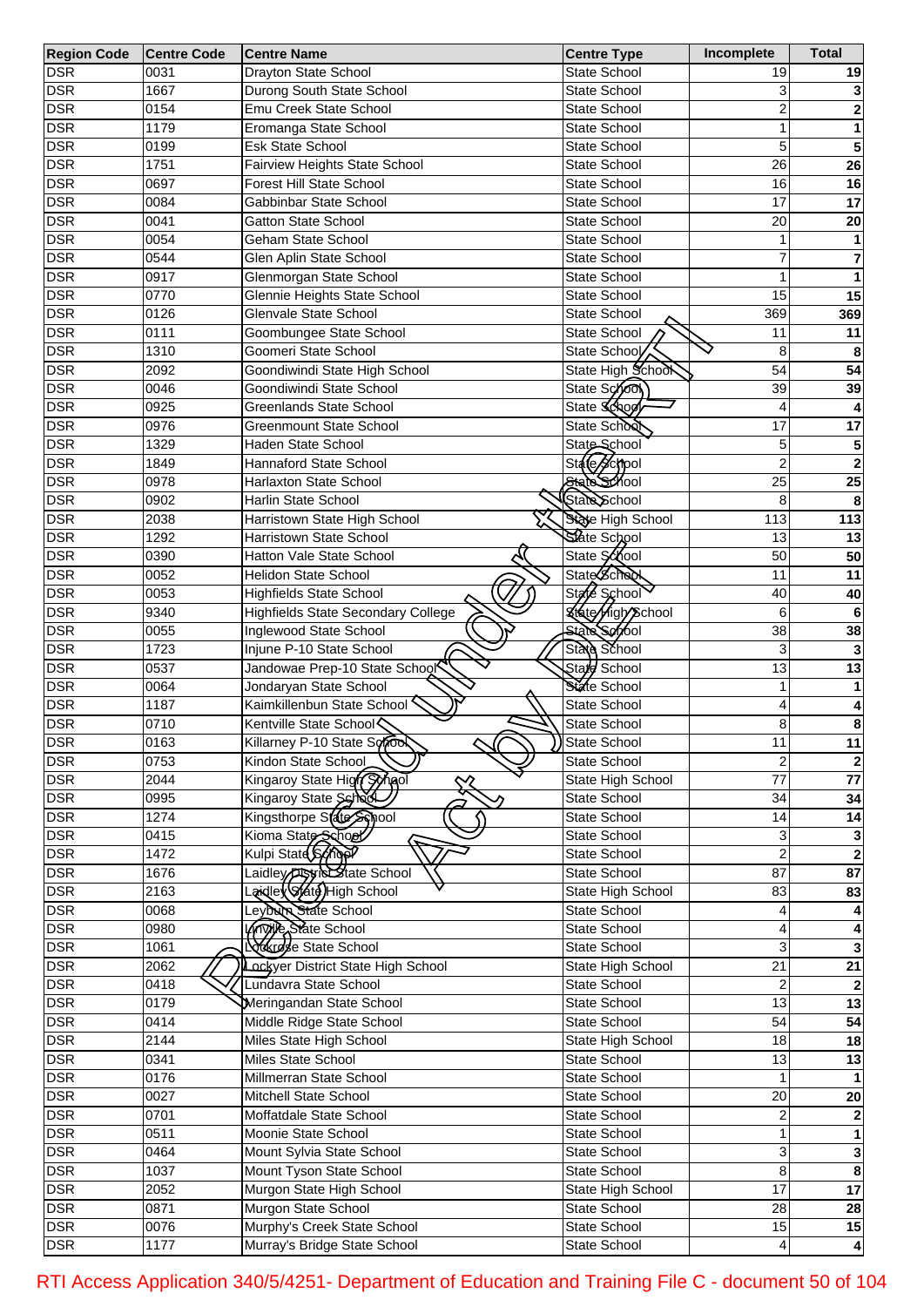| <b>Region Code</b> | <b>Centre Code</b> | <b>Centre Name</b>                        | <b>Centre Type</b>       | Incomplete      | <b>Total</b>    |
|--------------------|--------------------|-------------------------------------------|--------------------------|-----------------|-----------------|
| <b>DSR</b>         | 0031               | Drayton State School                      | State School             | 19              | 19              |
| <b>DSR</b>         | 1667               | Durong South State School                 | <b>State School</b>      | 3               |                 |
| <b>DSR</b>         | 0154               | Emu Creek State School                    | State School             | 2               | 2               |
| <b>DSR</b>         | 1179               | Eromanga State School                     | State School             | 1               | 1               |
| <b>DSR</b>         | 0199               | Esk State School                          | State School             | 5               | 5               |
| <b>DSR</b>         | 1751               | Fairview Heights State School             | State School             | 26              | $\overline{26}$ |
| <b>DSR</b>         | 0697               | <b>Forest Hill State School</b>           | State School             | 16              | 16              |
| <b>DSR</b>         | 0084               | Gabbinbar State School                    | <b>State School</b>      | 17              | 17              |
| <b>DSR</b>         | 0041               | <b>Gatton State School</b>                | <b>State School</b>      | 20              | 20              |
| <b>DSR</b>         | 0054               | Geham State School                        | <b>State School</b>      | 1               |                 |
| <b>DSR</b>         | 0544               | Glen Aplin State School                   | <b>State School</b>      | 7               | 7               |
| <b>DSR</b>         | 0917               | Glenmorgan State School                   | State School             |                 |                 |
| <b>DSR</b>         |                    |                                           |                          | 15              |                 |
|                    | 0770               | Glennie Heights State School              | <b>State School</b>      |                 | 15              |
| <b>DSR</b>         | 0126               | Glenvale State School                     | <b>State School</b>      | 369             | 369             |
| <b>DSR</b>         | 0111               | Goombungee State School                   | State School             | 11              | 11              |
| <b>DSR</b>         | 1310               | Goomeri State School                      | State School             | 8               | 8               |
| <b>DSR</b>         | 2092               | Goondiwindi State High School             | State High School        | 54              | 54              |
| <b>DSR</b>         | 0046               | Goondiwindi State School                  | State School             | 39              | 39              |
| <b>DSR</b>         | 0925               | <b>Greenlands State School</b>            | State Schoo              | 4               |                 |
| <b>DSR</b>         | 0976               | <b>Greenmount State School</b>            | State School             | 17              | 17              |
| <b>DSR</b>         | 1329               | Haden State School                        | State School             | 5               | 5               |
| <b>DSR</b>         | 1849               | Hannaford State School                    | State School             | $\overline{2}$  | $\mathbf{2}$    |
| <b>DSR</b>         | 0978               | <b>Harlaxton State School</b>             | State School             | $\overline{25}$ | 25              |
| <b>DSR</b>         | 0902               | Harlin State School                       | State School             | 8               | 8               |
| <b>DSR</b>         | 2038               | Harristown State High School              | State High School        | 113             | 113             |
| <b>DSR</b>         | 1292               | Harristown State School                   | State School             | 13              | 13              |
| <b>DSR</b>         | 0390               | Hatton Vale State School                  | State School             | 50              | 50              |
| <b>DSR</b>         | 0052               | Helidon State School                      | <b>State School</b>      | 11              | 11              |
| <b>DSR</b>         | 0053               | <b>Highfields State School</b>            | State School             | 40              | 40              |
| <b>DSR</b>         | 9340               | <b>Highfields State Secondary College</b> | <b>State High School</b> | 6               | 6               |
| <b>DSR</b>         | 0055               | Inglewood State School                    | <b>State School</b>      | 38              | 38              |
| <b>DSR</b>         | 1723               | Injune P-10 State School                  | State School             | 3               |                 |
| <b>DSR</b>         | 0537               | Jandowae Prep-10 State School             | State School             | 13              | 13              |
|                    | 0064               | Jondaryan State School                    | State School             | 1               |                 |
| <b>DSR</b>         | 1187               |                                           |                          |                 |                 |
| <b>DSR</b>         |                    | Kaimkillenbun State School                | State School             | 4               | 4               |
| <b>DSR</b>         | 0710               | Kentville State School                    | State School             | 8               | 8               |
| <b>DSR</b>         | 0163               | Killarney P-10 State Soro                 | State School             | 11              | $11$            |
| <b>DSR</b>         | 0753               | Kindon State School                       | State School             | $\overline{2}$  | $\mathbf{2}$    |
| <b>DSR</b>         | 2044               | Kingaroy State High Synol                 | State High School        | 77              | $\overline{77}$ |
| <b>DSR</b>         | 0995               | Kingaroy State Schod                      | State School             | 34              | 34              |
| <b>DSR</b>         | 1274               | Kingsthorpe State School                  | State School             | 14              | 14              |
| <b>DSR</b>         | 0415               | Kioma State School                        | State School             | 3               |                 |
| <b>DSR</b>         | 1472               |                                           | State School             | $\overline{2}$  | $\mathbf 2$     |
| <b>DSR</b>         | 1676               | Laidley <b>District State School</b>      | State School             | $\overline{87}$ | $\overline{87}$ |
| <b>DSR</b>         | 2163               | aidley State High School                  | State High School        | 83              | 83              |
| <b>DSR</b>         | 0068               | Leyburn State School                      | State School             |                 |                 |
| <b>DSR</b>         | 0980               | <b>Knowled State School</b>               | State School             |                 |                 |
| <b>DSR</b>         | 1061               | Lockrose State School                     | State School             | 3               |                 |
| <b>DSR</b>         | $\frac{1}{2062}$   | Lockyer District State High School        | State High School        | $\overline{21}$ | $\overline{21}$ |
| <b>DSR</b>         | 0418               | Lundavra State School                     | State School             | 2               |                 |
| <b>DSR</b>         | 0179               | Meringandan State School                  | State School             | 13              | 13              |
| <b>DSR</b>         | 0414               | Middle Ridge State School                 | State School             | 54              | 54              |
| <b>DSR</b>         | 2144               | Miles State High School                   | State High School        | 18              | 18              |
| <b>DSR</b>         | 0341               | Miles State School                        | State School             | 13              | 13              |
| <b>DSR</b>         | 0176               | Millmerran State School                   | State School             |                 |                 |
| <b>DSR</b>         | 0027               | Mitchell State School                     | State School             | 20              | ${\bf 20}$      |
| <b>DSR</b>         | 0701               | Moffatdale State School                   |                          | 2               |                 |
|                    |                    |                                           | State School             |                 |                 |
| <b>DSR</b>         | 0511               | Moonie State School                       | State School             | 1               |                 |
| <b>DSR</b>         | 0464               | Mount Sylvia State School                 | State School             | 3               | 3               |
| <b>DSR</b>         | 1037               | Mount Tyson State School                  | State School             | 8               | 8               |
| <b>DSR</b>         | 2052               | Murgon State High School                  | State High School        | 17              | $\overline{17}$ |
| <b>DSR</b>         | 0871               | Murgon State School                       | State School             | 28              | 28              |
| <b>DSR</b>         | 0076               | Murphy's Creek State School               | State School             | 15              | 15              |
| <b>DSR</b>         | 1177               | Murray's Bridge State School              | State School             | 4               | $\vert$         |

RTI Access Application 340/5/4251- Department of Education and Training File C - document 50 of 104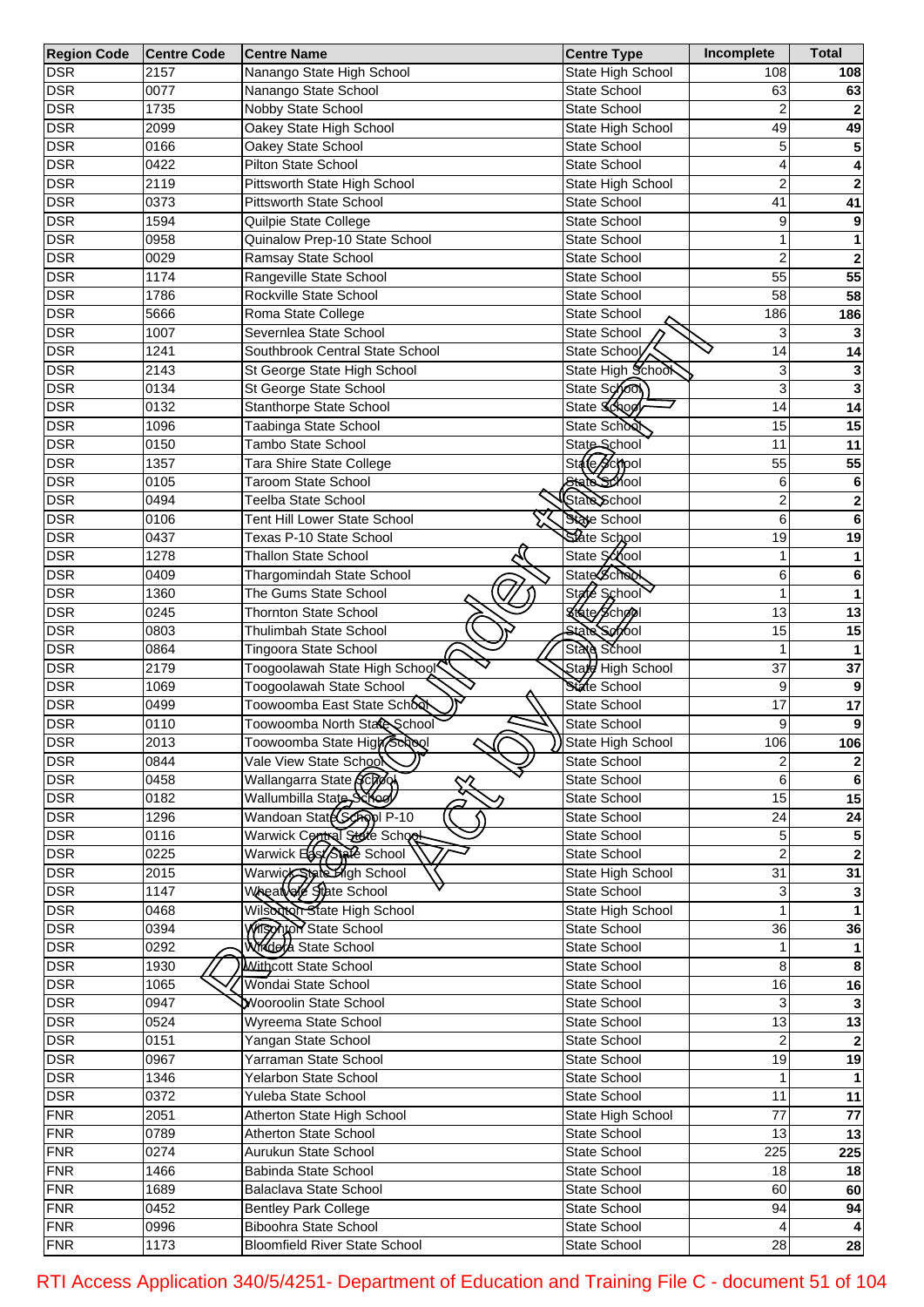| Region Code Centre Code |      | <b>Centre Name</b>                   | <b>Centre Type</b>  | Incomplete     | <b>Total</b>    |
|-------------------------|------|--------------------------------------|---------------------|----------------|-----------------|
| <b>DSR</b>              | 2157 | Nanango State High School            | State High School   | 108            | 108             |
| <b>DSR</b>              | 0077 | Nanango State School                 | State School        | 63             | 63              |
| <b>DSR</b>              | 1735 | Nobby State School                   | State School        | 2              |                 |
| <b>DSR</b>              | 2099 | Oakey State High School              | State High School   | 49             | 49              |
| <b>DSR</b>              | 0166 | Oakey State School                   | <b>State School</b> | 5              | 5               |
| <b>DSR</b>              | 0422 | Pilton State School                  | State School        | 4              | 4               |
| <b>DSR</b>              | 2119 | Pittsworth State High School         | State High School   | $\overline{2}$ | $\mathbf{2}$    |
| <b>DSR</b>              | 0373 | Pittsworth State School              | <b>State School</b> | 41             | 41              |
| <b>DSR</b>              | 1594 | Quilpie State College                | State School        | 9              | 9               |
| <b>DSR</b>              | 0958 | Quinalow Prep-10 State School        | State School        | 1              | 1               |
| <b>DSR</b>              | 0029 | Ramsay State School                  | State School        | $\overline{2}$ | $\mathbf{2}$    |
| <b>DSR</b>              | 1174 | Rangeville State School              | State School        | 55             | 55              |
| <b>DSR</b>              | 1786 | Rockville State School               | State School        | 58             | 58              |
|                         |      |                                      |                     |                |                 |
| <b>DSR</b>              | 5666 | Roma State College                   | State School        | 186            | 186             |
| <b>DSR</b>              | 1007 | Severnlea State School               | State School        | 3              |                 |
| <b>DSR</b>              | 1241 | Southbrook Central State School      | State School        | 14             | 14              |
| <b>DSR</b>              | 2143 | St George State High School          | State High School   | 3              | 3               |
| <b>DSR</b>              | 0134 | St George State School               | State School        | 3              | 3               |
| <b>DSR</b>              | 0132 | Stanthorpe State School              | State Schoo         | 14             | 14              |
| <b>DSR</b>              | 1096 | Taabinga State School                | State School        | 15             | 15              |
| <b>DSR</b>              | 0150 | Tambo State School                   | State School        | 11             | 11              |
| <b>DSR</b>              | 1357 | Tara Shire State College             | State School        | 55             | 55              |
| <b>DSR</b>              | 0105 | <b>Taroom State School</b>           | State School        | 6              | 6               |
| <b>DSR</b>              | 0494 | Teelba State School                  | State School        | $\overline{2}$ | $\mathbf 2$     |
| <b>DSR</b>              | 0106 | Tent Hill Lower State School         | State School        | 6              | 6               |
| <b>DSR</b>              | 0437 | Texas P-10 State School              | State School        | 19             | 19              |
| <b>DSR</b>              | 1278 | <b>Thallon State School</b>          | State School        | 1              | 1               |
| <b>DSR</b>              | 0409 | Thargomindah State School            | <b>State School</b> | 6              | 6               |
| <b>DSR</b>              | 1360 | The Gums State School                | State School        | 1              | 1               |
| <b>DSR</b>              | 0245 | <b>Thornton State School</b>         | State School        | 13             | 13              |
| <b>DSR</b>              | 0803 | Thulimbah State School               | State School        | 15             | 15              |
| <b>DSR</b>              | 0864 | Tingoora State School                | State School        | 1              |                 |
| <b>DSR</b>              | 2179 | Toogoolawah State High School        | State High School   | 37             | 37              |
| <b>DSR</b>              | 1069 | Toogoolawah State School             | State School        | 9              | 9               |
|                         |      |                                      | <b>State School</b> | 17             |                 |
| <b>DSR</b>              | 0499 | Toowoomba East State School          |                     |                | 17              |
| <b>DSR</b>              | 0110 | Toowoomba North Stare School         | State School        | 9              | 9               |
| <b>DSR</b>              | 2013 | Toowoomba State High School          | State High School   | 106            | 106             |
| <b>DSR</b>              | 0844 | Vale View State Schoo                | State School        | 2              | $\mathbf{2}$    |
| <b>DSR</b>              | 0458 | Wallangarra State ACTO<br>╳          | State School        | 6              | $\bf 6$         |
| <b>DSR</b>              | 0182 | Wallumbilla State Scroey             | State School        | 15             | 15              |
| <b>DSR</b>              | 1296 | Wandoan State Coopl P-10             | State School        | 24             | 24              |
| <b>DSR</b>              | 0116 | Warwick Control State School         | State School        | 5              | 5 <sup>1</sup>  |
| <b>DSR</b>              | 0225 | Warwick East State School            | State School        | $\overline{2}$ | $\mathbf 2$     |
| <b>DSR</b>              | 2015 | Warwick State High School            | State High School   | 31             | 31              |
| <b>DSR</b>              | 1147 | Wheat of State School                | State School        | 31             |                 |
| <b>DSR</b>              | 0468 | Wilson State High School             | State High School   |                |                 |
| <b>DSR</b>              | 0394 | <b>Witspritch State School</b>       | State School        | 36             | 36              |
| <b>DSR</b>              | 0292 | Wrider & State School                | State School        |                |                 |
| <b>DSR</b>              | 1930 | Withcott State School                | State School        | 8              | 8               |
| <b>DSR</b>              | 1065 | Wondai State School                  | State School        | 16             | 16              |
| <b>DSR</b>              | 0947 | Wooroolin State School               | State School        | 31             |                 |
| <b>DSR</b>              | 0524 | Wyreema State School                 | State School        | 13             | $\overline{13}$ |
| <b>DSR</b>              | 0151 | Yangan State School                  | State School        |                |                 |
| <b>DSR</b>              | 0967 | Yarraman State School                | State School        | 19             | 19              |
| <b>DSR</b>              | 1346 | Yelarbon State School                | State School        |                |                 |
| <b>DSR</b>              | 0372 | Yuleba State School                  | State School        | 11             | $\overline{11}$ |
| <b>FNR</b>              | 2051 | Atherton State High School           | State High School   | 77             | 77              |
| <b>FNR</b>              | 0789 | Atherton State School                | State School        | 13             | $\overline{13}$ |
| <b>FNR</b>              |      |                                      |                     |                |                 |
|                         | 0274 | Aurukun State School                 | State School        | 225            | 225             |
| <b>FNR</b>              | 1466 | Babinda State School                 | State School        | 18             | 18              |
| <b>FNR</b>              | 1689 | Balaclava State School               | State School        | 60             | 60              |
| <b>FNR</b>              | 0452 | <b>Bentley Park College</b>          | State School        | 94             | 94              |
| <b>FNR</b>              | 0996 | Biboohra State School                | State School        |                |                 |
| <b>FNR</b>              | 1173 | <b>Bloomfield River State School</b> | State School        | 28             | 28              |

RTI Access Application 340/5/4251- Department of Education and Training File C - document 51 of 104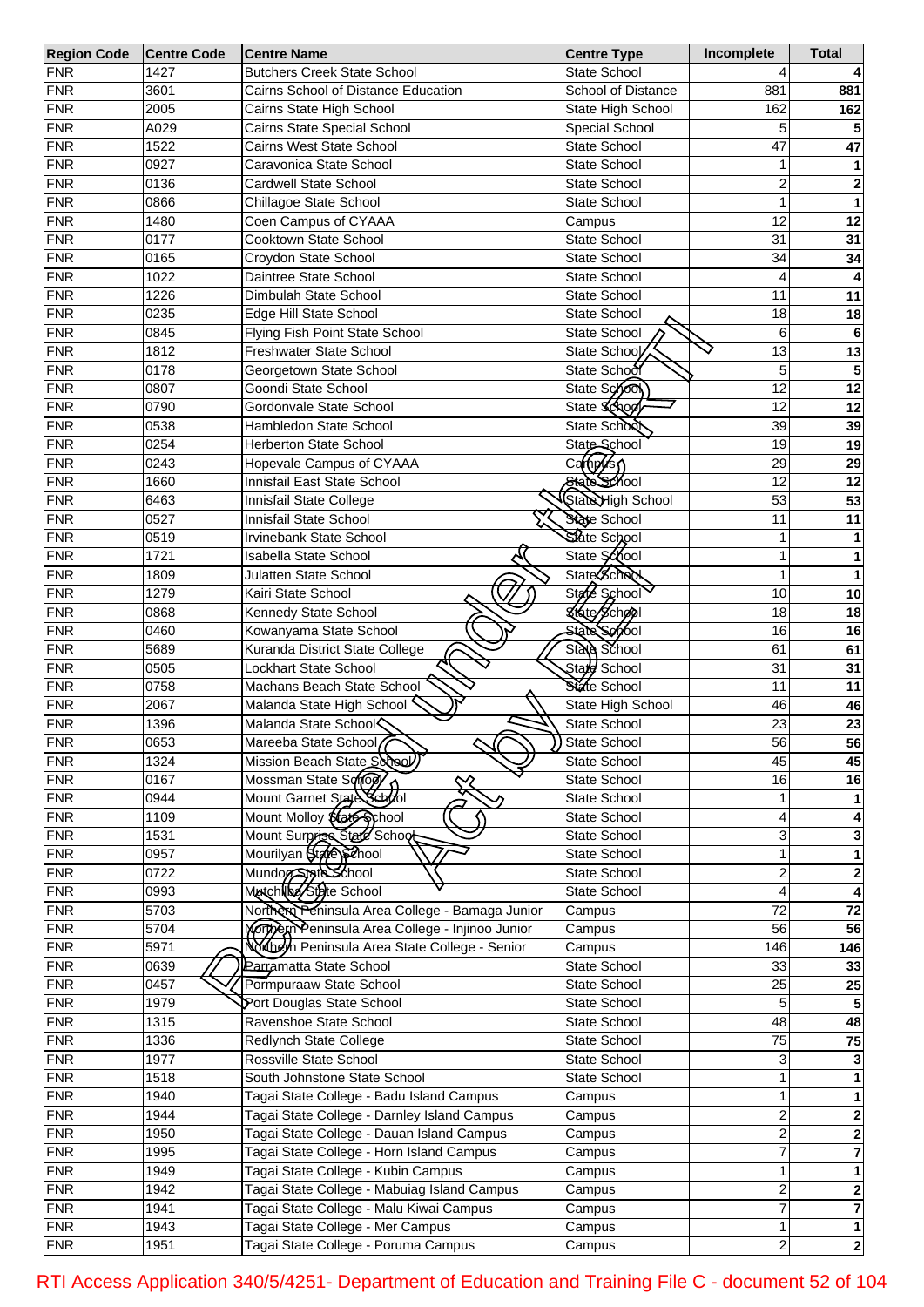| <b>Region Code</b> | <b>Centre Code</b> | <b>Centre Name</b>                              | <b>Centre Type</b>                              | Incomplete      | <b>Total</b>    |
|--------------------|--------------------|-------------------------------------------------|-------------------------------------------------|-----------------|-----------------|
| <b>FNR</b>         | 1427               | <b>Butchers Creek State School</b>              | <b>State School</b>                             |                 |                 |
| <b>FNR</b>         | 3601               | Cairns School of Distance Education             | School of Distance                              | 881             | 881             |
| <b>FNR</b>         | 2005               | Cairns State High School                        | State High School                               | 162             | 162             |
| <b>FNR</b>         | A029               | Cairns State Special School                     | Special School                                  | 5               |                 |
| <b>FNR</b>         | 1522               | Cairns West State School                        | <b>State School</b>                             | 47              | 47              |
| <b>FNR</b>         | 0927               | Caravonica State School                         | State School                                    | 1               |                 |
| <b>FNR</b>         | 0136               | <b>Cardwell State School</b>                    | State School                                    | 2               | 2               |
| <b>FNR</b>         | 0866               | Chillagoe State School                          | <b>State School</b>                             | 1               | 1               |
| <b>FNR</b>         | 1480               | Coen Campus of CYAAA                            | Campus                                          | 12              | 12              |
| <b>FNR</b>         | 0177               | Cooktown State School                           | <b>State School</b>                             | 31              | 31              |
| <b>FNR</b>         | 0165               | Croydon State School                            | <b>State School</b>                             | 34              | 34              |
| <b>FNR</b>         | 1022               | Daintree State School                           | <b>State School</b>                             | 4               |                 |
| <b>FNR</b>         | 1226               | Dimbulah State School                           | <b>State School</b>                             | 11              | 11              |
|                    |                    |                                                 |                                                 |                 |                 |
| <b>FNR</b>         | 0235               | Edge Hill State School                          | <b>State School</b>                             | 18              | 18              |
| <b>FNR</b>         | 0845               | Flying Fish Point State School                  | State School                                    | 6               | 6               |
| <b>FNR</b>         | 1812               | Freshwater State School                         | State School                                    | $\overline{13}$ | 13              |
| <b>FNR</b>         | 0178               | Georgetown State School                         | State School                                    | 5               | 5               |
| <b>FNR</b>         | 0807               | Goondi State School                             | State School                                    | 12              | 12              |
| <b>FNR</b>         | 0790               | Gordonvale State School                         | State Schoo                                     | 12              | 12              |
| <b>FNR</b>         | 0538               | Hambledon State School                          | State School                                    | 39              | 39              |
| <b>FNR</b>         | 0254               | Herberton State School                          | State School                                    | 19              | 19              |
| <b>FNR</b>         | 0243               | Hopevale Campus of CYAAA                        | Camfp∕o <r√< td=""><td>29</td><td>29</td></r√<> | 29              | 29              |
| <b>FNR</b>         | 1660               | Innisfail East State School                     | State School                                    | 12              | 12              |
| <b>FNR</b>         | 6463               | Innisfail State College                         | StateHigh School                                | 53              | 53              |
| <b>FNR</b>         | 0527               | Innisfail State School                          | State School                                    | 11              | 11              |
| <b>FNR</b>         | 0519               | Irvinebank State School                         | State School                                    | 1               |                 |
| <b>FNR</b>         | 1721               | <b>Isabella State School</b>                    | State School                                    | 1               |                 |
| <b>FNR</b>         | 1809               | Julatten State School                           | <b>State School</b>                             | 1               |                 |
| <b>FNR</b>         | 1279               | Kairi State School                              | State School                                    | 10              | 10              |
| <b>FNR</b>         | 0868               | Kennedy State School                            | State School                                    | 18              | 18              |
| <b>FNR</b>         | 0460               | Kowanyama State School                          | State School                                    | 16              | 16              |
| <b>FNR</b>         | 5689               | Kuranda District State College                  | State School                                    | 61              | 61              |
| <b>FNR</b>         | 0505               | Lockhart State School                           | State School                                    | 31              | 31              |
| <b>FNR</b>         | 0758               | Machans Beach State School                      | State School                                    | 11              | 11              |
|                    |                    |                                                 |                                                 |                 |                 |
| <b>FNR</b>         | 2067               | Malanda State High School                       | State High School                               | 46              | 46              |
| <b>FNR</b>         | 1396               | Malanda State School                            | State School                                    | $\overline{23}$ | 23              |
| <b>FNR</b>         | 0653               | Mareeba State School                            | State School                                    | 56              | 56              |
| <b>FNR</b>         | 1324               | Mission Beach State School)                     | State School                                    | 45              | 45              |
| <b>FNR</b>         | 0167               | Mossman State Sonogl                            | State School                                    | 16              | 16              |
| <b>FNR</b>         | 0944               | Mount Garnet State School                       | State School                                    |                 |                 |
| <b>FNR</b>         | 1109               | Mount Molloy \$ (at School                      | State School                                    | 4               |                 |
| <b>FNR</b>         | 1531               | Mount Surprise State School                     | State School                                    | 3               |                 |
| <b>FNR</b>         | 0957               | Mourilyan State School                          | State School                                    | 1               |                 |
| FNR                | 0722               | Mundog State School                             | State School                                    | 2               | 2               |
| FNR                | 0993               | MatchNba/State School                           | State School                                    | 4               |                 |
| FNR                | 5703               | Northern Peninsula Area College - Bamaga Junior | Campus                                          | 72              | $\overline{72}$ |
| FNR                | 5704               | Mortheninsula Area College - Injinoo Junior     | Campus                                          | 56              | 56              |
| FNR                | 5971               | Northern Peninsula Area State College - Senior  | Campus                                          | 146             | 146             |
| FNR                | 0639               | Parramatta State School                         | State School                                    | 33              | 33              |
| <b>FNR</b>         | 0457               | Pormpuraaw State School                         | State School                                    | 25              | 25              |
| <b>FNR</b>         | 1979               | Port Douglas State School                       | State School                                    | 5               |                 |
| <b>FNR</b>         | 1315               | Ravenshoe State School                          | State School                                    | 48              | 48              |
| <b>FNR</b>         | 1336               | Redlynch State College                          | State School                                    | 75              | 75              |
| <b>FNR</b>         | 1977               | Rossville State School                          | State School                                    | 3               |                 |
| <b>FNR</b>         | 1518               | South Johnstone State School                    | State School                                    |                 |                 |
| <b>FNR</b>         | 1940               | Tagai State College - Badu Island Campus        | Campus                                          | 1               |                 |
| <b>FNR</b>         | 1944               | Tagai State College - Darnley Island Campus     |                                                 | 2               |                 |
|                    |                    |                                                 | Campus                                          |                 | 2               |
| <b>FNR</b>         | 1950               | Tagai State College - Dauan Island Campus       | Campus                                          | 2               | 2               |
| <b>FNR</b>         | 1995               | Tagai State College - Horn Island Campus        | Campus                                          | 7               |                 |
| <b>FNR</b>         | 1949               | Tagai State College - Kubin Campus              | Campus                                          | 1               |                 |
| <b>FNR</b>         | 1942               | Tagai State College - Mabuiag Island Campus     | Campus                                          | 2               | 2               |
| <b>FNR</b>         | 1941               | Tagai State College - Malu Kiwai Campus         | Campus                                          | 7               | 7               |
| <b>FNR</b>         | 1943               | Tagai State College - Mer Campus                | Campus                                          | 1               |                 |
| <b>FNR</b>         | 1951               | Tagai State College - Poruma Campus             | Campus                                          | 2               | 2               |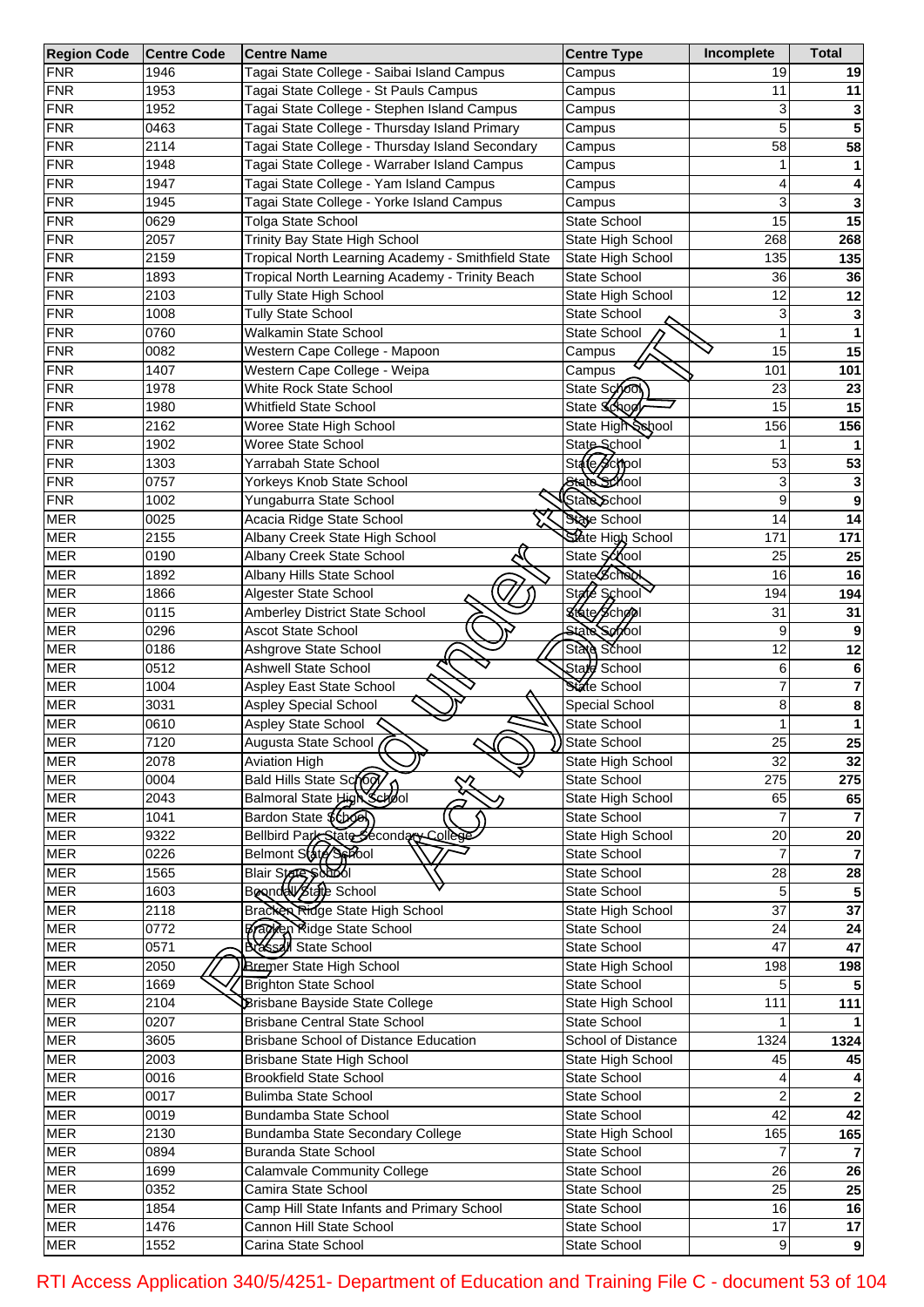| <b>Region Code</b> | <b>Centre Code</b> | <b>Centre Name</b>                                 | <b>Centre Type</b>    | Incomplete      | <b>Total</b>    |
|--------------------|--------------------|----------------------------------------------------|-----------------------|-----------------|-----------------|
| <b>FNR</b>         | 1946               | Tagai State College - Saibai Island Campus         | Campus                | 19              | 19              |
| <b>FNR</b>         | 1953               | Tagai State College - St Pauls Campus              | Campus                | 11              | 11              |
| <b>FNR</b>         | 1952               | Tagai State College - Stephen Island Campus        | Campus                | 3               |                 |
| <b>FNR</b>         | 0463               | Tagai State College - Thursday Island Primary      | Campus                | 5               |                 |
| <b>FNR</b>         | 2114               | Tagai State College - Thursday Island Secondary    | Campus                | 58              | 58              |
| <b>FNR</b>         | 1948               | Tagai State College - Warraber Island Campus       | Campus                |                 |                 |
| <b>FNR</b>         | 1947               | Tagai State College - Yam Island Campus            | Campus                | 4               |                 |
| <b>FNR</b>         | 1945               | Tagai State College - Yorke Island Campus          | Campus                | 3               |                 |
| <b>FNR</b>         | 0629               | <b>Tolga State School</b>                          | <b>State School</b>   | 15              | 15              |
| <b>FNR</b>         | 2057               | Trinity Bay State High School                      | State High School     | 268             | 268             |
| <b>FNR</b>         | 2159               | Tropical North Learning Academy - Smithfield State | State High School     | 135             | 135             |
| <b>FNR</b>         | 1893               | Tropical North Learning Academy - Trinity Beach    | State School          | 36              | 36              |
| <b>FNR</b>         | 2103               | Tully State High School                            | State High School     | 12              | 12              |
| <b>FNR</b>         | 1008               | <b>Tully State School</b>                          | State School          | 3               |                 |
| <b>FNR</b>         | 0760               | Walkamin State School                              | State School          |                 |                 |
| <b>FNR</b>         | 0082               | Western Cape College - Mapoon                      | Campus                | 15              | 15              |
| <b>FNR</b>         | 1407               | Western Cape College - Weipa                       | Campus                | 101             | 101             |
| <b>FNR</b>         | 1978               | White Rock State School                            | State Soloo           | 23              | 23              |
| <b>FNR</b>         | 1980               | <b>Whitfield State School</b>                      | State School          | 15              | 15              |
| <b>FNR</b>         | 2162               | Woree State High School                            | State High School     | 156             | 156             |
| <b>FNR</b>         | 1902               | Woree State School                                 | State School          |                 |                 |
| <b>FNR</b>         | 1303               | Yarrabah State School                              | State Scopol          | 53              | 53              |
| <b>FNR</b>         | 0757               | Yorkeys Knob State School                          | State School          | 3               |                 |
| <b>FNR</b>         | 1002               | Yungaburra State School                            | State School          | 9               |                 |
| <b>MER</b>         | 0025               | Acacia Ridge State School                          |                       | 14              | 14              |
|                    |                    |                                                    | State School          |                 |                 |
| <b>MER</b>         | 2155               | Albany Creek State High School                     | State High School     | 171             | 171             |
| <b>MER</b>         | 0190               | Albany Creek State School                          | State School          | 25              | 25              |
| <b>MER</b>         | 1892               | Albany Hills State School                          | State Scheck          | 16              | 16              |
| <b>MER</b>         | 1866               | Algester State School                              | State School          | 194             | 194             |
| <b>MER</b>         | 0115               | Amberley District State School                     | &fate School          | 31              | 31              |
| <b>MER</b>         | 0296               | Ascot State School                                 | <b>State School</b>   | 9               |                 |
| <b>MER</b>         | 0186               | Ashgrove State School                              | State School          | 12              | 12              |
| <b>MER</b>         | 0512               | Ashwell State School                               | Stale School          | 6               | 6               |
| <b>MER</b>         | 1004               | Aspley East State School                           | State School          |                 |                 |
| <b>MER</b>         | 3031               | Aspley Special School                              | <b>Special School</b> | 8               | 8               |
| <b>MER</b>         | 0610               | Aspley State School                                | State School          | 1               |                 |
| <b>MER</b>         | 7120               | Augusta State School                               | State School          | 25              | 25              |
| <b>MER</b>         | 2078               | <b>Aviation High</b>                               | State High School     | $\overline{32}$ | 32              |
| <b>MER</b>         | 0004               | Bald Hills State Schooy                            | State School          | 275             | 275             |
| <b>MER</b>         | 2043               | Balmoral State High School                         | State High School     | 65              | 65              |
| <b>MER</b>         | 1041               | Bardon State \$6boon                               | State School          |                 |                 |
| <b>MER</b>         | 9322               | Bellbird Park State Secondary College              | State High School     | 20              | $\overline{20}$ |
| <b>MER</b>         | 0226               | Belmont State/Sprool                               | State School          |                 |                 |
| <b>MER</b>         | 1565               | Blair State Soundi<br>Boandalvztajle School        | State School          | 28              | $\overline{28}$ |
| <b>MER</b>         | 1603               |                                                    | State School          | 5               | 5               |
| <b>MER</b>         | 2118               | Bracken Ridge State High School                    | State High School     | $\overline{37}$ | $\overline{37}$ |
| <b>MER</b>         | $\overline{07}$ 72 | Bracken Ridge State School                         | State School          | 24              | $\overline{24}$ |
| <b>MER</b>         | $\overline{05}$ 71 | <b>Bressell State School</b>                       | State School          | 47              | $\overline{47}$ |
| <b>MER</b>         | 2050               | <b>Bremer State High School</b>                    | State High School     | 198             | 198             |
| <b>MER</b>         | 1669               | <b>Brighton State School</b>                       | State School          | 5               |                 |
| <b>MER</b>         | 2104               | <b>Brisbane Bayside State College</b>              | State High School     | 111             | 111             |
| <b>MER</b>         | 0207               | <b>Brisbane Central State School</b>               | State School          |                 |                 |
| <b>MER</b>         | 3605               | <b>Brisbane School of Distance Education</b>       | School of Distance    | 1324            | 1324            |
| <b>MER</b>         | 2003               | Brisbane State High School                         | State High School     | 45              | 45              |
| <b>MER</b>         | 0016               | <b>Brookfield State School</b>                     | State School          | 4               |                 |
| <b>MER</b>         | 0017               | <b>Bulimba State School</b>                        | State School          | 2               |                 |
| <b>MER</b>         | 0019               | Bundamba State School                              | State School          | 42              | $\overline{42}$ |
| <b>MER</b>         | 2130               | Bundamba State Secondary College                   | State High School     | 165             | 165             |
| <b>MER</b>         | 0894               | <b>Buranda State School</b>                        | State School          |                 | $\overline{7}$  |
| <b>MER</b>         | 1699               | <b>Calamvale Community College</b>                 | State School          | $\overline{26}$ | 26              |
| <b>MER</b>         | 0352               | Camira State School                                | State School          | $\overline{25}$ | 25              |
| <b>MER</b>         | 1854               | Camp Hill State Infants and Primary School         | State School          | 16              | 16              |
| <b>MER</b>         | 1476               | Cannon Hill State School                           | State School          | $\overline{17}$ | $\overline{17}$ |
| <b>MER</b>         | 1552               | Carina State School                                | State School          | $\overline{9}$  | $\overline{9}$  |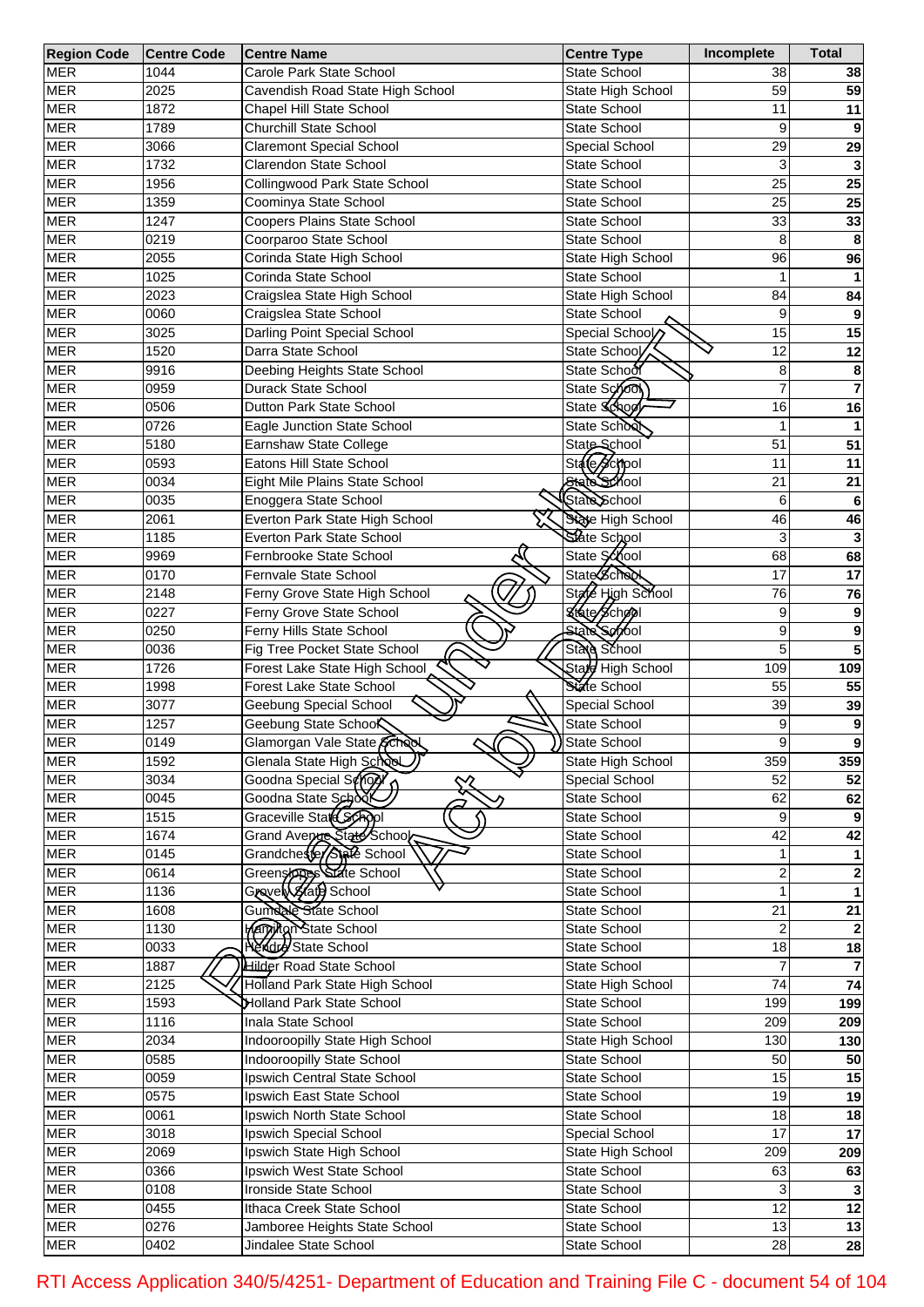| <b>Region Code</b> | <b>Centre Code</b> | <b>Centre Name</b>                | <b>Centre Type</b>  | Incomplete    | <b>Total</b>    |
|--------------------|--------------------|-----------------------------------|---------------------|---------------|-----------------|
| <b>MER</b>         | 1044               | Carole Park State School          | State School        | 38            | 38              |
| <b>MER</b>         | 2025               | Cavendish Road State High School  | State High School   | 59            | 59              |
| <b>MER</b>         | 1872               | Chapel Hill State School          | State School        | 11            | 11              |
| <b>MER</b>         | 1789               | <b>Churchill State School</b>     | <b>State School</b> | 9             | 9               |
| <b>MER</b>         | 3066               | <b>Claremont Special School</b>   | Special School      | 29            | 29              |
| <b>MER</b>         | 1732               | Clarendon State School            | State School        | 3             | 3               |
| <b>MER</b>         | 1956               | Collingwood Park State School     | State School        | 25            | 25              |
| <b>MER</b>         | 1359               | Coominya State School             | State School        | 25            | 25              |
| <b>MER</b>         | 1247               | Coopers Plains State School       | State School        | 33            | 33              |
| <b>MER</b>         | 0219               | Coorparoo State School            | State School        | 8             |                 |
|                    | 2055               |                                   |                     | 96            | 8               |
| <b>MER</b>         |                    | Corinda State High School         | State High School   |               | 96              |
| <b>MER</b>         | 1025               | Corinda State School              | State School        |               |                 |
| <b>MER</b>         | 2023               | Craigslea State High School       | State High School   | 84            | 84              |
| <b>MER</b>         | 0060               | Craigslea State School            | State School        | 9             | 9               |
| <b>MER</b>         | 3025               | Darling Point Special School      | Special School      | 15            | 15              |
| <b>MER</b>         | 1520               | Darra State School                | State School        | 12            | 12              |
| <b>MER</b>         | 9916               | Deebing Heights State School      | State School        | 8             | 8               |
| <b>MER</b>         | 0959               | Durack State School               | State Sono          | 7             | $\overline{7}$  |
| <b>MER</b>         | 0506               | Dutton Park State School          | State Schoo         | 16            | 16              |
| <b>MER</b>         | 0726               | Eagle Junction State School       | State School        | 1             |                 |
| <b>MER</b>         | 5180               | Earnshaw State College            | State School        | 51            | 51              |
| <b>MER</b>         | 0593               | Eatons Hill State School          | State School        | 11            | 11              |
| <b>MER</b>         | 0034               | Eight Mile Plains State School    | State School        | 21            | 21              |
| <b>MER</b>         | 0035               | Enoggera State School             | State School        | 6             | 6               |
| <b>MER</b>         | 2061               | Everton Park State High School    | State High School   | 46            | 46              |
| <b>MER</b>         | 1185               | Everton Park State School         | State School        | 3             | 3               |
| <b>MER</b>         | 9969               | Fernbrooke State School           | State School        | 68            | 68              |
| <b>MER</b>         | 0170               | Fernvale State School             | <b>State School</b> | 17            | 17              |
| <b>MER</b>         | 2148               |                                   | State High School   | 76            |                 |
|                    |                    | Ferny Grove State High School     | State School        |               | 76              |
| <b>MER</b>         | 0227               | Ferny Grove State School          |                     | 9             | 9               |
| <b>MER</b>         | 0250               | Ferny Hills State School          | State School        | 9             | 9               |
| <b>MER</b>         | 0036               | Fig Tree Pocket State School      | State School        | 5             | 5               |
| <b>MER</b>         | 1726               | Forest Lake State High School     | Stard High School   | 109           | 109             |
| <b>MER</b>         | 1998               | Forest Lake State School          | State School        | 55            | 55              |
| <b>MER</b>         | 3077               | Geebung Special School            | Special School      | 39            | 39              |
| <b>MER</b>         | 1257               | Geebung State Schoo               | State School        | 9             | 9               |
| <b>MER</b>         | 0149               | Glamorgan Vale State School       | State School        | 9             | $\overline{9}$  |
| <b>MER</b>         | 1592               | Glenala State High School         | State High School   | 359           | 359             |
| <b>MER</b>         | 3034               | Goodna Special School<br>╳        | Special School      | 52            | 52              |
| <b>MER</b>         | 0045               | Goodna State School               | State School        | 62            | 62              |
| <b>MER</b>         | 1515               | Graceville State School           | State School        | 9             | 9               |
| <b>MER</b>         | 1674               | Grand Averge State School         | State School        | 42            | 42              |
| <b>MER</b>         | 0145               | Grandchester State School         | State School        |               |                 |
| <b>MER</b>         | 0614               | Greenstones State School          | State School        | 2             | 2               |
| <b>MER</b>         | 1136               | Gravel (15/4) School              | State School        |               |                 |
| <b>MER</b>         | 1608               | Gumdale State School              | State School        | 21            | $\overline{21}$ |
| <b>MER</b>         | 1130               | Marginan State School             | State School        |               |                 |
| <b>MER</b>         | 0033               | <b>Herdre</b> State School        | State School        | $\frac{1}{8}$ | 18              |
| <b>MER</b>         | 1887               | <b>Hilder Road State School</b>   | State School        |               |                 |
| <b>MER</b>         | 2125               | Holland Park State High School    | State High School   | 74            | $\overline{74}$ |
| <b>MER</b>         | 1593               | Holland Park State School         | State School        | 199           | 199             |
|                    |                    |                                   |                     |               |                 |
| <b>MER</b>         | 1116               | Inala State School                | State School        | 209           | 209             |
| <b>MER</b>         | 2034               | Indooroopilly State High School   | State High School   | 130           | 130             |
| <b>MER</b>         | 0585               | <b>Indooroopilly State School</b> | State School        | 50            | 50              |
| <b>MER</b>         | 0059               | Ipswich Central State School      | State School        | 15            | 15              |
| <b>MER</b>         | 0575               | Ipswich East State School         | State School        | 19            | 19              |
| <b>MER</b>         | 0061               | Ipswich North State School        | State School        | 18            | $\overline{18}$ |
| <b>MER</b>         | 3018               | Ipswich Special School            | Special School      | 17            | $\overline{17}$ |
| <b>MER</b>         | 2069               | Ipswich State High School         | State High School   | 209           | 209             |
| <b>MER</b>         | 0366               | Ipswich West State School         | State School        | 63            | 63              |
| <b>MER</b>         | 0108               | Ironside State School             | State School        | 3             |                 |
| <b>MER</b>         | 0455               | Ithaca Creek State School         | State School        | 12            | 12              |
| <b>MER</b>         | 0276               | Jamboree Heights State School     | State School        | 13            | 13              |
| <b>MER</b>         | 0402               | Jindalee State School             | State School        | 28            | 28              |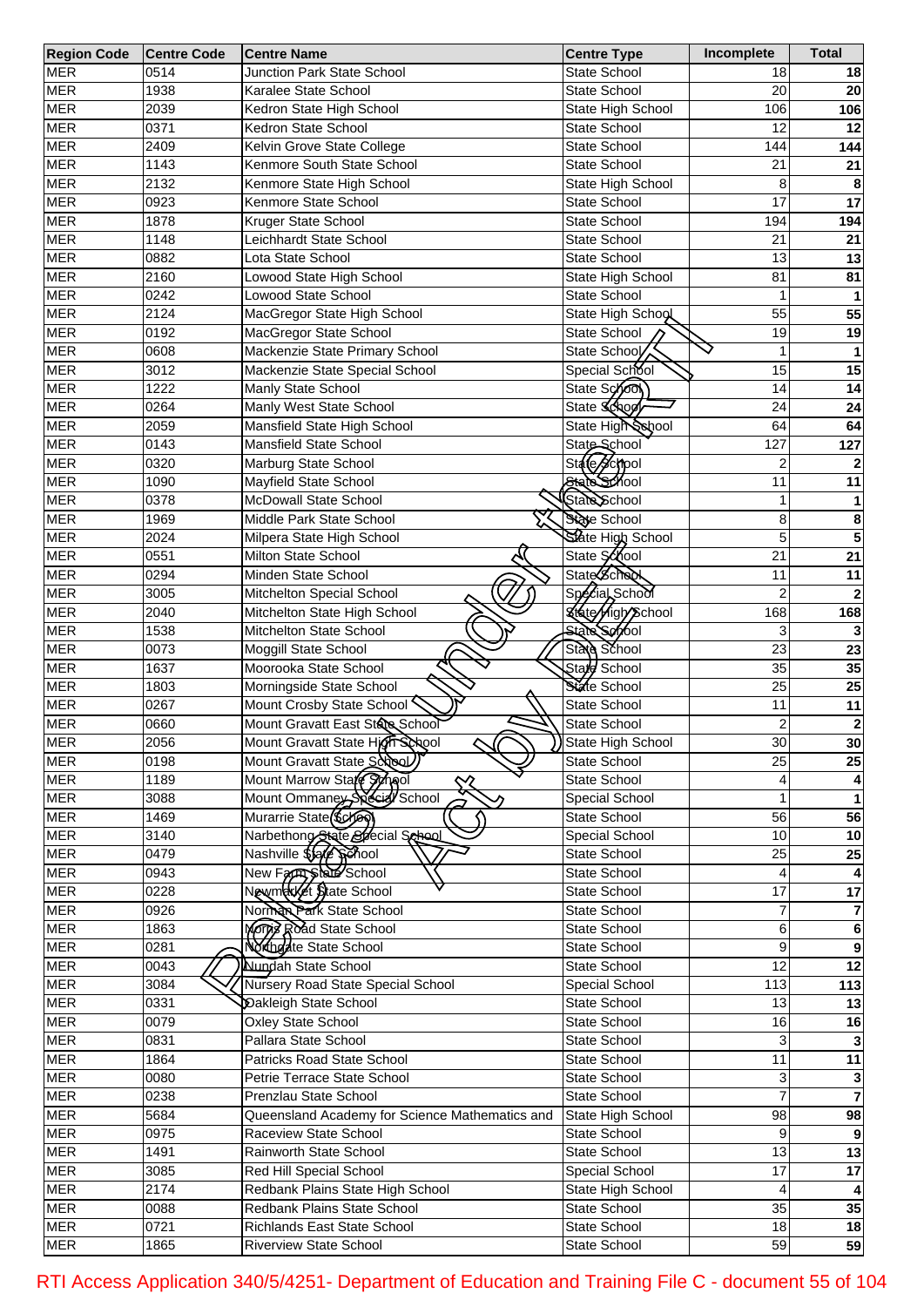| <b>Region Code</b> | <b>Centre Code</b> | <b>Centre Name</b>                              | <b>Centre Type</b>                | Incomplete      | <b>Total</b>            |
|--------------------|--------------------|-------------------------------------------------|-----------------------------------|-----------------|-------------------------|
| <b>MER</b>         | 0514               | <b>Junction Park State School</b>               | State School                      | 18              | 18                      |
| <b>MER</b>         | 1938               | Karalee State School                            | State School                      | 20              | 20                      |
| <b>MER</b>         | 2039               | Kedron State High School                        | State High School                 | 106             | 106                     |
| <b>MER</b>         | 0371               | Kedron State School                             | State School                      | 12              | 12                      |
| <b>MER</b>         | 2409               | Kelvin Grove State College                      | State School                      | 144             | 144                     |
| <b>MER</b>         | 1143               | Kenmore South State School                      | <b>State School</b>               | 21              | 21                      |
| <b>MER</b>         | 2132               | Kenmore State High School                       | State High School                 | 8               | 8                       |
| <b>MER</b>         | 0923               | Kenmore State School                            | State School                      | 17              | $\overline{17}$         |
| <b>MER</b>         | 1878               | Kruger State School                             | State School                      | 194             | 194                     |
| <b>MER</b>         | 1148               | Leichhardt State School                         | State School                      | 21              | 21                      |
| <b>MER</b>         | 0882               | Lota State School                               | <b>State School</b>               | 13              | 13                      |
| <b>MER</b>         | 2160               | Lowood State High School                        | State High School                 | 81              | 81                      |
| <b>MER</b>         | 0242               | Lowood State School                             | State School                      | 1               |                         |
| <b>MER</b>         | 2124               | MacGregor State High School                     | State High School                 | 55              | 55                      |
| <b>MER</b>         | 0192               | MacGregor State School                          | State School                      | 19              | 19                      |
| <b>MER</b>         | 0608               | Mackenzie State Primary School                  | State School                      | 1               | $\mathbf 1$             |
| <b>MER</b>         | 3012               | Mackenzie State Special School                  | Special School                    | 15              | 15                      |
| <b>MER</b>         | 1222               | Manly State School                              | State School                      | 14              | 14                      |
| <b>MER</b>         | 0264               | Manly West State School                         | State School                      | 24              | $\overline{24}$         |
| <b>MER</b>         | 2059               | Mansfield State High School                     | State High School                 | 64              | 64                      |
| <b>MER</b>         | 0143               | Mansfield State School                          | State School                      | 127             | 127                     |
| <b>MER</b>         | 0320               | Marburg State School                            | State School                      | 2               |                         |
| <b>MER</b>         | 1090               | Mayfield State School                           | State School                      | 11              | 11                      |
| <b>MER</b>         | 0378               | McDowall State School                           | State School                      | 1               |                         |
|                    |                    |                                                 |                                   |                 | 1                       |
| <b>MER</b>         | 1969               | Middle Park State School                        | State School<br>State High School | 8<br>5          | 8                       |
| <b>MER</b>         | 2024               | Milpera State High School                       |                                   |                 | 5                       |
| <b>MER</b>         | 0551               | Milton State School                             | State School                      | $\overline{21}$ | $\overline{21}$         |
| <b>MER</b>         | 0294               | Minden State School                             | State School                      | 11              | 11                      |
| <b>MER</b>         | 3005               | Mitchelton Special School                       | Special School                    | $\overline{2}$  |                         |
| <b>MER</b>         | 2040               | Mitchelton State High School                    | <b>State High School</b>          | 168             | 168                     |
| <b>MER</b>         | 1538               | Mitchelton State School                         | <b>State School</b>               | 3               |                         |
| <b>MER</b>         | 0073               | Moggill State School<br>٨                       | State School                      | $\overline{23}$ | $\overline{23}$         |
| <b>MER</b>         | 1637               | Moorooka State School                           | Stard School                      | 35              | 35                      |
| <b>MER</b>         | 1803               | Morningside State School                        | State School                      | $\overline{25}$ | $\overline{25}$         |
| <b>MER</b>         | 0267               | Mount Crosby State School                       | State School                      | 11              | 11                      |
| <b>MER</b>         | 0660               | Mount Gravatt East State School                 | State School                      | 2               | $\overline{\mathbf{c}}$ |
| <b>MER</b>         | 2056               | Mount Gravatt State High School                 | State High School                 | 30              | 30                      |
| <b>MER</b>         | 0198               | Mount Gravatt State School                      | State School                      | $\overline{25}$ | 25                      |
| <b>MER</b>         | 1189               | Mount Marrow Stafe Symol                        | State School                      |                 |                         |
| <b>MER</b>         | 3088               | Mount Ommaney Special School                    | Special School                    |                 |                         |
| <b>MER</b>         | 1469               | Murarrie State (\$cheen                         | State School                      | 56              | $\overline{56}$         |
| <b>MER</b>         | 3140               | Narbethong State Special School                 | Special School                    | 10              | 10                      |
| <b>MER</b>         | 0479               | Nashville \$54 Sphool                           | State School                      | 25              | $\overline{25}$         |
| <b>MER</b>         | 0943               | New Farm State School<br>Newmatket State School | State School                      | 4               |                         |
| <b>MER</b>         | 0228               |                                                 | State School                      | 17              | $\overline{17}$         |
| <b>MER</b>         | 0926               | Norman Park State School                        | State School                      |                 |                         |
| <b>MER</b>         | 1863               | Morris Road State School                        | State School                      | 6               | 6                       |
| <b>MER</b>         | 0281               | Northdate State School                          | State School                      | 9               | 9                       |
| <b>MER</b>         | 0043               | <b>Nundah State School</b>                      | State School                      | 12              | 12                      |
| <b>MER</b>         | 3084               | Nursery Road State Special School               | Special School                    | 113             | $\overline{113}$        |
| <b>MER</b>         | 0331               | Dakleigh State School                           | State School                      | 13              | 13                      |
| <b>MER</b>         | 0079               | <b>Oxley State School</b>                       | State School                      | 16              | 16                      |
| <b>MER</b>         | 0831               | Pallara State School                            | State School                      | 3               |                         |
| <b>MER</b>         | 1864               | Patricks Road State School                      | State School                      | 11              | 11                      |
| <b>MER</b>         | 0080               | Petrie Terrace State School                     | State School                      | 3               |                         |
| <b>MER</b>         | 0238               | Prenzlau State School                           | State School                      |                 | $\overline{7}$          |
| <b>MER</b>         | 5684               | Queensland Academy for Science Mathematics and  | State High School                 | 98              | 98                      |
| <b>MER</b>         | 0975               | Raceview State School                           | State School                      | 9               | 9                       |
| <b>MER</b>         | 1491               | Rainworth State School                          | State School                      | 13              | 13                      |
| <b>MER</b>         | 3085               | Red Hill Special School                         | Special School                    | 17              | $\overline{17}$         |
| <b>MER</b>         | 2174               | Redbank Plains State High School                | State High School                 |                 |                         |
| <b>MER</b>         | 0088               | Redbank Plains State School                     | State School                      | $\overline{35}$ | 35                      |
| <b>MER</b>         | 0721               | Richlands East State School                     | State School                      | 18              | 18                      |
| <b>MER</b>         | 1865               | <b>Riverview State School</b>                   | State School                      | 59              | 59                      |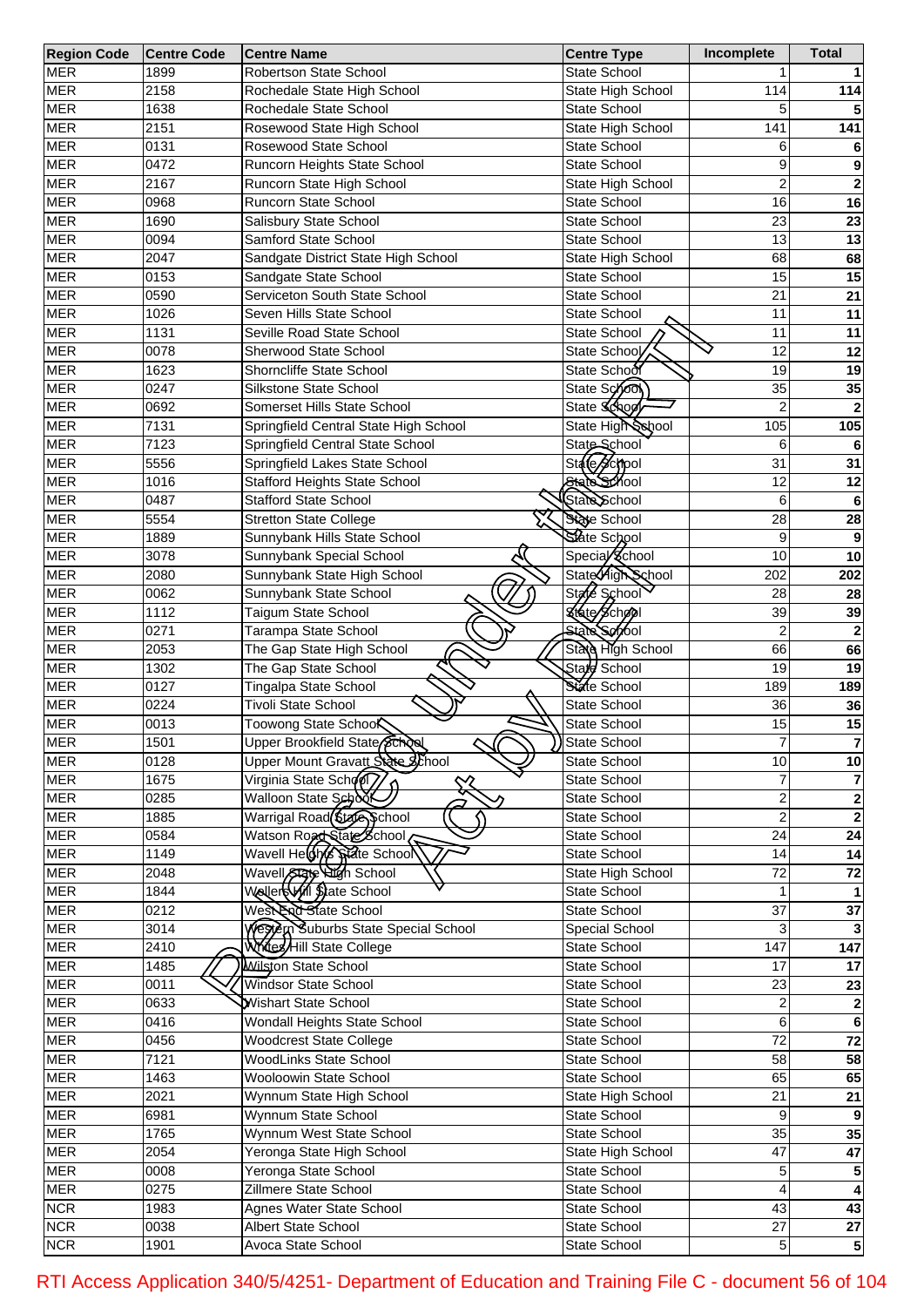| <b>Region Code</b> | <b>Centre Code</b> | <b>Centre Name</b>                    | <b>Centre Type</b>  | Incomplete       | <b>Total</b>            |
|--------------------|--------------------|---------------------------------------|---------------------|------------------|-------------------------|
| <b>MER</b>         | 1899               | <b>Robertson State School</b>         | <b>State School</b> |                  |                         |
| <b>MER</b>         | 2158               | Rochedale State High School           | State High School   | 114              | 114                     |
| <b>MER</b>         | 1638               | Rochedale State School                | State School        | 5                |                         |
| <b>MER</b>         | 2151               | Rosewood State High School            | State High School   | 141              | 141                     |
| <b>MER</b>         | 0131               | Rosewood State School                 | <b>State School</b> | 6                |                         |
| <b>MER</b>         | 0472               | Runcorn Heights State School          | <b>State School</b> | 9                | 9                       |
| <b>MER</b>         | 2167               | Runcorn State High School             | State High School   | $\overline{2}$   | $\mathbf{2}$            |
| <b>MER</b>         | 0968               | Runcorn State School                  | State School        | 16               | 16                      |
|                    |                    |                                       | <b>State School</b> | 23               |                         |
| <b>MER</b>         | 1690               | Salisbury State School                |                     |                  | 23                      |
| <b>MER</b>         | 0094               | Samford State School                  | <b>State School</b> | 13               | 13                      |
| <b>MER</b>         | 2047               | Sandgate District State High School   | State High School   | 68               | 68                      |
| <b>MER</b>         | 0153               | Sandgate State School                 | State School        | 15               | 15                      |
| <b>MER</b>         | 0590               | Serviceton South State School         | <b>State School</b> | 21               | 21                      |
| <b>MER</b>         | 1026               | Seven Hills State School              | <b>State School</b> | 11               | 11                      |
| <b>MER</b>         | 1131               | Seville Road State School             | State School        | 11               | 11                      |
| <b>MER</b>         | 0078               | Sherwood State School                 | State School        | 12               | 12                      |
| <b>MER</b>         | 1623               | Shorncliffe State School              | State School        | 19               | 19                      |
| <b>MER</b>         | 0247               | Silkstone State School                | State Sono          | 35               | 35                      |
| <b>MER</b>         | 0692               | Somerset Hills State School           | State School        | $\overline{2}$   |                         |
| <b>MER</b>         | 7131               | Springfield Central State High School | State High School   | 105              | 105                     |
| <b>MER</b>         | 7123               | Springfield Central State School      | State School        | 6                |                         |
| <b>MER</b>         | 5556               | Springfield Lakes State School        | State School        | 31               | 31                      |
| <b>MER</b>         | 1016               | <b>Stafford Heights State School</b>  | State School        | 12               | 12                      |
| <b>MER</b>         | 0487               | <b>Stafford State School</b>          | State School        | 6                | 6                       |
| <b>MER</b>         | 5554               | <b>Stretton State College</b>         | State School        | 28               | 28                      |
| <b>MER</b>         | 1889               | Sunnybank Hills State School          | State School        | 9                |                         |
|                    |                    |                                       |                     |                  | 9                       |
| <b>MER</b>         | 3078               | Sunnybank Special School              | Special School      | 10               | 10                      |
| <b>MER</b>         | 2080               | Sunnybank State High School           | State High School   | 202              | 202                     |
| <b>MER</b>         | 0062               | Sunnybank State School                | State School        | 28               | 28                      |
| <b>MER</b>         | 1112               | Taigum State School                   | State School        | 39               | 39                      |
| <b>MER</b>         | 0271               | Tarampa State School                  | State School        | 2                |                         |
| <b>MER</b>         | 2053               | The Gap State High School             | State High School   | 66               | 66                      |
| <b>MER</b>         | 1302               | The Gap State School                  | State School        | 19               | 19                      |
| <b>MER</b>         | 0127               | Tingalpa State School                 | State School        | 189              | 189                     |
| <b>MER</b>         | 0224               | <b>Tivoli State School</b>            | State School        | 36               | 36                      |
| <b>MER</b>         | 0013               | Toowong State School                  | State School        | 15               | 15                      |
| <b>MER</b>         | 1501               | Upper Brookfield State School         | State School        | 7                | $\overline{7}$          |
| <b>MER</b>         | 0128               | Upper Mount Gravatt State School      | State School        | 10               | 10                      |
| <b>MER</b>         | 1675               | Virginia State School                 | State School        |                  |                         |
| <b>MER</b>         | 0285               | Walloon State School                  | State School        | $\overline{a}$   | 2                       |
| <b>MER</b>         | 1885               | Warrigal Road State School            | State School        | $\overline{2}$   | $\overline{2}$          |
| <b>MER</b>         | 0584               | Watson Road State School              | State School        | 24               | $\overline{24}$         |
| <b>MER</b>         | 1149               | Wavell Heldhys Spate School           | State School        | 14               | 14                      |
| <b>MER</b>         | 2048               | Wavell State High School              | State High School   | $\overline{72}$  | 72                      |
|                    | 1844               |                                       |                     |                  |                         |
| <b>MER</b>         |                    | Wellers Will State School             | State School        |                  |                         |
| <b>MER</b>         | 0212               | West End State School                 | State School        | $\overline{37}$  | 37                      |
| <b>MER</b>         | 3014               | Western Suburbs State Special School  | Special School      | 3                |                         |
| <b>MER</b>         | $\overline{24}10$  | Whites/Hill State College             | State School        | $\overline{147}$ | $\overline{147}$        |
| <b>MER</b>         | 1485               | Wilston State School                  | State School        | 17               | 17                      |
| <b>MER</b>         | 0011               | <b>Windsor State School</b>           | State School        | 23               | 23                      |
| <b>MER</b>         | 0633               | Wishart State School                  | State School        | $\overline{2}$   | $\mathbf{2}$            |
| <b>MER</b>         | 0416               | Wondall Heights State School          | State School        | 6                | 6                       |
| <b>MER</b>         | 0456               | <b>Woodcrest State College</b>        | State School        | 72               | $\overline{72}$         |
| <b>MER</b>         | 7121               | <b>WoodLinks State School</b>         | State School        | 58               | 58                      |
| <b>MER</b>         | 1463               | Wooloowin State School                | State School        | 65               | 65                      |
| <b>MER</b>         | 2021               | Wynnum State High School              | State High School   | 21               | 21                      |
| <b>MER</b>         | 6981               | Wynnum State School                   | State School        | 9                |                         |
| <b>MER</b>         | 1765               | Wynnum West State School              | State School        | 35               | 35                      |
| <b>MER</b>         | 2054               | Yeronga State High School             | State High School   | 47               | 47                      |
| <b>MER</b>         | 0008               | Yeronga State School                  | State School        | 5                |                         |
| <b>MER</b>         | 0275               | Zillmere State School                 |                     | 4                |                         |
|                    |                    |                                       | State School        |                  |                         |
| <b>NCR</b>         | 1983               | Agnes Water State School              | State School        | 43               | 43                      |
| <b>NCR</b>         | 0038               | Albert State School                   | State School        | $\overline{27}$  | 27                      |
| <b>NCR</b>         | 1901               | Avoca State School                    | State School        | 5                | $\overline{\mathbf{5}}$ |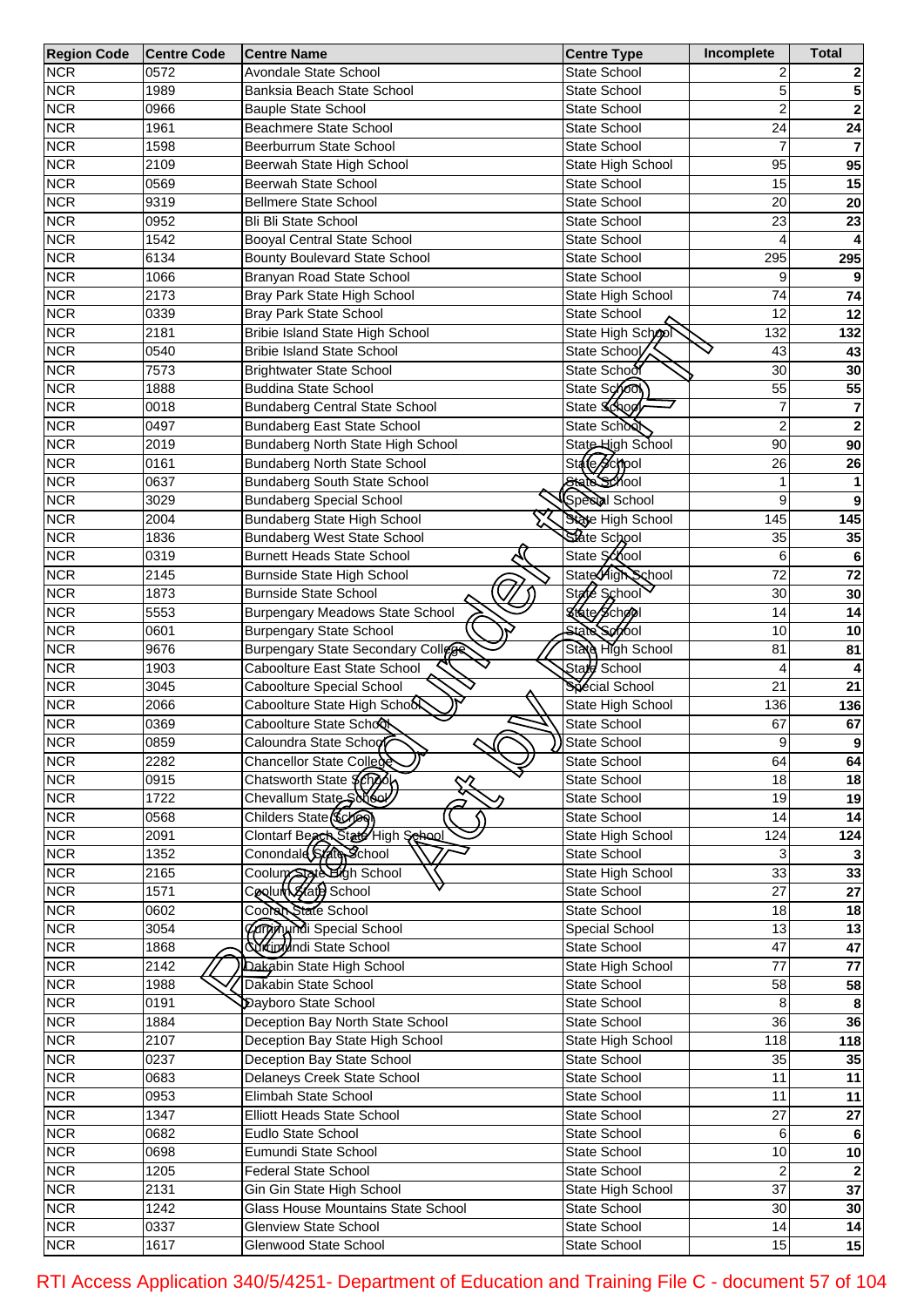| <b>Region Code</b> | <b>Centre Code</b> | <b>Centre Name</b>                        | <b>Centre Type</b>  | Incomplete      | Total                   |
|--------------------|--------------------|-------------------------------------------|---------------------|-----------------|-------------------------|
| <b>NCR</b>         | 0572               | Avondale State School                     | <b>State School</b> | 2               |                         |
| <b>NCR</b>         | 1989               | Banksia Beach State School                | <b>State School</b> | 5               | 5                       |
| <b>NCR</b>         | 0966               | <b>Bauple State School</b>                | State School        | $\overline{2}$  | $\overline{2}$          |
| <b>NCR</b>         | 1961               | Beachmere State School                    | State School        | 24              | 24                      |
| <b>NCR</b>         | 1598               | Beerburrum State School                   | <b>State School</b> | 7               | $\overline{7}$          |
| <b>NCR</b>         | 2109               | Beerwah State High School                 | State High School   | 95              | 95                      |
| <b>NCR</b>         | 0569               | Beerwah State School                      | State School        | 15              | 15                      |
| <b>NCR</b>         | 9319               | <b>Bellmere State School</b>              | State School        | 20              | 20                      |
| <b>NCR</b>         | 0952               | Bli Bli State School                      | State School        | 23              | 23                      |
| <b>NCR</b>         | 1542               | Booyal Central State School               | State School        | 4               |                         |
| <b>NCR</b>         | 6134               | Bounty Boulevard State School             | <b>State School</b> | 295             | 295                     |
| <b>NCR</b>         | 1066               | Branyan Road State School                 | <b>State School</b> | 9               |                         |
| <b>NCR</b>         | 2173               | Bray Park State High School               | State High School   | 74              | $\overline{74}$         |
| <b>NCR</b>         | 0339               | <b>Bray Park State School</b>             | State School        | 12              | 12                      |
| <b>NCR</b>         | 2181               | Bribie Island State High School           | State High School   | 132             | 132                     |
| <b>NCR</b>         | 0540               | <b>Bribie Island State School</b>         | State School        | 43              | 43                      |
| <b>NCR</b>         | 7573               | <b>Brightwater State School</b>           | State School        | 30              | 30                      |
| <b>NCR</b>         | 1888               | <b>Buddina State School</b>               | State School        | 55              | 55                      |
| <b>NCR</b>         | 0018               | <b>Bundaberg Central State School</b>     | State School        | 7               | $\overline{\mathbf{r}}$ |
| <b>NCR</b>         | 0497               | <b>Bundaberg East State School</b>        | State School        | $\overline{2}$  | $\mathbf{2}$            |
| <b>NCR</b>         | 2019               | Bundaberg North State High School         | State High School   | 90              | 90                      |
| <b>NCR</b>         | 0161               | Bundaberg North State School              | State School        | 26              | 26                      |
| <b>NCR</b>         | 0637               | <b>Bundaberg South State School</b>       | State School        | 1               | 1                       |
| <b>NCR</b>         | 3029               | <b>Bundaberg Special School</b>           | Spesial School      | 9               | 9                       |
| <b>NCR</b>         | 2004               | Bundaberg State High School               | State High School   | 145             | 145                     |
| <b>NCR</b>         | 1836               | <b>Bundaberg West State School</b>        | State School        | 35              | 35                      |
| <b>NCR</b>         | 0319               | <b>Burnett Heads State School</b>         | State School        | 6               | 6                       |
| <b>NCR</b>         | 2145               | Burnside State High School                | State High School   | $\overline{72}$ | $\overline{72}$         |
|                    |                    |                                           |                     | 30              |                         |
| <b>NCR</b>         | 1873               | <b>Burnside State School</b>              | State School        |                 | 30                      |
| <b>NCR</b>         | 5553               | <b>Burpengary Meadows State School</b>    | State School        | 14              | 14                      |
| <b>NCR</b>         | 0601               | <b>Burpengary State School</b>            | State School        | 10              | 10                      |
| <b>NCR</b>         | 9676               | Burpengary State Secondary College        | State High School   | 81              | 81                      |
| <b>NCR</b>         | 1903               | Caboolture East State School              | Stare School        |                 |                         |
| <b>NCR</b>         | 3045               | Caboolture Special School                 | Special School      | $\overline{21}$ | 21                      |
| <b>NCR</b>         | 2066               | Caboolture State High Schook              | State High School   | 136             | 136                     |
| <b>NCR</b>         | 0369               | Caboolture State Schoo                    | State School        | 67              | 67                      |
| <b>NCR</b>         | 0859               | Caloundra State School                    | State School        | 9               | $\overline{9}$          |
| <b>NCR</b>         | 2282               | Chancellor State College                  | State School        | 64              | 64                      |
| <b>NCR</b>         | 0915               | Chatsworth State \$chook                  | State School        | 18              | $\overline{18}$         |
| <b>NCR</b>         | 1722               | Chevallum State \$8660                    | State School        | 19              | 19                      |
| <b>NCR</b>         | 0568               | Childers State (School                    | State School        | 14              | $\overline{14}$         |
| <b>NCR</b>         | 2091               | Clontarf Beach State High School          | State High School   | 124             | 124                     |
| <b>NCR</b>         | 1352               | Conondald State School                    | State School        | 3               |                         |
| <b>NCR</b>         | 2165               | Coolum State Ligh School                  | State High School   | 33              | 33                      |
| <b>NCR</b>         | 1571               |                                           | State School        | $\overline{27}$ | $\overline{27}$         |
| <b>NCR</b>         | 0602               | Cooler State School                       | State School        | 18              | $\overline{18}$         |
| <b>NCR</b>         | 3054               | Carrid Mindi Special School               | Special School      | 13              | 13                      |
| <b>NCR</b>         | 1868               | <b>National State School</b>              | State School        | 47              | 47                      |
| <b>NCR</b>         | 2142               | Dakabin State High School                 | State High School   | $\overline{77}$ | $\overline{77}$         |
| <b>NCR</b>         | 1988               | Dakabin State School                      | State School        | 58              | 58                      |
| <b>NCR</b>         | 0191               | Dayboro State School                      | State School        | 8               | 8                       |
| <b>NCR</b>         | 1884               | Deception Bay North State School          | State School        | 36              | 36                      |
| <b>NCR</b>         | 2107               | Deception Bay State High School           | State High School   | 118             | 118                     |
| <b>NCR</b>         | 0237               | Deception Bay State School                | State School        | 35              | 35                      |
| <b>NCR</b>         | 0683               | Delaneys Creek State School               | State School        | $\overline{11}$ | $\overline{11}$         |
| <b>NCR</b>         | 0953               | Elimbah State School                      | State School        | 11              | $\overline{11}$         |
| <b>NCR</b>         | 1347               | Elliott Heads State School                | State School        | $\overline{27}$ | $\overline{27}$         |
| <b>NCR</b>         | 0682               | Eudlo State School                        | State School        | 6               | 6                       |
| <b>NCR</b>         | 0698               | Eumundi State School                      | State School        | 10              | 10                      |
| <b>NCR</b>         | 1205               | Federal State School                      | State School        | $\overline{2}$  |                         |
| <b>NCR</b>         | 2131               | Gin Gin State High School                 | State High School   | $\overline{37}$ | $\overline{37}$         |
| <b>NCR</b>         | 1242               | <b>Glass House Mountains State School</b> | State School        | 30              | 30                      |
| <b>NCR</b>         | 0337               | <b>Glenview State School</b>              | State School        | 14              | 14                      |
| <b>NCR</b>         | 1617               | Glenwood State School                     | State School        | 15              | 15                      |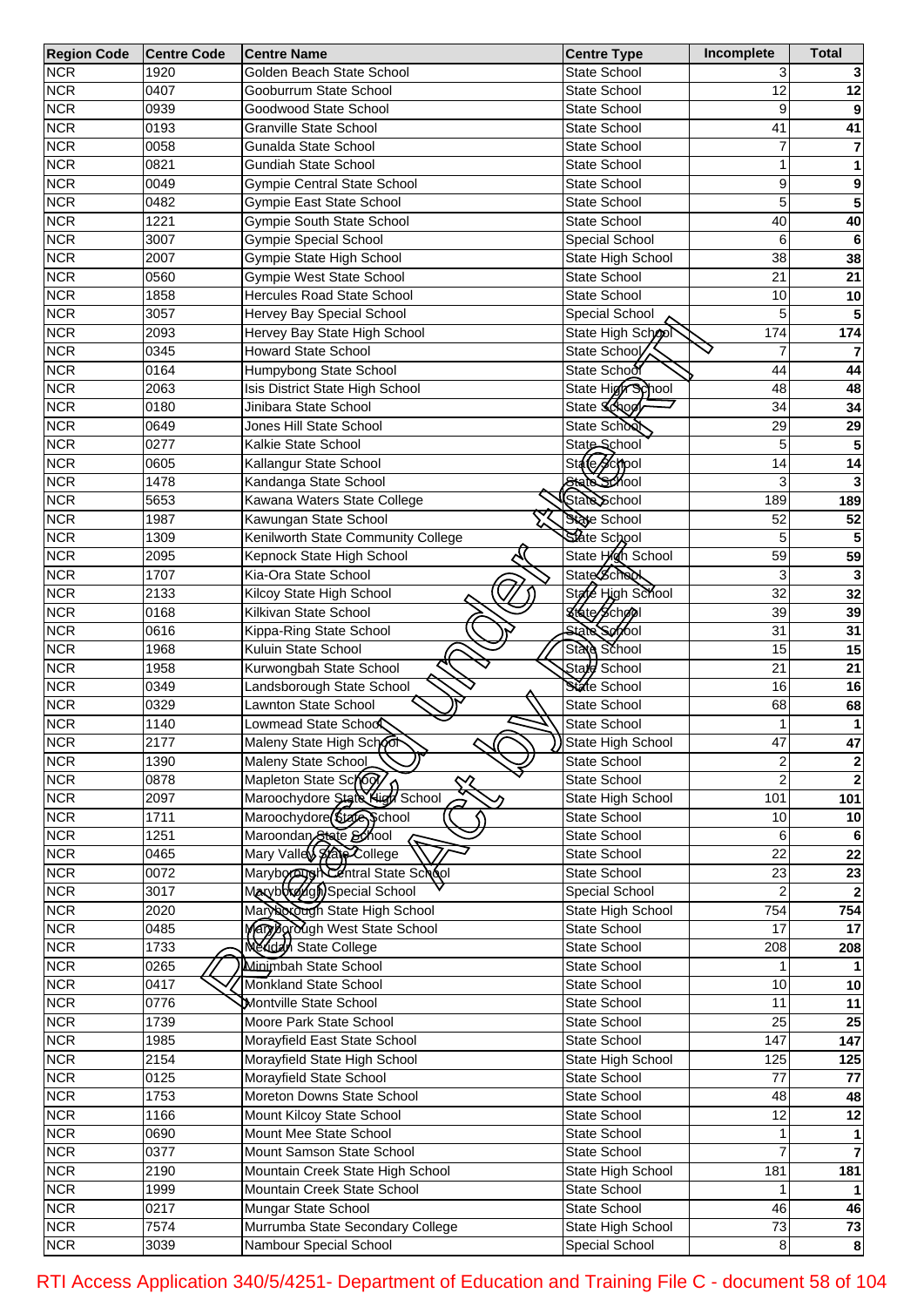| <b>Region Code</b> | <b>Centre Code</b> | <b>Centre Name</b>                                  | <b>Centre Type</b>    | Incomplete       | <b>Total</b>            |
|--------------------|--------------------|-----------------------------------------------------|-----------------------|------------------|-------------------------|
| <b>NCR</b>         | 1920               | Golden Beach State School                           | State School          | 3                |                         |
| <b>NCR</b>         | 0407               | Gooburrum State School                              | State School          | 12               | 12                      |
| <b>NCR</b>         | 0939               | Goodwood State School                               | State School          | 9                |                         |
| <b>NCR</b>         | 0193               | <b>Granville State School</b>                       | State School          | 41               | 41                      |
| <b>NCR</b>         | 0058               | Gunalda State School                                | State School          | 7                | 7                       |
| <b>NCR</b>         | 0821               | <b>Gundiah State School</b>                         | State School          | 1                | 1                       |
| <b>NCR</b>         | 0049               | <b>Gympie Central State School</b>                  | State School          | 9                | 9                       |
| <b>NCR</b>         | 0482               | Gympie East State School                            | State School          | 5                | 5                       |
| <b>NCR</b>         | 1221               | <b>Gympie South State School</b>                    | <b>State School</b>   | 40               | 40                      |
| <b>NCR</b>         | 3007               | <b>Gympie Special School</b>                        | Special School        | 6                | $6\phantom{1}6$         |
| <b>NCR</b>         | 2007               | Gympie State High School                            | State High School     | 38               | 38                      |
| <b>NCR</b>         | 0560               | <b>Gympie West State School</b>                     | State School          | 21               | 21                      |
| <b>NCR</b>         | 1858               | Hercules Road State School                          | State School          | 10               | 10                      |
| <b>NCR</b>         | 3057               | Hervey Bay Special School                           | Special School        | 5                |                         |
| <b>NCR</b>         | 2093               | Hervey Bay State High School                        | State High School     | 174              | $\frac{1}{174}$         |
| <b>NCR</b>         | 0345               | <b>Howard State School</b>                          | State School          |                  |                         |
| <b>NCR</b>         | 0164               | Humpybong State School                              | State School          | 44               | 44                      |
| <b>NCR</b>         | 2063               | Isis District State High School                     | State High School     | 48               | 48                      |
| <b>NCR</b>         | 0180               | Jinibara State School                               | State School          | 34               | 34                      |
| <b>NCR</b>         | 0649               | Jones Hill State School                             | State School          | 29               | 29                      |
| <b>NCR</b>         | 0277               | Kalkie State School                                 | State School          | 5                | 5                       |
| <b>NCR</b>         | 0605               | Kallangur State School                              | State School          | 14               | $\overline{14}$         |
| <b>NCR</b>         | 1478               | Kandanga State School                               | State School          | 3                |                         |
| <b>NCR</b>         | 5653               | Kawana Waters State College                         | State School          | 189              | 189                     |
| <b>NCR</b>         | 1987               | Kawungan State School                               | State School          | 52               | 52                      |
|                    |                    |                                                     | State School          | 5                |                         |
| <b>NCR</b>         | 1309               | Kenilworth State Community College                  |                       |                  |                         |
| <b>NCR</b>         | 2095               | Kepnock State High School                           | State High School     | 59               | 59                      |
| <b>NCR</b>         | 1707               | Kia-Ora State School                                | State School          | 3                |                         |
| <b>NCR</b>         | 2133               | Kilcoy State High School                            | State High School     | $\overline{32}$  | 32                      |
| <b>NCR</b>         | 0168               | Kilkivan State School                               | State School          | 39               | 39                      |
| <b>NCR</b>         | 0616               | Kippa-Ring State School                             | <b>State School</b>   | 31               | 31                      |
| <b>NCR</b>         | 1968               | Kuluin State School                                 | State School          | 15               | 15                      |
| <b>NCR</b>         | 1958               | Kurwongbah State School                             | Stare School          | $\overline{21}$  | 21                      |
| <b>NCR</b>         | 0349               | Landsborough State School                           | State School          | 16               | 16                      |
| <b>NCR</b>         | 0329               | Lawnton State School                                | State School          | 68               | 68                      |
| <b>NCR</b>         | 1140               | Lowmead State Schoo                                 | State School          | 1                | 1                       |
| <b>NCR</b>         | 2177               | Maleny State High School                            | ) State High School   | 47               | 47                      |
| <b>NCR</b>         | 1390               | Maleny State School                                 | <b>State School</b>   | $\overline{c}$   | $\overline{\mathbf{2}}$ |
| <b>NCR</b>         | 0878               | Mapleton State School                               | State School          | $\overline{2}$   | $\overline{\mathbf{2}}$ |
| <b>NCR</b>         | 2097               | Maroochydore State High School                      | State High School     | 101              | 101                     |
| <b>NCR</b>         | 1711               | Maroochydore( <i>State</i> School                   | State School          | 10               | 10                      |
| <b>NCR</b>         | 1251               | Maroondan State School<br>Mary Valley State College | State School          | 6                | 6                       |
| <b>NCR</b>         | 0465               |                                                     | State School          | $\overline{22}$  | $\overline{22}$         |
| <b>NCR</b>         | 0072               | Maryborg Schtral State School                       | State School          | $\overline{23}$  | $\overline{23}$         |
| <b>NCR</b>         | 3017               |                                                     | Special School        | $\overline{2}$   |                         |
| <b>NCR</b>         | 2020               | Mary occup State High School                        | State High School     | $\overline{754}$ | 754                     |
| <b>NCR</b>         | 0485               | Mary Barough West State School                      | State School          | 17               | 17                      |
| <b>NCR</b>         | 1733               | <b>Nexidal State College</b>                        | State School          | 208              | 208                     |
| <b>NCR</b>         | 0265               | Minimbah State School                               | State School          |                  |                         |
| <b>NCR</b>         | 0417               | Monkland State School                               | State School          | 10               | 10                      |
| <b>NCR</b>         | 0776               | Montville State School                              | State School          | $\overline{11}$  | $\overline{11}$         |
| <b>NCR</b>         | 1739               | Moore Park State School                             | State School          | $\overline{25}$  | $\overline{25}$         |
| <b>NCR</b>         | 1985               | Morayfield East State School                        | State School          | 147              | 147                     |
| <b>NCR</b>         | 2154               | Morayfield State High School                        | State High School     | 125              | 125                     |
| <b>NCR</b>         | 0125               | Morayfield State School                             | State School          | 77               | 77                      |
| <b>NCR</b>         | 1753               | Moreton Downs State School                          | State School          | 48               | 48                      |
| <b>NCR</b>         | 1166               | Mount Kilcoy State School                           | State School          | $\overline{12}$  | $\overline{12}$         |
| <b>NCR</b>         | 0690               | Mount Mee State School                              | State School          | 1                |                         |
| <b>NCR</b>         | 0377               | Mount Samson State School                           | State School          |                  |                         |
| <b>NCR</b>         | 2190               | Mountain Creek State High School                    | State High School     | 181              | 181                     |
| <b>NCR</b>         | 1999               | Mountain Creek State School                         | State School          |                  |                         |
| <b>NCR</b>         | 0217               | Mungar State School                                 | State School          | 46               | 46                      |
| <b>NCR</b>         | 7574               | Murrumba State Secondary College                    | State High School     | $\overline{73}$  | 73                      |
| <b>NCR</b>         | 3039               | Nambour Special School                              | <b>Special School</b> | 8                | 8                       |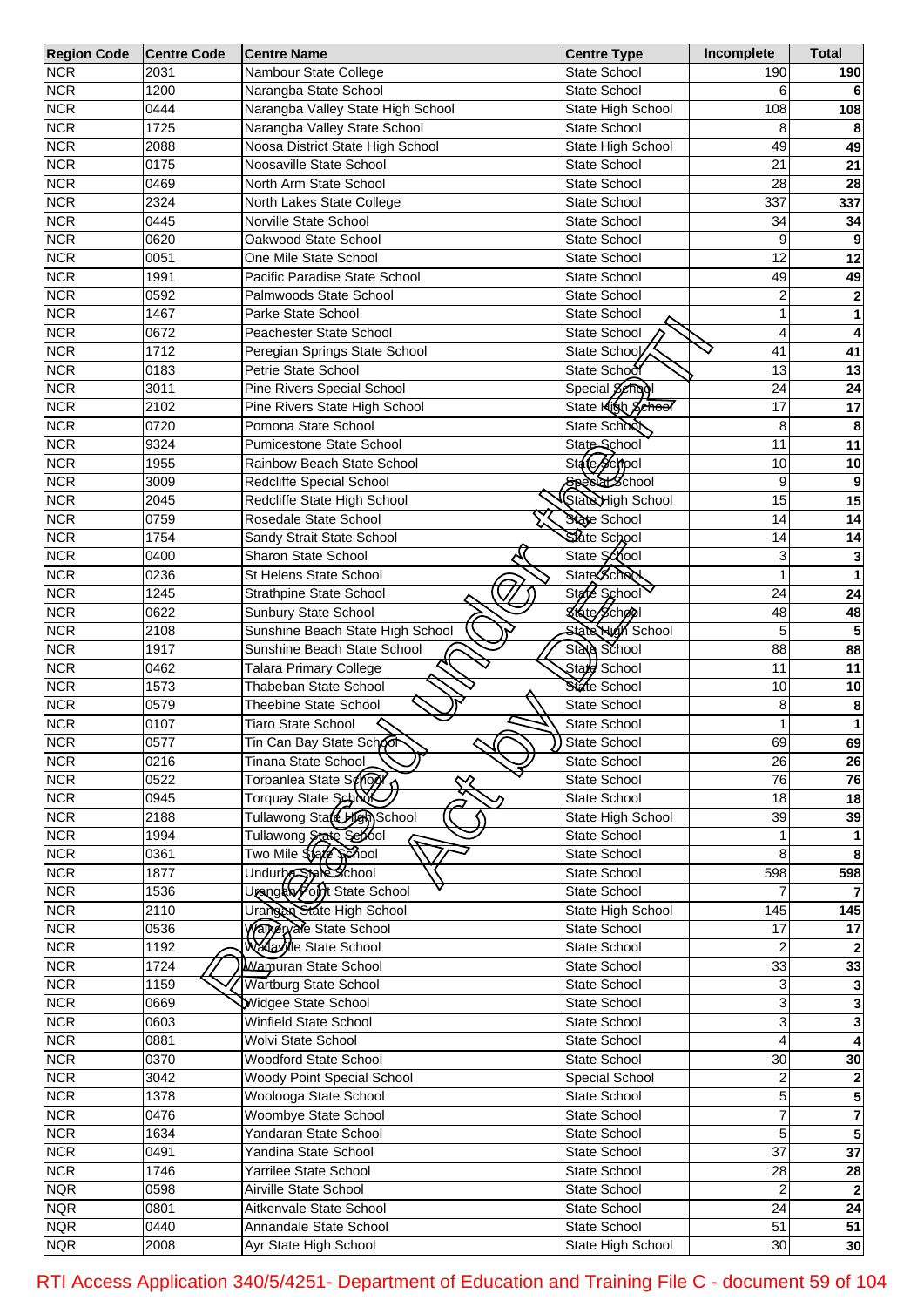| <b>Region Code</b> | <b>Centre Code</b> | <b>Centre Name</b>                            | <b>Centre Type</b>       | Incomplete      | <b>Total</b>    |
|--------------------|--------------------|-----------------------------------------------|--------------------------|-----------------|-----------------|
| <b>NCR</b>         | 2031               | Nambour State College                         | <b>State School</b>      | 190             | 190             |
| <b>NCR</b>         | 1200               | Narangba State School                         | <b>State School</b>      |                 |                 |
| <b>NCR</b>         | 0444               | Narangba Valley State High School             | State High School        | 108             | 108             |
| <b>NCR</b>         | 1725               | Narangba Valley State School                  | <b>State School</b>      | 8               |                 |
| <b>NCR</b>         | 2088               | Noosa District State High School              | State High School        | 49              | 49              |
| <b>NCR</b>         | 0175               | Noosaville State School                       | <b>State School</b>      | 21              | 21              |
| <b>NCR</b>         | 0469               | North Arm State School                        | <b>State School</b>      | 28              | 28              |
| <b>NCR</b>         | 2324               | North Lakes State College                     | <b>State School</b>      | 337             | 337             |
|                    |                    |                                               |                          |                 |                 |
| <b>NCR</b>         | 0445               | Norville State School<br>Oakwood State School | <b>State School</b>      | 34              | 34              |
| <b>NCR</b>         | 0620               |                                               | <b>State School</b>      | 9               |                 |
| <b>NCR</b>         | 0051               | One Mile State School                         | <b>State School</b>      | 12              | 12              |
| <b>NCR</b>         | 1991               | Pacific Paradise State School                 | <b>State School</b>      | 49              | 49              |
| <b>NCR</b>         | 0592               | Palmwoods State School                        | <b>State School</b>      | 2               | 2               |
| <b>NCR</b>         | 1467               | Parke State School                            | <b>State School</b>      | 1               | 1               |
| <b>NCR</b>         | 0672               | Peachester State School                       | State School             | 4               | 4               |
| <b>NCR</b>         | 1712               | Peregian Springs State School                 | State School             | 41              | 41              |
| <b>NCR</b>         | 0183               | Petrie State School                           | State School             | 13              | 13              |
| <b>NCR</b>         | 3011               | Pine Rivers Special School                    | Special Schopl           | 24              | 24              |
| <b>NCR</b>         | 2102               | Pine Rivers State High School                 | State <b>Klob</b> School | 17              | 17              |
| <b>NCR</b>         | 0720               | Pomona State School                           | State School             | 8               | 8               |
| <b>NCR</b>         | 9324               | <b>Pumicestone State School</b>               | State School             | 11              | 11              |
| <b>NCR</b>         | 1955               | Rainbow Beach State School                    | State School             | 10              | 10              |
| <b>NCR</b>         | 3009               | Redcliffe Special School                      | Special School           | 9               |                 |
|                    |                    |                                               |                          |                 | 9               |
| <b>NCR</b>         | 2045               | Redcliffe State High School                   | State High School        | 15              | 15              |
| <b>NCR</b>         | 0759               | Rosedale State School                         | State School             | 14              | 14              |
| <b>NCR</b>         | 1754               | Sandy Strait State School                     | State School             | 14              | 14              |
| <b>NCR</b>         | 0400               | Sharon State School                           | State School             | 3               | 3               |
| <b>NCR</b>         | 0236               | St Helens State School                        | <b>State School</b>      | 1               | 1               |
| <b>NCR</b>         | 1245               | Strathpine State School                       | State School             | 24              | 24              |
| <b>NCR</b>         | 0622               | Sunbury State School                          | State School             | 48              | 48              |
| <b>NCR</b>         | 2108               | Sunshine Beach State High School              | <b>State High School</b> | 5               | 5               |
| <b>NCR</b>         | 1917               | Sunshine Beach State School                   | State School             | 88              | 88              |
| <b>NCR</b>         | 0462               | <b>Talara Primary College</b>                 | State School             | 11              | 11              |
|                    | 1573               | Thabeban State School                         | State School             | 10              |                 |
| <b>NCR</b>         |                    |                                               |                          |                 | 10              |
| <b>NCR</b>         | 0579               | <b>Theebine State School</b>                  | <b>State School</b>      | 8               | 8               |
| <b>NCR</b>         | 0107               | <b>Tiaro State School</b>                     | State School             | 1               | 1               |
| <b>NCR</b>         | 0577               | Tin Can Bay State School<br>ᄭ                 | State School             | 69              | 69              |
| <b>NCR</b>         | 0216               | Tinana State School                           | State School             | 26              | 26              |
| <b>NCR</b>         | 0522               | Torbanlea State Songl                         | State School             | 76              | 76              |
| <b>NCR</b>         | 0945               | Torquay State School                          | State School             | 18              | 18              |
| <b>NCR</b>         | 2188               | Tullawong State Hen School                    | State High School        | 39              | 39              |
| <b>NCR</b>         | 1994               | Tullawong State School                        | State School             |                 |                 |
| <b>NCR</b>         | 0361               | Two Mile \$\$afe \$phool                      | State School             | 8               | 8               |
| <b>NCR</b>         | 1877               | Undurbe State School                          | State School             | 598             | 598             |
| <b>NCR</b>         | 1536               | Urangan Fort State School                     | State School             |                 |                 |
| <b>NCR</b>         | 2110               | Urangan State High School                     | State High School        | 145             | 145             |
|                    |                    |                                               |                          |                 |                 |
| <b>NCR</b>         | 0536               | Watkervale State School                       | State School             | 17              | 17              |
| <b>NCR</b>         | 1192               | Wallaville State School                       | State School             |                 |                 |
| <b>NCR</b>         | 1724               | <b>Wamuran State School</b>                   | State School             | 33              | 33              |
| <b>NCR</b>         | 1159               | <b>Wartburg State School</b>                  | State School             | 3               |                 |
| <b>NCR</b>         | 0669               | Widgee State School                           | State School             | 3               | 3               |
| <b>NCR</b>         | 0603               | Winfield State School                         | State School             | 3               | 3               |
| <b>NCR</b>         | 0881               | Wolvi State School                            | State School             |                 |                 |
| <b>NCR</b>         | 0370               | Woodford State School                         | State School             | 30              | 30              |
| <b>NCR</b>         | 3042               | Woody Point Special School                    | Special School           | 2               | $\mathbf 2$     |
| <b>NCR</b>         | 1378               | Woolooga State School                         | State School             | 5               | 5               |
| <b>NCR</b>         | 0476               | Woombye State School                          | State School             | 7               | 7               |
| <b>NCR</b>         | 1634               | Yandaran State School                         | State School             | 5               | 5               |
| <b>NCR</b>         | 0491               | Yandina State School                          |                          | $\overline{37}$ | $\overline{37}$ |
|                    |                    |                                               | State School             |                 |                 |
| <b>NCR</b>         | 1746               | Yarrilee State School                         | State School             | 28              | 28              |
| <b>NQR</b>         | 0598               | Airville State School                         | State School             | 2               | $\overline{2}$  |
| <b>NQR</b>         | 0801               | Aitkenvale State School                       | State School             | 24              | 24              |
| <b>NQR</b>         | 0440               | Annandale State School                        | State School             | 51              | 51              |
| <b>NQR</b>         | 2008               | Ayr State High School                         | State High School        | 30              | 30              |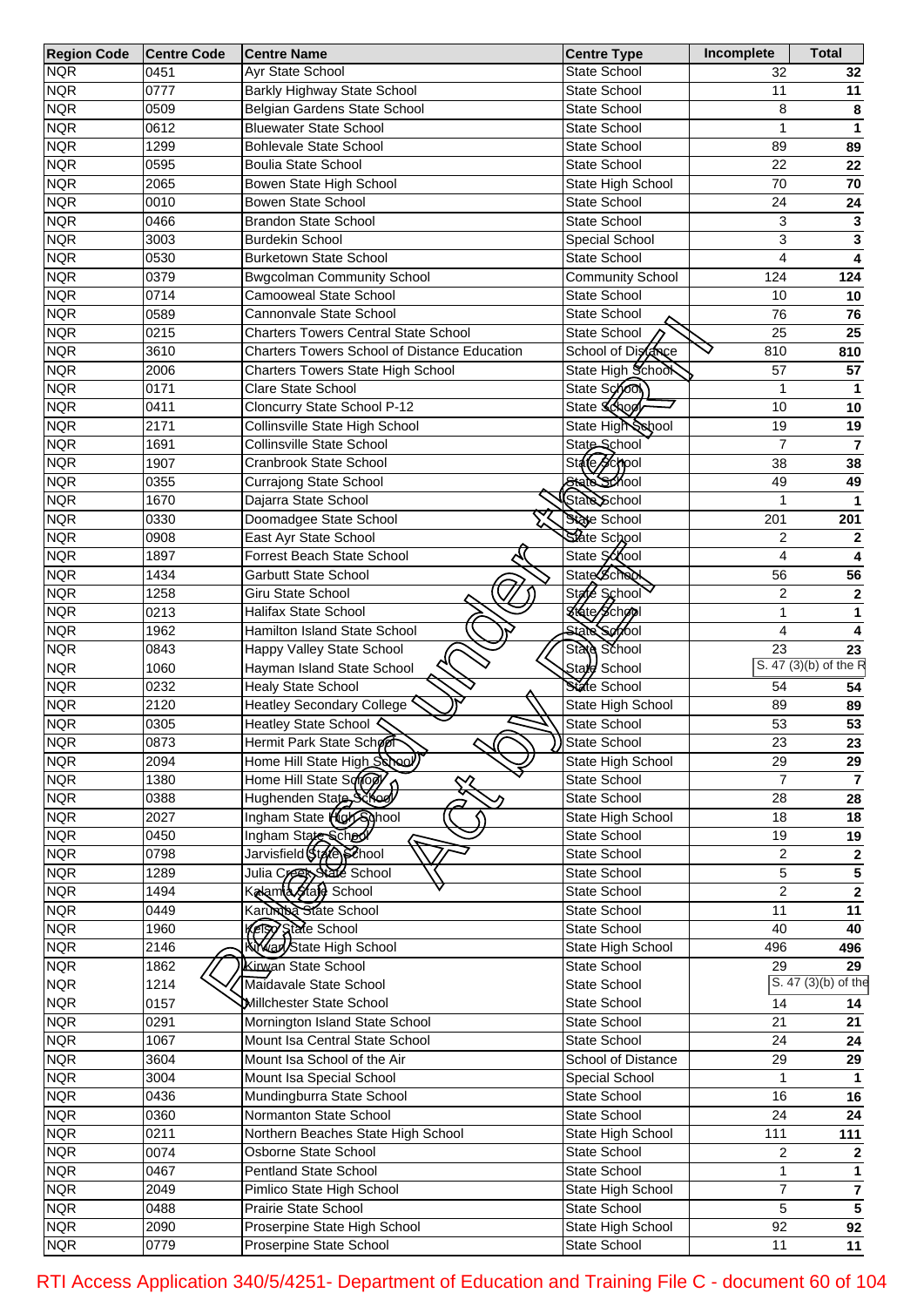| <b>Region Code</b> | <b>Centre Code</b> | <b>Centre Name</b>                                  | <b>Centre Type</b>      | Incomplete      | <b>Total</b>            |
|--------------------|--------------------|-----------------------------------------------------|-------------------------|-----------------|-------------------------|
| <b>NQR</b>         | 0451               | <b>Ayr State School</b>                             | State School            | 32              | 32                      |
| <b>NQR</b>         | 0777               | Barkly Highway State School                         | State School            | 11              | 11                      |
| <b>NQR</b>         | 0509               | Belgian Gardens State School                        | State School            | 8               | 8                       |
| <b>NQR</b>         | 0612               | <b>Bluewater State School</b>                       | State School            | $\mathbf 1$     | 1                       |
| <b>NQR</b>         | 1299               | <b>Bohlevale State School</b>                       | <b>State School</b>     | 89              | 89                      |
| <b>NQR</b>         | 0595               | <b>Boulia State School</b>                          | State School            | 22              | 22                      |
| <b>NQR</b>         | 2065               | Bowen State High School                             | State High School       | 70              | 70                      |
| <b>NQR</b>         | 0010               | Bowen State School                                  | State School            | 24              | 24                      |
| <b>NQR</b>         | 0466               | <b>Brandon State School</b>                         | State School            | 3               | 3                       |
| <b>NQR</b>         | 3003               | <b>Burdekin School</b>                              | Special School          | 3               | 3                       |
| <b>NQR</b>         | 0530               | <b>Burketown State School</b>                       | State School            | $\overline{4}$  | 4                       |
| <b>NQR</b>         | 0379               | <b>Bwgcolman Community School</b>                   | <b>Community School</b> | 124             | 124                     |
| <b>NQR</b>         | 0714               | <b>Camooweal State School</b>                       | State School            | 10              | 10                      |
| <b>NQR</b>         | 0589               | Cannonvale State School                             | State School            | 76              | 76                      |
| <b>NQR</b>         | 0215               | <b>Charters Towers Central State School</b>         | State School            | 25              | 25                      |
| <b>NQR</b>         | 3610               | <b>Charters Towers School of Distance Education</b> | School of Distance      | 810             | 810                     |
| <b>NQR</b>         | 2006               | Charters Towers State High School                   | State High School       | 57              | 57                      |
| <b>NQR</b>         | 0171               | Clare State School                                  | State Sono              | 1               | 1                       |
| <b>NQR</b>         | 0411               | Cloncurry State School P-12                         | State School            | 10              | 10                      |
| <b>NQR</b>         | 2171               | Collinsville State High School                      | State High School       | 19              | 19                      |
| <b>NQR</b>         | 1691               | Collinsville State School                           | State School            | $\overline{7}$  | $\overline{7}$          |
| <b>NQR</b>         | 1907               | Cranbrook State School                              | State School            | 38              | 38                      |
| <b>NQR</b>         | 0355               | Currajong State School                              | State School            | 49              | 49                      |
| <b>NQR</b>         | 1670               | Dajarra State School                                | State School            |                 |                         |
| <b>NQR</b>         | 0330               | Doomadgee State School                              | State School            | 201             | 201                     |
| <b>NQR</b>         | 0908               | East Ayr State School                               | State School            | $\overline{2}$  | 2                       |
| <b>NQR</b>         | 1897               | Forrest Beach State School                          | State School            | $\overline{4}$  |                         |
| <b>NQR</b>         | 1434               | Garbutt State School                                | <b>State School</b>     | 56              | 56                      |
| <b>NQR</b>         | 1258               | <b>Giru State School</b>                            | State School            | $\overline{c}$  | $\mathbf{2}$            |
| <b>NQR</b>         | 0213               | <b>Halifax State School</b>                         | State School            | $\mathbf{1}$    |                         |
| <b>NQR</b>         | 1962               | Hamilton Island State School                        | State School            | $\overline{4}$  |                         |
| <b>NQR</b>         | 0843               | Happy Valley State School                           | State School            | 23              | 23                      |
| <b>NQR</b>         | 1060               | Hayman Island State School                          | State School            |                 | S. 47 (3)(b) of the R   |
|                    |                    |                                                     | State School            | 54              |                         |
| <b>NQR</b>         | 0232               | <b>Healy State School</b>                           |                         |                 | 54                      |
| <b>NQR</b>         | 2120               | <b>Heatley Secondary College</b>                    | State High School       | 89              | 89                      |
| <b>NQR</b>         | 0305               | Heatley State School く                              | State School            | 53              | 53                      |
| <b>NQR</b>         | 0873               | Hermit Park State Schoor                            | State School            | $\overline{23}$ | 23                      |
| <b>NQR</b>         | 2094               | Home Hill State High School)                        | State High School       | 29              | 29                      |
| <b>NQR</b>         | 1380               | Home Hill State Sonopy<br>╳                         | State School            | $\overline{7}$  | $\overline{7}$          |
| <b>NQR</b>         | 0388               | Hughenden State Schod                               | State School            | 28              | 28                      |
| <b>NQR</b>         | 2027               | Ingham State High School                            | State High School       | 18              | $\overline{18}$         |
| <b>NQR</b>         | 0450               | Ingham State School                                 | State School            | 19              | 19                      |
| <b>NQR</b>         | 0798               | Jarvisfield(Stafe) School                           | State School            | $\overline{c}$  | $\mathbf 2$             |
| <b>NQR</b>         | 1289               | Julia Creaty State School                           | State School            | 5               | $\overline{\mathbf{5}}$ |
| <b>NQR</b>         | 1494               | Kalamla <i>Ha</i> ja School                         | State School            | $\overline{2}$  | $\overline{2}$          |
| <b>NQR</b>         | 0449               | Karundba State School                               | State School            | 11              | 11                      |
| <b>NQR</b>         | 1960               | Ketsy State School                                  | State School            | 40              | 40                      |
| <b>NQR</b>         | 2146               | <b>KY an State High School</b>                      | State High School       | 496             | 496                     |
| <b>NQR</b>         | 1862               | Kirwan State School                                 | State School            | 29              | 29                      |
| <b>NQR</b>         | 1214               | Maidavale State School                              | State School            |                 | S. 47 (3)(b) of the     |
| <b>NQR</b>         | 0157               | <b>Millchester State School</b>                     | State School            | 14              | 14                      |
| <b>NQR</b>         | 0291               | Mornington Island State School                      | State School            | 21              | 21                      |
| <b>NQR</b>         | 1067               | Mount Isa Central State School                      | State School            | 24              | ${\bf 24}$              |
| <b>NQR</b>         | 3604               | Mount Isa School of the Air                         | School of Distance      | 29              | 29                      |
| <b>NQR</b>         | 3004               | Mount Isa Special School                            | Special School          | 1               |                         |
| <b>NQR</b>         | 0436               | Mundingburra State School                           | State School            | 16              | $\overline{16}$         |
| <b>NQR</b>         | 0360               | Normanton State School                              | State School            | 24              | 24                      |
| <b>NQR</b>         | 0211               | Northern Beaches State High School                  | State High School       | 111             | 111                     |
| <b>NQR</b>         | 0074               | Osborne State School                                | State School            | $\overline{c}$  | $\mathbf{2}$            |
| <b>NQR</b>         | 0467               | <b>Pentland State School</b>                        | State School            | $\mathbf{1}$    |                         |
| <b>NQR</b>         | 2049               | Pimlico State High School                           | State High School       | $\overline{7}$  | $\overline{7}$          |
| <b>NQR</b>         | 0488               | Prairie State School                                | State School            | 5               | $\overline{5}$          |
| <b>NQR</b>         | 2090               | Proserpine State High School                        | State High School       | 92              | $\overline{92}$         |
| <b>NQR</b>         | 0779               | Proserpine State School                             | State School            | 11              | 11                      |

RTI Access Application 340/5/4251- Department of Education and Training File C - document 60 of 104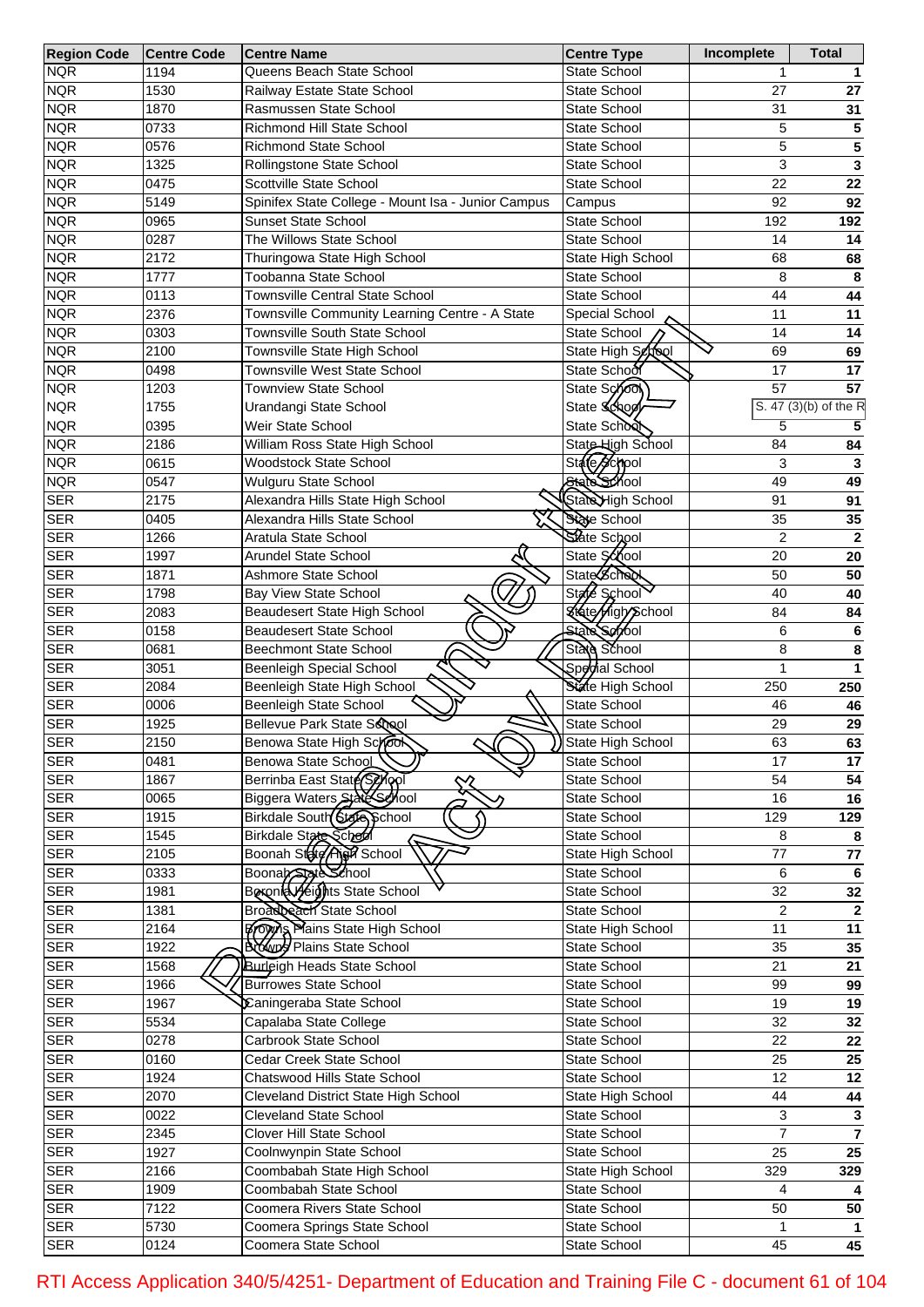| <b>Region Code</b> | <b>Centre Code</b> | <b>Centre Name</b>                                   | <b>Centre Type</b>       | Incomplete      | Total                   |
|--------------------|--------------------|------------------------------------------------------|--------------------------|-----------------|-------------------------|
| <b>NQR</b>         | 1194               | Queens Beach State School                            | <b>State School</b>      |                 |                         |
| <b>NQR</b>         | 1530               | Railway Estate State School                          | State School             | 27              | 27                      |
| <b>NQR</b>         | 1870               | Rasmussen State School                               | State School             | 31              | 31                      |
| <b>NQR</b>         | 0733               | Richmond Hill State School                           | State School             | 5               | 5                       |
| <b>NQR</b>         | 0576               | <b>Richmond State School</b>                         | State School             | 5               | 5                       |
| <b>NQR</b>         | 1325               | Rollingstone State School                            | State School             | 3               | 3                       |
| <b>NQR</b>         | 0475               | Scottville State School                              | State School             | $\overline{22}$ | $\overline{22}$         |
| <b>NQR</b>         | 5149               | Spinifex State College - Mount Isa - Junior Campus   | Campus                   | 92              | 92                      |
| <b>NQR</b>         | 0965               | <b>Sunset State School</b>                           | <b>State School</b>      | 192             | 192                     |
| <b>NQR</b>         | 0287               | The Willows State School                             | State School             | 14              | 14                      |
|                    |                    |                                                      |                          |                 |                         |
| <b>NQR</b>         | 2172               | Thuringowa State High School                         | State High School        | 68              | 68                      |
| <b>NQR</b>         | 1777               | Toobanna State School                                | State School             | 8               | 8                       |
| <b>NQR</b>         | 0113               | <b>Townsville Central State School</b>               | State School             | 44              | 44                      |
| <b>NQR</b>         | 2376               | Townsville Community Learning Centre - A State       | Special School           | 11              | 11                      |
| <b>NQR</b>         | 0303               | Townsville South State School                        | State School             | 14              | 14                      |
| <b>NQR</b>         | 2100               | Townsville State High School                         | State High School        | 69              | 69                      |
| <b>NQR</b>         | 0498               | <b>Townsville West State School</b>                  | State School             | $\overline{17}$ | 17                      |
| <b>NQR</b>         | 1203               | <b>Townview State School</b>                         | State School             | $\overline{57}$ | 57                      |
| <b>NQR</b>         | 1755               | Urandangi State School                               | State Schoo              |                 | S. 47 (3)(b) of the R   |
| <b>NQR</b>         | 0395               | Weir State School                                    | State School             | $\overline{5}$  | 5                       |
| <b>NQR</b>         | 2186               | William Ross State High School                       | State High School        | 84              | 84                      |
| <b>NQR</b>         | 0615               | <b>Woodstock State School</b>                        | State School             | 3               | 3                       |
| <b>NQR</b>         | 0547               | Wulguru State School                                 | State School             | 49              | 49                      |
| <b>SER</b>         | 2175               | Alexandra Hills State High School                    | State High School        | 91              | 91                      |
| <b>SER</b>         | 0405               | Alexandra Hills State School                         | State School             | 35              | 35                      |
| <b>SER</b>         | 1266               | Aratula State School                                 | State School             | $\overline{2}$  | $\mathbf 2$             |
| <b>SER</b>         | 1997               | <b>Arundel State School</b>                          | State School             | 20              | 20                      |
| <b>SER</b>         | 1871               | Ashmore State School                                 | <b>State School</b>      | 50              | 50                      |
| <b>SER</b>         | 1798               | Bay View State School                                | State School             | 40              | 40                      |
|                    |                    |                                                      |                          |                 |                         |
| <b>SER</b>         | 2083               | Beaudesert State High School                         | <b>State High School</b> | 84              | 84                      |
| <b>SER</b>         | 0158               | <b>Beaudesert State School</b>                       | State Servol             | 6               | 6                       |
| <b>SER</b>         | 0681               | <b>Beechmont State School</b>                        | State School             | 8               | 8                       |
| <b>SER</b>         | 3051               | <b>Beenleigh Special School</b>                      | Spedial School           | 1               | 1                       |
| <b>SER</b>         | 2084               | Beenleigh State High School                          | State High School        | 250             | 250                     |
| <b>SER</b>         | 0006               | <b>Beenleigh State School</b>                        | State School             | 46              | 46                      |
| <b>SER</b>         | 1925               | Bellevue Park State School                           | State School             | 29              | 29                      |
| <b>SER</b>         | 2150               | Benowa State High School                             | ) State High School      | 63              | 63                      |
| <b>SER</b>         | 0481               | Benowa State School                                  | State School             | 17              | 17                      |
| <b>SER</b>         | 1867               | Berrinba East State Seyopl<br>╳                      | State School             | 54              | 54                      |
| <b>SER</b>         | 0065               | Biggera Waters State School                          | State School             | 16              | $\overline{16}$         |
| <b>SER</b>         | 1915               | Birkdale South Stelle School                         | State School             | 129             | 129                     |
| <b>SER</b>         | 1545               |                                                      | State School             | 8               | 8                       |
| <b>SER</b>         | 2105               | Birkdale State School<br>Boonah State Algh School    | State High School        | 77              | ${\bf 77}$              |
| <b>SER</b>         | 0333               |                                                      | State School             | 6               | 6                       |
| <b>SER</b>         | 1981               | Boonab State School<br>Boroniel yeights State School | State School             | $\overline{32}$ | 32                      |
| <b>SER</b>         | 1381               | Broadbeach State School                              | State School             | $\overline{2}$  | $\mathbf{2}$            |
| <b>SER</b>         | 2164               | <b>Brown Plains State High School</b>                | State High School        | 11              | $\overline{11}$         |
| <b>SER</b>         | 1922               | <b>Browld Plains State School</b>                    | State School             | 35              |                         |
|                    |                    |                                                      |                          |                 | 35                      |
| <b>SER</b>         | 1568               | <b>Burleigh Heads State School</b>                   | State School             | 21              | $\overline{21}$         |
| <b>SER</b>         | 1966               | <b>Burrowes State School</b>                         | State School             | 99              | 99                      |
| <b>SER</b>         | 1967               | Caningeraba State School                             | State School             | 19              | 19                      |
| <b>SER</b>         | 5534               | Capalaba State College                               | State School             | 32              | $\overline{32}$         |
| <b>SER</b>         | 0278               | Carbrook State School                                | State School             | 22              | $\overline{22}$         |
| <b>SER</b>         | 0160               | Cedar Creek State School                             | State School             | 25              | 25                      |
| <b>SER</b>         | 1924               | Chatswood Hills State School                         | State School             | 12              | $\overline{12}$         |
| <b>SER</b>         | 2070               | Cleveland District State High School                 | State High School        | 44              | 44                      |
| <b>SER</b>         | 0022               | Cleveland State School                               | State School             | 3               | $\mathbf 3$             |
| <b>SER</b>         | 2345               | <b>Clover Hill State School</b>                      | State School             | $\overline{7}$  | $\overline{\mathbf{7}}$ |
| <b>SER</b>         | 1927               | Coolnwynpin State School                             | State School             | 25              | $\overline{25}$         |
| <b>SER</b>         | 2166               | Coombabah State High School                          | State High School        | 329             | 329                     |
| <b>SER</b>         | 1909               | Coombabah State School                               | State School             | 4               |                         |
| <b>SER</b>         | 7122               | Coomera Rivers State School                          | State School             | 50              | 50                      |
| <b>SER</b>         |                    | Coomera Springs State School                         | State School             |                 | $\mathbf{1}$            |
|                    | 5730               |                                                      |                          |                 |                         |
| <b>SER</b>         | 0124               | Coomera State School                                 | State School             | 45              | 45                      |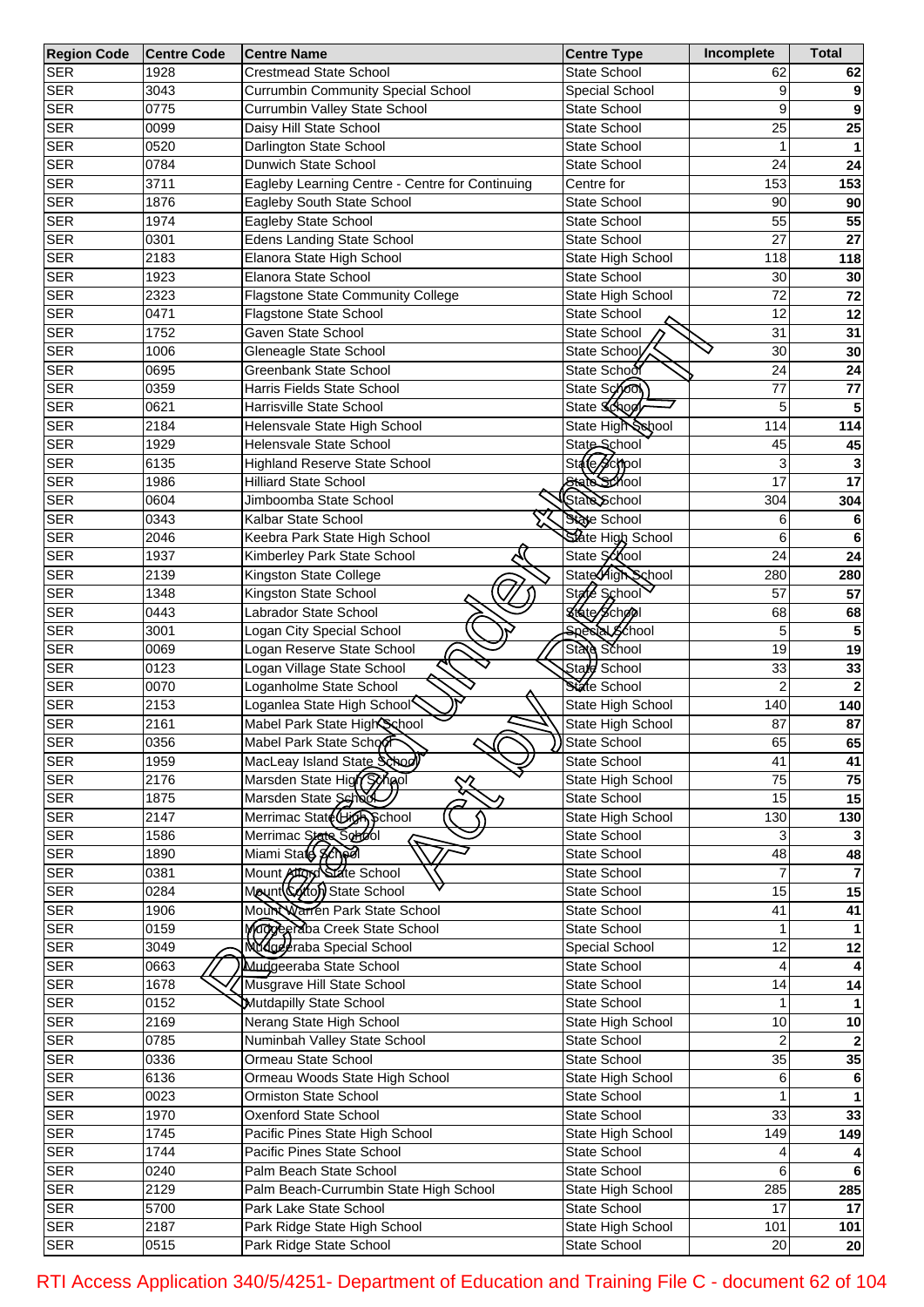| <b>Region Code</b> | <b>Centre Code</b> | <b>Centre Name</b>                              | <b>Centre Type</b>    | Incomplete      | <b>Total</b>    |
|--------------------|--------------------|-------------------------------------------------|-----------------------|-----------------|-----------------|
| <b>SER</b>         | 1928               | <b>Crestmead State School</b>                   | State School          | 62              | 62              |
| <b>SER</b>         | 3043               | <b>Currumbin Community Special School</b>       | Special School        | 9               |                 |
| <b>SER</b>         | 0775               | Currumbin Valley State School                   | State School          | 9               |                 |
| <b>SER</b>         | 0099               | Daisy Hill State School                         | State School          | 25              | 25              |
| <b>SER</b>         | 0520               | Darlington State School                         | State School          | 1               |                 |
| <b>SER</b>         | 0784               | Dunwich State School                            | State School          | 24              | 24              |
| <b>SER</b>         | 3711               | Eagleby Learning Centre - Centre for Continuing | Centre for            | 153             | 153             |
| <b>SER</b>         | 1876               | Eagleby South State School                      | <b>State School</b>   | 90              | 90              |
| <b>SER</b>         | 1974               | Eagleby State School                            | State School          | 55              | 55              |
| <b>SER</b>         | 0301               | <b>Edens Landing State School</b>               | <b>State School</b>   | 27              | 27              |
|                    |                    |                                                 |                       |                 |                 |
| <b>SER</b>         | 2183               | Elanora State High School                       | State High School     | 118             | 118             |
| <b>SER</b>         | 1923               | Elanora State School                            | State School          | 30              | 30              |
| <b>SER</b>         | 2323               | <b>Flagstone State Community College</b>        | State High School     | 72              | 72              |
| <b>SER</b>         | 0471               | Flagstone State School                          | State School          | 12              | 12              |
| <b>SER</b>         | 1752               | Gaven State School                              | State School          | 31              | 31              |
| <b>SER</b>         | 1006               | Gleneagle State School                          | State School          | 30              | 30              |
| <b>SER</b>         | 0695               | Greenbank State School                          | State School          | 24              | 24              |
| <b>SER</b>         | 0359               | Harris Fields State School                      | State Sono            | 77              | $77 \,$         |
| <b>SER</b>         | 0621               | Harrisville State School                        | State School          | 5               |                 |
| <b>SER</b>         | 2184               | Helensvale State High School                    | State High School     | 114             | 114             |
| <b>SER</b>         | 1929               | Helensvale State School                         | State School          | 45              | 45              |
| <b>SER</b>         | 6135               | <b>Highland Reserve State School</b>            | State School          | 3               |                 |
| <b>SER</b>         | 1986               | <b>Hilliard State School</b>                    | State School          | 17              | 17              |
| <b>SER</b>         | 0604               | Jimboomba State School                          | State School          | 304             | 304             |
| <b>SER</b>         | 0343               | Kalbar State School                             | State School          | 6               |                 |
| <b>SER</b>         | 2046               | Keebra Park State High School                   | State High School     | 6               |                 |
|                    |                    |                                                 | State School          | 24              | 6               |
| <b>SER</b>         | 1937               | Kimberley Park State School                     |                       |                 | 24              |
| <b>SER</b>         | 2139               | Kingston State College                          | State High School     | 280             | 280             |
| <b>SER</b>         | 1348               | Kingston State School                           | State School          | 57              | 57              |
| <b>SER</b>         | 0443               | Labrador State School                           | &fate School          | 68              | 68              |
| <b>SER</b>         | 3001               | Logan City Special School                       | <b>Special School</b> | 5               |                 |
| <b>SER</b>         | 0069               | Logan Reserve State School                      | State School          | 19              | 19              |
| <b>SER</b>         | 0123               | Ą.<br>Logan Village State School                | State School          | 33              | 33              |
| <b>SER</b>         | 0070               | Loganholme State School                         | State School          | $\overline{2}$  |                 |
| <b>SER</b>         | 2153               | Loganlea State High School                      | State High School     | 140             | 140             |
| <b>SER</b>         | 2161               | Mabel Park State High School                    | State High School     | 87              | 87              |
| <b>SER</b>         | 0356               | Mabel Park State School                         | State School          | 65              | 65              |
| <b>SER</b>         | 1959               | MacLeay Island State School                     | State School          | 41              | 41              |
| <b>SER</b>         | 2176               | Marsden State High Synol                        | State High School     | 75              | $\overline{75}$ |
| <b>SER</b>         | 1875               | ╳<br>Marsden State School                       | State School          | 15              | 15              |
| <b>SER</b>         | 2147               | Merrimac State High School                      | State High School     | 130             | 130             |
| <b>SER</b>         | 1586               | Merrimac State School                           | State School          |                 |                 |
| <b>SER</b>         | 1890               | Miami Stald School                              | State School          | 48              | 48              |
| <b>SER</b>         |                    | Mount Attory State School                       |                       |                 |                 |
|                    | 0381               |                                                 | State School          |                 |                 |
| <b>SER</b>         | 0284               | Mount (Coto) State School                       | State School          | 15              | 15              |
| <b>SER</b>         | 1906               | Mount Warren Park State School                  | State School          | 41              | 41              |
| <b>SER</b>         | 0159               | Maggeeraba Creek State School                   | State School          |                 |                 |
| <b>SER</b>         | 3049               | Mdgeeraba Special School                        | Special School        | 12              | 12              |
| <b>SER</b>         | 0663               | Mudgeeraba State School                         | State School          |                 |                 |
| <b>SER</b>         | 1678               | Musgrave Hill State School                      | State School          | 14              | 14              |
| <b>SER</b>         | 0152               | Mutdapilly State School                         | State School          |                 |                 |
| <b>SER</b>         | 2169               | Nerang State High School                        | State High School     | 10              | 10              |
| <b>SER</b>         | 0785               | Numinbah Valley State School                    | State School          | 2               |                 |
| <b>SER</b>         | 0336               | Ormeau State School                             | State School          | $\overline{35}$ | 35              |
| <b>SER</b>         | 6136               | Ormeau Woods State High School                  | State High School     | 6               | 6               |
| <b>SER</b>         | 0023               | Ormiston State School                           | State School          |                 |                 |
| <b>SER</b>         | 1970               | Oxenford State School                           | State School          | 33              | 33              |
| <b>SER</b>         | 1745               | Pacific Pines State High School                 | State High School     | 149             | 149             |
| <b>SER</b>         | 1744               | Pacific Pines State School                      |                       |                 |                 |
|                    |                    |                                                 | State School          |                 |                 |
| <b>SER</b>         | $\overline{0}$ 240 | Palm Beach State School                         | State School          | 6               | 6               |
| <b>SER</b>         | 2129               | Palm Beach-Currumbin State High School          | State High School     | 285             | 285             |
| <b>SER</b>         | 5700               | Park Lake State School                          | State School          | 17              | 17              |
| <b>SER</b>         | 2187               | Park Ridge State High School                    | State High School     | 101             | 101             |
| <b>SER</b>         | 0515               | Park Ridge State School                         | State School          | 20              | 20              |

RTI Access Application 340/5/4251- Department of Education and Training File C - document 62 of 104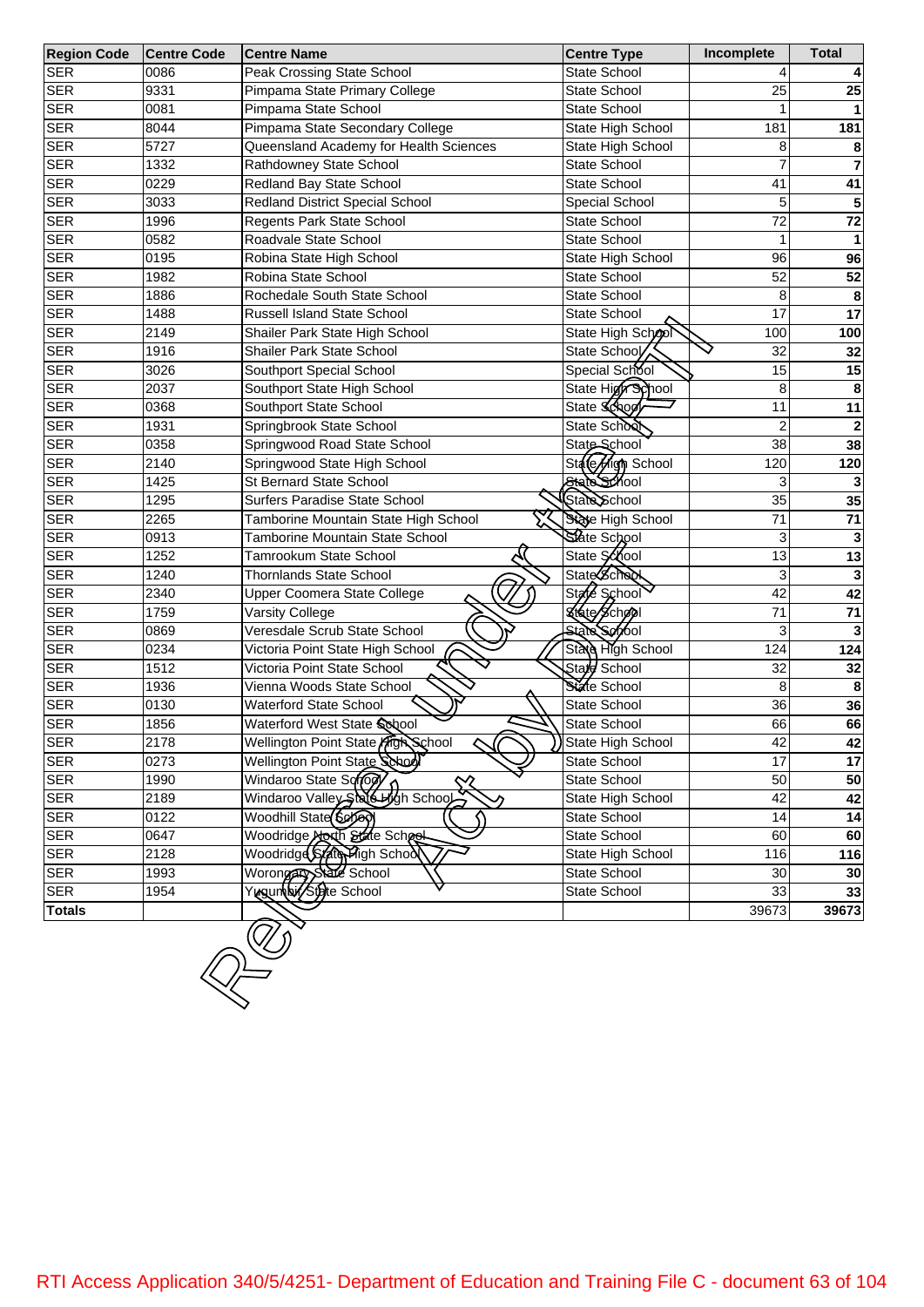| <b>Region Code</b> | <b>Centre Code</b> | <b>Centre Name</b>                     | <b>Centre Type</b>  | Incomplete              | <b>Total</b>    |
|--------------------|--------------------|----------------------------------------|---------------------|-------------------------|-----------------|
| <b>SER</b>         | 0086               | Peak Crossing State School             | State School        | 4                       |                 |
| <b>SER</b>         | 9331               | Pimpama State Primary College          | State School        | 25                      | 25              |
| <b>SER</b>         | 0081               | Pimpama State School                   | State School        |                         |                 |
| <b>SER</b>         | 8044               | Pimpama State Secondary College        | State High School   | 181                     | 181             |
| <b>SER</b>         | 5727               | Queensland Academy for Health Sciences | State High School   | 8                       | 8               |
| <b>SER</b>         | 1332               | Rathdowney State School                | State School        | $\overline{7}$          | $\overline{7}$  |
| <b>SER</b>         | 0229               | Redland Bay State School               | State School        | 41                      | 41              |
| <b>SER</b>         | 3033               | Redland District Special School        | Special School      | 5                       | 5               |
| <b>SER</b>         | 1996               | Regents Park State School              | <b>State School</b> | $\overline{72}$         | 72              |
| <b>SER</b>         | 0582               | Roadvale State School                  | State School        | 1                       |                 |
| <b>SER</b>         | 0195               | Robina State High School               | State High School   | 96                      | 96              |
| <b>SER</b>         | 1982               | Robina State School                    | State School        | 52                      | 52              |
| <b>SER</b>         | 1886               | Rochedale South State School           | State School        | 8                       | 8               |
| <b>SER</b>         | 1488               | <b>Russell Island State School</b>     | State School        | 17                      | 17              |
| <b>SER</b>         | 2149               | Shailer Park State High School         | State High School   | 100                     | 100             |
| <b>SER</b>         | 1916               | Shailer Park State School              | State School        | 32                      | 32              |
| <b>SER</b>         | 3026               | Southport Special School               | Special School      | 15                      | 15              |
| <b>SER</b>         | 2037               | Southport State High School            | State High School   | 8                       | 8               |
| <b>SER</b>         | 0368               | Southport State School                 | State School        | 11                      | 11              |
| <b>SER</b>         | 1931               | Springbrook State School               | State School        | $\overline{\mathbf{c}}$ | $\mathbf{2}$    |
| <b>SER</b>         | 0358               | Springwood Road State School           | State School        | 38                      | 38              |
| <b>SER</b>         | 2140               | Springwood State High School           | State High School   | 120                     | 120             |
| <b>SER</b>         | 1425               | <b>St Bernard State School</b>         | State School        | 3                       |                 |
| <b>SER</b>         | 1295               | Surfers Paradise State School          | State School        | 35                      | 35              |
| <b>SER</b>         | 2265               | Tamborine Mountain State High School   | State High School   | $\overline{71}$         | 71              |
| <b>SER</b>         | 0913               | <b>Tamborine Mountain State School</b> | State School        | 3                       | 3               |
| <b>SER</b>         | 1252               | Tamrookum State School                 | State School        | 13                      | 13              |
| <b>SER</b>         | 1240               | <b>Thornlands State School</b>         | State School        | 3                       | 3               |
| <b>SER</b>         | 2340               | Upper Coomera State College            | State School        | 42                      | 42              |
| <b>SER</b>         | 1759               | Varsity College                        | State School        | 71                      | 71              |
| <b>SER</b>         | 0869               | Veresdale Scrub State School           | <b>State School</b> | 3                       | 3               |
| <b>SER</b>         | 0234               | Victoria Point State High School       | State High School   | 124                     | 124             |
| <b>SER</b>         | 1512               | Victoria Point State School            | Stare School        | 32                      | 32              |
| <b>SER</b>         | 1936               | Vienna Woods State School              | State School        | 8                       | 8               |
| <b>SER</b>         | 0130               | <b>Waterford State School</b>          | State School        | 36                      | 36              |
| <b>SER</b>         | 1856               | Waterford West State School            | State School        | 66                      | 66              |
| <b>SER</b>         | 2178               | Wellington Point State Frigh School    | ) State High School | 42                      | 42              |
| <b>SER</b>         | 0273               | Wellington Point State School          | State School        | $\overline{17}$         | $\overline{17}$ |
| <b>SER</b>         | 1990               | Windaroo State Sonogy                  | State School        | 50                      | 50              |
| <b>SER</b>         | 2189               | Windaroo Valley State High School      | State High School   | 42                      | 42              |
| <b>SER</b>         | 0122               | Woodhill State (Soloo)                 | State School        | 14                      | 14              |
| <b>SER</b>         | 0647               | Woodridge Aborth State School          | State School        | 60                      | 60              |
| <b>SER</b>         | 2128               | Woodridge State Fligh School           | State High School   | 116                     | 116             |
| <b>SER</b>         | 1993               | Worongary State School                 | State School        | 30                      | 30 <sub>1</sub> |
| <b>SER</b>         | 1954               | Yugun bir/Stete School                 | State School        | 33                      | 33              |
| <b>Totals</b>      |                    |                                        |                     | 39673                   | 39673           |
|                    |                    |                                        |                     |                         |                 |
|                    |                    |                                        |                     |                         |                 |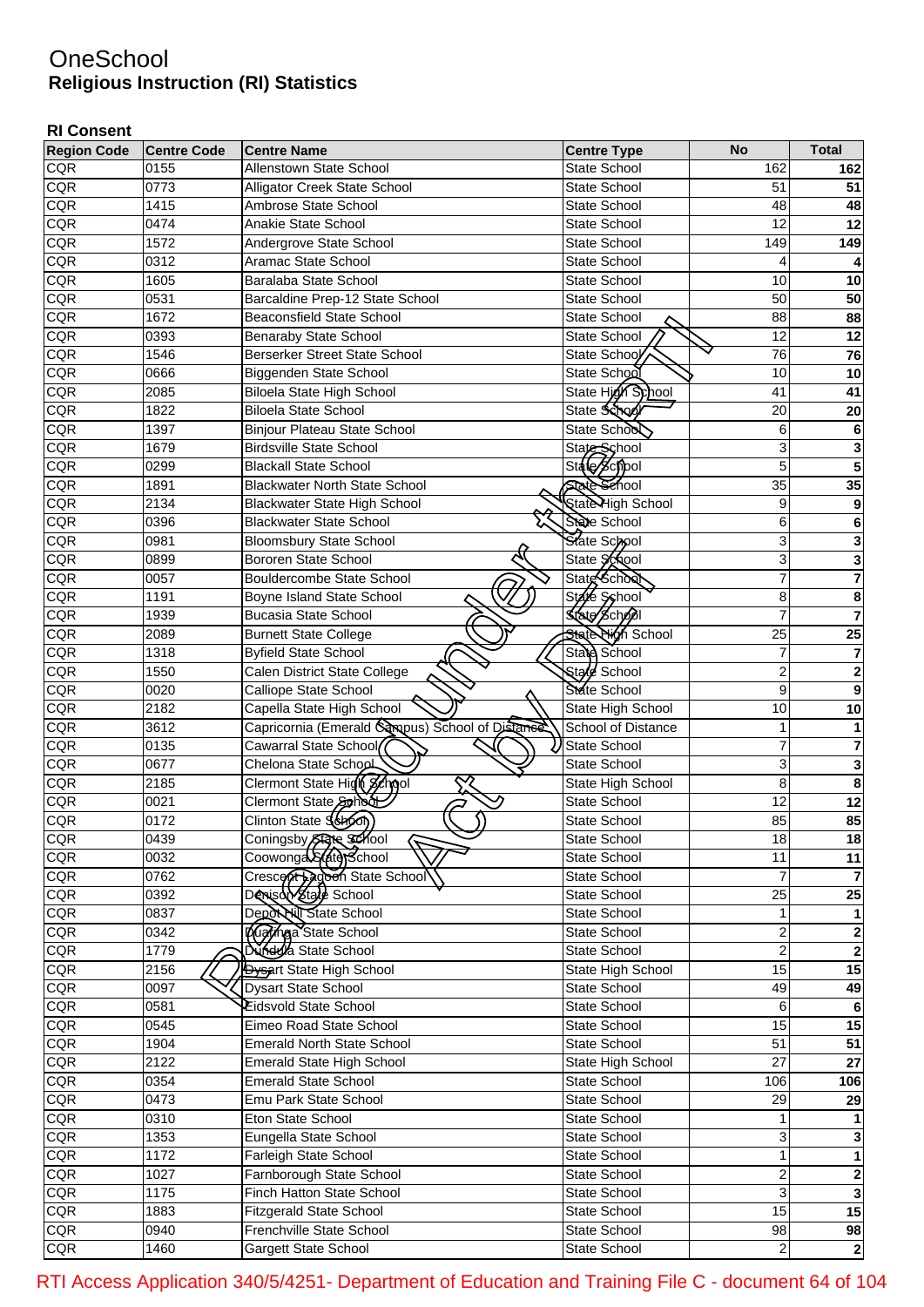## **OneSchool Religious Instruction (RI) Statistics**

## **RI Consent**

| <b>Region Code</b> | <b>Centre Code</b> | <b>Centre Name</b>                              | <b>Centre Type</b>           | <b>No</b>      | <b>Total</b>            |
|--------------------|--------------------|-------------------------------------------------|------------------------------|----------------|-------------------------|
| <b>CQR</b>         | 0155               | Allenstown State School                         | <b>State School</b>          | 162            | 162                     |
| <b>CQR</b>         | 0773               | <b>Alligator Creek State School</b>             | State School                 | 51             | 51                      |
| CQR                | 1415               | Ambrose State School                            | <b>State School</b>          | 48             | 48                      |
| CQR                | 0474               | <b>Anakie State School</b>                      | <b>State School</b>          | 12             | $\overline{12}$         |
| CQR                | 1572               | Andergrove State School                         | <b>State School</b>          | 149            | 149                     |
| CQR                | 0312               | Aramac State School                             | <b>State School</b>          | 4              | 4                       |
| CQR                | 1605               | Baralaba State School                           | <b>State School</b>          | 10             | 10                      |
| CQR                | 0531               | Barcaldine Prep-12 State School                 | <b>State School</b>          | 50             | 50                      |
| CQR                | 1672               | <b>Beaconsfield State School</b>                | <b>State School</b>          | 88             | 88                      |
| CQR                | 0393               | <b>Benaraby State School</b>                    | State School                 | 12             | $\overline{12}$         |
| CQR                | 1546               | <b>Berserker Street State School</b>            | State School                 | 76             | 76                      |
| CQR                | 0666               | Biggenden State School                          | State School                 | 10             | 10                      |
| CQR                | 2085               | <b>Biloela State High School</b>                | State High School            | 41             | $\overline{41}$         |
| CQR                | 1822               | <b>Biloela State School</b>                     | State School                 | 20             | 20                      |
| CQR                | 1397               | Binjour Plateau State School                    | State School                 | 6              | 6                       |
| CQR                | 1679               | <b>Birdsville State School</b>                  |                              | 3              | 3                       |
| CQR                | 0299               | <b>Blackall State School</b>                    | State School<br>State School | $\overline{5}$ | 5                       |
| CQR                | 1891               | <b>Blackwater North State School</b>            | <b>State Sehool</b>          | 35             | 35                      |
| CQR                | 2134               | <b>Blackwater State High School</b>             | State High School            | 9              |                         |
|                    |                    |                                                 | State School                 |                | 9                       |
| CQR                | 0396               | <b>Blackwater State School</b>                  |                              | 6              | 6                       |
| CQR                | 0981               | <b>Bloomsbury State School</b>                  | State School                 | 3              | 3                       |
| CQR                | 0899               | <b>Bororen State School</b>                     | State School                 | 3              | 3                       |
| CQR                | 0057               | <b>Bouldercombe State School</b>                | State School                 | 7              | 7                       |
| CQR                | 1191               | Boyne Island State School                       | State School                 | 8              | 8                       |
| CQR                | 1939               | <b>Bucasia State School</b>                     | State School                 | $\overline{7}$ | $\overline{7}$          |
| CQR                | 2089               | <b>Burnett State College</b>                    | State High School            | 25             | 25                      |
| CQR                | 1318               | <b>Byfield State School</b>                     | State School                 | 7              | $\overline{\mathbf{r}}$ |
| CQR                | 1550               | Calen District State College                    | Stale School                 | $\overline{c}$ | $\bf{2}$                |
| CQR                | 0020               | Calliope State School                           | State School                 | $\overline{9}$ | 9                       |
| CQR                | 2182               | Capella State High School                       | State High School            | 10             | 10                      |
| CQR                | 3612               | Capricornia (Emerald Gampus) School of Distance | School of Distance           | 1              | 1                       |
| CQR                | 0135               | Cawarral State School                           | State School                 | 7              | 7                       |
| CQR                | 0677               | Chelona State School                            | <b>State School</b>          | 3              | 3                       |
| CQR                | 2185               | Clermont State High School<br>$\lesssim$        | State High School            | $\overline{8}$ | 8                       |
| CQR                | 0021               | っ<br>Clermont State School                      | State School                 | 12             | 12                      |
| <b>CQR</b>         | 0172               | Clinton State S&boon                            | <b>State School</b>          | 85             | 85                      |
| <b>CQR</b>         | 0439               | Coningsby State School<br>$\tau$                | State School                 | 18             | 18                      |
| <b>CQR</b>         | 0032               | Coowongd State School                           | State School                 | 11             | 11                      |
| <b>CQR</b>         | 0762               | Crescent Bagoen State School                    | State School                 | 7              | 7                       |
| <b>CQR</b>         | 0392               | Denison Etate School                            | State School                 | 25             | 25                      |
| <b>CQR</b>         | 0837               | Deportil State School                           | State School                 | 1              | 1                       |
| CQR                | 0342               | <b>Dazinga State School</b>                     | State School                 | 2              | $\mathbf 2$             |
| CQR                | 1779               | Dured & State School                            | State School                 | $\overline{2}$ | $\boldsymbol{2}$        |
| CQR                | 2156               | <b>Dysart State High School</b>                 | State High School            | 15             | 15                      |
| CQR                | 0097               | <b>Dysart State School</b>                      | State School                 | 49             | 49                      |
| CQR                | 0581               | Eidsvold State School                           | State School                 | 6              | 6                       |
| CQR                | 0545               | Eimeo Road State School                         | State School                 | 15             | 15                      |
| CQR                | 1904               | <b>Emerald North State School</b>               | State School                 | 51             | 51                      |
| CQR                | 2122               | Emerald State High School                       | State High School            | 27             | 27                      |
| CQR                | 0354               | <b>Emerald State School</b>                     | State School                 | 106            | 106                     |
| CQR                | 0473               | Emu Park State School                           | State School                 | 29             | 29                      |
| CQR                | 0310               | Eton State School                               | State School                 | 1              |                         |
| CQR                | 1353               | Eungella State School                           | State School                 | 3              | 3                       |
| CQR                | 1172               | Farleigh State School                           | State School                 | $\mathbf 1$    | 1                       |
| CQR                | 1027               | Farnborough State School                        | State School                 | 2              | $\mathbf 2$             |
| <b>CQR</b>         | 1175               | Finch Hatton State School                       | State School                 | $\overline{3}$ | $\mathbf 3$             |
| CQR                | 1883               | <b>Fitzgerald State School</b>                  | State School                 | 15             | 15                      |
| CQR                | 0940               | Frenchville State School                        | State School                 | 98             | 98                      |
| CQR                | 1460               | Gargett State School                            | State School                 | 2              | $2 \vert$               |

RTI Access Application 340/5/4251- Department of Education and Training File C - document 64 of 104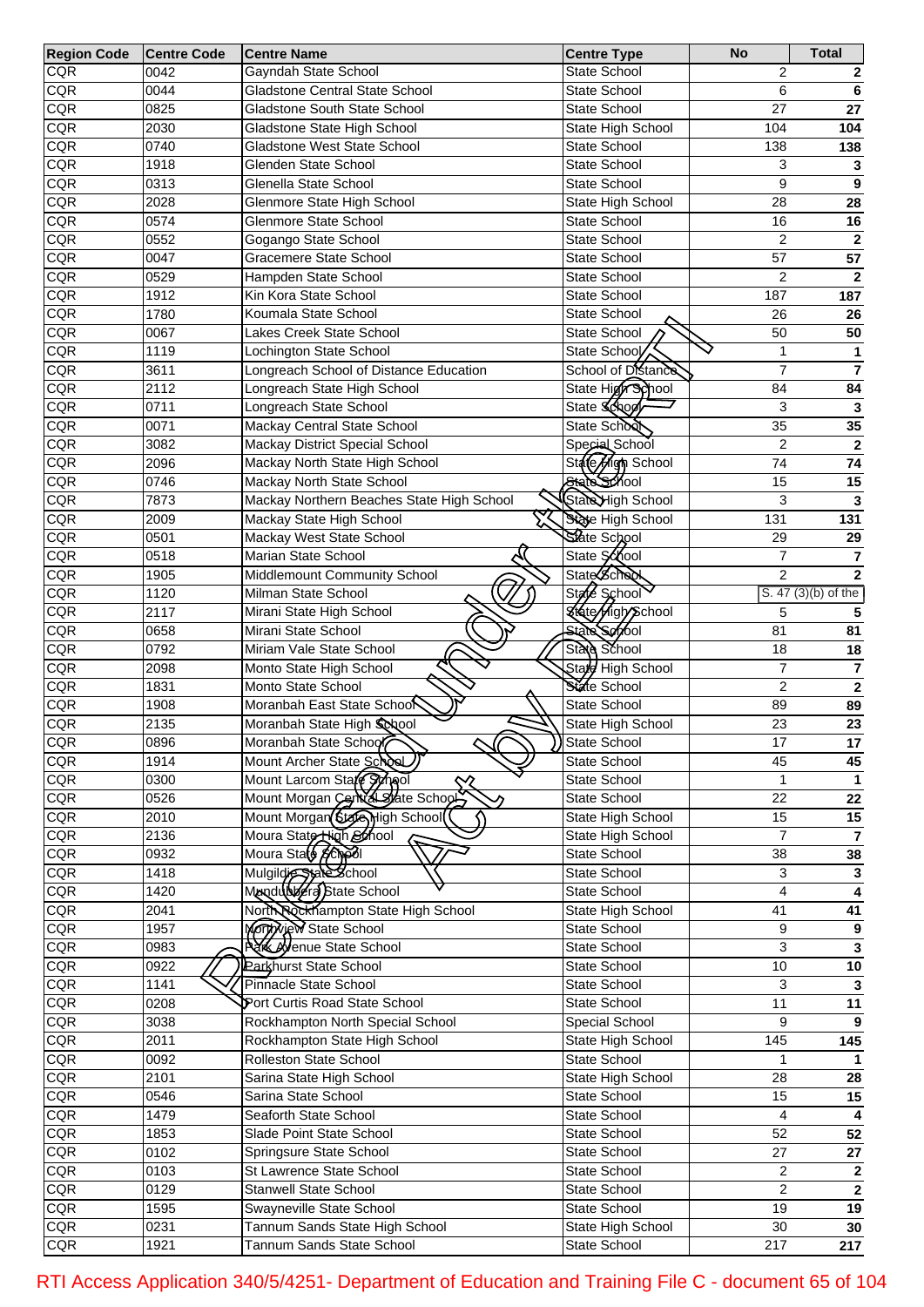| <b>Region Code</b> | <b>Centre Code</b> | <b>Centre Name</b>                              | <b>Centre Type</b>       | <b>No</b>         | <b>Total</b>            |
|--------------------|--------------------|-------------------------------------------------|--------------------------|-------------------|-------------------------|
| <b>CQR</b>         | 0042               | Gayndah State School                            | State School             | $\overline{2}$    |                         |
| CQR                | 0044               | Gladstone Central State School                  | State School             | 6                 | 6                       |
| CQR                | 0825               | Gladstone South State School                    | State School             | 27                | 27                      |
| CQR                | 2030               | Gladstone State High School                     | State High School        | 104               | 104                     |
| CQR                | 0740               | Gladstone West State School                     | State School             | 138               | 138                     |
| CQR                | 1918               | Glenden State School                            | State School             | 3                 | $\mathbf 3$             |
| CQR                | 0313               | Glenella State School                           | State School             | 9                 | $\overline{9}$          |
| <b>CQR</b>         | 2028               | Glenmore State High School                      | State High School        | 28                | 28                      |
| <b>CQR</b>         | 0574               | Glenmore State School                           | State School             | 16                | 16                      |
| <b>CQR</b>         | 0552               | Gogango State School                            | State School             | $\overline{c}$    | $\overline{\mathbf{2}}$ |
| CQR                | 0047               | Gracemere State School                          |                          | 57                | 57                      |
|                    |                    |                                                 | State School             |                   |                         |
| CQR                | 0529               | Hampden State School                            | State School             | $\overline{c}$    | $\overline{\mathbf{2}}$ |
| CQR                | 1912               | Kin Kora State School                           | State School             | 187               | 187                     |
| CQR                | 1780               | Koumala State School                            | State School             | 26                | 26                      |
| CQR                | 0067               | Lakes Creek State School                        | State School             | 50                | 50                      |
| CQR                | 1119               | Lochington State School                         | State School             | $\mathbf{1}$      | 1                       |
| CQR                | 3611               | Longreach School of Distance Education          | School of Distance       | $\overline{7}$    | $\overline{\mathbf{z}}$ |
| CQR                | 2112               | Longreach State High School                     | State High School        | 84                | 84                      |
| CQR                | 0711               | Longreach State School                          | State <b>Śćkoól</b>      | 3                 | $\overline{\mathbf{3}}$ |
| CQR                | 0071               | Mackay Central State School                     | State School             | 35                | 35                      |
| CQR                | 3082               | Mackay District Special School                  | Special School           | $\overline{c}$    | $\overline{\mathbf{2}}$ |
| CQR                | 2096               | Mackay North State High School                  | State High School        | 74                | 74                      |
| CQR                | 0746               | Mackay North State School                       | State School             | 15                | 15                      |
| CQR                | 7873               | Mackay Northern Beaches State High School       | State High School        | 3                 | 3                       |
| CQR                | 2009               | Mackay State High School                        | State High School        | $\overline{131}$  | 131                     |
| CQR                | 0501               | Mackay West State School                        | State School             | 29                | 29                      |
| CQR                | 0518               | Marian State School                             | State School             | $\overline{7}$    | $\overline{\mathbf{7}}$ |
| CQR                | 1905               | Middlemount Community School                    | <b>State School</b>      | $\overline{2}$    | $\overline{2}$          |
| CQR                | 1120               | Milman State School                             | State School             |                   | S. 47 (3)(b) of the     |
| CQR                | 2117               | Mirani State High School                        | <b>State Aigh School</b> | 5                 | 5                       |
| CQR                |                    |                                                 | <b>State Servol</b>      | 81                |                         |
|                    | 0658               | Mirani State School                             |                          |                   | 81                      |
| CQR                | 0792               | Miriam Vale State School                        | State School             | 18                | 18                      |
| CQR                | 2098               | Monto State High School                         | State High School        | $\overline{7}$    | $\overline{7}$          |
| CQR                | 1831               | Monto State School                              | State School             | $\overline{2}$    | $\overline{\mathbf{2}}$ |
| CQR                | 1908               | Moranbah East State School                      | State School             | 89                | 89                      |
| <b>CQR</b>         | 2135               | Moranbah State High School                      | State High School        | 23                | 23                      |
| CQR                | 0896               | Moranbah State School                           | State School             | 17                | $17\,$                  |
| CQR                | 1914               | Mount Archer State School                       | State School             | 45                | 45                      |
| CQR                | 0300               | Mount Larcom Stafe School<br>$\rightsquigarrow$ | State School             |                   |                         |
| CQR                | 0526               | Mount Morgan Central State Schools              | State School             | 22                | $\overline{22}$         |
| CQR                | 2010               | Mount Morgan State High School                  | State High School        | 15                | 15                      |
| CQR                | 2136               | Moura State High&hool<br>Moura State &chool     | State High School        | $\overline{7}$    | $\overline{\mathbf{7}}$ |
| CQR                | 0932               |                                                 | State School             | 38                | 38                      |
| CQR                | 1418               | Mulgildie State School                          | <b>State School</b>      | 3                 | $\overline{\mathbf{3}}$ |
| CQR                | 1420               | Mandublers State School                         | State School             | 4                 | $\overline{4}$          |
| CQR                | 2041               | North Rockhampton State High School             | State High School        | 41                | 41                      |
| CQR                | 1957               | Morth Wew State School                          | State School             | 9                 | 9                       |
| CQR                | 0983               | <b>Azik Ayenue State School</b>                 | State School             | 3                 | $\overline{\mathbf{3}}$ |
| CQR                | 0922               | <b>Parkhurst State School</b>                   | State School             | $10$              | 10                      |
| CQR                | 1141               | Pinnacle State School                           | State School             | 3                 | $\overline{\mathbf{3}}$ |
| CQR                |                    | Port Curtis Road State School                   |                          | $\overline{11}$   | 11                      |
|                    | 0208               |                                                 | State School             |                   |                         |
| CQR                | 3038               | Rockhampton North Special School                | Special School           | 9                 | 9                       |
| CQR                | 2011               | Rockhampton State High School                   | State High School        | $\frac{145}{145}$ | $\overline{145}$        |
| CQR                | 0092               | Rolleston State School                          | <b>State School</b>      | $\mathbf{1}$      |                         |
| CQR                | 2101               | Sarina State High School                        | State High School        | 28                | 28                      |
| CQR                | 0546               | Sarina State School                             | State School             | 15                | 15                      |
| CQR                | 1479               | Seaforth State School                           | State School             | 4                 | $\overline{\mathbf{4}}$ |
| CQR                | 1853               | Slade Point State School                        | State School             | 52                | $\overline{52}$         |
| CQR                | 0102               | Springsure State School                         | State School             | 27                | $\overline{27}$         |
| CQR                | 0103               | St Lawrence State School                        | State School             | $\overline{2}$    | $\overline{\mathbf{2}}$ |
| CQR                | 0129               | <b>Stanwell State School</b>                    | State School             | $\overline{c}$    | $\overline{2}$          |
| CQR                | 1595               | Swayneville State School                        | State School             | 19                | 19                      |
| CQR                | 0231               | Tannum Sands State High School                  | State High School        | $30\,$            | 30                      |
| CQR                | 1921               | Tannum Sands State School                       | State School             | $\overline{217}$  | $\overline{217}$        |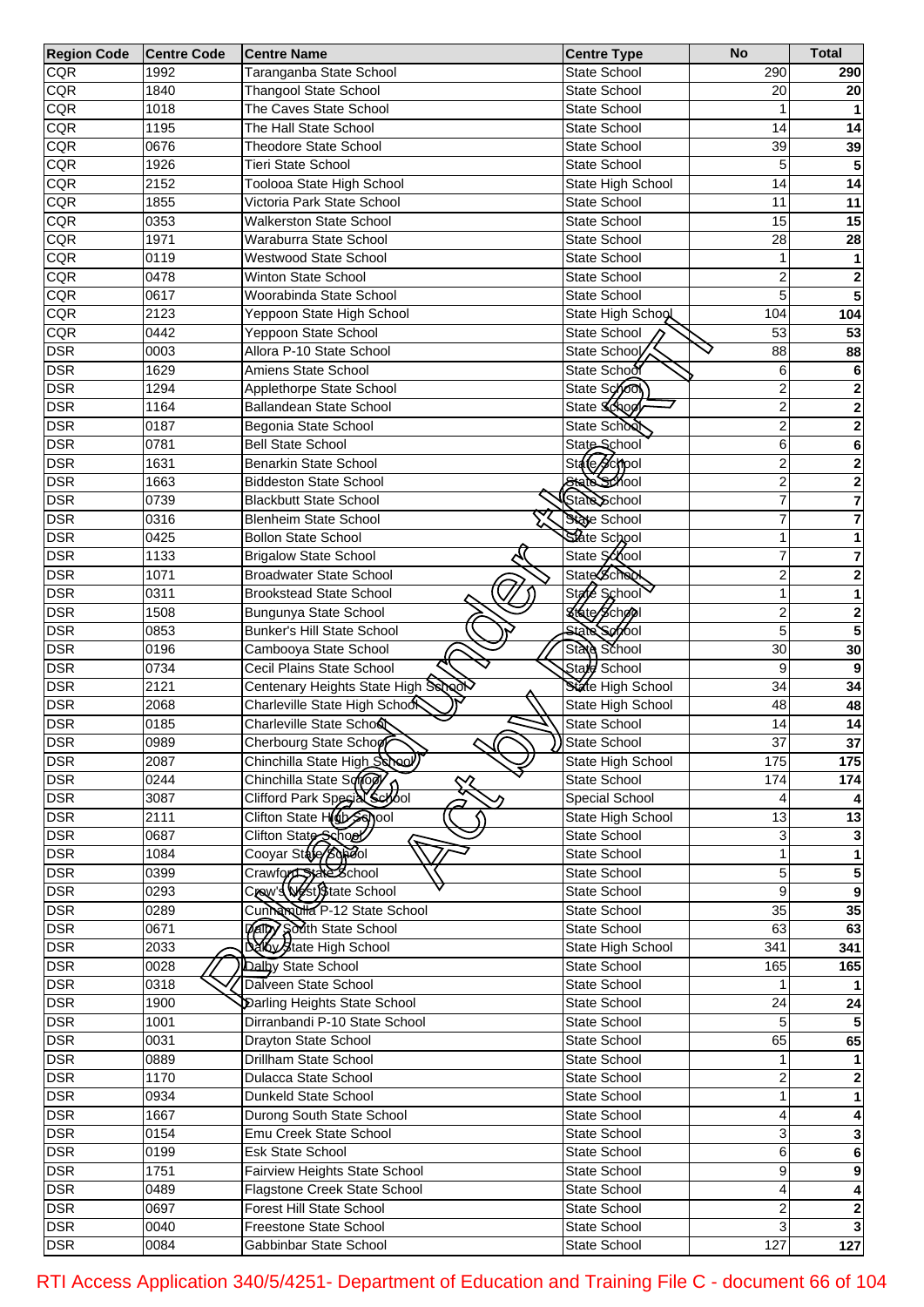| <b>Region Code</b> | <b>Centre Code</b> | <b>Centre Name</b>                                 | <b>Centre Type</b>    | <b>No</b>       | <b>Total</b>     |
|--------------------|--------------------|----------------------------------------------------|-----------------------|-----------------|------------------|
| <b>CQR</b>         | 1992               | Taranganba State School                            | State School          | 290             | 290              |
| <b>CQR</b>         | 1840               | <b>Thangool State School</b>                       | State School          | 20              | 20               |
| CQR                | 1018               | The Caves State School                             | State School          |                 |                  |
| CQR                | 1195               | The Hall State School                              | State School          | 14              | 14               |
| CQR                | 0676               | <b>Theodore State School</b>                       | State School          | 39              | 39               |
| CQR                | 1926               | <b>Tieri State School</b>                          | <b>State School</b>   | 5               | 5                |
| CQR                | 2152               | Toolooa State High School                          | State High School     | 14              | 14               |
| CQR                | 1855               | Victoria Park State School                         | State School          | 11              | 11               |
| CQR                | 0353               | <b>Walkerston State School</b>                     | <b>State School</b>   | 15              | 15               |
| CQR                | 1971               | Waraburra State School                             | State School          | 28              | 28               |
| CQR                | 0119               | Westwood State School                              | <b>State School</b>   | 1               | 1                |
| CQR                | 0478               | Winton State School                                | State School          | 2               | 2                |
| CQR                | 0617               | Woorabinda State School                            | <b>State School</b>   | 5               | 5                |
| CQR                | 2123               | Yeppoon State High School                          | State High School     | 104             | 104              |
| CQR                | 0442               | Yeppoon State School                               | State School          | 53              | 53               |
| <b>DSR</b>         | 0003               | Allora P-10 State School                           | State School          | 88              | 88               |
| <b>DSR</b>         | 1629               | Amiens State School                                | State School          | 6               | 6                |
| <b>DSR</b>         | 1294               | Applethorpe State School                           | State School          | 2               | 2                |
| <b>DSR</b>         | 1164               | Ballandean State School                            | State School          | $\overline{c}$  | 2                |
| <b>DSR</b>         | 0187               | Begonia State School                               | State School          | $\overline{c}$  | 2                |
| <b>DSR</b>         | 0781               | <b>Bell State School</b>                           | State School          | 6               | 6                |
| <b>DSR</b>         | 1631               | <b>Benarkin State School</b>                       | State School          | $\overline{c}$  | 2                |
| <b>DSR</b>         | 1663               | <b>Biddeston State School</b>                      | State School          | $\overline{c}$  | 2                |
| <b>DSR</b>         | 0739               | <b>Blackbutt State School</b>                      | State School          | 7               | 7                |
| <b>DSR</b>         | 0316               | <b>Blenheim State School</b>                       | State School          | 7               | 7                |
| <b>DSR</b>         | 0425               | <b>Bollon State School</b>                         | State School          | 1               |                  |
| <b>DSR</b>         | 1133               | <b>Brigalow State School</b>                       | State School          | 7               |                  |
| <b>DSR</b>         | 1071               | <b>Broadwater State School</b>                     | <b>State School</b>   | 2               | 7                |
| <b>DSR</b>         |                    |                                                    | State School          | 1               | 2                |
|                    | 0311               | <b>Brookstead State School</b>                     |                       |                 | 1                |
| <b>DSR</b>         | 1508               | Bungunya State School                              | State School          | 2               | 2                |
| <b>DSR</b>         | 0853               | Bunker's Hill State School                         | <b>State School</b>   | 5               | 5                |
| <b>DSR</b>         | 0196               | Cambooya State School                              | State School          | 30              | 30               |
| <b>DSR</b>         | 0734               | Cecil Plains State School                          | Stard School          | 9               | 9                |
| <b>DSR</b>         | 2121               | Centenary Heights State High School                | State High School     | 34              | 34               |
| <b>DSR</b>         | 2068               | Charleville State High Schoo                       | State High School     | 48              | 48               |
| <b>DSR</b>         | 0185               | Charleville State Scho&                            | State School          | 14              | 14               |
| <b>DSR</b>         | 0989               | Cherbourg State Schoof                             | State School          | $\overline{37}$ | 37               |
| <b>DSR</b>         | 2087               | Chinchilla State High School                       | State High School     | 175             | 175              |
| <b>DSR</b>         | 0244               | Chinchilla State Sonow                             | <b>State School</b>   | 174             | 174              |
| <b>DSR</b>         | 3087               | Clifford Park Special Scrool                       | <b>Special School</b> |                 |                  |
| <b>DSR</b>         | 2111               | Clifton State Horsehool                            | State High School     | 13              | $\overline{13}$  |
| <b>DSR</b>         | 0687               | Clifton State School<br>7                          | State School          | 3               |                  |
| <b>DSR</b>         | 1084               |                                                    | State School          |                 |                  |
| <b>DSR</b>         | 0399               | Crawford State School<br>Crow's Nest) State School | State School          | 5               | 5                |
| <b>DSR</b>         | 0293               |                                                    | State School          | 9               | $\boldsymbol{9}$ |
| <b>DSR</b>         | 0289               | Cunnamulla P-12 State School                       | State School          | $\overline{35}$ | 35               |
| <b>DSR</b>         | 0671               | <b>Dalby South State School</b>                    | State School          | 63              | 63               |
| <b>DSR</b>         | 2033               | Daly State High School                             | State High School     | 341             | 341              |
| <b>DSR</b>         | 0028               | Dalby State School                                 | State School          | 165             | 165              |
| <b>DSR</b>         | 0318               | Dalveen State School                               | State School          |                 |                  |
| <b>DSR</b>         | 1900               | Darling Heights State School                       | State School          | $\overline{24}$ | $\overline{24}$  |
| <b>DSR</b>         | 1001               | Dirranbandi P-10 State School                      | State School          | 5               |                  |
| <b>DSR</b>         | 0031               | Drayton State School                               | State School          | 65              | 65               |
| <b>DSR</b>         | 0889               | Drillham State School                              | State School          |                 |                  |
| <b>DSR</b>         | 1170               | Dulacca State School                               | State School          | 2               |                  |
| <b>DSR</b>         | 0934               | Dunkeld State School                               | State School          | 1               |                  |
| <b>DSR</b>         | 1667               | Durong South State School                          | State School          | 4               |                  |
| <b>DSR</b>         | 0154               | Emu Creek State School                             | State School          | 3               | 3                |
| <b>DSR</b>         | 0199               | <b>Esk State School</b>                            | State School          | 6               | 6                |
| <b>DSR</b>         | 1751               | Fairview Heights State School                      | State School          | 9               | 9                |
| <b>DSR</b>         | 0489               | Flagstone Creek State School                       | State School          | 4               | 4                |
| <b>DSR</b>         | 0697               | <b>Forest Hill State School</b>                    | State School          | 2               | $\mathbf 2$      |
| <b>DSR</b>         | 0040               | Freestone State School                             | State School          | 3               |                  |
| <b>DSR</b>         | 0084               | Gabbinbar State School                             | State School          | 127             | $\overline{127}$ |

RTI Access Application 340/5/4251- Department of Education and Training File C - document 66 of 104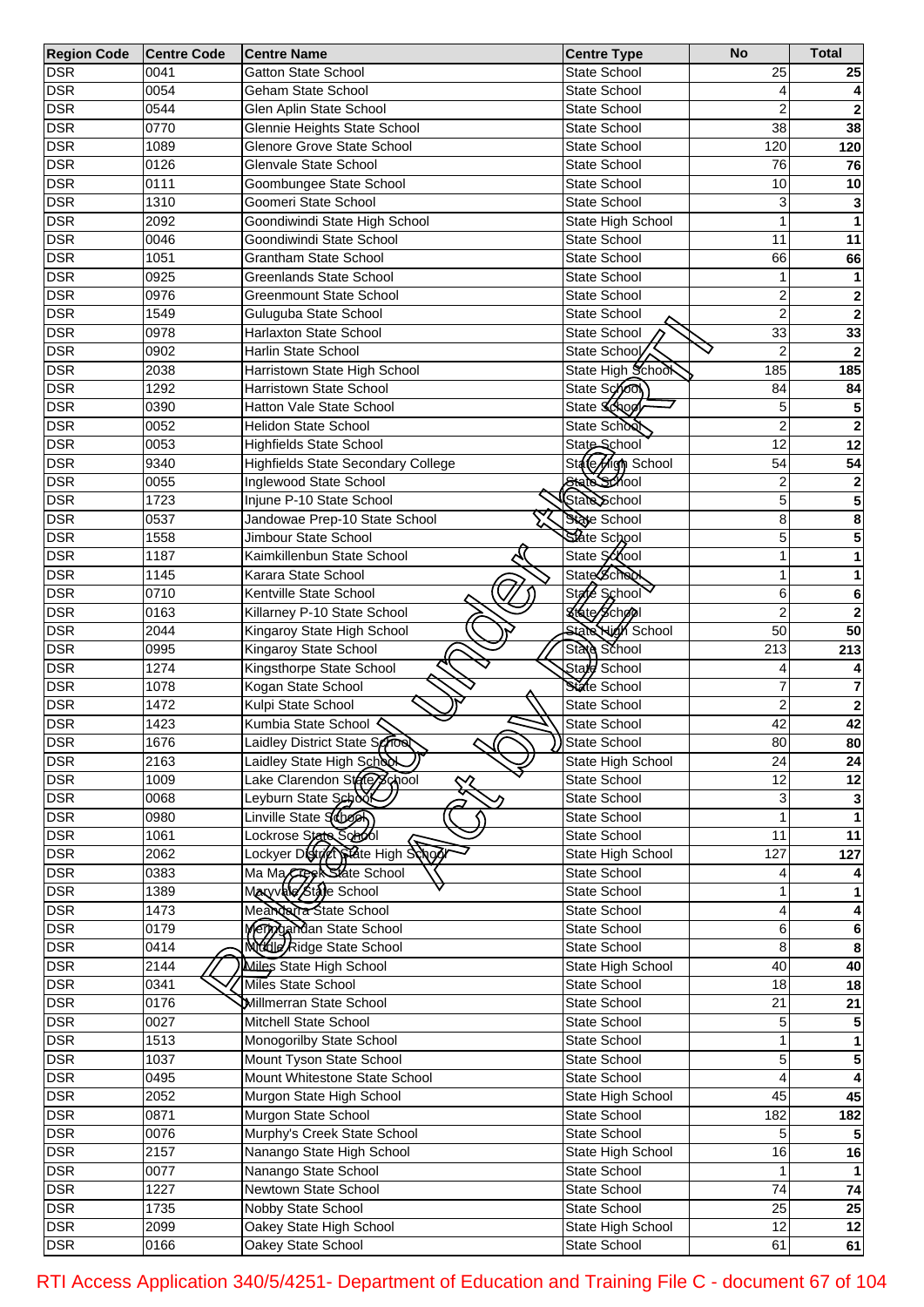| <b>Region Code</b> | <b>Centre Code</b> | <b>Centre Name</b>                                          | <b>Centre Type</b>           | <b>No</b>       | <b>Total</b>    |
|--------------------|--------------------|-------------------------------------------------------------|------------------------------|-----------------|-----------------|
| <b>DSR</b>         | 0041               | <b>Gatton State School</b>                                  | State School                 | 25              | 25              |
| <b>DSR</b>         | 0054               | Geham State School                                          | State School                 | 4               |                 |
| <b>DSR</b>         | 0544               | Glen Aplin State School                                     | State School                 | $\overline{2}$  | $\mathbf{2}$    |
| <b>DSR</b>         | 0770               | Glennie Heights State School                                | State School                 | 38              | 38              |
| <b>DSR</b>         | 1089               | Glenore Grove State School                                  | <b>State School</b>          | 120             | 120             |
| <b>DSR</b>         | 0126               | Glenvale State School                                       | State School                 | 76              | 76              |
| <b>DSR</b>         | 0111               | Goombungee State School                                     | State School                 | 10              | 10              |
| <b>DSR</b>         | 1310               | Goomeri State School                                        | <b>State School</b>          | 3               |                 |
| <b>DSR</b>         | 2092               | Goondiwindi State High School                               | State High School            | 1               |                 |
| <b>DSR</b>         | 0046               | Goondiwindi State School                                    | <b>State School</b>          | 11              | 11              |
| <b>DSR</b>         | 1051               | <b>Grantham State School</b>                                | State School                 | 66              | 66              |
| <b>DSR</b>         | 0925               | <b>Greenlands State School</b>                              | State School                 | 1               | 1               |
| <b>DSR</b>         | 0976               | <b>Greenmount State School</b>                              | State School                 | $\overline{2}$  | $\mathbf{2}$    |
| <b>DSR</b>         | 1549               | Guluguba State School                                       | State School                 | 2               | $\mathbf 2$     |
| <b>DSR</b>         | 0978               | Harlaxton State School                                      | State School                 | 33              | 33              |
| <b>DSR</b>         | 0902               | <b>Harlin State School</b>                                  | State School                 | $\overline{2}$  | $\overline{2}$  |
| <b>DSR</b>         | 2038               | Harristown State High School                                | State High School            | 185             | 185             |
| <b>DSR</b>         | 1292               | Harristown State School                                     | State School                 | 84              | 84              |
| <b>DSR</b>         | 0390               | Hatton Vale State School                                    | State Schoo                  | 5               | 5               |
| <b>DSR</b>         | 0052               | <b>Helidon State School</b>                                 | State School                 | 2               | $\mathbf 2$     |
| <b>DSR</b>         | 0053               | <b>Highfields State School</b>                              | State School                 | 12              | 12              |
| <b>DSR</b>         | 9340               | <b>Highfields State Secondary College</b>                   | State High School            | 54              | 54              |
| <b>DSR</b>         | 0055               | Inglewood State School                                      | State School                 | 2               | 2               |
| <b>DSR</b>         | 1723               | Injune P-10 State School                                    | State School                 | 5               | 5               |
| <b>DSR</b>         | 0537               | Jandowae Prep-10 State School                               | State School                 | 8               | 8               |
| <b>DSR</b>         | 1558               | Jimbour State School                                        | State School                 | 5               | 5               |
| <b>DSR</b>         | 1187               | Kaimkillenbun State School                                  | State School                 | 1               |                 |
| <b>DSR</b>         | 1145               | Karara State School                                         | State School                 | 1               |                 |
| <b>DSR</b>         | 0710               | Kentville State School                                      | State School                 | 6               | 6               |
| <b>DSR</b>         | 0163               | Killarney P-10 State School                                 | State School                 | $\overline{2}$  | $\overline{2}$  |
| <b>DSR</b>         | 2044               | Kingaroy State High School                                  | <b>State High School</b>     | 50              | 50              |
| <b>DSR</b>         | 0995               | Kingaroy State School                                       | State School                 | 213             | 213             |
| <b>DSR</b>         | 1274               | Kingsthorpe State School                                    | State School                 |                 |                 |
| <b>DSR</b>         | 1078               | Kogan State School                                          | State School                 |                 | 7               |
| <b>DSR</b>         | 1472               | Kulpi State School                                          | State School                 | $\overline{2}$  | $\mathbf 2$     |
| <b>DSR</b>         | 1423               | Kumbia State School                                         | State School                 | $\overline{42}$ | 42              |
| <b>DSR</b>         | 1676               | Laidley District State School                               | >State School                | 80              | 80              |
| <b>DSR</b>         | 2163               | Laidley State High School                                   | State High School            | 24              | 24              |
| <b>DSR</b>         | 1009               | Lake Clarendon Sterey chool                                 | State School                 | 12              | $\overline{12}$ |
| <b>DSR</b>         | 0068               | Leyburn State School                                        | State School                 | 3               |                 |
| <b>DSR</b>         | 0980               | Linville State Schoon                                       | State School                 |                 |                 |
| <b>DSR</b>         | 1061               |                                                             | State School                 | 11              | 11              |
| <b>DSR</b>         | 2062               | Lockrose Stete School<br>Lockyer District State High Schoor |                              | 127             | $\frac{1}{127}$ |
| <b>DSR</b>         |                    |                                                             | State High School            |                 |                 |
| <b>DSR</b>         | 0383<br>1389       | Ma Ma Creek State School                                    | State School<br>State School |                 |                 |
| <b>DSR</b>         | 1473               | Meandarta State School                                      | State School                 | 4               |                 |
| <b>DSR</b>         | 0179               |                                                             | <b>State School</b>          | 6               |                 |
| <b>DSR</b>         | 0414               | Merrygandan State School<br>Middle Ridge State School       | State School                 | 8               | 6               |
| <b>DSR</b>         | 2144               | Miles State High School                                     | State High School            | 40              | 8<br>40         |
| <b>DSR</b>         | 0341               | Miles State School                                          | State School                 | $\overline{18}$ | $\overline{18}$ |
|                    |                    |                                                             |                              | $\overline{21}$ |                 |
| <b>DSR</b>         | 0176               | Millmerran State School                                     | State School                 |                 | $\overline{21}$ |
| <b>DSR</b>         | 0027               | Mitchell State School                                       | State School                 | 5               |                 |
| <b>DSR</b>         | 1513               | Monogorilby State School                                    | State School                 |                 |                 |
| <b>DSR</b>         | 1037               | Mount Tyson State School                                    | State School                 | 5               | 5               |
| <b>DSR</b>         | 0495               | Mount Whitestone State School                               | State School                 | 4               |                 |
| <b>DSR</b>         | 2052               | Murgon State High School                                    | State High School            | 45              | 45              |
| <b>DSR</b>         | 0871               | Murgon State School                                         | State School                 | 182             | 182             |
| <b>DSR</b>         | 0076               | Murphy's Creek State School                                 | State School                 | 5               |                 |
| <b>DSR</b>         | 2157               | Nanango State High School                                   | State High School            | 16              | 16              |
| <b>DSR</b>         | 0077               | Nanango State School                                        | State School                 | 1               |                 |
| <b>DSR</b>         | 1227               | Newtown State School                                        | State School                 | 74              | $\overline{74}$ |
| <b>DSR</b>         | 1735               | Nobby State School                                          | State School                 | $\overline{25}$ | 25              |
| <b>DSR</b>         | 2099               | Oakey State High School                                     | State High School            | $\overline{12}$ | $\overline{12}$ |
| <b>DSR</b>         | 0166               | Oakey State School                                          | State School                 | 61              | 61              |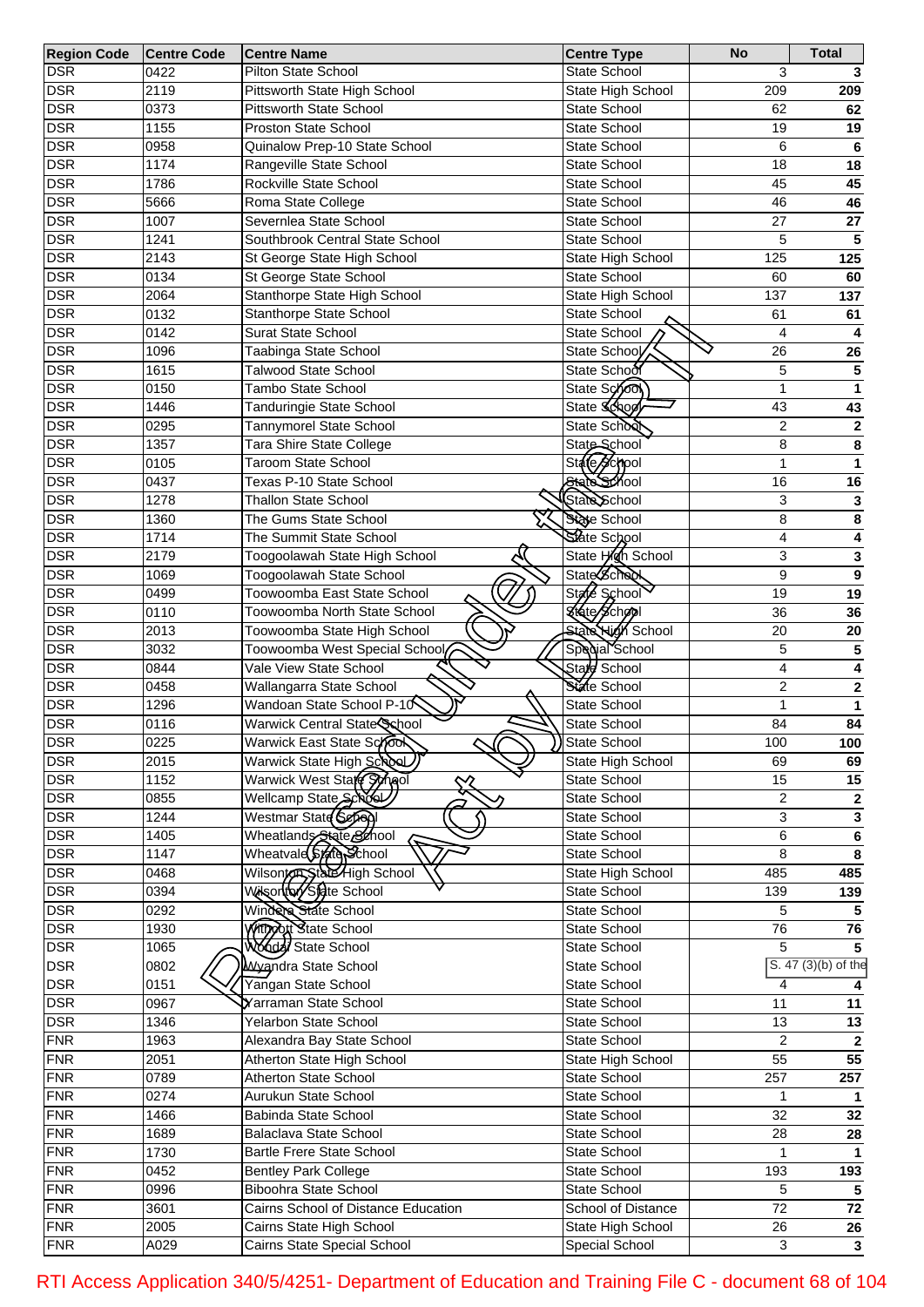| <b>Region Code</b> | <b>Centre Code</b> | <b>Centre Name</b>                                | <b>Centre Type</b>       | <b>No</b>       | <b>Total</b>            |
|--------------------|--------------------|---------------------------------------------------|--------------------------|-----------------|-------------------------|
| <b>DSR</b>         | 0422               | <b>Pilton State School</b>                        | State School             | 3               |                         |
| <b>DSR</b>         | 2119               | Pittsworth State High School                      | State High School        | 209             | 209                     |
| <b>DSR</b>         | 0373               | Pittsworth State School                           | State School             | 62              | 62                      |
| <b>DSR</b>         | 1155               | <b>Proston State School</b>                       | <b>State School</b>      | 19              | 19                      |
| <b>DSR</b>         | 0958               | Quinalow Prep-10 State School                     | State School             | 6               | 6                       |
| <b>DSR</b>         | 1174               | Rangeville State School                           | State School             | 18              | 18                      |
| <b>DSR</b>         | 1786               | Rockville State School                            | State School             | 45              | 45                      |
| <b>DSR</b>         | 5666               | Roma State College                                | State School             | 46              | 46                      |
| <b>DSR</b>         | 1007               | Severnlea State School                            | State School             | 27              | 27                      |
| <b>DSR</b>         | 1241               | Southbrook Central State School                   | <b>State School</b>      | 5               | 5                       |
| <b>DSR</b>         | 2143               | St George State High School                       | State High School        | 125             | 125                     |
| <b>DSR</b>         | 0134               | St George State School                            | State School             | 60              | 60                      |
| <b>DSR</b>         | 2064               | Stanthorpe State High School                      | State High School        | 137             | 137                     |
| <b>DSR</b>         | 0132               | Stanthorpe State School                           | State School             | 61              | 61                      |
| <b>DSR</b>         | 0142               | <b>Surat State School</b>                         | State School             | $\overline{4}$  |                         |
| <b>DSR</b>         | 1096               | Taabinga State School                             | State School             | 26              | 26                      |
| <b>DSR</b>         | 1615               | <b>Talwood State School</b>                       | State School             | 5               | 5                       |
| <b>DSR</b>         | 0150               | Tambo State School                                | State School             | $\mathbf{1}$    |                         |
| <b>DSR</b>         | 1446               | Tanduringie State School                          | State Schoo              | 43              | 43                      |
| <b>DSR</b>         | 0295               | Tannymorel State School                           | State School             | 2               | $\mathbf 2$             |
| <b>DSR</b>         | 1357               | Tara Shire State College                          | State School             | 8               | 8                       |
| <b>DSR</b>         | 0105               | <b>Taroom State School</b>                        | State School             | $\mathbf{1}$    |                         |
| <b>DSR</b>         | 0437               | Texas P-10 State School                           | State School             | 16              | 16                      |
| <b>DSR</b>         | 1278               | <b>Thallon State School</b>                       | State School             | 3               | 3                       |
| <b>DSR</b>         | 1360               | The Gums State School                             | State School             | 8               | 8                       |
| <b>DSR</b>         | 1714               | The Summit State School                           | State School             | 4               |                         |
| <b>DSR</b>         | 2179               | Toogoolawah State High School                     | State High School        | 3               | 3                       |
| <b>DSR</b>         | 1069               | Toogoolawah State School                          | State Scheck             | 9               | $\mathbf{9}$            |
| <b>DSR</b>         | 0499               | Toowoomba East State School                       | State School             | 19              | 19                      |
| <b>DSR</b>         | 0110               | Toowoomba North State School                      | State School             | 36              | 36                      |
| <b>DSR</b>         | 2013               | Toowoomba State High School                       | <b>State High School</b> | 20              | 20                      |
| <b>DSR</b>         | 3032               | Toowoomba West Special School                     | Spedial School           | 5               | 5                       |
| <b>DSR</b>         | 0844               | Vale View State School                            | State School             | 4               |                         |
| <b>DSR</b>         | 0458               | Wallangarra State School                          | State School             | 2               | 2                       |
| <b>DSR</b>         | 1296               | Wandoan State School P-10                         | State School             | $\mathbf{1}$    |                         |
| <b>DSR</b>         | 0116               | Warwick Central State School                      | State School             | 84              | 84                      |
| <b>DSR</b>         | 0225               | Warwick East State Scrook                         | State School             | 100             | 100                     |
| <b>DSR</b>         | 2015               | Warwick State High School                         | State High School        | 69              | 69                      |
| <b>DSR</b>         | 1152               | Warwick West Stare School                         | State School             | 15              | 15                      |
| <b>DSR</b>         | 0855               | ╳<br>Wellcamp State School                        | State School             | $\overline{2}$  | $\bf{2}$                |
| <b>DSR</b>         | 1244               | Westmar State Sepaql                              | State School             | 3               | $\overline{\mathbf{3}}$ |
| <b>DSR</b>         | 1405               |                                                   | State School             | 6               | $\overline{\mathbf{6}}$ |
| <b>DSR</b>         | 1147               | Wheatlands State School<br>Wheatvale State School | State School             | 8               | 8                       |
| <b>DSR</b>         | 0468               |                                                   | State High School        | 485             | 485                     |
| <b>DSR</b>         | 0394               | Wilsonton State High School                       | State School             | 139             | 139                     |
| <b>DSR</b>         | 0292               | Winder State School                               | State School             | 5               | 5                       |
| <b>DSR</b>         | 1930               | With Oct State School                             | State School             | 76              | 76                      |
| <b>DSR</b>         | 1065               | Woods/State School                                | State School             | 5               | 5                       |
| <b>DSR</b>         | 0802               | Wyandra State School                              | State School             |                 | S. 47 (3)(b) of the     |
| <b>DSR</b>         | 0151               | Yangan State School                               | State School             | 4               |                         |
| <b>DSR</b>         | 0967               | Yarraman State School                             | State School             | $\overline{11}$ | $\overline{11}$         |
| <b>DSR</b>         | 1346               | Yelarbon State School                             | State School             | 13              | 13                      |
| <b>FNR</b>         | 1963               | Alexandra Bay State School                        | State School             | $\overline{2}$  | $\mathbf{2}$            |
| <b>FNR</b>         | 2051               | Atherton State High School                        | State High School        | 55              | 55                      |
| <b>FNR</b>         | 0789               | Atherton State School                             | State School             | 257             | 257                     |
| <b>FNR</b>         | 0274               | Aurukun State School                              | State School             |                 |                         |
| <b>FNR</b>         | 1466               | Babinda State School                              | State School             | 32              | 32                      |
| <b>FNR</b>         | 1689               | Balaclava State School                            | State School             | 28              | $\overline{28}$         |
| <b>FNR</b>         |                    | Bartle Frere State School                         |                          |                 |                         |
|                    | 1730               |                                                   | State School             | $\mathbf 1$     |                         |
| <b>FNR</b>         | 0452               | <b>Bentley Park College</b>                       | State School             | 193             | 193                     |
| <b>FNR</b>         | 0996               | Biboohra State School                             | State School             | 5               | 5                       |
| <b>FNR</b>         | 3601               | Cairns School of Distance Education               | School of Distance       | 72              | $\overline{72}$         |
| <b>FNR</b>         | 2005               | Cairns State High School                          | State High School        | 26              | ${\bf 26}$              |
| <b>FNR</b>         | A029               | Cairns State Special School                       | <b>Special School</b>    | 3               | $\overline{\mathbf{3}}$ |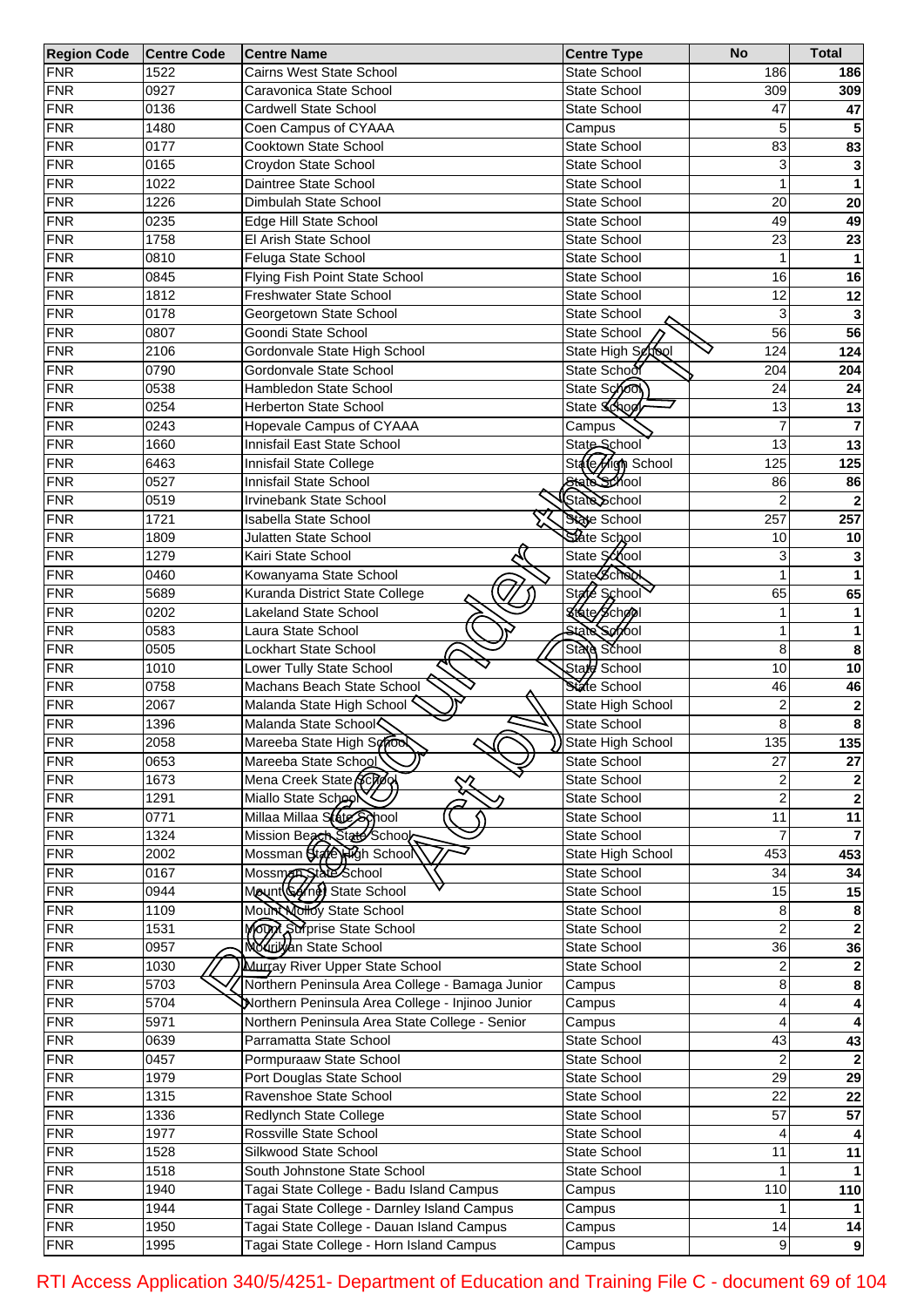| <b>Region Code</b> | <b>Centre Code</b> | <b>Centre Name</b>                                 | <b>Centre Type</b>  | <b>No</b>       | <b>Total</b>     |
|--------------------|--------------------|----------------------------------------------------|---------------------|-----------------|------------------|
| <b>FNR</b>         | 1522               | Cairns West State School                           | State School        | 186             | 186              |
| <b>FNR</b>         | 0927               | Caravonica State School                            | <b>State School</b> | 309             | 309              |
| <b>FNR</b>         | 0136               | <b>Cardwell State School</b>                       | <b>State School</b> | 47              | 47               |
| <b>FNR</b>         | 1480               | Coen Campus of CYAAA                               | Campus              | 5               |                  |
| <b>FNR</b>         | 0177               | Cooktown State School                              | State School        | 83              | 83               |
| <b>FNR</b>         | 0165               | Croydon State School                               | State School        | 3               |                  |
| <b>FNR</b>         | 1022               | Daintree State School                              | <b>State School</b> |                 | 1                |
| <b>FNR</b>         | 1226               | Dimbulah State School                              | <b>State School</b> | 20              | 20               |
| <b>FNR</b>         | 0235               | Edge Hill State School                             | <b>State School</b> | 49              | 49               |
| <b>FNR</b>         | 1758               | El Arish State School                              | <b>State School</b> | 23              | 23               |
| <b>FNR</b>         | 0810               | Feluga State School                                | <b>State School</b> | 1               |                  |
| <b>FNR</b>         | 0845               | Flying Fish Point State School                     | <b>State School</b> | 16              | 16               |
| <b>FNR</b>         | 1812               | Freshwater State School                            | <b>State School</b> | 12              | 12               |
| <b>FNR</b>         | 0178               | Georgetown State School                            | <b>State School</b> | 3               |                  |
| <b>FNR</b>         | 0807               | Goondi State School                                | State School        | $\overline{56}$ | 56               |
| <b>FNR</b>         | 2106               | Gordonvale State High School                       | State High School   | 124             | 124              |
| <b>FNR</b>         | 0790               | Gordonvale State School                            | State School        | 204             | 204              |
| <b>FNR</b>         | 0538               | Hambledon State School                             | State School        | 24              | 24               |
| <b>FNR</b>         | 0254               | Herberton State School                             | State School        | 13              | 13               |
| <b>FNR</b>         | 0243               | Hopevale Campus of CYAAA                           | Campus              | 7               |                  |
| <b>FNR</b>         | 1660               | Innisfail East State School                        | State School        | 13              | $\overline{13}$  |
| <b>FNR</b>         | 6463               | Innisfail State College                            | State High School   | 125             | 125              |
| <b>FNR</b>         | 0527               | Innisfail State School                             | State School        | 86              | 86               |
| <b>FNR</b>         | 0519               | Irvinebank State School                            | State School        | $\overline{2}$  |                  |
| <b>FNR</b>         | 1721               | <b>Isabella State School</b>                       | State School        | 257             | 257              |
| <b>FNR</b>         |                    |                                                    | State School        | 10              |                  |
|                    | 1809               | <b>Julatten State School</b>                       |                     |                 | 10               |
| <b>FNR</b>         | 1279               | Kairi State School                                 | State School        | 3               |                  |
| <b>FNR</b>         | 0460               | Kowanyama State School                             | <b>State School</b> |                 |                  |
| <b>FNR</b>         | 5689               | Kuranda District State College                     | State School        | 65              | 65               |
| <b>FNR</b>         | 0202               | <b>Lakeland State School</b>                       | State School        | 1               |                  |
| <b>FNR</b>         | 0583               | Laura State School                                 | <b>State School</b> | 1               | 1                |
| <b>FNR</b>         | 0505               | Lockhart State School                              | State School        | 8               | 8                |
| <b>FNR</b>         | 1010               | Lower Tully State School                           | Stard School        | 10              | 10               |
| <b>FNR</b>         | 0758               | Machans Beach State School                         | State School        | 46              | 46               |
| <b>FNR</b>         | 2067               | Malanda State High School                          | State High School   | 2               | $\bf{2}$         |
| <b>FNR</b>         | 1396               | Malanda State School                               | State School        | 8               | 8                |
| <b>FNR</b>         | 2058               | Mareeba State High School                          | ) State High School | 135             | $\overline{135}$ |
| <b>FNR</b>         | 0653               | Mareeba State School                               | State School        | 27              | 27               |
| <b>FNR</b>         | 1673               | Mena Creek State School                            | State School        | 2               |                  |
| FNR                | 1291               | Miallo State School                                | State School        | $\overline{2}$  |                  |
| FNR                | 0771               | Millaa Millaa State School                         | State School        | $\overline{11}$ | 11               |
| FNR                | 1324               | Mission Beach State School                         | State School        |                 |                  |
| FNR                | 2002               | Mossman State High School                          | State High School   | 453             | 453              |
| FNR                | 0167               | Mossmen State School<br>Mount (Gerne) State School | State School        | 34              | 34               |
| FNR                | 0944               |                                                    | State School        | 15              | 15               |
| FNR                | 1109               | Mount Nolloy State School                          | State School        | 8               | 8                |
| FNR                | 1531               | MOW Surprise State School                          | State School        | $\overline{2}$  |                  |
| FNR                | 0957               | Modulyan State School                              | State School        | $\overline{36}$ | 36               |
| FNR                | 1030               | Murray River Upper State School                    | State School        | 2               |                  |
| FNR                | 5703               | Northern Peninsula Area College - Bamaga Junior    | Campus              | 8               | 8                |
| FNR                | 5704               | Northern Peninsula Area College - Injinoo Junior   | Campus              | 4               |                  |
| FNR                | 5971               | Northern Peninsula Area State College - Senior     | Campus              | 4               |                  |
| FNR                | 0639               | Parramatta State School                            | State School        | 43              | 43               |
| FNR                | 0457               | Pormpuraaw State School                            | State School        | $\overline{2}$  |                  |
| FNR                | 1979               | Port Douglas State School                          | State School        | $\overline{29}$ | 29               |
| FNR                | 1315               | Ravenshoe State School                             | State School        | $\overline{22}$ | 22               |
| FNR                | 1336               | Redlynch State College                             | State School        | 57              | 57               |
| FNR                | 1977               | Rossville State School                             | State School        | 4               |                  |
| FNR                | 1528               | Silkwood State School                              | State School        | 11              | $\overline{11}$  |
| FNR                | 1518               | South Johnstone State School                       | State School        |                 |                  |
| FNR                | 1940               | Tagai State College - Badu Island Campus           | Campus              | 110             | 110              |
| FNR                | 1944               | Tagai State College - Darnley Island Campus        | Campus              |                 |                  |
| <b>FNR</b>         | 1950               | Tagai State College - Dauan Island Campus          | Campus              | 14              | 14               |
| <b>FNR</b>         | 1995               | Tagai State College - Horn Island Campus           | Campus              | 9               | $\overline{9}$   |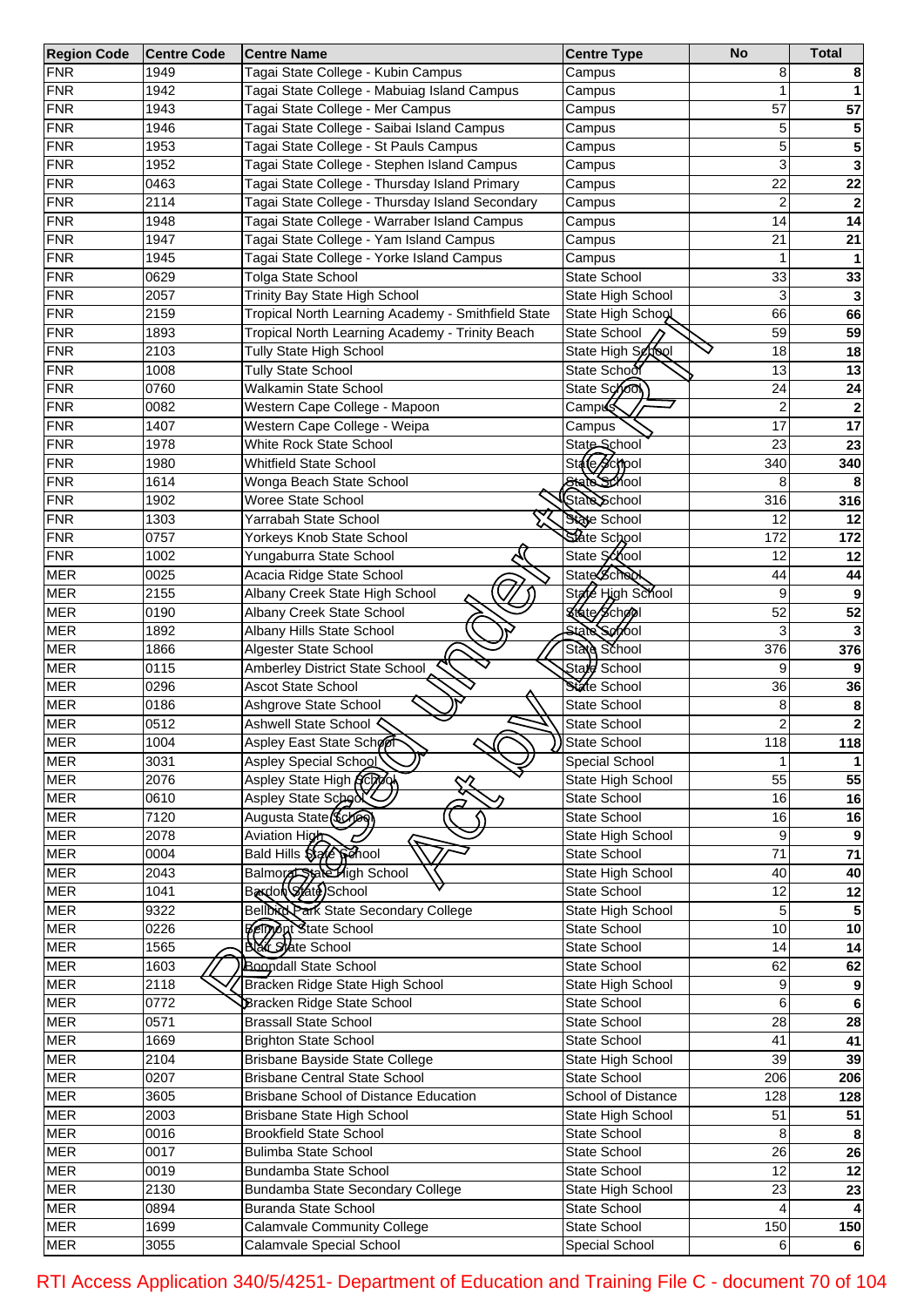| <b>Region Code</b> | <b>Centre Code</b> | <b>Centre Name</b>                                 | <b>Centre Type</b>  | <b>No</b>       | <b>Total</b>     |
|--------------------|--------------------|----------------------------------------------------|---------------------|-----------------|------------------|
| <b>FNR</b>         | 1949               | Tagai State College - Kubin Campus                 | Campus              | 8               |                  |
| <b>FNR</b>         | 1942               | Tagai State College - Mabuiag Island Campus        | Campus              | 1               |                  |
| <b>FNR</b>         | 1943               | Tagai State College - Mer Campus                   | Campus              | 57              | 57               |
| <b>FNR</b>         | 1946               | Tagai State College - Saibai Island Campus         | Campus              | 5               | 5                |
| <b>FNR</b>         | 1953               | Tagai State College - St Pauls Campus              | Campus              | 5               | 5                |
| <b>FNR</b>         | 1952               | Tagai State College - Stephen Island Campus        | Campus              | 3               | 3                |
| <b>FNR</b>         | 0463               | Tagai State College - Thursday Island Primary      | Campus              | 22              | $\overline{22}$  |
| <b>FNR</b>         | 2114               | Tagai State College - Thursday Island Secondary    | Campus              | $\mathbf 2$     |                  |
| <b>FNR</b>         | 1948               | Tagai State College - Warraber Island Campus       | Campus              | 14              | 14               |
| <b>FNR</b>         | 1947               | Tagai State College - Yam Island Campus            | Campus              | 21              | 21               |
| <b>FNR</b>         | 1945               | Tagai State College - Yorke Island Campus          | Campus              | 1               |                  |
| <b>FNR</b>         | 0629               | <b>Tolga State School</b>                          | State School        | 33              | 33               |
| <b>FNR</b>         | 2057               | Trinity Bay State High School                      | State High School   | 3               | 3                |
| <b>FNR</b>         | 2159               | Tropical North Learning Academy - Smithfield State |                     | 66              | 66               |
|                    |                    |                                                    | State High School   | 59              |                  |
| <b>FNR</b>         | 1893               | Tropical North Learning Academy - Trinity Beach    | State School        |                 | 59               |
| <b>FNR</b>         | 2103               | Tully State High School                            | State High School   | 18              | 18               |
| <b>FNR</b>         | 1008               | <b>Tully State School</b>                          | State School        | 13              | 13               |
| <b>FNR</b>         | 0760               | Walkamin State School                              | State School        | 24              | 24               |
| <b>FNR</b>         | 0082               | Western Cape College - Mapoon                      | Camp <b>ó</b> s     | $\mathbf 2$     |                  |
| <b>FNR</b>         | 1407               | Western Cape College - Weipa                       | Campus              | 17              | 17               |
| <b>FNR</b>         | 1978               | White Rock State School                            | State School        | 23              | 23               |
| <b>FNR</b>         | 1980               | <b>Whitfield State School</b>                      | State School        | 340             | 340              |
| <b>FNR</b>         | 1614               | Wonga Beach State School                           | State School        | 8               | 8                |
| <b>FNR</b>         | 1902               | <b>Woree State School</b>                          | State School        | 316             | 316              |
| <b>FNR</b>         | 1303               | Yarrabah State School                              | State School        | 12              | 12               |
| <b>FNR</b>         | 0757               | Yorkeys Knob State School                          | State School        | 172             | 172              |
| <b>FNR</b>         | 1002               | Yungaburra State School                            | State School        | 12              | 12               |
| <b>MER</b>         | 0025               | Acacia Ridge State School                          | State School        | 44              | 44               |
| <b>MER</b>         | 2155               | Albany Creek State High School                     | State High School   | 9               | 9                |
| <b>MER</b>         | 0190               | Albany Creek State School                          | State School        | 52              | 52               |
| <b>MER</b>         | 1892               | Albany Hills State School                          | <b>State School</b> | 3               |                  |
| <b>MER</b>         | 1866               | Algester State School                              | State School        | 376             | 376              |
| <b>MER</b>         | 0115               | Amberley District State School                     | State School        | 9               |                  |
| <b>MER</b>         | 0296               | <b>Ascot State School</b>                          | State School        | 36              | 36               |
| <b>MER</b>         | 0186               | Ashgrove State School                              | State School        | 8               | 8                |
| <b>MER</b>         | 0512               | Ashwell State School $\zeta$                       | State School        | 2               | $\boldsymbol{2}$ |
| <b>MER</b>         | 1004               | Aspley East State School                           | )State School       | 118             | 118              |
| <b>MER</b>         | 3031               | Aspley Special School                              | Special School      | 1               | -1               |
| <b>MER</b>         | 2076               | Aspley State High ACTO                             | State High School   | 55              | 55               |
| <b>MER</b>         | 0610               | Aspley State School                                | State School        | 16              | 16               |
| <b>MER</b>         | 7120               | Augusta State (School                              | State School        | 16              | 16               |
| <b>MER</b>         | 2078               | Aviation High                                      | State High School   | 9               |                  |
| <b>MER</b>         |                    | L                                                  | State School        | 71              | $\overline{71}$  |
|                    | 0004               | Bald Hills Stafe Senool                            |                     |                 |                  |
| <b>MER</b>         | 2043               | Balmore 55 State High School                       | State High School   | 40              | 40               |
| <b>MER</b>         | 1041               | Baxdon State)School                                | State School        | 12              | $\overline{12}$  |
| <b>MER</b>         | 9322               | <b>Bellbird Park State Secondary College</b>       | State High School   | 5               |                  |
| <b>MER</b>         | 0226               | <b>Permant State School</b>                        | State School        | 10              | 10               |
| <b>MER</b>         | 1565               | <b>Bak State School</b>                            | State School        | 14              | $\overline{14}$  |
| <b>MER</b>         | 1603               | <b>Boondall State School</b>                       | State School        | 62              | 62               |
| <b>MER</b>         | 2118               | Bracken Ridge State High School                    | State High School   | 9               | 9                |
| <b>MER</b>         | 0772               | <b>Bracken Ridge State School</b>                  | State School        | 6               | 6                |
| <b>MER</b>         | 0571               | <b>Brassall State School</b>                       | State School        | $\overline{28}$ | 28               |
| <b>MER</b>         | 1669               | <b>Brighton State School</b>                       | State School        | 41              | 41               |
| <b>MER</b>         | 2104               | Brisbane Bayside State College                     | State High School   | $\overline{39}$ | 39               |
| <b>MER</b>         | 0207               | <b>Brisbane Central State School</b>               | State School        | 206             | 206              |
| <b>MER</b>         | 3605               | Brisbane School of Distance Education              | School of Distance  | 128             | 128              |
| <b>MER</b>         | 2003               | Brisbane State High School                         | State High School   | 51              | 51               |
| <b>MER</b>         | 0016               | <b>Brookfield State School</b>                     | State School        | 8               | 8                |
| <b>MER</b>         | 0017               | <b>Bulimba State School</b>                        | State School        | $\overline{26}$ | 26               |
| <b>MER</b>         | 0019               | Bundamba State School                              | State School        | $\overline{12}$ | $\overline{12}$  |
| <b>MER</b>         | 2130               | Bundamba State Secondary College                   | State High School   | $\overline{23}$ | 23               |
| <b>MER</b>         | 0894               | <b>Buranda State School</b>                        | State School        |                 |                  |
| <b>MER</b>         | 1699               | <b>Calamvale Community College</b>                 | State School        | 150             | 150              |
| <b>MER</b>         | 3055               | Calamvale Special School                           | Special School      | 6               | 6                |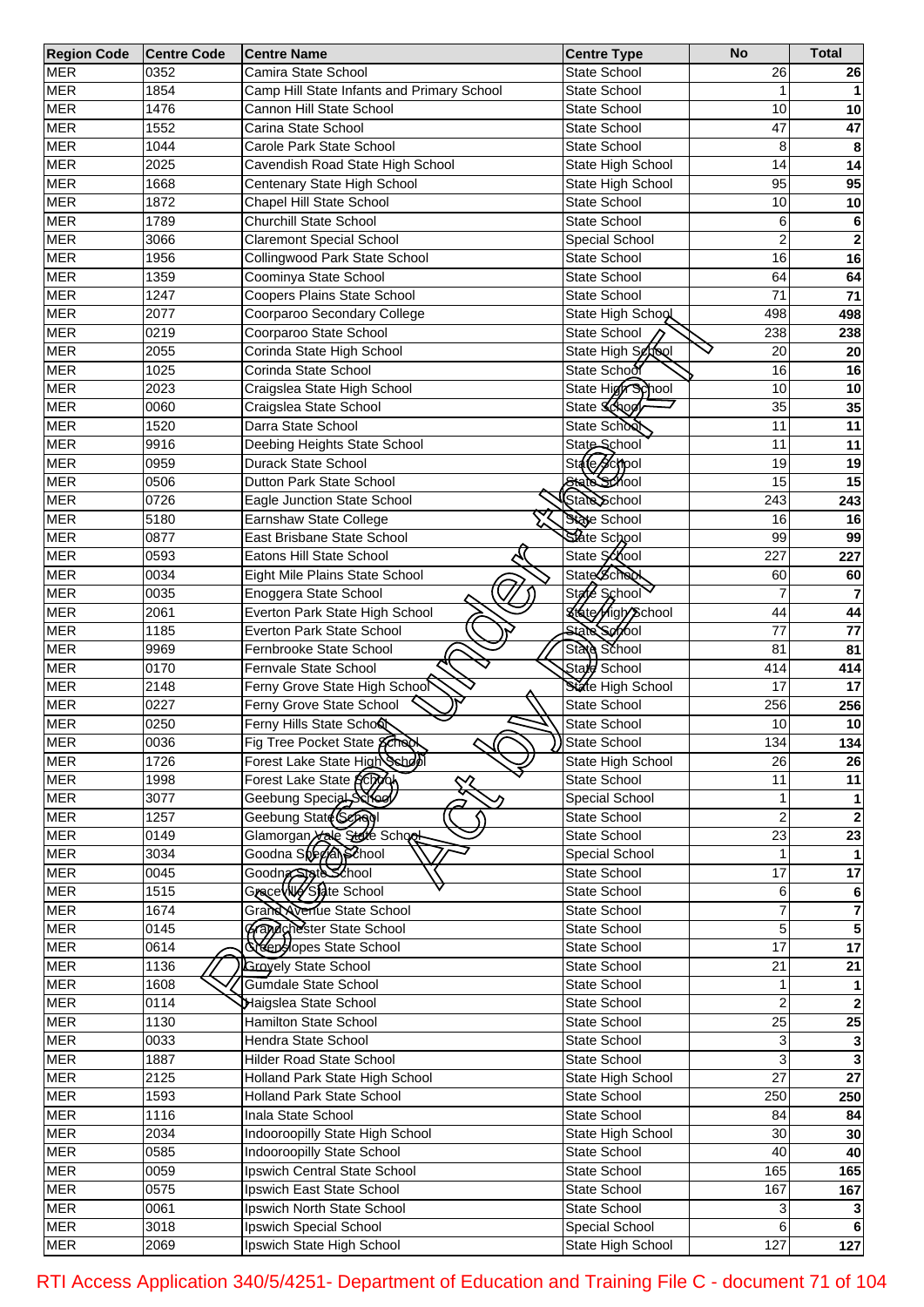| <b>Region Code</b> | <b>Centre Code</b> | Centre Name                                              | <b>Centre Type</b>       | <b>No</b>       | <b>Total</b>     |
|--------------------|--------------------|----------------------------------------------------------|--------------------------|-----------------|------------------|
| <b>MER</b>         | 0352               | Camira State School                                      | <b>State School</b>      | 26              | 26               |
| <b>MER</b>         | 1854               | Camp Hill State Infants and Primary School               | State School             |                 |                  |
| <b>MER</b>         | 1476               | Cannon Hill State School                                 | State School             | 10              | 10               |
| <b>MER</b>         | 1552               | Carina State School                                      | State School             | 47              | 47               |
| <b>MER</b>         | 1044               | Carole Park State School                                 | <b>State School</b>      | 8               | 8                |
| <b>MER</b>         | 2025               | Cavendish Road State High School                         | State High School        | 14              | 14               |
| <b>MER</b>         | 1668               | Centenary State High School                              | State High School        | 95              | 95               |
| <b>MER</b>         | 1872               | Chapel Hill State School                                 | State School             | 10              | 10               |
| <b>MER</b>         | 1789               | Churchill State School                                   | <b>State School</b>      | 6               | 6                |
| <b>MER</b>         | 3066               | <b>Claremont Special School</b>                          | Special School           | $\overline{2}$  | $\mathbf 2$      |
| <b>MER</b>         | 1956               | Collingwood Park State School                            | <b>State School</b>      | 16              | 16               |
|                    |                    |                                                          |                          |                 |                  |
| <b>MER</b>         | 1359               | Coominya State School                                    | <b>State School</b>      | 64              | 64               |
| <b>MER</b>         | 1247               | Coopers Plains State School                              | <b>State School</b>      | 71              | 71               |
| <b>MER</b>         | 2077               | Coorparoo Secondary College                              | State High School        | 498             | 498              |
| <b>MER</b>         | 0219               | Coorparoo State School                                   | State School             | 238             | 238              |
| <b>MER</b>         | 2055               | Corinda State High School                                | State High School        | 20              | ${\bf 20}$       |
| <b>MER</b>         | 1025               | Corinda State School                                     | State School             | 16              | 16               |
| <b>MER</b>         | 2023               | Craigslea State High School                              | State High School        | 10              | 10               |
| <b>MER</b>         | 0060               | Craigslea State School                                   | State School             | $\overline{35}$ | 35               |
| <b>MER</b>         | 1520               | Darra State School                                       | State School             | 11              | 11               |
| <b>MER</b>         | 9916               | Deebing Heights State School                             | State School             | 11              | 11               |
| <b>MER</b>         | 0959               | Durack State School                                      | State School             | 19              | 19               |
| <b>MER</b>         | 0506               | Dutton Park State School                                 | State School             | 15              | 15               |
| <b>MER</b>         | 0726               | Eagle Junction State School                              | State School             | 243             | 243              |
| <b>MER</b>         | 5180               | Earnshaw State College                                   | State School             | 16              | 16               |
| <b>MER</b>         | 0877               | East Brisbane State School                               | State School             | 99              | 99               |
|                    |                    |                                                          |                          |                 |                  |
| <b>MER</b>         | 0593               | Eatons Hill State School                                 | State School             | 227             | 227              |
| <b>MER</b>         | 0034               | Eight Mile Plains State School                           | State School             | 60              | 60               |
| <b>MER</b>         | 0035               | Enoggera State School                                    | State School             | 7               |                  |
| <b>MER</b>         | 2061               | Everton Park State High School                           | <b>State High School</b> | 44              | 44               |
| <b>MER</b>         | 1185               | Everton Park State School                                | State Serool             | 77              | 77               |
| <b>MER</b>         | 9969               | Fernbrooke State School                                  | State School             | 81              | 81               |
| <b>MER</b>         | 0170               | Fernvale State School                                    | State School             | 414             | 414              |
| <b>MER</b>         | 2148               | Ferny Grove State High School                            | State High School        | 17              | 17               |
| <b>MER</b>         | 0227               | Ferny Grove State School                                 | State School             | 256             | 256              |
| <b>MER</b>         | 0250               | Ferny Hills State Scho&                                  | State School             | 10              | 10               |
| <b>MER</b>         | 0036               | Fig Tree Pocket State School                             | >State School            | 134             | 134              |
| <b>MER</b>         | 1726               | Forest Lake State High School                            | State High School        | 26              | 26               |
| <b>MER</b>         |                    |                                                          | State School             | 11              |                  |
|                    | 1998               | Forest Lake State Scooc                                  |                          |                 | 11               |
| <b>MER</b>         | 3077               | Geebung Special Scroel                                   | Special School           |                 |                  |
| <b>MER</b>         | 1257               | Geebung State (Sepagl                                    | <b>State School</b>      | $\overline{2}$  | $\mathbf{2}$     |
| <b>MER</b>         | 0149               | Glamorgan take State School                              | State School             | $\overline{23}$ | $\overline{23}$  |
| <b>MER</b>         | 3034               | Goodna Special School                                    | Special School           |                 |                  |
| <b>MER</b>         | 0045               | Goodn <del>z StateSchool</del><br>Grace (NG State School | State School             | 17              | $\overline{17}$  |
| <b>MER</b>         | 1515               |                                                          | State School             | 6               | 6                |
| <b>MER</b>         | 1674               | Grand Avenue State School                                | State School             |                 | 7                |
| <b>MER</b>         | 0145               | Grandahester State School                                | State School             | 5               | 5                |
| <b>MER</b>         | 0614               | <b>Neepslopes State School</b>                           | State School             | $\overline{17}$ | 17               |
| <b>MER</b>         | 1136               | <b>Groyely State School</b>                              | State School             | $\overline{21}$ | $\overline{21}$  |
| <b>MER</b>         | 1608               | Gumdale State School                                     | State School             |                 |                  |
| <b>MER</b>         | 0114               | Haigslea State School                                    | State School             | $\overline{2}$  |                  |
| <b>MER</b>         | 1130               | Hamilton State School                                    | State School             | $\overline{25}$ | $\overline{25}$  |
| <b>MER</b>         | 0033               | Hendra State School                                      |                          | 3               |                  |
|                    |                    |                                                          | State School             |                 |                  |
| <b>MER</b>         | 1887               | <b>Hilder Road State School</b>                          | State School             | 3               |                  |
| <b>MER</b>         | 2125               | Holland Park State High School                           | State High School        | $\overline{27}$ | $\overline{27}$  |
| <b>MER</b>         | 1593               | <b>Holland Park State School</b>                         | State School             | 250             | 250              |
| <b>MER</b>         | 1116               | Inala State School                                       | State School             | 84              | 84               |
| <b>MER</b>         | 2034               | Indooroopilly State High School                          | State High School        | $\overline{30}$ | 30               |
| <b>MER</b>         | 0585               | Indooroopilly State School                               | State School             | 40              | 40               |
| <b>MER</b>         | 0059               | Ipswich Central State School                             | State School             | 165             | 165              |
| <b>MER</b>         | 0575               | Ipswich East State School                                | State School             | 167             | 167              |
| <b>MER</b>         | 0061               | Ipswich North State School                               | State School             | 3               |                  |
| <b>MER</b>         | 3018               | Ipswich Special School                                   | Special School           | 6               | 6                |
| <b>MER</b>         | 2069               | Ipswich State High School                                | State High School        | 127             | $\overline{127}$ |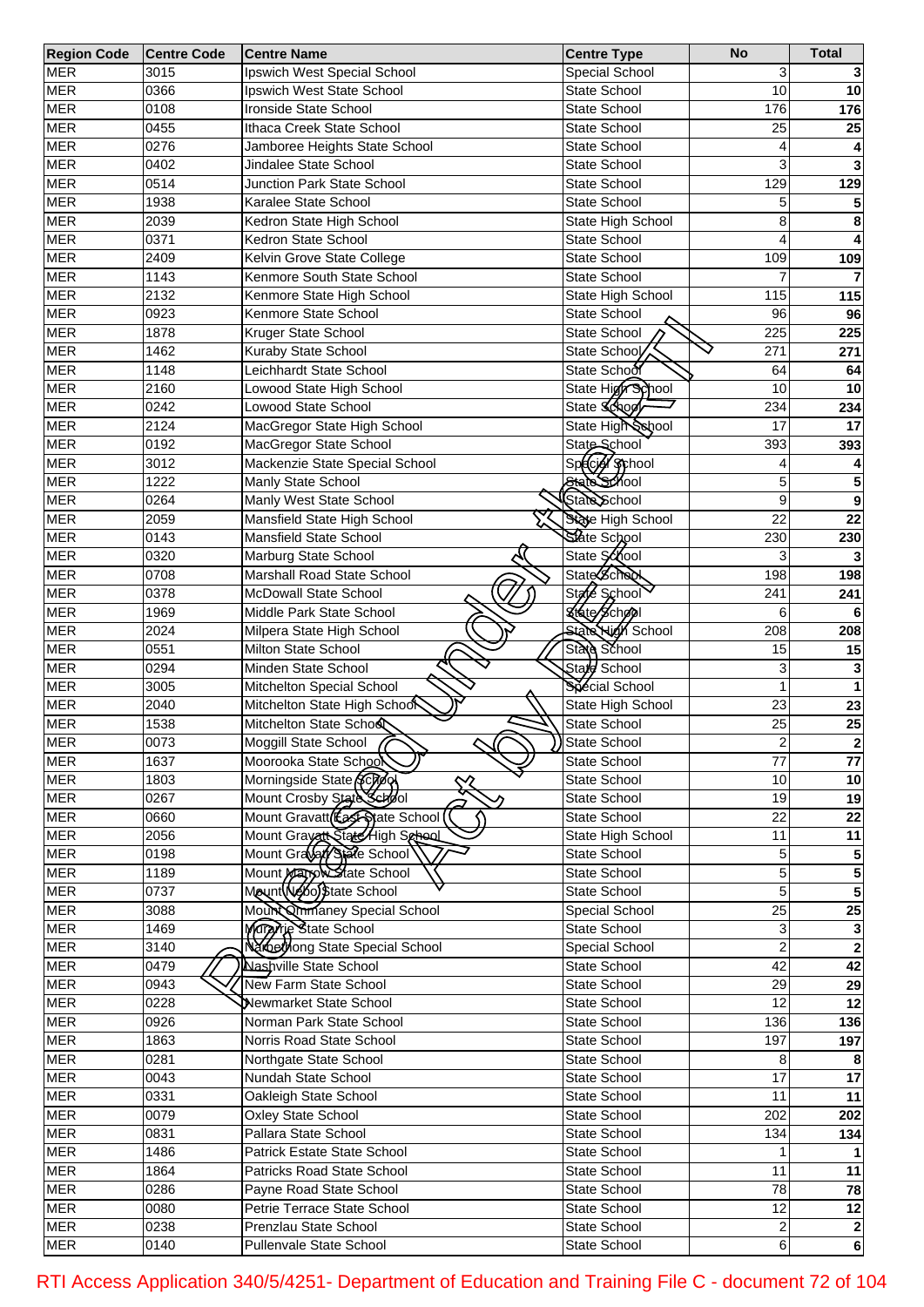| <b>Region Code</b> | <b>Centre Code</b> | <b>Centre Name</b>              | <b>Centre Type</b>       | <b>No</b>       | <b>Total</b>            |
|--------------------|--------------------|---------------------------------|--------------------------|-----------------|-------------------------|
| <b>MER</b>         | 3015               | Ipswich West Special School     | Special School           | 3               |                         |
| <b>MER</b>         | 0366               | Ipswich West State School       | State School             | 10              | 10                      |
| <b>MER</b>         | 0108               | Ironside State School           | State School             | 176             | 176                     |
| <b>MER</b>         | 0455               | Ithaca Creek State School       | State School             | 25              | 25                      |
| <b>MER</b>         | 0276               | Jamboree Heights State School   | State School             | 4               |                         |
| <b>MER</b>         | 0402               | Jindalee State School           | State School             | 3               |                         |
| <b>MER</b>         | 0514               | Junction Park State School      | State School             | 129             | 129                     |
| <b>MER</b>         | 1938               | Karalee State School            | <b>State School</b>      | 5               | 5                       |
| <b>MER</b>         | 2039               | Kedron State High School        | State High School        | 8               | 8                       |
| <b>MER</b>         | 0371               | Kedron State School             | State School             | 4               |                         |
| <b>MER</b>         | 2409               | Kelvin Grove State College      | <b>State School</b>      | 109             | 109                     |
| <b>MER</b>         | 1143               | Kenmore South State School      | <b>State School</b>      |                 |                         |
| <b>MER</b>         | 2132               | Kenmore State High School       | State High School        | 115             | 115                     |
| <b>MER</b>         | 0923               | Kenmore State School            | State School             | 96              | 96                      |
| <b>MER</b>         | 1878               | Kruger State School             | State School             | 225             | 225                     |
| <b>MER</b>         | 1462               | Kuraby State School             | State School             | 271             | 271                     |
|                    |                    | Leichhardt State School         | State School             |                 |                         |
| <b>MER</b>         | 1148               |                                 |                          | 64              | 64                      |
| <b>MER</b>         | 2160               | Lowood State High School        | State High School        | 10              | 10                      |
| <b>MER</b>         | 0242               | Lowood State School             | State School             | 234             | 234                     |
| <b>MER</b>         | 2124               | MacGregor State High School     | State High School        | 17              | 17                      |
| <b>MER</b>         | 0192               | MacGregor State School          | State School             | 393             | 393                     |
| <b>MER</b>         | 3012               | Mackenzie State Special School  | Specier School           | 4               |                         |
| <b>MER</b>         | 1222               | Manly State School              | State School             | 5               | 5                       |
| <b>MER</b>         | 0264               | Manly West State School         | State School             | 9               | 9                       |
| <b>MER</b>         | 2059               | Mansfield State High School     | State High School        | $\overline{22}$ | $\overline{22}$         |
| <b>MER</b>         | 0143               | Mansfield State School          | State School             | 230             | 230                     |
| <b>MER</b>         | 0320               | Marburg State School            | State School             | 3               |                         |
| <b>MER</b>         | 0708               | Marshall Road State School      | State School             | 198             | 198                     |
| <b>MER</b>         | 0378               | McDowall State School           | State School             | 241             | 241                     |
| <b>MER</b>         | 1969               | Middle Park State School        | State School             | 6               |                         |
| <b>MER</b>         | 2024               | Milpera State High School       | <b>State High School</b> | 208             | 208                     |
| <b>MER</b>         | 0551               | Milton State School             | State School             | 15              | 15                      |
| <b>MER</b>         | 0294               | Α<br>Minden State School        | Stard School             | 3               |                         |
| <b>MER</b>         | 3005               | Mitchelton Special School       | Special School           | 1               | $\blacktriangleleft$    |
| <b>MER</b>         | 2040               | Mitchelton State High School    | State High School        | $\overline{23}$ | 23                      |
| <b>MER</b>         | 1538               | Mitchelton State Schoc          | State School             | $\overline{25}$ | $\overline{25}$         |
| <b>MER</b>         | 0073               | Moggill State School            | State School             | $\overline{2}$  | $\overline{\mathbf{c}}$ |
| <b>MER</b>         | 1637               | Moorooka State School           |                          | 77              |                         |
|                    |                    |                                 | State School             |                 | 77                      |
| <b>MER</b>         | 1803               | Morningside State School        | State School             | 10              | 10                      |
| <b>MER</b>         | 0267               | Mount Crosby State School       | State School             | 19              | 19                      |
| <b>MER</b>         | 0660               | Mount Gravatt East State School | State School             | $\overline{22}$ | $\overline{22}$         |
| <b>MER</b>         | 2056               | Mount Grayett State High School | State High School        | 11              | $\overline{11}$         |
| <b>MER</b>         | 0198               | Mount Gravat/State School       | State School             | 5               | 5                       |
| <b>MER</b>         | 1189               | Mount Mary State School         | State School             | 5               | ${\bf 5}$               |
| <b>MER</b>         | 0737               |                                 | State School             | 5               | 5                       |
| <b>MER</b>         | 3088               | Mount Ommaney Special School    | Special School           | $\overline{25}$ | $\overline{25}$         |
| <b>MER</b>         | 1469               | Marzytie State School           | State School             | 3               |                         |
| <b>MER</b>         | 3140               | Narodyong State Special School  | Special School           | $\overline{2}$  | $\mathbf 2$             |
| <b>MER</b>         | 0479               | Nashville State School          | State School             | 42              | 42                      |
| <b>MER</b>         | 0943               | New Farm State School           | State School             | $\overline{29}$ | $\overline{29}$         |
| <b>MER</b>         | 0228               | Newmarket State School          | State School             | 12              | $\overline{12}$         |
| <b>MER</b>         | 0926               | Norman Park State School        | State School             | 136             | 136                     |
| <b>MER</b>         | 1863               | Norris Road State School        | State School             | 197             | 197                     |
| <b>MER</b>         | 0281               | Northgate State School          | State School             | 8               | 8                       |
| <b>MER</b>         | 0043               | Nundah State School             | State School             | 17              | $\overline{17}$         |
| <b>MER</b>         | 0331               | Oakleigh State School           | State School             | 11              | $\overline{11}$         |
| <b>MER</b>         | 0079               | <b>Oxley State School</b>       | State School             | 202             | 202                     |
| <b>MER</b>         | 0831               | Pallara State School            | State School             | 134             | 134                     |
| <b>MER</b>         | 1486               | Patrick Estate State School     | State School             |                 |                         |
|                    |                    |                                 |                          |                 |                         |
| <b>MER</b>         | 1864               | Patricks Road State School      | State School             | 11              | $\overline{11}$         |
| <b>MER</b>         | 0286               | Payne Road State School         | State School             | 78              | $\overline{78}$         |
| <b>MER</b>         | 0080               | Petrie Terrace State School     | State School             | $\overline{12}$ | $\overline{12}$         |
| <b>MER</b>         | 0238               | Prenzlau State School           | State School             | 2               | $\boldsymbol{2}$        |
| <b>MER</b>         | 0140               | Pullenvale State School         | State School             | $\overline{6}$  | $\overline{6}$          |

RTI Access Application 340/5/4251- Department of Education and Training File C - document 72 of 104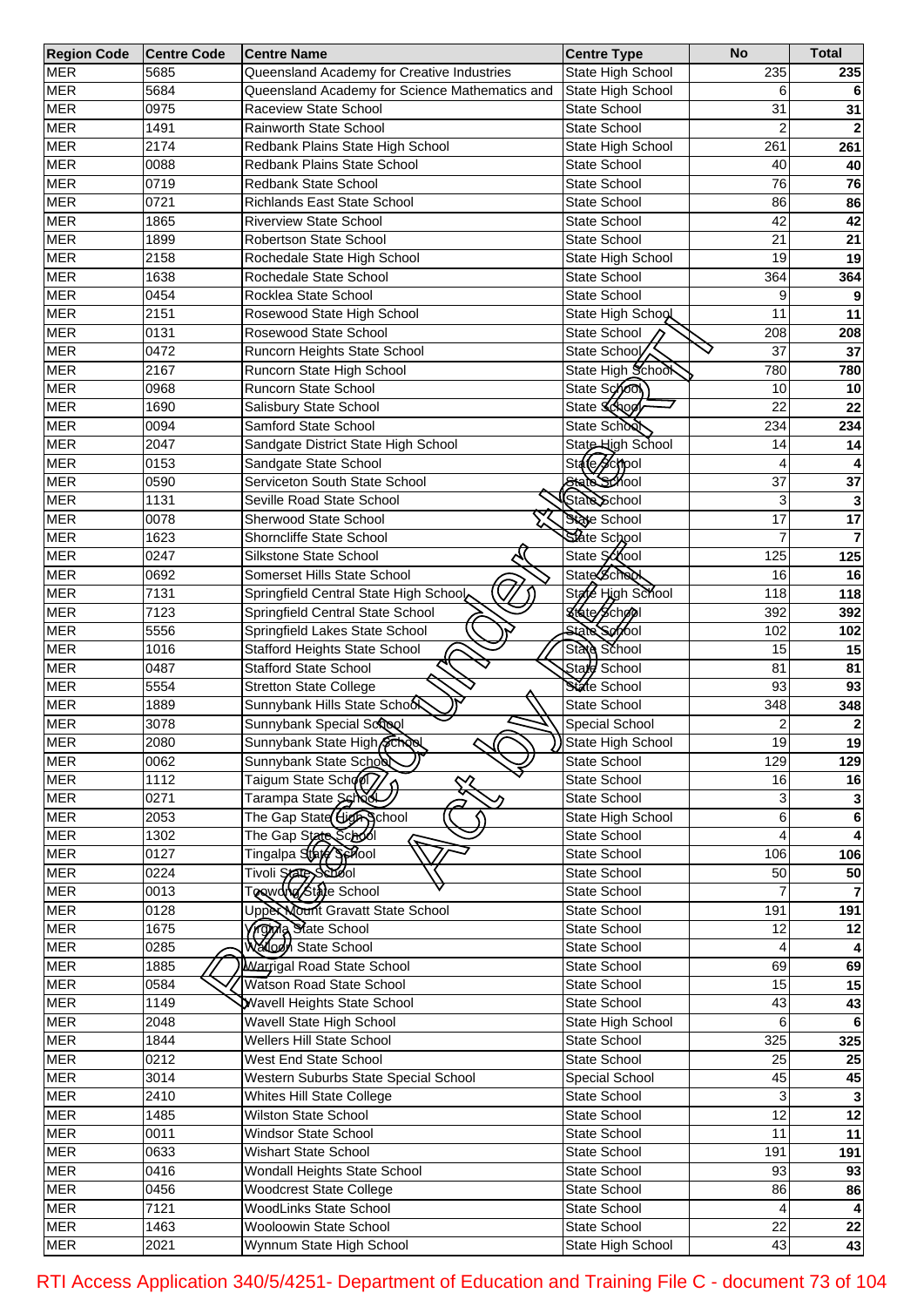| <b>Region Code</b> | <b>Centre Code</b> | <b>Centre Name</b>                             | <b>Centre Type</b>  | <b>No</b>               | <b>Total</b>    |
|--------------------|--------------------|------------------------------------------------|---------------------|-------------------------|-----------------|
| <b>MER</b>         | 5685               | Queensland Academy for Creative Industries     | State High School   | 235                     | 235             |
| <b>MER</b>         | 5684               | Queensland Academy for Science Mathematics and | State High School   | 6                       |                 |
| <b>MER</b>         | 0975               | Raceview State School                          | State School        | 31                      | 31              |
| <b>MER</b>         | 1491               | Rainworth State School                         | State School        | 2                       |                 |
| <b>MER</b>         | 2174               | Redbank Plains State High School               | State High School   | 261                     | 261             |
| <b>MER</b>         | 0088               | Redbank Plains State School                    | State School        | 40                      | 40              |
| <b>MER</b>         | 0719               | Redbank State School                           | State School        | 76                      | 76              |
| <b>MER</b>         | 0721               | <b>Richlands East State School</b>             | State School        | 86                      | 86              |
| <b>MER</b>         | 1865               | <b>Riverview State School</b>                  | State School        | 42                      | 42              |
| <b>MER</b>         | 1899               | Robertson State School                         | <b>State School</b> | 21                      | 21              |
| <b>MER</b>         | 2158               | Rochedale State High School                    | State High School   | 19                      | 19              |
|                    |                    |                                                |                     |                         |                 |
| <b>MER</b>         | 1638               | Rochedale State School                         | State School        | 364                     | 364             |
| <b>MER</b>         | 0454               | Rocklea State School                           | State School        | 9                       |                 |
| <b>MER</b>         | 2151               | Rosewood State High School                     | State High School   | 11                      | 11              |
| <b>MER</b>         | 0131               | Rosewood State School                          | State School        | 208                     | 208             |
| <b>MER</b>         | 0472               | Runcorn Heights State School                   | State School        | 37                      | 37              |
| <b>MER</b>         | 2167               | Runcorn State High School                      | State High School   | 780                     | 780             |
| <b>MER</b>         | 0968               | Runcorn State School                           | State School        | 10                      | 10              |
| <b>MER</b>         | 1690               | Salisbury State School                         | State School        | 22                      | 22              |
| <b>MER</b>         | 0094               | Samford State School                           | State School        | 234                     | 234             |
| <b>MER</b>         | 2047               | Sandgate District State High School            | State High School   | 14                      | 14              |
| <b>MER</b>         | 0153               | Sandgate State School                          | State School        | 4                       |                 |
| <b>MER</b>         | 0590               | Serviceton South State School                  | State School        | 37                      | 37              |
| <b>MER</b>         | 1131               | Seville Road State School                      | State School        | 3                       |                 |
| <b>MER</b>         | 0078               | Sherwood State School                          | State School        | 17                      | $\overline{17}$ |
| <b>MER</b>         | 1623               | Shorncliffe State School                       | State School        |                         |                 |
| <b>MER</b>         | 0247               | Silkstone State School                         | State School        | 125                     | 125             |
| <b>MER</b>         | 0692               | Somerset Hills State School                    | <b>State School</b> | 16                      | 16              |
| <b>MER</b>         | 7131               | Springfield Central State High School          | State High School   | 118                     | 118             |
| <b>MER</b>         | 7123               | Springfield Central State School               | &fate School        | 392                     | 392             |
| <b>MER</b>         | 5556               | Springfield Lakes State School                 | <b>State School</b> | 102                     | 102             |
| <b>MER</b>         |                    |                                                |                     |                         |                 |
|                    | 1016               | <b>Stafford Heights State School</b>           | State School        | 15                      | 15              |
| <b>MER</b>         | 0487               | Stafford State School                          | Stard School        | 81                      | 81              |
| <b>MER</b>         | 5554               | <b>Stretton State College</b>                  | State School        | 93                      | 93              |
| <b>MER</b>         | 1889               | Sunnybank Hills State School                   | State School        | 348                     | 348             |
| <b>MER</b>         | 3078               | Sunnybank Special Scrool                       | Special School      | $\overline{\mathbf{c}}$ |                 |
| <b>MER</b>         | 2080               | Sunnybank State High School                    | State High School   | 19                      | 19              |
| <b>MER</b>         | 0062               | Sunnybank State School                         | State School        | 129                     | 129             |
| <b>MER</b>         | 1112               | Taigum State School                            | State School        | 16                      | 16              |
| <b>MER</b>         | 0271               | Tarampa State Sched                            | State School        | 31                      | 3               |
| <b>MER</b>         | 2053               | The Gap State High School                      | State High School   | 6                       | 6               |
| <b>MER</b>         | 1302               | The Gap State Solook                           | State School        | 4                       |                 |
| <b>MER</b>         | $\overline{0127}$  | Tingalpa State Senool                          | State School        | 106                     | 106             |
| <b>MER</b>         | 0224               | Tivoli State School                            | State School        | 50                      | 50              |
| <b>MER</b>         | 0013               | To wong State School                           | State School        |                         |                 |
| <b>MER</b>         | 0128               | Upper Nount Gravatt State School               | State School        | 191                     | 191             |
| <b>MER</b>         | 1675               | Yrghya State School                            | State School        | 12                      | 12              |
| <b>MER</b>         | 0285               | Wallogn State School                           | State School        | 4                       |                 |
| <b>MER</b>         | 1885               | Warrigal Road State School                     | State School        | 69                      | 69              |
| <b>MER</b>         | 0584               | Watson Road State School                       | State School        | 15                      | 15              |
| <b>MER</b>         | 1149               | <b>Wavell Heights State School</b>             | State School        | 43                      | 43              |
| <b>MER</b>         | 2048               | Wavell State High School                       | State High School   | 6                       | 6               |
| <b>MER</b>         | 1844               | <b>Wellers Hill State School</b>               | State School        | 325                     | 325             |
| <b>MER</b>         | $\overline{02}12$  | West End State School                          | State School        | 25                      | 25              |
| <b>MER</b>         | $\overline{3}014$  | Western Suburbs State Special School           | Special School      | 45                      | 45              |
| <b>MER</b>         | 2410               |                                                | State School        | 3                       |                 |
|                    |                    | Whites Hill State College                      |                     |                         | 3               |
| <b>MER</b>         | 1485               | <b>Wilston State School</b>                    | State School        | 12                      | $\overline{12}$ |
| <b>MER</b>         | 0011               | <b>Windsor State School</b>                    | State School        | $\overline{11}$         | $\overline{11}$ |
| <b>MER</b>         | 0633               | Wishart State School                           | State School        | 191                     | 191             |
| <b>MER</b>         | 0416               | Wondall Heights State School                   | State School        | 93                      | 93              |
| <b>MER</b>         | 0456               | <b>Woodcrest State College</b>                 | State School        | 86                      | 86              |
| <b>MER</b>         | 7121               | WoodLinks State School                         | State School        | 4                       |                 |
| <b>MER</b>         | 1463               | Wooloowin State School                         | State School        | $\overline{22}$         | $\overline{22}$ |
| <b>MER</b>         | 2021               | Wynnum State High School                       | State High School   | 43                      | 43              |

RTI Access Application 340/5/4251- Department of Education and Training File C - document 73 of 104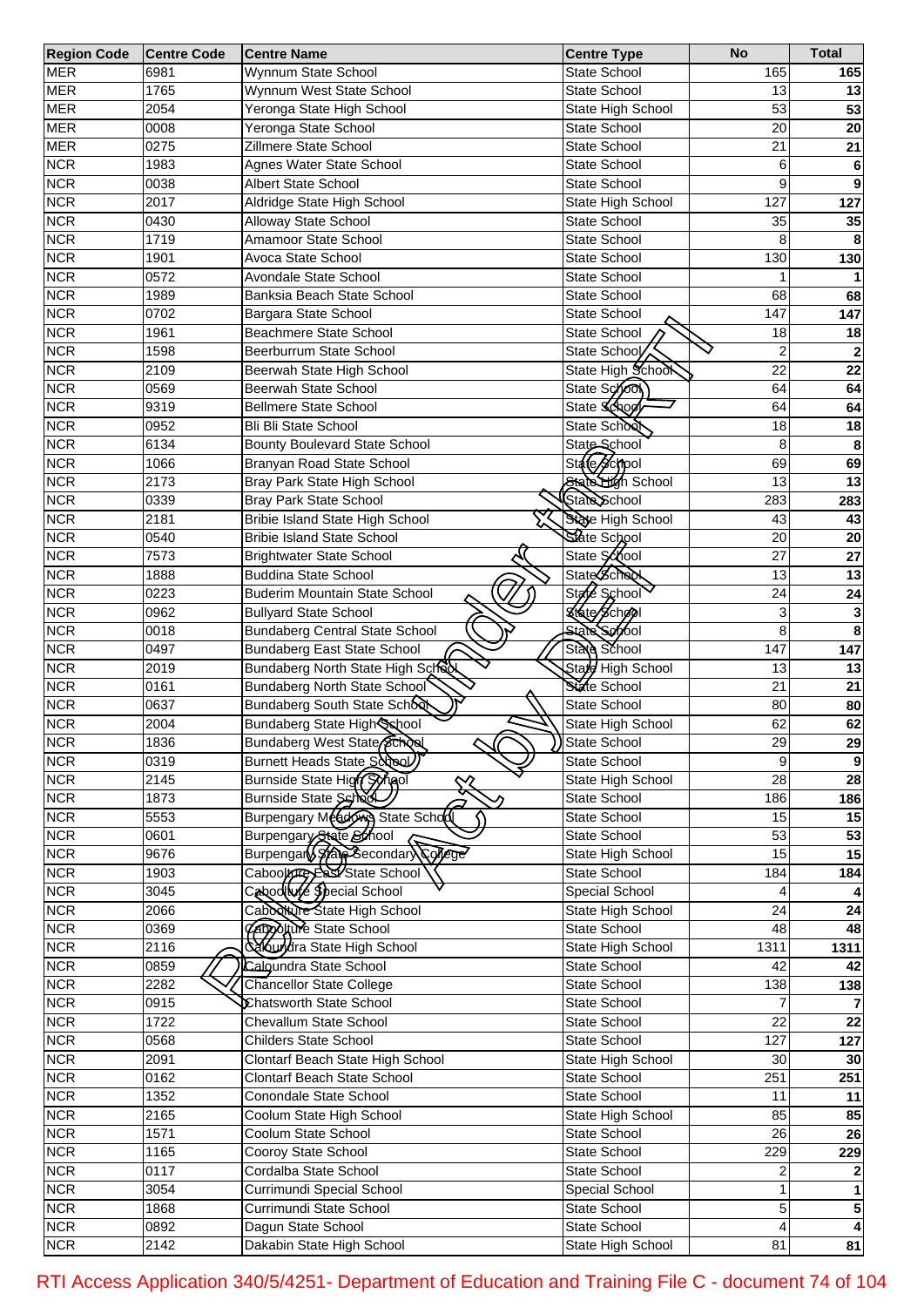| <b>Region Code</b> | <b>Centre Code</b> | <b>Centre Name</b>                     | <b>Centre Type</b>  | <b>No</b>       | <b>Total</b> |
|--------------------|--------------------|----------------------------------------|---------------------|-----------------|--------------|
| <b>MER</b>         | 6981               | Wynnum State School                    | State School        | 165             | 165          |
| <b>MER</b>         | 1765               | Wynnum West State School               | State School        | 13              | 13           |
| <b>MER</b>         | 2054               | Yeronga State High School              | State High School   | 53              | 53           |
| <b>MER</b>         | 0008               | Yeronga State School                   | <b>State School</b> | 20              | 20           |
| <b>MER</b>         | 0275               | Zillmere State School                  | State School        | 21              | 21           |
| <b>NCR</b>         | 1983               | Agnes Water State School               | State School        | 6               | 6            |
| <b>NCR</b>         | 0038               | Albert State School                    | State School        | 9               | 9            |
| <b>NCR</b>         | 2017               | Aldridge State High School             | State High School   | 127             | 127          |
| <b>NCR</b>         | 0430               | Alloway State School                   | <b>State School</b> | 35              | 35           |
| <b>NCR</b>         | 1719               | Amamoor State School                   | <b>State School</b> | 8               |              |
| <b>NCR</b>         | 1901               | Avoca State School                     | <b>State School</b> | 130             | 130          |
|                    | 0572               | Avondale State School                  | State School        |                 |              |
| <b>NCR</b>         |                    |                                        |                     |                 |              |
| <b>NCR</b>         | 1989               | Banksia Beach State School             | State School        | 68              | 68           |
| <b>NCR</b>         | 0702               | Bargara State School                   | State School        | 147             | 147          |
| <b>NCR</b>         | 1961               | Beachmere State School                 | State School        | 18              | 18           |
| <b>NCR</b>         | 1598               | Beerburrum State School                | State School        | $\overline{2}$  |              |
| <b>NCR</b>         | 2109               | Beerwah State High School              | State High School   | $\overline{22}$ | 22           |
| <b>NCR</b>         | 0569               | Beerwah State School                   | State School        | 64              | 64           |
| <b>NCR</b>         | 9319               | <b>Bellmere State School</b>           | State Schoo         | 64              | 64           |
| <b>NCR</b>         | 0952               | <b>Bli Bli State School</b>            | State School        | 18              | 18           |
| <b>NCR</b>         | 6134               | <b>Bounty Boulevard State School</b>   | State School        | 8               | 8            |
| <b>NCR</b>         | 1066               | Branyan Road State School              | State School        | 69              | 69           |
| <b>NCR</b>         | 2173               | Bray Park State High School            | State High School   | 13              | 13           |
| <b>NCR</b>         | 0339               | <b>Bray Park State School</b>          | State School        | 283             | 283          |
| <b>NCR</b>         | 2181               | <b>Bribie Island State High School</b> | State High School   | 43              | 43           |
| <b>NCR</b>         | 0540               | <b>Bribie Island State School</b>      | State School        | 20              | 20           |
| <b>NCR</b>         | 7573               | <b>Brightwater State School</b>        | State School        | 27              | 27           |
| <b>NCR</b>         | 1888               | <b>Buddina State School</b>            | State Scheck        | 13              | 13           |
| <b>NCR</b>         | 0223               | <b>Buderim Mountain State School</b>   | State School        | 24              | 24           |
| <b>NCR</b>         | 0962               | <b>Bullyard State School</b>           | State School        | 3               |              |
| <b>NCR</b>         | 0018               | <b>Bundaberg Central State School</b>  | State School        | 8               | 8            |
| <b>NCR</b>         | 0497               | <b>Bundaberg East State School</b>     | State School        | 147             |              |
|                    |                    |                                        |                     |                 | 147          |
| <b>NCR</b>         | 2019               | Bundaberg North State High School      | Stard High School   | 13              | 13           |
| <b>NCR</b>         | 0161               | Bundaberg North State School           | State School        | 21              | 21           |
| <b>NCR</b>         | 0637               | Bundaberg South State School           | State School        | 80              | 80           |
| <b>NCR</b>         | 2004               | Bundaberg State High School            | State High School   | 62              | 62           |
| <b>NCR</b>         | 1836               | Bundaberg West State<br>υ              | State School        | 29              | 29           |
| <b>NCR</b>         | 0319               | Burnett Heads State School             | State School        | 9               | 9            |
| <b>NCR</b>         | 2145               | Burnside State High Synol<br>╳         | State High School   | $\overline{28}$ | 28           |
| <b>NCR</b>         | 1873               | Burnside State School                  | State School        | 186             | 186          |
| <b>NCR</b>         | 5553               | Burpengary Meadows State School        | State School        | 15              | 15           |
| <b>NCR</b>         | 0601               | Burpengary State School                | State School        | 53              | 53           |
| <b>NCR</b>         | 9676               | Burpengan State Secondary College      | State High School   | 15              | 15           |
| <b>NCR</b>         | 1903               | Cabookhey East State School            | State School        | 184             | 184          |
| <b>NCR</b>         | 3045               | Cabodiure Special School               | Special School      |                 |              |
| <b>NCR</b>         | 2066               | Cabookure State High School            | State High School   | $\overline{24}$ | 24           |
| <b>NCR</b>         | 0369               | <b>CADOCHUTE</b> State School          | State School        | 48              | 48           |
| <b>NCR</b>         | 2116               | calcundra State High School            | State High School   | 1311            | 1311         |
| <b>NCR</b>         | 0859               | Calgundra State School                 | State School        | 42              | 42           |
| <b>NCR</b>         | 2282               | <b>Chancellor State College</b>        | State School        | 138             | 138          |
| <b>NCR</b>         | 0915               | Chatsworth State School                | State School        |                 |              |
| <b>NCR</b>         | 1722               | Chevallum State School                 | State School        | $\overline{22}$ | 22           |
| <b>NCR</b>         | 0568               | <b>Childers State School</b>           | State School        | 127             | 127          |
| <b>NCR</b>         | 2091               | Clontarf Beach State High School       | State High School   | 30              | 30           |
| <b>NCR</b>         | 0162               | Clontarf Beach State School            | State School        | 251             | 251          |
| <b>NCR</b>         | 1352               | Conondale State School                 | State School        | 11              | 11           |
| <b>NCR</b>         | 2165               | Coolum State High School               | State High School   | 85              | 85           |
| <b>NCR</b>         | 1571               | Coolum State School                    | State School        | $\overline{26}$ | 26           |
|                    |                    |                                        |                     |                 |              |
| <b>NCR</b>         | 1165               | Cooroy State School                    | State School        | 229             | 229          |
| <b>NCR</b>         | 0117               | Cordalba State School                  | State School        | 2               |              |
| <b>NCR</b>         | 3054               | Currimundi Special School              | Special School      | 1               | 1            |
| <b>NCR</b>         | 1868               | Currimundi State School                | State School        | 5               | $\sqrt{5}$   |
| <b>NCR</b>         | 0892               | Dagun State School                     | State School        | 4               |              |
| <b>NCR</b>         | $\sqrt{2142}$      | Dakabin State High School              | State High School   | 81              | 81           |

RTI Access Application 340/5/4251- Department of Education and Training File C - document 74 of 104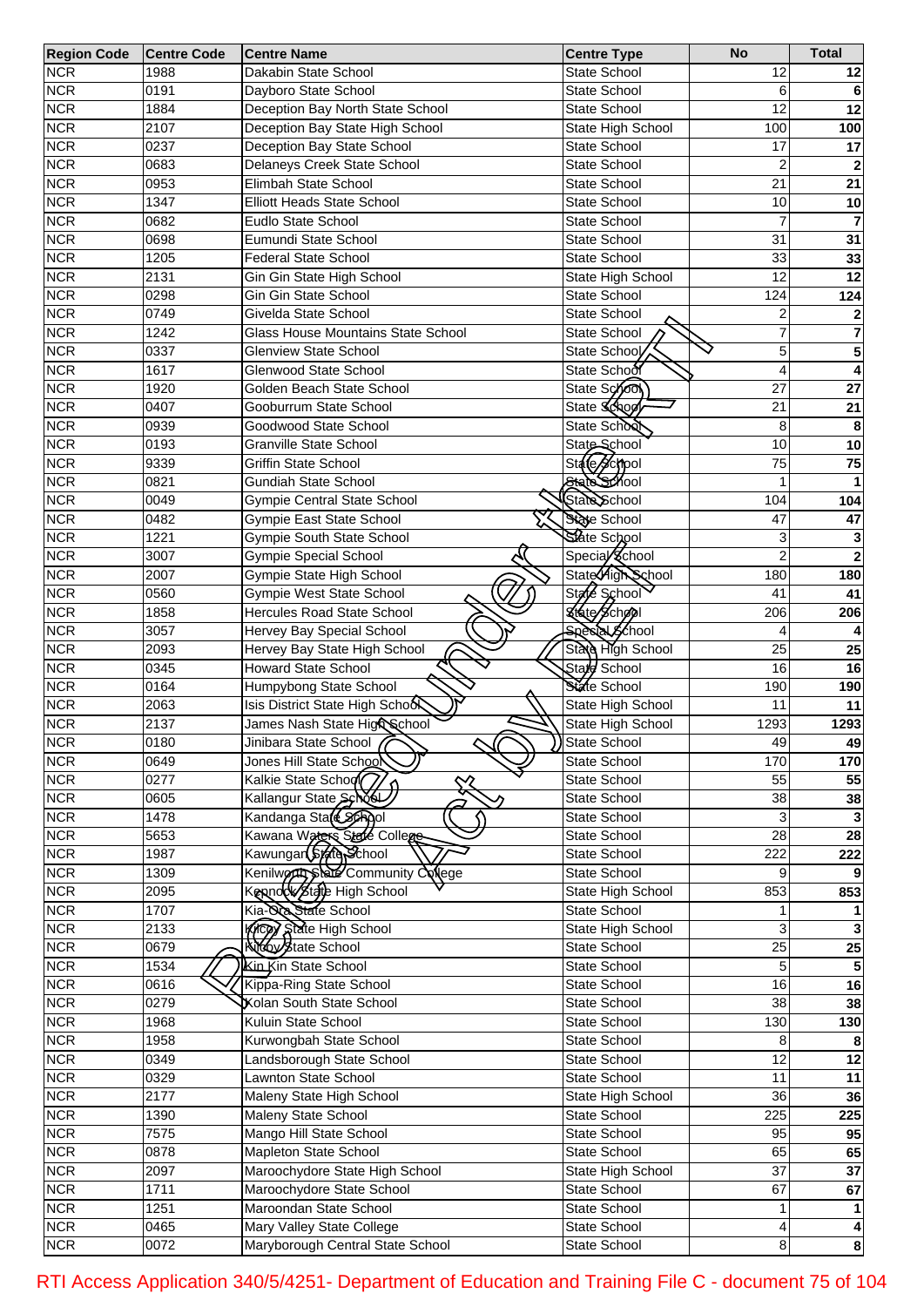| <b>Region Code</b> | <b>Centre Code</b> | <b>Centre Name</b>                              | <b>Centre Type</b>    | <b>No</b>       | <b>Total</b>            |
|--------------------|--------------------|-------------------------------------------------|-----------------------|-----------------|-------------------------|
| <b>NCR</b>         | 1988               | Dakabin State School                            | <b>State School</b>   | 12              | 12                      |
| <b>NCR</b>         | 0191               | Dayboro State School                            | <b>State School</b>   | 6               |                         |
| <b>NCR</b>         | 1884               | Deception Bay North State School                | State School          | 12              | 12                      |
| <b>NCR</b>         | 2107               | Deception Bay State High School                 | State High School     | 100             | 100                     |
| <b>NCR</b>         | 0237               | Deception Bay State School                      | State School          | 17              | 17                      |
| <b>NCR</b>         | 0683               | Delaneys Creek State School                     | <b>State School</b>   | 2               |                         |
| <b>NCR</b>         | 0953               | Elimbah State School                            | <b>State School</b>   | 21              | 21                      |
| <b>NCR</b>         | 1347               | <b>Elliott Heads State School</b>               | <b>State School</b>   | 10              | 10                      |
| <b>NCR</b>         | 0682               | Eudlo State School                              | <b>State School</b>   | 7               |                         |
| <b>NCR</b>         | 0698               | Eumundi State School                            | <b>State School</b>   | 31              | 31                      |
| <b>NCR</b>         | 1205               | <b>Federal State School</b>                     | <b>State School</b>   | 33              | 33                      |
| <b>NCR</b>         | 2131               | Gin Gin State High School                       | State High School     | 12              | 12                      |
|                    |                    |                                                 |                       |                 |                         |
| <b>NCR</b>         | 0298               | Gin Gin State School<br>Givelda State School    | <b>State School</b>   | 124             | 124                     |
| <b>NCR</b>         | 0749               |                                                 | <b>State School</b>   | 2               |                         |
| <b>NCR</b>         | 1242               | <b>Glass House Mountains State School</b>       | State School          | 7               | 7                       |
| <b>NCR</b>         | 0337               | Glenview State School                           | State School          | 5               | 5                       |
| <b>NCR</b>         | 1617               | <b>Glenwood State School</b>                    | State School          | 4               | 4                       |
| <b>NCR</b>         | 1920               | Golden Beach State School                       | State School          | 27              | 27                      |
| <b>NCR</b>         | 0407               | Gooburrum State School                          | State Schoo           | 21              | 21                      |
| <b>NCR</b>         | 0939               | Goodwood State School                           | State School          | 8               | 8                       |
| <b>NCR</b>         | 0193               | <b>Granville State School</b>                   | State School          | 10              | 10                      |
| <b>NCR</b>         | 9339               | <b>Griffin State School</b>                     | State School          | 75              | 75                      |
| <b>NCR</b>         | 0821               | <b>Gundiah State School</b>                     | State School          |                 |                         |
| <b>NCR</b>         | 0049               | Gympie Central State School                     | State School          | 104             | 104                     |
| <b>NCR</b>         | 0482               | Gympie East State School                        | State School          | 47              | 47                      |
| <b>NCR</b>         | 1221               | Gympie South State School                       | State School          | 3               |                         |
| <b>NCR</b>         | 3007               | <b>Gympie Special School</b>                    | Special School        | $\overline{2}$  | $\overline{2}$          |
| <b>NCR</b>         | 2007               | Gympie State High School                        | State High School     | 180             | 180                     |
| <b>NCR</b>         | 0560               | Gympie West State School                        | State School          | 41              | 41                      |
| <b>NCR</b>         | 1858               | Hercules Road State School                      | State School          | 206             | 206                     |
| <b>NCR</b>         | 3057               | Hervey Bay Special School                       | <b>Special School</b> |                 |                         |
| <b>NCR</b>         | 2093               | Hervey Bay State High School                    | State High School     | 25              | 25                      |
| <b>NCR</b>         | 0345               | Howard State School                             | Stale School          | 16              | 16                      |
| <b>NCR</b>         | 0164               | Humpybong State School                          | State School          | 190             | 190                     |
| <b>NCR</b>         | 2063               | Isis District State High School                 | State High School     | 11              | 11                      |
| <b>NCR</b>         | 2137               | James Nash State Hig& School                    | State High School     | 1293            | 1293                    |
| <b>NCR</b>         | 0180               | Jinibara State School (                         | State School          | 49              | 49                      |
| <b>NCR</b>         | 0649               | Jones Hill State School                         | State School          | 170             | 170                     |
| <b>NCR</b>         | 0277               | Kalkie State School                             | State School          | 55              | 55                      |
| <b>NCR</b>         |                    |                                                 |                       | 38              |                         |
|                    | 0605               | Kallangur State School<br>Kandanga State School | State School          |                 | 38                      |
| <b>NCR</b>         | 1478               |                                                 | State School          | 3<br>28         |                         |
| <b>NCR</b>         | 5653               | Kawana Waters State College                     | State School          |                 | $\overline{28}$         |
| <b>NCR</b>         | 1987               | Kawungar(\$tere Fchool                          | State School          | 222             | 222                     |
| <b>NCR</b>         | 1309               | Kenilworth State Community College              | State School          | 9               |                         |
| <b>NCR</b>         | 2095               | Kennock State High School                       | State High School     | 853             | 853                     |
| <b>NCR</b>         | 1707               | Kia-Qa State School                             | State School          |                 |                         |
| <b>NCR</b>         | 2133               | Kicey State High School                         | State High School     | 3               |                         |
| <b>NCR</b>         | 0679               | Kidy State School                               | State School          | $\overline{25}$ | $\overline{25}$         |
| <b>NCR</b>         | 1534               | Kin Kin State School                            | State School          | 5               |                         |
| <b>NCR</b>         | 0616               | <b>Kippa-Ring State School</b>                  | State School          | 16              | 16                      |
| <b>NCR</b>         | 0279               | <b>Xolan South State School</b>                 | State School          | 38              | 38                      |
| <b>NCR</b>         | 1968               | Kuluin State School                             | State School          | 130             | 130                     |
| <b>NCR</b>         | 1958               | Kurwongbah State School                         | State School          | 8               |                         |
| <b>NCR</b>         | 0349               | Landsborough State School                       | State School          | 12              | $\overline{12}$         |
| <b>NCR</b>         | 0329               | Lawnton State School                            | State School          | 11              | 11                      |
| <b>NCR</b>         | 2177               | Maleny State High School                        | State High School     | 36              | 36                      |
| <b>NCR</b>         | 1390               | Maleny State School                             | State School          | 225             | 225                     |
| <b>NCR</b>         | 7575               | Mango Hill State School                         | State School          | 95              | 95                      |
| <b>NCR</b>         | 0878               | Mapleton State School                           | State School          | 65              | 65                      |
| <b>NCR</b>         | 2097               | Maroochydore State High School                  | State High School     | 37              | 37                      |
| <b>NCR</b>         | 1711               | Maroochydore State School                       | State School          | 67              | 67                      |
| <b>NCR</b>         | 1251               | Maroondan State School                          | State School          | 1               |                         |
| <b>NCR</b>         | 0465               | Mary Valley State College                       | State School          | 4               |                         |
| <b>NCR</b>         | 0072               | Maryborough Central State School                | State School          | 8 <sup>1</sup>  | $\overline{\mathbf{8}}$ |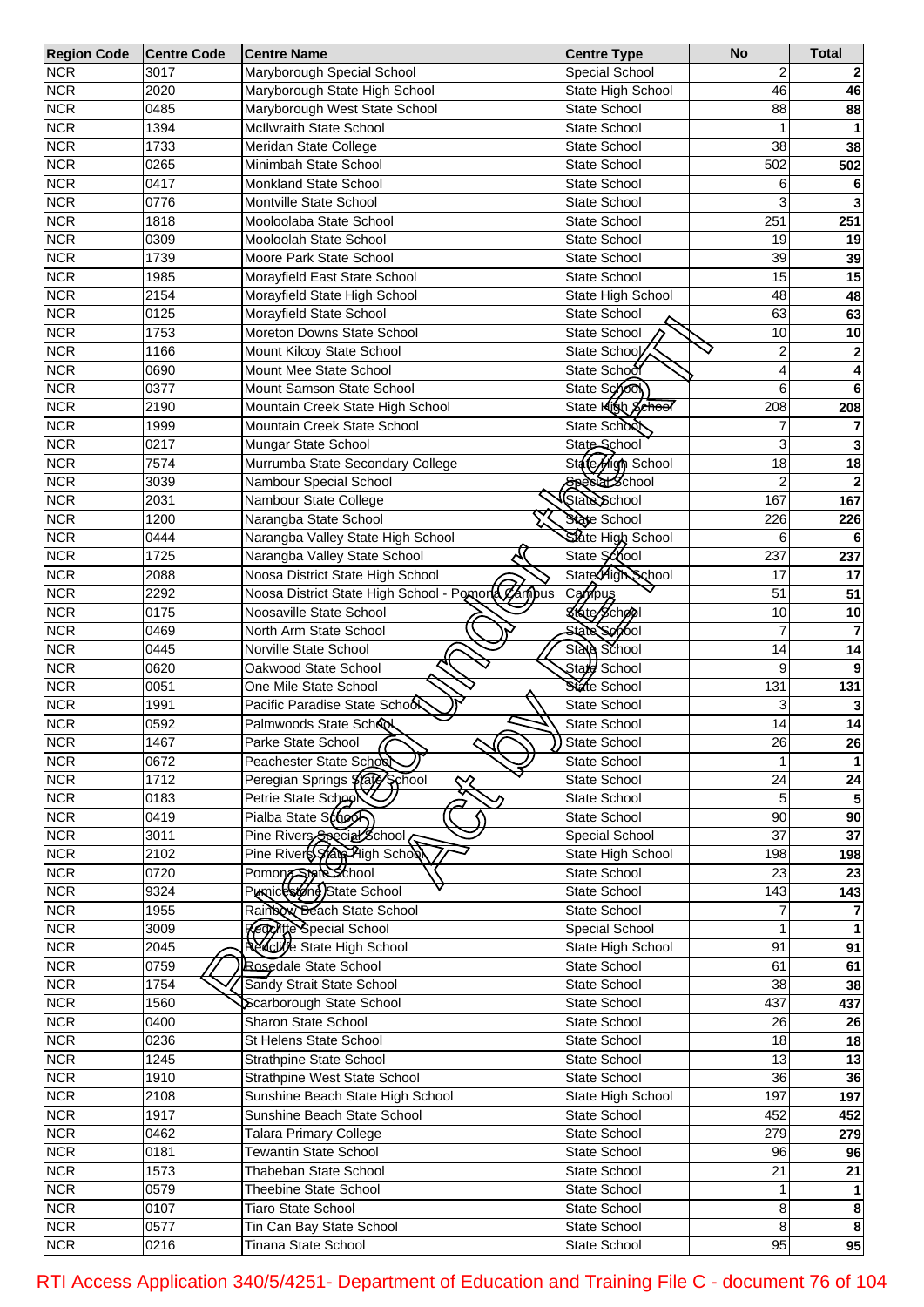| <b>Region Code</b> | <b>Centre Code</b> | <b>Centre Name</b>                               | <b>Centre Type</b>  | <b>No</b>       | <b>Total</b> |
|--------------------|--------------------|--------------------------------------------------|---------------------|-----------------|--------------|
| <b>NCR</b>         | 3017               | Maryborough Special School                       | Special School      | 2               |              |
| <b>NCR</b>         | 2020               | Maryborough State High School                    | State High School   | 46              | 46           |
| <b>NCR</b>         | 0485               | Maryborough West State School                    | State School        | 88              | 88           |
| <b>NCR</b>         | 1394               | McIlwraith State School                          | <b>State School</b> |                 |              |
| <b>NCR</b>         | 1733               | Meridan State College                            | <b>State School</b> | 38              | 38           |
| <b>NCR</b>         | 0265               | Minimbah State School                            | <b>State School</b> | 502             | 502          |
| <b>NCR</b>         | 0417               | <b>Monkland State School</b>                     | <b>State School</b> | 6               |              |
| <b>NCR</b>         | 0776               | Montville State School                           | <b>State School</b> | 3               |              |
| <b>NCR</b>         | 1818               | Mooloolaba State School                          | <b>State School</b> | 251             | 251          |
| <b>NCR</b>         | 0309               | Mooloolah State School                           | <b>State School</b> | 19              | 19           |
| <b>NCR</b>         | 1739               | Moore Park State School                          | State School        | 39              | 39           |
| <b>NCR</b>         | 1985               | Morayfield East State School                     | <b>State School</b> | 15              | 15           |
| <b>NCR</b>         | 2154               | Morayfield State High School                     | State High School   | 48              | 48           |
| <b>NCR</b>         | 0125               | Morayfield State School                          | State School        | 63              | 63           |
| <b>NCR</b>         | 1753               | Moreton Downs State School                       | State School        | 10              | 10           |
| <b>NCR</b>         |                    |                                                  |                     | $\overline{2}$  |              |
|                    | 1166               | Mount Kilcoy State School                        | State School        |                 | $\mathbf{2}$ |
| <b>NCR</b>         | 0690               | Mount Mee State School                           | State School        | 4               | 4            |
| <b>NCR</b>         | 0377               | Mount Samson State School                        | State School        | 6               | 6            |
| <b>NCR</b>         | 2190               | Mountain Creek State High School                 | State Kich School   | 208             | 208          |
| <b>NCR</b>         | 1999               | Mountain Creek State School                      | State School        |                 |              |
| <b>NCR</b>         | 0217               | Mungar State School                              | State School        | 3               |              |
| <b>NCR</b>         | 7574               | Murrumba State Secondary College                 | State High School   | 18              | 18           |
| <b>NCR</b>         | 3039               | Nambour Special School                           | Special School      | $\overline{2}$  |              |
| <b>NCR</b>         | 2031               | Nambour State College                            | State School        | 167             | 167          |
| <b>NCR</b>         | 1200               | Narangba State School                            | State School        | 226             | 226          |
| <b>NCR</b>         | 0444               | Narangba Valley State High School                | State High School   | 6               |              |
| <b>NCR</b>         | 1725               | Narangba Valley State School                     | State School        | 237             | 237          |
| <b>NCR</b>         | 2088               | Noosa District State High School                 | State High School   | 17              | 17           |
| <b>NCR</b>         | 2292               | Noosa District State High School - Porond Cambus | Campus              | 51              | 51           |
| <b>NCR</b>         | 0175               | Noosaville State School                          | &fate Bchool        | 10              | 10           |
| <b>NCR</b>         | 0469               | North Arm State School                           | state School        | 7               |              |
| <b>NCR</b>         | 0445               | Norville State School                            | State School        | 14              | 14           |
| <b>NCR</b>         | 0620               | Oakwood State School                             | State School        | 9               |              |
| <b>NCR</b>         | 0051               | One Mile State School                            | State School        | 131             | 131          |
| <b>NCR</b>         | 1991               | Pacific Paradise State School                    | <b>State School</b> |                 |              |
| <b>NCR</b>         | 0592               | Palmwoods State School                           | State School        | 14              | 14           |
| <b>NCR</b>         | 1467               | Parke State School                               | State School        | 26              | 26           |
| <b>NCR</b>         | 0672               | Peachester State School                          | State School        |                 |              |
| <b>NCR</b>         | 1712               | Peregian Springs \$1814 Pchool                   | State School        | 24              | 24           |
| <b>NCR</b>         | 0183               | Petrie State School                              | State School        | 5               |              |
| <b>NCR</b>         | 0419               | Pialba State Schoon                              | State School        | 90              | 90           |
| <b>NCR</b>         | 3011               | Pine Rivers Special School                       | Special School      | $\overline{37}$ | 37           |
| <b>NCR</b>         | 2102               | Pine River(Syan Pligh School                     | State High School   | 198             | 198          |
| <b>NCR</b>         | 0720               | Pomong State School                              | State School        | 23              | 23           |
| <b>NCR</b>         | 9324               | Purnices/one)State School                        | State School        | 143             | 143          |
| <b>NCR</b>         | 1955               | Rainbow Beach State School                       | State School        |                 |              |
| <b>NCR</b>         | 3009               | <b>Regulate Special School</b>                   | Special School      |                 |              |
| <b>NCR</b>         | 2045               | <b>Reacliffe State High School</b>               | State High School   | 91              | 91           |
| <b>NCR</b>         | 0759               | Rosedale State School                            |                     | 61              | 61           |
| <b>NCR</b>         | 1754               | Sandy Strait State School                        | State School        | 38              |              |
|                    |                    |                                                  | State School        |                 | 38           |
| <b>NCR</b>         | 1560               | Scarborough State School                         | State School        | 437             | 437          |
| <b>NCR</b>         | 0400               | Sharon State School                              | State School        | 26              | 26           |
| <b>NCR</b>         | 0236               | St Helens State School                           | State School        | 18              | 18           |
| <b>NCR</b>         | 1245               | Strathpine State School                          | State School        | 13              | 13           |
| <b>NCR</b>         | 1910               | Strathpine West State School                     | State School        | 36              | 36           |
| <b>NCR</b>         | 2108               | Sunshine Beach State High School                 | State High School   | 197             | 197          |
| <b>NCR</b>         | 1917               | Sunshine Beach State School                      | State School        | 452             | 452          |
| <b>NCR</b>         | 0462               | <b>Talara Primary College</b>                    | State School        | 279             | 279          |
| <b>NCR</b>         | 0181               | <b>Tewantin State School</b>                     | State School        | 96              | 96           |
| <b>NCR</b>         | 1573               | Thabeban State School                            | State School        | 21              | 21           |
| <b>NCR</b>         | 0579               | Theebine State School                            | State School        |                 |              |
| <b>NCR</b>         | 0107               | <b>Tiaro State School</b>                        | State School        | 8               | 8            |
| <b>NCR</b>         | 0577               | Tin Can Bay State School                         | State School        | 8               | 8            |
| <b>NCR</b>         | 0216               | Tinana State School                              | State School        | 95              | 95           |

RTI Access Application 340/5/4251- Department of Education and Training File C - document 76 of 104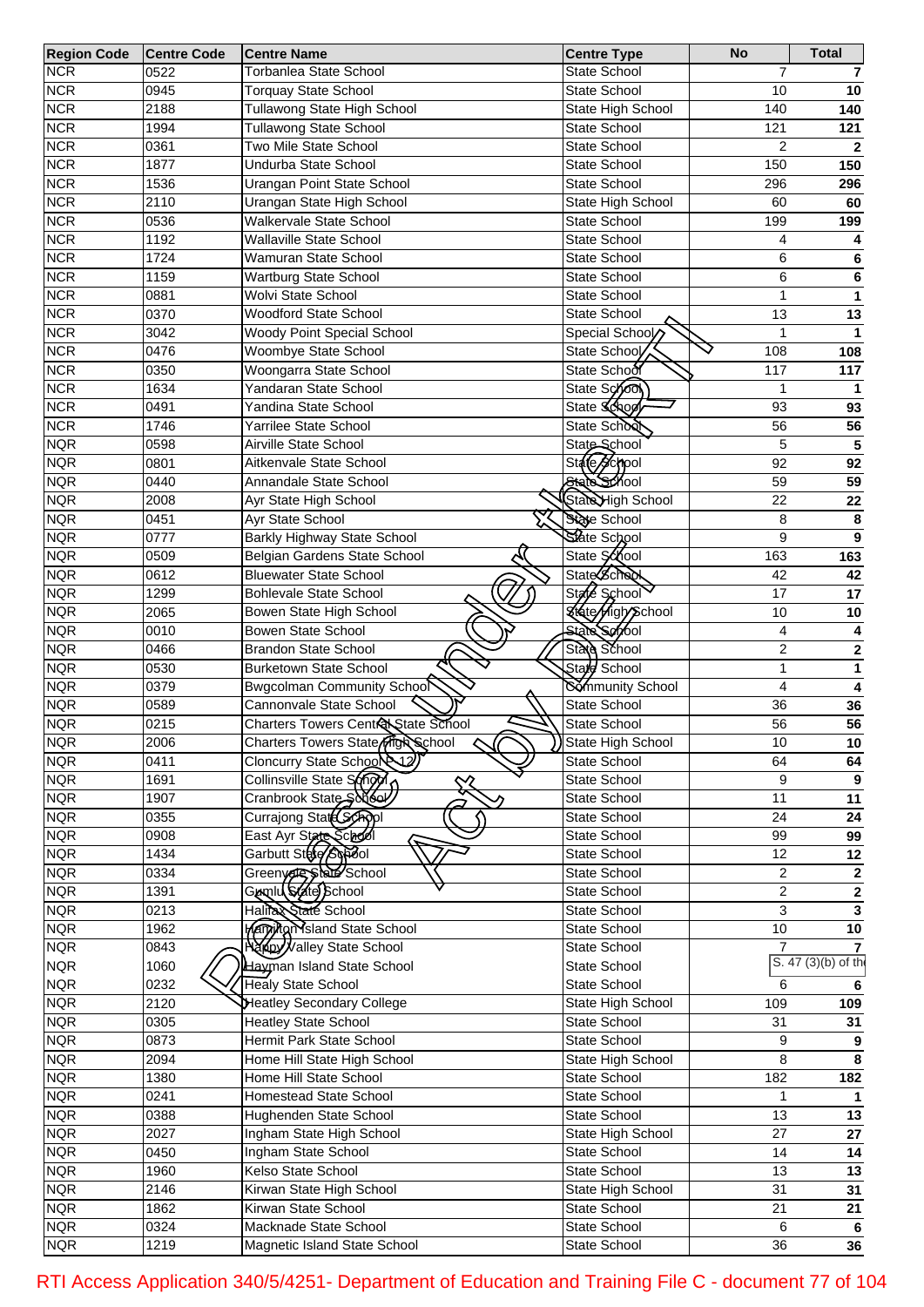| <b>Region Code</b> | <b>Centre Code</b> | <b>Centre Name</b>                           | <b>Centre Type</b>       | <b>No</b>       | <b>Total</b>                     |
|--------------------|--------------------|----------------------------------------------|--------------------------|-----------------|----------------------------------|
| <b>NCR</b>         | 0522               | Torbanlea State School                       | State School             | $\overline{7}$  |                                  |
| <b>NCR</b>         | 0945               | <b>Torquay State School</b>                  | <b>State School</b>      | 10              | 10                               |
| <b>NCR</b>         | 2188               | Tullawong State High School                  | State High School        | 140             | 140                              |
| <b>NCR</b>         | 1994               | <b>Tullawong State School</b>                | <b>State School</b>      | 121             | 121                              |
| <b>NCR</b>         | 0361               | Two Mile State School                        | <b>State School</b>      | $\overline{2}$  | $\mathbf{2}$                     |
| <b>NCR</b>         | 1877               | Undurba State School                         | <b>State School</b>      | 150             | 150                              |
| <b>NCR</b>         | 1536               | Urangan Point State School                   | <b>State School</b>      | 296             | 296                              |
| <b>NCR</b>         | 2110               | Urangan State High School                    | State High School        | 60              | 60                               |
| <b>NCR</b>         | 0536               | Walkervale State School                      | State School             | 199             | 199                              |
| <b>NCR</b>         | 1192               | Wallaville State School                      | <b>State School</b>      | 4               |                                  |
| <b>NCR</b>         | 1724               | Wamuran State School                         | <b>State School</b>      | 6               | 6                                |
| <b>NCR</b>         | 1159               | Wartburg State School                        | State School             | 6               | 6                                |
| <b>NCR</b>         | 0881               | Wolvi State School                           | <b>State School</b>      | $\mathbf{1}$    | 1                                |
| <b>NCR</b>         | 0370               | <b>Woodford State School</b>                 | State School             | 13              | 13                               |
| <b>NCR</b>         | 3042               | <b>Woody Point Special School</b>            | Special School           | $\mathbf{1}$    |                                  |
| <b>NCR</b>         | 0476               | Woombye State School                         | State School             | 108             | 108                              |
| <b>NCR</b>         | 0350               | Woongarra State School                       | State School             | 117             | 117                              |
| <b>NCR</b>         | 1634               | Yandaran State School                        | State Sono               | 1               | 1                                |
| <b>NCR</b>         | 0491               | Yandina State School                         | State School             | 93              | 93                               |
| <b>NCR</b>         | 1746               | Yarrilee State School                        | State School             | 56              | 56                               |
| <b>NQR</b>         | 0598               | Airville State School                        | State School             | 5               | 5                                |
| <b>NQR</b>         | 0801               | Aitkenvale State School                      | State School             | $\overline{92}$ | 92                               |
| <b>NQR</b>         | 0440               | Annandale State School                       | State School             | 59              | 59                               |
| <b>NQR</b>         | 2008               | Ayr State High School                        | State High School        | 22              | 22                               |
| <b>NQR</b>         | 0451               | Ayr State School                             | State School             | 8               | 8                                |
| <b>NQR</b>         | 0777               | Barkly Highway State School                  | State School             | 9               | 9                                |
| <b>NQR</b>         | 0509               | Belgian Gardens State School                 | State School             | 163             | 163                              |
| <b>NQR</b>         | 0612               | <b>Bluewater State School</b>                | State School             | 42              | 42                               |
| <b>NQR</b>         | 1299               | <b>Bohlevale State School</b>                | State School             | $\overline{17}$ | 17                               |
| <b>NQR</b>         | 2065               | Bowen State High School                      | <b>State High School</b> | 10              | 10                               |
| <b>NQR</b>         | 0010               | <b>Bowen State School</b>                    | <b>State Servool</b>     | 4               |                                  |
| <b>NQR</b>         | 0466               | <b>Brandon State School</b>                  | State School             | $\overline{c}$  | 2                                |
| <b>NQR</b>         | 0530               | <b>Burketown State School</b>                | State School             | $\mathbf{1}$    | 1                                |
| <b>NQR</b>         | 0379               | Bwgcolman Community School                   | Sommunity School         | 4               |                                  |
| <b>NQR</b>         | 0589               | Cannonvale State School                      | State School             | 36              | 36                               |
| <b>NQR</b>         | 0215               | Charters Towers Central State School         | State School             | 56              | 56                               |
| <b>NQR</b>         | 2006               | Charters Towers State High School            | ) State High School      | 10              | 10                               |
| <b>NQR</b>         | 0411               | Cloncurry State Schoole 12                   | State School             | 64              | 64                               |
| <b>NQR</b>         | 1691               | Collinsville State SONOO                     | State School             | 9               | 9                                |
| <b>NQR</b>         | 1907               | ╳<br>Cranbrook State Solder                  | <b>State School</b>      | $\overline{11}$ | $\overline{11}$                  |
| <b>NQR</b>         | 0355               | Currajong State Schopl                       | State School             | 24              | 24                               |
| <b>NQR</b>         | 0908               |                                              | State School             | 99              | 99                               |
| <b>NQR</b>         | 1434               | East Ayr State School<br>Í                   | State School             | $\overline{12}$ | $\overline{12}$                  |
| <b>NQR</b>         | 0334               |                                              | State School             | $\overline{2}$  |                                  |
| <b>NQR</b>         | 1391               | Greeny of State School<br>Gumlu State School | State School             | $\overline{c}$  | $\overline{2}$<br>$\overline{2}$ |
| <b>NQR</b>         |                    | Halila State School                          |                          | 3               | $\overline{\mathbf{3}}$          |
|                    | 0213               |                                              | State School             |                 |                                  |
| <b>NQR</b>         | 1962               | <b>Margikan Sland State School</b>           | State School             | 10              | 10                               |
| <b>NQR</b>         | 0843               | Napy Valley State School                     | State School             | $\overline{7}$  | S. 47 (3)(b) of the              |
| <b>NQR</b>         | 1060               | Hayman Island State School                   | State School             |                 |                                  |
| <b>NQR</b>         | 0232               | <b>Healy State School</b>                    | State School             | 6               | 6                                |
| <b>NQR</b>         | 2120               | <b>Heatley Secondary College</b>             | State High School        | 109             | 109                              |
| <b>NQR</b>         | 0305               | <b>Heatley State School</b>                  | State School             | 31              | $\overline{31}$                  |
| <b>NQR</b>         | 0873               | Hermit Park State School                     | State School             | 9               | $\boldsymbol{9}$                 |
| <b>NQR</b>         | 2094               | Home Hill State High School                  | State High School        | 8               | $\overline{\mathbf{8}}$          |
| <b>NQR</b>         | 1380               | Home Hill State School                       | State School             | 182             | $\overline{182}$                 |
| <b>NQR</b>         | 0241               | Homestead State School                       | State School             | $\mathbf{1}$    | $\mathbf{1}$                     |
| <b>NQR</b>         | 0388               | Hughenden State School                       | State School             | 13              | $\overline{13}$                  |
| <b>NQR</b>         | 2027               | Ingham State High School                     | State High School        | 27              | $\overline{27}$                  |
| <b>NQR</b>         | 0450               | Ingham State School                          | State School             | 14              | 14                               |
| <b>NQR</b>         | 1960               | Kelso State School                           | State School             | 13              | $\overline{13}$                  |
| <b>NQR</b>         | 2146               | Kirwan State High School                     | State High School        | 31              | 31                               |
| <b>NQR</b>         | 1862               | Kirwan State School                          | State School             | 21              | $\overline{21}$                  |
| <b>NQR</b>         | 0324               | Macknade State School                        | State School             | 6               | 6                                |
| <b>NQR</b>         | 1219               | Magnetic Island State School                 | State School             | $\overline{36}$ | $\overline{36}$                  |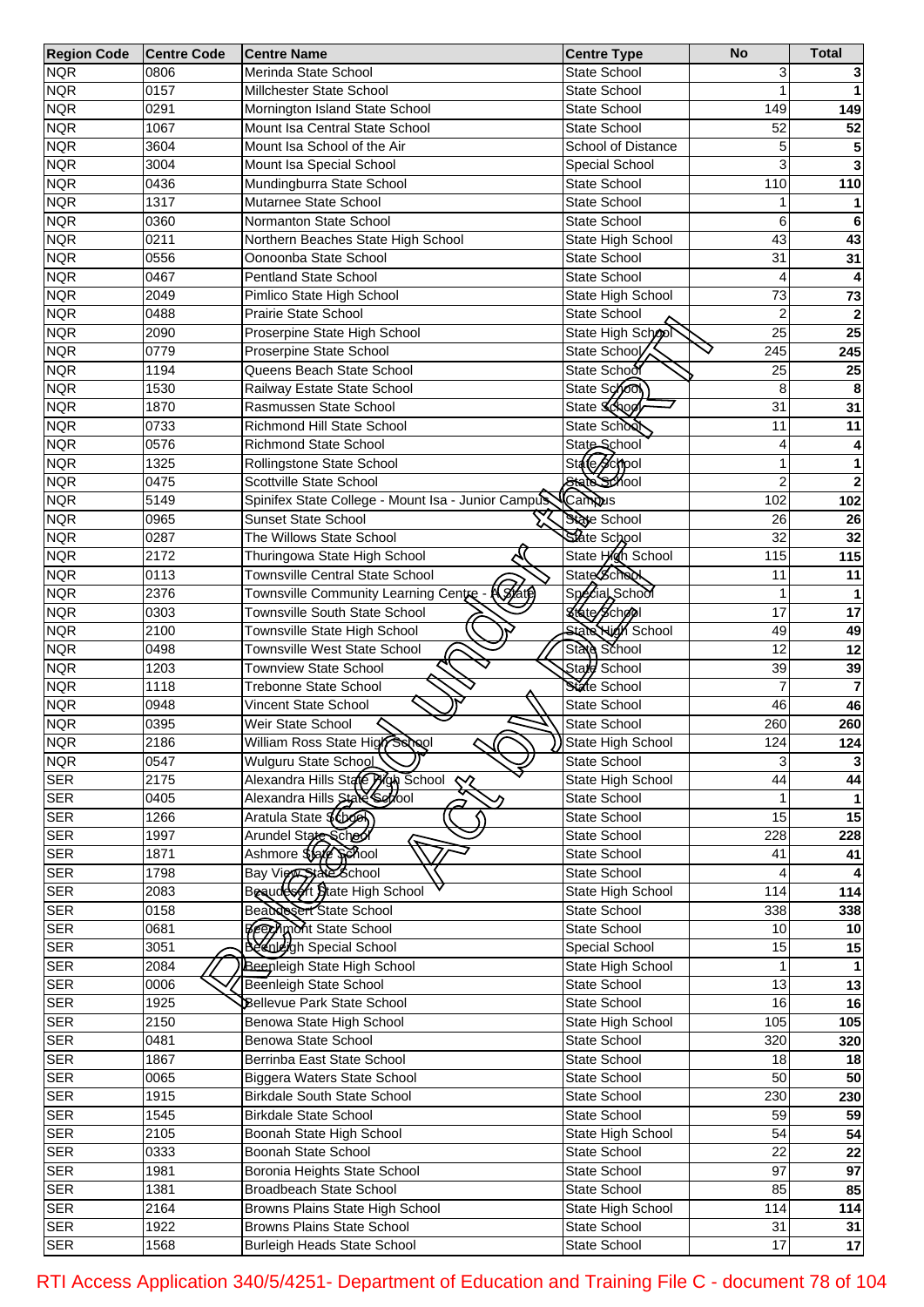| <b>Region Code</b> | <b>Centre Code</b> | Centre Name                                          | <b>Centre Type</b>       | <b>No</b>       | <b>Total</b>    |
|--------------------|--------------------|------------------------------------------------------|--------------------------|-----------------|-----------------|
| <b>NQR</b>         | 0806               | Merinda State School                                 | <b>State School</b>      | 3               |                 |
| <b>NQR</b>         | 0157               | Millchester State School                             | <b>State School</b>      |                 |                 |
| <b>NQR</b>         | 0291               | Mornington Island State School                       | <b>State School</b>      | 149             | 149             |
| <b>NQR</b>         | 1067               | Mount Isa Central State School                       | <b>State School</b>      | 52              | 52              |
| <b>NQR</b>         | 3604               | Mount Isa School of the Air                          | School of Distance       | 5               |                 |
| <b>NQR</b>         | 3004               | Mount Isa Special School                             | Special School           | 3               |                 |
| <b>NQR</b>         | 0436               | Mundingburra State School                            | <b>State School</b>      | 110             | 110             |
| <b>NQR</b>         | 1317               | Mutarnee State School                                | <b>State School</b>      |                 |                 |
| <b>NQR</b>         | 0360               | Normanton State School                               | <b>State School</b>      | 6               | 6               |
| <b>NQR</b>         | 0211               | Northern Beaches State High School                   | State High School        | 43              | 43              |
| <b>NQR</b>         | 0556               | Oonoonba State School                                | State School             | 31              | 31              |
| <b>NQR</b>         | 0467               | <b>Pentland State School</b>                         | <b>State School</b>      | 4               |                 |
| <b>NQR</b>         | 2049               | Pimlico State High School                            | State High School        | 73              | 73              |
| <b>NQR</b>         | 0488               | Prairie State School                                 | State School             | $\overline{2}$  | $\overline{2}$  |
| <b>NQR</b>         | 2090               | Proserpine State High School                         | State High School        | $\overline{25}$ | $\overline{25}$ |
| <b>NQR</b>         | 0779               | Proserpine State School                              | State School             | 245             | 245             |
| <b>NQR</b>         | 1194               | Queens Beach State School                            | State School             | 25              | 25              |
| <b>NQR</b>         | 1530               | Railway Estate State School                          | State School             | 8               | 8               |
| <b>NQR</b>         | 1870               | Rasmussen State School                               | State School             | 31              | 31              |
| <b>NQR</b>         | 0733               | Richmond Hill State School                           | State School             | 11              | 11              |
| <b>NQR</b>         | 0576               | <b>Richmond State School</b>                         | State School             | 4               |                 |
| <b>NQR</b>         | 1325               | Rollingstone State School                            | State School             | 1               | 1               |
| <b>NQR</b>         | 0475               | Scottville State School                              | State School             | $\overline{2}$  | $\mathbf{2}$    |
| <b>NQR</b>         | 5149               | Spinifex State College - Mount Isa - Junior Campus   | Campus                   | 102             | 102             |
| <b>NQR</b>         | 0965               | <b>Sunset State School</b>                           | State School             | 26              | 26              |
| <b>NQR</b>         | 0287               | The Willows State School                             | State School             | $\overline{32}$ | 32              |
| <b>NQR</b>         | 2172               | Thuringowa State High School                         | State High School        | 115             | 115             |
| <b>NQR</b>         | 0113               | Townsville Central State School                      | State School             | 11              | 11              |
|                    | 2376               | Townsville Community Learning Centre - (SAfe)        | Special School           | 1               |                 |
| <b>NQR</b>         |                    |                                                      |                          |                 |                 |
| <b>NQR</b>         | 0303               | Townsville South State School                        | State School             | 17              | 17              |
| <b>NQR</b>         | 2100               | Townsville State High School                         | <b>State High School</b> | 49              | 49              |
| <b>NQR</b>         | 0498               | <b>Townsville West State School</b>                  | State School             | $\overline{12}$ | 12              |
| <b>NQR</b>         | 1203               | <b>Townview State School</b>                         | Stard School             | 39              | 39              |
| <b>NQR</b>         | 1118               | <b>Trebonne State School</b>                         | State School             | 7               | $\overline{7}$  |
| <b>NQR</b>         | 0948               | Vincent State School                                 | State School             | 46              | 46              |
| <b>NQR</b>         | 0395               | Weir State School                                    | State School             | 260             | 260             |
| <b>NQR</b>         | 2186               | William Ross State High School                       | State High School        | 124             | 124             |
| <b>NQR</b>         | 0547               | Wulguru State School                                 | State School             | 3               |                 |
| <b>SER</b>         | 2175               | Alexandra Hills State Pign School<br>╳               | State High School        | 44              | 44              |
| <b>SER</b>         | 0405               | Alexandra Hills State Section                        | State School             |                 |                 |
| <b>SER</b>         | 1266               | Aratula State \$ (book)                              | State School             | 15              | 15              |
| <b>SER</b>         | 1997               | Arundel State School<br>Ļ                            | State School             | 228             | 228             |
| <b>SER</b>         | 1871               | Ashmore \$\$afe Sphool                               | State School             | 41              | 41              |
| <b>SER</b>         | 1798               | Bay View Side School<br>Beaudes of Diate High School | <b>State School</b>      |                 |                 |
| <b>SER</b>         | 2083               |                                                      | State High School        | 114             | 114             |
| <b>SER</b>         | 0158               | Beaudesert State School                              | State School             | 338             | 338             |
| <b>SER</b>         | 0681               | <b>Beechmont State School</b>                        | State School             | 10              | 10              |
| <b>SER</b>         | 3051               | Beculeigh Special School                             | Special School           | 15              | 15              |
| <b>SER</b>         | 2084               | <b>Beenleigh State High School</b>                   | State High School        |                 |                 |
| <b>SER</b>         | 0006               | <b>Beenleigh State School</b>                        | State School             | $\overline{13}$ | 13              |
| <b>SER</b>         | 1925               | Bellevue Park State School                           | State School             | 16              | 16              |
| <b>SER</b>         | 2150               | Benowa State High School                             | State High School        | 105             | 105             |
| <b>SER</b>         | 0481               | Benowa State School                                  | State School             | 320             | 320             |
| <b>SER</b>         | 1867               | Berrinba East State School                           | State School             | 18              | 18              |
| <b>SER</b>         | 0065               | Biggera Waters State School                          | State School             | 50              | $\overline{50}$ |
| <b>SER</b>         | 1915               | <b>Birkdale South State School</b>                   | State School             | 230             | 230             |
| <b>SER</b>         | 1545               | <b>Birkdale State School</b>                         | State School             | 59              | 59              |
| <b>SER</b>         | 2105               | Boonah State High School                             | State High School        | 54              | 54              |
| <b>SER</b>         | 0333               | Boonah State School                                  | State School             | $\overline{22}$ | $\overline{22}$ |
| <b>SER</b>         | 1981               | Boronia Heights State School                         | State School             | 97              | 97              |
| <b>SER</b>         | 1381               | Broadbeach State School                              | State School             | 85              | 85              |
| <b>SER</b>         | 2164               | Browns Plains State High School                      | State High School        | 114             | 114             |
| <b>SER</b>         | 1922               | <b>Browns Plains State School</b>                    | State School             | 31              | 31              |
| <b>SER</b>         | 1568               | <b>Burleigh Heads State School</b>                   | State School             | $\overline{17}$ | $\overline{17}$ |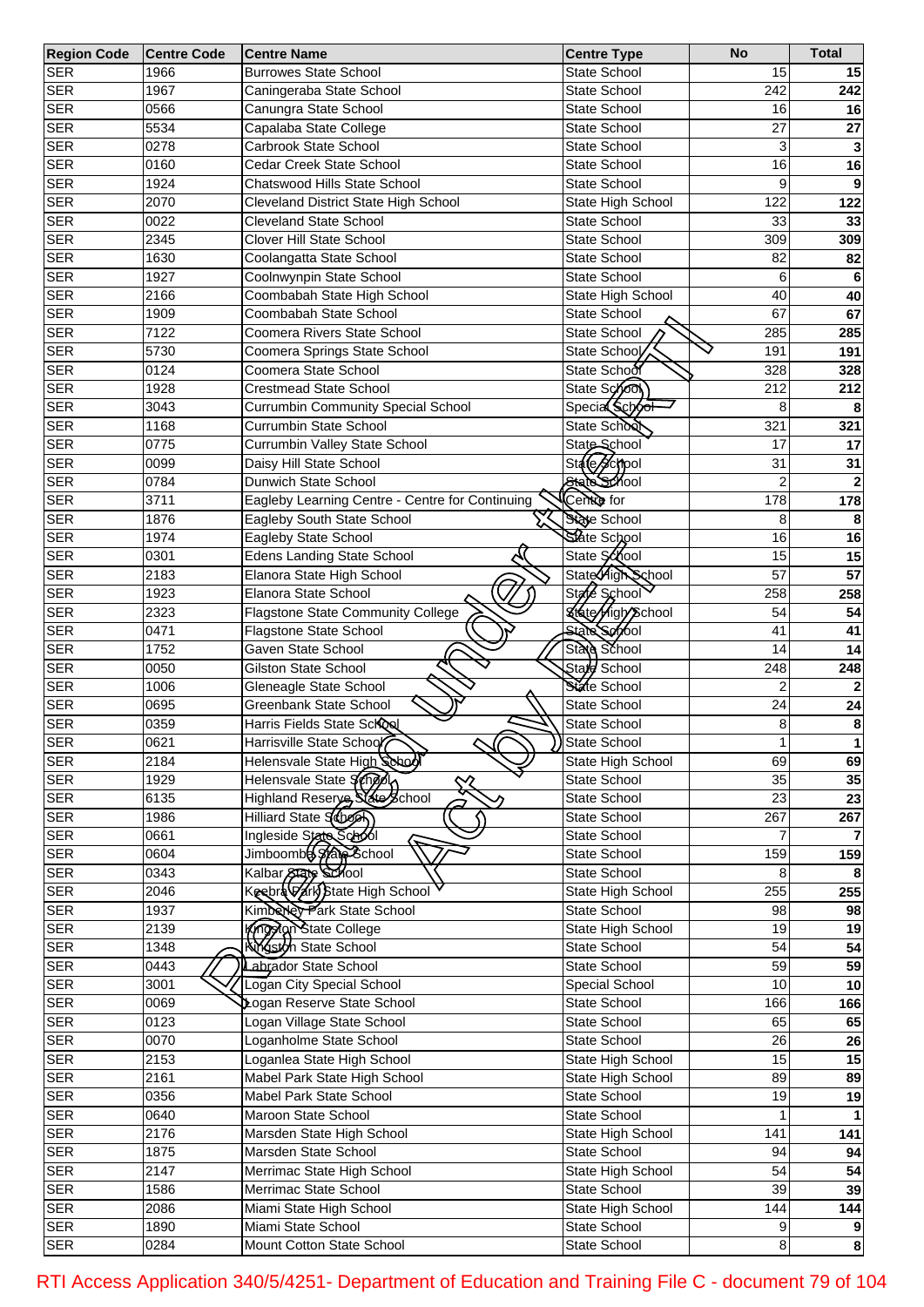| <b>Region Code</b> | <b>Centre Code</b> | <b>Centre Name</b>                                | <b>Centre Type</b>       | <b>No</b>        | <b>Total</b>            |
|--------------------|--------------------|---------------------------------------------------|--------------------------|------------------|-------------------------|
| <b>SER</b>         | 1966               | <b>Burrowes State School</b>                      | <b>State School</b>      | 15               | 15                      |
| <b>SER</b>         | 1967               | Caningeraba State School                          | State School             | 242              | 242                     |
| <b>SER</b>         | 0566               | Canungra State School                             | State School             | 16               | 16                      |
| <b>SER</b>         | 5534               | Capalaba State College                            | <b>State School</b>      | 27               | 27                      |
| <b>SER</b>         | 0278               | Carbrook State School                             | State School             | 3                |                         |
| <b>SER</b>         | 0160               | Cedar Creek State School                          | State School             | 16               | 16                      |
| <b>SER</b>         | 1924               | Chatswood Hills State School                      | <b>State School</b>      | 9                |                         |
| <b>SER</b>         | 2070               | <b>Cleveland District State High School</b>       | State High School        | $12\overline{2}$ | 122                     |
| <b>SER</b>         | 0022               | <b>Cleveland State School</b>                     | State School             | 33               | 33                      |
| <b>SER</b>         | 2345               | <b>Clover Hill State School</b>                   | <b>State School</b>      | 309              | 309                     |
| <b>SER</b>         | 1630               | Coolangatta State School                          | State School             | 82               | 82                      |
|                    |                    |                                                   |                          |                  |                         |
| <b>SER</b>         | 1927               | Coolnwynpin State School                          | <b>State School</b>      | 6                |                         |
| <b>SER</b>         | 2166               | Coombabah State High School                       | State High School        | 40               | 40                      |
| <b>SER</b>         | 1909               | Coombabah State School                            | State School             | 67               | 67                      |
| <b>SER</b>         | 7122               | Coomera Rivers State School                       | State School             | 285              | 285                     |
| <b>SER</b>         | 5730               | Coomera Springs State School                      | State School             | 191              | 191                     |
| <b>SER</b>         | 0124               | Coomera State School                              | State School             | 328              | 328                     |
| <b>SER</b>         | 1928               | <b>Crestmead State School</b>                     | State School             | 212              | 212                     |
| <b>SER</b>         | 3043               | <b>Currumbin Community Special School</b>         | Special School           | 8                |                         |
| <b>SER</b>         | 1168               | Currumbin State School                            | State School             | 321              | 321                     |
| <b>SER</b>         | 0775               | Currumbin Valley State School                     | State School             | 17               | 17                      |
| <b>SER</b>         | 0099               | Daisy Hill State School                           | State School             | 31               | 31                      |
| <b>SER</b>         | 0784               | Dunwich State School                              | State School             | $\overline{2}$   |                         |
| <b>SER</b>         | 3711               | Eagleby Learning Centre - Centre for Continuing   | Centre for               | 178              | 178                     |
| <b>SER</b>         | 1876               | Eagleby South State School                        | State School             | 8                |                         |
| <b>SER</b>         | 1974               | Eagleby State School                              | State School             | 16               | 16                      |
| <b>SER</b>         | 0301               | <b>Edens Landing State School</b>                 | State School             | 15               | 15                      |
| <b>SER</b>         | 2183               | Elanora State High School                         | State High School        | 57               | 57                      |
| <b>SER</b>         | 1923               | Elanora State School                              | State School             | 258              | 258                     |
| <b>SER</b>         | 2323               | Flagstone State Community College                 | <b>State High School</b> | 54               | 54                      |
|                    |                    |                                                   | State Serool             | 41               |                         |
| <b>SER</b>         | 0471               | Flagstone State School                            |                          |                  | 41                      |
| <b>SER</b>         | 1752               | Gaven State School                                | State School             | 14               | 14                      |
| <b>SER</b>         | 0050               | <b>Gilston State School</b>                       | State School             | 248              | 248                     |
| <b>SER</b>         | 1006               | Gleneagle State School                            | State School             | $\overline{2}$   |                         |
| <b>SER</b>         | 0695               | Greenbank State School                            | State School             | 24               | 24                      |
| <b>SER</b>         | 0359               | Harris Fields State School                        | State School             | 8                | $\bf8$                  |
| <b>SER</b>         | 0621               | Harrisville State School                          | State School             |                  | $\mathbf{1}$            |
| <b>SER</b>         | 2184               | Helensvale State High School                      | State High School        | 69               | 69                      |
| <b>SER</b>         | 1929               | Helensvale State School<br>╳                      | State School             | 35               | 35                      |
| <b>SER</b>         | 6135               | Highland Reserye, State School                    | State School             | 23               | 23                      |
| <b>SER</b>         | 1986               | Hilliard State Schoon                             | State School             | 267              | 267                     |
| <b>SER</b>         | 0661               | Ingleside State Sabol<br>$\overline{\mathcal{F}}$ | State School             |                  |                         |
| <b>SER</b>         | 0604               | Jimboombe State School                            | State School             | 159              | 159                     |
| <b>SER</b>         | 0343               | Kalbar State School                               | State School             | 8                |                         |
| <b>SER</b>         | 2046               | Keebra Vark Btate High School                     | State High School        | 255              | 255                     |
| <b>SER</b>         | 1937               | Kimberley Park State School                       | State School             | 98               | 98                      |
| <b>SER</b>         | 2139               | Kingstan State College                            | State High School        | 19               | 19                      |
| <b>SER</b>         | 1348               | <b>Kingston State School</b>                      | State School             | 54               | 54                      |
| <b>SER</b>         | 0443               | Labrador State School                             | State School             | 59               | 59                      |
| <b>SER</b>         | $\overline{300}$ 1 | Logan City Special School                         | Special School           | 10               | 10                      |
| <b>SER</b>         | 0069               | Logan Reserve State School                        | State School             | 166              | 166                     |
| <b>SER</b>         | 0123               | Logan Village State School                        | State School             | 65               | 65                      |
| <b>SER</b>         | 0070               | Loganholme State School                           | State School             | $\overline{26}$  | 26                      |
| <b>SER</b>         | 2153               | Loganlea State High School                        | State High School        | 15               | 15                      |
| <b>SER</b>         | 2161               |                                                   |                          |                  |                         |
|                    |                    | Mabel Park State High School                      | State High School        | 89               | 89                      |
| <b>SER</b>         | 0356               | Mabel Park State School                           | State School             | 19               | 19                      |
| <b>SER</b>         | 0640               | Maroon State School                               | State School             |                  |                         |
| <b>SER</b>         | 2176               | Marsden State High School                         | State High School        | 141              | 141                     |
| <b>SER</b>         | 1875               | Marsden State School                              | State School             | 94               | 94                      |
| <b>SER</b>         | 2147               | Merrimac State High School                        | State High School        | 54               | 54                      |
| <b>SER</b>         | 1586               | Merrimac State School                             | State School             | 39               | 39                      |
| <b>SER</b>         | 2086               | Miami State High School                           | State High School        | 144              | 144                     |
| <b>SER</b>         | 1890               | Miami State School                                | State School             | 9                |                         |
| <b>SER</b>         | 0284               | Mount Cotton State School                         | State School             | $\bf{8}$         | $\overline{\mathbf{8}}$ |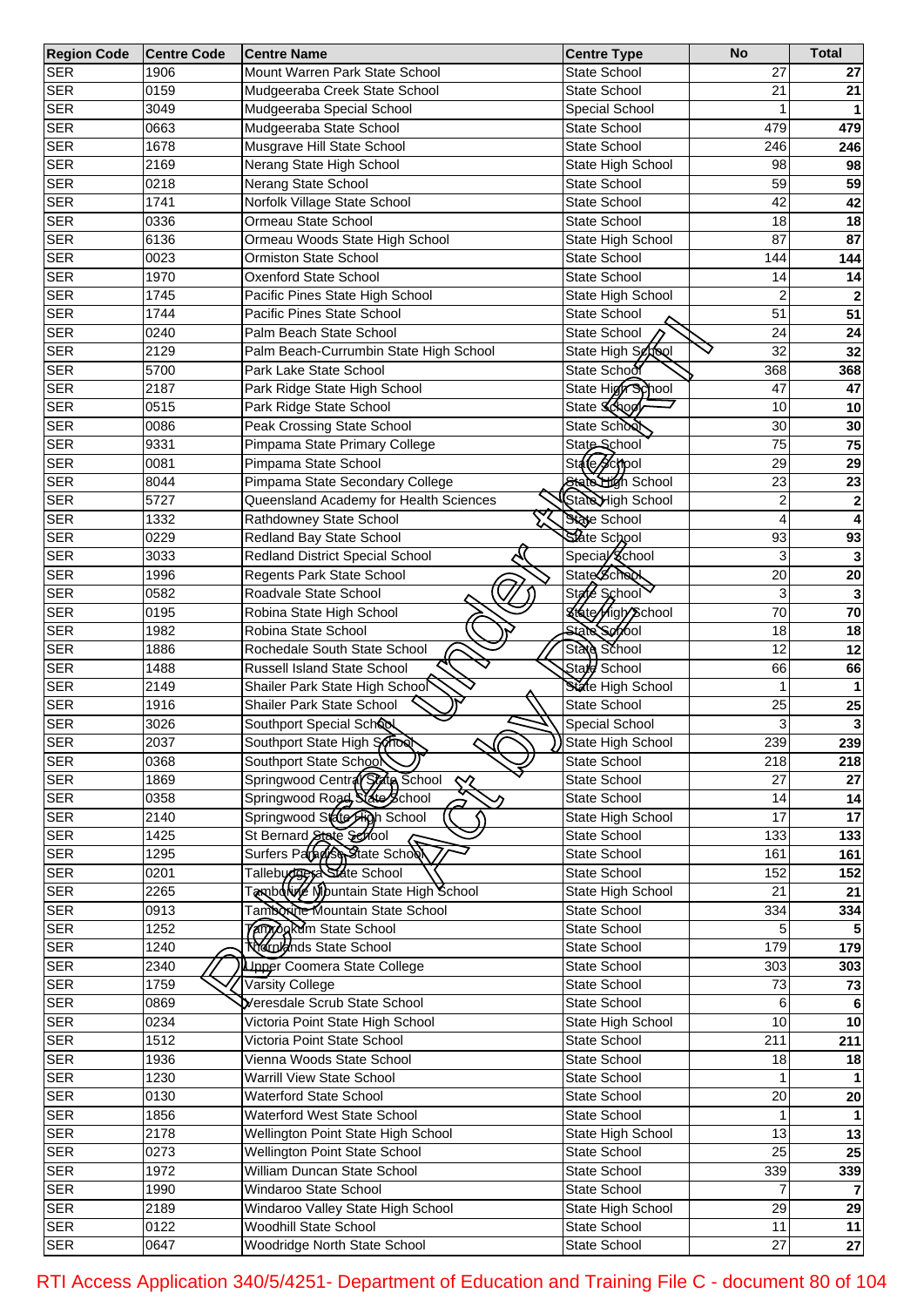| <b>Region Code</b> | <b>Centre Code</b> | <b>Centre Name</b>                     | <b>Centre Type</b>       | <b>No</b>       | <b>Total</b>     |
|--------------------|--------------------|----------------------------------------|--------------------------|-----------------|------------------|
| <b>SER</b>         | 1906               | Mount Warren Park State School         | <b>State School</b>      | 27              | 27               |
| <b>SER</b>         | 0159               | Mudgeeraba Creek State School          | <b>State School</b>      | 21              | 21               |
| <b>SER</b>         | 3049               | Mudgeeraba Special School              | Special School           |                 |                  |
| <b>SER</b>         | 0663               | Mudgeeraba State School                | <b>State School</b>      | 479             | 479              |
| <b>SER</b>         | 1678               | Musgrave Hill State School             | <b>State School</b>      | 246             | 246              |
| <b>SER</b>         | 2169               | Nerang State High School               | State High School        | 98              | 98               |
| <b>SER</b>         | 0218               | Nerang State School                    | State School             | 59              | 59               |
| <b>SER</b>         | 1741               | Norfolk Village State School           | State School             | 42              | 42               |
| <b>SER</b>         | 0336               | Ormeau State School                    | <b>State School</b>      | 18              | 18               |
| <b>SER</b>         | 6136               | Ormeau Woods State High School         | State High School        | 87              | 87               |
| <b>SER</b>         | 0023               | Ormiston State School                  | State School             | 144             | 144              |
| <b>SER</b>         | 1970               | Oxenford State School                  | <b>State School</b>      | 14              | 14               |
| <b>SER</b>         | 1745               | Pacific Pines State High School        | State High School        | 2               |                  |
| <b>SER</b>         | 1744               | Pacific Pines State School             | State School             | 51              | $\overline{51}$  |
| <b>SER</b>         | 0240               | Palm Beach State School                | State School             | 24              | 24               |
| <b>SER</b>         | 2129               | Palm Beach-Currumbin State High School | State High School        | 32              | 32               |
| <b>SER</b>         | 5700               | Park Lake State School                 | State School             | 368             | 368              |
| <b>SER</b>         | 2187               | Park Ridge State High School           | State High School        | 47              | 47               |
| <b>SER</b>         | 0515               | Park Ridge State School                | State School             | 10              | 10               |
| <b>SER</b>         | 0086               | Peak Crossing State School             | State School             | 30              | 30               |
| <b>SER</b>         | 9331               | Pimpama State Primary College          | State School             | 75              | 75               |
| <b>SER</b>         | 0081               | Pimpama State School                   | State School             | 29              | 29               |
| <b>SER</b>         | 8044               | Pimpama State Secondary College        | State High School        | 23              | 23               |
| <b>SER</b>         | 5727               |                                        | StateHigh School         | 2               |                  |
| <b>SER</b>         |                    | Queensland Academy for Health Sciences |                          |                 | $\boldsymbol{2}$ |
|                    | 1332               | Rathdowney State School                | State School             | 4               |                  |
| <b>SER</b>         | 0229               | Redland Bay State School               | State School             | 93              | 93               |
| <b>SER</b>         | 3033               | Redland District Special School        | Special School           | 3               |                  |
| <b>SER</b>         | 1996               | Regents Park State School              | State School             | $\overline{20}$ | $\overline{20}$  |
| <b>SER</b>         | 0582               | Roadvale State School                  | State School             | 3               |                  |
| <b>SER</b>         | 0195               | Robina State High School               | <b>State High School</b> | 70              | $\overline{70}$  |
| <b>SER</b>         | 1982               | Robina State School                    | State Serool             | 18              | $\overline{18}$  |
| <b>SER</b>         | 1886               | Rochedale South State School           | State School             | 12              | 12               |
| <b>SER</b>         | 1488               | Russell Island State School            | State School             | 66              | 66               |
| <b>SER</b>         | 2149               | Shailer Park State High School         | State High School        | 1               |                  |
| <b>SER</b>         | 1916               | Shailer Park State School              | State School             | $\overline{25}$ | 25               |
| <b>SER</b>         | 3026               | Southport Special School               | Special School           | 3               | $\mathbf{3}$     |
| <b>SER</b>         | 2037               | Southport State High School            | ) State High School      | 239             | 239              |
| <b>SER</b>         | 0368               | Southport State School                 | State School             | 218             | 218              |
| <b>SER</b>         | 1869               | Springwood Central State School<br>╳   | State School             | 27              | 27               |
| <b>SER</b>         | 0358               | Springwood Road State School           | State School             | 14              | $\overline{14}$  |
| <b>SER</b>         | 2140               | Springwood State High School           | State High School        | 17              | $\overline{17}$  |
| <b>SER</b>         | 1425               | St Bernard State & Hool                | State School             | 133             | 133              |
| <b>SER</b>         | 1295               | Surfers Paradise School                | State School             | 161             | 161              |
| <b>SER</b>         | 0201               | Tallebydgesa State School              | State School             | 152             | 152              |
| <b>SER</b>         | 2265               | Tambdruge Mbuntain State High School   | State High School        | 21              | 21               |
| <b>SER</b>         | 0913               | Tamboxine Mountain State School        | State School             | 334             | 334              |
| <b>SER</b>         | 1252               | Tamy goldm State School                | State School             |                 |                  |
| <b>SER</b>         | 1240               | <b>Nocula</b> nds State School         | State School             | 179             | 179              |
| <b>SER</b>         | 2340               | <b>Upper Coomera State College</b>     | State School             | 303             | 303              |
| <b>SER</b>         | 1759               | Varsity College                        | State School             | 73              | 73               |
| <b>SER</b>         | 0869               | Veresdale Scrub State School           | State School             | 6               | 6                |
| <b>SER</b>         | 0234               | Victoria Point State High School       | State High School        | 10              | $\overline{10}$  |
| <b>SER</b>         | 1512               | Victoria Point State School            | State School             | 211             | 211              |
| <b>SER</b>         | 1936               | Vienna Woods State School              | State School             | 18              | 18               |
| <b>SER</b>         | 1230               | <b>Warrill View State School</b>       | State School             |                 |                  |
| <b>SER</b>         | 0130               | <b>Waterford State School</b>          | State School             | $\overline{20}$ | 20               |
| <b>SER</b>         | 1856               | Waterford West State School            | State School             |                 |                  |
| <b>SER</b>         | 2178               | Wellington Point State High School     | State High School        | 13              | $\overline{13}$  |
| <b>SER</b>         | 0273               | <b>Wellington Point State School</b>   | State School             | 25              | 25               |
| <b>SER</b>         | 1972               | William Duncan State School            | State School             | 339             | 339              |
| <b>SER</b>         | 1990               | Windaroo State School                  | State School             |                 |                  |
| <b>SER</b>         | 2189               | Windaroo Valley State High School      | State High School        | $\overline{29}$ | 29               |
| <b>SER</b>         | 0122               | <b>Woodhill State School</b>           | State School             | $\overline{11}$ | $\overline{11}$  |
| <b>SER</b>         | 0647               | <b>Woodridge North State School</b>    | State School             | $\overline{27}$ | $\overline{27}$  |

RTI Access Application 340/5/4251- Department of Education and Training File C - document 80 of 104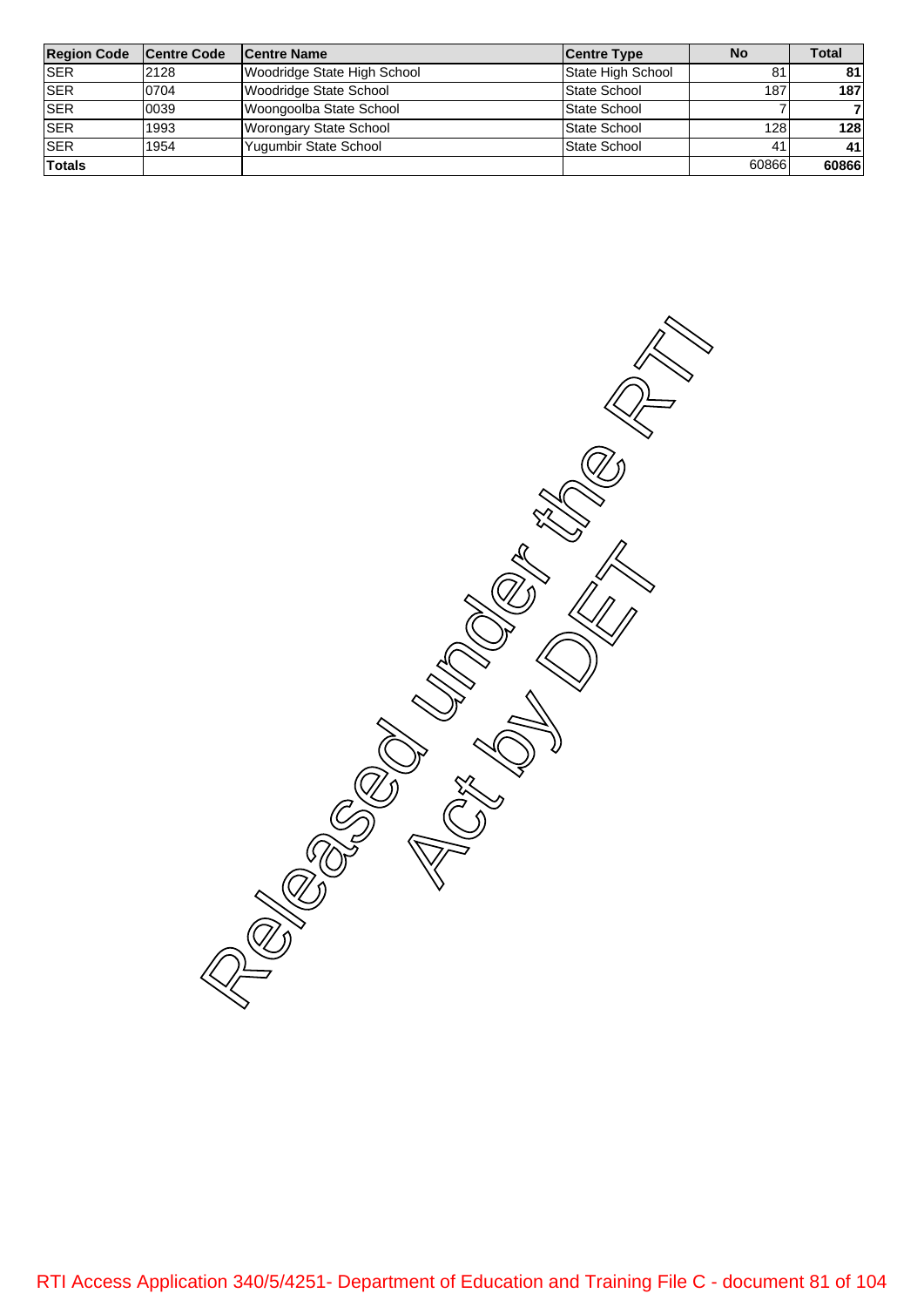| <b>Region Code</b> | <b>Centre Code</b> | <b>Centre Name</b>          | <b>Centre Type</b> | <b>No</b> | Total |
|--------------------|--------------------|-----------------------------|--------------------|-----------|-------|
| <b>ISER</b>        | 2128               | Woodridge State High School | State High School  | 81        | 81    |
| <b>SER</b>         | 0704               | Woodridge State School      | State School       | 187       | 187   |
| <b>SER</b>         | 0039               | Woongoolba State School     | State School       |           |       |
| <b>SER</b>         | 1993               | Worongary State School      | State School       | 128       | 128   |
| <b>SER</b>         | 1954               | Yugumbir State School       | State School       | 41        | 41    |
| <b>Totals</b>      |                    |                             |                    | 60866     | 60866 |

Released under the RTI AVE Actual Manuscript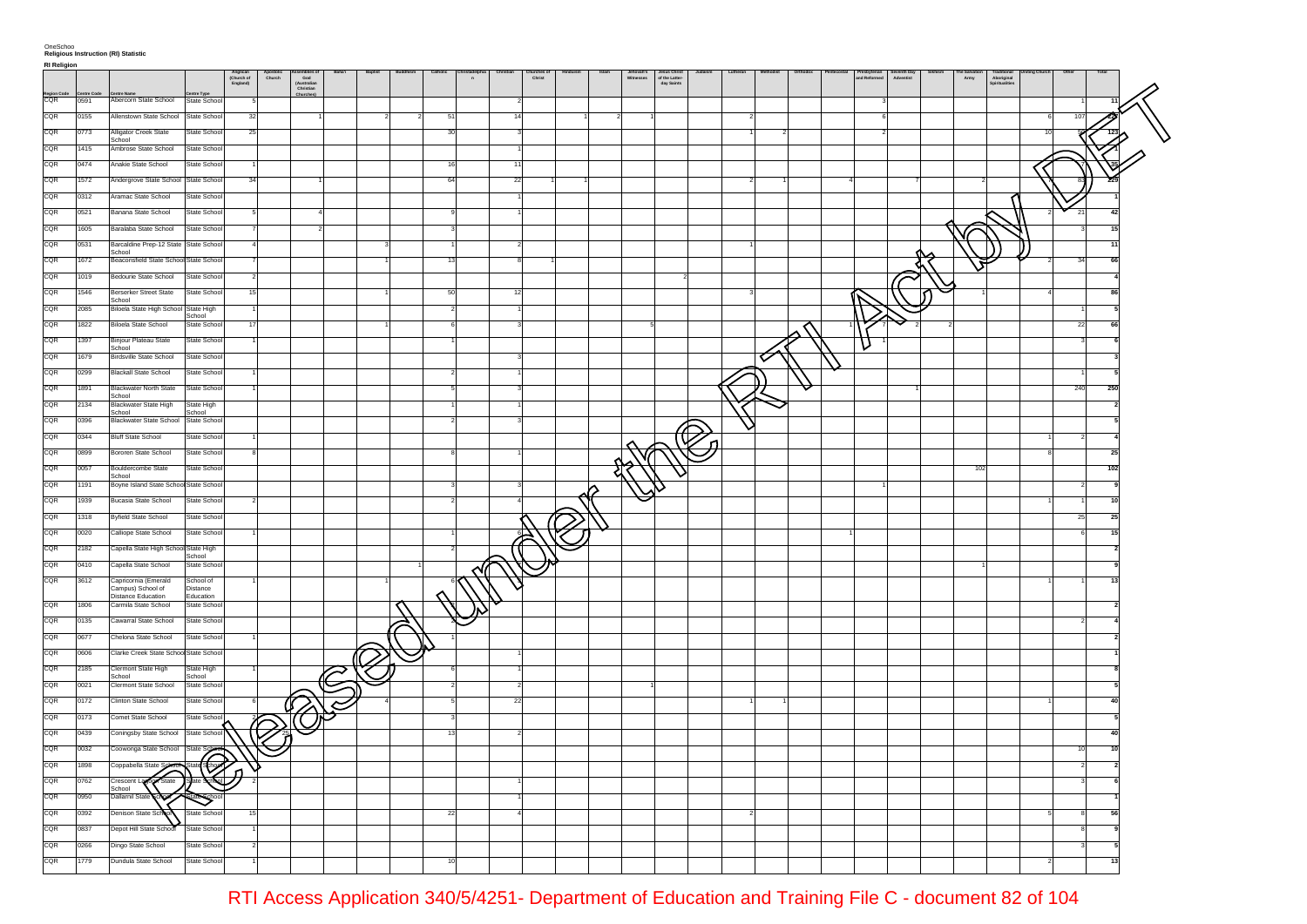|                    |      |                                                   |                           | Anglican<br>(Church of<br>England) | Apostolic<br>Church | ssemblies<br>God<br>(Australian<br>Christian<br>Churches) | Baha'i | Baptist | Buddhisn | Catholic | $\overline{a}$ |    | Churches |   | Jehovah's<br>Witnesses | Jesus Christ<br>of the Latter-<br>day Saints | Lutheran | Orthodo: | Presbyterian<br>and Reformed | Seventh Day<br>Adventist<br>Sikhism | The Salvation | Traditional<br>Aboriginal<br>Spiritualities | Other | Total |  |
|--------------------|------|---------------------------------------------------|---------------------------|------------------------------------|---------------------|-----------------------------------------------------------|--------|---------|----------|----------|----------------|----|----------|---|------------------------|----------------------------------------------|----------|----------|------------------------------|-------------------------------------|---------------|---------------------------------------------|-------|-------|--|
| Region Code<br>CQR | 0591 | Abercorn State School                             | State School              |                                    |                     |                                                           |        |         |          |          |                |    |          |   |                        |                                              |          |          |                              |                                     |               |                                             |       |       |  |
| CQR                | 0155 | Allenstown State School State School              |                           | 32                                 |                     |                                                           |        |         |          | - 51     |                |    |          |   |                        |                                              |          |          |                              |                                     |               |                                             | 107   |       |  |
| CQR                | 0773 | Alligator Creek State                             | State School              | 25                                 |                     |                                                           |        |         |          | 30       |                |    |          |   |                        |                                              |          |          |                              |                                     |               |                                             |       |       |  |
| CQR                | 1415 | School<br>Ambrose State School                    | State School              |                                    |                     |                                                           |        |         |          |          |                |    |          |   |                        |                                              |          |          |                              |                                     |               |                                             |       |       |  |
| CQR                | 0474 |                                                   |                           |                                    |                     |                                                           |        |         |          |          |                |    |          |   |                        |                                              |          |          |                              |                                     |               |                                             |       |       |  |
|                    |      | Anakie State School                               | State School              |                                    |                     |                                                           |        |         |          |          |                |    |          |   |                        |                                              |          |          |                              |                                     |               |                                             |       |       |  |
| CQR                | 1572 | Andergrove State School State School              |                           | 34                                 |                     |                                                           |        |         |          | 64       |                | 22 |          |   |                        |                                              |          |          |                              |                                     |               |                                             |       |       |  |
| CQR                | 0312 | Aramac State School                               | State School              |                                    |                     |                                                           |        |         |          |          |                |    |          |   |                        |                                              |          |          |                              |                                     |               |                                             |       |       |  |
| CQR                | 0521 | Banana State School                               | State School              |                                    |                     |                                                           |        |         |          |          |                |    |          |   |                        |                                              |          |          |                              |                                     |               |                                             | 21    | 42    |  |
| CQR                | 1605 | Baralaba State School                             | State School              |                                    |                     |                                                           |        |         |          |          |                |    |          |   |                        |                                              |          |          |                              |                                     |               |                                             |       | 15    |  |
| CQR                | 0531 | Barcaldine Prep-12 State State School<br>School   |                           |                                    |                     |                                                           |        |         |          |          |                |    |          |   |                        |                                              |          |          |                              |                                     |               |                                             |       | 11    |  |
| CQR                | 1672 | Beaconsfield State School State School            |                           |                                    |                     |                                                           |        |         |          |          |                |    |          |   |                        |                                              |          |          |                              |                                     | v             |                                             | 34    | 66    |  |
| CQR                | 1019 | Bedourie State School                             | State School              |                                    |                     |                                                           |        |         |          |          |                |    |          |   |                        |                                              |          |          |                              |                                     |               |                                             |       |       |  |
| CQR                | 1546 | <b>Berserker Street State</b><br>School           | State School              |                                    |                     |                                                           |        |         |          |          |                |    |          |   |                        |                                              |          |          |                              |                                     |               |                                             |       |       |  |
| CQR                | 2085 | Biloela State High School State High              | School                    |                                    |                     |                                                           |        |         |          |          |                |    |          |   |                        |                                              |          |          |                              |                                     |               |                                             |       |       |  |
| CQR                | 1822 | <b>Biloela State School</b>                       | State School              |                                    |                     |                                                           |        |         |          |          |                |    |          |   |                        |                                              |          |          |                              |                                     |               |                                             | 22    |       |  |
| CQR                | 1397 | Binjour Plateau State                             | State School              |                                    |                     |                                                           |        |         |          |          |                |    |          |   |                        |                                              |          |          | ν                            |                                     |               |                                             |       |       |  |
| CQR                | 1679 | School<br><b>Birdsville State School</b>          | State School              |                                    |                     |                                                           |        |         |          |          |                |    |          |   |                        |                                              |          |          |                              |                                     |               |                                             |       |       |  |
| CQR                | 0299 | <b>Blackall State School</b>                      | State School              |                                    |                     |                                                           |        |         |          |          |                |    |          |   |                        |                                              |          |          |                              |                                     |               |                                             |       |       |  |
| CQR                | 1891 | <b>Blackwater North State</b>                     | State School              |                                    |                     |                                                           |        |         |          |          |                |    |          |   |                        |                                              |          |          |                              |                                     |               |                                             | 240   | 250   |  |
| CQR                | 2134 | School<br><b>Blackwater State High</b>            | State High                |                                    |                     |                                                           |        |         |          |          |                |    |          |   |                        |                                              |          |          |                              |                                     |               |                                             |       |       |  |
| CQR                | 0396 | School<br>Blackwater State School State School    | School                    |                                    |                     |                                                           |        |         |          |          |                |    |          |   |                        |                                              |          |          |                              |                                     |               |                                             |       |       |  |
| CQR                | 0344 | <b>Bluff State School</b>                         | State School              |                                    |                     |                                                           |        |         |          |          |                |    |          |   |                        |                                              |          |          |                              |                                     |               |                                             |       |       |  |
| CQR                | 0899 | Bororen State School                              | State School              |                                    |                     |                                                           |        |         |          |          |                |    |          |   |                        |                                              |          |          |                              |                                     |               |                                             |       | 25    |  |
| CQR                | 0057 | Bouldercombe State                                | State School              |                                    |                     |                                                           |        |         |          |          |                |    |          |   |                        |                                              |          |          |                              |                                     | 102           |                                             |       | 102   |  |
| CQR                | 1191 | School<br>Boyne Island State School State School  |                           |                                    |                     |                                                           |        |         |          |          |                |    |          |   |                        |                                              |          |          |                              |                                     |               |                                             |       |       |  |
| CQR                | 1939 | Bucasia State School                              | State School              |                                    |                     |                                                           |        |         |          |          |                |    |          | ⌒ |                        |                                              |          |          |                              |                                     |               |                                             |       | 10    |  |
| CQR                | 1318 | <b>Byfield State School</b>                       | State School              |                                    |                     |                                                           |        |         |          |          |                |    |          |   |                        |                                              |          |          |                              |                                     |               |                                             | 25    | 25    |  |
| CQR                | 0020 | Calliope State School                             | State School              |                                    |                     |                                                           |        |         |          |          |                |    |          |   |                        |                                              |          |          |                              |                                     |               |                                             |       | 15    |  |
| CQR                | 2182 |                                                   |                           |                                    |                     |                                                           |        |         |          |          |                |    |          |   |                        |                                              |          |          |                              |                                     |               |                                             |       |       |  |
| CQR                | 0410 | Capella State High School State High              | School                    |                                    |                     |                                                           |        |         |          |          |                |    |          |   |                        |                                              |          |          |                              |                                     |               |                                             |       |       |  |
|                    |      | Capella State School                              | State School              |                                    |                     |                                                           |        |         |          |          |                |    |          |   |                        |                                              |          |          |                              |                                     |               |                                             |       |       |  |
| CQR                | 3612 | Capricornia (Emerald<br>Campus) School of         | School of<br>Distance     |                                    |                     |                                                           |        |         |          |          |                |    |          |   |                        |                                              |          |          |                              |                                     |               |                                             |       |       |  |
| CQR                | 1806 | <b>Distance Education</b><br>Carmila State School | Education<br>State School |                                    |                     |                                                           |        |         |          |          |                |    |          |   |                        |                                              |          |          |                              |                                     |               |                                             |       |       |  |
| CQR                | 0135 | Cawarral State School                             | State School              |                                    |                     |                                                           |        |         |          |          |                |    |          |   |                        |                                              |          |          |                              |                                     |               |                                             |       |       |  |
| CQR                | 0677 | Chelona State School                              | State School              |                                    |                     |                                                           |        |         |          |          |                |    |          |   |                        |                                              |          |          |                              |                                     |               |                                             |       |       |  |
| CQR                | 0606 | Clarke Creek State School State School            |                           |                                    |                     |                                                           |        |         |          |          |                |    |          |   |                        |                                              |          |          |                              |                                     |               |                                             |       |       |  |
| CQR                | 2185 | Clermont State High                               | State High                |                                    |                     |                                                           |        |         |          |          |                |    |          |   |                        |                                              |          |          |                              |                                     |               |                                             |       |       |  |
| CQR                | 0021 | School<br>Clermont State School                   | School<br>State School    |                                    |                     |                                                           |        |         |          |          |                |    |          |   |                        |                                              |          |          |                              |                                     |               |                                             |       |       |  |
| CQR                | 0172 | Clinton State School                              | State School              |                                    |                     |                                                           | S      |         |          |          |                | 22 |          |   |                        |                                              |          |          |                              |                                     |               |                                             |       |       |  |
| CQR                | 0173 | Comet State School                                | State School              |                                    |                     |                                                           |        |         |          |          |                |    |          |   |                        |                                              |          |          |                              |                                     |               |                                             |       |       |  |
| CQR                | 0439 | Coningsby State School                            | State School              |                                    |                     |                                                           |        |         |          |          |                |    |          |   |                        |                                              |          |          |                              |                                     |               |                                             |       |       |  |
| CQR                | 0032 | Coowonga State School                             | State Schr                |                                    |                     |                                                           |        |         |          |          |                |    |          |   |                        |                                              |          |          |                              |                                     |               |                                             | 10    |       |  |
| CQR                | 1898 | Coppabella State School                           | de Science                |                                    |                     |                                                           |        |         |          |          |                |    |          |   |                        |                                              |          |          |                              |                                     |               |                                             |       |       |  |
| CQR                | 0762 | $\widehat{\mathsf{S}}$ tate<br>Crescent Lab       |                           |                                    |                     |                                                           |        |         |          |          |                |    |          |   |                        |                                              |          |          |                              |                                     |               |                                             |       |       |  |
| CQR                | 0950 | School<br><b>Dallamil State</b>                   |                           |                                    |                     |                                                           |        |         |          |          |                |    |          |   |                        |                                              |          |          |                              |                                     |               |                                             |       |       |  |
| CQR                | 0392 | Denison State Scl                                 | State Schoo               |                                    |                     |                                                           |        |         |          | 22       |                |    |          |   |                        |                                              |          |          |                              |                                     |               |                                             |       |       |  |
| CQR                | 0837 |                                                   | State Schoo               |                                    |                     |                                                           |        |         |          |          |                |    |          |   |                        |                                              |          |          |                              |                                     |               |                                             |       |       |  |
| CQR                | 0266 | Depot Hill State School                           |                           |                                    |                     |                                                           |        |         |          |          |                |    |          |   |                        |                                              |          |          |                              |                                     |               |                                             |       |       |  |
|                    |      | Dingo State School                                | State School              |                                    |                     |                                                           |        |         |          |          |                |    |          |   |                        |                                              |          |          |                              |                                     |               |                                             |       |       |  |
| CQR                | 1779 | Dundula State School                              | State School              |                                    |                     |                                                           |        |         |          |          |                |    |          |   |                        |                                              |          |          |                              |                                     |               |                                             |       | 13    |  |

RTI Access Application 340/5/4251- Department of Education and Training File C - document 82 of 104

**RI Religion**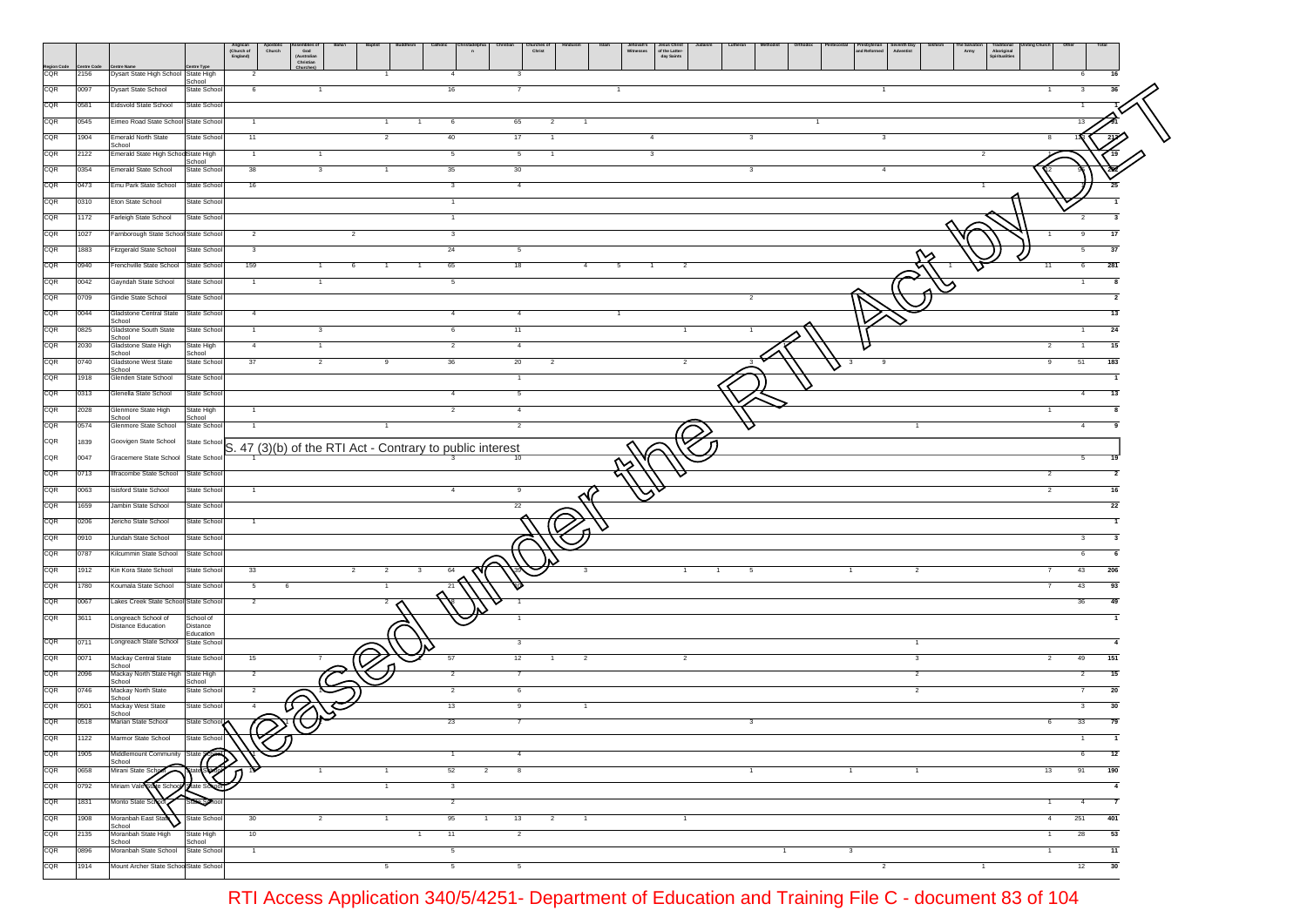|                    |      |                                               | Anglican<br>(Church of<br>England)<br>Jesus Christ<br>of the Latter-<br>day Saints<br>hurches<br>Christ<br>e Salvati<br>Army<br>Presbyterian<br>and Reformer<br>Church<br>ssembnes<br>God<br>(Australiar<br>Christian<br>Adventist<br>Witnesses<br><b>Aboriginal</b><br>Spiritualities<br>$\overline{\phantom{a}}$ |
|--------------------|------|-----------------------------------------------|--------------------------------------------------------------------------------------------------------------------------------------------------------------------------------------------------------------------------------------------------------------------------------------------------------------------|
| Region Code<br>CQR | 2156 | Dysart State High School State High           | ntre Type<br>6<br>$\overline{4}$<br>$\overline{2}$<br>-3                                                                                                                                                                                                                                                           |
| CQR                | 0097 | <b>Dysart State School</b>                    | School<br>6<br>16<br>State School<br>$\mathbf{1}$                                                                                                                                                                                                                                                                  |
| CQR                | 0581 | Eidsvold State School                         | State School                                                                                                                                                                                                                                                                                                       |
| CQR                | 0545 | Eimeo Road State School State School          | $\mathbf{1}$<br>6<br>65<br>$\overline{2}$<br>$\overline{1}$<br>1                                                                                                                                                                                                                                                   |
| CQR                | 1904 | <b>Emerald North State</b>                    | State School<br>11<br>40<br>17<br>$\overline{4}$<br>$\overline{2}$<br>3<br>3                                                                                                                                                                                                                                       |
| CQR                | 2122 | School<br>Emerald State High SchoolState High | $\mathbf{3}$<br>$\overline{1}$<br>$\overline{1}$<br>5<br>5<br>$\overline{1}$<br>$\overline{2}$                                                                                                                                                                                                                     |
| CQR                | 0354 | <b>Emerald State School</b>                   | School<br>38<br>35<br>30<br>$\mathbf{3}$<br>State School<br>-3<br>$\overline{4}$                                                                                                                                                                                                                                   |
| CQR                | 0473 | Emu Park State School                         | State School<br>16<br>$\overline{\mathbf{3}}$<br>$\overline{4}$<br>25                                                                                                                                                                                                                                              |
| CQR                | 0310 | Eton State School                             | State School<br>1                                                                                                                                                                                                                                                                                                  |
| CQR                | 1172 | Farleigh State School                         | State School<br>$\mathbf{1}$<br>2                                                                                                                                                                                                                                                                                  |
| CQR                | 1027 | Famborough State School State School          | 3<br>$\overline{a}$<br>17<br>$\overline{\mathbf{2}}$                                                                                                                                                                                                                                                               |
| CQR                | 1883 | Fitzgerald State School                       | 24<br>State School<br>$\mathbf{3}$<br>5<br>37                                                                                                                                                                                                                                                                      |
| CQR                | 0940 | Frenchville State School                      | 159<br>65<br>281<br>State School<br>18<br>$\overline{4}$<br>5<br>$\overline{a}$<br>11<br>6<br>$\overline{1}$<br>6                                                                                                                                                                                                  |
| CQR                | 0042 | Gayndah State School                          | - 5<br>State School<br>$\overline{1}$<br>$\overline{1}$                                                                                                                                                                                                                                                            |
| CQR                | 0709 | Gindie State School                           | State School                                                                                                                                                                                                                                                                                                       |
| CQR                | 0044 | Gladstone Central State                       | State School<br>4<br>$\overline{4}$<br>13                                                                                                                                                                                                                                                                          |
| CQR                | 0825 | School<br>Gladstone South State               | 11<br>24<br>State Schoo<br>$\overline{1}$<br>$\mathbf{3}$<br>6<br>$\mathbf{1}$                                                                                                                                                                                                                                     |
| CQR                | 2030 | School<br>Gladstone State High                | $\overline{4}$<br>$\overline{2}$<br>State High<br>$\overline{4}$<br>$\overline{1}$<br>$\overline{2}$<br>15                                                                                                                                                                                                         |
| CQR                | 0740 | School<br>Gladstone West State                | School<br>State School<br>37<br>$\overline{2}$<br>36<br>20<br>51<br>183<br>$\overline{a}$<br>9<br>-2                                                                                                                                                                                                               |
| CQR                | 1918 | School<br>Glenden State School                | State School<br>$\overline{1}$                                                                                                                                                                                                                                                                                     |
| CQR                | 0313 | Glenella State School                         | 5<br>State Schoo<br>13<br>4                                                                                                                                                                                                                                                                                        |
| CQR                | 2028 | Glenmore State High                           | State High<br>$\overline{2}$<br>$\overline{4}$<br>1                                                                                                                                                                                                                                                                |
| CQR                | 0574 | School<br>Glenmore State School               | School<br>State School<br>$\overline{2}$<br>-1                                                                                                                                                                                                                                                                     |
| CQR                | 1839 | Goovigen State School                         | State Schoo<br>S. 47 (3)(b) of the RTI Act - Contrary to public interest                                                                                                                                                                                                                                           |
| CQR                | 0047 | Gracemere State School                        | State School                                                                                                                                                                                                                                                                                                       |
| CQR                | 0713 | Ilfracombe State School                       | State School<br>$\overline{2}$<br>$\overline{2}$                                                                                                                                                                                                                                                                   |
| CQR                | 0063 | <b>Isisford State School</b>                  | State School<br>$\overline{2}$<br>$\overline{1}$<br>$\overline{4}$<br>9                                                                                                                                                                                                                                            |
| CQR                | 1659 | Jambin State School                           | State School<br>22<br>22                                                                                                                                                                                                                                                                                           |
| CQR                | 0206 | Jericho State School                          | State School                                                                                                                                                                                                                                                                                                       |
| CQR                | 0910 | Jundah State School                           | State Schoo                                                                                                                                                                                                                                                                                                        |
| CQR                | 0787 | Kilcummin State School                        | State School                                                                                                                                                                                                                                                                                                       |
| CQR                | 1912 | Kin Kora State School                         | 33<br>State School<br>43<br>206<br>64<br>$\overline{2}$<br>-3<br>-5                                                                                                                                                                                                                                                |
| CQR                | 1780 | Koumala State School                          | State School<br>$5\overline{)}$<br>43<br>93<br>- 6<br>21                                                                                                                                                                                                                                                           |
| CQR                | 0067 | Lakes Creek State School State School         | 36<br>49<br>$\overline{2}$<br>$\overline{2}$                                                                                                                                                                                                                                                                       |
| CQR                | 3611 | Longreach School of<br>Distance Education     | School of<br>$\overline{1}$<br>Distance                                                                                                                                                                                                                                                                            |
| CQR                | 0711 | Longreach State School                        | Education<br>State School<br>$\mathbf{3}$<br>$\overline{1}$<br>$\overline{4}$                                                                                                                                                                                                                                      |
| CQR                | 0071 | Mackay Central State                          | State School<br>12<br>49<br>151<br>15<br>57<br>$\overline{2}$<br>$\overline{2}$<br>$\mathbf{3}$<br>$\overline{2}$<br>$\overline{1}$                                                                                                                                                                                |
| CQR                | 2096 | School<br>Mackay North State High             | $\overline{2}$<br>State High<br>$\overline{2}$<br>$\overline{2}$<br>15<br>$\overline{7}$<br>2                                                                                                                                                                                                                      |
| CQR                | 0746 | School<br>Mackay North State                  | School<br>State School<br>$\overline{2}$<br>$\overline{2}$<br>6<br>$\overline{2}$<br>20                                                                                                                                                                                                                            |
| CQR                | 0501 | School<br>Mackay West State                   | 13<br>State School<br>9                                                                                                                                                                                                                                                                                            |
| CQR                | 0518 | School<br>Marian State School                 | 23<br>State School<br>33                                                                                                                                                                                                                                                                                           |
| CQR                | 1122 | armor state scrioor                           | State Schoo                                                                                                                                                                                                                                                                                                        |
| CQR                | 1905 | Middlemount Community State 9                 | $\overline{4}$<br>6<br>12<br>$\mathbf{1}$                                                                                                                                                                                                                                                                          |
| CQR                | 0658 | School<br>Mirani State Sch                    | 52<br>$\overline{2}$<br>8<br>13<br>91<br>190<br>$\overline{1}$<br>$\overline{1}$                                                                                                                                                                                                                                   |
| CQR                | 0792 | Miriam Vale State Scho                        | $\mathbf{3}$<br>$\overline{4}$                                                                                                                                                                                                                                                                                     |
| CQR                | 1831 | Monto State Scho                              | $\overline{2}$<br>$\overline{7}$<br>$\mathbf{1}$<br>$\overline{4}$                                                                                                                                                                                                                                                 |
| CQR                | 1908 | Moranbah East Stat                            | 95<br>30<br>$13 \qquad \qquad 2$<br>251<br>401<br>4<br>State School<br>$\overline{2}$<br>$\overline{1}$<br>$\sim$ 1<br>$\overline{1}$                                                                                                                                                                              |
| CQR                | 2135 | School<br>Moranbah State High                 | 10<br>$\overline{11}$<br>53<br>State High<br>$\overline{2}$<br>28<br>$\mathbf{1}$<br>$\overline{1}$                                                                                                                                                                                                                |
| CQR                | 0896 | School<br>Moranbah State School               | School<br>State School<br>$\overline{5}$<br>11<br>$\overline{1}$<br>$\mathbf{1}$<br>$\mathbf{3}$<br>$\overline{1}$                                                                                                                                                                                                 |
| CQR                | 1914 | Mount Archer State SchoolState School         | $5\overline{)}$<br>$5\overline{)}$<br>$\overline{2}$<br>12<br>30<br>$5\overline{6}$<br>$\overline{1}$                                                                                                                                                                                                              |

RTI Access Application 340/5/4251- Department of Education and Training File C - document 83 of 104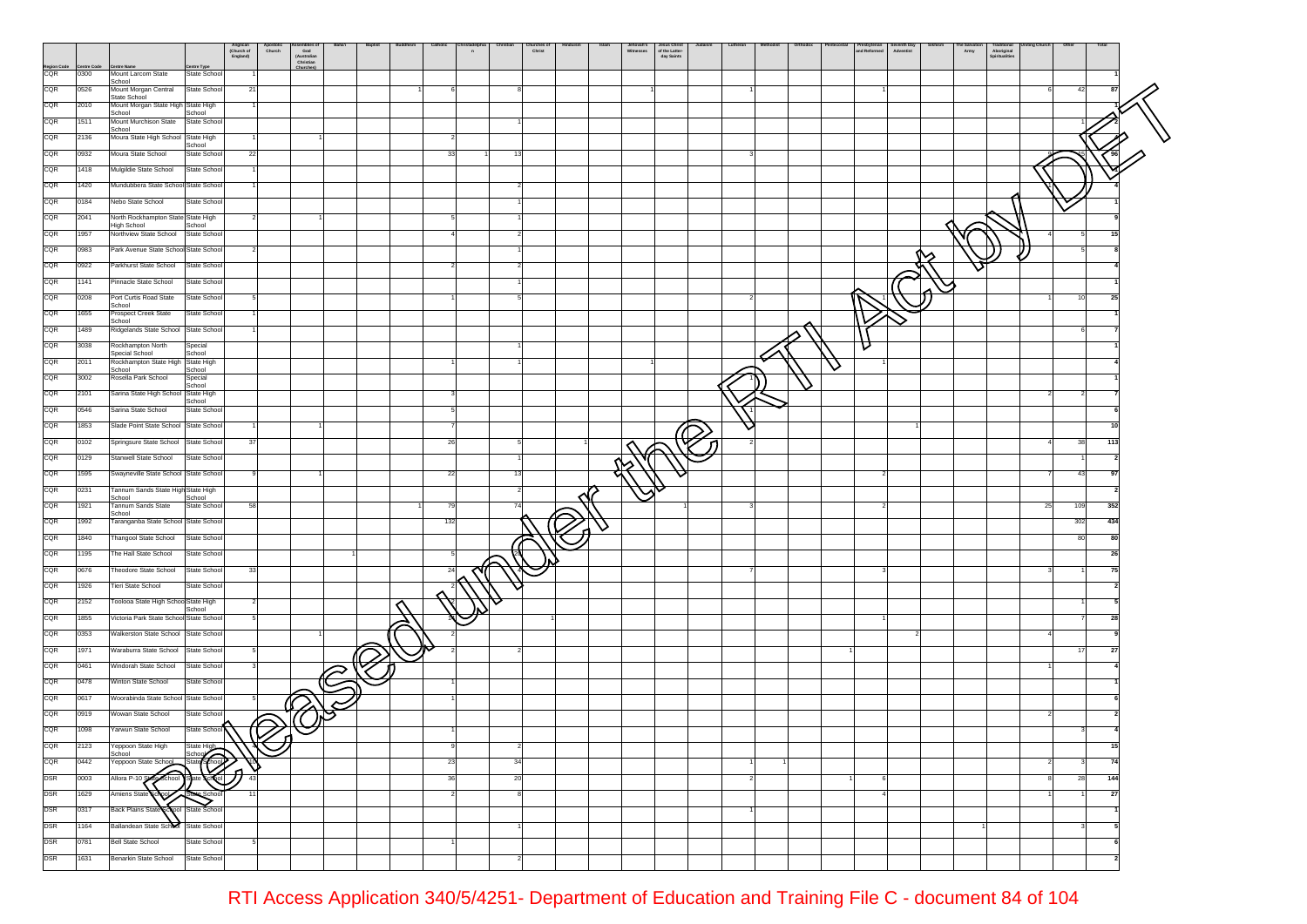|                    |                   |                                                                         | Anglican<br>(Church of<br>England) | Apostolic<br>Church<br>ssemones o<br>God<br>(Australian<br>Christian | Baptist | Catholic | n |    | hurches of<br>Christ | Islam<br>Jehovah's<br>Witnesses | Jesus Christ<br>of the Latter-<br>day Saints | Lutheran | Orthodo: | Presbyterian<br>and Reformed | Seventh Day<br>Adventist | San<br>Army<br>rraditional<br>Spiritualities |    |                    |  |
|--------------------|-------------------|-------------------------------------------------------------------------|------------------------------------|----------------------------------------------------------------------|---------|----------|---|----|----------------------|---------------------------------|----------------------------------------------|----------|----------|------------------------------|--------------------------|----------------------------------------------|----|--------------------|--|
| Region Code<br>CQR | entre Cod<br>0300 | entre Type<br>Centre Nan<br>Mount Larcom State<br>State School          |                                    | Churches                                                             |         |          |   |    |                      |                                 |                                              |          |          |                              |                          |                                              |    |                    |  |
| CQR                | 0526              | School<br>Mount Morgan Central<br>State School                          | 21                                 |                                                                      |         |          |   |    |                      |                                 |                                              |          |          |                              |                          |                                              |    | 42                 |  |
| CQR                | 2010              | State School<br>Mount Morgan State High State High                      |                                    |                                                                      |         |          |   |    |                      |                                 |                                              |          |          |                              |                          |                                              |    |                    |  |
| CQR                | 1511              | School<br>School<br>Mount Murchison State State School                  |                                    |                                                                      |         |          |   |    |                      |                                 |                                              |          |          |                              |                          |                                              |    |                    |  |
| CQR                | 2136              | School<br>Moura State High School State High                            |                                    |                                                                      |         |          |   |    |                      |                                 |                                              |          |          |                              |                          |                                              |    |                    |  |
| CQR                | 0932              | School<br>Moura State School<br>State School                            | 22                                 |                                                                      |         | 33       |   | 13 |                      |                                 |                                              |          |          |                              |                          |                                              |    |                    |  |
| CQR                | 1418              | Mulgildie State School<br>State School                                  |                                    |                                                                      |         |          |   |    |                      |                                 |                                              |          |          |                              |                          |                                              |    |                    |  |
| CQR                | 1420              | Mundubbera State School State School                                    |                                    |                                                                      |         |          |   |    |                      |                                 |                                              |          |          |                              |                          |                                              |    |                    |  |
| CQR                | 0184              | Nebo State School<br>State School                                       |                                    |                                                                      |         |          |   |    |                      |                                 |                                              |          |          |                              |                          |                                              |    |                    |  |
| CQR                | 2041              | North Rockhampton State State High                                      |                                    | $\overline{\mathbf{2}}$                                              |         |          |   |    |                      |                                 |                                              |          |          |                              |                          |                                              |    |                    |  |
| CQR                | 1957              | High School<br>School<br>Northview State School<br>State School         |                                    |                                                                      |         |          |   |    |                      |                                 |                                              |          |          |                              |                          |                                              |    | 5<br>15            |  |
| CQR                | 0983              | Park Avenue State School State School                                   |                                    |                                                                      |         |          |   |    |                      |                                 |                                              |          |          |                              |                          |                                              |    |                    |  |
| CQR                | 0922              | Parkhurst State School<br>State School                                  |                                    |                                                                      |         |          |   |    |                      |                                 |                                              |          |          |                              |                          |                                              |    |                    |  |
| CQR                | 1141              | Pinnacle State School<br>State School                                   |                                    |                                                                      |         |          |   |    |                      |                                 |                                              |          |          |                              |                          |                                              |    |                    |  |
| CQR                | 0208              | Port Curtis Road State<br>State School                                  |                                    | 5                                                                    |         |          |   | 5  |                      |                                 |                                              |          |          |                              |                          |                                              |    | 10<br>25           |  |
| CQR                | 1655              | School<br>State School                                                  |                                    |                                                                      |         |          |   |    |                      |                                 |                                              |          |          |                              |                          |                                              |    |                    |  |
| CQR                | 1489              | Prospect Creek State<br>School<br>Ridgelands State School State School  |                                    |                                                                      |         |          |   |    |                      |                                 |                                              |          |          |                              |                          |                                              |    |                    |  |
| CQR                | 3038              | Rockhampton North<br>Special                                            |                                    |                                                                      |         |          |   |    |                      |                                 |                                              |          |          | U                            |                          |                                              |    |                    |  |
| CQR                | 2011              | Special School<br>School<br>Rockhampton State High<br><b>State High</b> |                                    |                                                                      |         |          |   |    |                      |                                 |                                              |          |          |                              |                          |                                              |    |                    |  |
| CQR                | 3002              | School<br>School<br>Rosella Park School<br>Special                      |                                    |                                                                      |         |          |   |    |                      |                                 |                                              |          |          | ∨                            |                          |                                              |    |                    |  |
| CQR                | 2101              | School<br>Sarina State High School State High                           |                                    |                                                                      |         |          |   |    |                      |                                 |                                              |          |          |                              |                          |                                              |    |                    |  |
| CQR                | 0546              | School<br>Sarina State School<br>State School                           |                                    |                                                                      |         |          |   |    |                      |                                 |                                              |          |          |                              |                          |                                              |    |                    |  |
| CQR                | 1853              | Slade Point State School State School                                   |                                    |                                                                      |         |          |   |    |                      |                                 |                                              |          |          |                              |                          |                                              |    |                    |  |
| CQR                | 0102              | Springsure State School State School                                    | 37                                 |                                                                      |         | 26       |   |    |                      |                                 |                                              |          |          |                              |                          |                                              |    | 38<br>113          |  |
| CQR                | 0129              | Stanwell State School<br>State School                                   |                                    |                                                                      |         |          |   |    |                      |                                 |                                              |          |          |                              |                          |                                              |    |                    |  |
| CQR                | 1595              | Swayneville State School State School                                   |                                    |                                                                      |         | 22       |   | 13 |                      |                                 |                                              |          |          |                              |                          |                                              |    | 43<br>97           |  |
| CQR                | 0231              | Tannum Sands State High State High                                      |                                    |                                                                      |         |          |   |    |                      |                                 |                                              |          |          |                              |                          |                                              |    |                    |  |
| CQR                | 1921              | School<br>School<br>Tannum Sands State<br>State School                  | 58                                 |                                                                      |         | 79       |   | 74 |                      |                                 |                                              |          |          |                              |                          |                                              | 25 | 109<br>352         |  |
| CQR                | 1992              | School<br>Taranganba State School State School                          |                                    |                                                                      |         | 132      |   |    |                      |                                 |                                              |          |          |                              |                          |                                              |    | 434<br>302         |  |
| CQR                | 1840              | Thangool State School<br>State School                                   |                                    |                                                                      |         |          |   |    |                      |                                 |                                              |          |          |                              |                          |                                              |    | 80<br>80           |  |
| CQR                | 1195              | The Hall State School<br>State School                                   |                                    |                                                                      |         |          |   |    |                      |                                 |                                              |          |          |                              |                          |                                              |    | 26                 |  |
| CQR                | 0676              | Theodore State School<br>State School                                   | 33                                 |                                                                      |         | 24       |   |    |                      |                                 |                                              |          |          |                              |                          |                                              |    | 75                 |  |
| CQR                | 1926              | State School<br>Tieri State School                                      |                                    |                                                                      |         |          |   |    |                      |                                 |                                              |          |          |                              |                          |                                              |    |                    |  |
| CQR                | 2152              | Toolooa State High School State High                                    |                                    |                                                                      |         |          |   |    |                      |                                 |                                              |          |          |                              |                          |                                              |    |                    |  |
| CQR                | 1855              | School<br>Victoria Park State School State School                       |                                    |                                                                      |         |          |   |    |                      |                                 |                                              |          |          |                              |                          |                                              |    | 28                 |  |
| CQR                | 0353              | Walkerston State School State School                                    |                                    |                                                                      |         |          |   |    |                      |                                 |                                              |          |          |                              |                          |                                              |    |                    |  |
| CQR                | 1971              | Waraburra State School<br>State School                                  |                                    |                                                                      |         |          |   |    |                      |                                 |                                              |          |          |                              |                          |                                              |    | 17<br>27           |  |
| CQR                | 0461              | Windorah State School<br>State School                                   |                                    |                                                                      |         |          |   |    |                      |                                 |                                              |          |          |                              |                          |                                              |    |                    |  |
| CQR                | 0478              | Winton State School<br>State School                                     |                                    |                                                                      |         |          |   |    |                      |                                 |                                              |          |          |                              |                          |                                              |    |                    |  |
| CQR                | 0617              | Woorabinda State School State School                                    | 5                                  |                                                                      |         |          |   |    |                      |                                 |                                              |          |          |                              |                          |                                              |    |                    |  |
| CQR                | 0919              | Wowan State School<br>State School                                      |                                    |                                                                      |         |          |   |    |                      |                                 |                                              |          |          |                              |                          |                                              |    |                    |  |
| CQR                | 1098              | Yarwun State School<br>State School                                     |                                    | $\bigotimes$                                                         |         |          |   |    |                      |                                 |                                              |          |          |                              |                          |                                              |    |                    |  |
| CQR                | 2123              | Yeppoon State High<br>State High                                        |                                    | ี่บิ                                                                 |         |          |   |    |                      |                                 |                                              |          |          |                              |                          |                                              |    | 15                 |  |
| CQR                | 0442              | School<br>State School<br>Yeppoon State School                          |                                    |                                                                      |         | 23       |   | 34 |                      |                                 |                                              |          |          |                              |                          |                                              |    | 74<br>$\mathbf{3}$ |  |
| <b>DSR</b>         | 0003              | School Brate Chol<br>Allora P-10.8                                      | ⋀<br>43                            | V                                                                    |         | 36       |   | 20 |                      |                                 |                                              |          |          |                              |                          |                                              |    | 28<br>144          |  |
| <b>DSR</b>         | 1629              | Amiens State<br>ichou                                                   | 11                                 |                                                                      |         |          |   | 8  |                      |                                 |                                              |          |          |                              |                          |                                              |    | 27                 |  |
| <b>DSR</b>         | 0317              | <b>Back Plains State</b><br>chool State School                          |                                    |                                                                      |         |          |   |    |                      |                                 |                                              |          |          |                              |                          |                                              |    |                    |  |
| <b>DSR</b>         | 1164              | Ballandean State School State School                                    |                                    |                                                                      |         |          |   |    |                      |                                 |                                              |          |          |                              |                          |                                              |    | -5                 |  |
| <b>DSR</b>         | 0781              | <b>Bell State School</b><br>State School                                |                                    |                                                                      |         |          |   |    |                      |                                 |                                              |          |          |                              |                          |                                              |    |                    |  |
| <b>DSR</b>         | 1631              | Benarkin State School<br>State School                                   |                                    |                                                                      |         |          |   |    |                      |                                 |                                              |          |          |                              |                          |                                              |    |                    |  |
|                    |                   |                                                                         |                                    |                                                                      |         |          |   |    |                      |                                 |                                              |          |          |                              |                          |                                              |    |                    |  |

RTI Access Application 340/5/4251- Department of Education and Training File C - document 84 of 104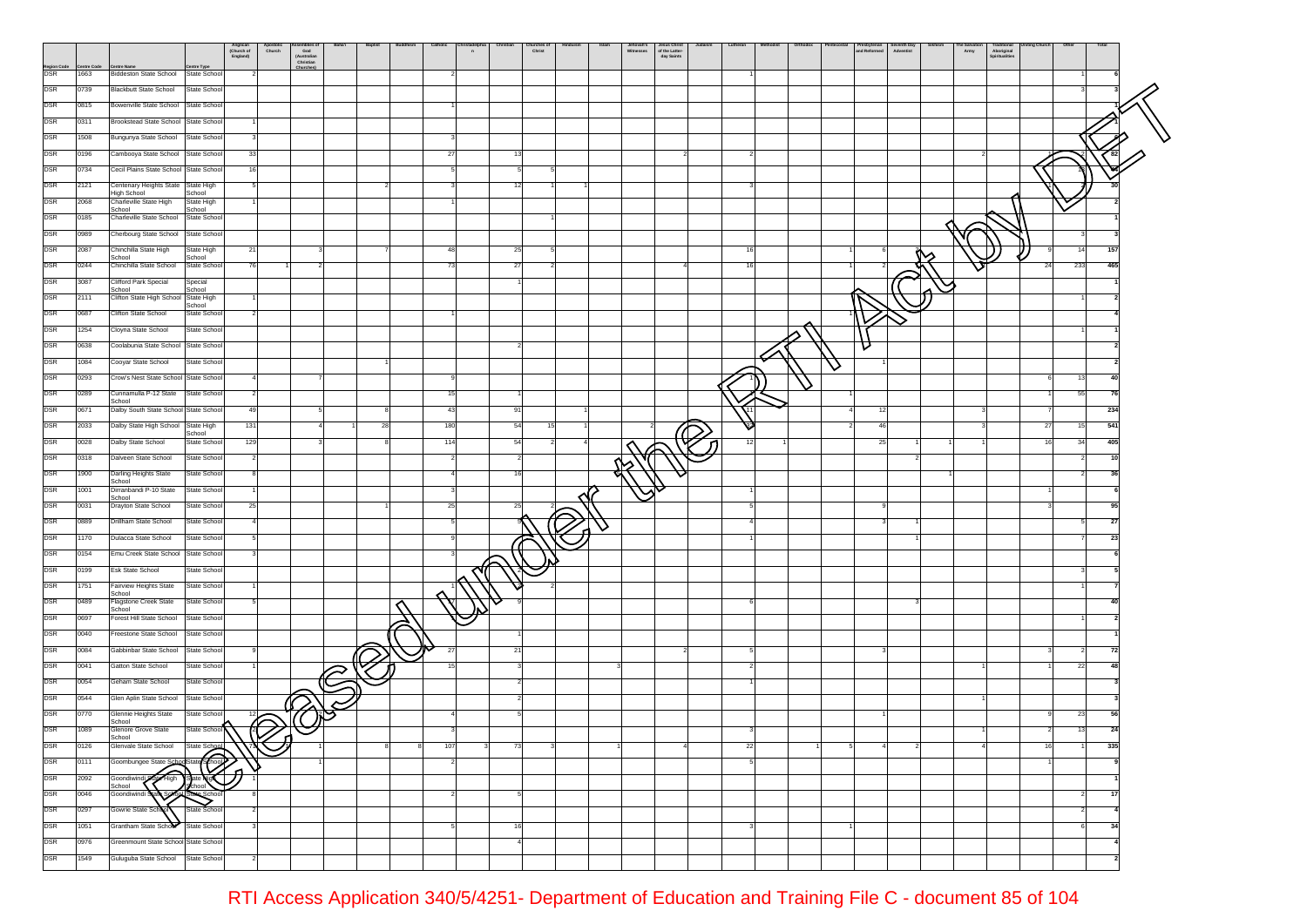|                    |                    |                                                                                   | Anglican<br>(Church of<br>England) | Apostolic<br>Church<br>ssemones o<br>God<br>(Australian<br>Christian | Baptist | Catholic       | n |    | hurches of<br>Christ | Jehovah's<br>Witnesses | Jesus Christ<br>of the Latter-<br>day Saints | Lutheran |  | Presbyterian<br>and Reformed | Seventh Day<br>Adventist | The Salvation | Traditional<br>Aboriginal<br>Spiritualities |    |                                  |  |
|--------------------|--------------------|-----------------------------------------------------------------------------------|------------------------------------|----------------------------------------------------------------------|---------|----------------|---|----|----------------------|------------------------|----------------------------------------------|----------|--|------------------------------|--------------------------|---------------|---------------------------------------------|----|----------------------------------|--|
| Region Code<br>DSR | entre Code<br>1663 | <b>Centre Name</b><br>entre Type<br><b>Biddeston State School</b><br>State School |                                    | Churches                                                             |         |                |   |    |                      |                        |                                              |          |  |                              |                          |               |                                             |    |                                  |  |
| <b>DSR</b>         | 0739               | <b>Blackbutt State School</b><br>State School                                     |                                    |                                                                      |         |                |   |    |                      |                        |                                              |          |  |                              |                          |               |                                             |    |                                  |  |
| <b>DSR</b>         | 0815               | Bowenville State School State School                                              |                                    |                                                                      |         |                |   |    |                      |                        |                                              |          |  |                              |                          |               |                                             |    |                                  |  |
| <b>DSR</b>         | 0311               | Brookstead State School State School                                              |                                    |                                                                      |         |                |   |    |                      |                        |                                              |          |  |                              |                          |               |                                             |    |                                  |  |
| DSR                | 1508               | Bungunya State School State School                                                |                                    |                                                                      |         |                |   |    |                      |                        |                                              |          |  |                              |                          |               |                                             |    |                                  |  |
| <b>DSR</b>         | 0196               | Cambooya State School State School                                                | 33                                 |                                                                      |         | 27             |   | 13 |                      |                        |                                              |          |  |                              |                          |               |                                             |    |                                  |  |
| DSR                | 0734               | Cecil Plains State School State School                                            | 16                                 |                                                                      |         |                |   | 5  |                      |                        |                                              |          |  |                              |                          |               |                                             |    |                                  |  |
| <b>DSR</b>         | 2121               | Centenary Heights State State High                                                |                                    |                                                                      |         |                |   | 12 |                      |                        |                                              |          |  |                              |                          |               |                                             |    |                                  |  |
| <b>DSR</b>         | 2068               | High School<br>School<br>Charleville State High<br>State High                     |                                    |                                                                      |         |                |   |    |                      |                        |                                              |          |  |                              |                          |               |                                             |    |                                  |  |
| <b>DSR</b>         | 0185               | School<br>School<br>Charleville State School<br>State School                      |                                    |                                                                      |         |                |   |    |                      |                        |                                              |          |  |                              |                          |               |                                             |    |                                  |  |
| <b>DSR</b>         | 0989               | Cherbourg State School State School                                               |                                    |                                                                      |         |                |   |    |                      |                        |                                              |          |  |                              |                          |               |                                             |    | 3                                |  |
| DSR                | 2087               | Chinchilla State High<br>State High                                               | 21                                 |                                                                      |         | 48             |   | 25 |                      |                        |                                              | 16       |  |                              |                          |               |                                             |    | 157<br>14                        |  |
| <b>DSR</b>         | 0244               | School<br>School<br>Chinchilla State School<br>State School                       | 76                                 |                                                                      |         | 73             |   | 27 |                      |                        |                                              | 16       |  |                              |                          |               |                                             | 24 | 233<br>465                       |  |
| <b>DSR</b>         | 3087               | Clifford Park Special<br>Special                                                  |                                    |                                                                      |         |                |   |    |                      |                        |                                              |          |  |                              |                          |               |                                             |    |                                  |  |
| <b>DSR</b>         | 2111               | School<br>School<br>Clifton State High School State High                          |                                    |                                                                      |         |                |   |    |                      |                        |                                              |          |  |                              |                          |               |                                             |    |                                  |  |
| <b>DSR</b>         | 0687               | School<br>Clifton State School<br>State School                                    |                                    |                                                                      |         |                |   |    |                      |                        |                                              |          |  |                              |                          |               |                                             |    |                                  |  |
| <b>DSR</b>         | 1254               | Cloyna State School<br>State School                                               |                                    |                                                                      |         |                |   |    |                      |                        |                                              |          |  |                              |                          |               |                                             |    |                                  |  |
| <b>DSR</b>         | 0638               | Coolabunia State School State School                                              |                                    |                                                                      |         |                |   |    |                      |                        |                                              |          |  | U                            |                          |               |                                             |    |                                  |  |
| <b>DSR</b>         | 1084               | Cooyar State School<br>State School                                               |                                    |                                                                      |         |                |   |    |                      |                        |                                              |          |  |                              |                          |               |                                             |    |                                  |  |
| DSR                | 0293               | Crow's Nest State School State School                                             |                                    |                                                                      |         |                |   |    |                      |                        |                                              |          |  | ∨                            |                          |               |                                             |    | 13<br>40                         |  |
| <b>DSR</b>         | 0289               | Cunnamulla P-12 State State School                                                |                                    |                                                                      |         | 15             |   |    |                      |                        |                                              |          |  |                              |                          |               |                                             |    | 55<br>- 76                       |  |
| <b>DSR</b>         | 0671               | School<br>Dalby South State School State School                                   | 49                                 |                                                                      |         | 43             |   | 91 |                      |                        |                                              |          |  |                              | 12                       |               |                                             |    | 234                              |  |
| DSR                | 2033               | Dalby State High School State High                                                | 131                                |                                                                      | 28      | 180            |   | 54 | 15                   |                        |                                              |          |  |                              | 46                       |               |                                             | 27 | 541<br>15                        |  |
| <b>DSR</b>         | 0028               | School<br>Dalby State School<br>State School                                      | 129                                |                                                                      |         | 114            |   | 54 |                      |                        |                                              | 12       |  |                              | 25                       |               |                                             | 16 | 405<br>34                        |  |
| <b>DSR</b>         | 0318               | Dalveen State School<br>State School                                              |                                    |                                                                      |         |                |   |    |                      |                        |                                              |          |  |                              |                          |               |                                             |    |                                  |  |
| <b>DSR</b>         | 1900               | State School<br>Darling Heights State                                             |                                    |                                                                      |         |                |   | 16 |                      |                        |                                              |          |  |                              |                          |               |                                             |    |                                  |  |
| <b>DSR</b>         | 1001               | School<br>Dirranbandi P-10 State<br>State School                                  |                                    |                                                                      |         |                |   |    |                      |                        |                                              |          |  |                              |                          |               |                                             |    |                                  |  |
| <b>DSR</b>         | 0031               | School<br>Drayton State School<br>State School                                    | 25                                 |                                                                      |         | 25             |   | 25 |                      |                        |                                              |          |  |                              |                          |               |                                             |    | 95                               |  |
| <b>DSR</b>         | 0889               | Drillham State School<br>State School                                             |                                    | $\overline{4}$                                                       |         |                |   |    |                      |                        |                                              |          |  |                              |                          |               |                                             |    | 27                               |  |
| <b>DSR</b>         | 1170               | Dulacca State School<br>State School                                              |                                    |                                                                      |         |                |   |    |                      |                        |                                              |          |  |                              |                          |               |                                             |    | -23                              |  |
| <b>DSR</b>         | 0154               | Emu Creek State School State School                                               |                                    |                                                                      |         |                |   |    |                      |                        |                                              |          |  |                              |                          |               |                                             |    |                                  |  |
| DSR                | 0199               | <b>Esk State School</b><br>State School                                           |                                    |                                                                      |         |                |   |    |                      |                        |                                              |          |  |                              |                          |               |                                             |    |                                  |  |
| DSR                | 1751               | Fairview Heights State<br>State School                                            |                                    |                                                                      |         |                |   |    |                      |                        |                                              |          |  |                              |                          |               |                                             |    |                                  |  |
| DSR                | 0489               | School<br>Flagstone Creek State<br>State School                                   |                                    |                                                                      |         |                |   |    |                      |                        |                                              |          |  |                              |                          |               |                                             |    |                                  |  |
| <b>DSR</b>         | 0697               | School<br>Forest Hill State School<br>State School                                |                                    |                                                                      |         |                |   |    |                      |                        |                                              |          |  |                              |                          |               |                                             |    |                                  |  |
| DSR                | 0040               | Freestone State School<br>State School                                            |                                    |                                                                      |         |                |   |    |                      |                        |                                              |          |  |                              |                          |               |                                             |    |                                  |  |
| <b>DSR</b>         | 0084               | Gabbinbar State School<br>State School                                            |                                    |                                                                      |         | 27             |   | 21 |                      |                        |                                              |          |  |                              |                          |               |                                             |    | 72                               |  |
| <b>DSR</b>         | 0041               | Gatton State School<br>State School                                               |                                    |                                                                      |         |                |   |    |                      |                        |                                              |          |  |                              |                          |               |                                             |    | 22<br>48                         |  |
| <b>DSR</b>         | 0054               | Geham State School<br>State School                                                |                                    | $\widehat{\mathcal{C}}$                                              |         |                |   |    |                      |                        |                                              |          |  |                              |                          |               |                                             |    |                                  |  |
| <b>DSR</b>         | 0544               | Glen Aplin State School<br>State School                                           |                                    |                                                                      |         |                |   |    |                      |                        |                                              |          |  |                              |                          |               |                                             |    |                                  |  |
| DSR                | 0770               | Glennie Heights State<br>State School                                             |                                    | 12                                                                   |         |                |   |    |                      |                        |                                              |          |  |                              |                          |               |                                             |    | 23<br>56                         |  |
| <b>DSR</b>         | 1089               | School<br>Glenore Grove State<br>State School                                     |                                    | E<br>n                                                               |         |                |   |    |                      |                        |                                              |          |  |                              |                          |               |                                             |    | 13<br>24                         |  |
| <b>DSR</b>         | 0126               | School<br>Glenvale State School<br>State School                                   |                                    |                                                                      |         | 107            |   | 73 |                      |                        |                                              | 22       |  |                              |                          |               |                                             |    | 335                              |  |
| <b>DSR</b>         | 0111               | Goombungee State SchoolState School                                               |                                    | v                                                                    |         | $\overline{2}$ |   |    |                      |                        |                                              |          |  |                              |                          |               |                                             |    |                                  |  |
| <b>DSR</b>         | 2092               | <b>Pre High</b> tate vig<br>Goondiwindi                                           | ก                                  |                                                                      |         |                |   |    |                      |                        |                                              |          |  |                              |                          |               |                                             |    |                                  |  |
| <b>DSR</b>         | 0046               | School<br>School<br>Goondiwindi                                                   |                                    |                                                                      |         |                |   | 5  |                      |                        |                                              |          |  |                              |                          |               |                                             |    | 17<br>$\overline{2}$             |  |
| <b>DSR</b>         | 0297               | Gowrie State Scho<br>State School                                                 |                                    |                                                                      |         |                |   |    |                      |                        |                                              |          |  |                              |                          |               |                                             |    | $\overline{2}$<br>$\overline{a}$ |  |
| <b>DSR</b>         | 1051               | Grantham State School<br>State School                                             |                                    |                                                                      |         |                |   | 16 |                      |                        |                                              |          |  |                              |                          |               |                                             |    | 34                               |  |
| <b>DSR</b>         | 0976               | Greenmount State School State School                                              |                                    |                                                                      |         |                |   |    |                      |                        |                                              |          |  |                              |                          |               |                                             |    |                                  |  |
| <b>DSR</b>         | 1549               | Guluguba State School State School                                                |                                    |                                                                      |         |                |   |    |                      |                        |                                              |          |  |                              |                          |               |                                             |    |                                  |  |
|                    |                    |                                                                                   |                                    |                                                                      |         |                |   |    |                      |                        |                                              |          |  |                              |                          |               |                                             |    |                                  |  |

RTI Access Application 340/5/4251- Department of Education and Training File C - document 85 of 104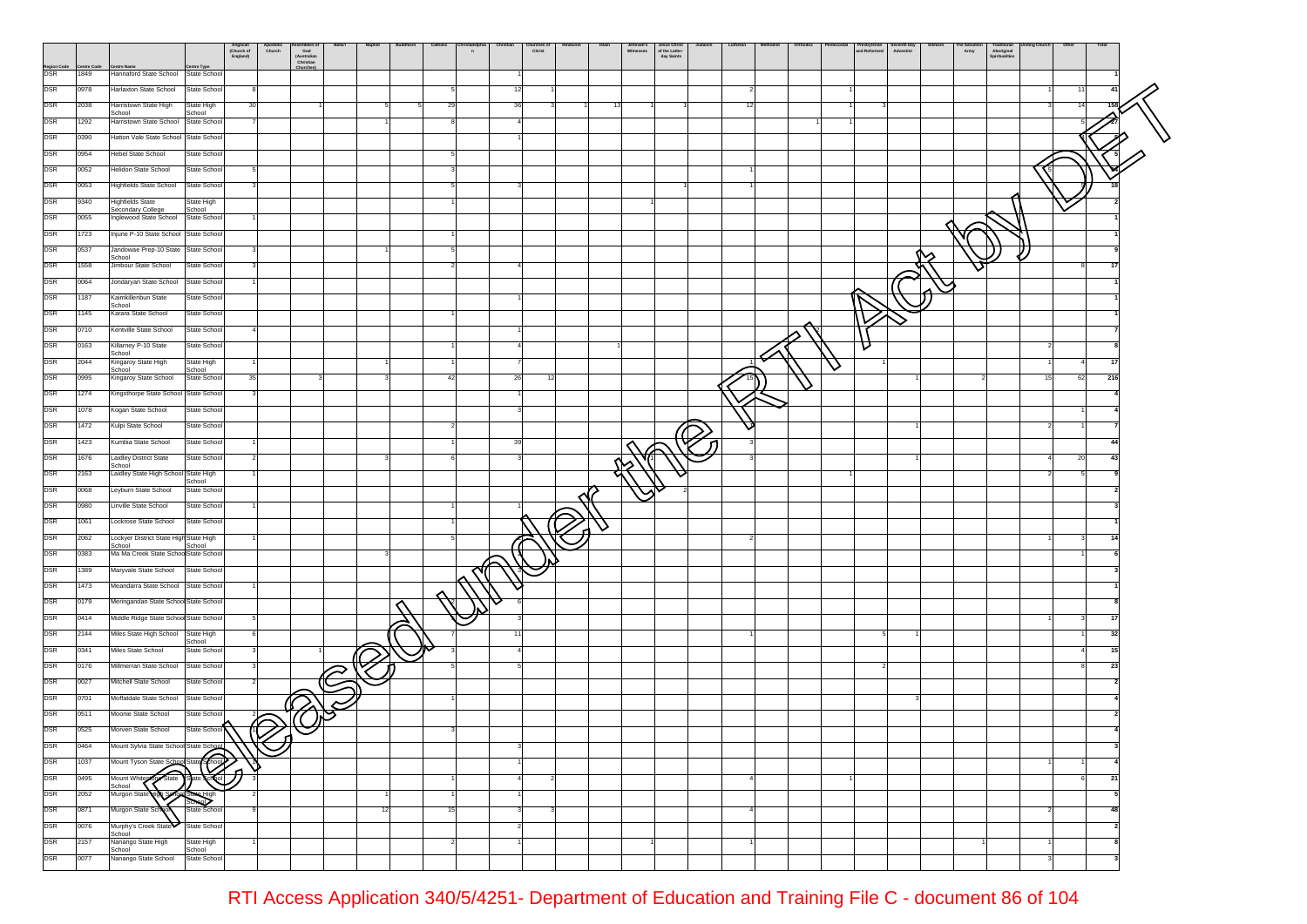|                          |                    |                                                                           | Anglican<br>(Church of<br>England) | Apostolic<br>Church<br>ssemones o<br>God<br>(Australian<br>Christian | Baptist | Catholic | $\bullet$ |    | hurches of<br>Christ | Islam | Jehovah's<br>Witnesses | Jesus Christ<br>of the Latter-<br>day Saints | Lutheran | Orthodox |   | Presbyterian<br>and Reformed<br>Seventh Day<br>Adventist | The Search<br>Army | raditional<br>Aboriginal<br>Spiritualities |           |  |
|--------------------------|--------------------|---------------------------------------------------------------------------|------------------------------------|----------------------------------------------------------------------|---------|----------|-----------|----|----------------------|-------|------------------------|----------------------------------------------|----------|----------|---|----------------------------------------------------------|--------------------|--------------------------------------------|-----------|--|
| Region Code<br>DSR       | entre Code<br>1849 | <b>Centre Name</b><br>entre Type<br>Hannaford State School State School   |                                    | Churches                                                             |         |          |           |    |                      |       |                        |                                              |          |          |   |                                                          |                    |                                            |           |  |
| <b>DSR</b>               | 0978               | Harlaxton State School<br>State School                                    |                                    |                                                                      |         |          |           |    |                      |       |                        |                                              |          |          |   |                                                          |                    |                                            | 11<br>41  |  |
| DSR                      | 2038               | Harristown State High<br>State High                                       | 30                                 |                                                                      |         | 29       |           | 36 |                      | 13    |                        |                                              | 12       |          |   |                                                          |                    |                                            | 14        |  |
| DSR                      | 1292               | School<br>School<br>Harristown State School State School                  |                                    |                                                                      |         |          |           |    |                      |       |                        |                                              |          |          |   |                                                          |                    |                                            |           |  |
| DSR                      | 0390               | Hatton Vale State School State School                                     |                                    |                                                                      |         |          |           |    |                      |       |                        |                                              |          |          |   |                                                          |                    |                                            |           |  |
| <b>DSR</b>               | 0954               | <b>Hebel State School</b><br>State School                                 |                                    |                                                                      |         |          |           |    |                      |       |                        |                                              |          |          |   |                                                          |                    |                                            |           |  |
| DSR                      | 0052               | <b>Helidon State School</b><br>State School                               |                                    |                                                                      |         |          |           |    |                      |       |                        |                                              |          |          |   |                                                          |                    |                                            |           |  |
| <b>DSR</b>               | 0053               | <b>Highfields State School</b><br>State School                            |                                    |                                                                      |         |          |           |    |                      |       |                        |                                              |          |          |   |                                                          |                    |                                            |           |  |
| <b>DSR</b>               | 9340               | <b>Highfields State</b><br>State High<br>School<br>Secondary College      |                                    |                                                                      |         |          |           |    |                      |       |                        |                                              |          |          |   |                                                          |                    |                                            |           |  |
| <b>DSR</b>               | 0055               | Inglewood State School<br>State School                                    |                                    |                                                                      |         |          |           |    |                      |       |                        |                                              |          |          |   |                                                          |                    |                                            |           |  |
| <b>DSR</b>               | 1723               | Injune P-10 State School State School                                     |                                    |                                                                      |         |          |           |    |                      |       |                        |                                              |          |          |   |                                                          |                    |                                            |           |  |
| DSR                      | 0537               | Jandowae Prep-10 State State School<br>School                             |                                    |                                                                      |         |          |           |    |                      |       |                        |                                              |          |          |   |                                                          |                    |                                            |           |  |
| <b>DSR</b>               | 1558               | Jimbour State School<br>State School                                      |                                    |                                                                      |         |          |           |    |                      |       |                        |                                              |          |          |   |                                                          |                    |                                            |           |  |
| <b>DSR</b>               | 0064               | Jondaryan State School<br>State School                                    |                                    |                                                                      |         |          |           |    |                      |       |                        |                                              |          |          |   |                                                          |                    |                                            |           |  |
| DSR                      | 1187               | Kaimkillenbun State<br>State School<br>School                             |                                    |                                                                      |         |          |           |    |                      |       |                        |                                              |          |          |   |                                                          |                    |                                            |           |  |
| DSR                      | 1145               | Karara State School<br>State School                                       |                                    |                                                                      |         |          |           |    |                      |       |                        |                                              |          |          |   |                                                          |                    |                                            |           |  |
| <b>DSR</b>               | 0710               | Kentville State School<br>State School                                    |                                    |                                                                      |         |          |           |    |                      |       |                        |                                              |          |          |   |                                                          |                    |                                            |           |  |
| DSR                      | 0163               | Killarney P-10 State<br>State School<br>School                            |                                    |                                                                      |         |          |           |    |                      |       |                        |                                              |          |          | v |                                                          |                    |                                            |           |  |
| DSR                      | 2044               | Kingaroy State High<br>State High<br>School<br>School                     |                                    |                                                                      |         |          |           |    |                      |       |                        |                                              |          |          | ∨ |                                                          |                    |                                            | 17        |  |
| <b>DSR</b>               | 0995               | Kingaroy State School<br>State School                                     | 35                                 |                                                                      |         | 42       |           | 26 |                      |       |                        |                                              |          |          |   |                                                          |                    |                                            | 62<br>216 |  |
| <b>DSR</b>               | 1274               | Kingsthorpe State School State School                                     |                                    |                                                                      |         |          |           |    |                      |       |                        |                                              |          |          |   |                                                          |                    |                                            |           |  |
| <b>DSR</b>               | 1078               | Kogan State School<br>State School                                        |                                    |                                                                      |         |          |           |    |                      |       |                        |                                              |          |          |   |                                                          |                    |                                            |           |  |
| DSR<br><b>DSR</b>        | 1472<br>1423       | Kulpi State School<br>State School<br>Kumbia State School<br>State School |                                    |                                                                      |         |          |           |    |                      |       |                        |                                              |          |          |   |                                                          |                    |                                            | 44        |  |
| <b>DSR</b>               | 1676               | <b>Laidley District State</b><br>State School                             |                                    |                                                                      |         |          |           | 39 |                      |       |                        |                                              |          |          |   |                                                          |                    |                                            | 20<br>43  |  |
| <b>DSR</b>               | 2163               | School<br>Laidley State High School State High                            |                                    |                                                                      |         |          |           |    |                      |       |                        |                                              |          |          |   |                                                          |                    |                                            |           |  |
| <b>DSR</b>               | 0068               | School<br>Leyburn State School<br>State School                            |                                    |                                                                      |         |          |           |    |                      |       |                        |                                              |          |          |   |                                                          |                    |                                            |           |  |
| <b>DSR</b>               | 0980               | Linville State School<br>State School                                     |                                    |                                                                      |         |          |           |    |                      |       |                        |                                              |          |          |   |                                                          |                    |                                            |           |  |
| <b>DSR</b>               | 1061               | Lockrose State School<br>State School                                     |                                    |                                                                      |         |          |           |    |                      |       |                        |                                              |          |          |   |                                                          |                    |                                            |           |  |
| DSR                      | 2062               | Lockyer District State High State High                                    |                                    |                                                                      |         |          |           |    |                      |       |                        |                                              |          |          |   |                                                          |                    |                                            |           |  |
| <b>DSR</b>               | 0383               | School<br>School<br>Ma Ma Creek State SchoolState School                  |                                    |                                                                      |         |          |           |    |                      |       |                        |                                              |          |          |   |                                                          |                    |                                            |           |  |
| DSR                      | 1389               | Maryvale State School State School                                        |                                    |                                                                      |         |          |           |    |                      |       |                        |                                              |          |          |   |                                                          |                    |                                            |           |  |
| DSR                      | 1473               | Meandarra State School State School                                       |                                    |                                                                      |         |          |           |    |                      |       |                        |                                              |          |          |   |                                                          |                    |                                            |           |  |
| DSR                      | 0179               | Meringandan State School State School                                     |                                    |                                                                      |         |          |           |    |                      |       |                        |                                              |          |          |   |                                                          |                    |                                            |           |  |
| <b>DSR</b>               | 0414               | Middle Ridge State School State School                                    |                                    |                                                                      |         |          |           |    |                      |       |                        |                                              |          |          |   |                                                          |                    |                                            |           |  |
| DSR                      | 2144               | Miles State High School<br>State High<br>School                           |                                    |                                                                      |         |          |           |    |                      |       |                        |                                              |          |          |   |                                                          |                    |                                            | 32        |  |
| <b>DSR</b>               | 0341               | Miles State School<br>State School                                        |                                    |                                                                      |         |          |           |    |                      |       |                        |                                              |          |          |   |                                                          |                    |                                            | 15        |  |
| <b>DSR</b>               | 0176               | Millmerran State School<br>State School                                   |                                    | $\widehat{\mathcal{C}}$                                              |         |          |           |    |                      |       |                        |                                              |          |          |   |                                                          |                    |                                            | 23        |  |
| <b>DSR</b>               | 0027               | Mitchell State School<br>State School                                     |                                    |                                                                      |         |          |           |    |                      |       |                        |                                              |          |          |   |                                                          |                    |                                            |           |  |
| <b>DSR</b>               | 0701               | Moffatdale State School<br>State School                                   |                                    |                                                                      |         |          |           |    |                      |       |                        |                                              |          |          |   |                                                          |                    |                                            |           |  |
| <b>DSR</b>               | 0511               | Moonie State School<br>State School                                       |                                    | $2^{\mid}$ .                                                         |         |          |           |    |                      |       |                        |                                              |          |          |   |                                                          |                    |                                            |           |  |
| <b>DSR</b>               | 0525               | Morven State School<br>State School                                       |                                    | $\circledcirc$<br>n                                                  |         |          |           |    |                      |       |                        |                                              |          |          |   |                                                          |                    |                                            |           |  |
| <b>DSR</b>               | 0464               | Mount Sylvia State School State School                                    |                                    |                                                                      |         |          |           |    |                      |       |                        |                                              |          |          |   |                                                          |                    |                                            |           |  |
| <b>DSR</b>               | 1037               | Mount Tyson State School State School<br>State State                      | ∩                                  | V                                                                    |         |          |           |    |                      |       |                        |                                              |          |          |   |                                                          |                    |                                            |           |  |
| <b>DSR</b>               | 0495               | Mount White<br>School                                                     | را©*                               |                                                                      |         |          |           |    |                      |       |                        |                                              |          |          |   |                                                          |                    |                                            | 21        |  |
| <b>DSR</b>               | 2052               | Murgon State<br>State High<br>School                                      |                                    |                                                                      |         |          |           |    |                      |       |                        |                                              |          |          |   |                                                          |                    |                                            |           |  |
| <b>DSR</b>               | 0871               | Murgon State Sche<br>State School                                         |                                    |                                                                      | 12      | 15       |           |    |                      |       |                        |                                              |          |          |   |                                                          |                    |                                            | 48        |  |
| <b>DSR</b><br><b>DSR</b> | 0076<br>2157       | Murphy's Creek State<br>State School<br>School<br>State High              |                                    |                                                                      |         |          |           |    |                      |       |                        |                                              |          |          |   |                                                          |                    |                                            |           |  |
| <b>DSR</b>               | 0077               | Nanango State High<br>School<br>School<br>Nanango State School            |                                    |                                                                      |         |          |           |    |                      |       |                        |                                              |          |          |   |                                                          |                    |                                            |           |  |
|                          |                    | State School                                                              |                                    |                                                                      |         |          |           |    |                      |       |                        |                                              |          |          |   |                                                          |                    |                                            |           |  |

RTI Access Application 340/5/4251- Department of Education and Training File C - document 86 of 104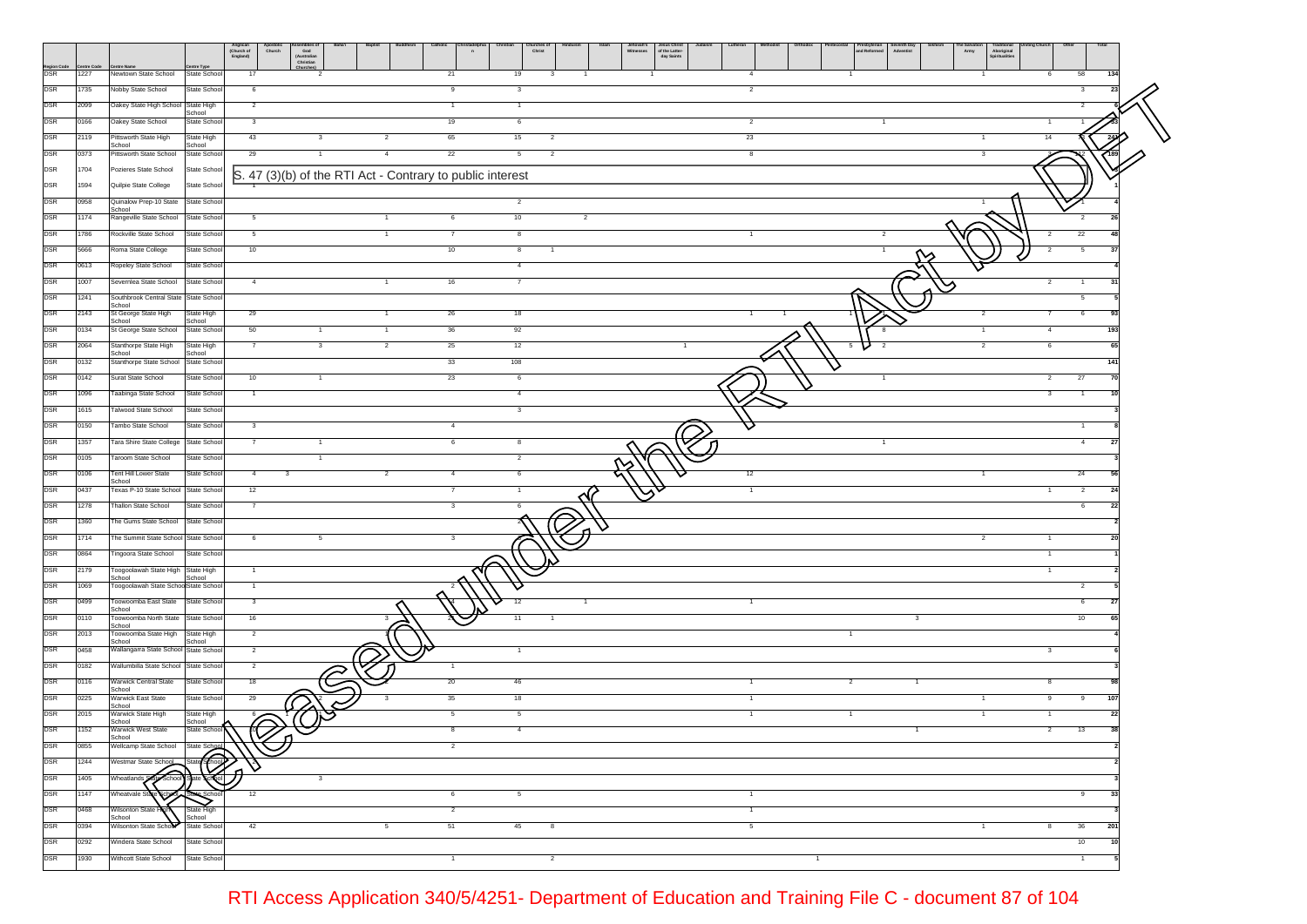|                          |                    |                                                   | Anglican<br>(Church of<br>England)<br>Jesus Christ<br>of the Latter-<br>day Saints<br>hurches<br>Christ<br>Apostolic<br>Church<br>e Salvat<br>Army<br>Assemblies o<br>God<br>(Australian<br>Christian<br>and Reformed<br>Adventist<br>Aboriginal<br>Spiritualities |
|--------------------------|--------------------|---------------------------------------------------|--------------------------------------------------------------------------------------------------------------------------------------------------------------------------------------------------------------------------------------------------------------------|
| Region Code<br>DSR       | Centre Cod<br>1227 | Newtown State School                              | ntre Type<br>58<br>State School<br>-17<br>21<br>19<br>6<br>134<br>3<br>$\overline{4}$                                                                                                                                                                              |
| <b>DSR</b>               | 1735               | Nobby State School                                | State School<br>9<br>$\mathbf{3}$<br>$\overline{2}$<br>3<br>23<br>6                                                                                                                                                                                                |
| <b>DSR</b>               | 2099               | Oakey State High School State High                | $\overline{2}$<br>$\mathbf{1}$<br>$\overline{1}$                                                                                                                                                                                                                   |
| <b>DSR</b>               | 0166               | Oakey State School                                | School<br>State School<br>3<br>19<br>6<br>$\overline{2}$                                                                                                                                                                                                           |
| <b>DSR</b>               | 2119               | Pittsworth State High                             | State High<br>43<br>65<br>15<br>23<br>$\overline{\mathbf{c}}$<br>14<br>3                                                                                                                                                                                           |
| <b>DSR</b>               | 0373               | School<br>Pittsworth State School                 | School<br>22<br>State School<br>29<br>$5\overline{5}$<br>$\overline{\mathbf{c}}$<br>8<br>3                                                                                                                                                                         |
| DSR                      | 1704               | Pozieres State School                             | State School<br>S. 47 (3)(b) of the RTI Act - Contrary to public interest                                                                                                                                                                                          |
| DSR                      | 1594               | Quilpie State College                             | State School                                                                                                                                                                                                                                                       |
| <b>DSR</b>               | 0958               | Quinalow Prep-10 State State School<br>School     | $\overline{2}$                                                                                                                                                                                                                                                     |
| <b>DSR</b>               | 1174               | Rangeville State School                           | 10<br>State School<br>$5\overline{5}$<br>6<br>$\overline{2}$<br>$\overline{2}$<br>-1                                                                                                                                                                               |
| <b>DSR</b>               | 1786               | Rockville State School                            | 22<br>State School<br>$\overline{\mathbf{8}}$<br>$\overline{2}$<br>$5\overline{5}$<br>$\overline{7}$<br>$\overline{a}$<br>$\overline{1}$<br>-1                                                                                                                     |
| <b>DSR</b>               | 5666               | Roma State College                                | State School<br>10<br>10<br>8                                                                                                                                                                                                                                      |
| <b>DSR</b>               | 0613               | Ropeley State School                              | State School<br>$\overline{4}$                                                                                                                                                                                                                                     |
| <b>DSR</b>               | 1007               | Severnlea State School                            | State School<br>$\overline{4}$<br>16<br>$\overline{7}$<br>3 <sup>′</sup>                                                                                                                                                                                           |
| <b>DSR</b>               | 1241               | Southbrook Central State State School<br>School   | 5                                                                                                                                                                                                                                                                  |
| <b>DSR</b>               | 2143               | St George State High<br>School                    | State High<br>29<br>26<br>18<br>6<br>93<br>School                                                                                                                                                                                                                  |
| <b>DSR</b>               | 0134               | St George State School                            | 50<br>36<br>92<br>State School<br>$\overline{4}$<br>193<br>$\mathbf{1}$<br>$\mathbf{1}$                                                                                                                                                                            |
| <b>DSR</b>               | 2064               | Stanthorpe State High<br>School                   | 25<br>12<br>$\overline{\mathbf{3}}$<br>$\overline{a}$<br>State High<br>$\overline{7}$<br>$\overline{2}$<br>6<br>65<br>School                                                                                                                                       |
| <b>DSR</b>               | 0132               | Stanthorpe State School                           | 33<br>108<br>State School<br>141                                                                                                                                                                                                                                   |
| <b>DSR</b>               | 0142               | Surat State School                                | State School<br>10<br>23<br>6<br>$\overline{2}$<br>27<br>70<br>$\mathbf{1}$                                                                                                                                                                                        |
| <b>DSR</b>               | 1096               | Taabinga State School                             | State School<br>$\overline{4}$<br>$\overline{1}$<br>3<br>3                                                                                                                                                                                                         |
| <b>DSR</b><br><b>DSR</b> | 1615<br>0150       | alwood State School<br>Fambo State School         | State School<br>State School<br>$\mathbf{3}$<br>4<br>1                                                                                                                                                                                                             |
| DSR                      | 1357               | Tara Shire State College                          | State School<br>$\overline{7}$<br>6<br>$\overline{4}$                                                                                                                                                                                                              |
| <b>DSR</b>               | 0105               | Taroom State School                               | State School<br>$\overline{2}$                                                                                                                                                                                                                                     |
| DSR                      | 0106               | Tent Hill Lower State                             | 24<br>12<br>State School<br>$\overline{4}$<br>$\mathbf{3}$<br>$\overline{a}$<br>6                                                                                                                                                                                  |
| <b>DSR</b>               | 0437               | School<br>Texas P-10 State School State School    | 12<br>$\overline{2}$                                                                                                                                                                                                                                               |
| <b>DSR</b>               | 1278               | <b>Thallon State School</b>                       | State School<br>3<br>6<br>$\overline{7}$<br>-22<br>6                                                                                                                                                                                                               |
| <b>DSR</b>               | 1360               | The Gums State School State School                |                                                                                                                                                                                                                                                                    |
| <b>DSR</b>               | 1714               | The Summit State School State School              | 6                                                                                                                                                                                                                                                                  |
| DSR                      | 0864               | Tingoora State School                             | State School                                                                                                                                                                                                                                                       |
| DSR                      | 2179               | Toogoolawah State High State High                 | $\overline{1}$                                                                                                                                                                                                                                                     |
| <b>DSR</b>               | 1069               | School<br>Toogoolawah State SchoolState School    | School<br>$\overline{a}$<br>$\overline{1}$                                                                                                                                                                                                                         |
| DSR                      | 0499               | Toowoomba East State<br>School                    | State School<br>3<br>12<br>6<br>-27                                                                                                                                                                                                                                |
| <b>DSR</b>               | 0110               | Toowoomba North State State School<br>School      | 16<br>10<br>3<br>11<br>$\overline{\mathbf{3}}$                                                                                                                                                                                                                     |
| <b>DSR</b>               | 2013               | Toowoomba State High<br>School                    | $\overline{2}$<br>State High<br>School                                                                                                                                                                                                                             |
| <b>DSR</b>               | 0458               | Wallangarra State School State School             | $\overline{2}$<br>$\overline{\mathbf{3}}$                                                                                                                                                                                                                          |
| <b>DSR</b>               | 0182               | Wallumbilla State School State School             | $\overline{a}$                                                                                                                                                                                                                                                     |
| <b>DSR</b>               | 0116               | Warwick Central State<br>School                   | State School<br>18<br>20<br>46<br>8<br>-2<br>-1.                                                                                                                                                                                                                   |
| <b>DSR</b>               | 0225               | Warwick East State<br>School                      | 35<br>18<br>State School<br>29<br>$\mathbf{1}$<br>9<br>107<br>9                                                                                                                                                                                                    |
| <b>DSR</b>               | 2015               | Warwick State High<br>School                      | State High<br>5<br>$5\overline{)}$<br>$\overline{1}$<br>22<br>School<br>$\overline{R}$                                                                                                                                                                             |
| DSR                      | 1152               | Warwick West State<br>scnool                      | $\overline{4}$<br>13<br>38<br>State School<br>8<br>$\overline{2}$<br>$\overline{1}$                                                                                                                                                                                |
| <b>DSR</b><br><b>DSR</b> | 0855               | Wellcamp State School State School                | $\overline{2}$                                                                                                                                                                                                                                                     |
| <b>DSR</b>               | 1244               | Westmar State Schoo<br>$\widehat{\mathsf{schod}}$ | @<br>$\mathbf{3}$                                                                                                                                                                                                                                                  |
| <b>DSR</b>               | 1405<br>1147       | Wheatlands Stan<br>Wheatvale St                   | 12<br>5<br>33<br>6<br>$\mathbf{1}$                                                                                                                                                                                                                                 |
| <b>DSR</b>               | 0468               | Wilsonton State                                   | State High<br>$\overline{2}$                                                                                                                                                                                                                                       |
| <b>DSR</b>               | 0394               | School<br>Wilsonton State School                  | School<br><b>State School</b><br>42<br>51<br>45<br>36<br>201<br>8<br>5                                                                                                                                                                                             |
| <b>DSR</b>               | 0292               | Windera State School                              | State School<br>10                                                                                                                                                                                                                                                 |
| <b>DSR</b>               | 1930               | Withcott State School                             | State School<br>$\overline{2}$<br>$\mathbf{1}$<br>$\mathbf{1}$<br>1                                                                                                                                                                                                |
|                          |                    |                                                   |                                                                                                                                                                                                                                                                    |

RTI Access Application 340/5/4251- Department of Education and Training File C - document 87 of 104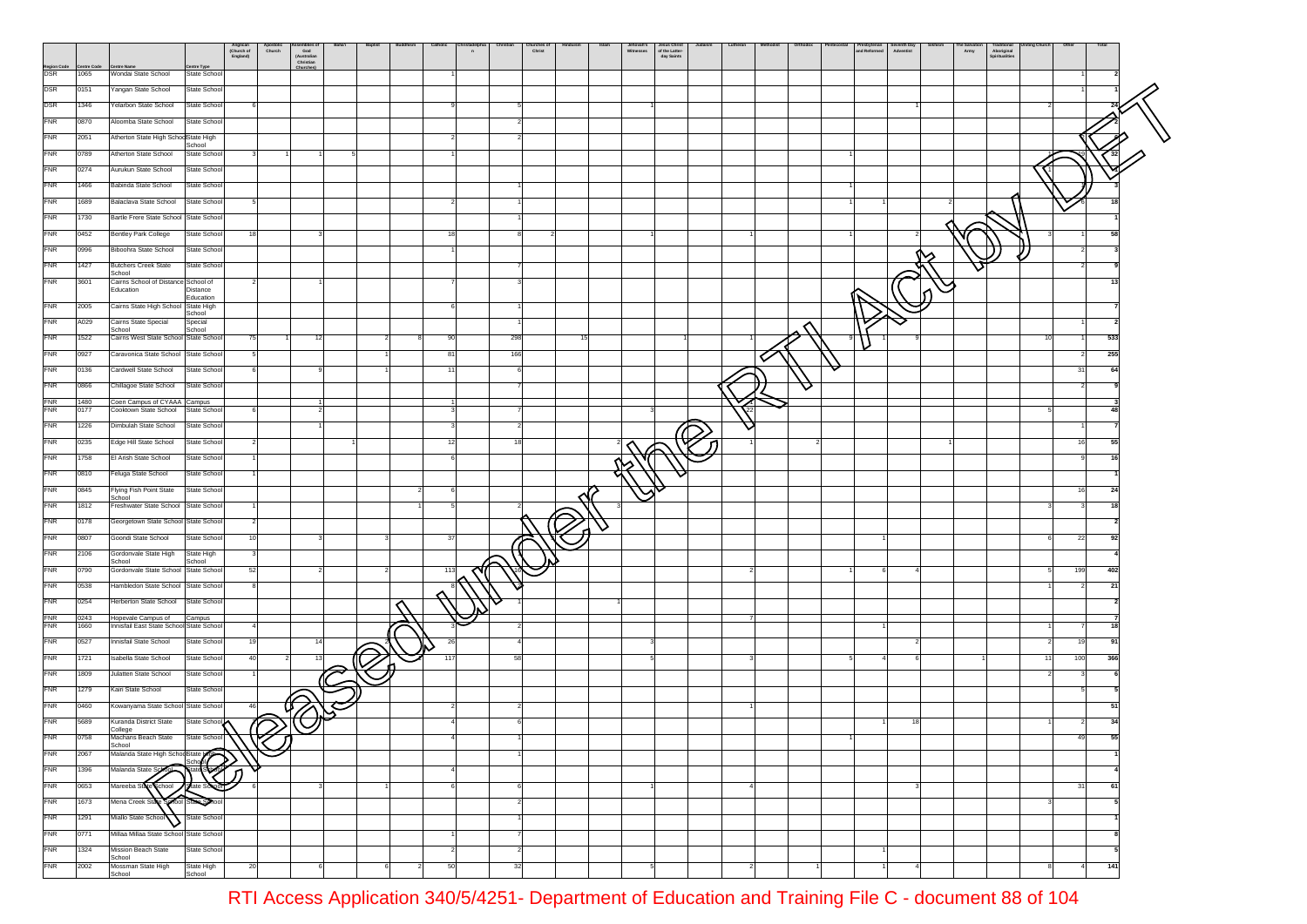|                          |                   |                                                                   | Anglican<br>(Church of<br>England)     | Apossom | God<br>God<br>(Australian<br>Christian | Baha'i | Baptist | Catholic | n   |                | Churches o<br>Christ |     |               | Jesus Christ<br>of the Latter-<br>Witnesses<br>day Saints |  |   | Presbyterian<br>and Reformed | Seventh Day<br>Adventist | Army | rraditional<br>Spiritualities |    |                |     |
|--------------------------|-------------------|-------------------------------------------------------------------|----------------------------------------|---------|----------------------------------------|--------|---------|----------|-----|----------------|----------------------|-----|---------------|-----------------------------------------------------------|--|---|------------------------------|--------------------------|------|-------------------------------|----|----------------|-----|
| Region Code<br>DSR       | ntre Code<br>1065 | entre Name<br>Wondai State School                                 | entre Type<br>State School             |         | Churches                               |        |         |          |     |                |                      |     |               |                                                           |  |   |                              |                          |      |                               |    |                |     |
| <b>DSR</b>               | 0151              | Yangan State School                                               | State School                           |         |                                        |        |         |          |     |                |                      |     |               |                                                           |  |   |                              |                          |      |                               |    |                |     |
| DSR                      |                   |                                                                   |                                        |         |                                        |        |         |          |     |                |                      |     |               |                                                           |  |   |                              |                          |      |                               |    |                |     |
|                          | 1346              | Yelarbon State School                                             | State School                           |         |                                        |        |         |          |     |                |                      |     |               |                                                           |  |   |                              |                          |      |                               |    |                |     |
| <b>FNR</b>               | 0870              | Aloomba State School                                              | State School                           |         |                                        |        |         |          |     |                |                      |     |               |                                                           |  |   |                              |                          |      |                               |    |                |     |
| <b>FNR</b>               | 2051              | Atherton State High SchoolState High                              | School                                 |         |                                        |        |         |          |     |                |                      |     |               |                                                           |  |   |                              |                          |      |                               |    |                |     |
| <b>FNR</b>               | 0789              | Atherton State School                                             | State School                           |         |                                        |        |         |          |     |                |                      |     |               |                                                           |  |   |                              |                          |      |                               |    |                |     |
| <b>FNR</b>               | 0274              | Aurukun State School                                              | State School                           |         |                                        |        |         |          |     |                |                      |     |               |                                                           |  |   |                              |                          |      |                               |    |                |     |
| <b>FNR</b>               | 1466              | Babinda State School                                              | State School                           |         |                                        |        |         |          |     |                |                      |     |               |                                                           |  |   |                              |                          |      |                               |    |                |     |
| <b>FNR</b>               | 1689              | Balaclava State School                                            | State School                           |         |                                        |        |         |          |     |                |                      |     |               |                                                           |  |   |                              |                          |      |                               |    |                |     |
| <b>FNR</b>               | 1730              | Bartle Frere State School State School                            |                                        |         |                                        |        |         |          |     |                |                      |     |               |                                                           |  |   |                              |                          |      |                               |    |                |     |
| <b>FNR</b>               | 0452              | Bentley Park College                                              | State School<br>18                     |         |                                        |        |         |          | 18  | 8              |                      |     |               |                                                           |  |   |                              |                          |      |                               |    |                | 58  |
| FNR                      | 0996              | Biboohra State School                                             | State School                           |         |                                        |        |         |          |     |                |                      |     |               |                                                           |  |   |                              |                          |      |                               |    |                |     |
| FNR                      | 1427              | <b>Butchers Creek State</b>                                       | State School                           |         |                                        |        |         |          |     |                |                      |     |               |                                                           |  |   |                              |                          |      |                               |    |                |     |
| <b>FNR</b>               | 3601              | School<br>Cairns School of Distance School of                     |                                        |         |                                        |        |         |          |     |                |                      |     |               |                                                           |  |   |                              |                          |      |                               |    |                | 13  |
|                          |                   | Education                                                         | Distance<br>Education                  |         |                                        |        |         |          |     |                |                      |     |               |                                                           |  |   |                              |                          |      |                               |    |                |     |
| <b>FNR</b>               | 2005              | Cairns State High School State High                               | School                                 |         |                                        |        |         |          |     |                |                      |     |               |                                                           |  |   |                              |                          |      |                               |    |                |     |
| <b>FNR</b>               | A029              | Cairns State Special<br>School                                    | Special<br>School                      |         |                                        |        |         |          |     |                |                      |     |               |                                                           |  |   |                              |                          |      |                               |    |                |     |
| <b>FNR</b>               | 1522              | Cairns West State School State School                             | 75                                     |         | 12                                     |        |         |          | 90  | 298            |                      | -15 |               |                                                           |  |   |                              |                          |      |                               | 10 |                | 533 |
| <b>FNR</b>               | 0927              | Caravonica State School State School                              |                                        |         |                                        |        |         |          | 81  | 166            |                      |     |               |                                                           |  |   |                              |                          |      |                               |    |                | 255 |
| <b>FNR</b>               | 0136              | Cardwell State School                                             | State School                           |         |                                        |        |         |          | -11 | - 61           |                      |     |               |                                                           |  |   |                              |                          |      |                               |    | 31             | 64  |
| <b>FNR</b>               | 0866              | Chillagoe State School State School                               |                                        |         |                                        |        |         |          |     |                |                      |     |               |                                                           |  | ▽ |                              |                          |      |                               |    | $\overline{2}$ |     |
| <b>FNR</b><br><b>FNR</b> | 1480<br>0177      | Coen Campus of CYAAA Campus<br>Cooktown State School State School |                                        |         |                                        |        |         |          |     |                |                      |     |               |                                                           |  |   |                              |                          |      |                               |    |                |     |
| <b>FNR</b>               | 1226              | Dimbulah State School                                             | State School                           |         |                                        |        |         |          |     |                |                      |     |               |                                                           |  |   |                              |                          |      |                               |    |                |     |
| <b>FNR</b>               |                   |                                                                   |                                        |         |                                        |        |         |          |     | 18             |                      |     |               |                                                           |  |   |                              |                          |      |                               |    |                | 55  |
|                          | 0235              | Edge Hill State School                                            | State School                           |         |                                        |        |         |          | 12  |                |                      |     |               |                                                           |  |   |                              |                          |      |                               |    | 16             |     |
| <b>FNR</b>               | 758               | El Arish State School                                             | State School                           |         |                                        |        |         |          |     |                |                      |     |               |                                                           |  |   |                              |                          |      |                               |    |                |     |
| <b>FNR</b>               | 0810              | Feluga State School                                               | State School                           |         |                                        |        |         |          |     |                |                      |     |               |                                                           |  |   |                              |                          |      |                               |    |                |     |
| <b>FNR</b>               | 0845              | Flying Fish Point State<br>School                                 | State School                           |         |                                        |        |         |          |     |                |                      |     | $\mathcal{S}$ |                                                           |  |   |                              |                          |      |                               |    | 16             | 24  |
| <b>FNR</b>               | 1812              | Freshwater State School State School                              |                                        |         |                                        |        |         |          |     |                |                      |     |               |                                                           |  |   |                              |                          |      |                               |    |                | 18  |
| <b>FNR</b>               | 0178              | Georgetown State School State School                              |                                        |         |                                        |        |         |          |     |                |                      |     |               |                                                           |  |   |                              |                          |      |                               |    |                |     |
| FNR                      | 0807              | Goondi State School                                               | State School                           |         |                                        |        |         |          | 37  |                |                      |     |               |                                                           |  |   |                              |                          |      |                               |    | 22             | 92  |
| FNR                      | 2106              | Gordonvale State High<br>School                                   | State High<br>School                   |         |                                        |        |         |          |     |                |                      |     |               |                                                           |  |   |                              |                          |      |                               |    |                |     |
| <b>FNR</b>               | 0790              | Gordonvale State School State School                              | 52                                     |         |                                        |        |         |          | 113 |                |                      |     |               |                                                           |  |   |                              |                          |      |                               |    | 199            | 402 |
| <b>FNR</b>               | 0538              | Hambledon State School State School                               |                                        |         |                                        |        |         |          |     |                |                      |     |               |                                                           |  |   |                              |                          |      |                               |    | $\overline{2}$ | 21  |
| <b>FNR</b>               | 0254              | Herberton State School                                            | State School                           |         |                                        |        |         |          |     |                |                      |     |               |                                                           |  |   |                              |                          |      |                               |    |                |     |
| <b>FNR</b><br><b>FNR</b> | 0243<br>1660      | Hopevale Campus of<br>Innisfail East State School State School    | Campus                                 |         |                                        |        |         |          |     |                |                      |     |               |                                                           |  |   |                              |                          |      |                               |    |                | 18  |
| <b>FNR</b>               | 0527              | Innisfail State School                                            | State School                           | 19      | 14                                     |        |         |          | 26  | $\overline{4}$ |                      |     |               |                                                           |  |   |                              |                          |      |                               |    | 19             | 91  |
| <b>FNR</b>               | 1721              | Isabella State School                                             | State School                           |         |                                        |        |         |          | 117 | 58             |                      |     |               |                                                           |  |   |                              |                          |      |                               | 2  | 100            | 366 |
| <b>FNR</b>               | 1809              | Julatten State School                                             | State School                           |         |                                        |        |         |          |     |                |                      |     |               |                                                           |  |   |                              |                          |      |                               |    |                |     |
|                          |                   |                                                                   |                                        |         |                                        |        |         |          |     |                |                      |     |               |                                                           |  |   |                              |                          |      |                               |    |                |     |
| <b>FNR</b>               | 1279              | Kairi State School                                                | State School                           |         |                                        |        |         |          |     |                |                      |     |               |                                                           |  |   |                              |                          |      |                               |    |                |     |
| <b>FNR</b>               | 0460              | Kowanyama State School State School                               |                                        |         |                                        |        |         |          |     |                |                      |     |               |                                                           |  |   |                              |                          |      |                               |    |                | 51  |
| ${\sf FNR}$              | 5689              | Kuranda District State<br>College                                 | State School<br>$\setminus\mathcal{O}$ |         |                                        |        |         |          |     |                |                      |     |               |                                                           |  |   |                              |                          |      |                               |    |                | 34  |
| FNR                      | 0758              | Machans Beach State<br>School                                     | State School                           | ำ1ิ     |                                        |        |         |          |     |                |                      |     |               |                                                           |  |   |                              |                          |      |                               |    | 49             | 55  |
| <b>FNR</b>               | 2067              | Malanda State High SchoolState                                    |                                        |         |                                        |        |         |          |     |                |                      |     |               |                                                           |  |   |                              |                          |      |                               |    |                |     |
| <b>FNR</b>               | 1396              |                                                                   |                                        |         |                                        |        |         |          |     |                |                      |     |               |                                                           |  |   |                              |                          |      |                               |    |                |     |
| <b>FNR</b>               | 0653              | Mareeba Sta<br>School                                             | State S                                |         |                                        |        |         |          |     | 6              |                      |     |               |                                                           |  |   |                              |                          |      |                               |    | 31             | 61  |
| FNR                      | 1673              | Mena Creek Stat                                                   | School State Se                        |         |                                        |        |         |          |     |                |                      |     |               |                                                           |  |   |                              |                          |      |                               |    |                |     |
| <b>FNR</b>               | 1291              | Miallo State School<br>v                                          | State School                           |         |                                        |        |         |          |     |                |                      |     |               |                                                           |  |   |                              |                          |      |                               |    |                |     |
| <b>FNR</b>               | 0771              | Millaa Millaa State School State School                           |                                        |         |                                        |        |         |          |     |                |                      |     |               |                                                           |  |   |                              |                          |      |                               |    |                |     |
| <b>FNR</b>               | 1324              | <b>Mission Beach State</b><br>School                              | State School                           |         |                                        |        |         |          |     | $\overline{2}$ |                      |     |               |                                                           |  |   |                              |                          |      |                               |    |                |     |
| FNR                      | 2002              | Mossman State High                                                | State High                             | 20      |                                        |        |         |          | 50  | 32             |                      |     |               |                                                           |  |   |                              |                          |      |                               |    | 4              | 141 |
|                          |                   | School                                                            | School                                 |         |                                        |        |         |          |     |                |                      |     |               |                                                           |  |   |                              |                          |      |                               |    |                |     |

RTI Access Application 340/5/4251- Department of Education and Training File C - document 88 of 104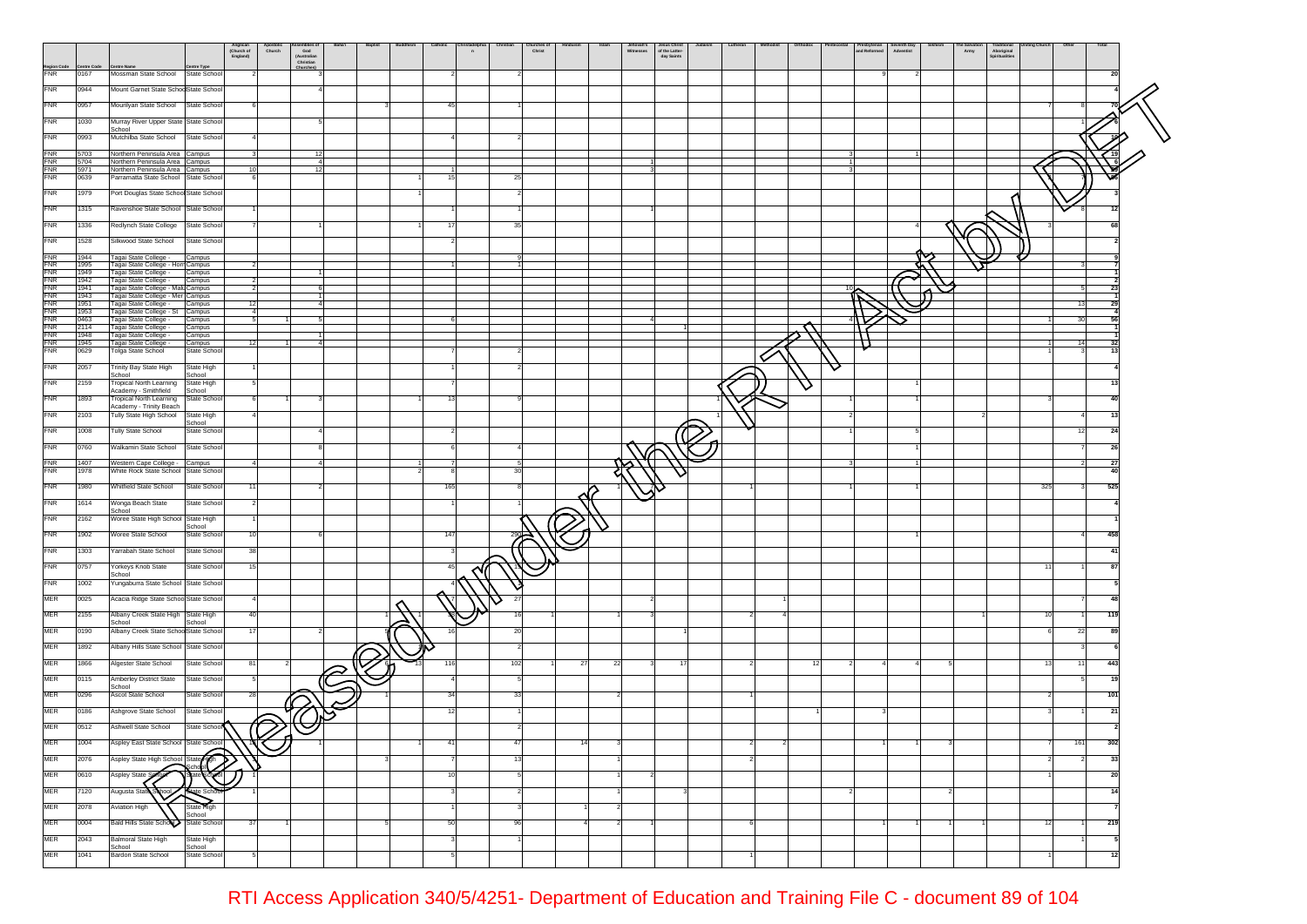|                          |                    |                                                                       |                           | Anglican<br>(Church of<br>England) | Apostone                | God<br>God<br>(Australian<br>Christian | Baha'i | <b>Baptist</b> | Catholic | n |         | nurches<br>Christ |    |    | Vitnesses | Jesus Christ<br>of the Latter-<br>day Saints |     |    | Presbyterian<br>and Reformed | Seventri Day   |                | Army | Aboriginal<br>Spiritualities |      |                |     |
|--------------------------|--------------------|-----------------------------------------------------------------------|---------------------------|------------------------------------|-------------------------|----------------------------------------|--------|----------------|----------|---|---------|-------------------|----|----|-----------|----------------------------------------------|-----|----|------------------------------|----------------|----------------|------|------------------------------|------|----------------|-----|
| Region Code<br>FNR       | entre Code<br>0167 | <b>Centre Name</b><br>Mossman State School                            | intre Type<br>State Schoo |                                    |                         | Churches)                              |        |                |          |   |         |                   |    |    |           |                                              |     |    |                              |                |                |      |                              |      |                | 20  |
| <b>FNR</b>               | 0944               | Mount Garnet State SchoolState Schoo                                  |                           |                                    |                         |                                        |        |                |          |   |         |                   |    |    |           |                                              |     |    |                              |                |                |      |                              |      |                |     |
| <b>FNR</b>               | 0957               | Mourilyan State School                                                | State Schoo               |                                    |                         |                                        |        |                | 45       |   |         |                   |    |    |           |                                              |     |    |                              |                |                |      |                              |      |                |     |
| <b>FNR</b>               | 1030               | Murray River Upper State State Schoo                                  |                           |                                    |                         |                                        |        |                |          |   |         |                   |    |    |           |                                              |     |    |                              |                |                |      |                              |      |                |     |
| <b>FNR</b>               | 0993               | School<br>Mutchilba State School                                      | State Schoo               |                                    |                         |                                        |        |                |          |   |         |                   |    |    |           |                                              |     |    |                              |                |                |      |                              |      |                |     |
| <b>FNR</b>               | 5703               | Northern Peninsula Area Campus                                        |                           |                                    | $\overline{\mathbf{3}}$ | 12                                     |        |                |          |   |         |                   |    |    |           |                                              |     |    |                              |                |                |      |                              |      |                |     |
| FNR                      | 5704               | Northern Peninsula Area Campus                                        |                           |                                    |                         | $\overline{4}$                         |        |                |          |   |         |                   |    |    |           |                                              |     |    |                              |                |                |      |                              |      |                |     |
| <b>FNR</b><br><b>FNR</b> | 5971<br>0639       | Northern Peninsula Area Campus<br>Parramatta State School State Schoo |                           | 10                                 |                         | 12                                     |        |                | 16       |   | 25      |                   |    |    |           |                                              |     |    |                              |                |                |      |                              |      |                |     |
| <b>FNR</b>               | 1979               | Port Douglas State School State Schoo                                 |                           |                                    |                         |                                        |        |                |          |   |         |                   |    |    |           |                                              |     |    |                              |                |                |      |                              |      |                |     |
| <b>FNR</b>               | 1315               | Ravenshoe State School State School                                   |                           |                                    |                         |                                        |        |                |          |   |         |                   |    |    |           |                                              |     |    |                              |                |                |      |                              |      |                |     |
| <b>FNR</b>               | 1336               | Redlynch State College                                                | State Schoo               |                                    |                         |                                        |        |                |          |   | 35      |                   |    |    |           |                                              |     |    |                              |                |                |      |                              |      |                |     |
| <b>FNR</b>               | 1528               | Silkwood State School                                                 | State Schoo               |                                    |                         |                                        |        |                |          |   |         |                   |    |    |           |                                              |     |    |                              |                |                |      |                              |      |                |     |
| <b>FNR</b>               |                    |                                                                       |                           |                                    |                         |                                        |        |                |          |   |         |                   |    |    |           |                                              |     |    |                              |                |                |      |                              |      |                |     |
| <b>FNR</b>               | 1944<br>1995       | Tagai State College -<br>Tagai State College - Horn Campus            | Campus                    |                                    |                         |                                        |        |                |          |   |         |                   |    |    |           |                                              |     |    |                              |                |                |      |                              |      |                |     |
| <b>FNR</b><br><b>FNR</b> | 1949<br>1942       | Tagai State College -<br>Tagai State College -                        | Campus<br>Campus          |                                    |                         |                                        |        |                |          |   |         |                   |    |    |           |                                              |     |    |                              |                |                |      |                              |      |                |     |
| <b>FNR</b><br><b>FNR</b> | 1941<br>1943       | Tagai State College - MaluCampus                                      |                           |                                    | $\overline{2}$          |                                        |        |                |          |   |         |                   |    |    |           |                                              |     |    |                              |                |                |      |                              |      |                | 23  |
| <b>FNR</b>               | 1951               | Tagai State College - Mer Campus<br>Tagai State College -             | Campus                    | 12                                 |                         |                                        |        |                |          |   |         |                   |    |    |           |                                              |     |    |                              |                |                |      |                              |      | 13             | 29  |
| <b>FNR</b><br>FNR        | 1953<br>0463       | Tagai State College - St<br>Tagai State College -                     | Campus<br>Campus          | $\overline{4}$                     | 5                       |                                        |        |                |          |   |         |                   |    |    |           |                                              |     |    |                              |                |                |      |                              |      | 30             | 56  |
| <b>FNR</b><br><b>FNR</b> | 2114<br>1948       | Tagai State College -                                                 | Campus                    |                                    |                         |                                        |        |                |          |   |         |                   |    |    |           |                                              |     |    |                              |                |                |      |                              |      |                |     |
| FNR                      | 1945               | Tagai State College -<br>Tagai State College -                        | Campus<br>Campus          | 12                                 |                         | $\boldsymbol{\Lambda}$                 |        |                |          |   |         |                   |    |    |           |                                              |     |    |                              |                |                |      |                              |      | 14             | 32  |
| <b>FNR</b>               | 0629               | Tolga State School                                                    | State Schoo               |                                    |                         |                                        |        |                |          |   |         |                   |    |    |           |                                              |     |    |                              |                |                |      |                              |      |                | 13  |
| <b>FNR</b>               | 2057               | Trinity Bay State High<br>School                                      | State High<br>School      |                                    |                         |                                        |        |                |          |   |         |                   |    |    |           |                                              |     |    |                              |                |                |      |                              |      |                |     |
| <b>FNR</b>               | 2159               | <b>Tropical North Learning</b><br>Academy - Smithfield                | State High<br>School      |                                    |                         |                                        |        |                |          |   |         |                   |    |    |           |                                              |     | ∨  |                              |                |                |      |                              |      |                | 13  |
| <b>FNR</b>               | 1893               | <b>Tropical North Learning</b><br>Academy - Trinity Beach             | State Schoo               |                                    |                         |                                        |        |                |          |   |         |                   |    |    |           |                                              |     |    |                              |                |                |      |                              |      |                | 40  |
| <b>FNR</b>               | 2103               | Tully State High School                                               | State High<br>School      |                                    |                         |                                        |        |                |          |   |         |                   |    |    |           |                                              |     |    |                              |                |                |      |                              |      |                | 13  |
| <b>FNR</b>               | 1008               | Tully State School                                                    | State Schoo               |                                    |                         |                                        |        |                |          |   |         |                   |    |    |           |                                              |     |    |                              |                |                |      |                              |      | 12             | -24 |
| <b>FNR</b>               | 0760               | Walkamin State School                                                 | State Schoo               |                                    |                         |                                        |        |                |          |   | Δ       |                   |    |    |           |                                              |     |    |                              |                |                |      |                              |      |                | 26  |
| <b>FNR</b>               | 1407               | Western Cape College -                                                | Campus                    | $\overline{4}$                     |                         | $\overline{4}$                         |        |                |          |   | -5      |                   |    |    |           |                                              |     |    |                              |                |                |      |                              |      | $\overline{2}$ | 27  |
| <b>FNR</b>               | 1978               | White Rock State School                                               | State Schoo               |                                    |                         |                                        |        |                |          |   | 30      |                   |    |    |           |                                              |     |    |                              |                |                |      |                              |      |                | 40  |
| <b>FNR</b>               | 1980               | Whitfield State School                                                | State Schoo               | 11                                 |                         |                                        |        |                | 165      |   |         |                   |    |    |           |                                              |     |    |                              |                |                |      |                              | 325  |                | 525 |
| <b>FNR</b>               | 1614               | Wonga Beach State<br>School                                           | State Schoo               |                                    | $\overline{2}$          |                                        |        |                |          |   |         |                   |    |    |           |                                              |     |    |                              |                |                |      |                              |      |                |     |
| <b>FNR</b>               | 2162               | Woree State High School                                               | State High<br>School      |                                    |                         |                                        |        |                |          |   |         |                   |    |    |           |                                              |     |    |                              |                |                |      |                              |      |                |     |
| <b>FNR</b>               | 1902               | Woree State School                                                    | State Schoo               | 10                                 |                         |                                        |        |                | 147      |   | $290 -$ |                   |    |    |           |                                              |     |    |                              |                |                |      |                              |      |                | 458 |
| <b>FNR</b>               | 1303               | Yarrabah State School                                                 | State Schoo               | 38                                 |                         |                                        |        |                |          |   |         |                   |    |    |           |                                              |     |    |                              |                |                |      |                              |      |                | 41  |
| <b>FNR</b>               | 0757               | Yorkeys Knob State<br>School                                          | State Schoo               | 15                                 |                         |                                        |        |                |          |   |         |                   |    |    |           |                                              |     |    |                              |                |                |      |                              | 11   |                | 87  |
| <b>FNR</b>               | 1002               | Yungaburra State School State School                                  |                           |                                    |                         |                                        |        |                |          |   |         |                   |    |    |           |                                              |     |    |                              |                |                |      |                              |      |                |     |
| <b>MER</b>               | 0025               | Acacia Ridge State School State Schoo                                 |                           |                                    | 4 <sup>1</sup>          |                                        |        |                |          |   |         |                   |    |    |           |                                              |     |    |                              |                |                |      |                              |      |                | 45  |
| <b>MER</b>               | 2155               | Albany Creek State High State High                                    |                           | 40                                 |                         |                                        |        |                |          |   | 16      |                   |    |    |           |                                              |     |    |                              |                |                |      |                              | 10   |                | 119 |
| <b>MER</b>               | 0190               | School<br>Albany Creek State SchoolState Schoo                        | School                    | 17                                 |                         |                                        |        |                |          |   | 20      |                   |    |    |           |                                              |     |    |                              |                |                |      |                              |      | 22             | 89  |
| <b>MER</b>               | 1892               | Albany Hills State School State Schoo                                 |                           |                                    |                         |                                        |        |                |          |   |         |                   |    |    |           |                                              |     |    |                              |                |                |      |                              |      |                |     |
| MER                      | 1866               | Algester State School                                                 | State School              | 81                                 |                         |                                        |        |                | 116      |   | 102     |                   | 27 | 22 |           | -17                                          |     | 12 | $\overline{2}$               | $\overline{4}$ | -5             |      |                              | -131 | 11             | 443 |
| MER                      | 0115               | Amberley District State                                               | State School              |                                    | 5                       |                                        |        |                |          |   | 5       |                   |    |    |           |                                              |     |    |                              |                |                |      |                              |      | -5             | 19  |
| MER                      | 0296               | School<br>Ascot State School                                          | State School              | 28                                 |                         |                                        |        |                |          |   | 33      |                   |    |    |           |                                              |     |    |                              |                |                |      |                              |      |                | 101 |
| <b>MER</b>               | 0186               | Ashgrove State School                                                 | State Schoo               |                                    |                         |                                        |        |                |          |   |         |                   |    |    |           |                                              |     |    |                              |                |                |      |                              |      |                | 21  |
| <b>MER</b>               |                    |                                                                       |                           |                                    | ⊖                       |                                        |        |                |          |   |         |                   |    |    |           |                                              |     |    |                              |                |                |      |                              |      |                |     |
|                          | 0512               | Ashwell State School                                                  | State Schoo               |                                    |                         |                                        |        |                |          |   |         |                   |    |    |           |                                              |     |    |                              |                |                |      |                              |      |                |     |
| MER                      | 1004               | Aspley East State School State School                                 |                           |                                    |                         |                                        |        |                |          |   |         |                   |    |    |           |                                              |     |    |                              |                |                |      |                              |      | 161            | 302 |
| MER                      | 2076               | Aspley State High School State High                                   |                           |                                    |                         |                                        |        |                |          |   | 13      |                   |    |    |           |                                              |     |    |                              |                |                |      |                              |      |                | 33  |
| MER                      | 0610               | Aspley State School                                                   |                           |                                    |                         |                                        |        |                |          |   |         |                   |    |    |           |                                              |     |    |                              |                |                |      |                              |      |                | 20  |
| MER                      | 7120               | School<br>Augusta State                                               | <b>Astate Schot</b>       |                                    |                         |                                        |        |                |          |   | 2       |                   |    |    |           |                                              |     |    |                              |                | $\overline{2}$ |      |                              |      |                | 14  |
| MER                      | 2078               | <b>Aviation High</b>                                                  | State High<br>School      |                                    |                         |                                        |        |                |          |   |         |                   |    |    |           |                                              |     |    |                              |                |                |      |                              |      |                |     |
| <b>MER</b>               | 0004               | Bald Hills State School                                               | State School              | 37                                 |                         |                                        |        |                | 50       |   | 96      |                   |    |    |           |                                              | -61 |    |                              |                |                |      |                              | 12   |                | 219 |
| MER                      | 2043               | <b>Balmoral State High</b>                                            | State High                |                                    |                         |                                        |        |                |          |   |         |                   |    |    |           |                                              |     |    |                              |                |                |      |                              |      |                |     |
| <b>MER</b>               | 1041               | School<br>Bardon State School                                         | School<br>State School    |                                    |                         |                                        |        |                |          |   |         |                   |    |    |           |                                              |     |    |                              |                |                |      |                              |      |                | 12  |
|                          |                    |                                                                       |                           |                                    |                         |                                        |        |                |          |   |         |                   |    |    |           |                                              |     |    |                              |                |                |      |                              |      |                |     |

RTI Access Application 340/5/4251- Department of Education and Training File C - document 89 of 104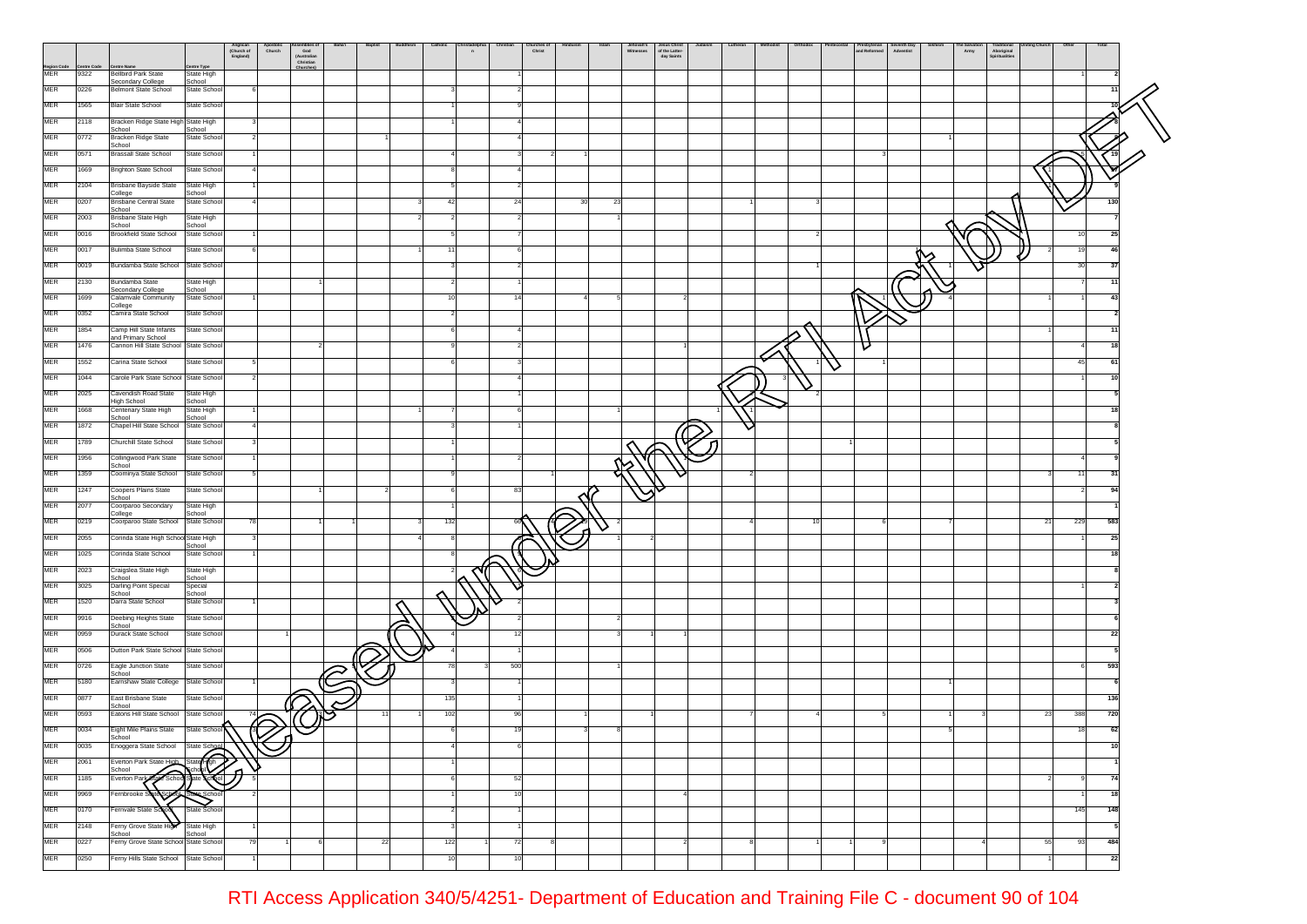|                    |                     |                                                               |                                 | Anglican<br>(Church of<br>England) | Apostolic<br>Church | God<br>God<br>(Australian<br>Christian | <b>Baptis</b> | Catholic      | n |     | hurches o<br>Christ |    |    | Jehovah's<br>Witnesses | Jesus Christ<br>of the Latter-<br>day Saints | Lutheran | Orthodo: |   | Presbyterian<br>and Reformed<br>Seventh Day<br>Adventist | Army | Aboriginal<br>Spiritualities |    |            |  |
|--------------------|---------------------|---------------------------------------------------------------|---------------------------------|------------------------------------|---------------------|----------------------------------------|---------------|---------------|---|-----|---------------------|----|----|------------------------|----------------------------------------------|----------|----------|---|----------------------------------------------------------|------|------------------------------|----|------------|--|
| Region Code<br>MER | Centre Code<br>9322 | <b>Centre Nam</b><br><b>Bellbird Park State</b>               | entre Type<br><b>State High</b> |                                    |                     | Churches                               |               |               |   |     |                     |    |    |                        |                                              |          |          |   |                                                          |      |                              |    |            |  |
| MER                | 0226                | Secondary College<br><b>Belmont State School</b>              | School<br>State School          |                                    |                     |                                        |               |               |   |     |                     |    |    |                        |                                              |          |          |   |                                                          |      |                              |    |            |  |
| MER                | 1565                | <b>Blair State School</b>                                     | State School                    |                                    |                     |                                        |               |               |   |     |                     |    |    |                        |                                              |          |          |   |                                                          |      |                              |    |            |  |
| MER                | 2118                | Bracken Ridge State High State High                           |                                 |                                    |                     |                                        |               |               |   |     |                     |    |    |                        |                                              |          |          |   |                                                          |      |                              |    |            |  |
| MER                | 0772                | School                                                        | School                          |                                    |                     |                                        |               |               |   |     |                     |    |    |                        |                                              |          |          |   |                                                          |      |                              |    |            |  |
| MER                | 0571                | Bracken Ridge State<br>School<br><b>Brassall State School</b> | State School<br>State School    |                                    |                     |                                        |               |               |   |     |                     |    |    |                        |                                              |          |          |   |                                                          |      |                              |    |            |  |
| MER                | 1669                |                                                               |                                 |                                    |                     |                                        |               |               |   |     |                     |    |    |                        |                                              |          |          |   |                                                          |      |                              |    |            |  |
|                    |                     | <b>Brighton State School</b>                                  | State School                    |                                    |                     |                                        |               |               |   |     |                     |    |    |                        |                                              |          |          |   |                                                          |      |                              |    |            |  |
| MER                | 2104                | Brisbane Bayside State<br>College                             | State High<br>School            |                                    |                     |                                        |               |               |   |     |                     |    |    |                        |                                              |          |          |   |                                                          |      |                              |    |            |  |
| MER                | 0207                | <b>Brisbane Central State</b><br>School                       | State School                    |                                    |                     |                                        |               | 42            |   | 24  |                     | 30 | 23 |                        |                                              |          |          |   |                                                          |      |                              |    | 130        |  |
| MER                | 2003                | Brisbane State High<br>School                                 | State High<br>School            |                                    |                     |                                        |               |               |   |     |                     |    |    |                        |                                              |          |          |   |                                                          |      |                              |    |            |  |
| MER                | 0016                | <b>Brookfield State School</b>                                | State School                    |                                    |                     |                                        |               |               |   |     |                     |    |    |                        |                                              |          |          |   |                                                          |      |                              |    | 10<br>25   |  |
| MER                | 0017                | Bulimba State School                                          | State School                    |                                    |                     |                                        |               | 11            |   |     |                     |    |    |                        |                                              |          |          |   |                                                          |      |                              |    | 19<br>46   |  |
| MER                | 0019                | Bundamba State School State School                            |                                 |                                    |                     |                                        |               |               |   |     |                     |    |    |                        |                                              |          |          |   |                                                          |      |                              |    | 30<br>-37  |  |
| MER                | 2130                | Bundamba State<br>Secondary College                           | State High<br>School            |                                    |                     |                                        |               |               |   |     |                     |    |    |                        |                                              |          |          |   |                                                          |      |                              |    | 11         |  |
| MER                | 1699                | Calamvale Community<br>College                                | State School                    |                                    |                     |                                        |               | 10            |   | 14  |                     |    |    |                        | 2                                            |          |          |   |                                                          |      |                              |    | 43         |  |
| MER                | 0352                | Camira State School                                           | State School                    |                                    |                     |                                        |               |               |   |     |                     |    |    |                        |                                              |          |          |   |                                                          |      |                              |    |            |  |
| MER                | 1854                | Camp Hill State Infants<br>and Primary School                 | State School                    |                                    |                     |                                        |               |               |   |     |                     |    |    |                        |                                              |          |          |   |                                                          |      |                              |    |            |  |
| MER                | 1476                | Cannon Hill State School State School                         |                                 |                                    |                     |                                        |               |               |   |     |                     |    |    |                        |                                              |          |          |   | U                                                        |      |                              |    |            |  |
| MER                | 1552                | Carina State School                                           | State School                    |                                    |                     |                                        |               |               |   |     |                     |    |    |                        |                                              |          |          | ∨ |                                                          |      |                              |    | 45<br>61   |  |
| MER                | 1044                | Carole Park State School State School                         |                                 |                                    |                     |                                        |               |               |   |     |                     |    |    |                        |                                              |          |          |   |                                                          |      |                              |    |            |  |
| MER                | 2025                | Cavendish Road State<br>High School                           | State High<br>School            |                                    |                     |                                        |               |               |   |     |                     |    |    |                        |                                              |          |          |   |                                                          |      |                              |    |            |  |
| MER                | 1668                | Centenary State High<br>School                                | State High<br>School            |                                    |                     |                                        |               |               |   |     |                     |    |    |                        |                                              |          |          |   |                                                          |      |                              |    |            |  |
| MER                | 1872                | Chapel Hill State School State School                         |                                 |                                    |                     |                                        |               |               |   |     |                     |    |    |                        |                                              |          |          |   |                                                          |      |                              |    |            |  |
| MER                | 1789                | Churchill State School                                        | State School                    |                                    |                     |                                        |               |               |   |     |                     |    |    |                        |                                              |          |          |   |                                                          |      |                              |    |            |  |
| MER                | 1956                | Collingwood Park State<br>School                              | State School                    |                                    |                     |                                        |               |               |   |     |                     |    |    |                        |                                              |          |          |   |                                                          |      |                              |    |            |  |
| MER                | 1359                | Coominya State School                                         | State School                    |                                    |                     |                                        |               |               |   |     |                     |    |    |                        |                                              |          |          |   |                                                          |      |                              |    | 11<br>31   |  |
| MER                | 1247                | Coopers Plains State<br>School                                | State School                    |                                    |                     |                                        |               |               |   | 83  |                     |    |    |                        |                                              |          |          |   |                                                          |      |                              |    | 94         |  |
| MER                | 2077                | Coorparoo Secondary<br>College                                | State High<br>School            |                                    |                     |                                        |               |               |   |     |                     |    |    |                        |                                              |          |          |   |                                                          |      |                              |    |            |  |
| MER                | 0219                | Coorparoo State School                                        | State School                    | 78                                 |                     |                                        |               | 132           |   |     |                     |    |    |                        |                                              |          | 10       |   |                                                          |      |                              | 21 | 583<br>229 |  |
| MER                | 2055                | Corinda State High School State High                          | School                          |                                    |                     |                                        |               |               |   |     |                     |    |    |                        |                                              |          |          |   |                                                          |      |                              |    | 25         |  |
| MER                | 1025                | Corinda State School                                          | State School                    |                                    |                     |                                        |               |               |   |     |                     |    |    |                        |                                              |          |          |   |                                                          |      |                              |    |            |  |
| MER                | 2023                | Craigslea State High<br>School                                | State High<br>School            |                                    |                     |                                        |               |               |   |     |                     |    |    |                        |                                              |          |          |   |                                                          |      |                              |    |            |  |
| MER                | 3025                | Darling Point Special<br>School                               | Special<br>School               |                                    |                     |                                        |               |               |   |     |                     |    |    |                        |                                              |          |          |   |                                                          |      |                              |    |            |  |
| MER                | 1520                | Darra State School                                            | State School                    |                                    |                     |                                        |               |               |   |     |                     |    |    |                        |                                              |          |          |   |                                                          |      |                              |    |            |  |
| MER                | 9916                | Deebing Heights State<br>School                               | State School                    |                                    |                     |                                        |               |               |   |     |                     |    |    |                        |                                              |          |          |   |                                                          |      |                              |    |            |  |
| MER                | 0959                | Durack State School                                           | State School                    |                                    |                     |                                        |               |               |   |     |                     |    |    |                        |                                              |          |          |   |                                                          |      |                              |    | 22         |  |
| MER                | 0506                | Dutton Park State School State School                         |                                 |                                    |                     |                                        |               |               |   |     |                     |    |    |                        |                                              |          |          |   |                                                          |      |                              |    |            |  |
| MER                | 0726                | Eagle Junction State<br>School                                | State School                    |                                    |                     |                                        |               | 78            |   | 500 |                     |    |    |                        |                                              |          |          |   |                                                          |      |                              |    | 593        |  |
| MER                | 5180                | Earnshaw State College                                        | State School                    |                                    |                     |                                        |               |               |   |     |                     |    |    |                        |                                              |          |          |   |                                                          |      |                              |    |            |  |
| MER                | 0877                | <b>East Brisbane State</b><br>School                          | State School                    |                                    |                     |                                        |               | 135           |   |     |                     |    |    |                        |                                              |          |          |   |                                                          |      |                              |    | 136        |  |
| MER                | 0593                | Eatons Hill State School State School                         |                                 | 74                                 |                     |                                        |               | 102           |   | 96  |                     |    |    |                        |                                              |          |          |   |                                                          |      |                              | 23 | 720<br>388 |  |
| MER                | 0034                | Eight Mile Plains State                                       | State School                    |                                    | Q<br>ั่น            |                                        |               |               |   |     |                     |    |    |                        |                                              |          |          |   |                                                          |      |                              |    | 62<br>18   |  |
| MER                | 0035                | School<br>Enoggera State School                               | State School                    |                                    |                     |                                        |               |               |   |     |                     |    |    |                        |                                              |          |          |   |                                                          |      |                              |    |            |  |
| <b>MER</b>         | 2061                | Everton Park State High<br>School                             | State Con                       |                                    |                     |                                        |               |               |   |     |                     |    |    |                        |                                              |          |          |   |                                                          |      |                              |    |            |  |
| MER                | 1185                | Re School<br>Everton Park                                     | ୧୯                              |                                    |                     |                                        |               |               |   | 52  |                     |    |    |                        |                                              |          |          |   |                                                          |      |                              |    | 74         |  |
| MER                | 9969                | Fernbrooke S<br>₫G.                                           |                                 |                                    |                     |                                        |               |               |   | 10  |                     |    |    |                        |                                              |          |          |   |                                                          |      |                              |    | 18         |  |
| MER                | 0170                | Fernvale State Sch                                            | State School                    |                                    |                     |                                        |               | $\mathcal{P}$ |   |     |                     |    |    |                        |                                              |          |          |   |                                                          |      |                              |    | 145<br>148 |  |
| MER                | 2148                | Ferny Grove State High                                        | State High                      |                                    |                     |                                        |               |               |   |     |                     |    |    |                        |                                              |          |          |   |                                                          |      |                              |    | -5         |  |
| MER                | 0227                | School<br>Ferny Grove State School State School               | School                          | 79                                 |                     |                                        | 22            | 122           |   | 72  |                     |    |    |                        |                                              |          |          |   |                                                          |      |                              | 55 | 93<br>484  |  |
| MER                | 0250                | Ferny Hills State School State School                         |                                 |                                    |                     |                                        |               | 10            |   | 10  |                     |    |    |                        |                                              |          |          |   |                                                          |      |                              |    | 22         |  |
|                    |                     |                                                               |                                 |                                    |                     |                                        |               |               |   |     |                     |    |    |                        |                                              |          |          |   |                                                          |      |                              |    |            |  |

RTI Access Application 340/5/4251- Department of Education and Training File C - document 90 of 104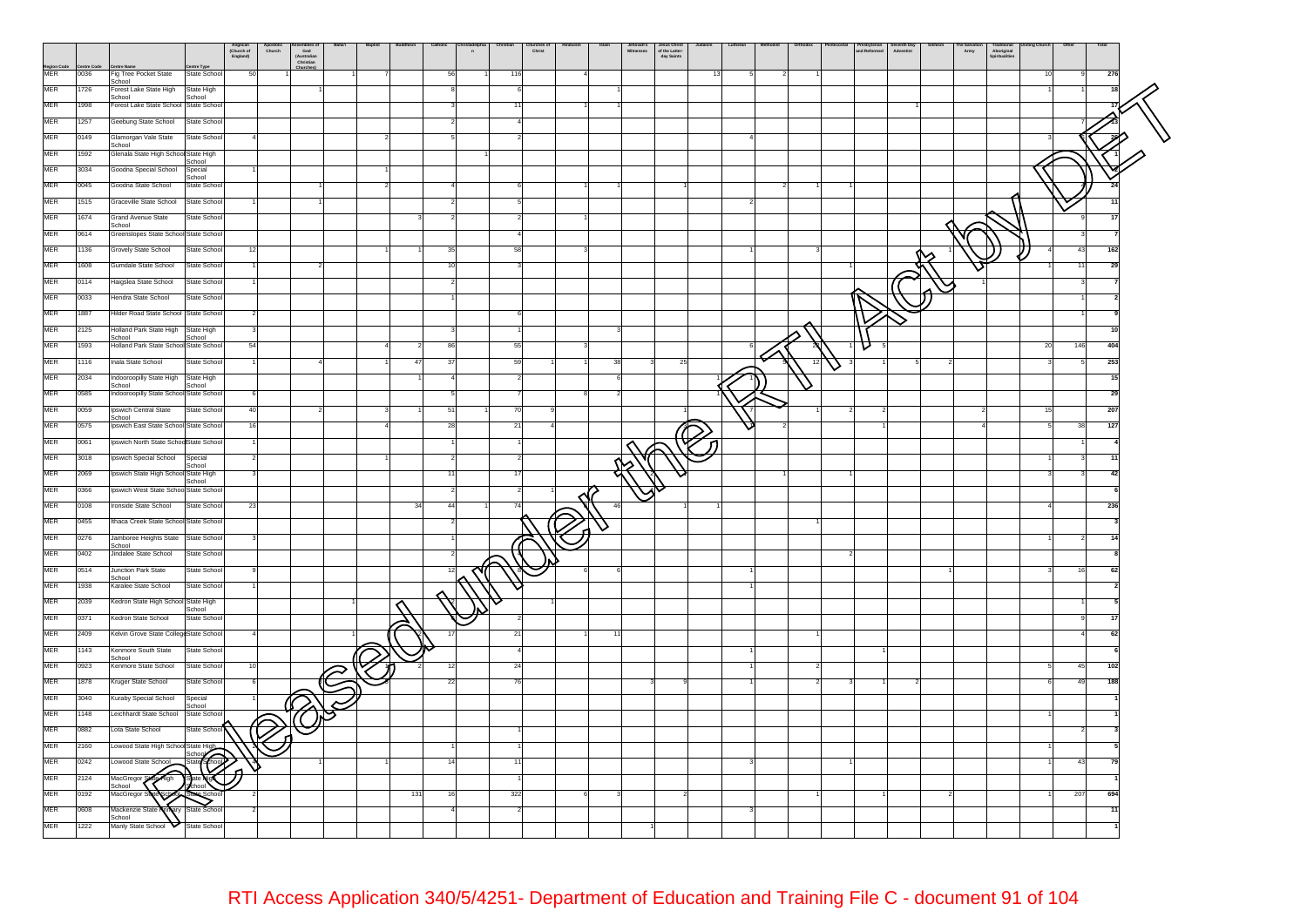|                    |      |                                                   |                                | Anglican<br>(Church of<br>England) | Apostolic<br>Church | Seemanes<br>God<br>(Australian<br>Christian | Baha'i | <b>Baptis</b> |     | Catholic<br>$\overline{p}$ | Chris | Christ | Islan | Jehovah's<br>Witnesses | Jesus Christ<br>of the Latter-<br>day Saints |    |                 | and Reformed | Seventh Day<br>Adventist | Army | ı radıtıonal<br>Aboriginal<br>Spiritualities |    | Othe<br>Total |    |
|--------------------|------|---------------------------------------------------|--------------------------------|------------------------------------|---------------------|---------------------------------------------|--------|---------------|-----|----------------------------|-------|--------|-------|------------------------|----------------------------------------------|----|-----------------|--------------|--------------------------|------|----------------------------------------------|----|---------------|----|
| Region Code<br>MER | 0036 | Fig Tree Pocket State                             | State School                   | 50                                 |                     |                                             |        |               |     | 56                         | 116   |        |       |                        |                                              | 13 |                 |              |                          |      |                                              | 10 | 276           |    |
| <b>MER</b>         | 1726 | School<br>Forest Lake State High                  | State High                     |                                    |                     |                                             |        |               |     |                            |       |        |       |                        |                                              |    |                 |              |                          |      |                                              |    |               |    |
| <b>MER</b>         | 1998 | School<br>Forest Lake State School State School   | School                         |                                    |                     |                                             |        |               |     |                            |       |        |       |                        |                                              |    |                 |              |                          |      |                                              |    |               |    |
| MER                | 1257 |                                                   |                                |                                    |                     |                                             |        |               |     |                            |       |        |       |                        |                                              |    |                 |              |                          |      |                                              |    |               |    |
|                    |      | Geebung State School                              | State School                   |                                    |                     |                                             |        |               |     |                            |       |        |       |                        |                                              |    |                 |              |                          |      |                                              |    |               |    |
| <b>MER</b>         | 0149 | Glamorgan Vale State<br>School                    | State School                   |                                    |                     |                                             |        |               |     |                            |       |        |       |                        |                                              |    |                 |              |                          |      |                                              |    |               |    |
| MER                | 1592 | Glenala State High School State High              | School                         |                                    |                     |                                             |        |               |     |                            |       |        |       |                        |                                              |    |                 |              |                          |      |                                              |    |               |    |
| MER                | 3034 | Goodna Special School Special                     | School                         |                                    |                     |                                             |        |               |     |                            |       |        |       |                        |                                              |    |                 |              |                          |      |                                              |    |               |    |
| <b>MER</b>         | 0045 | Goodna State School                               | State School                   |                                    |                     |                                             |        |               |     |                            |       |        |       |                        |                                              |    |                 |              |                          |      |                                              |    |               |    |
| MER                | 1515 | Graceville State School                           | State School                   |                                    |                     |                                             |        |               |     |                            |       |        |       |                        |                                              |    |                 |              |                          |      |                                              |    |               |    |
| MER                | 1674 | Grand Avenue State<br>School                      | State School                   |                                    |                     |                                             |        |               |     |                            |       |        |       |                        |                                              |    |                 |              |                          |      |                                              |    |               |    |
| MER                | 0614 | Greenslopes State School State School             |                                |                                    |                     |                                             |        |               |     |                            |       |        |       |                        |                                              |    |                 |              |                          |      |                                              |    |               |    |
| <b>MER</b>         | 1136 | Grovely State School                              | State School                   |                                    |                     |                                             |        |               |     | 35                         |       |        |       |                        |                                              |    |                 |              |                          |      |                                              |    | 162<br>43     |    |
| MER                | 1608 | Gumdale State School                              | State School                   |                                    |                     |                                             |        |               |     |                            |       |        |       |                        |                                              |    |                 |              |                          |      |                                              |    | 29            |    |
| MER                | 0114 | Haigslea State School                             | State School                   |                                    |                     |                                             |        |               |     |                            |       |        |       |                        |                                              |    |                 |              |                          |      |                                              |    |               |    |
| MER                | 0033 | Hendra State School                               | State School                   |                                    |                     |                                             |        |               |     |                            |       |        |       |                        |                                              |    |                 |              |                          |      |                                              |    |               |    |
| <b>MER</b>         | 1887 | Hilder Road State School State School             |                                |                                    |                     |                                             |        |               |     |                            |       |        |       |                        |                                              |    |                 |              |                          |      |                                              |    |               |    |
| MER                | 2125 | Holland Park State High                           | State High                     |                                    |                     |                                             |        |               |     |                            |       |        |       |                        |                                              |    |                 |              |                          |      |                                              |    |               |    |
| MER                | 1593 | School<br>Holland Park State School State School  | School                         |                                    |                     |                                             |        |               |     | 86                         | 55    |        |       |                        |                                              |    |                 |              |                          |      |                                              | 20 | 146<br>404    |    |
| MER                | 1116 | Inala State School                                | State School                   |                                    |                     |                                             |        |               |     |                            |       |        |       |                        | 25                                           |    | $\overline{12}$ |              |                          |      |                                              |    | 253           |    |
| MER                | 2034 | Indooroopilly State High State High               |                                |                                    |                     |                                             |        |               |     |                            |       |        |       |                        |                                              |    | ∨               |              |                          |      |                                              |    |               | 15 |
| <b>MER</b>         | 0585 | School<br>Indooroopilly State School State School | School                         |                                    |                     |                                             |        |               |     |                            |       |        |       |                        |                                              |    |                 |              |                          |      |                                              |    | 25            |    |
| MER                | 0059 | Ipswich Central State                             | State School                   |                                    |                     |                                             |        |               |     | 51                         |       |        |       |                        |                                              |    |                 |              |                          |      |                                              |    | 207           |    |
| MER                | 0575 | School<br>Ipswich East State School State School  |                                |                                    |                     |                                             |        |               |     | 28                         |       |        |       |                        |                                              |    |                 |              |                          |      |                                              |    | 127           |    |
| MER                | 0061 | Ipswich North State SchoolState School            |                                |                                    |                     |                                             |        |               |     |                            |       |        |       |                        |                                              |    |                 |              |                          |      |                                              |    |               |    |
|                    |      |                                                   |                                |                                    |                     |                                             |        |               |     |                            |       |        |       |                        |                                              |    |                 |              |                          |      |                                              |    |               |    |
| MER                | 3018 | Ipswich Special School                            | Special<br>School              |                                    |                     |                                             |        |               |     |                            |       |        |       |                        |                                              |    |                 |              |                          |      |                                              |    |               |    |
| MER                | 2069 | Ipswich State High School State High              | School                         |                                    |                     |                                             |        |               |     |                            |       |        |       |                        |                                              |    |                 |              |                          |      |                                              |    |               |    |
| MER                | 0366 | Ipswich West State School State School            |                                |                                    |                     |                                             |        |               |     |                            |       |        |       |                        |                                              |    |                 |              |                          |      |                                              |    |               |    |
| MER                | 0108 | Ironside State School                             | State School                   | 23                                 |                     |                                             |        |               | 34  | 44                         |       |        |       |                        |                                              |    |                 |              |                          |      |                                              |    | 236           |    |
| <b>MER</b>         | 0455 | Ithaca Creek State School State School            |                                |                                    |                     |                                             |        |               |     |                            |       |        |       |                        |                                              |    |                 |              |                          |      |                                              |    |               |    |
| <b>MER</b>         | 0276 | Jamboree Heights State State School<br>School     |                                |                                    |                     |                                             |        |               |     |                            |       |        |       |                        |                                              |    |                 |              |                          |      |                                              |    |               |    |
| MER                | 0402 | Jindalee State School                             | State School                   |                                    |                     |                                             |        |               |     |                            |       |        |       |                        |                                              |    |                 |              |                          |      |                                              |    |               |    |
| MER                | 0514 | Junction Park State<br>School                     | State School                   |                                    |                     |                                             |        |               |     |                            |       |        |       |                        |                                              |    |                 |              |                          |      |                                              |    |               |    |
| MER                | 1938 | Karalee State School                              | State School                   |                                    |                     |                                             |        |               |     |                            |       |        |       |                        |                                              |    |                 |              |                          |      |                                              |    |               |    |
| <b>MER</b>         | 2039 | Kedron State High School State High               | School                         |                                    |                     |                                             |        |               |     |                            |       |        |       |                        |                                              |    |                 |              |                          |      |                                              |    |               |    |
| MER                | 0371 | Kedron State School                               | State School                   |                                    |                     |                                             |        |               |     |                            |       |        |       |                        |                                              |    |                 |              |                          |      |                                              |    |               |    |
| MER                | 2409 | Kelvin Grove State CollegeState School            |                                |                                    |                     |                                             |        |               |     |                            | -2    |        |       |                        |                                              |    |                 |              |                          |      |                                              |    | 62            |    |
| MER                | 1143 | Kenmore South State                               | State School                   |                                    |                     |                                             |        |               |     |                            |       |        |       |                        |                                              |    |                 |              |                          |      |                                              |    |               |    |
| MER                | 0923 | School<br>Kenmore State School                    | State School                   |                                    |                     |                                             |        |               |     | 12                         | 24    |        |       |                        |                                              |    |                 |              |                          |      |                                              |    | 45<br>102     |    |
| MER                | 1878 | Kruger State School                               | State School                   |                                    |                     |                                             |        |               |     | 22                         | 76    |        |       |                        |                                              |    |                 |              |                          |      |                                              |    | 49<br>188     |    |
| MER                | 3040 | Kuraby Special School                             | Special                        |                                    |                     |                                             |        |               |     |                            |       |        |       |                        |                                              |    |                 |              |                          |      |                                              |    |               |    |
| MER                | 1148 | Leichhardt State School State School              | School                         |                                    |                     |                                             |        |               |     |                            |       |        |       |                        |                                              |    |                 |              |                          |      |                                              |    |               |    |
| MER                | 0882 | Lota State School                                 | State Schoo                    |                                    | Ō                   |                                             |        |               |     |                            |       |        |       |                        |                                              |    |                 |              |                          |      |                                              |    |               |    |
| MER                | 2160 | Lowood State High School State High               |                                |                                    |                     |                                             |        |               |     |                            |       |        |       |                        |                                              |    |                 |              |                          |      |                                              |    |               |    |
| MER                | 0242 | Lowood State School                               | School<br><b>Sool</b><br>State |                                    |                     |                                             |        |               |     | 14                         |       |        |       |                        |                                              |    |                 |              |                          |      |                                              |    | 43            | 79 |
| MER                | 2124 | <b>A</b> High<br>MacGregor                        |                                |                                    |                     |                                             |        |               |     |                            |       |        |       |                        |                                              |    |                 |              |                          |      |                                              |    |               |    |
| MER                |      | School                                            |                                |                                    |                     |                                             |        |               | 131 |                            |       |        |       |                        |                                              |    |                 |              |                          |      |                                              |    | 694           |    |
|                    | 0192 | MacGregor                                         |                                |                                    |                     |                                             |        |               |     |                            | 322   |        |       |                        |                                              |    |                 |              |                          |      |                                              |    | 207           |    |
| MER                | 0608 | Mackenzie State<br>School                         | State Schoo                    |                                    |                     |                                             |        |               |     |                            |       |        |       |                        |                                              |    |                 |              |                          |      |                                              |    |               | 11 |
| <b>MER</b>         | 1222 | Manly State School                                | State School                   |                                    |                     |                                             |        |               |     |                            |       |        |       |                        |                                              |    |                 |              |                          |      |                                              |    |               |    |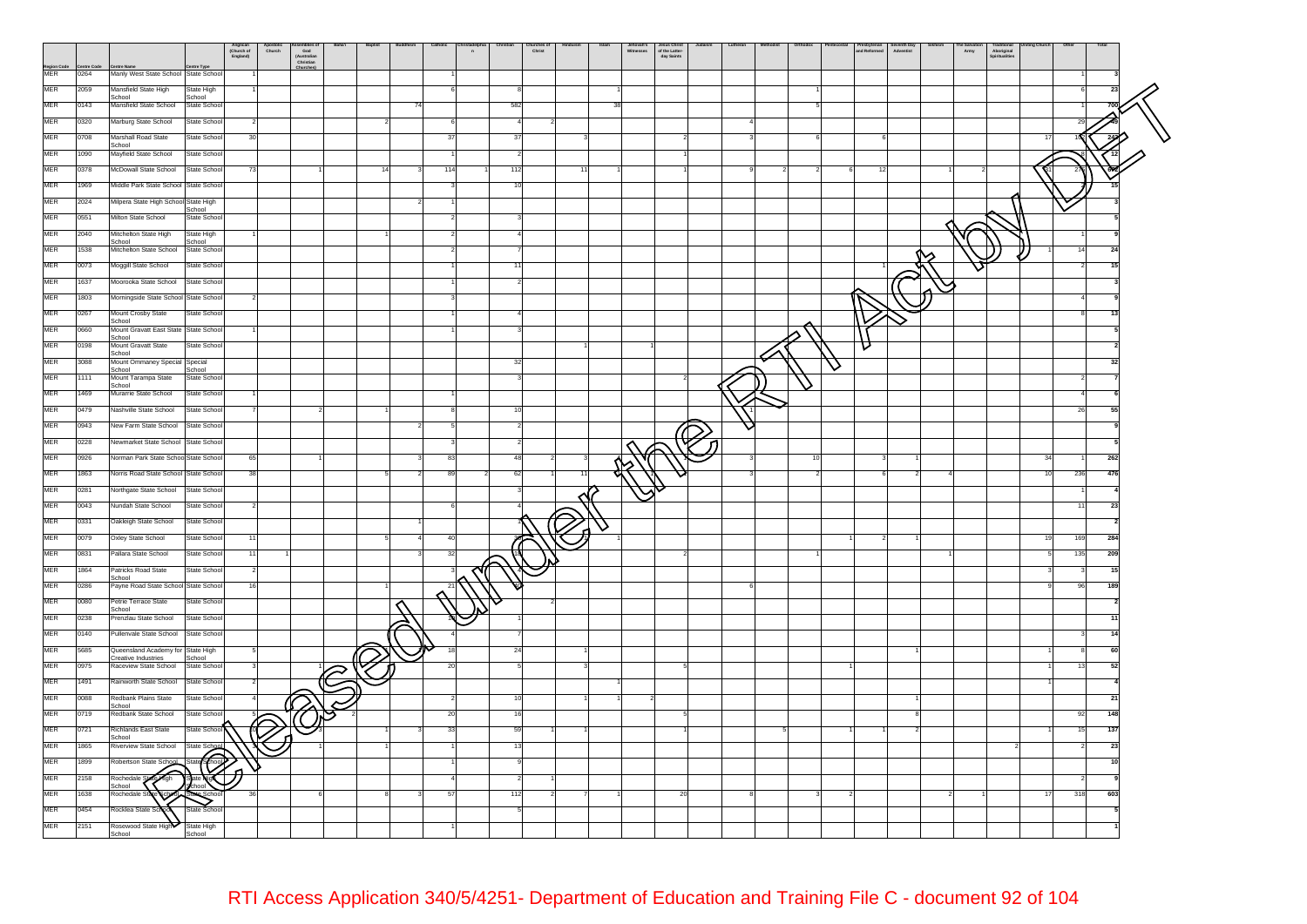|                   |      |                                                     | Anglican<br>(Church of<br>England) | Apostone<br>Church | ssemones<br>God<br>(Australiar<br>Christian | Baha'i | Baptist | Catholic | $\overline{a}$ | Chris<br>Christ | Islam | Jehovah's<br>Witnesses | Jesus Christ<br>of the Latter-<br>day Saints | Lutheran | Orthod | and Reformed | seventn Day<br>Adventist | Army | raditional<br>Aboriginal<br>Spiritualities |    | Oth<br>Total |  |
|-------------------|------|-----------------------------------------------------|------------------------------------|--------------------|---------------------------------------------|--------|---------|----------|----------------|-----------------|-------|------------------------|----------------------------------------------|----------|--------|--------------|--------------------------|------|--------------------------------------------|----|--------------|--|
| Region Cod<br>MER | 0264 | Centre Name<br>Manly West State School State School |                                    |                    |                                             |        |         |          |                |                 |       |                        |                                              |          |        |              |                          |      |                                            |    |              |  |
| <b>MER</b>        | 2059 | Mansfield State High                                | State High                         |                    |                                             |        |         |          |                |                 |       |                        |                                              |          |        |              |                          |      |                                            |    | 23           |  |
| MER               | 0143 | School<br>Mansfield State School                    | School<br>State School             |                    |                                             |        |         |          |                | 582             |       |                        |                                              |          |        |              |                          |      |                                            |    |              |  |
| MER               | 0320 | Marburg State School                                | State School<br>-2                 |                    |                                             |        |         | 6        |                |                 |       |                        |                                              |          |        |              |                          |      |                                            |    | 29           |  |
| <b>MER</b>        |      |                                                     |                                    |                    |                                             |        |         | 37       |                |                 |       |                        |                                              |          |        |              |                          |      |                                            |    |              |  |
|                   | 0708 | Marshall Road State<br>School                       | State School<br>30                 |                    |                                             |        |         |          |                |                 |       |                        |                                              |          |        |              |                          |      |                                            |    |              |  |
| <b>MER</b>        | 1090 | Mayfield State School                               | State School                       |                    |                                             |        |         |          |                |                 |       |                        |                                              |          |        |              |                          |      |                                            |    |              |  |
| MER               | 0378 | McDowall State School                               | State School<br>73                 |                    |                                             |        |         | 114      |                | 112             |       |                        |                                              |          |        |              |                          |      |                                            |    |              |  |
| MER               | 1969 | Middle Park State School State School               |                                    |                    |                                             |        |         |          |                |                 |       |                        |                                              |          |        |              |                          |      |                                            |    |              |  |
| <b>MER</b>        | 2024 | Milpera State High School State High                | School                             |                    |                                             |        |         |          |                |                 |       |                        |                                              |          |        |              |                          |      |                                            |    |              |  |
| <b>MER</b>        | 0551 | Milton State School                                 | State School                       |                    |                                             |        |         |          |                |                 |       |                        |                                              |          |        |              |                          |      |                                            |    |              |  |
| MER               | 2040 | Mitchelton State High<br>School                     | State High<br>School               |                    |                                             |        |         |          |                |                 |       |                        |                                              |          |        |              |                          |      |                                            |    |              |  |
| <b>MER</b>        | 1538 | Mitchelton State School                             | State School                       |                    |                                             |        |         |          |                |                 |       |                        |                                              |          |        |              |                          |      |                                            |    | 14<br>24     |  |
| MER               | 0073 | Moggill State School                                | State School                       |                    |                                             |        |         |          |                |                 |       |                        |                                              |          |        |              |                          |      |                                            |    |              |  |
| MER               | 1637 | Moorooka State School                               | State School                       |                    |                                             |        |         |          |                |                 |       |                        |                                              |          |        |              |                          |      |                                            |    |              |  |
| MER               | 1803 | Morningside State School State School               |                                    |                    |                                             |        |         |          |                |                 |       |                        |                                              |          |        |              |                          |      |                                            |    |              |  |
| MER               | 0267 | Mount Crosby State                                  | State School                       |                    |                                             |        |         |          |                |                 |       |                        |                                              |          |        |              |                          |      |                                            |    |              |  |
| MER               | 0660 | School<br>Mount Gravatt East State State School     |                                    |                    |                                             |        |         |          |                |                 |       |                        |                                              |          |        |              |                          |      |                                            |    |              |  |
| MER               | 0198 | School<br>Mount Gravatt State                       | State School                       |                    |                                             |        |         |          |                |                 |       |                        |                                              |          |        |              |                          |      |                                            |    |              |  |
| MER               | 3088 | School<br>Mount Ommaney Special Special             |                                    |                    |                                             |        |         |          |                |                 |       |                        |                                              |          | ∨      |              |                          |      |                                            |    |              |  |
| MER               | 1111 | School<br>Mount Tarampa State                       | School<br>State School             |                    |                                             |        |         |          |                |                 |       |                        |                                              |          |        |              |                          |      |                                            |    |              |  |
| <b>MER</b>        | 1469 | School<br>Murarrie State School                     | State School                       |                    |                                             |        |         |          |                |                 |       |                        |                                              |          |        |              |                          |      |                                            |    |              |  |
| MER               | 0479 | Nashville State School                              | State School                       |                    |                                             |        |         |          |                |                 |       |                        |                                              |          |        |              |                          |      |                                            |    | 26           |  |
| <b>MER</b>        | 0943 | New Farm State School                               | State School                       |                    |                                             |        |         |          |                |                 |       |                        |                                              |          |        |              |                          |      |                                            |    |              |  |
| <b>MER</b>        | 0228 | Newmarket State School State School                 |                                    |                    |                                             |        |         |          |                |                 |       |                        |                                              |          |        |              |                          |      |                                            |    |              |  |
|                   |      |                                                     |                                    |                    |                                             |        |         |          |                |                 |       |                        |                                              |          |        |              |                          |      |                                            |    |              |  |
| MER               | 0926 | Norman Park State School State School               | 65                                 |                    |                                             |        |         | 83       |                |                 |       |                        |                                              |          |        |              |                          |      |                                            |    | 262          |  |
| <b>MER</b>        | 1863 | Norris Road State School State School               | 38                                 |                    |                                             |        |         | 89       |                | 62              |       |                        |                                              |          |        |              |                          |      |                                            | 10 | 236<br>476   |  |
| MER               | 0281 | Northgate State School                              | State School                       |                    |                                             |        |         |          |                |                 |       |                        |                                              |          |        |              |                          |      |                                            |    |              |  |
| <b>MER</b>        | 0043 | Nundah State School                                 | State School                       |                    |                                             |        |         |          |                |                 |       |                        |                                              |          |        |              |                          |      |                                            |    | 23<br>11     |  |
| <b>MER</b>        | 0331 | Oakleigh State School                               | State School                       |                    |                                             |        |         |          |                |                 |       |                        |                                              |          |        |              |                          |      |                                            |    |              |  |
| <b>MER</b>        | 0079 | Oxley State School                                  | State School<br>11                 |                    |                                             |        |         | 40       |                |                 |       |                        |                                              |          |        |              |                          |      |                                            | 19 | 169<br>284   |  |
| <b>MER</b>        | 0831 | Pallara State School                                | State School<br>11                 |                    |                                             |        |         | 32       |                |                 |       |                        |                                              |          |        |              |                          |      |                                            |    | 135<br>209   |  |
| <b>MER</b>        | 1864 | Patricks Road State<br>School                       | State School                       |                    |                                             |        |         |          |                |                 |       |                        |                                              |          |        |              |                          |      |                                            |    | 15           |  |
| <b>MER</b>        | 0286 | Payne Road State School State School                |                                    |                    |                                             |        |         | 21       |                |                 |       |                        |                                              |          |        |              |                          |      |                                            |    | 96<br>189    |  |
| <b>MER</b>        | 0080 | Petrie Terrace State                                | State School                       |                    |                                             |        |         |          |                |                 |       |                        |                                              |          |        |              |                          |      |                                            |    |              |  |
| <b>MER</b>        | 0238 | School<br>Prenzlau State School                     | State School                       |                    |                                             |        |         |          |                |                 |       |                        |                                              |          |        |              |                          |      |                                            |    | 11           |  |
| <b>MER</b>        | 0140 | Pullenvale State School                             | State School                       |                    |                                             |        |         |          |                |                 |       |                        |                                              |          |        |              |                          |      |                                            |    |              |  |
| MER               | 5685 | Queensland Academy for State High                   |                                    |                    |                                             |        |         |          |                |                 |       |                        |                                              |          |        |              |                          |      |                                            |    | 60           |  |
| <b>MER</b>        | 0975 | <b>Creative Industries</b><br>Raceview State School | School<br>State Schoo              |                    |                                             |        |         | 20       |                |                 |       |                        |                                              |          |        |              |                          |      |                                            |    | 13<br>- 52   |  |
| MER               | 1491 | Rainworth State School                              | State Schoo                        |                    |                                             |        |         |          |                |                 |       |                        |                                              |          |        |              |                          |      |                                            |    |              |  |
| <b>MER</b>        | 0088 | Redbank Plains State                                | State School                       |                    |                                             |        |         |          |                |                 |       |                        |                                              |          |        |              |                          |      |                                            |    | - 21         |  |
| <b>MER</b>        | 0719 | School<br>Redbank State School                      | State Schoo                        |                    |                                             |        |         | 20       |                |                 |       |                        |                                              |          |        |              |                          |      |                                            |    | 92<br>148    |  |
| <b>MER</b>        | 0721 | Richlands East State                                | State Schor                        | Ő                  |                                             |        |         | 33       |                |                 |       |                        |                                              |          |        |              |                          |      |                                            |    | 137<br>15    |  |
| <b>MER</b>        | 1865 | School<br>Riverview State School                    | State Scho                         |                    |                                             |        |         |          |                |                 |       |                        |                                              |          |        |              |                          |      |                                            |    | 23           |  |
| <b>MER</b>        | 1899 | Robertson State School                              | <b>Frog</b>                        |                    |                                             |        |         |          |                |                 |       |                        |                                              |          |        |              |                          |      |                                            |    | 10           |  |
| MER               |      | $\widehat{A_{\mathsf{light}}}$<br>Rochedale 5       | U                                  |                    |                                             |        |         |          |                |                 |       |                        |                                              |          |        |              |                          |      |                                            |    |              |  |
|                   | 2158 | School                                              |                                    |                    |                                             |        |         | 57       |                |                 |       |                        |                                              |          |        |              |                          |      |                                            |    |              |  |
| MER               | 1638 | Rochedale S                                         |                                    |                    |                                             |        |         |          |                | 11              |       |                        | 20                                           |          |        |              |                          |      |                                            |    | 318<br>603   |  |
| <b>MER</b>        | 0454 | Rocklea State S                                     | State Schoo                        |                    |                                             |        |         |          |                |                 |       |                        |                                              |          |        |              |                          |      |                                            |    |              |  |
| <b>MER</b>        | 2151 | Rosewood State High<br>School                       | <b>State High</b><br>School        |                    |                                             |        |         |          |                |                 |       |                        |                                              |          |        |              |                          |      |                                            |    |              |  |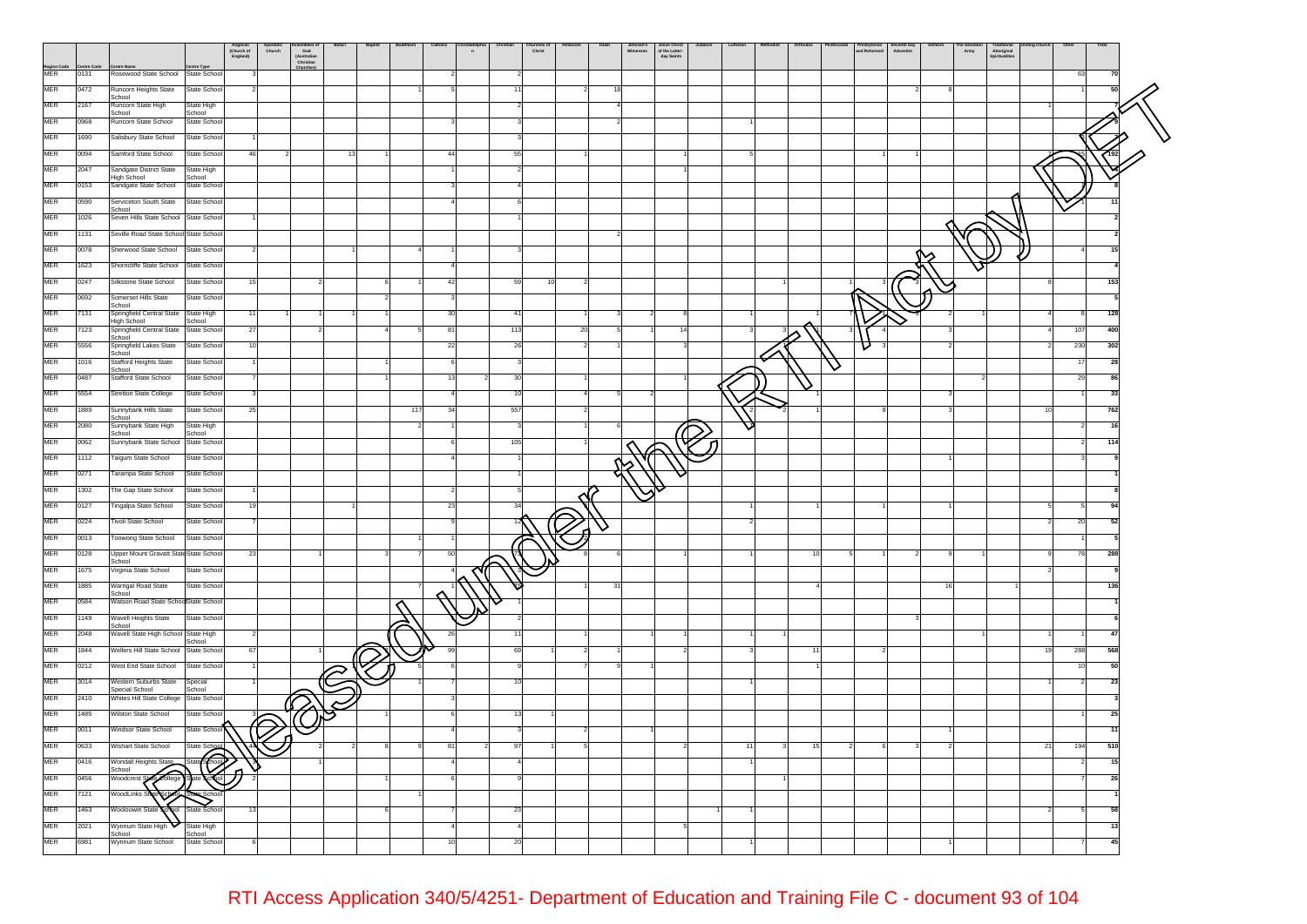|                          |              |                                                       |                                      | Anglican<br>(Church of<br>England) | Apostolic<br>Church | ssemones<br>God<br>(Australian<br>Christian | Baha'i                  | <b>Baptis</b> | <b>Ruddl</b> | Catholic<br>$\overline{a}$ | Chris | Christ |    | Islam | Jehovah's<br>Witnesses | Jesus Christ<br>of the Latter-<br>day Saints | Lutherar | Orthodo |   | and Reformed | Seventh Day<br>Adventist |    | Army | Aboriginal<br>Spiritualities | Othe<br>Total |     |
|--------------------------|--------------|-------------------------------------------------------|--------------------------------------|------------------------------------|---------------------|---------------------------------------------|-------------------------|---------------|--------------|----------------------------|-------|--------|----|-------|------------------------|----------------------------------------------|----------|---------|---|--------------|--------------------------|----|------|------------------------------|---------------|-----|
| Region Code<br>MER       | 0131         | Rosewood State School State School                    |                                      |                                    |                     |                                             |                         |               |              |                            |       |        |    |       |                        |                                              |          |         |   |              |                          |    |      |                              | 63            | 70  |
| <b>MER</b>               | 0472         | Runcorn Heights State                                 | State School                         |                                    |                     |                                             |                         |               |              |                            |       |        |    |       |                        |                                              |          |         |   |              |                          |    |      |                              |               |     |
| <b>MER</b>               | 2167         | School<br>Runcorn State High                          | State High                           |                                    |                     |                                             |                         |               |              |                            |       |        |    |       |                        |                                              |          |         |   |              |                          |    |      |                              |               |     |
| MER                      | 0968         | School<br>Runcorn State School                        | School<br>State School               |                                    |                     |                                             |                         |               |              |                            |       |        |    |       |                        |                                              |          |         |   |              |                          |    |      |                              |               |     |
| MER                      | 1690         | Salisbury State School                                | State School                         |                                    |                     |                                             |                         |               |              |                            |       |        |    |       |                        |                                              |          |         |   |              |                          |    |      |                              |               |     |
| MER                      | 0094         | Samford State School                                  | State School                         |                                    |                     |                                             | 13                      |               |              | 44                         | 55    |        |    |       |                        |                                              |          |         |   |              |                          |    |      |                              |               |     |
| MER                      | 2047         | Sandgate District State                               | State High                           |                                    |                     |                                             |                         |               |              |                            |       |        |    |       |                        |                                              |          |         |   |              |                          |    |      |                              |               |     |
| MER                      | 0153         | High School<br>Sandgate State School                  | School<br>State School               |                                    |                     |                                             |                         |               |              |                            |       |        |    |       |                        |                                              |          |         |   |              |                          |    |      |                              |               |     |
| MER                      | 0590         | Serviceton South State                                | State School                         |                                    |                     |                                             |                         |               |              |                            |       |        |    |       |                        |                                              |          |         |   |              |                          |    |      |                              |               |     |
| MER                      | 1026         | School<br>Seven Hills State School State School       |                                      |                                    |                     |                                             |                         |               |              |                            |       |        |    |       |                        |                                              |          |         |   |              |                          |    |      |                              |               |     |
| <b>MER</b>               | 1131         | Seville Road State School State School                |                                      |                                    |                     |                                             |                         |               |              |                            |       |        |    |       |                        |                                              |          |         |   |              |                          |    |      |                              |               |     |
| MER                      | 0078         | Sherwood State School                                 | State School                         |                                    |                     |                                             |                         |               |              |                            |       |        |    |       |                        |                                              |          |         |   |              |                          |    |      |                              |               |     |
| MER                      | 1623         | Shorncliffe State School State School                 |                                      |                                    |                     |                                             |                         |               |              |                            |       |        |    |       |                        |                                              |          |         |   |              |                          |    |      |                              |               |     |
| MER                      | 0247         | Silkstone State School                                | State School                         |                                    |                     |                                             |                         |               |              |                            | 59    | 10     |    |       |                        |                                              |          |         |   |              |                          |    |      |                              |               | 153 |
| MER                      | 0692         | Somerset Hills State                                  | State School                         |                                    |                     |                                             |                         |               |              |                            |       |        |    |       |                        |                                              |          |         |   |              |                          |    |      |                              |               |     |
| MER                      | 7131         | School<br>Springfield Central State State High        |                                      |                                    |                     |                                             |                         |               |              |                            |       |        |    |       |                        |                                              |          |         |   |              |                          |    |      |                              |               | 128 |
| MER                      | 7123         | High School<br>Springfield Central State State School | School                               | 27                                 |                     |                                             |                         |               |              | 81                         | 113   |        | 20 |       |                        | 14                                           |          |         |   |              |                          |    |      |                              | 107           | 400 |
| MER                      | 5556         | School<br>Springfield Lakes State<br>School           | State School                         |                                    |                     |                                             |                         |               |              | 22                         | 26    |        |    |       |                        |                                              |          |         |   |              |                          |    |      |                              | 230<br>302    |     |
| MER                      | 1016         | <b>Stafford Heights State</b><br>School               | State School                         |                                    |                     |                                             |                         |               |              |                            |       |        |    |       |                        |                                              |          |         | ◡ |              |                          |    |      |                              | 17            | 28  |
| MER                      | 0487         | Stafford State School                                 | State School                         |                                    |                     |                                             |                         |               |              |                            |       |        |    |       |                        |                                              |          |         |   |              |                          |    |      |                              | 29            | 86  |
| <b>MER</b>               | 5554         | Stretton State College                                | State School                         |                                    |                     |                                             |                         |               |              |                            |       |        |    |       |                        |                                              |          |         |   |              |                          |    |      |                              |               | 33  |
| <b>MER</b>               | 1889         | Sunnybank Hills State<br>School                       | State School                         | -25                                |                     |                                             |                         |               | 117          | 34                         | 557   |        |    |       |                        |                                              |          |         |   |              |                          |    |      |                              | 762           |     |
| <b>MER</b>               | 2080         | Sunnybank State High<br>School                        | State High<br>School                 |                                    |                     |                                             |                         |               |              |                            |       |        |    |       |                        |                                              |          |         |   |              |                          |    |      |                              |               |     |
| <b>MER</b>               | 0062         | Sunnybank State School State School                   |                                      |                                    |                     |                                             |                         |               |              |                            | 105   |        |    |       |                        |                                              |          |         |   |              |                          |    |      |                              | 114           |     |
| MER                      | 1112         | Taigum State School                                   | State School                         |                                    |                     |                                             |                         |               |              |                            |       |        |    |       |                        |                                              |          |         |   |              |                          |    |      |                              |               |     |
| MER                      | 0271         | Tarampa State School                                  | State School                         |                                    |                     |                                             |                         |               |              |                            |       |        |    |       |                        |                                              |          |         |   |              |                          |    |      |                              |               |     |
| MER                      | 1302         | The Gap State School                                  | State School                         |                                    |                     |                                             |                         |               |              |                            |       |        |    |       |                        |                                              |          |         |   |              |                          |    |      |                              |               |     |
| MER                      | 0127         | Tingalpa State School                                 | State School                         |                                    |                     |                                             |                         |               |              | 23                         |       |        |    |       |                        |                                              |          |         |   |              |                          |    |      |                              | $\mathbf{a}$  |     |
| MER                      | 0224         | Tivoli State School                                   | State School                         |                                    |                     |                                             |                         |               |              |                            |       |        |    |       |                        |                                              |          |         |   |              |                          |    |      |                              | 20            | 52  |
| <b>MER</b>               | 0013         | Toowong State School                                  | State School                         |                                    |                     |                                             |                         |               |              |                            |       |        |    |       |                        |                                              |          |         |   |              |                          |    |      |                              |               |     |
| MER                      | 0128         | Upper Mount Gravatt State State School<br>School      |                                      | 23                                 |                     |                                             |                         |               |              |                            |       |        |    |       |                        |                                              |          |         |   |              |                          |    |      |                              | 78<br>288     |     |
| MER                      | 1675         | Virginia State School                                 | State School                         |                                    |                     |                                             |                         |               |              |                            |       |        |    |       |                        |                                              |          |         |   |              |                          |    |      |                              |               |     |
| MER                      | 1885         | Warrigal Road State<br>School                         | State School                         |                                    |                     |                                             |                         |               |              |                            |       |        |    | 3.    |                        |                                              |          |         |   |              |                          | 16 |      |                              | 136           |     |
| MER                      | 0584         | Watson Road State SchoolState School                  |                                      |                                    |                     |                                             |                         |               |              |                            |       |        |    |       |                        |                                              |          |         |   |              |                          |    |      |                              |               |     |
| MER                      | 1149         | Wavell Heights State<br>School                        | State School                         |                                    |                     |                                             |                         |               |              |                            |       |        |    |       |                        |                                              |          |         |   |              |                          |    |      |                              |               |     |
| MER                      | 2048         | Wavell State High School State High                   | School                               |                                    |                     |                                             |                         |               |              |                            |       |        |    |       |                        |                                              |          |         |   |              |                          |    |      |                              |               |     |
| MER                      | 1844         | Wellers Hill State School State School                |                                      | 67                                 |                     |                                             |                         |               |              |                            |       |        |    |       |                        |                                              |          |         |   |              |                          |    |      |                              | 288<br>568    |     |
| MER                      | 0212         | West End State School                                 | State School                         |                                    |                     |                                             | $\widehat{\mathcal{C}}$ |               |              |                            |       |        |    |       |                        |                                              |          |         |   |              |                          |    |      |                              |               | 50  |
| <b>MER</b>               | 3014         | Western Suburbs State<br>Special School               | Special<br>School                    |                                    |                     |                                             |                         |               |              |                            |       |        |    |       |                        |                                              |          |         |   |              |                          |    |      |                              |               |     |
| MER                      | 2410         | Whites Hill State College State School                |                                      |                                    |                     |                                             |                         |               |              |                            |       |        |    |       |                        |                                              |          |         |   |              |                          |    |      |                              |               |     |
| MER                      | 1485         | Wilston State School                                  | State School                         |                                    | Ő                   |                                             |                         |               |              |                            |       |        |    |       |                        |                                              |          |         |   |              |                          |    |      |                              | 25            |     |
| MER                      | 0011         | Windsor State School                                  | State Schoo                          |                                    |                     |                                             |                         |               |              |                            |       |        |    |       |                        |                                              |          |         |   |              |                          |    |      |                              |               | 11  |
| MER                      | 0633         | Wishart State School                                  | State Schoo                          |                                    |                     |                                             |                         |               |              | 81                         |       |        |    |       |                        |                                              |          | 15      |   |              |                          |    |      |                              | 510<br>194    |     |
| MER                      | 0416         | Wondall Heights State<br>School<br>$\epsilon$ ollege  | <del>ি</del><br>State                |                                    |                     |                                             |                         |               |              |                            |       |        |    |       |                        |                                              |          |         |   |              |                          |    |      |                              |               | 15  |
| <b>MER</b>               | 0456         | Woodcrest St                                          |                                      |                                    |                     |                                             |                         |               |              |                            |       |        |    |       |                        |                                              |          |         |   |              |                          |    |      |                              |               | 26  |
| <b>MER</b>               | 7121         | WoodLinks S                                           |                                      |                                    |                     |                                             |                         |               |              |                            |       |        |    |       |                        |                                              |          |         |   |              |                          |    |      |                              |               |     |
| <b>MER</b><br><b>MER</b> | 1463         | Wooloowin Stat                                        | State Schoo                          |                                    |                     |                                             |                         |               |              |                            | 23    |        |    |       |                        |                                              |          |         |   |              |                          |    |      |                              |               |     |
| <b>MER</b>               | 2021<br>6981 | Wynnum State High<br>School<br>Wynnum State School    | State High<br>School<br>State School |                                    |                     |                                             |                         |               |              |                            |       |        |    |       |                        |                                              |          |         |   |              |                          |    |      |                              |               | 13  |
|                          |              |                                                       |                                      |                                    |                     |                                             |                         |               |              |                            |       |        |    |       |                        |                                              |          |         |   |              |                          |    |      |                              |               |     |

## RTI Access Application 340/5/4251- Department of Education and Training File C - document 93 of 104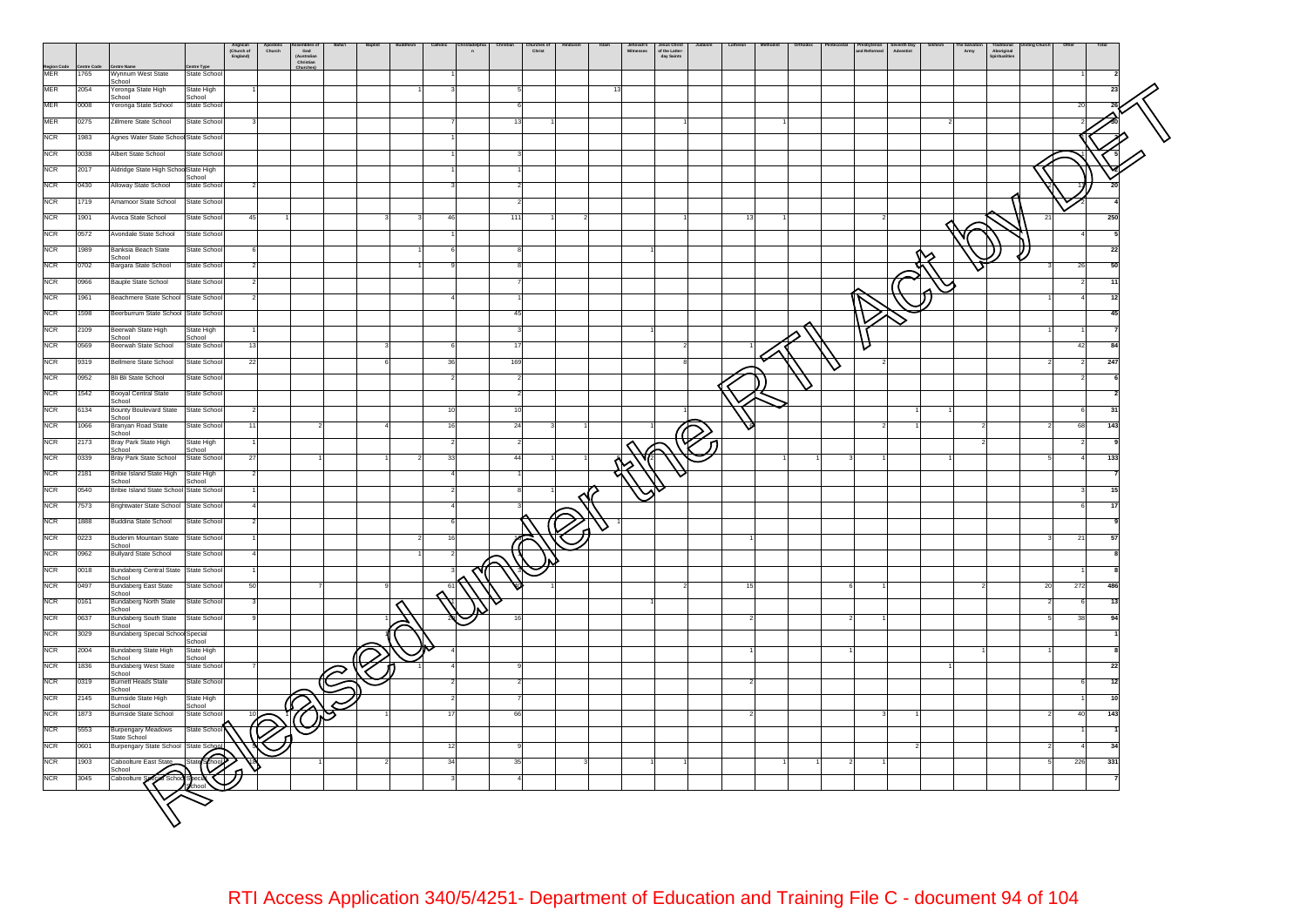

RTI Access Application 340/5/4251- Department of Education and Training File C - document 94 of 104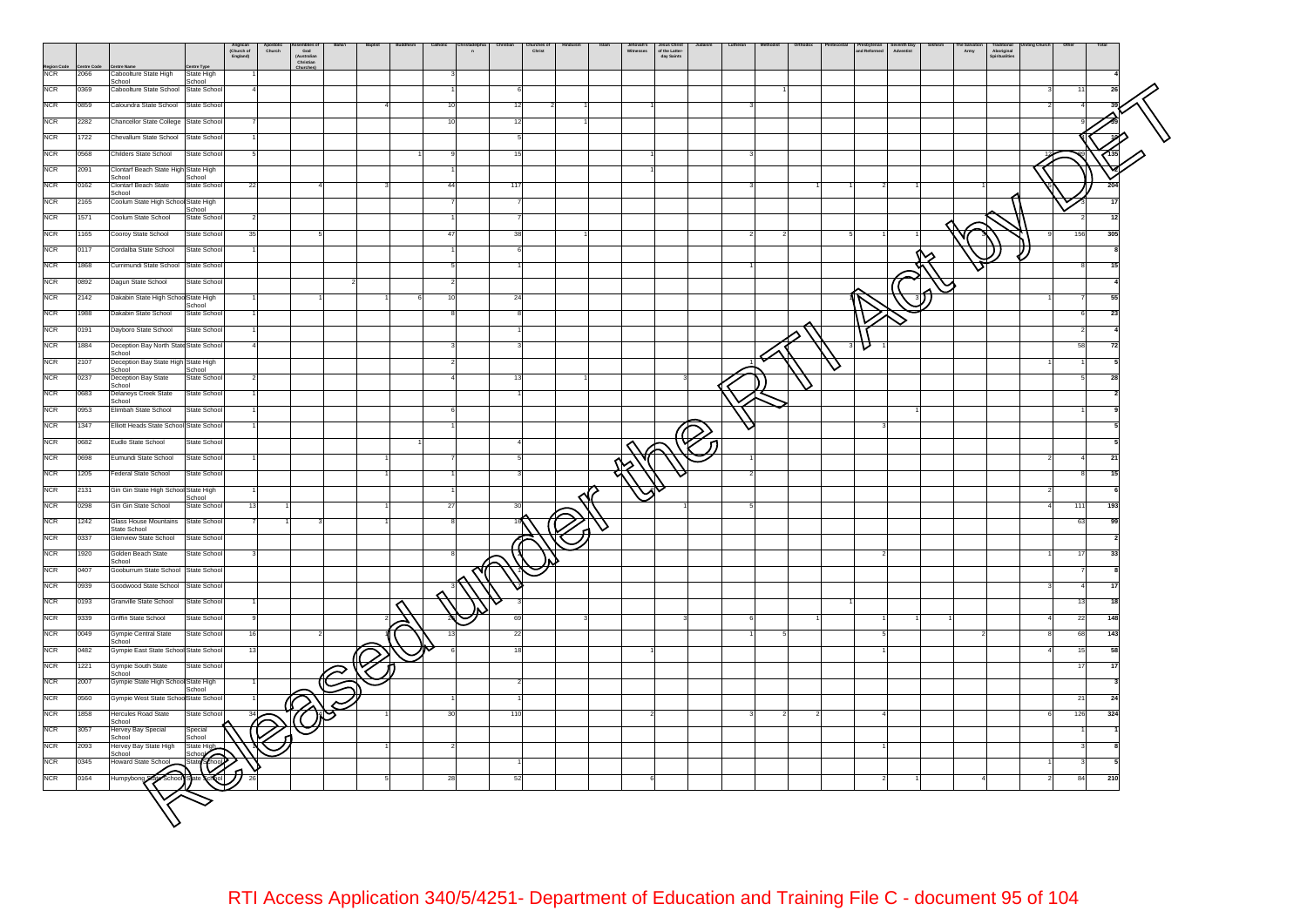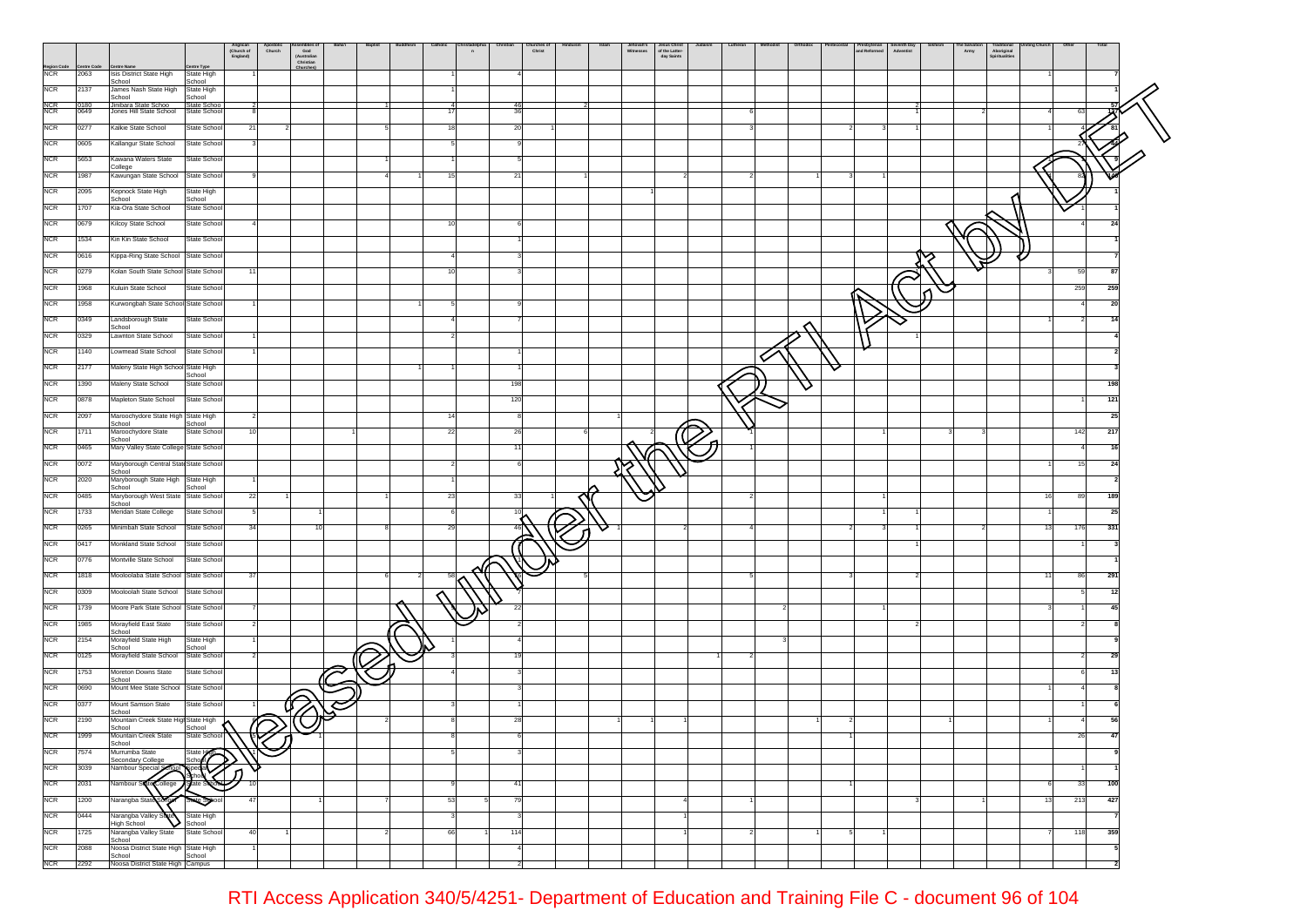|                    |                   |                                                 |                              | Anglican<br>(Church of<br>England) | Apostolic<br>Church | God<br>God<br>(Australian<br>Christian | Baha'i | <b>Baptist</b> | Catholic | n  |                | hurches o<br>Christ |  | Jehovah's<br>Witnesses<br>Jesus Christ<br>of the Latter- | day Saints | Lutheran |  | Presbyterian<br>and Reformed<br>Seventh Day<br>Adventist |   | $A$ rmy | rraditional<br>Spiritualities |    |          |     |
|--------------------|-------------------|-------------------------------------------------|------------------------------|------------------------------------|---------------------|----------------------------------------|--------|----------------|----------|----|----------------|---------------------|--|----------------------------------------------------------|------------|----------|--|----------------------------------------------------------|---|---------|-------------------------------|----|----------|-----|
| Region Code<br>NCR | ntre Code<br>2063 | <b>Centre Nam</b><br>Isis District State High   | intre Type<br>State High     |                                    |                     | Churches                               |        |                |          |    |                |                     |  |                                                          |            |          |  |                                                          |   |         |                               |    |          |     |
|                    |                   | School                                          | School                       |                                    |                     |                                        |        |                |          |    |                |                     |  |                                                          |            |          |  |                                                          |   |         |                               |    |          |     |
| <b>NCR</b>         | 2137              | James Nash State High<br>School                 | State High<br>School         |                                    |                     |                                        |        |                |          |    |                |                     |  |                                                          |            |          |  |                                                          |   |         |                               |    |          |     |
| NCR<br>NCR         | 0180<br>0649      | Jinihara State Schoo<br>Jones Hill State School | State School<br>State School |                                    |                     |                                        |        |                | -17      |    | $rac{46}{36}$  |                     |  |                                                          |            |          |  |                                                          |   |         |                               |    | 63       |     |
| <b>NCR</b>         | 0277              | Kalkie State School                             | State School                 | 21                                 |                     |                                        |        |                |          |    | 20             |                     |  |                                                          |            |          |  |                                                          |   |         |                               |    |          |     |
| <b>NCR</b>         | 0605              | Kallangur State School                          | State Schoo                  |                                    |                     |                                        |        |                |          |    |                |                     |  |                                                          |            |          |  |                                                          |   |         |                               |    |          |     |
|                    |                   |                                                 |                              |                                    |                     |                                        |        |                |          |    |                |                     |  |                                                          |            |          |  |                                                          |   |         |                               |    |          |     |
| <b>NCR</b>         | 5653              | Kawana Waters State<br>College                  | State Schoo                  |                                    |                     |                                        |        |                |          |    |                |                     |  |                                                          |            |          |  |                                                          |   |         |                               |    |          |     |
| <b>NCR</b>         | 1987              | Kawungan State School                           | State Schoo                  |                                    |                     |                                        |        |                |          |    | 21             |                     |  |                                                          |            |          |  |                                                          |   |         |                               |    |          |     |
| <b>NCR</b>         | 2095              | Kepnock State High<br>School                    | State High<br>School         |                                    |                     |                                        |        |                |          |    |                |                     |  |                                                          |            |          |  |                                                          |   |         |                               |    |          |     |
| <b>NCR</b>         | 1707              | Kia-Ora State School                            | State Schoo                  |                                    |                     |                                        |        |                |          |    |                |                     |  |                                                          |            |          |  |                                                          |   |         |                               |    |          |     |
| <b>NCR</b>         | 0679              | Kilcoy State School                             | State Schoo                  |                                    |                     |                                        |        |                |          |    |                |                     |  |                                                          |            |          |  |                                                          |   |         |                               |    | 4        | -24 |
| <b>NCR</b>         | 1534              | Kin Kin State School                            | State Schoo                  |                                    |                     |                                        |        |                |          |    |                |                     |  |                                                          |            |          |  |                                                          |   |         |                               |    |          |     |
| <b>NCR</b>         | 0616              | Kippa-Ring State School State School            |                              |                                    |                     |                                        |        |                |          |    |                |                     |  |                                                          |            |          |  |                                                          | ∽ |         |                               |    |          |     |
| <b>NCR</b>         | 0279              | Kolan South State School State Schoo            |                              | 11                                 |                     |                                        |        |                |          |    |                |                     |  |                                                          |            |          |  |                                                          |   |         |                               |    | 59       | 87  |
| <b>NCR</b>         | 1968              | Kuluin State School                             | State Schoo                  |                                    |                     |                                        |        |                |          |    |                |                     |  |                                                          |            |          |  |                                                          |   |         |                               |    | 259      | 259 |
| <b>NCR</b>         | 1958              | Kurwongbah State School State Schoo             |                              |                                    |                     |                                        |        |                |          |    |                |                     |  |                                                          |            |          |  |                                                          |   |         |                               |    |          | 20  |
| <b>NCR</b>         | 0349              |                                                 | State Schoo                  |                                    |                     |                                        |        |                |          |    |                |                     |  |                                                          |            |          |  |                                                          |   |         |                               |    |          | 14  |
|                    |                   | Landsborough State<br>School                    |                              |                                    |                     |                                        |        |                |          |    |                |                     |  |                                                          |            |          |  |                                                          |   |         |                               |    |          |     |
| <b>NCR</b>         | 0329              | Lawnton State School                            | State Schoo                  |                                    |                     |                                        |        |                |          |    |                |                     |  |                                                          |            |          |  |                                                          |   |         |                               |    |          |     |
| <b>NCR</b>         | 1140              | Lowmead State School                            | State Schoo                  |                                    |                     |                                        |        |                |          |    |                |                     |  |                                                          |            |          |  |                                                          |   |         |                               |    |          |     |
| <b>NCR</b>         | 2177              | Maleny State High School State High             | School                       |                                    |                     |                                        |        |                |          |    |                |                     |  |                                                          |            |          |  |                                                          |   |         |                               |    |          |     |
| <b>NCR</b>         | 1390              | Maleny State School                             | State Schoo                  |                                    |                     |                                        |        |                |          |    | 198            |                     |  |                                                          |            |          |  |                                                          |   |         |                               |    |          | 198 |
| <b>NCR</b>         | 0878              | Mapleton State School                           | State Schoo                  |                                    |                     |                                        |        |                |          |    | 120            |                     |  |                                                          |            |          |  |                                                          |   |         |                               |    |          | 121 |
| <b>NCR</b>         | 2097              | Maroochydore State High State High              | School                       |                                    |                     |                                        |        |                |          |    |                |                     |  |                                                          |            |          |  |                                                          |   |         |                               |    |          | 25  |
| <b>NCR</b>         | 1711              | School<br>Maroochydore State<br>School          | State Schoo                  | 10                                 |                     |                                        |        |                | 22       |    | 26             |                     |  |                                                          |            |          |  |                                                          |   |         |                               |    | 142      | 217 |
| <b>NCR</b>         | 0465              | Mary Valley State College State Schoo           |                              |                                    |                     |                                        |        |                |          |    | 11             |                     |  |                                                          |            |          |  |                                                          |   |         |                               |    | $\Delta$ | 16  |
| <b>NCR</b>         | 0072              | Maryborough Central State State Schoo           |                              |                                    |                     |                                        |        |                |          |    |                |                     |  |                                                          |            |          |  |                                                          |   |         |                               |    | 15       | 24  |
| <b>NCR</b>         | 2020              | School<br>Maryborough State High State High     |                              |                                    |                     |                                        |        |                |          |    |                |                     |  |                                                          |            |          |  |                                                          |   |         |                               |    |          |     |
| <b>NCR</b>         | 0485              | School<br>Maryborough West State State Schoo    | School                       | 22                                 |                     |                                        |        |                | 23       |    | 33             |                     |  |                                                          |            |          |  |                                                          |   |         |                               | 16 | 89       | 189 |
| <b>NCR</b>         | 1733              | School<br>Meridan State College                 | State Schoo                  | $5\phantom{.0}$                    |                     |                                        |        |                |          |    | 10             |                     |  |                                                          |            |          |  |                                                          |   |         |                               |    |          | 25  |
| <b>NCR</b>         | 0265              | Minimbah State School                           | State Schoo                  | 34                                 |                     | 10                                     |        |                | 29       |    | 46             |                     |  |                                                          |            |          |  |                                                          |   |         |                               | 13 | 176      | 331 |
| <b>NCR</b>         | 0417              | Monkland State School                           | State Schoo                  |                                    |                     |                                        |        |                |          |    |                |                     |  |                                                          |            |          |  |                                                          |   |         |                               |    |          |     |
|                    |                   |                                                 |                              |                                    |                     |                                        |        |                |          |    |                |                     |  |                                                          |            |          |  |                                                          |   |         |                               |    |          |     |
| <b>NCR</b>         | 0776              | Montville State School                          | State Schoo                  |                                    |                     |                                        |        |                |          |    |                |                     |  |                                                          |            |          |  |                                                          |   |         |                               |    |          |     |
| <b>NCR</b>         | 1818              | Mooloolaba State School                         | State Schoo                  | 37                                 |                     |                                        |        |                | 58       |    |                |                     |  |                                                          |            |          |  |                                                          |   |         |                               | 11 | 86       | 291 |
| <b>NCR</b>         | 0309              | Mooloolah State School                          | State Schoo                  |                                    |                     |                                        |        |                | ⌒        |    |                |                     |  |                                                          |            |          |  |                                                          |   |         |                               |    |          | 12  |
| <b>NCR</b>         | 1739              | Moore Park State School State Schoo             |                              |                                    |                     |                                        |        |                |          |    | 22             |                     |  |                                                          |            |          |  |                                                          |   |         |                               |    |          | 45  |
| <b>NCR</b>         | 1985              | Morayfield East State<br>School                 | State Schoo                  | 2                                  |                     |                                        |        |                |          |    |                |                     |  |                                                          |            |          |  |                                                          |   |         |                               |    |          |     |
| <b>NCR</b>         | 2154              | Morayfield State High<br>School                 | State High<br>School         |                                    |                     |                                        |        |                |          |    |                |                     |  |                                                          |            |          |  |                                                          |   |         |                               |    |          |     |
| <b>NCR</b>         | 0125              | Morayfield State School                         | State School                 |                                    |                     |                                        |        |                |          |    |                |                     |  |                                                          |            |          |  |                                                          |   |         |                               |    |          | -29 |
| <b>NCR</b>         | 1753              | Moreton Downs State                             | State Schoo                  |                                    |                     |                                        |        |                |          |    |                |                     |  |                                                          |            |          |  |                                                          |   |         |                               |    |          |     |
| <b>NCR</b>         | 0690              | School<br>Mount Mee State School                | State Schoo                  |                                    |                     |                                        |        |                |          |    |                |                     |  |                                                          |            |          |  |                                                          |   |         |                               |    |          |     |
| <b>NCR</b>         | 0377              | Mount Samson State                              | State Schoo                  |                                    |                     |                                        |        |                |          |    |                |                     |  |                                                          |            |          |  |                                                          |   |         |                               |    |          |     |
| <b>NCR</b>         | 2190              | School<br>Mountain Creek State High State High  |                              |                                    |                     |                                        |        |                |          |    | 28             |                     |  |                                                          |            |          |  |                                                          |   |         |                               |    | $\Delta$ | 56  |
| <b>NCR</b>         | 1999              | School<br>Mountain Creek State                  | School<br>State School       |                                    | $\bigotimes$<br>ิก  |                                        |        |                |          |    | 6              |                     |  |                                                          |            |          |  |                                                          |   |         |                               |    | 26       | 47  |
| <b>NCR</b>         | 7574              | School<br>Murrumba State                        |                              |                                    | -                   |                                        |        |                |          |    |                |                     |  |                                                          |            |          |  |                                                          |   |         |                               |    |          |     |
| <b>NCR</b>         | 3039              | Secondary College<br>Nambour Special            | State HOO                    |                                    |                     |                                        |        |                |          |    |                |                     |  |                                                          |            |          |  |                                                          |   |         |                               |    |          |     |
|                    | 2031              |                                                 |                              |                                    |                     |                                        |        |                |          |    | 41             |                     |  |                                                          |            |          |  |                                                          |   |         |                               |    | 33       | 100 |
| <b>NCR</b>         |                   | College,<br>Nambour St                          | State S                      |                                    |                     |                                        |        |                |          |    |                |                     |  |                                                          |            |          |  |                                                          |   |         |                               | -6 |          |     |
| <b>NCR</b>         | 1200              | Narangba State School                           | te Schoo                     | 47                                 |                     |                                        |        |                | 53       | -5 | 79             |                     |  |                                                          |            |          |  |                                                          |   |         |                               | 13 | 213      | 427 |
| <b>NCR</b>         | 0444              | Narangba Valley State                           | <b>State High</b><br>School  |                                    |                     |                                        |        |                |          |    |                |                     |  |                                                          |            |          |  |                                                          |   |         |                               |    |          |     |
| <b>NCR</b>         | 1725              | Narangba Valley State<br>School                 | State School                 | 40                                 |                     |                                        |        |                | 66       |    | 114            |                     |  |                                                          |            |          |  |                                                          |   |         |                               |    | 118      | 359 |
| <b>NCR</b>         | 2088              | Noosa District State High State High<br>School  | School                       |                                    |                     |                                        |        |                |          |    |                |                     |  |                                                          |            |          |  |                                                          |   |         |                               |    |          |     |
| <b>NCR</b>         | 2292              | Noosa District State High Campus                |                              |                                    |                     |                                        |        |                |          |    | $\overline{2}$ |                     |  |                                                          |            |          |  |                                                          |   |         |                               |    |          |     |

RTI Access Application 340/5/4251- Department of Education and Training File C - document 96 of 104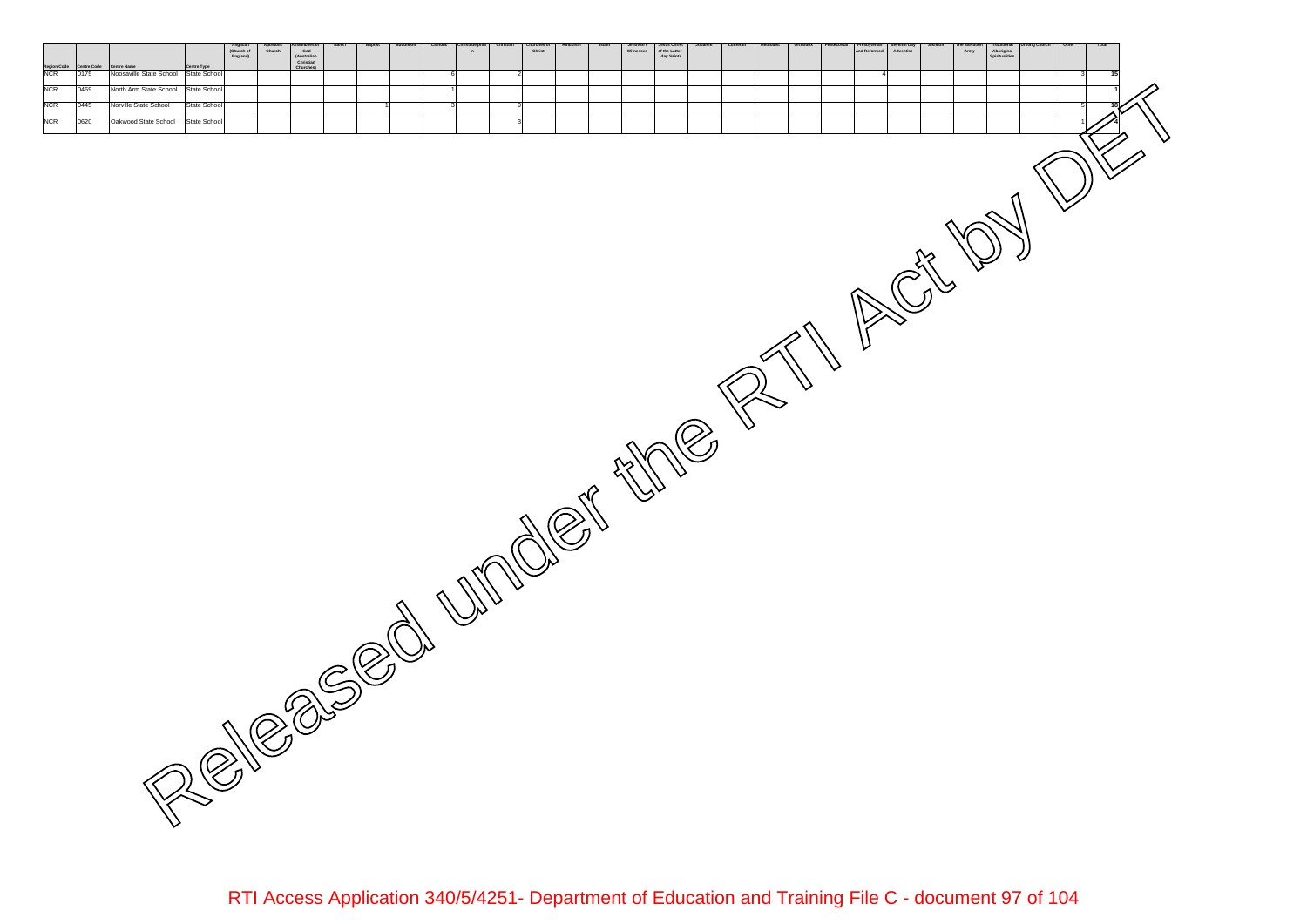**Centre Code Centre Type (Australian Churches) Anglican (Church of England) Apostolic ChurchAssemblies of God Christian Baha'i Baptist Buddhism Catholic Christadelphia**المسلم المسلم المسلم المسلمين المسلمين المسلمين المسلمين المسلمين المسلمين المسلمين المسلمين المسلمين المسلمين ال<br>المسلمين المسلمين المسلمين المسلمين المسلمين المسلمين المسلمين المسلمين المسلمين المسلمين المسلمين المسلمين **Christian Churches of ChristHinduism Islam Jehovah's Jesus Christ of the Latter-day Saints Judaism Lutheran Methodist Orthodox Pentecostal Presbyterian Seventh Day AdventistSikhism The Salvation Army Traditional Aboriginal Uniting Church Other Total** 0469 State School 1 **1** 0445 State School 1 3 9 5 **18** 0620 State School 3 1 **4** NCR 0469 North Arm State School<br>NCR 0445 Norville State School<br>NCR 0620 Oakwood State School NCR Noosaville State School Released under the RTI Act DI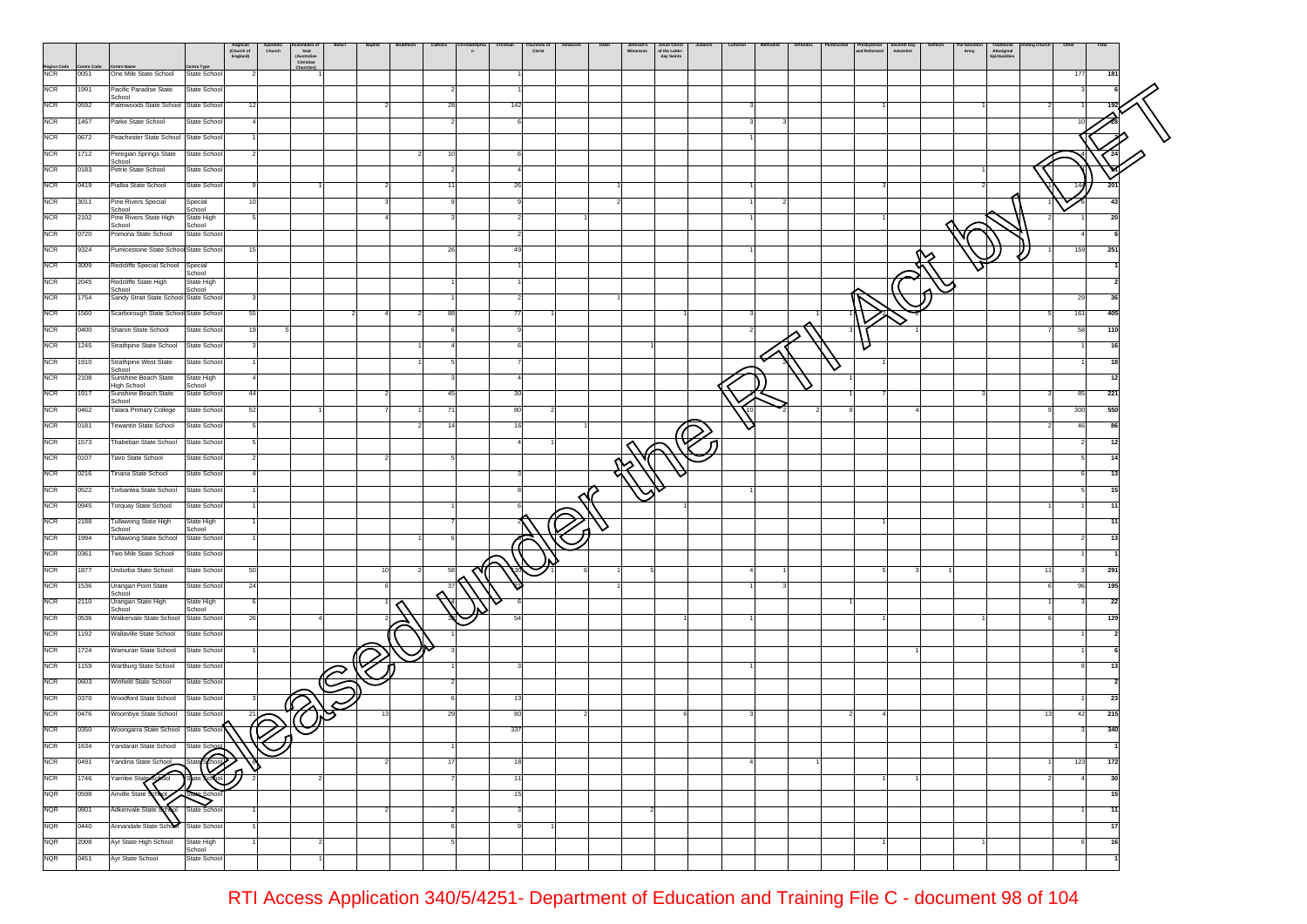|                    |      |                                                  | Anglican<br>(Church of<br>England) | Apostone                 | Seemones<br>God<br>(Australian<br>Christian |    | Baptist | Catholic       | n | hurches<br>Christ |  | Jehovah's<br>Witnesses | Jesus Christ<br>of the Latter-<br>day Saints | Lutheran |  | Presbyterian<br>and Reformed | Seventh Day<br>Adventist | Army | raditional<br>Aboriginal<br>Spiritualities |     |            |    |
|--------------------|------|--------------------------------------------------|------------------------------------|--------------------------|---------------------------------------------|----|---------|----------------|---|-------------------|--|------------------------|----------------------------------------------|----------|--|------------------------------|--------------------------|------|--------------------------------------------|-----|------------|----|
| Region Code<br>NCR | 0051 | ntre Nam<br>One Mile State School                | entre Type<br>State School         |                          | Churches                                    |    |         |                |   |                   |  |                        |                                              |          |  |                              |                          |      |                                            |     | 177<br>181 |    |
| <b>NCR</b>         | 1991 | Pacific Paradise State                           | State School                       |                          |                                             |    |         |                |   |                   |  |                        |                                              |          |  |                              |                          |      |                                            |     |            |    |
| <b>NCR</b>         | 0592 | School<br>Palmwoods State School State School    |                                    | 12                       |                                             |    |         | 28             |   | 142               |  |                        |                                              |          |  |                              |                          |      |                                            |     |            |    |
| <b>NCR</b>         | 1467 | Parke State School                               | State School                       | Δ                        |                                             |    |         | $\overline{2}$ |   |                   |  |                        |                                              |          |  |                              |                          |      |                                            |     |            |    |
| <b>NCR</b>         | 0672 | Peachester State School State School             |                                    |                          |                                             |    |         |                |   |                   |  |                        |                                              |          |  |                              |                          |      |                                            |     |            |    |
| <b>NCR</b>         | 1712 | Peregian Springs State                           | State School                       |                          |                                             |    |         | 10             |   |                   |  |                        |                                              |          |  |                              |                          |      |                                            |     |            |    |
| <b>NCR</b>         | 0183 | School<br>Petrie State School                    | State School                       |                          |                                             |    |         | 2              |   |                   |  |                        |                                              |          |  |                              |                          |      |                                            |     |            |    |
| <b>NCR</b>         | 0419 | Pialba State School                              | State School                       |                          |                                             |    |         | 11             |   | 26                |  |                        |                                              |          |  |                              |                          |      |                                            |     | 201        |    |
| <b>NCR</b>         | 3011 | Pine Rivers Special                              | Special                            |                          |                                             |    |         |                |   |                   |  |                        |                                              |          |  |                              |                          |      |                                            |     |            | 43 |
| <b>NCR</b>         | 2102 | School<br>Pine Rivers State High                 | School<br>State High               |                          |                                             |    |         |                |   |                   |  |                        |                                              |          |  |                              |                          |      |                                            |     |            | 20 |
| <b>NCR</b>         | 0720 | School<br>Pomona State School                    | School<br>State School             |                          |                                             |    |         |                |   |                   |  |                        |                                              |          |  |                              |                          |      |                                            |     |            |    |
| <b>NCR</b>         | 9324 | Pumicestone State School State School            |                                    | 15                       |                                             |    |         | 26             |   | -49               |  |                        |                                              |          |  |                              |                          |      |                                            |     | 159<br>251 |    |
| <b>NCR</b>         | 3009 | Redcliffe Special School Special                 |                                    |                          |                                             |    |         |                |   |                   |  |                        |                                              |          |  |                              |                          |      |                                            |     |            |    |
| <b>NCR</b>         | 2045 | Redcliffe State High                             | School<br>State High               |                          |                                             |    |         |                |   |                   |  |                        |                                              |          |  |                              |                          |      |                                            |     |            |    |
| <b>NCR</b>         | 1754 | School<br>Sandy Strait State School State School | School                             |                          |                                             |    |         |                |   |                   |  |                        |                                              |          |  |                              |                          |      |                                            |     | 29         | 36 |
| <b>NCR</b>         | 1560 | Scarborough State School State School            |                                    | 55                       |                                             |    |         | 88             |   |                   |  |                        |                                              |          |  |                              |                          |      |                                            |     | 161<br>405 |    |
| <b>NCR</b>         | 0400 | Sharon State School                              | State School                       | 19                       |                                             |    |         |                |   |                   |  |                        |                                              |          |  |                              |                          |      |                                            |     | 58<br>110  |    |
| <b>NCR</b>         | 1245 | Strathpine State School                          | State School                       |                          |                                             |    |         |                |   |                   |  |                        |                                              |          |  |                              |                          |      |                                            |     |            |    |
| <b>NCR</b>         | 1910 | <b>Strathpine West State</b>                     | State School                       |                          |                                             |    |         |                |   |                   |  |                        |                                              |          |  | ∨                            |                          |      |                                            |     |            | 18 |
| <b>NCR</b>         | 2108 | School<br>Sunshine Beach State                   | State High                         |                          |                                             |    |         |                |   |                   |  |                        |                                              |          |  |                              |                          |      |                                            |     |            | 12 |
| <b>NCR</b>         | 1917 | High School<br>Sunshine Beach State              | School<br>State School             | 44                       |                                             |    |         | 45             |   | -30               |  |                        |                                              |          |  |                              |                          |      |                                            |     | 221<br>85  |    |
| <b>NCR</b>         | 0462 | School<br>Talara Primary College                 | State School                       | 52                       |                                             |    |         | 71             |   | -80               |  |                        |                                              |          |  |                              |                          |      |                                            |     | 550<br>300 |    |
| <b>NCR</b>         | 0181 | Tewantin State School                            | State School                       |                          |                                             |    |         | 14             |   |                   |  |                        |                                              |          |  |                              |                          |      |                                            |     | 46<br>-86  |    |
| <b>NCR</b>         | 1573 | Thabeban State School                            | State School                       |                          |                                             |    |         |                |   |                   |  |                        |                                              |          |  |                              |                          |      |                                            |     | 2          | 12 |
| <b>NCR</b>         | 0107 | <b>Tiaro State School</b>                        | State School                       |                          |                                             |    |         |                |   |                   |  |                        |                                              |          |  |                              |                          |      |                                            |     |            |    |
| <b>NCR</b>         | 0216 | Tinana State School                              | State School                       |                          |                                             |    |         |                |   |                   |  |                        |                                              |          |  |                              |                          |      |                                            |     |            | 13 |
| <b>NCR</b>         | 0522 | Torbanlea State School                           | State School                       |                          |                                             |    |         |                |   |                   |  |                        |                                              |          |  |                              |                          |      |                                            |     |            |    |
| <b>NCR</b>         | 0945 | Torquay State School                             | State School                       |                          |                                             |    |         |                |   |                   |  |                        |                                              |          |  |                              |                          |      |                                            |     |            |    |
| <b>NCR</b>         | 2188 | Tullawong State High                             | State High                         |                          |                                             |    |         |                |   |                   |  |                        |                                              |          |  |                              |                          |      |                                            |     | 11         |    |
| <b>NCR</b>         | 1994 | School<br>Tullawong State School                 | School<br>State School             |                          |                                             |    |         |                |   |                   |  |                        |                                              |          |  |                              |                          |      |                                            |     | 13         |    |
| <b>NCR</b>         | 0361 | Two Mile State School                            | State School                       |                          |                                             |    |         |                |   |                   |  |                        |                                              |          |  |                              |                          |      |                                            |     |            |    |
| <b>NCR</b>         | 1877 | Undurba State School                             | State School                       | 50                       |                                             |    | 10      | 58             |   |                   |  |                        |                                              |          |  |                              |                          |      |                                            | -11 | 291<br>-3  |    |
| <b>NCR</b>         | 1536 | Urangan Point State                              | State School                       | 24                       |                                             |    |         | 37             |   |                   |  |                        |                                              |          |  |                              |                          |      |                                            |     | 195<br>96  |    |
| <b>NCR</b>         | 2110 | School<br>Urangan State High                     | <b>State High</b>                  |                          |                                             |    |         |                |   |                   |  |                        |                                              |          |  |                              |                          |      |                                            |     |            | 22 |
| <b>NCR</b>         | 0536 | School<br>Walkervale State School                | School<br>State School             | 26                       |                                             |    |         |                |   |                   |  |                        |                                              |          |  |                              |                          |      |                                            |     | 129        |    |
| <b>NCR</b>         | 1192 | Wallaville State School                          | State School                       |                          |                                             |    |         |                |   |                   |  |                        |                                              |          |  |                              |                          |      |                                            |     |            |    |
| <b>NCR</b>         | 1724 | Wamuran State School                             | State School                       |                          |                                             |    |         |                |   |                   |  |                        |                                              |          |  |                              |                          |      |                                            |     |            |    |
| <b>NCR</b>         | 1159 | Wartburg State School                            | State School                       |                          |                                             |    |         |                |   |                   |  |                        |                                              |          |  |                              |                          |      |                                            |     |            | 13 |
| <b>NCR</b>         | 0603 | Winfield State School                            | State School                       |                          |                                             | C) |         |                |   |                   |  |                        |                                              |          |  |                              |                          |      |                                            |     |            |    |
| <b>NCR</b>         | 0370 | Woodford State School                            | State School                       |                          |                                             |    |         |                |   | -13               |  |                        |                                              |          |  |                              |                          |      |                                            |     |            | 23 |
| <b>NCR</b>         | 0476 | Woombye State School                             | State School                       | 21                       |                                             |    |         | 29             |   | 80                |  |                        |                                              |          |  |                              |                          |      |                                            | 13  | 215<br>42  |    |
| <b>NCR</b>         | 0350 | Woongarra State School State School              |                                    | $\widehat{\varpi}$<br>้ก |                                             |    |         |                |   | 337               |  |                        |                                              |          |  |                              |                          |      |                                            |     | 340        |    |
| <b>NCR</b>         | 1634 | Yandaran State School                            | State School                       |                          |                                             |    |         |                |   |                   |  |                        |                                              |          |  |                              |                          |      |                                            |     |            |    |
| <b>NCR</b>         | 0491 | Yandina State School                             | ☜<br>State                         |                          |                                             |    |         | 17             |   | 18                |  |                        |                                              |          |  |                              |                          |      |                                            |     | 123<br>172 |    |
| <b>NCR</b>         | 1746 | ⌒<br>Yarrilee State<br>School                    | ∩<br>$\overline{\mathbb{Q}}$       |                          |                                             |    |         |                |   | 11                |  |                        |                                              |          |  |                              |                          |      |                                            |     |            | 30 |
| <b>NQR</b>         | 0598 | Airville State School                            |                                    |                          |                                             |    |         |                |   | 15                |  |                        |                                              |          |  |                              |                          |      |                                            |     |            | 15 |
| <b>NQR</b>         | 0801 | Aitkenvale State S                               | State School                       |                          |                                             |    |         | $\overline{2}$ |   |                   |  |                        |                                              |          |  |                              |                          |      |                                            |     |            | 11 |
| <b>NQR</b>         | 0440 | Annandale State School State School              |                                    |                          |                                             |    |         | 6              |   |                   |  |                        |                                              |          |  |                              |                          |      |                                            |     |            | 17 |
| <b>NQR</b>         | 2008 | Ayr State High School                            | State High                         |                          |                                             |    |         | 5              |   |                   |  |                        |                                              |          |  |                              |                          |      |                                            |     | 6          | 16 |
| <b>NQR</b>         | 0451 | Ayr State School                                 | School<br>State School             |                          |                                             |    |         |                |   |                   |  |                        |                                              |          |  |                              |                          |      |                                            |     |            |    |
|                    |      |                                                  |                                    |                          |                                             |    |         |                |   |                   |  |                        |                                              |          |  |                              |                          |      |                                            |     |            |    |

RTI Access Application 340/5/4251- Department of Education and Training File C - document 98 of 104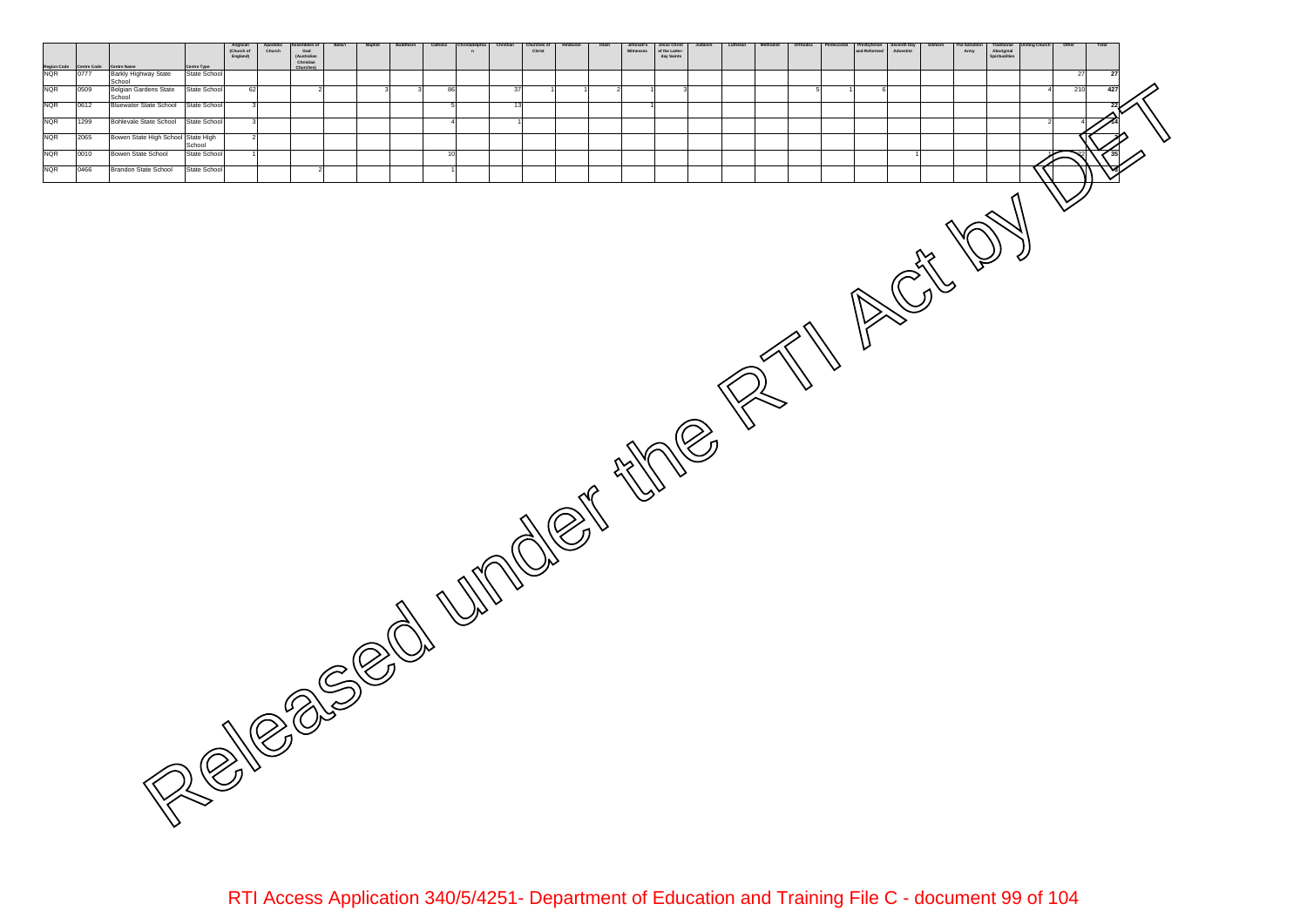**Centre Code Centre Type Anglican (Church of England) Apostolic ChurchAssemblies of God (Australian Christian Churches) Baha'i Baptist Buddhism Catholic ChristadelphiaChristian Churches of Christ Hinduism Islam Jehovah's Jesus Christ of the Latter-day Saints Judaism Lutheran Methodist Orthodox Pentecostal Presbyterian Seventh Day AdventistSikhism The Salvation Army Traditional Aboriginal SpiritualitiesUniting Church Other Total Region Code Centre Name** 0777 Barkly Highway State State School 27 **27** 0509 Belgian.Gardens State [State School] 62 | 2| | 3| 3| 86| | 37| 1| 1| 2| 1| 3| | | 5| 1| 6| | | | | 4| 210| 4**27** 0612 State School 3 5 13 1 **22** 1299 State School 3 4 1 2 4 **14** 2065 Bowen State High School State High School State High Powen State High School State High Powen State High School State High Power State High School State High Power State High Power State High Power State High Power St 0010 State School 1 10 1 1 22 **35** 0466 State School 2 1 **3** NQR Bowen State High School NQR Bowen State School NQR Brandon State School NQR 0509 Belgian Gardens State<br>School<br>NQR 0612 Bluewater State School NQR Bohlevale State School NQR Barkly Highway State School Released under the RTI Act DI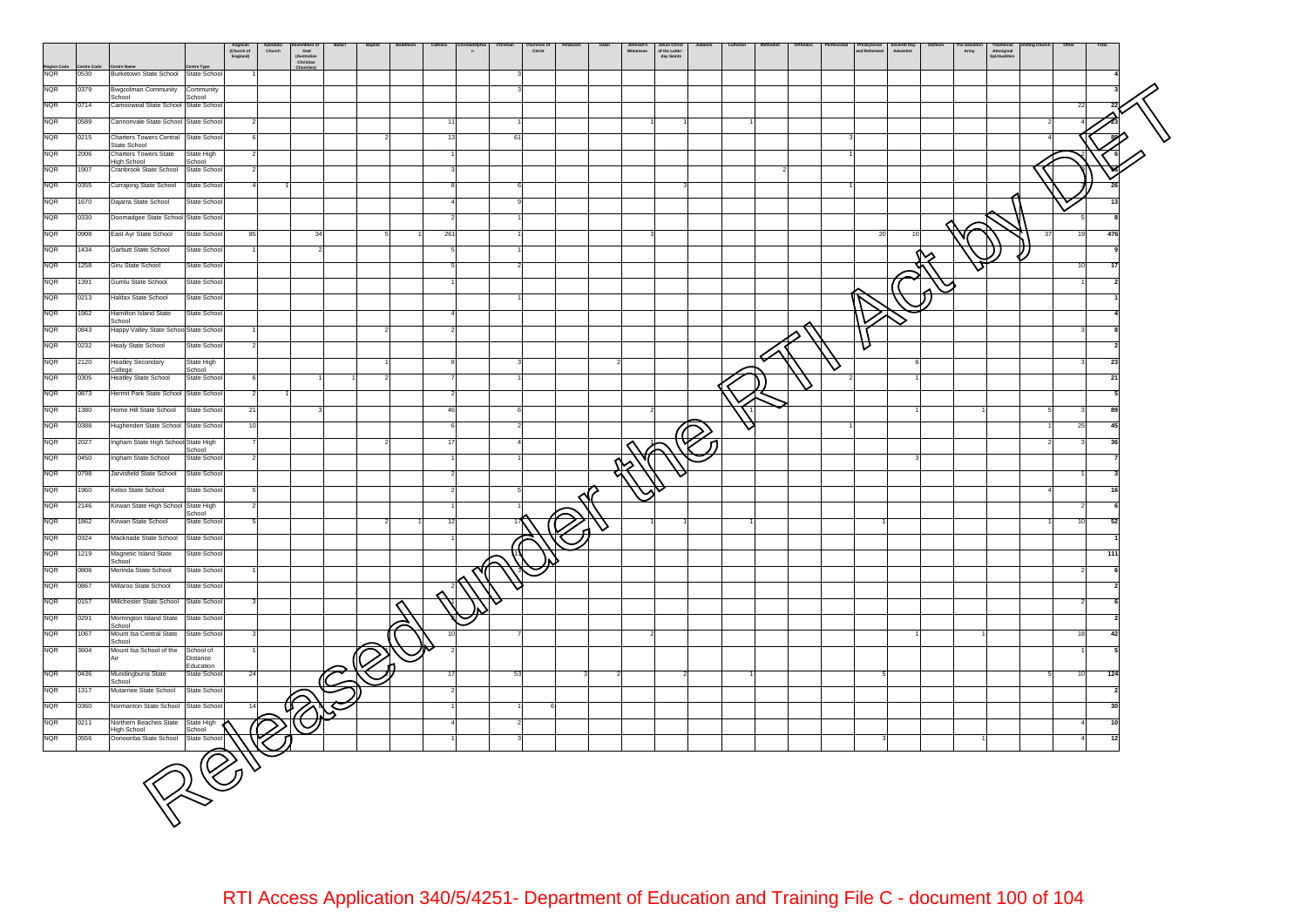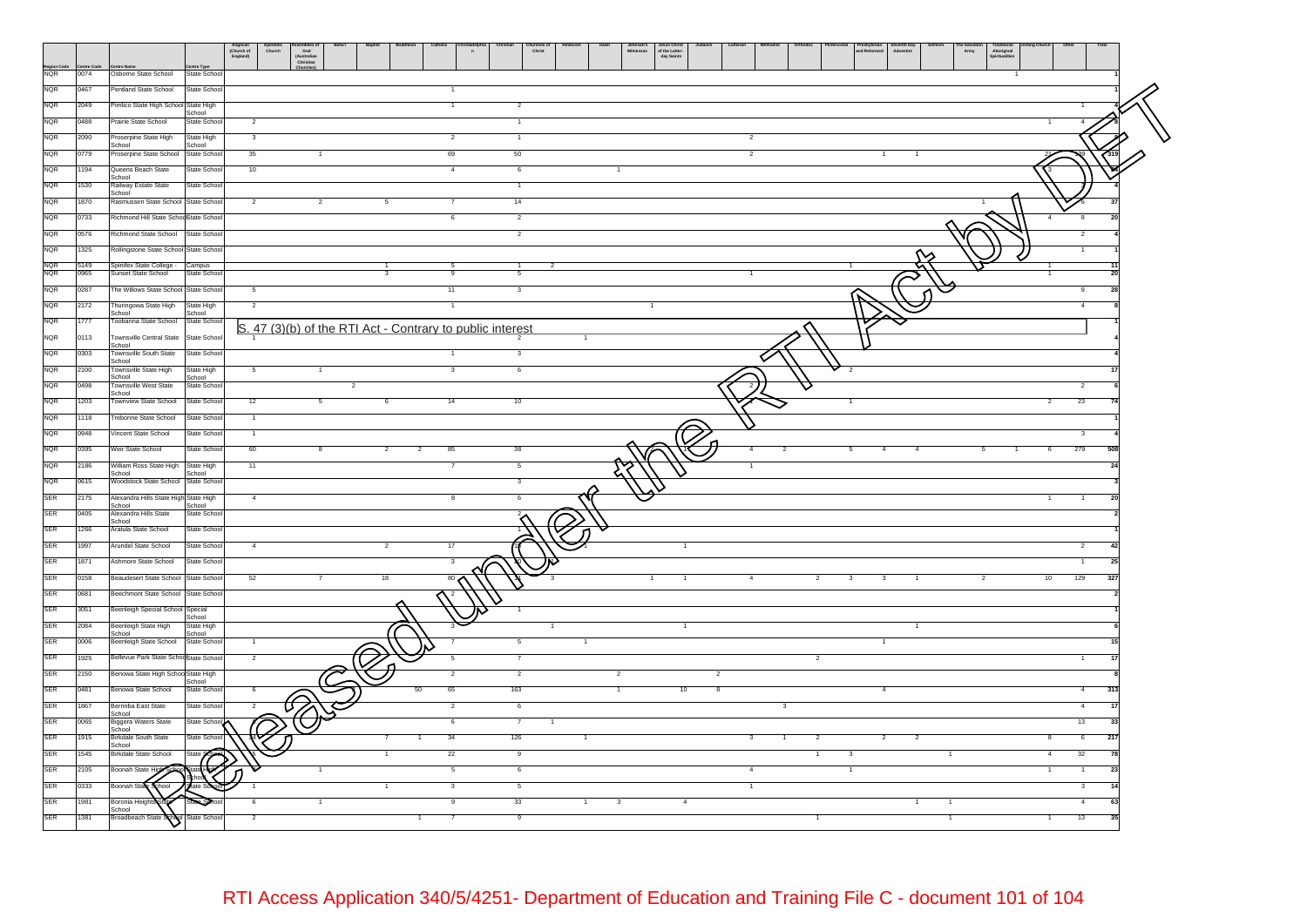|                          |              |                                                       |                              | Anglican<br>(Church of<br>England) | Apostolic<br>Church                                       | Assemblies o<br>God<br>(Australian<br>Christian |    |                      | $\mathbf{a}$ |                         | hurches o<br>Christ |  | Jesus Christ<br>of the Latter-<br>day Saints |                         |  |                | Presbyterian<br>and Reformed | ieventh Day<br>Adventist |                | e Salvati<br>Army | Traditional<br>Aboriginal<br>Spiritualities |                |                       |  |
|--------------------------|--------------|-------------------------------------------------------|------------------------------|------------------------------------|-----------------------------------------------------------|-------------------------------------------------|----|----------------------|--------------|-------------------------|---------------------|--|----------------------------------------------|-------------------------|--|----------------|------------------------------|--------------------------|----------------|-------------------|---------------------------------------------|----------------|-----------------------|--|
| Region G                 | 0074         | Osborne State School                                  | re Type<br>State School      |                                    |                                                           |                                                 |    |                      |              |                         |                     |  |                                              |                         |  |                |                              |                          |                |                   |                                             |                |                       |  |
| <b>NQR</b>               | 0467         | Pentland State School                                 | State School                 |                                    |                                                           |                                                 |    |                      |              |                         |                     |  |                                              |                         |  |                |                              |                          |                |                   |                                             |                |                       |  |
| <b>NQR</b>               | 2049         | Pimlico State High School State High                  | School                       |                                    |                                                           |                                                 |    |                      |              | $\overline{\mathbf{2}}$ |                     |  |                                              |                         |  |                |                              |                          |                |                   |                                             |                |                       |  |
| <b>NQR</b>               | 0488         | Prairie State School                                  | State School                 | $\overline{2}$                     |                                                           |                                                 |    |                      |              | $\mathbf{1}$            |                     |  |                                              |                         |  |                |                              |                          |                |                   |                                             |                |                       |  |
| <b>NQR</b>               | 2090         | Proserpine State High<br>School                       | State High<br>School         | 3                                  |                                                           |                                                 |    |                      |              | $\overline{1}$          |                     |  |                                              |                         |  |                |                              |                          |                |                   |                                             |                |                       |  |
| <b>NQR</b>               | 0779         | Proserpine State School                               | State School                 | 35                                 |                                                           |                                                 |    | 69                   |              | 50                      |                     |  |                                              |                         |  |                |                              |                          |                |                   |                                             |                |                       |  |
| <b>NQR</b>               | 1194         | Queens Beach State<br>School                          | State School                 | 10                                 |                                                           |                                                 |    |                      |              | 6                       |                     |  |                                              |                         |  |                |                              |                          |                |                   |                                             |                |                       |  |
| <b>NQR</b>               | 1530         | Railway Estate State<br>School                        | State School                 |                                    |                                                           |                                                 |    |                      |              | $\overline{1}$          |                     |  |                                              |                         |  |                |                              |                          |                |                   |                                             |                |                       |  |
| <b>NQR</b>               | 1870         | Rasmussen State School State School                   |                              | $\overline{2}$                     |                                                           | $\overline{2}$                                  |    |                      |              | 14                      |                     |  |                                              |                         |  |                |                              |                          |                |                   |                                             |                |                       |  |
| NQR                      | 0733         | Richmond Hill State Schooßtate School                 |                              |                                    |                                                           |                                                 |    |                      |              | $\overline{2}$          |                     |  |                                              |                         |  |                |                              |                          |                |                   |                                             | 8              |                       |  |
| NQR                      | 0576         | Richmond State School                                 | State Schoo                  |                                    |                                                           |                                                 |    |                      |              | $\overline{2}$          |                     |  |                                              |                         |  |                |                              |                          |                |                   |                                             | $\overline{2}$ |                       |  |
| NQR                      | 1325<br>5149 | Rollingstone State School State Schoo                 |                              |                                    |                                                           |                                                 |    |                      |              |                         |                     |  |                                              |                         |  |                |                              |                          |                |                   |                                             |                |                       |  |
| $\frac{NQR}{NQR}$        | 0965         | Spinifex State College -<br>Sunset State School       | Campus<br>State Schoo        |                                    |                                                           |                                                 |    |                      |              |                         |                     |  |                                              |                         |  |                |                              |                          |                |                   |                                             |                |                       |  |
| <b>NQR</b>               | 0287         | The Willows State School State School                 |                              | 5                                  |                                                           |                                                 |    | 11                   |              | 3                       |                     |  |                                              |                         |  |                |                              |                          |                |                   |                                             |                |                       |  |
| <b>NQR</b>               | 2172         | Thuringowa State High<br>School                       | State High<br>School         | $\overline{c}$                     |                                                           |                                                 |    |                      |              |                         |                     |  |                                              |                         |  |                |                              |                          |                |                   |                                             | 4              |                       |  |
| <b>NQR</b>               | 1777         | Toobanna State School                                 | State School                 |                                    | S. 47 (3)(b) of the RTI Act - Contrary to public interest |                                                 |    |                      |              |                         |                     |  |                                              |                         |  |                |                              |                          |                |                   |                                             |                |                       |  |
| <b>NQR</b>               | 0113         | Townsville Central State<br>School                    | State School                 |                                    |                                                           |                                                 |    |                      |              |                         |                     |  |                                              |                         |  |                |                              |                          |                |                   |                                             |                |                       |  |
| <b>NQR</b>               | 0303         | Townsville South State<br>School                      | State School                 |                                    |                                                           |                                                 |    |                      |              | $\overline{\mathbf{3}}$ |                     |  |                                              |                         |  |                |                              |                          |                |                   |                                             |                |                       |  |
| <b>NQR</b>               | 2100         | Townsville State High<br>School                       | State High<br>School         | 5                                  |                                                           |                                                 |    | -3                   |              | 6                       |                     |  |                                              |                         |  |                |                              |                          |                |                   |                                             |                |                       |  |
| <b>NQR</b>               | 0498         | <b>Townsville West State</b><br>School                | State School                 |                                    |                                                           |                                                 |    |                      |              |                         |                     |  |                                              |                         |  |                |                              |                          |                |                   |                                             | $\overline{2}$ |                       |  |
| <b>NQR</b><br><b>NQR</b> | 1203<br>1118 | Townview State School                                 | State School                 | 12                                 |                                                           | 5                                               |    | 14                   |              | 10                      |                     |  |                                              |                         |  |                |                              |                          |                |                   |                                             | 23             |                       |  |
| <b>NQR</b>               | 0948         | Trebonne State School<br>Vincent State School         | State School<br>State School | $\overline{1}$<br>$\overline{1}$   |                                                           |                                                 |    |                      |              |                         |                     |  |                                              |                         |  |                |                              |                          |                |                   |                                             | 3              |                       |  |
| NQR                      | 0395         | Weir State School                                     | State School                 | 60                                 |                                                           | 8                                               |    | 85                   |              |                         |                     |  |                                              |                         |  |                |                              |                          |                |                   |                                             | 279            | 508                   |  |
| NQR                      | 2186         | William Ross State High                               | State High                   | 11                                 |                                                           |                                                 |    |                      |              |                         |                     |  |                                              |                         |  |                |                              |                          |                |                   |                                             |                |                       |  |
| NQR                      | 0615         | School<br>Woodstock State School                      | School<br>State Schoo        |                                    |                                                           |                                                 |    |                      |              |                         |                     |  |                                              |                         |  |                |                              |                          |                |                   |                                             |                |                       |  |
| <b>SER</b>               | 2175         | Alexandra Hills State High State High                 |                              | $\overline{4}$                     |                                                           |                                                 |    |                      |              |                         |                     |  |                                              |                         |  |                |                              |                          |                |                   |                                             |                |                       |  |
| <b>SER</b>               | 0405         | School<br>Alexandra Hills State                       | School<br>State School       |                                    |                                                           |                                                 |    |                      |              |                         |                     |  |                                              |                         |  |                |                              |                          |                |                   |                                             |                |                       |  |
| SER                      | 1266         | School<br>Aratula State School                        | State School                 |                                    |                                                           |                                                 |    |                      |              |                         |                     |  |                                              |                         |  |                |                              |                          |                |                   |                                             |                |                       |  |
| SER                      | 1997         | Arundel State School                                  | State School                 | $\overline{4}$                     |                                                           |                                                 | 2  | $17\,$               |              |                         |                     |  |                                              |                         |  |                |                              |                          |                |                   |                                             | 2              |                       |  |
| SER                      | 1871         | Ashmore State School                                  | State School                 |                                    |                                                           |                                                 |    |                      |              |                         |                     |  |                                              |                         |  |                |                              |                          |                |                   |                                             |                | 25                    |  |
| SER                      | 0158         | Beaudesert State School State School                  |                              | 52                                 |                                                           |                                                 |    |                      |              |                         |                     |  |                                              |                         |  |                |                              |                          |                |                   |                                             | 129<br>10      | 327                   |  |
| SER                      | 0681         | Beechmont State School State School                   |                              |                                    |                                                           |                                                 |    |                      |              |                         |                     |  |                                              |                         |  |                |                              |                          |                |                   |                                             |                |                       |  |
| SER                      | 3051         | Beenleigh Special School Special<br>School            |                              |                                    |                                                           |                                                 |    |                      |              |                         |                     |  |                                              |                         |  |                |                              |                          |                |                   |                                             |                |                       |  |
| SER                      | 2084         | Beenleigh State High<br>School                        | <b>State High</b><br>School  |                                    |                                                           |                                                 |    |                      |              |                         |                     |  |                                              | $\mathbf{1}$            |  |                |                              |                          |                |                   |                                             |                |                       |  |
| <b>SER</b>               | 0006         | Beenleigh State School                                | State Schoo                  |                                    |                                                           |                                                 |    |                      |              | 5                       |                     |  |                                              |                         |  |                |                              | $\overline{1}$           |                |                   |                                             |                |                       |  |
| SER                      | 1925         | Bellevue Park State Schooßtate Schoo                  |                              | $\mathfrak{p}$                     |                                                           |                                                 |    | 5                    |              |                         |                     |  |                                              |                         |  | $\overline{2}$ |                              |                          |                |                   |                                             |                |                       |  |
| SER                      | 2150         | Benowa State High School State High                   | School                       |                                    |                                                           |                                                 |    | $\overline{2}$       |              | $\overline{2}$          |                     |  |                                              | $\overline{\mathbf{8}}$ |  |                |                              |                          |                |                   |                                             |                |                       |  |
| SER                      | 0481         | Benowa State School                                   | State School                 | 6                                  |                                                           |                                                 | 50 | 65<br>$\overline{2}$ |              | 163                     |                     |  |                                              | 10                      |  |                |                              | $-4$                     |                |                   |                                             | 4              | $\overline{4}$<br>313 |  |
| <b>SER</b><br><b>SER</b> | 1867<br>0065 | Berrinba East State<br>School<br>Biggera Waters State | State School<br>State Schoo  |                                    |                                                           |                                                 |    | 6                    |              | $\overline{7}$          |                     |  |                                              |                         |  |                |                              |                          |                |                   |                                             | 13             | 33                    |  |
| <b>SER</b>               | 1915         | School<br><b>Birkdale South State</b>                 | State Schoo                  |                                    |                                                           |                                                 |    | 34                   |              | 126                     |                     |  |                                              |                         |  |                |                              | $\overline{2}$           | $\overline{2}$ |                   |                                             | 6              | 217                   |  |
| <b>SER</b>               | 1545         | School<br><b>Birkdale State School</b>                |                              |                                    |                                                           |                                                 |    | 22                   |              | 9                       |                     |  |                                              |                         |  |                |                              |                          |                |                   |                                             | 32             | 78                    |  |
| SER                      | 2105         | Boonah State I-                                       |                              |                                    |                                                           |                                                 |    | 5                    |              | 6                       |                     |  |                                              |                         |  |                |                              |                          |                |                   |                                             | $\mathbf{1}$   | 23                    |  |
| SER                      | 0333         | Boonah S                                              |                              |                                    |                                                           |                                                 |    | 3                    |              | 5                       |                     |  |                                              |                         |  |                |                              |                          |                |                   |                                             | 3              |                       |  |
| SER                      | 1981         | Boronia Heigh                                         |                              |                                    |                                                           |                                                 |    |                      |              | 33                      |                     |  |                                              |                         |  |                |                              |                          |                |                   |                                             | 4              | 63                    |  |
| <b>SER</b>               | 1381         | School<br>Broadbeach State School                     | State Schoo                  |                                    |                                                           |                                                 |    |                      |              |                         |                     |  |                                              |                         |  |                |                              |                          |                |                   |                                             | 13             | 35                    |  |
|                          |              |                                                       |                              |                                    |                                                           |                                                 |    |                      |              |                         |                     |  |                                              |                         |  |                |                              |                          |                |                   |                                             |                |                       |  |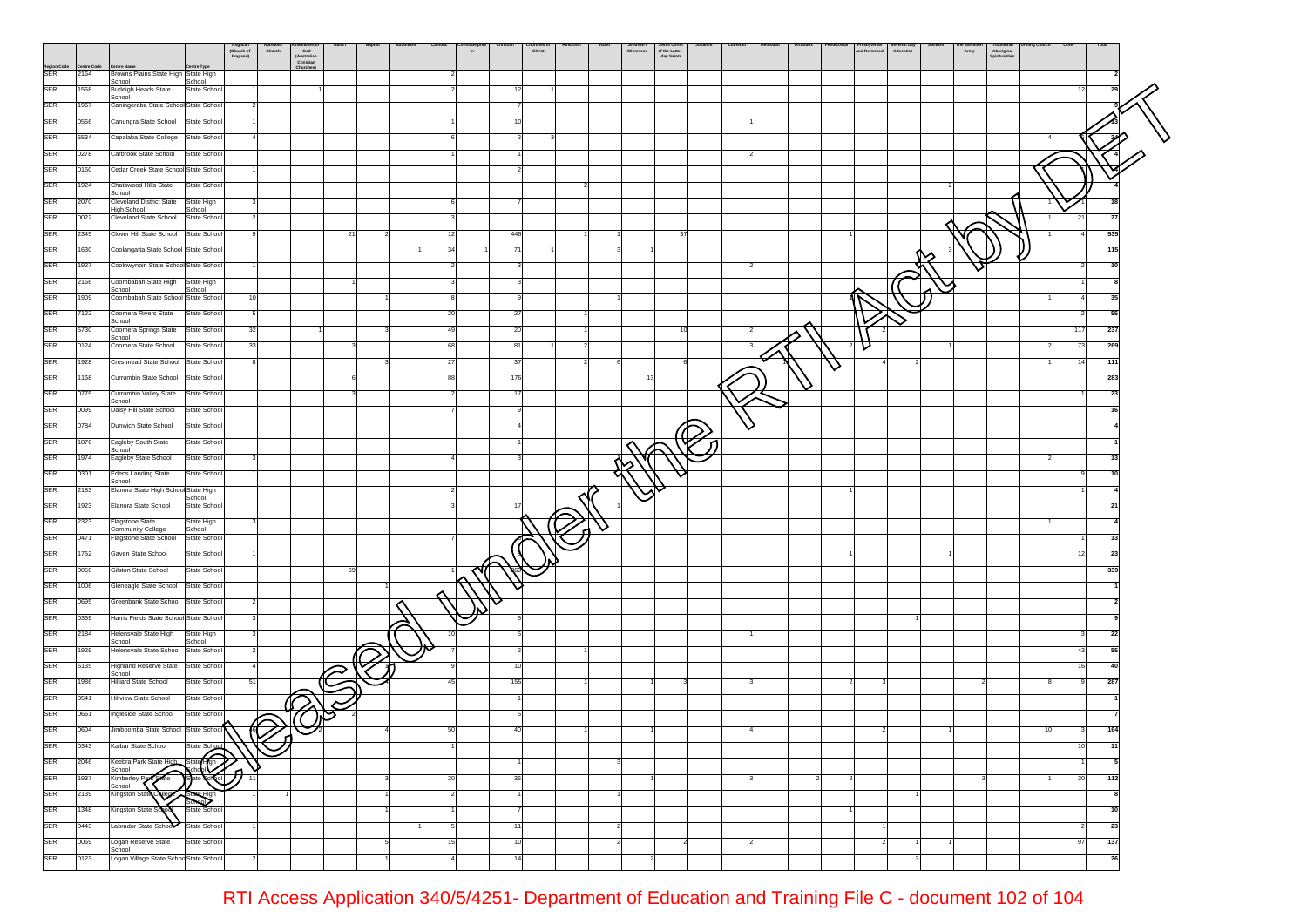|                    |                   |                                                           |                       | Anglican<br>(Church of<br>England) | Apostolic<br>Church | ssemones<br>God<br>(Australian<br>Christian | Baha'i                  | Baptist | Catholic | $\overline{a}$ |     | hurches o<br>Christ |  | Jehovah's<br>Witnesses<br>Jesus Christ<br>of the Latter-<br>day Saints |    | Lutheran |  |   | Presbyterian<br>and Reformed | Seventh Day<br>Adventist | San<br>Army | rraditional<br>Spiritualities |    |                      |  |
|--------------------|-------------------|-----------------------------------------------------------|-----------------------|------------------------------------|---------------------|---------------------------------------------|-------------------------|---------|----------|----------------|-----|---------------------|--|------------------------------------------------------------------------|----|----------|--|---|------------------------------|--------------------------|-------------|-------------------------------|----|----------------------|--|
| Region Code<br>SER | ntre Code<br>2164 | <b>Centre Name</b><br>Browns Plains State High State High | ntre Type             |                                    |                     | Churches                                    |                         |         |          |                |     |                     |  |                                                                        |    |          |  |   |                              |                          |             |                               |    |                      |  |
|                    |                   | School                                                    | School                |                                    |                     |                                             |                         |         |          |                |     |                     |  |                                                                        |    |          |  |   |                              |                          |             |                               |    |                      |  |
| <b>SER</b>         | 1568              | <b>Burleigh Heads State</b><br>School                     | State Schoo           |                                    |                     |                                             |                         |         |          |                |     |                     |  |                                                                        |    |          |  |   |                              |                          |             |                               |    | 12<br>29             |  |
| <b>SER</b>         | 1967              | Caningeraba State School State Schoo                      |                       |                                    |                     |                                             |                         |         |          |                |     |                     |  |                                                                        |    |          |  |   |                              |                          |             |                               |    |                      |  |
| <b>SER</b>         | 0566              | Canungra State School                                     | State Schoo           |                                    |                     |                                             |                         |         |          |                | 10  |                     |  |                                                                        |    |          |  |   |                              |                          |             |                               |    |                      |  |
|                    |                   |                                                           |                       |                                    |                     |                                             |                         |         |          |                |     |                     |  |                                                                        |    |          |  |   |                              |                          |             |                               |    |                      |  |
| SER                | 5534              | Capalaba State College                                    | State Schoo           |                                    |                     |                                             |                         |         |          |                |     |                     |  |                                                                        |    |          |  |   |                              |                          |             |                               |    |                      |  |
| SER                | 0278              | Carbrook State School                                     | State School          |                                    |                     |                                             |                         |         |          |                |     |                     |  |                                                                        |    |          |  |   |                              |                          |             |                               |    |                      |  |
| <b>SER</b>         | 0160              | Cedar Creek State School State Schoo                      |                       |                                    |                     |                                             |                         |         |          |                |     |                     |  |                                                                        |    |          |  |   |                              |                          |             |                               |    |                      |  |
|                    |                   |                                                           |                       |                                    |                     |                                             |                         |         |          |                |     |                     |  |                                                                        |    |          |  |   |                              |                          |             |                               |    |                      |  |
| SER                | 1924              | Chatswood Hills State<br>School                           | State Schoo           |                                    |                     |                                             |                         |         |          |                |     |                     |  |                                                                        |    |          |  |   |                              |                          |             |                               |    |                      |  |
| <b>SER</b>         | 2070              | <b>Cleveland District State</b><br>High School            | State High<br>School  |                                    |                     |                                             |                         |         |          |                |     |                     |  |                                                                        |    |          |  |   |                              |                          |             |                               |    |                      |  |
| SER                | 0022              | Cleveland State School                                    | State Schoo           |                                    |                     |                                             |                         |         |          |                |     |                     |  |                                                                        |    |          |  |   |                              |                          |             |                               |    | 21<br>27             |  |
| SER                | 2345              | Clover Hill State School                                  | State Schoo           |                                    |                     |                                             | 21                      |         | 12       |                | 446 |                     |  |                                                                        | 37 |          |  |   |                              |                          |             |                               |    | 535<br>$\Delta$      |  |
|                    |                   |                                                           |                       |                                    |                     |                                             |                         |         |          |                |     |                     |  |                                                                        |    |          |  |   |                              |                          |             |                               |    |                      |  |
| <b>SER</b>         | 1630              | Coolangatta State School State Schoo                      |                       |                                    |                     |                                             |                         |         |          |                | 71  |                     |  |                                                                        |    |          |  |   |                              |                          |             |                               |    | 115                  |  |
| SER                | 1927              | Coolnwynpin State School State Schoo                      |                       |                                    |                     |                                             |                         |         |          |                |     |                     |  |                                                                        |    |          |  |   |                              |                          |             |                               |    | 10                   |  |
| <b>SER</b>         | 2166              | Coombabah State High                                      | State High            |                                    |                     |                                             |                         |         |          |                |     |                     |  |                                                                        |    |          |  |   |                              |                          |             |                               |    |                      |  |
| SER                |                   | School                                                    | School                |                                    |                     |                                             |                         |         |          |                |     |                     |  |                                                                        |    |          |  |   |                              |                          |             |                               |    |                      |  |
|                    | 1909              | Coombabah State School State School                       |                       | 10                                 |                     |                                             |                         |         |          |                | 9   |                     |  |                                                                        |    |          |  |   |                              |                          |             |                               |    | 35<br>$\overline{4}$ |  |
| <b>SER</b>         | 7122              | Coomera Rivers State<br>School                            | State Schoo           | 5                                  |                     |                                             |                         |         | -20      |                | -27 |                     |  |                                                                        |    |          |  |   |                              |                          |             |                               |    | 55<br>$\overline{2}$ |  |
| <b>SER</b>         | 5730              | Coomera Springs State                                     | State School          | 32                                 |                     |                                             |                         |         | 49       |                | 20  |                     |  |                                                                        |    |          |  |   |                              |                          |             |                               |    | 117<br>237           |  |
| <b>SER</b>         | 0124              | School<br>Coomera State School                            | State School          | 33                                 |                     |                                             |                         |         | 68       |                | 81  |                     |  |                                                                        |    |          |  |   | v                            |                          |             |                               |    | 73<br>269            |  |
|                    |                   |                                                           |                       |                                    |                     |                                             |                         |         |          |                |     |                     |  |                                                                        |    |          |  |   |                              |                          |             |                               |    |                      |  |
| <b>SER</b>         | 1928              | Crestmead State School                                    | State Schoo           |                                    |                     |                                             |                         |         | $^{27}$  |                | 37  |                     |  |                                                                        |    |          |  | ◡ |                              |                          |             |                               |    | 14<br>111            |  |
| <b>SER</b>         | 1168              | Currumbin State School                                    | State Schoo           |                                    |                     |                                             |                         |         |          |                | 176 |                     |  |                                                                        |    |          |  |   |                              |                          |             |                               |    | 283                  |  |
| SER                | 0775              | Currumbin Valley State                                    | State Schoo           |                                    |                     |                                             |                         |         |          |                | 17  |                     |  |                                                                        |    |          |  |   |                              |                          |             |                               |    | 23                   |  |
| <b>SER</b>         | 0099              | School<br>Daisy Hill State School                         | State Schoo           |                                    |                     |                                             |                         |         |          |                |     |                     |  |                                                                        |    |          |  |   |                              |                          |             |                               |    | 16                   |  |
|                    |                   |                                                           |                       |                                    |                     |                                             |                         |         |          |                |     |                     |  |                                                                        |    |          |  |   |                              |                          |             |                               |    |                      |  |
| SER                | 0784              | Dunwich State School                                      | State Schoo           |                                    |                     |                                             |                         |         |          |                |     |                     |  |                                                                        |    |          |  |   |                              |                          |             |                               |    |                      |  |
| SER                | 1876              | Eagleby South State                                       | State School          |                                    |                     |                                             |                         |         |          |                |     |                     |  |                                                                        |    |          |  |   |                              |                          |             |                               |    |                      |  |
| <b>SER</b>         | 1974              | School<br>Eagleby State School                            | State Schoo           |                                    |                     |                                             |                         |         |          |                |     |                     |  |                                                                        |    |          |  |   |                              |                          |             |                               |    |                      |  |
| <b>SER</b>         | 0301              | <b>Edens Landing State</b>                                | State Schoo           |                                    |                     |                                             |                         |         |          |                |     |                     |  |                                                                        |    |          |  |   |                              |                          |             |                               |    |                      |  |
|                    |                   | School                                                    |                       |                                    |                     |                                             |                         |         |          |                |     |                     |  |                                                                        |    |          |  |   |                              |                          |             |                               |    |                      |  |
| <b>SER</b>         | 2183              | Elanora State High School State High                      | School                |                                    |                     |                                             |                         |         |          |                |     |                     |  |                                                                        |    |          |  |   |                              |                          |             |                               |    |                      |  |
| SER                | 1923              | Elanora State School                                      | State Schoo           |                                    |                     |                                             |                         |         |          |                | 17  |                     |  |                                                                        |    |          |  |   |                              |                          |             |                               |    | 21                   |  |
| SER                | 2323              | <b>Flagstone State</b>                                    | State High            |                                    |                     |                                             |                         |         |          |                |     |                     |  |                                                                        |    |          |  |   |                              |                          |             |                               |    |                      |  |
|                    |                   | Community College                                         | School                |                                    |                     |                                             |                         |         |          |                |     |                     |  |                                                                        |    |          |  |   |                              |                          |             |                               |    |                      |  |
| <b>SER</b>         | 0471              | Flagstone State School                                    | State Schoo           |                                    |                     |                                             |                         |         |          |                |     |                     |  |                                                                        |    |          |  |   |                              |                          |             |                               |    | 13                   |  |
| SER                | 1752              | Gaven State School                                        | State Schoo           |                                    |                     |                                             |                         |         |          |                |     |                     |  |                                                                        |    |          |  |   |                              |                          |             |                               |    | 23<br>12             |  |
| SER                | 0050              | Gilston State School                                      | State Schoo           |                                    |                     |                                             | 69                      |         |          |                |     |                     |  |                                                                        |    |          |  |   |                              |                          |             |                               |    | 339                  |  |
| SER                | 1006              | Gleneagle State School                                    | State School          |                                    |                     |                                             |                         |         |          |                |     |                     |  |                                                                        |    |          |  |   |                              |                          |             |                               |    |                      |  |
|                    |                   |                                                           |                       |                                    |                     |                                             |                         |         |          |                |     |                     |  |                                                                        |    |          |  |   |                              |                          |             |                               |    |                      |  |
| <b>SER</b>         | 0695              | Greenbank State School State Schoo                        |                       |                                    |                     |                                             |                         |         |          |                |     |                     |  |                                                                        |    |          |  |   |                              |                          |             |                               |    |                      |  |
| <b>SER</b>         | 0359              | Harris Fields State School State Schoo                    |                       |                                    |                     |                                             |                         |         |          |                |     |                     |  |                                                                        |    |          |  |   |                              |                          |             |                               |    |                      |  |
| <b>SER</b>         | 2184              | Helensvale State High                                     | State High            |                                    |                     |                                             |                         |         |          |                |     |                     |  |                                                                        |    |          |  |   |                              |                          |             |                               |    | 22                   |  |
| <b>SER</b>         | 1929              | School<br>Helensvale State School                         | School<br>State Schoo |                                    |                     |                                             |                         |         |          |                |     |                     |  |                                                                        |    |          |  |   |                              |                          |             |                               |    | 43<br>55             |  |
|                    |                   |                                                           |                       |                                    |                     |                                             |                         |         |          |                | 10  |                     |  |                                                                        |    |          |  |   |                              |                          |             |                               |    | 40                   |  |
| SER                | 6135              | <b>Highland Reserve State</b><br>School                   | State Schoo           |                                    |                     |                                             | $\widehat{\varnothing}$ |         |          |                |     |                     |  |                                                                        |    |          |  |   |                              |                          |             |                               |    | 16                   |  |
| SER                | 1986              | <b>Hilliard State School</b>                              | State Schoo           | 51                                 |                     |                                             |                         |         |          |                | 155 |                     |  |                                                                        |    |          |  |   |                              |                          |             |                               |    | 287                  |  |
| SER                | 0541              | <b>Hillview State School</b>                              | State School          |                                    |                     |                                             |                         |         |          |                |     |                     |  |                                                                        |    |          |  |   |                              |                          |             |                               |    |                      |  |
| <b>SER</b>         | 0661              | Ingleside State School                                    | State Schoo           |                                    |                     |                                             |                         |         |          |                |     |                     |  |                                                                        |    |          |  |   |                              |                          |             |                               |    |                      |  |
|                    |                   |                                                           |                       |                                    | <u>iQ</u>           |                                             |                         |         |          |                |     |                     |  |                                                                        |    |          |  |   |                              |                          |             |                               |    |                      |  |
| <b>SER</b>         | 0604              | Jimboomba State School State School                       |                       |                                    | ้ก                  |                                             |                         |         |          |                |     |                     |  |                                                                        |    |          |  |   |                              |                          |             |                               | 10 | 164                  |  |
| SER                | 0343              | Kalbar State School                                       | State Schoo           |                                    |                     |                                             |                         |         |          |                |     |                     |  |                                                                        |    |          |  |   |                              |                          |             |                               |    | 10<br>11             |  |
| <b>SER</b>         | 2046              | Keebra Park State High                                    | State (Gh             |                                    |                     |                                             |                         |         |          |                |     |                     |  |                                                                        |    |          |  |   |                              |                          |             |                               |    |                      |  |
| <b>SER</b>         | 1937              | School<br><b>State</b><br>Kimberley Pe                    | :Kol                  |                                    | ۱D                  |                                             |                         |         | 20       |                | 36  |                     |  |                                                                        |    |          |  |   |                              |                          |             |                               |    | 30<br>112            |  |
|                    |                   | School                                                    |                       |                                    |                     |                                             |                         |         |          |                |     |                     |  |                                                                        |    |          |  |   |                              |                          |             |                               |    |                      |  |
| SER                | 2139              | Kingston State Colle                                      | State High<br>School  |                                    |                     |                                             |                         |         |          |                |     |                     |  |                                                                        |    |          |  |   |                              |                          |             |                               |    |                      |  |
| <b>SER</b>         | 1348              | Kingston State Sc                                         | State School          |                                    |                     |                                             |                         |         |          |                |     |                     |  |                                                                        |    |          |  |   |                              |                          |             |                               |    | 10                   |  |
| <b>SER</b>         | 0443              | Labrador State School                                     | State Schoo           |                                    |                     |                                             |                         |         |          |                | 11  |                     |  |                                                                        |    |          |  |   |                              |                          |             |                               |    | 23                   |  |
| SER                | 0069              | Logan Reserve State                                       | State School          |                                    |                     |                                             |                         |         |          |                | 10  |                     |  |                                                                        |    |          |  |   |                              |                          |             |                               |    | 137<br>97            |  |
|                    |                   | School                                                    |                       |                                    |                     |                                             |                         |         |          |                |     |                     |  |                                                                        |    |          |  |   |                              |                          |             |                               |    |                      |  |
| SER                | 0123              | Logan Village State SchoolState School                    |                       |                                    |                     |                                             |                         |         |          |                | 14  |                     |  |                                                                        |    |          |  |   |                              |                          |             |                               |    | 26                   |  |
|                    |                   |                                                           |                       |                                    |                     |                                             |                         |         |          |                |     |                     |  |                                                                        |    |          |  |   |                              |                          |             |                               |    |                      |  |

RTI Access Application 340/5/4251- Department of Education and Training File C - document 102 of 104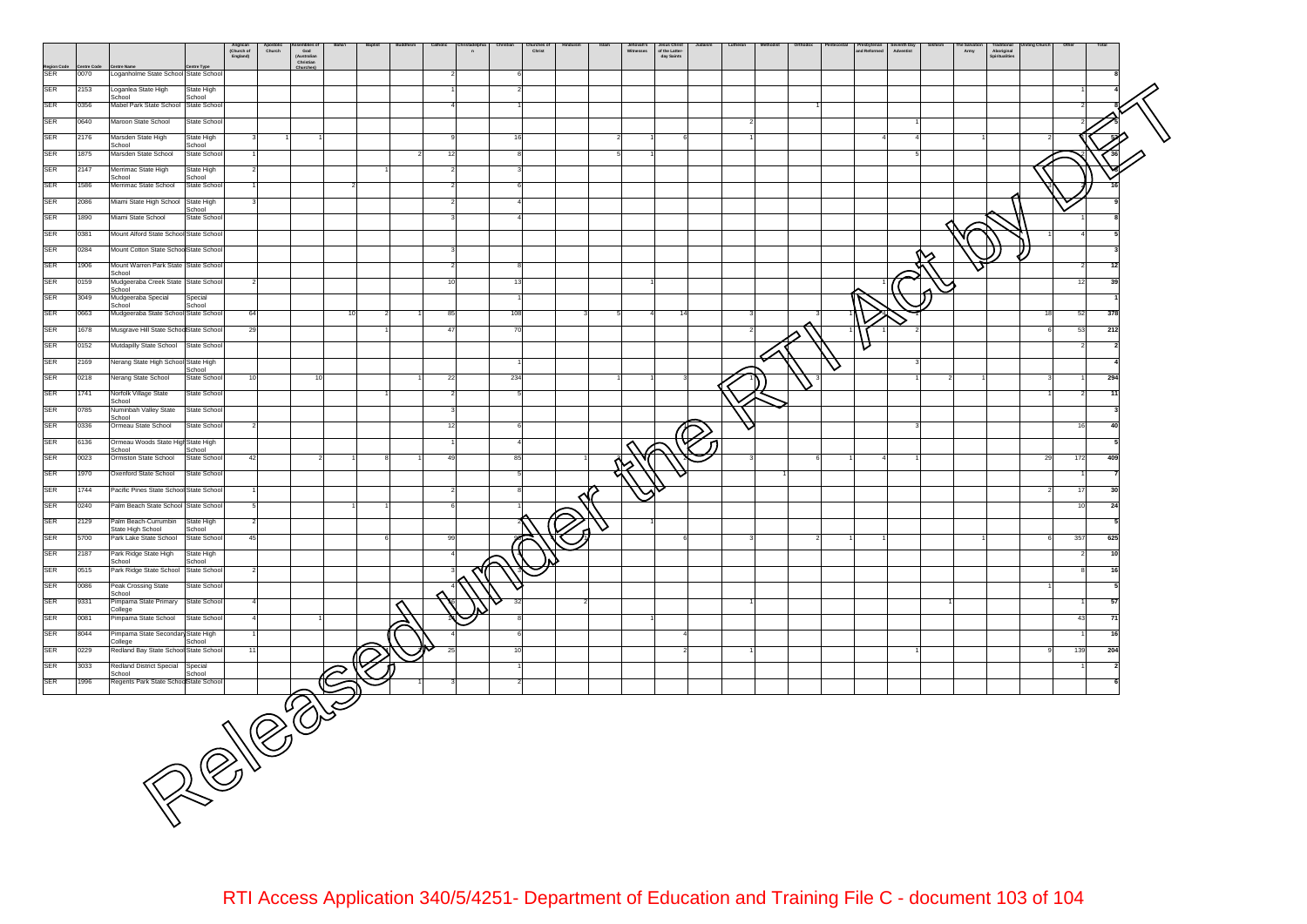

RTI Access Application 340/5/4251- Department of Education and Training File C - document 103 of 104